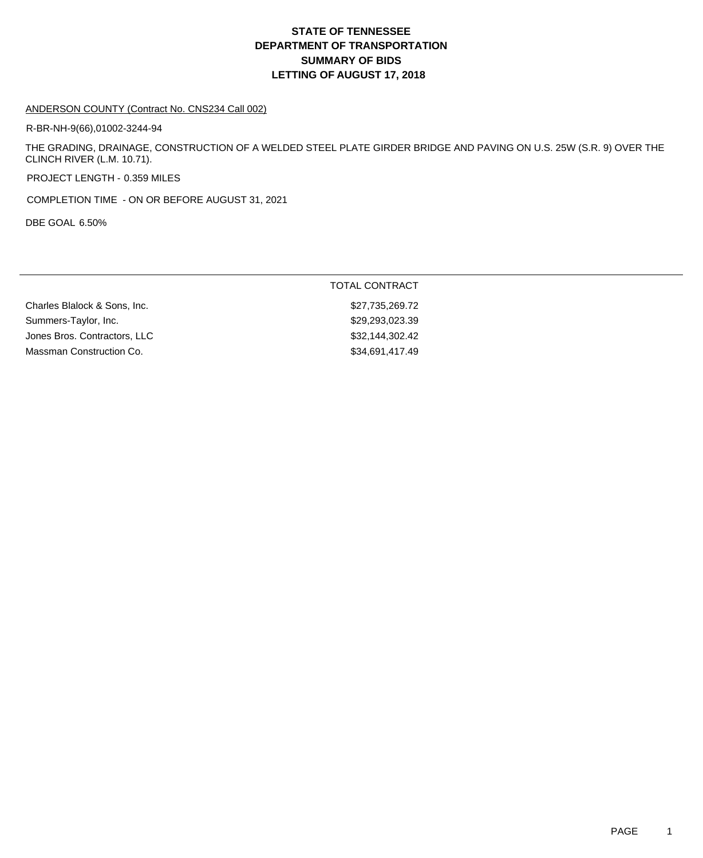# **DEPARTMENT OF TRANSPORTATION SUMMARY OF BIDS LETTING OF AUGUST 17, 2018 STATE OF TENNESSEE**

#### ANDERSON COUNTY (Contract No. CNS234 Call 002)

R-BR-NH-9(66),01002-3244-94

THE GRADING, DRAINAGE, CONSTRUCTION OF A WELDED STEEL PLATE GIRDER BRIDGE AND PAVING ON U.S. 25W (S.R. 9) OVER THE CLINCH RIVER (L.M. 10.71).

PROJECT LENGTH - 0.359 MILES

COMPLETION TIME - ON OR BEFORE AUGUST 31, 2021

DBE GOAL 6.50%

|                              | TOTAL CONTRACT  |
|------------------------------|-----------------|
| Charles Blalock & Sons, Inc. | \$27,735,269.72 |
| Summers-Taylor, Inc.         | \$29,293,023.39 |
| Jones Bros. Contractors, LLC | \$32,144,302.42 |
| Massman Construction Co.     | \$34,691,417.49 |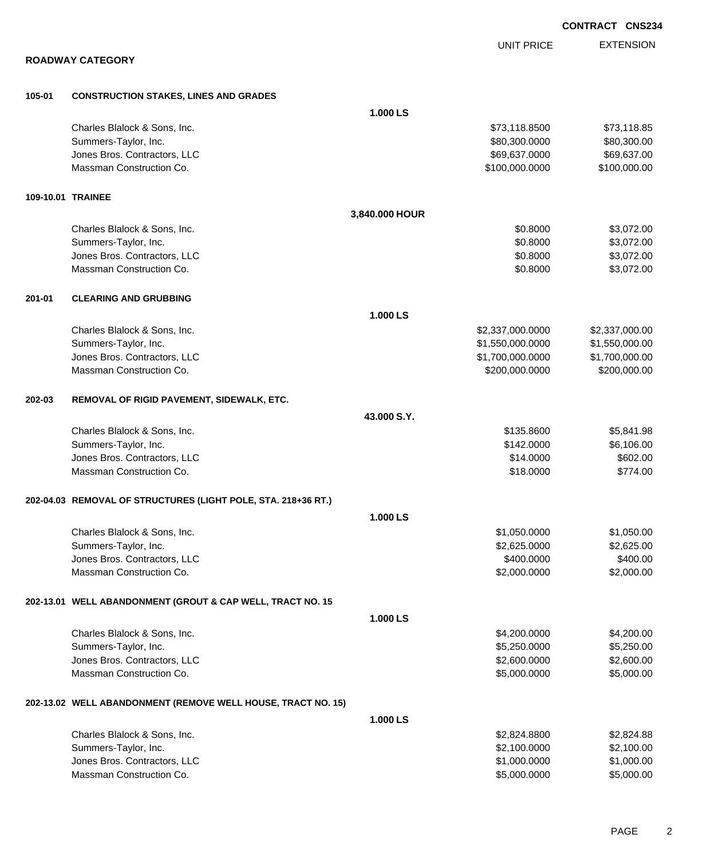|        |                                                               |                |                   | <b>CONTRACT CNS234</b>     |
|--------|---------------------------------------------------------------|----------------|-------------------|----------------------------|
|        |                                                               |                | <b>UNIT PRICE</b> | <b>EXTENSION</b>           |
|        | <b>ROADWAY CATEGORY</b>                                       |                |                   |                            |
|        |                                                               |                |                   |                            |
| 105-01 | <b>CONSTRUCTION STAKES, LINES AND GRADES</b>                  | 1.000 LS       |                   |                            |
|        | Charles Blalock & Sons, Inc.                                  |                | \$73,118.8500     |                            |
|        | Summers-Taylor, Inc.                                          |                | \$80,300.0000     | \$73,118.85<br>\$80,300.00 |
|        | Jones Bros. Contractors, LLC                                  |                | \$69,637.0000     | \$69,637.00                |
|        | Massman Construction Co.                                      |                | \$100,000.0000    | \$100,000.00               |
|        | 109-10.01 TRAINEE                                             |                |                   |                            |
|        |                                                               | 3,840.000 HOUR |                   |                            |
|        | Charles Blalock & Sons, Inc.                                  |                | \$0.8000          | \$3,072.00                 |
|        | Summers-Taylor, Inc.                                          |                | \$0.8000          | \$3,072.00                 |
|        | Jones Bros. Contractors, LLC                                  |                | \$0.8000          | \$3,072.00                 |
|        | Massman Construction Co.                                      |                | \$0.8000          | \$3,072.00                 |
| 201-01 | <b>CLEARING AND GRUBBING</b>                                  |                |                   |                            |
|        |                                                               | 1.000 LS       |                   |                            |
|        | Charles Blalock & Sons, Inc.                                  |                | \$2,337,000.0000  | \$2,337,000.00             |
|        | Summers-Taylor, Inc.                                          |                | \$1,550,000.0000  | \$1,550,000.00             |
|        | Jones Bros. Contractors, LLC                                  |                | \$1,700,000.0000  | \$1,700,000.00             |
|        | Massman Construction Co.                                      |                | \$200,000.0000    | \$200,000.00               |
| 202-03 | REMOVAL OF RIGID PAVEMENT, SIDEWALK, ETC.                     |                |                   |                            |
|        |                                                               | 43.000 S.Y.    |                   |                            |
|        | Charles Blalock & Sons, Inc.                                  |                | \$135.8600        | \$5,841.98                 |
|        | Summers-Taylor, Inc.                                          |                | \$142.0000        | \$6,106.00                 |
|        | Jones Bros. Contractors, LLC                                  |                | \$14.0000         | \$602.00                   |
|        | Massman Construction Co.                                      |                | \$18.0000         | \$774.00                   |
|        | 202-04.03 REMOVAL OF STRUCTURES (LIGHT POLE, STA. 218+36 RT.) |                |                   |                            |
|        |                                                               | 1.000 LS       |                   |                            |
|        | Charles Blalock & Sons, Inc.                                  |                | \$1,050.0000      | \$1,050.00                 |
|        | Summers-Taylor, Inc.                                          |                | \$2,625.0000      | \$2,625.00                 |
|        | Jones Bros. Contractors, LLC                                  |                | \$400.0000        | \$400.00                   |
|        | Massman Construction Co.                                      |                | \$2,000.0000      | \$2,000.00                 |
|        | 202-13.01 WELL ABANDONMENT (GROUT & CAP WELL, TRACT NO. 15    |                |                   |                            |
|        |                                                               | 1.000 LS       |                   |                            |
|        | Charles Blalock & Sons, Inc.                                  |                | \$4,200.0000      | \$4,200.00                 |
|        | Summers-Taylor, Inc.                                          |                | \$5,250.0000      | \$5,250.00                 |
|        | Jones Bros. Contractors, LLC                                  |                | \$2,600.0000      | \$2,600.00                 |
|        | Massman Construction Co.                                      |                | \$5,000.0000      | \$5,000.00                 |
|        | 202-13.02 WELL ABANDONMENT (REMOVE WELL HOUSE, TRACT NO. 15)  |                |                   |                            |
|        |                                                               | 1.000 LS       |                   |                            |
|        | Charles Blalock & Sons, Inc.                                  |                | \$2,824.8800      | \$2,824.88                 |
|        | Summers-Taylor, Inc.                                          |                | \$2,100.0000      | \$2,100.00                 |
|        | Jones Bros. Contractors, LLC                                  |                | \$1,000.0000      | \$1,000.00                 |
|        | Massman Construction Co.                                      |                | \$5,000.0000      | \$5,000.00                 |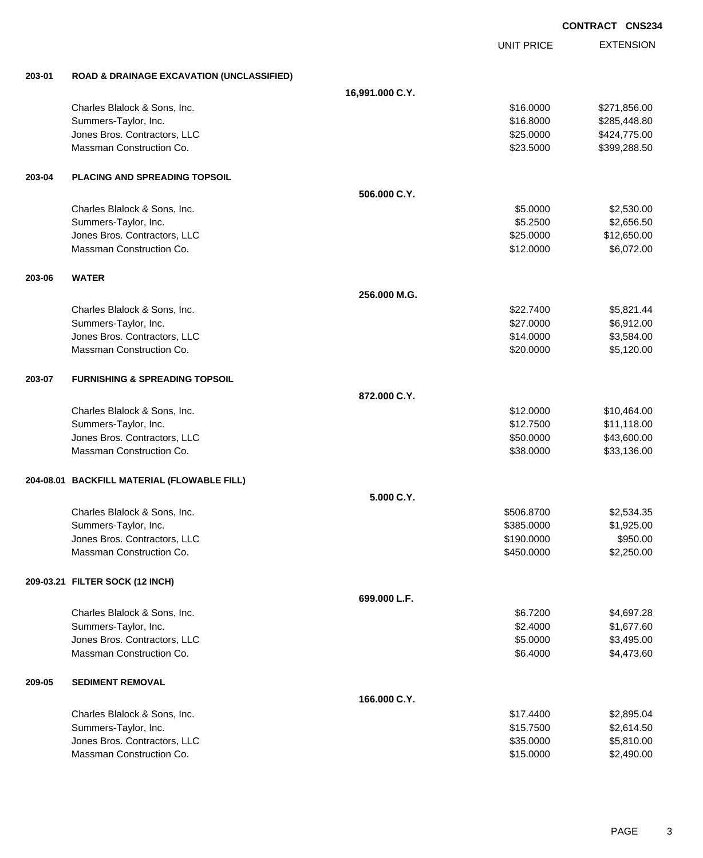|        |                                                      |                 |                   | <b>CONTRACT CNS234</b> |
|--------|------------------------------------------------------|-----------------|-------------------|------------------------|
|        |                                                      |                 | <b>UNIT PRICE</b> | <b>EXTENSION</b>       |
| 203-01 | <b>ROAD &amp; DRAINAGE EXCAVATION (UNCLASSIFIED)</b> |                 |                   |                        |
|        |                                                      | 16,991.000 C.Y. |                   |                        |
|        | Charles Blalock & Sons, Inc.                         |                 | \$16.0000         | \$271,856.00           |
|        | Summers-Taylor, Inc.                                 |                 | \$16.8000         | \$285,448.80           |
|        | Jones Bros. Contractors, LLC                         |                 | \$25.0000         | \$424,775.00           |
|        | Massman Construction Co.                             |                 | \$23.5000         | \$399,288.50           |
| 203-04 | <b>PLACING AND SPREADING TOPSOIL</b>                 |                 |                   |                        |
|        |                                                      | 506.000 C.Y.    |                   |                        |
|        | Charles Blalock & Sons, Inc.                         |                 | \$5.0000          | \$2,530.00             |
|        | Summers-Taylor, Inc.                                 |                 | \$5.2500          | \$2,656.50             |
|        | Jones Bros. Contractors, LLC                         |                 | \$25.0000         | \$12,650.00            |
|        | Massman Construction Co.                             |                 | \$12.0000         | \$6,072.00             |
| 203-06 | <b>WATER</b>                                         |                 |                   |                        |
|        |                                                      | 256.000 M.G.    |                   |                        |
|        | Charles Blalock & Sons, Inc.                         |                 | \$22.7400         | \$5,821.44             |
|        | Summers-Taylor, Inc.                                 |                 | \$27.0000         | \$6,912.00             |
|        | Jones Bros. Contractors, LLC                         |                 | \$14.0000         | \$3,584.00             |
|        | Massman Construction Co.                             |                 | \$20.0000         | \$5,120.00             |
| 203-07 | <b>FURNISHING &amp; SPREADING TOPSOIL</b>            |                 |                   |                        |
|        |                                                      | 872.000 C.Y.    |                   |                        |
|        | Charles Blalock & Sons, Inc.                         |                 | \$12.0000         | \$10,464.00            |
|        | Summers-Taylor, Inc.                                 |                 | \$12.7500         | \$11,118.00            |
|        | Jones Bros. Contractors, LLC                         |                 | \$50.0000         | \$43,600.00            |
|        | Massman Construction Co.                             |                 | \$38.0000         | \$33,136.00            |
|        | 204-08.01 BACKFILL MATERIAL (FLOWABLE FILL)          |                 |                   |                        |
|        |                                                      | 5.000 C.Y.      |                   |                        |
|        | Charles Blalock & Sons, Inc.                         |                 | \$506.8700        | \$2,534.35             |
|        | Summers-Taylor, Inc.                                 |                 | \$385.0000        | \$1,925.00             |
|        | Jones Bros. Contractors, LLC                         |                 | \$190.0000        | \$950.00               |
|        | Massman Construction Co.                             |                 | \$450.0000        | \$2,250.00             |
|        | 209-03.21 FILTER SOCK (12 INCH)                      |                 |                   |                        |
|        |                                                      | 699.000 L.F.    |                   |                        |
|        | Charles Blalock & Sons, Inc.                         |                 | \$6.7200          | \$4,697.28             |
|        | Summers-Taylor, Inc.                                 |                 | \$2.4000          | \$1,677.60             |
|        | Jones Bros. Contractors, LLC                         |                 | \$5.0000          | \$3,495.00             |
|        | Massman Construction Co.                             |                 | \$6.4000          | \$4,473.60             |
| 209-05 | <b>SEDIMENT REMOVAL</b>                              |                 |                   |                        |
|        |                                                      | 166.000 C.Y.    |                   |                        |
|        | Charles Blalock & Sons, Inc.                         |                 | \$17.4400         | \$2,895.04             |
|        | Summers-Taylor, Inc.                                 |                 | \$15.7500         | \$2,614.50             |
|        | Jones Bros. Contractors, LLC                         |                 | \$35.0000         | \$5,810.00             |
|        | Massman Construction Co.                             |                 | \$15.0000         | \$2,490.00             |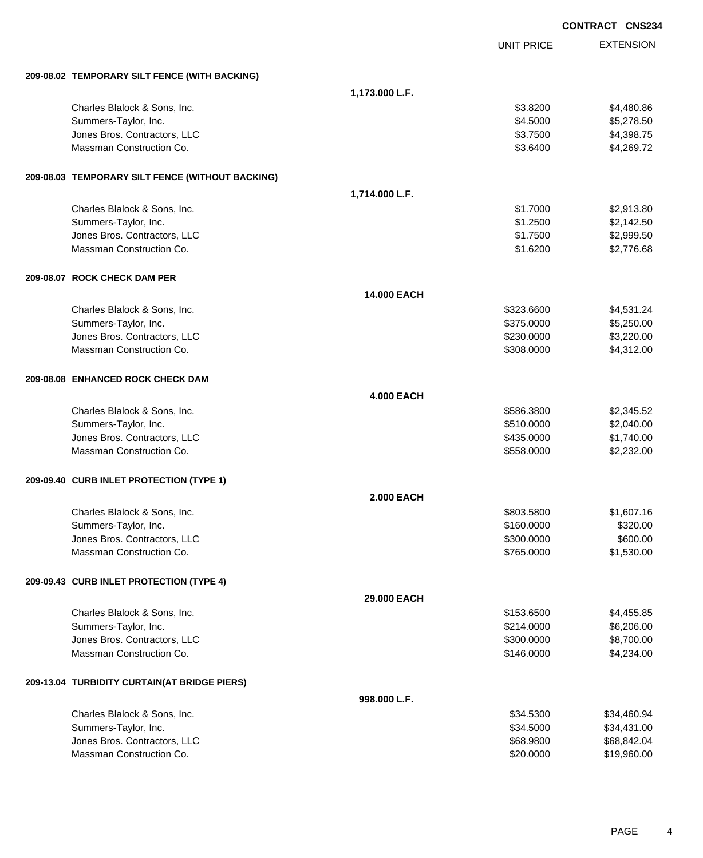|                                                  |                   |                   | <b>CONTRACT CNS234</b> |
|--------------------------------------------------|-------------------|-------------------|------------------------|
|                                                  |                   | <b>UNIT PRICE</b> | <b>EXTENSION</b>       |
| 209-08.02 TEMPORARY SILT FENCE (WITH BACKING)    |                   |                   |                        |
|                                                  | 1,173.000 L.F.    |                   |                        |
| Charles Blalock & Sons, Inc.                     |                   | \$3.8200          | \$4,480.86             |
| Summers-Taylor, Inc.                             |                   | \$4.5000          | \$5,278.50             |
| Jones Bros. Contractors, LLC                     |                   | \$3.7500          | \$4,398.75             |
| Massman Construction Co.                         |                   | \$3.6400          | \$4,269.72             |
| 209-08.03 TEMPORARY SILT FENCE (WITHOUT BACKING) |                   |                   |                        |
|                                                  | 1,714.000 L.F.    |                   |                        |
| Charles Blalock & Sons, Inc.                     |                   | \$1.7000          | \$2,913.80             |
| Summers-Taylor, Inc.                             |                   | \$1.2500          | \$2,142.50             |
| Jones Bros. Contractors, LLC                     |                   | \$1.7500          | \$2,999.50             |
| Massman Construction Co.                         |                   | \$1.6200          | \$2,776.68             |
| 209-08.07 ROCK CHECK DAM PER                     |                   |                   |                        |
|                                                  | 14.000 EACH       |                   |                        |
| Charles Blalock & Sons, Inc.                     |                   | \$323,6600        | \$4,531.24             |
| Summers-Taylor, Inc.                             |                   | \$375.0000        | \$5,250.00             |
| Jones Bros. Contractors, LLC                     |                   | \$230.0000        | \$3,220.00             |
| Massman Construction Co.                         |                   | \$308.0000        | \$4,312.00             |
| 209-08.08 ENHANCED ROCK CHECK DAM                |                   |                   |                        |
|                                                  | <b>4.000 EACH</b> |                   |                        |
| Charles Blalock & Sons, Inc.                     |                   | \$586.3800        | \$2,345.52             |
| Summers-Taylor, Inc.                             |                   | \$510.0000        | \$2,040.00             |
| Jones Bros. Contractors, LLC                     |                   | \$435.0000        | \$1,740.00             |
| Massman Construction Co.                         |                   | \$558.0000        | \$2,232.00             |
| 209-09.40 CURB INLET PROTECTION (TYPE 1)         |                   |                   |                        |
|                                                  | <b>2.000 EACH</b> |                   |                        |
| Charles Blalock & Sons, Inc.                     |                   | \$803.5800        | \$1,607.16             |
| Summers-Taylor, Inc.                             |                   | \$160.0000        | \$320.00               |
| Jones Bros. Contractors, LLC                     |                   | \$300.0000        | \$600.00               |
| Massman Construction Co.                         |                   | \$765.0000        | \$1,530.00             |
| 209-09.43 CURB INLET PROTECTION (TYPE 4)         |                   |                   |                        |
|                                                  | 29.000 EACH       |                   |                        |
| Charles Blalock & Sons, Inc.                     |                   | \$153.6500        | \$4,455.85             |
| Summers-Taylor, Inc.                             |                   | \$214.0000        | \$6,206.00             |
| Jones Bros. Contractors, LLC                     |                   | \$300.0000        | \$8,700.00             |
| Massman Construction Co.                         |                   | \$146.0000        | \$4,234.00             |
| 209-13.04 TURBIDITY CURTAIN(AT BRIDGE PIERS)     |                   |                   |                        |
|                                                  | 998.000 L.F.      |                   |                        |
| Charles Blalock & Sons, Inc.                     |                   | \$34.5300         | \$34,460.94            |
| Summers-Taylor, Inc.                             |                   | \$34.5000         | \$34,431.00            |
| Jones Bros. Contractors, LLC                     |                   | \$68.9800         | \$68,842.04            |
| Massman Construction Co.                         |                   | \$20.0000         | \$19,960.00            |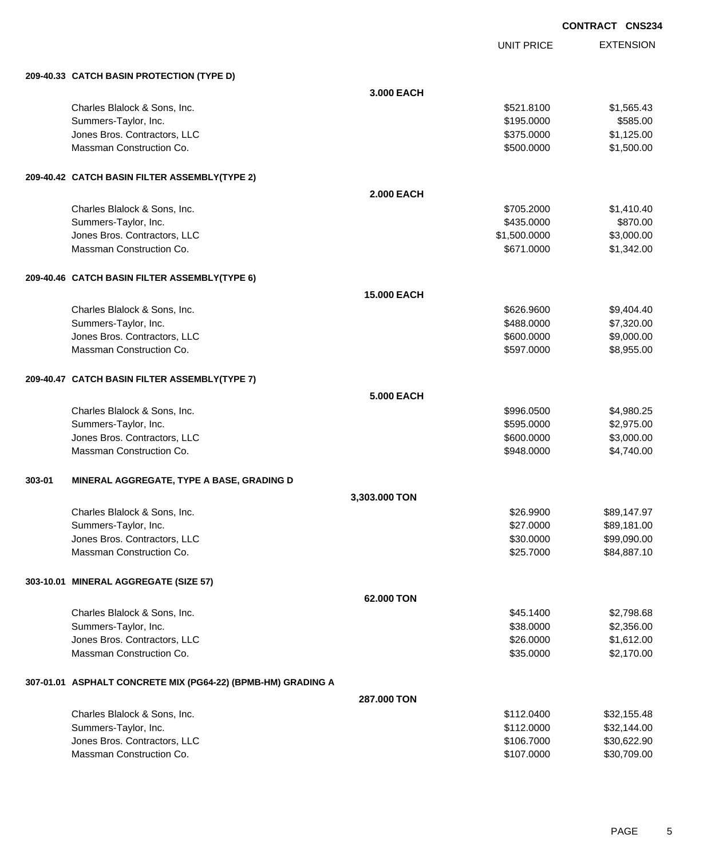UNIT PRICE EXTENSION

|        | 209-40.33 CATCH BASIN PROTECTION (TYPE D)                    |                   |              |             |
|--------|--------------------------------------------------------------|-------------------|--------------|-------------|
|        |                                                              | 3.000 EACH        |              |             |
|        | Charles Blalock & Sons, Inc.                                 |                   | \$521.8100   | \$1,565.43  |
|        | Summers-Taylor, Inc.                                         |                   | \$195.0000   | \$585.00    |
|        | Jones Bros. Contractors, LLC                                 |                   | \$375.0000   | \$1,125.00  |
|        | Massman Construction Co.                                     |                   | \$500.0000   | \$1,500.00  |
|        | 209-40.42 CATCH BASIN FILTER ASSEMBLY(TYPE 2)                |                   |              |             |
|        |                                                              | <b>2.000 EACH</b> |              |             |
|        | Charles Blalock & Sons, Inc.                                 |                   | \$705.2000   | \$1,410.40  |
|        | Summers-Taylor, Inc.                                         |                   | \$435.0000   | \$870.00    |
|        | Jones Bros. Contractors, LLC                                 |                   | \$1,500.0000 | \$3,000.00  |
|        | Massman Construction Co.                                     |                   | \$671.0000   | \$1,342.00  |
|        | 209-40.46 CATCH BASIN FILTER ASSEMBLY(TYPE 6)                |                   |              |             |
|        |                                                              | 15.000 EACH       |              |             |
|        | Charles Blalock & Sons, Inc.                                 |                   | \$626.9600   | \$9,404.40  |
|        | Summers-Taylor, Inc.                                         |                   | \$488.0000   | \$7,320.00  |
|        | Jones Bros. Contractors, LLC                                 |                   | \$600.0000   | \$9,000.00  |
|        | Massman Construction Co.                                     |                   | \$597.0000   | \$8,955.00  |
|        | 209-40.47 CATCH BASIN FILTER ASSEMBLY(TYPE 7)                |                   |              |             |
|        |                                                              | <b>5.000 EACH</b> |              |             |
|        | Charles Blalock & Sons, Inc.                                 |                   | \$996.0500   | \$4,980.25  |
|        | Summers-Taylor, Inc.                                         |                   | \$595.0000   | \$2,975.00  |
|        | Jones Bros. Contractors, LLC                                 |                   | \$600.0000   | \$3,000.00  |
|        | Massman Construction Co.                                     |                   | \$948.0000   | \$4,740.00  |
| 303-01 | MINERAL AGGREGATE, TYPE A BASE, GRADING D                    |                   |              |             |
|        |                                                              | 3,303.000 TON     |              |             |
|        | Charles Blalock & Sons, Inc.                                 |                   | \$26.9900    | \$89,147.97 |
|        | Summers-Taylor, Inc.                                         |                   | \$27.0000    | \$89,181.00 |
|        | Jones Bros. Contractors, LLC                                 |                   | \$30.0000    | \$99,090.00 |
|        | Massman Construction Co.                                     |                   | \$25.7000    | \$84,887.10 |
|        | 303-10.01 MINERAL AGGREGATE (SIZE 57)                        |                   |              |             |
|        |                                                              | 62.000 TON        |              |             |
|        | Charles Blalock & Sons, Inc.                                 |                   | \$45.1400    | \$2,798.68  |
|        | Summers-Taylor, Inc.                                         |                   | \$38.0000    | \$2,356.00  |
|        | Jones Bros. Contractors, LLC                                 |                   | \$26.0000    | \$1,612.00  |
|        | Massman Construction Co.                                     |                   | \$35.0000    | \$2,170.00  |
|        | 307-01.01 ASPHALT CONCRETE MIX (PG64-22) (BPMB-HM) GRADING A |                   |              |             |
|        |                                                              | 287.000 TON       |              |             |
|        | Charles Blalock & Sons, Inc.                                 |                   | \$112.0400   | \$32,155.48 |
|        | Summers-Taylor, Inc.                                         |                   | \$112.0000   | \$32,144.00 |
|        | Jones Bros. Contractors, LLC                                 |                   | \$106.7000   | \$30,622.90 |
|        | Massman Construction Co.                                     |                   | \$107.0000   | \$30,709.00 |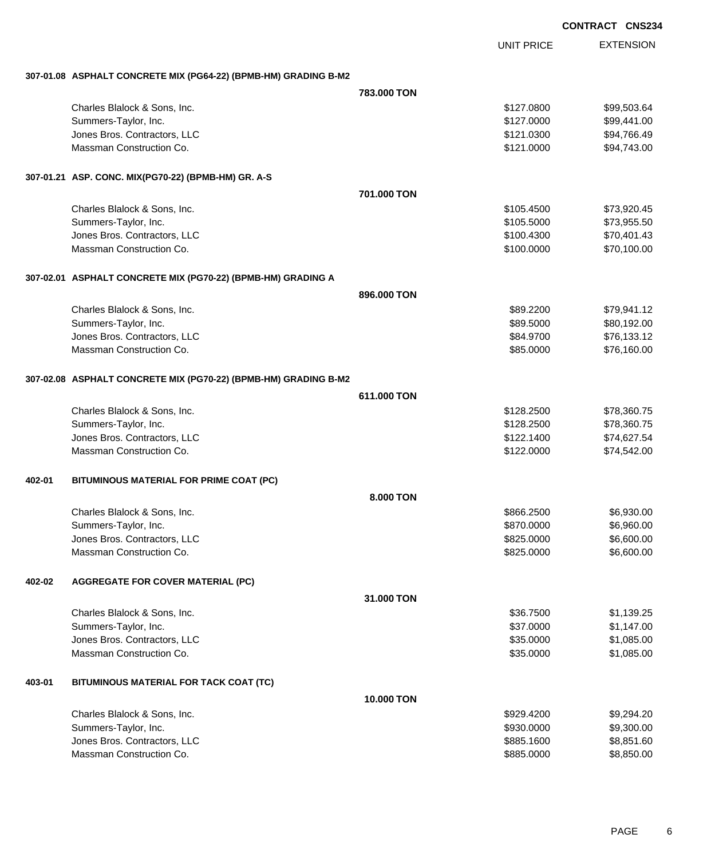| <b>CONTRACT</b> | <b>CNS234</b> |
|-----------------|---------------|
|                 |               |

|        |                                                                 |             | <b>UNIT PRICE</b> | <b>EXTENSION</b> |
|--------|-----------------------------------------------------------------|-------------|-------------------|------------------|
|        | 307-01.08 ASPHALT CONCRETE MIX (PG64-22) (BPMB-HM) GRADING B-M2 |             |                   |                  |
|        |                                                                 | 783.000 TON |                   |                  |
|        | Charles Blalock & Sons, Inc.                                    |             | \$127.0800        | \$99,503.64      |
|        | Summers-Taylor, Inc.                                            |             | \$127.0000        | \$99,441.00      |
|        | Jones Bros. Contractors, LLC                                    |             | \$121.0300        | \$94,766.49      |
|        | Massman Construction Co.                                        |             | \$121.0000        | \$94,743.00      |
|        | 307-01.21 ASP. CONC. MIX(PG70-22) (BPMB-HM) GR. A-S             |             |                   |                  |
|        |                                                                 | 701,000 TON |                   |                  |
|        | Charles Blalock & Sons, Inc.                                    |             | \$105.4500        | \$73,920.45      |
|        | Summers-Taylor, Inc.                                            |             | \$105.5000        | \$73,955.50      |
|        | Jones Bros. Contractors, LLC                                    |             | \$100.4300        | \$70,401.43      |
|        | Massman Construction Co.                                        |             | \$100.0000        | \$70,100.00      |
|        | 307-02.01 ASPHALT CONCRETE MIX (PG70-22) (BPMB-HM) GRADING A    |             |                   |                  |
|        |                                                                 | 896,000 TON |                   |                  |
|        | Charles Blalock & Sons, Inc.                                    |             | \$89.2200         | \$79,941.12      |
|        | Summers-Taylor, Inc.                                            |             | \$89.5000         | \$80,192.00      |
|        | Jones Bros. Contractors, LLC                                    |             | \$84.9700         | \$76,133.12      |
|        | Massman Construction Co.                                        |             | \$85.0000         | \$76,160.00      |
|        | 307-02.08 ASPHALT CONCRETE MIX (PG70-22) (BPMB-HM) GRADING B-M2 |             |                   |                  |
|        |                                                                 | 611,000 TON |                   |                  |
|        | Charles Blalock & Sons, Inc.                                    |             | \$128.2500        | \$78,360.75      |
|        | Summers-Taylor, Inc.                                            |             | \$128.2500        | \$78,360.75      |
|        | Jones Bros. Contractors, LLC                                    |             | \$122.1400        | \$74,627.54      |
|        | Massman Construction Co.                                        |             | \$122.0000        | \$74,542.00      |
| 402-01 | BITUMINOUS MATERIAL FOR PRIME COAT (PC)                         |             |                   |                  |
|        |                                                                 | 8.000 TON   |                   |                  |
|        | Charles Blalock & Sons, Inc.                                    |             | \$866.2500        | \$6,930.00       |
|        | Summers-Taylor, Inc.                                            |             | \$870.0000        | \$6,960.00       |
|        | Jones Bros. Contractors, LLC                                    |             | \$825.0000        | \$6,600.00       |
|        | Massman Construction Co.                                        |             | \$825.0000        | \$6,600.00       |
| 402-02 | <b>AGGREGATE FOR COVER MATERIAL (PC)</b>                        |             |                   |                  |
|        |                                                                 | 31.000 TON  |                   |                  |
|        | Charles Blalock & Sons, Inc.                                    |             | \$36.7500         | \$1,139.25       |
|        | Summers-Taylor, Inc.                                            |             | \$37.0000         | \$1,147.00       |
|        | Jones Bros. Contractors, LLC                                    |             | \$35.0000         | \$1,085.00       |
|        | Massman Construction Co.                                        |             | \$35.0000         | \$1,085.00       |
| 403-01 | BITUMINOUS MATERIAL FOR TACK COAT (TC)                          |             |                   |                  |
|        |                                                                 | 10.000 TON  |                   |                  |
|        | Charles Blalock & Sons, Inc.                                    |             | \$929.4200        | \$9,294.20       |
|        | Summers-Taylor, Inc.                                            |             | \$930.0000        | \$9,300.00       |
|        | Jones Bros. Contractors, LLC                                    |             | \$885.1600        | \$8,851.60       |
|        | Massman Construction Co.                                        |             | \$885.0000        | \$8,850.00       |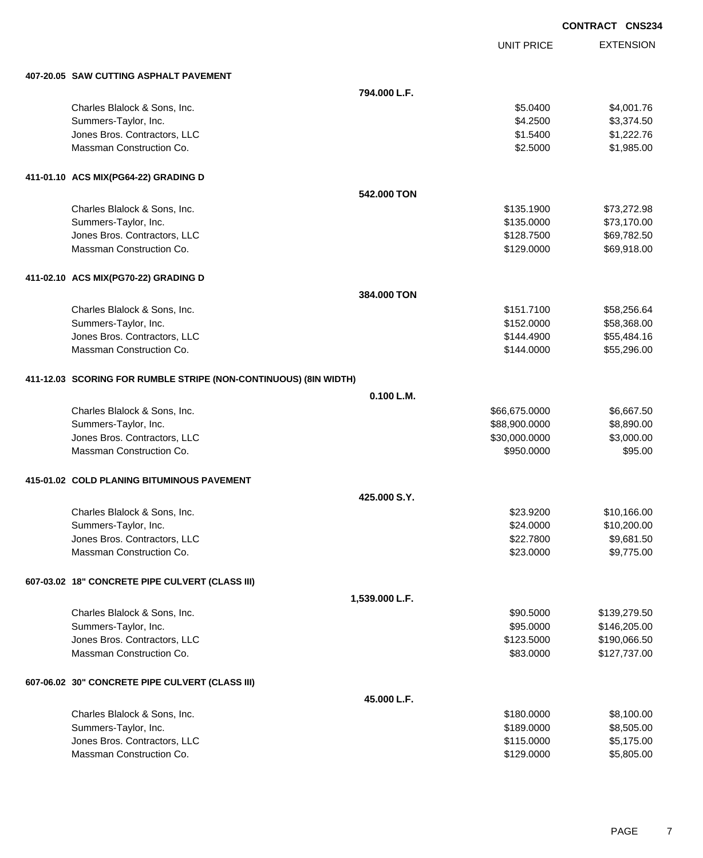|                                                                  |                |                   | <b>CONTRACT CNS234</b> |
|------------------------------------------------------------------|----------------|-------------------|------------------------|
|                                                                  |                | <b>UNIT PRICE</b> | <b>EXTENSION</b>       |
| 407-20.05 SAW CUTTING ASPHALT PAVEMENT                           |                |                   |                        |
|                                                                  | 794.000 L.F.   |                   |                        |
| Charles Blalock & Sons, Inc.                                     |                | \$5.0400          | \$4,001.76             |
| Summers-Taylor, Inc.                                             |                | \$4.2500          | \$3,374.50             |
| Jones Bros. Contractors, LLC                                     |                | \$1.5400          | \$1,222.76             |
| Massman Construction Co.                                         |                | \$2.5000          | \$1,985.00             |
| 411-01.10 ACS MIX(PG64-22) GRADING D                             |                |                   |                        |
|                                                                  | 542,000 TON    |                   |                        |
| Charles Blalock & Sons, Inc.                                     |                | \$135.1900        | \$73,272.98            |
| Summers-Taylor, Inc.                                             |                | \$135.0000        | \$73,170.00            |
| Jones Bros. Contractors, LLC                                     |                | \$128.7500        | \$69,782.50            |
| Massman Construction Co.                                         |                | \$129.0000        | \$69,918.00            |
| 411-02.10 ACS MIX(PG70-22) GRADING D                             |                |                   |                        |
|                                                                  | 384.000 TON    |                   |                        |
| Charles Blalock & Sons, Inc.                                     |                | \$151.7100        | \$58,256.64            |
| Summers-Taylor, Inc.                                             |                | \$152.0000        | \$58,368.00            |
| Jones Bros. Contractors, LLC                                     |                | \$144.4900        | \$55,484.16            |
| Massman Construction Co.                                         |                | \$144.0000        | \$55,296.00            |
| 411-12.03 SCORING FOR RUMBLE STRIPE (NON-CONTINUOUS) (8IN WIDTH) |                |                   |                        |
|                                                                  | 0.100 L.M.     |                   |                        |
| Charles Blalock & Sons, Inc.                                     |                | \$66,675.0000     | \$6,667.50             |
| Summers-Taylor, Inc.                                             |                | \$88,900.0000     | \$8,890.00             |
| Jones Bros. Contractors, LLC                                     |                | \$30,000.0000     | \$3,000.00             |
| Massman Construction Co.                                         |                | \$950.0000        | \$95.00                |
| 415-01.02 COLD PLANING BITUMINOUS PAVEMENT                       |                |                   |                        |
|                                                                  | 425,000 S.Y.   |                   |                        |
| Charles Blalock & Sons, Inc.                                     |                | \$23.9200         | \$10,166.00            |
| Summers-Taylor, Inc.                                             |                | \$24.0000         | \$10,200.00            |
| Jones Bros. Contractors, LLC                                     |                | \$22.7800         | \$9,681.50             |
| Massman Construction Co.                                         |                | \$23.0000         | \$9,775.00             |
| 607-03.02 18" CONCRETE PIPE CULVERT (CLASS III)                  |                |                   |                        |
|                                                                  | 1,539.000 L.F. |                   |                        |
| Charles Blalock & Sons, Inc.                                     |                | \$90.5000         | \$139,279.50           |
| Summers-Taylor, Inc.                                             |                | \$95.0000         | \$146,205.00           |
| Jones Bros. Contractors, LLC                                     |                | \$123.5000        | \$190,066.50           |
| Massman Construction Co.                                         |                | \$83.0000         | \$127,737.00           |
| 607-06.02 30" CONCRETE PIPE CULVERT (CLASS III)                  |                |                   |                        |
|                                                                  | 45.000 L.F.    |                   |                        |
| Charles Blalock & Sons, Inc.                                     |                | \$180.0000        | \$8,100.00             |
| Summers-Taylor, Inc.                                             |                | \$189.0000        | \$8,505.00             |
| Jones Bros. Contractors, LLC                                     |                | \$115.0000        | \$5,175.00             |
| Massman Construction Co.                                         |                | \$129.0000        | \$5,805.00             |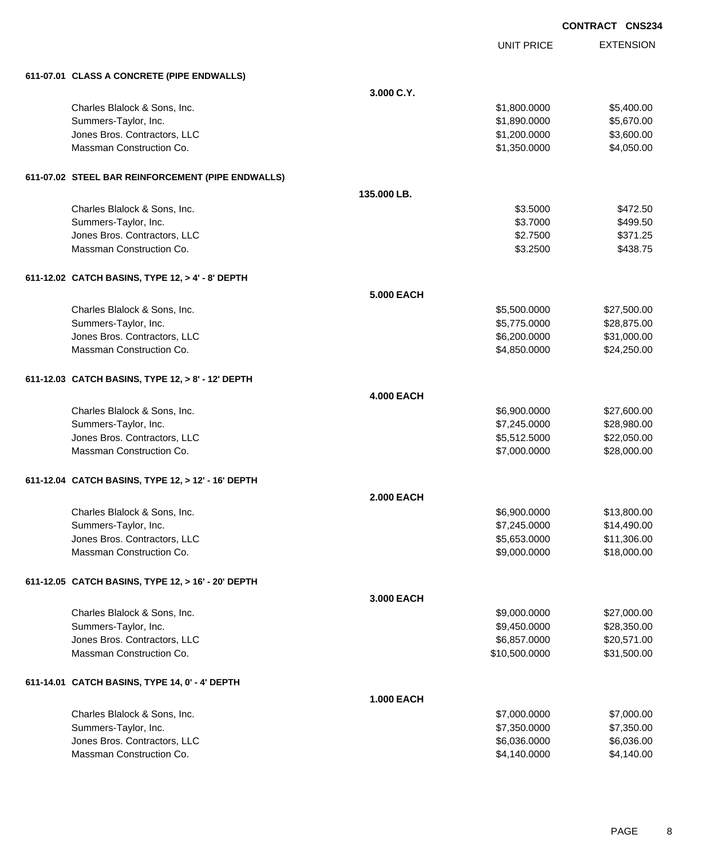|                                                    |                   |                   | <b>CONTRACT CNS234</b> |
|----------------------------------------------------|-------------------|-------------------|------------------------|
|                                                    |                   | <b>UNIT PRICE</b> | <b>EXTENSION</b>       |
| 611-07.01 CLASS A CONCRETE (PIPE ENDWALLS)         |                   |                   |                        |
|                                                    | 3.000 C.Y.        |                   |                        |
| Charles Blalock & Sons, Inc.                       |                   | \$1,800.0000      | \$5,400.00             |
| Summers-Taylor, Inc.                               |                   | \$1,890.0000      | \$5,670.00             |
| Jones Bros. Contractors, LLC                       |                   | \$1,200.0000      | \$3,600.00             |
| Massman Construction Co.                           |                   | \$1,350.0000      | \$4,050.00             |
| 611-07.02 STEEL BAR REINFORCEMENT (PIPE ENDWALLS)  |                   |                   |                        |
|                                                    | 135.000 LB.       |                   |                        |
| Charles Blalock & Sons, Inc.                       |                   | \$3.5000          | \$472.50               |
| Summers-Taylor, Inc.                               |                   | \$3.7000          | \$499.50               |
| Jones Bros. Contractors, LLC                       |                   | \$2.7500          | \$371.25               |
| Massman Construction Co.                           |                   | \$3.2500          | \$438.75               |
| 611-12.02 CATCH BASINS, TYPE 12, > 4' - 8' DEPTH   |                   |                   |                        |
|                                                    | 5,000 EACH        |                   |                        |
| Charles Blalock & Sons, Inc.                       |                   | \$5,500.0000      | \$27,500.00            |
| Summers-Taylor, Inc.                               |                   | \$5,775.0000      | \$28,875.00            |
| Jones Bros. Contractors, LLC                       |                   | \$6,200.0000      | \$31,000.00            |
| Massman Construction Co.                           |                   | \$4,850.0000      | \$24,250.00            |
| 611-12.03 CATCH BASINS, TYPE 12, > 8' - 12' DEPTH  |                   |                   |                        |
|                                                    | <b>4.000 EACH</b> |                   |                        |
| Charles Blalock & Sons, Inc.                       |                   | \$6,900.0000      | \$27,600.00            |
| Summers-Taylor, Inc.                               |                   | \$7,245.0000      | \$28,980.00            |
| Jones Bros. Contractors, LLC                       |                   | \$5,512.5000      | \$22,050.00            |
| Massman Construction Co.                           |                   | \$7,000.0000      | \$28,000.00            |
| 611-12.04 CATCH BASINS, TYPE 12, > 12' - 16' DEPTH |                   |                   |                        |
|                                                    | <b>2.000 EACH</b> |                   |                        |
| Charles Blalock & Sons, Inc.                       |                   | \$6,900.0000      | \$13,800.00            |
| Summers-Taylor, Inc.                               |                   | \$7,245.0000      | \$14,490.00            |
| Jones Bros. Contractors, LLC                       |                   | \$5,653.0000      | \$11,306.00            |
| Massman Construction Co.                           |                   | \$9,000.0000      | \$18,000.00            |
| 611-12.05 CATCH BASINS, TYPE 12, > 16' - 20' DEPTH |                   |                   |                        |
|                                                    | 3.000 EACH        |                   |                        |
| Charles Blalock & Sons, Inc.                       |                   | \$9,000.0000      | \$27,000.00            |
| Summers-Taylor, Inc.                               |                   | \$9,450.0000      | \$28,350.00            |
| Jones Bros. Contractors, LLC                       |                   | \$6,857.0000      | \$20,571.00            |
| Massman Construction Co.                           |                   | \$10,500.0000     | \$31,500.00            |
| 611-14.01 CATCH BASINS, TYPE 14, 0' - 4' DEPTH     |                   |                   |                        |
|                                                    | <b>1.000 EACH</b> |                   |                        |
| Charles Blalock & Sons, Inc.                       |                   | \$7,000.0000      | \$7,000.00             |
| Summers-Taylor, Inc.                               |                   | \$7,350.0000      | \$7,350.00             |
| Jones Bros. Contractors, LLC                       |                   | \$6,036.0000      | \$6,036.00             |
| Massman Construction Co.                           |                   | \$4,140.0000      | \$4,140.00             |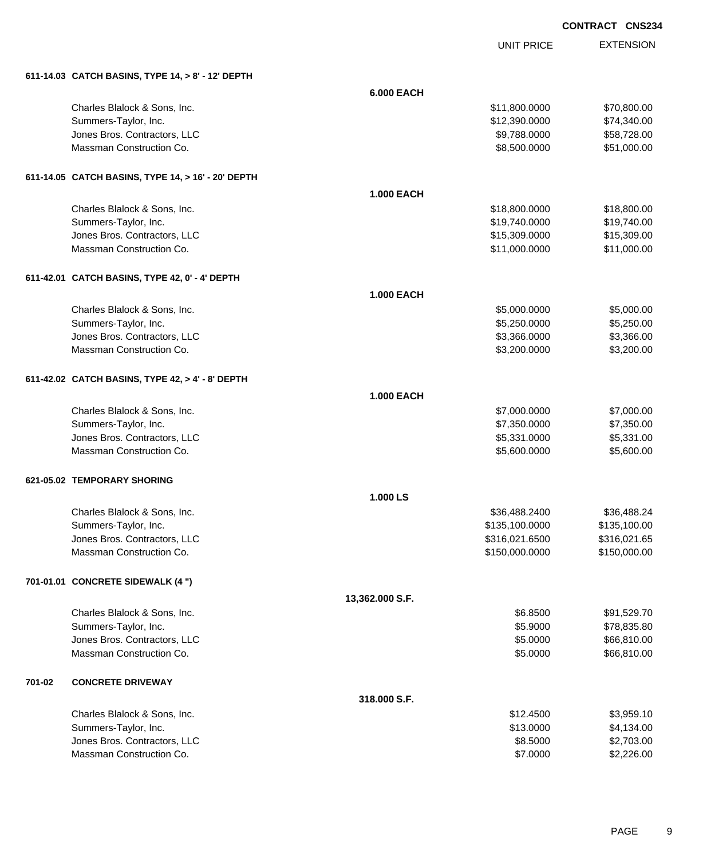UNIT PRICE

|        | 611-14.03 CATCH BASINS, TYPE 14, > 8' - 12' DEPTH  |                   |                |              |
|--------|----------------------------------------------------|-------------------|----------------|--------------|
|        |                                                    | <b>6.000 EACH</b> |                |              |
|        | Charles Blalock & Sons, Inc.                       |                   | \$11,800.0000  | \$70,800.00  |
|        | Summers-Taylor, Inc.                               |                   | \$12,390.0000  | \$74,340.00  |
|        | Jones Bros. Contractors, LLC                       |                   | \$9,788.0000   | \$58,728.00  |
|        | Massman Construction Co.                           |                   | \$8,500.0000   | \$51,000.00  |
|        | 611-14.05 CATCH BASINS, TYPE 14, > 16' - 20' DEPTH |                   |                |              |
|        |                                                    | <b>1.000 EACH</b> |                |              |
|        | Charles Blalock & Sons, Inc.                       |                   | \$18,800.0000  | \$18,800.00  |
|        | Summers-Taylor, Inc.                               |                   | \$19,740.0000  | \$19,740.00  |
|        | Jones Bros. Contractors, LLC                       |                   | \$15,309.0000  | \$15,309.00  |
|        | Massman Construction Co.                           |                   | \$11,000.0000  | \$11,000.00  |
|        | 611-42.01 CATCH BASINS, TYPE 42, 0' - 4' DEPTH     |                   |                |              |
|        |                                                    | <b>1.000 EACH</b> |                |              |
|        | Charles Blalock & Sons, Inc.                       |                   | \$5,000.0000   | \$5,000.00   |
|        | Summers-Taylor, Inc.                               |                   | \$5,250.0000   | \$5,250.00   |
|        | Jones Bros. Contractors, LLC                       |                   | \$3,366.0000   | \$3,366.00   |
|        | Massman Construction Co.                           |                   | \$3,200.0000   | \$3,200.00   |
|        | 611-42.02 CATCH BASINS, TYPE 42, > 4' - 8' DEPTH   |                   |                |              |
|        |                                                    | <b>1.000 EACH</b> |                |              |
|        | Charles Blalock & Sons, Inc.                       |                   | \$7,000.0000   | \$7,000.00   |
|        | Summers-Taylor, Inc.                               |                   | \$7,350.0000   | \$7,350.00   |
|        | Jones Bros. Contractors, LLC                       |                   | \$5,331.0000   | \$5,331.00   |
|        | Massman Construction Co.                           |                   | \$5,600.0000   | \$5,600.00   |
|        | 621-05.02 TEMPORARY SHORING                        |                   |                |              |
|        |                                                    | 1.000 LS          |                |              |
|        | Charles Blalock & Sons, Inc.                       |                   | \$36,488.2400  | \$36,488.24  |
|        | Summers-Taylor, Inc.                               |                   | \$135,100.0000 | \$135,100.00 |
|        | Jones Bros. Contractors, LLC                       |                   | \$316,021.6500 | \$316,021.65 |
|        | Massman Construction Co.                           |                   | \$150,000.0000 | \$150,000.00 |
|        | 701-01.01 CONCRETE SIDEWALK (4 ")                  |                   |                |              |
|        |                                                    | 13,362.000 S.F.   |                |              |
|        | Charles Blalock & Sons, Inc.                       |                   | \$6.8500       | \$91,529.70  |
|        | Summers-Taylor, Inc.                               |                   | \$5.9000       | \$78,835.80  |
|        | Jones Bros. Contractors, LLC                       |                   | \$5.0000       | \$66,810.00  |
|        | Massman Construction Co.                           |                   | \$5.0000       | \$66,810.00  |
| 701-02 | <b>CONCRETE DRIVEWAY</b>                           |                   |                |              |
|        |                                                    | 318.000 S.F.      |                |              |
|        | Charles Blalock & Sons, Inc.                       |                   | \$12.4500      | \$3,959.10   |
|        | Summers-Taylor, Inc.                               |                   | \$13.0000      | \$4,134.00   |
|        | Jones Bros. Contractors, LLC                       |                   | \$8.5000       | \$2,703.00   |
|        | Massman Construction Co.                           |                   | \$7.0000       | \$2,226.00   |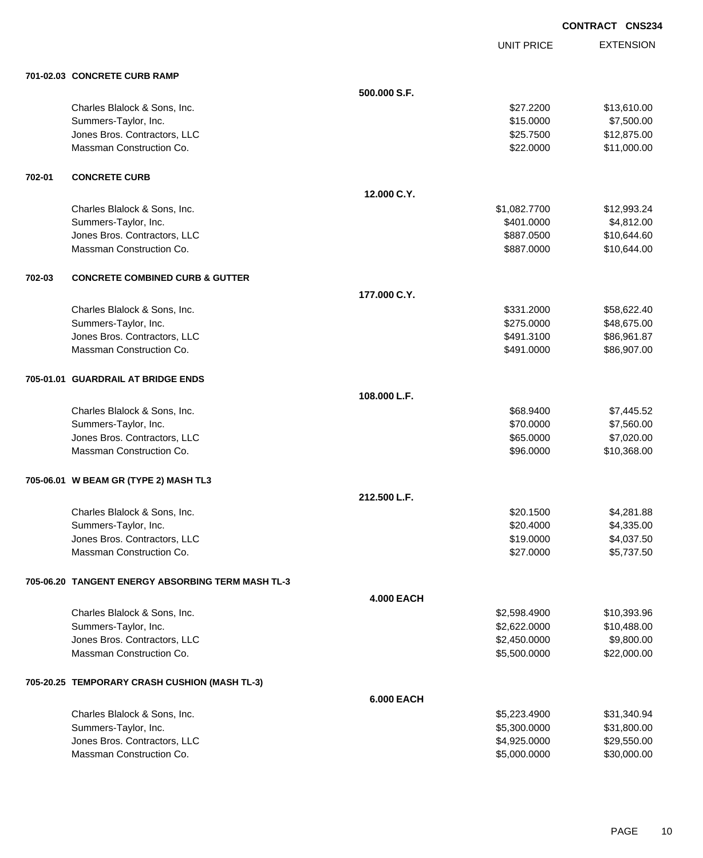UNIT PRICE

| 701-02.03 CONCRETE CURB RAMP |  |  |
|------------------------------|--|--|

|        | 701-02.03 CONCRETE CURB RAMP                      |                   |              |             |
|--------|---------------------------------------------------|-------------------|--------------|-------------|
|        |                                                   | 500.000 S.F.      |              |             |
|        | Charles Blalock & Sons, Inc.                      |                   | \$27.2200    | \$13,610.00 |
|        | Summers-Taylor, Inc.                              |                   | \$15.0000    | \$7,500.00  |
|        | Jones Bros. Contractors, LLC                      |                   | \$25.7500    | \$12,875.00 |
|        | Massman Construction Co.                          |                   | \$22.0000    | \$11,000.00 |
| 702-01 | <b>CONCRETE CURB</b>                              |                   |              |             |
|        |                                                   | 12.000 C.Y.       |              |             |
|        | Charles Blalock & Sons, Inc.                      |                   | \$1,082.7700 | \$12,993.24 |
|        | Summers-Taylor, Inc.                              |                   | \$401.0000   | \$4,812.00  |
|        | Jones Bros. Contractors, LLC                      |                   | \$887.0500   | \$10,644.60 |
|        | Massman Construction Co.                          |                   | \$887.0000   | \$10,644.00 |
| 702-03 | <b>CONCRETE COMBINED CURB &amp; GUTTER</b>        |                   |              |             |
|        |                                                   | 177.000 C.Y.      |              |             |
|        | Charles Blalock & Sons, Inc.                      |                   | \$331.2000   | \$58,622.40 |
|        | Summers-Taylor, Inc.                              |                   | \$275.0000   | \$48,675.00 |
|        | Jones Bros. Contractors, LLC                      |                   | \$491.3100   | \$86,961.87 |
|        | Massman Construction Co.                          |                   | \$491.0000   | \$86,907.00 |
|        | 705-01.01 GUARDRAIL AT BRIDGE ENDS                |                   |              |             |
|        |                                                   | 108.000 L.F.      |              |             |
|        | Charles Blalock & Sons, Inc.                      |                   | \$68.9400    | \$7,445.52  |
|        | Summers-Taylor, Inc.                              |                   | \$70.0000    | \$7,560.00  |
|        | Jones Bros. Contractors, LLC                      |                   | \$65.0000    | \$7,020.00  |
|        | Massman Construction Co.                          |                   | \$96.0000    | \$10,368.00 |
|        | 705-06.01 W BEAM GR (TYPE 2) MASH TL3             |                   |              |             |
|        |                                                   | 212.500 L.F.      |              |             |
|        | Charles Blalock & Sons, Inc.                      |                   | \$20.1500    | \$4,281.88  |
|        | Summers-Taylor, Inc.                              |                   | \$20.4000    | \$4,335.00  |
|        | Jones Bros. Contractors, LLC                      |                   | \$19.0000    | \$4,037.50  |
|        | Massman Construction Co.                          |                   | \$27.0000    | \$5,737.50  |
|        | 705-06.20 TANGENT ENERGY ABSORBING TERM MASH TL-3 |                   |              |             |
|        |                                                   | <b>4.000 EACH</b> |              |             |
|        | Charles Blalock & Sons, Inc.                      |                   | \$2,598.4900 | \$10,393.96 |
|        | Summers-Taylor, Inc.                              |                   | \$2,622.0000 | \$10,488.00 |
|        | Jones Bros. Contractors, LLC                      |                   | \$2,450.0000 | \$9,800.00  |
|        | Massman Construction Co.                          |                   | \$5,500.0000 | \$22,000.00 |
|        | 705-20.25 TEMPORARY CRASH CUSHION (MASH TL-3)     |                   |              |             |
|        |                                                   | <b>6.000 EACH</b> |              |             |
|        | Charles Blalock & Sons, Inc.                      |                   | \$5,223.4900 | \$31,340.94 |
|        | Summers-Taylor, Inc.                              |                   | \$5,300.0000 | \$31,800.00 |
|        | Jones Bros. Contractors, LLC                      |                   | \$4,925.0000 | \$29,550.00 |
|        | Massman Construction Co.                          |                   | \$5,000.0000 | \$30,000.00 |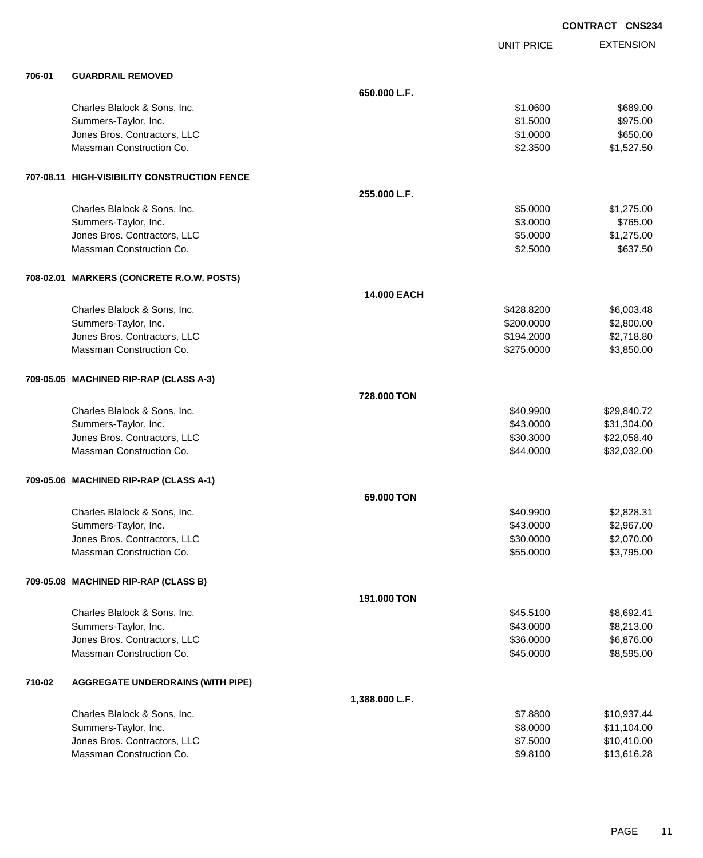|        |                                              |                    |                   | <b>CONTRACT CNS234</b> |
|--------|----------------------------------------------|--------------------|-------------------|------------------------|
|        |                                              |                    | <b>UNIT PRICE</b> | <b>EXTENSION</b>       |
| 706-01 | <b>GUARDRAIL REMOVED</b>                     |                    |                   |                        |
|        |                                              | 650.000 L.F.       |                   |                        |
|        | Charles Blalock & Sons, Inc.                 |                    | \$1.0600          | \$689.00               |
|        | Summers-Taylor, Inc.                         |                    | \$1.5000          | \$975.00               |
|        | Jones Bros. Contractors, LLC                 |                    | \$1.0000          | \$650.00               |
|        | Massman Construction Co.                     |                    | \$2.3500          | \$1,527.50             |
|        | 707-08.11 HIGH-VISIBILITY CONSTRUCTION FENCE |                    |                   |                        |
|        |                                              | 255.000 L.F.       |                   |                        |
|        | Charles Blalock & Sons, Inc.                 |                    | \$5.0000          | \$1,275.00             |
|        | Summers-Taylor, Inc.                         |                    | \$3.0000          | \$765.00               |
|        | Jones Bros. Contractors, LLC                 |                    | \$5.0000          | \$1,275.00             |
|        | Massman Construction Co.                     |                    | \$2.5000          | \$637.50               |
|        | 708-02.01 MARKERS (CONCRETE R.O.W. POSTS)    |                    |                   |                        |
|        |                                              | <b>14,000 EACH</b> |                   |                        |
|        | Charles Blalock & Sons, Inc.                 |                    | \$428.8200        | \$6,003.48             |
|        | Summers-Taylor, Inc.                         |                    | \$200.0000        | \$2,800.00             |
|        | Jones Bros. Contractors, LLC                 |                    | \$194.2000        | \$2,718.80             |
|        | Massman Construction Co.                     |                    | \$275.0000        | \$3,850.00             |
|        | 709-05.05 MACHINED RIP-RAP (CLASS A-3)       |                    |                   |                        |
|        |                                              | 728.000 TON        |                   |                        |
|        | Charles Blalock & Sons, Inc.                 |                    | \$40.9900         | \$29,840.72            |
|        | Summers-Taylor, Inc.                         |                    | \$43.0000         | \$31,304.00            |
|        | Jones Bros. Contractors, LLC                 |                    | \$30.3000         | \$22,058.40            |
|        | Massman Construction Co.                     |                    | \$44.0000         | \$32,032.00            |
|        | 709-05.06 MACHINED RIP-RAP (CLASS A-1)       |                    |                   |                        |
|        |                                              | 69.000 TON         |                   |                        |
|        | Charles Blalock & Sons, Inc.                 |                    | \$40.9900         | \$2,828.31             |
|        | Summers-Taylor, Inc.                         |                    | \$43.0000         | \$2,967.00             |
|        | Jones Bros. Contractors, LLC                 |                    | \$30.0000         | \$2,070.00             |
|        | Massman Construction Co.                     |                    | \$55.0000         | \$3,795.00             |
|        | 709-05.08 MACHINED RIP-RAP (CLASS B)         |                    |                   |                        |
|        |                                              | 191.000 TON        |                   |                        |
|        | Charles Blalock & Sons, Inc.                 |                    | \$45.5100         | \$8,692.41             |
|        | Summers-Taylor, Inc.                         |                    | \$43.0000         | \$8,213.00             |
|        | Jones Bros. Contractors, LLC                 |                    | \$36.0000         | \$6,876.00             |
|        | Massman Construction Co.                     |                    | \$45.0000         | \$8,595.00             |
| 710-02 | <b>AGGREGATE UNDERDRAINS (WITH PIPE)</b>     |                    |                   |                        |
|        |                                              | 1,388.000 L.F.     |                   |                        |
|        | Charles Blalock & Sons, Inc.                 |                    | \$7.8800          | \$10,937.44            |
|        | Summers-Taylor, Inc.                         |                    | \$8.0000          | \$11,104.00            |
|        | Jones Bros. Contractors, LLC                 |                    | \$7.5000          | \$10,410.00            |
|        | Massman Construction Co.                     |                    | \$9.8100          | \$13,616.28            |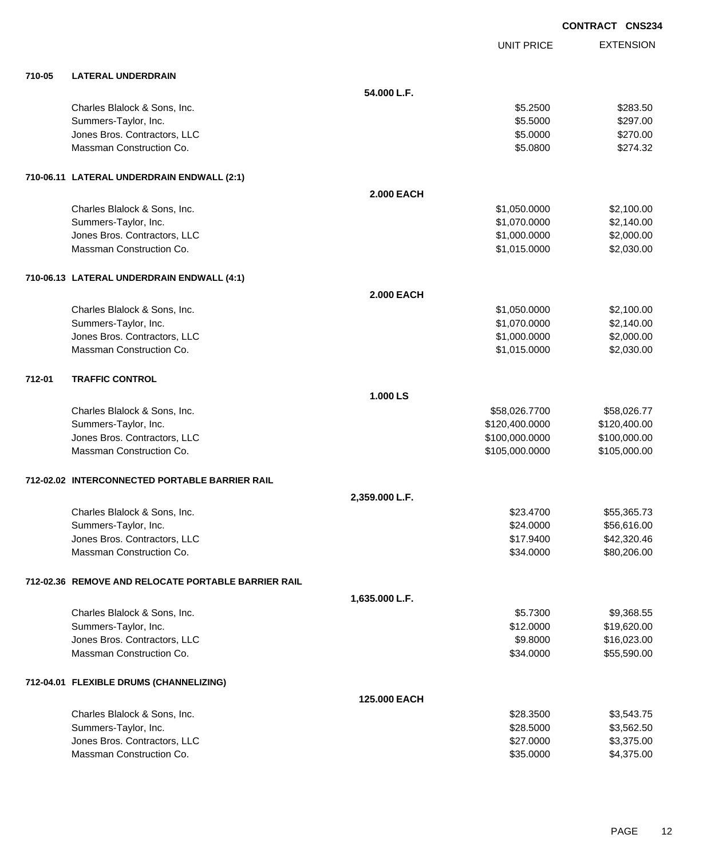|        |                                                          |                   |                        | <b>CONTRACT CNS234</b>   |
|--------|----------------------------------------------------------|-------------------|------------------------|--------------------------|
|        |                                                          |                   | <b>UNIT PRICE</b>      | <b>EXTENSION</b>         |
| 710-05 | <b>LATERAL UNDERDRAIN</b>                                |                   |                        |                          |
|        |                                                          | 54.000 L.F.       |                        |                          |
|        | Charles Blalock & Sons, Inc.                             |                   | \$5.2500               | \$283.50                 |
|        | Summers-Taylor, Inc.                                     |                   | \$5.5000               | \$297.00                 |
|        | Jones Bros. Contractors, LLC                             |                   | \$5.0000               | \$270.00                 |
|        | Massman Construction Co.                                 |                   | \$5.0800               | \$274.32                 |
|        | 710-06.11 LATERAL UNDERDRAIN ENDWALL (2:1)               |                   |                        |                          |
|        |                                                          | <b>2.000 EACH</b> |                        |                          |
|        | Charles Blalock & Sons, Inc.                             |                   | \$1,050.0000           | \$2,100.00               |
|        | Summers-Taylor, Inc.                                     |                   | \$1,070.0000           | \$2,140.00               |
|        | Jones Bros. Contractors, LLC                             |                   | \$1,000.0000           | \$2,000.00               |
|        | Massman Construction Co.                                 |                   | \$1,015.0000           | \$2,030.00               |
|        | 710-06.13 LATERAL UNDERDRAIN ENDWALL (4:1)               |                   |                        |                          |
|        |                                                          | <b>2.000 EACH</b> |                        |                          |
|        | Charles Blalock & Sons, Inc.                             |                   | \$1,050.0000           | \$2,100.00               |
|        | Summers-Taylor, Inc.                                     |                   | \$1,070.0000           | \$2,140.00               |
|        | Jones Bros. Contractors, LLC                             |                   | \$1,000.0000           | \$2,000.00               |
|        | Massman Construction Co.                                 |                   | \$1,015.0000           | \$2,030.00               |
| 712-01 | <b>TRAFFIC CONTROL</b>                                   |                   |                        |                          |
|        |                                                          | 1.000 LS          |                        |                          |
|        | Charles Blalock & Sons, Inc.                             |                   | \$58,026.7700          | \$58,026.77              |
|        | Summers-Taylor, Inc.                                     |                   | \$120,400.0000         | \$120,400.00             |
|        | Jones Bros. Contractors, LLC                             |                   | \$100,000.0000         | \$100,000.00             |
|        | Massman Construction Co.                                 |                   | \$105,000.0000         | \$105,000.00             |
|        | 712-02.02 INTERCONNECTED PORTABLE BARRIER RAIL           |                   |                        |                          |
|        |                                                          | 2,359.000 L.F.    |                        |                          |
|        | Charles Blalock & Sons, Inc.                             |                   | \$23.4700              | \$55,365.73              |
|        | Summers-Taylor, Inc.                                     |                   | \$24.0000              | \$56,616.00              |
|        | Jones Bros. Contractors, LLC                             |                   | \$17.9400              | \$42,320.46              |
|        | Massman Construction Co.                                 |                   | \$34.0000              | \$80,206.00              |
|        | 712-02.36 REMOVE AND RELOCATE PORTABLE BARRIER RAIL      |                   |                        |                          |
|        |                                                          | 1,635.000 L.F.    |                        |                          |
|        | Charles Blalock & Sons, Inc.                             |                   | \$5.7300               | \$9,368.55               |
|        | Summers-Taylor, Inc.                                     |                   | \$12.0000              | \$19,620.00              |
|        | Jones Bros. Contractors, LLC                             |                   | \$9.8000               | \$16,023.00              |
|        | Massman Construction Co.                                 |                   | \$34.0000              | \$55,590.00              |
|        | 712-04.01 FLEXIBLE DRUMS (CHANNELIZING)                  |                   |                        |                          |
|        |                                                          | 125.000 EACH      |                        |                          |
|        | Charles Blalock & Sons, Inc.                             |                   | \$28.3500              | \$3,543.75               |
|        | Summers-Taylor, Inc.                                     |                   | \$28.5000              | \$3,562.50               |
|        | Jones Bros. Contractors, LLC<br>Massman Construction Co. |                   | \$27.0000<br>\$35.0000 | \$3,375.00<br>\$4,375.00 |
|        |                                                          |                   |                        |                          |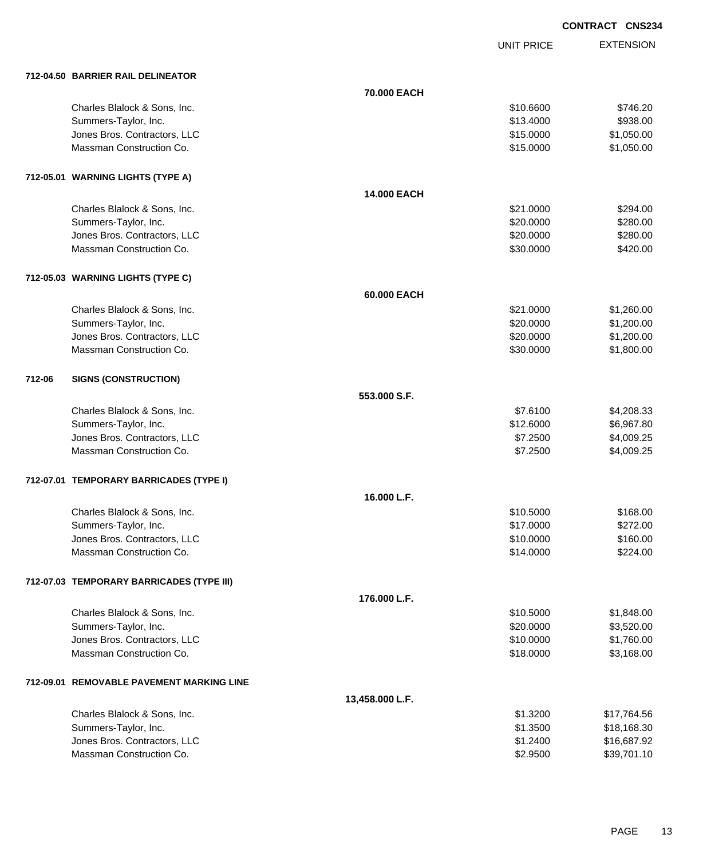UNIT PRICE

|        | 712-04.50 BARRIER RAIL DELINEATOR         |                    |           |             |
|--------|-------------------------------------------|--------------------|-----------|-------------|
|        |                                           | 70.000 EACH        |           |             |
|        | Charles Blalock & Sons, Inc.              |                    | \$10.6600 | \$746.20    |
|        | Summers-Taylor, Inc.                      |                    | \$13.4000 | \$938.00    |
|        | Jones Bros. Contractors, LLC              |                    | \$15.0000 | \$1,050.00  |
|        | Massman Construction Co.                  |                    | \$15.0000 | \$1,050.00  |
|        |                                           |                    |           |             |
|        | 712-05.01 WARNING LIGHTS (TYPE A)         |                    |           |             |
|        |                                           | <b>14.000 EACH</b> |           |             |
|        | Charles Blalock & Sons, Inc.              |                    | \$21.0000 | \$294.00    |
|        | Summers-Taylor, Inc.                      |                    | \$20.0000 | \$280.00    |
|        | Jones Bros. Contractors, LLC              |                    | \$20.0000 | \$280.00    |
|        | Massman Construction Co.                  |                    | \$30.0000 | \$420.00    |
|        | 712-05.03 WARNING LIGHTS (TYPE C)         |                    |           |             |
|        |                                           | 60.000 EACH        |           |             |
|        | Charles Blalock & Sons, Inc.              |                    | \$21.0000 | \$1,260.00  |
|        | Summers-Taylor, Inc.                      |                    | \$20.0000 | \$1,200.00  |
|        | Jones Bros. Contractors, LLC              |                    | \$20.0000 | \$1,200.00  |
|        | Massman Construction Co.                  |                    | \$30.0000 | \$1,800.00  |
| 712-06 | <b>SIGNS (CONSTRUCTION)</b>               |                    |           |             |
|        |                                           | 553.000 S.F.       |           |             |
|        | Charles Blalock & Sons, Inc.              |                    | \$7.6100  | \$4,208.33  |
|        | Summers-Taylor, Inc.                      |                    | \$12.6000 | \$6,967.80  |
|        | Jones Bros. Contractors, LLC              |                    | \$7.2500  | \$4,009.25  |
|        | Massman Construction Co.                  |                    | \$7.2500  | \$4,009.25  |
|        |                                           |                    |           |             |
|        | 712-07.01 TEMPORARY BARRICADES (TYPE I)   |                    |           |             |
|        |                                           | 16.000 L.F.        |           |             |
|        | Charles Blalock & Sons, Inc.              |                    | \$10.5000 | \$168.00    |
|        | Summers-Taylor, Inc.                      |                    | \$17.0000 | \$272.00    |
|        | Jones Bros. Contractors, LLC              |                    | \$10.0000 | \$160.00    |
|        | Massman Construction Co.                  |                    | \$14.0000 | \$224.00    |
|        | 712-07.03 TEMPORARY BARRICADES (TYPE III) |                    |           |             |
|        |                                           | 176.000 L.F.       |           |             |
|        | Charles Blalock & Sons, Inc.              |                    | \$10.5000 | \$1,848.00  |
|        | Summers-Taylor, Inc.                      |                    | \$20.0000 | \$3,520.00  |
|        | Jones Bros. Contractors, LLC              |                    | \$10.0000 | \$1,760.00  |
|        | Massman Construction Co.                  |                    | \$18.0000 | \$3,168.00  |
|        | 712-09.01 REMOVABLE PAVEMENT MARKING LINE |                    |           |             |
|        |                                           | 13,458.000 L.F.    |           |             |
|        | Charles Blalock & Sons, Inc.              |                    | \$1.3200  | \$17,764.56 |
|        | Summers-Taylor, Inc.                      |                    | \$1.3500  | \$18,168.30 |
|        | Jones Bros. Contractors, LLC              |                    | \$1.2400  | \$16,687.92 |
|        | Massman Construction Co.                  |                    | \$2.9500  | \$39,701.10 |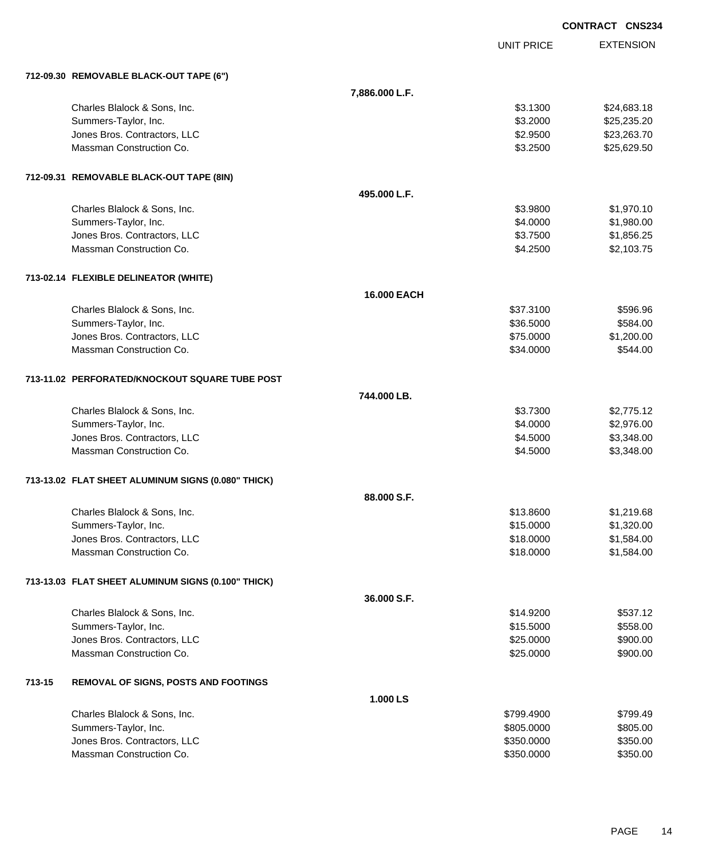|        |                                                    |                    |                   | <b>CONTRACT CNS234</b> |
|--------|----------------------------------------------------|--------------------|-------------------|------------------------|
|        |                                                    |                    | <b>UNIT PRICE</b> | <b>EXTENSION</b>       |
|        | 712-09.30 REMOVABLE BLACK-OUT TAPE (6")            |                    |                   |                        |
|        |                                                    | 7,886.000 L.F.     |                   |                        |
|        | Charles Blalock & Sons, Inc.                       |                    | \$3.1300          | \$24,683.18            |
|        | Summers-Taylor, Inc.                               |                    | \$3.2000          | \$25,235.20            |
|        | Jones Bros. Contractors, LLC                       |                    | \$2.9500          | \$23,263.70            |
|        | Massman Construction Co.                           |                    | \$3.2500          | \$25,629.50            |
|        | 712-09.31 REMOVABLE BLACK-OUT TAPE (8IN)           |                    |                   |                        |
|        |                                                    | 495.000 L.F.       |                   |                        |
|        | Charles Blalock & Sons, Inc.                       |                    | \$3.9800          | \$1,970.10             |
|        | Summers-Taylor, Inc.                               |                    | \$4.0000          | \$1,980.00             |
|        | Jones Bros. Contractors, LLC                       |                    | \$3.7500          | \$1,856.25             |
|        | Massman Construction Co.                           |                    | \$4.2500          | \$2,103.75             |
|        | 713-02.14 FLEXIBLE DELINEATOR (WHITE)              |                    |                   |                        |
|        |                                                    | <b>16,000 EACH</b> |                   |                        |
|        | Charles Blalock & Sons, Inc.                       |                    | \$37.3100         | \$596.96               |
|        | Summers-Taylor, Inc.                               |                    | \$36.5000         | \$584.00               |
|        | Jones Bros. Contractors, LLC                       |                    | \$75.0000         | \$1,200.00             |
|        | Massman Construction Co.                           |                    | \$34.0000         | \$544.00               |
|        | 713-11.02 PERFORATED/KNOCKOUT SQUARE TUBE POST     |                    |                   |                        |
|        |                                                    | 744.000 LB.        |                   |                        |
|        | Charles Blalock & Sons, Inc.                       |                    | \$3.7300          | \$2,775.12             |
|        | Summers-Taylor, Inc.                               |                    | \$4.0000          | \$2,976.00             |
|        | Jones Bros. Contractors, LLC                       |                    | \$4.5000          | \$3,348.00             |
|        | Massman Construction Co.                           |                    | \$4.5000          | \$3,348.00             |
|        | 713-13.02 FLAT SHEET ALUMINUM SIGNS (0.080" THICK) |                    |                   |                        |
|        |                                                    | 88,000 S.F.        |                   |                        |
|        | Charles Blalock & Sons, Inc.                       |                    | \$13.8600         | \$1,219.68             |
|        | Summers-Taylor, Inc.                               |                    | \$15.0000         | \$1,320.00             |
|        | Jones Bros. Contractors, LLC                       |                    | \$18.0000         | \$1,584.00             |
|        | Massman Construction Co.                           |                    | \$18.0000         | \$1,584.00             |
|        | 713-13.03 FLAT SHEET ALUMINUM SIGNS (0.100" THICK) |                    |                   |                        |
|        |                                                    | 36.000 S.F.        |                   |                        |
|        | Charles Blalock & Sons, Inc.                       |                    | \$14.9200         | \$537.12               |
|        | Summers-Taylor, Inc.                               |                    | \$15.5000         | \$558.00               |
|        | Jones Bros. Contractors, LLC                       |                    | \$25.0000         | \$900.00               |
|        | Massman Construction Co.                           |                    | \$25.0000         | \$900.00               |
| 713-15 | <b>REMOVAL OF SIGNS, POSTS AND FOOTINGS</b>        |                    |                   |                        |
|        |                                                    | 1.000 LS           |                   |                        |
|        | Charles Blalock & Sons, Inc.                       |                    | \$799.4900        | \$799.49               |
|        | Summers-Taylor, Inc.                               |                    | \$805.0000        | \$805.00               |
|        | Jones Bros. Contractors, LLC                       |                    | \$350.0000        | \$350.00               |
|        | Massman Construction Co.                           |                    | \$350.0000        | \$350.00               |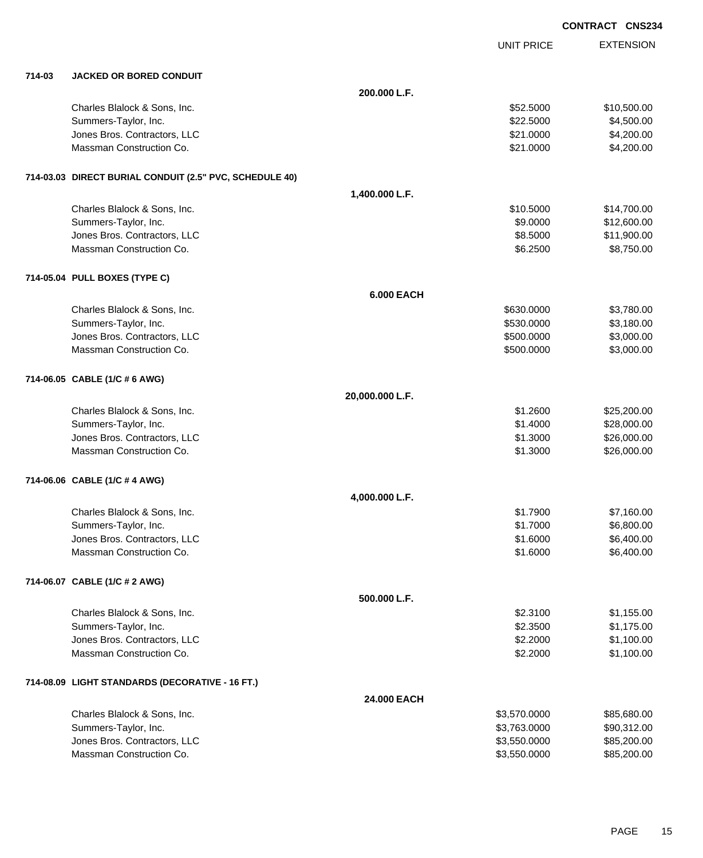|        |                                                         |                   |                   | <b>CONTRACT CNS234</b> |
|--------|---------------------------------------------------------|-------------------|-------------------|------------------------|
|        |                                                         |                   | <b>UNIT PRICE</b> | <b>EXTENSION</b>       |
| 714-03 | <b>JACKED OR BORED CONDUIT</b>                          |                   |                   |                        |
|        |                                                         | 200.000 L.F.      |                   |                        |
|        | Charles Blalock & Sons, Inc.                            |                   | \$52.5000         | \$10,500.00            |
|        | Summers-Taylor, Inc.                                    |                   | \$22.5000         | \$4,500.00             |
|        | Jones Bros. Contractors, LLC                            |                   | \$21.0000         | \$4,200.00             |
|        | Massman Construction Co.                                |                   | \$21.0000         | \$4,200.00             |
|        | 714-03.03 DIRECT BURIAL CONDUIT (2.5" PVC, SCHEDULE 40) |                   |                   |                        |
|        |                                                         | 1,400.000 L.F.    |                   |                        |
|        | Charles Blalock & Sons, Inc.                            |                   | \$10.5000         | \$14,700.00            |
|        | Summers-Taylor, Inc.                                    |                   | \$9.0000          | \$12,600.00            |
|        | Jones Bros. Contractors, LLC                            |                   | \$8.5000          | \$11,900.00            |
|        | Massman Construction Co.                                |                   | \$6.2500          | \$8,750.00             |
|        | 714-05.04 PULL BOXES (TYPE C)                           |                   |                   |                        |
|        |                                                         | <b>6.000 EACH</b> |                   |                        |
|        | Charles Blalock & Sons, Inc.                            |                   | \$630.0000        | \$3,780.00             |
|        | Summers-Taylor, Inc.                                    |                   | \$530.0000        | \$3,180.00             |
|        | Jones Bros. Contractors, LLC                            |                   | \$500.0000        | \$3,000.00             |
|        | Massman Construction Co.                                |                   | \$500.0000        | \$3,000.00             |
|        | 714-06.05 CABLE (1/C # 6 AWG)                           |                   |                   |                        |
|        |                                                         | 20,000.000 L.F.   |                   |                        |
|        | Charles Blalock & Sons, Inc.                            |                   | \$1.2600          | \$25,200.00            |
|        | Summers-Taylor, Inc.                                    |                   | \$1.4000          | \$28,000.00            |
|        | Jones Bros. Contractors, LLC                            |                   | \$1.3000          | \$26,000.00            |
|        | Massman Construction Co.                                |                   | \$1.3000          | \$26,000.00            |
|        | 714-06.06 CABLE (1/C # 4 AWG)                           |                   |                   |                        |
|        |                                                         | 4,000.000 L.F.    |                   |                        |
|        | Charles Blalock & Sons, Inc.                            |                   | \$1.7900          | \$7,160.00             |
|        | Summers-Taylor, Inc.                                    |                   | \$1.7000          | \$6,800.00             |
|        | Jones Bros. Contractors, LLC                            |                   | \$1.6000          | \$6,400.00             |
|        | Massman Construction Co.                                |                   | \$1.6000          | \$6,400.00             |
|        | 714-06.07 CABLE (1/C # 2 AWG)                           |                   |                   |                        |
|        |                                                         | 500.000 L.F.      |                   |                        |
|        | Charles Blalock & Sons, Inc.                            |                   | \$2.3100          | \$1,155.00             |
|        | Summers-Taylor, Inc.                                    |                   | \$2.3500          | \$1,175.00             |
|        | Jones Bros. Contractors, LLC                            |                   | \$2.2000          | \$1,100.00             |
|        | Massman Construction Co.                                |                   | \$2.2000          | \$1,100.00             |
|        | 714-08.09 LIGHT STANDARDS (DECORATIVE - 16 FT.)         |                   |                   |                        |
|        |                                                         | 24.000 EACH       |                   |                        |
|        | Charles Blalock & Sons, Inc.                            |                   | \$3,570.0000      | \$85,680.00            |
|        | Summers-Taylor, Inc.                                    |                   | \$3,763.0000      | \$90,312.00            |
|        | Jones Bros. Contractors, LLC                            |                   | \$3,550.0000      | \$85,200.00            |
|        | Massman Construction Co.                                |                   | \$3,550.0000      | \$85,200.00            |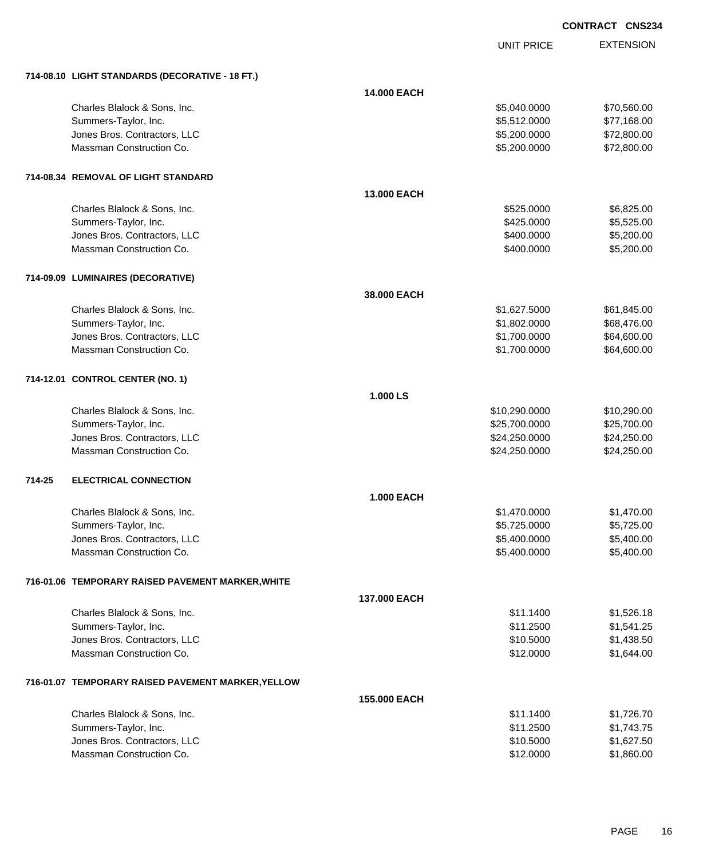|        |                                                    |                    |                   | <b>CONTRACT CNS234</b> |                  |
|--------|----------------------------------------------------|--------------------|-------------------|------------------------|------------------|
|        |                                                    |                    | <b>UNIT PRICE</b> |                        | <b>EXTENSION</b> |
|        | 714-08.10 LIGHT STANDARDS (DECORATIVE - 18 FT.)    |                    |                   |                        |                  |
|        |                                                    | <b>14.000 EACH</b> |                   |                        |                  |
|        | Charles Blalock & Sons, Inc.                       |                    | \$5,040.0000      |                        | \$70,560.00      |
|        | Summers-Taylor, Inc.                               |                    | \$5,512.0000      |                        | \$77,168.00      |
|        | Jones Bros. Contractors, LLC                       |                    | \$5,200.0000      |                        | \$72,800.00      |
|        | Massman Construction Co.                           |                    | \$5,200.0000      |                        | \$72,800.00      |
|        | 714-08.34 REMOVAL OF LIGHT STANDARD                |                    |                   |                        |                  |
|        |                                                    | 13.000 EACH        |                   |                        |                  |
|        | Charles Blalock & Sons, Inc.                       |                    | \$525.0000        |                        | \$6,825.00       |
|        | Summers-Taylor, Inc.                               |                    | \$425.0000        |                        | \$5,525.00       |
|        | Jones Bros. Contractors, LLC                       |                    | \$400.0000        |                        | \$5,200.00       |
|        | Massman Construction Co.                           |                    | \$400.0000        |                        | \$5,200.00       |
|        | 714-09.09 LUMINAIRES (DECORATIVE)                  |                    |                   |                        |                  |
|        |                                                    | 38,000 EACH        |                   |                        |                  |
|        | Charles Blalock & Sons, Inc.                       |                    | \$1,627.5000      |                        | \$61,845.00      |
|        | Summers-Taylor, Inc.                               |                    | \$1,802.0000      |                        | \$68,476.00      |
|        | Jones Bros. Contractors, LLC                       |                    | \$1,700.0000      |                        | \$64,600.00      |
|        | Massman Construction Co.                           |                    | \$1,700.0000      |                        | \$64,600.00      |
|        | 714-12.01 CONTROL CENTER (NO. 1)                   |                    |                   |                        |                  |
|        |                                                    | 1.000 LS           |                   |                        |                  |
|        | Charles Blalock & Sons, Inc.                       |                    | \$10,290.0000     |                        | \$10,290.00      |
|        | Summers-Taylor, Inc.                               |                    | \$25,700.0000     |                        | \$25,700.00      |
|        | Jones Bros. Contractors, LLC                       |                    | \$24,250.0000     |                        | \$24,250.00      |
|        | Massman Construction Co.                           |                    | \$24,250.0000     |                        | \$24,250.00      |
| 714-25 | <b>ELECTRICAL CONNECTION</b>                       |                    |                   |                        |                  |
|        |                                                    | <b>1.000 EACH</b>  |                   |                        |                  |
|        | Charles Blalock & Sons, Inc.                       |                    | \$1,470.0000      |                        | \$1,470.00       |
|        | Summers-Taylor, Inc.                               |                    | \$5,725.0000      |                        | \$5,725.00       |
|        | Jones Bros. Contractors, LLC                       |                    | \$5,400.0000      |                        | \$5,400.00       |
|        | Massman Construction Co.                           |                    | \$5,400.0000      |                        | \$5,400.00       |
|        | 716-01.06 TEMPORARY RAISED PAVEMENT MARKER, WHITE  |                    |                   |                        |                  |
|        |                                                    | 137.000 EACH       |                   |                        |                  |
|        | Charles Blalock & Sons, Inc.                       |                    | \$11.1400         |                        | \$1,526.18       |
|        | Summers-Taylor, Inc.                               |                    | \$11.2500         |                        | \$1,541.25       |
|        | Jones Bros. Contractors, LLC                       |                    | \$10.5000         |                        | \$1,438.50       |
|        | Massman Construction Co.                           |                    | \$12.0000         |                        | \$1,644.00       |
|        | 716-01.07 TEMPORARY RAISED PAVEMENT MARKER, YELLOW |                    |                   |                        |                  |
|        |                                                    | 155.000 EACH       |                   |                        |                  |

| Charles Blalock & Sons, Inc. | \$11.1400 | \$1.726.70 |
|------------------------------|-----------|------------|
| Summers-Taylor, Inc.         | \$11,2500 | \$1.743.75 |
| Jones Bros. Contractors, LLC | \$10,5000 | \$1,627.50 |
| Massman Construction Co.     | \$12,0000 | \$1,860.00 |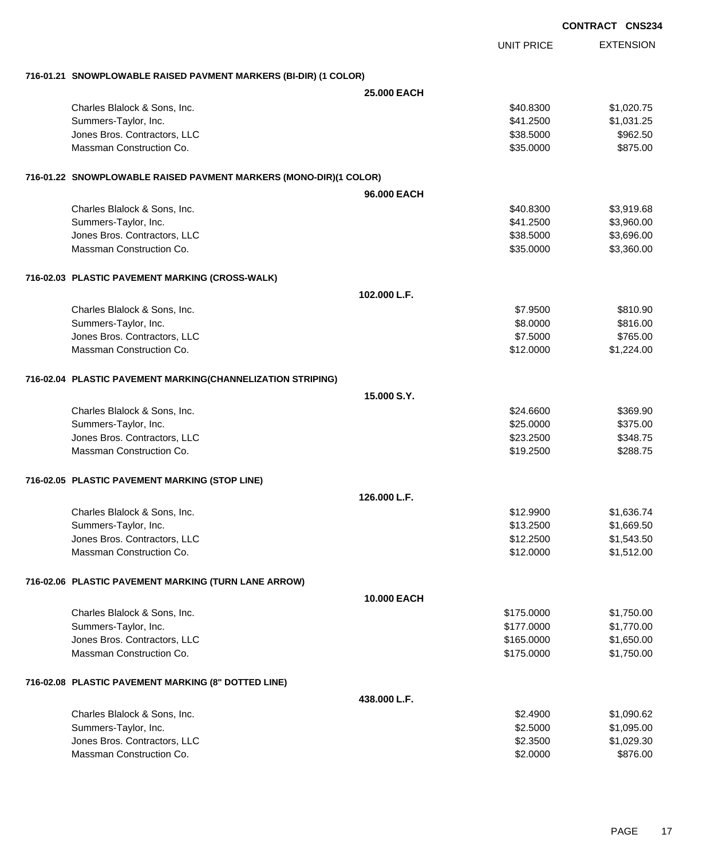|                                                                   |                    |                   | <b>UUNIKAUI UNSZJ</b> |
|-------------------------------------------------------------------|--------------------|-------------------|-----------------------|
|                                                                   |                    | <b>UNIT PRICE</b> | <b>EXTENSION</b>      |
| 716-01.21 SNOWPLOWABLE RAISED PAVMENT MARKERS (BI-DIR) (1 COLOR)  |                    |                   |                       |
|                                                                   | <b>25.000 EACH</b> |                   |                       |
| Charles Blalock & Sons, Inc.                                      |                    | \$40.8300         | \$1,020.75            |
| Summers-Taylor, Inc.                                              |                    | \$41.2500         | \$1,031.25            |
| Jones Bros. Contractors, LLC                                      |                    | \$38.5000         | \$962.50              |
| Massman Construction Co.                                          |                    | \$35.0000         | \$875.00              |
| 716-01.22 SNOWPLOWABLE RAISED PAVMENT MARKERS (MONO-DIR)(1 COLOR) |                    |                   |                       |
|                                                                   | 96.000 EACH        |                   |                       |
| Charles Blalock & Sons, Inc.                                      |                    | \$40.8300         | \$3,919.68            |
| Summers-Taylor, Inc.                                              |                    | \$41.2500         | \$3,960.00            |
| Jones Bros. Contractors, LLC                                      |                    | \$38.5000         | \$3,696.00            |
| Massman Construction Co.                                          |                    | \$35.0000         | \$3,360.00            |
| 716-02.03 PLASTIC PAVEMENT MARKING (CROSS-WALK)                   |                    |                   |                       |
|                                                                   | 102.000 L.F.       |                   |                       |
| Charles Blalock & Sons, Inc.                                      |                    | \$7.9500          | \$810.90              |
| Summers-Taylor, Inc.                                              |                    | \$8.0000          | \$816.00              |
| Jones Bros. Contractors, LLC                                      |                    | \$7.5000          | \$765.00              |
| Massman Construction Co.                                          |                    | \$12.0000         | \$1,224.00            |
| 716-02.04 PLASTIC PAVEMENT MARKING(CHANNELIZATION STRIPING)       |                    |                   |                       |
|                                                                   | 15.000 S.Y.        |                   |                       |
| Charles Blalock & Sons, Inc.                                      |                    | \$24.6600         | \$369.90              |
| Summers-Taylor, Inc.                                              |                    | \$25.0000         | \$375.00              |
| Jones Bros. Contractors, LLC                                      |                    | \$23.2500         | \$348.75              |
| Massman Construction Co.                                          |                    | \$19.2500         | \$288.75              |
| 716-02.05 PLASTIC PAVEMENT MARKING (STOP LINE)                    |                    |                   |                       |
|                                                                   | 126.000 L.F.       |                   |                       |
| Charles Blalock & Sons, Inc.                                      |                    | \$12.9900         | \$1,636.74            |
| Summers-Taylor, Inc.                                              |                    | \$13.2500         | \$1,669.50            |
| Jones Bros. Contractors, LLC                                      |                    | \$12.2500         | \$1,543.50            |
| Massman Construction Co.                                          |                    | \$12.0000         | \$1,512.00            |
| 716-02.06 PLASTIC PAVEMENT MARKING (TURN LANE ARROW)              |                    |                   |                       |
|                                                                   | 10.000 EACH        |                   |                       |
| Charles Blalock & Sons, Inc.                                      |                    | \$175.0000        | \$1,750.00            |
| Summers-Taylor, Inc.                                              |                    | \$177.0000        | \$1,770.00            |
| Jones Bros. Contractors, LLC                                      |                    | \$165.0000        | \$1,650.00            |
| Massman Construction Co.                                          |                    | \$175.0000        | \$1,750.00            |
| 716-02.08 PLASTIC PAVEMENT MARKING (8" DOTTED LINE)               |                    |                   |                       |
|                                                                   | 438.000 L.F.       |                   |                       |
| Charles Blalock & Sons, Inc.                                      |                    | \$2.4900          | \$1,090.62            |
| Summers-Taylor, Inc.                                              |                    | \$2.5000          | \$1,095.00            |
| Jones Bros. Contractors, LLC                                      |                    | \$2.3500          | \$1,029.30            |
| Massman Construction Co.                                          |                    | \$2.0000          | \$876.00              |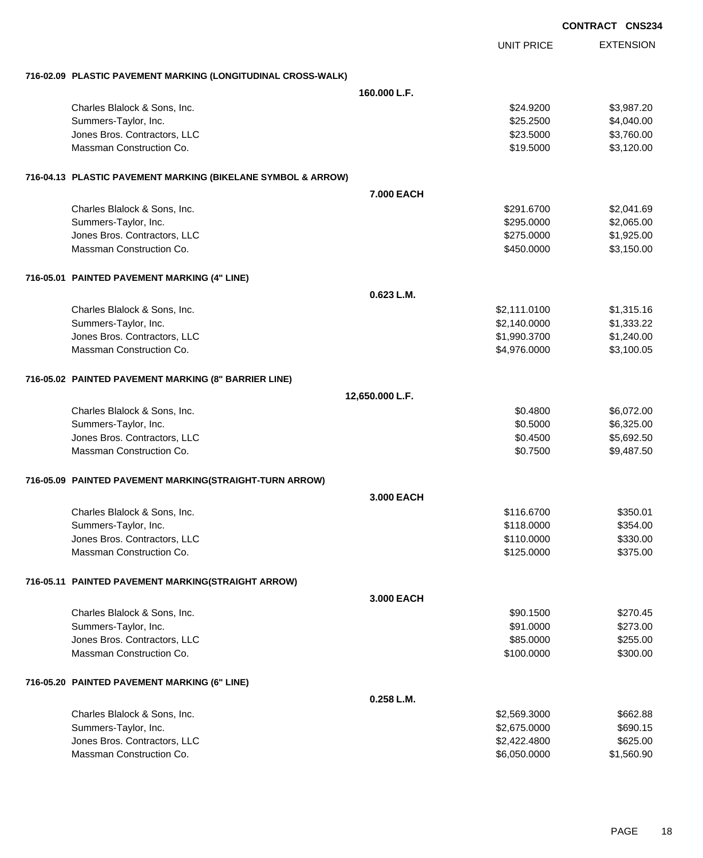|                                                              |                   | <b>CONTRACT CNS234</b> |
|--------------------------------------------------------------|-------------------|------------------------|
|                                                              | <b>UNIT PRICE</b> | <b>EXTENSION</b>       |
| 716-02.09 PLASTIC PAVEMENT MARKING (LONGITUDINAL CROSS-WALK) |                   |                        |
|                                                              | 160,000 L.F.      |                        |
| Charles Blalock & Sons, Inc.                                 | \$24.9200         | \$3,987.20             |
| Summers-Taylor, Inc.                                         | \$25.2500         | \$4,040.00             |
| Jones Bros. Contractors, LLC                                 | \$23.5000         | \$3,760.00             |
| Massman Construction Co.                                     | \$19.5000         | \$3,120.00             |
| 716-04.13 PLASTIC PAVEMENT MARKING (BIKELANE SYMBOL & ARROW) |                   |                        |
|                                                              | 7.000 EACH        |                        |
| Charles Blalock & Sons, Inc.                                 | \$291.6700        | \$2,041.69             |
| Summers-Taylor, Inc.                                         | \$295.0000        | \$2,065.00             |
| Jones Bros. Contractors, LLC                                 | \$275.0000        | \$1,925.00             |
| Massman Construction Co.                                     | \$450.0000        | \$3,150.00             |
| 716-05.01 PAINTED PAVEMENT MARKING (4" LINE)                 |                   |                        |
|                                                              | 0.623 L.M.        |                        |
| Charles Blalock & Sons, Inc.                                 | \$2,111.0100      | \$1,315.16             |
| Summers-Taylor, Inc.                                         | \$2,140.0000      | \$1,333.22             |
| Jones Bros. Contractors, LLC                                 | \$1,990.3700      | \$1,240.00             |
| Massman Construction Co.                                     | \$4,976.0000      | \$3,100.05             |
| 716-05.02 PAINTED PAVEMENT MARKING (8" BARRIER LINE)         |                   |                        |
|                                                              | 12,650.000 L.F.   |                        |
| Charles Blalock & Sons, Inc.                                 | \$0.4800          | \$6,072.00             |
| Summers-Taylor, Inc.                                         | \$0.5000          | \$6,325.00             |
| Jones Bros. Contractors, LLC                                 | \$0.4500          | \$5,692.50             |
| Massman Construction Co.                                     | \$0.7500          | \$9,487.50             |
| 716-05.09 PAINTED PAVEMENT MARKING(STRAIGHT-TURN ARROW)      |                   |                        |
|                                                              | 3.000 EACH        |                        |
| Charles Blalock & Sons, Inc.                                 | \$116.6700        | \$350.01               |
| Summers-Taylor, Inc.                                         | \$118.0000        | \$354.00               |
| Jones Bros. Contractors, LLC                                 | \$110.0000        | \$330.00               |
| Massman Construction Co.                                     | \$125.0000        | \$375.00               |
| 716-05.11 PAINTED PAVEMENT MARKING(STRAIGHT ARROW)           |                   |                        |
|                                                              | 3.000 EACH        |                        |
| Charles Blalock & Sons, Inc.                                 | \$90.1500         | \$270.45               |
| Summers-Taylor, Inc.                                         | \$91.0000         | \$273.00               |
| Jones Bros. Contractors, LLC                                 | \$85.0000         | \$255.00               |
| Massman Construction Co.                                     | \$100.0000        | \$300.00               |
| 716-05.20 PAINTED PAVEMENT MARKING (6" LINE)                 |                   |                        |
|                                                              | 0.258 L.M.        |                        |
| Charles Blalock & Sons, Inc.                                 | \$2,569.3000      | \$662.88               |
| Summers-Taylor, Inc.                                         | \$2,675.0000      | \$690.15               |
| Jones Bros. Contractors, LLC                                 | \$2,422.4800      | \$625.00               |
| Massman Construction Co.                                     | \$6,050.0000      | \$1,560.90             |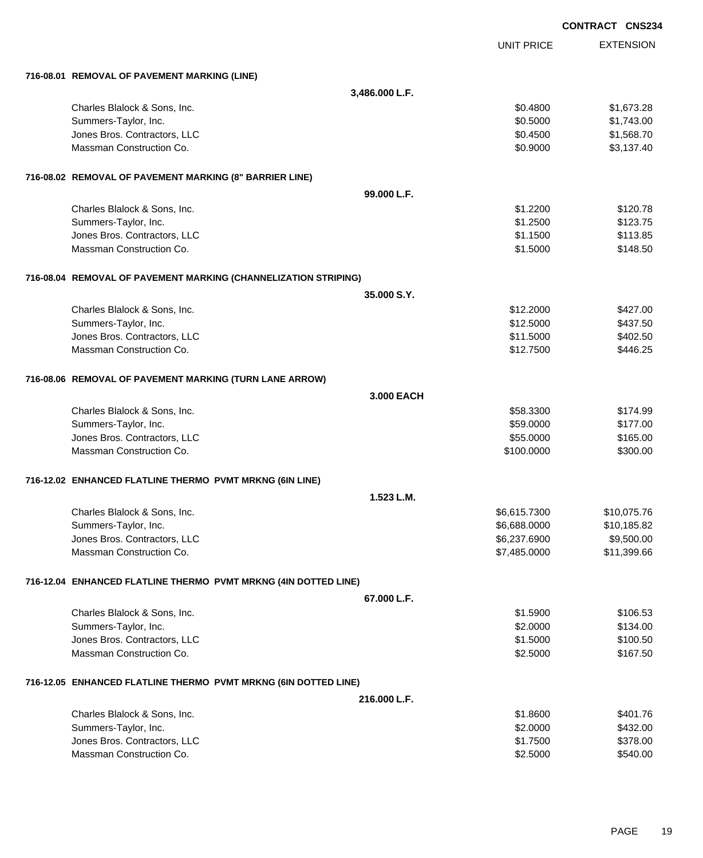|                                                                 |                |                   | <b>CONTRACT CNS234</b> |
|-----------------------------------------------------------------|----------------|-------------------|------------------------|
|                                                                 |                | <b>UNIT PRICE</b> | <b>EXTENSION</b>       |
| 716-08.01 REMOVAL OF PAVEMENT MARKING (LINE)                    |                |                   |                        |
|                                                                 | 3,486.000 L.F. |                   |                        |
| Charles Blalock & Sons, Inc.                                    |                | \$0.4800          | \$1,673.28             |
| Summers-Taylor, Inc.                                            |                | \$0.5000          | \$1,743.00             |
| Jones Bros. Contractors, LLC                                    |                | \$0.4500          | \$1,568.70             |
| Massman Construction Co.                                        |                | \$0.9000          | \$3,137.40             |
| 716-08.02 REMOVAL OF PAVEMENT MARKING (8" BARRIER LINE)         |                |                   |                        |
|                                                                 | 99.000 L.F.    |                   |                        |
| Charles Blalock & Sons, Inc.                                    |                | \$1.2200          | \$120.78               |
| Summers-Taylor, Inc.                                            |                | \$1.2500          | \$123.75               |
| Jones Bros. Contractors, LLC                                    |                | \$1.1500          | \$113.85               |
| Massman Construction Co.                                        |                | \$1.5000          | \$148.50               |
| 716-08.04 REMOVAL OF PAVEMENT MARKING (CHANNELIZATION STRIPING) |                |                   |                        |
|                                                                 | 35.000 S.Y.    |                   |                        |
| Charles Blalock & Sons, Inc.                                    |                | \$12,2000         | \$427.00               |
| Summers-Taylor, Inc.                                            |                | \$12.5000         | \$437.50               |
| Jones Bros. Contractors, LLC                                    |                | \$11.5000         | \$402.50               |
| Massman Construction Co.                                        |                | \$12.7500         | \$446.25               |
| 716-08.06 REMOVAL OF PAVEMENT MARKING (TURN LANE ARROW)         |                |                   |                        |
|                                                                 | 3.000 EACH     |                   |                        |
| Charles Blalock & Sons, Inc.                                    |                | \$58.3300         | \$174.99               |
| Summers-Taylor, Inc.                                            |                | \$59.0000         | \$177.00               |
| Jones Bros. Contractors, LLC                                    |                | \$55.0000         | \$165.00               |
| Massman Construction Co.                                        |                | \$100.0000        | \$300.00               |
| 716-12.02 ENHANCED FLATLINE THERMO PVMT MRKNG (6IN LINE)        |                |                   |                        |
|                                                                 | 1.523 L.M.     |                   |                        |
| Charles Blalock & Sons, Inc.                                    |                | \$6,615.7300      | \$10,075.76            |
| Summers-Taylor, Inc.                                            |                | \$6,688.0000      | \$10,185.82            |
| Jones Bros. Contractors, LLC                                    |                | \$6,237.6900      | \$9,500.00             |
| Massman Construction Co.                                        |                | \$7,485.0000      | \$11,399.66            |
| 716-12.04 ENHANCED FLATLINE THERMO PVMT MRKNG (4IN DOTTED LINE) |                |                   |                        |
|                                                                 | 67.000 L.F.    |                   |                        |
| Charles Blalock & Sons, Inc.                                    |                | \$1.5900          | \$106.53               |
| Summers-Taylor, Inc.                                            |                | \$2.0000          | \$134.00               |
| Jones Bros. Contractors, LLC                                    |                | \$1.5000          | \$100.50               |
| Massman Construction Co.                                        |                | \$2.5000          | \$167.50               |
| 716-12.05 ENHANCED FLATLINE THERMO PVMT MRKNG (6IN DOTTED LINE) |                |                   |                        |
|                                                                 | 216.000 L.F.   |                   |                        |
| Charles Blalock & Sons, Inc.                                    |                | \$1.8600          | \$401.76               |
| Summers-Taylor, Inc.                                            |                | \$2.0000          | \$432.00               |
| Jones Bros. Contractors, LLC                                    |                | \$1.7500          | \$378.00               |
| Massman Construction Co.                                        |                | \$2.5000          | \$540.00               |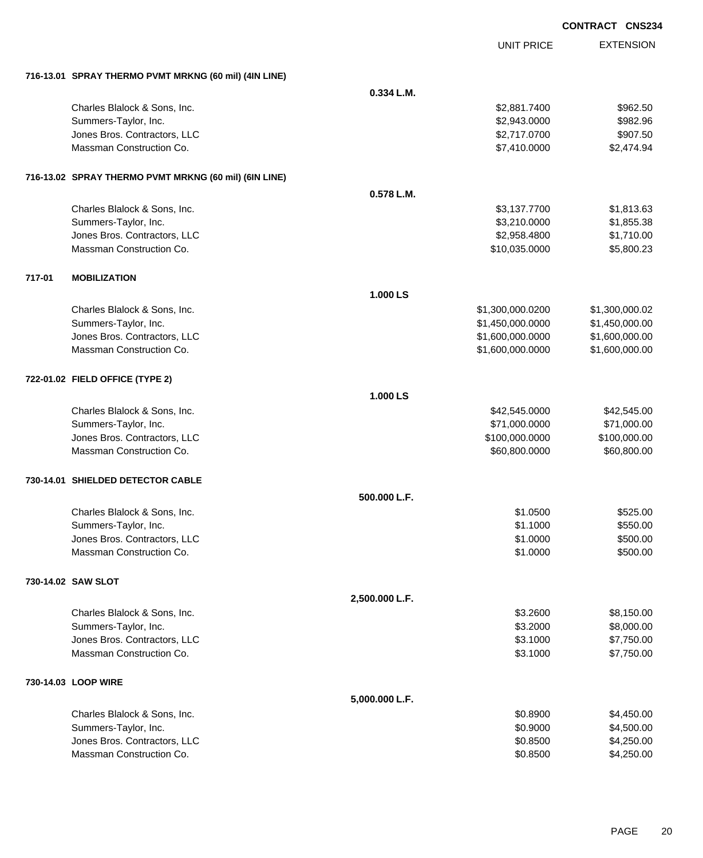|        |                                                       |                |                   | <b>CONTRACT CNS234</b> |
|--------|-------------------------------------------------------|----------------|-------------------|------------------------|
|        |                                                       |                | <b>UNIT PRICE</b> | <b>EXTENSION</b>       |
|        | 716-13.01 SPRAY THERMO PVMT MRKNG (60 mil) (4IN LINE) |                |                   |                        |
|        |                                                       | $0.334$ L.M.   |                   |                        |
|        | Charles Blalock & Sons, Inc.                          |                | \$2,881.7400      | \$962.50               |
|        | Summers-Taylor, Inc.                                  |                | \$2,943.0000      | \$982.96               |
|        | Jones Bros. Contractors, LLC                          |                | \$2,717.0700      | \$907.50               |
|        | Massman Construction Co.                              |                | \$7,410.0000      | \$2,474.94             |
|        | 716-13.02 SPRAY THERMO PVMT MRKNG (60 mil) (6IN LINE) |                |                   |                        |
|        |                                                       | 0.578 L.M.     |                   |                        |
|        | Charles Blalock & Sons, Inc.                          |                | \$3,137.7700      | \$1,813.63             |
|        | Summers-Taylor, Inc.                                  |                | \$3,210.0000      | \$1,855.38             |
|        | Jones Bros. Contractors, LLC                          |                | \$2,958.4800      | \$1,710.00             |
|        | Massman Construction Co.                              |                | \$10,035.0000     | \$5,800.23             |
| 717-01 | <b>MOBILIZATION</b>                                   |                |                   |                        |
|        |                                                       | 1.000 LS       |                   |                        |
|        | Charles Blalock & Sons, Inc.                          |                | \$1,300,000.0200  | \$1,300,000.02         |
|        | Summers-Taylor, Inc.                                  |                | \$1,450,000.0000  | \$1,450,000.00         |
|        | Jones Bros. Contractors, LLC                          |                | \$1,600,000.0000  | \$1,600,000.00         |
|        | Massman Construction Co.                              |                | \$1,600,000.0000  | \$1,600,000.00         |
|        | 722-01.02 FIELD OFFICE (TYPE 2)                       |                |                   |                        |
|        |                                                       | 1.000 LS       |                   |                        |
|        | Charles Blalock & Sons, Inc.                          |                | \$42,545.0000     | \$42,545.00            |
|        | Summers-Taylor, Inc.                                  |                | \$71,000.0000     | \$71,000.00            |
|        | Jones Bros. Contractors, LLC                          |                | \$100,000.0000    | \$100,000.00           |
|        | Massman Construction Co.                              |                | \$60,800.0000     | \$60,800.00            |
|        | 730-14.01 SHIELDED DETECTOR CABLE                     |                |                   |                        |
|        |                                                       | 500.000 L.F.   |                   |                        |
|        | Charles Blalock & Sons, Inc.                          |                | \$1.0500          | \$525.00               |
|        | Summers-Taylor, Inc.                                  |                | \$1.1000          | \$550.00               |
|        | Jones Bros. Contractors, LLC                          |                | \$1.0000          | \$500.00               |
|        | Massman Construction Co.                              |                | \$1.0000          | \$500.00               |
|        | 730-14.02 SAW SLOT                                    |                |                   |                        |
|        |                                                       | 2,500.000 L.F. |                   |                        |
|        | Charles Blalock & Sons, Inc.                          |                | \$3.2600          | \$8,150.00             |
|        | Summers-Taylor, Inc.                                  |                | \$3.2000          | \$8,000.00             |
|        | Jones Bros. Contractors, LLC                          |                | \$3.1000          | \$7,750.00             |
|        | Massman Construction Co.                              |                | \$3.1000          | \$7,750.00             |
|        | 730-14.03 LOOP WIRE                                   |                |                   |                        |
|        |                                                       | 5,000.000 L.F. |                   |                        |
|        | Charles Blalock & Sons, Inc.                          |                | \$0.8900          | \$4,450.00             |
|        | Summers-Taylor, Inc.                                  |                | \$0.9000          | \$4,500.00             |
|        | Jones Bros. Contractors, LLC                          |                | \$0.8500          | \$4,250.00             |
|        | Massman Construction Co.                              |                | \$0.8500          | \$4,250.00             |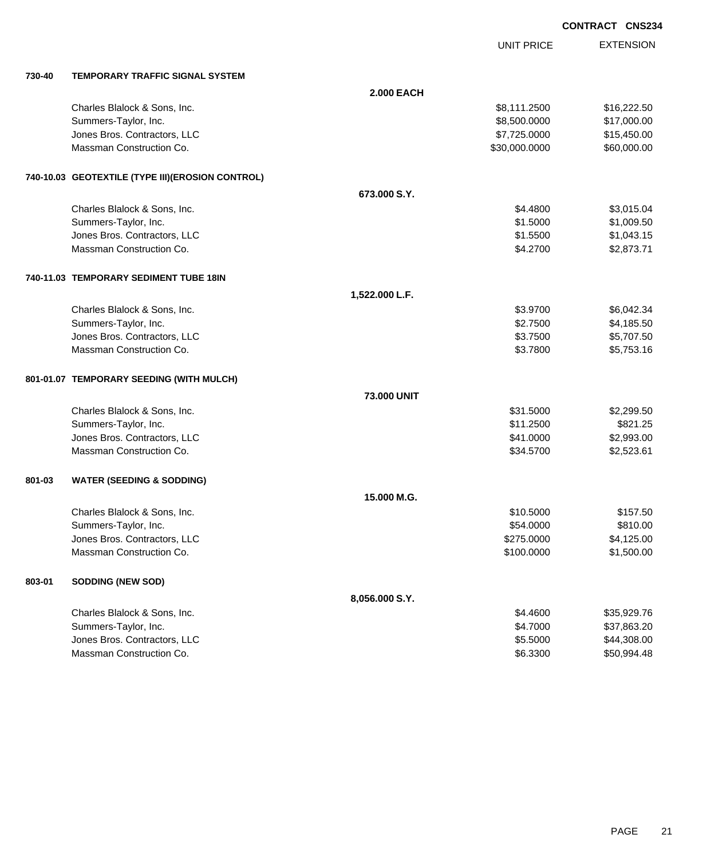|        |                                                   |                    |                   | <b>CONTRACT CNS234</b> |  |
|--------|---------------------------------------------------|--------------------|-------------------|------------------------|--|
|        |                                                   |                    | <b>UNIT PRICE</b> | <b>EXTENSION</b>       |  |
| 730-40 | TEMPORARY TRAFFIC SIGNAL SYSTEM                   |                    |                   |                        |  |
|        |                                                   | <b>2.000 EACH</b>  |                   |                        |  |
|        | Charles Blalock & Sons, Inc.                      |                    | \$8,111.2500      | \$16,222.50            |  |
|        | Summers-Taylor, Inc.                              |                    | \$8,500.0000      | \$17,000.00            |  |
|        | Jones Bros. Contractors, LLC                      |                    | \$7,725.0000      | \$15,450.00            |  |
|        | Massman Construction Co.                          |                    | \$30,000.0000     | \$60,000.00            |  |
|        | 740-10.03 GEOTEXTILE (TYPE III) (EROSION CONTROL) |                    |                   |                        |  |
|        |                                                   | 673,000 S.Y.       |                   |                        |  |
|        | Charles Blalock & Sons, Inc.                      |                    | \$4.4800          | \$3,015.04             |  |
|        | Summers-Taylor, Inc.                              |                    | \$1.5000          | \$1,009.50             |  |
|        | Jones Bros. Contractors, LLC                      |                    | \$1.5500          | \$1,043.15             |  |
|        | Massman Construction Co.                          |                    | \$4.2700          | \$2,873.71             |  |
|        | 740-11.03 TEMPORARY SEDIMENT TUBE 18IN            |                    |                   |                        |  |
|        |                                                   | 1,522.000 L.F.     |                   |                        |  |
|        | Charles Blalock & Sons, Inc.                      |                    | \$3.9700          | \$6,042.34             |  |
|        | Summers-Taylor, Inc.                              |                    | \$2.7500          | \$4,185.50             |  |
|        | Jones Bros. Contractors, LLC                      |                    | \$3.7500          | \$5,707.50             |  |
|        | Massman Construction Co.                          |                    | \$3.7800          | \$5,753.16             |  |
|        | 801-01.07 TEMPORARY SEEDING (WITH MULCH)          |                    |                   |                        |  |
|        |                                                   | <b>73,000 UNIT</b> |                   |                        |  |
|        | Charles Blalock & Sons, Inc.                      |                    | \$31.5000         | \$2,299.50             |  |
|        | Summers-Taylor, Inc.                              |                    | \$11.2500         | \$821.25               |  |
|        | Jones Bros. Contractors, LLC                      |                    | \$41.0000         | \$2,993.00             |  |
|        | Massman Construction Co.                          |                    | \$34.5700         | \$2,523.61             |  |
| 801-03 | <b>WATER (SEEDING &amp; SODDING)</b>              |                    |                   |                        |  |
|        |                                                   | 15,000 M.G.        |                   |                        |  |
|        | Charles Blalock & Sons, Inc.                      |                    | \$10.5000         | \$157.50               |  |
|        | Summers-Taylor, Inc.                              |                    | \$54.0000         | \$810.00               |  |
|        | Jones Bros. Contractors, LLC                      |                    | \$275.0000        | \$4,125.00             |  |
|        | Massman Construction Co.                          |                    | \$100.0000        | \$1,500.00             |  |
| 803-01 | <b>SODDING (NEW SOD)</b>                          |                    |                   |                        |  |
|        |                                                   | 8,056.000 S.Y.     |                   |                        |  |
|        | Charles Blalock & Sons, Inc.                      |                    | \$4.4600          | \$35,929.76            |  |
|        | Summers-Taylor, Inc.                              |                    | \$4.7000          | \$37,863.20            |  |

dones Bros. Contractors, LLC 600 \$44,308.00 Massman Construction Co. 6. 2012 12:3300 \$50,994.48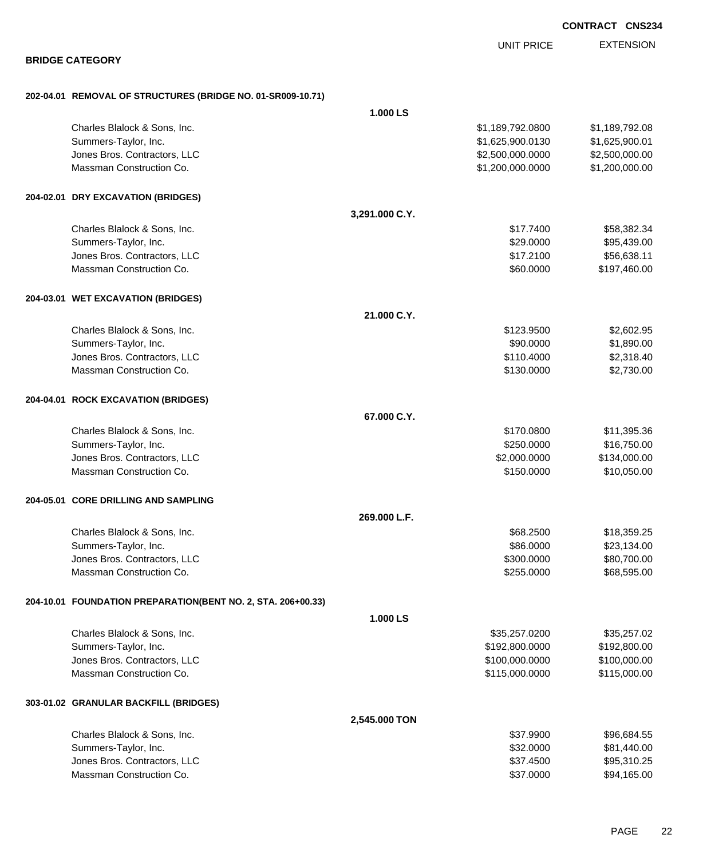| <b>BRIDGE CATEGORY</b>                                       |                | <b>UNIT PRICE</b> | <b>EXTENSION</b> |
|--------------------------------------------------------------|----------------|-------------------|------------------|
|                                                              |                |                   |                  |
| 202-04.01 REMOVAL OF STRUCTURES (BRIDGE NO. 01-SR009-10.71)  |                |                   |                  |
|                                                              | 1.000 LS       |                   |                  |
| Charles Blalock & Sons, Inc.                                 |                | \$1,189,792.0800  | \$1,189,792.08   |
| Summers-Taylor, Inc.                                         |                | \$1,625,900.0130  | \$1,625,900.01   |
| Jones Bros. Contractors, LLC                                 |                | \$2,500,000.0000  | \$2,500,000.00   |
| Massman Construction Co.                                     |                | \$1,200,000.0000  | \$1,200,000.00   |
| 204-02.01 DRY EXCAVATION (BRIDGES)                           |                |                   |                  |
|                                                              | 3,291.000 C.Y. |                   |                  |
| Charles Blalock & Sons, Inc.                                 |                | \$17.7400         | \$58,382.34      |
| Summers-Taylor, Inc.                                         |                | \$29.0000         | \$95,439.00      |
| Jones Bros. Contractors, LLC                                 |                | \$17.2100         | \$56,638.11      |
| Massman Construction Co.                                     |                | \$60.0000         | \$197,460.00     |
| 204-03.01 WET EXCAVATION (BRIDGES)                           |                |                   |                  |
|                                                              | 21.000 C.Y.    |                   |                  |
| Charles Blalock & Sons, Inc.                                 |                | \$123.9500        | \$2,602.95       |
| Summers-Taylor, Inc.                                         |                | \$90.0000         | \$1,890.00       |
| Jones Bros. Contractors, LLC                                 |                | \$110.4000        | \$2,318.40       |
| Massman Construction Co.                                     |                | \$130.0000        | \$2,730.00       |
| 204-04.01 ROCK EXCAVATION (BRIDGES)                          |                |                   |                  |
|                                                              | 67.000 C.Y.    |                   |                  |
| Charles Blalock & Sons, Inc.                                 |                | \$170.0800        | \$11,395.36      |
| Summers-Taylor, Inc.                                         |                | \$250.0000        | \$16,750.00      |
| Jones Bros. Contractors, LLC                                 |                | \$2,000.0000      | \$134,000.00     |
| Massman Construction Co.                                     |                | \$150.0000        | \$10,050.00      |
| 204-05.01 CORE DRILLING AND SAMPLING                         |                |                   |                  |
|                                                              | 269.000 L.F.   |                   |                  |
| Charles Blalock & Sons, Inc.                                 |                | \$68.2500         | \$18,359.25      |
| Summers-Taylor, Inc.                                         |                | \$86.0000         | \$23,134.00      |
| Jones Bros. Contractors, LLC                                 |                | \$300.0000        | \$80,700.00      |
| Massman Construction Co.                                     |                | \$255.0000        | \$68,595.00      |
| 204-10.01 FOUNDATION PREPARATION(BENT NO. 2, STA. 206+00.33) |                |                   |                  |
|                                                              | 1.000 LS       |                   |                  |
| Charles Blalock & Sons, Inc.                                 |                | \$35,257.0200     | \$35,257.02      |
| Summers-Taylor, Inc.                                         |                | \$192,800.0000    | \$192,800.00     |
| Jones Bros. Contractors, LLC                                 |                | \$100,000.0000    | \$100,000.00     |
| Massman Construction Co.                                     |                | \$115,000.0000    | \$115,000.00     |
| 303-01.02 GRANULAR BACKFILL (BRIDGES)                        |                |                   |                  |
|                                                              | 2,545.000 TON  |                   |                  |
| Charles Blalock & Sons, Inc.                                 |                | \$37.9900         | \$96,684.55      |
| Summers-Taylor, Inc.                                         |                | \$32.0000         | \$81,440.00      |
| Jones Bros. Contractors, LLC                                 |                | \$37.4500         | \$95,310.25      |
| Massman Construction Co.                                     |                | \$37.0000         | \$94,165.00      |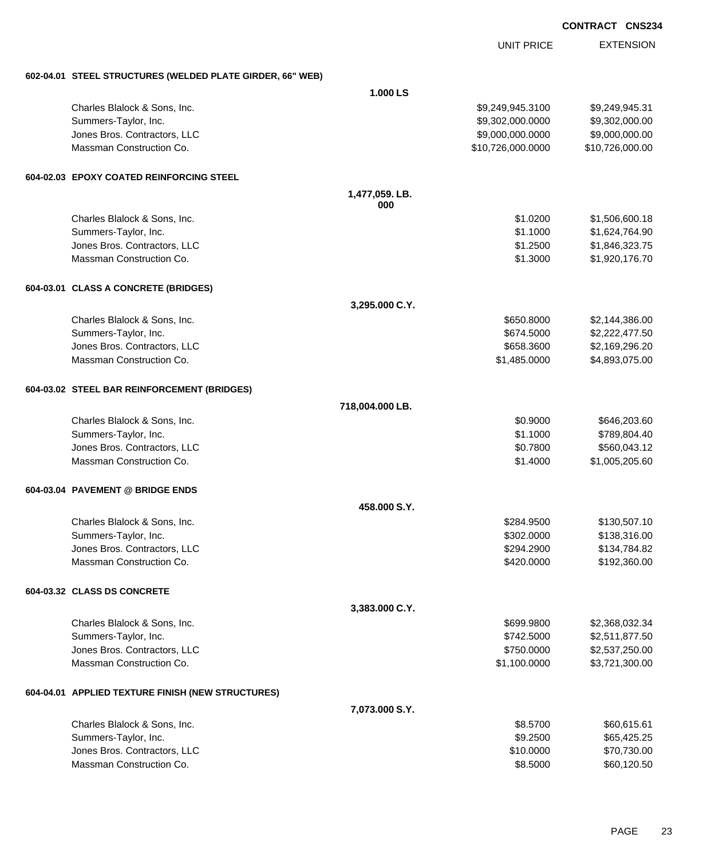|  | <b>CONTRACT CNS234</b> |
|--|------------------------|
|  |                        |

**EXTENSION** UNIT PRICE **602-04.01 STEEL STRUCTURES (WELDED PLATE GIRDER, 66" WEB) 1.000 LS** Charles Blalock & Sons, Inc. \$9,249,945.3100 \$9,249,945.3100 \$9,249,945.3100 Summers-Taylor, Inc. 6. 2010. The state of the state of the state of the state of the state of the state of the state of the state of the state of the state of the state of the state of the state of the state of the state Jones Bros. Contractors, LLC \$9,000,000.0000 \$9,000,000.00 Massman Construction Co. 6. 2010 12:00 12:00 12:00 12:00 12:00 12:00 12:00 12:00 12:00 12:00 12:00 12:00 12:00 **604-02.03 EPOXY COATED REINFORCING STEEL 1,477,059. LB. 000** Charles Blalock & Sons, Inc. \$1.0200 \$1,506,600.18 Summers-Taylor, Inc. \$1.1000 \$1,624,764.90 Jones Bros. Contractors, LLC \$1.2500 \$1,846,323.75 Massman Construction Co. 61.920,176.70 **604-03.01 CLASS A CONCRETE (BRIDGES) 3,295.000 C.Y.** Charles Blalock & Sons, Inc. \$650.8000 \$2,144,386.00 Summers-Taylor, Inc. \$674.5000 \$2,222,477.50 Jones Bros. Contractors, LLC \$658.3600 \$2,169,296.20 Massman Construction Co. \$1,485.0000 \$4,893,075.00 **604-03.02 STEEL BAR REINFORCEMENT (BRIDGES) 718,004.000 LB.** Charles Blalock & Sons, Inc. 60.9000 \$646,203.60 Summers-Taylor, Inc. \$1.1000 \$789,804.40 Jones Bros. Contractors, LLC \$0.7800 \$560,043.12 Massman Construction Co. 2005. 2006. 2012. 2013. 2014. 2020. 2020. 2020. 2020. 2020. 2020. 2020. 2020. 2020. 20 **604-03.04 PAVEMENT @ BRIDGE ENDS 458.000 S.Y.** Charles Blalock & Sons, Inc. 6. 284.9500 \$130,507.10 Summers-Taylor, Inc. 6. 2012. The Summers-Taylor, Inc. 6. 2012. The Summers-Taylor, Inc. 6. 2012. The Summers-Jones Bros. Contractors, LLC \$294.2900 \$134,784.82 Massman Construction Co. 2012 20:000 \$192,360.00 \$192,360.00 **604-03.32 CLASS DS CONCRETE 3,383.000 C.Y.** Charles Blalock & Sons, Inc. 6. 2012 12:34 12:358,032.34 Summers-Taylor, Inc. \$742.5000 \$2,511,877.50 Jones Bros. Contractors, LLC \$750.0000 \$2,537,250.00 Massman Construction Co. 63,721,300.00 \$3,721,300.00 \$1,100.0000 \$3,721,300.00 **604-04.01 APPLIED TEXTURE FINISH (NEW STRUCTURES) 7,073.000 S.Y.** Charles Blalock & Sons, Inc. 61 and the State of the State of the State of the State of State of State of State of State of State of State of State of State of State of State of State of State of State of State of State of Summers-Taylor, Inc. \$65,425.25 \ \$9.2500 \$65,425.25 Jones Bros. Contractors, LLC 6. The state of the state of the state of the state of the state of the state of the state of the state of the state of the state of the state of the state of the state of the state of the stat Massman Construction Co. **\$8.5000** \$60,120.50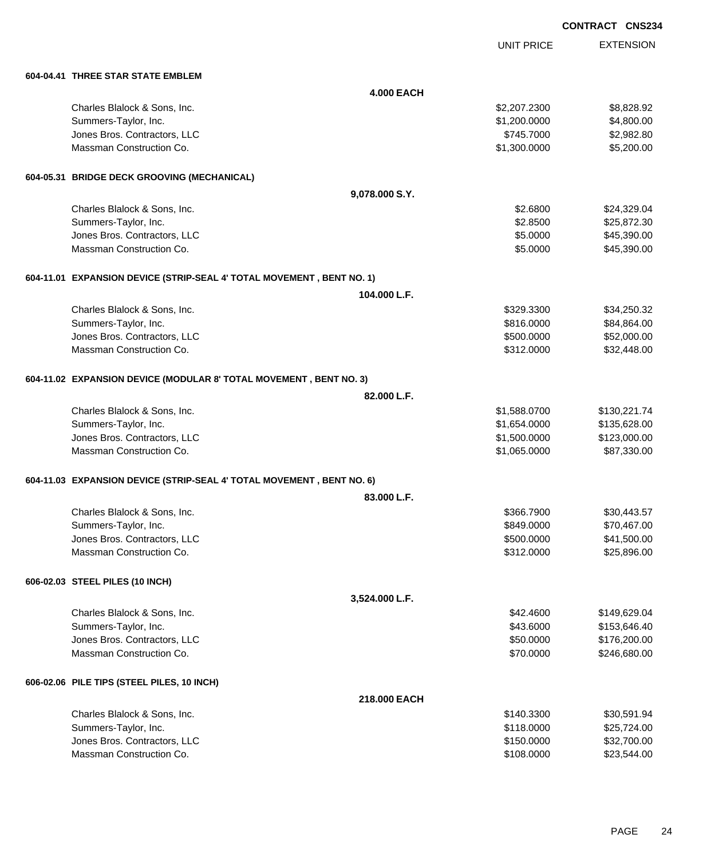|                                                                       |                   |                   | <b>CONTRACT CNS234</b> |                  |
|-----------------------------------------------------------------------|-------------------|-------------------|------------------------|------------------|
|                                                                       |                   | <b>UNIT PRICE</b> |                        | <b>EXTENSION</b> |
| 604-04.41 THREE STAR STATE EMBLEM                                     |                   |                   |                        |                  |
|                                                                       | <b>4.000 EACH</b> |                   |                        |                  |
| Charles Blalock & Sons, Inc.                                          |                   | \$2,207.2300      |                        | \$8,828.92       |
| Summers-Taylor, Inc.                                                  |                   | \$1,200.0000      |                        | \$4,800.00       |
| Jones Bros. Contractors, LLC                                          |                   | \$745.7000        |                        | \$2,982.80       |
| Massman Construction Co.                                              |                   | \$1,300.0000      |                        | \$5,200.00       |
| 604-05.31 BRIDGE DECK GROOVING (MECHANICAL)                           |                   |                   |                        |                  |
|                                                                       | 9,078.000 S.Y.    |                   |                        |                  |
| Charles Blalock & Sons, Inc.                                          |                   | \$2.6800          |                        | \$24,329.04      |
| Summers-Taylor, Inc.                                                  |                   | \$2.8500          |                        | \$25,872.30      |
| Jones Bros. Contractors, LLC                                          |                   | \$5.0000          |                        | \$45,390.00      |
| Massman Construction Co.                                              |                   | \$5.0000          |                        | \$45,390.00      |
| 604-11.01 EXPANSION DEVICE (STRIP-SEAL 4' TOTAL MOVEMENT, BENT NO. 1) |                   |                   |                        |                  |
|                                                                       | 104.000 L.F.      |                   |                        |                  |
| Charles Blalock & Sons, Inc.                                          |                   | \$329.3300        |                        | \$34,250.32      |
| Summers-Taylor, Inc.                                                  |                   | \$816.0000        |                        | \$84,864.00      |
| Jones Bros. Contractors, LLC                                          |                   | \$500.0000        |                        | \$52,000.00      |
| Massman Construction Co.                                              |                   | \$312.0000        |                        | \$32,448.00      |
| 604-11.02 EXPANSION DEVICE (MODULAR 8' TOTAL MOVEMENT, BENT NO. 3)    |                   |                   |                        |                  |
|                                                                       | 82.000 L.F.       |                   |                        |                  |
| Charles Blalock & Sons, Inc.                                          |                   | \$1,588.0700      |                        | \$130,221.74     |
| Summers-Taylor, Inc.                                                  |                   | \$1,654.0000      |                        | \$135,628.00     |
| Jones Bros. Contractors, LLC                                          |                   | \$1,500.0000      |                        | \$123,000.00     |
| Massman Construction Co.                                              |                   | \$1,065.0000      |                        | \$87,330.00      |
| 604-11.03 EXPANSION DEVICE (STRIP-SEAL 4' TOTAL MOVEMENT, BENT NO. 6) |                   |                   |                        |                  |
|                                                                       | 83.000 L.F.       |                   |                        |                  |
| Charles Blalock & Sons, Inc.                                          |                   | \$366.7900        |                        | \$30,443.57      |
| Summers-Taylor, Inc.                                                  |                   | \$849.0000        |                        | \$70,467.00      |
| Jones Bros. Contractors, LLC                                          |                   | \$500.0000        |                        | \$41,500.00      |
| Massman Construction Co.                                              |                   | \$312.0000        |                        | \$25,896.00      |
| 606-02.03 STEEL PILES (10 INCH)                                       |                   |                   |                        |                  |
|                                                                       | 3,524.000 L.F.    |                   |                        |                  |
| Charles Blalock & Sons, Inc.                                          |                   | \$42.4600         |                        | \$149,629.04     |
| Summers-Taylor, Inc.                                                  |                   | \$43.6000         |                        | \$153,646.40     |
| Jones Bros. Contractors, LLC                                          |                   | \$50.0000         |                        | \$176,200.00     |
| Massman Construction Co.                                              |                   | \$70.0000         |                        | \$246,680.00     |
| 606-02.06 PILE TIPS (STEEL PILES, 10 INCH)                            |                   |                   |                        |                  |
|                                                                       | 218.000 EACH      |                   |                        |                  |
| Charles Blalock & Sons, Inc.                                          |                   | \$140.3300        |                        | \$30,591.94      |
| Summers-Taylor, Inc.                                                  |                   | \$118.0000        |                        | \$25,724.00      |
| Jones Bros. Contractors, LLC                                          |                   | \$150.0000        |                        | \$32,700.00      |

Massman Construction Co. 63.544.00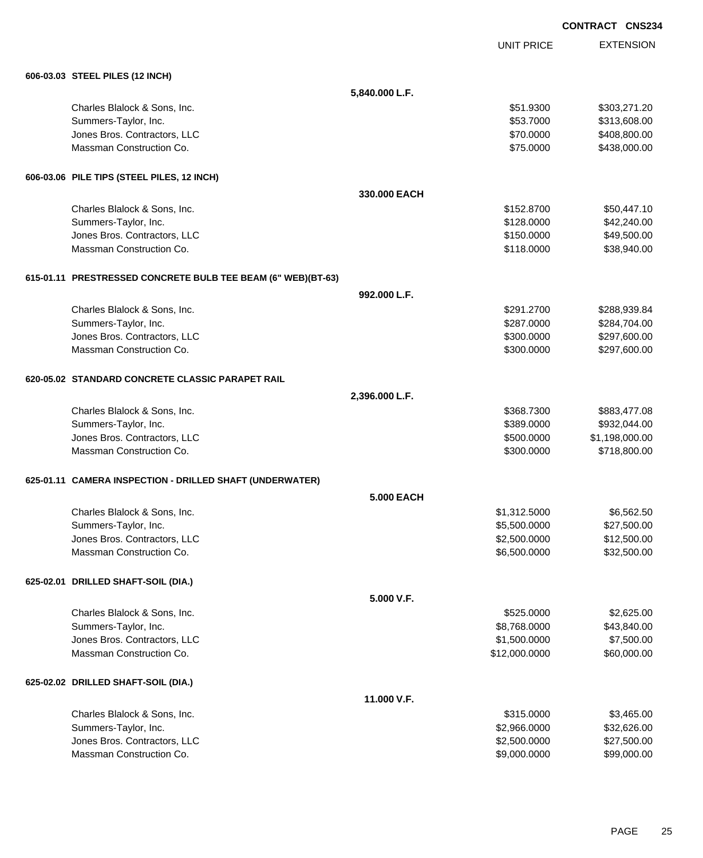|                                                              |                   |                   | <b>CONTRACT CNS234</b> |                  |
|--------------------------------------------------------------|-------------------|-------------------|------------------------|------------------|
|                                                              |                   | <b>UNIT PRICE</b> |                        | <b>EXTENSION</b> |
| 606-03.03 STEEL PILES (12 INCH)                              |                   |                   |                        |                  |
|                                                              | 5,840.000 L.F.    |                   |                        |                  |
| Charles Blalock & Sons, Inc.                                 |                   | \$51.9300         |                        | \$303,271.20     |
| Summers-Taylor, Inc.                                         |                   | \$53.7000         |                        | \$313,608.00     |
| Jones Bros. Contractors, LLC                                 |                   | \$70.0000         |                        | \$408,800.00     |
| Massman Construction Co.                                     |                   | \$75.0000         |                        | \$438,000.00     |
| 606-03.06 PILE TIPS (STEEL PILES, 12 INCH)                   |                   |                   |                        |                  |
|                                                              | 330,000 EACH      |                   |                        |                  |
| Charles Blalock & Sons, Inc.                                 |                   | \$152.8700        |                        | \$50,447.10      |
| Summers-Taylor, Inc.                                         |                   | \$128.0000        |                        | \$42,240.00      |
| Jones Bros. Contractors, LLC                                 |                   | \$150.0000        |                        | \$49,500.00      |
| Massman Construction Co.                                     |                   | \$118.0000        |                        | \$38,940.00      |
| 615-01.11 PRESTRESSED CONCRETE BULB TEE BEAM (6" WEB)(BT-63) |                   |                   |                        |                  |
|                                                              | 992.000 L.F.      |                   |                        |                  |
| Charles Blalock & Sons, Inc.                                 |                   | \$291.2700        |                        | \$288,939.84     |
| Summers-Taylor, Inc.                                         |                   | \$287.0000        |                        | \$284,704.00     |
| Jones Bros. Contractors, LLC                                 |                   | \$300.0000        |                        | \$297,600.00     |
| Massman Construction Co.                                     |                   | \$300.0000        |                        | \$297,600.00     |
| 620-05.02 STANDARD CONCRETE CLASSIC PARAPET RAIL             |                   |                   |                        |                  |
|                                                              | 2,396.000 L.F.    |                   |                        |                  |
| Charles Blalock & Sons, Inc.                                 |                   | \$368.7300        |                        | \$883,477.08     |
| Summers-Taylor, Inc.                                         |                   | \$389.0000        |                        | \$932,044.00     |
| Jones Bros. Contractors, LLC                                 |                   | \$500.0000        | \$1,198,000.00         |                  |
| Massman Construction Co.                                     |                   | \$300.0000        |                        | \$718,800.00     |
| 625-01.11 CAMERA INSPECTION - DRILLED SHAFT (UNDERWATER)     |                   |                   |                        |                  |
|                                                              | <b>5.000 EACH</b> |                   |                        |                  |
| Charles Blalock & Sons, Inc.                                 |                   | \$1,312.5000      |                        | \$6,562.50       |
| Summers-Taylor, Inc.                                         |                   | \$5,500.0000      |                        | \$27,500.00      |
| Jones Bros. Contractors, LLC                                 |                   | \$2,500.0000      |                        | \$12,500.00      |
| Massman Construction Co.                                     |                   | \$6,500.0000      |                        | \$32,500.00      |
| 625-02.01 DRILLED SHAFT-SOIL (DIA.)                          |                   |                   |                        |                  |
|                                                              | 5.000 V.F.        |                   |                        |                  |
| Charles Blalock & Sons, Inc.                                 |                   | \$525.0000        |                        | \$2,625.00       |
| Summers-Taylor, Inc.                                         |                   | \$8,768.0000      |                        | \$43,840.00      |
| Jones Bros. Contractors, LLC                                 |                   | \$1,500.0000      |                        | \$7,500.00       |
| Massman Construction Co.                                     |                   | \$12,000.0000     |                        | \$60,000.00      |
| 625-02.02 DRILLED SHAFT-SOIL (DIA.)                          |                   |                   |                        |                  |
|                                                              | 11.000 V.F.       |                   |                        |                  |
| Charles Blalock & Sons, Inc.                                 |                   | \$315.0000        |                        | \$3,465.00       |
| Summers-Taylor, Inc.                                         |                   | \$2,966.0000      |                        | \$32,626.00      |
| Jones Bros. Contractors, LLC                                 |                   | \$2,500.0000      |                        | \$27,500.00      |
| Massman Construction Co.                                     |                   | \$9,000.0000      |                        | \$99,000.00      |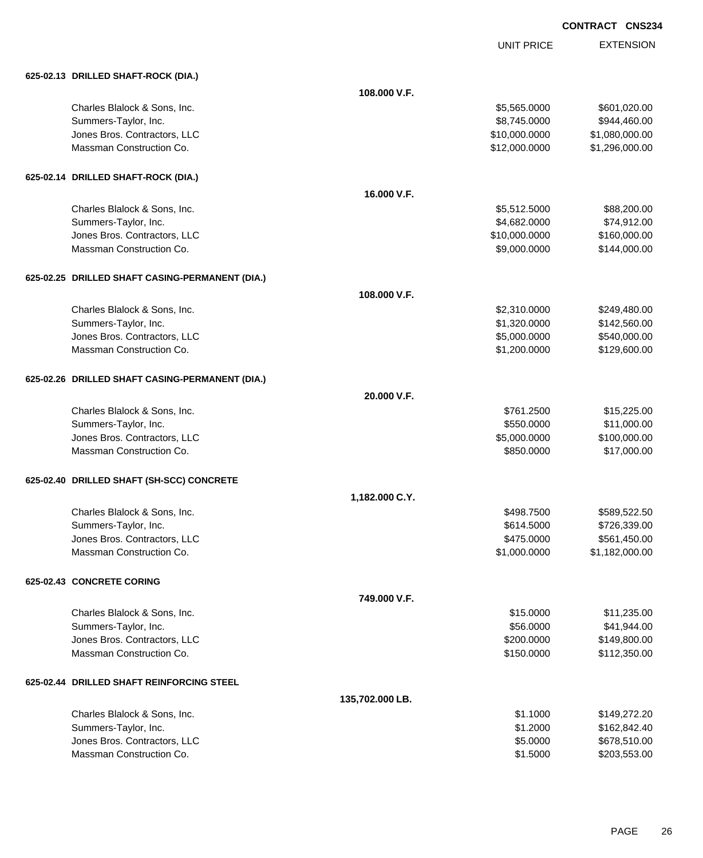UNIT PRICE

| 625-02.13 DRILLED SHAFT-ROCK (DIA.)             |                 |               |                |
|-------------------------------------------------|-----------------|---------------|----------------|
|                                                 | 108.000 V.F.    |               |                |
| Charles Blalock & Sons, Inc.                    |                 | \$5,565.0000  | \$601,020.00   |
| Summers-Taylor, Inc.                            |                 | \$8,745.0000  | \$944,460.00   |
| Jones Bros. Contractors, LLC                    |                 | \$10,000.0000 | \$1,080,000.00 |
| Massman Construction Co.                        |                 | \$12,000.0000 | \$1,296,000.00 |
| 625-02.14 DRILLED SHAFT-ROCK (DIA.)             |                 |               |                |
|                                                 | 16.000 V.F.     |               |                |
| Charles Blalock & Sons, Inc.                    |                 | \$5,512.5000  | \$88,200.00    |
| Summers-Taylor, Inc.                            |                 | \$4,682.0000  | \$74,912.00    |
| Jones Bros. Contractors, LLC                    |                 | \$10,000.0000 | \$160,000.00   |
| Massman Construction Co.                        |                 | \$9,000.0000  | \$144,000.00   |
| 625-02.25 DRILLED SHAFT CASING-PERMANENT (DIA.) |                 |               |                |
|                                                 | 108.000 V.F.    |               |                |
| Charles Blalock & Sons, Inc.                    |                 | \$2,310.0000  | \$249,480.00   |
| Summers-Taylor, Inc.                            |                 | \$1,320.0000  | \$142,560.00   |
| Jones Bros. Contractors, LLC                    |                 | \$5,000.0000  | \$540,000.00   |
| Massman Construction Co.                        |                 | \$1,200.0000  | \$129,600.00   |
| 625-02.26 DRILLED SHAFT CASING-PERMANENT (DIA.) |                 |               |                |
|                                                 | 20.000 V.F.     |               |                |
| Charles Blalock & Sons, Inc.                    |                 | \$761.2500    | \$15,225.00    |
| Summers-Taylor, Inc.                            |                 | \$550.0000    | \$11,000.00    |
| Jones Bros. Contractors, LLC                    |                 | \$5,000.0000  | \$100,000.00   |
| Massman Construction Co.                        |                 | \$850.0000    | \$17,000.00    |
| 625-02.40 DRILLED SHAFT (SH-SCC) CONCRETE       |                 |               |                |
|                                                 | 1,182.000 C.Y.  |               |                |
| Charles Blalock & Sons, Inc.                    |                 | \$498.7500    | \$589,522.50   |
| Summers-Taylor, Inc.                            |                 | \$614.5000    | \$726,339.00   |
| Jones Bros. Contractors, LLC                    |                 | \$475.0000    | \$561,450.00   |
| Massman Construction Co.                        |                 | \$1,000.0000  | \$1,182,000.00 |
| 625-02.43 CONCRETE CORING                       |                 |               |                |
|                                                 | 749.000 V.F.    |               |                |
| Charles Blalock & Sons, Inc.                    |                 | \$15.0000     | \$11,235.00    |
| Summers-Taylor, Inc.                            |                 | \$56.0000     | \$41,944.00    |
| Jones Bros. Contractors, LLC                    |                 | \$200.0000    | \$149,800.00   |
| Massman Construction Co.                        |                 | \$150.0000    | \$112,350.00   |
| 625-02.44 DRILLED SHAFT REINFORCING STEEL       |                 |               |                |
|                                                 | 135,702.000 LB. |               |                |
| Charles Blalock & Sons, Inc.                    |                 | \$1.1000      | \$149,272.20   |
| Summers-Taylor, Inc.                            |                 | \$1.2000      | \$162,842.40   |
| Jones Bros. Contractors, LLC                    |                 | \$5.0000      | \$678,510.00   |
| Massman Construction Co.                        |                 | \$1.5000      | \$203,553.00   |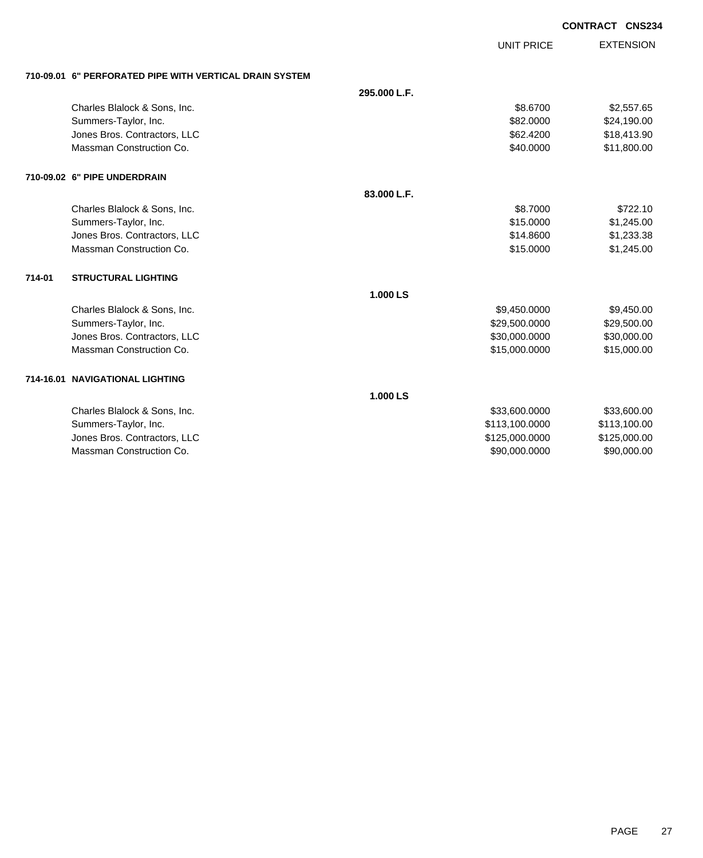| <b>CONTRACT CNS234</b> |  |
|------------------------|--|
|                        |  |

UNIT PRICE

EXTENSION

**710-09.01 6" PERFORATED PIPE WITH VERTICAL DRAIN SYSTEM**

|        | 710-09.01   6" PERFORATED PIPE WITH VERTICAL DRAIN SYSTEM |              |                |              |
|--------|-----------------------------------------------------------|--------------|----------------|--------------|
|        |                                                           | 295.000 L.F. |                |              |
|        | Charles Blalock & Sons, Inc.                              |              | \$8,6700       | \$2,557.65   |
|        | Summers-Taylor, Inc.                                      |              | \$82,0000      | \$24,190.00  |
|        | Jones Bros. Contractors, LLC                              |              | \$62.4200      | \$18,413.90  |
|        | Massman Construction Co.                                  |              | \$40.0000      | \$11,800.00  |
|        | 710-09.02 6" PIPE UNDERDRAIN                              |              |                |              |
|        |                                                           | 83.000 L.F.  |                |              |
|        | Charles Blalock & Sons, Inc.                              |              | \$8.7000       | \$722.10     |
|        | Summers-Taylor, Inc.                                      |              | \$15,0000      | \$1,245.00   |
|        | Jones Bros. Contractors, LLC                              |              | \$14,8600      | \$1,233.38   |
|        | Massman Construction Co.                                  |              | \$15.0000      | \$1,245.00   |
| 714-01 | <b>STRUCTURAL LIGHTING</b>                                |              |                |              |
|        |                                                           | 1.000 LS     |                |              |
|        | Charles Blalock & Sons, Inc.                              |              | \$9,450.0000   | \$9,450.00   |
|        | Summers-Taylor, Inc.                                      |              | \$29,500.0000  | \$29,500.00  |
|        | Jones Bros. Contractors, LLC                              |              | \$30,000.0000  | \$30,000.00  |
|        | Massman Construction Co.                                  |              | \$15,000.0000  | \$15,000.00  |
|        | 714-16.01 NAVIGATIONAL LIGHTING                           |              |                |              |
|        |                                                           | 1.000 LS     |                |              |
|        | Charles Blalock & Sons, Inc.                              |              | \$33,600.0000  | \$33,600.00  |
|        | Summers-Taylor, Inc.                                      |              | \$113,100.0000 | \$113,100.00 |
|        | Jones Bros. Contractors, LLC                              |              | \$125,000.0000 | \$125,000.00 |
|        | Massman Construction Co.                                  |              | \$90,000.0000  | \$90,000.00  |
|        |                                                           |              |                |              |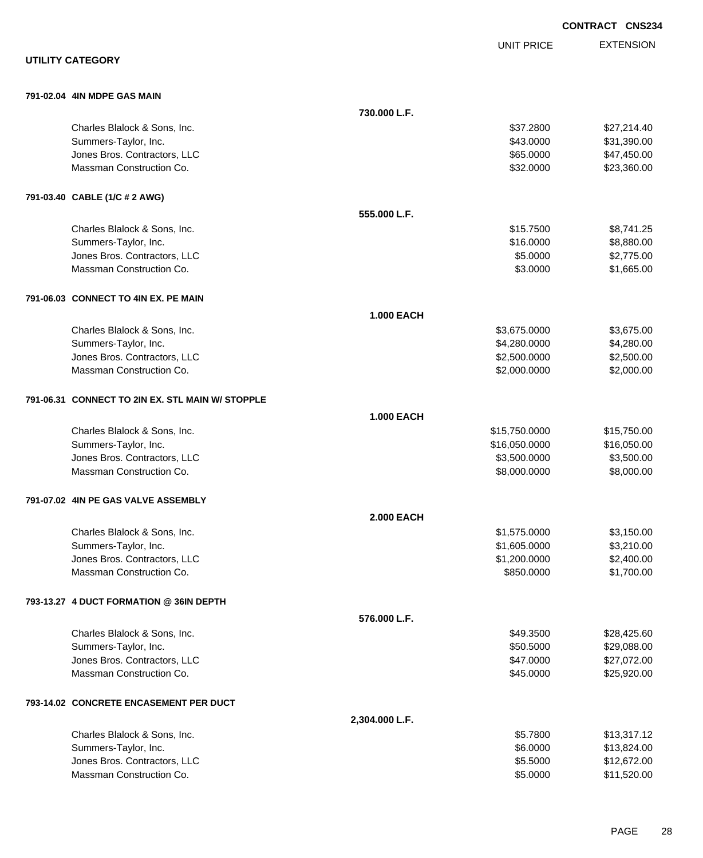|                                                  |                   |                   | <b>CONTRACT CNS234</b> |
|--------------------------------------------------|-------------------|-------------------|------------------------|
|                                                  |                   | <b>UNIT PRICE</b> | <b>EXTENSION</b>       |
| <b>UTILITY CATEGORY</b>                          |                   |                   |                        |
| 791-02.04 4IN MDPE GAS MAIN                      |                   |                   |                        |
|                                                  | 730.000 L.F.      |                   |                        |
| Charles Blalock & Sons, Inc.                     |                   | \$37.2800         | \$27,214.40            |
| Summers-Taylor, Inc.                             |                   | \$43.0000         | \$31,390.00            |
| Jones Bros. Contractors, LLC                     |                   | \$65.0000         | \$47,450.00            |
| Massman Construction Co.                         |                   | \$32.0000         | \$23,360.00            |
| 791-03.40 CABLE (1/C # 2 AWG)                    |                   |                   |                        |
|                                                  | 555.000 L.F.      |                   |                        |
| Charles Blalock & Sons, Inc.                     |                   | \$15.7500         | \$8,741.25             |
| Summers-Taylor, Inc.                             |                   | \$16.0000         | \$8,880.00             |
| Jones Bros. Contractors, LLC                     |                   | \$5.0000          | \$2,775.00             |
| Massman Construction Co.                         |                   | \$3.0000          | \$1,665.00             |
| 791-06.03 CONNECT TO 4IN EX. PE MAIN             |                   |                   |                        |
|                                                  | <b>1.000 EACH</b> |                   |                        |
| Charles Blalock & Sons, Inc.                     |                   | \$3,675.0000      | \$3,675.00             |
| Summers-Taylor, Inc.                             |                   | \$4,280.0000      | \$4,280.00             |
| Jones Bros. Contractors, LLC                     |                   | \$2,500.0000      | \$2,500.00             |
| Massman Construction Co.                         |                   | \$2,000.0000      | \$2,000.00             |
| 791-06.31 CONNECT TO 2IN EX. STL MAIN W/ STOPPLE |                   |                   |                        |
|                                                  | <b>1.000 EACH</b> |                   |                        |
| Charles Blalock & Sons, Inc.                     |                   | \$15,750.0000     | \$15,750.00            |
| Summers-Taylor, Inc.                             |                   | \$16,050.0000     | \$16,050.00            |
| Jones Bros. Contractors, LLC                     |                   | \$3,500.0000      | \$3,500.00             |
| Massman Construction Co.                         |                   | \$8,000.0000      | \$8,000.00             |
| 791-07.02 4IN PE GAS VALVE ASSEMBLY              |                   |                   |                        |
|                                                  | <b>2.000 EACH</b> |                   |                        |
| Charles Blalock & Sons, Inc.                     |                   | \$1,575.0000      | \$3,150.00             |
| Summers-Taylor, Inc.                             |                   | \$1,605.0000      | \$3,210.00             |
| Jones Bros. Contractors, LLC                     |                   | \$1,200.0000      | \$2,400.00             |
| Massman Construction Co.                         |                   | \$850.0000        | \$1,700.00             |
| 793-13.27 4 DUCT FORMATION @ 36IN DEPTH          |                   |                   |                        |
|                                                  | 576.000 L.F.      |                   |                        |
| Charles Blalock & Sons, Inc.                     |                   | \$49.3500         | \$28,425.60            |
| Summers-Taylor, Inc.                             |                   | \$50.5000         | \$29,088.00            |
| Jones Bros. Contractors, LLC                     |                   | \$47.0000         | \$27,072.00            |
| Massman Construction Co.                         |                   | \$45.0000         | \$25,920.00            |
| 793-14.02 CONCRETE ENCASEMENT PER DUCT           |                   |                   |                        |
|                                                  | 2,304.000 L.F.    |                   |                        |
| Charles Blalock & Sons, Inc.                     |                   | \$5.7800          | \$13,317.12            |
| Summers-Taylor, Inc.                             |                   | \$6.0000          | \$13,824.00            |
| Jones Bros. Contractors, LLC                     |                   | \$5.5000          | \$12,672.00            |
| Massman Construction Co.                         |                   | \$5.0000          | \$11,520.00            |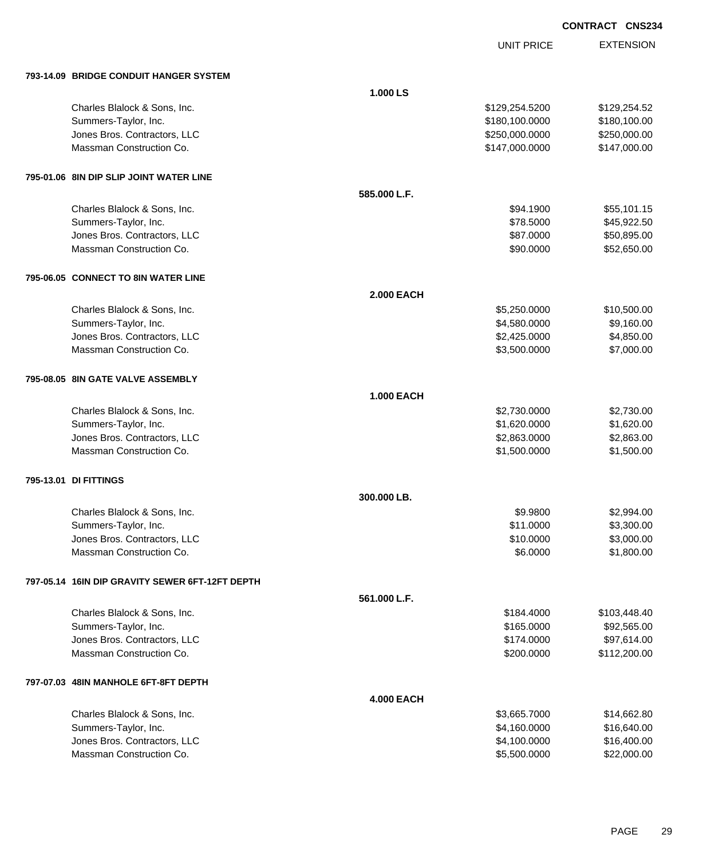EXTENSION **CONTRACT CNS234**

UNIT PRICE

| <b>793-14.09 BRIDGE CONDUIT HANGER SYSTEM</b> |  |  |
|-----------------------------------------------|--|--|
|                                               |  |  |

| 793-14.09 BRIDGE CONDUIT HANGER SYSTEM          |                   |                |              |
|-------------------------------------------------|-------------------|----------------|--------------|
|                                                 | 1.000 LS          |                |              |
| Charles Blalock & Sons, Inc.                    |                   | \$129,254.5200 | \$129,254.52 |
| Summers-Taylor, Inc.                            |                   | \$180,100.0000 | \$180,100.00 |
| Jones Bros. Contractors, LLC                    |                   | \$250,000.0000 | \$250,000.00 |
| Massman Construction Co.                        |                   | \$147,000.0000 | \$147,000.00 |
| 795-01.06 8IN DIP SLIP JOINT WATER LINE         |                   |                |              |
|                                                 | 585.000 L.F.      |                |              |
| Charles Blalock & Sons, Inc.                    |                   | \$94.1900      | \$55,101.15  |
| Summers-Taylor, Inc.                            |                   | \$78.5000      | \$45,922.50  |
| Jones Bros. Contractors, LLC                    |                   | \$87.0000      | \$50,895.00  |
| Massman Construction Co.                        |                   | \$90.0000      | \$52,650.00  |
| 795-06.05 CONNECT TO 8IN WATER LINE             |                   |                |              |
|                                                 | <b>2.000 EACH</b> |                |              |
| Charles Blalock & Sons, Inc.                    |                   | \$5,250.0000   | \$10,500.00  |
| Summers-Taylor, Inc.                            |                   | \$4,580.0000   | \$9,160.00   |
| Jones Bros. Contractors, LLC                    |                   | \$2,425.0000   | \$4,850.00   |
| Massman Construction Co.                        |                   | \$3,500.0000   | \$7,000.00   |
| 795-08.05 8IN GATE VALVE ASSEMBLY               |                   |                |              |
|                                                 | <b>1.000 EACH</b> |                |              |
| Charles Blalock & Sons, Inc.                    |                   | \$2,730.0000   | \$2,730.00   |
| Summers-Taylor, Inc.                            |                   | \$1,620.0000   | \$1,620.00   |
| Jones Bros. Contractors, LLC                    |                   | \$2,863.0000   | \$2,863.00   |
| Massman Construction Co.                        |                   | \$1,500.0000   | \$1,500.00   |
| 795-13.01 DI FITTINGS                           |                   |                |              |
|                                                 | 300.000 LB.       |                |              |
| Charles Blalock & Sons, Inc.                    |                   | \$9.9800       | \$2,994.00   |
| Summers-Taylor, Inc.                            |                   | \$11.0000      | \$3,300.00   |
| Jones Bros. Contractors, LLC                    |                   | \$10.0000      | \$3,000.00   |
| Massman Construction Co.                        |                   | \$6,0000       | \$1,800.00   |
| 797-05.14 16IN DIP GRAVITY SEWER 6FT-12FT DEPTH |                   |                |              |
|                                                 | 561.000 L.F.      |                |              |
| Charles Blalock & Sons, Inc.                    |                   | \$184,4000     | \$103,448.40 |
| Summers-Taylor, Inc.                            |                   | \$165.0000     | \$92,565.00  |
| Jones Bros. Contractors, LLC                    |                   | \$174.0000     | \$97,614.00  |
| Massman Construction Co.                        |                   | \$200.0000     | \$112,200.00 |
| 797-07.03 48IN MANHOLE 6FT-8FT DEPTH            |                   |                |              |
|                                                 | <b>4.000 EACH</b> |                |              |
| Charles Blalock & Sons, Inc.                    |                   | \$3,665.7000   | \$14,662.80  |
| Summers-Taylor, Inc.                            |                   | \$4,160.0000   | \$16,640.00  |
| Jones Bros. Contractors, LLC                    |                   | \$4,100.0000   | \$16,400.00  |
| Massman Construction Co.                        |                   | \$5,500.0000   | \$22,000.00  |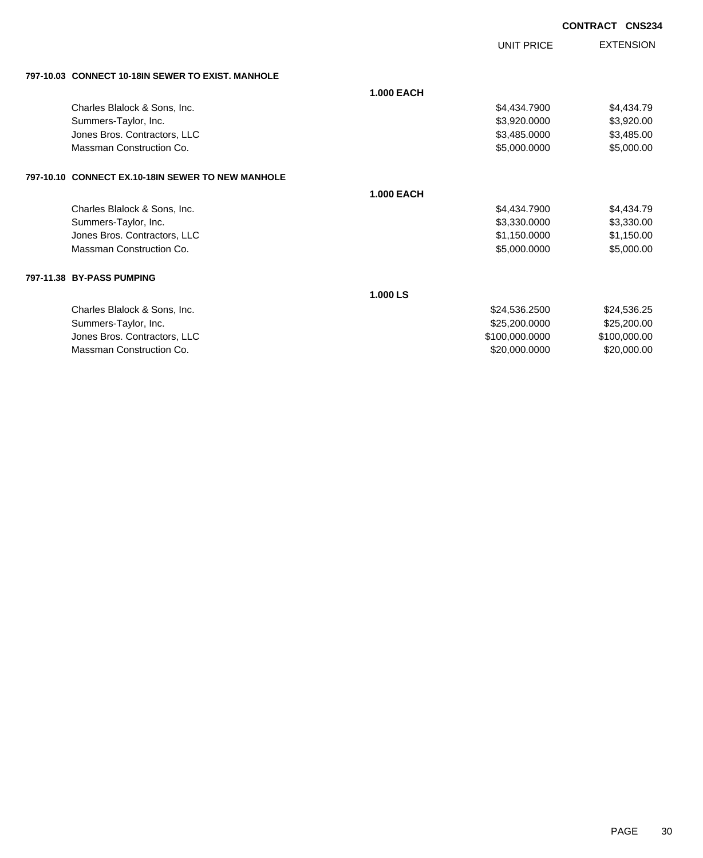UNIT PRICE

| 797-10.03 CONNECT 10-18IN SEWER TO EXIST. MANHOLE |  |
|---------------------------------------------------|--|
|                                                   |  |

|                                                   | <b>1.000 EACH</b> |                |              |
|---------------------------------------------------|-------------------|----------------|--------------|
| Charles Blalock & Sons, Inc.                      |                   | \$4,434.7900   | \$4,434.79   |
| Summers-Taylor, Inc.                              |                   | \$3,920.0000   | \$3,920.00   |
| Jones Bros. Contractors, LLC                      |                   | \$3,485.0000   | \$3,485.00   |
| Massman Construction Co.                          |                   | \$5,000.0000   | \$5,000.00   |
| 797-10.10 CONNECT EX.10-18IN SEWER TO NEW MANHOLE |                   |                |              |
|                                                   | <b>1.000 EACH</b> |                |              |
| Charles Blalock & Sons, Inc.                      |                   | \$4,434.7900   | \$4,434.79   |
| Summers-Taylor, Inc.                              |                   | \$3,330,0000   | \$3,330.00   |
| Jones Bros. Contractors, LLC                      |                   | \$1,150.0000   | \$1,150.00   |
| Massman Construction Co.                          |                   | \$5,000.0000   | \$5,000.00   |
| 797-11.38 BY-PASS PUMPING                         |                   |                |              |
|                                                   | 1.000 LS          |                |              |
| Charles Blalock & Sons, Inc.                      |                   | \$24,536.2500  | \$24,536.25  |
| Summers-Taylor, Inc.                              |                   | \$25,200.0000  | \$25,200.00  |
| Jones Bros. Contractors, LLC                      |                   | \$100,000.0000 | \$100,000.00 |
| Massman Construction Co.                          |                   | \$20,000.0000  | \$20,000.00  |
|                                                   |                   |                |              |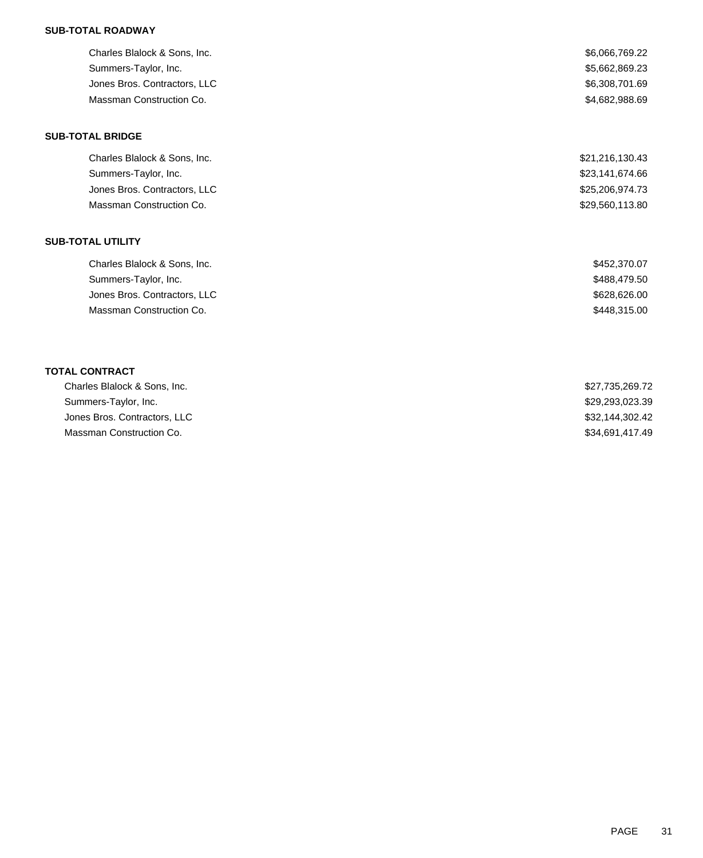### **SUB-TOTAL ROADWAY**

| Charles Blalock & Sons, Inc. | \$6,066,769.22  |
|------------------------------|-----------------|
| Summers-Taylor, Inc.         | \$5,662,869.23  |
| Jones Bros. Contractors, LLC | \$6,308,701.69  |
| Massman Construction Co.     | \$4,682,988.69  |
| <b>SUB-TOTAL BRIDGE</b>      |                 |
| Charles Blalock & Sons, Inc. | \$21,216,130.43 |
| Summers-Taylor, Inc.         | \$23,141,674.66 |
| Jones Bros. Contractors, LLC | \$25,206,974.73 |
| Massman Construction Co.     | \$29,560,113.80 |
| <b>SUB-TOTAL UTILITY</b>     |                 |
| Charles Blalock & Sons, Inc. | \$452,370.07    |
| Summers-Taylor, Inc.         | \$488,479.50    |
| Jones Bros. Contractors, LLC | \$628,626.00    |
| Massman Construction Co.     | \$448,315.00    |
|                              |                 |
| <b>TOTAL CONTRACT</b>        |                 |
| Charles Blalock & Sons, Inc. | \$27,735,269.72 |
| Summers-Taylor, Inc.         | \$29,293,023.39 |

Jones Bros. Contractors, LLC \$32,144,302.42 Massman Construction Co.  $$34,691,417.49$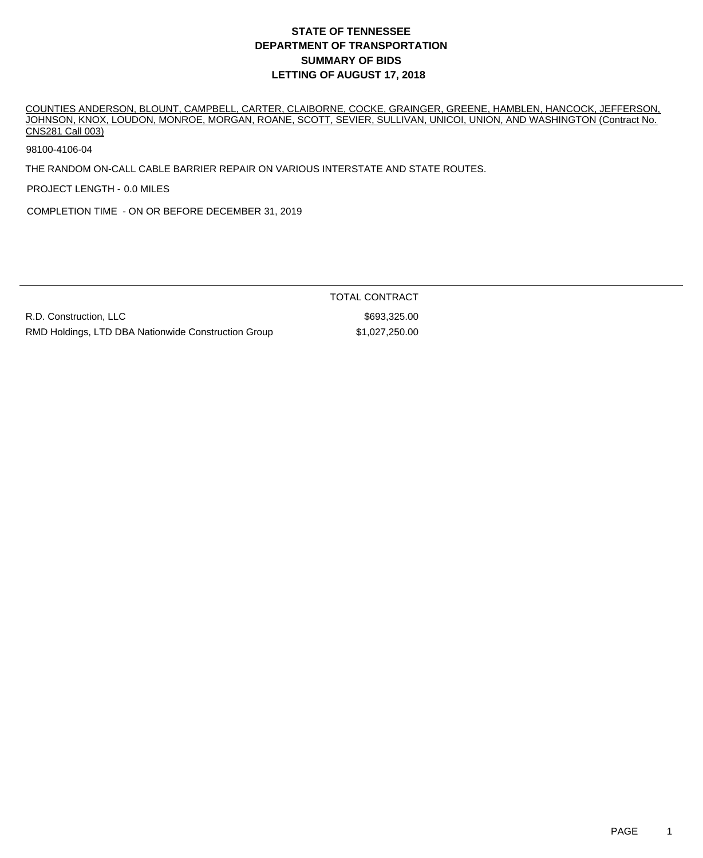## **DEPARTMENT OF TRANSPORTATION SUMMARY OF BIDS LETTING OF AUGUST 17, 2018 STATE OF TENNESSEE**

COUNTIES ANDERSON, BLOUNT, CAMPBELL, CARTER, CLAIBORNE, COCKE, GRAINGER, GREENE, HAMBLEN, HANCOCK, JEFFERSON, JOHNSON, KNOX, LOUDON, MONROE, MORGAN, ROANE, SCOTT, SEVIER, SULLIVAN, UNICOI, UNION, AND WASHINGTON (Contract No. CNS281 Call 003)

98100-4106-04

THE RANDOM ON-CALL CABLE BARRIER REPAIR ON VARIOUS INTERSTATE AND STATE ROUTES.

PROJECT LENGTH - 0.0 MILES

COMPLETION TIME - ON OR BEFORE DECEMBER 31, 2019

R.D. Construction, LLC \$693,325.00 RMD Holdings, LTD DBA Nationwide Construction Group \$1,027,250.00

TOTAL CONTRACT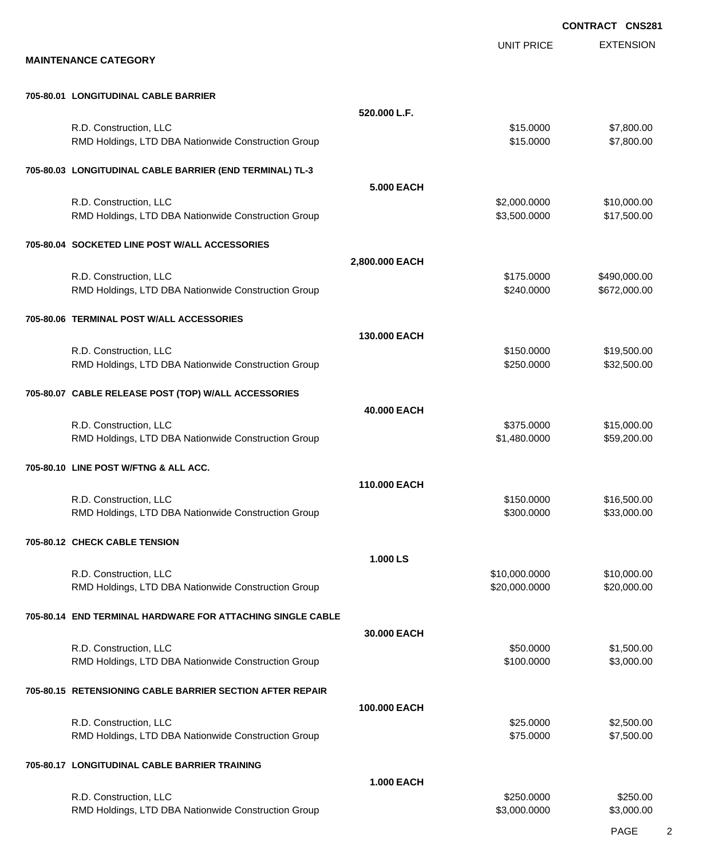EXTENSION **CONTRACT CNS281** UNIT PRICE **MAINTENANCE CATEGORY 705-80.01 LONGITUDINAL CABLE BARRIER 520.000 L.F.** R.D. Construction, LLC 6. The state of the state of the state of the state of the state of the state of the state of the state of the state of the state of the state of the state of the state of the state of the state of t RMD Holdings, LTD DBA Nationwide Construction Group \$15.0000 \$15.0000 \$7,800.00 **705-80.03 LONGITUDINAL CABLE BARRIER (END TERMINAL) TL-3 5.000 EACH** R.D. Construction, LLC 6. 2000.000 \$10,000.000 \$10,000.000 \$10,000.000 \$10,000.00 RMD Holdings, LTD DBA Nationwide Construction Group 63,500.000 \$3,500.000 \$17,500.00 **705-80.04 SOCKETED LINE POST W/ALL ACCESSORIES 2,800.000 EACH** R.D. Construction, LLC 6. The construction, LLC 6. The construction, LLC 6. The construction, LLC 6. The construction of the construction of the construction of the construction of the construction of the construction of t RMD Holdings, LTD DBA Nationwide Construction Group **\$240.0000 \$240.0000** \$672,000.00 **705-80.06 TERMINAL POST W/ALL ACCESSORIES 130.000 EACH** R.D. Construction, LLC 6. 2010 12:00:00 \$150.000 \$150.000 \$19,500.00 RMD Holdings, LTD DBA Nationwide Construction Group \$250.000 \$250.000 \$32,500.00 **705-80.07 CABLE RELEASE POST (TOP) W/ALL ACCESSORIES 40.000 EACH** R.D. Construction, LLC 6. 2010 1.1 2.2 (1990) 1.1 2.3 (1990) 1.1 2.4 (1991) 1.1 2.4 (1990) 1.1 2.4 (1990) 1.1 3.4 (1990) 1.1 2.4 (1990) 1.1 2.4 (1990) 1.1 2.4 (1990) 1.1 2.4 (1990) 1.1 2.4 (1990) 1.1 2.4 (1990) 1.1 2.4 (19 RMD Holdings, LTD DBA Nationwide Construction Group **\$1,480.0000** \$1,480.0000 \$59,200.00 **705-80.10 LINE POST W/FTNG & ALL ACC. 110.000 EACH** R.D. Construction, LLC 616,500.00 \$15,500.00 \$16,500.00 RMD Holdings, LTD DBA Nationwide Construction Group \$300000 \$300.000 \$33,000.00 **705-80.12 CHECK CABLE TENSION 1.000 LS** R.D. Construction, LLC 6. 2010 12:00 12:00 12:00 12:00 12:00 12:00 12:00 12:00 12:00 12:00 12:00 12:00 12:00 1 RMD Holdings, LTD DBA Nationwide Construction Group 620,000 \$20,000.0000 \$20,000.000 \$20,000.00 **705-80.14 END TERMINAL HARDWARE FOR ATTACHING SINGLE CABLE 30.000 EACH** R.D. Construction, LLC 60000 \$1,500.00 RMD Holdings, LTD DBA Nationwide Construction Group **\$100.000 \$100.0000 \$3,000.00** \$3,000.00 **705-80.15 RETENSIONING CABLE BARRIER SECTION AFTER REPAIR 100.000 EACH** R.D. Construction, LLC 62,500.00 \$2,500.00 \$2,500.00 \$2,500.00 \$2,500.00 \$2,500.00 \$2,500.00 \$2,500.00 \$2,500 RMD Holdings, LTD DBA Nationwide Construction Group \$75.0000 \$75.0000 \$7,500.00 **705-80.17 LONGITUDINAL CABLE BARRIER TRAINING 1.000 EACH** R.D. Construction, LLC 6250.000 \$250.000 \$250.000 \$250.000 \$250.000 \$250.000 \$250.000 \$250.00

RMD Holdings, LTD DBA Nationwide Construction Group 63,000 \$3,000.0000 \$3,000.000 \$3,000.00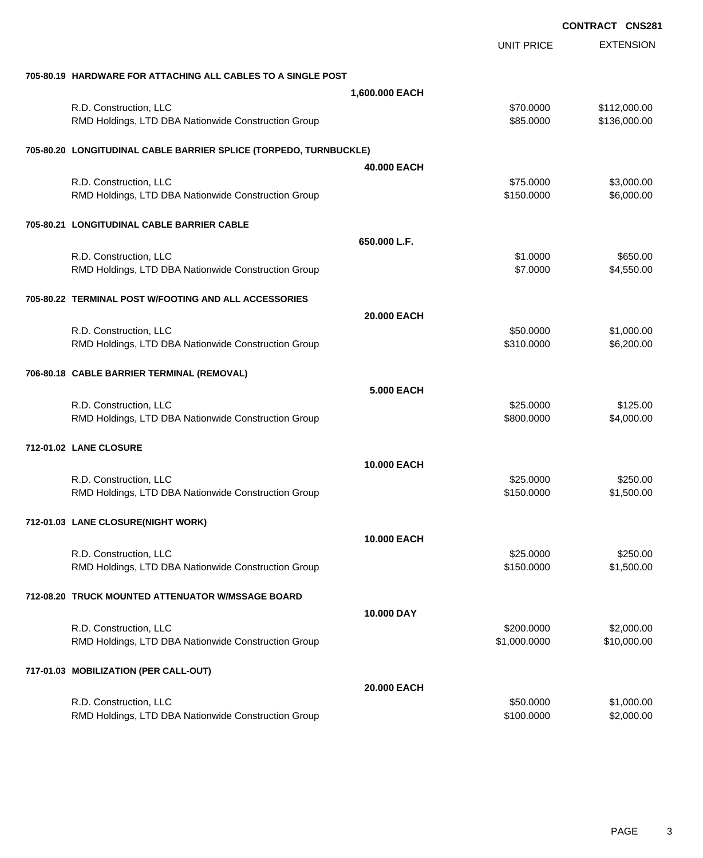|                                                                   |                    | <b>CONTRACT CNS281</b> |                  |
|-------------------------------------------------------------------|--------------------|------------------------|------------------|
|                                                                   |                    | <b>UNIT PRICE</b>      | <b>EXTENSION</b> |
| 705-80.19 HARDWARE FOR ATTACHING ALL CABLES TO A SINGLE POST      |                    |                        |                  |
|                                                                   | 1,600.000 EACH     |                        |                  |
| R.D. Construction, LLC                                            |                    | \$70.0000              | \$112,000.00     |
| RMD Holdings, LTD DBA Nationwide Construction Group               |                    | \$85.0000              | \$136,000.00     |
| 705-80.20 LONGITUDINAL CABLE BARRIER SPLICE (TORPEDO, TURNBUCKLE) |                    |                        |                  |
|                                                                   | 40.000 EACH        |                        |                  |
| R.D. Construction, LLC                                            |                    | \$75.0000              | \$3,000.00       |
| RMD Holdings, LTD DBA Nationwide Construction Group               |                    | \$150.0000             | \$6,000.00       |
| 705-80.21 LONGITUDINAL CABLE BARRIER CABLE                        |                    |                        |                  |
|                                                                   | 650.000 L.F.       |                        |                  |
| R.D. Construction, LLC                                            |                    | \$1.0000               | \$650.00         |
| RMD Holdings, LTD DBA Nationwide Construction Group               |                    | \$7.0000               | \$4,550.00       |
| 705-80.22 TERMINAL POST W/FOOTING AND ALL ACCESSORIES             |                    |                        |                  |
|                                                                   | 20,000 EACH        |                        |                  |
| R.D. Construction, LLC                                            |                    | \$50.0000              | \$1,000.00       |
| RMD Holdings, LTD DBA Nationwide Construction Group               |                    | \$310.0000             | \$6,200.00       |
| 706-80.18 CABLE BARRIER TERMINAL (REMOVAL)                        |                    |                        |                  |
|                                                                   | <b>5.000 EACH</b>  |                        |                  |
| R.D. Construction, LLC                                            |                    | \$25.0000              | \$125.00         |
| RMD Holdings, LTD DBA Nationwide Construction Group               |                    | \$800.0000             | \$4,000.00       |
| 712-01.02 LANE CLOSURE                                            |                    |                        |                  |
|                                                                   | <b>10.000 EACH</b> |                        |                  |
| R.D. Construction, LLC                                            |                    | \$25.0000              | \$250.00         |
| RMD Holdings, LTD DBA Nationwide Construction Group               |                    | \$150.0000             | \$1,500.00       |
| 712-01.03 LANE CLOSURE(NIGHT WORK)                                |                    |                        |                  |
|                                                                   | <b>10.000 EACH</b> |                        |                  |
| R.D. Construction, LLC                                            |                    | \$25.0000              | \$250.00         |
| RMD Holdings, LTD DBA Nationwide Construction Group               |                    | \$150.0000             | \$1,500.00       |
| 712-08.20 TRUCK MOUNTED ATTENUATOR W/MSSAGE BOARD                 |                    |                        |                  |
|                                                                   | 10,000 DAY         |                        |                  |
| R.D. Construction, LLC                                            |                    | \$200.0000             | \$2,000.00       |
| RMD Holdings, LTD DBA Nationwide Construction Group               |                    | \$1,000.0000           | \$10,000.00      |
| 717-01.03 MOBILIZATION (PER CALL-OUT)                             |                    |                        |                  |
|                                                                   | 20.000 EACH        |                        |                  |
| R.D. Construction, LLC                                            |                    | \$50.0000              | \$1,000.00       |
| RMD Holdings, LTD DBA Nationwide Construction Group               |                    | \$100.0000             | \$2,000.00       |
|                                                                   |                    |                        |                  |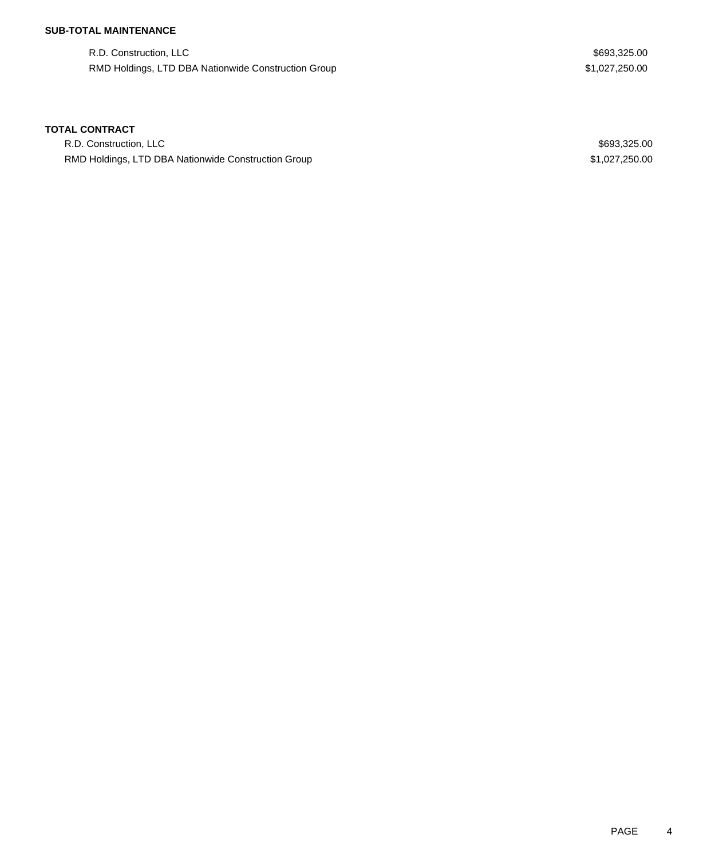## **SUB-TOTAL MAINTENANCE**

R.D. Construction, LLC \$693,325.00 RMD Holdings, LTD DBA Nationwide Construction Group \$1,027,250.00

#### **TOTAL CONTRACT**

R.D. Construction, LLC \$693,325.00 RMD Holdings, LTD DBA Nationwide Construction Group **\$1,027,250.00** \$1,027,250.00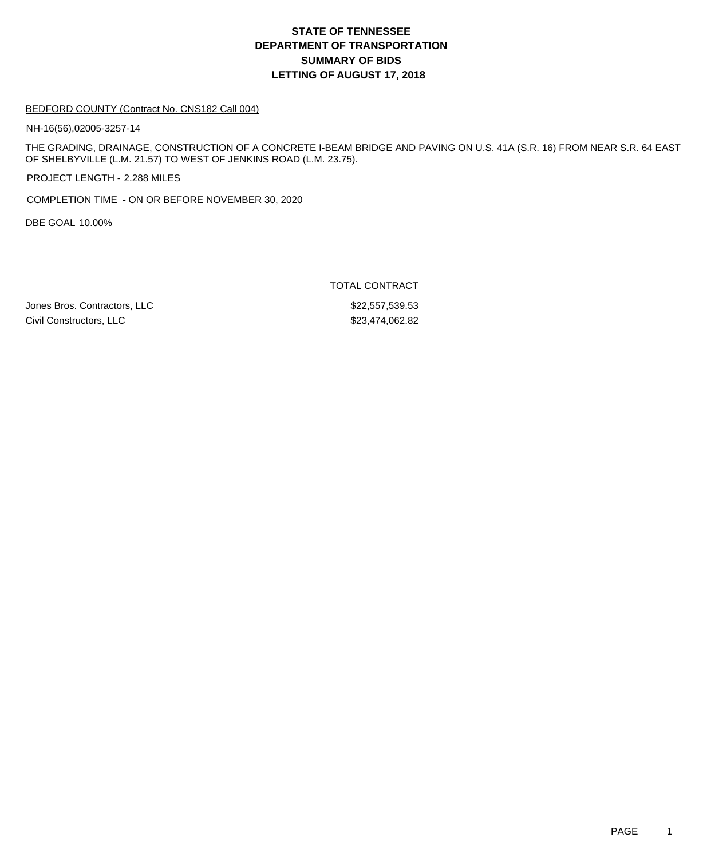## **DEPARTMENT OF TRANSPORTATION SUMMARY OF BIDS LETTING OF AUGUST 17, 2018 STATE OF TENNESSEE**

#### BEDFORD COUNTY (Contract No. CNS182 Call 004)

NH-16(56),02005-3257-14

THE GRADING, DRAINAGE, CONSTRUCTION OF A CONCRETE I-BEAM BRIDGE AND PAVING ON U.S. 41A (S.R. 16) FROM NEAR S.R. 64 EAST OF SHELBYVILLE (L.M. 21.57) TO WEST OF JENKINS ROAD (L.M. 23.75).

PROJECT LENGTH - 2.288 MILES

COMPLETION TIME - ON OR BEFORE NOVEMBER 30, 2020

DBE GOAL 10.00%

TOTAL CONTRACT

Jones Bros. Contractors, LLC \$22,557,539.53 Civil Constructors, LLC \$23,474,062.82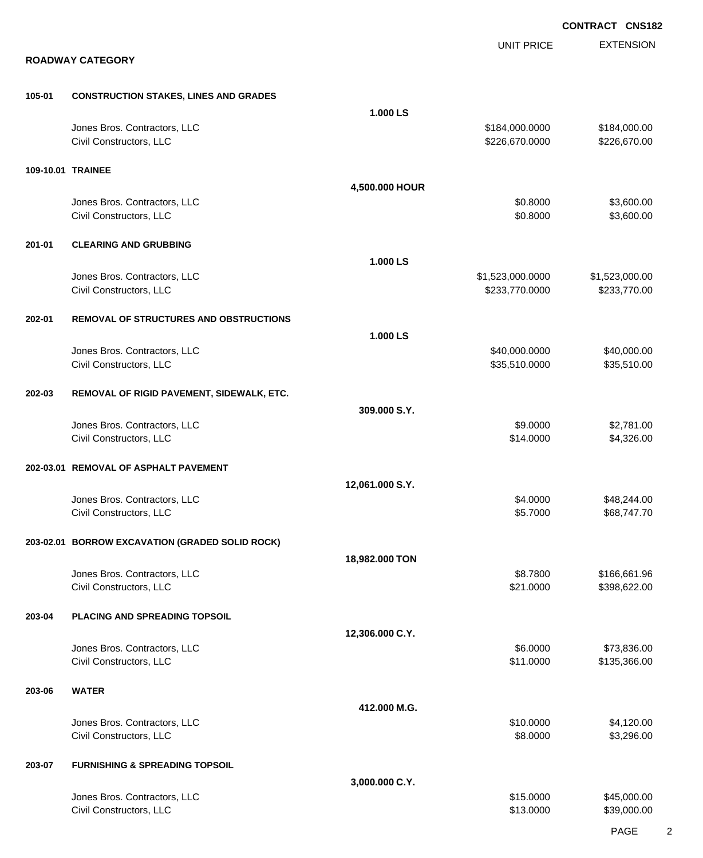|        |                                                         |                 |                                    | <b>CONTRACT CNS182</b>         |
|--------|---------------------------------------------------------|-----------------|------------------------------------|--------------------------------|
|        | <b>ROADWAY CATEGORY</b>                                 |                 | <b>UNIT PRICE</b>                  | <b>EXTENSION</b>               |
| 105-01 | <b>CONSTRUCTION STAKES, LINES AND GRADES</b>            |                 |                                    |                                |
|        |                                                         | 1.000 LS        |                                    |                                |
|        | Jones Bros. Contractors, LLC<br>Civil Constructors, LLC |                 | \$184,000.0000<br>\$226,670.0000   | \$184,000.00<br>\$226,670.00   |
|        | 109-10.01 TRAINEE                                       |                 |                                    |                                |
|        |                                                         | 4,500.000 HOUR  |                                    |                                |
|        | Jones Bros. Contractors, LLC<br>Civil Constructors, LLC |                 | \$0.8000<br>\$0.8000               | \$3,600.00<br>\$3,600.00       |
| 201-01 | <b>CLEARING AND GRUBBING</b>                            |                 |                                    |                                |
|        |                                                         | 1.000 LS        |                                    |                                |
|        | Jones Bros. Contractors, LLC<br>Civil Constructors, LLC |                 | \$1,523,000.0000<br>\$233,770.0000 | \$1,523,000.00<br>\$233,770.00 |
| 202-01 | <b>REMOVAL OF STRUCTURES AND OBSTRUCTIONS</b>           |                 |                                    |                                |
|        |                                                         | 1.000 LS        |                                    |                                |
|        | Jones Bros. Contractors, LLC                            |                 | \$40,000.0000                      | \$40,000.00                    |
|        | Civil Constructors, LLC                                 |                 | \$35,510.0000                      | \$35,510.00                    |
| 202-03 | REMOVAL OF RIGID PAVEMENT, SIDEWALK, ETC.               |                 |                                    |                                |
|        |                                                         | 309.000 S.Y.    |                                    |                                |
|        | Jones Bros. Contractors, LLC<br>Civil Constructors, LLC |                 | \$9.0000<br>\$14.0000              | \$2,781.00<br>\$4,326.00       |
|        | 202-03.01 REMOVAL OF ASPHALT PAVEMENT                   |                 |                                    |                                |
|        | Jones Bros. Contractors, LLC                            | 12,061.000 S.Y. | \$4.0000                           | \$48,244.00                    |
|        | Civil Constructors, LLC                                 |                 | \$5.7000                           | \$68,747.70                    |
|        | 203-02.01 BORROW EXCAVATION (GRADED SOLID ROCK)         |                 |                                    |                                |
|        |                                                         | 18,982.000 TON  |                                    |                                |
|        | Jones Bros. Contractors, LLC<br>Civil Constructors, LLC |                 | \$8.7800<br>\$21.0000              | \$166,661.96<br>\$398,622.00   |
| 203-04 | <b>PLACING AND SPREADING TOPSOIL</b>                    |                 |                                    |                                |
|        |                                                         | 12,306.000 C.Y. |                                    |                                |
|        | Jones Bros. Contractors, LLC<br>Civil Constructors, LLC |                 | \$6.0000<br>\$11.0000              | \$73,836.00<br>\$135,366.00    |
| 203-06 | <b>WATER</b>                                            |                 |                                    |                                |
|        |                                                         | 412.000 M.G.    |                                    |                                |
|        | Jones Bros. Contractors, LLC<br>Civil Constructors, LLC |                 | \$10.0000<br>\$8.0000              | \$4,120.00<br>\$3,296.00       |
| 203-07 | <b>FURNISHING &amp; SPREADING TOPSOIL</b>               |                 |                                    |                                |
|        |                                                         | 3,000.000 C.Y.  |                                    |                                |
|        | Jones Bros. Contractors, LLC<br>Civil Constructors, LLC |                 | \$15.0000<br>\$13.0000             | \$45,000.00<br>\$39,000.00     |

PAGE 2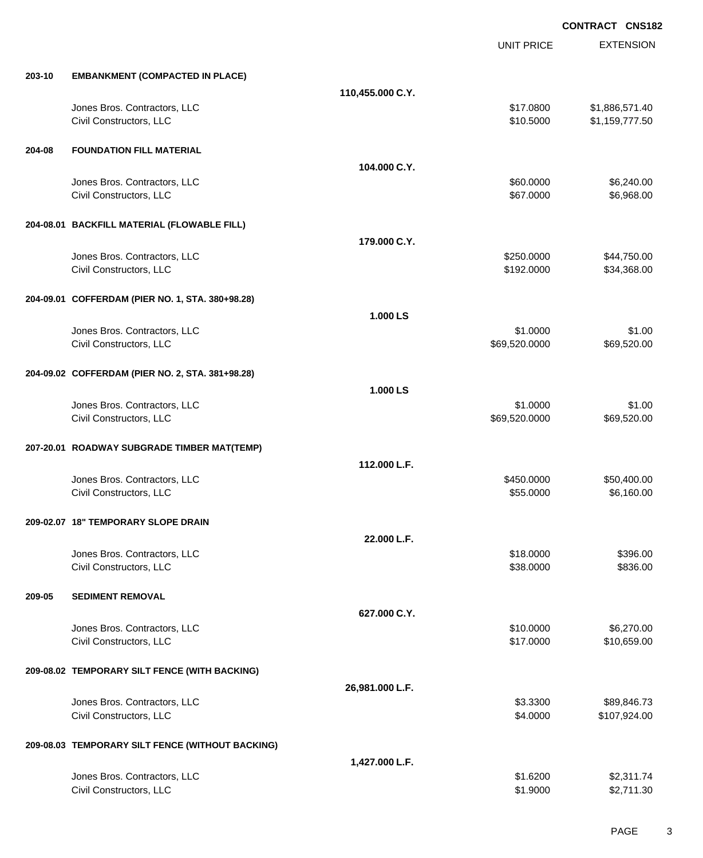EXTENSION **CONTRACT CNS182** UNIT PRICE **203-10 EMBANKMENT (COMPACTED IN PLACE) 110,455.000 C.Y.** Jones Bros. Contractors, LLC \$17.0800 \$1,886,571.40 Civil Constructors, LLC \$10.5000 \$1,159,777.50 **204-08 FOUNDATION FILL MATERIAL 104.000 C.Y.** Jones Bros. Contractors, LLC \$60.0000 \$6,240.00 Civil Constructors, LLC 68.968.00 **204-08.01 BACKFILL MATERIAL (FLOWABLE FILL) 179.000 C.Y.** Jones Bros. Contractors, LLC \$250.0000 \$44,750.00 Civil Constructors, LLC 634,368.00 **204-09.01 COFFERDAM (PIER NO. 1, STA. 380+98.28) 1.000 LS** Jones Bros. Contractors, LLC \$1.0000 \$1.00 Civil Constructors, LLC 669,520.000 \$69,520.000 \$69,520.000 \$69,520.000 **204-09.02 COFFERDAM (PIER NO. 2, STA. 381+98.28) 1.000 LS** Jones Bros. Contractors, LLC \$1.0000 \$1.00 Civil Constructors, LLC 669,520.000 \$69,520.000 \$69,520.000 \$69,520.000 **207-20.01 ROADWAY SUBGRADE TIMBER MAT(TEMP) 112.000 L.F.** Jones Bros. Contractors, LLC \$450.0000 \$50,400.00 Civil Constructors, LLC 6,160.00 **209-02.07 18" TEMPORARY SLOPE DRAIN 22.000 L.F.** Jones Bros. Contractors, LLC 6396.00 Civil Constructors, LLC 6836.000 \$839.000 \$836.00 **209-05 SEDIMENT REMOVAL 627.000 C.Y.** Jones Bros. Contractors, LLC \$10.0000 \$6,270.00 Civil Constructors, LLC 610,659.00 **209-08.02 TEMPORARY SILT FENCE (WITH BACKING) 26,981.000 L.F.** Jones Bros. Contractors, LLC \$3.3300 \$89,846.73 Civil Constructors, LLC 6. 2000 \$107,924.00 **209-08.03 TEMPORARY SILT FENCE (WITHOUT BACKING) 1,427.000 L.F.** Jones Bros. Contractors, LLC \$1.6200 \$2,311.74

Civil Constructors, LLC 62,711.30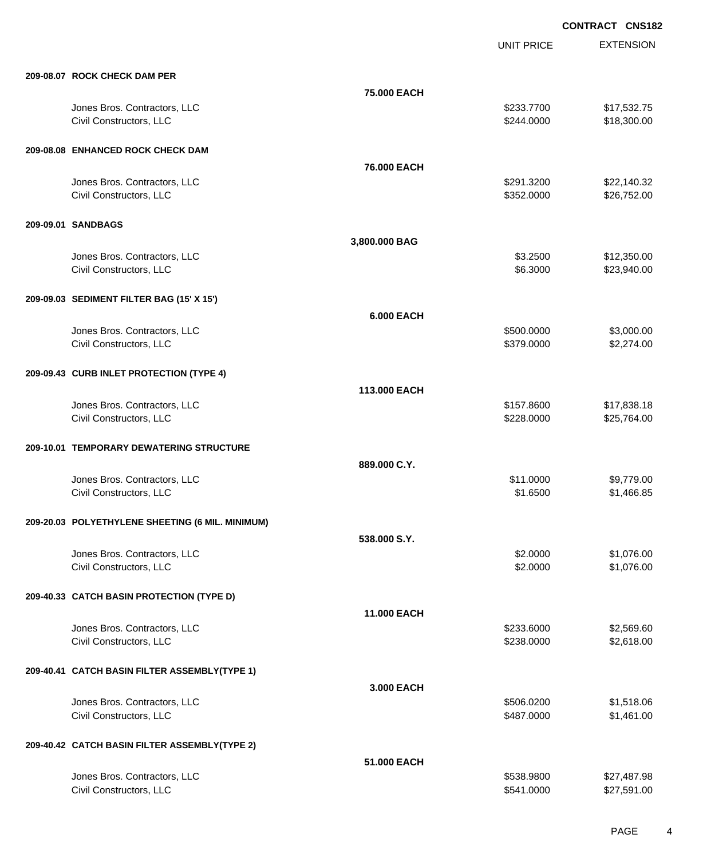UNIT PRICE

EXTENSION

|                                           | 75,000 EACH       |            |             |
|-------------------------------------------|-------------------|------------|-------------|
| Jones Bros. Contractors, LLC              |                   | \$233,7700 | \$17,532.75 |
| Civil Constructors, LLC                   |                   | \$244.0000 | \$18,300.00 |
| 209-08.08 ENHANCED ROCK CHECK DAM         |                   |            |             |
|                                           | 76.000 EACH       |            |             |
| Jones Bros. Contractors, LLC              |                   | \$291.3200 | \$22,140.32 |
| Civil Constructors, LLC                   |                   | \$352.0000 | \$26,752.00 |
| 209-09.01 SANDBAGS                        |                   |            |             |
|                                           | 3,800.000 BAG     |            |             |
| Jones Bros. Contractors, LLC              |                   | \$3.2500   | \$12,350.00 |
| Civil Constructors, LLC                   |                   | \$6.3000   | \$23,940.00 |
| 209-09.03 SEDIMENT FILTER BAG (15' X 15') |                   |            |             |
|                                           | <b>6.000 EACH</b> |            |             |
| Jones Bros. Contractors, LLC              |                   | \$500.0000 | \$3,000.00  |
| Civil Constructors, LLC                   |                   | \$379.0000 | \$2,274.00  |
| 209-09.43 CURB INLET PROTECTION (TYPE 4)  |                   |            |             |
|                                           | 113,000 EACH      |            |             |
| Jones Bros. Contractors, LLC              |                   | \$157,8600 | \$17,838.18 |
| Civil Constructors, LLC                   |                   | \$228.0000 | \$25,764.00 |
| 209-10.01 TEMPORARY DEWATERING STRUCTURE  |                   |            |             |
|                                           | 889.000 C.Y.      |            |             |
| Jones Bros. Contractors, LLC              |                   | \$11.0000  | \$9,779.00  |

## **209-20.03 POLYETHYLENE SHEETING (6 MIL. MINIMUM)**

**209-08.07 ROCK CHECK DAM PER**

| 209-20.03 POLYETHYLENE SHEETING (6 MIL. MINIMUM) |                    |            |             |
|--------------------------------------------------|--------------------|------------|-------------|
|                                                  | 538,000 S.Y.       |            |             |
| Jones Bros. Contractors, LLC                     |                    | \$2.0000   | \$1,076.00  |
| Civil Constructors, LLC                          |                    | \$2.0000   | \$1,076.00  |
| 209-40.33 CATCH BASIN PROTECTION (TYPE D)        |                    |            |             |
|                                                  | <b>11.000 EACH</b> |            |             |
| Jones Bros. Contractors, LLC                     |                    | \$233.6000 | \$2,569.60  |
| Civil Constructors, LLC                          |                    | \$238.0000 | \$2,618.00  |
| 209-40.41 CATCH BASIN FILTER ASSEMBLY(TYPE 1)    |                    |            |             |
|                                                  | 3.000 EACH         |            |             |
| Jones Bros. Contractors, LLC                     |                    | \$506.0200 | \$1,518.06  |
| Civil Constructors, LLC                          |                    | \$487.0000 | \$1,461.00  |
| 209-40.42 CATCH BASIN FILTER ASSEMBLY(TYPE 2)    |                    |            |             |
|                                                  | 51,000 EACH        |            |             |
| Jones Bros. Contractors, LLC                     |                    | \$538.9800 | \$27,487.98 |

Civil Constructors, LLC 627,591.00

Civil Constructors, LLC \$1,466.85

PAGE 4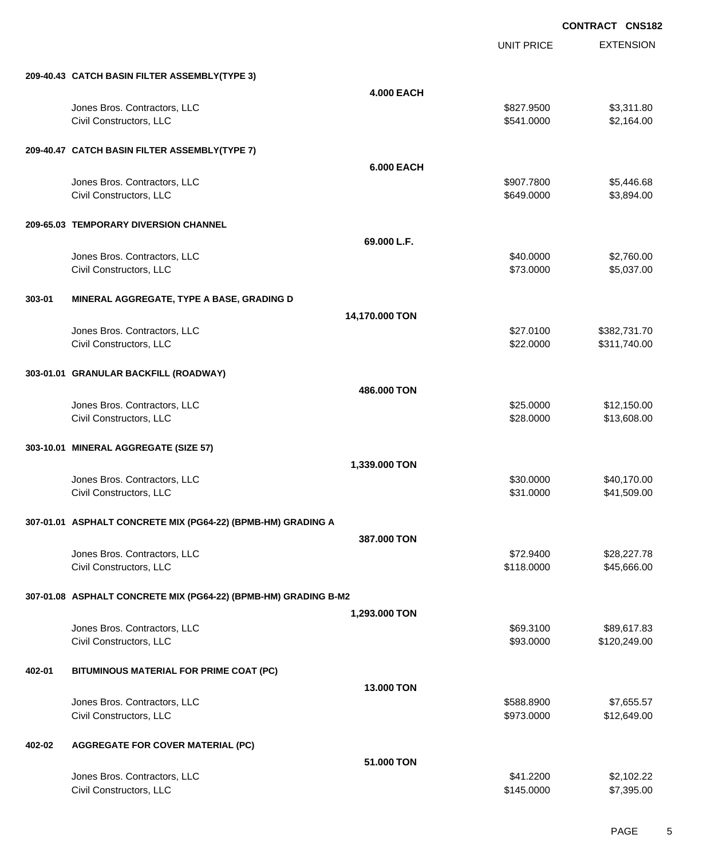EXTENSION **CONTRACT CNS182** UNIT PRICE **209-40.43 CATCH BASIN FILTER ASSEMBLY(TYPE 3) 4.000 EACH** Jones Bros. Contractors, LLC \$827.9500 \$3,311.80 Civil Constructors, LLC 6. 2.164.00 **209-40.47 CATCH BASIN FILTER ASSEMBLY(TYPE 7) 6.000 EACH** Jones Bros. Contractors, LLC \$907.7800 \$5,446.68 Civil Constructors, LLC 63,894.00 **209-65.03 TEMPORARY DIVERSION CHANNEL 69.000 L.F.** Jones Bros. Contractors, LLC 660 and the set of the set of the set of the set of the set of the set of the set of the set of the set of the set of the set of the set of the set of the set of the set of the set of the set o Civil Constructors, LLC 65,037.000 \$5,037.00 **303-01 MINERAL AGGREGATE, TYPE A BASE, GRADING D 14,170.000 TON** Jones Bros. Contractors, LLC \$27.0100 \$382,731.70 Civil Constructors, LLC 6311,740.00 **303-01.01 GRANULAR BACKFILL (ROADWAY) 486.000 TON** Jones Bros. Contractors, LLC 6. 2012. The set of the set of the set of the set of the set of the set of the set of the set of the set of the set of the set of the set of the set of the set of the set of the set of the set Civil Constructors, LLC 613,608.00 **303-10.01 MINERAL AGGREGATE (SIZE 57) 1,339.000 TON** Jones Bros. Contractors, LLC \$30.0000 \$40,170.00 Civil Constructors, LLC 641,509.00 **307-01.01 ASPHALT CONCRETE MIX (PG64-22) (BPMB-HM) GRADING A 387.000 TON** Jones Bros. Contractors, LLC 6. 2008. The state of the state of the state of the state of the state of the state of the state of the state of the state of the state of the state of the state of the state of the state of th Civil Constructors, LLC 666.00 \$45,666.00 **307-01.08 ASPHALT CONCRETE MIX (PG64-22) (BPMB-HM) GRADING B-M2 1,293.000 TON** Jones Bros. Contractors, LLC \$69.3100 \$89,617.83 Civil Constructors, LLC 6120,249.00 **402-01 BITUMINOUS MATERIAL FOR PRIME COAT (PC) 13.000 TON** Jones Bros. Contractors, LLC \$588.8900 \$7,655.57 Civil Constructors, LLC 612,649.00 **402-02 AGGREGATE FOR COVER MATERIAL (PC) 51.000 TON** Jones Bros. Contractors, LLC 62,102.22

Civil Constructors, LLC 67,395.00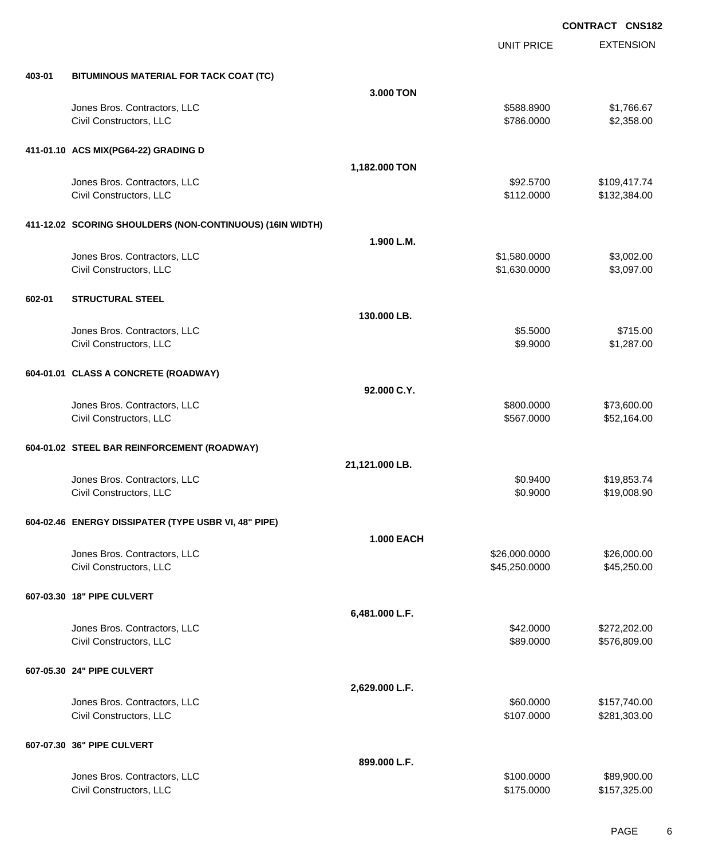|        |                                                           |                   | UNIT PRICE    | <b>EXTENSION</b> |
|--------|-----------------------------------------------------------|-------------------|---------------|------------------|
| 403-01 | BITUMINOUS MATERIAL FOR TACK COAT (TC)                    |                   |               |                  |
|        |                                                           | 3.000 TON         |               |                  |
|        | Jones Bros. Contractors, LLC                              |                   | \$588.8900    | \$1,766.67       |
|        | Civil Constructors, LLC                                   |                   | \$786.0000    | \$2,358.00       |
|        |                                                           |                   |               |                  |
|        | 411-01.10 ACS MIX(PG64-22) GRADING D                      |                   |               |                  |
|        |                                                           | 1,182.000 TON     |               |                  |
|        | Jones Bros. Contractors, LLC                              |                   | \$92.5700     | \$109,417.74     |
|        | Civil Constructors, LLC                                   |                   | \$112.0000    | \$132,384.00     |
|        |                                                           |                   |               |                  |
|        | 411-12.02 SCORING SHOULDERS (NON-CONTINUOUS) (16IN WIDTH) |                   |               |                  |
|        |                                                           | 1.900 L.M.        |               |                  |
|        | Jones Bros. Contractors, LLC                              |                   | \$1,580.0000  | \$3,002.00       |
|        | Civil Constructors, LLC                                   |                   | \$1,630.0000  | \$3,097.00       |
|        |                                                           |                   |               |                  |
| 602-01 | <b>STRUCTURAL STEEL</b>                                   |                   |               |                  |
|        |                                                           | 130,000 LB.       |               |                  |
|        | Jones Bros. Contractors, LLC                              |                   | \$5.5000      | \$715.00         |
|        | Civil Constructors, LLC                                   |                   | \$9.9000      | \$1,287.00       |
|        |                                                           |                   |               |                  |
|        | 604-01.01 CLASS A CONCRETE (ROADWAY)                      |                   |               |                  |
|        |                                                           | 92.000 C.Y.       |               |                  |
|        | Jones Bros. Contractors, LLC                              |                   | \$800.0000    | \$73,600.00      |
|        | Civil Constructors, LLC                                   |                   | \$567.0000    | \$52,164.00      |
|        |                                                           |                   |               |                  |
|        | 604-01.02 STEEL BAR REINFORCEMENT (ROADWAY)               |                   |               |                  |
|        |                                                           | 21,121.000 LB.    |               |                  |
|        | Jones Bros. Contractors, LLC                              |                   | \$0.9400      | \$19,853.74      |
|        | Civil Constructors, LLC                                   |                   | \$0.9000      | \$19,008.90      |
|        |                                                           |                   |               |                  |
|        | 604-02.46 ENERGY DISSIPATER (TYPE USBR VI, 48" PIPE)      |                   |               |                  |
|        |                                                           | <b>1.000 EACH</b> |               |                  |
|        | Jones Bros. Contractors, LLC                              |                   | \$26,000.0000 | \$26,000.00      |
|        | Civil Constructors, LLC                                   |                   | \$45,250.0000 | \$45,250.00      |
|        |                                                           |                   |               |                  |
|        | 607-03.30 18" PIPE CULVERT                                |                   |               |                  |
|        |                                                           | 6,481.000 L.F.    |               |                  |
|        | Jones Bros. Contractors, LLC                              |                   | \$42.0000     | \$272,202.00     |
|        | Civil Constructors, LLC                                   |                   | \$89.0000     | \$576,809.00     |
|        |                                                           |                   |               |                  |
|        | 607-05.30 24" PIPE CULVERT                                |                   |               |                  |
|        |                                                           | 2,629.000 L.F.    |               |                  |
|        | Jones Bros. Contractors, LLC                              |                   | \$60.0000     | \$157,740.00     |
|        | Civil Constructors, LLC                                   |                   | \$107.0000    | \$281,303.00     |
|        |                                                           |                   |               |                  |
|        | 607-07.30 36" PIPE CULVERT                                |                   |               |                  |
|        |                                                           | 899.000 L.F.      |               |                  |
|        | Jones Bros. Contractors, LLC                              |                   | \$100.0000    | \$89,900.00      |
|        | Civil Constructors, LLC                                   |                   | \$175.0000    | \$157,325.00     |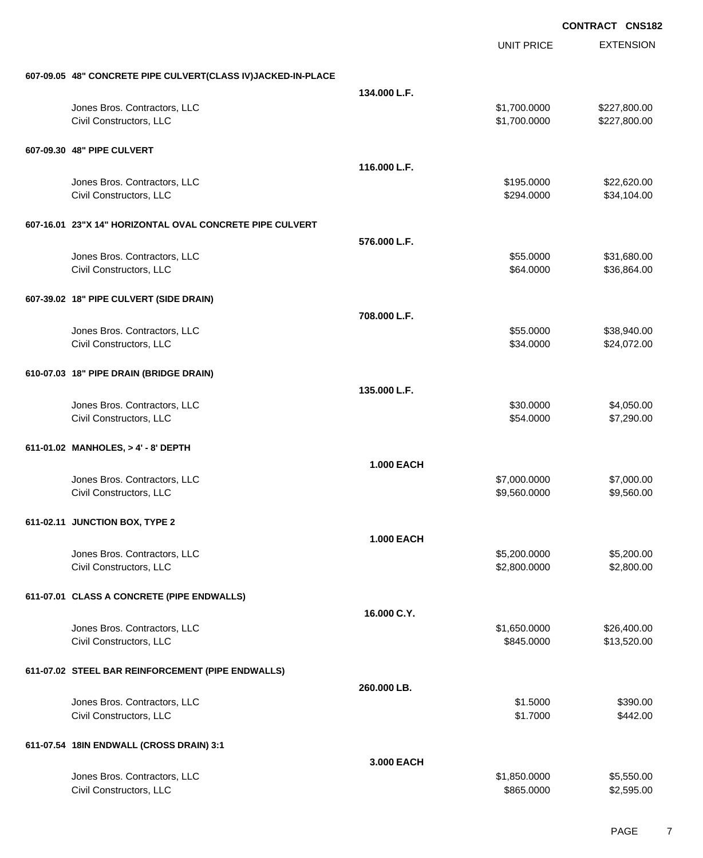|                                                              |                   | <b>UNIT PRICE</b>          | <b>EXTENSION</b>           |
|--------------------------------------------------------------|-------------------|----------------------------|----------------------------|
|                                                              |                   |                            |                            |
| 607-09.05 48" CONCRETE PIPE CULVERT(CLASS IV)JACKED-IN-PLACE |                   |                            |                            |
| Jones Bros. Contractors, LLC                                 | 134.000 L.F.      | \$1,700.0000               | \$227,800.00               |
| Civil Constructors, LLC                                      |                   | \$1,700.0000               | \$227,800.00               |
|                                                              |                   |                            |                            |
| 607-09.30 48" PIPE CULVERT                                   |                   |                            |                            |
|                                                              | 116.000 L.F.      |                            |                            |
| Jones Bros. Contractors, LLC                                 |                   | \$195.0000                 | \$22,620.00                |
| Civil Constructors, LLC                                      |                   | \$294.0000                 | \$34,104.00                |
| 607-16.01 23"X 14" HORIZONTAL OVAL CONCRETE PIPE CULVERT     |                   |                            |                            |
|                                                              | 576.000 L.F.      |                            |                            |
| Jones Bros. Contractors, LLC                                 |                   | \$55.0000                  | \$31,680.00                |
| Civil Constructors, LLC                                      |                   | \$64.0000                  | \$36,864.00                |
|                                                              |                   |                            |                            |
| 607-39.02 18" PIPE CULVERT (SIDE DRAIN)                      |                   |                            |                            |
|                                                              | 708.000 L.F.      |                            |                            |
| Jones Bros. Contractors, LLC                                 |                   | \$55.0000                  | \$38,940.00                |
| Civil Constructors, LLC                                      |                   | \$34.0000                  | \$24,072.00                |
| 610-07.03 18" PIPE DRAIN (BRIDGE DRAIN)                      |                   |                            |                            |
|                                                              | 135.000 L.F.      |                            |                            |
| Jones Bros. Contractors, LLC                                 |                   | \$30.0000                  | \$4,050.00                 |
| Civil Constructors, LLC                                      |                   | \$54.0000                  | \$7,290.00                 |
|                                                              |                   |                            |                            |
| 611-01.02 MANHOLES, > 4' - 8' DEPTH                          |                   |                            |                            |
|                                                              | <b>1.000 EACH</b> |                            |                            |
| Jones Bros. Contractors, LLC                                 |                   | \$7,000.0000               | \$7,000.00                 |
| Civil Constructors, LLC                                      |                   | \$9,560.0000               | \$9,560.00                 |
| 611-02.11 JUNCTION BOX, TYPE 2                               |                   |                            |                            |
|                                                              | <b>1.000 EACH</b> |                            |                            |
| Jones Bros. Contractors, LLC                                 |                   | \$5,200.0000               | \$5,200.00                 |
| Civil Constructors, LLC                                      |                   | \$2,800.0000               | \$2,800.00                 |
|                                                              |                   |                            |                            |
| 611-07.01 CLASS A CONCRETE (PIPE ENDWALLS)                   |                   |                            |                            |
|                                                              | 16.000 C.Y.       |                            |                            |
| Jones Bros. Contractors, LLC<br>Civil Constructors, LLC      |                   | \$1,650.0000<br>\$845.0000 | \$26,400.00<br>\$13,520.00 |
|                                                              |                   |                            |                            |
| 611-07.02 STEEL BAR REINFORCEMENT (PIPE ENDWALLS)            |                   |                            |                            |
|                                                              | 260.000 LB.       |                            |                            |
| Jones Bros. Contractors, LLC                                 |                   | \$1.5000                   | \$390.00                   |
| Civil Constructors, LLC                                      |                   | \$1.7000                   | \$442.00                   |
|                                                              |                   |                            |                            |
| 611-07.54 18IN ENDWALL (CROSS DRAIN) 3:1                     |                   |                            |                            |
|                                                              | 3.000 EACH        |                            |                            |
| Jones Bros. Contractors, LLC<br>Civil Constructors, LLC      |                   | \$1,850.0000<br>\$865.0000 | \$5,550.00<br>\$2,595.00   |
|                                                              |                   |                            |                            |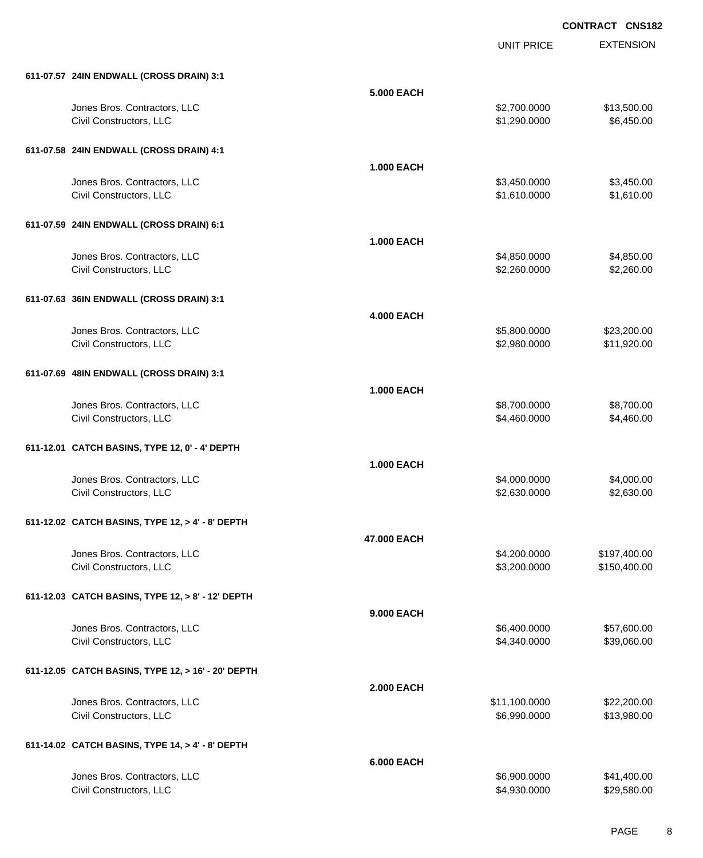|                                                         |                   | <b>UNIT PRICE</b>             | <b>EXTENSION</b>             |
|---------------------------------------------------------|-------------------|-------------------------------|------------------------------|
| 611-07.57 24IN ENDWALL (CROSS DRAIN) 3:1                |                   |                               |                              |
|                                                         | <b>5.000 EACH</b> |                               |                              |
| Jones Bros. Contractors, LLC<br>Civil Constructors, LLC |                   | \$2,700.0000<br>\$1,290.0000  | \$13,500.00<br>\$6,450.00    |
| 611-07.58 24IN ENDWALL (CROSS DRAIN) 4:1                |                   |                               |                              |
|                                                         | <b>1.000 EACH</b> |                               |                              |
| Jones Bros. Contractors, LLC<br>Civil Constructors, LLC |                   | \$3,450.0000<br>\$1,610.0000  | \$3,450.00<br>\$1,610.00     |
| 611-07.59 24IN ENDWALL (CROSS DRAIN) 6:1                |                   |                               |                              |
|                                                         | <b>1.000 EACH</b> |                               |                              |
| Jones Bros. Contractors, LLC<br>Civil Constructors, LLC |                   | \$4,850.0000<br>\$2,260.0000  | \$4,850.00<br>\$2,260.00     |
| 611-07.63 36IN ENDWALL (CROSS DRAIN) 3:1                |                   |                               |                              |
|                                                         | <b>4.000 EACH</b> |                               |                              |
| Jones Bros. Contractors, LLC<br>Civil Constructors, LLC |                   | \$5,800.0000<br>\$2,980.0000  | \$23,200.00<br>\$11,920.00   |
| 611-07.69 48IN ENDWALL (CROSS DRAIN) 3:1                |                   |                               |                              |
|                                                         | <b>1.000 EACH</b> |                               |                              |
| Jones Bros. Contractors, LLC<br>Civil Constructors, LLC |                   | \$8,700.0000<br>\$4,460.0000  | \$8,700.00<br>\$4,460.00     |
| 611-12.01 CATCH BASINS, TYPE 12, 0' - 4' DEPTH          |                   |                               |                              |
|                                                         | <b>1.000 EACH</b> |                               |                              |
| Jones Bros. Contractors, LLC<br>Civil Constructors, LLC |                   | \$4,000.0000<br>\$2,630.0000  | \$4,000.00<br>\$2,630.00     |
| 611-12.02 CATCH BASINS, TYPE 12, > 4' - 8' DEPTH        |                   |                               |                              |
|                                                         | 47.000 EACH       |                               |                              |
| Jones Bros. Contractors, LLC<br>Civil Constructors, LLC |                   | \$4,200.0000<br>\$3,200.0000  | \$197,400.00<br>\$150,400.00 |
| 611-12.03 CATCH BASINS, TYPE 12, > 8' - 12' DEPTH       |                   |                               |                              |
|                                                         | 9.000 EACH        |                               |                              |
| Jones Bros. Contractors, LLC<br>Civil Constructors, LLC |                   | \$6,400.0000<br>\$4,340.0000  | \$57,600.00<br>\$39,060.00   |
| 611-12.05 CATCH BASINS, TYPE 12, > 16' - 20' DEPTH      |                   |                               |                              |
|                                                         | <b>2.000 EACH</b> |                               |                              |
| Jones Bros. Contractors, LLC<br>Civil Constructors, LLC |                   | \$11,100.0000<br>\$6,990.0000 | \$22,200.00<br>\$13,980.00   |
| 611-14.02 CATCH BASINS, TYPE 14, > 4' - 8' DEPTH        |                   |                               |                              |
|                                                         | <b>6.000 EACH</b> |                               |                              |
| Jones Bros. Contractors, LLC<br>Civil Constructors, LLC |                   | \$6,900.0000<br>\$4,930.0000  | \$41,400.00<br>\$29,580.00   |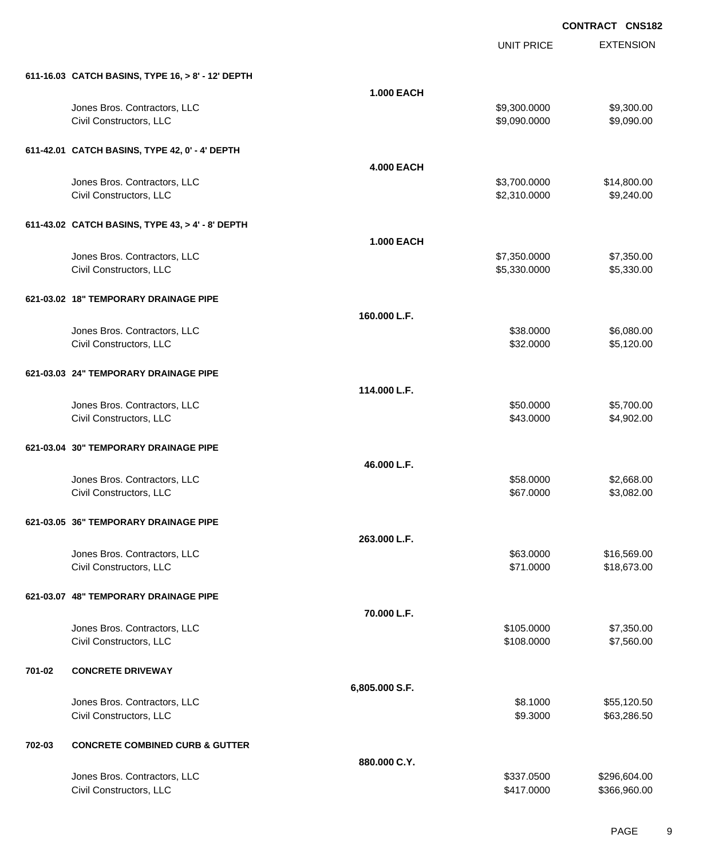|        |                                                   |                   | <b>UNIT PRICE</b> | <b>EXTENSION</b> |
|--------|---------------------------------------------------|-------------------|-------------------|------------------|
|        | 611-16.03 CATCH BASINS, TYPE 16, > 8' - 12' DEPTH |                   |                   |                  |
|        |                                                   | <b>1.000 EACH</b> |                   |                  |
|        | Jones Bros. Contractors, LLC                      |                   | \$9,300.0000      | \$9,300.00       |
|        | Civil Constructors, LLC                           |                   | \$9,090.0000      | \$9,090.00       |
|        | 611-42.01 CATCH BASINS, TYPE 42, 0' - 4' DEPTH    |                   |                   |                  |
|        |                                                   | <b>4.000 EACH</b> |                   |                  |
|        | Jones Bros. Contractors, LLC                      |                   | \$3,700.0000      | \$14,800.00      |
|        | Civil Constructors, LLC                           |                   | \$2,310.0000      | \$9,240.00       |
|        | 611-43.02 CATCH BASINS, TYPE 43, > 4' - 8' DEPTH  |                   |                   |                  |
|        |                                                   | <b>1.000 EACH</b> |                   |                  |
|        | Jones Bros. Contractors, LLC                      |                   | \$7,350.0000      | \$7,350.00       |
|        | Civil Constructors, LLC                           |                   | \$5,330.0000      | \$5,330.00       |
|        | 621-03.02 18" TEMPORARY DRAINAGE PIPE             |                   |                   |                  |
|        |                                                   | 160.000 L.F.      |                   |                  |
|        | Jones Bros. Contractors, LLC                      |                   | \$38.0000         | \$6,080.00       |
|        | Civil Constructors, LLC                           |                   | \$32.0000         | \$5,120.00       |
|        | 621-03.03 24" TEMPORARY DRAINAGE PIPE             |                   |                   |                  |
|        |                                                   | 114.000 L.F.      |                   |                  |
|        | Jones Bros. Contractors, LLC                      |                   | \$50.0000         | \$5,700.00       |
|        | Civil Constructors, LLC                           |                   | \$43.0000         | \$4,902.00       |
|        | 621-03.04 30" TEMPORARY DRAINAGE PIPE             |                   |                   |                  |
|        |                                                   | 46.000 L.F.       |                   |                  |
|        | Jones Bros. Contractors, LLC                      |                   | \$58.0000         | \$2,668.00       |
|        | Civil Constructors, LLC                           |                   | \$67.0000         | \$3,082.00       |
|        | 621-03.05 36" TEMPORARY DRAINAGE PIPE             |                   |                   |                  |
|        |                                                   | 263.000 L.F.      |                   |                  |
|        | Jones Bros. Contractors, LLC                      |                   | \$63.0000         | \$16,569.00      |
|        | Civil Constructors, LLC                           |                   | \$71.0000         | \$18,673.00      |
|        | 621-03.07 48" TEMPORARY DRAINAGE PIPE             |                   |                   |                  |
|        |                                                   | 70.000 L.F.       |                   |                  |
|        | Jones Bros. Contractors, LLC                      |                   | \$105.0000        | \$7,350.00       |
|        | Civil Constructors, LLC                           |                   | \$108.0000        | \$7,560.00       |
| 701-02 | <b>CONCRETE DRIVEWAY</b>                          |                   |                   |                  |
|        |                                                   | 6,805.000 S.F.    |                   |                  |
|        | Jones Bros. Contractors, LLC                      |                   | \$8.1000          | \$55,120.50      |
|        | Civil Constructors, LLC                           |                   | \$9.3000          | \$63,286.50      |
| 702-03 | <b>CONCRETE COMBINED CURB &amp; GUTTER</b>        |                   |                   |                  |
|        |                                                   | 880.000 C.Y.      |                   |                  |
|        | Jones Bros. Contractors, LLC                      |                   | \$337.0500        | \$296,604.00     |
|        | Civil Constructors, LLC                           |                   | \$417.0000        | \$366,960.00     |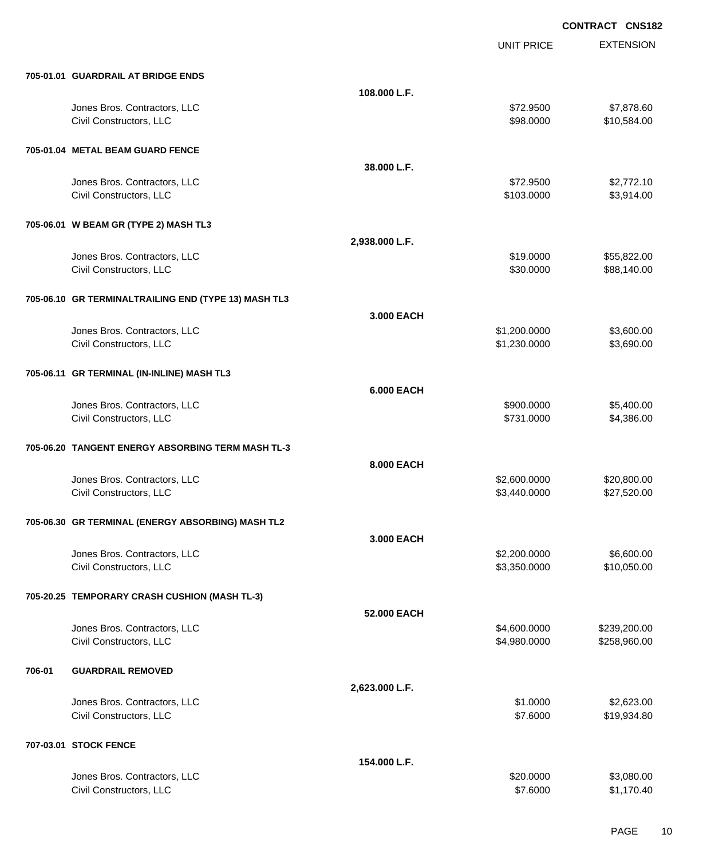|        |                                                         |                   | <b>UNIT PRICE</b>            | <b>EXTENSION</b>           |
|--------|---------------------------------------------------------|-------------------|------------------------------|----------------------------|
|        | 705-01.01 GUARDRAIL AT BRIDGE ENDS                      |                   |                              |                            |
|        |                                                         | 108.000 L.F.      |                              |                            |
|        | Jones Bros. Contractors, LLC<br>Civil Constructors, LLC |                   | \$72.9500<br>\$98.0000       | \$7,878.60<br>\$10,584.00  |
|        | 705-01.04 METAL BEAM GUARD FENCE                        |                   |                              |                            |
|        |                                                         | 38.000 L.F.       |                              |                            |
|        | Jones Bros. Contractors, LLC<br>Civil Constructors, LLC |                   | \$72.9500<br>\$103.0000      | \$2,772.10<br>\$3,914.00   |
|        | 705-06.01 W BEAM GR (TYPE 2) MASH TL3                   |                   |                              |                            |
|        |                                                         | 2,938.000 L.F.    |                              |                            |
|        | Jones Bros. Contractors, LLC<br>Civil Constructors, LLC |                   | \$19.0000<br>\$30.0000       | \$55,822.00<br>\$88,140.00 |
|        | 705-06.10 GR TERMINALTRAILING END (TYPE 13) MASH TL3    |                   |                              |                            |
|        |                                                         | 3,000 EACH        |                              |                            |
|        | Jones Bros. Contractors, LLC                            |                   | \$1,200.0000                 | \$3,600.00                 |
|        | Civil Constructors, LLC                                 |                   | \$1,230.0000                 | \$3,690.00                 |
|        | 705-06.11 GR TERMINAL (IN-INLINE) MASH TL3              |                   |                              |                            |
|        |                                                         | <b>6.000 EACH</b> |                              |                            |
|        | Jones Bros. Contractors, LLC                            |                   | \$900.0000                   | \$5,400.00                 |
|        | Civil Constructors, LLC                                 |                   | \$731.0000                   | \$4,386.00                 |
|        | 705-06.20 TANGENT ENERGY ABSORBING TERM MASH TL-3       |                   |                              |                            |
|        |                                                         | 8.000 EACH        |                              |                            |
|        | Jones Bros. Contractors, LLC                            |                   | \$2,600.0000                 | \$20,800.00                |
|        | Civil Constructors, LLC                                 |                   | \$3,440.0000                 | \$27,520.00                |
|        | 705-06.30 GR TERMINAL (ENERGY ABSORBING) MASH TL2       |                   |                              |                            |
|        |                                                         | 3.000 EACH        |                              |                            |
|        | Jones Bros. Contractors, LLC<br>Civil Constructors, LLC |                   | \$2,200.0000<br>\$3,350.0000 | \$6,600.00<br>\$10,050.00  |
|        | 705-20.25 TEMPORARY CRASH CUSHION (MASH TL-3)           |                   |                              |                            |
|        |                                                         | 52.000 EACH       |                              |                            |
|        | Jones Bros. Contractors, LLC                            |                   | \$4,600.0000                 | \$239,200.00               |
|        | Civil Constructors, LLC                                 |                   | \$4,980.0000                 | \$258,960.00               |
| 706-01 | <b>GUARDRAIL REMOVED</b>                                |                   |                              |                            |
|        |                                                         | 2,623.000 L.F.    |                              |                            |
|        | Jones Bros. Contractors, LLC                            |                   | \$1.0000                     | \$2,623.00                 |
|        | Civil Constructors, LLC                                 |                   | \$7.6000                     | \$19,934.80                |
|        | 707-03.01 STOCK FENCE                                   |                   |                              |                            |
|        |                                                         | 154.000 L.F.      |                              |                            |
|        | Jones Bros. Contractors, LLC                            |                   | \$20.0000                    | \$3,080.00                 |
|        | Civil Constructors, LLC                                 |                   | \$7.6000                     | \$1,170.40                 |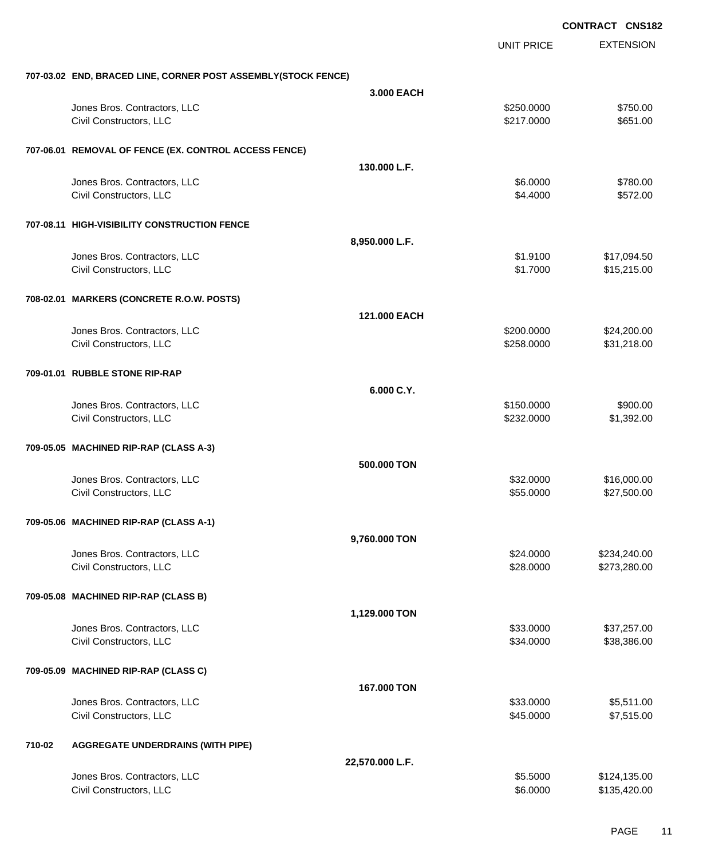|        |                                                               |                 |                          | <b>CONTRACT CNS182</b>       |
|--------|---------------------------------------------------------------|-----------------|--------------------------|------------------------------|
|        |                                                               |                 | <b>UNIT PRICE</b>        | <b>EXTENSION</b>             |
|        | 707-03.02 END, BRACED LINE, CORNER POST ASSEMBLY(STOCK FENCE) |                 |                          |                              |
|        |                                                               | 3.000 EACH      |                          |                              |
|        | Jones Bros. Contractors, LLC<br>Civil Constructors, LLC       |                 | \$250.0000<br>\$217.0000 | \$750.00<br>\$651.00         |
|        | 707-06.01 REMOVAL OF FENCE (EX. CONTROL ACCESS FENCE)         |                 |                          |                              |
|        |                                                               | 130.000 L.F.    |                          |                              |
|        | Jones Bros. Contractors, LLC<br>Civil Constructors, LLC       |                 | \$6.0000<br>\$4.4000     | \$780.00<br>\$572.00         |
|        | 707-08.11 HIGH-VISIBILITY CONSTRUCTION FENCE                  |                 |                          |                              |
|        |                                                               | 8,950.000 L.F.  |                          |                              |
|        | Jones Bros. Contractors, LLC<br>Civil Constructors, LLC       |                 | \$1.9100<br>\$1.7000     | \$17,094.50<br>\$15,215.00   |
|        | 708-02.01 MARKERS (CONCRETE R.O.W. POSTS)                     |                 |                          |                              |
|        |                                                               | 121,000 EACH    |                          |                              |
|        | Jones Bros. Contractors, LLC<br>Civil Constructors, LLC       |                 | \$200.0000<br>\$258.0000 | \$24,200.00<br>\$31,218.00   |
|        | 709-01.01 RUBBLE STONE RIP-RAP                                |                 |                          |                              |
|        |                                                               | 6.000 C.Y.      |                          |                              |
|        | Jones Bros. Contractors, LLC<br>Civil Constructors, LLC       |                 | \$150.0000<br>\$232.0000 | \$900.00<br>\$1,392.00       |
|        | 709-05.05 MACHINED RIP-RAP (CLASS A-3)                        |                 |                          |                              |
|        |                                                               | 500.000 TON     |                          |                              |
|        | Jones Bros. Contractors, LLC<br>Civil Constructors, LLC       |                 | \$32.0000<br>\$55.0000   | \$16,000.00<br>\$27,500.00   |
|        | 709-05.06 MACHINED RIP-RAP (CLASS A-1)                        |                 |                          |                              |
|        |                                                               | 9,760.000 TON   |                          |                              |
|        | Jones Bros. Contractors, LLC<br>Civil Constructors, LLC       |                 | \$24.0000<br>\$28.0000   | \$234,240.00<br>\$273,280.00 |
|        | 709-05.08 MACHINED RIP-RAP (CLASS B)                          |                 |                          |                              |
|        |                                                               | 1,129.000 TON   |                          |                              |
|        | Jones Bros. Contractors, LLC<br>Civil Constructors, LLC       |                 | \$33.0000<br>\$34.0000   | \$37,257.00<br>\$38,386.00   |
|        | 709-05.09 MACHINED RIP-RAP (CLASS C)                          |                 |                          |                              |
|        |                                                               | 167.000 TON     |                          |                              |
|        | Jones Bros. Contractors, LLC<br>Civil Constructors, LLC       |                 | \$33.0000<br>\$45.0000   | \$5,511.00<br>\$7,515.00     |
| 710-02 | <b>AGGREGATE UNDERDRAINS (WITH PIPE)</b>                      |                 |                          |                              |
|        |                                                               | 22,570.000 L.F. |                          |                              |
|        | Jones Bros. Contractors, LLC<br>Civil Constructors, LLC       |                 | \$5.5000<br>\$6.0000     | \$124,135.00<br>\$135,420.00 |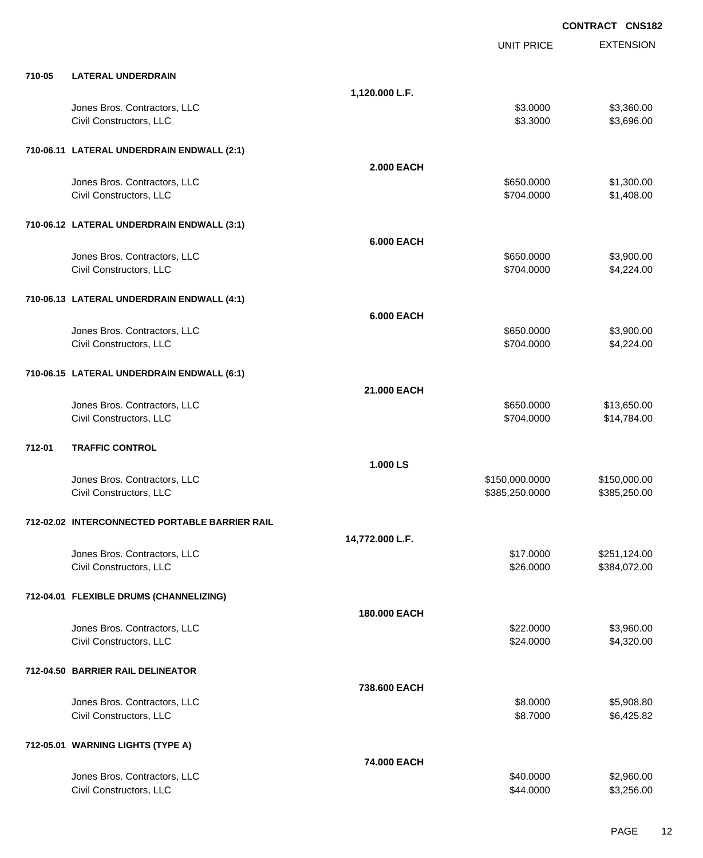|        |                                                |                   |                   | <b>CONTRACT CNS182</b> |
|--------|------------------------------------------------|-------------------|-------------------|------------------------|
|        |                                                |                   | <b>UNIT PRICE</b> | <b>EXTENSION</b>       |
| 710-05 | <b>LATERAL UNDERDRAIN</b>                      |                   |                   |                        |
|        |                                                | 1,120.000 L.F.    |                   |                        |
|        | Jones Bros. Contractors, LLC                   |                   | \$3.0000          | \$3,360.00             |
|        | Civil Constructors, LLC                        |                   | \$3.3000          | \$3,696.00             |
|        | 710-06.11 LATERAL UNDERDRAIN ENDWALL (2:1)     |                   |                   |                        |
|        |                                                | <b>2.000 EACH</b> |                   |                        |
|        | Jones Bros. Contractors, LLC                   |                   | \$650.0000        | \$1,300.00             |
|        | Civil Constructors, LLC                        |                   | \$704.0000        | \$1,408.00             |
|        | 710-06.12 LATERAL UNDERDRAIN ENDWALL (3:1)     |                   |                   |                        |
|        |                                                | <b>6.000 EACH</b> |                   |                        |
|        | Jones Bros. Contractors, LLC                   |                   | \$650.0000        | \$3,900.00             |
|        | Civil Constructors, LLC                        |                   | \$704.0000        | \$4,224.00             |
|        | 710-06.13 LATERAL UNDERDRAIN ENDWALL (4:1)     |                   |                   |                        |
|        |                                                | <b>6.000 EACH</b> |                   |                        |
|        | Jones Bros. Contractors, LLC                   |                   | \$650.0000        | \$3,900.00             |
|        | Civil Constructors, LLC                        |                   | \$704.0000        | \$4,224.00             |
|        | 710-06.15 LATERAL UNDERDRAIN ENDWALL (6:1)     |                   |                   |                        |
|        |                                                | 21.000 EACH       |                   |                        |
|        | Jones Bros. Contractors, LLC                   |                   | \$650.0000        | \$13,650.00            |
|        | Civil Constructors, LLC                        |                   | \$704.0000        | \$14,784.00            |
| 712-01 | <b>TRAFFIC CONTROL</b>                         |                   |                   |                        |
|        |                                                | 1.000 LS          |                   |                        |
|        | Jones Bros. Contractors, LLC                   |                   | \$150,000.0000    | \$150,000.00           |
|        | Civil Constructors, LLC                        |                   | \$385,250.0000    | \$385,250.00           |
|        | 712-02.02 INTERCONNECTED PORTABLE BARRIER RAIL |                   |                   |                        |
|        |                                                | 14,772.000 L.F.   |                   |                        |
|        | Jones Bros. Contractors, LLC                   |                   | \$17.0000         | \$251,124.00           |
|        | Civil Constructors, LLC                        |                   | \$26.0000         | \$384,072.00           |
|        | 712-04.01 FLEXIBLE DRUMS (CHANNELIZING)        |                   |                   |                        |
|        |                                                | 180,000 EACH      |                   |                        |
|        | Jones Bros. Contractors, LLC                   |                   | \$22.0000         | \$3,960.00             |
|        | Civil Constructors, LLC                        |                   | \$24.0000         | \$4,320.00             |
|        | 712-04.50 BARRIER RAIL DELINEATOR              |                   |                   |                        |
|        |                                                | 738,600 EACH      |                   |                        |
|        | Jones Bros. Contractors, LLC                   |                   | \$8.0000          | \$5,908.80             |
|        | Civil Constructors, LLC                        |                   | \$8.7000          | \$6,425.82             |
|        | 712-05.01 WARNING LIGHTS (TYPE A)              |                   |                   |                        |
|        |                                                | 74.000 EACH       |                   |                        |
|        | Jones Bros. Contractors, LLC                   |                   | \$40.0000         | \$2,960.00             |
|        | Civil Constructors, LLC                        |                   | \$44.0000         | \$3,256.00             |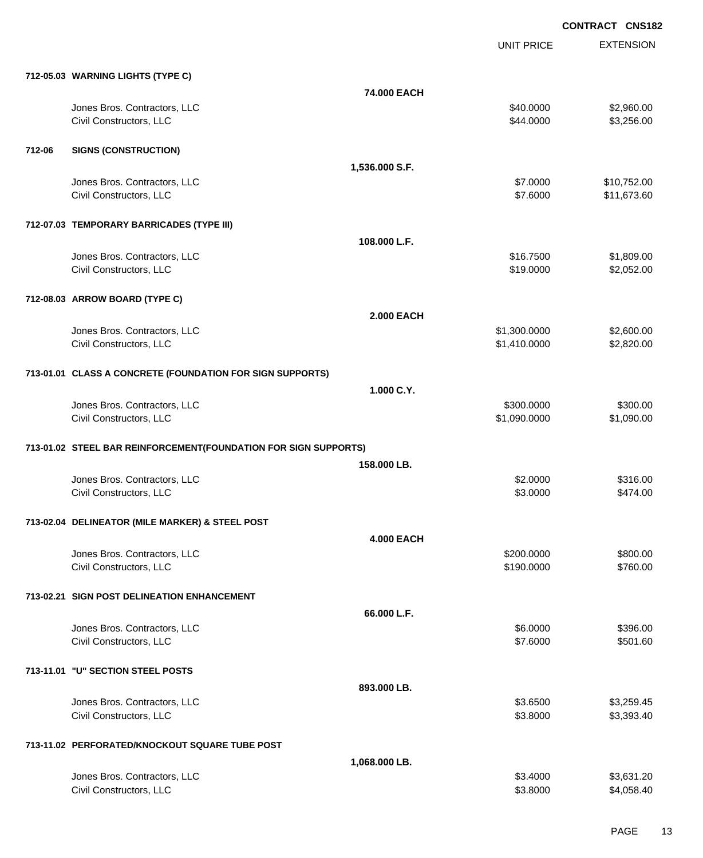| 712-05.03 WARNING LIGHTS (TYPE C)<br>74.000 EACH                                      |                        |
|---------------------------------------------------------------------------------------|------------------------|
| Jones Bros. Contractors, LLC<br>\$40.0000                                             | \$2,960.00             |
| \$44.0000<br>Civil Constructors, LLC                                                  | \$3,256.00             |
|                                                                                       |                        |
| 712-06<br><b>SIGNS (CONSTRUCTION)</b>                                                 |                        |
| 1,536.000 S.F.                                                                        |                        |
| Jones Bros. Contractors, LLC<br>\$7.0000                                              | \$10,752.00            |
| Civil Constructors, LLC<br>\$7.6000                                                   | \$11,673.60            |
|                                                                                       |                        |
| 712-07.03 TEMPORARY BARRICADES (TYPE III)                                             |                        |
| 108.000 L.F.<br>\$16.7500<br>Jones Bros. Contractors, LLC                             | \$1,809.00             |
| Civil Constructors, LLC<br>\$19.0000                                                  | \$2,052.00             |
|                                                                                       |                        |
| 712-08.03 ARROW BOARD (TYPE C)                                                        |                        |
| <b>2.000 EACH</b>                                                                     |                        |
| Jones Bros. Contractors, LLC<br>\$1,300.0000                                          | \$2,600.00             |
| \$1,410.0000<br>Civil Constructors, LLC                                               | \$2,820.00             |
|                                                                                       |                        |
| 713-01.01 CLASS A CONCRETE (FOUNDATION FOR SIGN SUPPORTS)                             |                        |
| 1.000 C.Y.                                                                            |                        |
| Jones Bros. Contractors, LLC<br>\$300.0000<br>Civil Constructors, LLC<br>\$1,090.0000 | \$300.00<br>\$1,090.00 |
|                                                                                       |                        |
| 713-01.02 STEEL BAR REINFORCEMENT(FOUNDATION FOR SIGN SUPPORTS)                       |                        |
| 158.000 LB.                                                                           |                        |
| Jones Bros. Contractors, LLC<br>\$2.0000                                              | \$316.00               |
| Civil Constructors, LLC<br>\$3.0000                                                   | \$474.00               |
|                                                                                       |                        |
| 713-02.04 DELINEATOR (MILE MARKER) & STEEL POST                                       |                        |
| <b>4.000 EACH</b>                                                                     |                        |
| Jones Bros. Contractors, LLC<br>\$200.0000                                            | \$800.00               |
| Civil Constructors, LLC<br>\$190.0000                                                 | \$760.00               |
| 713-02.21 SIGN POST DELINEATION ENHANCEMENT                                           |                        |
| 66.000 L.F.                                                                           |                        |
| Jones Bros. Contractors, LLC<br>\$6.0000                                              | \$396.00               |
| Civil Constructors, LLC<br>\$7.6000                                                   | \$501.60               |
|                                                                                       |                        |
| 713-11.01 "U" SECTION STEEL POSTS                                                     |                        |
| 893.000 LB.                                                                           |                        |
| Jones Bros. Contractors, LLC<br>\$3.6500                                              | \$3,259.45             |
| \$3.8000<br>Civil Constructors, LLC                                                   | \$3,393.40             |
| 713-11.02 PERFORATED/KNOCKOUT SQUARE TUBE POST                                        |                        |
| 1,068.000 LB.                                                                         |                        |
| Jones Bros. Contractors, LLC<br>\$3.4000                                              | \$3,631.20             |
| Civil Constructors, LLC<br>\$3.8000                                                   | \$4,058.40             |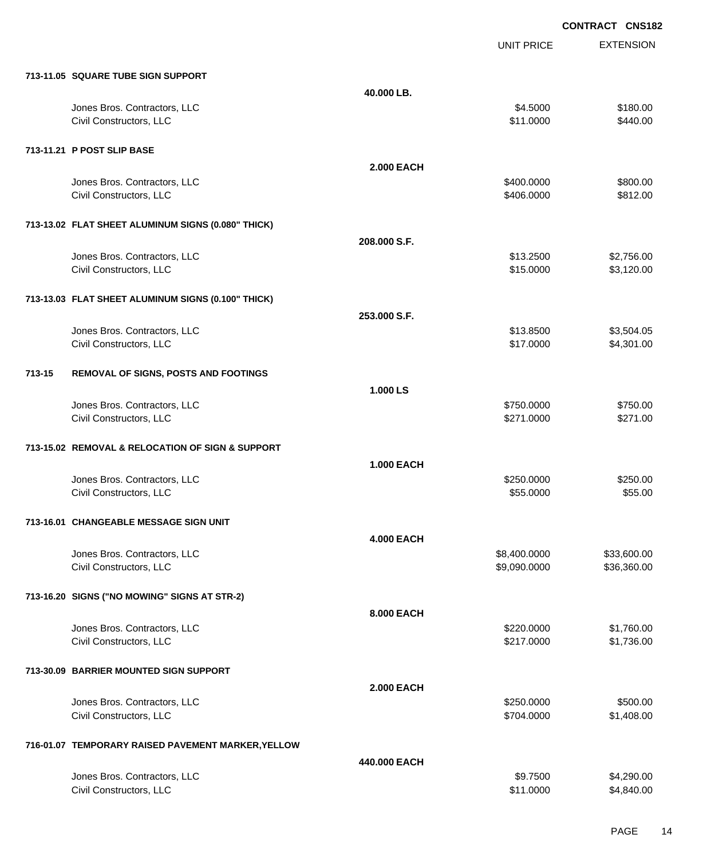**EXTENSION CONTRACT CNS182** UNIT PRICE **713-11.05 SQUARE TUBE SIGN SUPPORT 40.000 LB.** Jones Bros. Contractors, LLC \$4.5000 \$180.00 Civil Constructors, LLC \$11.0000 \$440.00 **713-11.21 P POST SLIP BASE 2.000 EACH** Jones Bros. Contractors, LLC \$400.0000 \$800.00 Civil Constructors, LLC 6812.00 **713-13.02 FLAT SHEET ALUMINUM SIGNS (0.080" THICK) 208.000 S.F.** Jones Bros. Contractors, LLC \$13.2500 \$2,756.00 Civil Constructors, LLC 63,120.00 **713-13.03 FLAT SHEET ALUMINUM SIGNS (0.100" THICK) 253.000 S.F.** Jones Bros. Contractors, LLC \$13.8500 \$3,504.05 Civil Constructors, LLC 64,301.00 **713-15 REMOVAL OF SIGNS, POSTS AND FOOTINGS 1.000 LS** Jones Bros. Contractors, LLC \$750.0000 \$750.00 Civil Constructors, LLC 6271.000 \$271.000 \$271.000 \$271.000 \$271.000 \$271.000 \$271.000 \$271.00 **713-15.02 REMOVAL & RELOCATION OF SIGN & SUPPORT 1.000 EACH** Jones Bros. Contractors, LLC 6. 2009 \$250.000 \$250.000 \$250.000 \$250.000 \$250.000 Civil Constructors, LLC 655.000 \$55.000 \$55.000 \$55.000 \$55.000 \$55.000 \$55.000 \$55.000 \$55.000 \$55.00 \$55.00 **713-16.01 CHANGEABLE MESSAGE SIGN UNIT 4.000 EACH** Jones Bros. Contractors, LLC \$8,400.0000 \$33,600.00 Civil Constructors, LLC 66,360.000 \$36,360.00 **713-16.20 SIGNS ("NO MOWING" SIGNS AT STR-2) 8.000 EACH** Jones Bros. Contractors, LLC \$220.0000 \$1,760.00 Civil Constructors, LLC 61,736.00 **713-30.09 BARRIER MOUNTED SIGN SUPPORT 2.000 EACH** Jones Bros. Contractors, LLC \$250.0000 \$500.00 Civil Constructors, LLC 61,408.00 **716-01.07 TEMPORARY RAISED PAVEMENT MARKER,YELLOW 440.000 EACH**

| \$9.7500  | \$4,290.00               |
|-----------|--------------------------|
| \$11,0000 | \$4,840,00               |
|           | <del>TTV:VVV LAVII</del> |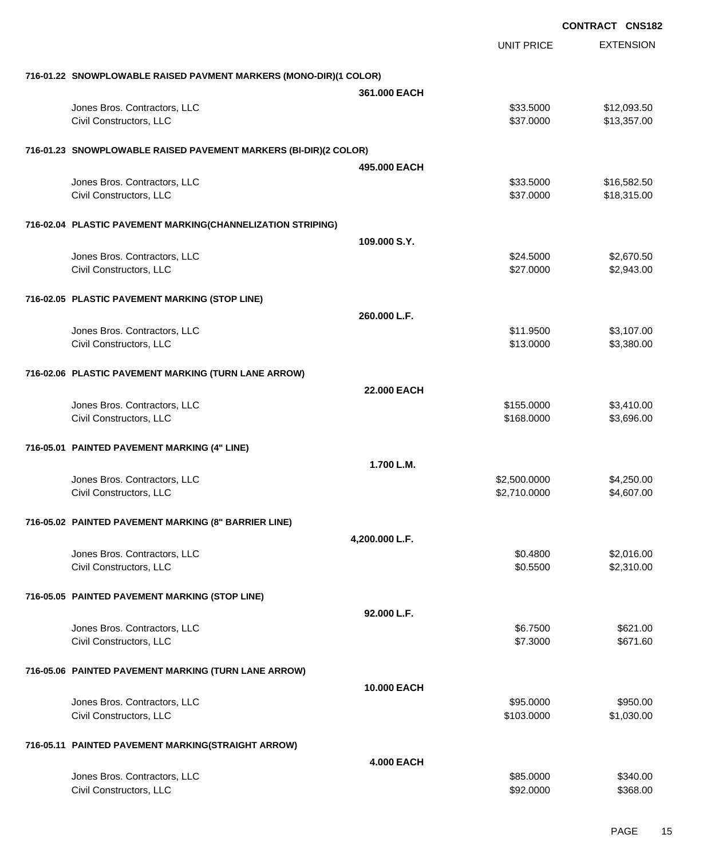|                                                                   |                    |                         | <b>CONTRACT CNS182</b> |
|-------------------------------------------------------------------|--------------------|-------------------------|------------------------|
|                                                                   |                    | <b>UNIT PRICE</b>       | <b>EXTENSION</b>       |
| 716-01.22 SNOWPLOWABLE RAISED PAVMENT MARKERS (MONO-DIR)(1 COLOR) |                    |                         |                        |
|                                                                   | 361,000 EACH       |                         |                        |
| Jones Bros. Contractors, LLC                                      |                    | \$33.5000               | \$12,093.50            |
| Civil Constructors, LLC                                           |                    | \$37.0000               | \$13,357.00            |
| 716-01.23 SNOWPLOWABLE RAISED PAVEMENT MARKERS (BI-DIR)(2 COLOR)  |                    |                         |                        |
|                                                                   | 495,000 EACH       |                         |                        |
| Jones Bros. Contractors, LLC                                      |                    | \$33.5000               | \$16,582.50            |
| Civil Constructors, LLC                                           |                    | \$37.0000               | \$18,315.00            |
| 716-02.04 PLASTIC PAVEMENT MARKING(CHANNELIZATION STRIPING)       |                    |                         |                        |
|                                                                   | 109.000 S.Y.       |                         |                        |
| Jones Bros. Contractors, LLC                                      |                    | \$24.5000               | \$2,670.50             |
| Civil Constructors, LLC                                           |                    | \$27.0000               | \$2,943.00             |
| 716-02.05 PLASTIC PAVEMENT MARKING (STOP LINE)                    |                    |                         |                        |
|                                                                   | 260.000 L.F.       |                         |                        |
| Jones Bros. Contractors, LLC                                      |                    | \$11.9500               | \$3,107.00             |
| Civil Constructors, LLC                                           |                    | \$13.0000               | \$3,380.00             |
| 716-02.06 PLASTIC PAVEMENT MARKING (TURN LANE ARROW)              |                    |                         |                        |
|                                                                   | <b>22.000 EACH</b> |                         |                        |
| Jones Bros. Contractors, LLC                                      |                    | \$155.0000              | \$3,410.00             |
| Civil Constructors, LLC                                           |                    | \$168.0000              | \$3,696.00             |
| 716-05.01 PAINTED PAVEMENT MARKING (4" LINE)                      |                    |                         |                        |
|                                                                   | 1.700 L.M.         |                         |                        |
| Jones Bros. Contractors, LLC                                      |                    | \$2,500.0000            | \$4,250.00             |
| Civil Constructors, LLC                                           |                    | \$2,710.0000            | \$4,607.00             |
| 716-05.02 PAINTED PAVEMENT MARKING (8" BARRIER LINE)              |                    |                         |                        |
|                                                                   | 4,200.000 L.F.     |                         |                        |
| Jones Bros. Contractors, LLC                                      |                    | \$0.4800                | \$2,016.00             |
| Civil Constructors, LLC                                           |                    | \$0.5500                | \$2,310.00             |
| 716-05.05 PAINTED PAVEMENT MARKING (STOP LINE)                    |                    |                         |                        |
|                                                                   | 92.000 L.F.        |                         |                        |
| Jones Bros. Contractors, LLC<br>Civil Constructors, LLC           |                    | \$6.7500<br>\$7.3000    | \$621.00<br>\$671.60   |
|                                                                   |                    |                         |                        |
| 716-05.06 PAINTED PAVEMENT MARKING (TURN LANE ARROW)              |                    |                         |                        |
|                                                                   | 10.000 EACH        |                         |                        |
| Jones Bros. Contractors, LLC<br>Civil Constructors, LLC           |                    | \$95.0000<br>\$103.0000 | \$950.00<br>\$1,030.00 |
|                                                                   |                    |                         |                        |
| 716-05.11 PAINTED PAVEMENT MARKING(STRAIGHT ARROW)                |                    |                         |                        |
| Jones Bros. Contractors, LLC                                      | <b>4.000 EACH</b>  |                         |                        |
| Civil Constructors, LLC                                           |                    | \$85.0000<br>\$92.0000  | \$340.00<br>\$368.00   |
|                                                                   |                    |                         |                        |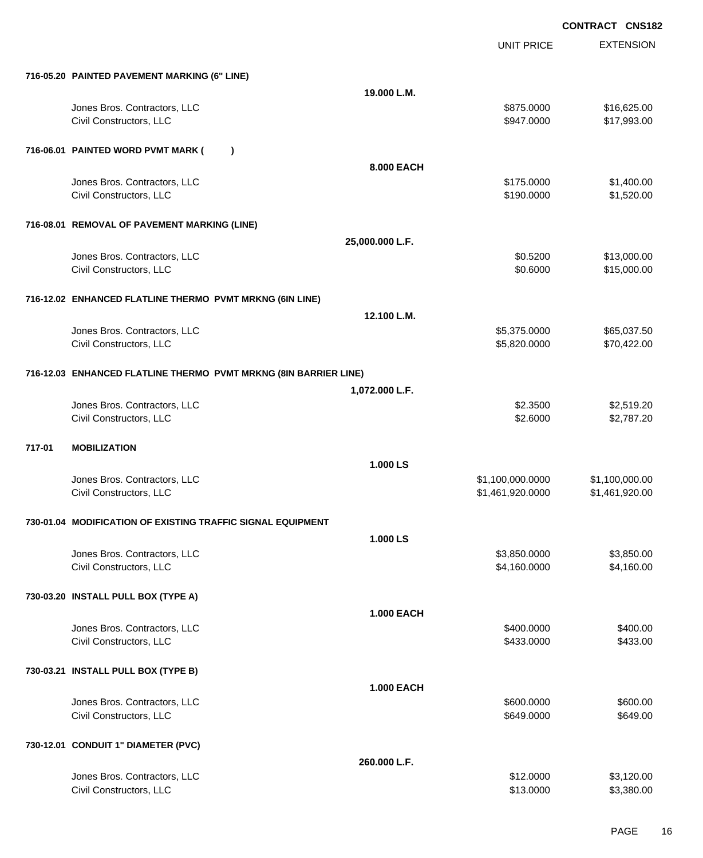UNIT PRICE

|        | 716-05.20 PAINTED PAVEMENT MARKING (6" LINE)                     |                   |                                      |                                  |
|--------|------------------------------------------------------------------|-------------------|--------------------------------------|----------------------------------|
|        |                                                                  | 19.000 L.M.       |                                      |                                  |
|        | Jones Bros. Contractors, LLC<br>Civil Constructors, LLC          |                   | \$875.0000<br>\$947.0000             | \$16,625.00<br>\$17,993.00       |
|        | 716-06.01 PAINTED WORD PVMT MARK (                               | $\lambda$         |                                      |                                  |
|        |                                                                  | 8.000 EACH        |                                      |                                  |
|        | Jones Bros. Contractors, LLC<br>Civil Constructors, LLC          |                   | \$175.0000<br>\$190.0000             | \$1,400.00<br>\$1,520.00         |
|        | 716-08.01 REMOVAL OF PAVEMENT MARKING (LINE)                     |                   |                                      |                                  |
|        |                                                                  | 25,000.000 L.F.   |                                      |                                  |
|        | Jones Bros. Contractors, LLC<br>Civil Constructors, LLC          |                   | \$0.5200<br>\$0.6000                 | \$13,000.00<br>\$15,000.00       |
|        | 716-12.02 ENHANCED FLATLINE THERMO PVMT MRKNG (6IN LINE)         |                   |                                      |                                  |
|        |                                                                  | 12.100 L.M.       |                                      |                                  |
|        | Jones Bros. Contractors, LLC<br>Civil Constructors, LLC          |                   | \$5,375.0000<br>\$5,820.0000         | \$65,037.50<br>\$70,422.00       |
|        | 716-12.03 ENHANCED FLATLINE THERMO PVMT MRKNG (8IN BARRIER LINE) |                   |                                      |                                  |
|        |                                                                  | 1,072.000 L.F.    |                                      |                                  |
|        | Jones Bros. Contractors, LLC<br>Civil Constructors, LLC          |                   | \$2.3500<br>\$2.6000                 | \$2,519.20<br>\$2,787.20         |
| 717-01 | <b>MOBILIZATION</b>                                              |                   |                                      |                                  |
|        |                                                                  | 1.000 LS          |                                      |                                  |
|        | Jones Bros. Contractors, LLC<br>Civil Constructors, LLC          |                   | \$1,100,000.0000<br>\$1,461,920.0000 | \$1,100,000.00<br>\$1,461,920.00 |
|        | 730-01.04 MODIFICATION OF EXISTING TRAFFIC SIGNAL EQUIPMENT      |                   |                                      |                                  |
|        |                                                                  | 1.000 LS          |                                      |                                  |
|        | Jones Bros. Contractors, LLC<br>Civil Constructors, LLC          |                   | \$3,850.0000<br>\$4,160.0000         | \$3,850.00<br>\$4,160.00         |
|        | 730-03.20 INSTALL PULL BOX (TYPE A)                              |                   |                                      |                                  |
|        |                                                                  | <b>1.000 EACH</b> |                                      |                                  |
|        | Jones Bros. Contractors, LLC<br>Civil Constructors, LLC          |                   | \$400.0000<br>\$433.0000             | \$400.00<br>\$433.00             |
|        | 730-03.21 INSTALL PULL BOX (TYPE B)                              |                   |                                      |                                  |
|        |                                                                  | <b>1.000 EACH</b> |                                      |                                  |
|        | Jones Bros. Contractors, LLC<br>Civil Constructors, LLC          |                   | \$600.0000<br>\$649.0000             | \$600.00<br>\$649.00             |
|        | 730-12.01 CONDUIT 1" DIAMETER (PVC)                              |                   |                                      |                                  |
|        |                                                                  | 260.000 L.F.      |                                      |                                  |
|        | Jones Bros. Contractors, LLC<br>Civil Constructors, LLC          |                   | \$12.0000<br>\$13.0000               | \$3,120.00<br>\$3,380.00         |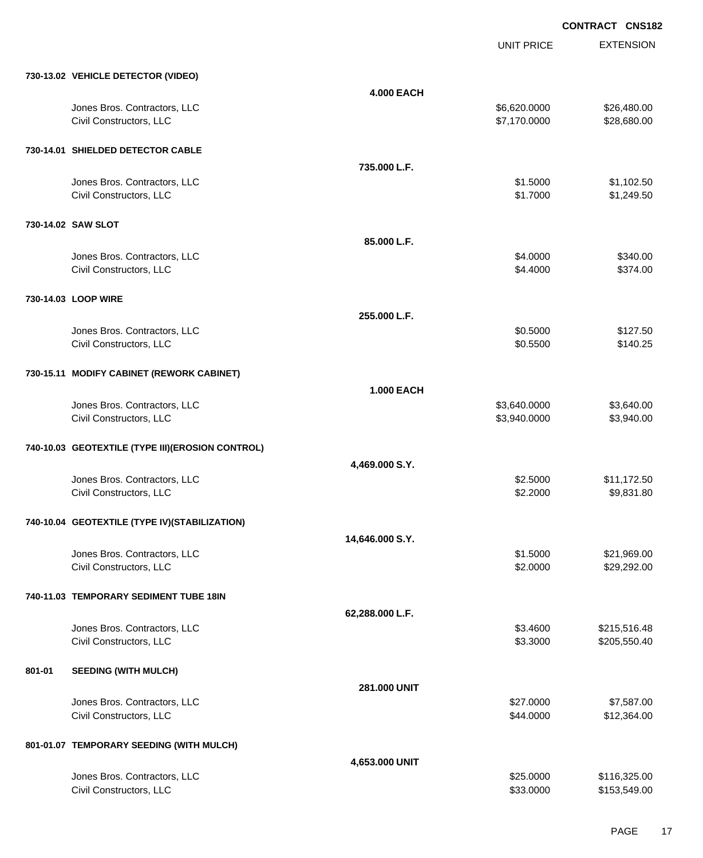UNIT PRICE EXTENSION

|        | 730-13.02 VEHICLE DETECTOR (VIDEO)                      |                   |                              |                              |
|--------|---------------------------------------------------------|-------------------|------------------------------|------------------------------|
|        |                                                         | <b>4.000 EACH</b> |                              |                              |
|        | Jones Bros. Contractors, LLC<br>Civil Constructors, LLC |                   | \$6,620.0000<br>\$7,170.0000 | \$26,480.00<br>\$28,680.00   |
|        | 730-14.01 SHIELDED DETECTOR CABLE                       |                   |                              |                              |
|        |                                                         | 735.000 L.F.      |                              |                              |
|        | Jones Bros. Contractors, LLC<br>Civil Constructors, LLC |                   | \$1.5000<br>\$1.7000         | \$1,102.50<br>\$1,249.50     |
|        | 730-14.02 SAW SLOT                                      |                   |                              |                              |
|        |                                                         | 85.000 L.F.       |                              |                              |
|        | Jones Bros. Contractors, LLC<br>Civil Constructors, LLC |                   | \$4.0000<br>\$4.4000         | \$340.00<br>\$374.00         |
|        | 730-14.03 LOOP WIRE                                     |                   |                              |                              |
|        |                                                         | 255,000 L.F.      |                              |                              |
|        | Jones Bros. Contractors, LLC<br>Civil Constructors, LLC |                   | \$0.5000<br>\$0.5500         | \$127.50<br>\$140.25         |
|        | 730-15.11 MODIFY CABINET (REWORK CABINET)               |                   |                              |                              |
|        |                                                         | <b>1.000 EACH</b> |                              |                              |
|        | Jones Bros. Contractors, LLC<br>Civil Constructors, LLC |                   | \$3,640.0000<br>\$3,940.0000 | \$3,640.00<br>\$3,940.00     |
|        | 740-10.03 GEOTEXTILE (TYPE III)(EROSION CONTROL)        |                   |                              |                              |
|        |                                                         | 4,469.000 S.Y.    |                              |                              |
|        | Jones Bros. Contractors, LLC<br>Civil Constructors, LLC |                   | \$2.5000<br>\$2.2000         | \$11,172.50<br>\$9,831.80    |
|        | 740-10.04 GEOTEXTILE (TYPE IV) (STABILIZATION)          |                   |                              |                              |
|        |                                                         | 14,646.000 S.Y.   |                              |                              |
|        | Jones Bros. Contractors, LLC                            |                   | \$1.5000                     | \$21,969.00                  |
|        | Civil Constructors, LLC                                 |                   | \$2.0000                     | \$29,292.00                  |
|        | 740-11.03 TEMPORARY SEDIMENT TUBE 18IN                  |                   |                              |                              |
|        |                                                         | 62,288.000 L.F.   |                              |                              |
|        | Jones Bros. Contractors, LLC                            |                   | \$3.4600                     | \$215,516.48                 |
|        | Civil Constructors, LLC                                 |                   | \$3.3000                     | \$205,550.40                 |
| 801-01 | <b>SEEDING (WITH MULCH)</b>                             |                   |                              |                              |
|        |                                                         | 281.000 UNIT      |                              |                              |
|        | Jones Bros. Contractors, LLC<br>Civil Constructors, LLC |                   | \$27.0000<br>\$44.0000       | \$7,587.00<br>\$12,364.00    |
|        |                                                         |                   |                              |                              |
|        | 801-01.07 TEMPORARY SEEDING (WITH MULCH)                |                   |                              |                              |
|        |                                                         | 4,653.000 UNIT    |                              |                              |
|        | Jones Bros. Contractors, LLC<br>Civil Constructors, LLC |                   | \$25.0000<br>\$33.0000       | \$116,325.00<br>\$153,549.00 |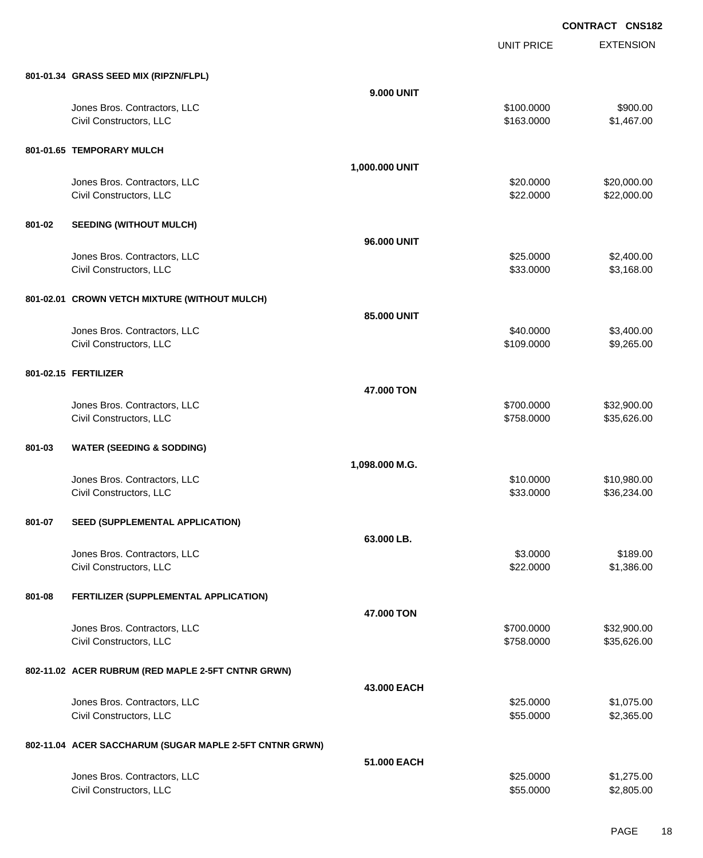UNIT PRICE

|        | 801-01.34 GRASS SEED MIX (RIPZN/FLPL)                   |                   |            |             |
|--------|---------------------------------------------------------|-------------------|------------|-------------|
|        |                                                         | <b>9.000 UNIT</b> |            |             |
|        | Jones Bros. Contractors, LLC                            |                   | \$100.0000 | \$900.00    |
|        | Civil Constructors, LLC                                 |                   | \$163.0000 | \$1,467.00  |
|        | 801-01.65 TEMPORARY MULCH                               |                   |            |             |
|        |                                                         | 1,000.000 UNIT    |            |             |
|        | Jones Bros. Contractors, LLC                            |                   | \$20.0000  | \$20,000.00 |
|        | Civil Constructors, LLC                                 |                   | \$22.0000  | \$22,000.00 |
| 801-02 | <b>SEEDING (WITHOUT MULCH)</b>                          |                   |            |             |
|        |                                                         | 96.000 UNIT       |            |             |
|        | Jones Bros. Contractors, LLC                            |                   | \$25.0000  | \$2,400.00  |
|        | Civil Constructors, LLC                                 |                   | \$33.0000  | \$3,168.00  |
|        | 801-02.01 CROWN VETCH MIXTURE (WITHOUT MULCH)           |                   |            |             |
|        |                                                         | 85.000 UNIT       |            |             |
|        | Jones Bros. Contractors, LLC                            |                   | \$40.0000  | \$3,400.00  |
|        | Civil Constructors, LLC                                 |                   | \$109.0000 | \$9,265.00  |
|        |                                                         |                   |            |             |
|        | 801-02.15 FERTILIZER                                    |                   |            |             |
|        |                                                         | 47.000 TON        |            |             |
|        | Jones Bros. Contractors, LLC                            |                   | \$700.0000 | \$32,900.00 |
|        | Civil Constructors, LLC                                 |                   | \$758.0000 | \$35,626.00 |
| 801-03 | <b>WATER (SEEDING &amp; SODDING)</b>                    |                   |            |             |
|        |                                                         | 1,098.000 M.G.    |            |             |
|        | Jones Bros. Contractors, LLC                            |                   | \$10.0000  | \$10,980.00 |
|        | Civil Constructors, LLC                                 |                   | \$33.0000  | \$36,234.00 |
|        |                                                         |                   |            |             |
| 801-07 | SEED (SUPPLEMENTAL APPLICATION)                         |                   |            |             |
|        |                                                         | 63.000 LB.        |            |             |
|        | Jones Bros. Contractors, LLC                            |                   | \$3.0000   | \$189.00    |
|        | Civil Constructors, LLC                                 |                   | \$22.0000  | \$1,386.00  |
| 801-08 | FERTILIZER (SUPPLEMENTAL APPLICATION)                   |                   |            |             |
|        |                                                         | 47.000 TON        |            |             |
|        | Jones Bros. Contractors, LLC                            |                   | \$700.0000 | \$32,900.00 |
|        | Civil Constructors, LLC                                 |                   | \$758.0000 | \$35,626.00 |
|        | 802-11.02 ACER RUBRUM (RED MAPLE 2-5FT CNTNR GRWN)      |                   |            |             |
|        |                                                         | 43.000 EACH       |            |             |
|        | Jones Bros. Contractors, LLC                            |                   | \$25.0000  | \$1,075.00  |
|        | Civil Constructors, LLC                                 |                   | \$55.0000  | \$2,365.00  |
|        | 802-11.04 ACER SACCHARUM (SUGAR MAPLE 2-5FT CNTNR GRWN) |                   |            |             |
|        |                                                         | 51.000 EACH       |            |             |
|        | Jones Bros. Contractors, LLC                            |                   | \$25.0000  | \$1,275.00  |
|        | Civil Constructors, LLC                                 |                   | \$55.0000  | \$2,805.00  |
|        |                                                         |                   |            |             |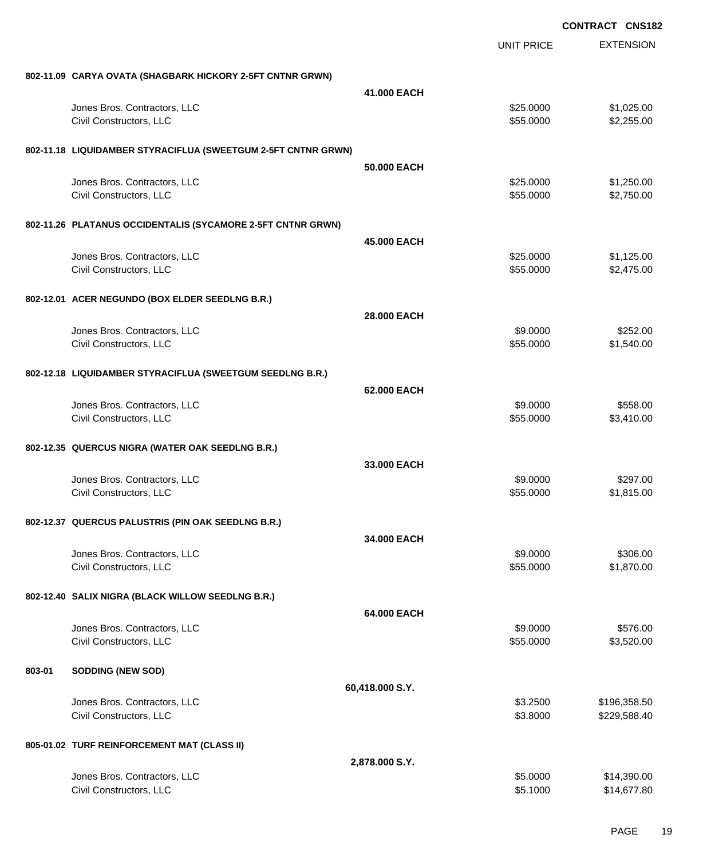|        |                                                               |                 |                        | <b>CONTRACT CNS182</b>   |
|--------|---------------------------------------------------------------|-----------------|------------------------|--------------------------|
|        |                                                               |                 | UNIT PRICE             | <b>EXTENSION</b>         |
|        | 802-11.09 CARYA OVATA (SHAGBARK HICKORY 2-5FT CNTNR GRWN)     |                 |                        |                          |
|        |                                                               | 41.000 EACH     |                        |                          |
|        | Jones Bros. Contractors, LLC                                  |                 | \$25.0000              | \$1,025.00               |
|        | Civil Constructors, LLC                                       |                 | \$55.0000              | \$2,255.00               |
|        | 802-11.18 LIQUIDAMBER STYRACIFLUA (SWEETGUM 2-5FT CNTNR GRWN) |                 |                        |                          |
|        |                                                               | 50,000 EACH     |                        |                          |
|        | Jones Bros. Contractors, LLC<br>Civil Constructors, LLC       |                 | \$25.0000<br>\$55.0000 | \$1,250.00<br>\$2,750.00 |
|        |                                                               |                 |                        |                          |
|        | 802-11.26 PLATANUS OCCIDENTALIS (SYCAMORE 2-5FT CNTNR GRWN)   |                 |                        |                          |
|        |                                                               | 45,000 EACH     |                        |                          |
|        | Jones Bros. Contractors, LLC                                  |                 | \$25.0000              | \$1,125.00               |
|        | Civil Constructors, LLC                                       |                 | \$55.0000              | \$2,475.00               |
|        | 802-12.01 ACER NEGUNDO (BOX ELDER SEEDLNG B.R.)               |                 |                        |                          |
|        |                                                               | 28,000 EACH     |                        |                          |
|        | Jones Bros. Contractors, LLC                                  |                 | \$9.0000               | \$252.00                 |
|        | Civil Constructors, LLC                                       |                 | \$55.0000              | \$1,540.00               |
|        | 802-12.18 LIQUIDAMBER STYRACIFLUA (SWEETGUM SEEDLNG B.R.)     |                 |                        |                          |
|        |                                                               | 62.000 EACH     |                        |                          |
|        | Jones Bros. Contractors, LLC                                  |                 | \$9.0000               | \$558.00                 |
|        | Civil Constructors, LLC                                       |                 | \$55.0000              | \$3,410.00               |
|        | 802-12.35 QUERCUS NIGRA (WATER OAK SEEDLNG B.R.)              |                 |                        |                          |
|        |                                                               | 33,000 EACH     |                        |                          |
|        | Jones Bros. Contractors, LLC                                  |                 | \$9.0000               | \$297.00                 |
|        | Civil Constructors, LLC                                       |                 | \$55.0000              | \$1,815.00               |
|        | 802-12.37 QUERCUS PALUSTRIS (PIN OAK SEEDLNG B.R.)            |                 |                        |                          |
|        |                                                               | 34,000 EACH     |                        |                          |
|        | Jones Bros. Contractors, LLC                                  |                 | \$9.0000               | \$306.00                 |
|        | Civil Constructors, LLC                                       |                 | \$55.0000              | \$1,870.00               |
|        | 802-12.40 SALIX NIGRA (BLACK WILLOW SEEDLNG B.R.)             |                 |                        |                          |
|        |                                                               | 64.000 EACH     |                        |                          |
|        | Jones Bros. Contractors, LLC                                  |                 | \$9.0000               | \$576.00                 |
|        | Civil Constructors, LLC                                       |                 | \$55.0000              | \$3,520.00               |
| 803-01 | <b>SODDING (NEW SOD)</b>                                      |                 |                        |                          |
|        |                                                               | 60,418.000 S.Y. |                        |                          |
|        | Jones Bros. Contractors, LLC                                  |                 | \$3.2500               | \$196,358.50             |
|        | Civil Constructors, LLC                                       |                 | \$3.8000               | \$229,588.40             |
|        | 805-01.02 TURF REINFORCEMENT MAT (CLASS II)                   |                 |                        |                          |
|        |                                                               | 2,878.000 S.Y.  |                        |                          |
|        | Jones Bros. Contractors, LLC                                  |                 | \$5.0000               | \$14,390.00              |
|        | Civil Constructors, LLC                                       |                 | \$5.1000               | \$14,677.80              |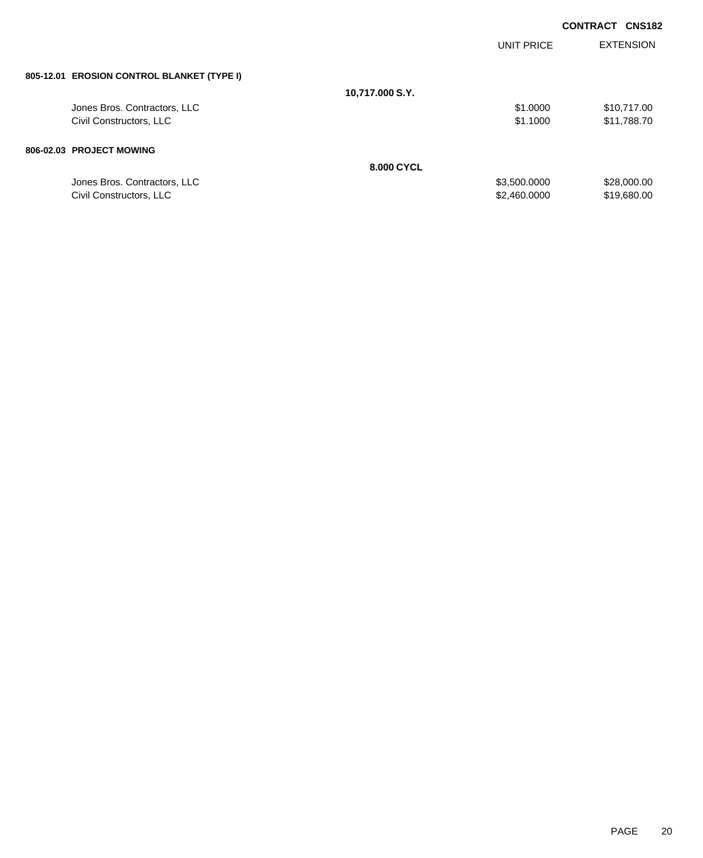|                                            |                 |              | <b>CONTRACT</b><br><b>CNS182</b> |
|--------------------------------------------|-----------------|--------------|----------------------------------|
|                                            |                 | UNIT PRICE   | <b>EXTENSION</b>                 |
| 805-12.01 EROSION CONTROL BLANKET (TYPE I) |                 |              |                                  |
|                                            | 10,717.000 S.Y. |              |                                  |
| Jones Bros. Contractors, LLC               |                 | \$1.0000     | \$10,717.00                      |
| Civil Constructors, LLC                    |                 | \$1.1000     | \$11,788.70                      |
| 806-02.03 PROJECT MOWING                   |                 |              |                                  |
|                                            | 8.000 CYCL      |              |                                  |
| Jones Bros. Contractors, LLC               |                 | \$3,500.0000 | \$28,000.00                      |
| Civil Constructors, LLC                    |                 | \$2,460.0000 | \$19,680.00                      |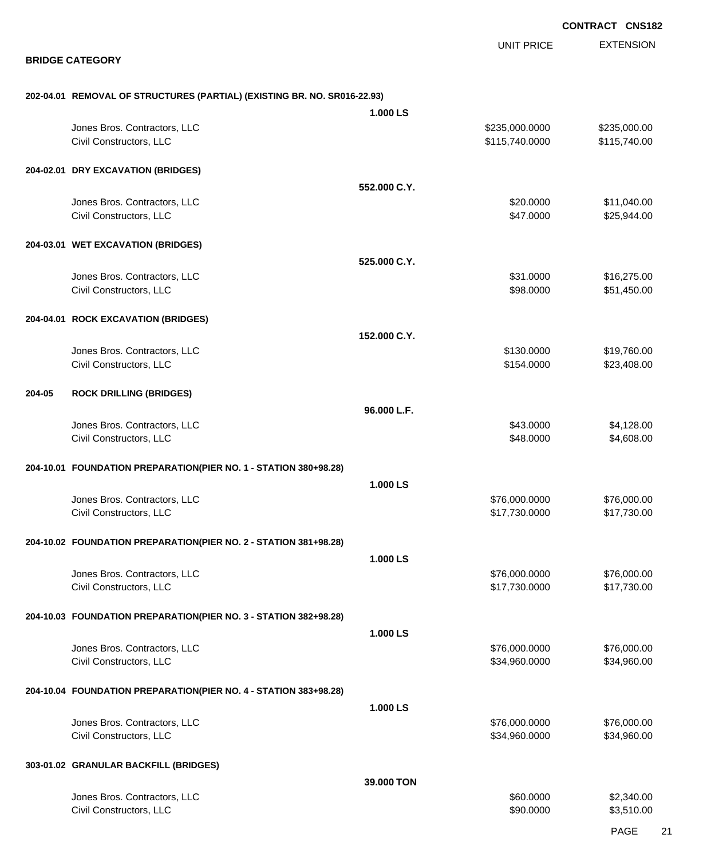EXTENSION **CONTRACT CNS182** UNIT PRICE **BRIDGE CATEGORY 202-04.01 REMOVAL OF STRUCTURES (PARTIAL) (EXISTING BR. NO. SR016-22.93) 1.000 LS** Jones Bros. Contractors, LLC \$235,000.0000 \$235,000.00 Civil Constructors, LLC 6. 2012 12:30 12:30 12:30 12:30 12:30 12:31 15,740.0000 \$115,740.000 **204-02.01 DRY EXCAVATION (BRIDGES) 552.000 C.Y.** Jones Bros. Contractors, LLC \$20.0000 \$11,040.00 Civil Constructors, LLC 625,944.00 **204-03.01 WET EXCAVATION (BRIDGES) 525.000 C.Y.** Jones Bros. Contractors, LLC 6. The state of the state of the state of the state of the state of the state of the state of the state of the state of the state of the state of the state of the state of the state of the stat Civil Constructors, LLC 651,450.00 \$51,450.00 **204-04.01 ROCK EXCAVATION (BRIDGES) 152.000 C.Y.** Jones Bros. Contractors, LLC \$130.0000 \$19,760.00 Civil Constructors, LLC 623,408.00 **204-05 ROCK DRILLING (BRIDGES) 96.000 L.F.** Jones Bros. Contractors, LLC 66 and the set of the set of the set of the set of the set of the set of the set of the set of the set of the set of the set of the set of the set of the set of the set of the set of the set of Civil Constructors, LLC 68.000 \$4,608.00 **204-10.01 FOUNDATION PREPARATION(PIER NO. 1 - STATION 380+98.28) 1.000 LS** Jones Bros. Contractors, LLC \$76,000.0000 \$76,000.00 Civil Constructors, LLC 617,730.000 \$17,730.000 \$17,730.000 \$17,730.000 \$17,730.000 \$17,730.000 \$17,730.00 \$17 **204-10.02 FOUNDATION PREPARATION(PIER NO. 2 - STATION 381+98.28) 1.000 LS** Jones Bros. Contractors, LLC \$76,000.0000 \$76,000.00 Civil Constructors, LLC 617,730.000 \$17,730.000 \$17,730.000 \$17,730.000 \$17,730.000 \$17,730.000 \$17,730.00 \$17 **204-10.03 FOUNDATION PREPARATION(PIER NO. 3 - STATION 382+98.28) 1.000 LS** Jones Bros. Contractors, LLC \$76,000.0000 \$76,000.00 Civil Constructors, LLC 634,960.000 \$34,960.000 \$34,960.000 \$34,960.000 **204-10.04 FOUNDATION PREPARATION(PIER NO. 4 - STATION 383+98.28) 1.000 LS** Jones Bros. Contractors, LLC \$76,000.0000 \$76,000.00 Civil Constructors, LLC 634,960.000 \$34,960.000 \$34,960.000 \$34,960.000 **303-01.02 GRANULAR BACKFILL (BRIDGES) 39.000 TON** dones Bros. Contractors, LLC 60000 \$2,340.00 Civil Constructors, LLC 63,510.00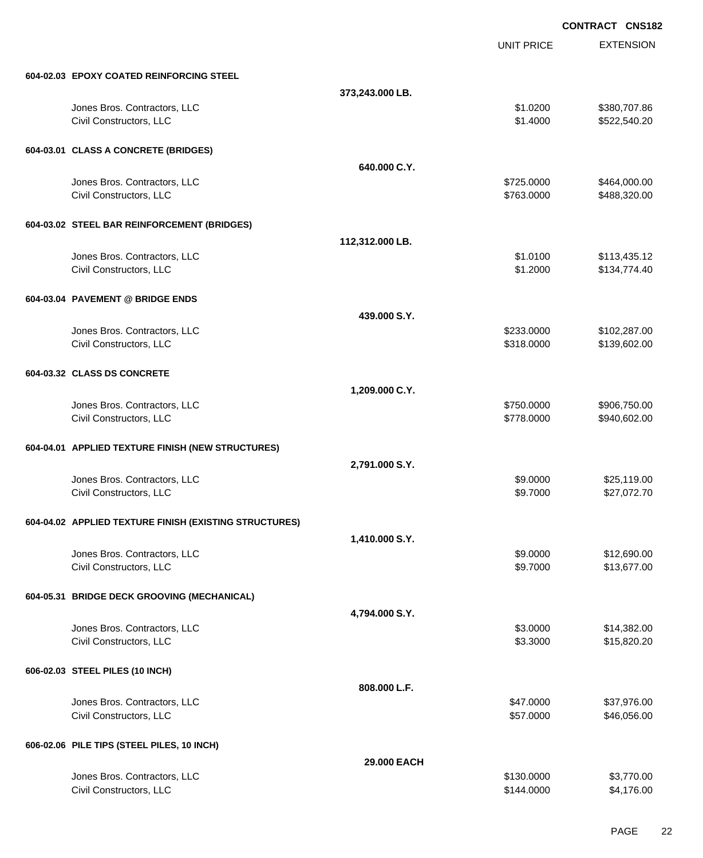EXTENSION **CONTRACT CNS182** UNIT PRICE **604-02.03 EPOXY COATED REINFORCING STEEL 373,243.000 LB.** Jones Bros. Contractors, LLC \$1.0200 \$380,707.86 Civil Constructors, LLC 6.6 and 200 \$522,540.20 **604-03.01 CLASS A CONCRETE (BRIDGES) 640.000 C.Y.** Jones Bros. Contractors, LLC \$725.0000 \$464,000.00 Civil Constructors, LLC 6. 2012 12:00 \$488,320.00 \$488,320.00 **604-03.02 STEEL BAR REINFORCEMENT (BRIDGES) 112,312.000 LB.** Jones Bros. Contractors, LLC \$1.0100 \$113,435.12 Civil Constructors, LLC 6. 2000 \$1.2000 \$1.2000 \$1.2000 \$1.2000 \$1.2000 \$1.2000 \$1.2000 \$1.2000 \$1.2000 \$1.2000 **604-03.04 PAVEMENT @ BRIDGE ENDS 439.000 S.Y.** Jones Bros. Contractors, LLC \$233.0000 \$102,287.00 Civil Constructors, LLC 6139,602.00 **604-03.32 CLASS DS CONCRETE 1,209.000 C.Y.** Jones Bros. Contractors, LLC \$750.0000 \$906,750.00 Civil Constructors, LLC 602.00 \$940,602.00 **604-04.01 APPLIED TEXTURE FINISH (NEW STRUCTURES) 2,791.000 S.Y.** Jones Bros. Contractors, LLC \$9.0000 \$25,119.00 Civil Constructors, LLC 627,072.70 **604-04.02 APPLIED TEXTURE FINISH (EXISTING STRUCTURES) 1,410.000 S.Y.** Jones Bros. Contractors, LLC \$9.0000 \$12,690.00 Civil Constructors, LLC 613,677.00 **604-05.31 BRIDGE DECK GROOVING (MECHANICAL) 4,794.000 S.Y.** Jones Bros. Contractors, LLC \$3.0000 \$14,382.00 Civil Constructors, LLC 615,820.20 **606-02.03 STEEL PILES (10 INCH) 808.000 L.F.** Jones Bros. Contractors, LLC \$47.0000 \$37,976.00 Civil Constructors, LLC 66,056.00 \$46,056.00 **606-02.06 PILE TIPS (STEEL PILES, 10 INCH) 29.000 EACH** dones Bros. Contractors, LLC 63,770.00

Civil Constructors, LLC 64,176.00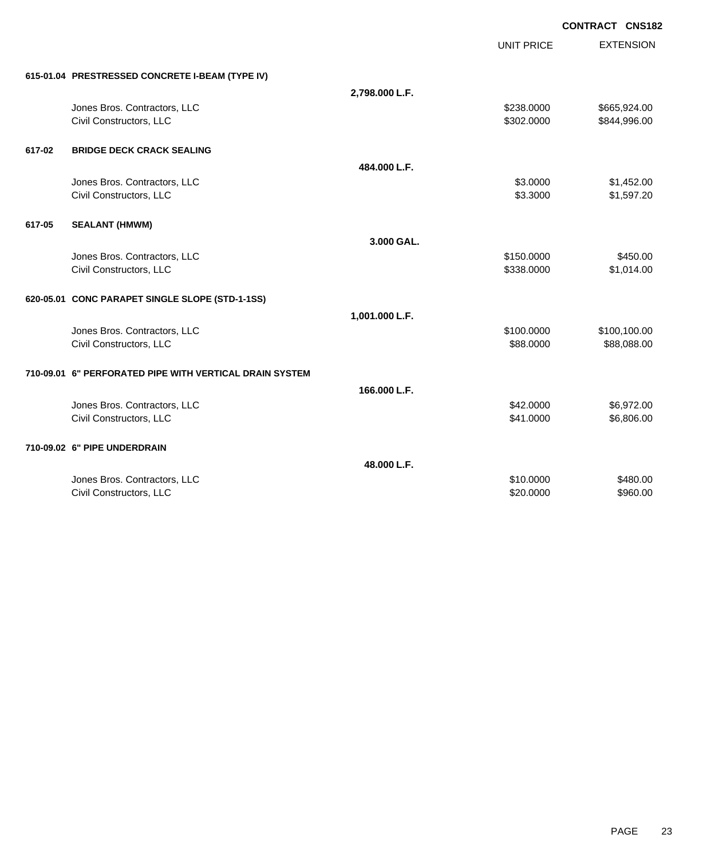UNIT PRICE

| 615-01.04 PRESTRESSED CONCRETE I-BEAM (TYPE IV) |  |
|-------------------------------------------------|--|

|        | 615-01.04 PRESTRESSED CONCRETE I-BEAM (TYPE IV)         |                |            |              |
|--------|---------------------------------------------------------|----------------|------------|--------------|
|        |                                                         | 2,798.000 L.F. |            |              |
|        | Jones Bros. Contractors, LLC                            |                | \$238.0000 | \$665,924.00 |
|        | Civil Constructors, LLC                                 |                | \$302.0000 | \$844,996.00 |
|        |                                                         |                |            |              |
| 617-02 | <b>BRIDGE DECK CRACK SEALING</b>                        |                |            |              |
|        |                                                         | 484.000 L.F.   |            |              |
|        | Jones Bros. Contractors, LLC                            |                | \$3.0000   | \$1,452.00   |
|        | Civil Constructors, LLC                                 |                | \$3.3000   | \$1,597.20   |
| 617-05 | <b>SEALANT (HMWM)</b>                                   |                |            |              |
|        |                                                         | 3.000 GAL.     |            |              |
|        | Jones Bros. Contractors, LLC                            |                | \$150.0000 | \$450.00     |
|        | Civil Constructors, LLC                                 |                | \$338.0000 | \$1,014.00   |
|        |                                                         |                |            |              |
|        | 620-05.01 CONC PARAPET SINGLE SLOPE (STD-1-1SS)         |                |            |              |
|        |                                                         | 1,001.000 L.F. |            |              |
|        | Jones Bros. Contractors, LLC                            |                | \$100,0000 | \$100,100.00 |
|        | Civil Constructors, LLC                                 |                | \$88.0000  | \$88,088.00  |
|        |                                                         |                |            |              |
|        | 710-09.01 6" PERFORATED PIPE WITH VERTICAL DRAIN SYSTEM |                |            |              |
|        |                                                         | 166.000 L.F.   |            |              |
|        | Jones Bros. Contractors, LLC                            |                | \$42.0000  | \$6,972.00   |
|        | Civil Constructors, LLC                                 |                | \$41.0000  | \$6,806.00   |
|        | 710-09.02 6" PIPE UNDERDRAIN                            |                |            |              |
|        |                                                         | 48.000 L.F.    |            |              |
|        | Jones Bros. Contractors, LLC                            |                | \$10.0000  | \$480.00     |
|        | Civil Constructors, LLC                                 |                | \$20.0000  | \$960.00     |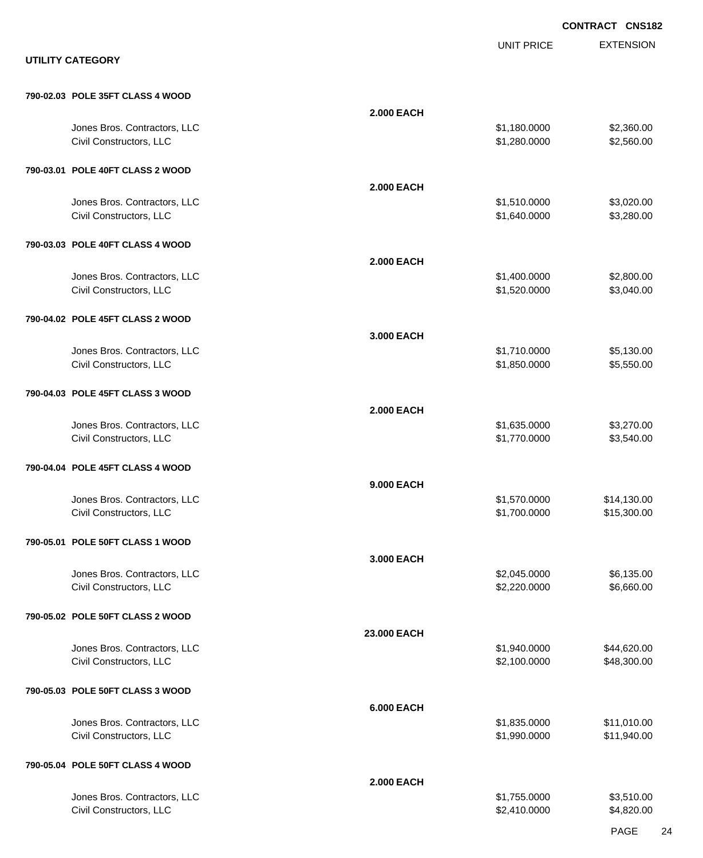|                                                         |                                                   | <b>CONTRACT CNS182</b>     |
|---------------------------------------------------------|---------------------------------------------------|----------------------------|
| <b>UTILITY CATEGORY</b>                                 | <b>UNIT PRICE</b>                                 | <b>EXTENSION</b>           |
| 790-02.03 POLE 35FT CLASS 4 WOOD                        |                                                   |                            |
| Jones Bros. Contractors, LLC<br>Civil Constructors, LLC | <b>2.000 EACH</b><br>\$1,180.0000<br>\$1,280.0000 | \$2,360.00<br>\$2,560.00   |
| 790-03.01 POLE 40FT CLASS 2 WOOD                        |                                                   |                            |
| Jones Bros. Contractors, LLC<br>Civil Constructors, LLC | <b>2.000 EACH</b><br>\$1,510.0000<br>\$1,640.0000 | \$3,020.00<br>\$3,280.00   |
| 790-03.03 POLE 40FT CLASS 4 WOOD                        |                                                   |                            |
| Jones Bros. Contractors, LLC<br>Civil Constructors, LLC | <b>2.000 EACH</b><br>\$1,400.0000<br>\$1,520.0000 | \$2,800.00<br>\$3,040.00   |
| 790-04.02 POLE 45FT CLASS 2 WOOD                        |                                                   |                            |
| Jones Bros. Contractors, LLC<br>Civil Constructors, LLC | 3.000 EACH<br>\$1,710.0000<br>\$1,850.0000        | \$5,130.00<br>\$5,550.00   |
| 790-04.03 POLE 45FT CLASS 3 WOOD                        |                                                   |                            |
| Jones Bros. Contractors, LLC<br>Civil Constructors, LLC | <b>2.000 EACH</b><br>\$1,635.0000<br>\$1,770.0000 | \$3,270.00<br>\$3,540.00   |
| 790-04.04 POLE 45FT CLASS 4 WOOD                        |                                                   |                            |
| Jones Bros. Contractors, LLC<br>Civil Constructors, LLC | 9.000 EACH<br>\$1,570.0000<br>\$1,700.0000        | \$14,130.00<br>\$15,300.00 |
| 790-05.01 POLE 50FT CLASS 1 WOOD                        |                                                   |                            |
| Jones Bros. Contractors, LLC<br>Civil Constructors, LLC | 3.000 EACH<br>\$2,045.0000<br>\$2,220.0000        | \$6,135.00<br>\$6,660.00   |
| 790-05.02 POLE 50FT CLASS 2 WOOD                        |                                                   |                            |
| Jones Bros. Contractors, LLC<br>Civil Constructors, LLC | 23.000 EACH<br>\$1,940.0000<br>\$2,100.0000       | \$44,620.00<br>\$48,300.00 |
| 790-05.03 POLE 50FT CLASS 3 WOOD                        |                                                   |                            |
| Jones Bros. Contractors, LLC<br>Civil Constructors, LLC | <b>6.000 EACH</b><br>\$1,835.0000<br>\$1,990.0000 | \$11,010.00<br>\$11,940.00 |
| 790-05.04 POLE 50FT CLASS 4 WOOD                        |                                                   |                            |
| Jones Bros. Contractors, LLC<br>Civil Constructors, LLC | <b>2.000 EACH</b><br>\$1,755.0000<br>\$2,410.0000 | \$3,510.00<br>\$4,820.00   |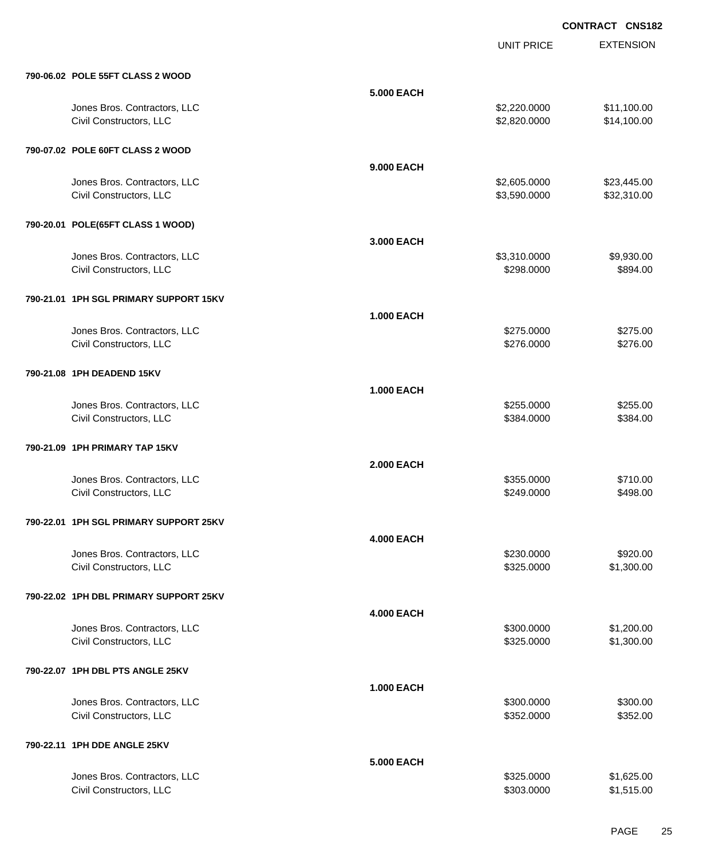UNIT PRICE

EXTENSION

| 790-06.02 POLE 55FT CLASS 2 WOOD |                   |              |             |
|----------------------------------|-------------------|--------------|-------------|
|                                  | <b>5.000 EACH</b> |              |             |
| Jones Bros. Contractors, LLC     |                   | \$2,220.0000 | \$11,100.00 |
| Civil Constructors, LLC          |                   | \$2,820,0000 | \$14,100.00 |

| 790-07.02 POLE 60FT CLASS 2 WOOD                        |                                          |                            |
|---------------------------------------------------------|------------------------------------------|----------------------------|
|                                                         | 9.000 EACH                               |                            |
| Jones Bros. Contractors, LLC<br>Civil Constructors, LLC | \$2,605.0000<br>\$3,590.0000             | \$23,445.00<br>\$32,310.00 |
| 790-20.01 POLE(65FT CLASS 1 WOOD)                       |                                          |                            |
| Jones Bros. Contractors, LLC<br>Civil Constructors, LLC | 3.000 EACH<br>\$3,310.0000<br>\$298.0000 | \$9,930.00<br>\$894.00     |
| 790-21.01 1PH SGL PRIMARY SUPPORT 15KV                  |                                          |                            |
|                                                         | <b>1.000 EACH</b>                        |                            |
| Jones Bros. Contractors, LLC<br>Civil Constructors, LLC | \$275.0000<br>\$276.0000                 | \$275.00<br>\$276.00       |
| 790-21.08 1PH DEADEND 15KV                              |                                          |                            |
|                                                         | <b>1.000 EACH</b>                        |                            |
| Jones Bros. Contractors, LLC<br>Civil Constructors, LLC | \$255.0000<br>\$384.0000                 | \$255.00<br>\$384.00       |
|                                                         |                                          |                            |
| 790-21.09 1PH PRIMARY TAP 15KV                          |                                          |                            |
|                                                         | <b>2.000 EACH</b>                        |                            |
| Jones Bros. Contractors, LLC<br>Civil Constructors, LLC | \$355.0000<br>\$249.0000                 | \$710.00<br>\$498.00       |
|                                                         |                                          |                            |
| 790-22.01 1PH SGL PRIMARY SUPPORT 25KV                  |                                          |                            |
|                                                         | <b>4.000 EACH</b>                        |                            |
| Jones Bros. Contractors, LLC                            | \$230.0000                               | \$920.00                   |
| Civil Constructors, LLC                                 | \$325.0000                               | \$1,300.00                 |
| 790-22.02 1PH DBL PRIMARY SUPPORT 25KV                  |                                          |                            |
|                                                         | <b>4.000 EACH</b>                        |                            |
| Jones Bros. Contractors, LLC                            | \$300.0000                               | \$1,200.00                 |
| Civil Constructors, LLC                                 | \$325.0000                               | \$1,300.00                 |
| 790-22.07 1PH DBL PTS ANGLE 25KV                        |                                          |                            |
|                                                         | <b>1.000 EACH</b>                        |                            |
| Jones Bros. Contractors, LLC<br>Civil Constructors, LLC | \$300.0000<br>\$352.0000                 | \$300.00<br>\$352.00       |
|                                                         |                                          |                            |
| 790-22.11 1PH DDE ANGLE 25KV                            |                                          |                            |
|                                                         | <b>5.000 EACH</b>                        |                            |
| Jones Bros. Contractors, LLC                            | \$325.0000                               | \$1,625.00                 |

Civil Constructors, LLC \$1,515.00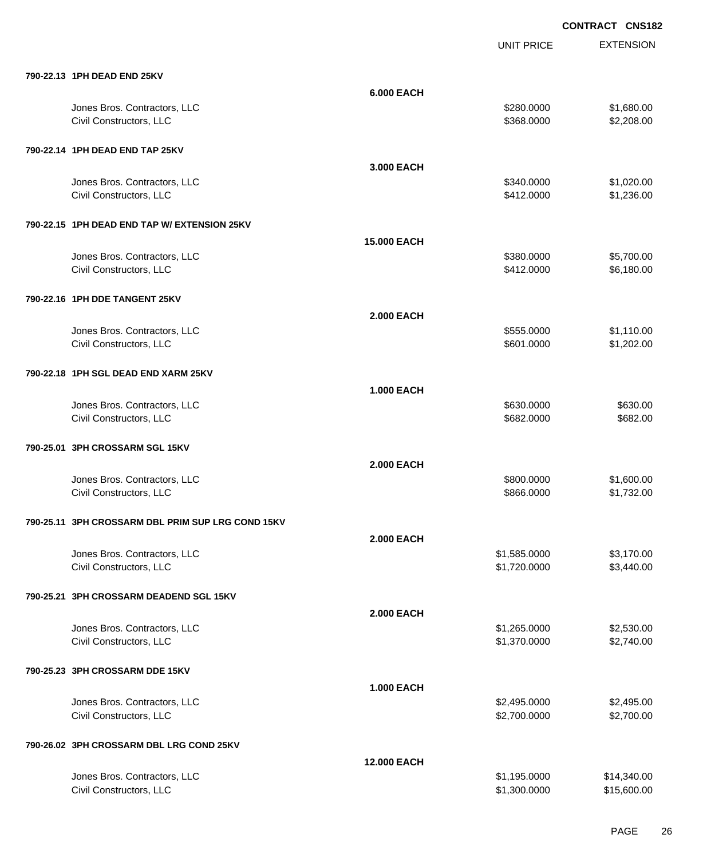|                                                   |                    | <b>UNIT PRICE</b> | <b>EXTENSION</b> |
|---------------------------------------------------|--------------------|-------------------|------------------|
| 790-22.13 1PH DEAD END 25KV                       |                    |                   |                  |
|                                                   | <b>6.000 EACH</b>  |                   |                  |
| Jones Bros. Contractors, LLC                      |                    | \$280.0000        | \$1,680.00       |
| Civil Constructors, LLC                           |                    | \$368.0000        | \$2,208.00       |
| 790-22.14 1PH DEAD END TAP 25KV                   |                    |                   |                  |
|                                                   | 3.000 EACH         |                   |                  |
| Jones Bros. Contractors, LLC                      |                    | \$340.0000        | \$1,020.00       |
| Civil Constructors, LLC                           |                    | \$412.0000        | \$1,236.00       |
| 790-22.15 1PH DEAD END TAP W/ EXTENSION 25KV      |                    |                   |                  |
|                                                   | <b>15.000 EACH</b> |                   |                  |
| Jones Bros. Contractors, LLC                      |                    | \$380.0000        | \$5,700.00       |
| Civil Constructors, LLC                           |                    | \$412.0000        | \$6,180.00       |
| 790-22.16 1PH DDE TANGENT 25KV                    |                    |                   |                  |
|                                                   | <b>2.000 EACH</b>  |                   |                  |
| Jones Bros. Contractors, LLC                      |                    | \$555.0000        | \$1,110.00       |
| Civil Constructors, LLC                           |                    | \$601.0000        | \$1,202.00       |
| 790-22.18 1PH SGL DEAD END XARM 25KV              |                    |                   |                  |
|                                                   | <b>1.000 EACH</b>  |                   |                  |
| Jones Bros. Contractors, LLC                      |                    | \$630.0000        | \$630.00         |
| Civil Constructors, LLC                           |                    | \$682.0000        | \$682.00         |
| 790-25.01 3PH CROSSARM SGL 15KV                   |                    |                   |                  |
|                                                   | <b>2.000 EACH</b>  |                   |                  |
| Jones Bros. Contractors, LLC                      |                    | \$800.0000        | \$1,600.00       |
| Civil Constructors, LLC                           |                    | \$866.0000        | \$1,732.00       |
| 790-25.11 3PH CROSSARM DBL PRIM SUP LRG COND 15KV |                    |                   |                  |
|                                                   | <b>2.000 EACH</b>  |                   |                  |
| Jones Bros. Contractors, LLC                      |                    | \$1,585.0000      | \$3,170.00       |
| Civil Constructors, LLC                           |                    | \$1,720.0000      | \$3,440.00       |
| 790-25.21 3PH CROSSARM DEADEND SGL 15KV           |                    |                   |                  |
|                                                   | <b>2.000 EACH</b>  |                   |                  |
| Jones Bros. Contractors, LLC                      |                    | \$1,265.0000      | \$2,530.00       |
| Civil Constructors, LLC                           |                    | \$1,370.0000      | \$2,740.00       |
| 790-25.23 3PH CROSSARM DDE 15KV                   |                    |                   |                  |
|                                                   | <b>1.000 EACH</b>  |                   |                  |
| Jones Bros. Contractors, LLC                      |                    | \$2,495.0000      | \$2,495.00       |
| Civil Constructors, LLC                           |                    | \$2,700.0000      | \$2,700.00       |
| 790-26.02 3PH CROSSARM DBL LRG COND 25KV          |                    |                   |                  |
|                                                   | <b>12.000 EACH</b> |                   |                  |
| Jones Bros. Contractors, LLC                      |                    | \$1,195.0000      | \$14,340.00      |
| Civil Constructors, LLC                           |                    | \$1,300.0000      | \$15,600.00      |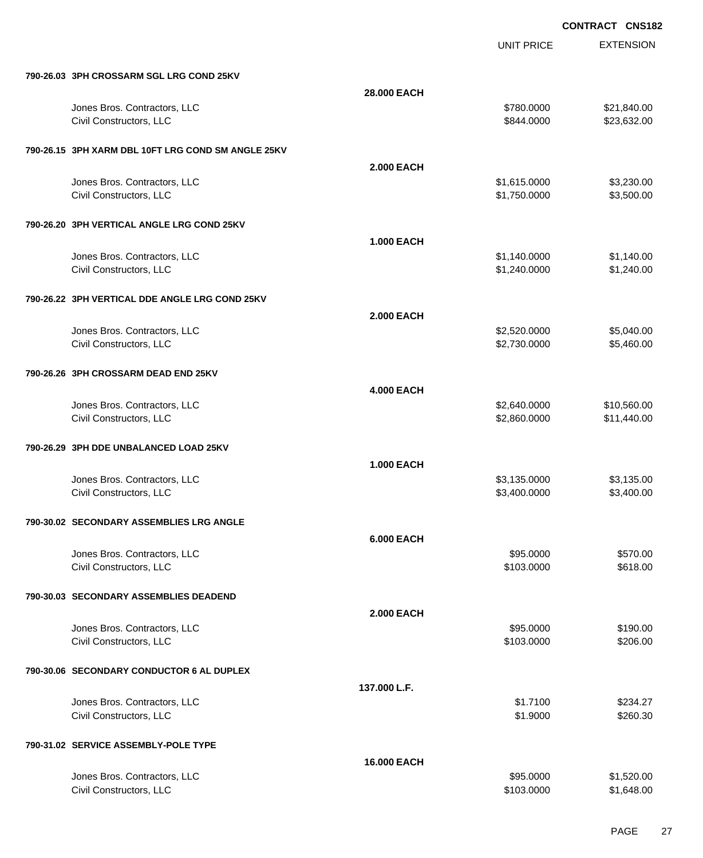|                                                    |                   | <b>UNIT PRICE</b> | <b>EXTENSION</b> |
|----------------------------------------------------|-------------------|-------------------|------------------|
| 790-26.03 3PH CROSSARM SGL LRG COND 25KV           |                   |                   |                  |
|                                                    | 28,000 EACH       |                   |                  |
| Jones Bros. Contractors, LLC                       |                   | \$780.0000        | \$21,840.00      |
| Civil Constructors, LLC                            |                   | \$844.0000        | \$23,632.00      |
| 790-26.15 3PH XARM DBL 10FT LRG COND SM ANGLE 25KV |                   |                   |                  |
|                                                    | <b>2.000 EACH</b> |                   |                  |
| Jones Bros. Contractors, LLC                       |                   | \$1,615.0000      | \$3,230.00       |
| Civil Constructors, LLC                            |                   | \$1,750.0000      | \$3,500.00       |
| 790-26.20 3PH VERTICAL ANGLE LRG COND 25KV         |                   |                   |                  |
|                                                    | <b>1.000 EACH</b> |                   |                  |
| Jones Bros. Contractors, LLC                       |                   | \$1,140.0000      | \$1,140.00       |
| Civil Constructors, LLC                            |                   | \$1,240.0000      | \$1,240.00       |
| 790-26.22 3PH VERTICAL DDE ANGLE LRG COND 25KV     |                   |                   |                  |
|                                                    | <b>2.000 EACH</b> |                   |                  |
| Jones Bros. Contractors, LLC                       |                   | \$2,520.0000      | \$5,040.00       |
| Civil Constructors, LLC                            |                   | \$2,730.0000      | \$5,460.00       |
| 790-26.26 3PH CROSSARM DEAD END 25KV               |                   |                   |                  |
|                                                    | <b>4.000 EACH</b> |                   |                  |
| Jones Bros. Contractors, LLC                       |                   | \$2,640.0000      | \$10,560.00      |
| Civil Constructors, LLC                            |                   | \$2,860.0000      | \$11,440.00      |
| 790-26.29 3PH DDE UNBALANCED LOAD 25KV             |                   |                   |                  |
|                                                    | <b>1.000 EACH</b> |                   |                  |
| Jones Bros. Contractors, LLC                       |                   | \$3,135.0000      | \$3,135.00       |
| Civil Constructors, LLC                            |                   | \$3,400.0000      | \$3,400.00       |
| 790-30.02 SECONDARY ASSEMBLIES LRG ANGLE           |                   |                   |                  |
|                                                    | <b>6.000 EACH</b> |                   |                  |
| Jones Bros. Contractors, LLC                       |                   | \$95.0000         | \$570.00         |
| Civil Constructors, LLC                            |                   | \$103.0000        | \$618.00         |
| 790-30.03 SECONDARY ASSEMBLIES DEADEND             |                   |                   |                  |
|                                                    | <b>2.000 EACH</b> |                   |                  |
| Jones Bros. Contractors, LLC                       |                   | \$95.0000         | \$190.00         |
| Civil Constructors, LLC                            |                   | \$103.0000        | \$206.00         |
| 790-30.06 SECONDARY CONDUCTOR 6 AL DUPLEX          |                   |                   |                  |
|                                                    | 137.000 L.F.      |                   |                  |
| Jones Bros. Contractors, LLC                       |                   | \$1.7100          | \$234.27         |
| Civil Constructors, LLC                            |                   | \$1.9000          | \$260.30         |
| 790-31.02 SERVICE ASSEMBLY-POLE TYPE               |                   |                   |                  |
|                                                    | 16.000 EACH       |                   |                  |
| Jones Bros. Contractors, LLC                       |                   | \$95.0000         | \$1,520.00       |
| Civil Constructors, LLC                            |                   | \$103.0000        | \$1,648.00       |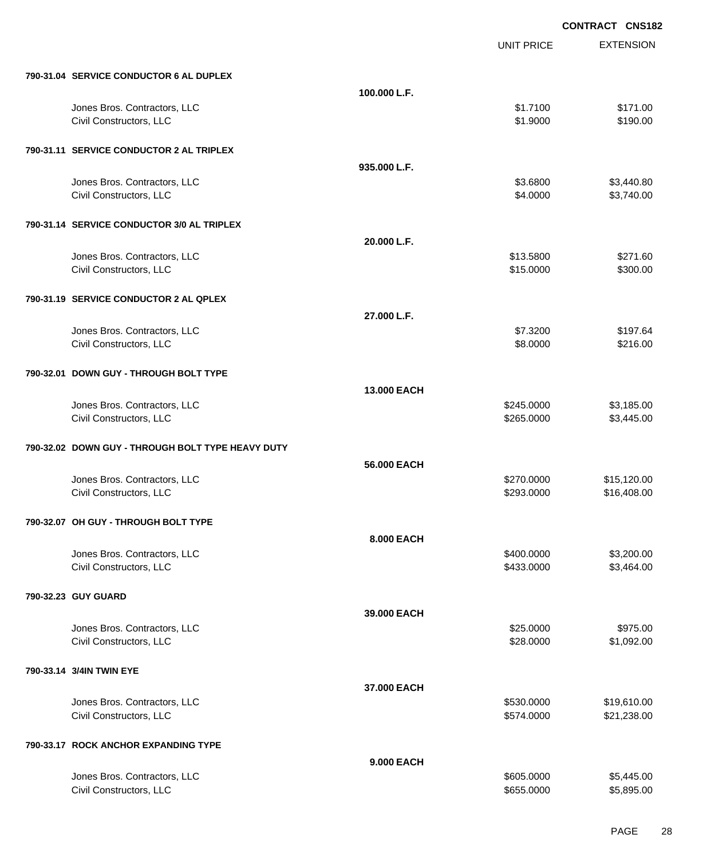|                                                         |                    |                        | <b>CONTRACT CNS182</b> |
|---------------------------------------------------------|--------------------|------------------------|------------------------|
|                                                         |                    | <b>UNIT PRICE</b>      | <b>EXTENSION</b>       |
| 790-31.04 SERVICE CONDUCTOR 6 AL DUPLEX                 |                    |                        |                        |
|                                                         | 100.000 L.F.       |                        |                        |
| Jones Bros. Contractors, LLC                            |                    | \$1.7100               | \$171.00               |
| Civil Constructors, LLC                                 |                    | \$1.9000               | \$190.00               |
| 790-31.11 SERVICE CONDUCTOR 2 AL TRIPLEX                |                    |                        |                        |
|                                                         | 935.000 L.F.       |                        |                        |
| Jones Bros. Contractors, LLC                            |                    | \$3.6800               | \$3,440.80             |
| Civil Constructors, LLC                                 |                    | \$4.0000               | \$3,740.00             |
| 790-31.14 SERVICE CONDUCTOR 3/0 AL TRIPLEX              |                    |                        |                        |
|                                                         | 20.000 L.F.        |                        |                        |
| Jones Bros. Contractors, LLC<br>Civil Constructors, LLC |                    | \$13.5800<br>\$15.0000 | \$271.60<br>\$300.00   |
| 790-31.19 SERVICE CONDUCTOR 2 AL QPLEX                  |                    |                        |                        |
|                                                         | 27.000 L.F.        |                        |                        |
| Jones Bros. Contractors, LLC                            |                    | \$7.3200               | \$197.64               |
| Civil Constructors, LLC                                 |                    | \$8.0000               | \$216.00               |
| 790-32.01 DOWN GUY - THROUGH BOLT TYPE                  |                    |                        |                        |
|                                                         | <b>13,000 EACH</b> |                        |                        |
| Jones Bros. Contractors, LLC                            |                    | \$245.0000             | \$3,185.00             |
| Civil Constructors, LLC                                 |                    | \$265.0000             | \$3,445.00             |
| 790-32.02 DOWN GUY - THROUGH BOLT TYPE HEAVY DUTY       |                    |                        |                        |
|                                                         | 56.000 EACH        |                        |                        |
| Jones Bros. Contractors, LLC                            |                    | \$270.0000             | \$15,120.00            |
| Civil Constructors, LLC                                 |                    | \$293.0000             | \$16,408.00            |
| 790-32.07 OH GUY - THROUGH BOLT TYPE                    |                    |                        |                        |
|                                                         | 8,000 EACH         |                        |                        |
| Jones Bros. Contractors, LLC                            |                    | \$400.0000             | \$3,200.00             |
| Civil Constructors, LLC                                 |                    | \$433.0000             | \$3,464.00             |
| 790-32.23 GUY GUARD                                     |                    |                        |                        |
|                                                         | 39,000 EACH        | \$25.0000              |                        |
| Jones Bros. Contractors, LLC<br>Civil Constructors, LLC |                    | \$28.0000              | \$975.00<br>\$1,092.00 |
| 790-33.14 3/4IN TWIN EYE                                |                    |                        |                        |
|                                                         | 37,000 EACH        |                        |                        |
| Jones Bros. Contractors, LLC                            |                    | \$530.0000             | \$19,610.00            |
| Civil Constructors, LLC                                 |                    | \$574.0000             | \$21,238.00            |
| 790-33.17 ROCK ANCHOR EXPANDING TYPE                    |                    |                        |                        |
|                                                         | 9.000 EACH         |                        |                        |
| Jones Bros. Contractors, LLC                            |                    | \$605.0000             | \$5,445.00             |
| Civil Constructors, LLC                                 |                    | \$655.0000             | \$5,895.00             |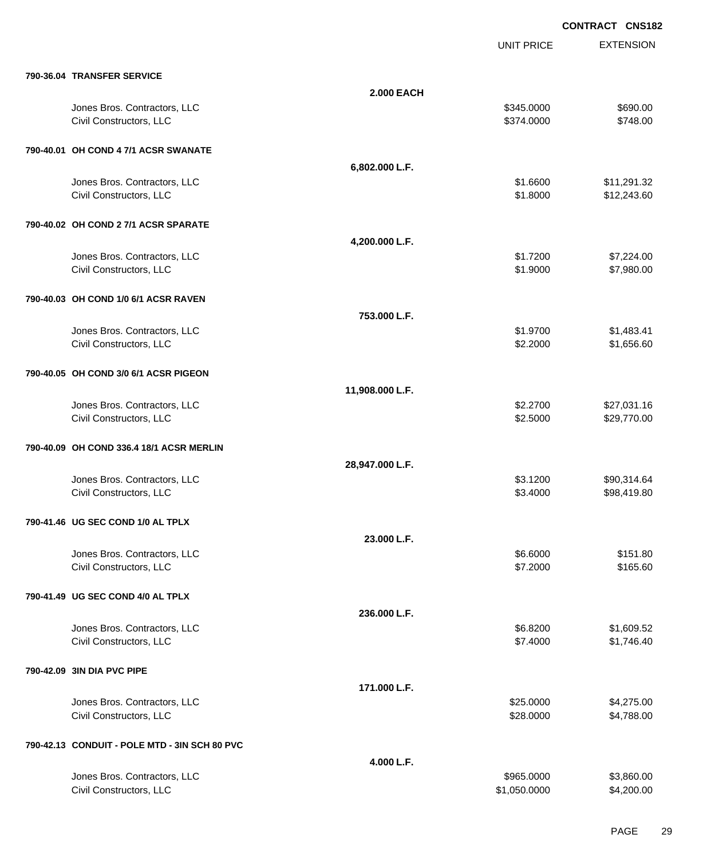UNIT PRICE

| 790-36.04 TRANSFER SERVICE |  |
|----------------------------|--|

| 790-36.04 TRANSFER SERVICE                              |                   |                          |                            |
|---------------------------------------------------------|-------------------|--------------------------|----------------------------|
|                                                         | <b>2.000 EACH</b> |                          |                            |
| Jones Bros. Contractors, LLC<br>Civil Constructors, LLC |                   | \$345.0000<br>\$374.0000 | \$690.00<br>\$748.00       |
| 790-40.01 OH COND 4 7/1 ACSR SWANATE                    |                   |                          |                            |
|                                                         | 6,802.000 L.F.    |                          |                            |
| Jones Bros. Contractors, LLC<br>Civil Constructors, LLC |                   | \$1.6600<br>\$1.8000     | \$11,291.32<br>\$12,243.60 |
| 790-40.02 OH COND 2 7/1 ACSR SPARATE                    |                   |                          |                            |
|                                                         | 4,200.000 L.F.    |                          |                            |
| Jones Bros. Contractors, LLC<br>Civil Constructors, LLC |                   | \$1.7200<br>\$1.9000     | \$7,224.00<br>\$7,980.00   |
| 790-40.03 OH COND 1/0 6/1 ACSR RAVEN                    |                   |                          |                            |
|                                                         | 753.000 L.F.      |                          |                            |
| Jones Bros. Contractors, LLC<br>Civil Constructors, LLC |                   | \$1.9700<br>\$2.2000     | \$1,483.41<br>\$1,656.60   |
| 790-40.05 OH COND 3/0 6/1 ACSR PIGEON                   |                   |                          |                            |
|                                                         | 11,908.000 L.F.   |                          |                            |
| Jones Bros. Contractors, LLC<br>Civil Constructors, LLC |                   | \$2.2700<br>\$2.5000     | \$27,031.16<br>\$29,770.00 |
| 790-40.09 OH COND 336.4 18/1 ACSR MERLIN                |                   |                          |                            |
|                                                         | 28,947.000 L.F.   |                          |                            |
| Jones Bros. Contractors, LLC<br>Civil Constructors, LLC |                   | \$3.1200<br>\$3.4000     | \$90,314.64<br>\$98,419.80 |
| 790-41.46 UG SEC COND 1/0 AL TPLX                       |                   |                          |                            |
|                                                         | 23.000 L.F.       |                          |                            |
| Jones Bros. Contractors, LLC                            |                   | \$6.6000                 | \$151.80                   |
| Civil Constructors, LLC                                 |                   | \$7.2000                 | \$165.60                   |
| 790-41.49 UG SEC COND 4/0 AL TPLX                       |                   |                          |                            |
|                                                         | 236.000 L.F.      |                          |                            |
| Jones Bros. Contractors, LLC                            |                   | \$6.8200<br>\$7.4000     | \$1,609.52                 |
| Civil Constructors, LLC                                 |                   |                          | \$1,746.40                 |
| 790-42.09 3IN DIA PVC PIPE                              |                   |                          |                            |
|                                                         | 171.000 L.F.      |                          |                            |
| Jones Bros. Contractors, LLC<br>Civil Constructors, LLC |                   | \$25.0000<br>\$28.0000   | \$4,275.00<br>\$4,788.00   |
| 790-42.13 CONDUIT - POLE MTD - 3IN SCH 80 PVC           |                   |                          |                            |
|                                                         | 4.000 L.F.        |                          |                            |
| Jones Bros. Contractors, LLC                            |                   | \$965.0000               | \$3,860.00                 |
| Civil Constructors, LLC                                 |                   | \$1,050.0000             | \$4,200.00                 |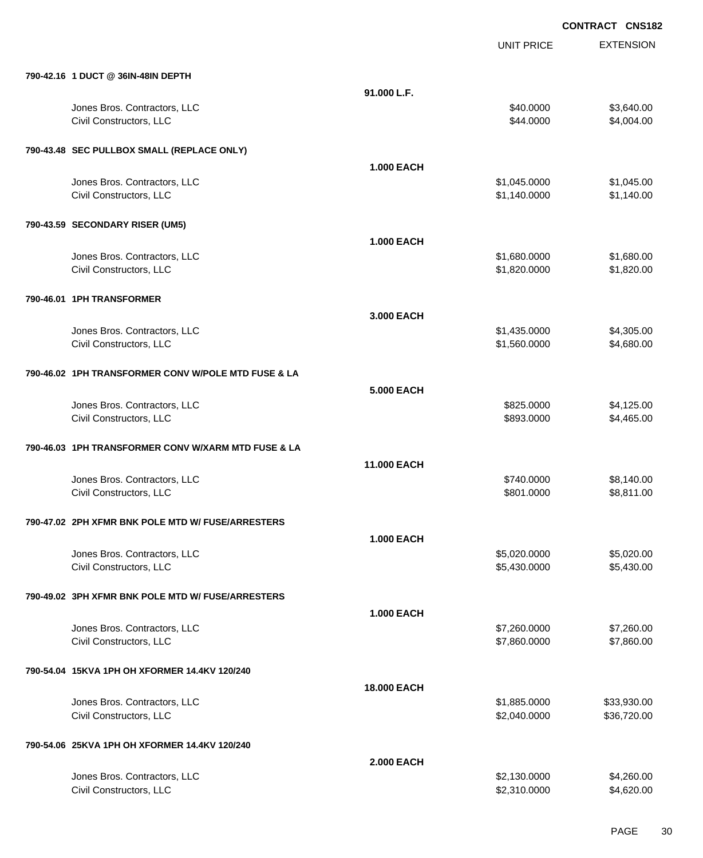UNIT PRICE

| 790-42.16 1 DUCT @ 36IN-48IN DEPTH                      |                    |                        |                          |
|---------------------------------------------------------|--------------------|------------------------|--------------------------|
|                                                         | 91.000 L.F.        |                        |                          |
| Jones Bros. Contractors, LLC<br>Civil Constructors, LLC |                    | \$40.0000<br>\$44.0000 | \$3,640.00<br>\$4,004.00 |
| 790-43.48 SEC PULLBOX SMALL (REPLACE ONLY)              |                    |                        |                          |
|                                                         | <b>1.000 EACH</b>  |                        |                          |
| Jones Bros. Contractors, LLC                            |                    | \$1,045.0000           | \$1,045.00               |
| Civil Constructors, LLC                                 |                    | \$1,140.0000           | \$1,140.00               |
| 790-43.59 SECONDARY RISER (UM5)                         |                    |                        |                          |
|                                                         | <b>1.000 EACH</b>  |                        |                          |
| Jones Bros. Contractors, LLC                            |                    | \$1,680.0000           | \$1,680.00               |
| Civil Constructors, LLC                                 |                    | \$1,820.0000           | \$1,820.00               |
| 790-46.01 1PH TRANSFORMER                               |                    |                        |                          |
|                                                         | 3.000 EACH         |                        |                          |
| Jones Bros. Contractors, LLC                            |                    | \$1,435.0000           | \$4,305.00               |
| Civil Constructors, LLC                                 |                    | \$1,560.0000           | \$4,680.00               |
| 790-46.02 1PH TRANSFORMER CONV W/POLE MTD FUSE & LA     |                    |                        |                          |
|                                                         | <b>5.000 EACH</b>  |                        |                          |
| Jones Bros. Contractors, LLC                            |                    | \$825.0000             | \$4,125.00               |
| Civil Constructors, LLC                                 |                    | \$893.0000             | \$4,465.00               |
| 790-46.03 1PH TRANSFORMER CONV W/XARM MTD FUSE & LA     |                    |                        |                          |
|                                                         | <b>11.000 EACH</b> |                        |                          |
| Jones Bros. Contractors, LLC                            |                    | \$740.0000             | \$8,140.00               |
| Civil Constructors, LLC                                 |                    | \$801.0000             | \$8,811.00               |
| 790-47.02 2PH XFMR BNK POLE MTD W/ FUSE/ARRESTERS       |                    |                        |                          |
|                                                         | <b>1.000 EACH</b>  |                        |                          |
| Jones Bros. Contractors, LLC                            |                    | \$5,020.0000           | \$5,020.00               |
| Civil Constructors, LLC                                 |                    | \$5,430.0000           | \$5,430.00               |
| 790-49.02 3PH XFMR BNK POLE MTD W/ FUSE/ARRESTERS       |                    |                        |                          |
|                                                         | <b>1.000 EACH</b>  |                        |                          |
| Jones Bros. Contractors, LLC                            |                    | \$7,260.0000           | \$7,260.00               |
| Civil Constructors, LLC                                 |                    | \$7,860.0000           | \$7,860.00               |
| 790-54.04 15KVA 1PH OH XFORMER 14.4KV 120/240           |                    |                        |                          |
|                                                         | <b>18.000 EACH</b> |                        |                          |
| Jones Bros. Contractors, LLC                            |                    | \$1,885.0000           | \$33,930.00              |
| Civil Constructors, LLC                                 |                    | \$2,040.0000           | \$36,720.00              |
|                                                         |                    |                        |                          |
| 790-54.06 25KVA 1PH OH XFORMER 14.4KV 120/240           |                    |                        |                          |
|                                                         | <b>2.000 EACH</b>  |                        |                          |
| Jones Bros. Contractors, LLC                            |                    | \$2,130.0000           | \$4,260.00               |
| Civil Constructors, LLC                                 |                    | \$2,310.0000           | \$4,620.00               |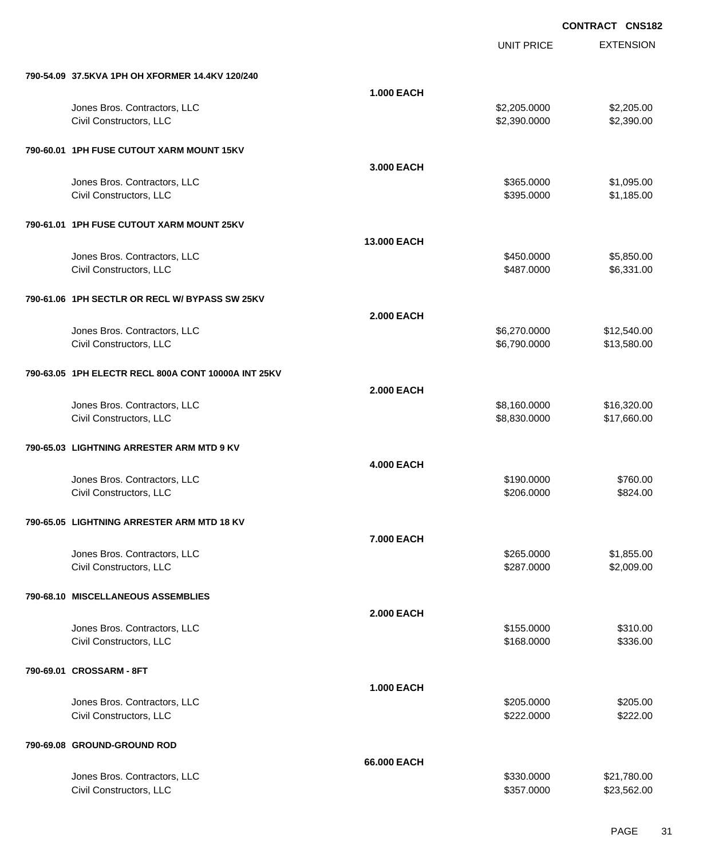|                          |                                                     |                   | <b>UNIT PRICE</b> | <b>EXTENSION</b> |
|--------------------------|-----------------------------------------------------|-------------------|-------------------|------------------|
|                          | 790-54.09 37.5KVA 1PH OH XFORMER 14.4KV 120/240     |                   |                   |                  |
|                          |                                                     | <b>1.000 EACH</b> |                   |                  |
|                          | Jones Bros. Contractors, LLC                        |                   | \$2,205.0000      | \$2,205.00       |
|                          | Civil Constructors, LLC                             |                   | \$2,390.0000      | \$2,390.00       |
|                          | 790-60.01 1PH FUSE CUTOUT XARM MOUNT 15KV           |                   |                   |                  |
|                          |                                                     | 3.000 EACH        |                   |                  |
|                          | Jones Bros. Contractors, LLC                        |                   | \$365.0000        | \$1,095.00       |
|                          | Civil Constructors, LLC                             |                   | \$395.0000        | \$1,185.00       |
|                          | 790-61.01 1PH FUSE CUTOUT XARM MOUNT 25KV           |                   |                   |                  |
|                          |                                                     | 13.000 EACH       |                   |                  |
|                          | Jones Bros. Contractors, LLC                        |                   | \$450.0000        | \$5,850.00       |
|                          | Civil Constructors, LLC                             |                   | \$487.0000        | \$6,331.00       |
|                          | 790-61.06 1PH SECTLR OR RECL W/ BYPASS SW 25KV      |                   |                   |                  |
|                          |                                                     | <b>2.000 EACH</b> |                   |                  |
|                          | Jones Bros. Contractors, LLC                        |                   | \$6,270.0000      | \$12,540.00      |
|                          | Civil Constructors, LLC                             |                   | \$6,790.0000      | \$13,580.00      |
|                          | 790-63.05 1PH ELECTR RECL 800A CONT 10000A INT 25KV |                   |                   |                  |
|                          |                                                     | <b>2.000 EACH</b> |                   |                  |
|                          | Jones Bros. Contractors, LLC                        |                   | \$8,160.0000      | \$16,320.00      |
|                          | Civil Constructors, LLC                             |                   | \$8,830.0000      | \$17,660.00      |
|                          | 790-65.03 LIGHTNING ARRESTER ARM MTD 9 KV           |                   |                   |                  |
|                          |                                                     | <b>4.000 EACH</b> |                   |                  |
|                          | Jones Bros. Contractors, LLC                        |                   | \$190.0000        | \$760.00         |
|                          | Civil Constructors, LLC                             |                   | \$206.0000        | \$824.00         |
|                          | 790-65.05 LIGHTNING ARRESTER ARM MTD 18 KV          |                   |                   |                  |
|                          |                                                     | 7.000 EACH        |                   |                  |
|                          | Jones Bros. Contractors, LLC                        |                   | \$265.0000        | \$1,855.00       |
|                          | Civil Constructors, LLC                             |                   | \$287.0000        | \$2,009.00       |
|                          | 790-68.10 MISCELLANEOUS ASSEMBLIES                  |                   |                   |                  |
|                          |                                                     | <b>2.000 EACH</b> |                   |                  |
|                          | Jones Bros. Contractors, LLC                        |                   | \$155.0000        | \$310.00         |
|                          | Civil Constructors, LLC                             |                   | \$168.0000        | \$336.00         |
| 790-69.01 CROSSARM - 8FT |                                                     |                   |                   |                  |
|                          |                                                     | <b>1.000 EACH</b> |                   |                  |
|                          | Jones Bros. Contractors, LLC                        |                   | \$205.0000        | \$205.00         |
|                          | Civil Constructors, LLC                             |                   | \$222.0000        | \$222.00         |
|                          | 790-69.08 GROUND-GROUND ROD                         |                   |                   |                  |
|                          |                                                     | 66.000 EACH       |                   |                  |
|                          | Jones Bros. Contractors, LLC                        |                   | \$330.0000        | \$21,780.00      |
|                          | Civil Constructors, LLC                             |                   | \$357.0000        | \$23,562.00      |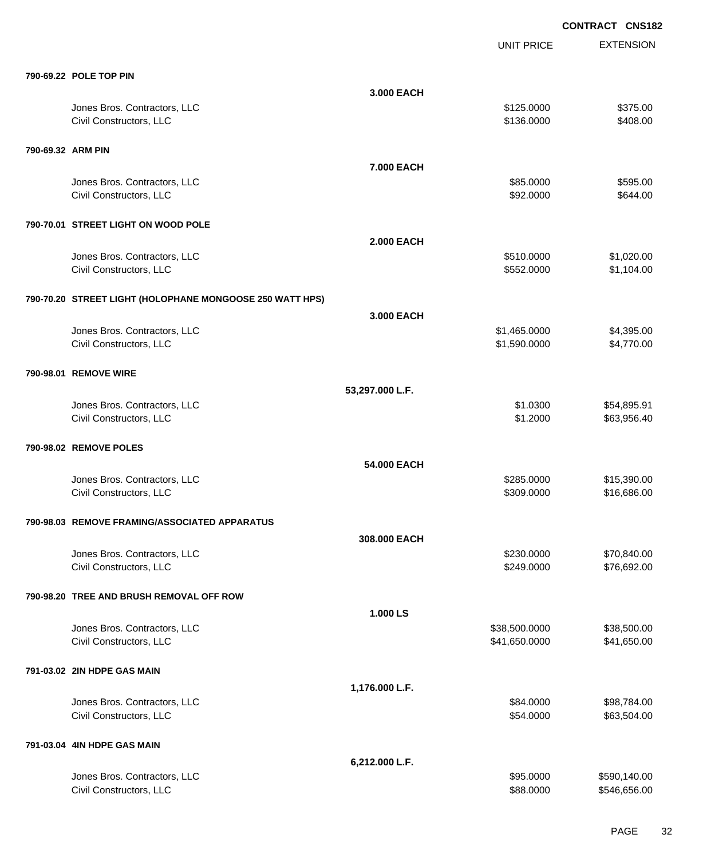**EXTENSION CONTRACT CNS182** UNIT PRICE **790-69.22 POLE TOP PIN 3.000 EACH** Jones Bros. Contractors, LLC \$125.0000 \$375.00 Civil Constructors, LLC 6408.00 **790-69.32 ARM PIN 7.000 EACH** Jones Bros. Contractors, LLC \$85.0000 \$595.00 Civil Constructors, LLC 6644.00 **790-70.01 STREET LIGHT ON WOOD POLE 2.000 EACH** Jones Bros. Contractors, LLC \$510.0000 \$1,020.00 Civil Constructors, LLC 6. 1.104.00 **790-70.20 STREET LIGHT (HOLOPHANE MONGOOSE 250 WATT HPS) 3.000 EACH** Jones Bros. Contractors, LLC \$1,465.0000 \$4,395.00 Civil Constructors, LLC 64,770.00 **790-98.01 REMOVE WIRE 53,297.000 L.F.** Jones Bros. Contractors, LLC \$1.0300 \$54,895.91 Civil Constructors, LLC 663,956.40 **790-98.02 REMOVE POLES 54.000 EACH** Jones Bros. Contractors, LLC \$285.0000 \$15,390.00 Civil Constructors, LLC 686.00 \$16,686.00 **790-98.03 REMOVE FRAMING/ASSOCIATED APPARATUS 308.000 EACH** Jones Bros. Contractors, LLC \$230.0000 \$70,840.00 Civil Constructors, LLC 6692.00 **790-98.20 TREE AND BRUSH REMOVAL OFF ROW 1.000 LS** Jones Bros. Contractors, LLC \$38,500.0000 \$38,500.00 Civil Constructors, LLC 641,650.000 \$41,650.000 \$41,650.000 **791-03.02 2IN HDPE GAS MAIN 1,176.000 L.F.** Jones Bros. Contractors, LLC \$84.0000 \$98,784.00 Civil Constructors, LLC 663,504.00 **791-03.04 4IN HDPE GAS MAIN 6,212.000 L.F.**

|                              | _______   |              |
|------------------------------|-----------|--------------|
| Jones Bros. Contractors, LLC | \$95,0000 | \$590,140.00 |
| Civil Constructors, LLC      | \$88,0000 | \$546.656.00 |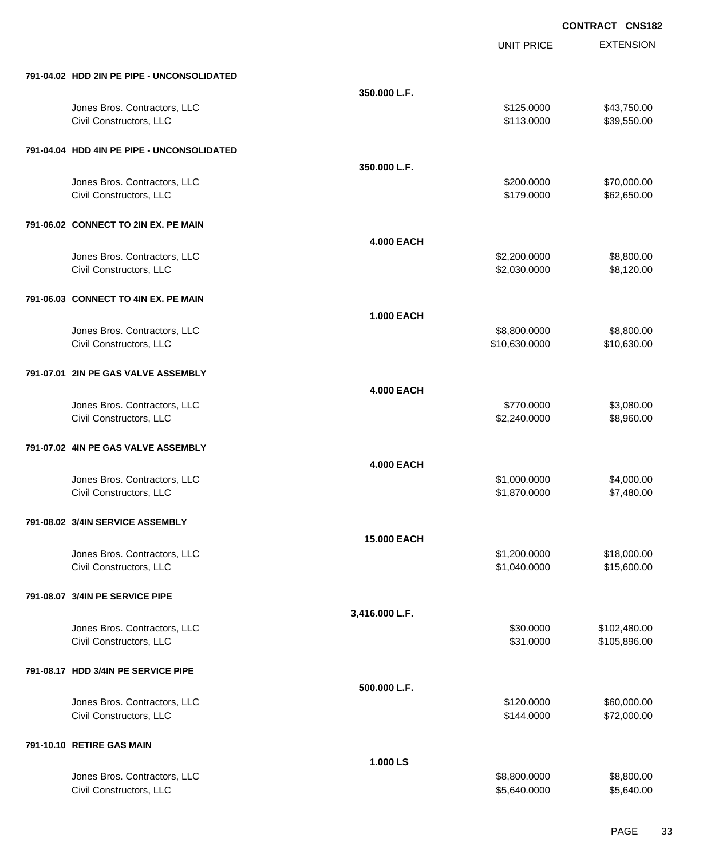|                                                         |                    | <b>UNIT PRICE</b>             | <b>EXTENSION</b>             |
|---------------------------------------------------------|--------------------|-------------------------------|------------------------------|
| 791-04.02 HDD 2IN PE PIPE - UNCONSOLIDATED              |                    |                               |                              |
| Jones Bros. Contractors, LLC<br>Civil Constructors, LLC | 350.000 L.F.       | \$125.0000<br>\$113.0000      | \$43,750.00<br>\$39,550.00   |
| 791-04.04 HDD 4IN PE PIPE - UNCONSOLIDATED              |                    |                               |                              |
| Jones Bros. Contractors, LLC<br>Civil Constructors, LLC | 350.000 L.F.       | \$200.0000<br>\$179.0000      | \$70,000.00<br>\$62,650.00   |
| 791-06.02 CONNECT TO 2IN EX. PE MAIN                    |                    |                               |                              |
| Jones Bros. Contractors, LLC<br>Civil Constructors, LLC | <b>4.000 EACH</b>  | \$2,200.0000<br>\$2,030.0000  | \$8,800.00<br>\$8,120.00     |
| 791-06.03 CONNECT TO 4IN EX. PE MAIN                    |                    |                               |                              |
| Jones Bros. Contractors, LLC<br>Civil Constructors, LLC | <b>1.000 EACH</b>  | \$8,800.0000<br>\$10,630.0000 | \$8,800.00<br>\$10,630.00    |
| 791-07.01 2IN PE GAS VALVE ASSEMBLY                     |                    |                               |                              |
| Jones Bros. Contractors, LLC<br>Civil Constructors, LLC | <b>4.000 EACH</b>  | \$770.0000<br>\$2,240.0000    | \$3,080.00<br>\$8,960.00     |
| 791-07.02 4IN PE GAS VALVE ASSEMBLY                     |                    |                               |                              |
| Jones Bros. Contractors, LLC<br>Civil Constructors, LLC | <b>4.000 EACH</b>  | \$1,000.0000<br>\$1,870.0000  | \$4,000.00<br>\$7,480.00     |
| 791-08.02 3/4IN SERVICE ASSEMBLY                        |                    |                               |                              |
| Jones Bros. Contractors, LLC<br>Civil Constructors, LLC | <b>15.000 EACH</b> | \$1,200.0000<br>\$1,040.0000  | \$18,000.00<br>\$15,600.00   |
| 791-08.07 3/4IN PE SERVICE PIPE                         |                    |                               |                              |
| Jones Bros. Contractors, LLC<br>Civil Constructors, LLC | 3,416.000 L.F.     | \$30.0000<br>\$31.0000        | \$102,480.00<br>\$105,896.00 |
| 791-08.17 HDD 3/4IN PE SERVICE PIPE                     |                    |                               |                              |
| Jones Bros. Contractors, LLC<br>Civil Constructors, LLC | 500.000 L.F.       | \$120.0000<br>\$144.0000      | \$60,000.00<br>\$72,000.00   |
| 791-10.10 RETIRE GAS MAIN                               |                    |                               |                              |
| Jones Bros. Contractors, LLC<br>Civil Constructors, LLC | 1.000 LS           | \$8,800.0000<br>\$5,640.0000  | \$8,800.00<br>\$5,640.00     |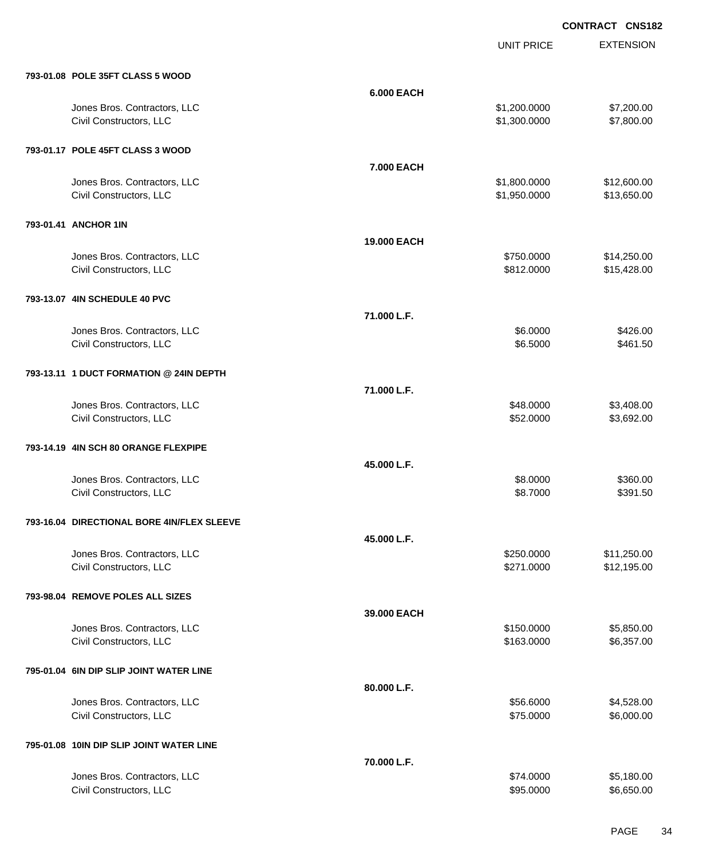UNIT PRICE

| 793-01.08 POLE 35FT CLASS 5 WOOD                        |                   |                              |                            |
|---------------------------------------------------------|-------------------|------------------------------|----------------------------|
|                                                         | <b>6.000 EACH</b> |                              |                            |
| Jones Bros. Contractors, LLC<br>Civil Constructors, LLC |                   | \$1,200.0000<br>\$1,300.0000 | \$7,200.00<br>\$7,800.00   |
| 793-01.17 POLE 45FT CLASS 3 WOOD                        |                   |                              |                            |
|                                                         | 7.000 EACH        |                              |                            |
| Jones Bros. Contractors, LLC<br>Civil Constructors, LLC |                   | \$1,800.0000<br>\$1,950.0000 | \$12,600.00<br>\$13,650.00 |
| 793-01.41 ANCHOR 1IN                                    |                   |                              |                            |
|                                                         | 19.000 EACH       |                              |                            |
| Jones Bros. Contractors, LLC<br>Civil Constructors, LLC |                   | \$750.0000<br>\$812.0000     | \$14,250.00<br>\$15,428.00 |
| 793-13.07 4IN SCHEDULE 40 PVC                           |                   |                              |                            |
|                                                         | 71.000 L.F.       |                              |                            |
| Jones Bros. Contractors, LLC<br>Civil Constructors, LLC |                   | \$6.0000<br>\$6.5000         | \$426.00<br>\$461.50       |
| 793-13.11 1 DUCT FORMATION @ 24IN DEPTH                 |                   |                              |                            |
| Jones Bros. Contractors, LLC                            | 71.000 L.F.       | \$48.0000                    | \$3,408.00                 |
| Civil Constructors, LLC                                 |                   | \$52.0000                    | \$3,692.00                 |
| 793-14.19 4IN SCH 80 ORANGE FLEXPIPE                    |                   |                              |                            |
| Jones Bros. Contractors, LLC                            | 45.000 L.F.       | \$8.0000                     | \$360.00                   |
| Civil Constructors, LLC                                 |                   | \$8.7000                     | \$391.50                   |
| 793-16.04 DIRECTIONAL BORE 4IN/FLEX SLEEVE              | 45.000 L.F.       |                              |                            |
| Jones Bros. Contractors, LLC                            |                   | \$250.0000                   | \$11,250.00                |
| Civil Constructors, LLC                                 |                   | \$271.0000                   | \$12,195.00                |
| 793-98.04 REMOVE POLES ALL SIZES                        |                   |                              |                            |
| Jones Bros. Contractors, LLC                            | 39.000 EACH       | \$150.0000                   | \$5,850.00                 |
| Civil Constructors, LLC                                 |                   | \$163.0000                   | \$6,357.00                 |
| 795-01.04 6IN DIP SLIP JOINT WATER LINE                 |                   |                              |                            |
|                                                         | 80.000 L.F.       |                              |                            |
| Jones Bros. Contractors, LLC<br>Civil Constructors, LLC |                   | \$56.6000<br>\$75.0000       | \$4,528.00<br>\$6,000.00   |
| 795-01.08 10IN DIP SLIP JOINT WATER LINE                |                   |                              |                            |
|                                                         | 70.000 L.F.       | \$74.0000                    |                            |
| Jones Bros. Contractors, LLC<br>Civil Constructors, LLC |                   | \$95.0000                    | \$5,180.00<br>\$6,650.00   |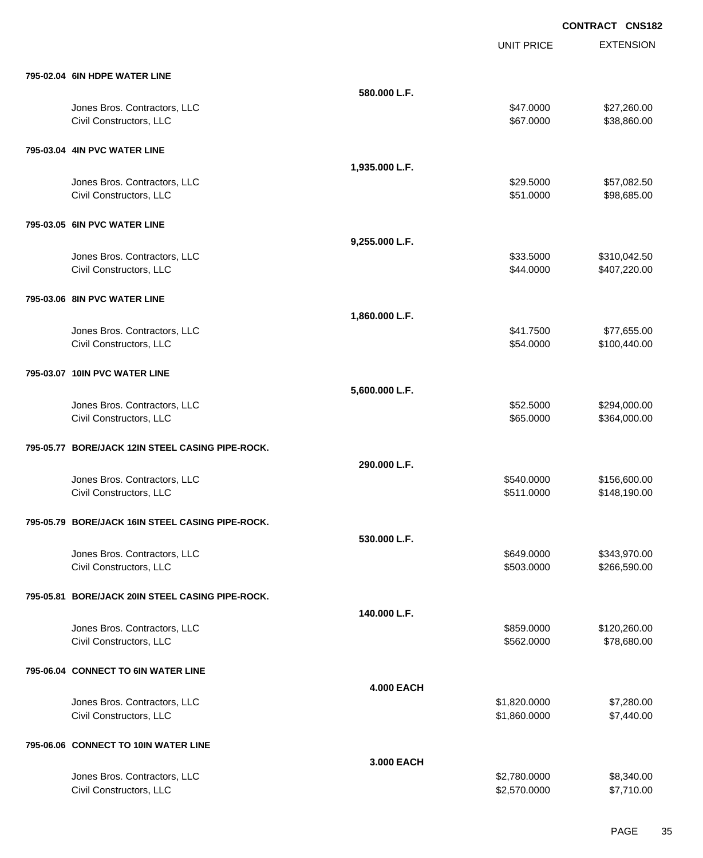|                                                  |                   | <b>UNIT PRICE</b> | <b>EXTENSION</b> |
|--------------------------------------------------|-------------------|-------------------|------------------|
| 795-02.04 6IN HDPE WATER LINE                    |                   |                   |                  |
|                                                  | 580.000 L.F.      |                   |                  |
| Jones Bros. Contractors, LLC                     |                   | \$47.0000         | \$27,260.00      |
| Civil Constructors, LLC                          |                   | \$67.0000         | \$38,860.00      |
| 795-03.04 4IN PVC WATER LINE                     |                   |                   |                  |
|                                                  | 1,935.000 L.F.    |                   |                  |
| Jones Bros. Contractors, LLC                     |                   | \$29,5000         | \$57,082.50      |
| Civil Constructors, LLC                          |                   | \$51.0000         | \$98,685.00      |
| 795-03.05 6IN PVC WATER LINE                     |                   |                   |                  |
|                                                  | 9,255.000 L.F.    |                   |                  |
| Jones Bros. Contractors, LLC                     |                   | \$33.5000         | \$310,042.50     |
| Civil Constructors, LLC                          |                   | \$44.0000         | \$407,220.00     |
| 795-03.06 8IN PVC WATER LINE                     |                   |                   |                  |
|                                                  | 1,860.000 L.F.    |                   |                  |
| Jones Bros. Contractors, LLC                     |                   | \$41.7500         | \$77,655.00      |
| Civil Constructors, LLC                          |                   | \$54.0000         | \$100,440.00     |
| 795-03.07 10IN PVC WATER LINE                    |                   |                   |                  |
|                                                  | 5,600.000 L.F.    |                   |                  |
| Jones Bros. Contractors, LLC                     |                   | \$52.5000         | \$294,000.00     |
| Civil Constructors, LLC                          |                   | \$65.0000         | \$364,000.00     |
| 795-05.77 BORE/JACK 12IN STEEL CASING PIPE-ROCK. |                   |                   |                  |
|                                                  | 290,000 L.F.      |                   |                  |
| Jones Bros. Contractors, LLC                     |                   | \$540.0000        | \$156,600.00     |
| Civil Constructors, LLC                          |                   | \$511.0000        | \$148,190.00     |
| 795-05.79 BORE/JACK 16IN STEEL CASING PIPE-ROCK. |                   |                   |                  |
|                                                  | 530.000 L.F.      |                   |                  |
| Jones Bros. Contractors, LLC                     |                   | \$649.0000        | \$343,970.00     |
| Civil Constructors, LLC                          |                   | \$503.0000        | \$266,590.00     |
| 795-05.81 BORE/JACK 20IN STEEL CASING PIPE-ROCK. |                   |                   |                  |
|                                                  | 140.000 L.F.      |                   |                  |
| Jones Bros. Contractors, LLC                     |                   | \$859.0000        | \$120,260.00     |
| Civil Constructors, LLC                          |                   | \$562.0000        | \$78,680.00      |
| 795-06.04 CONNECT TO 6IN WATER LINE              |                   |                   |                  |
|                                                  | <b>4.000 EACH</b> |                   |                  |
| Jones Bros. Contractors, LLC                     |                   | \$1,820.0000      | \$7,280.00       |
| Civil Constructors, LLC                          |                   | \$1,860.0000      | \$7,440.00       |
| 795-06.06 CONNECT TO 10IN WATER LINE             |                   |                   |                  |
|                                                  | 3.000 EACH        |                   |                  |
| Jones Bros. Contractors, LLC                     |                   | \$2,780.0000      | \$8,340.00       |
| Civil Constructors, LLC                          |                   | \$2,570.0000      | \$7,710.00       |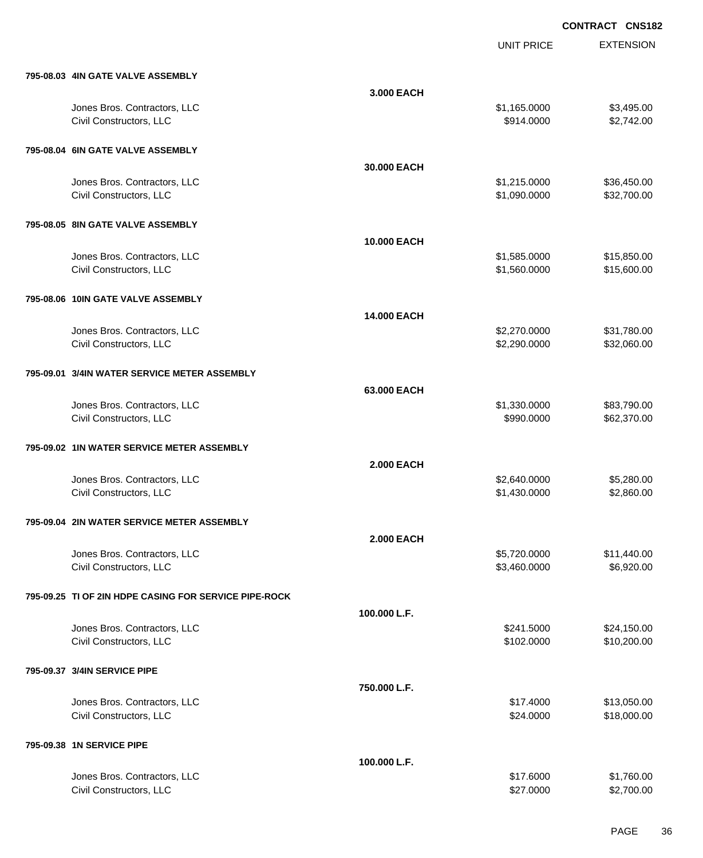UNIT PRICE

EXTENSION

| 795-08.03 4IN GATE VALVE ASSEMBLY                     |                   |              |             |
|-------------------------------------------------------|-------------------|--------------|-------------|
|                                                       | 3.000 EACH        |              |             |
| Jones Bros. Contractors, LLC                          |                   | \$1,165.0000 | \$3,495.00  |
| Civil Constructors, LLC                               |                   | \$914.0000   | \$2,742.00  |
| 795-08.04 6IN GATE VALVE ASSEMBLY                     |                   |              |             |
|                                                       | 30.000 EACH       |              |             |
| Jones Bros. Contractors, LLC                          |                   | \$1,215.0000 | \$36,450.00 |
| Civil Constructors, LLC                               |                   | \$1,090.0000 | \$32,700.00 |
| 795-08.05 8IN GATE VALVE ASSEMBLY                     |                   |              |             |
|                                                       | 10.000 EACH       |              |             |
| Jones Bros. Contractors, LLC                          |                   | \$1,585.0000 | \$15,850.00 |
| Civil Constructors, LLC                               |                   | \$1,560.0000 | \$15,600.00 |
| 795-08.06 10IN GATE VALVE ASSEMBLY                    |                   |              |             |
|                                                       | 14.000 EACH       |              |             |
| Jones Bros. Contractors, LLC                          |                   | \$2,270.0000 | \$31,780.00 |
| Civil Constructors, LLC                               |                   | \$2,290.0000 | \$32,060.00 |
| 795-09.01 3/4IN WATER SERVICE METER ASSEMBLY          |                   |              |             |
|                                                       | 63.000 EACH       |              |             |
| Jones Bros. Contractors, LLC                          |                   | \$1,330.0000 | \$83,790.00 |
| Civil Constructors, LLC                               |                   | \$990.0000   | \$62,370.00 |
| 795-09.02 1IN WATER SERVICE METER ASSEMBLY            |                   |              |             |
|                                                       | <b>2.000 EACH</b> |              |             |
| Jones Bros. Contractors, LLC                          |                   | \$2,640.0000 | \$5,280.00  |
| Civil Constructors, LLC                               |                   | \$1,430.0000 | \$2,860.00  |
| 795-09.04 2IN WATER SERVICE METER ASSEMBLY            |                   |              |             |
|                                                       | <b>2.000 EACH</b> |              |             |
| Jones Bros. Contractors, LLC                          |                   | \$5,720.0000 | \$11,440.00 |
| Civil Constructors, LLC                               |                   | \$3,460.0000 | \$6,920.00  |
| 795-09.25 TI OF 2IN HDPE CASING FOR SERVICE PIPE-ROCK |                   |              |             |
|                                                       | 100.000 L.F.      |              |             |
| Jones Bros. Contractors, LLC                          |                   | \$241.5000   | \$24,150.00 |
| Civil Constructors, LLC                               |                   | \$102.0000   | \$10,200.00 |
| 795-09.37 3/4IN SERVICE PIPE                          |                   |              |             |
|                                                       | 750.000 L.F.      |              |             |
| Jones Bros. Contractors, LLC                          |                   | \$17.4000    | \$13,050.00 |
| Civil Constructors, LLC                               |                   | \$24.0000    | \$18,000.00 |
| 795-09.38 1N SERVICE PIPE                             |                   |              |             |
|                                                       | 100.000 L.F.      |              |             |
| Jones Bros. Contractors, LLC                          |                   | \$17.6000    | \$1,760.00  |

Civil Constructors, LLC \$2,700.00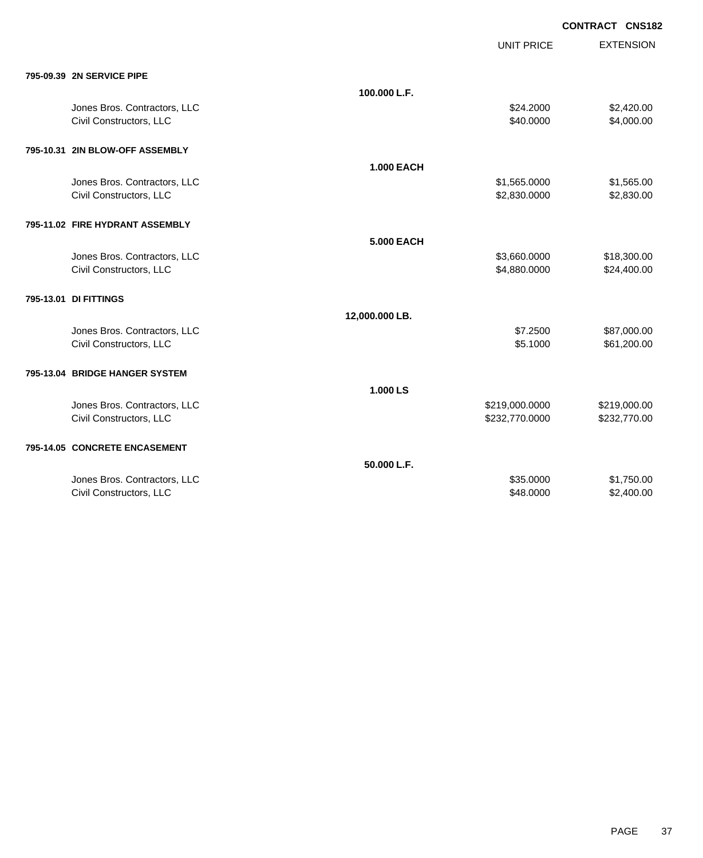|                                 |                   |                   | <b>CONTRACT CNS182</b> |                  |
|---------------------------------|-------------------|-------------------|------------------------|------------------|
|                                 |                   | <b>UNIT PRICE</b> |                        | <b>EXTENSION</b> |
| 795-09.39 2N SERVICE PIPE       |                   |                   |                        |                  |
|                                 | 100.000 L.F.      |                   |                        |                  |
| Jones Bros. Contractors, LLC    |                   | \$24.2000         |                        | \$2,420.00       |
| Civil Constructors, LLC         |                   | \$40.0000         |                        | \$4,000.00       |
| 795-10.31 2IN BLOW-OFF ASSEMBLY |                   |                   |                        |                  |
|                                 | <b>1.000 EACH</b> |                   |                        |                  |
| Jones Bros. Contractors, LLC    |                   | \$1,565.0000      |                        | \$1,565.00       |
| Civil Constructors, LLC         |                   | \$2,830.0000      |                        | \$2,830.00       |
| 795-11.02 FIRE HYDRANT ASSEMBLY |                   |                   |                        |                  |
|                                 | <b>5.000 EACH</b> |                   |                        |                  |
| Jones Bros. Contractors, LLC    |                   | \$3,660.0000      |                        | \$18,300.00      |
| Civil Constructors, LLC         |                   | \$4,880.0000      |                        | \$24,400.00      |
| 795-13.01 DI FITTINGS           |                   |                   |                        |                  |
|                                 | 12,000.000 LB.    |                   |                        |                  |
| Jones Bros. Contractors, LLC    |                   | \$7.2500          |                        | \$87,000.00      |
| Civil Constructors, LLC         |                   | \$5.1000          |                        | \$61,200.00      |
| 795-13.04 BRIDGE HANGER SYSTEM  |                   |                   |                        |                  |
|                                 | 1.000 LS          |                   |                        |                  |
| Jones Bros. Contractors, LLC    |                   | \$219,000.0000    |                        | \$219,000.00     |
| Civil Constructors, LLC         |                   | \$232,770.0000    |                        | \$232,770.00     |
| 795-14.05 CONCRETE ENCASEMENT   |                   |                   |                        |                  |
|                                 | 50.000 L.F.       |                   |                        |                  |
| Jones Bros. Contractors, LLC    |                   | \$35.0000         |                        | \$1,750.00       |

Civil Constructors, LLC \$2,400.00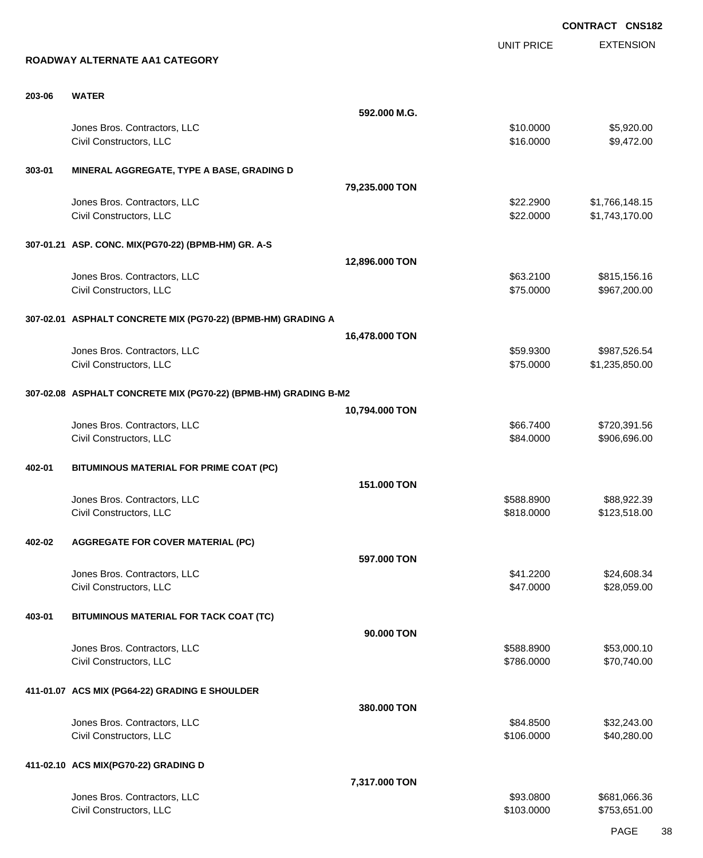EXTENSION **CONTRACT CNS182** UNIT PRICE **ROADWAY ALTERNATE AA1 CATEGORY 203-06 WATER 592.000 M.G.** Jones Bros. Contractors, LLC \$10.0000 \$5,920.00 Civil Constructors, LLC 6.1 and 2.000 \$9,472.00 **303-01 MINERAL AGGREGATE, TYPE A BASE, GRADING D 79,235.000 TON** Jones Bros. Contractors, LLC \$22.2900 \$1,766,148.15 Civil Constructors, LLC 6. The Second Studies of the Second Studies of Second Studies of Second Studies Second Studies Second Studies Second Studies Second Studies Second Studies Second Studies Second Studies Second Studie **307-01.21 ASP. CONC. MIX(PG70-22) (BPMB-HM) GR. A-S 12,896.000 TON** Jones Bros. Contractors, LLC 653.2100 \$815,156.16 Civil Constructors, LLC 66 and the state of the state of the state of the state of the state of the state of the state of the state of the state of the state of the state of the state of the state of the state of the state **307-02.01 ASPHALT CONCRETE MIX (PG70-22) (BPMB-HM) GRADING A 16,478.000 TON** Jones Bros. Contractors, LLC \$59.9300 \$987,526.54 Civil Constructors, LLC 6. 2012 12:00 \$1,235,850.00 \$1,235,850.00 **307-02.08 ASPHALT CONCRETE MIX (PG70-22) (BPMB-HM) GRADING B-M2 10,794.000 TON** Jones Bros. Contractors, LLC 666.7400 \$720,391.56 Civil Constructors, LLC 666.000 \$906,696.00 **402-01 BITUMINOUS MATERIAL FOR PRIME COAT (PC) 151.000 TON** Jones Bros. Contractors, LLC \$588.8900 \$88,922.39 Civil Constructors, LLC 6. 2012, 2013 123,518.00 \$123,518.00 \$123,518.00 \$123,518.00 **402-02 AGGREGATE FOR COVER MATERIAL (PC) 597.000 TON** Jones Bros. Contractors, LLC 6. 2012. The state of the state of the state of the state of the state of the state of the state of the state of the state of the state of the state of the state of the state of the state of th Civil Constructors, LLC 628,059.00 **403-01 BITUMINOUS MATERIAL FOR TACK COAT (TC) 90.000 TON** Jones Bros. Contractors, LLC \$588.8900 \$53,000.10 Civil Constructors, LLC 670,740.00 **411-01.07 ACS MIX (PG64-22) GRADING E SHOULDER 380.000 TON** Jones Bros. Contractors, LLC 6. The state of the state of the state of the state of the state of the state of the state of the state of the state of the state of the state of the state of the state of the state of the stat Civil Constructors, LLC 640,280.00 **411-02.10 ACS MIX(PG70-22) GRADING D 7,317.000 TON**

Jones Bros. Contractors, LLC 681,066.36 Civil Constructors, LLC 6103.0000 \$753,651.00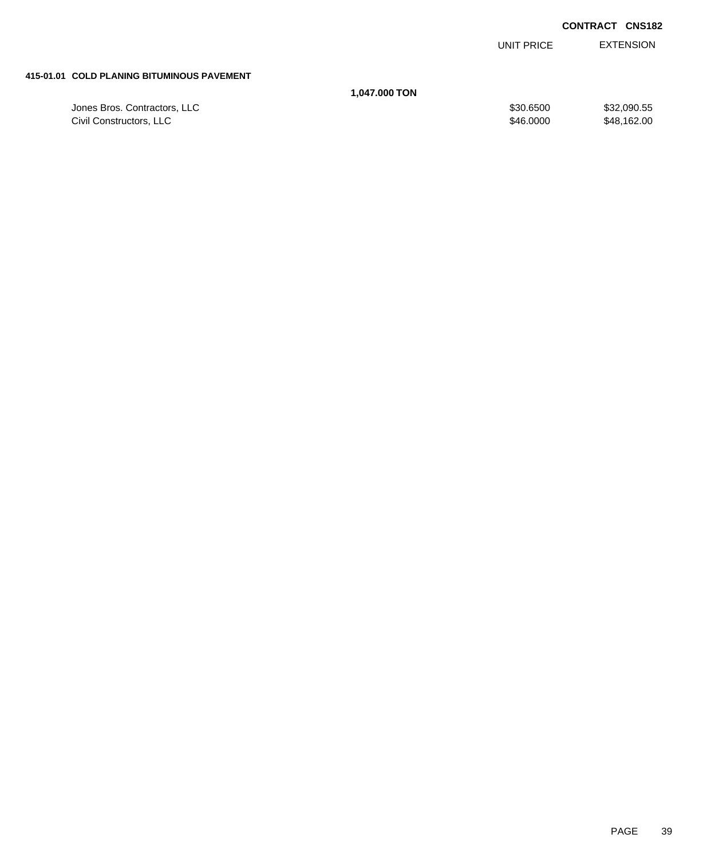EXTENSION UNIT PRICE

#### **415-01.01 COLD PLANING BITUMINOUS PAVEMENT**

## **1,047.000 TON**

| Jones Bros. Contractors, LLC | \$30,6500 | \$32,090.55 |
|------------------------------|-----------|-------------|
| Civil Constructors, LLC      | \$46,0000 | \$48,162.00 |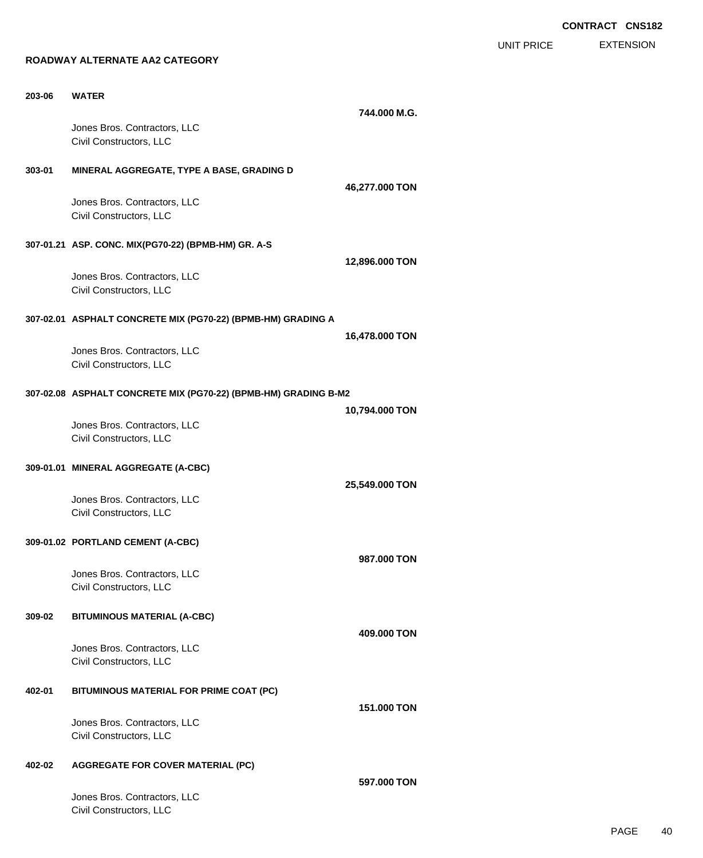EXTENSION UNIT PRICE

#### **ROADWAY ALTERNATE AA2 CATEGORY**

| 203-06 | <b>WATER</b>                                                    | 744.000 M.G.   |
|--------|-----------------------------------------------------------------|----------------|
|        | Jones Bros. Contractors, LLC<br>Civil Constructors, LLC         |                |
| 303-01 | MINERAL AGGREGATE, TYPE A BASE, GRADING D                       |                |
|        | Jones Bros. Contractors, LLC<br>Civil Constructors, LLC         | 46,277.000 TON |
|        | 307-01.21 ASP. CONC. MIX(PG70-22) (BPMB-HM) GR. A-S             |                |
|        | Jones Bros. Contractors, LLC<br>Civil Constructors, LLC         | 12,896.000 TON |
|        | 307-02.01 ASPHALT CONCRETE MIX (PG70-22) (BPMB-HM) GRADING A    |                |
|        | Jones Bros. Contractors, LLC<br>Civil Constructors, LLC         | 16,478.000 TON |
|        | 307-02.08 ASPHALT CONCRETE MIX (PG70-22) (BPMB-HM) GRADING B-M2 |                |
|        | Jones Bros. Contractors, LLC<br>Civil Constructors, LLC         | 10,794.000 TON |
|        | 309-01.01 MINERAL AGGREGATE (A-CBC)                             |                |
|        | Jones Bros. Contractors, LLC<br>Civil Constructors, LLC         | 25,549.000 TON |
|        | 309-01.02 PORTLAND CEMENT (A-CBC)                               |                |
|        | Jones Bros. Contractors, LLC<br>Civil Constructors, LLC         | 987.000 TON    |
| 309-02 | <b>BITUMINOUS MATERIAL (A-CBC)</b>                              |                |
|        | Jones Bros. Contractors, LLC<br>Civil Constructors, LLC         | 409.000 TON    |
| 402-01 | BITUMINOUS MATERIAL FOR PRIME COAT (PC)                         |                |
|        | Jones Bros. Contractors, LLC<br>Civil Constructors, LLC         | 151,000 TON    |
| 402-02 | <b>AGGREGATE FOR COVER MATERIAL (PC)</b>                        |                |
|        | Jones Bros. Contractors, LLC<br>Civil Constructors, LLC         | 597,000 TON    |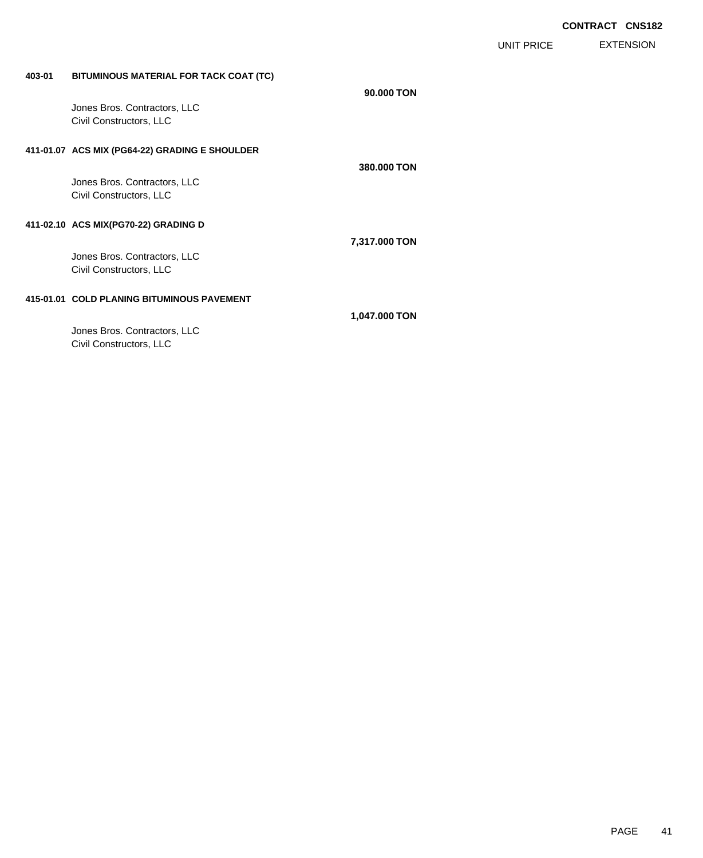EXTENSION UNIT PRICE

## **403-01 BITUMINOUS MATERIAL FOR TACK COAT (TC)**

| Jones Bros. Contractors, LLC                            | 90.000 TON    |  |
|---------------------------------------------------------|---------------|--|
| Civil Constructors, LLC                                 |               |  |
| 411-01.07 ACS MIX (PG64-22) GRADING E SHOULDER          | 380,000 TON   |  |
| Jones Bros. Contractors, LLC<br>Civil Constructors, LLC |               |  |
| 411-02.10 ACS MIX(PG70-22) GRADING D                    | 7,317.000 TON |  |
| Jones Bros. Contractors, LLC<br>Civil Constructors, LLC |               |  |
| 415-01.01 COLD PLANING BITUMINOUS PAVEMENT              |               |  |
| Jones Bros. Contractors, LLC                            | 1,047.000 TON |  |
| Civil Constructors, LLC                                 |               |  |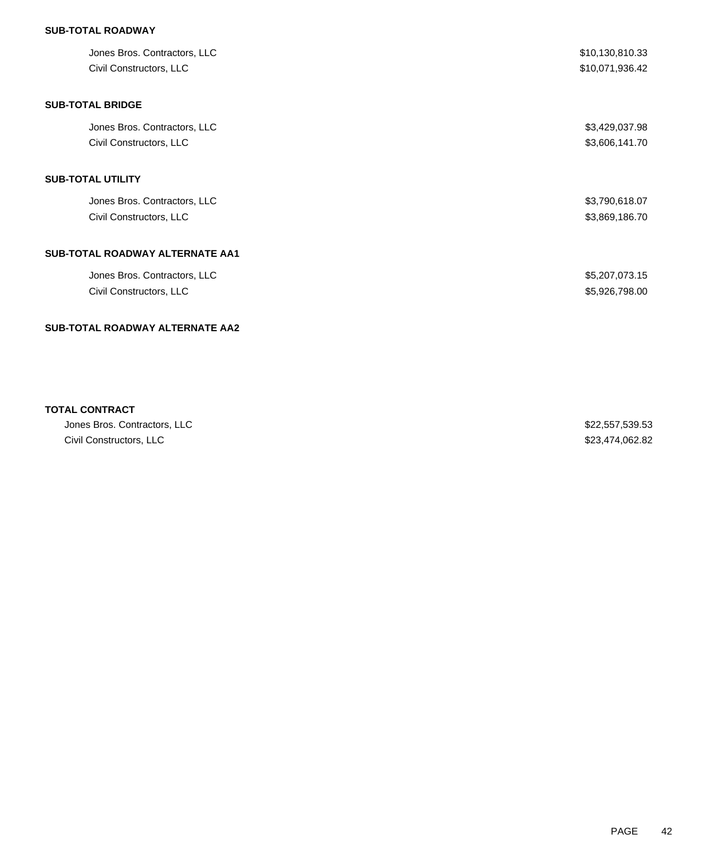## **SUB-TOTAL ROADWAY**

| Jones Bros. Contractors, LLC<br>Civil Constructors, LLC | \$10,130,810.33<br>\$10,071,936.42 |
|---------------------------------------------------------|------------------------------------|
| <b>SUB-TOTAL BRIDGE</b>                                 |                                    |
| Jones Bros. Contractors, LLC                            | \$3,429,037.98                     |
| Civil Constructors, LLC                                 | \$3,606,141.70                     |
| SUB-TOTAL UTILITY                                       |                                    |
| Jones Bros. Contractors, LLC                            | \$3,790,618.07                     |
| Civil Constructors, LLC                                 | \$3,869,186.70                     |
| SUB-TOTAL ROADWAY ALTERNATE AA1                         |                                    |
| Jones Bros. Contractors, LLC                            | \$5,207,073.15                     |
| Civil Constructors, LLC                                 | \$5,926,798.00                     |
| SUB-TOTAL ROADWAY ALTERNATE AA2                         |                                    |
|                                                         |                                    |

## **TOTAL CONTRACT**

| Jones Bros. Contractors, LLC | \$22,557,539.53 |
|------------------------------|-----------------|
| Civil Constructors, LLC      | \$23,474,062.82 |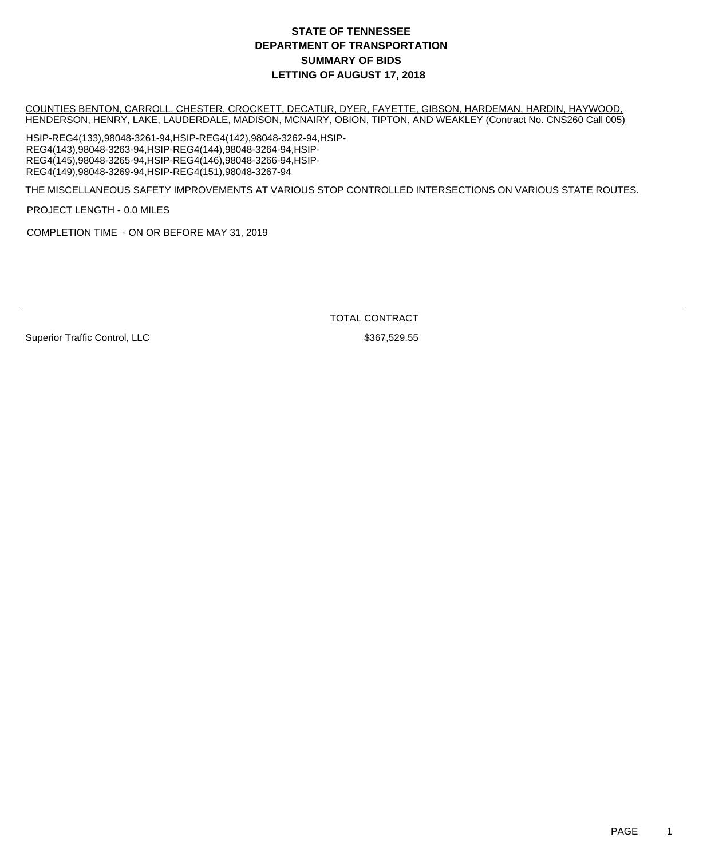COUNTIES BENTON, CARROLL, CHESTER, CROCKETT, DECATUR, DYER, FAYETTE, GIBSON, HARDEMAN, HARDIN, HAYWOOD, HENDERSON, HENRY, LAKE, LAUDERDALE, MADISON, MCNAIRY, OBION, TIPTON, AND WEAKLEY (Contract No. CNS260 Call 005)

HSIP-REG4(133),98048-3261-94,HSIP-REG4(142),98048-3262-94,HSIP-REG4(143),98048-3263-94,HSIP-REG4(144),98048-3264-94,HSIP-REG4(145),98048-3265-94,HSIP-REG4(146),98048-3266-94,HSIP-REG4(149),98048-3269-94,HSIP-REG4(151),98048-3267-94

THE MISCELLANEOUS SAFETY IMPROVEMENTS AT VARIOUS STOP CONTROLLED INTERSECTIONS ON VARIOUS STATE ROUTES.

PROJECT LENGTH - 0.0 MILES

COMPLETION TIME - ON OR BEFORE MAY 31, 2019

TOTAL CONTRACT

Superior Traffic Control, LLC \$367,529.55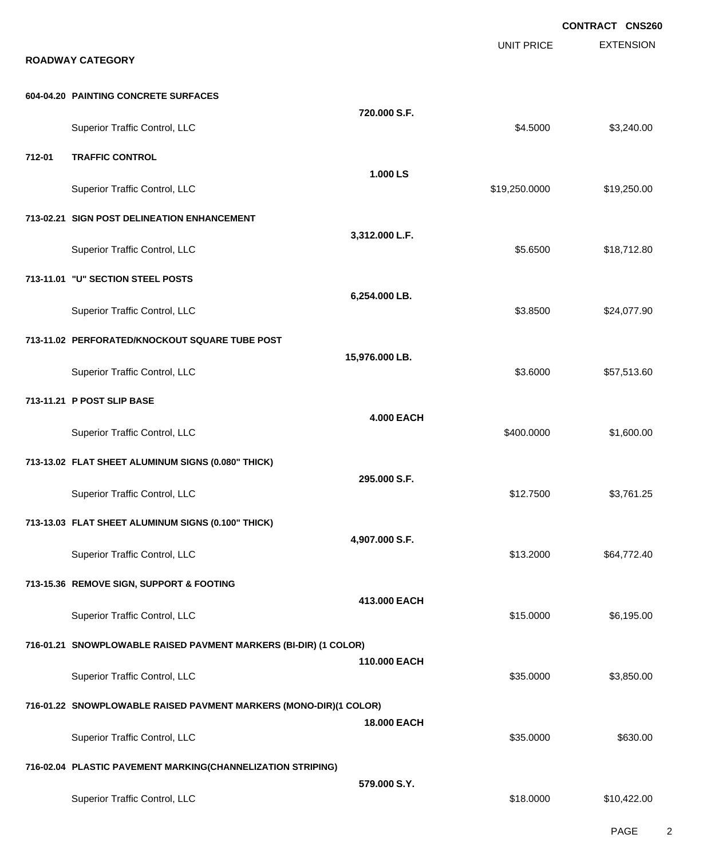EXTENSION **CONTRACT CNS260** UNIT PRICE **ROADWAY CATEGORY 604-04.20 PAINTING CONCRETE SURFACES 720.000 S.F.** Superior Traffic Control, LLC 63,240.00 **712-01 TRAFFIC CONTROL 1.000 LS** Superior Traffic Control, LLC 6. 2012 19:30 19:30 19:30 19:30 19:30 19:30 19:30 19:30 19:30 19:30 19:40 19:30 **713-02.21 SIGN POST DELINEATION ENHANCEMENT 3,312.000 L.F.** Superior Traffic Control, LLC 618,712.80 **713-11.01 "U" SECTION STEEL POSTS 6,254.000 LB.** Superior Traffic Control, LLC **\$3.8500** \$24,077.90 **713-11.02 PERFORATED/KNOCKOUT SQUARE TUBE POST 15,976.000 LB.** Superior Traffic Control, LLC 657,513.60 **713-11.21 P POST SLIP BASE 4.000 EACH** Superior Traffic Control, LLC 600.000 \$1,600.000 \$1,600.000 \$1,600.000 **713-13.02 FLAT SHEET ALUMINUM SIGNS (0.080" THICK) 295.000 S.F.** Superior Traffic Control, LLC 63,761.25 **713-13.03 FLAT SHEET ALUMINUM SIGNS (0.100" THICK) 4,907.000 S.F.** Superior Traffic Control, LLC **\$13.2000** \$64,772.40 **713-15.36 REMOVE SIGN, SUPPORT & FOOTING 413.000 EACH** Superior Traffic Control, LLC 6.195.00 \$6,195.00 **716-01.21 SNOWPLOWABLE RAISED PAVMENT MARKERS (BI-DIR) (1 COLOR) 110.000 EACH** Superior Traffic Control, LLC 63,850.00 \$3,850.00 \$3,850.00 **716-01.22 SNOWPLOWABLE RAISED PAVMENT MARKERS (MONO-DIR)(1 COLOR) 18.000 EACH** Superior Traffic Control, LLC 6630.00 \$630.00 **716-02.04 PLASTIC PAVEMENT MARKING(CHANNELIZATION STRIPING) 579.000 S.Y.** Superior Traffic Control, LLC 618.0000 \$10,422.00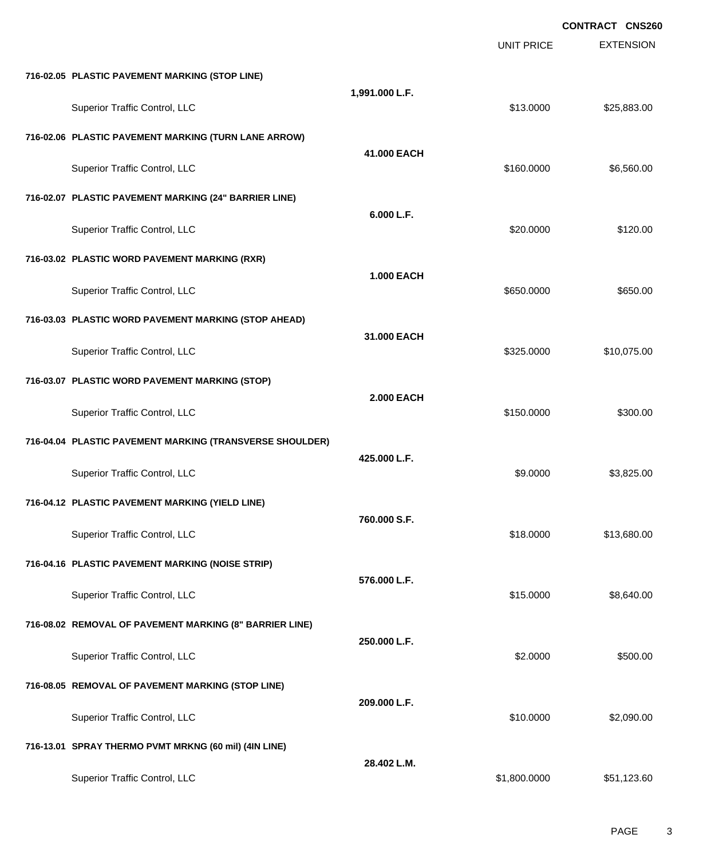|                                                          |                   |                   | <b>CONTRACT CNS260</b> |
|----------------------------------------------------------|-------------------|-------------------|------------------------|
|                                                          |                   | <b>UNIT PRICE</b> | <b>EXTENSION</b>       |
| 716-02.05 PLASTIC PAVEMENT MARKING (STOP LINE)           |                   |                   |                        |
| Superior Traffic Control, LLC                            | 1,991.000 L.F.    | \$13.0000         | \$25,883.00            |
| 716-02.06 PLASTIC PAVEMENT MARKING (TURN LANE ARROW)     |                   |                   |                        |
| Superior Traffic Control, LLC                            | 41.000 EACH       | \$160.0000        | \$6,560.00             |
| 716-02.07 PLASTIC PAVEMENT MARKING (24" BARRIER LINE)    |                   |                   |                        |
| Superior Traffic Control, LLC                            | 6.000 L.F.        | \$20.0000         | \$120.00               |
| 716-03.02 PLASTIC WORD PAVEMENT MARKING (RXR)            |                   |                   |                        |
| Superior Traffic Control, LLC                            | <b>1.000 EACH</b> | \$650.0000        | \$650.00               |
| 716-03.03 PLASTIC WORD PAVEMENT MARKING (STOP AHEAD)     |                   |                   |                        |
| Superior Traffic Control, LLC                            | 31.000 EACH       | \$325.0000        | \$10,075.00            |
| 716-03.07 PLASTIC WORD PAVEMENT MARKING (STOP)           |                   |                   |                        |
| Superior Traffic Control, LLC                            | <b>2.000 EACH</b> | \$150.0000        | \$300.00               |
| 716-04.04 PLASTIC PAVEMENT MARKING (TRANSVERSE SHOULDER) |                   |                   |                        |
| Superior Traffic Control, LLC                            | 425,000 L.F.      | \$9.0000          | \$3,825.00             |
| 716-04.12 PLASTIC PAVEMENT MARKING (YIELD LINE)          |                   |                   |                        |
| Superior Traffic Control, LLC                            | 760.000 S.F.      | \$18.0000         | \$13,680.00            |
| 716-04.16 PLASTIC PAVEMENT MARKING (NOISE STRIP)         |                   |                   |                        |
| Superior Traffic Control, LLC                            | 576.000 L.F.      | \$15.0000         | \$8,640.00             |
| 716-08.02 REMOVAL OF PAVEMENT MARKING (8" BARRIER LINE)  |                   |                   |                        |
| Superior Traffic Control, LLC                            | 250.000 L.F.      | \$2.0000          | \$500.00               |
| 716-08.05 REMOVAL OF PAVEMENT MARKING (STOP LINE)        |                   |                   |                        |
| Superior Traffic Control, LLC                            | 209.000 L.F.      | \$10.0000         | \$2,090.00             |
| 716-13.01 SPRAY THERMO PVMT MRKNG (60 mil) (4IN LINE)    |                   |                   |                        |
| Superior Traffic Control, LLC                            | 28.402 L.M.       | \$1,800.0000      | \$51,123.60            |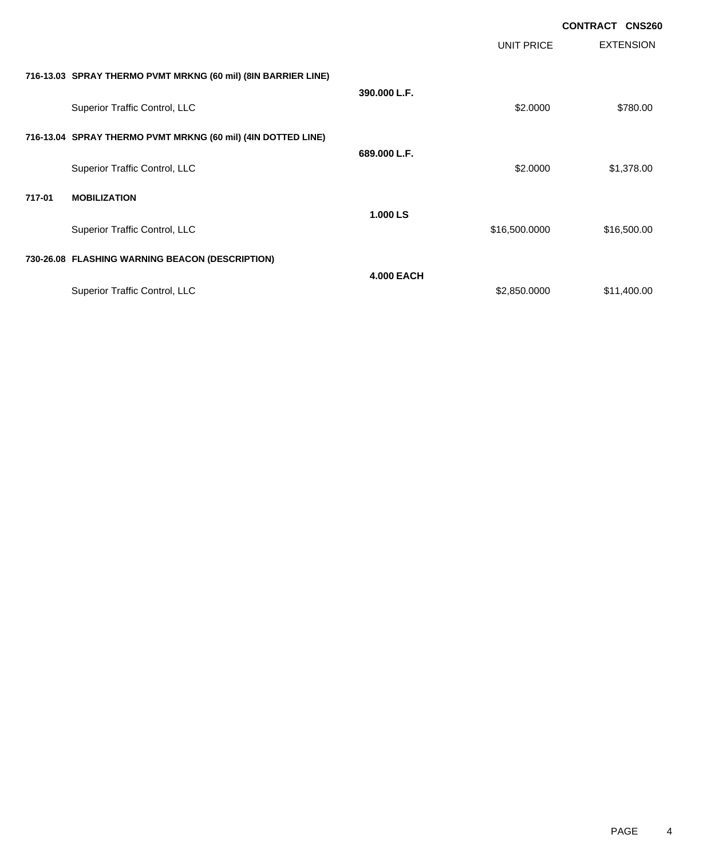|        |                                                               |                   |                   | <b>CONTRACT CNS260</b> |
|--------|---------------------------------------------------------------|-------------------|-------------------|------------------------|
|        |                                                               |                   | <b>UNIT PRICE</b> | <b>EXTENSION</b>       |
|        | 716-13.03 SPRAY THERMO PVMT MRKNG (60 mil) (8IN BARRIER LINE) |                   |                   |                        |
|        | Superior Traffic Control, LLC                                 | 390.000 L.F.      | \$2.0000          | \$780.00               |
|        | 716-13.04 SPRAY THERMO PVMT MRKNG (60 mil) (4IN DOTTED LINE)  |                   |                   |                        |
|        | Superior Traffic Control, LLC                                 | 689.000 L.F.      | \$2.0000          | \$1,378.00             |
| 717-01 | <b>MOBILIZATION</b>                                           |                   |                   |                        |
|        | Superior Traffic Control, LLC                                 | 1.000 LS          | \$16,500.0000     | \$16,500.00            |
|        | 730-26.08 FLASHING WARNING BEACON (DESCRIPTION)               |                   |                   |                        |
|        | Superior Traffic Control, LLC                                 | <b>4.000 EACH</b> | \$2,850.0000      | \$11,400.00            |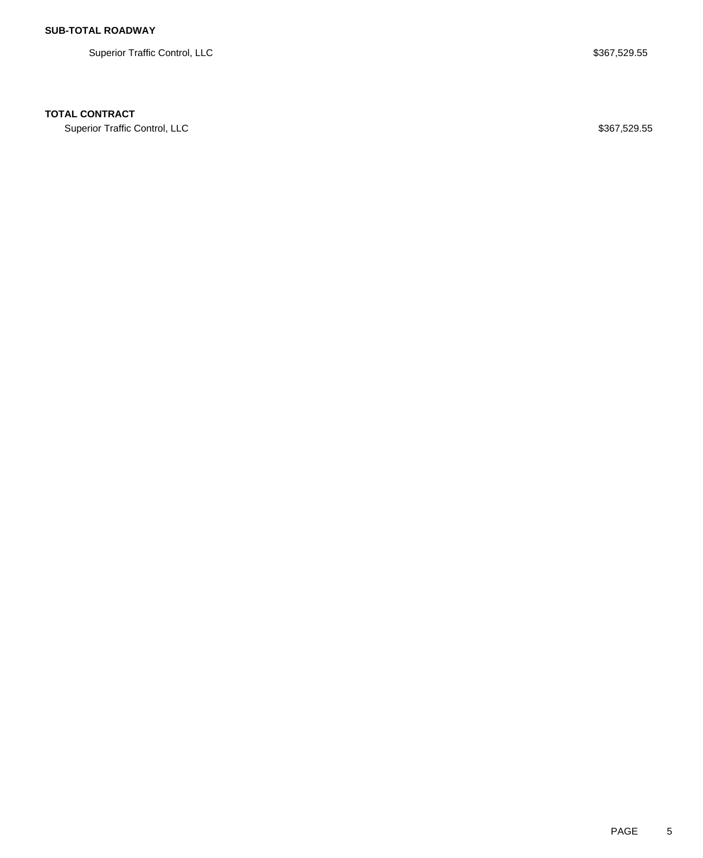Superior Traffic Control, LLC \$367,529.55

### **TOTAL CONTRACT**

Superior Traffic Control, LLC \$367,529.55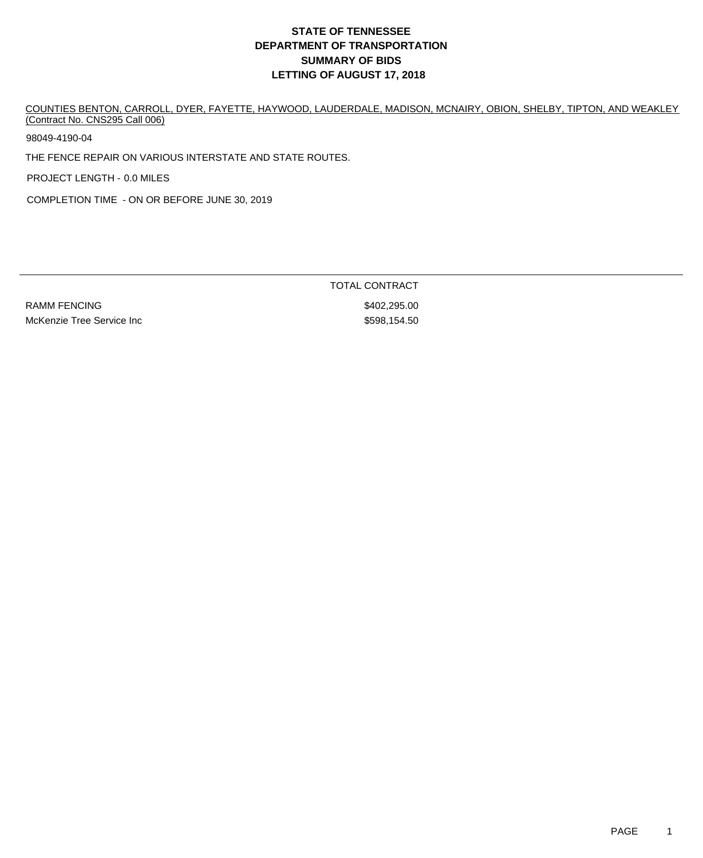COUNTIES BENTON, CARROLL, DYER, FAYETTE, HAYWOOD, LAUDERDALE, MADISON, MCNAIRY, OBION, SHELBY, TIPTON, AND WEAKLEY (Contract No. CNS295 Call 006)

98049-4190-04

THE FENCE REPAIR ON VARIOUS INTERSTATE AND STATE ROUTES.

PROJECT LENGTH - 0.0 MILES

COMPLETION TIME - ON OR BEFORE JUNE 30, 2019

RAMM FENCING \$402,295.00 McKenzie Tree Service Inc **but a service increase and the S598,154.50** 

TOTAL CONTRACT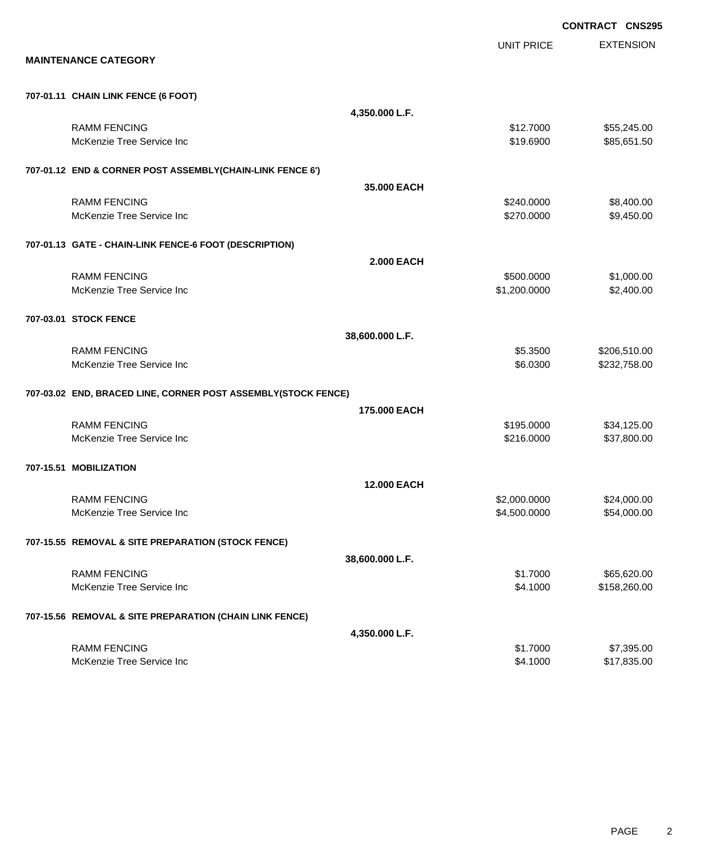|                        |                                                               |                    |                              | <b>CONTRACT CNS295</b>       |
|------------------------|---------------------------------------------------------------|--------------------|------------------------------|------------------------------|
|                        |                                                               |                    | <b>UNIT PRICE</b>            | <b>EXTENSION</b>             |
|                        | <b>MAINTENANCE CATEGORY</b>                                   |                    |                              |                              |
|                        | 707-01.11 CHAIN LINK FENCE (6 FOOT)                           |                    |                              |                              |
|                        |                                                               | 4,350.000 L.F.     |                              |                              |
|                        | <b>RAMM FENCING</b>                                           |                    | \$12.7000                    | \$55,245.00                  |
|                        | McKenzie Tree Service Inc                                     |                    | \$19.6900                    | \$85,651.50                  |
|                        | 707-01.12 END & CORNER POST ASSEMBLY(CHAIN-LINK FENCE 6')     |                    |                              |                              |
|                        |                                                               | 35,000 EACH        |                              |                              |
|                        | <b>RAMM FENCING</b>                                           |                    | \$240.0000                   | \$8,400.00                   |
|                        | McKenzie Tree Service Inc                                     |                    | \$270.0000                   | \$9,450.00                   |
|                        | 707-01.13 GATE - CHAIN-LINK FENCE-6 FOOT (DESCRIPTION)        |                    |                              |                              |
|                        |                                                               | <b>2.000 EACH</b>  |                              |                              |
|                        | <b>RAMM FENCING</b><br>McKenzie Tree Service Inc              |                    | \$500.0000<br>\$1,200.0000   | \$1,000.00<br>\$2,400.00     |
|                        |                                                               |                    |                              |                              |
| 707-03.01 STOCK FENCE  |                                                               |                    |                              |                              |
|                        |                                                               | 38,600.000 L.F.    |                              |                              |
|                        | <b>RAMM FENCING</b><br>McKenzie Tree Service Inc              |                    | \$5.3500<br>\$6.0300         | \$206,510.00<br>\$232,758.00 |
|                        |                                                               |                    |                              |                              |
|                        | 707-03.02 END, BRACED LINE, CORNER POST ASSEMBLY(STOCK FENCE) |                    |                              |                              |
|                        |                                                               | 175,000 EACH       |                              |                              |
|                        | <b>RAMM FENCING</b><br>McKenzie Tree Service Inc              |                    | \$195.0000<br>\$216.0000     | \$34,125.00<br>\$37,800.00   |
|                        |                                                               |                    |                              |                              |
| 707-15.51 MOBILIZATION |                                                               |                    |                              |                              |
|                        | <b>RAMM FENCING</b>                                           | <b>12,000 EACH</b> |                              |                              |
|                        | McKenzie Tree Service Inc                                     |                    | \$2,000.0000<br>\$4,500.0000 | \$24,000.00<br>\$54,000.00   |
|                        |                                                               |                    |                              |                              |
|                        | 707-15.55 REMOVAL & SITE PREPARATION (STOCK FENCE)            |                    |                              |                              |
|                        |                                                               | 38,600.000 L.F.    |                              |                              |
|                        | <b>RAMM FENCING</b><br>McKenzie Tree Service Inc              |                    | \$1.7000<br>\$4.1000         | \$65,620.00<br>\$158,260.00  |
|                        |                                                               |                    |                              |                              |
|                        | 707-15.56 REMOVAL & SITE PREPARATION (CHAIN LINK FENCE)       |                    |                              |                              |
|                        |                                                               | 4,350.000 L.F.     |                              |                              |
|                        | <b>RAMM FENCING</b><br>McKenzie Tree Service Inc              |                    | \$1.7000<br>\$4.1000         | \$7,395.00<br>\$17,835.00    |
|                        |                                                               |                    |                              |                              |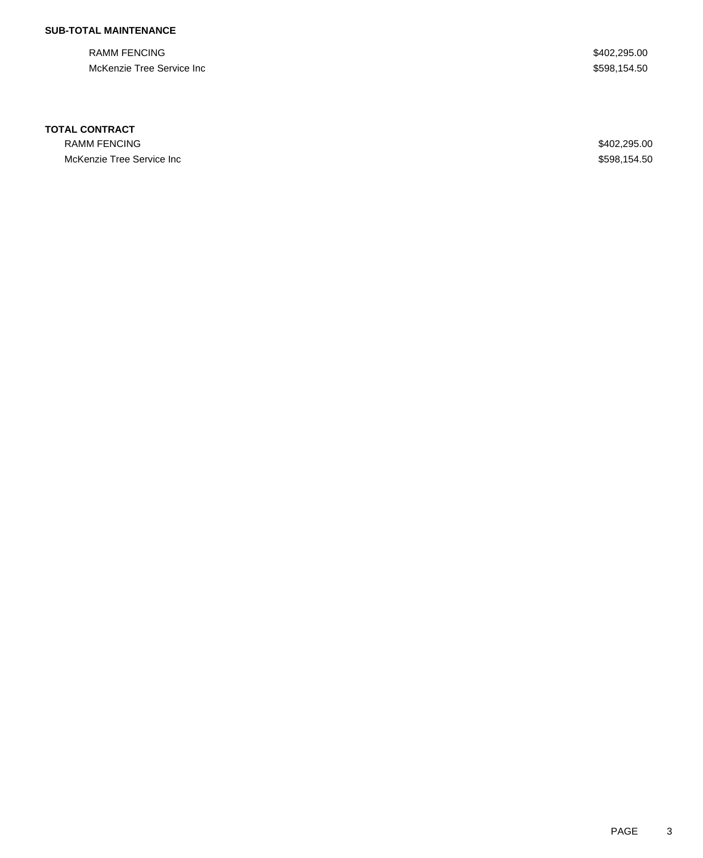## **SUB-TOTAL MAINTENANCE**

RAMM FENCING \$402,295.00 McKenzie Tree Service Inc<br>
\$598,154.50

#### **TOTAL CONTRACT**

RAMM FENCING \$402,295.00 McKenzie Tree Service Inc **Access 2008**,154.50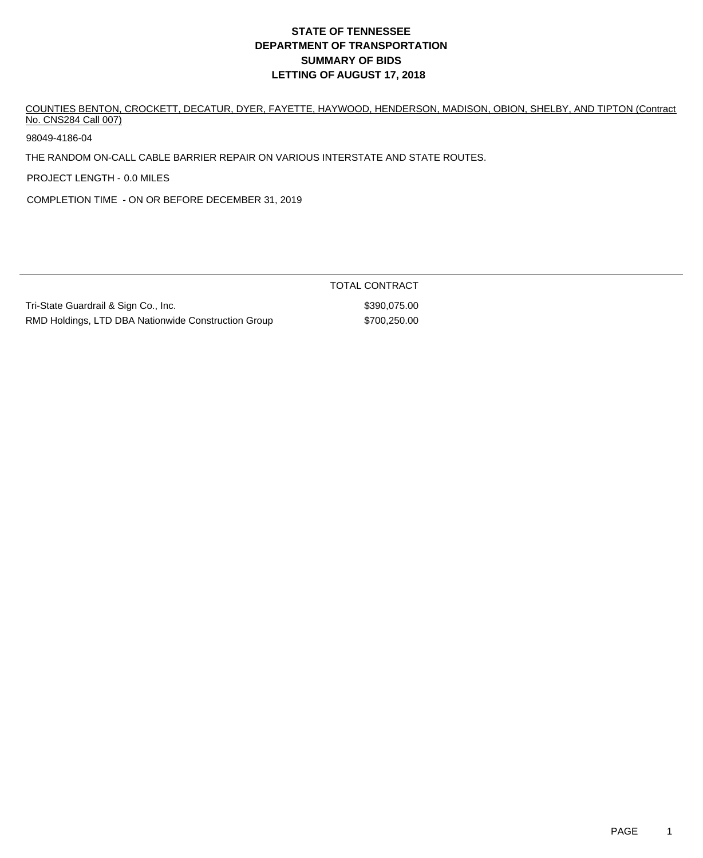COUNTIES BENTON, CROCKETT, DECATUR, DYER, FAYETTE, HAYWOOD, HENDERSON, MADISON, OBION, SHELBY, AND TIPTON (Contract No. CNS284 Call 007)

98049-4186-04

THE RANDOM ON-CALL CABLE BARRIER REPAIR ON VARIOUS INTERSTATE AND STATE ROUTES.

PROJECT LENGTH - 0.0 MILES

COMPLETION TIME - ON OR BEFORE DECEMBER 31, 2019

|                                                     | TOTAL CONTRACT |
|-----------------------------------------------------|----------------|
| Tri-State Guardrail & Sign Co., Inc.                | \$390.075.00   |
| RMD Holdings, LTD DBA Nationwide Construction Group | \$700.250.00   |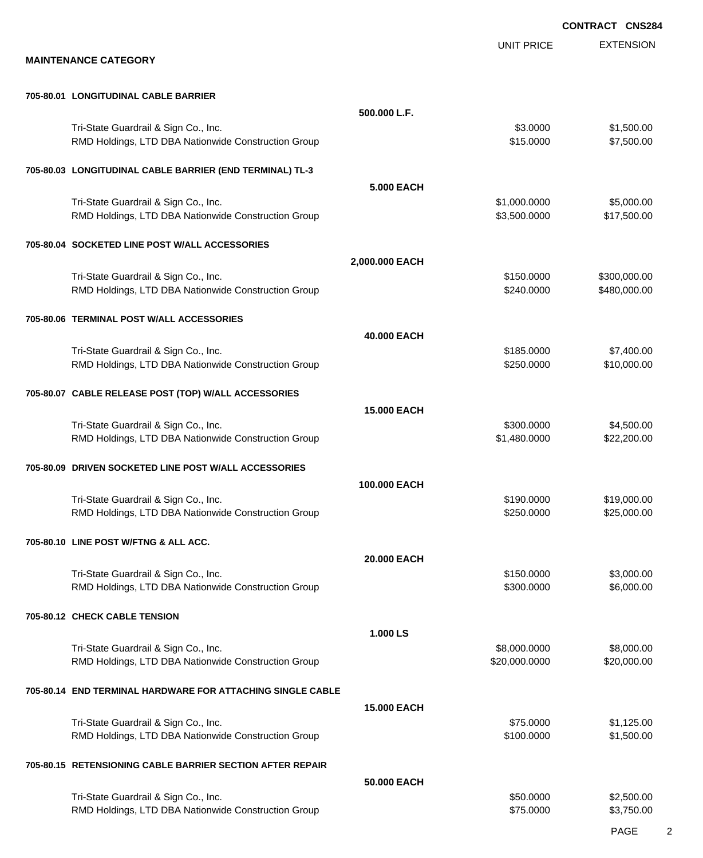EXTENSION **CONTRACT CNS284** UNIT PRICE **MAINTENANCE CATEGORY 705-80.01 LONGITUDINAL CABLE BARRIER 500.000 L.F.** Tri-State Guardrail & Sign Co., Inc. **\$3.0000** \$1,500.00 RMD Holdings, LTD DBA Nationwide Construction Group \$15.0000 \$15.0000 \$7,500.00 **705-80.03 LONGITUDINAL CABLE BARRIER (END TERMINAL) TL-3 5.000 EACH** Tri-State Guardrail & Sign Co., Inc. **\$1,000.000 \$5,000.000** \$5,000.000 RMD Holdings, LTD DBA Nationwide Construction Group 63,500.000 \$3,500.000 \$17,500.00 **705-80.04 SOCKETED LINE POST W/ALL ACCESSORIES 2,000.000 EACH** Tri-State Guardrail & Sign Co., Inc. **\$150.0000 \$300,000.00** \$300,000.00 RMD Holdings, LTD DBA Nationwide Construction Group **\$240.0000 \$240.0000 \$480,000.00 705-80.06 TERMINAL POST W/ALL ACCESSORIES 40.000 EACH** Tri-State Guardrail & Sign Co., Inc. 6. The State Guardrail & Sign Co., Inc. 6. The State Guardrail & Sign Co., Inc. RMD Holdings, LTD DBA Nationwide Construction Group \$250.000 \$250.0000 \$10,000.00 **705-80.07 CABLE RELEASE POST (TOP) W/ALL ACCESSORIES 15.000 EACH** Tri-State Guardrail & Sign Co., Inc. **\$300.000 \$4,500.000 \$4,500.00** \$4,500.00 RMD Holdings, LTD DBA Nationwide Construction Group **\$1,480.0000 \$1,480.0000 \$22,200.00 705-80.09 DRIVEN SOCKETED LINE POST W/ALL ACCESSORIES 100.000 EACH** Tri-State Guardrail & Sign Co., Inc. **\$190.000 \$19,000.00** \$19,000.00 RMD Holdings, LTD DBA Nationwide Construction Group \$250.000 \$250.0000 \$25,000.00 **705-80.10 LINE POST W/FTNG & ALL ACC. 20.000 EACH** Tri-State Guardrail & Sign Co., Inc. **\$150.0000 \$3,000.00** \$3,000.00 RMD Holdings, LTD DBA Nationwide Construction Group **\$200.000 \$300.000 \$6,000.00** \$6,000.00 **705-80.12 CHECK CABLE TENSION 1.000 LS** Tri-State Guardrail & Sign Co., Inc. **\$8,000.000 \$8,000.000 \$8,000.000** \$8,000.000 \$8,000.00 RMD Holdings, LTD DBA Nationwide Construction Group **\$20,000 \$20,000.000 \$20,000.000** \$20,000.00 **705-80.14 END TERMINAL HARDWARE FOR ATTACHING SINGLE CABLE 15.000 EACH** Tri-State Guardrail & Sign Co., Inc. \$75.0000 \$1,125.00 RMD Holdings, LTD DBA Nationwide Construction Group **\$100.000 \$100.0000 \$1,500.00 705-80.15 RETENSIONING CABLE BARRIER SECTION AFTER REPAIR 50.000 EACH** Tri-State Guardrail & Sign Co., Inc. \$50.000 \$2,500.00

RMD Holdings, LTD DBA Nationwide Construction Group **\$75.000 \$3,750.000** \$3,750.00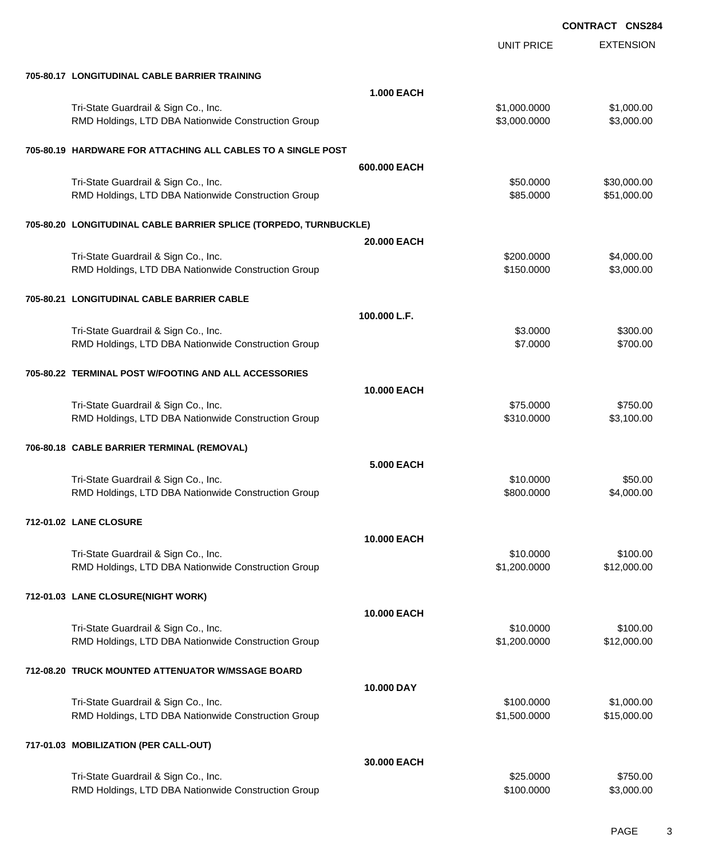|                                                                                             |                    | <b>UNIT PRICE</b>            | <b>EXTENSION</b>           |
|---------------------------------------------------------------------------------------------|--------------------|------------------------------|----------------------------|
| 705-80.17 LONGITUDINAL CABLE BARRIER TRAINING                                               |                    |                              |                            |
|                                                                                             | <b>1.000 EACH</b>  |                              |                            |
| Tri-State Guardrail & Sign Co., Inc.<br>RMD Holdings, LTD DBA Nationwide Construction Group |                    | \$1,000.0000<br>\$3,000.0000 | \$1,000.00<br>\$3,000.00   |
| 705-80.19 HARDWARE FOR ATTACHING ALL CABLES TO A SINGLE POST                                |                    |                              |                            |
|                                                                                             | 600.000 EACH       |                              |                            |
| Tri-State Guardrail & Sign Co., Inc.<br>RMD Holdings, LTD DBA Nationwide Construction Group |                    | \$50.0000<br>\$85.0000       | \$30,000.00<br>\$51,000.00 |
| 705-80.20 LONGITUDINAL CABLE BARRIER SPLICE (TORPEDO, TURNBUCKLE)                           |                    |                              |                            |
|                                                                                             | 20.000 EACH        |                              |                            |
| Tri-State Guardrail & Sign Co., Inc.<br>RMD Holdings, LTD DBA Nationwide Construction Group |                    | \$200.0000<br>\$150.0000     | \$4,000.00<br>\$3,000.00   |
| 705-80.21 LONGITUDINAL CABLE BARRIER CABLE                                                  |                    |                              |                            |
|                                                                                             | 100.000 L.F.       |                              |                            |
| Tri-State Guardrail & Sign Co., Inc.<br>RMD Holdings, LTD DBA Nationwide Construction Group |                    | \$3.0000<br>\$7.0000         | \$300.00<br>\$700.00       |
| 705-80.22 TERMINAL POST W/FOOTING AND ALL ACCESSORIES                                       |                    |                              |                            |
|                                                                                             | <b>10.000 EACH</b> |                              |                            |
| Tri-State Guardrail & Sign Co., Inc.<br>RMD Holdings, LTD DBA Nationwide Construction Group |                    | \$75.0000<br>\$310.0000      | \$750.00<br>\$3,100.00     |
| 706-80.18 CABLE BARRIER TERMINAL (REMOVAL)                                                  |                    |                              |                            |
|                                                                                             | <b>5.000 EACH</b>  |                              |                            |
| Tri-State Guardrail & Sign Co., Inc.<br>RMD Holdings, LTD DBA Nationwide Construction Group |                    | \$10.0000<br>\$800.0000      | \$50.00<br>\$4,000.00      |
| 712-01.02 LANE CLOSURE                                                                      |                    |                              |                            |
|                                                                                             | <b>10.000 EACH</b> |                              |                            |
| Tri-State Guardrail & Sign Co., Inc.<br>RMD Holdings, LTD DBA Nationwide Construction Group |                    | \$10.0000<br>\$1,200.0000    | \$100.00<br>\$12,000.00    |
| 712-01.03 LANE CLOSURE(NIGHT WORK)                                                          |                    |                              |                            |
|                                                                                             | <b>10.000 EACH</b> |                              |                            |
| Tri-State Guardrail & Sign Co., Inc.                                                        |                    | \$10.0000                    | \$100.00                   |
| RMD Holdings, LTD DBA Nationwide Construction Group                                         |                    | \$1,200.0000                 | \$12,000.00                |
| 712-08.20 TRUCK MOUNTED ATTENUATOR W/MSSAGE BOARD                                           |                    |                              |                            |
|                                                                                             | 10.000 DAY         |                              |                            |
| Tri-State Guardrail & Sign Co., Inc.<br>RMD Holdings, LTD DBA Nationwide Construction Group |                    | \$100.0000<br>\$1,500.0000   | \$1,000.00<br>\$15,000.00  |
| 717-01.03 MOBILIZATION (PER CALL-OUT)                                                       |                    |                              |                            |
|                                                                                             | 30.000 EACH        |                              |                            |
| Tri-State Guardrail & Sign Co., Inc.<br>RMD Holdings, LTD DBA Nationwide Construction Group |                    | \$25.0000<br>\$100.0000      | \$750.00<br>\$3,000.00     |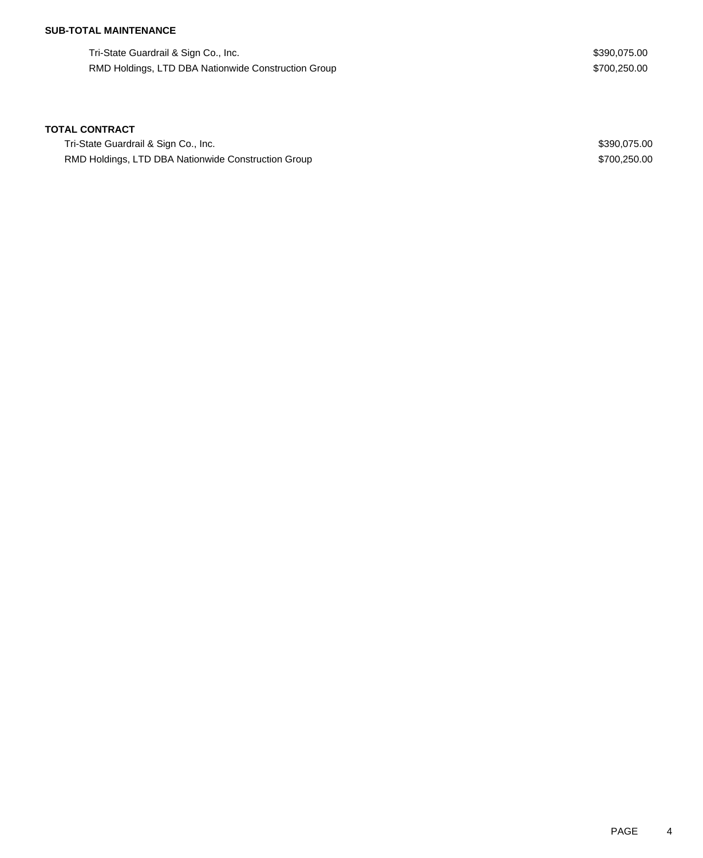## **SUB-TOTAL MAINTENANCE**

Tri-State Guardrail & Sign Co., Inc. 6. The State Guardrail & Sign Co., Inc. 6. The State Guardrail & Sign Co., Inc. RMD Holdings, LTD DBA Nationwide Construction Group **\$700,250.00** \$700,250.00

#### **TOTAL CONTRACT**

Tri-State Guardrail & Sign Co., Inc. 6. The State Guardrail & Sign Co., Inc. 6. The State Guardrail & Sign Co., Inc. RMD Holdings, LTD DBA Nationwide Construction Group **\$700,250.00** \$700,250.00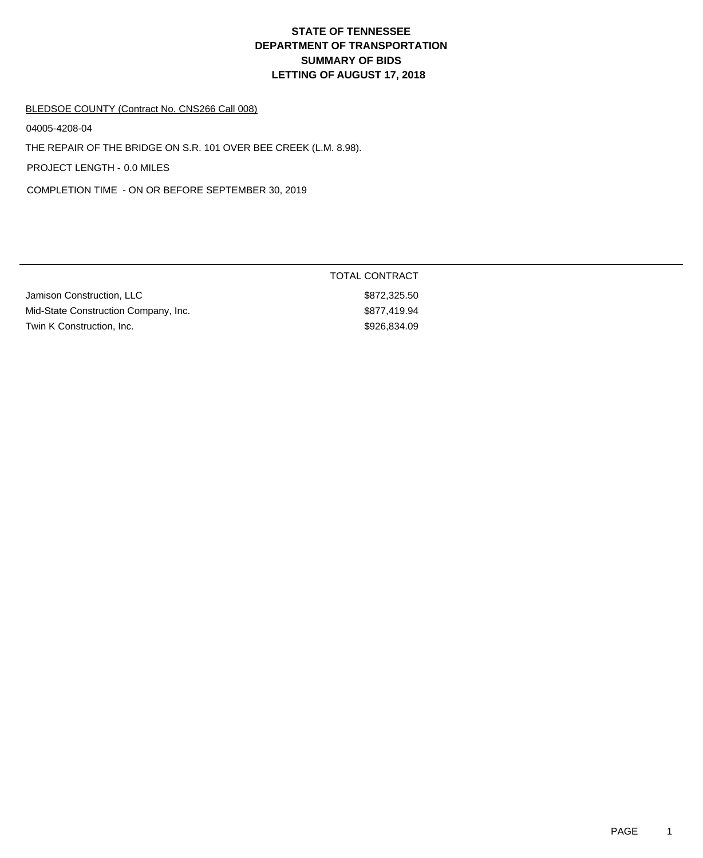#### BLEDSOE COUNTY (Contract No. CNS266 Call 008)

04005-4208-04

THE REPAIR OF THE BRIDGE ON S.R. 101 OVER BEE CREEK (L.M. 8.98).

PROJECT LENGTH - 0.0 MILES

COMPLETION TIME - ON OR BEFORE SEPTEMBER 30, 2019

|                                      | TOTAL CONTRACT |
|--------------------------------------|----------------|
| Jamison Construction, LLC            | \$872,325.50   |
| Mid-State Construction Company, Inc. | \$877,419.94   |
| Twin K Construction, Inc.            | \$926.834.09   |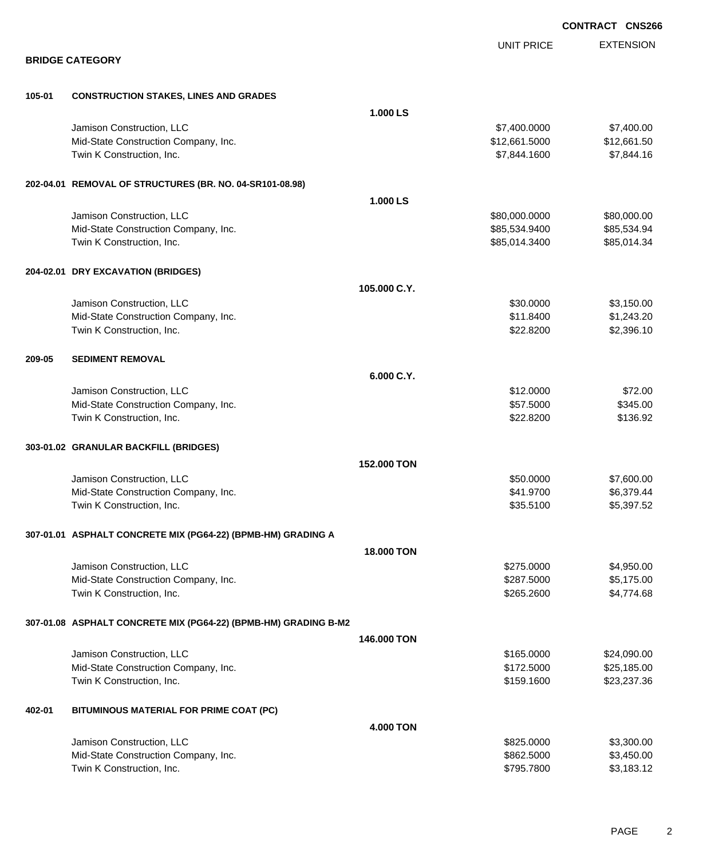|        |                                                                 |              |                   | <b>CONTRACT CNS266</b> |
|--------|-----------------------------------------------------------------|--------------|-------------------|------------------------|
|        |                                                                 |              | <b>UNIT PRICE</b> | <b>EXTENSION</b>       |
|        | <b>BRIDGE CATEGORY</b>                                          |              |                   |                        |
| 105-01 | <b>CONSTRUCTION STAKES, LINES AND GRADES</b>                    |              |                   |                        |
|        |                                                                 | 1.000 LS     |                   |                        |
|        | Jamison Construction, LLC                                       |              | \$7,400.0000      | \$7,400.00             |
|        | Mid-State Construction Company, Inc.                            |              | \$12,661.5000     | \$12,661.50            |
|        | Twin K Construction, Inc.                                       |              | \$7,844.1600      | \$7,844.16             |
|        | 202-04.01 REMOVAL OF STRUCTURES (BR. NO. 04-SR101-08.98)        |              |                   |                        |
|        |                                                                 | 1.000 LS     |                   |                        |
|        | Jamison Construction, LLC                                       |              | \$80,000.0000     | \$80,000.00            |
|        | Mid-State Construction Company, Inc.                            |              | \$85,534.9400     | \$85,534.94            |
|        | Twin K Construction, Inc.                                       |              | \$85,014.3400     | \$85,014.34            |
|        | 204-02.01 DRY EXCAVATION (BRIDGES)                              |              |                   |                        |
|        |                                                                 | 105.000 C.Y. |                   |                        |
|        | Jamison Construction, LLC                                       |              | \$30.0000         | \$3,150.00             |
|        | Mid-State Construction Company, Inc.                            |              | \$11.8400         | \$1,243.20             |
|        | Twin K Construction, Inc.                                       |              | \$22.8200         | \$2,396.10             |
| 209-05 | <b>SEDIMENT REMOVAL</b>                                         |              |                   |                        |
|        |                                                                 | 6.000 C.Y.   |                   |                        |
|        | Jamison Construction, LLC                                       |              | \$12.0000         | \$72.00                |
|        | Mid-State Construction Company, Inc.                            |              | \$57.5000         | \$345.00               |
|        | Twin K Construction, Inc.                                       |              | \$22.8200         | \$136.92               |
|        | 303-01.02 GRANULAR BACKFILL (BRIDGES)                           |              |                   |                        |
|        |                                                                 | 152.000 TON  |                   |                        |
|        | Jamison Construction, LLC                                       |              | \$50.0000         | \$7,600.00             |
|        | Mid-State Construction Company, Inc.                            |              | \$41.9700         | \$6,379.44             |
|        | Twin K Construction, Inc.                                       |              | \$35.5100         | \$5,397.52             |
|        | 307-01.01 ASPHALT CONCRETE MIX (PG64-22) (BPMB-HM) GRADING A    |              |                   |                        |
|        |                                                                 | 18.000 TON   |                   |                        |
|        | Jamison Construction, LLC                                       |              | \$275.0000        | \$4,950.00             |
|        | Mid-State Construction Company, Inc.                            |              | \$287.5000        | \$5,175.00             |
|        | Twin K Construction, Inc.                                       |              | \$265.2600        | \$4,774.68             |
|        | 307-01.08 ASPHALT CONCRETE MIX (PG64-22) (BPMB-HM) GRADING B-M2 |              |                   |                        |
|        |                                                                 | 146.000 TON  |                   |                        |
|        | Jamison Construction, LLC                                       |              | \$165.0000        | \$24,090.00            |
|        | Mid-State Construction Company, Inc.                            |              | \$172.5000        | \$25,185.00            |
|        | Twin K Construction, Inc.                                       |              | \$159.1600        | \$23,237.36            |
| 402-01 | BITUMINOUS MATERIAL FOR PRIME COAT (PC)                         |              |                   |                        |
|        |                                                                 | 4.000 TON    |                   |                        |
|        | Jamison Construction, LLC                                       |              | \$825.0000        | \$3,300.00             |
|        | Mid-State Construction Company, Inc.                            |              | \$862.5000        | \$3,450.00             |
|        | Twin K Construction, Inc.                                       |              | \$795.7800        | \$3,183.12             |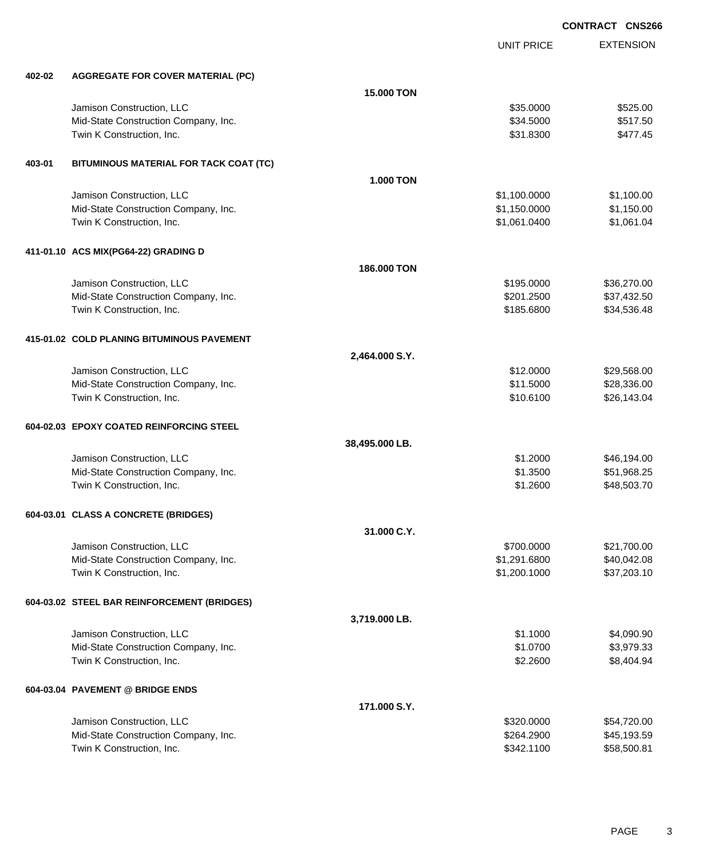EXTENSION **CONTRACT CNS266** UNIT PRICE **402-02 AGGREGATE FOR COVER MATERIAL (PC) 15.000 TON** Jamison Construction, LLC \$35.0000 \$525.00 Mid-State Construction Company, Inc. 6. The Construction Company, Inc.  $$34.5000$  \$517.50 Twin K Construction, Inc. \$477.45 **403-01 BITUMINOUS MATERIAL FOR TACK COAT (TC) 1.000 TON** Jamison Construction, LLC \$1,100.0000 \$1,100.00 Mid-State Construction Company, Inc. 6. The Construction Company, Inc. 6. The Construction Company, Inc. 6. The Construction Company, Inc. 6. The Construction Company, Inc. 6. The Construction Company, Inc. 6. The Construc Twin K Construction, Inc. 61,061.04 \$1,061.0400 \$1,061.0400 \$1,061.0400 \$1,061.04 **411-01.10 ACS MIX(PG64-22) GRADING D 186.000 TON** Jamison Construction, LLC \$195.0000 \$36,270.00 Mid-State Construction Company, Inc. 6. The Construction Company, Inc. 6. The Construction Company, Inc. 6. The Construction Company, Inc. 6. The Construction Company, Inc. 6. The Construction Company, Inc. 6. The Construc Twin K Construction, Inc. 634,536.48 **415-01.02 COLD PLANING BITUMINOUS PAVEMENT 2,464.000 S.Y.** Jamison Construction, LLC 68 and the state of the state of the state of the state of the state of the state of the state of the state of the state of the state of the state of the state of the state of the state of the sta Mid-State Construction Company, Inc.  $$31.5000$  \$28,336.00 Twin K Construction, Inc. 626,143.04 \$10.6100 \$26,143.04 **604-02.03 EPOXY COATED REINFORCING STEEL 38,495.000 LB.** Jamison Construction, LLC \$1.2000 \$46,194.00 Mid-State Construction Company, Inc. 6. The Construction Company, Inc. 651,968.25 Twin K Construction, Inc. 648,503.70 **604-03.01 CLASS A CONCRETE (BRIDGES) 31.000 C.Y.** Jamison Construction, LLC 621,700.000 \$21,700.000 \$21,700.000 \$21,700.000 \$21,700.00 Mid-State Construction Company, Inc. 6. The Construction Company, Inc. 6. The Construction Company, Inc. 6. The Construction Company, Inc. 6. The Construction Company, Inc. 6. The Construction Company, Inc. 6. The Construc Twin K Construction, Inc. 637,203.10 **604-03.02 STEEL BAR REINFORCEMENT (BRIDGES) 3,719.000 LB.** Jamison Construction, LLC \$1.1000 \$4,090.90 Mid-State Construction Company, Inc. 6. The Construction Company, Inc. 6. The Construction Company, Inc. 6. The Construction Company, Inc. 6. The Construction Company, Inc. 6. The Construction Company, Inc. 6. The Construc Twin K Construction, Inc. 68,404.94 **604-03.04 PAVEMENT @ BRIDGE ENDS 171.000 S.Y.** Jamison Construction, LLC \$320.0000 \$54,720.00 Mid-State Construction Company, Inc. 6. The Construction Company, Inc. 6. The Construction Company, Inc. 6. The Construction Company, Inc. 6. The Construction Company, Inc. 6. The Construction Company, Inc. 6. The Construc

Twin K Construction, Inc. 658,500.81 (1990) 12:342.1100 \$58,500.81

PAGE 3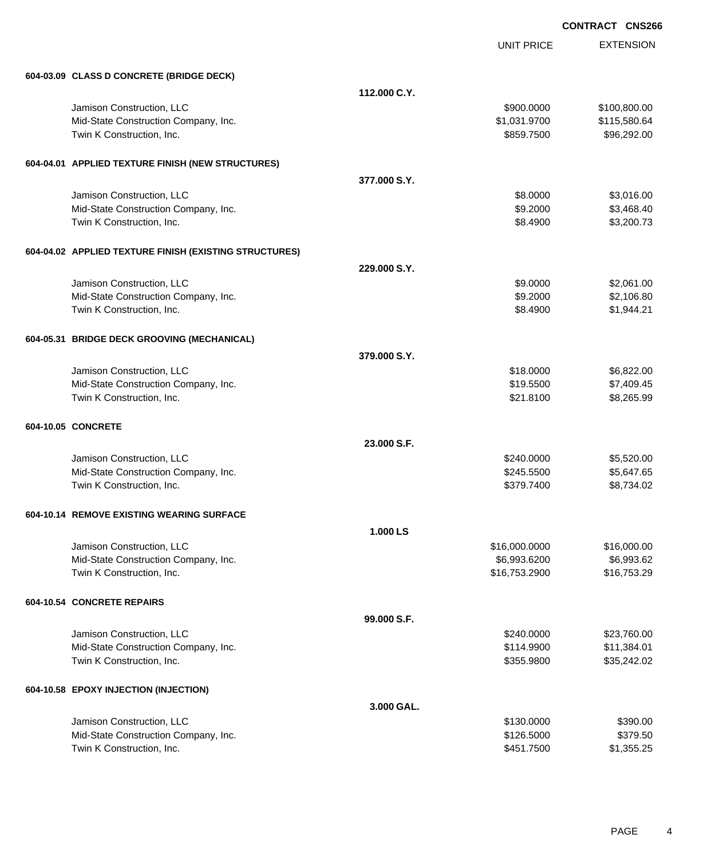EXTENSION **CONTRACT CNS266** UNIT PRICE **604-03.09 CLASS D CONCRETE (BRIDGE DECK) 112.000 C.Y.** Jamison Construction, LLC \$900.0000 \$100,800.00 Mid-State Construction Company, Inc. 6. The Construction Company, Inc. \$1,031.9700 \$1,031.9700 \$115,580.64 Twin K Construction, Inc. 696,292.00 \$96,292.00 \$96,292.00 \$96,292.00 \$96,292.00 **604-04.01 APPLIED TEXTURE FINISH (NEW STRUCTURES) 377.000 S.Y.** Jamison Construction, LLC 66 and the state of the state of the state of the state of the state of the state of the state of the state of the state of the state of the state of the state of the state of the state of the sta Mid-State Construction Company, Inc. 68.400 \$3,468.40 Twin K Construction, Inc. 63,200.73 **604-04.02 APPLIED TEXTURE FINISH (EXISTING STRUCTURES) 229.000 S.Y.** Jamison Construction, LLC 61.000 \$2,061.00 Mid-State Construction Company, Inc. 6. 2000 \$2,106.80 Twin K Construction, Inc. 6. The Second Studies of the Second Studies of Seconds Studies and Seconds Studies Seconds Studies Seconds Studies Seconds Studies Seconds Studies Seconds Studies Seconds Studies Seconds Studies S **604-05.31 BRIDGE DECK GROOVING (MECHANICAL) 379.000 S.Y.** Jamison Construction, LLC 6,822.00 Mid-State Construction Company, Inc.  $$19.5500$  \$7,409.45 Twin K Construction, Inc. 68,265.99 and the state of the state of the state of the state of the state of the state of the state of the state of the state of the state of the state of the state of the state of the state of **604-10.05 CONCRETE 23.000 S.F.** Jamison Construction, LLC \$240.0000 \$5,520.00 Mid-State Construction Company, Inc. 65,647.65 and 5,647.65 and 5,647.65 Twin K Construction, Inc. 68,734.02 **604-10.14 REMOVE EXISTING WEARING SURFACE 1.000 LS** Jamison Construction, LLC \$16,000.0000 \$16,000.00 Mid-State Construction Company, Inc. 6.6992.6200 \$6,993.6200 \$6,993.6200 \$6,993.6200 \$6,993.62 Twin K Construction, Inc. 6. The Second Studies of the Second Studies of Studies and Studies and Studies and Studies Studies and Studies and Studies and Studies and Studies and Studies and Studies and Studies and Studies a **604-10.54 CONCRETE REPAIRS 99.000 S.F.** Jamison Construction, LLC 623,760.00 Mid-State Construction Company, Inc. 6. The Construction Company, Inc. 6. The Construction Company, Inc. 6. The Construction Company, Inc. 6. The Construction Company, Inc. 6. The Construction Company, Inc. 6. The Construc Twin K Construction, Inc. 635,242.02 **604-10.58 EPOXY INJECTION (INJECTION) 3.000 GAL.** Jamison Construction, LLC \$130.0000 \$390.00

Mid-State Construction Company, Inc. 6379.50 Twin K Construction, Inc. 6. The Second Studies of the Second Studies of the Second Studies of Studies and Studies of Studies and Studies of Studies and Studies of Studies and Studies of Studies and Studies and Studies and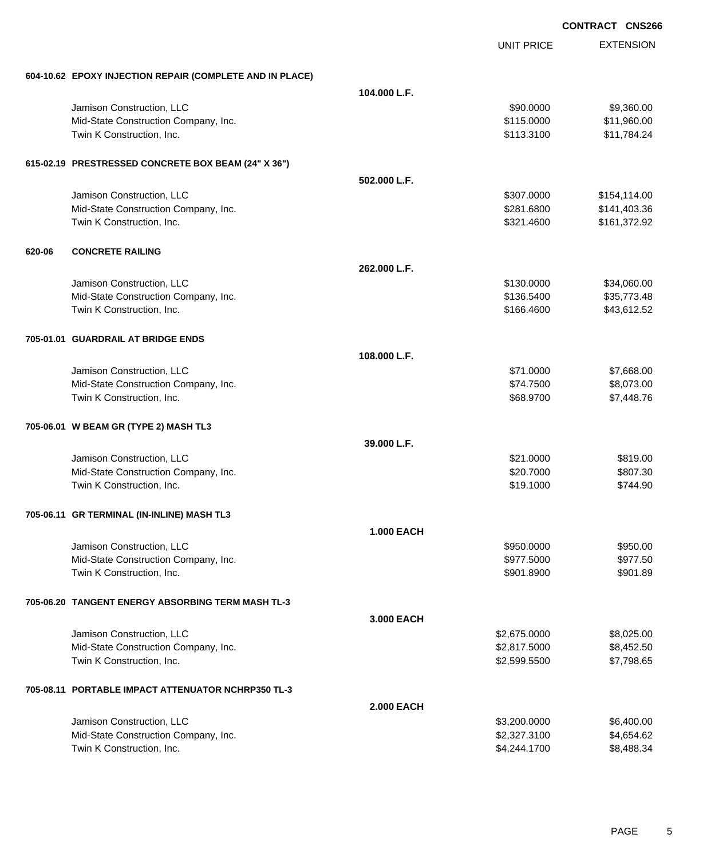|        |                                                          |                   | <b>UNIT PRICE</b> | <b>EXTENSION</b> |
|--------|----------------------------------------------------------|-------------------|-------------------|------------------|
|        | 604-10.62 EPOXY INJECTION REPAIR (COMPLETE AND IN PLACE) |                   |                   |                  |
|        |                                                          | 104.000 L.F.      |                   |                  |
|        | Jamison Construction, LLC                                |                   | \$90.0000         | \$9,360.00       |
|        | Mid-State Construction Company, Inc.                     |                   | \$115.0000        | \$11,960.00      |
|        | Twin K Construction, Inc.                                |                   | \$113.3100        | \$11,784.24      |
|        | 615-02.19 PRESTRESSED CONCRETE BOX BEAM (24" X 36")      |                   |                   |                  |
|        |                                                          | 502.000 L.F.      |                   |                  |
|        | Jamison Construction, LLC                                |                   | \$307.0000        | \$154,114.00     |
|        | Mid-State Construction Company, Inc.                     |                   | \$281.6800        | \$141,403.36     |
|        | Twin K Construction, Inc.                                |                   | \$321.4600        | \$161,372.92     |
| 620-06 | <b>CONCRETE RAILING</b>                                  |                   |                   |                  |
|        |                                                          | 262.000 L.F.      |                   |                  |
|        | Jamison Construction, LLC                                |                   | \$130.0000        | \$34,060.00      |
|        | Mid-State Construction Company, Inc.                     |                   | \$136.5400        | \$35,773.48      |
|        | Twin K Construction, Inc.                                |                   | \$166.4600        | \$43,612.52      |
|        | 705-01.01 GUARDRAIL AT BRIDGE ENDS                       |                   |                   |                  |
|        |                                                          | 108.000 L.F.      |                   |                  |
|        | Jamison Construction, LLC                                |                   | \$71.0000         | \$7,668.00       |
|        | Mid-State Construction Company, Inc.                     |                   | \$74.7500         | \$8,073.00       |
|        | Twin K Construction, Inc.                                |                   | \$68.9700         | \$7,448.76       |
|        | 705-06.01 W BEAM GR (TYPE 2) MASH TL3                    |                   |                   |                  |
|        |                                                          | 39.000 L.F.       |                   |                  |
|        | Jamison Construction, LLC                                |                   | \$21.0000         | \$819.00         |
|        | Mid-State Construction Company, Inc.                     |                   | \$20.7000         | \$807.30         |
|        | Twin K Construction, Inc.                                |                   | \$19.1000         | \$744.90         |
|        | 705-06.11 GR TERMINAL (IN-INLINE) MASH TL3               |                   |                   |                  |
|        |                                                          | <b>1.000 EACH</b> |                   |                  |
|        | Jamison Construction, LLC                                |                   | \$950,0000        | \$950.00         |
|        | Mid-State Construction Company, Inc.                     |                   | \$977.5000        | \$977.50         |
|        | Twin K Construction, Inc.                                |                   | \$901.8900        | \$901.89         |
|        | 705-06.20 TANGENT ENERGY ABSORBING TERM MASH TL-3        |                   |                   |                  |
|        |                                                          | 3.000 EACH        |                   |                  |
|        | Jamison Construction, LLC                                |                   | \$2,675.0000      | \$8,025.00       |
|        | Mid-State Construction Company, Inc.                     |                   | \$2,817.5000      | \$8,452.50       |
|        | Twin K Construction, Inc.                                |                   | \$2,599.5500      | \$7,798.65       |
|        | 705-08.11 PORTABLE IMPACT ATTENUATOR NCHRP350 TL-3       |                   |                   |                  |
|        |                                                          | <b>2.000 EACH</b> |                   |                  |
|        | Jamison Construction, LLC                                |                   | \$3,200.0000      | \$6,400.00       |
|        | Mid-State Construction Company, Inc.                     |                   | \$2,327.3100      | \$4,654.62       |
|        | Twin K Construction, Inc.                                |                   | \$4,244.1700      | \$8,488.34       |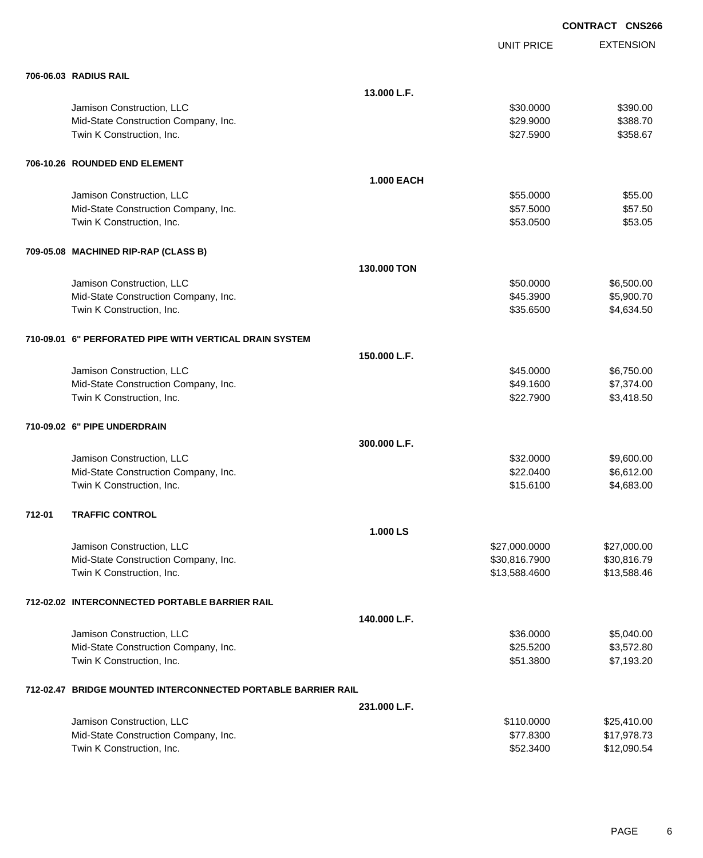EXTENSION UNIT PRICE **706-06.03 RADIUS RAIL 13.000 L.F.** Jamison Construction, LLC 6390.000 \$390.000 \$390.000 \$390.000 \$390.000 \$390.000 \$390.00 Mid-State Construction Company, Inc. 6. The Construction Company, Inc. 6. The Construction Company, Inc. 6. The Construction Company, Inc. 6. The Construction Company, Inc. 6. The Construction Company, Inc. 6. The Construc Twin K Construction, Inc. \$28.67 \$358.67 **706-10.26 ROUNDED END ELEMENT 1.000 EACH** Jamison Construction, LLC \$55.0000 \$55.00 Mid-State Construction Company, Inc. 6. The Construction Company, Inc. 6. The Construction Company, Inc. 6. The Construction Company, Inc. 6. The Construction Company, Inc. 6. The Construction Company, Inc. 6. The Construc Twin K Construction, Inc. \$53.0500 \$53.0500 \$53.0500 \$53.05 **709-05.08 MACHINED RIP-RAP (CLASS B) 130.000 TON** Jamison Construction, LLC 6,500.000 \$6,500.000 \$6,500.00 Mid-State Construction Company, Inc. 6. The Construction Company, Inc. 6. The Construction Company, Inc. 6. The Construction Company, Inc. 6. The Construction Company, Inc. 6. The Construction Company, Inc. 6. The Construc Twin K Construction, Inc. 634.634.500 \$4,634.50 **710-09.01 6" PERFORATED PIPE WITH VERTICAL DRAIN SYSTEM 150.000 L.F.** Jamison Construction, LLC 6,750.00 \$6,750.00 \$6,750.00 Mid-State Construction Company, Inc. 6. The Construction Company, Inc. 6. The Construction Company, Inc. 6. The Construction Company, Inc. 6. The Construction Company, Inc. 6. The Construction Company, Inc. 6. The Construc Twin K Construction, Inc. 63,418.50 **710-09.02 6" PIPE UNDERDRAIN 300.000 L.F.** Jamison Construction, LLC 60000 \$9,600.00 Mid-State Construction Company, Inc. 6. The Construction Company, Inc. 6. The Construction Company, Inc. 6.612.00 Twin K Construction, Inc. 683.00 \$4,683.00 \$4,683.00 \$15.6100 \$4,683.00 **712-01 TRAFFIC CONTROL 1.000 LS** Jamison Construction, LLC \$27,000.0000 \$27,000.00 Mid-State Construction Company, Inc. 6. The Construction Company, Inc. 6. The Construction Company, Inc. 6. The Construction Company, Inc. 6. The Construction Company, Inc. 6. The Construction Company, Inc. 6. The Construc Twin K Construction, Inc. 6. The Second State of the Second State of State State State State State State State State State State State State State State State State State State State State State State State State State Sta **712-02.02 INTERCONNECTED PORTABLE BARRIER RAIL 140.000 L.F.** Jamison Construction, LLC 60000 \$5,040.00 Mid-State Construction Company, Inc. 6. The State Construction Company, Inc. 6. The State State State State State State State State State State State State State State State State State State State State State State State Twin K Construction, Inc. 6. The Second State of the Second State of the Second State of State of State of State of State of State of State of State of State of State of State of State of State of State of State of State o **712-02.47 BRIDGE MOUNTED INTERCONNECTED PORTABLE BARRIER RAIL 231.000 L.F.** Jamison Construction, LLC \$110.0000 \$25,410.00 Mid-State Construction Company, Inc.  $$17,978.73$ 

Twin K Construction, Inc. 6. \$12,090.54

PAGE 6

**CONTRACT CNS266**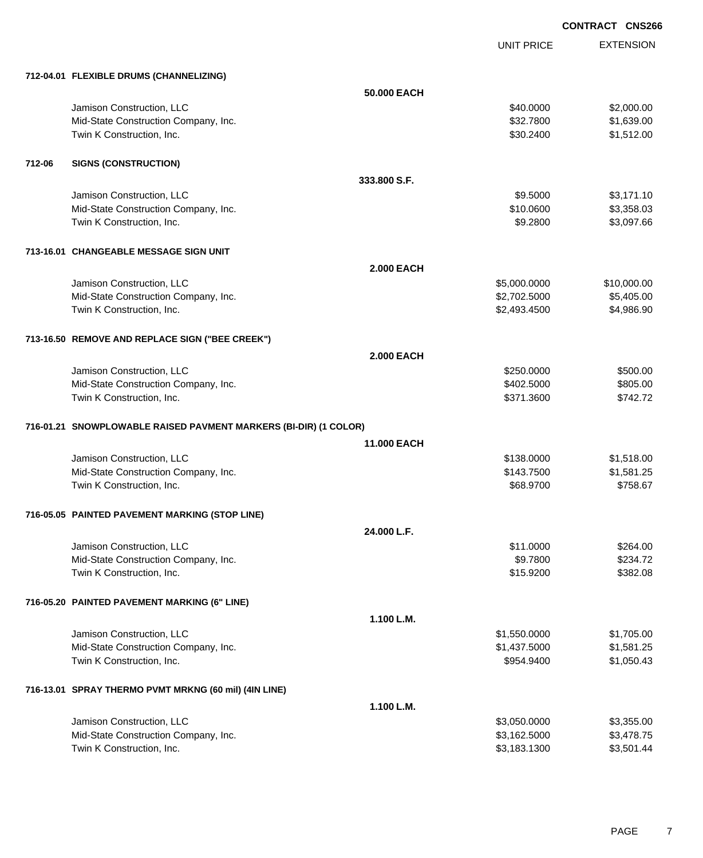UNIT PRICE EXTENSION

|        | 712-04.01 FLEXIBLE DRUMS (CHANNELIZING)                          |                    |              |             |
|--------|------------------------------------------------------------------|--------------------|--------------|-------------|
|        |                                                                  | 50.000 EACH        |              |             |
|        | Jamison Construction, LLC                                        |                    | \$40.0000    | \$2,000.00  |
|        | Mid-State Construction Company, Inc.                             |                    | \$32.7800    | \$1,639.00  |
|        | Twin K Construction, Inc.                                        |                    | \$30.2400    | \$1,512.00  |
|        |                                                                  |                    |              |             |
| 712-06 | <b>SIGNS (CONSTRUCTION)</b>                                      |                    |              |             |
|        |                                                                  | 333.800 S.F.       |              |             |
|        | Jamison Construction, LLC                                        |                    | \$9.5000     | \$3,171.10  |
|        | Mid-State Construction Company, Inc.                             |                    | \$10.0600    | \$3,358.03  |
|        | Twin K Construction, Inc.                                        |                    | \$9.2800     | \$3,097.66  |
|        |                                                                  |                    |              |             |
|        | 713-16.01 CHANGEABLE MESSAGE SIGN UNIT                           |                    |              |             |
|        |                                                                  | <b>2.000 EACH</b>  |              |             |
|        | Jamison Construction, LLC                                        |                    | \$5,000.0000 | \$10,000.00 |
|        | Mid-State Construction Company, Inc.                             |                    | \$2,702.5000 | \$5,405.00  |
|        | Twin K Construction, Inc.                                        |                    | \$2,493.4500 | \$4,986.90  |
|        | 713-16.50 REMOVE AND REPLACE SIGN ("BEE CREEK")                  |                    |              |             |
|        |                                                                  | <b>2.000 EACH</b>  |              |             |
|        | Jamison Construction, LLC                                        |                    | \$250.0000   | \$500.00    |
|        | Mid-State Construction Company, Inc.                             |                    | \$402.5000   | \$805.00    |
|        | Twin K Construction, Inc.                                        |                    | \$371.3600   | \$742.72    |
|        |                                                                  |                    |              |             |
|        | 716-01.21 SNOWPLOWABLE RAISED PAVMENT MARKERS (BI-DIR) (1 COLOR) | <b>11,000 EACH</b> |              |             |
|        | Jamison Construction, LLC                                        |                    | \$138.0000   | \$1,518.00  |
|        | Mid-State Construction Company, Inc.                             |                    | \$143.7500   | \$1,581.25  |
|        | Twin K Construction, Inc.                                        |                    | \$68.9700    | \$758.67    |
|        |                                                                  |                    |              |             |
|        | 716-05.05 PAINTED PAVEMENT MARKING (STOP LINE)                   |                    |              |             |
|        |                                                                  | 24.000 L.F.        |              |             |
|        | Jamison Construction, LLC                                        |                    | \$11.0000    | \$264.00    |
|        | Mid-State Construction Company, Inc.                             |                    | \$9.7800     | \$234.72    |
|        | Twin K Construction, Inc.                                        |                    | \$15.9200    | \$382.08    |
|        | 716-05.20 PAINTED PAVEMENT MARKING (6" LINE)                     |                    |              |             |
|        |                                                                  | 1.100 L.M.         |              |             |
|        | Jamison Construction, LLC                                        |                    | \$1,550.0000 | \$1,705.00  |
|        | Mid-State Construction Company, Inc.                             |                    | \$1,437.5000 | \$1,581.25  |
|        | Twin K Construction, Inc.                                        |                    | \$954.9400   | \$1,050.43  |
|        |                                                                  |                    |              |             |
|        | 716-13.01 SPRAY THERMO PVMT MRKNG (60 mil) (4IN LINE)            |                    |              |             |
|        |                                                                  | 1.100 L.M.         |              |             |
|        | Jamison Construction, LLC                                        |                    | \$3,050.0000 | \$3,355.00  |
|        | Mid-State Construction Company, Inc.                             |                    | \$3,162.5000 | \$3,478.75  |
|        | Twin K Construction, Inc.                                        |                    | \$3,183.1300 | \$3,501.44  |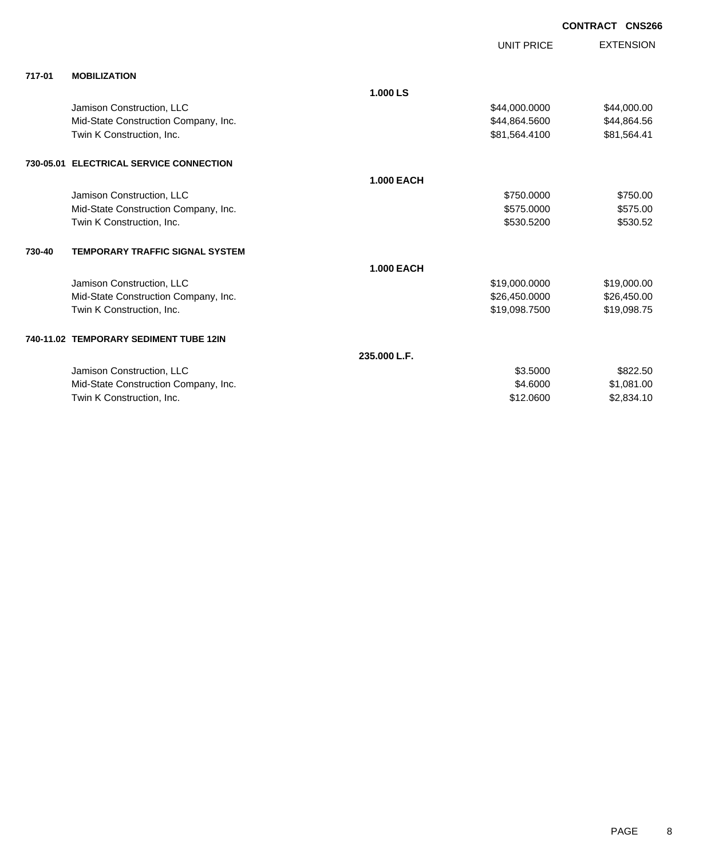|        |                                         |                   | <b>UNIT PRICE</b> | <b>EXTENSION</b> |
|--------|-----------------------------------------|-------------------|-------------------|------------------|
| 717-01 | <b>MOBILIZATION</b>                     |                   |                   |                  |
|        |                                         | 1.000 LS          |                   |                  |
|        | Jamison Construction, LLC               |                   | \$44,000.0000     | \$44,000.00      |
|        | Mid-State Construction Company, Inc.    |                   | \$44,864.5600     | \$44,864.56      |
|        | Twin K Construction, Inc.               |                   | \$81,564.4100     | \$81,564.41      |
|        | 730-05.01 ELECTRICAL SERVICE CONNECTION |                   |                   |                  |
|        |                                         | <b>1.000 EACH</b> |                   |                  |
|        | Jamison Construction, LLC               |                   | \$750,0000        | \$750.00         |
|        | Mid-State Construction Company, Inc.    |                   | \$575.0000        | \$575.00         |
|        | Twin K Construction, Inc.               |                   | \$530.5200        | \$530.52         |
| 730-40 | <b>TEMPORARY TRAFFIC SIGNAL SYSTEM</b>  |                   |                   |                  |
|        |                                         | <b>1.000 EACH</b> |                   |                  |
|        | Jamison Construction, LLC               |                   | \$19,000.0000     | \$19,000.00      |
|        | Mid-State Construction Company, Inc.    |                   | \$26,450.0000     | \$26,450.00      |
|        | Twin K Construction, Inc.               |                   | \$19,098.7500     | \$19,098.75      |
|        | 740-11.02 TEMPORARY SEDIMENT TUBE 12IN  |                   |                   |                  |
|        |                                         | 235,000 L.F.      |                   |                  |
|        | Jamison Construction, LLC               |                   | \$3,5000          | \$822.50         |
|        | Mid-State Construction Company, Inc.    |                   | \$4.6000          | \$1,081.00       |
|        | Twin K Construction, Inc.               |                   | \$12.0600         | \$2,834.10       |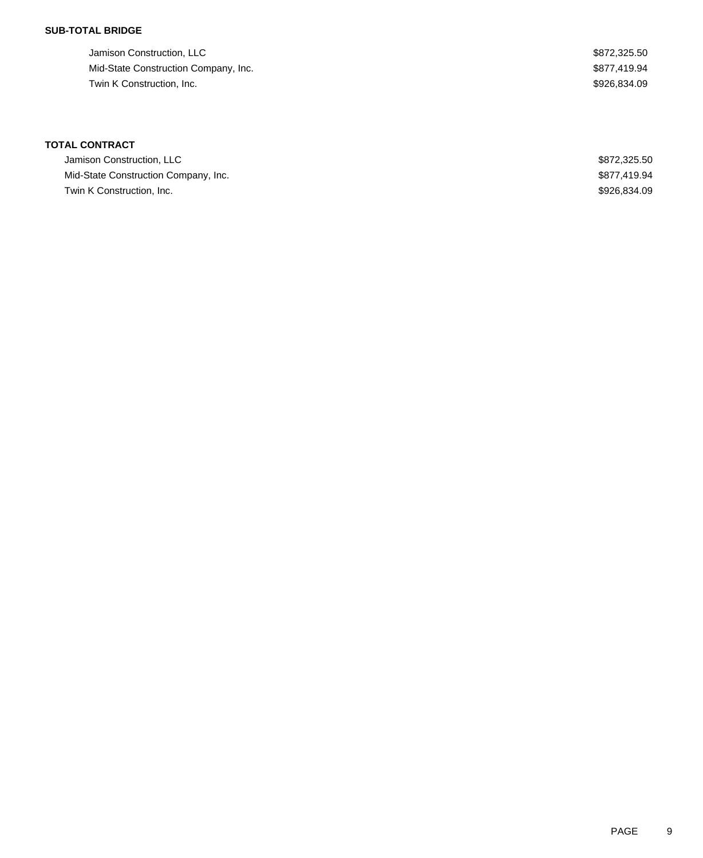## **SUB-TOTAL BRIDGE**

| Jamison Construction, LLC            | \$872,325.50 |
|--------------------------------------|--------------|
| Mid-State Construction Company, Inc. | \$877,419.94 |
| Twin K Construction, Inc.            | \$926.834.09 |

# **TOTAL CONTRACT**

| Jamison Construction, LLC            | \$872,325,50 |
|--------------------------------------|--------------|
| Mid-State Construction Company, Inc. | \$877.419.94 |
| Twin K Construction, Inc.            | \$926,834,09 |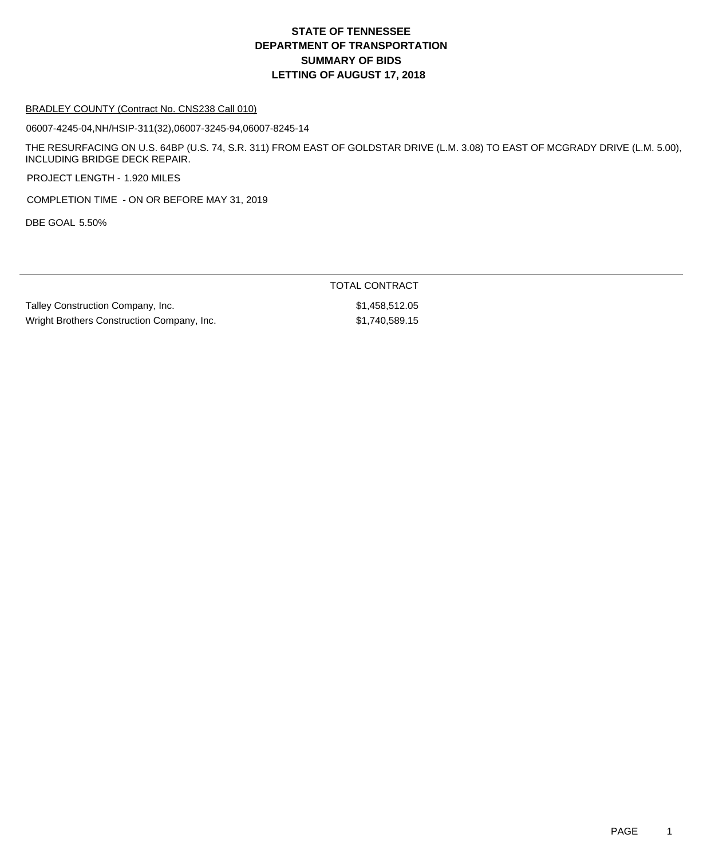#### BRADLEY COUNTY (Contract No. CNS238 Call 010)

06007-4245-04,NH/HSIP-311(32),06007-3245-94,06007-8245-14

THE RESURFACING ON U.S. 64BP (U.S. 74, S.R. 311) FROM EAST OF GOLDSTAR DRIVE (L.M. 3.08) TO EAST OF MCGRADY DRIVE (L.M. 5.00), INCLUDING BRIDGE DECK REPAIR.

TOTAL CONTRACT

PROJECT LENGTH - 1.920 MILES

COMPLETION TIME - ON OR BEFORE MAY 31, 2019

DBE GOAL 5.50%

| Talley Construction Company, Inc.          | \$1,458,512.05 |
|--------------------------------------------|----------------|
| Wright Brothers Construction Company, Inc. | \$1,740,589.15 |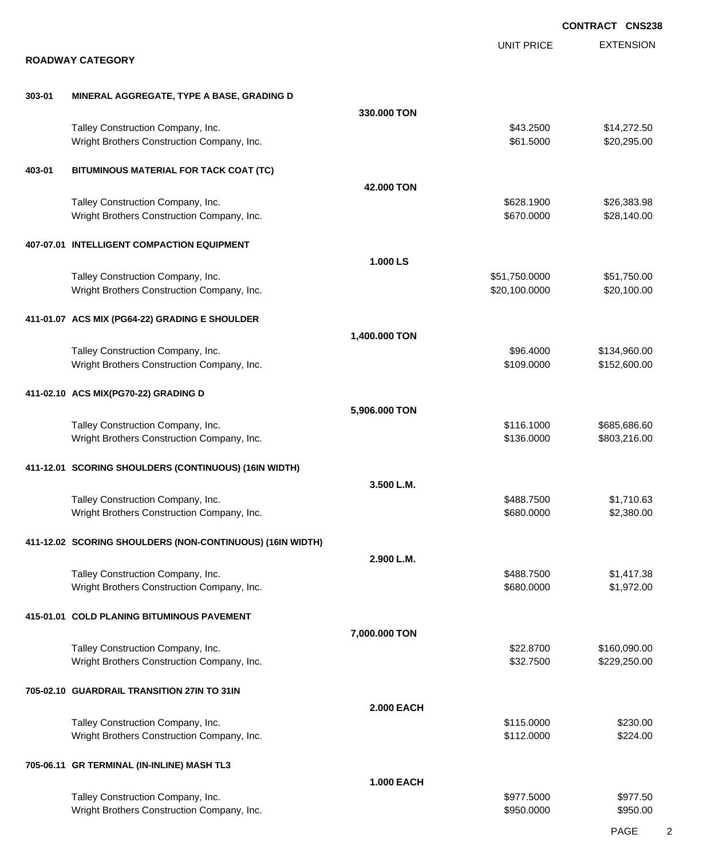|        |                                                                                 |                   |                                | <b>CONTRACT CNS238</b>       |
|--------|---------------------------------------------------------------------------------|-------------------|--------------------------------|------------------------------|
|        |                                                                                 |                   | <b>UNIT PRICE</b>              | <b>EXTENSION</b>             |
|        | <b>ROADWAY CATEGORY</b>                                                         |                   |                                |                              |
| 303-01 | MINERAL AGGREGATE, TYPE A BASE, GRADING D                                       |                   |                                |                              |
|        |                                                                                 | 330,000 TON       |                                |                              |
|        | Talley Construction Company, Inc.<br>Wright Brothers Construction Company, Inc. |                   | \$43.2500<br>\$61.5000         | \$14,272.50<br>\$20,295.00   |
| 403-01 | BITUMINOUS MATERIAL FOR TACK COAT (TC)                                          |                   |                                |                              |
|        |                                                                                 | 42.000 TON        |                                |                              |
|        | Talley Construction Company, Inc.<br>Wright Brothers Construction Company, Inc. |                   | \$628.1900<br>\$670.0000       | \$26,383.98<br>\$28,140.00   |
|        | 407-07.01 INTELLIGENT COMPACTION EQUIPMENT                                      |                   |                                |                              |
|        |                                                                                 | 1.000 LS          |                                |                              |
|        | Talley Construction Company, Inc.<br>Wright Brothers Construction Company, Inc. |                   | \$51,750.0000<br>\$20,100.0000 | \$51,750.00<br>\$20,100.00   |
|        | 411-01.07 ACS MIX (PG64-22) GRADING E SHOULDER                                  |                   |                                |                              |
|        |                                                                                 | 1,400.000 TON     |                                |                              |
|        | Talley Construction Company, Inc.                                               |                   | \$96.4000                      | \$134,960.00                 |
|        | Wright Brothers Construction Company, Inc.                                      |                   | \$109.0000                     | \$152,600.00                 |
|        | 411-02.10 ACS MIX(PG70-22) GRADING D                                            |                   |                                |                              |
|        |                                                                                 | 5,906.000 TON     |                                |                              |
|        | Talley Construction Company, Inc.<br>Wright Brothers Construction Company, Inc. |                   | \$116.1000<br>\$136.0000       | \$685,686.60<br>\$803,216.00 |
|        | 411-12.01 SCORING SHOULDERS (CONTINUOUS) (16IN WIDTH)                           |                   |                                |                              |
|        |                                                                                 | 3.500 L.M.        |                                |                              |
|        | Talley Construction Company, Inc.                                               |                   | \$488.7500                     | \$1,710.63                   |
|        | Wright Brothers Construction Company, Inc.                                      |                   | \$680.0000                     | \$2,380.00                   |
|        | 411-12.02 SCORING SHOULDERS (NON-CONTINUOUS) (16IN WIDTH)                       |                   |                                |                              |
|        |                                                                                 | 2.900 L.M.        |                                |                              |
|        | Talley Construction Company, Inc.                                               |                   | \$488.7500                     | \$1,417.38                   |
|        | Wright Brothers Construction Company, Inc.                                      |                   | \$680.0000                     | \$1,972.00                   |
|        | 415-01.01 COLD PLANING BITUMINOUS PAVEMENT                                      |                   |                                |                              |
|        |                                                                                 | 7,000.000 TON     |                                |                              |
|        | Talley Construction Company, Inc.<br>Wright Brothers Construction Company, Inc. |                   | \$22.8700<br>\$32.7500         | \$160,090.00<br>\$229,250.00 |
|        |                                                                                 |                   |                                |                              |
|        | 705-02.10 GUARDRAIL TRANSITION 27IN TO 31IN                                     |                   |                                |                              |
|        | Talley Construction Company, Inc.                                               | <b>2.000 EACH</b> |                                |                              |
|        | Wright Brothers Construction Company, Inc.                                      |                   | \$115.0000<br>\$112.0000       | \$230.00<br>\$224.00         |
|        | 705-06.11 GR TERMINAL (IN-INLINE) MASH TL3                                      |                   |                                |                              |
|        |                                                                                 | <b>1.000 EACH</b> |                                |                              |
|        | Talley Construction Company, Inc.                                               |                   | \$977.5000                     | \$977.50                     |
|        | Wright Brothers Construction Company, Inc.                                      |                   | \$950.0000                     | \$950.00                     |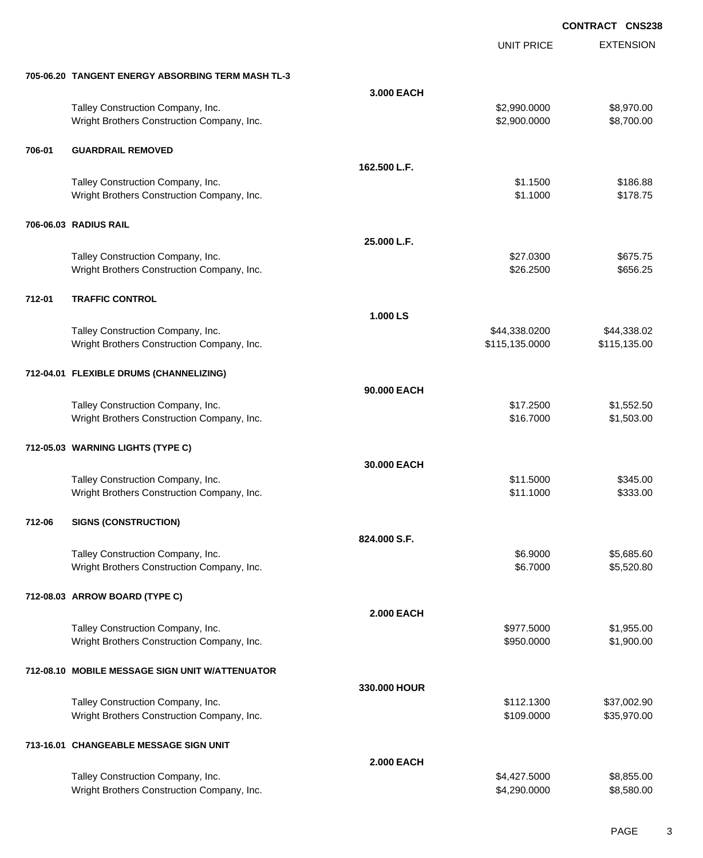|        |                                                                                 |                   | UNIT PRICE                   | <b>EXTENSION</b>           |
|--------|---------------------------------------------------------------------------------|-------------------|------------------------------|----------------------------|
|        | 705-06.20 TANGENT ENERGY ABSORBING TERM MASH TL-3                               |                   |                              |                            |
|        |                                                                                 | 3.000 EACH        |                              |                            |
|        | Talley Construction Company, Inc.<br>Wright Brothers Construction Company, Inc. |                   | \$2,990.0000<br>\$2,900.0000 | \$8,970.00<br>\$8,700.00   |
| 706-01 | <b>GUARDRAIL REMOVED</b>                                                        |                   |                              |                            |
|        |                                                                                 | 162.500 L.F.      |                              |                            |
|        | Talley Construction Company, Inc.<br>Wright Brothers Construction Company, Inc. |                   | \$1.1500<br>\$1.1000         | \$186.88<br>\$178.75       |
|        | 706-06.03 RADIUS RAIL                                                           |                   |                              |                            |
|        |                                                                                 | 25.000 L.F.       |                              |                            |
|        | Talley Construction Company, Inc.<br>Wright Brothers Construction Company, Inc. |                   | \$27.0300<br>\$26.2500       | \$675.75<br>\$656.25       |
| 712-01 | <b>TRAFFIC CONTROL</b>                                                          |                   |                              |                            |
|        |                                                                                 | 1.000 LS          |                              |                            |
|        | Talley Construction Company, Inc.                                               |                   | \$44,338.0200                | \$44,338.02                |
|        | Wright Brothers Construction Company, Inc.                                      |                   | \$115,135.0000               | \$115,135.00               |
|        | 712-04.01 FLEXIBLE DRUMS (CHANNELIZING)                                         |                   |                              |                            |
|        |                                                                                 | 90.000 EACH       |                              |                            |
|        | Talley Construction Company, Inc.<br>Wright Brothers Construction Company, Inc. |                   | \$17.2500<br>\$16.7000       | \$1,552.50<br>\$1,503.00   |
|        | 712-05.03 WARNING LIGHTS (TYPE C)                                               |                   |                              |                            |
|        |                                                                                 | 30.000 EACH       |                              |                            |
|        | Talley Construction Company, Inc.<br>Wright Brothers Construction Company, Inc. |                   | \$11.5000<br>\$11.1000       | \$345.00<br>\$333.00       |
| 712-06 | <b>SIGNS (CONSTRUCTION)</b>                                                     |                   |                              |                            |
|        |                                                                                 | 824.000 S.F.      |                              |                            |
|        | Talley Construction Company, Inc.                                               |                   | \$6.9000                     | \$5,685.60                 |
|        | Wright Brothers Construction Company, Inc.                                      |                   | \$6.7000                     | \$5,520.80                 |
|        | 712-08.03 ARROW BOARD (TYPE C)                                                  |                   |                              |                            |
|        |                                                                                 | <b>2.000 EACH</b> |                              |                            |
|        | Talley Construction Company, Inc.<br>Wright Brothers Construction Company, Inc. |                   | \$977.5000<br>\$950.0000     | \$1,955.00<br>\$1,900.00   |
|        | 712-08.10 MOBILE MESSAGE SIGN UNIT W/ATTENUATOR                                 |                   |                              |                            |
|        |                                                                                 | 330.000 HOUR      |                              |                            |
|        | Talley Construction Company, Inc.<br>Wright Brothers Construction Company, Inc. |                   | \$112.1300<br>\$109.0000     | \$37,002.90<br>\$35,970.00 |
|        | 713-16.01 CHANGEABLE MESSAGE SIGN UNIT                                          |                   |                              |                            |
|        |                                                                                 | <b>2.000 EACH</b> |                              |                            |
|        | Talley Construction Company, Inc.<br>Wright Brothers Construction Company, Inc. |                   | \$4,427.5000<br>\$4,290.0000 | \$8,855.00<br>\$8,580.00   |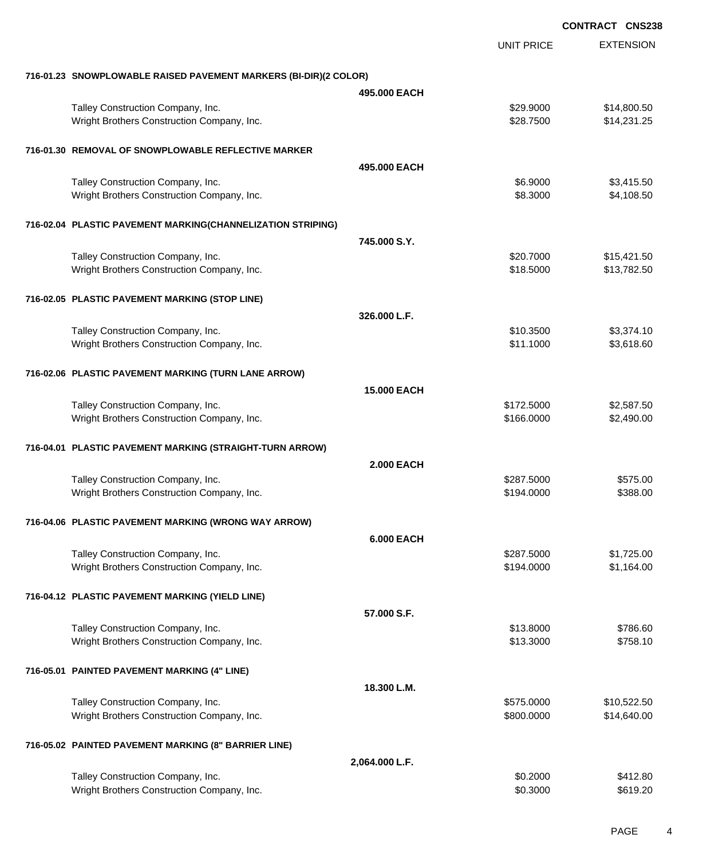|                                                                  |                    |                   | <b>CONTRACT CNS238</b> |
|------------------------------------------------------------------|--------------------|-------------------|------------------------|
|                                                                  |                    | <b>UNIT PRICE</b> | <b>EXTENSION</b>       |
| 716-01.23 SNOWPLOWABLE RAISED PAVEMENT MARKERS (BI-DIR)(2 COLOR) |                    |                   |                        |
|                                                                  | 495,000 EACH       |                   |                        |
| Talley Construction Company, Inc.                                |                    | \$29.9000         | \$14,800.50            |
| Wright Brothers Construction Company, Inc.                       |                    | \$28.7500         | \$14,231.25            |
| 716-01.30 REMOVAL OF SNOWPLOWABLE REFLECTIVE MARKER              |                    |                   |                        |
|                                                                  | 495,000 EACH       |                   |                        |
| Talley Construction Company, Inc.                                |                    | \$6.9000          | \$3,415.50             |
| Wright Brothers Construction Company, Inc.                       |                    | \$8.3000          | \$4,108.50             |
| 716-02.04 PLASTIC PAVEMENT MARKING(CHANNELIZATION STRIPING)      |                    |                   |                        |
|                                                                  | 745.000 S.Y.       |                   |                        |
| Talley Construction Company, Inc.                                |                    | \$20.7000         | \$15,421.50            |
| Wright Brothers Construction Company, Inc.                       |                    | \$18.5000         | \$13,782.50            |
| 716-02.05 PLASTIC PAVEMENT MARKING (STOP LINE)                   |                    |                   |                        |
|                                                                  | 326,000 L.F.       |                   |                        |
| Talley Construction Company, Inc.                                |                    | \$10.3500         | \$3,374.10             |
| Wright Brothers Construction Company, Inc.                       |                    | \$11.1000         | \$3,618.60             |
| 716-02.06 PLASTIC PAVEMENT MARKING (TURN LANE ARROW)             |                    |                   |                        |
|                                                                  | <b>15.000 EACH</b> |                   |                        |
| Talley Construction Company, Inc.                                |                    | \$172.5000        | \$2,587.50             |
| Wright Brothers Construction Company, Inc.                       |                    | \$166.0000        | \$2,490.00             |
| 716-04.01 PLASTIC PAVEMENT MARKING (STRAIGHT-TURN ARROW)         |                    |                   |                        |
|                                                                  | <b>2.000 EACH</b>  |                   |                        |
| Talley Construction Company, Inc.                                |                    | \$287.5000        | \$575.00               |
| Wright Brothers Construction Company, Inc.                       |                    | \$194.0000        | \$388.00               |
| 716-04.06 PLASTIC PAVEMENT MARKING (WRONG WAY ARROW)             |                    |                   |                        |
|                                                                  | <b>6.000 EACH</b>  |                   |                        |
| Talley Construction Company, Inc.                                |                    | \$287.5000        | \$1,725.00             |
| Wright Brothers Construction Company, Inc.                       |                    | \$194.0000        | \$1,164.00             |
| 716-04.12 PLASTIC PAVEMENT MARKING (YIELD LINE)                  |                    |                   |                        |
|                                                                  | 57.000 S.F.        |                   |                        |
| Talley Construction Company, Inc.                                |                    | \$13.8000         | \$786.60               |
| Wright Brothers Construction Company, Inc.                       |                    | \$13.3000         | \$758.10               |
| 716-05.01 PAINTED PAVEMENT MARKING (4" LINE)                     |                    |                   |                        |
|                                                                  | 18.300 L.M.        |                   |                        |
| Talley Construction Company, Inc.                                |                    | \$575.0000        | \$10,522.50            |
| Wright Brothers Construction Company, Inc.                       |                    | \$800.0000        | \$14,640.00            |
| 716-05.02 PAINTED PAVEMENT MARKING (8" BARRIER LINE)             |                    |                   |                        |
|                                                                  | 2,064.000 L.F.     |                   |                        |
| Talley Construction Company, Inc.                                |                    | \$0.2000          | \$412.80               |
| Wright Brothers Construction Company, Inc.                       |                    | \$0.3000          | \$619.20               |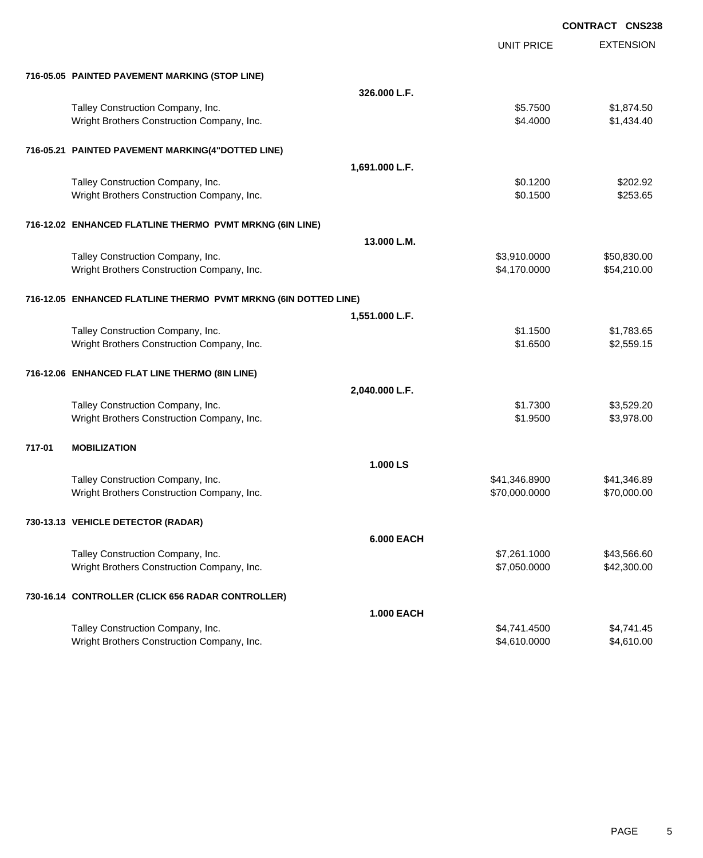|                                                                 |                   |                   | <b>CONTRACT CNS238</b> |
|-----------------------------------------------------------------|-------------------|-------------------|------------------------|
|                                                                 |                   | <b>UNIT PRICE</b> | <b>EXTENSION</b>       |
| 716-05.05 PAINTED PAVEMENT MARKING (STOP LINE)                  |                   |                   |                        |
|                                                                 | 326.000 L.F.      |                   |                        |
| Talley Construction Company, Inc.                               |                   | \$5.7500          | \$1,874.50             |
| Wright Brothers Construction Company, Inc.                      |                   | \$4.4000          | \$1,434.40             |
| 716-05.21 PAINTED PAVEMENT MARKING(4"DOTTED LINE)               |                   |                   |                        |
|                                                                 | 1,691.000 L.F.    |                   |                        |
| Talley Construction Company, Inc.                               |                   | \$0.1200          | \$202.92               |
| Wright Brothers Construction Company, Inc.                      |                   | \$0.1500          | \$253.65               |
| 716-12.02 ENHANCED FLATLINE THERMO PVMT MRKNG (6IN LINE)        |                   |                   |                        |
|                                                                 | 13.000 L.M.       |                   |                        |
| Talley Construction Company, Inc.                               |                   | \$3,910.0000      | \$50,830.00            |
| Wright Brothers Construction Company, Inc.                      |                   | \$4,170.0000      | \$54,210.00            |
| 716-12.05 ENHANCED FLATLINE THERMO PVMT MRKNG (6IN DOTTED LINE) |                   |                   |                        |
|                                                                 | 1,551.000 L.F.    |                   |                        |
| Talley Construction Company, Inc.                               |                   | \$1.1500          | \$1,783.65             |
| Wright Brothers Construction Company, Inc.                      |                   | \$1.6500          | \$2,559.15             |
| 716-12.06 ENHANCED FLAT LINE THERMO (8IN LINE)                  |                   |                   |                        |
|                                                                 | 2,040.000 L.F.    |                   |                        |
| Talley Construction Company, Inc.                               |                   | \$1.7300          | \$3,529.20             |
| Wright Brothers Construction Company, Inc.                      |                   | \$1.9500          | \$3,978.00             |
| 717-01<br><b>MOBILIZATION</b>                                   |                   |                   |                        |
|                                                                 | 1.000 LS          |                   |                        |
| Talley Construction Company, Inc.                               |                   | \$41,346.8900     | \$41,346.89            |
| Wright Brothers Construction Company, Inc.                      |                   | \$70,000.0000     | \$70,000.00            |
| 730-13.13 VEHICLE DETECTOR (RADAR)                              |                   |                   |                        |
|                                                                 | <b>6.000 EACH</b> |                   |                        |
| Talley Construction Company, Inc.                               |                   | \$7,261.1000      | \$43,566.60            |
| Wright Brothers Construction Company, Inc.                      |                   | \$7,050.0000      | \$42,300.00            |
| 730-16.14 CONTROLLER (CLICK 656 RADAR CONTROLLER)               |                   |                   |                        |
|                                                                 | <b>1.000 EACH</b> |                   |                        |
| Talley Construction Company, Inc.                               |                   | \$4,741.4500      | \$4,741.45             |
| Wright Brothers Construction Company, Inc.                      |                   | \$4,610.0000      | \$4,610.00             |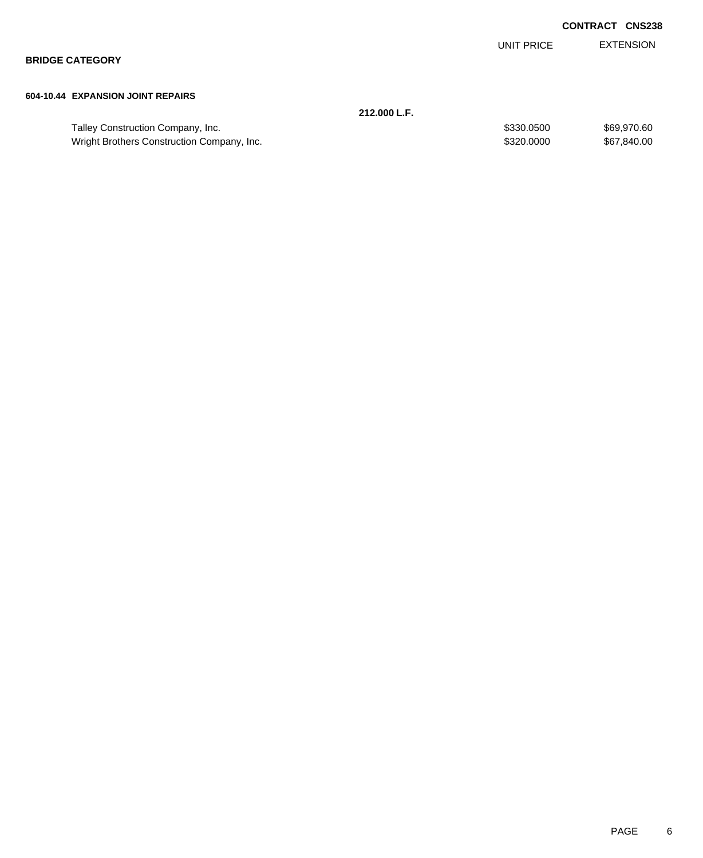EXTENSION UNIT PRICE

**BRIDGE CATEGORY**

#### **604-10.44 EXPANSION JOINT REPAIRS**

|                                            | 212.000 L.F. |             |
|--------------------------------------------|--------------|-------------|
| Talley Construction Company, Inc.          | \$330,0500   | \$69,970.60 |
| Wright Brothers Construction Company, Inc. | \$320,0000   | \$67,840.00 |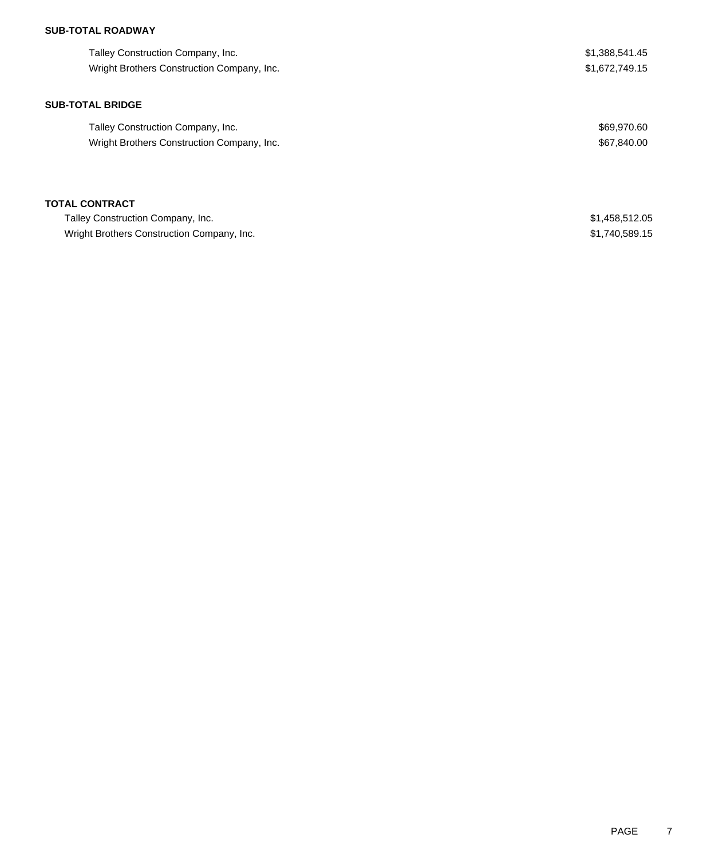## **SUB-TOTAL ROADWAY**

| Talley Construction Company, Inc.          | \$1,388,541.45 |
|--------------------------------------------|----------------|
| Wright Brothers Construction Company, Inc. | \$1,672,749.15 |
| <b>SUB-TOTAL BRIDGE</b>                    |                |
| Talley Construction Company, Inc.          | \$69,970.60    |
| Wright Brothers Construction Company, Inc. | \$67,840.00    |
| <b>TOTAL CONTRACT</b>                      |                |
| Talley Construction Company, Inc.          | \$1,458,512.05 |
| Wright Brothers Construction Company, Inc. | \$1,740,589.15 |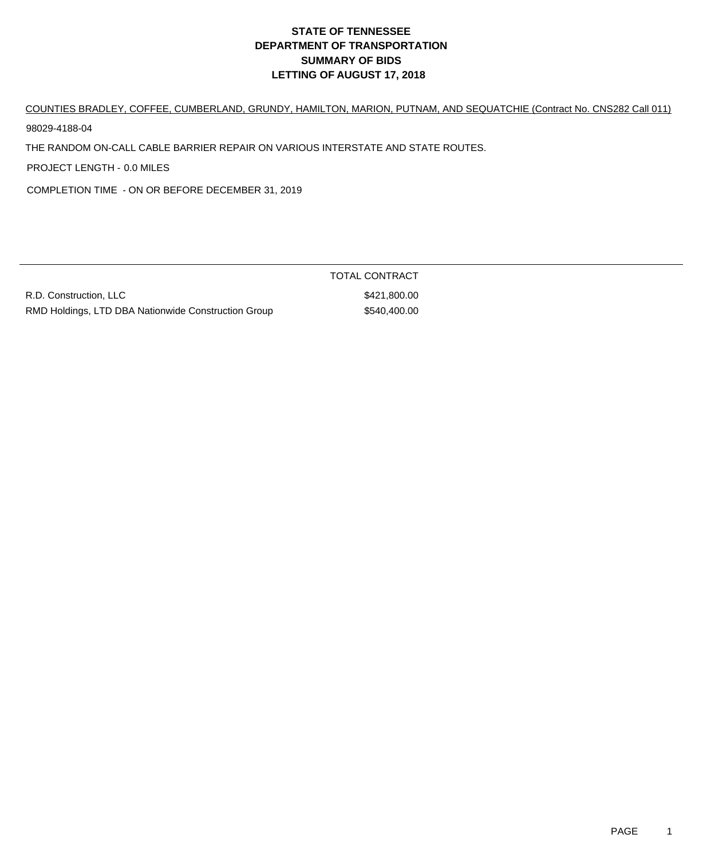COUNTIES BRADLEY, COFFEE, CUMBERLAND, GRUNDY, HAMILTON, MARION, PUTNAM, AND SEQUATCHIE (Contract No. CNS282 Call 011)

98029-4188-04

THE RANDOM ON-CALL CABLE BARRIER REPAIR ON VARIOUS INTERSTATE AND STATE ROUTES.

PROJECT LENGTH - 0.0 MILES

COMPLETION TIME - ON OR BEFORE DECEMBER 31, 2019

R.D. Construction, LLC \$421,800.00 RMD Holdings, LTD DBA Nationwide Construction Group \$540,400.00

TOTAL CONTRACT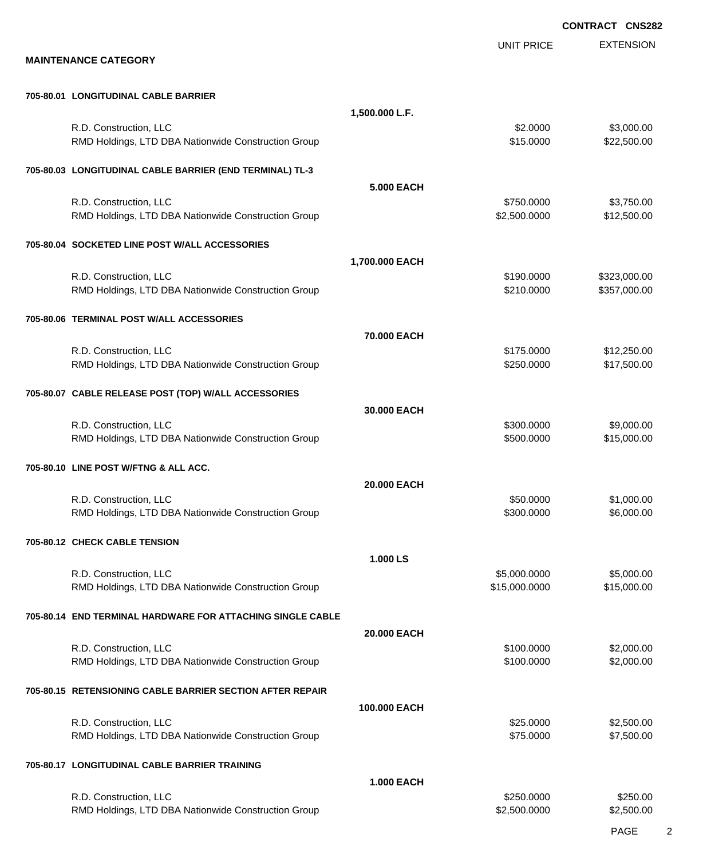EXTENSION **CONTRACT CNS282** UNIT PRICE **MAINTENANCE CATEGORY 705-80.01 LONGITUDINAL CABLE BARRIER 1,500.000 L.F.** R.D. Construction, LLC 63,000.00 \$3,000.00 \$3,000.00 \$3,000.00 \$3,000.00 \$3,000.00 \$3,000.00 \$3,000.00 \$3,000 RMD Holdings, LTD DBA Nationwide Construction Group **\$15.0000 \$22,500.00** \$22,500.00 **705-80.03 LONGITUDINAL CABLE BARRIER (END TERMINAL) TL-3 5.000 EACH** R.D. Construction, LLC 6. 2012 12:00:000 \$3,750.000 \$3,750.000 \$3,750.000 \$3,750.000 \$3,750.00 RMD Holdings, LTD DBA Nationwide Construction Group 62,500.000 \$2,500.000 \$12,500.00 **705-80.04 SOCKETED LINE POST W/ALL ACCESSORIES 1,700.000 EACH** R.D. Construction, LLC 6. 2008. The state of the state of the state of the state of the state of the state of the state of the state of the state of the state of the state of the state of the state of the state of the stat RMD Holdings, LTD DBA Nationwide Construction Group **\$210.0000 \$210.0000** \$357,000.00 **705-80.06 TERMINAL POST W/ALL ACCESSORIES 70.000 EACH** R.D. Construction, LLC 612,250.00 \$175.0000 \$175.0000 \$17,250.00 RMD Holdings, LTD DBA Nationwide Construction Group \$250.000 \$250.0000 \$17,500.00 **705-80.07 CABLE RELEASE POST (TOP) W/ALL ACCESSORIES 30.000 EACH** R.D. Construction, LLC 6. 2008. The state of the state of the state of the state of the state of the state of the state of the state of the state of the state of the state of the state of the state of the state of the stat RMD Holdings, LTD DBA Nationwide Construction Group \$500.000 \$500.000 \$15,000.00 **705-80.10 LINE POST W/FTNG & ALL ACC. 20.000 EACH** R.D. Construction, LLC 6. 2010 1.000.00 \$1,000.00 \$1,000.00 \$1,000.00 \$1,000.00 \$1,000.00 \$1,000.00 \$1,000.00 \$1,000 RMD Holdings, LTD DBA Nationwide Construction Group \$300.000 \$300.0000 \$6,000.00 **705-80.12 CHECK CABLE TENSION 1.000 LS** R.D. Construction, LLC 6.000.000 \$5,000.000 \$5,000.000 \$5,000.000 \$5,000.000 \$5,000.000 \$5,000.00 RMD Holdings, LTD DBA Nationwide Construction Group **\$15,000 \$15,000.000** \$15,000.000 \$15,000.00 **705-80.14 END TERMINAL HARDWARE FOR ATTACHING SINGLE CABLE 20.000 EACH** R.D. Construction, LLC 6. 2000.000 \$2,000.00 \$2,000.00 \$2,000.00 \$2,000.00 \$2,000.00 \$2,000.00 \$2,000.00 \$2,000 RMD Holdings, LTD DBA Nationwide Construction Group **\$100.000 \$100.0000 \$2,000.00** \$2,000.00 **705-80.15 RETENSIONING CABLE BARRIER SECTION AFTER REPAIR 100.000 EACH** R.D. Construction, LLC 62,500.00 \$2,500.00 \$2,500.00 \$2,500.00 \$2,500.00 \$2,500.00 \$2,500.00 \$2,500.00 \$2,500 RMD Holdings, LTD DBA Nationwide Construction Group \$75.0000 \$75.0000 \$7,500.00 **705-80.17 LONGITUDINAL CABLE BARRIER TRAINING 1.000 EACH** R.D. Construction, LLC 6250.000 \$250.000 \$250.000 \$250.000 \$250.000 \$250.000 \$250.000 \$250.00 RMD Holdings, LTD DBA Nationwide Construction Group 62,500.000 \$2,500.000 \$2,500.000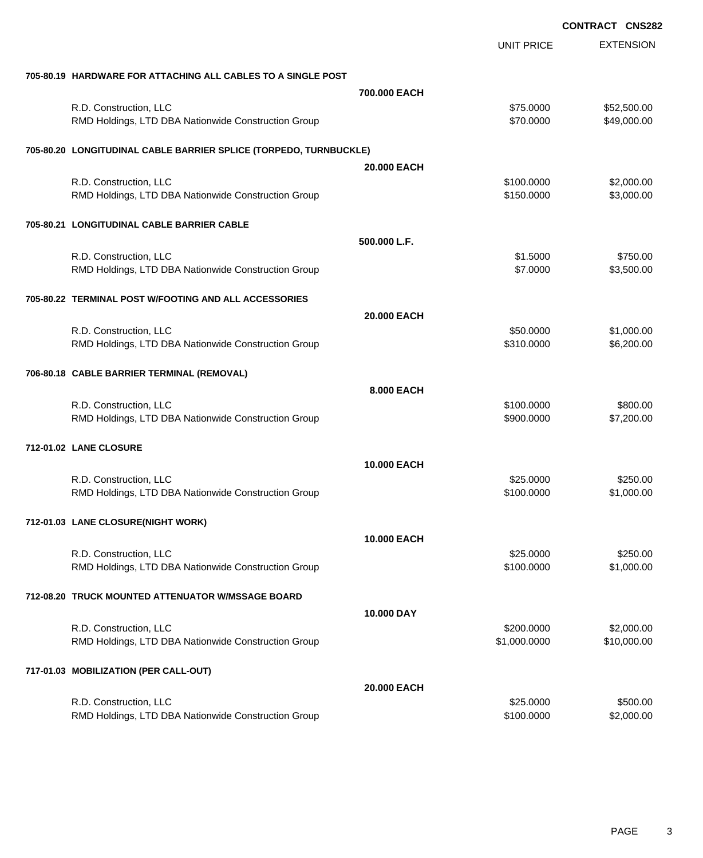|                                                                   |              | <b>CONTRACT CNS282</b> |                  |
|-------------------------------------------------------------------|--------------|------------------------|------------------|
|                                                                   |              | <b>UNIT PRICE</b>      | <b>EXTENSION</b> |
| 705-80.19 HARDWARE FOR ATTACHING ALL CABLES TO A SINGLE POST      |              |                        |                  |
|                                                                   | 700,000 EACH |                        |                  |
| R.D. Construction, LLC                                            |              | \$75.0000              | \$52,500.00      |
| RMD Holdings, LTD DBA Nationwide Construction Group               |              | \$70.0000              | \$49,000.00      |
| 705-80.20 LONGITUDINAL CABLE BARRIER SPLICE (TORPEDO, TURNBUCKLE) |              |                        |                  |
|                                                                   | 20.000 EACH  |                        |                  |
| R.D. Construction, LLC                                            |              | \$100.0000             | \$2,000.00       |
| RMD Holdings, LTD DBA Nationwide Construction Group               |              | \$150.0000             | \$3,000.00       |
| 705-80.21 LONGITUDINAL CABLE BARRIER CABLE                        |              |                        |                  |
|                                                                   | 500.000 L.F. |                        |                  |
| R.D. Construction, LLC                                            |              | \$1.5000               | \$750.00         |
| RMD Holdings, LTD DBA Nationwide Construction Group               |              | \$7.0000               | \$3,500.00       |
| 705-80.22 TERMINAL POST W/FOOTING AND ALL ACCESSORIES             |              |                        |                  |
|                                                                   | 20.000 EACH  |                        |                  |
| R.D. Construction, LLC                                            |              | \$50.0000              | \$1,000.00       |
| RMD Holdings, LTD DBA Nationwide Construction Group               |              | \$310.0000             | \$6,200.00       |
| 706-80.18 CABLE BARRIER TERMINAL (REMOVAL)                        |              |                        |                  |
|                                                                   | 8.000 EACH   |                        |                  |
| R.D. Construction, LLC                                            |              | \$100.0000             | \$800.00         |
| RMD Holdings, LTD DBA Nationwide Construction Group               |              | \$900.0000             | \$7,200.00       |
| 712-01.02 LANE CLOSURE                                            |              |                        |                  |
|                                                                   | 10.000 EACH  |                        |                  |
| R.D. Construction, LLC                                            |              | \$25.0000              | \$250.00         |
| RMD Holdings, LTD DBA Nationwide Construction Group               |              | \$100.0000             | \$1,000.00       |
| 712-01.03 LANE CLOSURE(NIGHT WORK)                                |              |                        |                  |
|                                                                   | 10.000 EACH  |                        |                  |
| R.D. Construction, LLC                                            |              | \$25.0000              | \$250.00         |
| RMD Holdings, LTD DBA Nationwide Construction Group               |              | \$100.0000             | \$1,000.00       |
| 712-08.20 TRUCK MOUNTED ATTENUATOR W/MSSAGE BOARD                 |              |                        |                  |
|                                                                   | 10.000 DAY   |                        |                  |
| R.D. Construction, LLC                                            |              | \$200.0000             | \$2,000.00       |
| RMD Holdings, LTD DBA Nationwide Construction Group               |              | \$1,000.0000           | \$10,000.00      |
| 717-01.03 MOBILIZATION (PER CALL-OUT)                             |              |                        |                  |
|                                                                   | 20.000 EACH  |                        |                  |
| R.D. Construction, LLC                                            |              | \$25.0000              | \$500.00         |
| RMD Holdings, LTD DBA Nationwide Construction Group               |              | \$100.0000             | \$2,000.00       |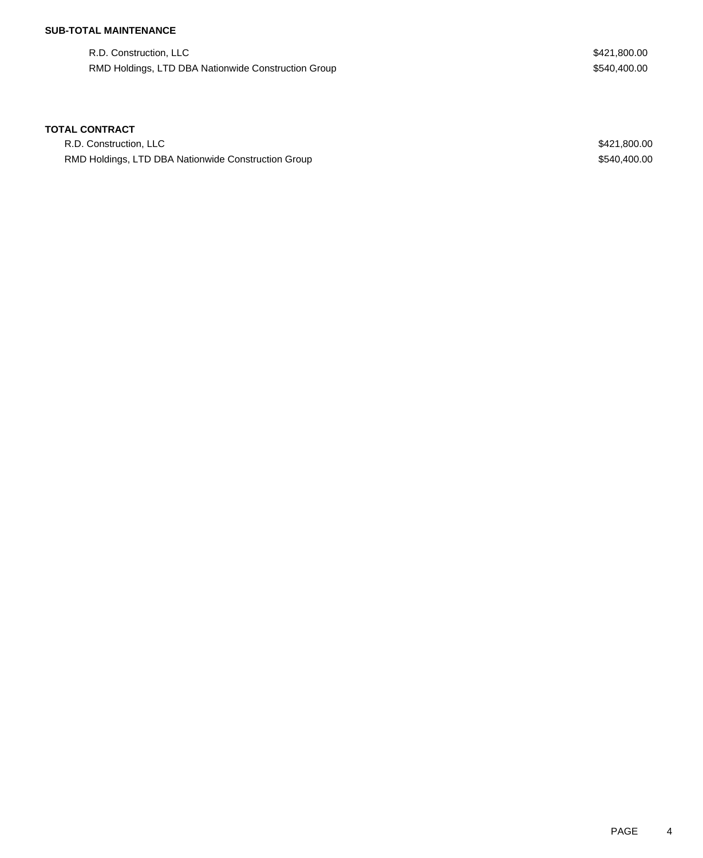# **SUB-TOTAL MAINTENANCE**

R.D. Construction, LLC \$421,800.00 RMD Holdings, LTD DBA Nationwide Construction Group **\$540,400.00** \$540,400.00

## **TOTAL CONTRACT**

R.D. Construction, LLC \$421,800.00 RMD Holdings, LTD DBA Nationwide Construction Group **\$540,400.00** \$540,400.00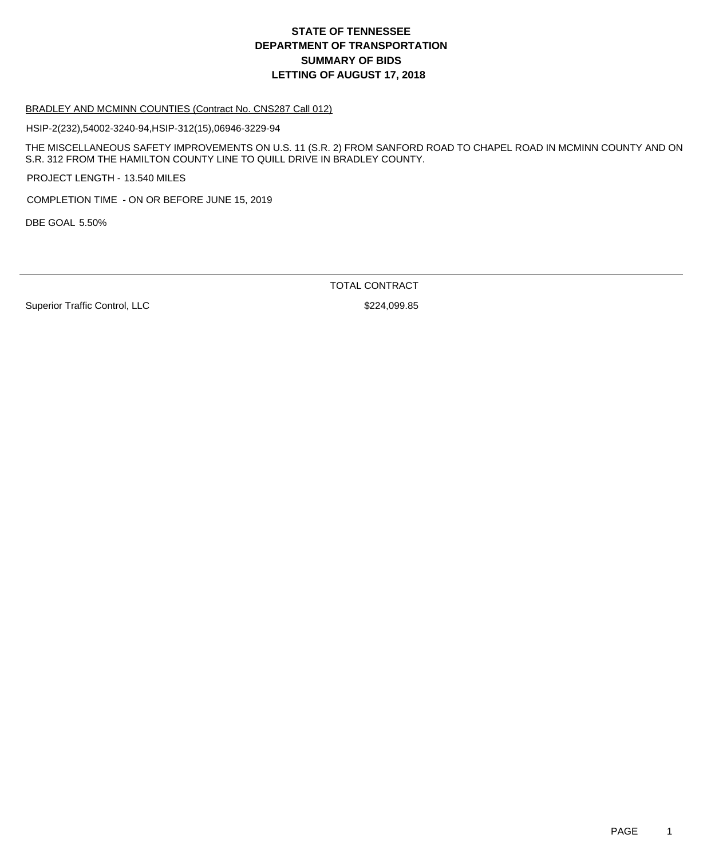# **DEPARTMENT OF TRANSPORTATION SUMMARY OF BIDS LETTING OF AUGUST 17, 2018 STATE OF TENNESSEE**

#### BRADLEY AND MCMINN COUNTIES (Contract No. CNS287 Call 012)

HSIP-2(232),54002-3240-94,HSIP-312(15),06946-3229-94

THE MISCELLANEOUS SAFETY IMPROVEMENTS ON U.S. 11 (S.R. 2) FROM SANFORD ROAD TO CHAPEL ROAD IN MCMINN COUNTY AND ON S.R. 312 FROM THE HAMILTON COUNTY LINE TO QUILL DRIVE IN BRADLEY COUNTY.

PROJECT LENGTH - 13.540 MILES

COMPLETION TIME - ON OR BEFORE JUNE 15, 2019

DBE GOAL 5.50%

TOTAL CONTRACT

Superior Traffic Control, LLC \$224,099.85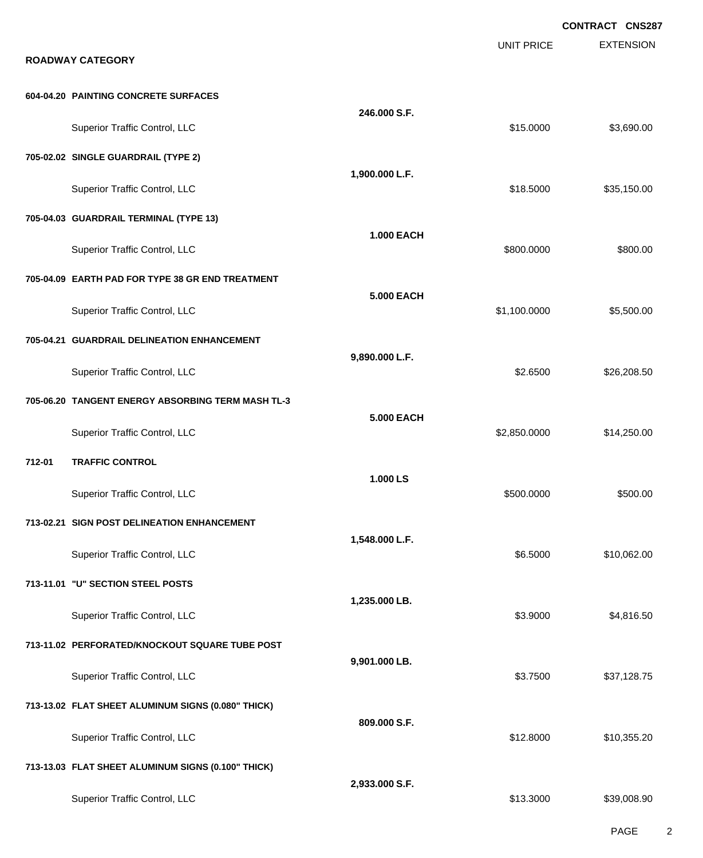|        |                                                    |                   |                   | <b>CONTRACT CNS287</b> |
|--------|----------------------------------------------------|-------------------|-------------------|------------------------|
|        | <b>ROADWAY CATEGORY</b>                            |                   | <b>UNIT PRICE</b> | <b>EXTENSION</b>       |
|        | 604-04.20 PAINTING CONCRETE SURFACES               |                   |                   |                        |
|        |                                                    | 246.000 S.F.      |                   |                        |
|        | Superior Traffic Control, LLC                      |                   | \$15.0000         | \$3,690.00             |
|        | 705-02.02 SINGLE GUARDRAIL (TYPE 2)                | 1,900.000 L.F.    |                   |                        |
|        | Superior Traffic Control, LLC                      |                   | \$18.5000         | \$35,150.00            |
|        | 705-04.03 GUARDRAIL TERMINAL (TYPE 13)             | <b>1.000 EACH</b> |                   |                        |
|        | Superior Traffic Control, LLC                      |                   | \$800.0000        | \$800.00               |
|        | 705-04.09 EARTH PAD FOR TYPE 38 GR END TREATMENT   |                   |                   |                        |
|        | Superior Traffic Control, LLC                      | <b>5.000 EACH</b> | \$1,100.0000      | \$5,500.00             |
|        | 705-04.21 GUARDRAIL DELINEATION ENHANCEMENT        |                   |                   |                        |
|        | Superior Traffic Control, LLC                      | 9,890.000 L.F.    | \$2.6500          | \$26,208.50            |
|        | 705-06.20 TANGENT ENERGY ABSORBING TERM MASH TL-3  |                   |                   |                        |
|        | Superior Traffic Control, LLC                      | <b>5.000 EACH</b> | \$2,850.0000      | \$14,250.00            |
| 712-01 | <b>TRAFFIC CONTROL</b>                             |                   |                   |                        |
|        | Superior Traffic Control, LLC                      | 1.000 LS          | \$500.0000        | \$500.00               |
|        | 713-02.21 SIGN POST DELINEATION ENHANCEMENT        |                   |                   |                        |
|        | Superior Traffic Control, LLC                      | 1,548.000 L.F.    | \$6.5000          | \$10,062.00            |
|        | 713-11.01 "U" SECTION STEEL POSTS                  |                   |                   |                        |
|        | Superior Traffic Control, LLC                      | 1,235.000 LB.     | \$3.9000          | \$4,816.50             |
|        | 713-11.02 PERFORATED/KNOCKOUT SQUARE TUBE POST     |                   |                   |                        |
|        | Superior Traffic Control, LLC                      | 9,901.000 LB.     | \$3.7500          | \$37,128.75            |
|        | 713-13.02 FLAT SHEET ALUMINUM SIGNS (0.080" THICK) |                   |                   |                        |
|        | Superior Traffic Control, LLC                      | 809.000 S.F.      | \$12.8000         | \$10,355.20            |
|        | 713-13.03 FLAT SHEET ALUMINUM SIGNS (0.100" THICK) |                   |                   |                        |
|        | Superior Traffic Control, LLC                      | 2,933.000 S.F.    | \$13.3000         | \$39,008.90            |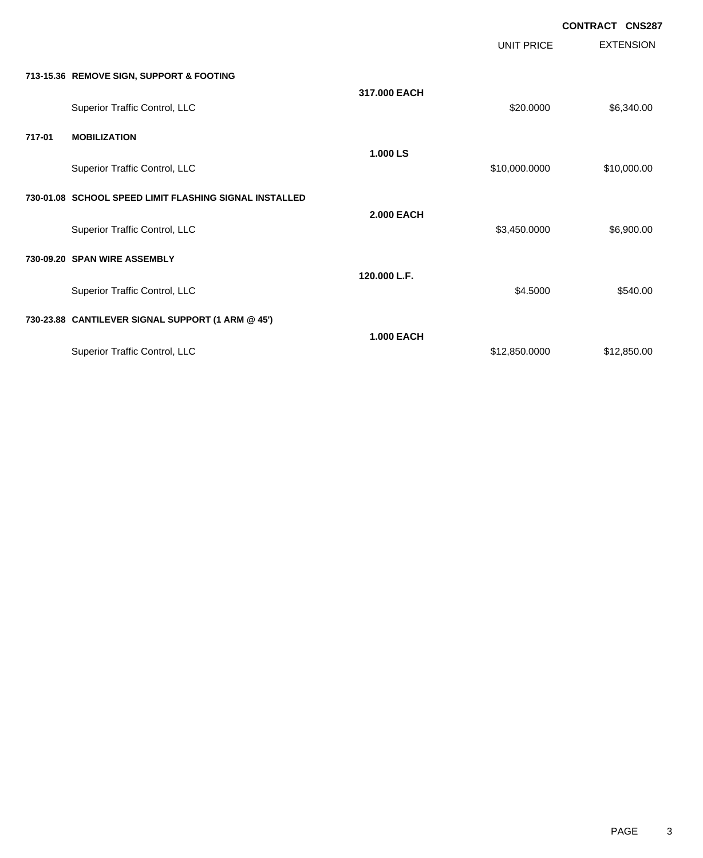|        |                                                        |                   | <b>UNIT PRICE</b> | <b>CONTRACT CNS287</b><br><b>EXTENSION</b> |
|--------|--------------------------------------------------------|-------------------|-------------------|--------------------------------------------|
|        | 713-15.36 REMOVE SIGN, SUPPORT & FOOTING               |                   |                   |                                            |
|        | Superior Traffic Control, LLC                          | 317,000 EACH      | \$20.0000         | \$6,340.00                                 |
| 717-01 | <b>MOBILIZATION</b>                                    |                   |                   |                                            |
|        | Superior Traffic Control, LLC                          | 1.000 LS          | \$10,000.0000     | \$10,000.00                                |
|        | 730-01.08 SCHOOL SPEED LIMIT FLASHING SIGNAL INSTALLED |                   |                   |                                            |
|        | Superior Traffic Control, LLC                          | <b>2.000 EACH</b> | \$3,450.0000      | \$6,900.00                                 |
|        | 730-09.20 SPAN WIRE ASSEMBLY                           |                   |                   |                                            |
|        | Superior Traffic Control, LLC                          | 120.000 L.F.      | \$4,5000          | \$540.00                                   |
|        | 730-23.88 CANTILEVER SIGNAL SUPPORT (1 ARM @ 45')      |                   |                   |                                            |
|        | <b>Superior Traffic Control, LLC</b>                   | <b>1.000 EACH</b> | \$12,850.0000     | \$12,850.00                                |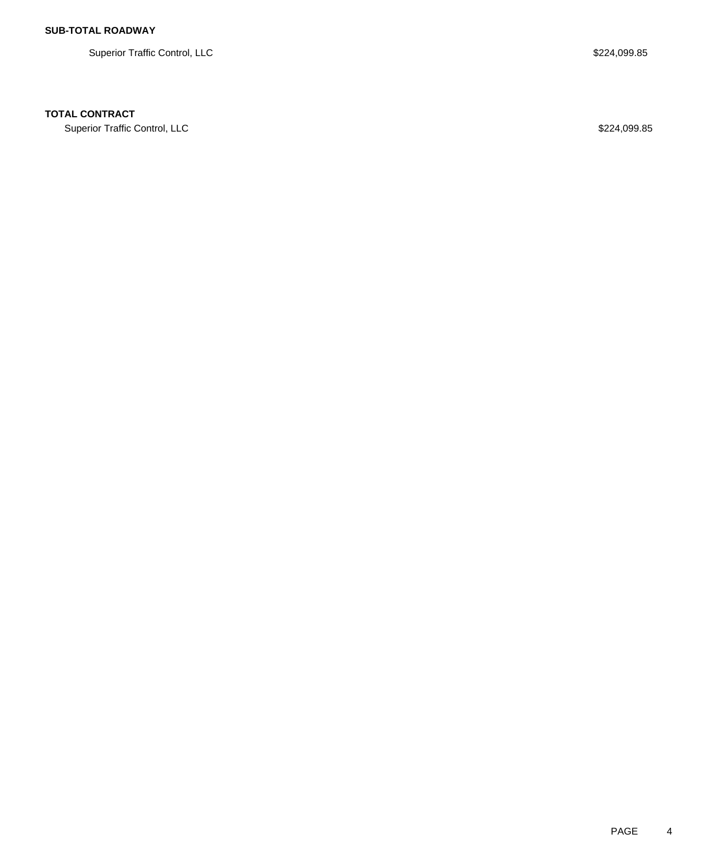Superior Traffic Control, LLC \$224,099.85

## **TOTAL CONTRACT**

Superior Traffic Control, LLC \$224,099.85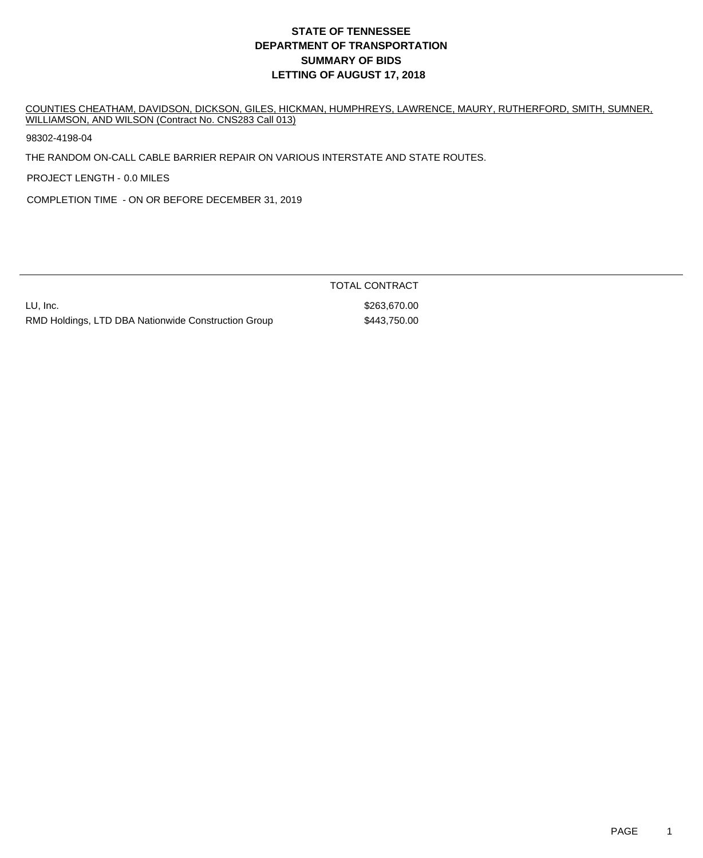# **DEPARTMENT OF TRANSPORTATION SUMMARY OF BIDS LETTING OF AUGUST 17, 2018 STATE OF TENNESSEE**

COUNTIES CHEATHAM, DAVIDSON, DICKSON, GILES, HICKMAN, HUMPHREYS, LAWRENCE, MAURY, RUTHERFORD, SMITH, SUMNER, WILLIAMSON, AND WILSON (Contract No. CNS283 Call 013)

98302-4198-04

THE RANDOM ON-CALL CABLE BARRIER REPAIR ON VARIOUS INTERSTATE AND STATE ROUTES.

PROJECT LENGTH - 0.0 MILES

COMPLETION TIME - ON OR BEFORE DECEMBER 31, 2019

LU, Inc. \$263,670.00 RMD Holdings, LTD DBA Nationwide Construction Group \$443,750.00

TOTAL CONTRACT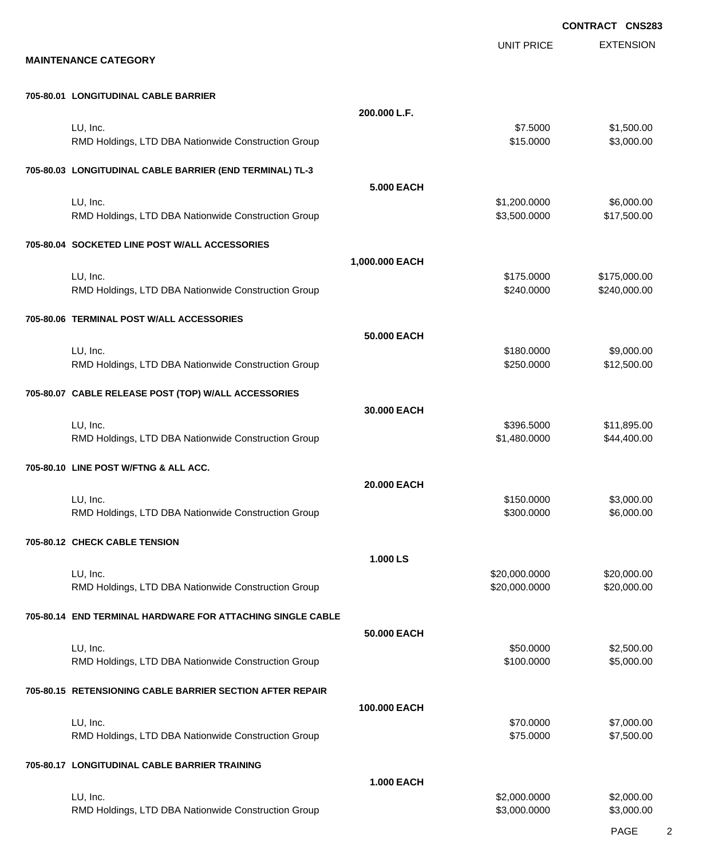EXTENSION **CONTRACT CNS283** UNIT PRICE **MAINTENANCE CATEGORY 705-80.01 LONGITUDINAL CABLE BARRIER 200.000 L.F.** LU, Inc. \$7.5000 \$1,500.00 RMD Holdings, LTD DBA Nationwide Construction Group \$15.0000 \$3,000.00 \$3,000.00 **705-80.03 LONGITUDINAL CABLE BARRIER (END TERMINAL) TL-3 5.000 EACH** LU, Inc. \$1,200.0000 \$6,000.00 RMD Holdings, LTD DBA Nationwide Construction Group **\$3,500.000 \$3,500.000 \$17,500.00 705-80.04 SOCKETED LINE POST W/ALL ACCESSORIES 1,000.000 EACH** LU, Inc. \$175.0000 \$175,000.00 RMD Holdings, LTD DBA Nationwide Construction Group **\$240.000 \$240.0000 \$240.0000** \$240,000.00 **705-80.06 TERMINAL POST W/ALL ACCESSORIES 50.000 EACH** LU, Inc. \$180.0000 \$9,000.00 RMD Holdings, LTD DBA Nationwide Construction Group \$250.000 \$250.000 \$12,500.00 **705-80.07 CABLE RELEASE POST (TOP) W/ALL ACCESSORIES 30.000 EACH** LU, Inc. \$396.5000 \$11,895.00 RMD Holdings, LTD DBA Nationwide Construction Group **\$1,480.000** \$1,480.0000 \$44,400.00 **705-80.10 LINE POST W/FTNG & ALL ACC. 20.000 EACH** LU, Inc. \$150.0000 \$3,000.00 RMD Holdings, LTD DBA Nationwide Construction Group **\$200.000 \$300.0000 \$6,000.00** \$6,000.00 **705-80.12 CHECK CABLE TENSION 1.000 LS** LU, Inc. \$20,000.0000 \$20,000.00 RMD Holdings, LTD DBA Nationwide Construction Group 620,000 \$20,000.0000 \$20,000.000 \$20,000.00 **705-80.14 END TERMINAL HARDWARE FOR ATTACHING SINGLE CABLE 50.000 EACH** LU, Inc. \$50.0000 \$2,500.00 RMD Holdings, LTD DBA Nationwide Construction Group \$100.0000 \$100.0000 \$5,000.00 **705-80.15 RETENSIONING CABLE BARRIER SECTION AFTER REPAIR 100.000 EACH** LU, Inc. \$70.0000 \$7,000.00 RMD Holdings, LTD DBA Nationwide Construction Group \$75.0000 \$75.0000 \$7,500.00 **705-80.17 LONGITUDINAL CABLE BARRIER TRAINING 1.000 EACH**

| .                                                   |              |            |
|-----------------------------------------------------|--------------|------------|
| LU, Inc.                                            | \$2,000,0000 | \$2,000.00 |
| RMD Holdings, LTD DBA Nationwide Construction Group | \$3,000,0000 | \$3,000.00 |
|                                                     |              |            |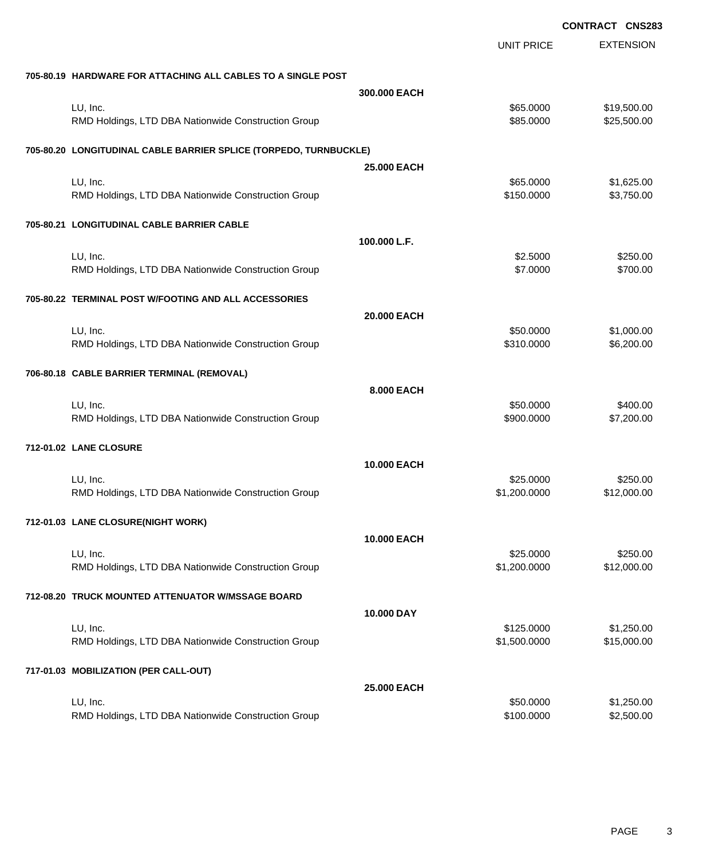|                                                                   |                    |                   | <b>CONTRACT CNS283</b> |
|-------------------------------------------------------------------|--------------------|-------------------|------------------------|
|                                                                   |                    | <b>UNIT PRICE</b> | <b>EXTENSION</b>       |
| 705-80.19 HARDWARE FOR ATTACHING ALL CABLES TO A SINGLE POST      |                    |                   |                        |
|                                                                   | 300.000 EACH       |                   |                        |
| LU, Inc.                                                          |                    | \$65.0000         | \$19,500.00            |
| RMD Holdings, LTD DBA Nationwide Construction Group               |                    | \$85.0000         | \$25,500.00            |
| 705-80.20 LONGITUDINAL CABLE BARRIER SPLICE (TORPEDO, TURNBUCKLE) |                    |                   |                        |
|                                                                   | <b>25,000 EACH</b> |                   |                        |
| LU, Inc.                                                          |                    | \$65.0000         | \$1,625.00             |
| RMD Holdings, LTD DBA Nationwide Construction Group               |                    | \$150.0000        | \$3,750.00             |
| 705-80.21 LONGITUDINAL CABLE BARRIER CABLE                        |                    |                   |                        |
|                                                                   | 100.000 L.F.       |                   |                        |
| LU, Inc.                                                          |                    | \$2.5000          | \$250.00               |
| RMD Holdings, LTD DBA Nationwide Construction Group               |                    | \$7.0000          | \$700.00               |
| 705-80.22 TERMINAL POST W/FOOTING AND ALL ACCESSORIES             |                    |                   |                        |
|                                                                   | 20.000 EACH        |                   |                        |
|                                                                   |                    |                   |                        |
| LU, Inc.                                                          |                    | \$50.0000         | \$1,000.00             |
| RMD Holdings, LTD DBA Nationwide Construction Group               |                    | \$310.0000        | \$6,200.00             |
| 706-80.18 CABLE BARRIER TERMINAL (REMOVAL)                        |                    |                   |                        |
|                                                                   | 8.000 EACH         |                   |                        |
| LU, Inc.                                                          |                    | \$50.0000         | \$400.00               |
| RMD Holdings, LTD DBA Nationwide Construction Group               |                    | \$900.0000        | \$7,200.00             |
| 712-01.02 LANE CLOSURE                                            |                    |                   |                        |
|                                                                   | <b>10.000 EACH</b> |                   |                        |
| LU, Inc.                                                          |                    | \$25.0000         | \$250.00               |
| RMD Holdings, LTD DBA Nationwide Construction Group               |                    | \$1,200.0000      | \$12,000.00            |
|                                                                   |                    |                   |                        |
| 712-01.03 LANE CLOSURE(NIGHT WORK)                                |                    |                   |                        |
|                                                                   | <b>10.000 EACH</b> |                   |                        |
| LU, Inc.                                                          |                    | \$25.0000         | \$250.00               |
| RMD Holdings, LTD DBA Nationwide Construction Group               |                    | \$1,200.0000      | \$12,000.00            |
| 712-08.20 TRUCK MOUNTED ATTENUATOR W/MSSAGE BOARD                 |                    |                   |                        |
|                                                                   | 10.000 DAY         |                   |                        |
| LU, Inc.                                                          |                    | \$125.0000        | \$1,250.00             |
| RMD Holdings, LTD DBA Nationwide Construction Group               |                    | \$1,500.0000      | \$15,000.00            |
| 717-01.03 MOBILIZATION (PER CALL-OUT)                             |                    |                   |                        |
|                                                                   | 25.000 EACH        |                   |                        |
| LU, Inc.                                                          |                    | \$50.0000         | \$1,250.00             |
| RMD Holdings, LTD DBA Nationwide Construction Group               |                    | \$100.0000        | \$2,500.00             |
|                                                                   |                    |                   |                        |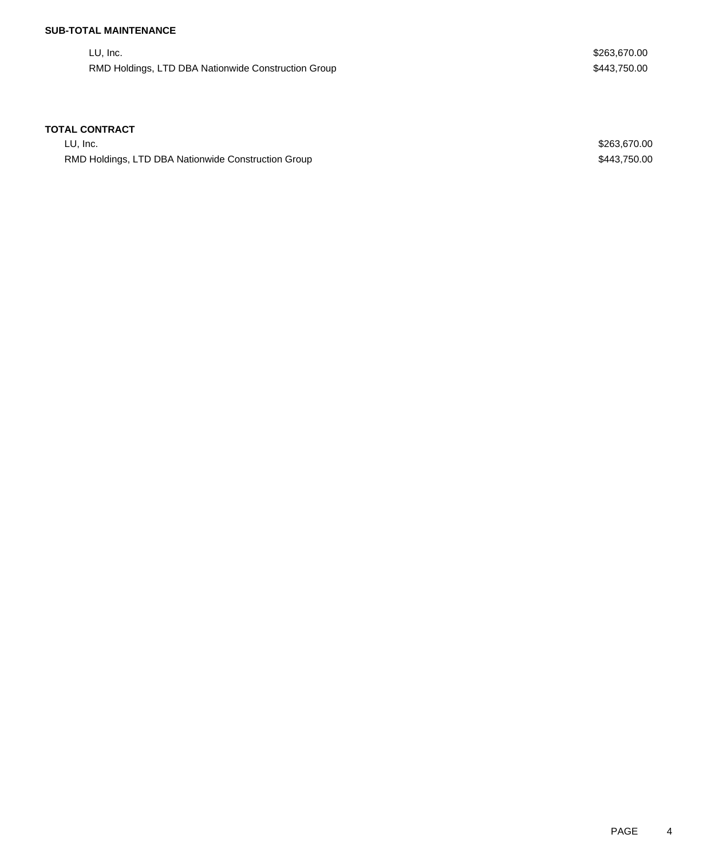## **SUB-TOTAL MAINTENANCE**

LU, Inc. \$263,670.00 RMD Holdings, LTD DBA Nationwide Construction Group **\$443,750.00** \$443,750.00

## **TOTAL CONTRACT**

LU, Inc. \$263,670.00 RMD Holdings, LTD DBA Nationwide Construction Group **\$443,750.00** \$443,750.00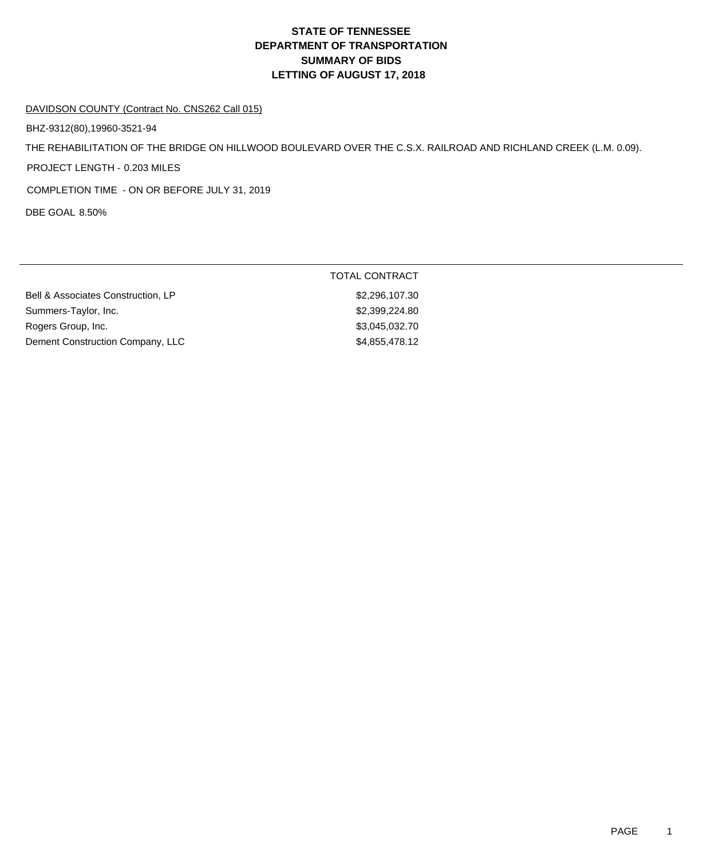# **DEPARTMENT OF TRANSPORTATION SUMMARY OF BIDS LETTING OF AUGUST 17, 2018 STATE OF TENNESSEE**

#### DAVIDSON COUNTY (Contract No. CNS262 Call 015)

BHZ-9312(80),19960-3521-94

THE REHABILITATION OF THE BRIDGE ON HILLWOOD BOULEVARD OVER THE C.S.X. RAILROAD AND RICHLAND CREEK (L.M. 0.09).

PROJECT LENGTH - 0.203 MILES

COMPLETION TIME - ON OR BEFORE JULY 31, 2019

DBE GOAL 8.50%

|                                    | TOTAL CONTRACT |
|------------------------------------|----------------|
| Bell & Associates Construction, LP | \$2,296,107.30 |
| Summers-Taylor, Inc.               | \$2,399,224.80 |
| Rogers Group, Inc.                 | \$3,045,032.70 |
| Dement Construction Company, LLC   | \$4,855,478.12 |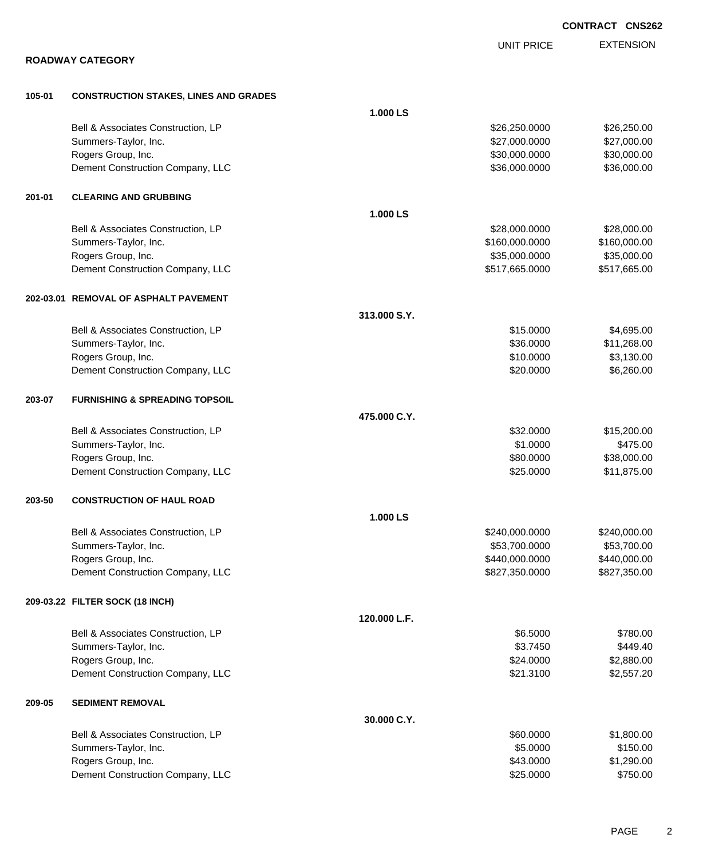|        |                                              |              |                   | <b>CONTRACT CNS262</b> |
|--------|----------------------------------------------|--------------|-------------------|------------------------|
|        |                                              |              | <b>UNIT PRICE</b> | <b>EXTENSION</b>       |
|        | <b>ROADWAY CATEGORY</b>                      |              |                   |                        |
| 105-01 | <b>CONSTRUCTION STAKES, LINES AND GRADES</b> |              |                   |                        |
|        |                                              | 1.000 LS     |                   |                        |
|        | Bell & Associates Construction, LP           |              | \$26,250.0000     | \$26,250.00            |
|        | Summers-Taylor, Inc.                         |              | \$27,000.0000     | \$27,000.00            |
|        | Rogers Group, Inc.                           |              | \$30,000.0000     | \$30,000.00            |
|        | Dement Construction Company, LLC             |              | \$36,000.0000     | \$36,000.00            |
| 201-01 | <b>CLEARING AND GRUBBING</b>                 |              |                   |                        |
|        |                                              | 1.000 LS     |                   |                        |
|        | Bell & Associates Construction, LP           |              | \$28,000.0000     | \$28,000.00            |
|        | Summers-Taylor, Inc.                         |              | \$160,000.0000    | \$160,000.00           |
|        | Rogers Group, Inc.                           |              | \$35,000.0000     | \$35,000.00            |
|        | Dement Construction Company, LLC             |              | \$517,665.0000    | \$517,665.00           |
|        | 202-03.01 REMOVAL OF ASPHALT PAVEMENT        |              |                   |                        |
|        |                                              | 313.000 S.Y. |                   |                        |
|        | Bell & Associates Construction, LP           |              | \$15.0000         | \$4,695.00             |
|        | Summers-Taylor, Inc.                         |              | \$36.0000         | \$11,268.00            |
|        | Rogers Group, Inc.                           |              | \$10.0000         | \$3,130.00             |
|        | Dement Construction Company, LLC             |              | \$20.0000         | \$6,260.00             |
| 203-07 | <b>FURNISHING &amp; SPREADING TOPSOIL</b>    |              |                   |                        |
|        |                                              | 475.000 C.Y. |                   |                        |
|        | Bell & Associates Construction, LP           |              | \$32.0000         | \$15,200.00            |
|        | Summers-Taylor, Inc.                         |              | \$1.0000          | \$475.00               |
|        | Rogers Group, Inc.                           |              | \$80.0000         | \$38,000.00            |
|        | Dement Construction Company, LLC             |              | \$25.0000         | \$11,875.00            |
| 203-50 | <b>CONSTRUCTION OF HAUL ROAD</b>             |              |                   |                        |
|        |                                              | 1.000 LS     |                   |                        |
|        | Bell & Associates Construction, LP           |              | \$240,000.0000    | \$240,000.00           |
|        | Summers-Taylor, Inc.                         |              | \$53,700.0000     | \$53,700.00            |
|        | Rogers Group, Inc.                           |              | \$440,000.0000    | \$440,000.00           |
|        | Dement Construction Company, LLC             |              | \$827,350.0000    | \$827,350.00           |
|        | 209-03.22 FILTER SOCK (18 INCH)              |              |                   |                        |
|        |                                              | 120.000 L.F. |                   |                        |
|        | Bell & Associates Construction, LP           |              | \$6.5000          | \$780.00               |
|        | Summers-Taylor, Inc.                         |              | \$3.7450          | \$449.40               |
|        | Rogers Group, Inc.                           |              | \$24.0000         | \$2,880.00             |
|        | Dement Construction Company, LLC             |              | \$21.3100         | \$2,557.20             |
| 209-05 | <b>SEDIMENT REMOVAL</b>                      |              |                   |                        |
|        |                                              | 30.000 C.Y.  |                   |                        |
|        | Bell & Associates Construction, LP           |              | \$60.0000         | \$1,800.00             |
|        | Summers-Taylor, Inc.                         |              | \$5.0000          | \$150.00               |
|        | Rogers Group, Inc.                           |              | \$43.0000         | \$1,290.00             |
|        | Dement Construction Company, LLC             |              | \$25.0000         | \$750.00               |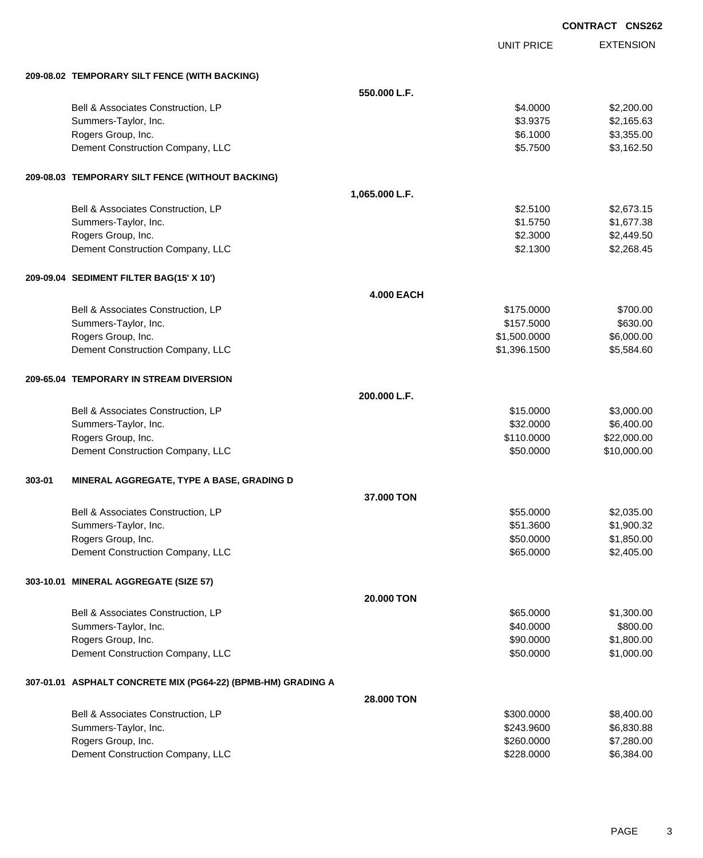|        |                                                              |                   |                   | <b>CONTRACT CNS262</b> |
|--------|--------------------------------------------------------------|-------------------|-------------------|------------------------|
|        |                                                              |                   | <b>UNIT PRICE</b> | <b>EXTENSION</b>       |
|        | 209-08.02 TEMPORARY SILT FENCE (WITH BACKING)                |                   |                   |                        |
|        |                                                              | 550.000 L.F.      |                   |                        |
|        | Bell & Associates Construction, LP                           |                   | \$4.0000          | \$2,200.00             |
|        | Summers-Taylor, Inc.                                         |                   | \$3.9375          | \$2,165.63             |
|        | Rogers Group, Inc.                                           |                   | \$6.1000          | \$3,355.00             |
|        | Dement Construction Company, LLC                             |                   | \$5.7500          | \$3,162.50             |
|        | 209-08.03 TEMPORARY SILT FENCE (WITHOUT BACKING)             |                   |                   |                        |
|        |                                                              | 1,065.000 L.F.    |                   |                        |
|        | Bell & Associates Construction, LP                           |                   | \$2.5100          | \$2,673.15             |
|        | Summers-Taylor, Inc.                                         |                   | \$1.5750          | \$1,677.38             |
|        | Rogers Group, Inc.                                           |                   | \$2.3000          | \$2,449.50             |
|        | Dement Construction Company, LLC                             |                   | \$2.1300          | \$2,268.45             |
|        | 209-09.04 SEDIMENT FILTER BAG(15' X 10')                     |                   |                   |                        |
|        |                                                              | <b>4.000 EACH</b> |                   |                        |
|        | Bell & Associates Construction, LP                           |                   | \$175.0000        | \$700.00               |
|        | Summers-Taylor, Inc.                                         |                   | \$157.5000        | \$630.00               |
|        | Rogers Group, Inc.                                           |                   | \$1,500.0000      | \$6,000.00             |
|        | Dement Construction Company, LLC                             |                   | \$1,396.1500      | \$5,584.60             |
|        | 209-65.04 TEMPORARY IN STREAM DIVERSION                      |                   |                   |                        |
|        |                                                              | 200.000 L.F.      |                   |                        |
|        | Bell & Associates Construction, LP                           |                   | \$15.0000         | \$3,000.00             |
|        | Summers-Taylor, Inc.                                         |                   | \$32.0000         | \$6,400.00             |
|        | Rogers Group, Inc.                                           |                   | \$110.0000        | \$22,000.00            |
|        | Dement Construction Company, LLC                             |                   | \$50.0000         | \$10,000.00            |
| 303-01 | MINERAL AGGREGATE, TYPE A BASE, GRADING D                    |                   |                   |                        |
|        |                                                              | 37.000 TON        |                   |                        |
|        | Bell & Associates Construction, LP                           |                   | \$55.0000         | \$2,035.00             |
|        | Summers-Taylor, Inc.                                         |                   | \$51.3600         | \$1,900.32             |
|        | Rogers Group, Inc.                                           |                   | \$50.0000         | \$1,850.00             |
|        | Dement Construction Company, LLC                             |                   | \$65.0000         | \$2,405.00             |
|        | 303-10.01 MINERAL AGGREGATE (SIZE 57)                        |                   |                   |                        |
|        |                                                              | 20.000 TON        |                   |                        |
|        | Bell & Associates Construction, LP                           |                   | \$65.0000         | \$1,300.00             |
|        | Summers-Taylor, Inc.                                         |                   | \$40.0000         | \$800.00               |
|        | Rogers Group, Inc.                                           |                   | \$90.0000         | \$1,800.00             |
|        | Dement Construction Company, LLC                             |                   | \$50.0000         | \$1,000.00             |
|        | 307-01.01 ASPHALT CONCRETE MIX (PG64-22) (BPMB-HM) GRADING A |                   |                   |                        |
|        |                                                              | 28.000 TON        |                   |                        |
|        | Bell & Associates Construction, LP                           |                   | \$300.0000        | \$8,400.00             |
|        | Summers-Taylor, Inc.                                         |                   | \$243.9600        | \$6,830.88             |
|        | Rogers Group, Inc.                                           |                   | \$260.0000        | \$7,280.00             |
|        | Dement Construction Company, LLC                             |                   | \$228.0000        | \$6,384.00             |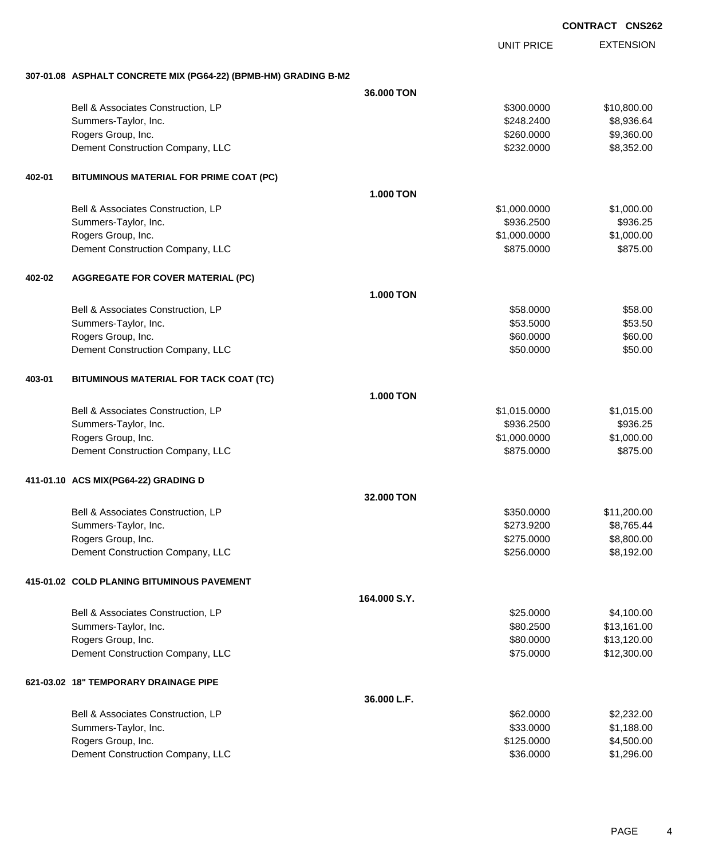EXTENSION UNIT PRICE **307-01.08 ASPHALT CONCRETE MIX (PG64-22) (BPMB-HM) GRADING B-M2 36.000 TON** Bell & Associates Construction, LP 610,800.000 \$10,800.000 \$10,800.00 Summers-Taylor, Inc. \$248.2400 \$8,936.64 Rogers Group, Inc. \$260.000 \$9,360.00 Dement Construction Company, LLC 6. The construction Company, LLC 6. The construction Company, LLC 6. The construction of  $$8,352.000$ **402-01 BITUMINOUS MATERIAL FOR PRIME COAT (PC) 1.000 TON** Bell & Associates Construction, LP 61,000.000 \$1,000.000 \$1,000.000 \$1,000.000 Summers-Taylor, Inc. \$936.2500 \$936.2500 \$936.2500 \$936.2500 \$936.2500 \$936.2500 \$936.25 Rogers Group, Inc. \$1,000.000 \$1,000.000 \$1,000.000 \$1,000.000 \$1,000.000 \$1,000.00 \$1,000.00 \$1,000.00 \$1,000 Dement Construction Company, LLC 6875.000 \$875.000 \$875.000 \$875.000 **402-02 AGGREGATE FOR COVER MATERIAL (PC) 1.000 TON** Bell & Associates Construction, LP 68.000 \$58.000 \$58.000 \$58.000 \$58.000 \$58.000 \$58.000 \$58.00 Summers-Taylor, Inc. \$53.5000 \$53.5000 \$53.5000 \$53.5000 \$53.5000 \$53.5000 \$53.5000 \$53.5000 \$53.5000 \$53.500 \$53.50 Rogers Group, Inc. \$60.000 \$60.000 \$60.000 \$60.000 \$60.000 \$60.000 \$60.000 \$60.000 \$60.00 Dement Construction Company, LLC 60000 \$50.000 \$50.000 \$50.000 \$50.000 \$50.000 \$50.000 \$50.00 **403-01 BITUMINOUS MATERIAL FOR TACK COAT (TC) 1.000 TON** Bell & Associates Construction, LP 6.6 and 2015.000 \$1,015.0000 \$1,015.000 \$1,015.000 Summers-Taylor, Inc. \$936.2500 \$936.2500 \$936.2500 \$936.2500 \$936.2500 \$936.2500 \$936.25 Rogers Group, Inc. \$1,000.000 \$1,000.000 \$1,000.000 \$1,000.000 \$1,000.000 \$1,000.00 Dement Construction Company, LLC 6875.000 \$875.000 \$875.000 \$875.000 **411-01.10 ACS MIX(PG64-22) GRADING D 32.000 TON** Bell & Associates Construction, LP 611,200.00 \$11,200.00 Summers-Taylor, Inc. \$273.9200 \$8,765.44 Rogers Group, Inc. \$275.0000 \$8,800.00 Dement Construction Company, LLC 6. The matrix of the state of the state of the state of the state of the state of the state of the state of the state of the state of the state of the state of the state of the state of the **415-01.02 COLD PLANING BITUMINOUS PAVEMENT 164.000 S.Y.** Bell & Associates Construction, LP 66 and the set of the set of the set of the set of the set of the set of the set of the set of the set of the set of the set of the set of the set of the set of the set of the set of the Summers-Taylor, Inc. \$80.2500 \$13,161.00 Rogers Group, Inc. \$80.0000 \$13,120.00 Dement Construction Company, LLC 6 and the state of the state of the state of the state of the state of the state of the state of the state of the state of the state of the state of the state of the state of the state of t **621-03.02 18" TEMPORARY DRAINAGE PIPE 36.000 L.F.** Bell & Associates Construction, LP 62.000 \$2,232.00 Summers-Taylor, Inc. \$33.0000 \$1,188.00 Rogers Group, Inc. \$1,500.00 \$4,500.00 \$4,500.00 \$4,500.00 \$4,500.00 \$4,500.00 \$4,500.00 \$4,500.00 \$4,500.00 \$4,500 Dement Construction Company, LLC 6 and the construction Company, LLC 6 and the construction Company, LLC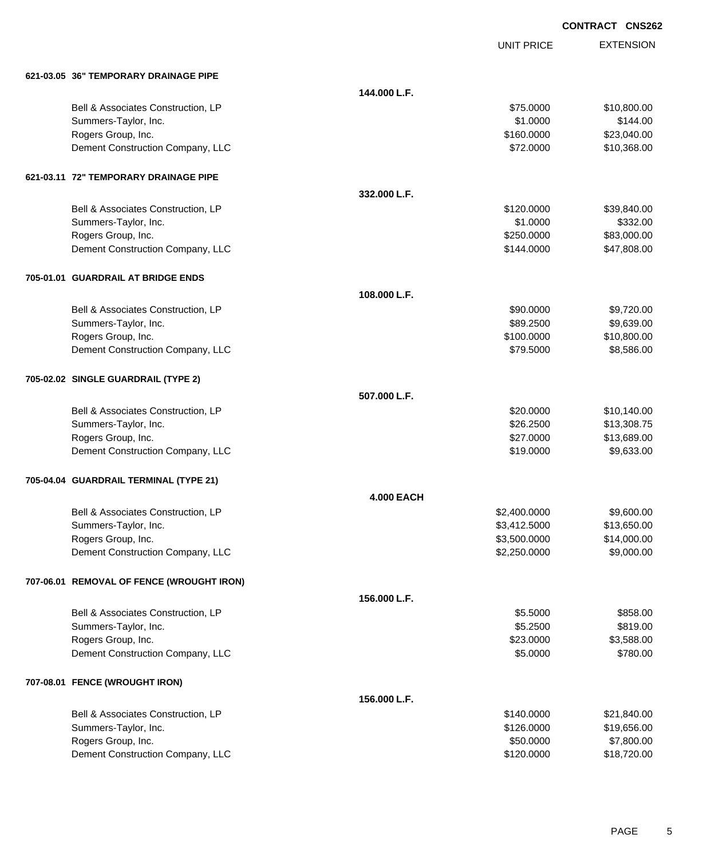UNIT PRICE EXTENSION

| 621-03.05 36" TEMPORARY DRAINAGE PIPE |  |
|---------------------------------------|--|

| 621-03.05 36" TEMPORARY DRAINAGE PIPE     |                   |              |             |
|-------------------------------------------|-------------------|--------------|-------------|
|                                           | 144.000 L.F.      |              |             |
| Bell & Associates Construction, LP        |                   | \$75.0000    | \$10,800.00 |
| Summers-Taylor, Inc.                      |                   | \$1.0000     | \$144.00    |
| Rogers Group, Inc.                        |                   | \$160.0000   | \$23,040.00 |
| Dement Construction Company, LLC          |                   | \$72.0000    | \$10,368.00 |
| 621-03.11 72" TEMPORARY DRAINAGE PIPE     |                   |              |             |
|                                           | 332.000 L.F.      |              |             |
| Bell & Associates Construction, LP        |                   | \$120.0000   | \$39,840.00 |
| Summers-Taylor, Inc.                      |                   | \$1.0000     | \$332.00    |
| Rogers Group, Inc.                        |                   | \$250.0000   | \$83,000.00 |
| Dement Construction Company, LLC          |                   | \$144.0000   | \$47,808.00 |
| 705-01.01 GUARDRAIL AT BRIDGE ENDS        |                   |              |             |
|                                           | 108.000 L.F.      |              |             |
| Bell & Associates Construction, LP        |                   | \$90.0000    | \$9,720.00  |
| Summers-Taylor, Inc.                      |                   | \$89.2500    | \$9,639.00  |
| Rogers Group, Inc.                        |                   | \$100.0000   | \$10,800.00 |
| Dement Construction Company, LLC          |                   | \$79.5000    | \$8,586.00  |
| 705-02.02 SINGLE GUARDRAIL (TYPE 2)       |                   |              |             |
|                                           | 507.000 L.F.      |              |             |
| Bell & Associates Construction, LP        |                   | \$20.0000    | \$10,140.00 |
| Summers-Taylor, Inc.                      |                   | \$26.2500    | \$13,308.75 |
| Rogers Group, Inc.                        |                   | \$27.0000    | \$13,689.00 |
| Dement Construction Company, LLC          |                   | \$19.0000    | \$9,633.00  |
| 705-04.04 GUARDRAIL TERMINAL (TYPE 21)    |                   |              |             |
|                                           | <b>4.000 EACH</b> |              |             |
| Bell & Associates Construction, LP        |                   | \$2,400.0000 | \$9,600.00  |
| Summers-Taylor, Inc.                      |                   | \$3,412.5000 | \$13,650.00 |
| Rogers Group, Inc.                        |                   | \$3,500.0000 | \$14,000.00 |
| Dement Construction Company, LLC          |                   | \$2,250.0000 | \$9,000.00  |
| 707-06.01 REMOVAL OF FENCE (WROUGHT IRON) |                   |              |             |
|                                           | 156.000 L.F.      |              |             |
| Bell & Associates Construction, LP        |                   | \$5.5000     | \$858.00    |
| Summers-Taylor, Inc.                      |                   | \$5.2500     | \$819.00    |
| Rogers Group, Inc.                        |                   | \$23.0000    | \$3,588.00  |
| Dement Construction Company, LLC          |                   | \$5.0000     | \$780.00    |
| 707-08.01 FENCE (WROUGHT IRON)            |                   |              |             |
|                                           | 156.000 L.F.      |              |             |
| Bell & Associates Construction, LP        |                   | \$140.0000   | \$21,840.00 |
| Summers-Taylor, Inc.                      |                   | \$126.0000   | \$19,656.00 |
| Rogers Group, Inc.                        |                   | \$50.0000    | \$7,800.00  |
| Dement Construction Company, LLC          |                   | \$120.0000   | \$18,720.00 |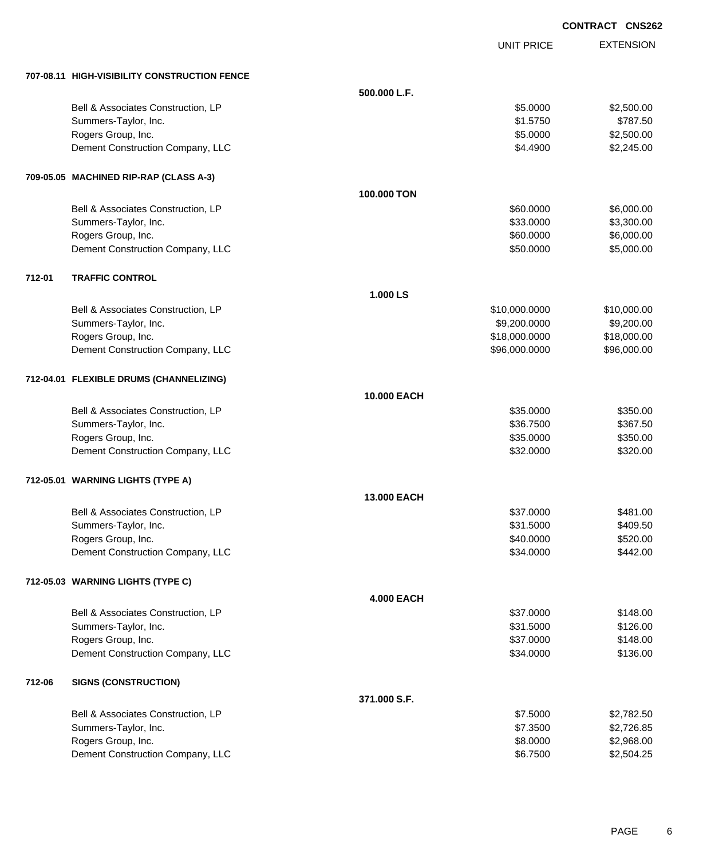|        |                                              |                    |                   | <b>CONTRACT CNS262</b> |
|--------|----------------------------------------------|--------------------|-------------------|------------------------|
|        |                                              |                    | <b>UNIT PRICE</b> | <b>EXTENSION</b>       |
|        | 707-08.11 HIGH-VISIBILITY CONSTRUCTION FENCE |                    |                   |                        |
|        |                                              | 500.000 L.F.       |                   |                        |
|        | Bell & Associates Construction, LP           |                    | \$5.0000          | \$2,500.00             |
|        | Summers-Taylor, Inc.                         |                    | \$1.5750          | \$787.50               |
|        | Rogers Group, Inc.                           |                    | \$5.0000          | \$2,500.00             |
|        | Dement Construction Company, LLC             |                    | \$4.4900          | \$2,245.00             |
|        | 709-05.05 MACHINED RIP-RAP (CLASS A-3)       |                    |                   |                        |
|        |                                              | 100,000 TON        |                   |                        |
|        | Bell & Associates Construction, LP           |                    | \$60.0000         | \$6,000.00             |
|        | Summers-Taylor, Inc.                         |                    | \$33.0000         | \$3,300.00             |
|        | Rogers Group, Inc.                           |                    | \$60.0000         | \$6,000.00             |
|        | Dement Construction Company, LLC             |                    | \$50.0000         | \$5,000.00             |
| 712-01 | <b>TRAFFIC CONTROL</b>                       |                    |                   |                        |
|        |                                              | 1.000 LS           |                   |                        |
|        | Bell & Associates Construction, LP           |                    | \$10,000.0000     | \$10,000.00            |
|        | Summers-Taylor, Inc.                         |                    | \$9,200.0000      | \$9,200.00             |
|        | Rogers Group, Inc.                           |                    | \$18,000.0000     | \$18,000.00            |
|        | Dement Construction Company, LLC             |                    | \$96,000.0000     | \$96,000.00            |
|        | 712-04.01 FLEXIBLE DRUMS (CHANNELIZING)      |                    |                   |                        |
|        |                                              | <b>10.000 EACH</b> |                   |                        |
|        | Bell & Associates Construction, LP           |                    | \$35.0000         | \$350.00               |
|        | Summers-Taylor, Inc.                         |                    | \$36.7500         | \$367.50               |
|        | Rogers Group, Inc.                           |                    | \$35.0000         | \$350.00               |
|        | Dement Construction Company, LLC             |                    | \$32.0000         | \$320.00               |
|        | 712-05.01 WARNING LIGHTS (TYPE A)            |                    |                   |                        |
|        |                                              | 13,000 EACH        |                   |                        |
|        | Bell & Associates Construction, LP           |                    | \$37.0000         | \$481.00               |
|        | Summers-Taylor, Inc.                         |                    | \$31.5000         | \$409.50               |
|        | Rogers Group, Inc.                           |                    | \$40.0000         | \$520.00               |
|        | Dement Construction Company, LLC             |                    | \$34.0000         | \$442.00               |
|        | 712-05.03 WARNING LIGHTS (TYPE C)            |                    |                   |                        |
|        |                                              | <b>4.000 EACH</b>  |                   |                        |
|        | Bell & Associates Construction, LP           |                    | \$37.0000         | \$148.00               |
|        | Summers-Taylor, Inc.                         |                    | \$31.5000         | \$126.00               |
|        | Rogers Group, Inc.                           |                    | \$37.0000         | \$148.00               |
|        | Dement Construction Company, LLC             |                    | \$34.0000         | \$136.00               |
| 712-06 | <b>SIGNS (CONSTRUCTION)</b>                  |                    |                   |                        |
|        |                                              | 371.000 S.F.       |                   |                        |
|        | Bell & Associates Construction, LP           |                    | \$7.5000          | \$2,782.50             |
|        | Summers-Taylor, Inc.                         |                    | \$7.3500          | \$2,726.85             |
|        | Rogers Group, Inc.                           |                    | \$8.0000          | \$2,968.00             |
|        | Dement Construction Company, LLC             |                    | \$6.7500          | \$2,504.25             |

PAGE 6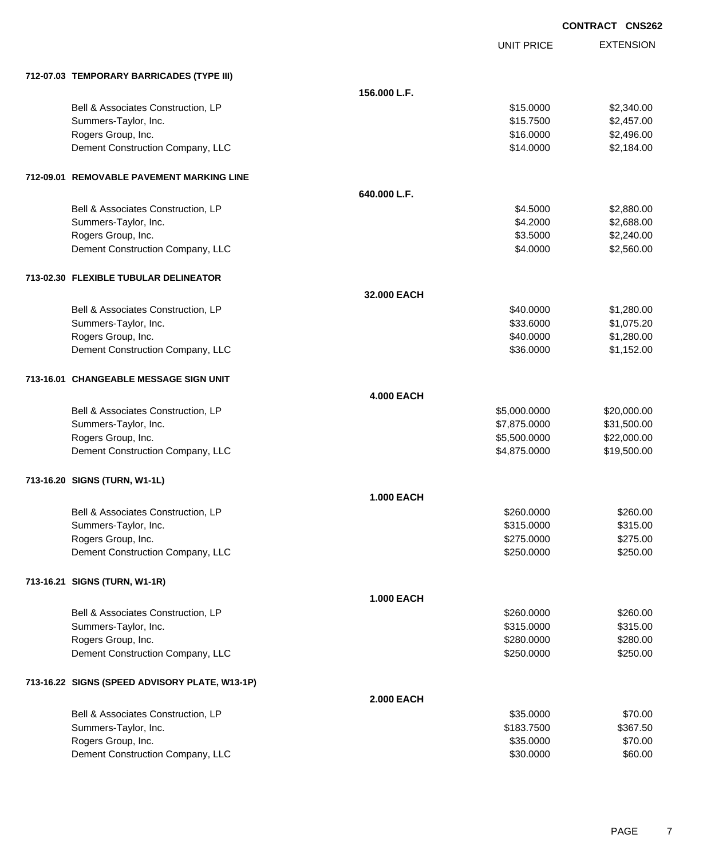|                                                |                   |                   | <b>CONTRACT CNS262</b> |                  |
|------------------------------------------------|-------------------|-------------------|------------------------|------------------|
|                                                |                   | <b>UNIT PRICE</b> |                        | <b>EXTENSION</b> |
| 712-07.03 TEMPORARY BARRICADES (TYPE III)      |                   |                   |                        |                  |
|                                                | 156.000 L.F.      |                   |                        |                  |
| Bell & Associates Construction, LP             |                   | \$15.0000         |                        | \$2,340.00       |
| Summers-Taylor, Inc.                           |                   | \$15.7500         |                        | \$2,457.00       |
| Rogers Group, Inc.                             |                   | \$16.0000         |                        | \$2,496.00       |
| Dement Construction Company, LLC               |                   | \$14.0000         |                        | \$2,184.00       |
| 712-09.01 REMOVABLE PAVEMENT MARKING LINE      |                   |                   |                        |                  |
|                                                | 640.000 L.F.      |                   |                        |                  |
| Bell & Associates Construction, LP             |                   | \$4.5000          |                        | \$2,880.00       |
| Summers-Taylor, Inc.                           |                   | \$4.2000          |                        | \$2,688.00       |
| Rogers Group, Inc.                             |                   | \$3.5000          |                        | \$2,240.00       |
| Dement Construction Company, LLC               |                   | \$4.0000          |                        | \$2,560.00       |
| 713-02.30 FLEXIBLE TUBULAR DELINEATOR          |                   |                   |                        |                  |
|                                                | 32.000 EACH       |                   |                        |                  |
| Bell & Associates Construction, LP             |                   | \$40.0000         |                        | \$1,280.00       |
| Summers-Taylor, Inc.                           |                   | \$33.6000         |                        | \$1,075.20       |
| Rogers Group, Inc.                             |                   | \$40.0000         |                        | \$1,280.00       |
| Dement Construction Company, LLC               |                   | \$36.0000         |                        | \$1,152.00       |
| 713-16.01 CHANGEABLE MESSAGE SIGN UNIT         |                   |                   |                        |                  |
|                                                | <b>4.000 EACH</b> |                   |                        |                  |
| Bell & Associates Construction, LP             |                   | \$5,000.0000      |                        | \$20,000.00      |
| Summers-Taylor, Inc.                           |                   | \$7,875.0000      |                        | \$31,500.00      |
| Rogers Group, Inc.                             |                   | \$5,500.0000      |                        | \$22,000.00      |
| Dement Construction Company, LLC               |                   | \$4,875.0000      |                        | \$19,500.00      |
| 713-16.20 SIGNS (TURN, W1-1L)                  |                   |                   |                        |                  |
|                                                | <b>1.000 EACH</b> |                   |                        |                  |
| Bell & Associates Construction, LP             |                   | \$260.0000        |                        | \$260.00         |
| Summers-Taylor, Inc.                           |                   | \$315.0000        |                        | \$315.00         |
| Rogers Group, Inc.                             |                   | \$275.0000        |                        | \$275.00         |
| Dement Construction Company, LLC               |                   | \$250.0000        |                        | \$250.00         |
| 713-16.21 SIGNS (TURN, W1-1R)                  |                   |                   |                        |                  |
|                                                | <b>1.000 EACH</b> |                   |                        |                  |
| Bell & Associates Construction, LP             |                   | \$260.0000        |                        | \$260.00         |
| Summers-Taylor, Inc.                           |                   | \$315.0000        |                        | \$315.00         |
| Rogers Group, Inc.                             |                   | \$280.0000        |                        | \$280.00         |
| Dement Construction Company, LLC               |                   | \$250.0000        |                        | \$250.00         |
| 713-16.22 SIGNS (SPEED ADVISORY PLATE, W13-1P) |                   |                   |                        |                  |
|                                                | <b>2.000 EACH</b> |                   |                        |                  |
| Bell & Associates Construction, LP             |                   | \$35.0000         |                        | \$70.00          |
| Summers-Taylor, Inc.                           |                   | \$183.7500        |                        | \$367.50         |
| Rogers Group, Inc.                             |                   | \$35.0000         |                        | \$70.00          |
| Dement Construction Company, LLC               |                   | \$30.0000         |                        | \$60.00          |

Dement Construction Company, LLC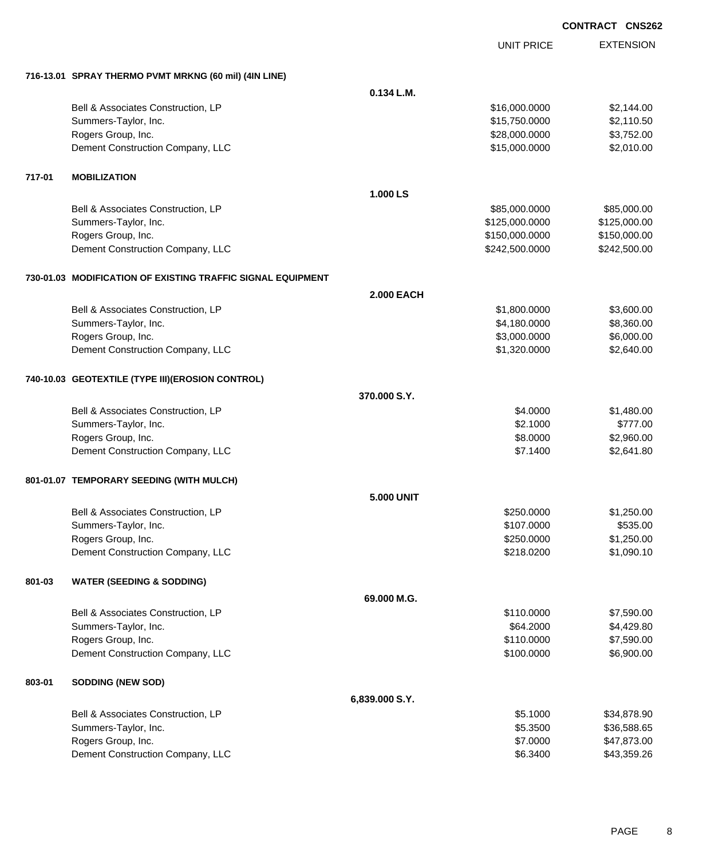|        |                                                             |                   | <b>UNIT PRICE</b> | <b>EXTENSION</b> |
|--------|-------------------------------------------------------------|-------------------|-------------------|------------------|
|        |                                                             |                   |                   |                  |
|        | 716-13.01 SPRAY THERMO PVMT MRKNG (60 mil) (4IN LINE)       |                   |                   |                  |
|        |                                                             | 0.134 L.M.        |                   |                  |
|        | Bell & Associates Construction, LP                          |                   | \$16,000.0000     | \$2,144.00       |
|        | Summers-Taylor, Inc.                                        |                   | \$15,750.0000     | \$2,110.50       |
|        | Rogers Group, Inc.                                          |                   | \$28,000.0000     | \$3,752.00       |
|        | Dement Construction Company, LLC                            |                   | \$15,000.0000     | \$2,010.00       |
| 717-01 | <b>MOBILIZATION</b>                                         |                   |                   |                  |
|        |                                                             | 1.000 LS          |                   |                  |
|        | Bell & Associates Construction, LP                          |                   | \$85,000.0000     | \$85,000.00      |
|        | Summers-Taylor, Inc.                                        |                   | \$125,000.0000    | \$125,000.00     |
|        | Rogers Group, Inc.                                          |                   | \$150,000.0000    | \$150,000.00     |
|        | Dement Construction Company, LLC                            |                   | \$242,500.0000    | \$242,500.00     |
|        | 730-01.03 MODIFICATION OF EXISTING TRAFFIC SIGNAL EQUIPMENT |                   |                   |                  |
|        |                                                             | <b>2.000 EACH</b> |                   |                  |
|        | Bell & Associates Construction, LP                          |                   | \$1,800.0000      | \$3,600.00       |
|        | Summers-Taylor, Inc.                                        |                   | \$4,180.0000      | \$8,360.00       |
|        | Rogers Group, Inc.                                          |                   | \$3,000.0000      | \$6,000.00       |
|        | Dement Construction Company, LLC                            |                   | \$1,320.0000      | \$2,640.00       |
|        | 740-10.03 GEOTEXTILE (TYPE III)(EROSION CONTROL)            |                   |                   |                  |
|        |                                                             | 370.000 S.Y.      |                   |                  |
|        | Bell & Associates Construction, LP                          |                   | \$4.0000          | \$1,480.00       |
|        | Summers-Taylor, Inc.                                        |                   | \$2.1000          | \$777.00         |
|        | Rogers Group, Inc.                                          |                   | \$8.0000          | \$2,960.00       |
|        | Dement Construction Company, LLC                            |                   | \$7.1400          | \$2,641.80       |
|        | 801-01.07 TEMPORARY SEEDING (WITH MULCH)                    |                   |                   |                  |
|        |                                                             | <b>5.000 UNIT</b> |                   |                  |
|        | Bell & Associates Construction, LP                          |                   | \$250.0000        | \$1,250.00       |
|        | Summers-Taylor, Inc.                                        |                   | \$107.0000        | \$535.00         |
|        | Rogers Group, Inc.                                          |                   | \$250.0000        | \$1,250.00       |
|        | Dement Construction Company, LLC                            |                   | \$218.0200        | \$1,090.10       |
| 801-03 | <b>WATER (SEEDING &amp; SODDING)</b>                        |                   |                   |                  |
|        |                                                             | 69.000 M.G.       |                   |                  |
|        | Bell & Associates Construction, LP                          |                   | \$110.0000        | \$7,590.00       |
|        | Summers-Taylor, Inc.                                        |                   | \$64.2000         | \$4,429.80       |
|        | Rogers Group, Inc.                                          |                   | \$110.0000        | \$7,590.00       |
|        | Dement Construction Company, LLC                            |                   | \$100.0000        | \$6,900.00       |
| 803-01 | <b>SODDING (NEW SOD)</b>                                    |                   |                   |                  |
|        |                                                             | 6,839.000 S.Y.    |                   |                  |
|        | Bell & Associates Construction, LP                          |                   | \$5.1000          | \$34,878.90      |
|        | Summers-Taylor, Inc.                                        |                   | \$5.3500          | \$36,588.65      |
|        | Rogers Group, Inc.                                          |                   | \$7.0000          | \$47,873.00      |
|        | Dement Construction Company, LLC                            |                   | \$6.3400          | \$43,359.26      |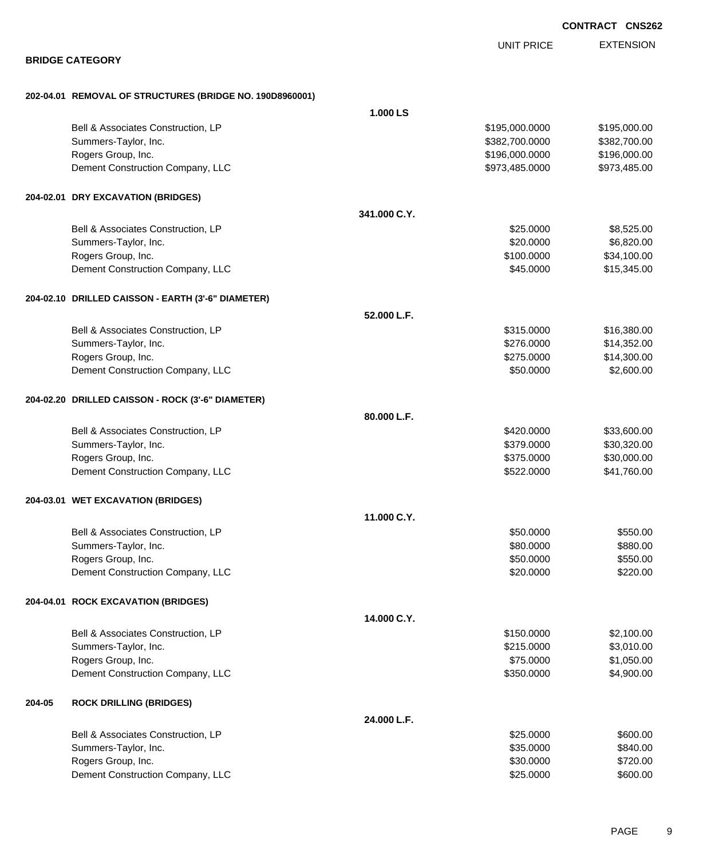|        |                                                          |              |                   | <b>CONTRACT CNS262</b> |
|--------|----------------------------------------------------------|--------------|-------------------|------------------------|
|        |                                                          |              | <b>UNIT PRICE</b> | <b>EXTENSION</b>       |
|        | <b>BRIDGE CATEGORY</b>                                   |              |                   |                        |
|        | 202-04.01 REMOVAL OF STRUCTURES (BRIDGE NO. 190D8960001) |              |                   |                        |
|        |                                                          | 1.000 LS     |                   |                        |
|        | Bell & Associates Construction, LP                       |              | \$195,000.0000    | \$195,000.00           |
|        | Summers-Taylor, Inc.                                     |              | \$382,700.0000    | \$382,700.00           |
|        | Rogers Group, Inc.                                       |              | \$196,000.0000    | \$196,000.00           |
|        | Dement Construction Company, LLC                         |              | \$973,485.0000    | \$973,485.00           |
|        | 204-02.01 DRY EXCAVATION (BRIDGES)                       |              |                   |                        |
|        |                                                          | 341,000 C.Y. |                   |                        |
|        | Bell & Associates Construction, LP                       |              | \$25.0000         | \$8,525.00             |
|        | Summers-Taylor, Inc.                                     |              | \$20.0000         | \$6,820.00             |
|        | Rogers Group, Inc.                                       |              | \$100.0000        | \$34,100.00            |
|        | Dement Construction Company, LLC                         |              | \$45.0000         | \$15,345.00            |
|        | 204-02.10 DRILLED CAISSON - EARTH (3'-6" DIAMETER)       |              |                   |                        |
|        |                                                          | 52.000 L.F.  |                   |                        |
|        | Bell & Associates Construction, LP                       |              | \$315.0000        | \$16,380.00            |
|        | Summers-Taylor, Inc.                                     |              | \$276.0000        | \$14,352.00            |
|        | Rogers Group, Inc.                                       |              | \$275.0000        | \$14,300.00            |
|        | Dement Construction Company, LLC                         |              | \$50.0000         | \$2,600.00             |
|        | 204-02.20 DRILLED CAISSON - ROCK (3'-6" DIAMETER)        |              |                   |                        |
|        |                                                          | 80.000 L.F.  |                   |                        |
|        | Bell & Associates Construction, LP                       |              | \$420.0000        | \$33,600.00            |
|        | Summers-Taylor, Inc.                                     |              | \$379.0000        | \$30,320.00            |
|        | Rogers Group, Inc.                                       |              | \$375.0000        | \$30,000.00            |
|        | Dement Construction Company, LLC                         |              | \$522.0000        | \$41,760.00            |
|        | 204-03.01 WET EXCAVATION (BRIDGES)                       |              |                   |                        |
|        |                                                          | 11.000 C.Y.  |                   |                        |
|        | Bell & Associates Construction, LP                       |              | \$50.0000         | \$550.00               |
|        | Summers-Taylor, Inc.                                     |              | \$80.0000         | \$880.00               |
|        | Rogers Group, Inc.                                       |              | \$50.0000         | \$550.00               |
|        | Dement Construction Company, LLC                         |              | \$20.0000         | \$220.00               |
|        | 204-04.01 ROCK EXCAVATION (BRIDGES)                      |              |                   |                        |
|        |                                                          | 14.000 C.Y.  |                   |                        |
|        | Bell & Associates Construction, LP                       |              | \$150.0000        | \$2,100.00             |
|        | Summers-Taylor, Inc.                                     |              | \$215.0000        | \$3,010.00             |
|        | Rogers Group, Inc.                                       |              | \$75.0000         | \$1,050.00             |
|        | Dement Construction Company, LLC                         |              | \$350.0000        | \$4,900.00             |
| 204-05 | <b>ROCK DRILLING (BRIDGES)</b>                           |              |                   |                        |
|        |                                                          | 24.000 L.F.  |                   |                        |
|        | Bell & Associates Construction, LP                       |              | \$25.0000         | \$600.00               |
|        | Summers-Taylor, Inc.                                     |              | \$35.0000         | \$840.00               |
|        | Rogers Group, Inc.                                       |              | \$30.0000         | \$720.00               |
|        | Dement Construction Company, LLC                         |              | \$25.0000         | \$600.00               |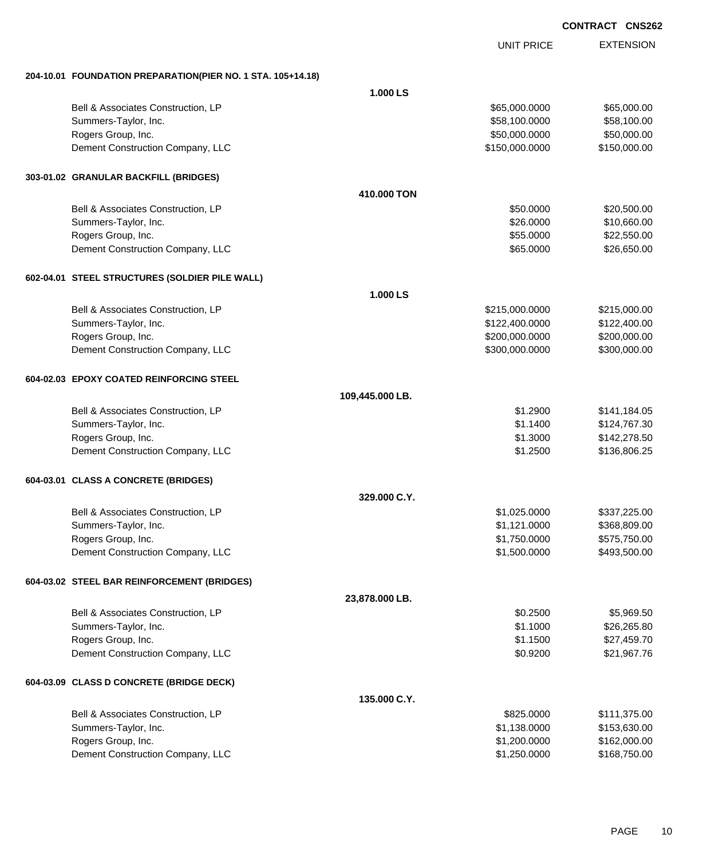|                                                             |                 | <b>UNIT PRICE</b> | <b>EXTENSION</b> |
|-------------------------------------------------------------|-----------------|-------------------|------------------|
| 204-10.01 FOUNDATION PREPARATION(PIER NO. 1 STA. 105+14.18) |                 |                   |                  |
|                                                             | 1.000 LS        |                   |                  |
| Bell & Associates Construction, LP                          |                 | \$65,000.0000     | \$65,000.00      |
| Summers-Taylor, Inc.                                        |                 | \$58,100.0000     | \$58,100.00      |
| Rogers Group, Inc.                                          |                 | \$50,000.0000     | \$50,000.00      |
| Dement Construction Company, LLC                            |                 | \$150,000.0000    | \$150,000.00     |
| 303-01.02 GRANULAR BACKFILL (BRIDGES)                       |                 |                   |                  |
|                                                             | 410,000 TON     |                   |                  |
| Bell & Associates Construction, LP                          |                 | \$50.0000         | \$20,500.00      |
| Summers-Taylor, Inc.                                        |                 | \$26.0000         | \$10,660.00      |
| Rogers Group, Inc.                                          |                 | \$55.0000         | \$22,550.00      |
| Dement Construction Company, LLC                            |                 | \$65.0000         | \$26,650.00      |
| 602-04.01 STEEL STRUCTURES (SOLDIER PILE WALL)              |                 |                   |                  |
|                                                             | 1.000 LS        |                   |                  |
| Bell & Associates Construction, LP                          |                 | \$215,000.0000    | \$215,000.00     |
| Summers-Taylor, Inc.                                        |                 | \$122,400.0000    | \$122,400.00     |
| Rogers Group, Inc.                                          |                 | \$200,000.0000    | \$200,000.00     |
| Dement Construction Company, LLC                            |                 | \$300,000.0000    | \$300,000.00     |
| 604-02.03 EPOXY COATED REINFORCING STEEL                    |                 |                   |                  |
|                                                             | 109,445.000 LB. |                   |                  |
| Bell & Associates Construction, LP                          |                 | \$1.2900          | \$141,184.05     |
| Summers-Taylor, Inc.                                        |                 | \$1.1400          | \$124,767.30     |
| Rogers Group, Inc.                                          |                 | \$1.3000          | \$142,278.50     |
| Dement Construction Company, LLC                            |                 | \$1.2500          | \$136,806.25     |
| 604-03.01 CLASS A CONCRETE (BRIDGES)                        |                 |                   |                  |
|                                                             | 329.000 C.Y.    |                   |                  |
| Bell & Associates Construction, LP                          |                 | \$1,025.0000      | \$337,225.00     |
| Summers-Taylor, Inc.                                        |                 | \$1,121.0000      | \$368,809.00     |
| Rogers Group, Inc.                                          |                 | \$1,750.0000      | \$575,750.00     |
| Dement Construction Company, LLC                            |                 | \$1,500.0000      | \$493,500.00     |
| 604-03.02 STEEL BAR REINFORCEMENT (BRIDGES)                 |                 |                   |                  |
|                                                             | 23,878.000 LB.  |                   |                  |
| Bell & Associates Construction, LP                          |                 | \$0.2500          | \$5,969.50       |
| Summers-Taylor, Inc.                                        |                 | \$1.1000          | \$26,265.80      |
| Rogers Group, Inc.                                          |                 | \$1.1500          | \$27,459.70      |
| Dement Construction Company, LLC                            |                 | \$0.9200          | \$21,967.76      |
| 604-03.09 CLASS D CONCRETE (BRIDGE DECK)                    |                 |                   |                  |
|                                                             | 135.000 C.Y.    |                   |                  |
| Bell & Associates Construction, LP                          |                 | \$825.0000        | \$111,375.00     |
| Summers-Taylor, Inc.                                        |                 | \$1,138.0000      | \$153,630.00     |
| Rogers Group, Inc.                                          |                 | \$1,200.0000      | \$162,000.00     |
| Dement Construction Company, LLC                            |                 | \$1,250.0000      | \$168,750.00     |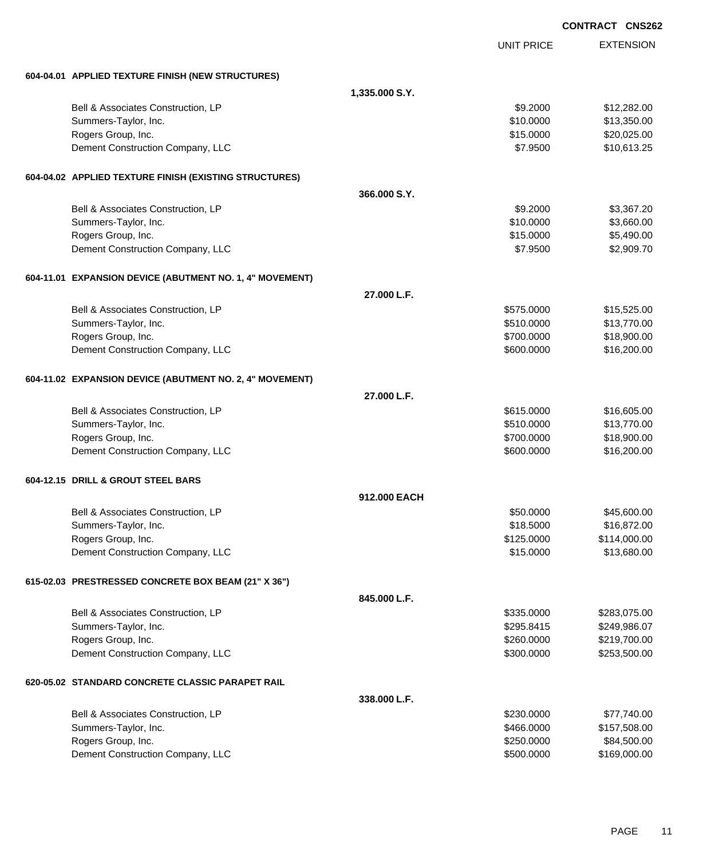|                                                          |                |                   | <b>CONTRACT CNS262</b> |
|----------------------------------------------------------|----------------|-------------------|------------------------|
|                                                          |                | <b>UNIT PRICE</b> | <b>EXTENSION</b>       |
| 604-04.01 APPLIED TEXTURE FINISH (NEW STRUCTURES)        |                |                   |                        |
|                                                          | 1,335.000 S.Y. |                   |                        |
| Bell & Associates Construction, LP                       |                | \$9.2000          | \$12,282.00            |
| Summers-Taylor, Inc.                                     |                | \$10.0000         | \$13,350.00            |
| Rogers Group, Inc.                                       |                | \$15.0000         | \$20,025.00            |
| Dement Construction Company, LLC                         |                | \$7.9500          | \$10,613.25            |
| 604-04.02 APPLIED TEXTURE FINISH (EXISTING STRUCTURES)   |                |                   |                        |
|                                                          | 366,000 S.Y.   |                   |                        |
| Bell & Associates Construction, LP                       |                | \$9.2000          | \$3,367.20             |
| Summers-Taylor, Inc.                                     |                | \$10.0000         | \$3,660.00             |
| Rogers Group, Inc.                                       |                | \$15.0000         | \$5,490.00             |
| Dement Construction Company, LLC                         |                | \$7.9500          | \$2,909.70             |
| 604-11.01 EXPANSION DEVICE (ABUTMENT NO. 1, 4" MOVEMENT) |                |                   |                        |
|                                                          | 27.000 L.F.    |                   |                        |
| Bell & Associates Construction, LP                       |                | \$575.0000        | \$15,525.00            |
| Summers-Taylor, Inc.                                     |                | \$510.0000        | \$13,770.00            |
| Rogers Group, Inc.                                       |                | \$700.0000        | \$18,900.00            |
| Dement Construction Company, LLC                         |                | \$600.0000        | \$16,200.00            |
| 604-11.02 EXPANSION DEVICE (ABUTMENT NO. 2, 4" MOVEMENT) |                |                   |                        |
|                                                          | 27.000 L.F.    |                   |                        |
| Bell & Associates Construction, LP                       |                | \$615.0000        | \$16,605.00            |
| Summers-Taylor, Inc.                                     |                | \$510.0000        | \$13,770.00            |
| Rogers Group, Inc.                                       |                | \$700.0000        | \$18,900.00            |
| Dement Construction Company, LLC                         |                | \$600.0000        | \$16,200.00            |
| 604-12.15 DRILL & GROUT STEEL BARS                       |                |                   |                        |
|                                                          | 912,000 EACH   |                   |                        |
| Bell & Associates Construction, LP                       |                | \$50.0000         | \$45,600.00            |
| Summers-Taylor, Inc.                                     |                | \$18.5000         | \$16,872.00            |
| Rogers Group, Inc.                                       |                | \$125.0000        | \$114,000.00           |
| Dement Construction Company, LLC                         |                | \$15.0000         | \$13,680.00            |
| 615-02.03 PRESTRESSED CONCRETE BOX BEAM (21" X 36")      |                |                   |                        |
|                                                          | 845.000 L.F.   |                   |                        |
| Bell & Associates Construction, LP                       |                | \$335.0000        | \$283,075.00           |
| Summers-Taylor, Inc.                                     |                | \$295.8415        | \$249,986.07           |
| Rogers Group, Inc.                                       |                | \$260.0000        | \$219,700.00           |
| Dement Construction Company, LLC                         |                | \$300.0000        | \$253,500.00           |
| 620-05.02 STANDARD CONCRETE CLASSIC PARAPET RAIL         |                |                   |                        |
|                                                          | 338.000 L.F.   |                   |                        |
| Bell & Associates Construction, LP                       |                | \$230.0000        | \$77,740.00            |
| Summers-Taylor, Inc.                                     |                | \$466.0000        | \$157,508.00           |
| Rogers Group, Inc.                                       |                | \$250.0000        | \$84,500.00            |
| Dement Construction Company, LLC                         |                | \$500.0000        | \$169,000.00           |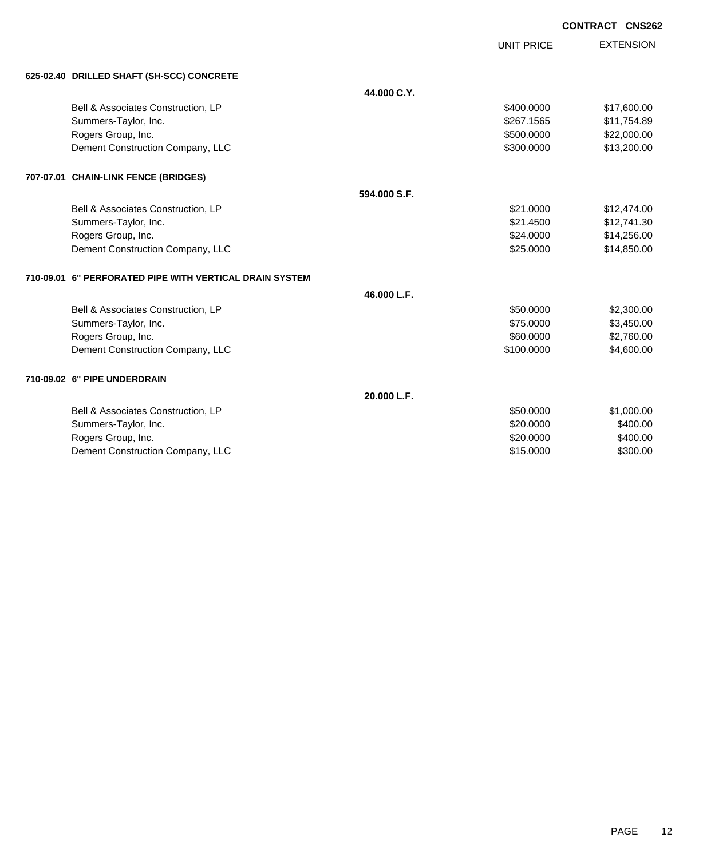| <b>CONTRACT CNS262</b> |
|------------------------|
|------------------------|

UNIT PRICE

EXTENSION

| 625-02.40 DRILLED SHAFT (SH-SCC) CONCRETE |  |
|-------------------------------------------|--|
|                                           |  |

| 625-02.40 DRILLED SHAFT (SH-SCC) CONCRETE               |              |            |             |
|---------------------------------------------------------|--------------|------------|-------------|
|                                                         | 44.000 C.Y.  |            |             |
| Bell & Associates Construction, LP                      |              | \$400.0000 | \$17,600.00 |
| Summers-Taylor, Inc.                                    |              | \$267.1565 | \$11,754.89 |
| Rogers Group, Inc.                                      |              | \$500.0000 | \$22,000.00 |
| Dement Construction Company, LLC                        |              | \$300.0000 | \$13,200.00 |
| 707-07.01 CHAIN-LINK FENCE (BRIDGES)                    |              |            |             |
|                                                         | 594,000 S.F. |            |             |
| Bell & Associates Construction, LP                      |              | \$21,0000  | \$12,474.00 |
| Summers-Taylor, Inc.                                    |              | \$21,4500  | \$12,741.30 |
| Rogers Group, Inc.                                      |              | \$24.0000  | \$14,256.00 |
| Dement Construction Company, LLC                        |              | \$25,0000  | \$14,850.00 |
| 710-09.01 6" PERFORATED PIPE WITH VERTICAL DRAIN SYSTEM |              |            |             |
|                                                         | 46.000 L.F.  |            |             |
| Bell & Associates Construction, LP                      |              | \$50.0000  | \$2,300.00  |
| Summers-Taylor, Inc.                                    |              | \$75,0000  | \$3,450.00  |
| Rogers Group, Inc.                                      |              | \$60,0000  | \$2,760.00  |
| Dement Construction Company, LLC                        |              | \$100.0000 | \$4,600.00  |
| 710-09.02 6" PIPE UNDERDRAIN                            |              |            |             |
|                                                         | 20.000 L.F.  |            |             |
| Bell & Associates Construction, LP                      |              | \$50,0000  | \$1,000.00  |
| Summers-Taylor, Inc.                                    |              | \$20.0000  | \$400.00    |
| Rogers Group, Inc.                                      |              | \$20.0000  | \$400.00    |
| Dement Construction Company, LLC                        |              | \$15.0000  | \$300.00    |
|                                                         |              |            |             |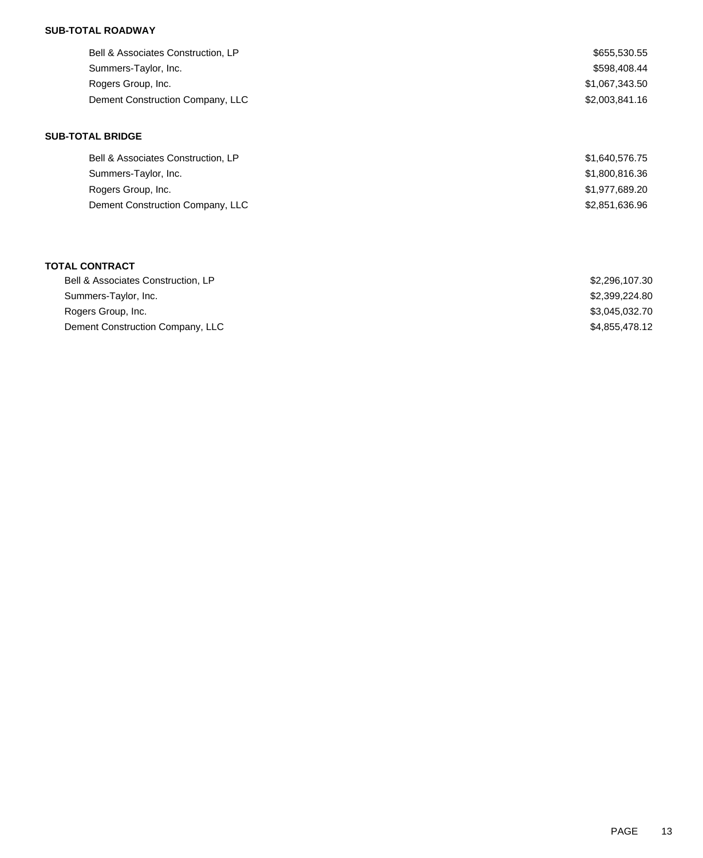## **SUB-TOTAL ROADWAY**

| Bell & Associates Construction, LP | \$655,530.55   |
|------------------------------------|----------------|
| Summers-Taylor, Inc.               | \$598,408.44   |
| Rogers Group, Inc.                 | \$1,067,343.50 |
| Dement Construction Company, LLC   | \$2,003,841.16 |
|                                    |                |

## **SUB-TOTAL BRIDGE**

| Bell & Associates Construction, LP | \$1,640,576.75 |
|------------------------------------|----------------|
| Summers-Taylor, Inc.               | \$1,800,816.36 |
| Rogers Group, Inc.                 | \$1,977,689.20 |
| Dement Construction Company, LLC   | \$2,851,636.96 |

### **TOTAL CONTRACT**

| Bell & Associates Construction, LP | \$2,296,107.30 |
|------------------------------------|----------------|
| Summers-Taylor, Inc.               | \$2,399,224.80 |
| Rogers Group, Inc.                 | \$3.045.032.70 |
| Dement Construction Company, LLC   | \$4,855,478,12 |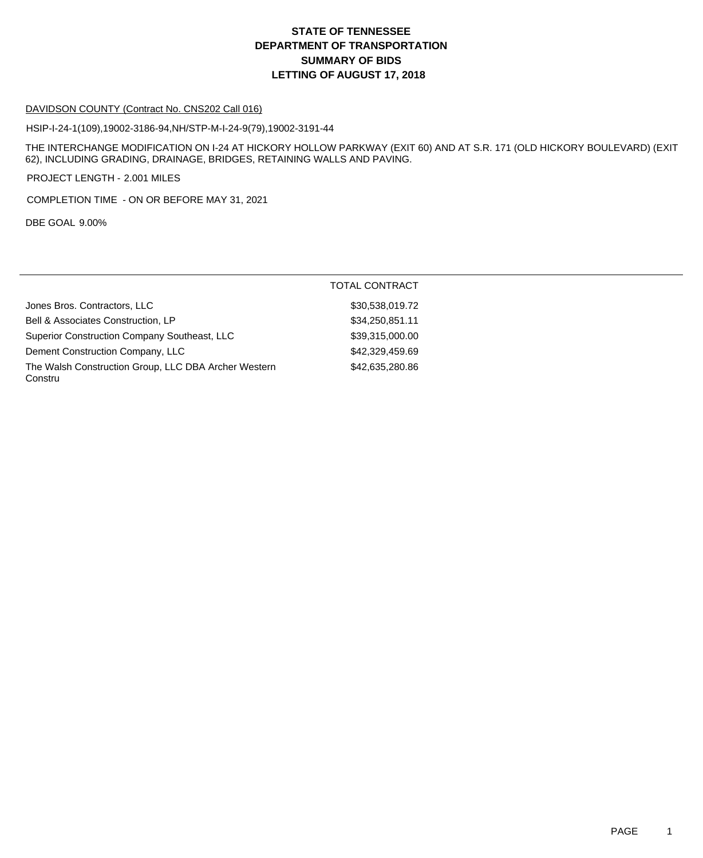# **DEPARTMENT OF TRANSPORTATION SUMMARY OF BIDS LETTING OF AUGUST 17, 2018 STATE OF TENNESSEE**

#### DAVIDSON COUNTY (Contract No. CNS202 Call 016)

HSIP-I-24-1(109),19002-3186-94,NH/STP-M-I-24-9(79),19002-3191-44

THE INTERCHANGE MODIFICATION ON I-24 AT HICKORY HOLLOW PARKWAY (EXIT 60) AND AT S.R. 171 (OLD HICKORY BOULEVARD) (EXIT 62), INCLUDING GRADING, DRAINAGE, BRIDGES, RETAINING WALLS AND PAVING.

PROJECT LENGTH - 2.001 MILES

COMPLETION TIME - ON OR BEFORE MAY 31, 2021

DBE GOAL 9.00%

|                                                                 | <b>TOTAL CONTRACT</b> |
|-----------------------------------------------------------------|-----------------------|
| Jones Bros. Contractors, LLC                                    | \$30,538,019.72       |
| Bell & Associates Construction, LP                              | \$34,250,851.11       |
| Superior Construction Company Southeast, LLC                    | \$39,315,000.00       |
| Dement Construction Company, LLC                                | \$42,329,459.69       |
| The Walsh Construction Group, LLC DBA Archer Western<br>Constru | \$42,635,280.86       |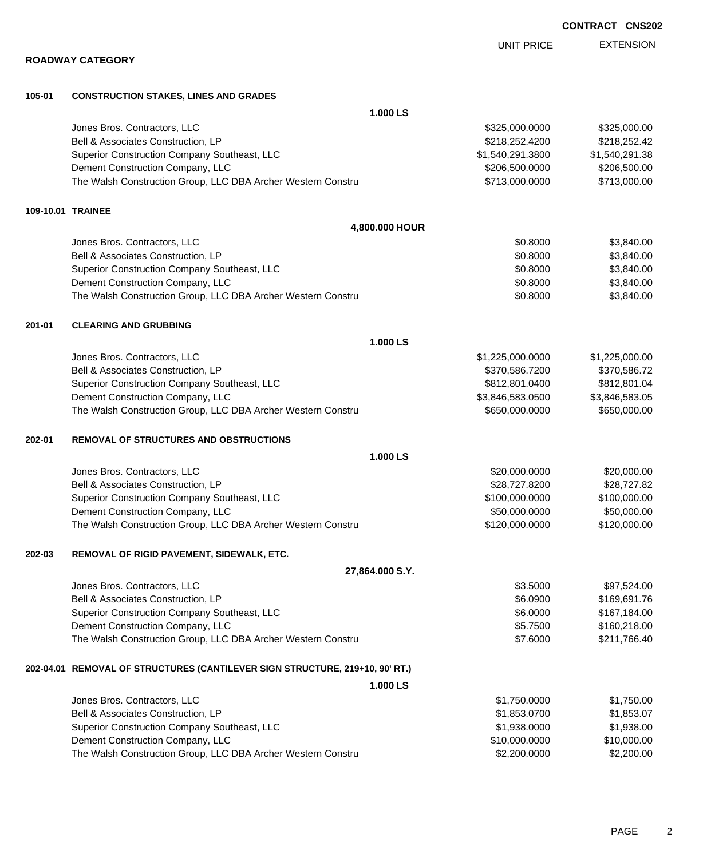EXTENSION UNIT PRICE

|        | <b>ROADWAY CATEGORY</b>                                                      |                  |                |  |  |
|--------|------------------------------------------------------------------------------|------------------|----------------|--|--|
| 105-01 | <b>CONSTRUCTION STAKES, LINES AND GRADES</b>                                 |                  |                |  |  |
|        | 1.000 LS                                                                     |                  |                |  |  |
|        | Jones Bros. Contractors, LLC                                                 | \$325,000.0000   | \$325,000.00   |  |  |
|        | Bell & Associates Construction, LP                                           | \$218,252.4200   | \$218,252.42   |  |  |
|        | Superior Construction Company Southeast, LLC                                 | \$1,540,291.3800 | \$1,540,291.38 |  |  |
|        | Dement Construction Company, LLC                                             | \$206,500.0000   | \$206,500.00   |  |  |
|        | The Walsh Construction Group, LLC DBA Archer Western Constru                 | \$713,000.0000   | \$713,000.00   |  |  |
|        | 109-10.01 TRAINEE                                                            |                  |                |  |  |
|        | 4,800.000 HOUR                                                               |                  |                |  |  |
|        | Jones Bros. Contractors, LLC                                                 | \$0.8000         | \$3,840.00     |  |  |
|        | Bell & Associates Construction, LP                                           | \$0.8000         | \$3,840.00     |  |  |
|        | Superior Construction Company Southeast, LLC                                 | \$0.8000         | \$3,840.00     |  |  |
|        | Dement Construction Company, LLC                                             | \$0.8000         | \$3,840.00     |  |  |
|        | The Walsh Construction Group, LLC DBA Archer Western Constru                 | \$0.8000         | \$3,840.00     |  |  |
| 201-01 | <b>CLEARING AND GRUBBING</b>                                                 |                  |                |  |  |
|        | 1.000 LS                                                                     |                  |                |  |  |
|        | Jones Bros. Contractors, LLC                                                 | \$1,225,000.0000 | \$1,225,000.00 |  |  |
|        | Bell & Associates Construction, LP                                           | \$370,586.7200   | \$370,586.72   |  |  |
|        | Superior Construction Company Southeast, LLC                                 | \$812,801.0400   | \$812,801.04   |  |  |
|        | Dement Construction Company, LLC                                             | \$3,846,583.0500 | \$3,846,583.05 |  |  |
|        | The Walsh Construction Group, LLC DBA Archer Western Constru                 | \$650,000.0000   | \$650,000.00   |  |  |
| 202-01 | <b>REMOVAL OF STRUCTURES AND OBSTRUCTIONS</b>                                |                  |                |  |  |
|        | 1.000 LS                                                                     |                  |                |  |  |
|        | Jones Bros. Contractors, LLC                                                 | \$20,000.0000    | \$20,000.00    |  |  |
|        | Bell & Associates Construction, LP                                           | \$28,727.8200    | \$28,727.82    |  |  |
|        | Superior Construction Company Southeast, LLC                                 | \$100,000.0000   | \$100,000.00   |  |  |
|        | Dement Construction Company, LLC                                             | \$50,000.0000    | \$50,000.00    |  |  |
|        | The Walsh Construction Group, LLC DBA Archer Western Constru                 | \$120,000.0000   | \$120,000.00   |  |  |
| 202-03 | REMOVAL OF RIGID PAVEMENT, SIDEWALK, ETC.                                    |                  |                |  |  |
|        | 27,864.000 S.Y.                                                              |                  |                |  |  |
|        | Jones Bros. Contractors, LLC                                                 | \$3.5000         | \$97,524.00    |  |  |
|        | Bell & Associates Construction, LP                                           | \$6.0900         | \$169,691.76   |  |  |
|        | Superior Construction Company Southeast, LLC                                 | \$6.0000         | \$167,184.00   |  |  |
|        | Dement Construction Company, LLC                                             | \$5.7500         | \$160,218.00   |  |  |
|        | The Walsh Construction Group, LLC DBA Archer Western Constru                 | \$7.6000         | \$211,766.40   |  |  |
|        | 202-04.01 REMOVAL OF STRUCTURES (CANTILEVER SIGN STRUCTURE, 219+10, 90' RT.) |                  |                |  |  |
|        | 1.000 LS                                                                     |                  |                |  |  |
|        | Jones Bros. Contractors, LLC                                                 | \$1,750.0000     | \$1,750.00     |  |  |
|        | Bell & Associates Construction, LP                                           | \$1,853.0700     | \$1,853.07     |  |  |
|        | Superior Construction Company Southeast, LLC                                 | \$1,938.0000     | \$1,938.00     |  |  |
|        | Dement Construction Company, LLC                                             | \$10,000.0000    | \$10,000.00    |  |  |

The Walsh Construction Group, LLC DBA Archer Western Constru \$2,200,000 \$2,200.000 \$2,200.00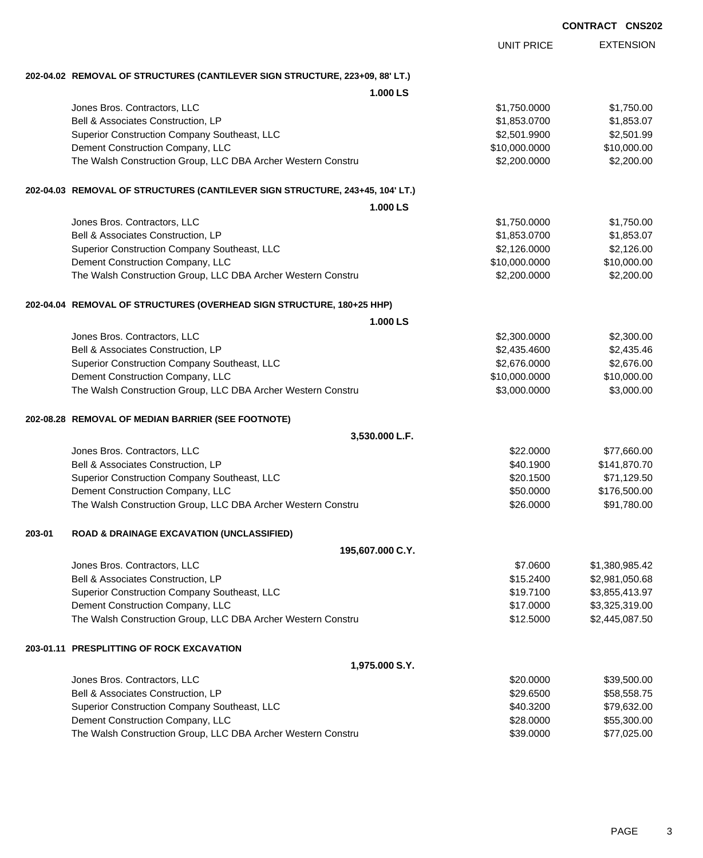|        |                                                                               | <b>UNIT PRICE</b> | <b>EXTENSION</b> |
|--------|-------------------------------------------------------------------------------|-------------------|------------------|
|        | 202-04.02 REMOVAL OF STRUCTURES (CANTILEVER SIGN STRUCTURE, 223+09, 88' LT.)  |                   |                  |
|        | 1.000 LS                                                                      |                   |                  |
|        | Jones Bros. Contractors, LLC                                                  | \$1,750.0000      | \$1,750.00       |
|        | Bell & Associates Construction, LP                                            | \$1,853.0700      | \$1,853.07       |
|        | Superior Construction Company Southeast, LLC                                  | \$2,501.9900      | \$2,501.99       |
|        | Dement Construction Company, LLC                                              | \$10,000.0000     | \$10,000.00      |
|        | The Walsh Construction Group, LLC DBA Archer Western Constru                  | \$2,200.0000      | \$2,200.00       |
|        | 202-04.03 REMOVAL OF STRUCTURES (CANTILEVER SIGN STRUCTURE, 243+45, 104' LT.) |                   |                  |
|        | 1.000 LS                                                                      |                   |                  |
|        | Jones Bros. Contractors, LLC                                                  | \$1,750.0000      | \$1,750.00       |
|        | Bell & Associates Construction, LP                                            | \$1,853.0700      | \$1,853.07       |
|        | Superior Construction Company Southeast, LLC                                  | \$2,126.0000      | \$2,126.00       |
|        | Dement Construction Company, LLC                                              | \$10,000.0000     | \$10,000.00      |
|        | The Walsh Construction Group, LLC DBA Archer Western Constru                  | \$2,200.0000      | \$2,200.00       |
|        | 202-04.04 REMOVAL OF STRUCTURES (OVERHEAD SIGN STRUCTURE, 180+25 HHP)         |                   |                  |
|        | 1.000 LS                                                                      |                   |                  |
|        | Jones Bros. Contractors, LLC                                                  | \$2,300.0000      | \$2,300.00       |
|        | Bell & Associates Construction, LP                                            | \$2,435.4600      | \$2,435.46       |
|        | Superior Construction Company Southeast, LLC                                  | \$2,676.0000      | \$2,676.00       |
|        | Dement Construction Company, LLC                                              | \$10,000.0000     | \$10,000.00      |
|        | The Walsh Construction Group, LLC DBA Archer Western Constru                  | \$3,000.0000      | \$3,000.00       |
|        | 202-08.28 REMOVAL OF MEDIAN BARRIER (SEE FOOTNOTE)                            |                   |                  |
|        | 3,530.000 L.F.                                                                |                   |                  |
|        | Jones Bros. Contractors, LLC                                                  | \$22.0000         | \$77,660.00      |
|        | Bell & Associates Construction, LP                                            | \$40.1900         | \$141,870.70     |
|        | Superior Construction Company Southeast, LLC                                  | \$20.1500         | \$71,129.50      |
|        | Dement Construction Company, LLC                                              | \$50.0000         | \$176,500.00     |
|        | The Walsh Construction Group, LLC DBA Archer Western Constru                  | \$26.0000         | \$91,780.00      |
| 203-01 | <b>ROAD &amp; DRAINAGE EXCAVATION (UNCLASSIFIED)</b>                          |                   |                  |
|        | 195,607.000 C.Y.                                                              |                   |                  |
|        | Jones Bros. Contractors, LLC                                                  | \$7.0600          | \$1,380,985.42   |
|        | Bell & Associates Construction, LP                                            | \$15.2400         | \$2,981,050.68   |
|        | Superior Construction Company Southeast, LLC                                  | \$19.7100         | \$3,855,413.97   |
|        | Dement Construction Company, LLC                                              | \$17.0000         | \$3,325,319.00   |
|        | The Walsh Construction Group, LLC DBA Archer Western Constru                  | \$12.5000         | \$2,445,087.50   |
|        | 203-01.11 PRESPLITTING OF ROCK EXCAVATION                                     |                   |                  |
|        | 1,975.000 S.Y.                                                                |                   |                  |
|        | Jones Bros. Contractors, LLC                                                  | \$20.0000         | \$39,500.00      |
|        | Bell & Associates Construction, LP                                            | \$29.6500         | \$58,558.75      |
|        | Superior Construction Company Southeast, LLC                                  | \$40.3200         | \$79,632.00      |
|        | Dement Construction Company, LLC                                              | \$28.0000         | \$55,300.00      |
|        | The Walsh Construction Group, LLC DBA Archer Western Constru                  | \$39.0000         | \$77,025.00      |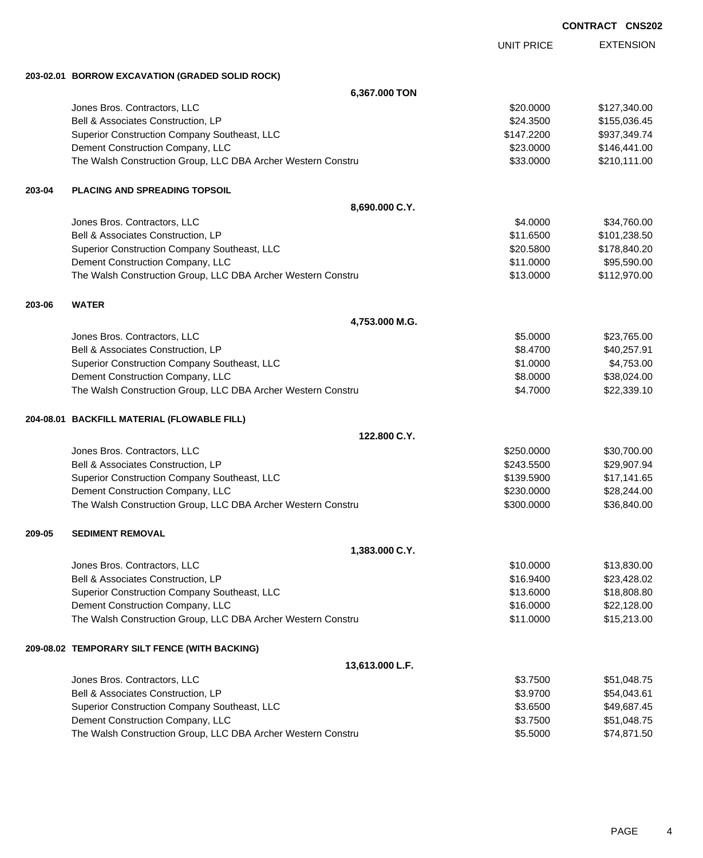EXTENSION UNIT PRICE **203-02.01 BORROW EXCAVATION (GRADED SOLID ROCK) 6,367.000 TON** Jones Bros. Contractors, LLC 6. The state of the state of the state of the state of the state of the state of the state of the state of the state of the state of the state of the state of the state of the state of the stat Bell & Associates Construction, LP 6.6 and 2012 12:00 \$155,036.45 Superior Construction Company Southeast, LLC  $$147.2200$  \$937,349.74 Dement Construction Company, LLC **but a set of the set of the set of the set of the set of the set of the set of the set of the set of the set of the set of the set of the set of the set of the set of the set of the set of** The Walsh Construction Group, LLC DBA Archer Western Constru \$33.0000 \$210,111.00 **203-04 PLACING AND SPREADING TOPSOIL 8,690.000 C.Y.** Jones Bros. Contractors, LLC \$4.0000 \$34,760.00 Bell & Associates Construction, LP 6. The state of the state of the state of the state of the state of the state of the state of the state of the state of the state of the state of the state of the state of the state of th Superior Construction Company Southeast, LLC  $$20.5800$  \$178,840.20 Dement Construction Company, LLC 6 and the state of the state of the state of the state of the state of the state of the state of the state of the state of the state of the state of the state of the state of the state of t The Walsh Construction Group, LLC DBA Archer Western Constru \$13.0000 \$112,970.00 **203-06 WATER 4,753.000 M.G.** Jones Bros. Contractors, LLC \$5.0000 \$23,765.00 Bell & Associates Construction, LP 640,257.91 Superior Construction Company Southeast, LLC  $$1.0000$  \$4,753.00 Dement Construction Company, LLC 68.0000 \$38,024.00 The Walsh Construction Group, LLC DBA Archer Western Constru **\$4.7000** \$4.7000 \$22,339.10 **204-08.01 BACKFILL MATERIAL (FLOWABLE FILL) 122.800 C.Y.** Jones Bros. Contractors, LLC \$250.0000 \$30,700.00 Bell & Associates Construction, LP 6243.5500 \$243.5500 \$29,907.94 Superior Construction Company Southeast, LLC  $$139.5900$  \$17,141.65 Dement Construction Company, LLC 6 and the state of the state of the state  $$230.0000$  \$28,244.00 The Walsh Construction Group, LLC DBA Archer Western Constru \$300.000 \$300.000 \$36,840.00 **209-05 SEDIMENT REMOVAL 1,383.000 C.Y.** Jones Bros. Contractors, LLC \$10.0000 \$13,830.00 Bell & Associates Construction, LP 623,428.02 Superior Construction Company Southeast, LLC  $$13.6000$  \$18,808.80 Dement Construction Company, LLC 6 and the state of the state of the state of the state of the state of the state of the state of the state of the state of the state of the state of the state of the state of the state of t The Walsh Construction Group, LLC DBA Archer Western Constru **\$11.0000** \$15,213.00 **209-08.02 TEMPORARY SILT FENCE (WITH BACKING) 13,613.000 L.F.** Jones Bros. Contractors, LLC \$3.7500 \$51,048.75 Bell & Associates Construction, LP 654,043.61 Superior Construction Company Southeast, LLC  $$3.6500$  \$49,687.45 Dement Construction Company, LLC 6 and the state of the state of the state  $$3.7500$  \$51,048.75 The Walsh Construction Group, LLC DBA Archer Western Constru **\$5.5000** \$5.5000 \$74,871.50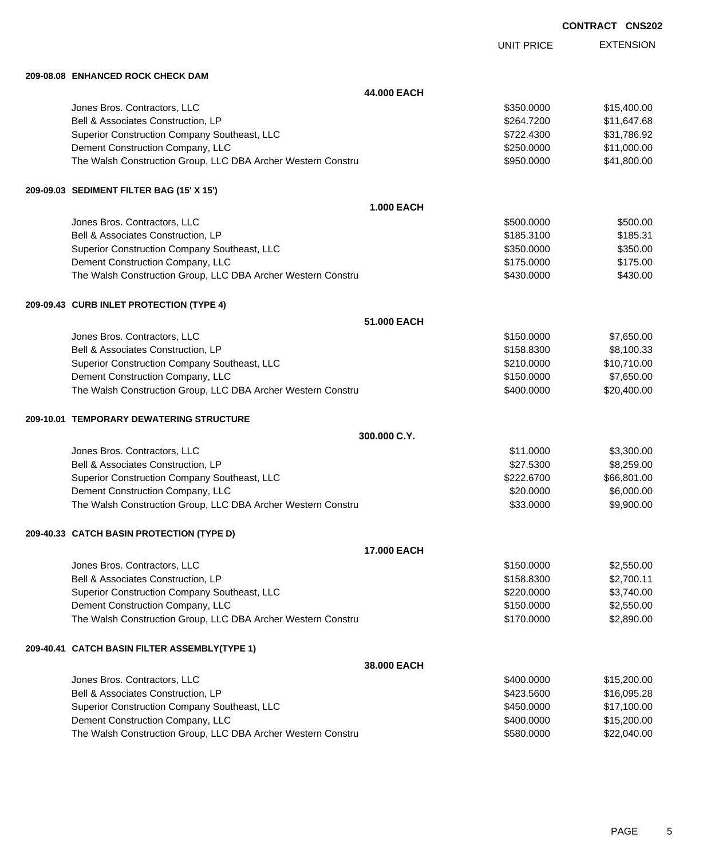| <b>CONTRACT</b> | <b>CNS202</b> |
|-----------------|---------------|
|                 |               |

|                                                              |                    | <b>UNIT PRICE</b> | <b>EXTENSION</b> |
|--------------------------------------------------------------|--------------------|-------------------|------------------|
| 209-08.08 ENHANCED ROCK CHECK DAM                            |                    |                   |                  |
|                                                              | 44.000 EACH        |                   |                  |
| Jones Bros. Contractors, LLC                                 |                    | \$350.0000        | \$15,400.00      |
| Bell & Associates Construction, LP                           |                    | \$264.7200        | \$11,647.68      |
| Superior Construction Company Southeast, LLC                 |                    | \$722.4300        | \$31,786.92      |
| Dement Construction Company, LLC                             |                    | \$250,0000        | \$11,000.00      |
| The Walsh Construction Group, LLC DBA Archer Western Constru |                    | \$950.0000        | \$41,800.00      |
| 209-09.03 SEDIMENT FILTER BAG (15' X 15')                    |                    |                   |                  |
|                                                              | <b>1.000 EACH</b>  |                   |                  |
| Jones Bros. Contractors, LLC                                 |                    | \$500.0000        | \$500.00         |
| Bell & Associates Construction, LP                           |                    | \$185.3100        | \$185.31         |
| Superior Construction Company Southeast, LLC                 |                    | \$350.0000        | \$350.00         |
| Dement Construction Company, LLC                             |                    | \$175.0000        | \$175.00         |
| The Walsh Construction Group, LLC DBA Archer Western Constru |                    | \$430.0000        | \$430.00         |
| 209-09.43 CURB INLET PROTECTION (TYPE 4)                     |                    |                   |                  |
|                                                              | 51.000 EACH        |                   |                  |
| Jones Bros. Contractors, LLC                                 |                    | \$150.0000        | \$7,650.00       |
| Bell & Associates Construction, LP                           |                    | \$158.8300        | \$8,100.33       |
| Superior Construction Company Southeast, LLC                 |                    | \$210.0000        | \$10,710.00      |
| Dement Construction Company, LLC                             |                    | \$150.0000        | \$7,650.00       |
| The Walsh Construction Group, LLC DBA Archer Western Constru |                    | \$400.0000        | \$20,400.00      |
| 209-10.01 TEMPORARY DEWATERING STRUCTURE                     |                    |                   |                  |
|                                                              | 300.000 C.Y.       |                   |                  |
| Jones Bros. Contractors, LLC                                 |                    | \$11.0000         | \$3,300.00       |
| Bell & Associates Construction, LP                           |                    | \$27.5300         | \$8,259.00       |
| Superior Construction Company Southeast, LLC                 |                    | \$222.6700        | \$66,801.00      |
| Dement Construction Company, LLC                             |                    | \$20.0000         | \$6,000.00       |
| The Walsh Construction Group, LLC DBA Archer Western Constru |                    | \$33,0000         | \$9,900.00       |
| 209-40.33 CATCH BASIN PROTECTION (TYPE D)                    |                    |                   |                  |
|                                                              | <b>17.000 EACH</b> |                   |                  |
| Jones Bros. Contractors, LLC                                 |                    | \$150.0000        | \$2,550.00       |
| Bell & Associates Construction, LP                           |                    | \$158.8300        | \$2,700.11       |
| Superior Construction Company Southeast, LLC                 |                    | \$220.0000        | \$3,740.00       |
| Dement Construction Company, LLC                             |                    | \$150.0000        | \$2,550.00       |
| The Walsh Construction Group, LLC DBA Archer Western Constru |                    | \$170.0000        | \$2,890.00       |
| 209-40.41 CATCH BASIN FILTER ASSEMBLY(TYPE 1)                |                    |                   |                  |
|                                                              | 38.000 EACH        |                   |                  |
| Jones Bros. Contractors, LLC                                 |                    | \$400.0000        | \$15,200.00      |
| Bell & Associates Construction, LP                           |                    | \$423.5600        | \$16,095.28      |
| Superior Construction Company Southeast, LLC                 |                    | \$450.0000        | \$17,100.00      |
| Dement Construction Company, LLC                             |                    | \$400.0000        | \$15,200.00      |
| The Walsh Construction Group, LLC DBA Archer Western Constru |                    | \$580.0000        | \$22,040.00      |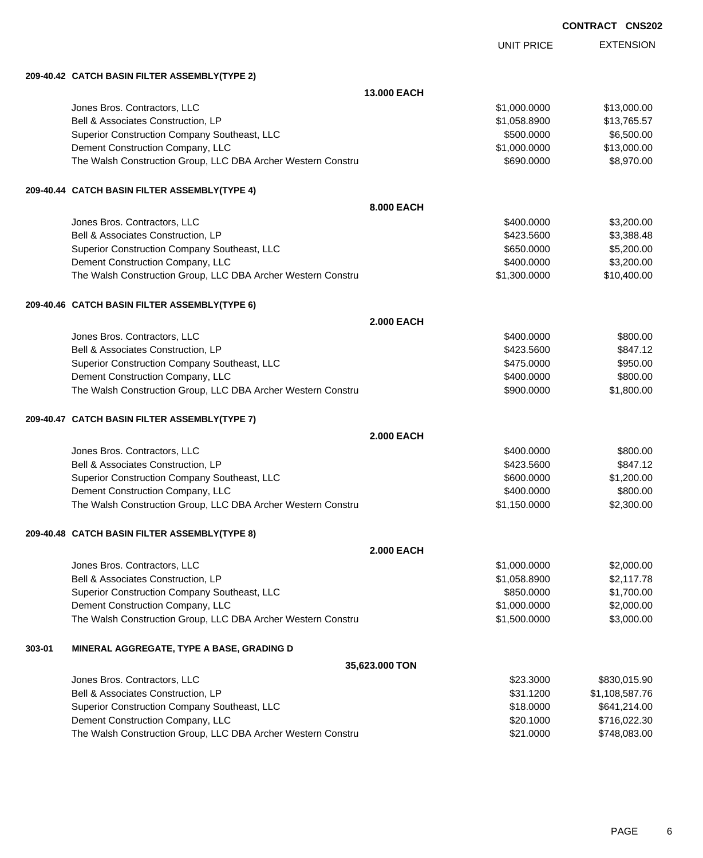|        |                                                              |                   |                   | <b>CONTRACT CNS202</b> |                  |
|--------|--------------------------------------------------------------|-------------------|-------------------|------------------------|------------------|
|        |                                                              |                   | <b>UNIT PRICE</b> |                        | <b>EXTENSION</b> |
|        | 209-40.42 CATCH BASIN FILTER ASSEMBLY(TYPE 2)                |                   |                   |                        |                  |
|        |                                                              | 13.000 EACH       |                   |                        |                  |
|        | Jones Bros. Contractors, LLC                                 |                   | \$1,000.0000      |                        | \$13,000.00      |
|        | Bell & Associates Construction, LP                           |                   | \$1,058.8900      |                        | \$13,765.57      |
|        | Superior Construction Company Southeast, LLC                 |                   | \$500.0000        |                        | \$6,500.00       |
|        | Dement Construction Company, LLC                             |                   | \$1,000.0000      |                        | \$13,000.00      |
|        | The Walsh Construction Group, LLC DBA Archer Western Constru |                   | \$690.0000        |                        | \$8,970.00       |
|        | 209-40.44 CATCH BASIN FILTER ASSEMBLY(TYPE 4)                |                   |                   |                        |                  |
|        |                                                              | 8.000 EACH        |                   |                        |                  |
|        | Jones Bros. Contractors, LLC                                 |                   | \$400.0000        |                        | \$3,200.00       |
|        | Bell & Associates Construction, LP                           |                   | \$423,5600        |                        | \$3,388.48       |
|        | Superior Construction Company Southeast, LLC                 |                   | \$650.0000        |                        | \$5,200.00       |
|        | Dement Construction Company, LLC                             |                   | \$400.0000        |                        | \$3,200.00       |
|        | The Walsh Construction Group, LLC DBA Archer Western Constru |                   | \$1,300.0000      |                        | \$10,400.00      |
|        | 209-40.46 CATCH BASIN FILTER ASSEMBLY(TYPE 6)                |                   |                   |                        |                  |
|        |                                                              | <b>2.000 EACH</b> |                   |                        |                  |
|        | Jones Bros. Contractors, LLC                                 |                   | \$400.0000        |                        | \$800.00         |
|        | Bell & Associates Construction, LP                           |                   | \$423.5600        |                        | \$847.12         |
|        | Superior Construction Company Southeast, LLC                 |                   | \$475.0000        |                        | \$950.00         |
|        | Dement Construction Company, LLC                             |                   | \$400.0000        |                        | \$800.00         |
|        | The Walsh Construction Group, LLC DBA Archer Western Constru |                   | \$900.0000        |                        | \$1,800.00       |
|        | 209-40.47 CATCH BASIN FILTER ASSEMBLY(TYPE 7)                |                   |                   |                        |                  |
|        |                                                              | <b>2.000 EACH</b> |                   |                        |                  |
|        | Jones Bros. Contractors, LLC                                 |                   | \$400.0000        |                        | \$800.00         |
|        | Bell & Associates Construction, LP                           |                   | \$423,5600        |                        | \$847.12         |
|        | Superior Construction Company Southeast, LLC                 |                   | \$600.0000        |                        | \$1,200.00       |
|        | Dement Construction Company, LLC                             |                   | \$400,0000        |                        | \$800.00         |
|        | The Walsh Construction Group, LLC DBA Archer Western Constru |                   | \$1,150.0000      |                        | \$2,300.00       |
|        | 209-40.48 CATCH BASIN FILTER ASSEMBLY(TYPE 8)                |                   |                   |                        |                  |
|        |                                                              | <b>2.000 EACH</b> |                   |                        |                  |
|        | Jones Bros. Contractors, LLC                                 |                   | \$1,000.0000      |                        | \$2,000.00       |
|        | Bell & Associates Construction, LP                           |                   | \$1,058.8900      |                        | \$2,117.78       |
|        | Superior Construction Company Southeast, LLC                 |                   | \$850.0000        |                        | \$1,700.00       |
|        | Dement Construction Company, LLC                             |                   | \$1,000.0000      |                        | \$2,000.00       |
|        | The Walsh Construction Group, LLC DBA Archer Western Constru |                   | \$1,500.0000      |                        | \$3,000.00       |
| 303-01 | MINERAL AGGREGATE, TYPE A BASE, GRADING D                    |                   |                   |                        |                  |
|        |                                                              | 35,623.000 TON    |                   |                        |                  |
|        | Jones Bros. Contractors, LLC                                 |                   | \$23.3000         |                        | \$830,015.90     |
|        | Bell & Associates Construction, LP                           |                   | \$31.1200         |                        | \$1,108,587.76   |
|        | Superior Construction Company Southeast, LLC                 |                   | \$18.0000         |                        | \$641,214.00     |

Dement Construction Company, LLC 6000 \$716,022.30 The Walsh Construction Group, LLC DBA Archer Western Constru **\$21.0000** \$748,083.00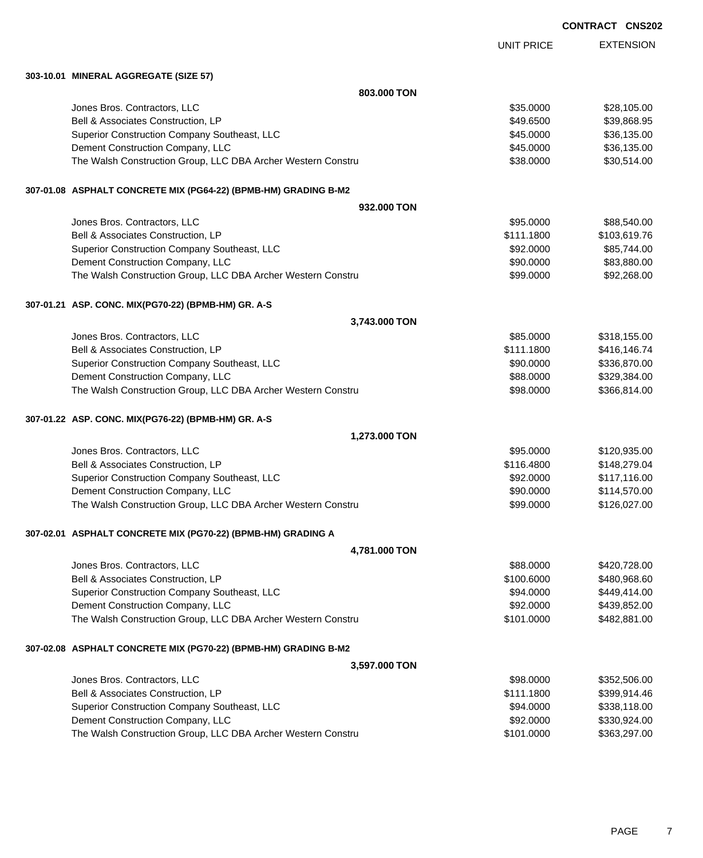| <b>CONTRACT</b> | <b>CNS202</b> |
|-----------------|---------------|
|-----------------|---------------|

EXTENSION UNIT PRICE **303-10.01 MINERAL AGGREGATE (SIZE 57) 803.000 TON** dones Bros. Contractors, LLC 6. 2009 \$28,105.00 \$28,105.00 Bell & Associates Construction, LP 689,868.95 Superior Construction Company Southeast, LLC  $$45.0000$  \$36,135.00 Dement Construction Company, LLC 6 and the state of the state of the state of the state of the state of the state of the state of the state of the state of the state of the state of the state of the state of the state of t The Walsh Construction Group, LLC DBA Archer Western Constru **\$38.0000** \$38.0000 \$30,514.00 **307-01.08 ASPHALT CONCRETE MIX (PG64-22) (BPMB-HM) GRADING B-M2 932.000 TON** Jones Bros. Contractors, LLC \$95.0000 \$88,540.00 Bell & Associates Construction, LP **103,619.76** \$111.1800 \$103,619.76 Superior Construction Company Southeast, LLC  $$92.0000$  \$85,744.00 Dement Construction Company, LLC 60000 \$83,880.00 The Walsh Construction Group, LLC DBA Archer Western Constru **\$99.000 \$99.000 \$92,268.00** \$92,268.00 **307-01.21 ASP. CONC. MIX(PG70-22) (BPMB-HM) GR. A-S 3,743.000 TON** Jones Bros. Contractors, LLC 6. The state of the state of the state of the state of the state of the state of the state of the state of the state of the state of the state of the state of the state of the state of the stat Bell & Associates Construction, LP **1200 \$416,146.74** \$111.1800 \$416,146.74 Superior Construction Company Southeast, LLC  $$90.0000$  \$336,870.00 Dement Construction Company, LLC 688.0000 \$329,384.00 The Walsh Construction Group, LLC DBA Archer Western Constru **\$98.0000 \$386,814.00** \$366,814.00 **307-01.22 ASP. CONC. MIX(PG76-22) (BPMB-HM) GR. A-S 1,273.000 TON** Jones Bros. Contractors, LLC \$95.0000 \$120,935.00 Bell & Associates Construction, LP 6. The State of the State of State of State of State of State of State of State of State of State of State of State of State of State of State of State of State of State of State of State Superior Construction Company Southeast, LLC  $$92.0000$  \$117,116.00 Dement Construction Company, LLC **but a set of the set of the set of the set of the set of the set of the set of the set of the set of the set of the set of the set of the set of the set of the set of the set of the set of** The Walsh Construction Group, LLC DBA Archer Western Constru \$99.0000 \$126,027.00 **307-02.01 ASPHALT CONCRETE MIX (PG70-22) (BPMB-HM) GRADING A 4,781.000 TON** Jones Bros. Contractors, LLC \$88.0000 \$420,728.00 Bell & Associates Construction, LP 6.6000 \$480,968.60 Superior Construction Company Southeast, LLC  $$94.0000$  \$449,414.00 Dement Construction Company, LLC 6 and the state of the state of the state of the state of the state of the state of the state of the state of the state of the state of the state of the state of the state of the state of t The Walsh Construction Group, LLC DBA Archer Western Constru \$101.0000 \$482,881.00 **307-02.08 ASPHALT CONCRETE MIX (PG70-22) (BPMB-HM) GRADING B-M2 3,597.000 TON** Jones Bros. Contractors, LLC \$98.0000 \$352,506.00 Bell & Associates Construction, LP **1200 \$399,914.46** \$399,914.46 Superior Construction Company Southeast, LLC  $$94.0000$  \$338,118.00 Dement Construction Company, LLC 6 and the state of the state of the state of the state  $$92.0000$  \$330,924.00 The Walsh Construction Group, LLC DBA Archer Western Constru \$101.0000 \$363,297.00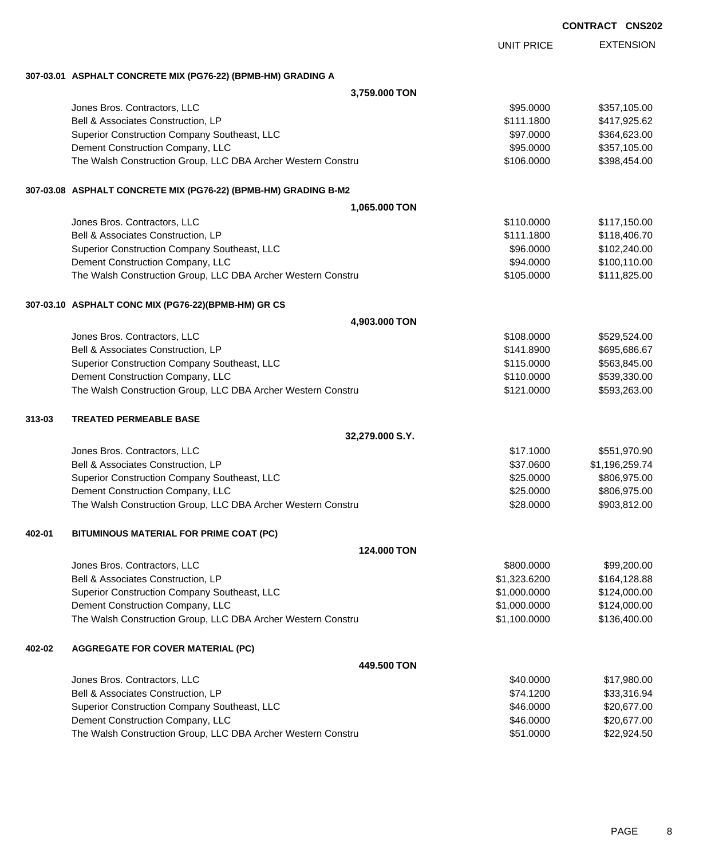EXTENSION UNIT PRICE **307-03.01 ASPHALT CONCRETE MIX (PG76-22) (BPMB-HM) GRADING A 3,759.000 TON** Jones Bros. Contractors, LLC \$95.0000 \$357,105.00 Bell & Associates Construction, LP 6. The State of the State of State State State State State State State State State State State State State State State State State State State State State State State State State State St Superior Construction Company Southeast, LLC  $$97.0000$  \$364,623.00 Dement Construction Company, LLC 6 and the state of the state of the state of the state  $\frac{1}{2}$ \$95.0000 \$357,105.00 The Walsh Construction Group, LLC DBA Archer Western Constru **\$106.0000 \$398,454.00** \$398,454.00 **307-03.08 ASPHALT CONCRETE MIX (PG76-22) (BPMB-HM) GRADING B-M2 1,065.000 TON** Jones Bros. Contractors, LLC \$110.0000 \$117,150.00 Bell & Associates Construction, LP **118,406.70** \$111.1800 \$118,406.70 Superior Construction Company Southeast, LLC  $$96.0000$  \$102,240.00 Dement Construction Company, LLC **but a set of the set of the set of the set of the set of the set of the set of the set of the set of the set of the set of the set of the set of the set of the set of the set of the set of** The Walsh Construction Group, LLC DBA Archer Western Constru **\$105.000** \$105.000 \$111,825.00 **307-03.10 ASPHALT CONC MIX (PG76-22)(BPMB-HM) GR CS 4,903.000 TON** Jones Bros. Contractors, LLC \$108.0000 \$529,524.00 Bell & Associates Construction, LP **608-141.8900** \$695,686.67 Superior Construction Company Southeast, LLC  $$115.0000$  \$563,845.00 Dement Construction Company, LLC 6 and the state of the state of the state of the state of the state of the state of the state of the state of the state of the state of the state of the state of the state of the state of t The Walsh Construction Group, LLC DBA Archer Western Constru **120 Constru 5121.0000** \$593,263.00 **313-03 TREATED PERMEABLE BASE 32,279.000 S.Y.** Jones Bros. Contractors, LLC \$17.1000 \$551,970.90 Bell & Associates Construction, LP 6. 2012 12:30 12:30 12:30 12:30 12:30 12:30 13:30 13:30 14:30 14:30 15:30 15:30 15:30 15:40 15:40 15:40 15:40 15:40 15:40 15:40 15:40 15:40 15:40 15:40 15:40 15:40 15:40 15:40 15:40 15:40 Superior Construction Company Southeast, LLC  $$25.0000$  \$806,975.00 Dement Construction Company, LLC 6 and the state of the state of the state of the state of the state of the state of the state of the state of the state of the state of the state of the state of the state of the state of t The Walsh Construction Group, LLC DBA Archer Western Constru \$28.0000 \$903,812.00 **402-01 BITUMINOUS MATERIAL FOR PRIME COAT (PC) 124.000 TON** Jones Bros. Contractors, LLC \$800.0000 \$99,200.00 Bell & Associates Construction, LP **6.4.128.88** \$1,323.6200 \$164,128.88 Superior Construction Company Southeast, LLC  $$1,000.0000$  \$124,000.00 Dement Construction Company, LLC 6 and the state of the state of the state  $$1,000.0000$  \$124,000.000 The Walsh Construction Group, LLC DBA Archer Western Constru \$1,100.0000 \$1,100.0000 \$136,400.00 **402-02 AGGREGATE FOR COVER MATERIAL (PC) 449.500 TON** Jones Bros. Contractors, LLC \$40.0000 \$17,980.00 Bell & Associates Construction, LP **\$74.1200** \$33,316.94

Superior Construction Company Southeast, LLC  $$46.0000$  \$20,677.00 Dement Construction Company, LLC **but a set of the set of the set of the set of the set of the set of the set of the set of the set of the set of the set of the set of the set of the set of the set of the set of the set of** The Walsh Construction Group, LLC DBA Archer Western Constru **\$51.0000 \$22,924.50** \$51.0000 \$22,924.50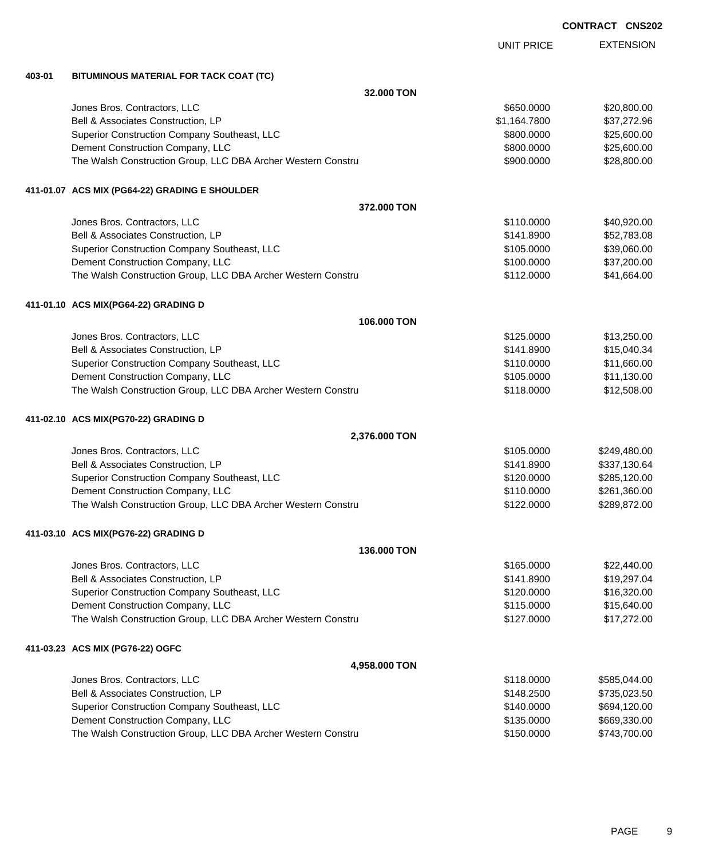EXTENSION UNIT PRICE **403-01 BITUMINOUS MATERIAL FOR TACK COAT (TC) 32.000 TON** dones Bros. Contractors, LLC 60000 \$20,800.00 Bell & Associates Construction, LP  $$1,164.7800$   $$37,272.96$ Superior Construction Company Southeast, LLC  $$800.000$  \$25,600.00 Dement Construction Company, LLC 600000 \$25,600.000 \$25,600.000 \$25,600.00 The Walsh Construction Group, LLC DBA Archer Western Constru \$900.000 \$900.000 \$28,800.00 **411-01.07 ACS MIX (PG64-22) GRADING E SHOULDER 372.000 TON** Jones Bros. Contractors, LLC \$110.0000 \$40,920.00 Bell & Associates Construction, LP 652,783.08 Superior Construction Company Southeast, LLC  $$105.0000$  \$39,060.00 Dement Construction Company, LLC 6 and the state of the state of the state  $$100.0000$  \$37,200.000 \$37,200.00 The Walsh Construction Group, LLC DBA Archer Western Constru \$112.0000 \$41,664.00 **411-01.10 ACS MIX(PG64-22) GRADING D 106.000 TON** Jones Bros. Contractors, LLC \$125.0000 \$13,250.00 Bell & Associates Construction, LP 615,040.34 Superior Construction Company Southeast, LLC  $$110.0000$  \$11,660.00 Dement Construction Company, LLC **but a set of the set of the set of the set of the set of the set of the set of the set of the set of the set of the set of the set of the set of the set of the set of the set of the set of** The Walsh Construction Group, LLC DBA Archer Western Constru **\$12,508.00** \$12,508.00 **411-02.10 ACS MIX(PG70-22) GRADING D 2,376.000 TON** Jones Bros. Contractors, LLC \$105.0000 \$249,480.00 Bell & Associates Construction, LP **\$141.8900** \$337,130.64 Superior Construction Company Southeast, LLC  $$120.0000$  \$285,120.00 Dement Construction Company, LLC **but a set of the set of the set of the set of the set of the set of the set of the set of the set of the set of the set of the set of the set of the set of the set of the set of the set of** The Walsh Construction Group, LLC DBA Archer Western Constru \$122.0000 \$289,872.00 **411-03.10 ACS MIX(PG76-22) GRADING D 136.000 TON** Jones Bros. Contractors, LLC \$165.0000 \$22,440.00 Bell & Associates Construction, LP **\$141.8900** \$141.8900 \$19,297.04 Superior Construction Company Southeast, LLC  $$120.0000$  \$16,320.00 Dement Construction Company, LLC  $$115.0000$   $$15,640.00$ The Walsh Construction Group, LLC DBA Archer Western Constru \$127.000 \$17,272.00 **411-03.23 ACS MIX (PG76-22) OGFC 4,958.000 TON**

| Jones Bros. Contractors, LLC                                 | \$118,0000 | \$585.044.00 |
|--------------------------------------------------------------|------------|--------------|
| Bell & Associates Construction, LP                           | \$148,2500 | \$735,023.50 |
| Superior Construction Company Southeast, LLC                 | \$140,0000 | \$694,120.00 |
| Dement Construction Company, LLC                             | \$135,0000 | \$669.330.00 |
| The Walsh Construction Group, LLC DBA Archer Western Constru | \$150,0000 | \$743,700.00 |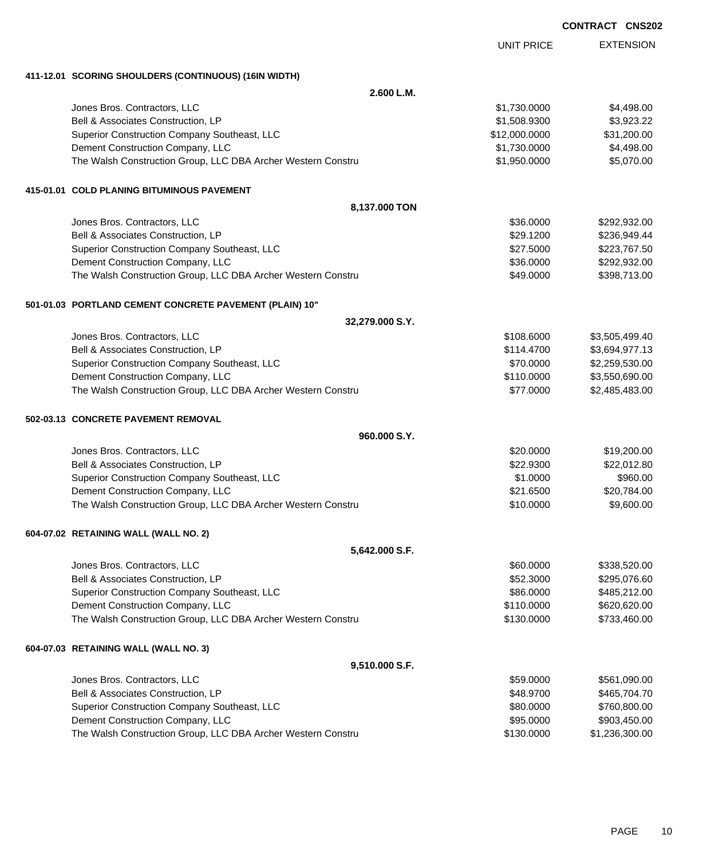| <b>CONTRACT</b> | <b>CNS202</b> |
|-----------------|---------------|
|-----------------|---------------|

|                                                              | <b>UNIT PRICE</b> | <b>EXTENSION</b> |
|--------------------------------------------------------------|-------------------|------------------|
| 411-12.01 SCORING SHOULDERS (CONTINUOUS) (16IN WIDTH)        |                   |                  |
| 2.600 L.M.                                                   |                   |                  |
| Jones Bros. Contractors, LLC                                 | \$1,730.0000      | \$4,498.00       |
| Bell & Associates Construction, LP                           | \$1,508.9300      | \$3,923.22       |
| Superior Construction Company Southeast, LLC                 | \$12,000.0000     | \$31,200.00      |
| Dement Construction Company, LLC                             | \$1,730.0000      | \$4,498.00       |
| The Walsh Construction Group, LLC DBA Archer Western Constru | \$1,950.0000      | \$5,070.00       |
| 415-01.01 COLD PLANING BITUMINOUS PAVEMENT                   |                   |                  |
| 8,137.000 TON                                                |                   |                  |
| Jones Bros. Contractors, LLC                                 | \$36.0000         | \$292,932.00     |
| Bell & Associates Construction, LP                           | \$29.1200         | \$236,949.44     |
| Superior Construction Company Southeast, LLC                 | \$27.5000         | \$223,767.50     |
| Dement Construction Company, LLC                             | \$36.0000         | \$292,932.00     |
| The Walsh Construction Group, LLC DBA Archer Western Constru | \$49.0000         | \$398,713.00     |
| 501-01.03 PORTLAND CEMENT CONCRETE PAVEMENT (PLAIN) 10"      |                   |                  |
| 32,279.000 S.Y.                                              |                   |                  |
| Jones Bros. Contractors, LLC                                 | \$108.6000        | \$3,505,499.40   |
| Bell & Associates Construction, LP                           | \$114.4700        | \$3,694,977.13   |
| Superior Construction Company Southeast, LLC                 | \$70.0000         | \$2,259,530.00   |
| Dement Construction Company, LLC                             | \$110.0000        | \$3,550,690.00   |
| The Walsh Construction Group, LLC DBA Archer Western Constru | \$77.0000         | \$2,485,483.00   |
| 502-03.13 CONCRETE PAVEMENT REMOVAL                          |                   |                  |
| 960.000 S.Y.                                                 |                   |                  |
| Jones Bros. Contractors, LLC                                 | \$20.0000         | \$19,200.00      |
| Bell & Associates Construction, LP                           | \$22.9300         | \$22,012.80      |
| Superior Construction Company Southeast, LLC                 | \$1.0000          | \$960.00         |
| Dement Construction Company, LLC                             | \$21.6500         | \$20,784.00      |
| The Walsh Construction Group, LLC DBA Archer Western Constru | \$10.0000         | \$9,600.00       |
| 604-07.02 RETAINING WALL (WALL NO. 2)                        |                   |                  |
| 5,642.000 S.F.                                               |                   |                  |
| Jones Bros. Contractors, LLC                                 | \$60.0000         | \$338,520.00     |
| Bell & Associates Construction, LP                           | \$52.3000         | \$295,076.60     |
| Superior Construction Company Southeast, LLC                 | \$86.0000         | \$485,212.00     |
| Dement Construction Company, LLC                             | \$110.0000        | \$620,620.00     |
| The Walsh Construction Group, LLC DBA Archer Western Constru | \$130.0000        | \$733,460.00     |
| 604-07.03 RETAINING WALL (WALL NO. 3)                        |                   |                  |
| 9,510.000 S.F.                                               |                   |                  |
| Jones Bros. Contractors, LLC                                 | \$59.0000         | \$561,090.00     |
| Bell & Associates Construction, LP                           | \$48.9700         | \$465,704.70     |
| Superior Construction Company Southeast, LLC                 | \$80.0000         | \$760,800.00     |
| Dement Construction Company, LLC                             | \$95.0000         | \$903,450.00     |
| The Walsh Construction Group, LLC DBA Archer Western Constru | \$130.0000        | \$1,236,300.00   |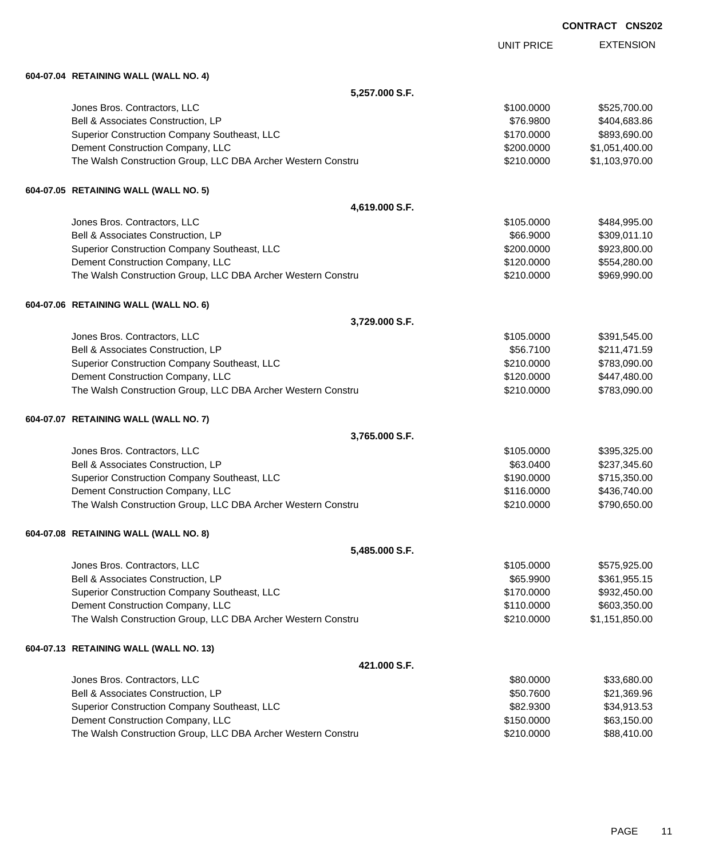EXTENSION UNIT PRICE

### **604-07.04 RETAINING WALL (WALL NO. 4)**

| 5,257.000 S.F.                                               |            |                |
|--------------------------------------------------------------|------------|----------------|
| Jones Bros. Contractors, LLC                                 | \$100.0000 | \$525,700.00   |
| Bell & Associates Construction, LP                           | \$76.9800  | \$404,683.86   |
| Superior Construction Company Southeast, LLC                 | \$170.0000 | \$893,690.00   |
| Dement Construction Company, LLC                             | \$200.0000 | \$1,051,400.00 |
| The Walsh Construction Group, LLC DBA Archer Western Constru | \$210.0000 | \$1,103,970.00 |
| 604-07.05 RETAINING WALL (WALL NO. 5)                        |            |                |
| 4,619.000 S.F.                                               |            |                |
| Jones Bros. Contractors, LLC                                 | \$105.0000 | \$484,995.00   |
| Bell & Associates Construction, LP                           | \$66.9000  | \$309,011.10   |
| Superior Construction Company Southeast, LLC                 | \$200.0000 | \$923,800.00   |
| Dement Construction Company, LLC                             | \$120.0000 | \$554,280.00   |
| The Walsh Construction Group, LLC DBA Archer Western Constru | \$210.0000 | \$969,990.00   |
| 604-07.06 RETAINING WALL (WALL NO. 6)                        |            |                |
| 3,729.000 S.F.                                               |            |                |
| Jones Bros. Contractors, LLC                                 | \$105.0000 | \$391,545.00   |
| Bell & Associates Construction, LP                           | \$56.7100  | \$211,471.59   |
| Superior Construction Company Southeast, LLC                 | \$210.0000 | \$783,090.00   |
| Dement Construction Company, LLC                             | \$120.0000 | \$447,480.00   |
| The Walsh Construction Group, LLC DBA Archer Western Constru | \$210.0000 | \$783,090.00   |
| 604-07.07 RETAINING WALL (WALL NO. 7)                        |            |                |
| 3,765.000 S.F.                                               |            |                |
| Jones Bros. Contractors, LLC                                 | \$105.0000 | \$395,325.00   |
| Bell & Associates Construction, LP                           | \$63.0400  | \$237,345.60   |
| Superior Construction Company Southeast, LLC                 | \$190.0000 | \$715,350.00   |
| Dement Construction Company, LLC                             | \$116.0000 | \$436,740.00   |
| The Walsh Construction Group, LLC DBA Archer Western Constru | \$210.0000 | \$790,650.00   |
| 604-07.08 RETAINING WALL (WALL NO. 8)                        |            |                |
| 5,485.000 S.F.                                               |            |                |
| Jones Bros. Contractors, LLC                                 | \$105.0000 | \$575,925.00   |
| Bell & Associates Construction, LP                           | \$65.9900  | \$361,955.15   |
| Superior Construction Company Southeast, LLC                 | \$170.0000 | \$932,450.00   |
| Dement Construction Company, LLC                             | \$110.0000 | \$603,350.00   |
| The Walsh Construction Group, LLC DBA Archer Western Constru | \$210.0000 | \$1,151,850.00 |
| 604-07.13 RETAINING WALL (WALL NO. 13)                       |            |                |
| 421.000 S.F.                                                 |            |                |
| Jones Bros. Contractors, LLC                                 | \$80.0000  | \$33,680.00    |
| Bell & Associates Construction, LP                           | \$50.7600  | \$21,369.96    |
| Superior Construction Company Southeast, LLC                 | \$82.9300  | \$34,913.53    |
| Dement Construction Company, LLC                             | \$150.0000 | \$63,150.00    |
| The Walsh Construction Group, LLC DBA Archer Western Constru | \$210.0000 | \$88,410.00    |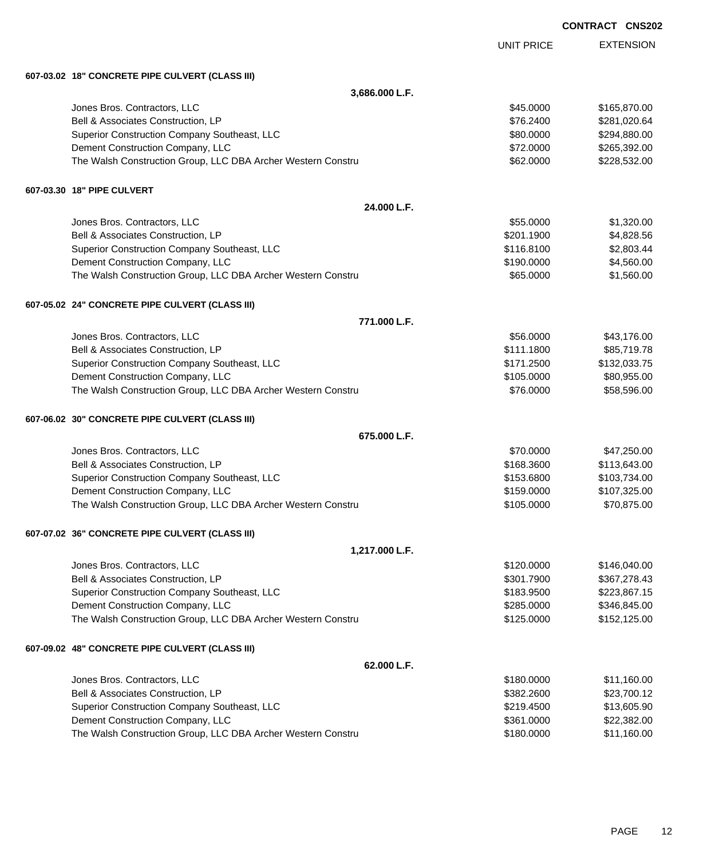EXTENSION UNIT PRICE **607-03.02 18" CONCRETE PIPE CULVERT (CLASS III) 3,686.000 L.F.** Jones Bros. Contractors, LLC \$45.0000 \$165,870.00 Bell & Associates Construction, LP 6.62400 \$281,020.64 Superior Construction Company Southeast, LLC  $$80.000$  \$294,880.00 Dement Construction Company, LLC 6 and the state of the state of the state of the state of the state of the state of the state of the state of the state of the state of the state of the state of the state of the state of t The Walsh Construction Group, LLC DBA Archer Western Constru \$62.000 \$228,532.00 **607-03.30 18" PIPE CULVERT 24.000 L.F.** Jones Bros. Contractors, LLC \$55.0000 \$1,320.00 Bell & Associates Construction, LP 66 and the state of the state of the state of the state of the state of the state of the state of the state of the state of the state of the state of the state of the state of the state o Superior Construction Company Southeast, LLC  $$116.8100$  \$2,803.44 Dement Construction Company, LLC 6 and the state of the state of the state of the state of the state of the state of the state of the state of the state of the state of the state of the state of the state of the state of t The Walsh Construction Group, LLC DBA Archer Western Constru **\$65.000 \$1,560.00** \$1,560.00 **607-05.02 24" CONCRETE PIPE CULVERT (CLASS III) 771.000 L.F.** Jones Bros. Contractors, LLC \$56.0000 \$43,176.00 Bell & Associates Construction, LP **\$111.1800** \$85,719.78 Superior Construction Company Southeast, LLC  $$171.2500$  \$132,033.75 Dement Construction Company, LLC 6 and the state of the state of the state of the state of the state of the state of the state of the state of the state of the state of the state of the state of the state of the state of t The Walsh Construction Group, LLC DBA Archer Western Constru **\$76.000 \$58,596.00** \$58,596.00 **607-06.02 30" CONCRETE PIPE CULVERT (CLASS III) 675.000 L.F.** Jones Bros. Contractors, LLC \$70.0000 \$47,250.00 Bell & Associates Construction, LP 68.3600 \$113,643.00 Superior Construction Company Southeast, LLC  $$153.6800$  \$103,734.00 Dement Construction Company, LLC **but a struction Company, LLC**  $$159.0000$  \$107,325.00 The Walsh Construction Group, LLC DBA Archer Western Constru \$105.0000 \$105.0000 \$70,875.00 **607-07.02 36" CONCRETE PIPE CULVERT (CLASS III) 1,217.000 L.F.** Jones Bros. Contractors, LLC \$120.0000 \$146,040.00 Bell & Associates Construction, LP **\$301.7900** \$307.278.43 Superior Construction Company Southeast, LLC  $$183.9500$  \$223,867.15 Dement Construction Company, LLC 6 and the state of the state of the state  $$285.0000$  \$346,845.00 The Walsh Construction Group, LLC DBA Archer Western Constru \$125.000 \$125.000 \$152,125.00 **607-09.02 48" CONCRETE PIPE CULVERT (CLASS III) 62.000 L.F.** Jones Bros. Contractors, LLC \$180.0000 \$11,160.00 Bell & Associates Construction, LP **\$382.2600** \$23,700.12 Superior Construction Company Southeast, LLC  $$219.4500$   $$13,605.90$ Dement Construction Company, LLC 6 and the state of the state of the state  $$361.0000$  \$22,382.00 The Walsh Construction Group, LLC DBA Archer Western Constru \$180.000 \$180.000 \$11,160.00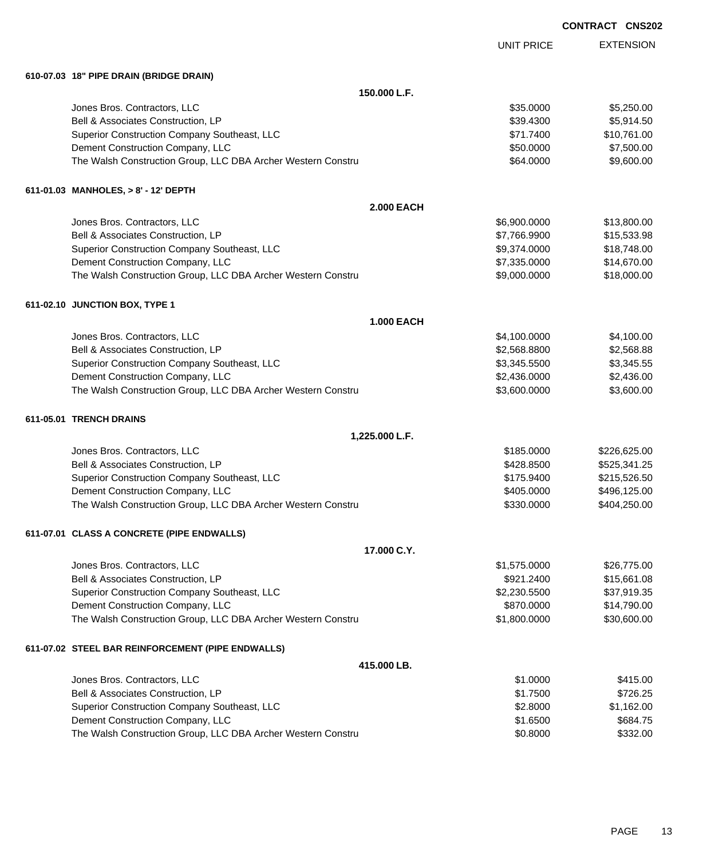|                                                              |                   | <b>CONTRACT CNS202</b> |
|--------------------------------------------------------------|-------------------|------------------------|
|                                                              | <b>UNIT PRICE</b> | <b>EXTENSION</b>       |
| 610-07.03 18" PIPE DRAIN (BRIDGE DRAIN)                      |                   |                        |
| 150.000 L.F.                                                 |                   |                        |
| Jones Bros. Contractors, LLC                                 | \$35.0000         | \$5,250.00             |
| Bell & Associates Construction, LP                           | \$39.4300         | \$5,914.50             |
| Superior Construction Company Southeast, LLC                 | \$71.7400         | \$10,761.00            |
| Dement Construction Company, LLC                             | \$50.0000         | \$7,500.00             |
| The Walsh Construction Group, LLC DBA Archer Western Constru | \$64.0000         | \$9,600.00             |
| 611-01.03 MANHOLES, > 8' - 12' DEPTH                         |                   |                        |
| <b>2.000 EACH</b>                                            |                   |                        |
| Jones Bros. Contractors, LLC                                 | \$6,900.0000      | \$13,800.00            |
| Bell & Associates Construction, LP                           | \$7,766.9900      | \$15,533.98            |
| Superior Construction Company Southeast, LLC                 | \$9,374.0000      | \$18,748.00            |
| Dement Construction Company, LLC                             | \$7,335.0000      | \$14,670.00            |
| The Walsh Construction Group, LLC DBA Archer Western Constru | \$9,000.0000      | \$18,000.00            |
| 611-02.10 JUNCTION BOX, TYPE 1                               |                   |                        |
| <b>1.000 EACH</b>                                            |                   |                        |
| Jones Bros. Contractors, LLC                                 | \$4,100.0000      | \$4,100.00             |
| Bell & Associates Construction, LP                           | \$2,568.8800      | \$2,568.88             |
| Superior Construction Company Southeast, LLC                 | \$3,345.5500      | \$3,345.55             |
| Dement Construction Company, LLC                             | \$2,436.0000      | \$2,436.00             |
| The Walsh Construction Group, LLC DBA Archer Western Constru | \$3,600.0000      | \$3,600.00             |
| 611-05.01 TRENCH DRAINS                                      |                   |                        |
| 1,225.000 L.F.                                               |                   |                        |
| Jones Bros. Contractors, LLC                                 | \$185.0000        | \$226,625.00           |
| Bell & Associates Construction, LP                           | \$428.8500        | \$525,341.25           |
| Superior Construction Company Southeast, LLC                 | \$175.9400        | \$215,526.50           |
| Dement Construction Company, LLC                             | \$405.0000        | \$496,125.00           |
| The Walsh Construction Group, LLC DBA Archer Western Constru | \$330.0000        | \$404,250.00           |
| 611-07.01 CLASS A CONCRETE (PIPE ENDWALLS)                   |                   |                        |
| 17.000 C.Y.                                                  |                   |                        |
| Jones Bros. Contractors, LLC                                 | \$1,575.0000      | \$26,775.00            |
| Bell & Associates Construction, LP                           | \$921.2400        | \$15,661.08            |
| Superior Construction Company Southeast, LLC                 | \$2,230.5500      | \$37,919.35            |
| Dement Construction Company, LLC                             | \$870.0000        | \$14,790.00            |
| The Walsh Construction Group, LLC DBA Archer Western Constru | \$1,800.0000      | \$30,600.00            |
| 611-07.02 STEEL BAR REINFORCEMENT (PIPE ENDWALLS)            |                   |                        |
| 415.000 LB.                                                  |                   |                        |
| Jones Bros. Contractors, LLC                                 | \$1.0000          | \$415.00               |
| Bell & Associates Construction, LP                           | \$1.7500          | \$726.25               |
| Superior Construction Company Southeast, LLC                 | \$2.8000          | \$1,162.00             |
| Dement Construction Company, LLC                             | \$1.6500          | \$684.75               |
| The Walsh Construction Group, LLC DBA Archer Western Constru | \$0.8000          | \$332.00               |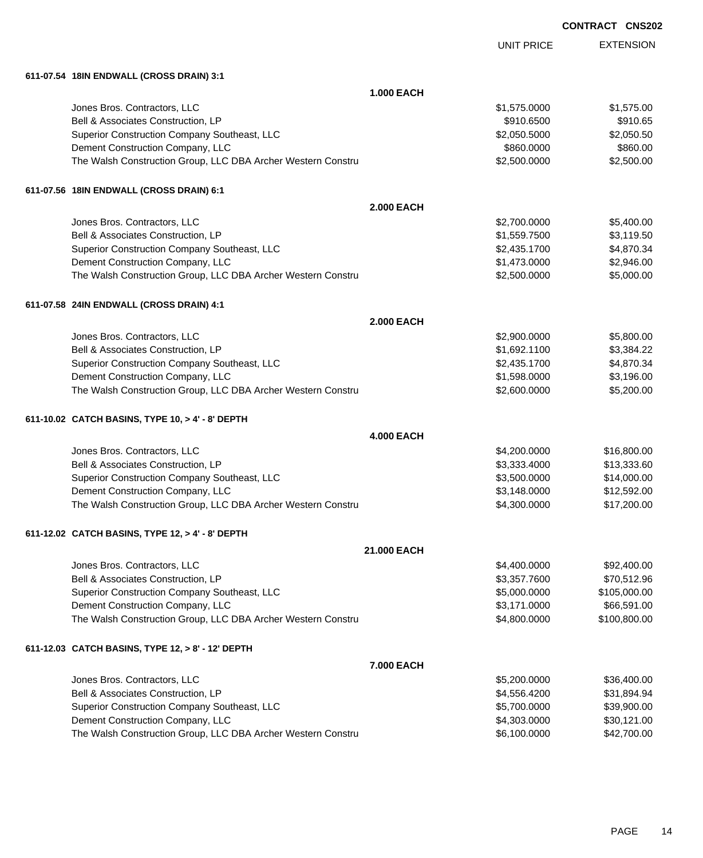| <b>CONTRACT</b> | <b>CNS202</b> |
|-----------------|---------------|
|-----------------|---------------|

|                                                              |                   | <b>UNIT PRICE</b> | <b>EXTENSION</b> |
|--------------------------------------------------------------|-------------------|-------------------|------------------|
| 611-07.54 18IN ENDWALL (CROSS DRAIN) 3:1                     |                   |                   |                  |
|                                                              | <b>1.000 EACH</b> |                   |                  |
| Jones Bros. Contractors, LLC                                 |                   | \$1,575.0000      | \$1,575.00       |
| Bell & Associates Construction, LP                           |                   | \$910.6500        | \$910.65         |
| Superior Construction Company Southeast, LLC                 |                   | \$2,050.5000      | \$2,050.50       |
| Dement Construction Company, LLC                             |                   | \$860.0000        | \$860.00         |
| The Walsh Construction Group, LLC DBA Archer Western Constru |                   | \$2,500.0000      | \$2,500.00       |
| 611-07.56 18IN ENDWALL (CROSS DRAIN) 6:1                     |                   |                   |                  |
|                                                              | <b>2.000 EACH</b> |                   |                  |
| Jones Bros. Contractors, LLC                                 |                   | \$2,700.0000      | \$5,400.00       |
| Bell & Associates Construction, LP                           |                   | \$1,559.7500      | \$3,119.50       |
| Superior Construction Company Southeast, LLC                 |                   | \$2,435.1700      | \$4,870.34       |
| Dement Construction Company, LLC                             |                   | \$1,473.0000      | \$2,946.00       |
| The Walsh Construction Group, LLC DBA Archer Western Constru |                   | \$2,500.0000      | \$5,000.00       |
| 611-07.58 24IN ENDWALL (CROSS DRAIN) 4:1                     |                   |                   |                  |
|                                                              | <b>2.000 EACH</b> |                   |                  |
| Jones Bros. Contractors, LLC                                 |                   | \$2,900.0000      | \$5,800.00       |
| Bell & Associates Construction, LP                           |                   | \$1,692.1100      | \$3,384.22       |
| Superior Construction Company Southeast, LLC                 |                   | \$2,435.1700      | \$4,870.34       |
| Dement Construction Company, LLC                             |                   | \$1,598.0000      | \$3,196.00       |
| The Walsh Construction Group, LLC DBA Archer Western Constru |                   | \$2,600.0000      | \$5,200.00       |
| 611-10.02 CATCH BASINS, TYPE 10, > 4' - 8' DEPTH             |                   |                   |                  |
|                                                              | <b>4.000 EACH</b> |                   |                  |
| Jones Bros. Contractors, LLC                                 |                   | \$4,200.0000      | \$16,800.00      |
| Bell & Associates Construction, LP                           |                   | \$3,333.4000      | \$13,333.60      |
| Superior Construction Company Southeast, LLC                 |                   | \$3,500.0000      | \$14,000.00      |
| Dement Construction Company, LLC                             |                   | \$3,148.0000      | \$12,592.00      |
| The Walsh Construction Group, LLC DBA Archer Western Constru |                   | \$4,300.0000      | \$17,200.00      |
| 611-12.02 CATCH BASINS, TYPE 12, > 4' - 8' DEPTH             |                   |                   |                  |
|                                                              | 21.000 EACH       |                   |                  |
| Jones Bros. Contractors, LLC                                 |                   | \$4,400.0000      | \$92,400.00      |
| Bell & Associates Construction, LP                           |                   | \$3,357.7600      | \$70,512.96      |
| Superior Construction Company Southeast, LLC                 |                   | \$5,000.0000      | \$105,000.00     |
| Dement Construction Company, LLC                             |                   | \$3,171.0000      | \$66,591.00      |
| The Walsh Construction Group, LLC DBA Archer Western Constru |                   | \$4,800.0000      | \$100,800.00     |
| 611-12.03 CATCH BASINS, TYPE 12, > 8' - 12' DEPTH            |                   |                   |                  |
|                                                              | 7.000 EACH        |                   |                  |
| Jones Bros. Contractors, LLC                                 |                   | \$5,200.0000      | \$36,400.00      |
| Bell & Associates Construction, LP                           |                   | \$4,556.4200      | \$31,894.94      |
| Superior Construction Company Southeast, LLC                 |                   | \$5,700.0000      | \$39,900.00      |
| Dement Construction Company, LLC                             |                   | \$4,303.0000      | \$30,121.00      |
| The Walsh Construction Group, LLC DBA Archer Western Constru |                   | \$6,100.0000      | \$42,700.00      |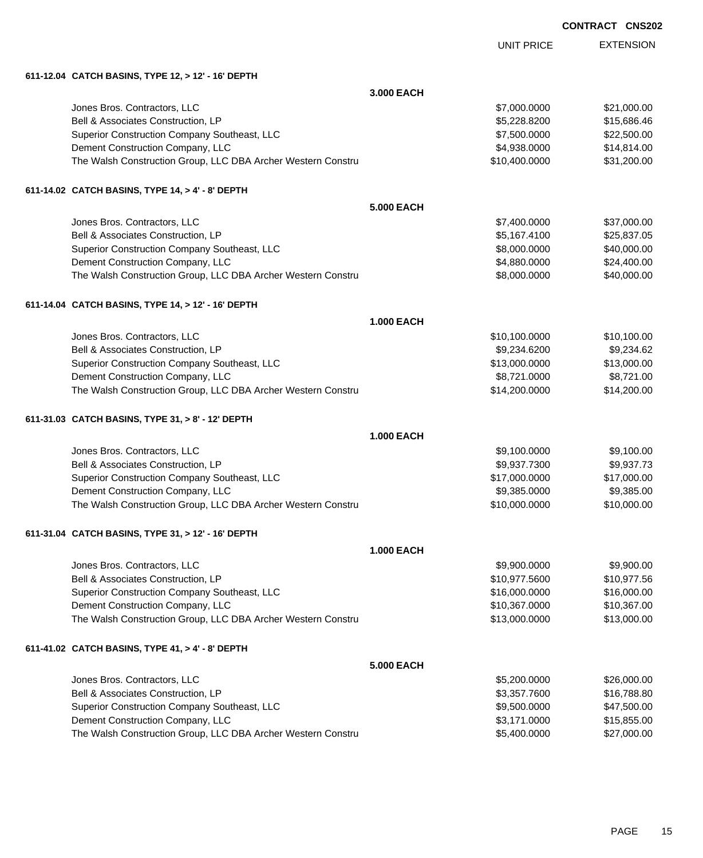| <b>CONTRACT</b> | <b>CNS202</b> |
|-----------------|---------------|
|-----------------|---------------|

|                                                              |                   | <b>UNIT PRICE</b> | <b>EXTENSION</b> |
|--------------------------------------------------------------|-------------------|-------------------|------------------|
| 611-12.04 CATCH BASINS, TYPE 12, > 12' - 16' DEPTH           |                   |                   |                  |
|                                                              | 3.000 EACH        |                   |                  |
| Jones Bros. Contractors, LLC                                 |                   | \$7,000.0000      | \$21,000.00      |
| Bell & Associates Construction, LP                           |                   | \$5,228.8200      | \$15,686.46      |
| Superior Construction Company Southeast, LLC                 |                   | \$7,500.0000      | \$22,500.00      |
| Dement Construction Company, LLC                             |                   | \$4,938.0000      | \$14,814.00      |
| The Walsh Construction Group, LLC DBA Archer Western Constru |                   | \$10,400.0000     | \$31,200.00      |
| 611-14.02 CATCH BASINS, TYPE 14, > 4' - 8' DEPTH             |                   |                   |                  |
|                                                              | <b>5.000 EACH</b> |                   |                  |
| Jones Bros. Contractors, LLC                                 |                   | \$7,400.0000      | \$37,000.00      |
| Bell & Associates Construction, LP                           |                   | \$5,167.4100      | \$25,837.05      |
| Superior Construction Company Southeast, LLC                 |                   | \$8,000.0000      | \$40,000.00      |
| Dement Construction Company, LLC                             |                   | \$4,880.0000      | \$24,400.00      |
| The Walsh Construction Group, LLC DBA Archer Western Constru |                   | \$8,000.0000      | \$40,000.00      |
| 611-14.04 CATCH BASINS, TYPE 14, > 12' - 16' DEPTH           |                   |                   |                  |
|                                                              | <b>1.000 EACH</b> |                   |                  |
| Jones Bros. Contractors, LLC                                 |                   | \$10,100.0000     | \$10,100.00      |
| Bell & Associates Construction, LP                           |                   | \$9,234.6200      | \$9,234.62       |
| Superior Construction Company Southeast, LLC                 |                   | \$13,000.0000     | \$13,000.00      |
| Dement Construction Company, LLC                             |                   | \$8,721.0000      | \$8,721.00       |
| The Walsh Construction Group, LLC DBA Archer Western Constru |                   | \$14,200.0000     | \$14,200.00      |
| 611-31.03 CATCH BASINS, TYPE 31, > 8' - 12' DEPTH            |                   |                   |                  |
|                                                              | <b>1.000 EACH</b> |                   |                  |
| Jones Bros. Contractors, LLC                                 |                   | \$9,100.0000      | \$9,100.00       |
| Bell & Associates Construction, LP                           |                   | \$9,937.7300      | \$9,937.73       |
| Superior Construction Company Southeast, LLC                 |                   | \$17,000.0000     | \$17,000.00      |
| Dement Construction Company, LLC                             |                   | \$9,385.0000      | \$9,385.00       |
| The Walsh Construction Group, LLC DBA Archer Western Constru |                   | \$10,000.0000     | \$10,000.00      |
| 611-31.04 CATCH BASINS, TYPE 31, > 12' - 16' DEPTH           |                   |                   |                  |
|                                                              | <b>1.000 EACH</b> |                   |                  |
| Jones Bros. Contractors, LLC                                 |                   | \$9,900.0000      | \$9,900.00       |
| Bell & Associates Construction, LP                           |                   | \$10,977.5600     | \$10,977.56      |
| Superior Construction Company Southeast, LLC                 |                   | \$16,000.0000     | \$16,000.00      |
| Dement Construction Company, LLC                             |                   | \$10,367.0000     | \$10,367.00      |
| The Walsh Construction Group, LLC DBA Archer Western Constru |                   | \$13,000.0000     | \$13,000.00      |
| 611-41.02 CATCH BASINS, TYPE 41, > 4' - 8' DEPTH             |                   |                   |                  |
|                                                              | <b>5.000 EACH</b> |                   |                  |
| Jones Bros. Contractors, LLC                                 |                   | \$5,200.0000      | \$26,000.00      |
| Bell & Associates Construction, LP                           |                   | \$3,357.7600      | \$16,788.80      |
| Superior Construction Company Southeast, LLC                 |                   | \$9,500.0000      | \$47,500.00      |
| Dement Construction Company, LLC                             |                   | \$3,171.0000      | \$15,855.00      |
| The Walsh Construction Group, LLC DBA Archer Western Constru |                   | \$5,400.0000      | \$27,000.00      |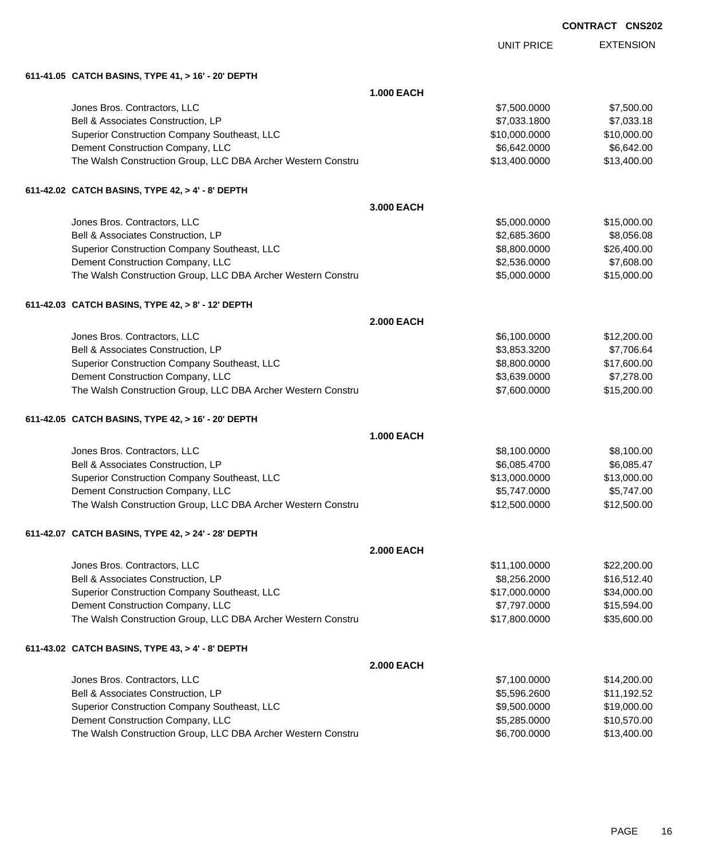| <b>CONTRACT</b> | <b>CNS202</b> |
|-----------------|---------------|
|                 |               |

|                                                              |                   | <b>UNIT PRICE</b> | <b>EXTENSION</b> |
|--------------------------------------------------------------|-------------------|-------------------|------------------|
| 611-41.05 CATCH BASINS, TYPE 41, > 16' - 20' DEPTH           |                   |                   |                  |
|                                                              | <b>1.000 EACH</b> |                   |                  |
| Jones Bros. Contractors, LLC                                 |                   | \$7,500.0000      | \$7,500.00       |
| Bell & Associates Construction, LP                           |                   | \$7,033.1800      | \$7,033.18       |
| Superior Construction Company Southeast, LLC                 |                   | \$10,000.0000     | \$10,000.00      |
| Dement Construction Company, LLC                             |                   | \$6,642.0000      | \$6,642.00       |
| The Walsh Construction Group, LLC DBA Archer Western Constru |                   | \$13,400.0000     | \$13,400.00      |
| 611-42.02 CATCH BASINS, TYPE 42, > 4' - 8' DEPTH             |                   |                   |                  |
|                                                              | 3,000 EACH        |                   |                  |
| Jones Bros. Contractors, LLC                                 |                   | \$5,000.0000      | \$15,000.00      |
| Bell & Associates Construction, LP                           |                   | \$2,685.3600      | \$8,056.08       |
| Superior Construction Company Southeast, LLC                 |                   | \$8,800.0000      | \$26,400.00      |
| Dement Construction Company, LLC                             |                   | \$2,536.0000      | \$7,608.00       |
| The Walsh Construction Group, LLC DBA Archer Western Constru |                   | \$5,000.0000      | \$15,000.00      |
| 611-42.03 CATCH BASINS, TYPE 42, > 8' - 12' DEPTH            |                   |                   |                  |
|                                                              | <b>2.000 EACH</b> |                   |                  |
| Jones Bros. Contractors, LLC                                 |                   | \$6,100.0000      | \$12,200.00      |
| Bell & Associates Construction, LP                           |                   | \$3,853.3200      | \$7,706.64       |
| Superior Construction Company Southeast, LLC                 |                   | \$8,800.0000      | \$17,600.00      |
| Dement Construction Company, LLC                             |                   | \$3,639.0000      | \$7,278.00       |
| The Walsh Construction Group, LLC DBA Archer Western Constru |                   | \$7,600.0000      | \$15,200.00      |
| 611-42.05 CATCH BASINS, TYPE 42, > 16' - 20' DEPTH           |                   |                   |                  |
|                                                              | <b>1.000 EACH</b> |                   |                  |
| Jones Bros. Contractors, LLC                                 |                   | \$8,100.0000      | \$8,100.00       |
| Bell & Associates Construction, LP                           |                   | \$6,085.4700      | \$6,085.47       |
| Superior Construction Company Southeast, LLC                 |                   | \$13,000.0000     | \$13,000.00      |
| Dement Construction Company, LLC                             |                   | \$5,747.0000      | \$5,747.00       |
| The Walsh Construction Group, LLC DBA Archer Western Constru |                   | \$12,500.0000     | \$12,500.00      |
| 611-42.07 CATCH BASINS, TYPE 42, > 24' - 28' DEPTH           |                   |                   |                  |
|                                                              | <b>2.000 EACH</b> |                   |                  |
| Jones Bros. Contractors, LLC                                 |                   | \$11,100.0000     | \$22,200.00      |
| Bell & Associates Construction, LP                           |                   | \$8,256.2000      | \$16,512.40      |
| Superior Construction Company Southeast, LLC                 |                   | \$17,000.0000     | \$34,000.00      |
| Dement Construction Company, LLC                             |                   | \$7,797.0000      | \$15,594.00      |
| The Walsh Construction Group, LLC DBA Archer Western Constru |                   | \$17,800.0000     | \$35,600.00      |
| 611-43.02 CATCH BASINS, TYPE 43, > 4' - 8' DEPTH             |                   |                   |                  |
|                                                              | <b>2.000 EACH</b> |                   |                  |
| Jones Bros. Contractors, LLC                                 |                   | \$7,100.0000      | \$14,200.00      |
| Bell & Associates Construction, LP                           |                   | \$5,596.2600      | \$11,192.52      |
| Superior Construction Company Southeast, LLC                 |                   | \$9,500.0000      | \$19,000.00      |
| Dement Construction Company, LLC                             |                   | \$5,285.0000      | \$10,570.00      |
| The Walsh Construction Group, LLC DBA Archer Western Constru |                   | \$6,700.0000      | \$13,400.00      |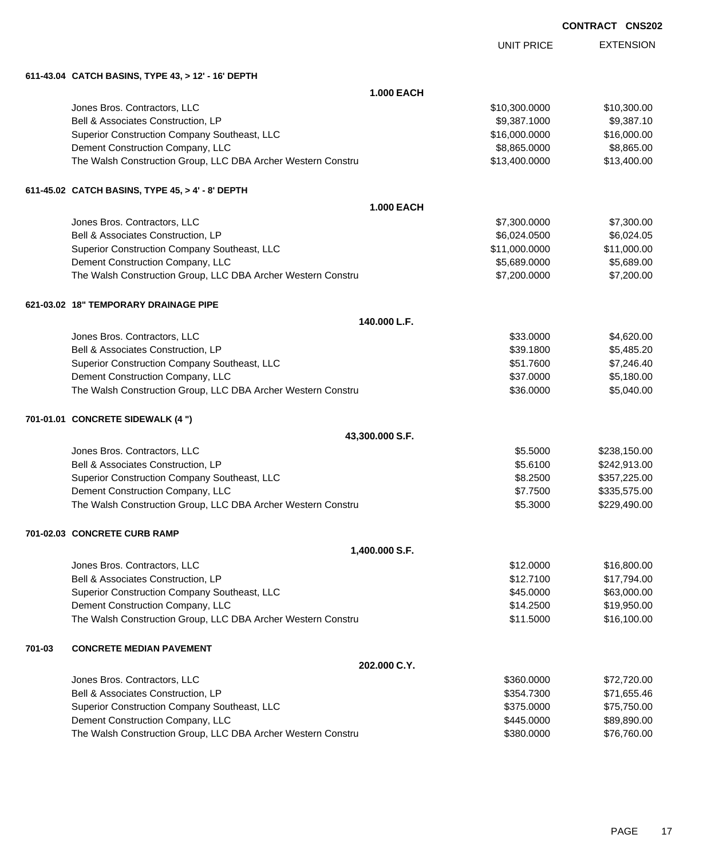| <b>CONTRACT</b> | <b>CNS202</b> |
|-----------------|---------------|
|-----------------|---------------|

|        |                                                              | <b>UNIT PRICE</b> | <b>EXTENSION</b> |
|--------|--------------------------------------------------------------|-------------------|------------------|
|        | 611-43.04 CATCH BASINS, TYPE 43, > 12' - 16' DEPTH           |                   |                  |
|        | <b>1.000 EACH</b>                                            |                   |                  |
|        | Jones Bros. Contractors, LLC                                 | \$10,300.0000     | \$10,300.00      |
|        | Bell & Associates Construction, LP                           | \$9,387.1000      | \$9,387.10       |
|        | Superior Construction Company Southeast, LLC                 | \$16,000.0000     | \$16,000.00      |
|        | Dement Construction Company, LLC                             | \$8,865.0000      | \$8,865.00       |
|        | The Walsh Construction Group, LLC DBA Archer Western Constru | \$13,400.0000     | \$13,400.00      |
|        | 611-45.02 CATCH BASINS, TYPE 45, > 4' - 8' DEPTH             |                   |                  |
|        | <b>1.000 EACH</b>                                            |                   |                  |
|        | Jones Bros. Contractors, LLC                                 | \$7,300.0000      | \$7,300.00       |
|        | Bell & Associates Construction, LP                           | \$6,024.0500      | \$6,024.05       |
|        | Superior Construction Company Southeast, LLC                 | \$11,000.0000     | \$11,000.00      |
|        | Dement Construction Company, LLC                             | \$5,689.0000      | \$5,689.00       |
|        | The Walsh Construction Group, LLC DBA Archer Western Constru | \$7,200.0000      | \$7,200.00       |
|        | 621-03.02 18" TEMPORARY DRAINAGE PIPE                        |                   |                  |
|        | 140.000 L.F.                                                 |                   |                  |
|        | Jones Bros. Contractors, LLC                                 | \$33.0000         | \$4,620.00       |
|        | Bell & Associates Construction, LP                           | \$39.1800         | \$5,485.20       |
|        | Superior Construction Company Southeast, LLC                 | \$51.7600         | \$7,246.40       |
|        | Dement Construction Company, LLC                             | \$37.0000         | \$5,180.00       |
|        | The Walsh Construction Group, LLC DBA Archer Western Constru | \$36.0000         | \$5,040.00       |
|        | 701-01.01 CONCRETE SIDEWALK (4 ")                            |                   |                  |
|        | 43,300.000 S.F.                                              |                   |                  |
|        | Jones Bros. Contractors, LLC                                 | \$5.5000          | \$238,150.00     |
|        | Bell & Associates Construction, LP                           | \$5.6100          | \$242,913.00     |
|        | Superior Construction Company Southeast, LLC                 | \$8.2500          | \$357,225.00     |
|        | Dement Construction Company, LLC                             | \$7.7500          | \$335,575.00     |
|        | The Walsh Construction Group, LLC DBA Archer Western Constru | \$5.3000          | \$229,490.00     |
|        | 701-02.03 CONCRETE CURB RAMP                                 |                   |                  |
|        | 1,400.000 S.F.                                               |                   |                  |
|        | Jones Bros. Contractors, LLC                                 | \$12.0000         | \$16,800.00      |
|        | Bell & Associates Construction, LP                           | \$12.7100         | \$17,794.00      |
|        | Superior Construction Company Southeast, LLC                 | \$45.0000         | \$63,000.00      |
|        | Dement Construction Company, LLC                             | \$14.2500         | \$19,950.00      |
|        | The Walsh Construction Group, LLC DBA Archer Western Constru | \$11.5000         | \$16,100.00      |
| 701-03 | <b>CONCRETE MEDIAN PAVEMENT</b>                              |                   |                  |
|        | 202.000 C.Y.                                                 |                   |                  |
|        | Jones Bros. Contractors, LLC                                 | \$360.0000        | \$72,720.00      |
|        | Bell & Associates Construction, LP                           | \$354.7300        | \$71,655.46      |
|        | Superior Construction Company Southeast, LLC                 | \$375.0000        | \$75,750.00      |
|        | Dement Construction Company, LLC                             | \$445.0000        | \$89,890.00      |
|        | The Walsh Construction Group, LLC DBA Archer Western Constru | \$380.0000        | \$76,760.00      |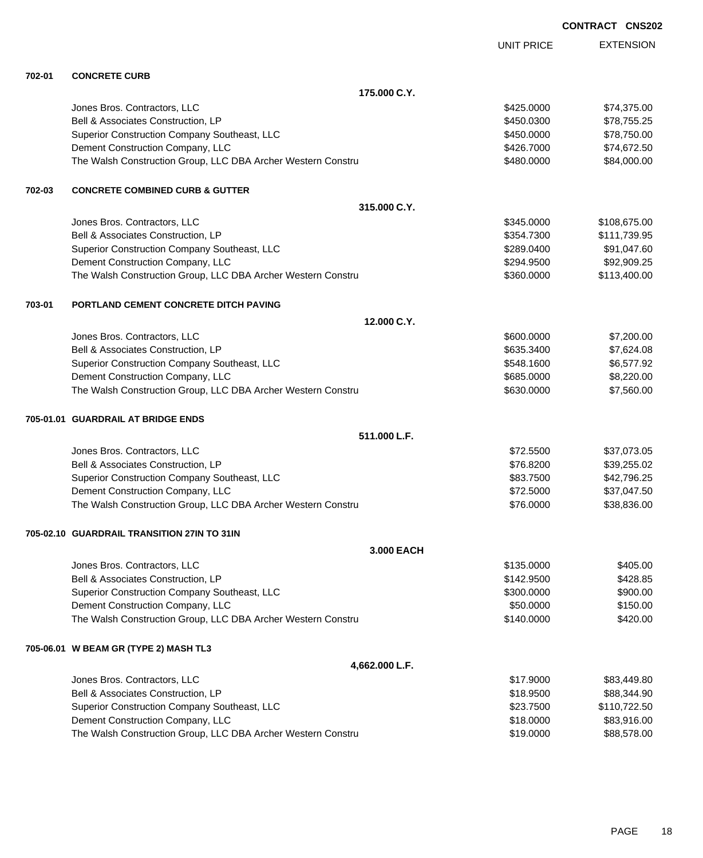UNIT PRICE EXTENSION

**702-01 CONCRETE CURB**

| 702-UT | <b>UUNUREIE UURB</b>                                         |            |              |
|--------|--------------------------------------------------------------|------------|--------------|
|        | 175,000 C.Y.                                                 |            |              |
|        | Jones Bros. Contractors, LLC                                 | \$425.0000 | \$74,375.00  |
|        | Bell & Associates Construction, LP                           | \$450.0300 | \$78,755.25  |
|        | Superior Construction Company Southeast, LLC                 | \$450.0000 | \$78,750.00  |
|        | Dement Construction Company, LLC                             | \$426.7000 | \$74,672.50  |
|        | The Walsh Construction Group, LLC DBA Archer Western Constru | \$480.0000 | \$84,000.00  |
| 702-03 | <b>CONCRETE COMBINED CURB &amp; GUTTER</b>                   |            |              |
|        | 315.000 C.Y.                                                 |            |              |
|        | Jones Bros. Contractors, LLC                                 | \$345.0000 | \$108,675.00 |
|        | Bell & Associates Construction, LP                           | \$354.7300 | \$111,739.95 |
|        | Superior Construction Company Southeast, LLC                 | \$289.0400 | \$91,047.60  |
|        | Dement Construction Company, LLC                             | \$294.9500 | \$92,909.25  |
|        | The Walsh Construction Group, LLC DBA Archer Western Constru | \$360.0000 | \$113,400.00 |
| 703-01 | PORTLAND CEMENT CONCRETE DITCH PAVING                        |            |              |
|        | 12.000 C.Y.                                                  |            |              |
|        | Jones Bros. Contractors, LLC                                 | \$600.0000 | \$7,200.00   |
|        | Bell & Associates Construction, LP                           | \$635.3400 | \$7,624.08   |
|        | Superior Construction Company Southeast, LLC                 | \$548.1600 | \$6,577.92   |
|        | Dement Construction Company, LLC                             | \$685.0000 | \$8,220.00   |
|        | The Walsh Construction Group, LLC DBA Archer Western Constru | \$630.0000 | \$7,560.00   |
|        | 705-01.01 GUARDRAIL AT BRIDGE ENDS                           |            |              |
|        | 511.000 L.F.                                                 |            |              |
|        | Jones Bros. Contractors, LLC                                 | \$72.5500  | \$37,073.05  |
|        | Bell & Associates Construction, LP                           | \$76.8200  | \$39,255.02  |
|        | Superior Construction Company Southeast, LLC                 | \$83.7500  | \$42,796.25  |
|        | Dement Construction Company, LLC                             | \$72.5000  | \$37,047.50  |
|        | The Walsh Construction Group, LLC DBA Archer Western Constru | \$76.0000  | \$38,836.00  |
|        | 705-02.10 GUARDRAIL TRANSITION 27IN TO 31IN                  |            |              |
|        | 3.000 EACH                                                   |            |              |
|        | Jones Bros. Contractors, LLC                                 | \$135.0000 | \$405.00     |
|        | Bell & Associates Construction, LP                           | \$142.9500 | \$428.85     |
|        | Superior Construction Company Southeast, LLC                 | \$300.0000 | \$900.00     |
|        | Dement Construction Company, LLC                             | \$50.0000  | \$150.00     |
|        | The Walsh Construction Group, LLC DBA Archer Western Constru | \$140.0000 | \$420.00     |
|        | 705-06.01 W BEAM GR (TYPE 2) MASH TL3                        |            |              |
|        | 4,662.000 L.F.                                               |            |              |
|        | Jones Bros. Contractors, LLC                                 | \$17.9000  | \$83,449.80  |
|        | Bell & Associates Construction, LP                           | \$18.9500  | \$88,344.90  |
|        | Superior Construction Company Southeast, LLC                 | \$23.7500  | \$110,722.50 |
|        | Dement Construction Company, LLC                             | \$18.0000  | \$83,916.00  |
|        | The Walsh Construction Group, LLC DBA Archer Western Constru | \$19.0000  | \$88,578.00  |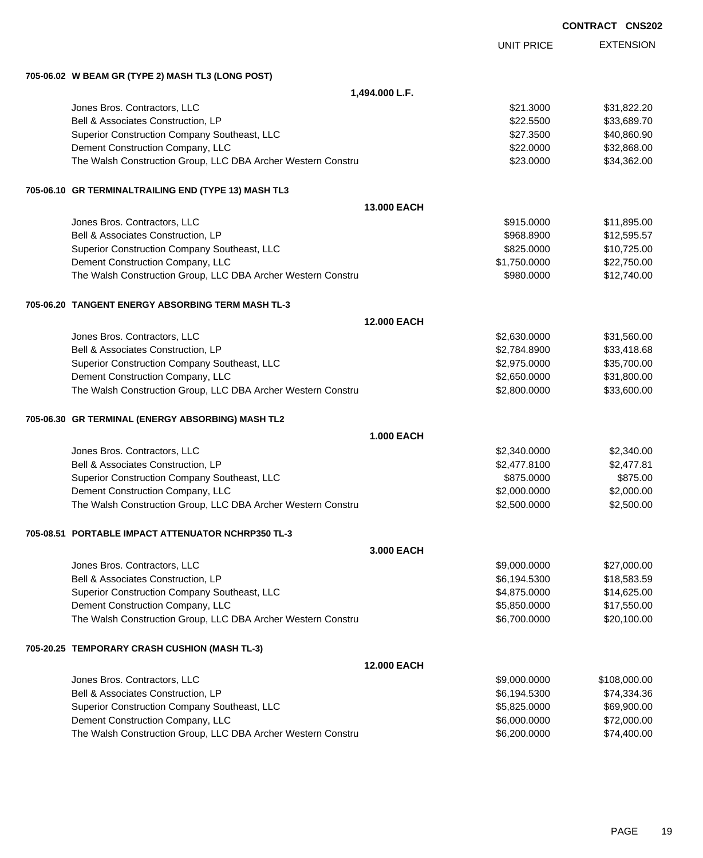|                                                                                                  |                    |                              | <b>CONTRACT CNS202</b> |                            |
|--------------------------------------------------------------------------------------------------|--------------------|------------------------------|------------------------|----------------------------|
|                                                                                                  |                    | <b>UNIT PRICE</b>            |                        | <b>EXTENSION</b>           |
| 705-06.02 W BEAM GR (TYPE 2) MASH TL3 (LONG POST)                                                |                    |                              |                        |                            |
|                                                                                                  | 1,494.000 L.F.     |                              |                        |                            |
| Jones Bros. Contractors, LLC                                                                     |                    | \$21.3000                    |                        | \$31,822.20                |
| Bell & Associates Construction, LP                                                               |                    | \$22.5500                    |                        | \$33,689.70                |
| Superior Construction Company Southeast, LLC                                                     |                    | \$27.3500                    |                        | \$40,860.90                |
| Dement Construction Company, LLC                                                                 |                    | \$22,0000                    |                        | \$32,868.00                |
| The Walsh Construction Group, LLC DBA Archer Western Constru                                     |                    | \$23.0000                    |                        | \$34,362.00                |
| 705-06.10 GR TERMINALTRAILING END (TYPE 13) MASH TL3                                             |                    |                              |                        |                            |
|                                                                                                  | 13.000 EACH        |                              |                        |                            |
| Jones Bros. Contractors, LLC                                                                     |                    | \$915.0000                   |                        | \$11,895.00                |
| Bell & Associates Construction, LP                                                               |                    | \$968.8900                   |                        | \$12,595.57                |
| Superior Construction Company Southeast, LLC                                                     |                    | \$825.0000                   |                        | \$10,725.00                |
| Dement Construction Company, LLC                                                                 |                    | \$1,750.0000                 |                        | \$22,750.00                |
| The Walsh Construction Group, LLC DBA Archer Western Constru                                     |                    | \$980.0000                   |                        | \$12,740.00                |
| 705-06.20 TANGENT ENERGY ABSORBING TERM MASH TL-3                                                |                    |                              |                        |                            |
|                                                                                                  | 12.000 EACH        |                              |                        |                            |
| Jones Bros. Contractors, LLC                                                                     |                    | \$2,630.0000                 |                        | \$31,560.00                |
| Bell & Associates Construction, LP                                                               |                    | \$2,784.8900                 |                        | \$33,418.68                |
| Superior Construction Company Southeast, LLC                                                     |                    | \$2,975.0000                 |                        | \$35,700.00                |
| Dement Construction Company, LLC<br>The Walsh Construction Group, LLC DBA Archer Western Constru |                    | \$2,650.0000<br>\$2,800.0000 |                        | \$31,800.00<br>\$33,600.00 |
|                                                                                                  |                    |                              |                        |                            |
| 705-06.30 GR TERMINAL (ENERGY ABSORBING) MASH TL2                                                | <b>1.000 EACH</b>  |                              |                        |                            |
| Jones Bros. Contractors, LLC                                                                     |                    | \$2,340.0000                 |                        | \$2,340.00                 |
| Bell & Associates Construction, LP                                                               |                    | \$2,477.8100                 |                        | \$2,477.81                 |
| Superior Construction Company Southeast, LLC                                                     |                    | \$875.0000                   |                        | \$875.00                   |
| Dement Construction Company, LLC                                                                 |                    | \$2,000.0000                 |                        | \$2,000.00                 |
| The Walsh Construction Group, LLC DBA Archer Western Constru                                     |                    | \$2,500.0000                 |                        | \$2,500.00                 |
| 705-08.51 PORTABLE IMPACT ATTENUATOR NCHRP350 TL-3                                               |                    |                              |                        |                            |
|                                                                                                  | 3.000 EACH         |                              |                        |                            |
| Jones Bros. Contractors, LLC                                                                     |                    | \$9,000.0000                 |                        | \$27,000.00                |
| Bell & Associates Construction, LP                                                               |                    | \$6,194.5300                 |                        | \$18,583.59                |
| Superior Construction Company Southeast, LLC                                                     |                    | \$4,875.0000                 |                        | \$14,625.00                |
| Dement Construction Company, LLC                                                                 |                    | \$5,850.0000                 |                        | \$17,550.00                |
| The Walsh Construction Group, LLC DBA Archer Western Constru                                     |                    | \$6,700.0000                 |                        | \$20,100.00                |
| 705-20.25 TEMPORARY CRASH CUSHION (MASH TL-3)                                                    |                    |                              |                        |                            |
|                                                                                                  | <b>12.000 EACH</b> |                              |                        |                            |
| Jones Bros. Contractors, LLC                                                                     |                    | \$9,000.0000                 |                        | \$108,000.00               |
| Bell & Associates Construction, LP                                                               |                    | \$6,194.5300                 |                        | \$74,334.36                |
| Superior Construction Company Southeast, LLC                                                     |                    | \$5,825.0000                 |                        | \$69,900.00                |

Dement Construction Company, LLC \$6,000.0000 \$72,000.00 The Walsh Construction Group, LLC DBA Archer Western Constru \$6,200.000 \$6,200.0000 \$74,400.00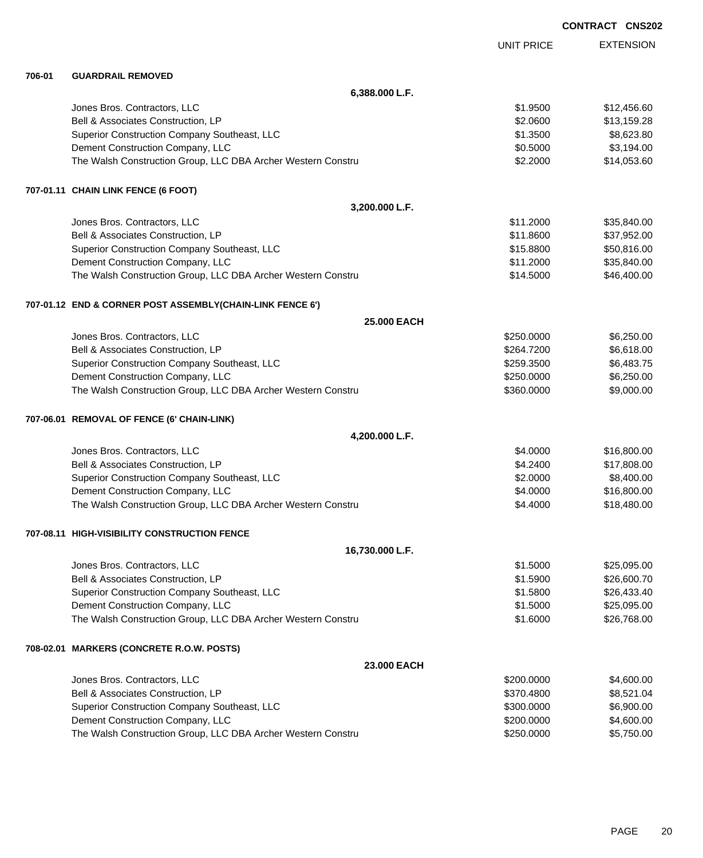|        |                                                              |                   | <b>CONTRACT CNS202</b> |
|--------|--------------------------------------------------------------|-------------------|------------------------|
|        |                                                              | <b>UNIT PRICE</b> | <b>EXTENSION</b>       |
| 706-01 | <b>GUARDRAIL REMOVED</b>                                     |                   |                        |
|        | 6,388.000 L.F.                                               |                   |                        |
|        | Jones Bros. Contractors, LLC                                 | \$1.9500          | \$12,456.60            |
|        | Bell & Associates Construction, LP                           | \$2.0600          | \$13,159.28            |
|        | Superior Construction Company Southeast, LLC                 | \$1.3500          | \$8,623.80             |
|        | Dement Construction Company, LLC                             | \$0.5000          | \$3,194.00             |
|        | The Walsh Construction Group, LLC DBA Archer Western Constru | \$2.2000          | \$14,053.60            |
|        | 707-01.11 CHAIN LINK FENCE (6 FOOT)                          |                   |                        |
|        | 3,200.000 L.F.                                               |                   |                        |
|        | Jones Bros. Contractors, LLC                                 | \$11.2000         | \$35,840.00            |
|        | Bell & Associates Construction, LP                           | \$11.8600         | \$37,952.00            |
|        | Superior Construction Company Southeast, LLC                 | \$15.8800         | \$50,816.00            |
|        | Dement Construction Company, LLC                             | \$11.2000         | \$35,840.00            |
|        | The Walsh Construction Group, LLC DBA Archer Western Constru | \$14.5000         | \$46,400.00            |
|        | 707-01.12 END & CORNER POST ASSEMBLY(CHAIN-LINK FENCE 6')    |                   |                        |
|        | 25.000 EACH                                                  |                   |                        |
|        | Jones Bros. Contractors, LLC                                 | \$250.0000        | \$6,250.00             |
|        | Bell & Associates Construction, LP                           | \$264.7200        | \$6,618.00             |
|        | Superior Construction Company Southeast, LLC                 | \$259.3500        | \$6,483.75             |
|        | Dement Construction Company, LLC                             | \$250.0000        | \$6,250.00             |
|        | The Walsh Construction Group, LLC DBA Archer Western Constru | \$360.0000        | \$9,000.00             |
|        | 707-06.01 REMOVAL OF FENCE (6' CHAIN-LINK)                   |                   |                        |
|        | 4,200.000 L.F.                                               |                   |                        |
|        | Jones Bros. Contractors, LLC                                 | \$4.0000          | \$16,800.00            |
|        | Bell & Associates Construction, LP                           | \$4.2400          | \$17,808.00            |
|        | Superior Construction Company Southeast, LLC                 | \$2.0000          | \$8,400.00             |
|        | Dement Construction Company, LLC                             | \$4.0000          | \$16,800.00            |
|        | The Walsh Construction Group, LLC DBA Archer Western Constru | \$4.4000          | \$18,480.00            |
|        | 707-08.11 HIGH-VISIBILITY CONSTRUCTION FENCE                 |                   |                        |
|        | 16,730.000 L.F.                                              |                   |                        |
|        | Jones Bros. Contractors, LLC                                 | \$1.5000          | \$25,095.00            |
|        | Bell & Associates Construction, LP                           | \$1.5900          | \$26,600.70            |
|        | Superior Construction Company Southeast, LLC                 | \$1.5800          | \$26,433.40            |
|        | Dement Construction Company, LLC                             | \$1.5000          | \$25,095.00            |
|        | The Walsh Construction Group, LLC DBA Archer Western Constru | \$1.6000          | \$26,768.00            |
|        | 708-02.01 MARKERS (CONCRETE R.O.W. POSTS)                    |                   |                        |
|        | 23.000 EACH                                                  |                   |                        |
|        | Jones Bros. Contractors, LLC                                 | \$200.0000        | \$4,600.00             |
|        | Bell & Associates Construction, LP                           | \$370.4800        | \$8,521.04             |
|        | Superior Construction Company Southeast, LLC                 | \$300.0000        | \$6,900.00             |
|        | Dement Construction Company, LLC                             | \$200.0000        | \$4,600.00             |
|        | The Walsh Construction Group, LLC DBA Archer Western Constru | \$250.0000        | \$5,750.00             |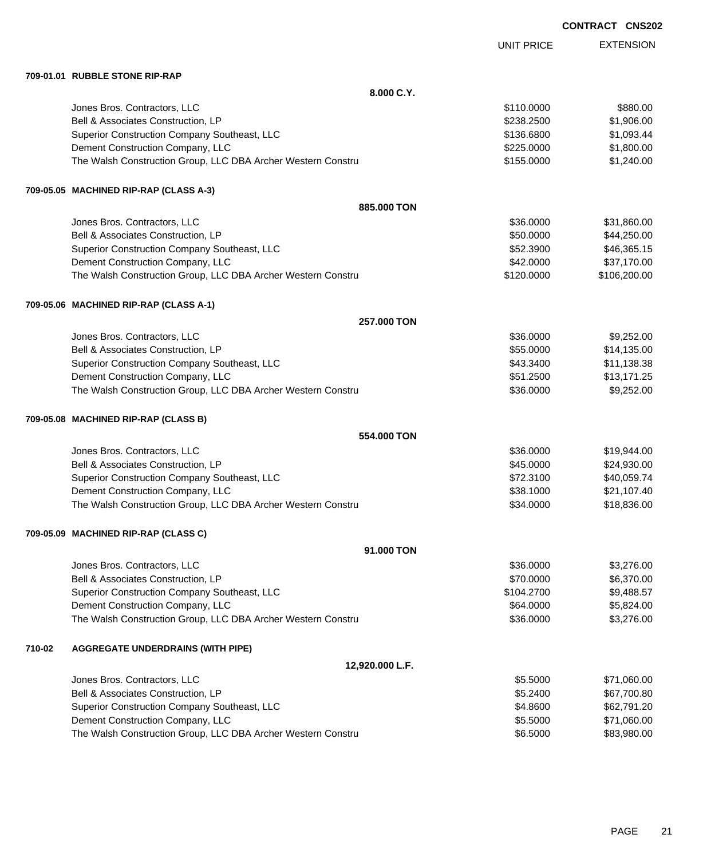UNIT PRICE

EXTENSION

**709-01.01 RUBBLE STONE RIP-RAP**

|        | 709-01.01 RUBBLE STONE RIP-RAP                               |            |              |
|--------|--------------------------------------------------------------|------------|--------------|
|        | 8.000 C.Y.                                                   |            |              |
|        | Jones Bros. Contractors, LLC                                 | \$110.0000 | \$880.00     |
|        | Bell & Associates Construction, LP                           | \$238.2500 | \$1,906.00   |
|        | Superior Construction Company Southeast, LLC                 | \$136.6800 | \$1,093.44   |
|        | Dement Construction Company, LLC                             | \$225.0000 | \$1,800.00   |
|        | The Walsh Construction Group, LLC DBA Archer Western Constru | \$155.0000 | \$1,240.00   |
|        | 709-05.05 MACHINED RIP-RAP (CLASS A-3)                       |            |              |
|        | 885.000 TON                                                  |            |              |
|        | Jones Bros. Contractors, LLC                                 | \$36.0000  | \$31,860.00  |
|        | Bell & Associates Construction, LP                           | \$50.0000  | \$44,250.00  |
|        | Superior Construction Company Southeast, LLC                 | \$52.3900  | \$46,365.15  |
|        | Dement Construction Company, LLC                             | \$42.0000  | \$37,170.00  |
|        | The Walsh Construction Group, LLC DBA Archer Western Constru | \$120.0000 | \$106,200.00 |
|        | 709-05.06 MACHINED RIP-RAP (CLASS A-1)                       |            |              |
|        | 257.000 TON                                                  |            |              |
|        | Jones Bros. Contractors, LLC                                 | \$36.0000  | \$9,252.00   |
|        | Bell & Associates Construction, LP                           | \$55.0000  | \$14,135.00  |
|        | Superior Construction Company Southeast, LLC                 | \$43.3400  | \$11,138.38  |
|        | Dement Construction Company, LLC                             | \$51.2500  | \$13,171.25  |
|        | The Walsh Construction Group, LLC DBA Archer Western Constru | \$36.0000  | \$9,252.00   |
|        | 709-05.08 MACHINED RIP-RAP (CLASS B)                         |            |              |
|        | 554,000 TON                                                  |            |              |
|        | Jones Bros. Contractors, LLC                                 | \$36.0000  | \$19,944.00  |
|        | Bell & Associates Construction, LP                           | \$45.0000  | \$24,930.00  |
|        | Superior Construction Company Southeast, LLC                 | \$72.3100  | \$40,059.74  |
|        | Dement Construction Company, LLC                             | \$38.1000  | \$21,107.40  |
|        | The Walsh Construction Group, LLC DBA Archer Western Constru | \$34.0000  | \$18,836.00  |
|        | 709-05.09 MACHINED RIP-RAP (CLASS C)                         |            |              |
|        | 91.000 TON                                                   |            |              |
|        | Jones Bros. Contractors, LLC                                 | \$36.0000  | \$3,276.00   |
|        | Bell & Associates Construction, LP                           | \$70.0000  | \$6,370.00   |
|        | Superior Construction Company Southeast, LLC                 | \$104.2700 | \$9,488.57   |
|        | Dement Construction Company, LLC                             | \$64.0000  | \$5,824.00   |
|        | The Walsh Construction Group, LLC DBA Archer Western Constru | \$36.0000  | \$3,276.00   |
| 710-02 | <b>AGGREGATE UNDERDRAINS (WITH PIPE)</b>                     |            |              |
|        | 12,920.000 L.F.                                              |            |              |
|        | Jones Bros. Contractors, LLC                                 | \$5.5000   | \$71,060.00  |
|        | Bell & Associates Construction, LP                           | \$5.2400   | \$67,700.80  |
|        | Superior Construction Company Southeast, LLC                 | \$4.8600   | \$62,791.20  |
|        | Dement Construction Company, LLC                             | \$5.5000   | \$71,060.00  |
|        | The Walsh Construction Group, LLC DBA Archer Western Constru | \$6.5000   | \$83,980.00  |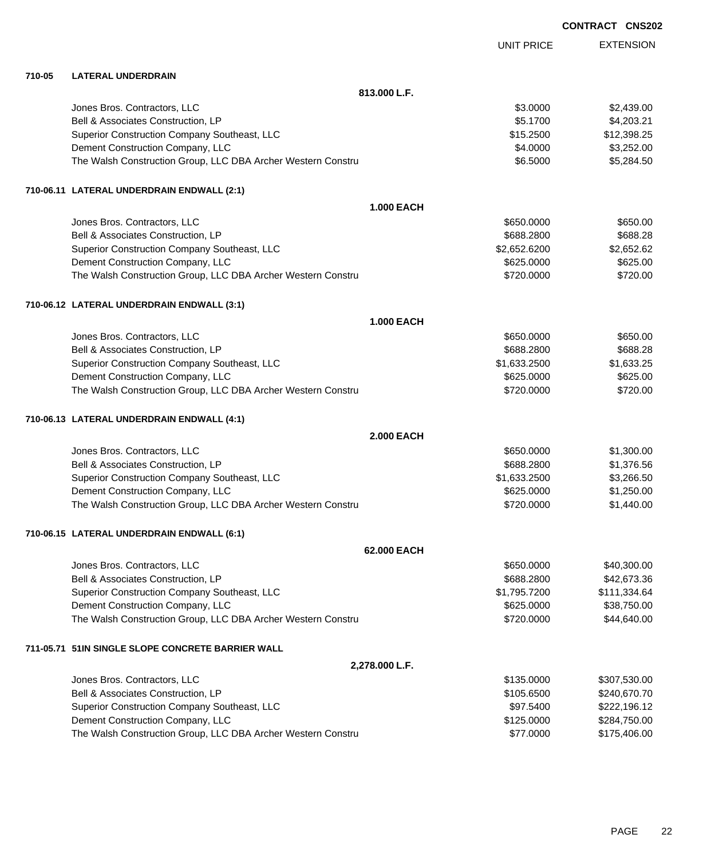|        |                                                              |                   | <b>CONTRACT CNS202</b> |
|--------|--------------------------------------------------------------|-------------------|------------------------|
|        |                                                              | <b>UNIT PRICE</b> | <b>EXTENSION</b>       |
| 710-05 | <b>LATERAL UNDERDRAIN</b>                                    |                   |                        |
|        | 813.000 L.F.                                                 |                   |                        |
|        | Jones Bros. Contractors, LLC                                 | \$3.0000          | \$2,439.00             |
|        | Bell & Associates Construction, LP                           | \$5.1700          | \$4,203.21             |
|        | Superior Construction Company Southeast, LLC                 | \$15.2500         | \$12,398.25            |
|        | Dement Construction Company, LLC                             | \$4.0000          | \$3,252.00             |
|        | The Walsh Construction Group, LLC DBA Archer Western Constru | \$6.5000          | \$5,284.50             |
|        | 710-06.11 LATERAL UNDERDRAIN ENDWALL (2:1)                   |                   |                        |
|        | <b>1.000 EACH</b>                                            |                   |                        |
|        | Jones Bros. Contractors, LLC                                 | \$650.0000        | \$650.00               |
|        | Bell & Associates Construction, LP                           | \$688.2800        | \$688.28               |
|        | Superior Construction Company Southeast, LLC                 | \$2,652.6200      | \$2,652.62             |
|        | Dement Construction Company, LLC                             | \$625.0000        | \$625.00               |
|        | The Walsh Construction Group, LLC DBA Archer Western Constru | \$720.0000        | \$720.00               |
|        | 710-06.12 LATERAL UNDERDRAIN ENDWALL (3:1)                   |                   |                        |
|        | <b>1.000 EACH</b>                                            |                   |                        |
|        | Jones Bros. Contractors, LLC                                 | \$650.0000        | \$650.00               |
|        | Bell & Associates Construction, LP                           | \$688.2800        | \$688.28               |
|        | Superior Construction Company Southeast, LLC                 | \$1,633.2500      | \$1,633.25             |
|        | Dement Construction Company, LLC                             | \$625.0000        | \$625.00               |
|        | The Walsh Construction Group, LLC DBA Archer Western Constru | \$720.0000        | \$720.00               |
|        | 710-06.13 LATERAL UNDERDRAIN ENDWALL (4:1)                   |                   |                        |
|        | <b>2.000 EACH</b>                                            |                   |                        |
|        | Jones Bros. Contractors, LLC                                 | \$650.0000        | \$1,300.00             |
|        | Bell & Associates Construction, LP                           | \$688.2800        | \$1,376.56             |
|        | Superior Construction Company Southeast, LLC                 | \$1,633.2500      | \$3,266.50             |
|        | Dement Construction Company, LLC                             | \$625.0000        | \$1,250.00             |
|        | The Walsh Construction Group, LLC DBA Archer Western Constru | \$720.0000        | \$1,440.00             |
|        | 710-06.15 LATERAL UNDERDRAIN ENDWALL (6:1)                   |                   |                        |
|        | 62.000 EACH                                                  |                   |                        |
|        | Jones Bros. Contractors, LLC                                 | \$650.0000        | \$40,300.00            |
|        | Bell & Associates Construction, LP                           | \$688.2800        | \$42,673.36            |
|        | Superior Construction Company Southeast, LLC                 | \$1,795.7200      | \$111,334.64           |
|        | Dement Construction Company, LLC                             | \$625.0000        | \$38,750.00            |
|        | The Walsh Construction Group, LLC DBA Archer Western Constru | \$720.0000        | \$44,640.00            |
|        | 711-05.71 51IN SINGLE SLOPE CONCRETE BARRIER WALL            |                   |                        |
|        | 2,278.000 L.F.                                               |                   |                        |
|        | Jones Bros. Contractors, LLC                                 | \$135.0000        | \$307,530.00           |
|        | Bell & Associates Construction, LP                           | \$105.6500        | \$240,670.70           |
|        | Superior Construction Company Southeast, LLC                 | \$97.5400         | \$222,196.12           |
|        | Dement Construction Company, LLC                             | \$125.0000        | \$284,750.00           |
|        | The Walsh Construction Group, LLC DBA Archer Western Constru | \$77.0000         | \$175,406.00           |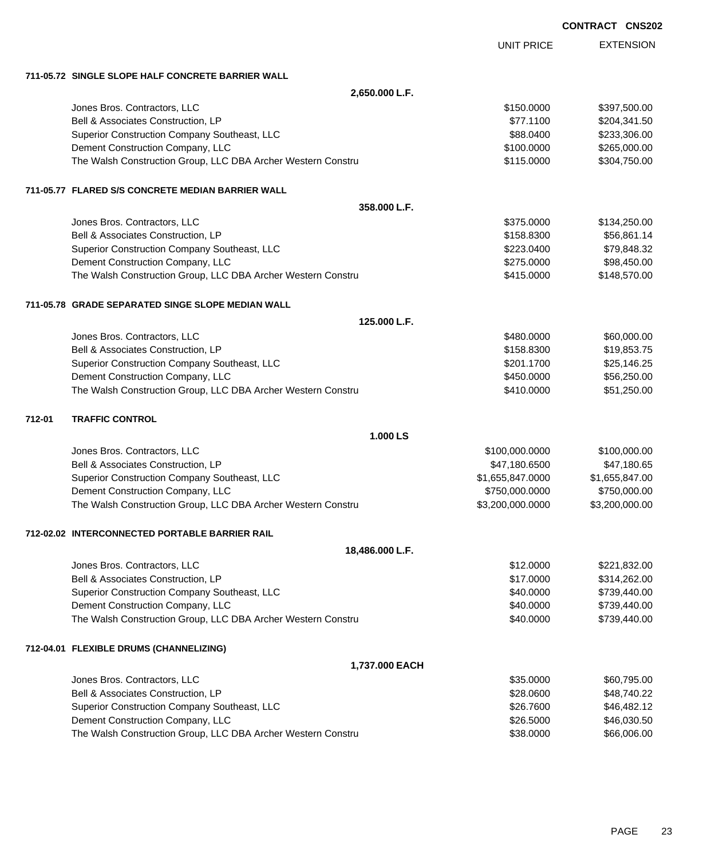|        |                                                              |                   | <b>CONTRACT CNS202</b> |                  |
|--------|--------------------------------------------------------------|-------------------|------------------------|------------------|
|        |                                                              | <b>UNIT PRICE</b> |                        | <b>EXTENSION</b> |
|        | 711-05.72 SINGLE SLOPE HALF CONCRETE BARRIER WALL            |                   |                        |                  |
|        | 2,650.000 L.F.                                               |                   |                        |                  |
|        | Jones Bros. Contractors, LLC                                 | \$150.0000        |                        | \$397,500.00     |
|        | Bell & Associates Construction, LP                           | \$77.1100         |                        | \$204,341.50     |
|        | Superior Construction Company Southeast, LLC                 | \$88.0400         |                        | \$233,306.00     |
|        | Dement Construction Company, LLC                             | \$100.0000        |                        | \$265,000.00     |
|        | The Walsh Construction Group, LLC DBA Archer Western Constru | \$115.0000        |                        | \$304,750.00     |
|        | 711-05.77 FLARED S/S CONCRETE MEDIAN BARRIER WALL            |                   |                        |                  |
|        | 358.000 L.F.                                                 |                   |                        |                  |
|        | Jones Bros. Contractors, LLC                                 | \$375.0000        |                        | \$134,250.00     |
|        | Bell & Associates Construction, LP                           | \$158.8300        |                        | \$56,861.14      |
|        | Superior Construction Company Southeast, LLC                 | \$223.0400        |                        | \$79,848.32      |
|        | Dement Construction Company, LLC                             | \$275,0000        |                        | \$98,450.00      |
|        | The Walsh Construction Group, LLC DBA Archer Western Constru | \$415.0000        |                        | \$148,570.00     |
|        | 711-05.78 GRADE SEPARATED SINGE SLOPE MEDIAN WALL            |                   |                        |                  |
|        | 125.000 L.F.                                                 |                   |                        |                  |
|        | Jones Bros. Contractors, LLC                                 | \$480.0000        |                        | \$60,000.00      |
|        | Bell & Associates Construction, LP                           | \$158.8300        |                        | \$19,853.75      |
|        | Superior Construction Company Southeast, LLC                 | \$201.1700        |                        | \$25,146.25      |
|        | Dement Construction Company, LLC                             | \$450.0000        |                        | \$56,250.00      |
|        | The Walsh Construction Group, LLC DBA Archer Western Constru | \$410.0000        |                        | \$51,250.00      |
| 712-01 | <b>TRAFFIC CONTROL</b>                                       |                   |                        |                  |
|        | 1.000 LS                                                     |                   |                        |                  |
|        | Jones Bros. Contractors, LLC                                 | \$100,000.0000    |                        | \$100,000.00     |
|        | Bell & Associates Construction, LP                           | \$47,180.6500     |                        | \$47,180.65      |
|        | Superior Construction Company Southeast, LLC                 | \$1,655,847.0000  |                        | \$1,655,847.00   |
|        | Dement Construction Company, LLC                             | \$750,000.0000    |                        | \$750,000.00     |
|        | The Walsh Construction Group, LLC DBA Archer Western Constru | \$3,200,000.0000  |                        | \$3,200,000.00   |
|        | 712-02.02 INTERCONNECTED PORTABLE BARRIER RAIL               |                   |                        |                  |
|        | 18,486.000 L.F.                                              |                   |                        |                  |
|        | Jones Bros. Contractors, LLC                                 | \$12.0000         |                        | \$221,832.00     |
|        | Bell & Associates Construction, LP                           | \$17.0000         |                        | \$314,262.00     |
|        | Superior Construction Company Southeast, LLC                 | \$40.0000         |                        | \$739,440.00     |
|        | Dement Construction Company, LLC                             | \$40.0000         |                        | \$739,440.00     |
|        | The Walsh Construction Group, LLC DBA Archer Western Constru | \$40.0000         |                        | \$739,440.00     |
|        | 712-04.01 FLEXIBLE DRUMS (CHANNELIZING)                      |                   |                        |                  |
|        | 1,737.000 EACH                                               |                   |                        |                  |
|        | Jones Bros. Contractors, LLC                                 | \$35.0000         |                        | \$60,795.00      |
|        | Bell & Associates Construction, LP                           | \$28.0600         |                        | \$48,740.22      |
|        | Superior Construction Company Southeast, LLC                 | \$26.7600         |                        | \$46,482.12      |
|        | Dement Construction Company, LLC                             | \$26.5000         |                        | \$46,030.50      |

The Walsh Construction Group, LLC DBA Archer Western Constru \$88.0000 \$66,006.00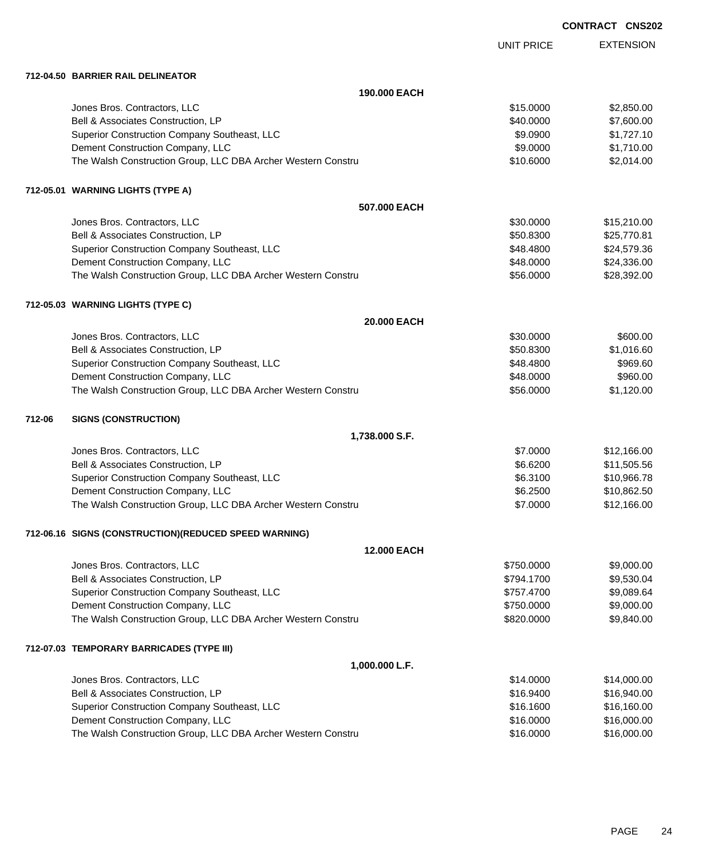|        |                                                              |                   | <b>CONTRACT CNS202</b> |
|--------|--------------------------------------------------------------|-------------------|------------------------|
|        |                                                              | <b>UNIT PRICE</b> | <b>EXTENSION</b>       |
|        | 712-04.50 BARRIER RAIL DELINEATOR                            |                   |                        |
|        | 190,000 EACH                                                 |                   |                        |
|        | Jones Bros. Contractors, LLC                                 | \$15.0000         | \$2,850.00             |
|        | Bell & Associates Construction, LP                           | \$40.0000         | \$7,600.00             |
|        | Superior Construction Company Southeast, LLC                 | \$9.0900          | \$1,727.10             |
|        | Dement Construction Company, LLC                             | \$9.0000          | \$1,710.00             |
|        | The Walsh Construction Group, LLC DBA Archer Western Constru | \$10.6000         | \$2,014.00             |
|        | 712-05.01 WARNING LIGHTS (TYPE A)                            |                   |                        |
|        | 507.000 EACH                                                 |                   |                        |
|        | Jones Bros. Contractors, LLC                                 | \$30.0000         | \$15,210.00            |
|        | Bell & Associates Construction, LP                           | \$50.8300         | \$25,770.81            |
|        | Superior Construction Company Southeast, LLC                 | \$48.4800         | \$24,579.36            |
|        | Dement Construction Company, LLC                             | \$48.0000         | \$24,336.00            |
|        | The Walsh Construction Group, LLC DBA Archer Western Constru | \$56.0000         | \$28,392.00            |
|        | 712-05.03 WARNING LIGHTS (TYPE C)                            |                   |                        |
|        | 20.000 EACH                                                  |                   |                        |
|        | Jones Bros. Contractors, LLC                                 | \$30.0000         | \$600.00               |
|        | Bell & Associates Construction, LP                           | \$50.8300         | \$1,016.60             |
|        | Superior Construction Company Southeast, LLC                 | \$48.4800         | \$969.60               |
|        | Dement Construction Company, LLC                             | \$48.0000         | \$960.00               |
|        | The Walsh Construction Group, LLC DBA Archer Western Constru | \$56.0000         | \$1,120.00             |
| 712-06 | <b>SIGNS (CONSTRUCTION)</b>                                  |                   |                        |
|        | 1,738.000 S.F.                                               |                   |                        |
|        | Jones Bros. Contractors, LLC                                 | \$7.0000          | \$12,166.00            |
|        | Bell & Associates Construction, LP                           | \$6.6200          | \$11,505.56            |
|        | Superior Construction Company Southeast, LLC                 | \$6.3100          | \$10,966.78            |
|        | Dement Construction Company, LLC                             | \$6.2500          | \$10,862.50            |
|        | The Walsh Construction Group, LLC DBA Archer Western Constru | \$7.0000          | \$12,166.00            |
|        | 712-06.16 SIGNS (CONSTRUCTION)(REDUCED SPEED WARNING)        |                   |                        |
|        | 12.000 EACH                                                  |                   |                        |
|        | Jones Bros. Contractors, LLC                                 | \$750.0000        | \$9,000.00             |
|        | Bell & Associates Construction, LP                           | \$794.1700        | \$9,530.04             |
|        | Superior Construction Company Southeast, LLC                 | \$757.4700        | \$9,089.64             |
|        | Dement Construction Company, LLC                             | \$750.0000        | \$9,000.00             |
|        | The Walsh Construction Group, LLC DBA Archer Western Constru | \$820.0000        | \$9,840.00             |
|        | 712-07.03 TEMPORARY BARRICADES (TYPE III)                    |                   |                        |
|        | 1,000.000 L.F.                                               |                   |                        |
|        | Jones Bros. Contractors, LLC                                 | \$14.0000         | \$14,000.00            |
|        | Bell & Associates Construction, LP                           | \$16.9400         | \$16,940.00            |
|        | Superior Construction Company Southeast, LLC                 | \$16.1600         | \$16,160.00            |
|        | Dement Construction Company, LLC                             | \$16.0000         | \$16,000.00            |
|        | The Walsh Construction Group, LLC DBA Archer Western Constru | \$16.0000         | \$16,000.00            |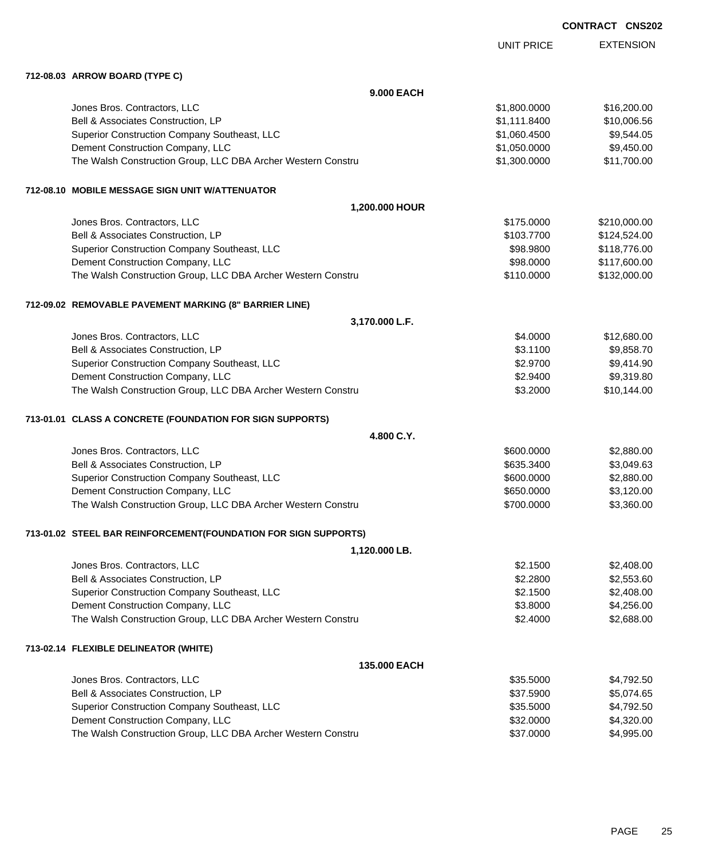| <b>CONTRACT</b> | <b>CNS202</b> |
|-----------------|---------------|
|-----------------|---------------|

|                                                                 | <b>UNIT PRICE</b> | <b>EXTENSION</b> |
|-----------------------------------------------------------------|-------------------|------------------|
| 712-08.03 ARROW BOARD (TYPE C)                                  |                   |                  |
| 9.000 EACH                                                      |                   |                  |
| Jones Bros. Contractors, LLC                                    | \$1,800.0000      | \$16,200.00      |
| Bell & Associates Construction, LP                              | \$1,111.8400      | \$10,006.56      |
| Superior Construction Company Southeast, LLC                    | \$1,060.4500      | \$9,544.05       |
| Dement Construction Company, LLC                                | \$1,050.0000      | \$9,450.00       |
| The Walsh Construction Group, LLC DBA Archer Western Constru    | \$1,300.0000      | \$11,700.00      |
| 712-08.10 MOBILE MESSAGE SIGN UNIT W/ATTENUATOR                 |                   |                  |
| 1,200.000 HOUR                                                  |                   |                  |
| Jones Bros. Contractors, LLC                                    | \$175.0000        | \$210,000.00     |
| Bell & Associates Construction, LP                              | \$103.7700        | \$124,524.00     |
| Superior Construction Company Southeast, LLC                    | \$98.9800         | \$118,776.00     |
| Dement Construction Company, LLC                                | \$98.0000         | \$117,600.00     |
| The Walsh Construction Group, LLC DBA Archer Western Constru    | \$110.0000        | \$132,000.00     |
| 712-09.02 REMOVABLE PAVEMENT MARKING (8" BARRIER LINE)          |                   |                  |
| 3,170.000 L.F.                                                  |                   |                  |
| Jones Bros. Contractors, LLC                                    | \$4.0000          | \$12,680.00      |
| Bell & Associates Construction, LP                              | \$3.1100          | \$9,858.70       |
| Superior Construction Company Southeast, LLC                    | \$2.9700          | \$9,414.90       |
| Dement Construction Company, LLC                                | \$2.9400          | \$9,319.80       |
| The Walsh Construction Group, LLC DBA Archer Western Constru    | \$3.2000          | \$10,144.00      |
| 713-01.01 CLASS A CONCRETE (FOUNDATION FOR SIGN SUPPORTS)       |                   |                  |
| 4.800 C.Y.                                                      |                   |                  |
| Jones Bros. Contractors, LLC                                    | \$600.0000        | \$2,880.00       |
| Bell & Associates Construction, LP                              | \$635.3400        | \$3,049.63       |
| Superior Construction Company Southeast, LLC                    | \$600.0000        | \$2,880.00       |
| Dement Construction Company, LLC                                | \$650.0000        | \$3,120.00       |
| The Walsh Construction Group, LLC DBA Archer Western Constru    | \$700.0000        | \$3,360.00       |
| 713-01.02 STEEL BAR REINFORCEMENT(FOUNDATION FOR SIGN SUPPORTS) |                   |                  |
| 1,120.000 LB.                                                   |                   |                  |
| Jones Bros. Contractors, LLC                                    | \$2.1500          | \$2,408.00       |
| Bell & Associates Construction, LP                              | \$2.2800          | \$2,553.60       |
| Superior Construction Company Southeast, LLC                    | \$2.1500          | \$2,408.00       |
| Dement Construction Company, LLC                                | \$3.8000          | \$4,256.00       |
| The Walsh Construction Group, LLC DBA Archer Western Constru    | \$2.4000          | \$2,688.00       |
| 713-02.14 FLEXIBLE DELINEATOR (WHITE)                           |                   |                  |
| 135.000 EACH                                                    |                   |                  |
| Jones Bros. Contractors, LLC                                    | \$35.5000         | \$4,792.50       |
| Bell & Associates Construction, LP                              | \$37.5900         | \$5,074.65       |
| Superior Construction Company Southeast, LLC                    | \$35.5000         | \$4,792.50       |
| Dement Construction Company, LLC                                | \$32.0000         | \$4,320.00       |
| The Walsh Construction Group, LLC DBA Archer Western Constru    | \$37.0000         | \$4,995.00       |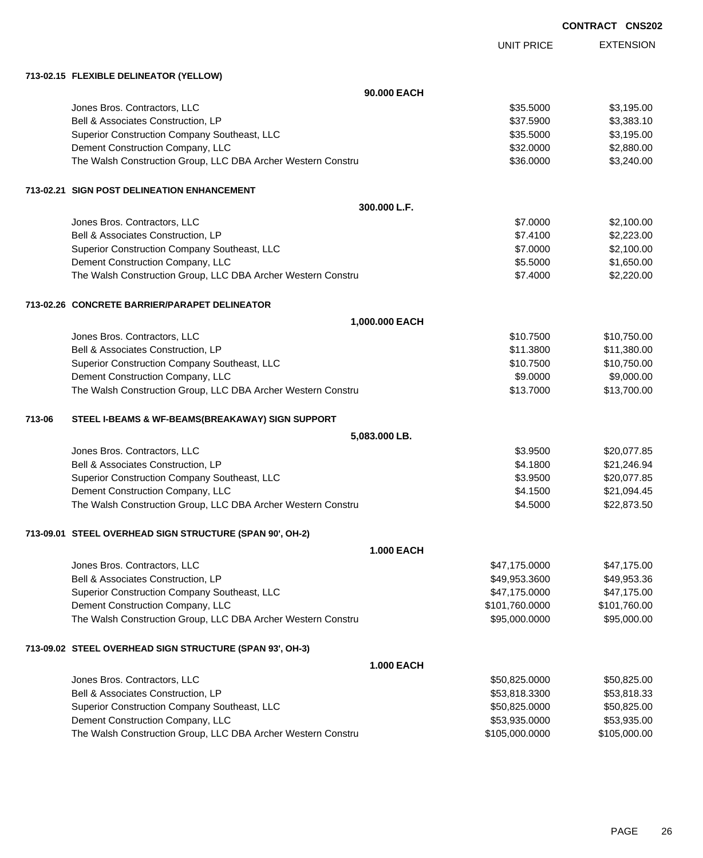|        |                                                              |                   | <b>CONTRACT CNS202</b> |                  |
|--------|--------------------------------------------------------------|-------------------|------------------------|------------------|
|        |                                                              | <b>UNIT PRICE</b> |                        | <b>EXTENSION</b> |
|        | 713-02.15 FLEXIBLE DELINEATOR (YELLOW)                       |                   |                        |                  |
|        | 90.000 EACH                                                  |                   |                        |                  |
|        | Jones Bros. Contractors, LLC                                 | \$35.5000         |                        | \$3,195.00       |
|        | Bell & Associates Construction, LP                           | \$37.5900         |                        | \$3,383.10       |
|        | Superior Construction Company Southeast, LLC                 | \$35.5000         |                        | \$3,195.00       |
|        | Dement Construction Company, LLC                             | \$32.0000         |                        | \$2,880.00       |
|        | The Walsh Construction Group, LLC DBA Archer Western Constru | \$36.0000         |                        | \$3,240.00       |
|        | 713-02.21 SIGN POST DELINEATION ENHANCEMENT                  |                   |                        |                  |
|        | 300.000 L.F.                                                 |                   |                        |                  |
|        | Jones Bros. Contractors, LLC                                 | \$7.0000          |                        | \$2,100.00       |
|        | Bell & Associates Construction, LP                           | \$7.4100          |                        | \$2,223.00       |
|        | Superior Construction Company Southeast, LLC                 | \$7.0000          |                        | \$2,100.00       |
|        | Dement Construction Company, LLC                             | \$5.5000          |                        | \$1,650.00       |
|        | The Walsh Construction Group, LLC DBA Archer Western Constru | \$7.4000          |                        | \$2,220.00       |
|        | 713-02.26 CONCRETE BARRIER/PARAPET DELINEATOR                |                   |                        |                  |
|        | 1,000.000 EACH                                               |                   |                        |                  |
|        | Jones Bros. Contractors, LLC                                 | \$10.7500         |                        | \$10,750.00      |
|        | Bell & Associates Construction, LP                           | \$11.3800         |                        | \$11,380.00      |
|        | Superior Construction Company Southeast, LLC                 | \$10.7500         |                        | \$10,750.00      |
|        | Dement Construction Company, LLC                             | \$9.0000          |                        | \$9,000.00       |
|        | The Walsh Construction Group, LLC DBA Archer Western Constru | \$13.7000         |                        | \$13,700.00      |
| 713-06 | STEEL I-BEAMS & WF-BEAMS(BREAKAWAY) SIGN SUPPORT             |                   |                        |                  |
|        | 5,083.000 LB.                                                |                   |                        |                  |
|        | Jones Bros. Contractors, LLC                                 | \$3.9500          |                        | \$20,077.85      |
|        | Bell & Associates Construction, LP                           | \$4.1800          |                        | \$21,246.94      |
|        | Superior Construction Company Southeast, LLC                 | \$3.9500          |                        | \$20,077.85      |
|        | Dement Construction Company, LLC                             | \$4.1500          |                        | \$21,094.45      |
|        | The Walsh Construction Group, LLC DBA Archer Western Constru | \$4.5000          |                        | \$22,873.50      |
|        | 713-09.01 STEEL OVERHEAD SIGN STRUCTURE (SPAN 90', OH-2)     |                   |                        |                  |
|        | <b>1.000 EACH</b>                                            |                   |                        |                  |
|        | Jones Bros. Contractors, LLC                                 | \$47,175.0000     |                        | \$47,175.00      |
|        | Bell & Associates Construction, LP                           | \$49,953.3600     |                        | \$49,953.36      |
|        | Superior Construction Company Southeast, LLC                 | \$47,175.0000     |                        | \$47,175.00      |
|        | Dement Construction Company, LLC                             | \$101,760.0000    |                        | \$101,760.00     |
|        | The Walsh Construction Group, LLC DBA Archer Western Constru | \$95,000.0000     |                        | \$95,000.00      |
|        | 713-09.02 STEEL OVERHEAD SIGN STRUCTURE (SPAN 93', OH-3)     |                   |                        |                  |
|        | <b>1.000 EACH</b>                                            |                   |                        |                  |
|        | Jones Bros. Contractors, LLC                                 | \$50,825.0000     |                        | \$50,825.00      |
|        | Bell & Associates Construction, LP                           | \$53,818.3300     |                        | \$53,818.33      |
|        | Superior Construction Company Southeast, LLC                 | \$50,825.0000     |                        | \$50,825.00      |
|        | Dement Construction Company, LLC                             | \$53,935.0000     |                        | \$53,935.00      |

The Walsh Construction Group, LLC DBA Archer Western Constru \$105,000.000 \$105,000.000 \$105,000.00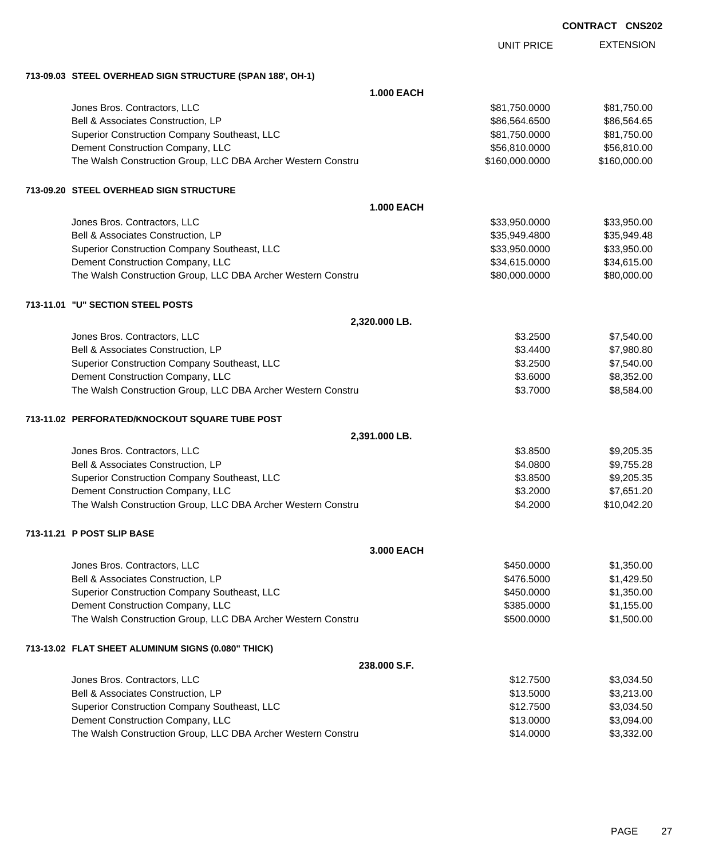|                                                              | <b>UNIT PRICE</b> | <b>EXTENSION</b> |
|--------------------------------------------------------------|-------------------|------------------|
| 713-09.03 STEEL OVERHEAD SIGN STRUCTURE (SPAN 188', OH-1)    |                   |                  |
| <b>1.000 EACH</b>                                            |                   |                  |
| Jones Bros. Contractors, LLC                                 | \$81,750.0000     | \$81,750.00      |
| Bell & Associates Construction, LP                           | \$86,564.6500     | \$86,564.65      |
| Superior Construction Company Southeast, LLC                 | \$81,750.0000     | \$81,750.00      |
| Dement Construction Company, LLC                             | \$56,810.0000     | \$56,810.00      |
| The Walsh Construction Group, LLC DBA Archer Western Constru | \$160,000.0000    | \$160,000.00     |
| 713-09.20 STEEL OVERHEAD SIGN STRUCTURE                      |                   |                  |
| <b>1.000 EACH</b>                                            |                   |                  |
| Jones Bros. Contractors, LLC                                 | \$33,950.0000     | \$33,950.00      |
| Bell & Associates Construction, LP                           | \$35,949.4800     | \$35,949.48      |
| Superior Construction Company Southeast, LLC                 | \$33,950.0000     | \$33,950.00      |
| Dement Construction Company, LLC                             | \$34,615.0000     | \$34,615.00      |
| The Walsh Construction Group, LLC DBA Archer Western Constru | \$80,000.0000     | \$80,000.00      |
| 713-11.01 "U" SECTION STEEL POSTS                            |                   |                  |
| 2,320.000 LB.                                                |                   |                  |
| Jones Bros. Contractors, LLC                                 | \$3.2500          | \$7,540.00       |
| Bell & Associates Construction, LP                           | \$3.4400          | \$7,980.80       |
| Superior Construction Company Southeast, LLC                 | \$3.2500          | \$7,540.00       |
| Dement Construction Company, LLC                             | \$3.6000          | \$8,352.00       |
| The Walsh Construction Group, LLC DBA Archer Western Constru | \$3.7000          | \$8,584.00       |
| 713-11.02 PERFORATED/KNOCKOUT SQUARE TUBE POST               |                   |                  |
| 2,391.000 LB.                                                |                   |                  |
| Jones Bros. Contractors, LLC                                 | \$3.8500          | \$9,205.35       |
| Bell & Associates Construction, LP                           | \$4.0800          | \$9,755.28       |
| Superior Construction Company Southeast, LLC                 | \$3.8500          | \$9,205.35       |
| Dement Construction Company, LLC                             | \$3.2000          | \$7,651.20       |
| The Walsh Construction Group, LLC DBA Archer Western Constru | \$4.2000          | \$10,042.20      |
| 713-11.21 P POST SLIP BASE                                   |                   |                  |
| 3.000 EACH                                                   |                   |                  |
| Jones Bros. Contractors, LLC                                 | \$450.0000        | \$1,350.00       |
| Bell & Associates Construction, LP                           | \$476.5000        | \$1,429.50       |
| Superior Construction Company Southeast, LLC                 | \$450.0000        | \$1,350.00       |
| Dement Construction Company, LLC                             | \$385.0000        | \$1,155.00       |
| The Walsh Construction Group, LLC DBA Archer Western Constru | \$500.0000        | \$1,500.00       |
| 713-13.02 FLAT SHEET ALUMINUM SIGNS (0.080" THICK)           |                   |                  |
| 238.000 S.F.                                                 |                   |                  |
| Jones Bros. Contractors, LLC                                 | \$12.7500         | \$3,034.50       |
| Bell & Associates Construction, LP                           | \$13.5000         | \$3,213.00       |
| Superior Construction Company Southeast, LLC                 | \$12.7500         | \$3,034.50       |

Dement Construction Company, LLC 6000 \$13.0000 \$3,094.00 The Walsh Construction Group, LLC DBA Archer Western Constru **1988 \$14.0000** \$3,332.00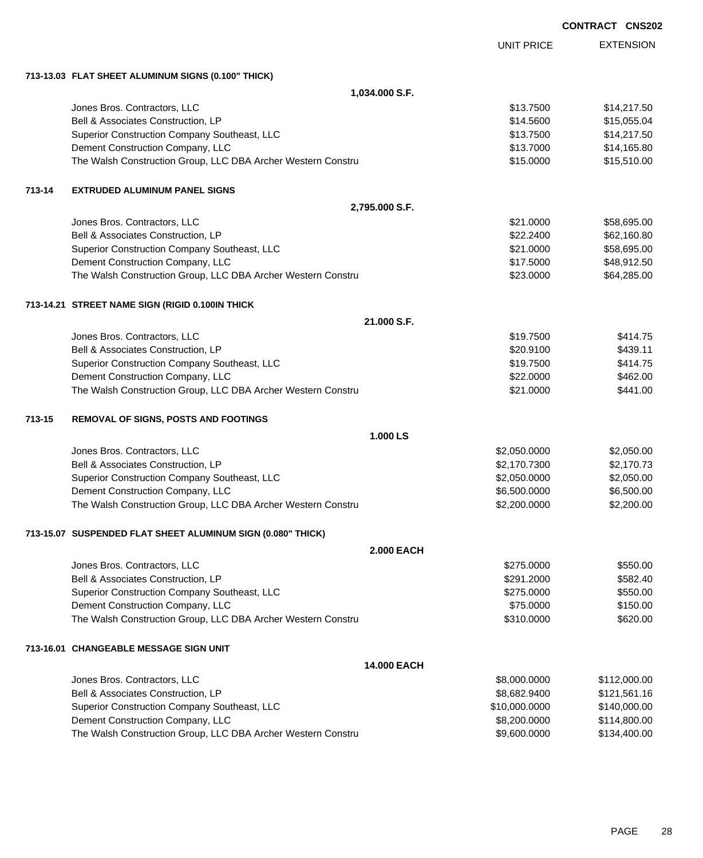|        |                                                              |                   |                   | <b>CONTRACT CNS202</b> |                  |
|--------|--------------------------------------------------------------|-------------------|-------------------|------------------------|------------------|
|        |                                                              |                   | <b>UNIT PRICE</b> |                        | <b>EXTENSION</b> |
|        | 713-13.03 FLAT SHEET ALUMINUM SIGNS (0.100" THICK)           |                   |                   |                        |                  |
|        |                                                              | 1,034.000 S.F.    |                   |                        |                  |
|        | Jones Bros. Contractors, LLC                                 |                   | \$13.7500         |                        | \$14,217.50      |
|        | Bell & Associates Construction, LP                           |                   | \$14.5600         |                        | \$15,055.04      |
|        | Superior Construction Company Southeast, LLC                 |                   | \$13.7500         |                        | \$14,217.50      |
|        | Dement Construction Company, LLC                             |                   | \$13.7000         |                        | \$14,165.80      |
|        | The Walsh Construction Group, LLC DBA Archer Western Constru |                   | \$15.0000         |                        | \$15,510.00      |
| 713-14 | <b>EXTRUDED ALUMINUM PANEL SIGNS</b>                         |                   |                   |                        |                  |
|        |                                                              | 2,795.000 S.F.    |                   |                        |                  |
|        | Jones Bros. Contractors, LLC                                 |                   | \$21.0000         |                        | \$58,695.00      |
|        | Bell & Associates Construction, LP                           |                   | \$22.2400         |                        | \$62,160.80      |
|        | Superior Construction Company Southeast, LLC                 |                   | \$21.0000         |                        | \$58,695.00      |
|        | Dement Construction Company, LLC                             |                   | \$17.5000         |                        | \$48,912.50      |
|        | The Walsh Construction Group, LLC DBA Archer Western Constru |                   | \$23.0000         |                        | \$64,285.00      |
|        | 713-14.21 STREET NAME SIGN (RIGID 0.100IN THICK              |                   |                   |                        |                  |
|        |                                                              | 21.000 S.F.       |                   |                        |                  |
|        | Jones Bros. Contractors, LLC                                 |                   | \$19.7500         |                        | \$414.75         |
|        | Bell & Associates Construction, LP                           |                   | \$20.9100         |                        | \$439.11         |
|        | Superior Construction Company Southeast, LLC                 |                   | \$19.7500         |                        | \$414.75         |
|        | Dement Construction Company, LLC                             |                   | \$22.0000         |                        | \$462.00         |
|        | The Walsh Construction Group, LLC DBA Archer Western Constru |                   | \$21.0000         |                        | \$441.00         |
| 713-15 | REMOVAL OF SIGNS, POSTS AND FOOTINGS                         |                   |                   |                        |                  |
|        |                                                              | 1.000 LS          |                   |                        |                  |
|        | Jones Bros. Contractors, LLC                                 |                   | \$2,050.0000      |                        | \$2,050.00       |
|        | Bell & Associates Construction, LP                           |                   | \$2,170.7300      |                        | \$2,170.73       |
|        | Superior Construction Company Southeast, LLC                 |                   | \$2,050.0000      |                        | \$2,050.00       |
|        | Dement Construction Company, LLC                             |                   | \$6,500.0000      |                        | \$6,500.00       |
|        | The Walsh Construction Group, LLC DBA Archer Western Constru |                   | \$2,200.0000      |                        | \$2,200.00       |
|        | 713-15.07 SUSPENDED FLAT SHEET ALUMINUM SIGN (0.080" THICK)  |                   |                   |                        |                  |
|        |                                                              | <b>2.000 EACH</b> |                   |                        |                  |
|        | Jones Bros. Contractors, LLC                                 |                   | \$275.0000        |                        | \$550.00         |
|        | Bell & Associates Construction, LP                           |                   | \$291.2000        |                        | \$582.40         |
|        | Superior Construction Company Southeast, LLC                 |                   | \$275.0000        |                        | \$550.00         |
|        | Dement Construction Company, LLC                             |                   | \$75.0000         |                        | \$150.00         |
|        | The Walsh Construction Group, LLC DBA Archer Western Constru |                   | \$310.0000        |                        | \$620.00         |
|        | 713-16.01 CHANGEABLE MESSAGE SIGN UNIT                       |                   |                   |                        |                  |
|        |                                                              | 14.000 EACH       |                   |                        |                  |
|        | Jones Bros. Contractors, LLC                                 |                   | \$8,000.0000      |                        | \$112,000.00     |
|        | Bell & Associates Construction, LP                           |                   | \$8,682.9400      |                        | \$121,561.16     |
|        | Superior Construction Company Southeast, LLC                 |                   | \$10,000.0000     |                        | \$140,000.00     |
|        | Dement Construction Company, LLC                             |                   | \$8,200.0000      |                        | \$114,800.00     |
|        | The Walsh Construction Group, LLC DBA Archer Western Constru |                   | \$9,600.0000      |                        | \$134,400.00     |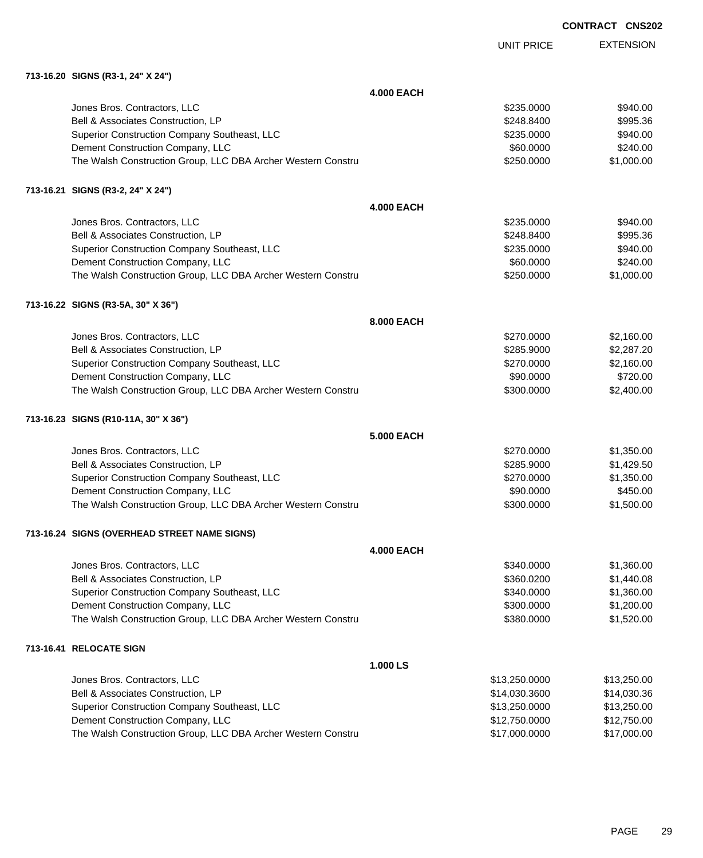EXTENSION UNIT PRICE

## **713-16.20 SIGNS (R3-1, 24" X 24")**

|                                                              | <b>4.000 EACH</b> |               |             |
|--------------------------------------------------------------|-------------------|---------------|-------------|
| Jones Bros. Contractors, LLC                                 |                   | \$235.0000    | \$940.00    |
| Bell & Associates Construction, LP                           |                   | \$248.8400    | \$995.36    |
| Superior Construction Company Southeast, LLC                 |                   | \$235.0000    | \$940.00    |
| Dement Construction Company, LLC                             |                   | \$60.0000     | \$240.00    |
| The Walsh Construction Group, LLC DBA Archer Western Constru |                   | \$250.0000    | \$1,000.00  |
| 713-16.21 SIGNS (R3-2, 24" X 24")                            |                   |               |             |
|                                                              | <b>4.000 EACH</b> |               |             |
| Jones Bros. Contractors, LLC                                 |                   | \$235.0000    | \$940.00    |
| Bell & Associates Construction, LP                           |                   | \$248.8400    | \$995.36    |
| Superior Construction Company Southeast, LLC                 |                   | \$235.0000    | \$940.00    |
| Dement Construction Company, LLC                             |                   | \$60.0000     | \$240.00    |
| The Walsh Construction Group, LLC DBA Archer Western Constru |                   | \$250.0000    | \$1,000.00  |
| 713-16.22 SIGNS (R3-5A, 30" X 36")                           |                   |               |             |
|                                                              | 8.000 EACH        |               |             |
| Jones Bros. Contractors, LLC                                 |                   | \$270.0000    | \$2,160.00  |
| Bell & Associates Construction, LP                           |                   | \$285.9000    | \$2,287.20  |
| Superior Construction Company Southeast, LLC                 |                   | \$270.0000    | \$2,160.00  |
| Dement Construction Company, LLC                             |                   | \$90.0000     | \$720.00    |
| The Walsh Construction Group, LLC DBA Archer Western Constru |                   | \$300.0000    | \$2,400.00  |
| 713-16.23 SIGNS (R10-11A, 30" X 36")                         |                   |               |             |
|                                                              | 5,000 EACH        |               |             |
| Jones Bros. Contractors, LLC                                 |                   | \$270.0000    | \$1,350.00  |
| Bell & Associates Construction, LP                           |                   | \$285.9000    | \$1,429.50  |
| Superior Construction Company Southeast, LLC                 |                   | \$270.0000    | \$1,350.00  |
| Dement Construction Company, LLC                             |                   | \$90.0000     | \$450.00    |
| The Walsh Construction Group, LLC DBA Archer Western Constru |                   | \$300.0000    | \$1,500.00  |
| 713-16.24 SIGNS (OVERHEAD STREET NAME SIGNS)                 |                   |               |             |
|                                                              | <b>4.000 EACH</b> |               |             |
| Jones Bros. Contractors, LLC                                 |                   | \$340.0000    | \$1,360.00  |
| Bell & Associates Construction, LP                           |                   | \$360.0200    | \$1,440.08  |
| Superior Construction Company Southeast, LLC                 |                   | \$340.0000    | \$1,360.00  |
| Dement Construction Company, LLC                             |                   | \$300.0000    | \$1,200.00  |
| The Walsh Construction Group, LLC DBA Archer Western Constru |                   | \$380.0000    | \$1,520.00  |
| 713-16.41 RELOCATE SIGN                                      |                   |               |             |
|                                                              | 1.000 LS          |               |             |
| Jones Bros. Contractors, LLC                                 |                   | \$13,250.0000 | \$13,250.00 |
| Bell & Associates Construction, LP                           |                   | \$14,030.3600 | \$14,030.36 |
| Superior Construction Company Southeast, LLC                 |                   | \$13,250.0000 | \$13,250.00 |
| Dement Construction Company, LLC                             |                   | \$12,750.0000 | \$12,750.00 |
| The Walsh Construction Group, LLC DBA Archer Western Constru |                   | \$17,000.0000 | \$17,000.00 |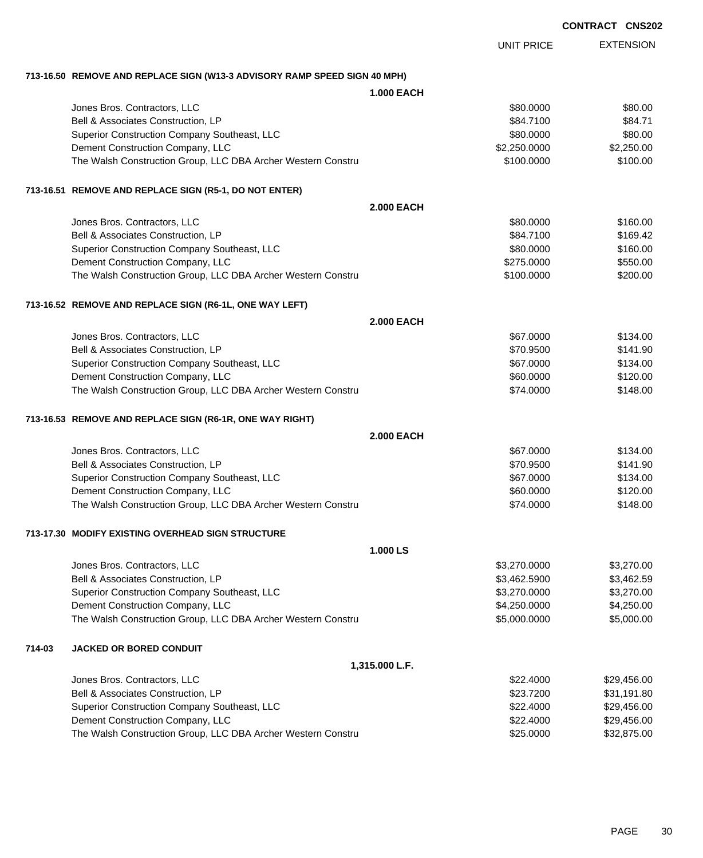UNIT PRICE EXTENSION

# **713-16.50 REMOVE AND REPLACE SIGN (W13-3 ADVISORY RAMP SPEED SIGN 40 MPH)**

|  |  | 1.000 EACH |
|--|--|------------|

|        |                                                              | <b>1.000 EACH</b> |              |             |
|--------|--------------------------------------------------------------|-------------------|--------------|-------------|
|        | Jones Bros. Contractors, LLC                                 |                   | \$80.0000    | \$80.00     |
|        | Bell & Associates Construction, LP                           |                   | \$84.7100    | \$84.71     |
|        | Superior Construction Company Southeast, LLC                 |                   | \$80.0000    | \$80.00     |
|        | Dement Construction Company, LLC                             |                   | \$2,250.0000 | \$2,250.00  |
|        | The Walsh Construction Group, LLC DBA Archer Western Constru |                   | \$100.0000   | \$100.00    |
|        | 713-16.51 REMOVE AND REPLACE SIGN (R5-1, DO NOT ENTER)       |                   |              |             |
|        |                                                              | <b>2.000 EACH</b> |              |             |
|        | Jones Bros. Contractors, LLC                                 |                   | \$80.0000    | \$160.00    |
|        | Bell & Associates Construction, LP                           |                   | \$84.7100    | \$169.42    |
|        | Superior Construction Company Southeast, LLC                 |                   | \$80.0000    | \$160.00    |
|        | Dement Construction Company, LLC                             |                   | \$275.0000   | \$550.00    |
|        | The Walsh Construction Group, LLC DBA Archer Western Constru |                   | \$100.0000   | \$200.00    |
|        | 713-16.52 REMOVE AND REPLACE SIGN (R6-1L, ONE WAY LEFT)      |                   |              |             |
|        |                                                              | <b>2.000 EACH</b> |              |             |
|        | Jones Bros. Contractors, LLC                                 |                   | \$67.0000    | \$134.00    |
|        | Bell & Associates Construction, LP                           |                   | \$70.9500    | \$141.90    |
|        | Superior Construction Company Southeast, LLC                 |                   | \$67.0000    | \$134.00    |
|        | Dement Construction Company, LLC                             |                   | \$60.0000    | \$120.00    |
|        | The Walsh Construction Group, LLC DBA Archer Western Constru |                   | \$74.0000    | \$148.00    |
|        | 713-16.53 REMOVE AND REPLACE SIGN (R6-1R, ONE WAY RIGHT)     |                   |              |             |
|        |                                                              | <b>2.000 EACH</b> |              |             |
|        | Jones Bros. Contractors, LLC                                 |                   | \$67.0000    | \$134.00    |
|        | Bell & Associates Construction, LP                           |                   | \$70.9500    | \$141.90    |
|        | Superior Construction Company Southeast, LLC                 |                   | \$67.0000    | \$134.00    |
|        | Dement Construction Company, LLC                             |                   | \$60.0000    | \$120.00    |
|        | The Walsh Construction Group, LLC DBA Archer Western Constru |                   | \$74.0000    | \$148.00    |
|        | 713-17.30 MODIFY EXISTING OVERHEAD SIGN STRUCTURE            |                   |              |             |
|        |                                                              | 1.000 LS          |              |             |
|        | Jones Bros. Contractors, LLC                                 |                   | \$3,270.0000 | \$3,270.00  |
|        | Bell & Associates Construction, LP                           |                   | \$3,462.5900 | \$3,462.59  |
|        | Superior Construction Company Southeast, LLC                 |                   | \$3,270.0000 | \$3,270.00  |
|        | Dement Construction Company, LLC                             |                   | \$4,250.0000 | \$4,250.00  |
|        | The Walsh Construction Group, LLC DBA Archer Western Constru |                   | \$5,000.0000 | \$5,000.00  |
| 714-03 | <b>JACKED OR BORED CONDUIT</b>                               |                   |              |             |
|        |                                                              | 1,315.000 L.F.    |              |             |
|        | Jones Bros. Contractors, LLC                                 |                   | \$22.4000    | \$29,456.00 |
|        | Bell & Associates Construction, LP                           |                   | \$23.7200    | \$31,191.80 |
|        | Superior Construction Company Southeast, LLC                 |                   | \$22.4000    | \$29,456.00 |
|        | Dement Construction Company, LLC                             |                   | \$22.4000    | \$29,456.00 |
|        | The Walsh Construction Group, LLC DBA Archer Western Constru |                   | \$25.0000    | \$32,875.00 |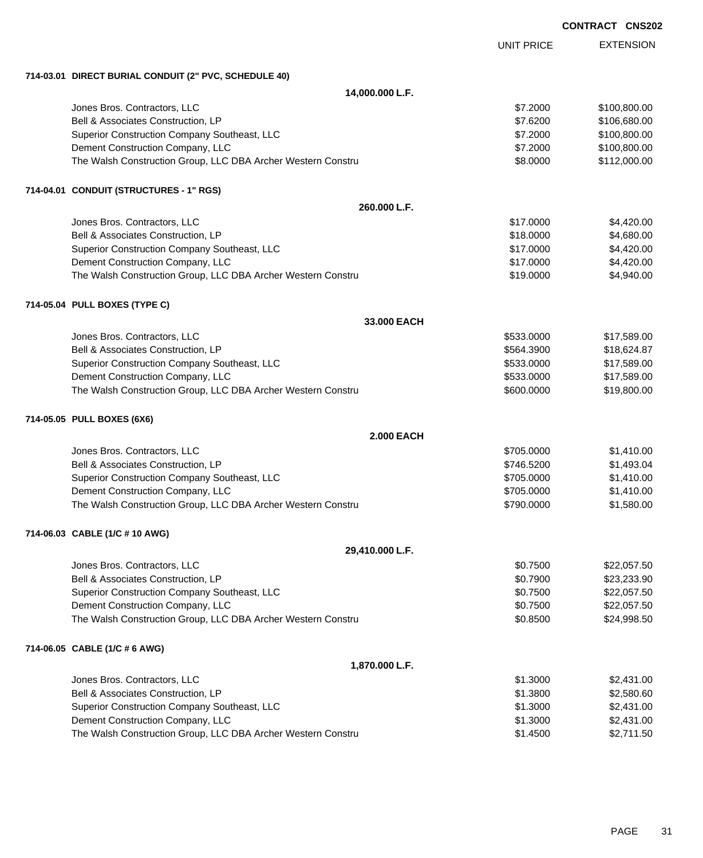|                                                                                                  |                          | <b>CONTRACT CNS202</b> |                            |
|--------------------------------------------------------------------------------------------------|--------------------------|------------------------|----------------------------|
|                                                                                                  | <b>UNIT PRICE</b>        |                        | <b>EXTENSION</b>           |
| 714-03.01 DIRECT BURIAL CONDUIT (2" PVC, SCHEDULE 40)                                            |                          |                        |                            |
| 14,000.000 L.F.                                                                                  |                          |                        |                            |
| Jones Bros. Contractors, LLC                                                                     | \$7.2000                 |                        | \$100,800.00               |
| Bell & Associates Construction, LP                                                               | \$7.6200                 |                        | \$106,680.00               |
| Superior Construction Company Southeast, LLC                                                     | \$7.2000                 |                        | \$100,800.00               |
| Dement Construction Company, LLC                                                                 | \$7.2000                 |                        | \$100,800.00               |
| The Walsh Construction Group, LLC DBA Archer Western Constru                                     | \$8.0000                 |                        | \$112,000.00               |
| 714-04.01 CONDUIT (STRUCTURES - 1" RGS)                                                          |                          |                        |                            |
| 260.000 L.F.                                                                                     |                          |                        |                            |
| Jones Bros. Contractors, LLC                                                                     | \$17.0000                |                        | \$4,420.00                 |
| Bell & Associates Construction, LP                                                               | \$18.0000                |                        | \$4,680.00                 |
| Superior Construction Company Southeast, LLC                                                     | \$17.0000                |                        | \$4,420.00                 |
| Dement Construction Company, LLC                                                                 | \$17.0000                |                        | \$4,420.00                 |
| The Walsh Construction Group, LLC DBA Archer Western Constru                                     | \$19.0000                |                        | \$4,940.00                 |
| 714-05.04 PULL BOXES (TYPE C)                                                                    |                          |                        |                            |
| 33.000 EACH                                                                                      |                          |                        |                            |
| Jones Bros. Contractors, LLC                                                                     | \$533.0000               |                        | \$17,589.00                |
| Bell & Associates Construction, LP                                                               | \$564.3900               |                        | \$18,624.87                |
| Superior Construction Company Southeast, LLC                                                     | \$533.0000               |                        | \$17,589.00                |
| Dement Construction Company, LLC<br>The Walsh Construction Group, LLC DBA Archer Western Constru | \$533.0000<br>\$600.0000 |                        | \$17,589.00<br>\$19,800.00 |
|                                                                                                  |                          |                        |                            |
| 714-05.05 PULL BOXES (6X6)                                                                       |                          |                        |                            |
| <b>2.000 EACH</b>                                                                                |                          |                        |                            |
| Jones Bros. Contractors, LLC                                                                     | \$705.0000               |                        | \$1,410.00                 |
| Bell & Associates Construction, LP                                                               | \$746.5200               |                        | \$1,493.04                 |
| Superior Construction Company Southeast, LLC                                                     | \$705,0000               |                        | \$1,410.00                 |
| Dement Construction Company, LLC                                                                 | \$705.0000               |                        | \$1,410.00                 |
| The Walsh Construction Group, LLC DBA Archer Western Constru                                     | \$790.0000               |                        | \$1,580.00                 |
| 714-06.03 CABLE (1/C # 10 AWG)                                                                   |                          |                        |                            |
| 29,410.000 L.F.                                                                                  |                          |                        |                            |
| Jones Bros. Contractors, LLC                                                                     | \$0.7500                 |                        | \$22,057.50                |
| Bell & Associates Construction, LP                                                               | \$0.7900                 |                        | \$23,233.90                |
| Superior Construction Company Southeast, LLC                                                     | \$0.7500                 |                        | \$22,057.50                |
| Dement Construction Company, LLC                                                                 | \$0.7500                 |                        | \$22,057.50                |
| The Walsh Construction Group, LLC DBA Archer Western Constru                                     | \$0.8500                 |                        | \$24,998.50                |
| 714-06.05 CABLE (1/C # 6 AWG)                                                                    |                          |                        |                            |
| 1,870.000 L.F.                                                                                   |                          |                        |                            |
| Jones Bros. Contractors, LLC                                                                     | \$1.3000                 |                        | \$2,431.00                 |
| Bell & Associates Construction, LP                                                               | \$1.3800                 |                        | \$2,580.60                 |
| Superior Construction Company Southeast, LLC                                                     | \$1.3000                 |                        | \$2,431.00                 |
| Dement Construction Company, LLC                                                                 | \$1.3000                 |                        | \$2,431.00                 |
| The Walsh Construction Group, LLC DBA Archer Western Constru                                     | \$1.4500                 |                        | \$2,711.50                 |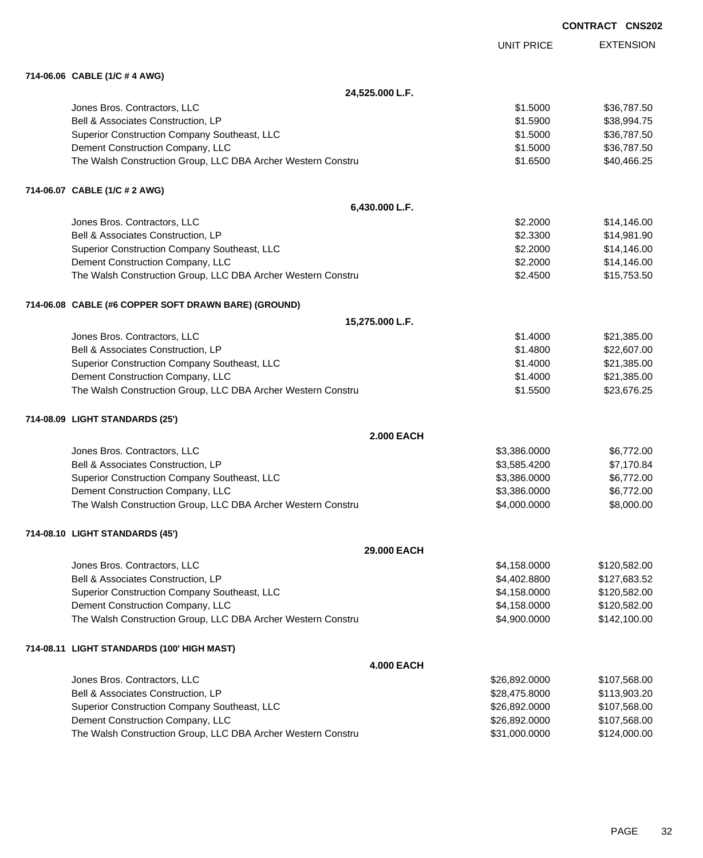|                                                              |                   | UUNINAUI UNJZU   |
|--------------------------------------------------------------|-------------------|------------------|
|                                                              | <b>UNIT PRICE</b> | <b>EXTENSION</b> |
| 714-06.06 CABLE (1/C # 4 AWG)                                |                   |                  |
| 24,525.000 L.F.                                              |                   |                  |
| Jones Bros. Contractors, LLC                                 | \$1.5000          | \$36,787.50      |
| Bell & Associates Construction, LP                           | \$1.5900          | \$38,994.75      |
| Superior Construction Company Southeast, LLC                 | \$1.5000          | \$36,787.50      |
| Dement Construction Company, LLC                             | \$1.5000          | \$36,787.50      |
| The Walsh Construction Group, LLC DBA Archer Western Constru | \$1.6500          | \$40,466.25      |
| 714-06.07 CABLE (1/C # 2 AWG)                                |                   |                  |
| 6,430.000 L.F.                                               |                   |                  |
| Jones Bros. Contractors, LLC                                 | \$2.2000          | \$14,146.00      |
| Bell & Associates Construction, LP                           | \$2.3300          | \$14,981.90      |
| Superior Construction Company Southeast, LLC                 | \$2.2000          | \$14,146.00      |
| Dement Construction Company, LLC                             | \$2.2000          | \$14,146.00      |
| The Walsh Construction Group, LLC DBA Archer Western Constru | \$2.4500          | \$15,753.50      |
| 714-06.08 CABLE (#6 COPPER SOFT DRAWN BARE) (GROUND)         |                   |                  |
| 15,275.000 L.F.                                              |                   |                  |
| Jones Bros. Contractors, LLC                                 | \$1.4000          | \$21,385.00      |
| Bell & Associates Construction, LP                           | \$1.4800          | \$22,607.00      |
| Superior Construction Company Southeast, LLC                 | \$1.4000          | \$21,385.00      |
| Dement Construction Company, LLC                             | \$1.4000          | \$21,385.00      |
| The Walsh Construction Group, LLC DBA Archer Western Constru | \$1.5500          | \$23,676.25      |
| 714-08.09 LIGHT STANDARDS (25')                              |                   |                  |
| <b>2.000 EACH</b>                                            |                   |                  |
| Jones Bros. Contractors, LLC                                 | \$3,386.0000      | \$6,772.00       |
| Bell & Associates Construction, LP                           | \$3,585.4200      | \$7,170.84       |
| Superior Construction Company Southeast, LLC                 | \$3,386.0000      | \$6,772.00       |
| Dement Construction Company, LLC                             | \$3,386.0000      | \$6,772.00       |
| The Walsh Construction Group, LLC DBA Archer Western Constru | \$4,000.0000      | \$8,000.00       |
| 714-08.10 LIGHT STANDARDS (45')                              |                   |                  |
| 29.000 EACH                                                  |                   |                  |
| Jones Bros. Contractors, LLC                                 | \$4,158.0000      | \$120,582.00     |
| Bell & Associates Construction, LP                           | \$4,402.8800      | \$127,683.52     |
| Superior Construction Company Southeast, LLC                 | \$4,158.0000      | \$120,582.00     |
| Dement Construction Company, LLC                             | \$4,158.0000      | \$120,582.00     |
| The Walsh Construction Group, LLC DBA Archer Western Constru | \$4,900.0000      | \$142,100.00     |
| 714-08.11 LIGHT STANDARDS (100' HIGH MAST)                   |                   |                  |
| <b>4.000 EACH</b>                                            |                   |                  |
| Jones Bros. Contractors, LLC                                 | \$26,892.0000     | \$107,568.00     |
| Bell & Associates Construction, LP                           | \$28,475.8000     | \$113,903.20     |
| Superior Construction Company Southeast, LLC                 | \$26,892.0000     | \$107,568.00     |

Dement Construction Company, LLC 60000 \$107,568.00 The Walsh Construction Group, LLC DBA Archer Western Constru \$31,000.0000 \$124,000.000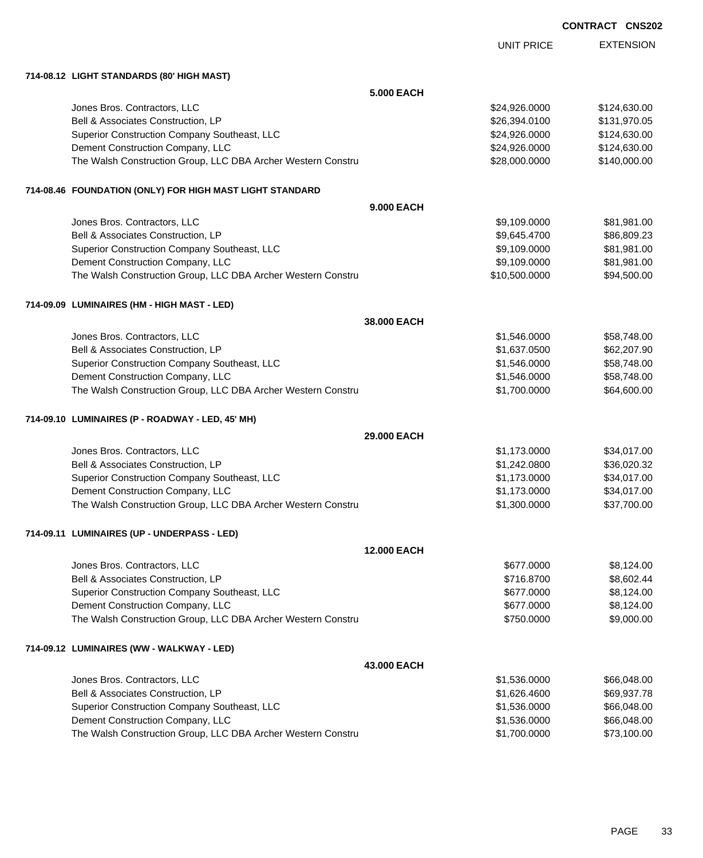| <b>CONTRACT</b> | <b>CNS202</b> |
|-----------------|---------------|
|-----------------|---------------|

|                                                              |                    | <b>UNIT PRICE</b> | <b>EXTENSION</b> |
|--------------------------------------------------------------|--------------------|-------------------|------------------|
| 714-08.12 LIGHT STANDARDS (80' HIGH MAST)                    |                    |                   |                  |
|                                                              | <b>5.000 EACH</b>  |                   |                  |
| Jones Bros. Contractors, LLC                                 |                    | \$24,926.0000     | \$124,630.00     |
| Bell & Associates Construction, LP                           |                    | \$26,394.0100     | \$131,970.05     |
| Superior Construction Company Southeast, LLC                 |                    | \$24,926.0000     | \$124,630.00     |
| Dement Construction Company, LLC                             |                    | \$24,926.0000     | \$124,630.00     |
| The Walsh Construction Group, LLC DBA Archer Western Constru |                    | \$28,000.0000     | \$140,000.00     |
| 714-08.46 FOUNDATION (ONLY) FOR HIGH MAST LIGHT STANDARD     |                    |                   |                  |
|                                                              | 9.000 EACH         |                   |                  |
| Jones Bros. Contractors, LLC                                 |                    | \$9,109.0000      | \$81,981.00      |
| Bell & Associates Construction, LP                           |                    | \$9,645.4700      | \$86,809.23      |
| Superior Construction Company Southeast, LLC                 |                    | \$9,109.0000      | \$81,981.00      |
| Dement Construction Company, LLC                             |                    | \$9,109.0000      | \$81,981.00      |
| The Walsh Construction Group, LLC DBA Archer Western Constru |                    | \$10,500.0000     | \$94,500.00      |
| 714-09.09 LUMINAIRES (HM - HIGH MAST - LED)                  |                    |                   |                  |
|                                                              | 38.000 EACH        |                   |                  |
| Jones Bros. Contractors, LLC                                 |                    | \$1,546.0000      | \$58,748.00      |
| Bell & Associates Construction, LP                           |                    | \$1,637.0500      | \$62,207.90      |
| Superior Construction Company Southeast, LLC                 |                    | \$1,546.0000      | \$58,748.00      |
| Dement Construction Company, LLC                             |                    | \$1,546.0000      | \$58,748.00      |
| The Walsh Construction Group, LLC DBA Archer Western Constru |                    | \$1,700.0000      | \$64,600.00      |
| 714-09.10 LUMINAIRES (P - ROADWAY - LED, 45' MH)             |                    |                   |                  |
|                                                              | 29.000 EACH        |                   |                  |
| Jones Bros. Contractors, LLC                                 |                    | \$1,173.0000      | \$34,017.00      |
| Bell & Associates Construction, LP                           |                    | \$1,242.0800      | \$36,020.32      |
| Superior Construction Company Southeast, LLC                 |                    | \$1,173.0000      | \$34,017.00      |
| Dement Construction Company, LLC                             |                    | \$1,173.0000      | \$34,017.00      |
| The Walsh Construction Group, LLC DBA Archer Western Constru |                    | \$1,300.0000      | \$37,700.00      |
| 714-09.11 LUMINAIRES (UP - UNDERPASS - LED)                  |                    |                   |                  |
|                                                              | <b>12.000 EACH</b> |                   |                  |
| Jones Bros. Contractors, LLC                                 |                    | \$677.0000        | \$8,124.00       |
| Bell & Associates Construction, LP                           |                    | \$716.8700        | \$8,602.44       |
| Superior Construction Company Southeast, LLC                 |                    | \$677.0000        | \$8,124.00       |
| Dement Construction Company, LLC                             |                    | \$677.0000        | \$8,124.00       |
| The Walsh Construction Group, LLC DBA Archer Western Constru |                    | \$750.0000        | \$9,000.00       |
| 714-09.12 LUMINAIRES (WW - WALKWAY - LED)                    |                    |                   |                  |
|                                                              | 43.000 EACH        |                   |                  |
| Jones Bros. Contractors, LLC                                 |                    | \$1,536.0000      | \$66,048.00      |
| Bell & Associates Construction, LP                           |                    | \$1,626.4600      | \$69,937.78      |
| Superior Construction Company Southeast, LLC                 |                    | \$1,536.0000      | \$66,048.00      |
| Dement Construction Company, LLC                             |                    | \$1,536.0000      | \$66,048.00      |
| The Walsh Construction Group, LLC DBA Archer Western Constru |                    | \$1,700.0000      | \$73,100.00      |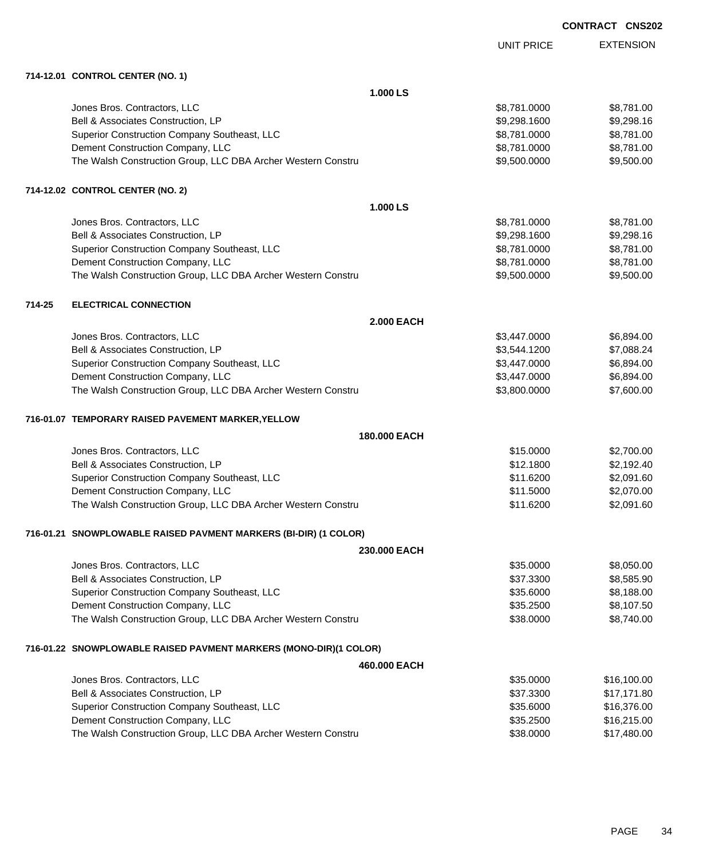|        |                                                                   | UNIT PRICE        | <b>EXTENSION</b> |
|--------|-------------------------------------------------------------------|-------------------|------------------|
|        | 714-12.01 CONTROL CENTER (NO. 1)                                  |                   |                  |
|        |                                                                   | 1.000 LS          |                  |
|        | Jones Bros. Contractors, LLC                                      | \$8,781.0000      | \$8,781.00       |
|        | Bell & Associates Construction, LP                                | \$9,298.1600      | \$9,298.16       |
|        | Superior Construction Company Southeast, LLC                      | \$8,781.0000      | \$8,781.00       |
|        | Dement Construction Company, LLC                                  | \$8,781.0000      | \$8,781.00       |
|        | The Walsh Construction Group, LLC DBA Archer Western Constru      | \$9,500.0000      | \$9,500.00       |
|        | 714-12.02 CONTROL CENTER (NO. 2)                                  |                   |                  |
|        |                                                                   | 1.000 LS          |                  |
|        | Jones Bros. Contractors, LLC                                      | \$8,781.0000      | \$8,781.00       |
|        | Bell & Associates Construction, LP                                | \$9,298.1600      | \$9,298.16       |
|        | Superior Construction Company Southeast, LLC                      | \$8,781.0000      | \$8,781.00       |
|        | Dement Construction Company, LLC                                  | \$8,781.0000      | \$8,781.00       |
|        | The Walsh Construction Group, LLC DBA Archer Western Constru      | \$9,500.0000      | \$9,500.00       |
| 714-25 | <b>ELECTRICAL CONNECTION</b>                                      |                   |                  |
|        |                                                                   | <b>2.000 EACH</b> |                  |
|        | Jones Bros. Contractors, LLC                                      | \$3,447.0000      | \$6,894.00       |
|        | Bell & Associates Construction, LP                                | \$3,544.1200      | \$7,088.24       |
|        | Superior Construction Company Southeast, LLC                      | \$3,447.0000      | \$6,894.00       |
|        | Dement Construction Company, LLC                                  | \$3,447.0000      | \$6,894.00       |
|        | The Walsh Construction Group, LLC DBA Archer Western Constru      | \$3,800.0000      | \$7,600.00       |
|        | 716-01.07 TEMPORARY RAISED PAVEMENT MARKER, YELLOW                |                   |                  |
|        |                                                                   | 180,000 EACH      |                  |
|        | Jones Bros. Contractors, LLC                                      | \$15.0000         | \$2,700.00       |
|        | Bell & Associates Construction, LP                                | \$12.1800         | \$2,192.40       |
|        | Superior Construction Company Southeast, LLC                      | \$11.6200         | \$2,091.60       |
|        | Dement Construction Company, LLC                                  | \$11.5000         | \$2,070.00       |
|        | The Walsh Construction Group, LLC DBA Archer Western Constru      | \$11.6200         | \$2,091.60       |
|        | 716-01.21 SNOWPLOWABLE RAISED PAVMENT MARKERS (BI-DIR) (1 COLOR)  |                   |                  |
|        |                                                                   | 230,000 EACH      |                  |
|        | Jones Bros. Contractors, LLC                                      | \$35.0000         | \$8,050.00       |
|        | Bell & Associates Construction, LP                                | \$37.3300         | \$8,585.90       |
|        | Superior Construction Company Southeast, LLC                      | \$35.6000         | \$8,188.00       |
|        | Dement Construction Company, LLC                                  | \$35.2500         | \$8,107.50       |
|        | The Walsh Construction Group, LLC DBA Archer Western Constru      | \$38.0000         | \$8,740.00       |
|        | 716-01.22 SNOWPLOWABLE RAISED PAVMENT MARKERS (MONO-DIR)(1 COLOR) |                   |                  |
|        |                                                                   | 460,000 EACH      |                  |
|        | Jones Bros. Contractors, LLC                                      | \$35.0000         | \$16,100.00      |
|        | Bell & Associates Construction, LP                                | \$37.3300         | \$17,171.80      |
|        | Superior Construction Company Southeast, LLC                      | \$35.6000         | \$16,376.00      |
|        | Dement Construction Company, LLC                                  | \$35.2500         | \$16,215.00      |
|        | The Walsh Construction Group, LLC DBA Archer Western Constru      | \$38.0000         | \$17,480.00      |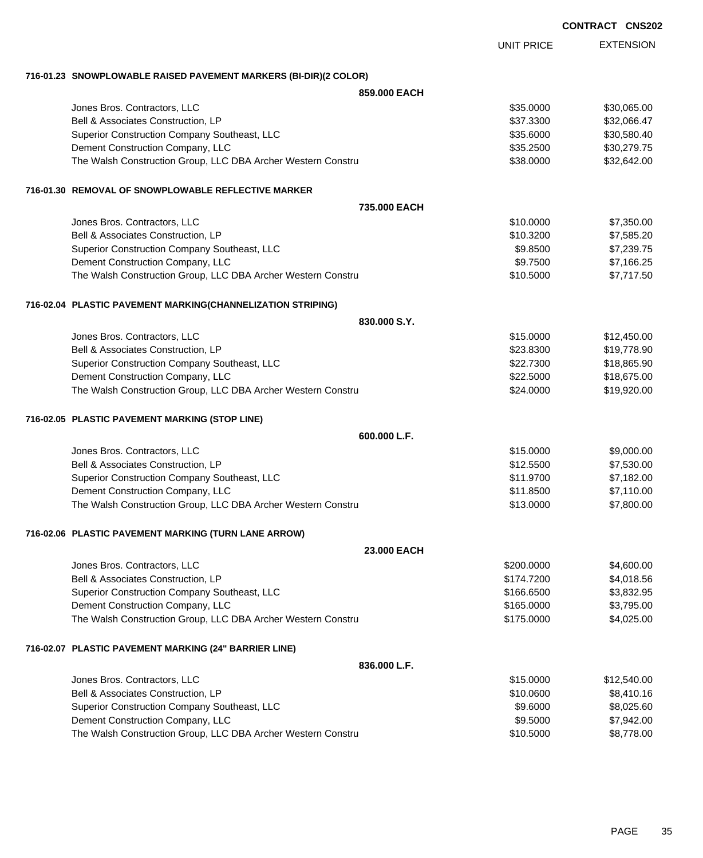| <b>CONTRACT</b> | <b>CNS202</b> |
|-----------------|---------------|
|-----------------|---------------|

EXTENSION UNIT PRICE **716-01.23 SNOWPLOWABLE RAISED PAVEMENT MARKERS (BI-DIR)(2 COLOR) 859.000 EACH** Jones Bros. Contractors, LLC \$35.0000 \$30,065.00 Bell & Associates Construction, LP 632,066.47 Superior Construction Company Southeast, LLC  $$35.6000$  \$35.6000 \$30,580.40 Dement Construction Company, LLC 6 and the state of the state of the state  $$30,279.75$ The Walsh Construction Group, LLC DBA Archer Western Constru **\$38.0000 \$38.0000** \$32,642.00 **716-01.30 REMOVAL OF SNOWPLOWABLE REFLECTIVE MARKER 735.000 EACH** Jones Bros. Contractors, LLC 6. The state of the state of the state of the state of the state of the state of the state of the state of the state of the state of the state of the state of the state of the state of the stat Bell & Associates Construction, LP 66 and the state of the state of the state of the state of the state of the state of the state of the state of the state of the state of the state of the state of the state of the state o Superior Construction Company Southeast, LLC  $$9.8500$  \$7,239.75 Dement Construction Company, LLC 66 and the state of the state of the state of the state of the state of the state of the state of the state of the state of the state of the state of the state of the state of the state of The Walsh Construction Group, LLC DBA Archer Western Constru **\$10.5000** \$7,717.50 **716-02.04 PLASTIC PAVEMENT MARKING(CHANNELIZATION STRIPING) 830.000 S.Y.** Jones Bros. Contractors, LLC 6. The state of the state of the state of the state of the state of the state of the state of the state of the state of the state of the state of the state of the state of the state of the stat Bell & Associates Construction, LP 6. 2016 19:30 \$19,778.90 Superior Construction Company Southeast, LLC 600 and the state of the state of the state of the state  $$18,865.90$ Dement Construction Company, LLC **but a set of the set of the set of the set of the set of the set of the set of the set of the set of the set of the set of the set of the set of the set of the set of the set of the set of** The Walsh Construction Group, LLC DBA Archer Western Constru **\$24.0000 \$19,920.00** \$19,920.00 **716-02.05 PLASTIC PAVEMENT MARKING (STOP LINE) 600.000 L.F.** Jones Bros. Contractors, LLC \$15.0000 \$9,000.00 Bell & Associates Construction, LP 600 and the state of the state of the state of the state of the state of the state of the state of the state of the state of the state of the state of the state of the state of the state Superior Construction Company Southeast, LLC  $$11.9700$  \$7,182.00 Dement Construction Company, LLC 6. The construction Company, LLC 6. The construction Company, LLC The Walsh Construction Group, LLC DBA Archer Western Constru \$13.0000 \$7,800.00 **716-02.06 PLASTIC PAVEMENT MARKING (TURN LANE ARROW) 23.000 EACH** Jones Bros. Contractors, LLC \$200.0000 \$4,600.00 Bell & Associates Construction, LP 6.66 and the state of the state of the state of the state of the state of the state of the state of the state of the state of the state of the state of the state of the state of the state Superior Construction Company Southeast, LLC  $$3,832.95$ Dement Construction Company, LLC 6 and the state of the state of the state  $$165.0000$  \$3,795.00 The Walsh Construction Group, LLC DBA Archer Western Constru \$175.0000 \$4,025.00 **716-02.07 PLASTIC PAVEMENT MARKING (24" BARRIER LINE) 836.000 L.F.** Jones Bros. Contractors, LLC \$15.0000 \$12,540.00 Bell & Associates Construction, LP 68,410.16 Superior Construction Company Southeast, LLC  $$9.6000$  \$8,025.60 Dement Construction Company, LLC 6 and the state of the state of the state of the state of the state of the state of the state of the state of the state of the state of the state of the state of the state of the state of t The Walsh Construction Group, LLC DBA Archer Western Constru \$10.5000 \$8,778.00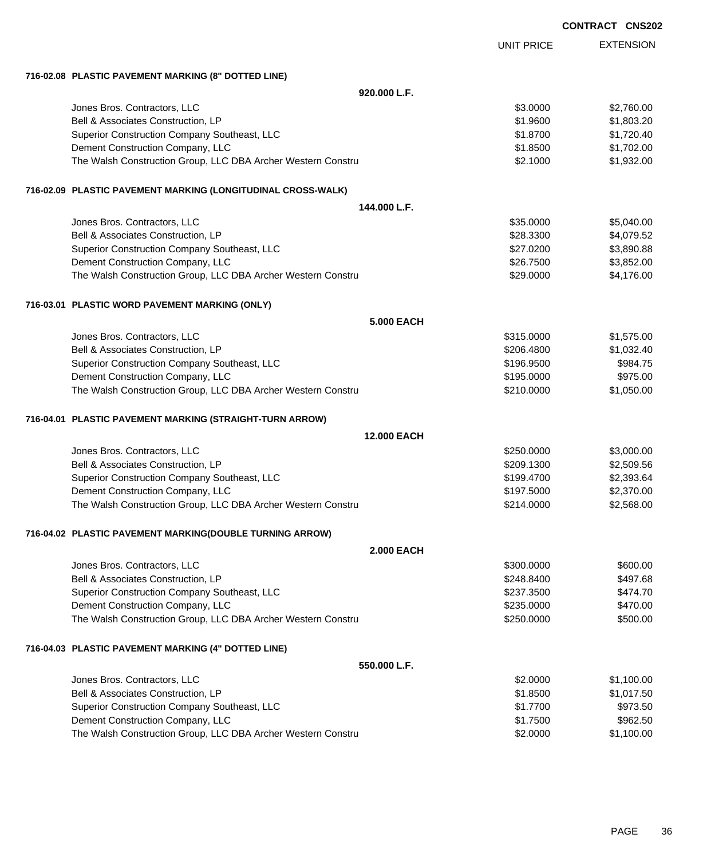|                                                              |                    |                   | <b>CONTRACT CNS202</b> |                  |
|--------------------------------------------------------------|--------------------|-------------------|------------------------|------------------|
|                                                              |                    | <b>UNIT PRICE</b> |                        | <b>EXTENSION</b> |
| 716-02.08 PLASTIC PAVEMENT MARKING (8" DOTTED LINE)          |                    |                   |                        |                  |
|                                                              | 920.000 L.F.       |                   |                        |                  |
| Jones Bros. Contractors, LLC                                 |                    | \$3.0000          |                        | \$2,760.00       |
| Bell & Associates Construction, LP                           |                    | \$1.9600          |                        | \$1,803.20       |
| Superior Construction Company Southeast, LLC                 |                    | \$1.8700          |                        | \$1,720.40       |
| Dement Construction Company, LLC                             |                    | \$1.8500          |                        | \$1,702.00       |
| The Walsh Construction Group, LLC DBA Archer Western Constru |                    | \$2.1000          |                        | \$1,932.00       |
| 716-02.09 PLASTIC PAVEMENT MARKING (LONGITUDINAL CROSS-WALK) |                    |                   |                        |                  |
|                                                              | 144.000 L.F.       |                   |                        |                  |
| Jones Bros. Contractors, LLC                                 |                    | \$35.0000         |                        | \$5,040.00       |
| Bell & Associates Construction, LP                           |                    | \$28.3300         |                        | \$4,079.52       |
| Superior Construction Company Southeast, LLC                 |                    | \$27.0200         |                        | \$3,890.88       |
| Dement Construction Company, LLC                             |                    | \$26.7500         |                        | \$3,852.00       |
| The Walsh Construction Group, LLC DBA Archer Western Constru |                    | \$29.0000         |                        | \$4,176.00       |
| 716-03.01 PLASTIC WORD PAVEMENT MARKING (ONLY)               |                    |                   |                        |                  |
|                                                              | <b>5.000 EACH</b>  |                   |                        |                  |
| Jones Bros. Contractors, LLC                                 |                    | \$315.0000        |                        | \$1,575.00       |
| Bell & Associates Construction, LP                           |                    | \$206.4800        |                        | \$1,032.40       |
| Superior Construction Company Southeast, LLC                 |                    | \$196.9500        |                        | \$984.75         |
| Dement Construction Company, LLC                             |                    | \$195.0000        |                        | \$975.00         |
| The Walsh Construction Group, LLC DBA Archer Western Constru |                    | \$210.0000        |                        | \$1,050.00       |
| 716-04.01 PLASTIC PAVEMENT MARKING (STRAIGHT-TURN ARROW)     |                    |                   |                        |                  |
|                                                              | <b>12.000 EACH</b> |                   |                        |                  |
| Jones Bros. Contractors, LLC                                 |                    | \$250.0000        |                        | \$3,000.00       |
| Bell & Associates Construction, LP                           |                    | \$209.1300        |                        | \$2,509.56       |
| Superior Construction Company Southeast, LLC                 |                    | \$199.4700        |                        | \$2,393.64       |
| Dement Construction Company, LLC                             |                    | \$197.5000        |                        | \$2,370.00       |
| The Walsh Construction Group, LLC DBA Archer Western Constru |                    | \$214.0000        |                        | \$2,568.00       |
| 716-04.02 PLASTIC PAVEMENT MARKING(DOUBLE TURNING ARROW)     |                    |                   |                        |                  |
|                                                              | <b>2.000 EACH</b>  |                   |                        |                  |
| Jones Bros. Contractors, LLC                                 |                    | \$300.0000        |                        | \$600.00         |
| Bell & Associates Construction, LP                           |                    | \$248.8400        |                        | \$497.68         |
| Superior Construction Company Southeast, LLC                 |                    | \$237.3500        |                        | \$474.70         |
| Dement Construction Company, LLC                             |                    | \$235.0000        |                        | \$470.00         |
| The Walsh Construction Group, LLC DBA Archer Western Constru |                    | \$250.0000        |                        | \$500.00         |
| 716-04.03 PLASTIC PAVEMENT MARKING (4" DOTTED LINE)          |                    |                   |                        |                  |
|                                                              | 550.000 L.F.       |                   |                        |                  |
| Jones Bros. Contractors, LLC                                 |                    | \$2.0000          |                        | \$1,100.00       |
| Bell & Associates Construction, LP                           |                    | \$1.8500          |                        | \$1,017.50       |
| Superior Construction Company Southeast, LLC                 |                    | \$1.7700          |                        | \$973.50         |
| Dement Construction Company, LLC                             |                    | \$1.7500          |                        | \$962.50         |
| The Walsh Construction Group, LLC DBA Archer Western Constru |                    | \$2.0000          |                        | \$1,100.00       |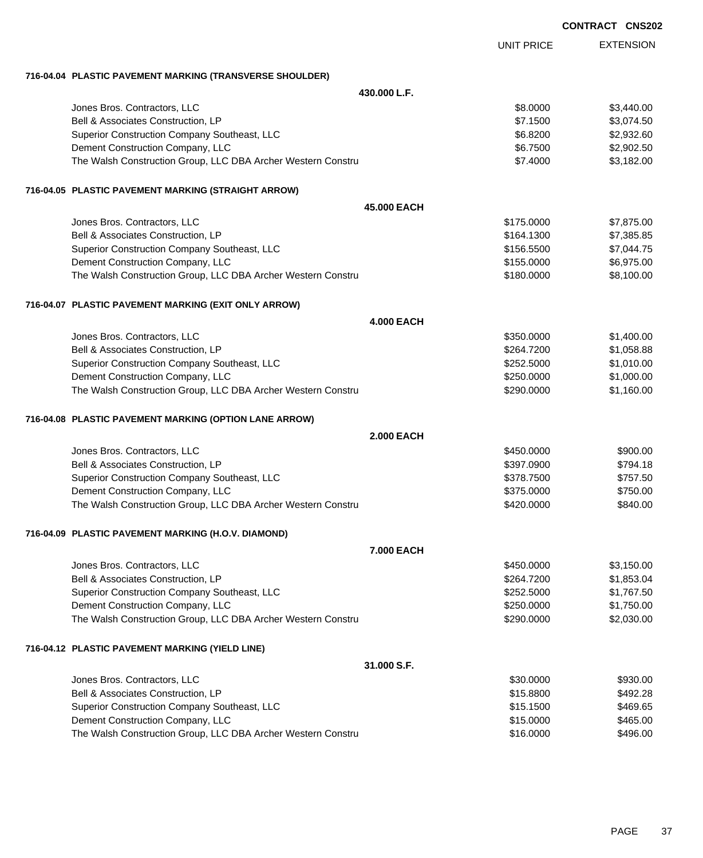|                                                              |                   |                   | <b>CONTRACT CNS202</b> |                  |
|--------------------------------------------------------------|-------------------|-------------------|------------------------|------------------|
|                                                              |                   | <b>UNIT PRICE</b> |                        | <b>EXTENSION</b> |
| 716-04.04 PLASTIC PAVEMENT MARKING (TRANSVERSE SHOULDER)     |                   |                   |                        |                  |
|                                                              | 430.000 L.F.      |                   |                        |                  |
| Jones Bros. Contractors, LLC                                 |                   | \$8.0000          |                        | \$3,440.00       |
| Bell & Associates Construction, LP                           |                   | \$7.1500          |                        | \$3,074.50       |
| Superior Construction Company Southeast, LLC                 |                   | \$6.8200          |                        | \$2,932.60       |
| Dement Construction Company, LLC                             |                   | \$6.7500          |                        | \$2,902.50       |
| The Walsh Construction Group, LLC DBA Archer Western Constru |                   | \$7.4000          |                        | \$3,182.00       |
| 716-04.05 PLASTIC PAVEMENT MARKING (STRAIGHT ARROW)          |                   |                   |                        |                  |
|                                                              | 45.000 EACH       |                   |                        |                  |
| Jones Bros. Contractors, LLC                                 |                   | \$175.0000        |                        | \$7,875.00       |
| Bell & Associates Construction, LP                           |                   | \$164.1300        |                        | \$7,385.85       |
| Superior Construction Company Southeast, LLC                 |                   | \$156.5500        |                        | \$7,044.75       |
| Dement Construction Company, LLC                             |                   | \$155.0000        |                        | \$6,975.00       |
| The Walsh Construction Group, LLC DBA Archer Western Constru |                   | \$180.0000        |                        | \$8,100.00       |
| 716-04.07 PLASTIC PAVEMENT MARKING (EXIT ONLY ARROW)         |                   |                   |                        |                  |
|                                                              | <b>4.000 EACH</b> |                   |                        |                  |
| Jones Bros. Contractors, LLC                                 |                   | \$350.0000        |                        | \$1,400.00       |
| Bell & Associates Construction, LP                           |                   | \$264.7200        |                        | \$1,058.88       |
| Superior Construction Company Southeast, LLC                 |                   | \$252.5000        |                        | \$1,010.00       |
| Dement Construction Company, LLC                             |                   | \$250.0000        |                        | \$1,000.00       |
| The Walsh Construction Group, LLC DBA Archer Western Constru |                   | \$290.0000        |                        | \$1,160.00       |
| 716-04.08 PLASTIC PAVEMENT MARKING (OPTION LANE ARROW)       |                   |                   |                        |                  |
|                                                              | <b>2.000 EACH</b> |                   |                        |                  |
| Jones Bros. Contractors, LLC                                 |                   | \$450.0000        |                        | \$900.00         |
| Bell & Associates Construction, LP                           |                   | \$397.0900        |                        | \$794.18         |
| Superior Construction Company Southeast, LLC                 |                   | \$378.7500        |                        | \$757.50         |
| Dement Construction Company, LLC                             |                   | \$375,0000        |                        | \$750.00         |
| The Walsh Construction Group, LLC DBA Archer Western Constru |                   | \$420.0000        |                        | \$840.00         |
| 716-04.09 PLASTIC PAVEMENT MARKING (H.O.V. DIAMOND)          |                   |                   |                        |                  |
|                                                              | 7.000 EACH        |                   |                        |                  |
| Jones Bros. Contractors, LLC                                 |                   | \$450.0000        |                        | \$3,150.00       |
| Bell & Associates Construction, LP                           |                   | \$264.7200        |                        | \$1,853.04       |
| Superior Construction Company Southeast, LLC                 |                   | \$252.5000        |                        | \$1,767.50       |
| Dement Construction Company, LLC                             |                   | \$250.0000        |                        | \$1,750.00       |
| The Walsh Construction Group, LLC DBA Archer Western Constru |                   | \$290.0000        |                        | \$2,030.00       |
| 716-04.12 PLASTIC PAVEMENT MARKING (YIELD LINE)              |                   |                   |                        |                  |
|                                                              | 31.000 S.F.       |                   |                        |                  |
| Jones Bros. Contractors, LLC                                 |                   | \$30.0000         |                        | \$930.00         |
| Bell & Associates Construction, LP                           |                   | \$15.8800         |                        | \$492.28         |
| Superior Construction Company Southeast, LLC                 |                   | \$15.1500         |                        | \$469.65         |
| Dement Construction Company, LLC                             |                   | \$15.0000         |                        | \$465.00         |
| The Walsh Construction Group, LLC DBA Archer Western Constru |                   | \$16.0000         |                        | \$496.00         |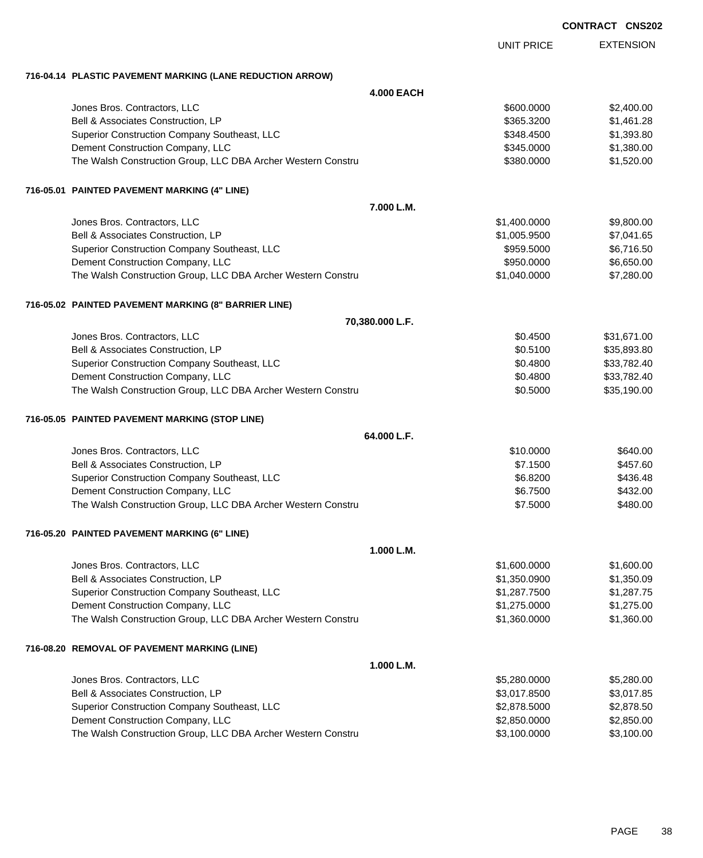EXTENSION UNIT PRICE

## **716-04.14 PLASTIC PAVEMENT MARKING (LANE REDUCTION ARROW)**

|                                                              | <b>4.000 EACH</b> |              |             |
|--------------------------------------------------------------|-------------------|--------------|-------------|
| Jones Bros. Contractors, LLC                                 |                   | \$600.0000   | \$2,400.00  |
| Bell & Associates Construction, LP                           |                   | \$365.3200   | \$1,461.28  |
| Superior Construction Company Southeast, LLC                 |                   | \$348.4500   | \$1,393.80  |
| Dement Construction Company, LLC                             |                   | \$345.0000   | \$1,380.00  |
| The Walsh Construction Group, LLC DBA Archer Western Constru |                   | \$380.0000   | \$1,520.00  |
| 716-05.01 PAINTED PAVEMENT MARKING (4" LINE)                 |                   |              |             |
|                                                              | 7.000 L.M.        |              |             |
| Jones Bros. Contractors, LLC                                 |                   | \$1,400.0000 | \$9,800.00  |
| Bell & Associates Construction, LP                           |                   | \$1,005.9500 | \$7,041.65  |
| Superior Construction Company Southeast, LLC                 |                   | \$959.5000   | \$6,716.50  |
| Dement Construction Company, LLC                             |                   | \$950.0000   | \$6,650.00  |
| The Walsh Construction Group, LLC DBA Archer Western Constru |                   | \$1,040.0000 | \$7,280.00  |
| 716-05.02 PAINTED PAVEMENT MARKING (8" BARRIER LINE)         |                   |              |             |
|                                                              | 70,380.000 L.F.   |              |             |
| Jones Bros. Contractors, LLC                                 |                   | \$0.4500     | \$31,671.00 |
| Bell & Associates Construction, LP                           |                   | \$0.5100     | \$35,893.80 |
| Superior Construction Company Southeast, LLC                 |                   | \$0.4800     | \$33,782.40 |
| Dement Construction Company, LLC                             |                   | \$0.4800     | \$33,782.40 |
| The Walsh Construction Group, LLC DBA Archer Western Constru |                   | \$0.5000     | \$35,190.00 |
| 716-05.05 PAINTED PAVEMENT MARKING (STOP LINE)               |                   |              |             |
|                                                              | 64.000 L.F.       |              |             |
| Jones Bros. Contractors, LLC                                 |                   | \$10.0000    | \$640.00    |
| Bell & Associates Construction, LP                           |                   | \$7.1500     | \$457.60    |
| Superior Construction Company Southeast, LLC                 |                   | \$6.8200     | \$436.48    |
| Dement Construction Company, LLC                             |                   | \$6.7500     | \$432.00    |
| The Walsh Construction Group, LLC DBA Archer Western Constru |                   | \$7.5000     | \$480.00    |
| 716-05.20 PAINTED PAVEMENT MARKING (6" LINE)                 |                   |              |             |
|                                                              | 1.000 L.M.        |              |             |
| Jones Bros. Contractors, LLC                                 |                   | \$1,600.0000 | \$1,600.00  |
| Bell & Associates Construction, LP                           |                   | \$1,350.0900 | \$1,350.09  |
| Superior Construction Company Southeast, LLC                 |                   | \$1,287.7500 | \$1,287.75  |
| Dement Construction Company, LLC                             |                   | \$1,275.0000 | \$1,275.00  |
| The Walsh Construction Group, LLC DBA Archer Western Constru |                   | \$1,360.0000 | \$1,360.00  |
| 716-08.20 REMOVAL OF PAVEMENT MARKING (LINE)                 |                   |              |             |
|                                                              | 1.000 L.M.        |              |             |
| Jones Bros. Contractors, LLC                                 |                   | \$5,280.0000 | \$5,280.00  |
| Bell & Associates Construction, LP                           |                   | \$3,017.8500 | \$3,017.85  |
| Superior Construction Company Southeast, LLC                 |                   | \$2,878.5000 | \$2,878.50  |
| Dement Construction Company, LLC                             |                   | \$2,850.0000 | \$2,850.00  |
| The Walsh Construction Group, LLC DBA Archer Western Constru |                   | \$3,100.0000 | \$3,100.00  |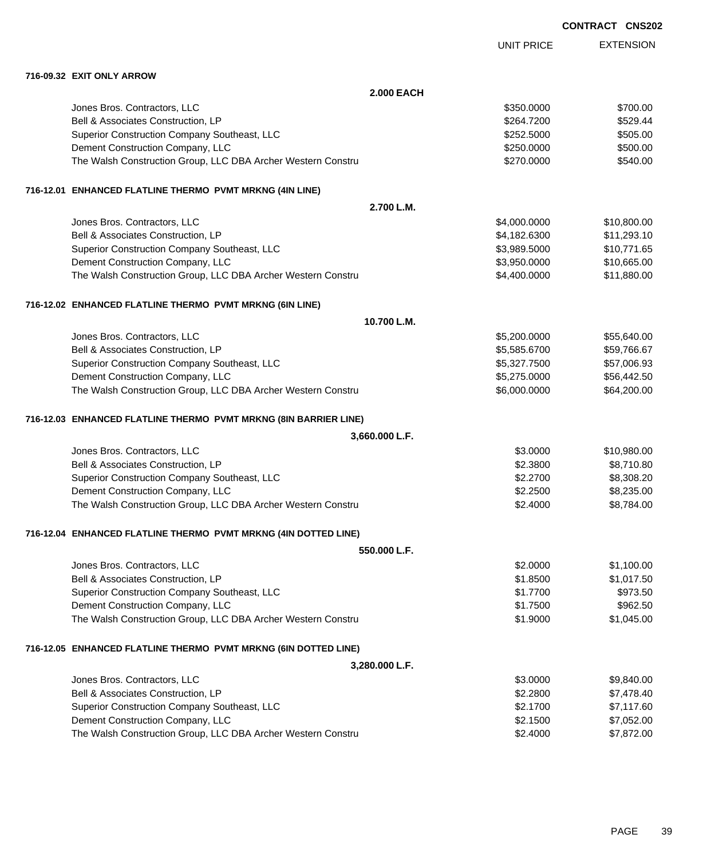| <b>CONTRACT CNS202</b> |  |
|------------------------|--|
|------------------------|--|

EXTENSION UNIT PRICE

**716-09.32 EXIT ONLY ARROW**

| <b>2.000 EACH</b>                                                |              |             |
|------------------------------------------------------------------|--------------|-------------|
| Jones Bros. Contractors, LLC                                     | \$350.0000   | \$700.00    |
| Bell & Associates Construction, LP                               | \$264.7200   | \$529.44    |
| Superior Construction Company Southeast, LLC                     | \$252.5000   | \$505.00    |
| Dement Construction Company, LLC                                 | \$250.0000   | \$500.00    |
| The Walsh Construction Group, LLC DBA Archer Western Constru     | \$270.0000   | \$540.00    |
| 716-12.01 ENHANCED FLATLINE THERMO PVMT MRKNG (4IN LINE)         |              |             |
| 2.700 L.M.                                                       |              |             |
| Jones Bros. Contractors, LLC                                     | \$4,000.0000 | \$10,800.00 |
| Bell & Associates Construction, LP                               | \$4,182.6300 | \$11,293.10 |
| Superior Construction Company Southeast, LLC                     | \$3,989.5000 | \$10,771.65 |
| Dement Construction Company, LLC                                 | \$3,950.0000 | \$10,665.00 |
| The Walsh Construction Group, LLC DBA Archer Western Constru     | \$4,400.0000 | \$11,880.00 |
| 716-12.02 ENHANCED FLATLINE THERMO PVMT MRKNG (6IN LINE)         |              |             |
| 10.700 L.M.                                                      |              |             |
| Jones Bros. Contractors, LLC                                     | \$5,200.0000 | \$55,640.00 |
| Bell & Associates Construction, LP                               | \$5,585.6700 | \$59,766.67 |
| Superior Construction Company Southeast, LLC                     | \$5,327.7500 | \$57,006.93 |
| Dement Construction Company, LLC                                 | \$5,275.0000 | \$56,442.50 |
| The Walsh Construction Group, LLC DBA Archer Western Constru     | \$6,000.0000 | \$64,200.00 |
| 716-12.03 ENHANCED FLATLINE THERMO PVMT MRKNG (8IN BARRIER LINE) |              |             |
| 3,660.000 L.F.                                                   |              |             |
| Jones Bros. Contractors, LLC                                     | \$3.0000     | \$10,980.00 |
| Bell & Associates Construction, LP                               | \$2.3800     | \$8,710.80  |
| Superior Construction Company Southeast, LLC                     | \$2.2700     | \$8,308.20  |
| Dement Construction Company, LLC                                 | \$2.2500     | \$8,235.00  |
| The Walsh Construction Group, LLC DBA Archer Western Constru     | \$2.4000     | \$8,784.00  |
| 716-12.04 ENHANCED FLATLINE THERMO PVMT MRKNG (4IN DOTTED LINE)  |              |             |
| 550.000 L.F.                                                     |              |             |
| Jones Bros. Contractors, LLC                                     | \$2.0000     | \$1,100.00  |
| Bell & Associates Construction, LP                               | \$1.8500     | \$1,017.50  |
| Superior Construction Company Southeast, LLC                     | \$1.7700     | \$973.50    |
| Dement Construction Company, LLC                                 | \$1.7500     | \$962.50    |
| The Walsh Construction Group, LLC DBA Archer Western Constru     | \$1.9000     | \$1,045.00  |
| 716-12.05 ENHANCED FLATLINE THERMO PVMT MRKNG (6IN DOTTED LINE)  |              |             |
| 3,280.000 L.F.                                                   |              |             |
| Jones Bros. Contractors, LLC                                     | \$3.0000     | \$9,840.00  |
| Bell & Associates Construction, LP                               | \$2.2800     | \$7,478.40  |
| Superior Construction Company Southeast, LLC                     | \$2.1700     | \$7,117.60  |
| Dement Construction Company, LLC                                 | \$2.1500     | \$7,052.00  |
| The Walsh Construction Group, LLC DBA Archer Western Constru     | \$2.4000     | \$7,872.00  |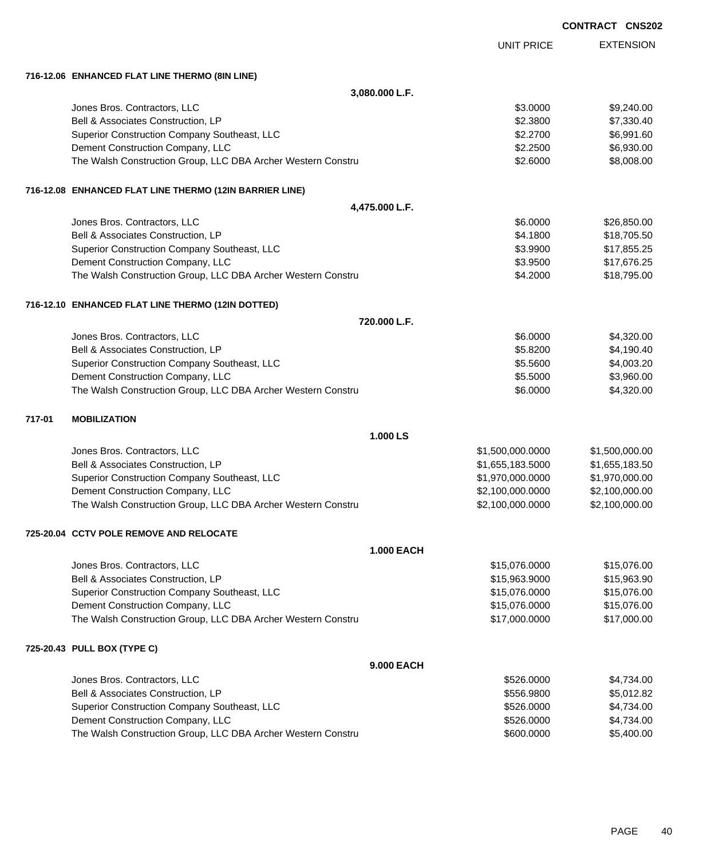|        |                                                              |                   |                   | <b>CONTRACT CNS202</b> |
|--------|--------------------------------------------------------------|-------------------|-------------------|------------------------|
|        |                                                              |                   | <b>UNIT PRICE</b> | <b>EXTENSION</b>       |
|        | 716-12.06 ENHANCED FLAT LINE THERMO (8IN LINE)               |                   |                   |                        |
|        |                                                              | 3,080.000 L.F.    |                   |                        |
|        | Jones Bros. Contractors, LLC                                 |                   | \$3.0000          | \$9,240.00             |
|        | Bell & Associates Construction, LP                           |                   | \$2.3800          | \$7,330.40             |
|        | Superior Construction Company Southeast, LLC                 |                   | \$2.2700          | \$6,991.60             |
|        | Dement Construction Company, LLC                             |                   | \$2.2500          | \$6,930.00             |
|        | The Walsh Construction Group, LLC DBA Archer Western Constru |                   | \$2.6000          | \$8,008.00             |
|        | 716-12.08 ENHANCED FLAT LINE THERMO (12IN BARRIER LINE)      |                   |                   |                        |
|        |                                                              | 4,475.000 L.F.    |                   |                        |
|        | Jones Bros. Contractors, LLC                                 |                   | \$6.0000          | \$26,850.00            |
|        | Bell & Associates Construction, LP                           |                   | \$4.1800          | \$18,705.50            |
|        | Superior Construction Company Southeast, LLC                 |                   | \$3.9900          | \$17,855.25            |
|        | Dement Construction Company, LLC                             |                   | \$3.9500          | \$17,676.25            |
|        | The Walsh Construction Group, LLC DBA Archer Western Constru |                   | \$4.2000          | \$18,795.00            |
|        | 716-12.10 ENHANCED FLAT LINE THERMO (12IN DOTTED)            |                   |                   |                        |
|        |                                                              | 720.000 L.F.      |                   |                        |
|        | Jones Bros. Contractors, LLC                                 |                   | \$6.0000          | \$4,320.00             |
|        | Bell & Associates Construction, LP                           |                   | \$5.8200          | \$4,190.40             |
|        | Superior Construction Company Southeast, LLC                 |                   | \$5.5600          | \$4,003.20             |
|        | Dement Construction Company, LLC                             |                   | \$5.5000          | \$3,960.00             |
|        | The Walsh Construction Group, LLC DBA Archer Western Constru |                   | \$6.0000          | \$4,320.00             |
| 717-01 | <b>MOBILIZATION</b>                                          |                   |                   |                        |
|        |                                                              | 1.000 LS          |                   |                        |
|        | Jones Bros. Contractors, LLC                                 |                   | \$1,500,000.0000  | \$1,500,000.00         |
|        | Bell & Associates Construction, LP                           |                   | \$1,655,183.5000  | \$1,655,183.50         |
|        | Superior Construction Company Southeast, LLC                 |                   | \$1,970,000.0000  | \$1,970,000.00         |
|        | Dement Construction Company, LLC                             |                   | \$2,100,000.0000  | \$2,100,000.00         |
|        | The Walsh Construction Group, LLC DBA Archer Western Constru |                   | \$2,100,000.0000  | \$2,100,000.00         |
|        | 725-20.04 CCTV POLE REMOVE AND RELOCATE                      |                   |                   |                        |
|        |                                                              | <b>1.000 EACH</b> |                   |                        |
|        | Jones Bros. Contractors, LLC                                 |                   | \$15,076.0000     | \$15,076.00            |
|        | Bell & Associates Construction, LP                           |                   | \$15,963.9000     | \$15,963.90            |
|        | Superior Construction Company Southeast, LLC                 |                   | \$15,076.0000     | \$15,076.00            |
|        | Dement Construction Company, LLC                             |                   | \$15,076.0000     | \$15,076.00            |
|        | The Walsh Construction Group, LLC DBA Archer Western Constru |                   | \$17,000.0000     | \$17,000.00            |
|        | 725-20.43 PULL BOX (TYPE C)                                  |                   |                   |                        |
|        |                                                              | 9.000 EACH        |                   |                        |
|        | Jones Bros. Contractors, LLC                                 |                   | \$526.0000        | \$4,734.00             |
|        | Bell & Associates Construction, LP                           |                   | \$556.9800        | \$5,012.82             |
|        | Superior Construction Company Southeast, LLC                 |                   | \$526.0000        | \$4,734.00             |
|        | Dement Construction Company, LLC                             |                   | \$526.0000        | \$4,734.00             |
|        | The Walsh Construction Group, LLC DBA Archer Western Constru |                   | \$600.0000        | \$5,400.00             |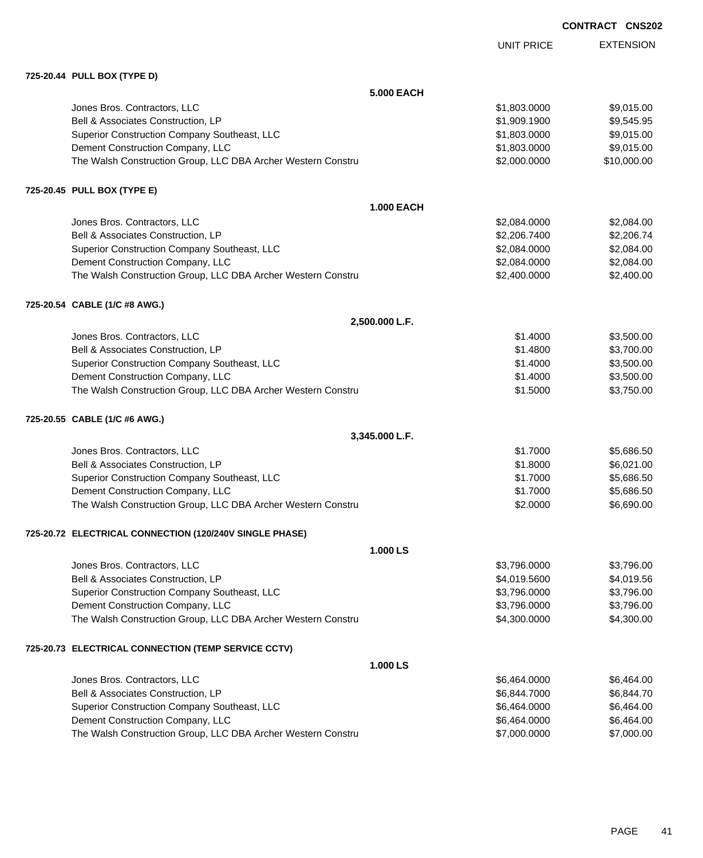|            | <b>CONTRACT CNS202</b> |                  |
|------------|------------------------|------------------|
| UNIT PRICE |                        | <b>EXTENSION</b> |

**725-20.44 PULL BOX (TYPE D)**

| 725-20.44 PULL BOX (TYPE D)                                  |                   |             |
|--------------------------------------------------------------|-------------------|-------------|
|                                                              | <b>5.000 EACH</b> |             |
| Jones Bros. Contractors, LLC                                 | \$1,803.0000      | \$9,015.00  |
| Bell & Associates Construction, LP                           | \$1,909.1900      | \$9,545.95  |
| Superior Construction Company Southeast, LLC                 | \$1,803.0000      | \$9,015.00  |
| Dement Construction Company, LLC                             | \$1,803.0000      | \$9,015.00  |
| The Walsh Construction Group, LLC DBA Archer Western Constru | \$2,000.0000      | \$10,000.00 |
| 725-20.45 PULL BOX (TYPE E)                                  |                   |             |
|                                                              | <b>1.000 EACH</b> |             |
| Jones Bros. Contractors, LLC                                 | \$2,084.0000      | \$2,084.00  |
| Bell & Associates Construction, LP                           | \$2,206.7400      | \$2,206.74  |
| Superior Construction Company Southeast, LLC                 | \$2,084.0000      | \$2,084.00  |
| Dement Construction Company, LLC                             | \$2,084.0000      | \$2,084.00  |
| The Walsh Construction Group, LLC DBA Archer Western Constru | \$2,400.0000      | \$2,400.00  |
| 725-20.54 CABLE (1/C #8 AWG.)                                |                   |             |
| 2,500.000 L.F.                                               |                   |             |
| Jones Bros. Contractors, LLC                                 | \$1.4000          | \$3,500.00  |
| Bell & Associates Construction, LP                           | \$1.4800          | \$3,700.00  |
| Superior Construction Company Southeast, LLC                 | \$1.4000          | \$3,500.00  |
| Dement Construction Company, LLC                             | \$1.4000          | \$3,500.00  |
| The Walsh Construction Group, LLC DBA Archer Western Constru | \$1.5000          | \$3,750.00  |
| 725-20.55 CABLE (1/C #6 AWG.)                                |                   |             |
| 3,345.000 L.F.                                               |                   |             |
| Jones Bros. Contractors, LLC                                 | \$1.7000          | \$5,686.50  |
| Bell & Associates Construction, LP                           | \$1.8000          | \$6,021.00  |
| Superior Construction Company Southeast, LLC                 | \$1.7000          | \$5,686.50  |
| Dement Construction Company, LLC                             | \$1.7000          | \$5,686.50  |
| The Walsh Construction Group, LLC DBA Archer Western Constru | \$2.0000          | \$6,690.00  |
| 725-20.72 ELECTRICAL CONNECTION (120/240V SINGLE PHASE)      |                   |             |
|                                                              | 1.000 LS          |             |
| Jones Bros. Contractors, LLC                                 | \$3,796.0000      | \$3,796.00  |
| Bell & Associates Construction, LP                           | \$4,019.5600      | \$4,019.56  |
| Superior Construction Company Southeast, LLC                 | \$3,796.0000      | \$3,796.00  |
| Dement Construction Company, LLC                             | \$3,796.0000      | \$3,796.00  |
| The Walsh Construction Group, LLC DBA Archer Western Constru | \$4,300.0000      | \$4,300.00  |
| 725-20.73 ELECTRICAL CONNECTION (TEMP SERVICE CCTV)          |                   |             |
|                                                              | 1.000 LS          |             |
| Jones Bros. Contractors, LLC                                 | \$6,464.0000      | \$6,464.00  |
| Bell & Associates Construction, LP                           | \$6,844.7000      | \$6,844.70  |
| Superior Construction Company Southeast, LLC                 | \$6,464.0000      | \$6,464.00  |
| Dement Construction Company, LLC                             | \$6,464.0000      | \$6,464.00  |
| The Walsh Construction Group, LLC DBA Archer Western Constru | \$7,000.0000      | \$7,000.00  |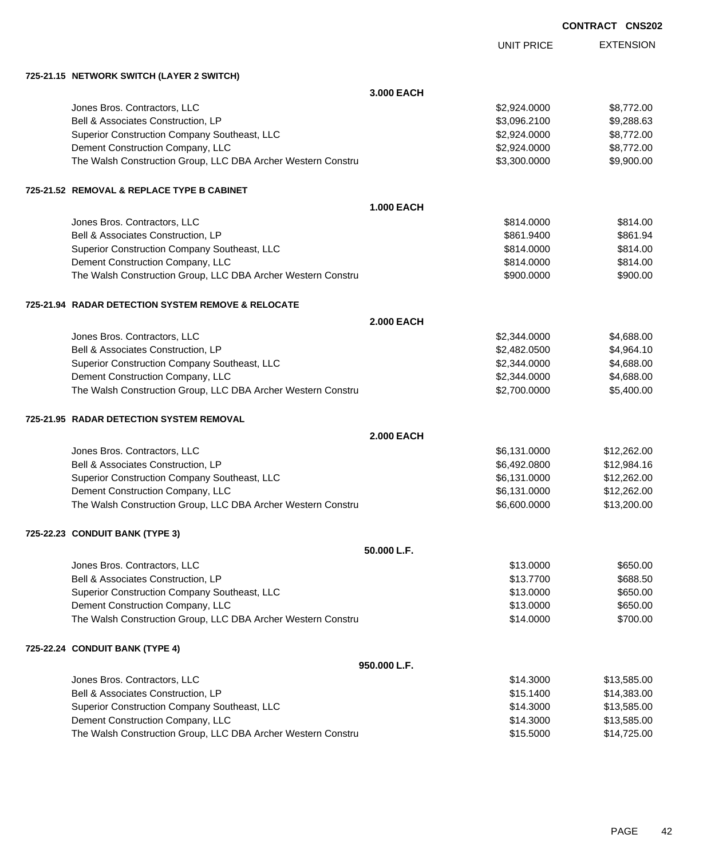|                                                                                                  |                   |                        | <b>CONTRACT CNS202</b> |                      |
|--------------------------------------------------------------------------------------------------|-------------------|------------------------|------------------------|----------------------|
|                                                                                                  |                   | <b>UNIT PRICE</b>      |                        | <b>EXTENSION</b>     |
| 725-21.15 NETWORK SWITCH (LAYER 2 SWITCH)                                                        |                   |                        |                        |                      |
|                                                                                                  | 3.000 EACH        |                        |                        |                      |
| Jones Bros. Contractors, LLC                                                                     |                   | \$2,924.0000           |                        | \$8,772.00           |
| Bell & Associates Construction, LP                                                               |                   | \$3,096.2100           |                        | \$9,288.63           |
| Superior Construction Company Southeast, LLC                                                     |                   | \$2,924.0000           |                        | \$8,772.00           |
| Dement Construction Company, LLC                                                                 |                   | \$2,924.0000           |                        | \$8,772.00           |
| The Walsh Construction Group, LLC DBA Archer Western Constru                                     |                   | \$3,300.0000           |                        | \$9,900.00           |
| 725-21.52 REMOVAL & REPLACE TYPE B CABINET                                                       |                   |                        |                        |                      |
|                                                                                                  | <b>1.000 EACH</b> |                        |                        |                      |
| Jones Bros. Contractors, LLC                                                                     |                   | \$814.0000             |                        | \$814.00             |
| Bell & Associates Construction, LP                                                               |                   | \$861.9400             |                        | \$861.94             |
| Superior Construction Company Southeast, LLC                                                     |                   | \$814.0000             |                        | \$814.00             |
| Dement Construction Company, LLC                                                                 |                   | \$814.0000             |                        | \$814.00             |
| The Walsh Construction Group, LLC DBA Archer Western Constru                                     |                   | \$900.0000             |                        | \$900.00             |
| 725-21.94 RADAR DETECTION SYSTEM REMOVE & RELOCATE                                               |                   |                        |                        |                      |
|                                                                                                  | <b>2.000 EACH</b> |                        |                        |                      |
| Jones Bros. Contractors, LLC                                                                     |                   | \$2,344.0000           |                        | \$4,688.00           |
| Bell & Associates Construction, LP                                                               |                   | \$2,482.0500           |                        | \$4,964.10           |
| Superior Construction Company Southeast, LLC                                                     |                   | \$2,344.0000           |                        | \$4,688.00           |
| Dement Construction Company, LLC                                                                 |                   | \$2,344.0000           |                        | \$4,688.00           |
| The Walsh Construction Group, LLC DBA Archer Western Constru                                     |                   | \$2,700.0000           |                        | \$5,400.00           |
| 725-21.95 RADAR DETECTION SYSTEM REMOVAL                                                         |                   |                        |                        |                      |
|                                                                                                  | <b>2.000 EACH</b> |                        |                        |                      |
| Jones Bros. Contractors, LLC                                                                     |                   | \$6,131.0000           |                        | \$12,262.00          |
| Bell & Associates Construction, LP                                                               |                   | \$6,492.0800           |                        | \$12,984.16          |
| Superior Construction Company Southeast, LLC                                                     |                   | \$6,131.0000           |                        | \$12,262.00          |
| Dement Construction Company, LLC                                                                 |                   | \$6,131.0000           |                        | \$12,262.00          |
| The Walsh Construction Group, LLC DBA Archer Western Constru                                     |                   | \$6,600.0000           |                        | \$13,200.00          |
| 725-22.23 CONDUIT BANK (TYPE 3)                                                                  |                   |                        |                        |                      |
|                                                                                                  | 50.000 L.F.       |                        |                        |                      |
| Jones Bros. Contractors, LLC                                                                     |                   | \$13.0000              |                        | \$650.00             |
| Bell & Associates Construction, LP                                                               |                   | \$13.7700              |                        | \$688.50             |
| Superior Construction Company Southeast, LLC                                                     |                   | \$13.0000              |                        | \$650.00             |
| Dement Construction Company, LLC<br>The Walsh Construction Group, LLC DBA Archer Western Constru |                   | \$13.0000<br>\$14,0000 |                        | \$650.00<br>\$700.00 |
| 725-22.24 CONDUIT BANK (TYPE 4)                                                                  |                   |                        |                        |                      |
|                                                                                                  | 950.000 L.F.      |                        |                        |                      |
| Jones Bros. Contractors, LLC                                                                     |                   | \$14.3000              |                        | \$13,585.00          |
| Bell & Associates Construction, LP                                                               |                   | \$15.1400              |                        | \$14,383.00          |
| Superior Construction Company Southeast, LLC                                                     |                   | \$14.3000              |                        | \$13,585.00          |

Dement Construction Company, LLC 600 and the state of the state of the state of \$13,585.00 The Walsh Construction Group, LLC DBA Archer Western Constru **\$15.5000** \$15.5000 \$14,725.00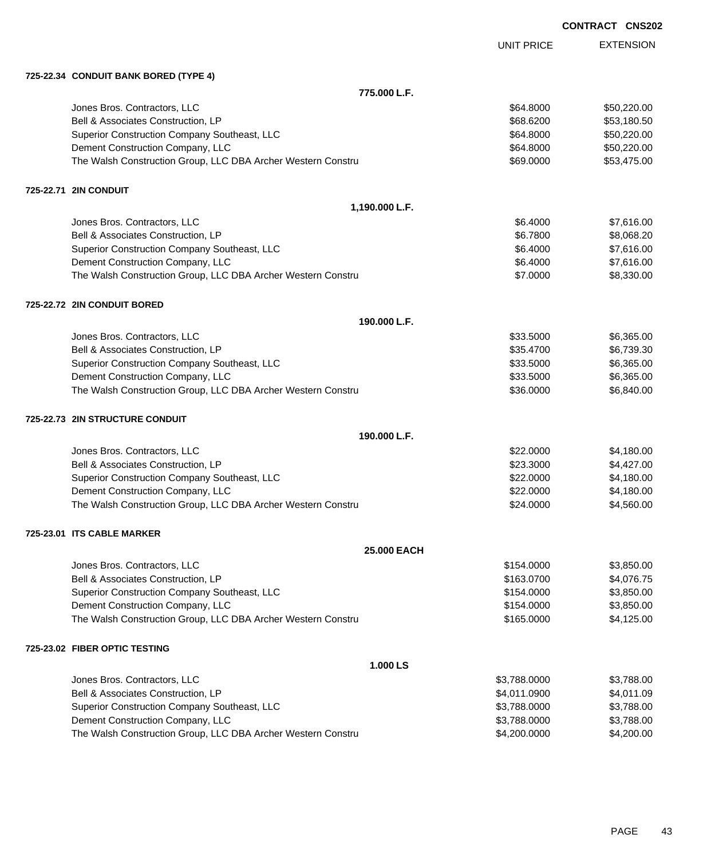EXTENSION UNIT PRICE

### **725-22.34 CONDUIT BANK BORED (TYPE 4)**

**775.000 L.F.** Jones Bros. Contractors, LLC \$64.8000 \$50,220.00 Bell & Associates Construction, LP 653,180.50 Superior Construction Company Southeast, LLC  $$64.8000$  \$50,220.00 Dement Construction Company, LLC 664.8000 \$50,220.00 The Walsh Construction Group, LLC DBA Archer Western Constru \$69.000 \$53,475.00 **725-22.71 2IN CONDUIT 1,190.000 L.F.** Jones Bros. Contractors, LLC 6.600 \$7,616.00 Bell & Associates Construction, LP 68,068.20 Superior Construction Company Southeast, LLC  $$6.4000$  \$7,616.00 Dement Construction Company, LLC 6.600 \$7,616.00 The Walsh Construction Group, LLC DBA Archer Western Constru **\$7.0000 \$8,330.00** \$8,330.00 **725-22.72 2IN CONDUIT BORED 190.000 L.F.** Jones Bros. Contractors, LLC \$33.5000 \$6,365.00 Bell & Associates Construction, LP 6,739.30 Superior Construction Company Southeast, LLC  $$33.5000$  \$6,365.00 Dement Construction Company, LLC 6.365.00 \$6,365.00 The Walsh Construction Group, LLC DBA Archer Western Constru **\$36.000 \$6,840.00** \$6,840.00 **725-22.73 2IN STRUCTURE CONDUIT 190.000 L.F.** Jones Bros. Contractors, LLC \$22.0000 \$4,180.00 Bell & Associates Construction, LP 66 and the set of the set of the set of the set of the set of the set of the set of the set of the set of the set of the set of the set of the set of the set of the set of the set of the Superior Construction Company Southeast, LLC  $$22.0000$  \$4,180.00 Dement Construction Company, LLC 6 and the state of the state of the state of the state of the state of the state of the state of the state of the state of the state of the state of the state of the state of the state of t The Walsh Construction Group, LLC DBA Archer Western Constru **\$24.0000** \$4,560.00 **725-23.01 ITS CABLE MARKER 25.000 EACH** Jones Bros. Contractors, LLC \$154.0000 \$3,850.00 Bell & Associates Construction, LP 663.0700 \$4,076.75 Superior Construction Company Southeast, LLC  $$3,850.00$ Dement Construction Company, LLC 6 and the state of the state of the state  $$154.0000$  \$3,850.00 The Walsh Construction Group, LLC DBA Archer Western Constru \$165.0000 \$4,125.00 **725-23.02 FIBER OPTIC TESTING 1.000 LS** Jones Bros. Contractors, LLC 6. The state of the state of the state of the state of the state of the state of the state of the state of the state of the state of the state of the state of the state of the state of the stat Bell & Associates Construction, LP 66 and the state of the state of the state of the state of the state of the state of the state of the state of the state of the state of the state of the state of the state of the state o Superior Construction Company Southeast, LLC  $$3,788.000$  \$3,788.0000 \$3,788.000 Dement Construction Company, LLC 6 and the state of the state of the state  $$3,788.0000$  \$3,788.000 The Walsh Construction Group, LLC DBA Archer Western Constru \$4,200.000 \$4,200.000 \$4,200.00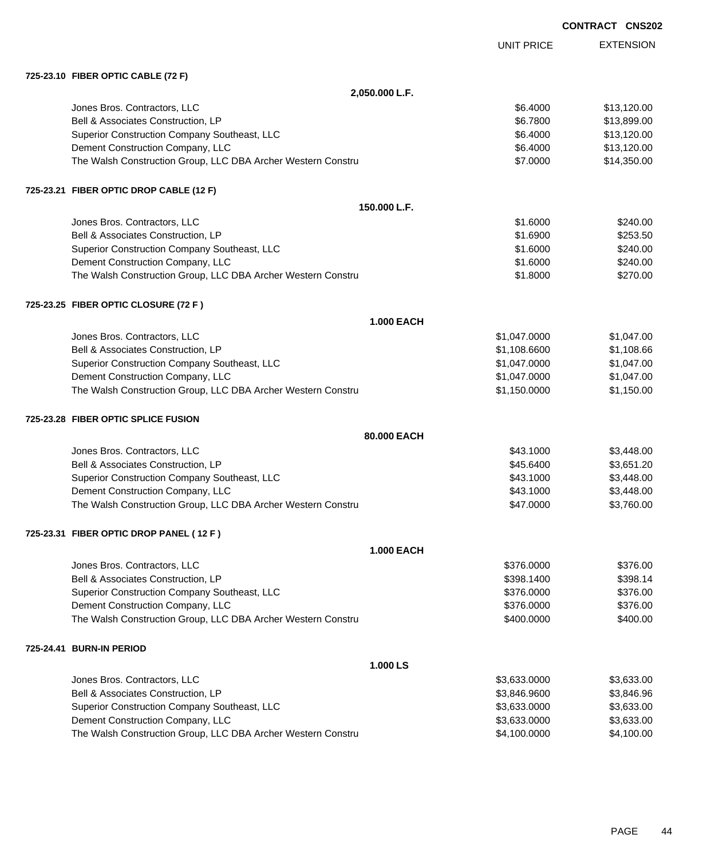|           |                                                              |                   | <b>CONTRACT CNS202</b> |                  |
|-----------|--------------------------------------------------------------|-------------------|------------------------|------------------|
|           |                                                              |                   | <b>UNIT PRICE</b>      | <b>EXTENSION</b> |
|           | 725-23.10 FIBER OPTIC CABLE (72 F)                           |                   |                        |                  |
|           |                                                              | 2,050.000 L.F.    |                        |                  |
|           | Jones Bros. Contractors, LLC                                 |                   | \$6.4000               | \$13,120.00      |
|           | Bell & Associates Construction, LP                           |                   | \$6.7800               | \$13,899.00      |
|           | Superior Construction Company Southeast, LLC                 |                   | \$6.4000               | \$13,120.00      |
|           | Dement Construction Company, LLC                             |                   | \$6.4000               | \$13,120.00      |
|           | The Walsh Construction Group, LLC DBA Archer Western Constru |                   | \$7.0000               | \$14,350.00      |
|           | 725-23.21 FIBER OPTIC DROP CABLE (12 F)                      |                   |                        |                  |
|           |                                                              | 150.000 L.F.      |                        |                  |
|           | Jones Bros. Contractors, LLC                                 |                   | \$1.6000               | \$240.00         |
|           | Bell & Associates Construction, LP                           |                   | \$1.6900               | \$253.50         |
|           | Superior Construction Company Southeast, LLC                 |                   | \$1.6000               | \$240.00         |
|           | Dement Construction Company, LLC                             |                   | \$1.6000               | \$240.00         |
|           | The Walsh Construction Group, LLC DBA Archer Western Constru |                   | \$1.8000               | \$270.00         |
|           | 725-23.25 FIBER OPTIC CLOSURE (72 F )                        |                   |                        |                  |
|           |                                                              | <b>1.000 EACH</b> |                        |                  |
|           | Jones Bros. Contractors, LLC                                 |                   | \$1,047.0000           | \$1,047.00       |
|           | Bell & Associates Construction, LP                           |                   | \$1,108.6600           | \$1,108.66       |
|           | Superior Construction Company Southeast, LLC                 |                   | \$1,047.0000           | \$1,047.00       |
|           | Dement Construction Company, LLC                             |                   | \$1,047.0000           | \$1,047.00       |
|           | The Walsh Construction Group, LLC DBA Archer Western Constru |                   | \$1,150.0000           | \$1,150.00       |
|           | 725-23.28 FIBER OPTIC SPLICE FUSION                          |                   |                        |                  |
|           |                                                              | 80.000 EACH       |                        |                  |
|           | Jones Bros. Contractors, LLC                                 |                   | \$43.1000              | \$3,448.00       |
|           | Bell & Associates Construction, LP                           |                   | \$45.6400              | \$3,651.20       |
|           | Superior Construction Company Southeast, LLC                 |                   | \$43.1000              | \$3,448.00       |
|           | Dement Construction Company, LLC                             |                   | \$43.1000              | \$3,448.00       |
|           | The Walsh Construction Group, LLC DBA Archer Western Constru |                   | \$47.0000              | \$3,760.00       |
|           | 725-23.31 FIBER OPTIC DROP PANEL ( 12 F )                    |                   |                        |                  |
|           |                                                              | <b>1.000 EACH</b> |                        |                  |
|           | Jones Bros. Contractors, LLC                                 |                   | \$376.0000             | \$376.00         |
|           | Bell & Associates Construction, LP                           |                   | \$398.1400             | \$398.14         |
|           | Superior Construction Company Southeast, LLC                 |                   | \$376.0000             | \$376.00         |
|           | Dement Construction Company, LLC                             |                   | \$376.0000             | \$376.00         |
|           | The Walsh Construction Group, LLC DBA Archer Western Constru |                   | \$400.0000             | \$400.00         |
| 725-24.41 | <b>BURN-IN PERIOD</b>                                        |                   |                        |                  |
|           |                                                              | 1.000 LS          |                        |                  |
|           | Jones Bros. Contractors, LLC                                 |                   | \$3,633.0000           | \$3,633.00       |
|           | Bell & Associates Construction, LP                           |                   | \$3,846.9600           | \$3,846.96       |
|           | Superior Construction Company Southeast, LLC                 |                   | \$3,633.0000           | \$3,633.00       |
|           | Dement Construction Company, LLC                             |                   | \$3,633.0000           | \$3,633.00       |
|           | The Walsh Construction Group, LLC DBA Archer Western Constru |                   | \$4,100.0000           | \$4,100.00       |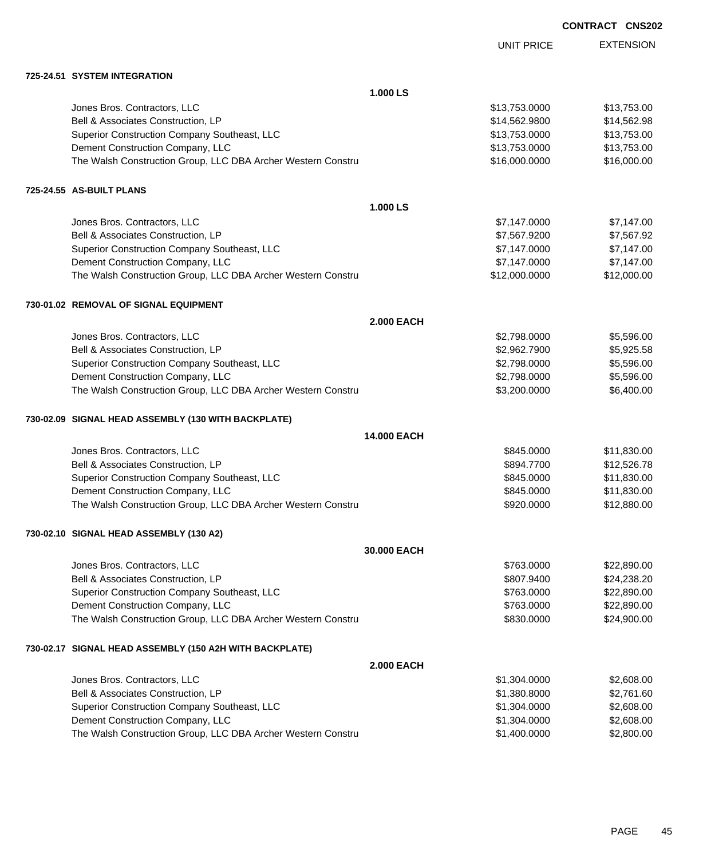UNIT PRICE

EXTENSION

| 725-24.51 SYSTEM INTEGRATION                                 |                   |               |             |
|--------------------------------------------------------------|-------------------|---------------|-------------|
|                                                              | 1.000 LS          |               |             |
| Jones Bros. Contractors, LLC                                 |                   | \$13,753.0000 | \$13,753.00 |
| Bell & Associates Construction, LP                           |                   | \$14,562.9800 | \$14,562.98 |
| Superior Construction Company Southeast, LLC                 |                   | \$13,753.0000 | \$13,753.00 |
| Dement Construction Company, LLC                             |                   | \$13,753.0000 | \$13,753.00 |
| The Walsh Construction Group, LLC DBA Archer Western Constru |                   | \$16,000.0000 | \$16,000.00 |
| 725-24.55 AS-BUILT PLANS                                     |                   |               |             |
|                                                              | 1.000 LS          |               |             |
| Jones Bros. Contractors, LLC                                 |                   | \$7,147.0000  | \$7,147.00  |
| Bell & Associates Construction, LP                           |                   | \$7,567.9200  | \$7,567.92  |
| Superior Construction Company Southeast, LLC                 |                   | \$7,147.0000  | \$7,147.00  |
| Dement Construction Company, LLC                             |                   | \$7,147.0000  | \$7,147.00  |
| The Walsh Construction Group, LLC DBA Archer Western Constru |                   | \$12,000.0000 | \$12,000.00 |
| 730-01.02 REMOVAL OF SIGNAL EQUIPMENT                        |                   |               |             |
|                                                              | <b>2.000 EACH</b> |               |             |
| Jones Bros. Contractors, LLC                                 |                   | \$2,798.0000  | \$5,596.00  |
| Bell & Associates Construction, LP                           |                   | \$2,962.7900  | \$5,925.58  |
| Superior Construction Company Southeast, LLC                 |                   | \$2,798.0000  | \$5,596.00  |
| Dement Construction Company, LLC                             |                   | \$2,798.0000  | \$5,596.00  |
| The Walsh Construction Group, LLC DBA Archer Western Constru |                   | \$3,200.0000  | \$6,400.00  |
| 730-02.09 SIGNAL HEAD ASSEMBLY (130 WITH BACKPLATE)          |                   |               |             |
|                                                              | 14.000 EACH       |               |             |
| Jones Bros. Contractors, LLC                                 |                   | \$845.0000    | \$11,830.00 |
| Bell & Associates Construction, LP                           |                   | \$894.7700    | \$12,526.78 |
| Superior Construction Company Southeast, LLC                 |                   | \$845.0000    | \$11,830.00 |
| Dement Construction Company, LLC                             |                   | \$845.0000    | \$11,830.00 |
| The Walsh Construction Group, LLC DBA Archer Western Constru |                   | \$920.0000    | \$12,880.00 |
| 730-02.10 SIGNAL HEAD ASSEMBLY (130 A2)                      |                   |               |             |
|                                                              | 30.000 EACH       |               |             |
| Jones Bros. Contractors, LLC                                 |                   | \$763.0000    | \$22,890.00 |
| Bell & Associates Construction, LP                           |                   | \$807.9400    | \$24,238.20 |
| Superior Construction Company Southeast, LLC                 |                   | \$763.0000    | \$22,890.00 |
| Dement Construction Company, LLC                             |                   | \$763.0000    | \$22,890.00 |
| The Walsh Construction Group, LLC DBA Archer Western Constru |                   | \$830.0000    | \$24,900.00 |
| 730-02.17 SIGNAL HEAD ASSEMBLY (150 A2H WITH BACKPLATE)      |                   |               |             |
|                                                              | <b>2.000 EACH</b> |               |             |
| Jones Bros. Contractors, LLC                                 |                   | \$1,304.0000  | \$2,608.00  |
| Bell & Associates Construction, LP                           |                   | \$1,380.8000  | \$2,761.60  |
| Superior Construction Company Southeast, LLC                 |                   | \$1,304.0000  | \$2,608.00  |
| Dement Construction Company, LLC                             |                   | \$1,304.0000  | \$2,608.00  |

The Walsh Construction Group, LLC DBA Archer Western Constru \$1,400.0000 \$1,400.0000 \$2,800.00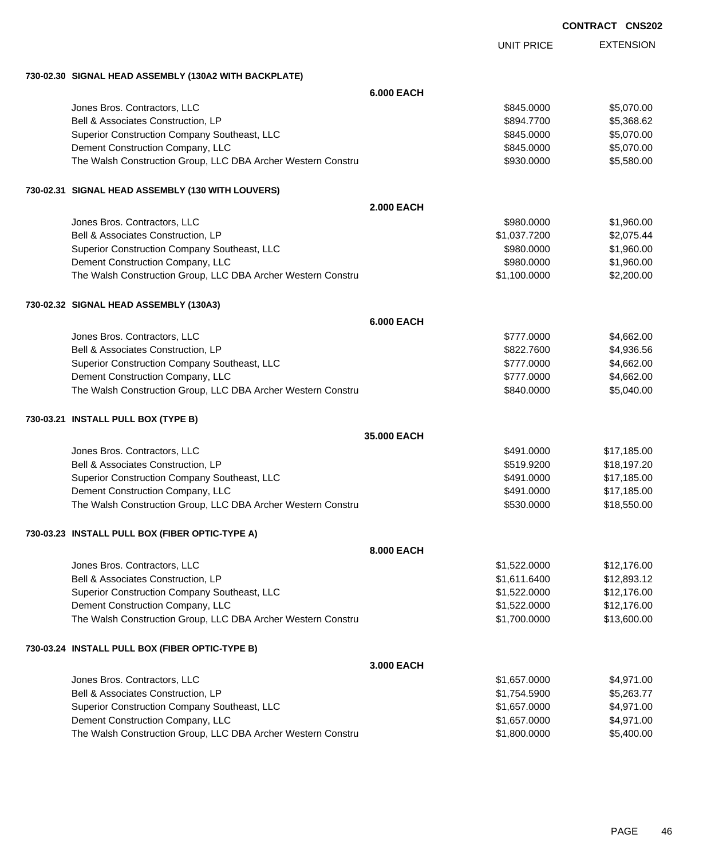EXTENSION UNIT PRICE

## **730-02.30 SIGNAL HEAD ASSEMBLY (130A2 WITH BACKPLATE)**

|                                                              | <b>6.000 EACH</b> |              |             |
|--------------------------------------------------------------|-------------------|--------------|-------------|
| Jones Bros. Contractors, LLC                                 |                   | \$845.0000   | \$5,070.00  |
| Bell & Associates Construction, LP                           |                   | \$894.7700   | \$5,368.62  |
| Superior Construction Company Southeast, LLC                 |                   | \$845.0000   | \$5,070.00  |
| Dement Construction Company, LLC                             |                   | \$845.0000   | \$5,070.00  |
| The Walsh Construction Group, LLC DBA Archer Western Constru |                   | \$930.0000   | \$5,580.00  |
| 730-02.31 SIGNAL HEAD ASSEMBLY (130 WITH LOUVERS)            |                   |              |             |
|                                                              | <b>2.000 EACH</b> |              |             |
| Jones Bros. Contractors, LLC                                 |                   | \$980.0000   | \$1,960.00  |
| Bell & Associates Construction, LP                           |                   | \$1,037.7200 | \$2,075.44  |
| Superior Construction Company Southeast, LLC                 |                   | \$980.0000   | \$1,960.00  |
| Dement Construction Company, LLC                             |                   | \$980.0000   | \$1,960.00  |
| The Walsh Construction Group, LLC DBA Archer Western Constru |                   | \$1,100.0000 | \$2,200.00  |
| 730-02.32 SIGNAL HEAD ASSEMBLY (130A3)                       |                   |              |             |
|                                                              | <b>6.000 EACH</b> |              |             |
| Jones Bros. Contractors, LLC                                 |                   | \$777.0000   | \$4,662.00  |
| Bell & Associates Construction, LP                           |                   | \$822.7600   | \$4,936.56  |
| Superior Construction Company Southeast, LLC                 |                   | \$777.0000   | \$4,662.00  |
| Dement Construction Company, LLC                             |                   | \$777.0000   | \$4,662.00  |
| The Walsh Construction Group, LLC DBA Archer Western Constru |                   | \$840.0000   | \$5,040.00  |
| 730-03.21 INSTALL PULL BOX (TYPE B)                          |                   |              |             |
|                                                              | 35.000 EACH       |              |             |
| Jones Bros. Contractors, LLC                                 |                   | \$491.0000   | \$17,185.00 |
| Bell & Associates Construction, LP                           |                   | \$519.9200   | \$18,197.20 |
| Superior Construction Company Southeast, LLC                 |                   | \$491.0000   | \$17,185.00 |
| Dement Construction Company, LLC                             |                   | \$491.0000   | \$17,185.00 |
| The Walsh Construction Group, LLC DBA Archer Western Constru |                   | \$530.0000   | \$18,550.00 |
| 730-03.23 INSTALL PULL BOX (FIBER OPTIC-TYPE A)              |                   |              |             |
|                                                              | <b>8.000 EACH</b> |              |             |
| Jones Bros, Contractors, LLC                                 |                   | \$1,522.0000 | \$12,176.00 |
| Bell & Associates Construction, LP                           |                   | \$1,611.6400 | \$12,893.12 |
| Superior Construction Company Southeast, LLC                 |                   | \$1,522.0000 | \$12,176.00 |
| Dement Construction Company, LLC                             |                   | \$1,522.0000 | \$12,176.00 |
| The Walsh Construction Group, LLC DBA Archer Western Constru |                   | \$1,700.0000 | \$13,600.00 |
| 730-03.24 INSTALL PULL BOX (FIBER OPTIC-TYPE B)              |                   |              |             |
|                                                              | 3.000 EACH        |              |             |
| Jones Bros. Contractors, LLC                                 |                   | \$1,657.0000 | \$4,971.00  |
| Bell & Associates Construction, LP                           |                   | \$1,754.5900 | \$5,263.77  |
| Superior Construction Company Southeast, LLC                 |                   | \$1,657.0000 | \$4,971.00  |
| Dement Construction Company, LLC                             |                   | \$1,657.0000 | \$4,971.00  |
| The Walsh Construction Group, LLC DBA Archer Western Constru |                   | \$1,800.0000 | \$5,400.00  |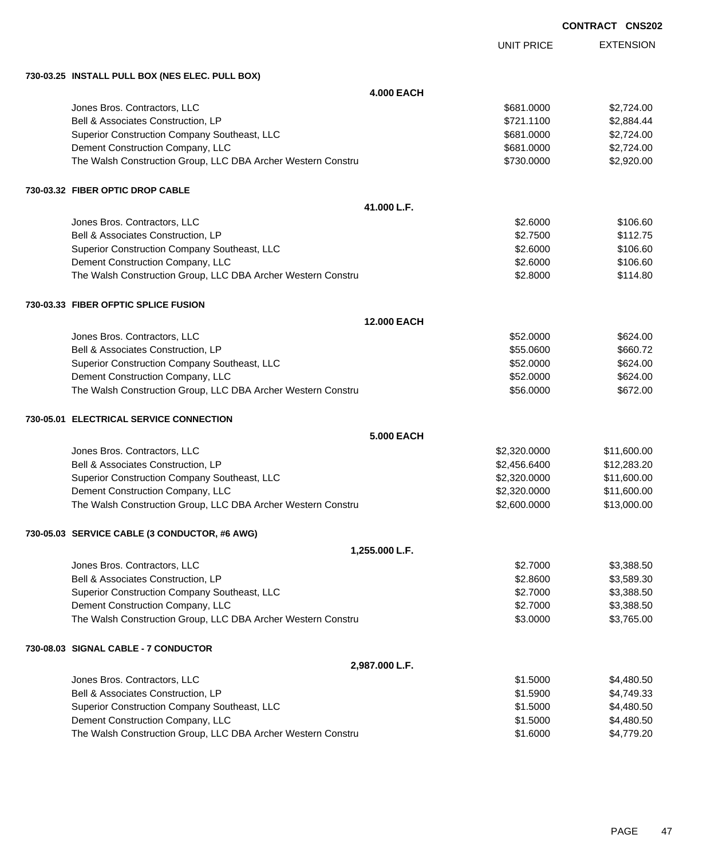|                                                              |                    | UUNIKAUI UNJZI   |
|--------------------------------------------------------------|--------------------|------------------|
|                                                              | <b>UNIT PRICE</b>  | <b>EXTENSION</b> |
| 730-03.25 INSTALL PULL BOX (NES ELEC. PULL BOX)              |                    |                  |
|                                                              | <b>4.000 EACH</b>  |                  |
| Jones Bros. Contractors, LLC                                 | \$681.0000         | \$2,724.00       |
| Bell & Associates Construction, LP                           | \$721.1100         | \$2,884.44       |
| Superior Construction Company Southeast, LLC                 | \$681.0000         | \$2,724.00       |
| Dement Construction Company, LLC                             | \$681.0000         | \$2,724.00       |
| The Walsh Construction Group, LLC DBA Archer Western Constru | \$730.0000         | \$2,920.00       |
| 730-03.32 FIBER OPTIC DROP CABLE                             |                    |                  |
|                                                              | 41.000 L.F.        |                  |
| Jones Bros. Contractors, LLC                                 | \$2.6000           | \$106.60         |
| Bell & Associates Construction, LP                           | \$2.7500           | \$112.75         |
| Superior Construction Company Southeast, LLC                 | \$2.6000           | \$106.60         |
| Dement Construction Company, LLC                             | \$2.6000           | \$106.60         |
| The Walsh Construction Group, LLC DBA Archer Western Constru | \$2.8000           | \$114.80         |
| 730-03.33 FIBER OFPTIC SPLICE FUSION                         |                    |                  |
|                                                              | <b>12.000 EACH</b> |                  |
| Jones Bros. Contractors, LLC                                 | \$52.0000          | \$624.00         |
| Bell & Associates Construction, LP                           | \$55.0600          | \$660.72         |
| Superior Construction Company Southeast, LLC                 | \$52.0000          | \$624.00         |
| Dement Construction Company, LLC                             | \$52.0000          | \$624.00         |
| The Walsh Construction Group, LLC DBA Archer Western Constru | \$56.0000          | \$672.00         |
| 730-05.01 ELECTRICAL SERVICE CONNECTION                      |                    |                  |
|                                                              | <b>5.000 EACH</b>  |                  |
| Jones Bros. Contractors, LLC                                 | \$2,320.0000       | \$11,600.00      |
| Bell & Associates Construction, LP                           | \$2,456.6400       | \$12,283.20      |
| Superior Construction Company Southeast, LLC                 | \$2,320.0000       | \$11,600.00      |
| Dement Construction Company, LLC                             | \$2,320.0000       | \$11,600.00      |
| The Walsh Construction Group, LLC DBA Archer Western Constru | \$2,600.0000       | \$13,000.00      |
| 730-05.03 SERVICE CABLE (3 CONDUCTOR, #6 AWG)                |                    |                  |
| 1,255.000 L.F.                                               |                    |                  |
| Jones Bros. Contractors, LLC                                 | \$2.7000           | \$3,388.50       |
| Bell & Associates Construction, LP                           | \$2.8600           | \$3,589.30       |
| Superior Construction Company Southeast, LLC                 | \$2.7000           | \$3,388.50       |
| Dement Construction Company, LLC                             | \$2.7000           | \$3,388.50       |
| The Walsh Construction Group, LLC DBA Archer Western Constru | \$3.0000           | \$3,765.00       |
| 730-08.03 SIGNAL CABLE - 7 CONDUCTOR                         |                    |                  |
| 2,987.000 L.F.                                               |                    |                  |
| Jones Bros. Contractors, LLC                                 | \$1.5000           | \$4,480.50       |
| Bell & Associates Construction, LP                           | \$1.5900           | \$4,749.33       |
| Superior Construction Company Southeast, LLC                 | \$1.5000           | \$4,480.50       |
| Dement Construction Company, LLC                             | \$1.5000           | \$4,480.50       |
| The Walsh Construction Group, LLC DBA Archer Western Constru | \$1.6000           | \$4,779.20       |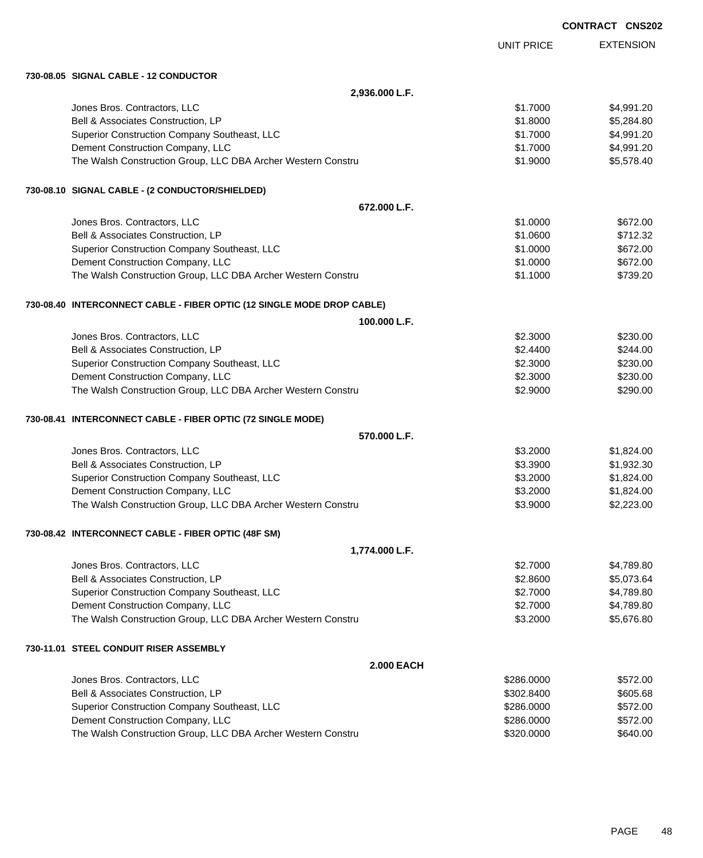|                                                                        |                   | <b>CONTRACT CNS202</b> |
|------------------------------------------------------------------------|-------------------|------------------------|
|                                                                        | <b>UNIT PRICE</b> | <b>EXTENSION</b>       |
| 730-08.05 SIGNAL CABLE - 12 CONDUCTOR                                  |                   |                        |
| 2,936.000 L.F.                                                         |                   |                        |
| Jones Bros. Contractors, LLC                                           | \$1.7000          | \$4,991.20             |
| Bell & Associates Construction, LP                                     | \$1.8000          | \$5,284.80             |
| Superior Construction Company Southeast, LLC                           | \$1,7000          | \$4,991.20             |
| Dement Construction Company, LLC                                       | \$1.7000          | \$4,991.20             |
| The Walsh Construction Group, LLC DBA Archer Western Constru           | \$1.9000          | \$5,578.40             |
| 730-08.10 SIGNAL CABLE - (2 CONDUCTOR/SHIELDED)                        |                   |                        |
| 672.000 L.F.                                                           |                   |                        |
| Jones Bros. Contractors, LLC                                           | \$1.0000          | \$672.00               |
| Bell & Associates Construction, LP                                     | \$1.0600          | \$712.32               |
| Superior Construction Company Southeast, LLC                           | \$1.0000          | \$672.00               |
| Dement Construction Company, LLC                                       | \$1.0000          | \$672.00               |
| The Walsh Construction Group, LLC DBA Archer Western Constru           | \$1.1000          | \$739.20               |
| 730-08.40 INTERCONNECT CABLE - FIBER OPTIC (12 SINGLE MODE DROP CABLE) |                   |                        |
| 100.000 L.F.                                                           |                   |                        |
| Jones Bros. Contractors, LLC                                           | \$2.3000          | \$230.00               |
| Bell & Associates Construction, LP                                     | \$2.4400          | \$244.00               |
| Superior Construction Company Southeast, LLC                           | \$2.3000          | \$230.00               |
| Dement Construction Company, LLC                                       | \$2.3000          | \$230.00               |
| The Walsh Construction Group, LLC DBA Archer Western Constru           | \$2.9000          | \$290.00               |
| 730-08.41 INTERCONNECT CABLE - FIBER OPTIC (72 SINGLE MODE)            |                   |                        |
| 570.000 L.F.                                                           |                   |                        |
| Jones Bros. Contractors, LLC                                           | \$3.2000          | \$1,824.00             |
| Bell & Associates Construction, LP                                     | \$3.3900          | \$1,932.30             |
| Superior Construction Company Southeast, LLC                           | \$3.2000          | \$1,824.00             |
| Dement Construction Company, LLC                                       | \$3.2000          | \$1,824.00             |
| The Walsh Construction Group, LLC DBA Archer Western Constru           | \$3.9000          | \$2,223.00             |
| 730-08.42 INTERCONNECT CABLE - FIBER OPTIC (48F SM)                    |                   |                        |
| 1,774.000 L.F.                                                         |                   |                        |
| Jones Bros. Contractors, LLC                                           | \$2.7000          | \$4,789.80             |
| Bell & Associates Construction, LP                                     | \$2.8600          | \$5,073.64             |
| Superior Construction Company Southeast, LLC                           | \$2.7000          | \$4,789.80             |
| Dement Construction Company, LLC                                       | \$2.7000          | \$4,789.80             |
| The Walsh Construction Group, LLC DBA Archer Western Constru           | \$3.2000          | \$5,676.80             |
| 730-11.01 STEEL CONDUIT RISER ASSEMBLY                                 |                   |                        |
| <b>2.000 EACH</b>                                                      |                   |                        |
| Jones Bros. Contractors, LLC                                           | \$286.0000        | \$572.00               |
| Bell & Associates Construction, LP                                     | \$302.8400        | \$605.68               |
| Superior Construction Company Southeast, LLC                           | \$286.0000        | \$572.00               |
| Dement Construction Company, LLC                                       | \$286.0000        | \$572.00               |
| The Walsh Construction Group, LLC DBA Archer Western Constru           | \$320.0000        | \$640.00               |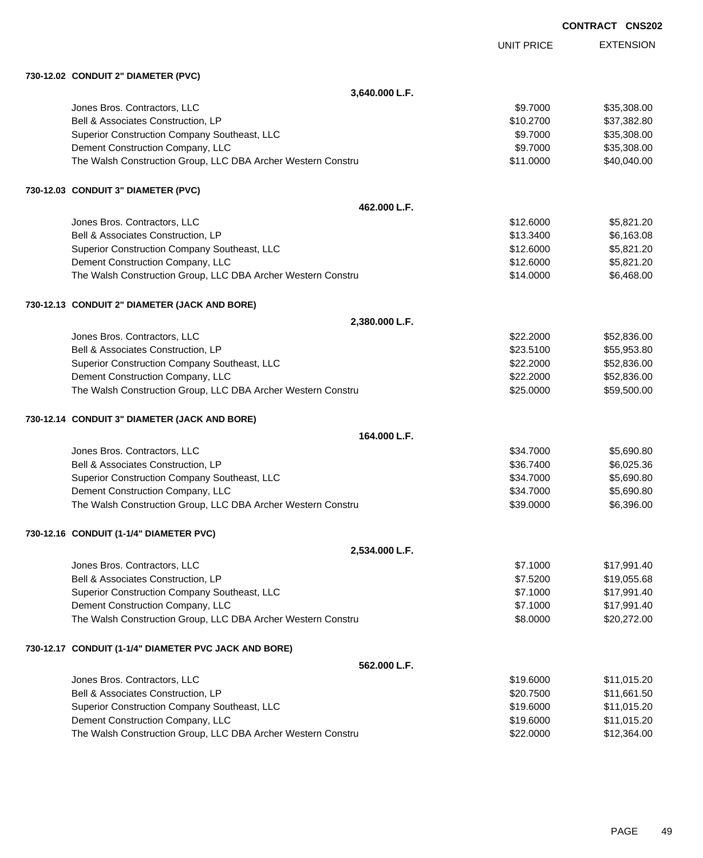|                                                              |                   | <b>CONTRACT CNS202</b> |  |
|--------------------------------------------------------------|-------------------|------------------------|--|
|                                                              | <b>UNIT PRICE</b> | <b>EXTENSION</b>       |  |
| 730-12.02 CONDUIT 2" DIAMETER (PVC)                          |                   |                        |  |
| 3,640.000 L.F.                                               |                   |                        |  |
| Jones Bros. Contractors, LLC                                 | \$9.7000          | \$35,308.00            |  |
| Bell & Associates Construction, LP                           | \$10.2700         | \$37,382.80            |  |
| Superior Construction Company Southeast, LLC                 | \$9.7000          | \$35,308.00            |  |
| Dement Construction Company, LLC                             | \$9.7000          | \$35,308.00            |  |
| The Walsh Construction Group, LLC DBA Archer Western Constru | \$11.0000         | \$40,040.00            |  |
| 730-12.03 CONDUIT 3" DIAMETER (PVC)                          |                   |                        |  |
| 462.000 L.F.                                                 |                   |                        |  |
| Jones Bros. Contractors, LLC                                 | \$12.6000         | \$5,821.20             |  |
| Bell & Associates Construction, LP                           | \$13.3400         | \$6,163.08             |  |
| Superior Construction Company Southeast, LLC                 | \$12,6000         | \$5,821.20             |  |
| Dement Construction Company, LLC                             | \$12.6000         | \$5,821.20             |  |
| The Walsh Construction Group, LLC DBA Archer Western Constru | \$14.0000         | \$6,468.00             |  |
| 730-12.13 CONDUIT 2" DIAMETER (JACK AND BORE)                |                   |                        |  |
| 2,380.000 L.F.                                               |                   |                        |  |
| Jones Bros. Contractors, LLC                                 | \$22,2000         | \$52,836.00            |  |
| Bell & Associates Construction, LP                           | \$23.5100         | \$55,953.80            |  |
| Superior Construction Company Southeast, LLC                 | \$22.2000         | \$52,836.00            |  |
| Dement Construction Company, LLC                             | \$22.2000         | \$52,836.00            |  |
| The Walsh Construction Group, LLC DBA Archer Western Constru | \$25.0000         | \$59,500.00            |  |
| 730-12.14 CONDUIT 3" DIAMETER (JACK AND BORE)                |                   |                        |  |
| 164.000 L.F.                                                 |                   |                        |  |
| Jones Bros. Contractors, LLC                                 | \$34,7000         | \$5,690.80             |  |
| Bell & Associates Construction, LP                           | \$36.7400         | \$6,025.36             |  |
| Superior Construction Company Southeast, LLC                 | \$34.7000         | \$5,690.80             |  |
| Dement Construction Company, LLC                             | \$34.7000         | \$5,690.80             |  |
| The Walsh Construction Group, LLC DBA Archer Western Constru | \$39.0000         | \$6,396.00             |  |
| 730-12.16 CONDUIT (1-1/4" DIAMETER PVC)                      |                   |                        |  |
| 2,534.000 L.F.                                               |                   |                        |  |
| Jones Bros. Contractors, LLC                                 | \$7.1000          | \$17,991.40            |  |
| Bell & Associates Construction, LP                           | \$7.5200          | \$19,055.68            |  |
| Superior Construction Company Southeast, LLC                 | \$7.1000          | \$17,991.40            |  |
| Dement Construction Company, LLC                             | \$7.1000          | \$17,991.40            |  |
| The Walsh Construction Group, LLC DBA Archer Western Constru | \$8.0000          | \$20,272.00            |  |
| 730-12.17 CONDUIT (1-1/4" DIAMETER PVC JACK AND BORE)        |                   |                        |  |
| 562.000 L.F.                                                 |                   |                        |  |
| Jones Bros. Contractors, LLC                                 | \$19.6000         | \$11,015.20            |  |
| Bell & Associates Construction, LP                           | \$20.7500         | \$11,661.50            |  |
| Superior Construction Company Southeast, LLC                 | \$19.6000         | \$11,015.20            |  |
| Dement Construction Company, LLC                             | \$19.6000         | \$11,015.20            |  |
| The Walsh Construction Group, LLC DBA Archer Western Constru | \$22.0000         | \$12,364.00            |  |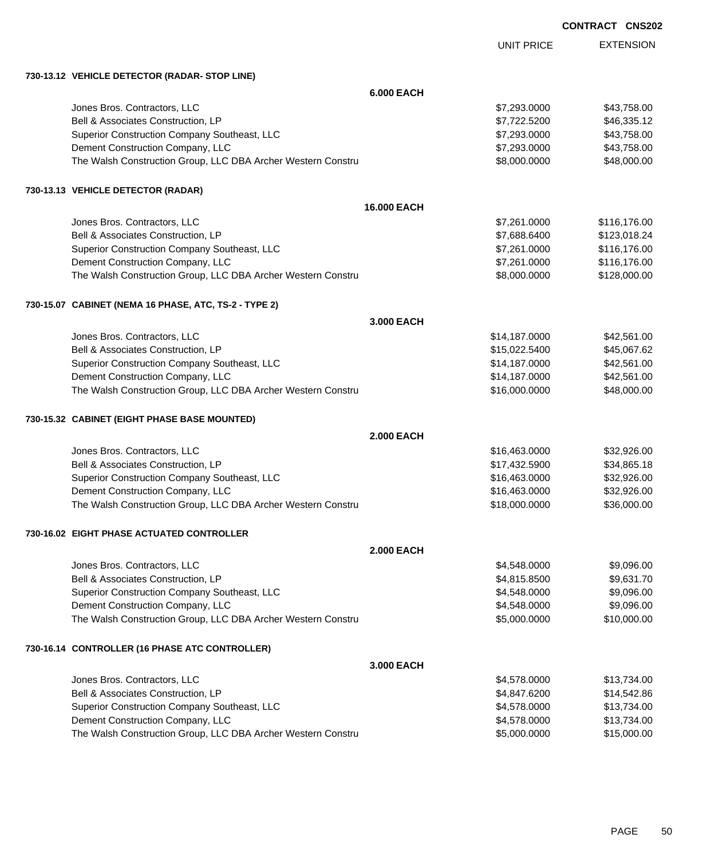| <b>CONTRACT</b> | <b>CNS202</b> |
|-----------------|---------------|
|-----------------|---------------|

|                                                              |                   | UNIT PRICE    | <b>EXTENSION</b> |
|--------------------------------------------------------------|-------------------|---------------|------------------|
| 730-13.12 VEHICLE DETECTOR (RADAR-STOP LINE)                 |                   |               |                  |
|                                                              | <b>6.000 EACH</b> |               |                  |
| Jones Bros. Contractors, LLC                                 |                   | \$7,293.0000  | \$43,758.00      |
| Bell & Associates Construction, LP                           |                   | \$7,722.5200  | \$46,335.12      |
| Superior Construction Company Southeast, LLC                 |                   | \$7,293.0000  | \$43,758.00      |
| Dement Construction Company, LLC                             |                   | \$7,293.0000  | \$43,758.00      |
| The Walsh Construction Group, LLC DBA Archer Western Constru |                   | \$8,000.0000  | \$48,000.00      |
| 730-13.13 VEHICLE DETECTOR (RADAR)                           |                   |               |                  |
|                                                              | 16.000 EACH       |               |                  |
| Jones Bros. Contractors, LLC                                 |                   | \$7,261.0000  | \$116,176.00     |
| Bell & Associates Construction, LP                           |                   | \$7,688.6400  | \$123,018.24     |
| Superior Construction Company Southeast, LLC                 |                   | \$7,261.0000  | \$116,176.00     |
| Dement Construction Company, LLC                             |                   | \$7,261.0000  | \$116,176.00     |
| The Walsh Construction Group, LLC DBA Archer Western Constru |                   | \$8,000.0000  | \$128,000.00     |
| 730-15.07 CABINET (NEMA 16 PHASE, ATC, TS-2 - TYPE 2)        |                   |               |                  |
|                                                              | 3.000 EACH        |               |                  |
| Jones Bros. Contractors, LLC                                 |                   | \$14,187.0000 | \$42,561.00      |
| Bell & Associates Construction, LP                           |                   | \$15,022.5400 | \$45,067.62      |
| Superior Construction Company Southeast, LLC                 |                   | \$14,187.0000 | \$42,561.00      |
| Dement Construction Company, LLC                             |                   | \$14,187.0000 | \$42,561.00      |
| The Walsh Construction Group, LLC DBA Archer Western Constru |                   | \$16,000.0000 | \$48,000.00      |
| 730-15.32 CABINET (EIGHT PHASE BASE MOUNTED)                 |                   |               |                  |
|                                                              | <b>2.000 EACH</b> |               |                  |
| Jones Bros. Contractors, LLC                                 |                   | \$16,463.0000 | \$32,926.00      |
| Bell & Associates Construction, LP                           |                   | \$17,432.5900 | \$34,865.18      |
| Superior Construction Company Southeast, LLC                 |                   | \$16,463.0000 | \$32,926.00      |
| Dement Construction Company, LLC                             |                   | \$16,463.0000 | \$32,926.00      |
| The Walsh Construction Group, LLC DBA Archer Western Constru |                   | \$18,000.0000 | \$36,000.00      |
| 730-16.02 EIGHT PHASE ACTUATED CONTROLLER                    |                   |               |                  |
|                                                              | <b>2.000 EACH</b> |               |                  |
| Jones Bros. Contractors, LLC                                 |                   | \$4,548.0000  | \$9,096.00       |
| Bell & Associates Construction, LP                           |                   | \$4,815.8500  | \$9,631.70       |
| Superior Construction Company Southeast, LLC                 |                   | \$4,548.0000  | \$9,096.00       |
| Dement Construction Company, LLC                             |                   | \$4,548.0000  | \$9,096.00       |
| The Walsh Construction Group, LLC DBA Archer Western Constru |                   | \$5,000.0000  | \$10,000.00      |
| 730-16.14 CONTROLLER (16 PHASE ATC CONTROLLER)               |                   |               |                  |
|                                                              | 3,000 EACH        |               |                  |
| Jones Bros. Contractors, LLC                                 |                   | \$4,578.0000  | \$13,734.00      |
| Bell & Associates Construction, LP                           |                   | \$4,847.6200  | \$14,542.86      |
| Superior Construction Company Southeast, LLC                 |                   | \$4,578.0000  | \$13,734.00      |
| Dement Construction Company, LLC                             |                   | \$4,578.0000  | \$13,734.00      |
| The Walsh Construction Group, LLC DBA Archer Western Constru |                   | \$5,000.0000  | \$15,000.00      |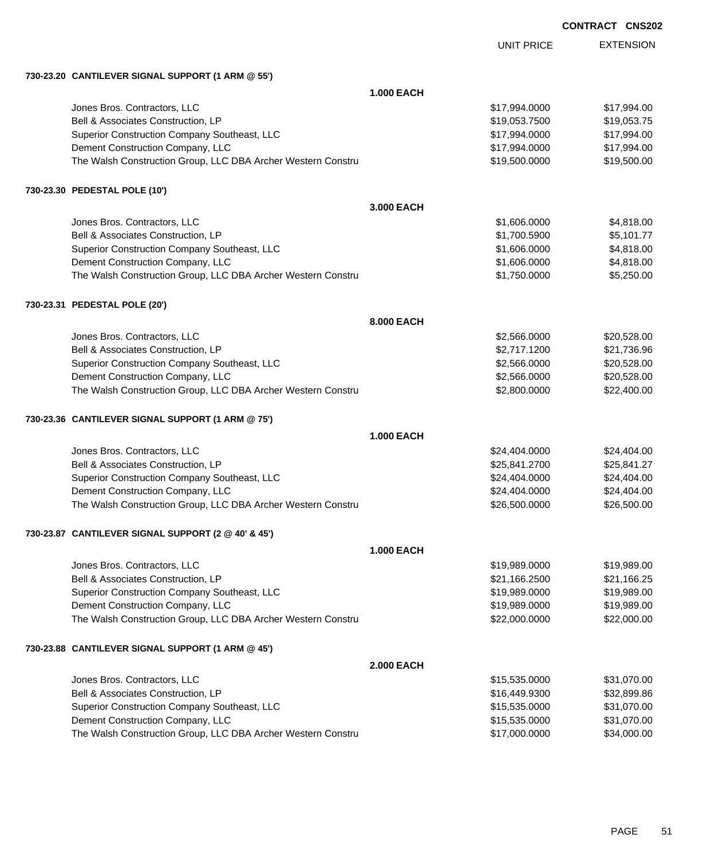EXTENSION UNIT PRICE **730-23.20 CANTILEVER SIGNAL SUPPORT (1 ARM @ 55') 1.000 EACH** Jones Bros. Contractors, LLC \$17,994.0000 \$17,994.00 Bell & Associates Construction, LP **\$19,053.7500** \$19,053.7500 \$19,053.7500 Superior Construction Company Southeast, LLC  $$17,994.000$   $$17,994.000$ Dement Construction Company, LLC 6 and the construction Company, LLC 6 and the construction Company, LLC 6 and the construction of  $$17,994.000$ The Walsh Construction Group, LLC DBA Archer Western Constru \$19,500.000 \$19,500.000 \$19,500.00 **730-23.30 PEDESTAL POLE (10') 3.000 EACH** Jones Bros. Contractors, LLC \$1,606.0000 \$4,818.00 Bell & Associates Construction, LP **600 and 100 and 100 and 100 and 100 and 100 and 100 and 100 and 100 and 100** Superior Construction Company Southeast, LLC  $$1,606.0000$   $$4,818.00$ Dement Construction Company, LLC 60000 \$4,818.00 The Walsh Construction Group, LLC DBA Archer Western Constru \$1,750.0000 \$5,250.00 **730-23.31 PEDESTAL POLE (20') 8.000 EACH** Jones Bros. Contractors, LLC \$2,566.0000 \$20,528.00 Bell & Associates Construction, LP 621,736.96 Superior Construction Company Southeast, LLC  $$2,566.0000$  \$20,528.00 Dement Construction Company, LLC 6.666.0000 \$20,528.00 The Walsh Construction Group, LLC DBA Archer Western Constru **\$2,800.000 \$22,800.000 \$22,400.00 730-23.36 CANTILEVER SIGNAL SUPPORT (1 ARM @ 75') 1.000 EACH** Jones Bros. Contractors, LLC \$24,404.0000 \$24,404.00 Bell & Associates Construction, LP 625,841.2700 \$25,841.2700 \$25,841.2700 Superior Construction Company Southeast, LLC  $$24,404.000$   $$24,404.000$ Dement Construction Company, LLC 6. The construction Company, LLC 6. The construction Company, LLC 6. The construction Company, LLC 6. The construction Company, LLC 6. The construction Company, LLC 6. The construction Comp The Walsh Construction Group, LLC DBA Archer Western Constru \$26,500.000 \$26,500.000 \$26,500.00 **730-23.87 CANTILEVER SIGNAL SUPPORT (2 @ 40' & 45') 1.000 EACH** Jones Bros. Contractors, LLC \$19,989.0000 \$19,989.00 Bell & Associates Construction, LP 66.2500 \$21,166.2500 \$21,166.2500 \$21,166.2500 Superior Construction Company Southeast, LLC  $$19,989.000$  \$19,989.000 \$19,989.00 Dement Construction Company, LLC 6 and the state of the state of the state  $$19,989.0000$  \$19,989.000 The Walsh Construction Group, LLC DBA Archer Western Constru \$22,000.000 \$22,000.000 \$22,000.00 **730-23.88 CANTILEVER SIGNAL SUPPORT (1 ARM @ 45') 2.000 EACH** Jones Bros. Contractors, LLC \$15,535.0000 \$31,070.00 Bell & Associates Construction, LP **\$16,449.9300** \$32,899.86 Superior Construction Company Southeast, LLC  $$15,535.0000$  \$31,070.00 Dement Construction Company, LLC 6. The state of the state of the state of the state  $$15,535.0000$  \$31,070.00 The Walsh Construction Group, LLC DBA Archer Western Constru \$17,000.0000 \$34,000.00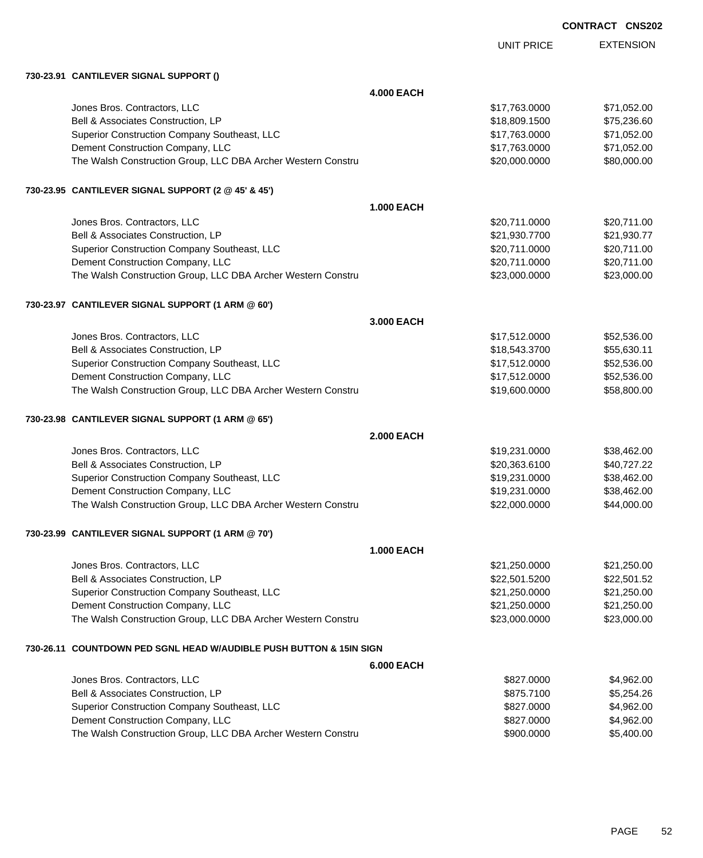| <b>CONTRACT CNS202</b> |  |
|------------------------|--|
|------------------------|--|

|                                                                     |                   | <b>UNIT PRICE</b> | <b>EXTENSION</b> |
|---------------------------------------------------------------------|-------------------|-------------------|------------------|
| 730-23.91 CANTILEVER SIGNAL SUPPORT ()                              |                   |                   |                  |
|                                                                     | <b>4.000 EACH</b> |                   |                  |
| Jones Bros. Contractors, LLC                                        |                   | \$17,763.0000     | \$71,052.00      |
| Bell & Associates Construction, LP                                  |                   | \$18,809.1500     | \$75,236.60      |
| Superior Construction Company Southeast, LLC                        |                   | \$17,763.0000     | \$71,052.00      |
| Dement Construction Company, LLC                                    |                   | \$17,763.0000     | \$71,052.00      |
| The Walsh Construction Group, LLC DBA Archer Western Constru        |                   | \$20,000.0000     | \$80,000.00      |
| 730-23.95 CANTILEVER SIGNAL SUPPORT (2 @ 45' & 45')                 |                   |                   |                  |
|                                                                     | <b>1.000 EACH</b> |                   |                  |
| Jones Bros. Contractors, LLC                                        |                   | \$20,711.0000     | \$20,711.00      |
| Bell & Associates Construction, LP                                  |                   | \$21,930.7700     | \$21,930.77      |
| Superior Construction Company Southeast, LLC                        |                   | \$20,711.0000     | \$20,711.00      |
| Dement Construction Company, LLC                                    |                   | \$20,711.0000     | \$20,711.00      |
| The Walsh Construction Group, LLC DBA Archer Western Constru        |                   | \$23,000.0000     | \$23,000.00      |
| 730-23.97 CANTILEVER SIGNAL SUPPORT (1 ARM @ 60')                   |                   |                   |                  |
|                                                                     | 3.000 EACH        |                   |                  |
| Jones Bros. Contractors, LLC                                        |                   | \$17,512.0000     | \$52,536.00      |
| Bell & Associates Construction, LP                                  |                   | \$18,543.3700     | \$55,630.11      |
| Superior Construction Company Southeast, LLC                        |                   | \$17,512.0000     | \$52,536.00      |
| Dement Construction Company, LLC                                    |                   | \$17,512.0000     | \$52,536.00      |
| The Walsh Construction Group, LLC DBA Archer Western Constru        |                   | \$19,600.0000     | \$58,800.00      |
| 730-23.98 CANTILEVER SIGNAL SUPPORT (1 ARM @ 65')                   |                   |                   |                  |
|                                                                     | <b>2.000 EACH</b> |                   |                  |
| Jones Bros. Contractors, LLC                                        |                   | \$19,231.0000     | \$38,462.00      |
| Bell & Associates Construction, LP                                  |                   | \$20,363.6100     | \$40,727.22      |
| Superior Construction Company Southeast, LLC                        |                   | \$19,231.0000     | \$38,462.00      |
| Dement Construction Company, LLC                                    |                   | \$19,231.0000     | \$38,462.00      |
| The Walsh Construction Group, LLC DBA Archer Western Constru        |                   | \$22,000.0000     | \$44,000.00      |
| 730-23.99 CANTILEVER SIGNAL SUPPORT (1 ARM @ 70')                   |                   |                   |                  |
|                                                                     | <b>1.000 EACH</b> |                   |                  |
| Jones Bros. Contractors, LLC                                        |                   | \$21,250.0000     | \$21,250.00      |
| Bell & Associates Construction, LP                                  |                   | \$22,501.5200     | \$22,501.52      |
| Superior Construction Company Southeast, LLC                        |                   | \$21,250.0000     | \$21,250.00      |
| Dement Construction Company, LLC                                    |                   | \$21,250.0000     | \$21,250.00      |
| The Walsh Construction Group, LLC DBA Archer Western Constru        |                   | \$23,000.0000     | \$23,000.00      |
| 730-26.11 COUNTDOWN PED SGNL HEAD W/AUDIBLE PUSH BUTTON & 15IN SIGN |                   |                   |                  |
|                                                                     | <b>6.000 EACH</b> |                   |                  |
| Jones Bros. Contractors, LLC                                        |                   | \$827.0000        | \$4,962.00       |
| Bell & Associates Construction, LP                                  |                   | \$875.7100        | \$5,254.26       |
| Superior Construction Company Southeast, LLC                        |                   | \$827.0000        | \$4,962.00       |
| Dement Construction Company, LLC                                    |                   | \$827.0000        | \$4,962.00       |
| The Walsh Construction Group, LLC DBA Archer Western Constru        |                   | \$900.0000        | \$5,400.00       |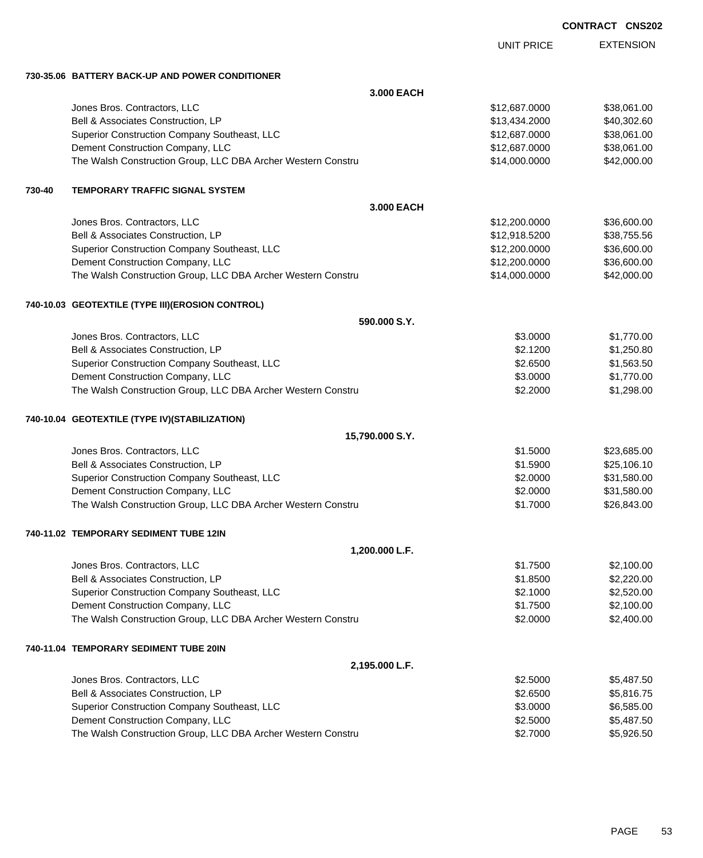| <b>CONTRACT</b> | <b>CNS202</b> |
|-----------------|---------------|
|-----------------|---------------|

|        |                                                              | <b>UNIT PRICE</b> | <b>EXTENSION</b> |
|--------|--------------------------------------------------------------|-------------------|------------------|
|        | 730-35.06 BATTERY BACK-UP AND POWER CONDITIONER              |                   |                  |
|        | 3.000 EACH                                                   |                   |                  |
|        | Jones Bros. Contractors, LLC                                 | \$12,687.0000     | \$38,061.00      |
|        | Bell & Associates Construction, LP                           | \$13,434.2000     | \$40,302.60      |
|        | Superior Construction Company Southeast, LLC                 | \$12,687.0000     | \$38,061.00      |
|        | Dement Construction Company, LLC                             | \$12,687.0000     | \$38,061.00      |
|        | The Walsh Construction Group, LLC DBA Archer Western Constru | \$14,000.0000     | \$42,000.00      |
| 730-40 | <b>TEMPORARY TRAFFIC SIGNAL SYSTEM</b>                       |                   |                  |
|        | 3.000 EACH                                                   |                   |                  |
|        | Jones Bros. Contractors, LLC                                 | \$12,200.0000     | \$36,600.00      |
|        | Bell & Associates Construction, LP                           | \$12,918.5200     | \$38,755.56      |
|        | Superior Construction Company Southeast, LLC                 | \$12,200.0000     | \$36,600.00      |
|        | Dement Construction Company, LLC                             | \$12,200.0000     | \$36,600.00      |
|        | The Walsh Construction Group, LLC DBA Archer Western Constru | \$14,000.0000     | \$42,000.00      |
|        | 740-10.03 GEOTEXTILE (TYPE III) (EROSION CONTROL)            |                   |                  |
|        | 590,000 S.Y.                                                 |                   |                  |
|        | Jones Bros. Contractors, LLC                                 | \$3,0000          | \$1,770.00       |
|        | Bell & Associates Construction, LP                           | \$2.1200          | \$1,250.80       |
|        | Superior Construction Company Southeast, LLC                 | \$2.6500          | \$1,563.50       |
|        | Dement Construction Company, LLC                             | \$3.0000          | \$1,770.00       |
|        | The Walsh Construction Group, LLC DBA Archer Western Constru | \$2.2000          | \$1,298.00       |
|        | 740-10.04 GEOTEXTILE (TYPE IV)(STABILIZATION)                |                   |                  |
|        | 15,790.000 S.Y.                                              |                   |                  |
|        | Jones Bros. Contractors, LLC                                 | \$1.5000          | \$23,685.00      |
|        | Bell & Associates Construction, LP                           | \$1.5900          | \$25,106.10      |
|        | Superior Construction Company Southeast, LLC                 | \$2.0000          | \$31,580.00      |
|        | Dement Construction Company, LLC                             | \$2.0000          | \$31,580.00      |
|        | The Walsh Construction Group, LLC DBA Archer Western Constru | \$1.7000          | \$26,843.00      |
|        | 740-11.02 TEMPORARY SEDIMENT TUBE 12IN                       |                   |                  |
|        | 1,200.000 L.F.                                               |                   |                  |
|        | Jones Bros. Contractors, LLC                                 | \$1.7500          | \$2,100.00       |
|        | Bell & Associates Construction, LP                           | \$1.8500          | \$2,220.00       |
|        | Superior Construction Company Southeast, LLC                 | \$2.1000          | \$2,520.00       |
|        | Dement Construction Company, LLC                             | \$1.7500          | \$2,100.00       |
|        | The Walsh Construction Group, LLC DBA Archer Western Constru | \$2.0000          | \$2,400.00       |
|        | 740-11.04 TEMPORARY SEDIMENT TUBE 20IN                       |                   |                  |
|        | 2,195.000 L.F.                                               |                   |                  |
|        | Jones Bros. Contractors, LLC                                 | \$2.5000          | \$5,487.50       |
|        | Bell & Associates Construction, LP                           | \$2.6500          | \$5,816.75       |
|        | Superior Construction Company Southeast, LLC                 | \$3.0000          | \$6,585.00       |
|        | Dement Construction Company, LLC                             | \$2.5000          | \$5,487.50       |
|        | The Walsh Construction Group, LLC DBA Archer Western Constru | \$2.7000          | \$5,926.50       |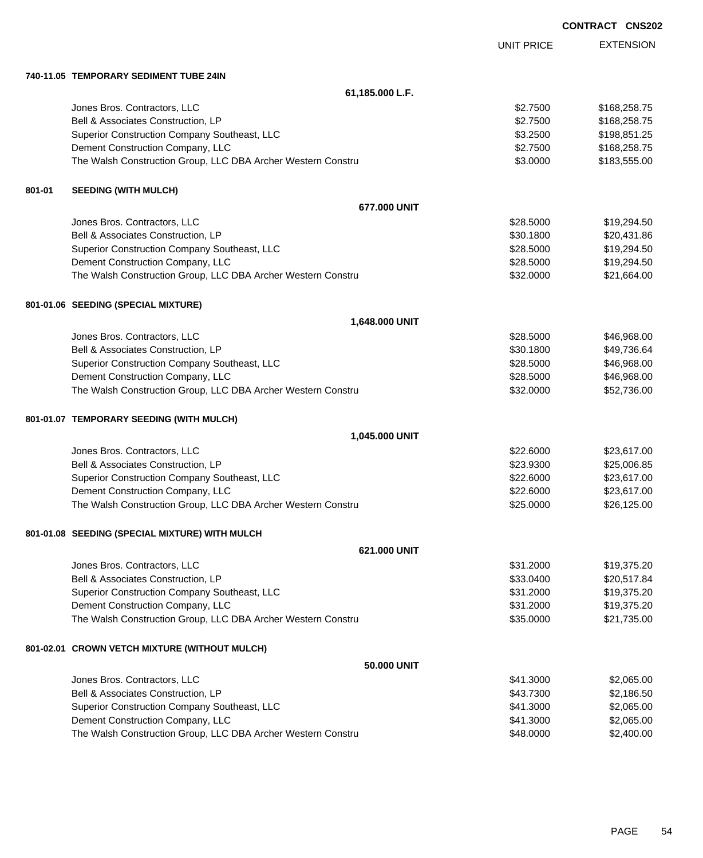|        |                                                              |                   | <b>CONTRACT CNS202</b> |                  |
|--------|--------------------------------------------------------------|-------------------|------------------------|------------------|
|        |                                                              | <b>UNIT PRICE</b> |                        | <b>EXTENSION</b> |
|        | 740-11.05 TEMPORARY SEDIMENT TUBE 24IN                       |                   |                        |                  |
|        | 61,185.000 L.F.                                              |                   |                        |                  |
|        | Jones Bros. Contractors, LLC                                 | \$2.7500          |                        | \$168,258.75     |
|        | Bell & Associates Construction, LP                           | \$2.7500          |                        | \$168,258.75     |
|        | Superior Construction Company Southeast, LLC                 | \$3.2500          |                        | \$198,851.25     |
|        | Dement Construction Company, LLC                             | \$2.7500          |                        | \$168,258.75     |
|        | The Walsh Construction Group, LLC DBA Archer Western Constru | \$3.0000          |                        | \$183,555.00     |
| 801-01 | <b>SEEDING (WITH MULCH)</b>                                  |                   |                        |                  |
|        | 677.000 UNIT                                                 |                   |                        |                  |
|        | Jones Bros. Contractors, LLC                                 | \$28.5000         |                        | \$19,294.50      |
|        | Bell & Associates Construction, LP                           | \$30.1800         |                        | \$20,431.86      |
|        | Superior Construction Company Southeast, LLC                 | \$28,5000         |                        | \$19,294.50      |
|        | Dement Construction Company, LLC                             | \$28.5000         |                        | \$19,294.50      |
|        | The Walsh Construction Group, LLC DBA Archer Western Constru | \$32.0000         |                        | \$21,664.00      |
|        | 801-01.06 SEEDING (SPECIAL MIXTURE)                          |                   |                        |                  |
|        | 1,648.000 UNIT                                               |                   |                        |                  |
|        | Jones Bros. Contractors, LLC                                 | \$28.5000         |                        | \$46,968.00      |
|        | Bell & Associates Construction, LP                           | \$30.1800         |                        | \$49,736.64      |
|        | Superior Construction Company Southeast, LLC                 | \$28.5000         |                        | \$46,968.00      |
|        | Dement Construction Company, LLC                             | \$28.5000         |                        | \$46,968.00      |
|        | The Walsh Construction Group, LLC DBA Archer Western Constru | \$32.0000         |                        | \$52,736.00      |
|        | 801-01.07 TEMPORARY SEEDING (WITH MULCH)                     |                   |                        |                  |
|        | 1,045.000 UNIT                                               |                   |                        |                  |
|        | Jones Bros. Contractors, LLC                                 | \$22.6000         |                        | \$23,617.00      |
|        | Bell & Associates Construction, LP                           | \$23.9300         |                        | \$25,006.85      |
|        | Superior Construction Company Southeast, LLC                 | \$22.6000         |                        | \$23,617.00      |
|        | Dement Construction Company, LLC                             | \$22.6000         |                        | \$23,617.00      |
|        | The Walsh Construction Group, LLC DBA Archer Western Constru | \$25.0000         |                        | \$26,125.00      |
|        | 801-01.08 SEEDING (SPECIAL MIXTURE) WITH MULCH               |                   |                        |                  |
|        | 621.000 UNIT                                                 |                   |                        |                  |
|        | Jones Bros. Contractors, LLC                                 | \$31.2000         |                        | \$19,375.20      |
|        | Bell & Associates Construction, LP                           | \$33.0400         |                        | \$20,517.84      |
|        | Superior Construction Company Southeast, LLC                 | \$31.2000         |                        | \$19,375.20      |
|        | Dement Construction Company, LLC                             | \$31.2000         |                        | \$19,375.20      |
|        | The Walsh Construction Group, LLC DBA Archer Western Constru | \$35.0000         |                        | \$21,735.00      |
|        | 801-02.01 CROWN VETCH MIXTURE (WITHOUT MULCH)                |                   |                        |                  |
|        | 50.000 UNIT                                                  |                   |                        |                  |
|        | Jones Bros. Contractors, LLC                                 | \$41.3000         |                        | \$2,065.00       |
|        | Bell & Associates Construction, LP                           | \$43.7300         |                        | \$2,186.50       |
|        | Superior Construction Company Southeast, LLC                 | \$41.3000         |                        | \$2,065.00       |
|        | Dement Construction Company, LLC                             | \$41.3000         |                        | \$2,065.00       |
|        | The Walsh Construction Group, LLC DBA Archer Western Constru | \$48.0000         |                        | \$2,400.00       |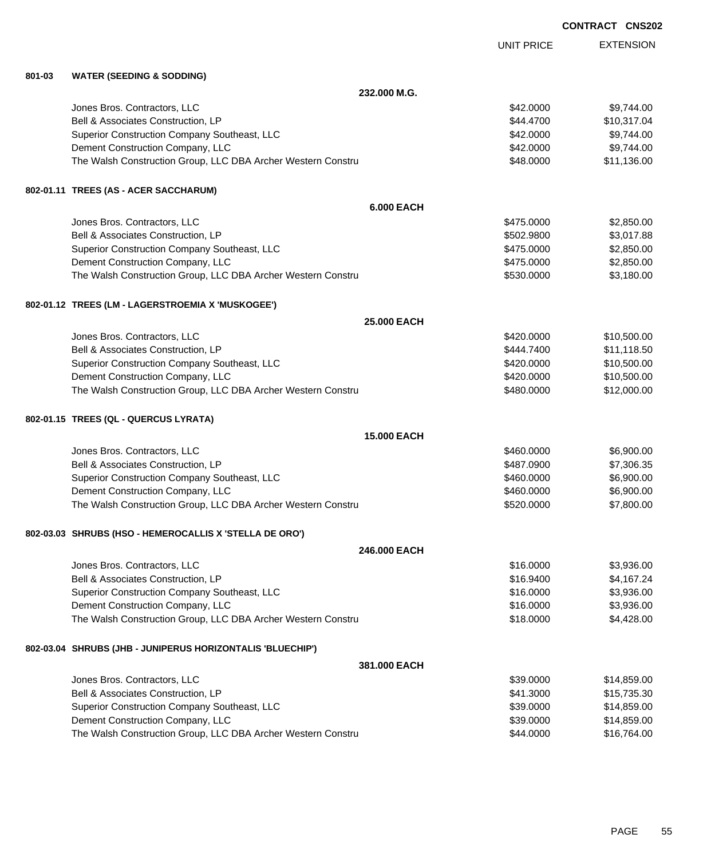|        |                                                              |                   | <b>CONTRACT CNS202</b> |
|--------|--------------------------------------------------------------|-------------------|------------------------|
|        |                                                              | <b>UNIT PRICE</b> | <b>EXTENSION</b>       |
| 801-03 | <b>WATER (SEEDING &amp; SODDING)</b>                         |                   |                        |
|        | 232,000 M.G.                                                 |                   |                        |
|        | Jones Bros. Contractors, LLC                                 | \$42.0000         | \$9,744.00             |
|        | Bell & Associates Construction, LP                           | \$44.4700         | \$10,317.04            |
|        | Superior Construction Company Southeast, LLC                 | \$42.0000         | \$9,744.00             |
|        | Dement Construction Company, LLC                             | \$42.0000         | \$9,744.00             |
|        | The Walsh Construction Group, LLC DBA Archer Western Constru | \$48.0000         | \$11,136.00            |
|        | 802-01.11 TREES (AS - ACER SACCHARUM)                        |                   |                        |
|        | <b>6.000 EACH</b>                                            |                   |                        |
|        | Jones Bros. Contractors, LLC                                 | \$475.0000        | \$2,850.00             |
|        | Bell & Associates Construction, LP                           | \$502.9800        | \$3,017.88             |
|        | Superior Construction Company Southeast, LLC                 | \$475.0000        | \$2,850.00             |
|        | Dement Construction Company, LLC                             | \$475.0000        | \$2,850.00             |
|        | The Walsh Construction Group, LLC DBA Archer Western Constru | \$530.0000        | \$3,180.00             |
|        | 802-01.12 TREES (LM - LAGERSTROEMIA X 'MUSKOGEE')            |                   |                        |
|        | 25,000 EACH                                                  |                   |                        |
|        | Jones Bros. Contractors, LLC                                 | \$420.0000        | \$10,500.00            |
|        | Bell & Associates Construction, LP                           | \$444.7400        | \$11,118.50            |
|        | Superior Construction Company Southeast, LLC                 | \$420.0000        | \$10,500.00            |
|        | Dement Construction Company, LLC                             | \$420.0000        | \$10,500.00            |
|        | The Walsh Construction Group, LLC DBA Archer Western Constru | \$480.0000        | \$12,000.00            |
|        | 802-01.15 TREES (QL - QUERCUS LYRATA)                        |                   |                        |
|        | 15.000 EACH                                                  |                   |                        |
|        | Jones Bros. Contractors, LLC                                 | \$460.0000        | \$6,900.00             |
|        | Bell & Associates Construction, LP                           | \$487.0900        | \$7,306.35             |
|        | Superior Construction Company Southeast, LLC                 | \$460.0000        | \$6,900.00             |
|        | Dement Construction Company, LLC                             | \$460.0000        | \$6,900.00             |
|        | The Walsh Construction Group, LLC DBA Archer Western Constru | \$520.0000        | \$7,800.00             |
|        | 802-03.03 SHRUBS (HSO - HEMEROCALLIS X 'STELLA DE ORO')      |                   |                        |
|        | 246.000 EACH                                                 |                   |                        |
|        | Jones Bros. Contractors, LLC                                 | \$16.0000         | \$3,936.00             |
|        | Bell & Associates Construction, LP                           | \$16.9400         | \$4,167.24             |
|        | Superior Construction Company Southeast, LLC                 | \$16.0000         | \$3,936.00             |
|        | Dement Construction Company, LLC                             | \$16.0000         | \$3,936.00             |
|        | The Walsh Construction Group, LLC DBA Archer Western Constru | \$18.0000         | \$4,428.00             |
|        | 802-03.04 SHRUBS (JHB - JUNIPERUS HORIZONTALIS 'BLUECHIP')   |                   |                        |
|        | 381.000 EACH                                                 |                   |                        |
|        | Jones Bros. Contractors, LLC                                 | \$39.0000         | \$14,859.00            |
|        | Bell & Associates Construction, LP                           | \$41.3000         | \$15,735.30            |
|        | Superior Construction Company Southeast, LLC                 | \$39.0000         | \$14,859.00            |
|        | Dement Construction Company, LLC                             | \$39.0000         | \$14,859.00            |

The Walsh Construction Group, LLC DBA Archer Western Constru **\$44.0000** \$44.0000 \$16,764.00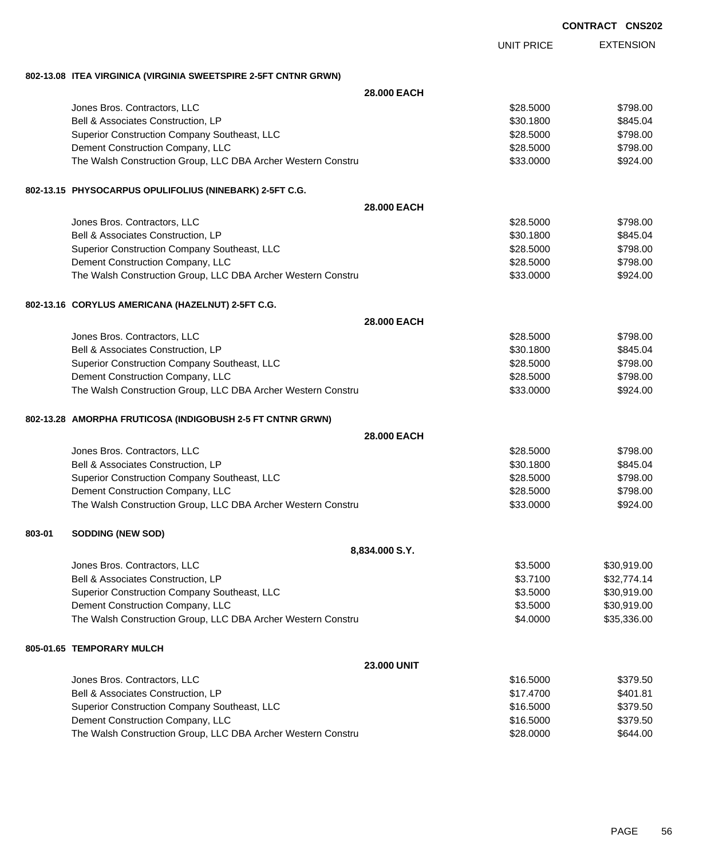| <b>CONTRACT CNS202</b> |  |
|------------------------|--|
|------------------------|--|

EXTENSION UNIT PRICE **802-13.08 ITEA VIRGINICA (VIRGINIA SWEETSPIRE 2-5FT CNTNR GRWN) 28.000 EACH** Jones Bros. Contractors, LLC 6. 2008. The state of the state of the state of the state of the state of the state of the state of the state of the state of the state of the state of the state of the state of the state of th Bell & Associates Construction, LP 6845.04 Superior Construction Company Southeast, LLC  $$28.5000$  \$798.00 Dement Construction Company, LLC 6 and the state of the state of the state of the state of the state of the state of the state of the state of the state of the state of the state of the state of the state of the state of t The Walsh Construction Group, LLC DBA Archer Western Constru \$33.0000 \$924.00 **802-13.15 PHYSOCARPUS OPULIFOLIUS (NINEBARK) 2-5FT C.G. 28.000 EACH** Jones Bros. Contractors, LLC 6. 2000 \$798.00 Bell & Associates Construction, LP 6845.04 Superior Construction Company Southeast, LLC  $$28.5000$  \$798.00 Dement Construction Company, LLC 6 and the state of the state of the state of the state of the state of the state of the state of the state of the state of the state of the state of the state of the state of the state of t The Walsh Construction Group, LLC DBA Archer Western Constru **\$32.000 \$924.00** \$924.00 **802-13.16 CORYLUS AMERICANA (HAZELNUT) 2-5FT C.G. 28.000 EACH** Jones Bros. Contractors, LLC 6. 2008. The state of the state of the state of the state of the state of the state of the state of the state of the state of the state of the state of the state of the state of the state of th Bell & Associates Construction, LP 6845.04 Superior Construction Company Southeast, LLC \$28.5000 \$798.00 Dement Construction Company, LLC **but a set of the set of the set of the set of the set of the set of the set of the set of the set of the set of the set of the set of the set of the set of the set of the set of the set of** The Walsh Construction Group, LLC DBA Archer Western Constru **\$38.000 \$924.00** \$924.00 **802-13.28 AMORPHA FRUTICOSA (INDIGOBUSH 2-5 FT CNTNR GRWN) 28.000 EACH** Jones Bros. Contractors, LLC 6. 2008. The state of the state of the state of the state of the state of the state of the state of the state of the state of the state of the state of the state of the state of the state of th Bell & Associates Construction, LP 6845.04 Superior Construction Company Southeast, LLC  $$28.5000$  \$798.00 Dement Construction Company, LLC 6 and the construction Company, LLC 6 and the construction Company, LLC The Walsh Construction Group, LLC DBA Archer Western Constru **\$32.000 \$924.00** \$924.00 **803-01 SODDING (NEW SOD) 8,834.000 S.Y.** Jones Bros. Contractors, LLC \$3.5000 \$30,919.00

| \$3.7100 | \$32,774.14 |
|----------|-------------|
| \$3.5000 | \$30,919,00 |
| \$3.5000 | \$30,919,00 |
| \$4,0000 | \$35,336,00 |
|          |             |

#### **805-01.65 TEMPORARY MULCH**

| <b>23,000 UNIT</b>                                           |           |          |
|--------------------------------------------------------------|-----------|----------|
| Jones Bros. Contractors, LLC                                 | \$16,5000 | \$379.50 |
| Bell & Associates Construction, LP                           | \$17,4700 | \$401.81 |
| Superior Construction Company Southeast, LLC                 | \$16,5000 | \$379.50 |
| Dement Construction Company, LLC                             | \$16,5000 | \$379.50 |
| The Walsh Construction Group, LLC DBA Archer Western Constru | \$28,0000 | \$644.00 |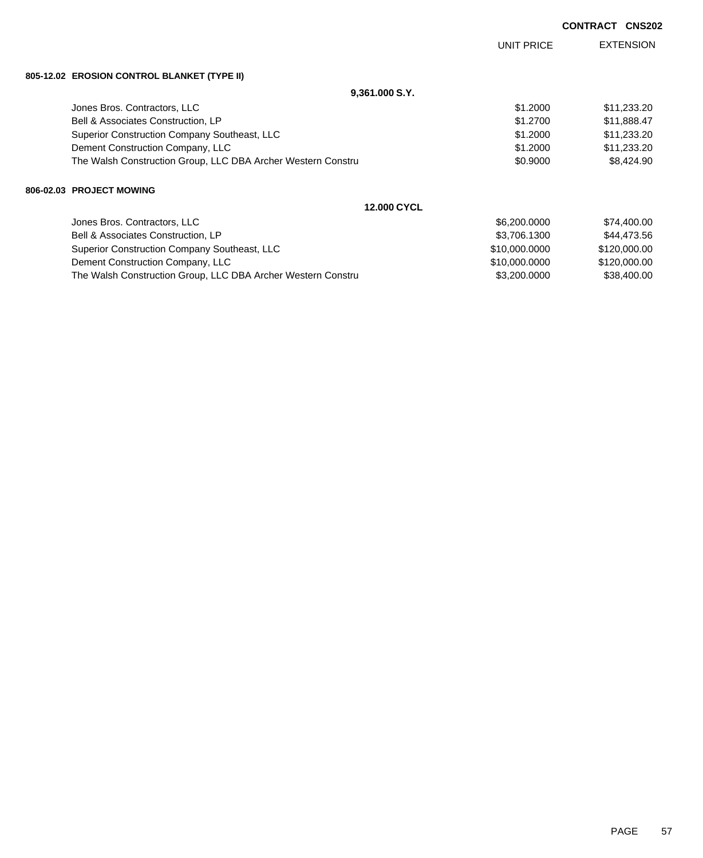|                                                              |               | <b>CONTRACT</b> | <b>CNS202</b>    |
|--------------------------------------------------------------|---------------|-----------------|------------------|
|                                                              | UNIT PRICE    |                 | <b>EXTENSION</b> |
| 805-12.02 EROSION CONTROL BLANKET (TYPE II)                  |               |                 |                  |
| 9,361.000 S.Y.                                               |               |                 |                  |
| Jones Bros. Contractors, LLC                                 | \$1.2000      |                 | \$11,233.20      |
| Bell & Associates Construction, LP                           | \$1,2700      |                 | \$11,888.47      |
| Superior Construction Company Southeast, LLC                 | \$1.2000      |                 | \$11,233.20      |
| Dement Construction Company, LLC                             | \$1.2000      |                 | \$11,233.20      |
| The Walsh Construction Group, LLC DBA Archer Western Constru | \$0.9000      |                 | \$8,424.90       |
| 806-02.03 PROJECT MOWING                                     |               |                 |                  |
| <b>12,000 CYCL</b>                                           |               |                 |                  |
| Jones Bros. Contractors, LLC                                 | \$6,200.0000  |                 | \$74,400.00      |
| Bell & Associates Construction, LP                           | \$3,706.1300  |                 | \$44,473.56      |
| Superior Construction Company Southeast, LLC                 | \$10,000.0000 |                 | \$120,000.00     |
| Dement Construction Company, LLC                             | \$10,000.0000 |                 | \$120,000.00     |

The Walsh Construction Group, LLC DBA Archer Western Constru \$3,200.0000 \$38,400.00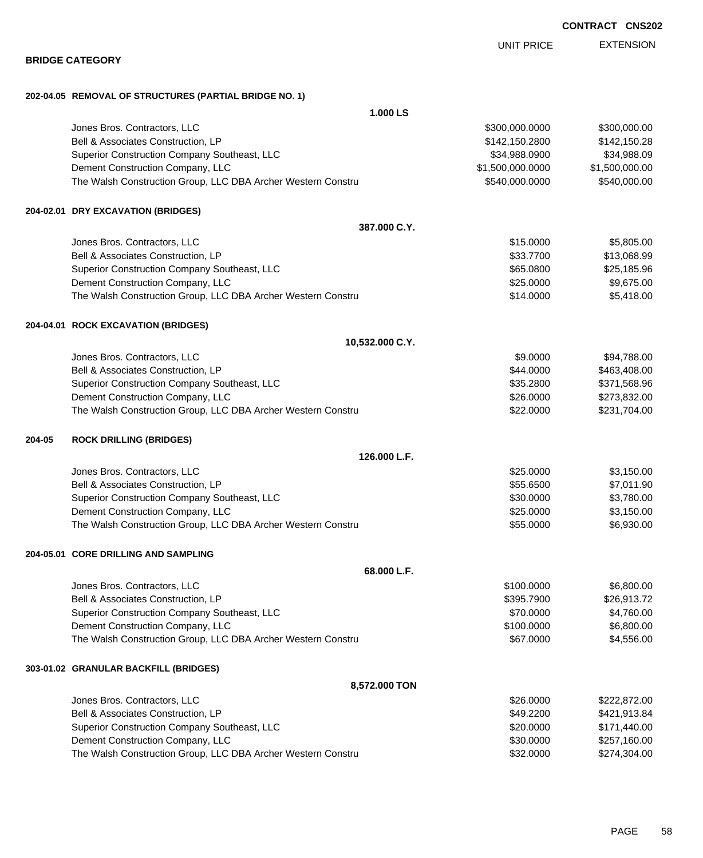EXTENSION UNIT PRICE

|        | 202-04.05 REMOVAL OF STRUCTURES (PARTIAL BRIDGE NO. 1)       |                  |                |
|--------|--------------------------------------------------------------|------------------|----------------|
|        | 1.000 LS                                                     |                  |                |
|        | Jones Bros. Contractors, LLC                                 | \$300,000.0000   | \$300,000.00   |
|        | Bell & Associates Construction, LP                           | \$142,150.2800   | \$142,150.28   |
|        | Superior Construction Company Southeast, LLC                 | \$34,988.0900    | \$34,988.09    |
|        | Dement Construction Company, LLC                             | \$1,500,000.0000 | \$1,500,000.00 |
|        | The Walsh Construction Group, LLC DBA Archer Western Constru | \$540,000.0000   | \$540,000.00   |
|        | 204-02.01 DRY EXCAVATION (BRIDGES)                           |                  |                |
|        | 387.000 C.Y.                                                 |                  |                |
|        | Jones Bros. Contractors, LLC                                 | \$15.0000        | \$5,805.00     |
|        | Bell & Associates Construction, LP                           | \$33.7700        | \$13,068.99    |
|        | Superior Construction Company Southeast, LLC                 | \$65.0800        | \$25,185.96    |
|        | Dement Construction Company, LLC                             | \$25.0000        | \$9,675.00     |
|        | The Walsh Construction Group, LLC DBA Archer Western Constru | \$14.0000        | \$5,418.00     |
|        | 204-04.01 ROCK EXCAVATION (BRIDGES)                          |                  |                |
|        | 10,532.000 C.Y.                                              |                  |                |
|        | Jones Bros. Contractors, LLC                                 | \$9.0000         | \$94,788.00    |
|        | Bell & Associates Construction, LP                           | \$44.0000        | \$463,408.00   |
|        | Superior Construction Company Southeast, LLC                 | \$35.2800        | \$371,568.96   |
|        | Dement Construction Company, LLC                             | \$26.0000        | \$273,832.00   |
|        | The Walsh Construction Group, LLC DBA Archer Western Constru | \$22.0000        | \$231,704.00   |
| 204-05 | <b>ROCK DRILLING (BRIDGES)</b>                               |                  |                |
|        | 126.000 L.F.                                                 |                  |                |
|        | Jones Bros. Contractors, LLC                                 | \$25.0000        | \$3,150.00     |
|        | Bell & Associates Construction, LP                           | \$55.6500        | \$7,011.90     |
|        | Superior Construction Company Southeast, LLC                 | \$30.0000        | \$3,780.00     |
|        | Dement Construction Company, LLC                             | \$25.0000        | \$3,150.00     |
|        | The Walsh Construction Group, LLC DBA Archer Western Constru | \$55.0000        | \$6,930.00     |
|        | 204-05.01 CORE DRILLING AND SAMPLING                         |                  |                |
|        | 68.000 L.F.                                                  |                  |                |
|        | Jones Bros. Contractors, LLC                                 | \$100.0000       | \$6,800.00     |
|        | Bell & Associates Construction, LP                           | \$395.7900       | \$26,913.72    |
|        | Superior Construction Company Southeast, LLC                 | \$70.0000        | \$4,760.00     |
|        | Dement Construction Company, LLC                             | \$100.0000       | \$6,800.00     |
|        | The Walsh Construction Group, LLC DBA Archer Western Constru | \$67.0000        | \$4,556.00     |
|        | 303-01.02 GRANULAR BACKFILL (BRIDGES)                        |                  |                |
|        | 8,572.000 TON                                                |                  |                |
|        | Jones Bros. Contractors, LLC                                 | \$26.0000        | \$222,872.00   |
|        | Bell & Associates Construction, LP                           | \$49.2200        | \$421,913.84   |
|        | Superior Construction Company Southeast, LLC                 | \$20.0000        | \$171,440.00   |
|        | Dement Construction Company, LLC                             | \$30.0000        | \$257,160.00   |
|        | The Walsh Construction Group, LLC DBA Archer Western Constru | \$32.0000        | \$274,304.00   |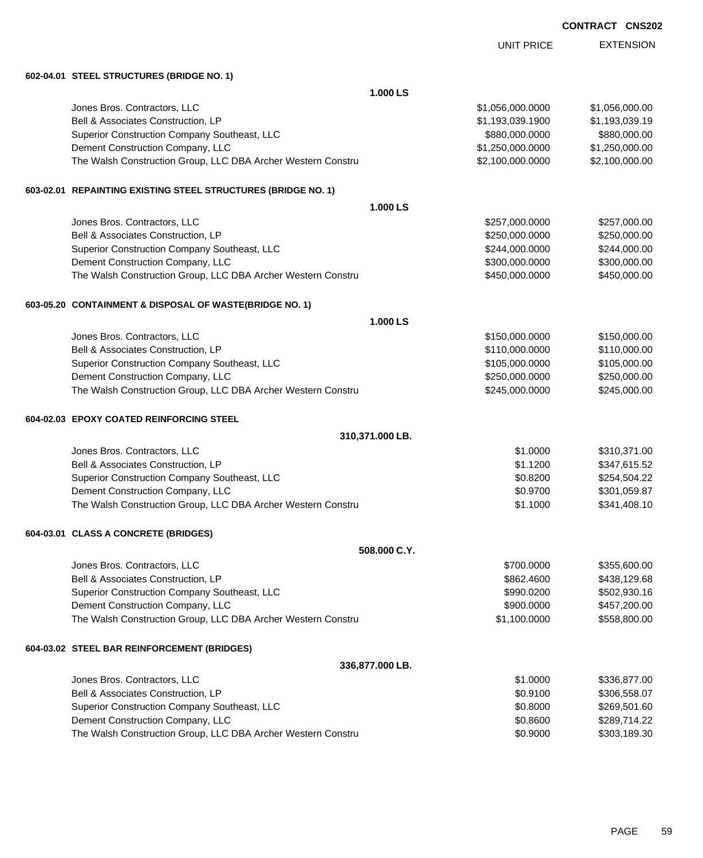EXTENSION UNIT PRICE **602-04.01 STEEL STRUCTURES (BRIDGE NO. 1) 1.000 LS** Jones Bros. Contractors, LLC \$1,056,000.0000 \$1,056,000.00 Bell & Associates Construction, LP 6. 2010 12:00 \$1,193,039.1900 \$1,193,039.1900 \$1,193,039.19 Superior Construction Company Southeast, LLC  $$880,000.0000$  \$880,000.000 \$880,000.00 Dement Construction Company, LLC 66 and the construction Company, LLC 66 and the construction Company, LLC The Walsh Construction Group, LLC DBA Archer Western Constru \$2,100,000.0000 \$2,100,000.000 \$2,100,000.00 **603-02.01 REPAINTING EXISTING STEEL STRUCTURES (BRIDGE NO. 1) 1.000 LS** Jones Bros. Contractors, LLC \$257,000.0000 \$257,000.00 Bell & Associates Construction, LP 6.6 and 250,000 \$250,000.000 \$250,000.000 \$250,000.000 \$250,000.00 Superior Construction Company Southeast, LLC  $$244,000.0000$  \$244,000.000 \$244,000.00 Dement Construction Company, LLC 6 and the state of the state of the state  $$300,000.0000$  \$300,000.000 \$300,000.000 \$300,000.000 \$300,000.000 \$300,000.000 \$300,000.000 \$300,000.00 \$300,000 \$300,000 \$300,000 \$300,000 \$300, The Walsh Construction Group, LLC DBA Archer Western Constru \$450,000 \$450,000.000 \$450,000.00 **603-05.20 CONTAINMENT & DISPOSAL OF WASTE(BRIDGE NO. 1) 1.000 LS** Jones Bros. Contractors, LLC \$150,000.0000 \$150,000.00 Bell & Associates Construction, LP 6. 2010 12:00:000 \$110,000.0000 \$110,000.000 \$110,000.00 Superior Construction Company Southeast, LLC  $$105,000.0000$  \$105,000.000 \$105,000.00 Dement Construction Company, LLC 6. The matrix of the state of the state of the state  $$250,000.000$  \$250,000.000 \$250,000.000 \$250,000.000 \$250,000.000 \$250,000.000 \$250,000.00 \$250,000.00 \$250,000.00 \$250,000.00 \$250,000 The Walsh Construction Group, LLC DBA Archer Western Constru **600000 \$245,000.000** \$245,000.00 **604-02.03 EPOXY COATED REINFORCING STEEL 310,371.000 LB.** Jones Bros. Contractors, LLC \$1.0000 \$310,371.00 Bell & Associates Construction, LP 6.6 and 200 \$347,615.52 Superior Construction Company Southeast, LLC  $$0.8200$  \$254,504.22 Dement Construction Company, LLC 6.6 and the state of the state of the state of the state of the state of the state of the state of the state of the state of the state of the state of the state of the state of the state of The Walsh Construction Group, LLC DBA Archer Western Constru **\$1.1000** \$341,408.10 **604-03.01 CLASS A CONCRETE (BRIDGES) 508.000 C.Y.** Jones Bros. Contractors, LLC \$700.0000 \$355,600.00 Bell & Associates Construction, LP 66862.4600 \$438,129.68 Superior Construction Company Southeast, LLC  $$990.0200$  \$502,930.16 Dement Construction Company, LLC 600000 \$457,200.000 \$457,200.000 \$457,200.00 The Walsh Construction Group, LLC DBA Archer Western Constru \$1,100.0000 \$558,800.00 **604-03.02 STEEL BAR REINFORCEMENT (BRIDGES) 336,877.000 LB.** Jones Bros. Contractors, LLC \$1.0000 \$336,877.00 Bell & Associates Construction, LP 6.6 and 200 and 200 and 300,558.07 \$100,558.07 Superior Construction Company Southeast, LLC 6000 \$269,501.60 Dement Construction Company, LLC 60 and the construction Company, LLC 60.8600 \$289,714.22 The Walsh Construction Group, LLC DBA Archer Western Constru **\$0.900 \$303,189.30** \$303,189.30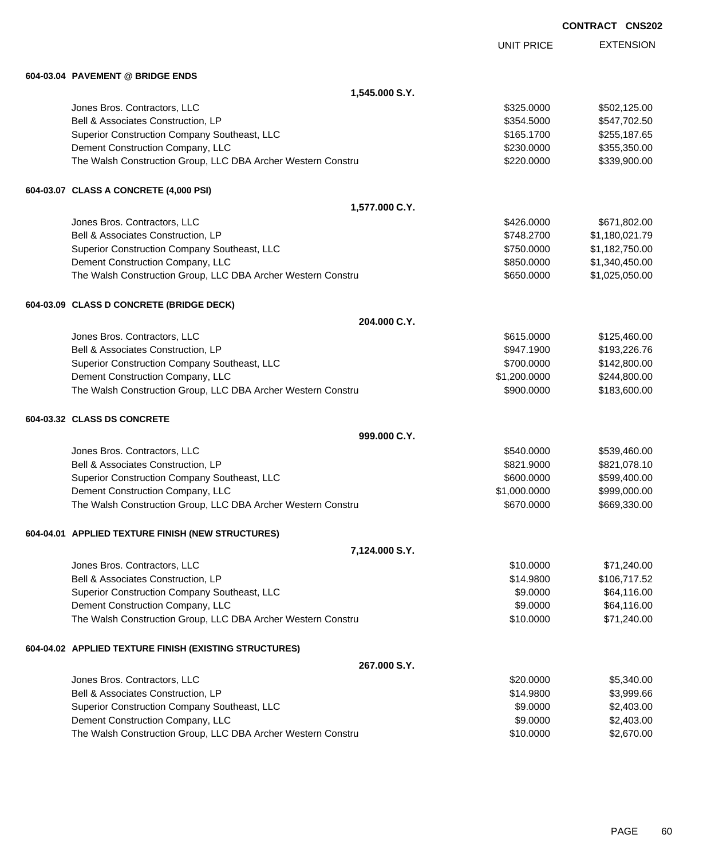UNIT PRICE

EXTENSION

**604-03.04 PAVEMENT @ BRIDGE ENDS**

| 604-03.04   PAVEMEN I  @ BRIDGE ENDS                                                             |                       |                            |
|--------------------------------------------------------------------------------------------------|-----------------------|----------------------------|
| 1,545.000 S.Y.                                                                                   |                       |                            |
| Jones Bros. Contractors, LLC                                                                     | \$325.0000            | \$502,125.00               |
| Bell & Associates Construction, LP                                                               | \$354.5000            | \$547,702.50               |
| Superior Construction Company Southeast, LLC                                                     | \$165.1700            | \$255,187.65               |
| Dement Construction Company, LLC                                                                 | \$230.0000            | \$355,350.00               |
| The Walsh Construction Group, LLC DBA Archer Western Constru                                     | \$220.0000            | \$339,900.00               |
| 604-03.07 CLASS A CONCRETE (4,000 PSI)                                                           |                       |                            |
| 1,577.000 C.Y.                                                                                   |                       |                            |
| Jones Bros. Contractors, LLC                                                                     | \$426.0000            | \$671,802.00               |
| Bell & Associates Construction, LP                                                               | \$748.2700            | \$1,180,021.79             |
| Superior Construction Company Southeast, LLC                                                     | \$750.0000            | \$1,182,750.00             |
| Dement Construction Company, LLC                                                                 | \$850.0000            | \$1,340,450.00             |
| The Walsh Construction Group, LLC DBA Archer Western Constru                                     | \$650.0000            | \$1,025,050.00             |
| 604-03.09 CLASS D CONCRETE (BRIDGE DECK)                                                         |                       |                            |
| 204.000 C.Y.                                                                                     |                       |                            |
| Jones Bros. Contractors, LLC                                                                     | \$615.0000            | \$125,460.00               |
| Bell & Associates Construction, LP                                                               | \$947.1900            | \$193,226.76               |
| Superior Construction Company Southeast, LLC                                                     | \$700.0000            | \$142,800.00               |
| Dement Construction Company, LLC                                                                 | \$1,200.0000          | \$244,800.00               |
| The Walsh Construction Group, LLC DBA Archer Western Constru                                     | \$900.0000            | \$183,600.00               |
| 604-03.32 CLASS DS CONCRETE                                                                      |                       |                            |
| 999.000 C.Y.                                                                                     |                       |                            |
| Jones Bros. Contractors, LLC                                                                     | \$540.0000            | \$539,460.00               |
| Bell & Associates Construction, LP                                                               | \$821.9000            | \$821,078.10               |
| Superior Construction Company Southeast, LLC                                                     | \$600.0000            | \$599,400.00               |
| Dement Construction Company, LLC                                                                 | \$1,000.0000          | \$999,000.00               |
| The Walsh Construction Group, LLC DBA Archer Western Constru                                     | \$670.0000            | \$669,330.00               |
| 604-04.01 APPLIED TEXTURE FINISH (NEW STRUCTURES)                                                |                       |                            |
| 7,124.000 S.Y.                                                                                   |                       |                            |
| Jones Bros. Contractors, LLC                                                                     | \$10.0000             | \$71,240.00                |
| Bell & Associates Construction, LP                                                               | \$14.9800             | \$106,717.52               |
| Superior Construction Company Southeast, LLC                                                     | \$9.0000              | \$64,116.00                |
| Dement Construction Company, LLC<br>The Walsh Construction Group, LLC DBA Archer Western Constru | \$9.0000<br>\$10.0000 | \$64,116.00<br>\$71,240.00 |
|                                                                                                  |                       |                            |
| 604-04.02 APPLIED TEXTURE FINISH (EXISTING STRUCTURES)<br>267.000 S.Y.                           |                       |                            |
| Jones Bros. Contractors, LLC                                                                     | \$20.0000             | \$5,340.00                 |
| Bell & Associates Construction, LP                                                               | \$14.9800             | \$3,999.66                 |
| Superior Construction Company Southeast, LLC                                                     | \$9.0000              | \$2,403.00                 |
| Dement Construction Company, LLC                                                                 | \$9.0000              | \$2,403.00                 |
| The Walsh Construction Group, LLC DBA Archer Western Constru                                     | \$10.0000             | \$2,670.00                 |
|                                                                                                  |                       |                            |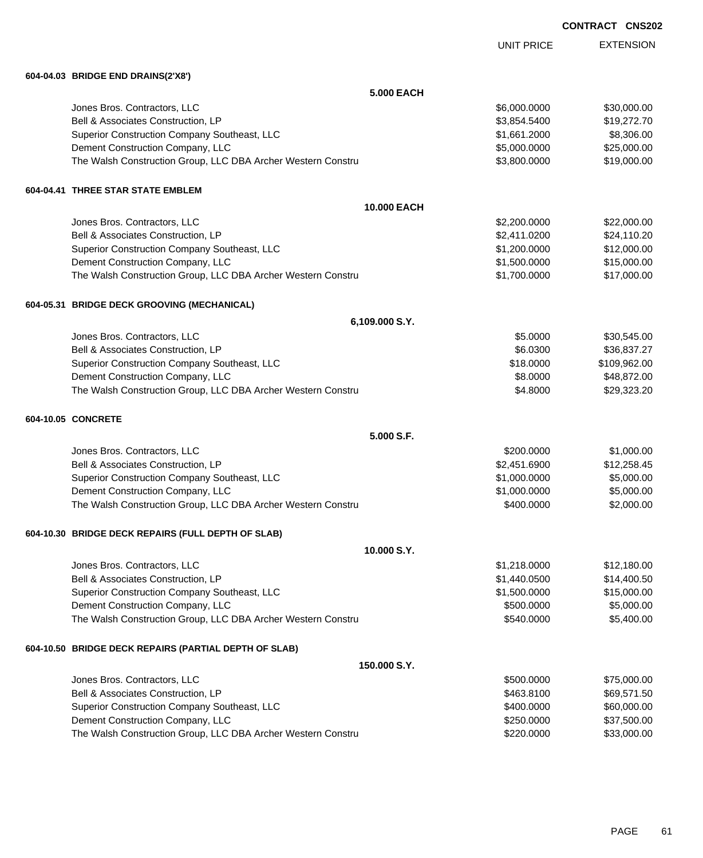EXTENSION UNIT PRICE **604-04.03 BRIDGE END DRAINS(2'X8') 5.000 EACH** Jones Bros. Contractors, LLC \$6,000.0000 \$30,000.00 Bell & Associates Construction, LP **\$3,854.5400** \$19,272.70 Superior Construction Company Southeast, LLC  $$1,661.2000$  \$8,306.00 Dement Construction Company, LLC 6 and the state of the state of the state  $$5,000.0000$  \$25,000.000 \$25,000.00 The Walsh Construction Group, LLC DBA Archer Western Constru \$3,800.000 \$3,800.000 \$19,000.00 **604-04.41 THREE STAR STATE EMBLEM 10.000 EACH** Jones Bros. Contractors, LLC \$2,200.0000 \$22,000.00 Bell & Associates Construction, LP 624,110.20 \$2,411.0200 \$2,411.0200 \$2,411.0200 Superior Construction Company Southeast, LLC  $$1,200.0000$   $$12,000.00$ Dement Construction Company, LLC **but a set of the set of the set of the set of the set of the set of the set of the set of the set of the set of the set of the set of the set of the set of the set of the set of the set of** The Walsh Construction Group, LLC DBA Archer Western Constru \$1,700.000 \$17,000.000 \$17,000.00 **604-05.31 BRIDGE DECK GROOVING (MECHANICAL) 6,109.000 S.Y.** Jones Bros. Contractors, LLC \$5.0000 \$30,545.00 Bell & Associates Construction, LP 66.0300 \$36,837.27 Superior Construction Company Southeast, LLC  $$18.0000$  \$18.0000 \$109,962.00 Dement Construction Company, LLC 68.0000 \$48,872.00 The Walsh Construction Group, LLC DBA Archer Western Constru **\$4.8000** \$4.8000 \$29,323.20 **604-10.05 CONCRETE 5.000 S.F.** Jones Bros. Contractors, LLC \$200.0000 \$1,000.00 Bell & Associates Construction, LP 612,258.45 Superior Construction Company Southeast, LLC  $$1,000.0000$  \$5,000.000 Dement Construction Company, LLC 600000 \$5,000.000 \$5,000.000 \$5,000.000 The Walsh Construction Group, LLC DBA Archer Western Constru \$400.000 \$2,000.00 \$2,000.00 **604-10.30 BRIDGE DECK REPAIRS (FULL DEPTH OF SLAB) 10.000 S.Y.** Jones Bros. Contractors, LLC \$1,218.0000 \$12,180.00 Bell & Associates Construction, LP 614,400.50 Superior Construction Company Southeast, LLC  $$1,500.0000$  \$15,000.000 \$15,000.00 Dement Construction Company, LLC 6 and the state of the state of the state  $$500.0000$  \$5,000.000 \$5,000.00 The Walsh Construction Group, LLC DBA Archer Western Constru \$540.000 \$540.0000 \$5,400.00 **604-10.50 BRIDGE DECK REPAIRS (PARTIAL DEPTH OF SLAB) 150.000 S.Y.** Jones Bros. Contractors, LLC \$500.0000 \$75,000.00 Bell & Associates Construction, LP 669,571.50 Superior Construction Company Southeast, LLC  $$400.0000$  \$60,000.00 Dement Construction Company, LLC 6 and the state of the state of the state  $$250.0000$  \$37,500.00

The Walsh Construction Group, LLC DBA Archer Western Constru \$220.000 \$220.0000 \$33,000.00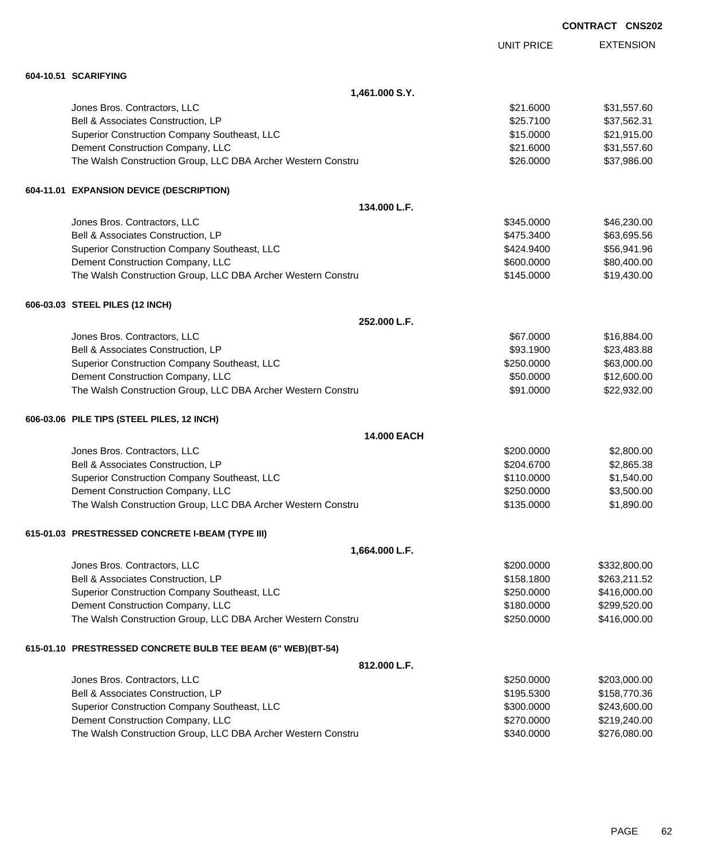|                                                              |                   | <b>CONTRACT CNS202</b> |  |
|--------------------------------------------------------------|-------------------|------------------------|--|
|                                                              | <b>UNIT PRICE</b> | <b>EXTENSION</b>       |  |
| 604-10.51 SCARIFYING                                         |                   |                        |  |
| 1,461.000 S.Y.                                               |                   |                        |  |
| Jones Bros. Contractors, LLC                                 | \$21.6000         | \$31,557.60            |  |
| Bell & Associates Construction, LP                           | \$25.7100         | \$37,562.31            |  |
| Superior Construction Company Southeast, LLC                 | \$15.0000         | \$21,915.00            |  |
| Dement Construction Company, LLC                             | \$21.6000         | \$31,557.60            |  |
| The Walsh Construction Group, LLC DBA Archer Western Constru | \$26.0000         | \$37,986.00            |  |
| 604-11.01 EXPANSION DEVICE (DESCRIPTION)                     |                   |                        |  |
| 134.000 L.F.                                                 |                   |                        |  |
| Jones Bros. Contractors, LLC                                 | \$345.0000        | \$46,230.00            |  |
| Bell & Associates Construction, LP                           | \$475.3400        | \$63,695.56            |  |
| Superior Construction Company Southeast, LLC                 | \$424.9400        | \$56,941.96            |  |
| Dement Construction Company, LLC                             | \$600.0000        | \$80,400.00            |  |
| The Walsh Construction Group, LLC DBA Archer Western Constru | \$145.0000        | \$19,430.00            |  |
| 606-03.03 STEEL PILES (12 INCH)                              |                   |                        |  |
| 252.000 L.F.                                                 |                   |                        |  |
| Jones Bros. Contractors, LLC                                 | \$67.0000         | \$16,884.00            |  |
| Bell & Associates Construction, LP                           | \$93.1900         | \$23,483.88            |  |
| Superior Construction Company Southeast, LLC                 | \$250.0000        | \$63,000.00            |  |
| Dement Construction Company, LLC                             | \$50.0000         | \$12,600.00            |  |
| The Walsh Construction Group, LLC DBA Archer Western Constru | \$91.0000         | \$22,932.00            |  |
| 606-03.06 PILE TIPS (STEEL PILES, 12 INCH)                   |                   |                        |  |
| 14.000 EACH                                                  |                   |                        |  |
| Jones Bros. Contractors, LLC                                 | \$200.0000        | \$2,800.00             |  |
| Bell & Associates Construction, LP                           | \$204.6700        | \$2,865.38             |  |
| Superior Construction Company Southeast, LLC                 | \$110.0000        | \$1,540.00             |  |
| Dement Construction Company, LLC                             | \$250,0000        | \$3,500.00             |  |
| The Walsh Construction Group, LLC DBA Archer Western Constru | \$135.0000        | \$1,890.00             |  |
| 615-01.03 PRESTRESSED CONCRETE I-BEAM (TYPE III)             |                   |                        |  |
| 1,664.000 L.F.                                               |                   |                        |  |
| Jones Bros. Contractors, LLC                                 | \$200.0000        | \$332,800.00           |  |
| Bell & Associates Construction, LP                           | \$158.1800        | \$263,211.52           |  |
| Superior Construction Company Southeast, LLC                 | \$250.0000        | \$416,000.00           |  |
| Dement Construction Company, LLC                             | \$180.0000        | \$299,520.00           |  |
| The Walsh Construction Group, LLC DBA Archer Western Constru | \$250.0000        | \$416,000.00           |  |
| 615-01.10 PRESTRESSED CONCRETE BULB TEE BEAM (6" WEB)(BT-54) |                   |                        |  |
| 812.000 L.F.                                                 |                   |                        |  |
| Jones Bros. Contractors, LLC                                 | \$250.0000        | \$203,000.00           |  |
| Bell & Associates Construction, LP                           | \$195.5300        | \$158,770.36           |  |
| Superior Construction Company Southeast, LLC                 | \$300.0000        | \$243,600.00           |  |
| Dement Construction Company, LLC                             | \$270.0000        | \$219,240.00           |  |
| The Walsh Construction Group, LLC DBA Archer Western Constru | \$340.0000        | \$276,080.00           |  |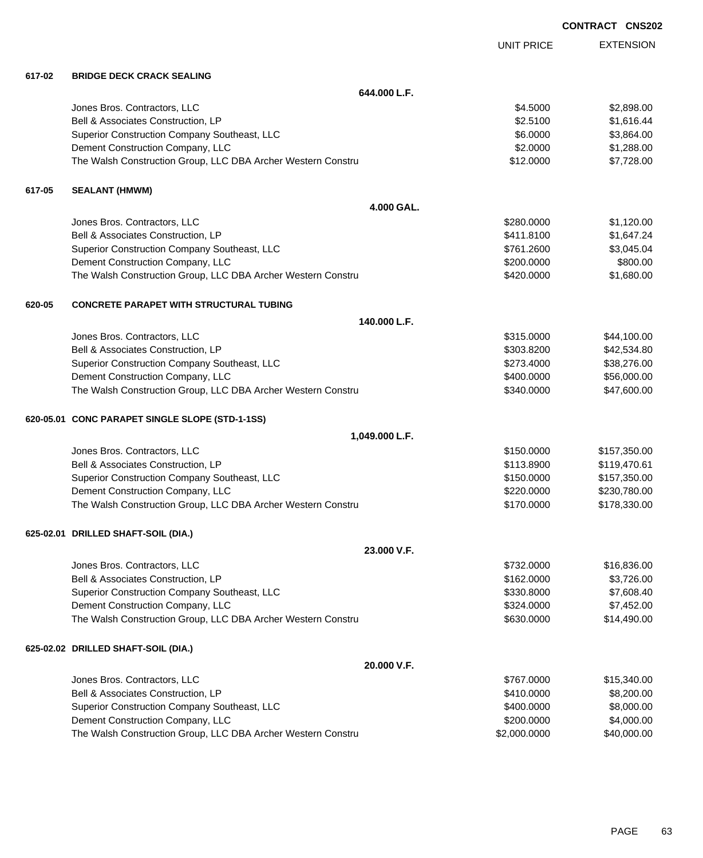|        |                                                              |                   | <b>CONTRACT CNS202</b> |                  |
|--------|--------------------------------------------------------------|-------------------|------------------------|------------------|
|        |                                                              | <b>UNIT PRICE</b> |                        | <b>EXTENSION</b> |
| 617-02 | <b>BRIDGE DECK CRACK SEALING</b>                             |                   |                        |                  |
|        | 644.000 L.F.                                                 |                   |                        |                  |
|        | Jones Bros. Contractors, LLC                                 | \$4.5000          |                        | \$2,898.00       |
|        | Bell & Associates Construction, LP                           | \$2.5100          |                        | \$1,616.44       |
|        | Superior Construction Company Southeast, LLC                 | \$6.0000          |                        | \$3,864.00       |
|        | Dement Construction Company, LLC                             | \$2.0000          |                        | \$1,288.00       |
|        | The Walsh Construction Group, LLC DBA Archer Western Constru | \$12.0000         |                        | \$7,728.00       |
| 617-05 | <b>SEALANT (HMWM)</b>                                        |                   |                        |                  |
|        | 4.000 GAL.                                                   |                   |                        |                  |
|        | Jones Bros. Contractors, LLC                                 | \$280.0000        |                        | \$1,120.00       |
|        | Bell & Associates Construction, LP                           | \$411.8100        |                        | \$1,647.24       |
|        | Superior Construction Company Southeast, LLC                 | \$761.2600        |                        | \$3,045.04       |
|        | Dement Construction Company, LLC                             | \$200.0000        |                        | \$800.00         |
|        | The Walsh Construction Group, LLC DBA Archer Western Constru | \$420.0000        |                        | \$1,680.00       |
| 620-05 | <b>CONCRETE PARAPET WITH STRUCTURAL TUBING</b>               |                   |                        |                  |
|        | 140.000 L.F.                                                 |                   |                        |                  |
|        | Jones Bros. Contractors, LLC                                 | \$315.0000        |                        | \$44,100.00      |
|        | Bell & Associates Construction, LP                           | \$303.8200        |                        | \$42,534.80      |
|        | Superior Construction Company Southeast, LLC                 | \$273.4000        |                        | \$38,276.00      |
|        | Dement Construction Company, LLC                             | \$400.0000        |                        | \$56,000.00      |
|        | The Walsh Construction Group, LLC DBA Archer Western Constru | \$340.0000        |                        | \$47,600.00      |
|        | 620-05.01 CONC PARAPET SINGLE SLOPE (STD-1-1SS)              |                   |                        |                  |
|        | 1,049.000 L.F.                                               |                   |                        |                  |
|        | Jones Bros. Contractors, LLC                                 | \$150.0000        |                        | \$157,350.00     |
|        | Bell & Associates Construction, LP                           | \$113.8900        |                        | \$119,470.61     |
|        | Superior Construction Company Southeast, LLC                 | \$150.0000        |                        | \$157,350.00     |
|        | Dement Construction Company, LLC                             | \$220.0000        |                        | \$230,780.00     |
|        | The Walsh Construction Group, LLC DBA Archer Western Constru | \$170.0000        |                        | \$178,330.00     |
|        | 625-02.01 DRILLED SHAFT-SOIL (DIA.)                          |                   |                        |                  |
|        | 23.000 V.F.                                                  |                   |                        |                  |
|        | Jones Bros. Contractors, LLC                                 | \$732.0000        |                        | \$16,836.00      |
|        | Bell & Associates Construction, LP                           | \$162.0000        |                        | \$3,726.00       |
|        | Superior Construction Company Southeast, LLC                 | \$330.8000        |                        | \$7,608.40       |
|        | Dement Construction Company, LLC                             | \$324.0000        |                        | \$7,452.00       |
|        | The Walsh Construction Group, LLC DBA Archer Western Constru | \$630.0000        |                        | \$14,490.00      |
|        | 625-02.02 DRILLED SHAFT-SOIL (DIA.)                          |                   |                        |                  |
|        | 20.000 V.F.                                                  |                   |                        |                  |
|        | Jones Bros. Contractors, LLC                                 | \$767.0000        |                        | \$15,340.00      |
|        | Bell & Associates Construction, LP                           | \$410.0000        |                        | \$8,200.00       |
|        | Superior Construction Company Southeast, LLC                 | \$400.0000        |                        | \$8,000.00       |
|        | Dement Construction Company, LLC                             | \$200.0000        |                        | \$4,000.00       |
|        | The Walsh Construction Group, LLC DBA Archer Western Constru | \$2,000.0000      |                        | \$40,000.00      |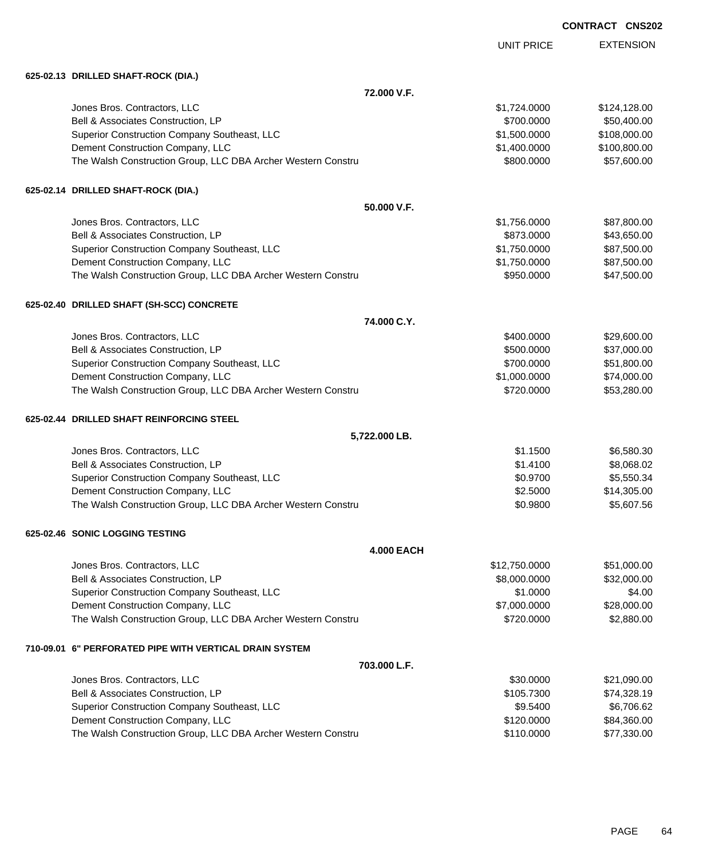EXTENSION UNIT PRICE **625-02.13 DRILLED SHAFT-ROCK (DIA.) 72.000 V.F.** Jones Bros. Contractors, LLC \$1,724.0000 \$124,128.00 Bell & Associates Construction, LP 650,400.00 \$50,400.00 \$700.0000 \$50,400.00 Superior Construction Company Southeast, LLC  $$1,500.0000$  \$108,000.00 Dement Construction Company, LLC 6 and the state of the state of the state  $$1,400.0000$  \$100,800.00 The Walsh Construction Group, LLC DBA Archer Western Constru \$800.000 \$800.000 \$57,600.00 **625-02.14 DRILLED SHAFT-ROCK (DIA.) 50.000 V.F.** Jones Bros. Contractors, LLC \$1,756.0000 \$87,800.00 Bell & Associates Construction, LP 643,650.00 Superior Construction Company Southeast, LLC  $$1,750.0000$  \$87,500.00 Dement Construction Company, LLC 6 and the state of the state of the state  $$1,750.0000$  \$87,500.00 The Walsh Construction Group, LLC DBA Archer Western Constru \$950.000 \$950.000 \$47,500.00 **625-02.40 DRILLED SHAFT (SH-SCC) CONCRETE 74.000 C.Y.** Jones Bros. Contractors, LLC 6. The state of the state of the state of the state of the state of the state of the state of the state of the state of the state of the state of the state of the state of the state of the stat Bell & Associates Construction, LP **\$500.000** \$37,000.00 Superior Construction Company Southeast, LLC  $$700.0000$  \$51,800.00 Dement Construction Company, LLC 6. The matrix of the state of the state of the state  $$1,000.0000$  \$74,000.000 The Walsh Construction Group, LLC DBA Archer Western Constru **\$720.000 \$53,280.00** \$53,280.00 **625-02.44 DRILLED SHAFT REINFORCING STEEL 5,722.000 LB.** Jones Bros. Contractors, LLC \$1.1500 \$6,580.30 Bell & Associates Construction, LP 68,068.02 Superior Construction Company Southeast, LLC  $$0.9700$  \$5,550.34 Dement Construction Company, LLC **but a set of the set of the set of the set of the set of the set of the set of the set of the set of the set of the set of the set of the set of the set of the set of the set of the set of** The Walsh Construction Group, LLC DBA Archer Western Constru **\$0.9800 \$5,607.56** \$5,607.56 **625-02.46 SONIC LOGGING TESTING 4.000 EACH** Jones Bros. Contractors, LLC \$12,750.0000 \$51,000.00 Bell & Associates Construction, LP 632,000.000 \$8,000.0000 \$32,000.000 Superior Construction Company Southeast, LLC  $$1.0000$  \$1.0000  $$4.00$ Dement Construction Company, LLC 6 and the construction Company, LLC 6 and the construction Company, LLC 6 and the construction of  $$28,000.00$ The Walsh Construction Group, LLC DBA Archer Western Constru \$720.0000 \$2,880.00 **710-09.01 6" PERFORATED PIPE WITH VERTICAL DRAIN SYSTEM 703.000 L.F.** Jones Bros. Contractors, LLC 6. The state of the state of the state of the state of the state of the state of the state of the state of the state of the state of the state of the state of the state of the state of the stat Bell & Associates Construction, LP **\$105.7300** \$74,328.19 Superior Construction Company Southeast, LLC  $$9.5400$  \$6,706.62 Dement Construction Company, LLC 6. The construction Company, LLC 6. The construction Company, LLC 6. The construction of the construction of the construction Company, LLC 6. The construction of the construction of the con The Walsh Construction Group, LLC DBA Archer Western Constru \$110.0000 \$110.0000 \$77,330.00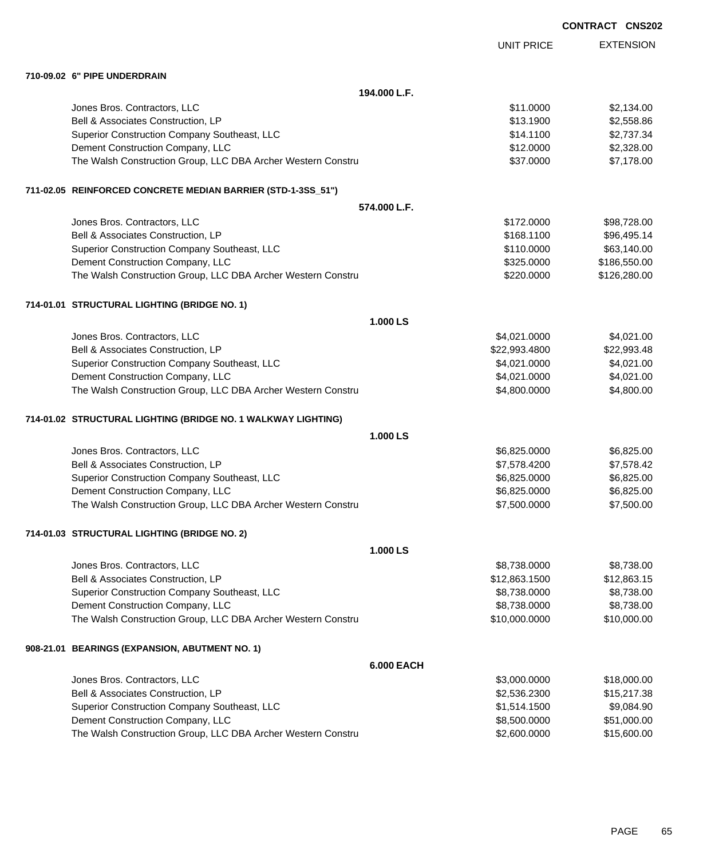|  | <b>CONTRACT CNS202</b> |
|--|------------------------|
|  |                        |

|                                                               |                   | <b>UNIT PRICE</b> | <b>EXTENSION</b> |
|---------------------------------------------------------------|-------------------|-------------------|------------------|
| 710-09.02 6" PIPE UNDERDRAIN                                  |                   |                   |                  |
|                                                               | 194.000 L.F.      |                   |                  |
| Jones Bros. Contractors, LLC                                  |                   | \$11.0000         | \$2,134.00       |
| Bell & Associates Construction, LP                            |                   | \$13.1900         | \$2,558.86       |
| Superior Construction Company Southeast, LLC                  |                   | \$14.1100         | \$2,737.34       |
| Dement Construction Company, LLC                              |                   | \$12.0000         | \$2,328.00       |
| The Walsh Construction Group, LLC DBA Archer Western Constru  |                   | \$37.0000         | \$7,178.00       |
| 711-02.05 REINFORCED CONCRETE MEDIAN BARRIER (STD-1-3SS_51")  |                   |                   |                  |
|                                                               | 574.000 L.F.      |                   |                  |
| Jones Bros. Contractors, LLC                                  |                   | \$172.0000        | \$98,728.00      |
| Bell & Associates Construction, LP                            |                   | \$168.1100        | \$96,495.14      |
| Superior Construction Company Southeast, LLC                  |                   | \$110.0000        | \$63,140.00      |
| Dement Construction Company, LLC                              |                   | \$325.0000        | \$186,550.00     |
| The Walsh Construction Group, LLC DBA Archer Western Constru  |                   | \$220.0000        | \$126,280.00     |
| 714-01.01 STRUCTURAL LIGHTING (BRIDGE NO. 1)                  |                   |                   |                  |
|                                                               | 1.000 LS          |                   |                  |
| Jones Bros. Contractors, LLC                                  |                   | \$4,021.0000      | \$4,021.00       |
| Bell & Associates Construction, LP                            |                   | \$22,993.4800     | \$22,993.48      |
| Superior Construction Company Southeast, LLC                  |                   | \$4,021.0000      | \$4,021.00       |
| Dement Construction Company, LLC                              |                   | \$4,021.0000      | \$4,021.00       |
| The Walsh Construction Group, LLC DBA Archer Western Constru  |                   | \$4,800.0000      | \$4,800.00       |
| 714-01.02 STRUCTURAL LIGHTING (BRIDGE NO. 1 WALKWAY LIGHTING) |                   |                   |                  |
|                                                               | 1.000 LS          |                   |                  |
| Jones Bros. Contractors, LLC                                  |                   | \$6,825.0000      | \$6,825.00       |
| Bell & Associates Construction, LP                            |                   | \$7,578.4200      | \$7,578.42       |
| Superior Construction Company Southeast, LLC                  |                   | \$6,825.0000      | \$6,825.00       |
| Dement Construction Company, LLC                              |                   | \$6,825.0000      | \$6,825.00       |
| The Walsh Construction Group, LLC DBA Archer Western Constru  |                   | \$7,500.0000      | \$7,500.00       |
| 714-01.03 STRUCTURAL LIGHTING (BRIDGE NO. 2)                  |                   |                   |                  |
|                                                               | 1.000 LS          |                   |                  |
| Jones Bros. Contractors, LLC                                  |                   | \$8,738.0000      | \$8,738.00       |
| Bell & Associates Construction, LP                            |                   | \$12,863.1500     | \$12,863.15      |
| Superior Construction Company Southeast, LLC                  |                   | \$8,738.0000      | \$8,738.00       |
| Dement Construction Company, LLC                              |                   | \$8,738.0000      | \$8,738.00       |
| The Walsh Construction Group, LLC DBA Archer Western Constru  |                   | \$10,000.0000     | \$10,000.00      |
| 908-21.01 BEARINGS (EXPANSION, ABUTMENT NO. 1)                |                   |                   |                  |
|                                                               | <b>6.000 EACH</b> |                   |                  |
| Jones Bros. Contractors, LLC                                  |                   | \$3,000.0000      | \$18,000.00      |
| Bell & Associates Construction, LP                            |                   | \$2,536.2300      | \$15,217.38      |
| Superior Construction Company Southeast, LLC                  |                   | \$1,514.1500      | \$9,084.90       |
| Dement Construction Company, LLC                              |                   | \$8,500.0000      | \$51,000.00      |
| The Walsh Construction Group, LLC DBA Archer Western Constru  |                   | \$2,600.0000      | \$15,600.00      |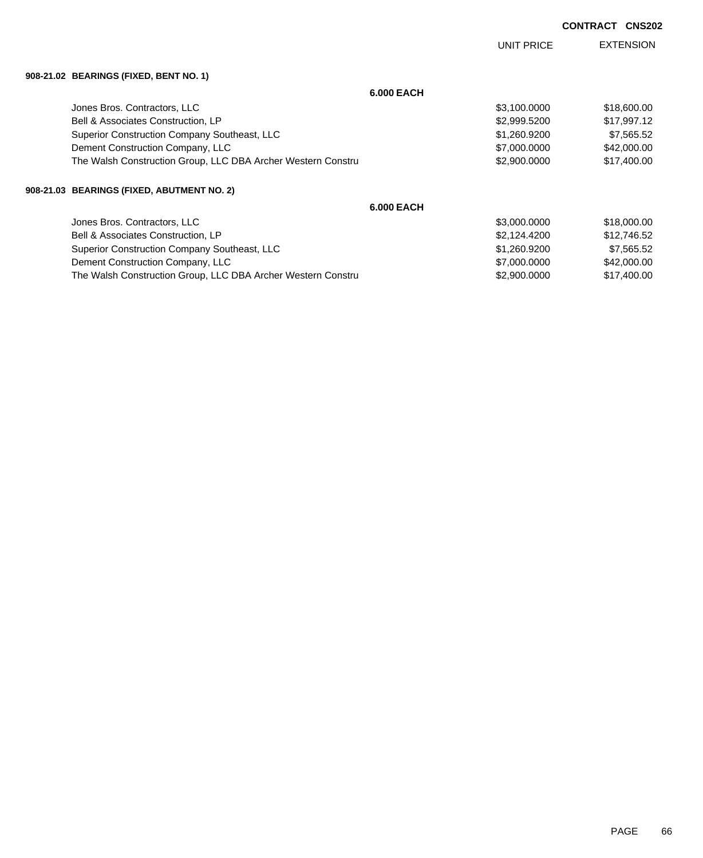|                                                              |                   | UNIT PRICE   | <b>EXTENSION</b> |
|--------------------------------------------------------------|-------------------|--------------|------------------|
| 908-21.02 BEARINGS (FIXED, BENT NO. 1)                       |                   |              |                  |
|                                                              | <b>6.000 EACH</b> |              |                  |
| Jones Bros. Contractors, LLC                                 |                   | \$3,100.0000 | \$18,600.00      |
| <b>Bell &amp; Associates Construction, LP</b>                |                   | \$2,999.5200 | \$17,997.12      |
| Superior Construction Company Southeast, LLC                 |                   | \$1,260.9200 | \$7,565.52       |
| Dement Construction Company, LLC                             |                   | \$7,000.0000 | \$42,000.00      |
| The Walsh Construction Group, LLC DBA Archer Western Constru |                   | \$2,900.0000 | \$17,400.00      |
| 908-21.03 BEARINGS (FIXED, ABUTMENT NO. 2)                   |                   |              |                  |
|                                                              | <b>6.000 EACH</b> |              |                  |
| Jones Bros. Contractors, LLC                                 |                   | \$3,000.0000 | \$18,000.00      |
| <b>Bell &amp; Associates Construction, LP</b>                |                   | \$2,124.4200 | \$12,746.52      |
| Superior Construction Company Southeast, LLC                 |                   | \$1,260.9200 | \$7,565.52       |
| Dement Construction Company, LLC                             |                   | \$7,000.0000 | \$42,000.00      |

The Walsh Construction Group, LLC DBA Archer Western Constru \$2,900 \$2,900.0000 \$17,400.00

PAGE 66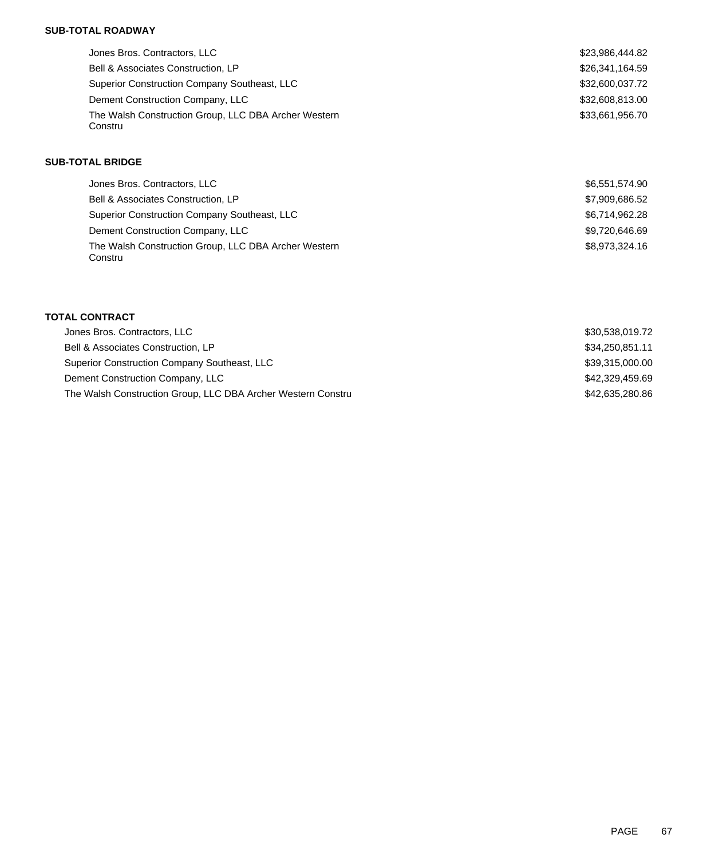## **SUB-TOTAL ROADWAY**

| Jones Bros. Contractors, LLC                                    | \$23,986,444.82 |
|-----------------------------------------------------------------|-----------------|
| Bell & Associates Construction, LP                              | \$26,341,164.59 |
| Superior Construction Company Southeast, LLC                    | \$32,600,037.72 |
| Dement Construction Company, LLC                                | \$32,608,813.00 |
| The Walsh Construction Group, LLC DBA Archer Western<br>Constru | \$33,661,956.70 |

### **SUB-TOTAL BRIDGE**

| Jones Bros. Contractors, LLC                                    | \$6,551,574.90 |
|-----------------------------------------------------------------|----------------|
| Bell & Associates Construction, LP                              | \$7,909,686.52 |
| Superior Construction Company Southeast, LLC                    | \$6,714,962.28 |
| Dement Construction Company, LLC                                | \$9,720,646.69 |
| The Walsh Construction Group, LLC DBA Archer Western<br>Constru | \$8.973.324.16 |

## **TOTAL CONTRACT**

| Jones Bros. Contractors, LLC                                 | \$30.538.019.72 |
|--------------------------------------------------------------|-----------------|
| Bell & Associates Construction, LP                           | \$34,250,851.11 |
| Superior Construction Company Southeast, LLC                 | \$39,315,000.00 |
| Dement Construction Company, LLC                             | \$42.329.459.69 |
| The Walsh Construction Group, LLC DBA Archer Western Constru | \$42.635.280.86 |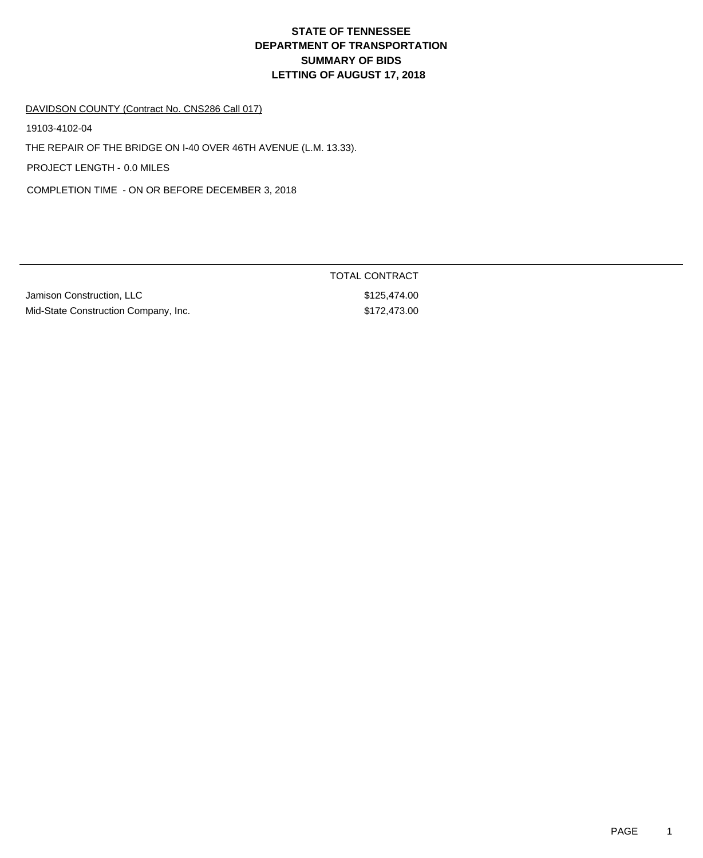# **DEPARTMENT OF TRANSPORTATION SUMMARY OF BIDS LETTING OF AUGUST 17, 2018 STATE OF TENNESSEE**

#### DAVIDSON COUNTY (Contract No. CNS286 Call 017)

19103-4102-04

THE REPAIR OF THE BRIDGE ON I-40 OVER 46TH AVENUE (L.M. 13.33).

PROJECT LENGTH - 0.0 MILES

COMPLETION TIME - ON OR BEFORE DECEMBER 3, 2018

| Jamison Construction, LLC            |  |
|--------------------------------------|--|
| Mid-State Construction Company. Inc. |  |

TOTAL CONTRACT \$125,474.00  $\text{span}$ y, Inc.  $\text{Span}$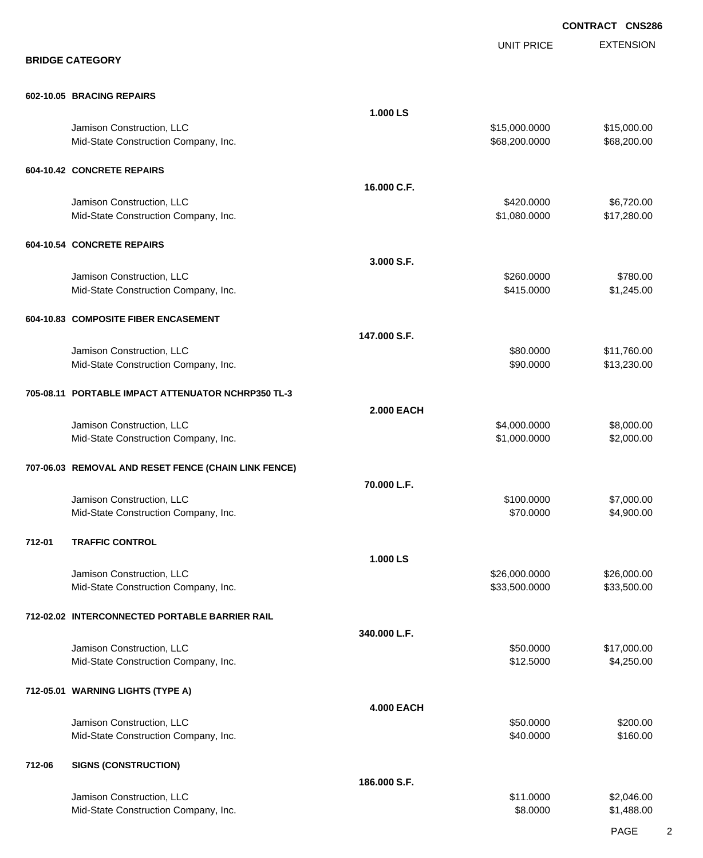EXTENSION **CONTRACT CNS286** UNIT PRICE **BRIDGE CATEGORY 602-10.05 BRACING REPAIRS 1.000 LS** Jamison Construction, LLC \$15,000.0000 \$15,000.00 Mid-State Construction Company, Inc. 688,200.000 \$68,200.000 \$68,200.000 \$68,200.000 \$68,200.00 **604-10.42 CONCRETE REPAIRS 16.000 C.F.** Jamison Construction, LLC 6,720.000 \$6,720.00 Mid-State Construction Company, Inc. 6. The Construction Company, Inc. 6. The Construction Company, Inc. 6. The Construction Company, Inc. 6. The Construction Company, Inc. 6. The Construction Company, Inc. 6. The Construc **604-10.54 CONCRETE REPAIRS 3.000 S.F.** Jamison Construction, LLC \$260.0000 \$780.00 Mid-State Construction Company, Inc. 6. The Construction Company, Inc. 6. The Construction Company, Inc. 6. The Construction Company, Inc. 6. The Construction Company, Inc. 6. The Construction Company, Inc. 6. The Construc **604-10.83 COMPOSITE FIBER ENCASEMENT 147.000 S.F.** Jamison Construction, LLC 60000 \$11,760.00 Mid-State Construction Company, Inc. 6. The Construction Company, Inc. 6. The Construction Company, Inc. 6. The Construction Company, Inc. 6. The Construction Company, Inc. 6. The Construction Company, Inc. 6. The Construc **705-08.11 PORTABLE IMPACT ATTENUATOR NCHRP350 TL-3 2.000 EACH** Jamison Construction, LLC \$4,000.0000 \$8,000.00 Mid-State Construction Company, Inc. 6. The Construction Company, Inc. 6. The Construction Company, Inc. 6. The Construction Company, Inc. 6. The Construction Company, Inc. 6. The Construction Company, Inc. 6. The Construc **707-06.03 REMOVAL AND RESET FENCE (CHAIN LINK FENCE) 70.000 L.F.** Jamison Construction, LLC \$100.0000 \$7,000.00 Mid-State Construction Company, Inc. 6. The Construction Company, Inc. 6. The Construction Company, Inc. 6. The Construction Company, Inc. 6. The Construction Company, Inc. 6. The Construction Company, Inc. 6. The Construc **712-01 TRAFFIC CONTROL 1.000 LS** Uamison Construction, LLC 6000.000 \$26,000.000 \$26,000.000 \$26,000.000 \$26,000.000 \$26,000.00 Mid-State Construction Company, Inc. 633,500.000 \$33,500.000 \$33,500.000 \$33,500.000 \$33,500.00 **712-02.02 INTERCONNECTED PORTABLE BARRIER RAIL 340.000 L.F.** Jamison Construction, LLC 60000 \$17,000.00 Mid-State Construction Company, Inc. 6. The Construction Company, Inc. 6. The Construction Company, Inc. 6. The Construction Company, Inc. 6. The Construction Company, Inc. 6. The Construction Company, Inc. 6. The Construc **712-05.01 WARNING LIGHTS (TYPE A) 4.000 EACH** Jamison Construction, LLC 60000 \$200.00 Mid-State Construction Company, Inc. 6. The Construction Company, Inc. 6. The Construction Company, Inc. 6. The Construction Company, Inc. 6. The Construction Company, Inc. 6. The Construction Company, Inc. 6. The Construc **712-06 SIGNS (CONSTRUCTION) 186.000 S.F.** Jamison Construction, LLC 6000 \$2,046.00 Mid-State Construction Company, Inc. 6. The Construction Company, Inc. 6. The Construction Company, Inc. 6. The Construction Company, Inc. 6. The Construction Company, Inc. 6. The Construction Company, Inc. 6. The Construc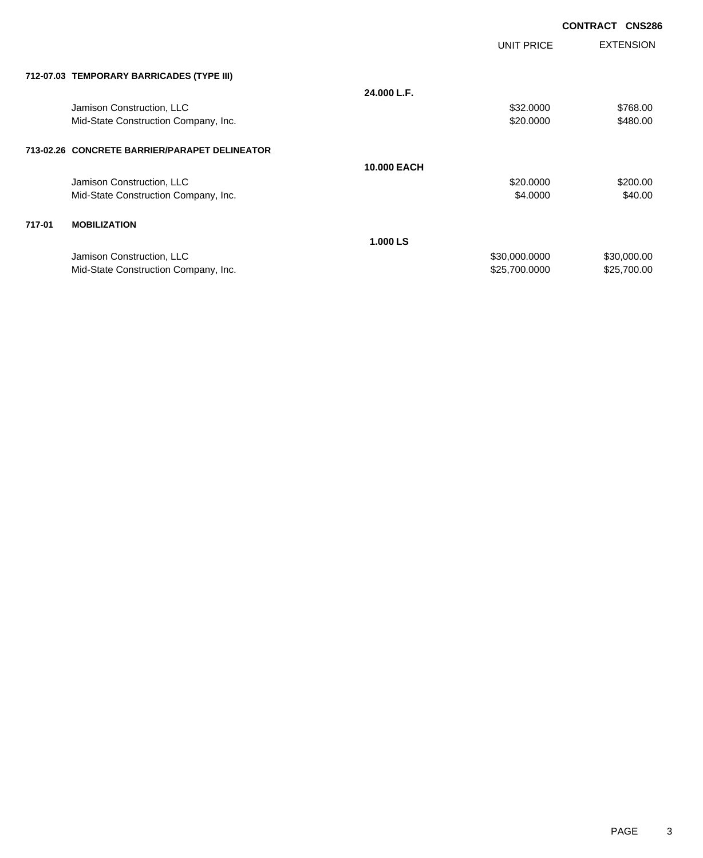|        |                                               |                    |               | <b>CONTRACT</b><br><b>CNS286</b> |
|--------|-----------------------------------------------|--------------------|---------------|----------------------------------|
|        |                                               |                    | UNIT PRICE    | <b>EXTENSION</b>                 |
|        | 712-07.03 TEMPORARY BARRICADES (TYPE III)     |                    |               |                                  |
|        |                                               | 24.000 L.F.        |               |                                  |
|        | Jamison Construction, LLC                     |                    | \$32.0000     | \$768.00                         |
|        | Mid-State Construction Company, Inc.          |                    | \$20.0000     | \$480.00                         |
|        | 713-02.26 CONCRETE BARRIER/PARAPET DELINEATOR |                    |               |                                  |
|        |                                               | <b>10,000 EACH</b> |               |                                  |
|        | Jamison Construction, LLC                     |                    | \$20.0000     | \$200.00                         |
|        | Mid-State Construction Company, Inc.          |                    | \$4.0000      | \$40.00                          |
| 717-01 | <b>MOBILIZATION</b>                           |                    |               |                                  |
|        |                                               | 1.000 LS           |               |                                  |
|        | Jamison Construction, LLC                     |                    | \$30,000.0000 | \$30,000.00                      |
|        | Mid-State Construction Company, Inc.          |                    | \$25,700.0000 | \$25,700.00                      |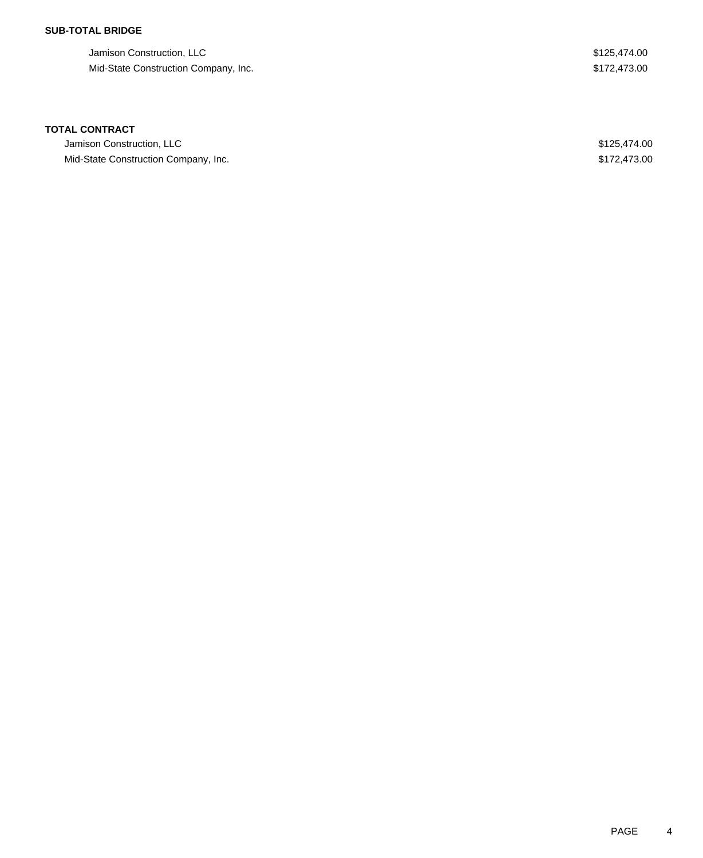## **SUB-TOTAL BRIDGE**

| Jamison Construction, LLC            | \$125,474,00 |
|--------------------------------------|--------------|
| Mid-State Construction Company, Inc. | \$172,473,00 |

### **TOTAL CONTRACT**

| Jamison Construction, LLC            | \$125.474.00 |
|--------------------------------------|--------------|
| Mid-State Construction Company, Inc. | \$172,473,00 |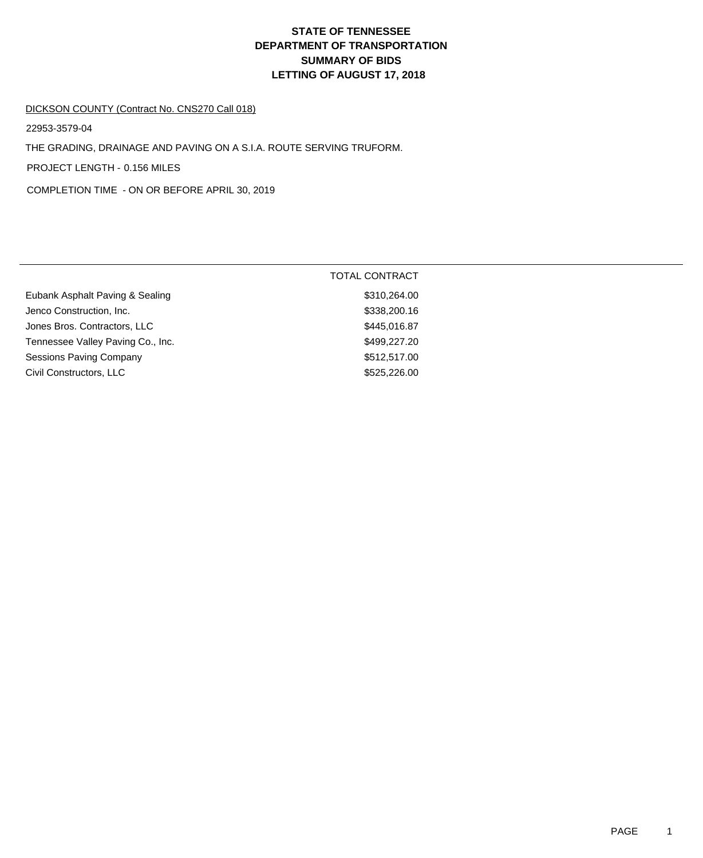# **DEPARTMENT OF TRANSPORTATION SUMMARY OF BIDS LETTING OF AUGUST 17, 2018 STATE OF TENNESSEE**

#### DICKSON COUNTY (Contract No. CNS270 Call 018)

22953-3579-04

THE GRADING, DRAINAGE AND PAVING ON A S.I.A. ROUTE SERVING TRUFORM.

PROJECT LENGTH - 0.156 MILES

COMPLETION TIME - ON OR BEFORE APRIL 30, 2019

|                                   | <b>TOTAL CONTRACT</b> |
|-----------------------------------|-----------------------|
| Eubank Asphalt Paving & Sealing   | \$310,264.00          |
| Jenco Construction, Inc.          | \$338,200.16          |
| Jones Bros. Contractors, LLC      | \$445,016.87          |
| Tennessee Valley Paving Co., Inc. | \$499,227.20          |
| Sessions Paving Company           | \$512,517.00          |
| Civil Constructors, LLC           | \$525,226.00          |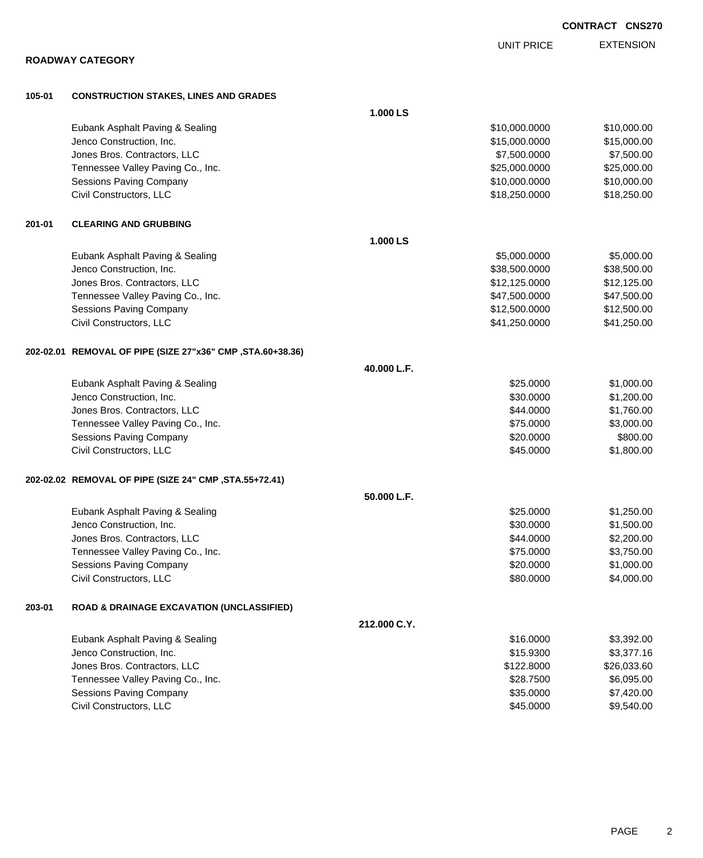|        |                                                             |              | <b>UNIT PRICE</b> | <b>EXTENSION</b> |
|--------|-------------------------------------------------------------|--------------|-------------------|------------------|
|        | <b>ROADWAY CATEGORY</b>                                     |              |                   |                  |
| 105-01 | <b>CONSTRUCTION STAKES, LINES AND GRADES</b>                |              |                   |                  |
|        |                                                             | 1.000 LS     |                   |                  |
|        | Eubank Asphalt Paving & Sealing                             |              | \$10,000.0000     | \$10,000.00      |
|        | Jenco Construction, Inc.                                    |              | \$15,000.0000     | \$15,000.00      |
|        | Jones Bros. Contractors, LLC                                |              | \$7,500.0000      | \$7,500.00       |
|        | Tennessee Valley Paving Co., Inc.                           |              | \$25,000.0000     | \$25,000.00      |
|        | <b>Sessions Paving Company</b>                              |              | \$10,000.0000     | \$10,000.00      |
|        | Civil Constructors, LLC                                     |              | \$18,250.0000     | \$18,250.00      |
| 201-01 | <b>CLEARING AND GRUBBING</b>                                |              |                   |                  |
|        |                                                             | 1.000 LS     |                   |                  |
|        | Eubank Asphalt Paving & Sealing                             |              | \$5,000.0000      | \$5,000.00       |
|        | Jenco Construction, Inc.                                    |              | \$38,500.0000     | \$38,500.00      |
|        | Jones Bros. Contractors, LLC                                |              | \$12,125.0000     | \$12,125.00      |
|        | Tennessee Valley Paving Co., Inc.                           |              | \$47,500.0000     | \$47,500.00      |
|        | Sessions Paving Company                                     |              | \$12,500.0000     | \$12,500.00      |
|        | Civil Constructors, LLC                                     |              | \$41,250.0000     | \$41,250.00      |
|        | 202-02.01 REMOVAL OF PIPE (SIZE 27"x36" CMP , STA.60+38.36) |              |                   |                  |
|        |                                                             | 40.000 L.F.  |                   |                  |
|        | Eubank Asphalt Paving & Sealing                             |              | \$25.0000         | \$1,000.00       |
|        | Jenco Construction, Inc.                                    |              | \$30.0000         | \$1,200.00       |
|        | Jones Bros. Contractors, LLC                                |              | \$44.0000         | \$1,760.00       |
|        | Tennessee Valley Paving Co., Inc.                           |              | \$75.0000         | \$3,000.00       |
|        | Sessions Paving Company                                     |              | \$20.0000         | \$800.00         |
|        | Civil Constructors, LLC                                     |              | \$45.0000         | \$1,800.00       |
|        | 202-02.02 REMOVAL OF PIPE (SIZE 24" CMP , STA.55+72.41)     |              |                   |                  |
|        |                                                             | 50.000 L.F.  |                   |                  |
|        | Eubank Asphalt Paving & Sealing                             |              | \$25.0000         | \$1,250.00       |
|        | Jenco Construction, Inc.                                    |              | \$30.0000         | \$1,500.00       |
|        | Jones Bros. Contractors, LLC                                |              | \$44.0000         | \$2,200.00       |
|        | Tennessee Valley Paving Co., Inc.                           |              | \$75.0000         | \$3,750.00       |
|        | Sessions Paving Company                                     |              | \$20.0000         | \$1,000.00       |
|        | Civil Constructors, LLC                                     |              | \$80.0000         | \$4,000.00       |
| 203-01 | <b>ROAD &amp; DRAINAGE EXCAVATION (UNCLASSIFIED)</b>        |              |                   |                  |
|        |                                                             | 212.000 C.Y. |                   |                  |
|        | Eubank Asphalt Paving & Sealing                             |              | \$16.0000         | \$3,392.00       |
|        | Jenco Construction, Inc.                                    |              | \$15.9300         | \$3,377.16       |
|        | Jones Bros. Contractors, LLC                                |              | \$122.8000        | \$26,033.60      |
|        | Tennessee Valley Paving Co., Inc.                           |              | \$28.7500         | \$6,095.00       |
|        | Sessions Paving Company                                     |              | \$35.0000         | \$7,420.00       |
|        | Civil Constructors, LLC                                     |              | \$45.0000         | \$9,540.00       |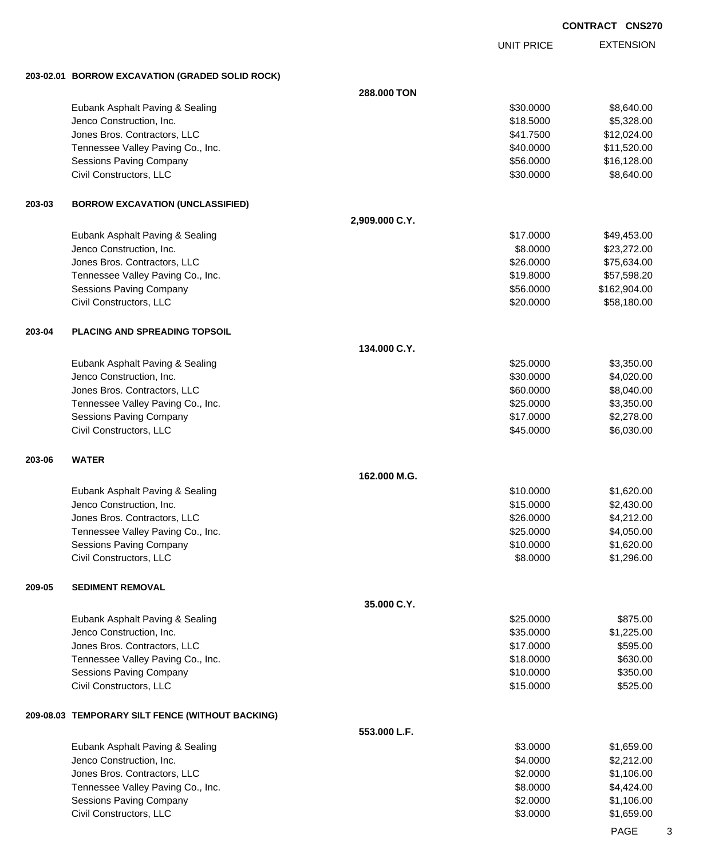UNIT PRICE

EXTENSION

**203-02.01 BORROW EXCAVATION (GRADED SOLID ROCK)**

|        |                                                    | 288.000 TON    |                      |                          |
|--------|----------------------------------------------------|----------------|----------------------|--------------------------|
|        | Eubank Asphalt Paving & Sealing                    |                | \$30.0000            | \$8,640.00               |
|        | Jenco Construction, Inc.                           |                | \$18.5000            | \$5,328.00               |
|        | Jones Bros. Contractors, LLC                       |                | \$41.7500            | \$12,024.00              |
|        | Tennessee Valley Paving Co., Inc.                  |                | \$40.0000            | \$11,520.00              |
|        | <b>Sessions Paving Company</b>                     |                | \$56.0000            | \$16,128.00              |
|        | Civil Constructors, LLC                            |                | \$30.0000            | \$8,640.00               |
| 203-03 | <b>BORROW EXCAVATION (UNCLASSIFIED)</b>            |                |                      |                          |
|        |                                                    | 2,909.000 C.Y. |                      |                          |
|        | Eubank Asphalt Paving & Sealing                    |                | \$17.0000            | \$49,453.00              |
|        | Jenco Construction, Inc.                           |                | \$8.0000             | \$23,272.00              |
|        | Jones Bros. Contractors, LLC                       |                | \$26.0000            | \$75,634.00              |
|        | Tennessee Valley Paving Co., Inc.                  |                | \$19.8000            | \$57,598.20              |
|        | Sessions Paving Company                            |                | \$56.0000            | \$162,904.00             |
|        | Civil Constructors, LLC                            |                | \$20.0000            | \$58,180.00              |
| 203-04 | <b>PLACING AND SPREADING TOPSOIL</b>               |                |                      |                          |
|        |                                                    | 134.000 C.Y.   |                      |                          |
|        | Eubank Asphalt Paving & Sealing                    |                | \$25.0000            | \$3,350.00               |
|        | Jenco Construction, Inc.                           |                | \$30.0000            | \$4,020.00               |
|        | Jones Bros. Contractors, LLC                       |                | \$60.0000            | \$8,040.00               |
|        | Tennessee Valley Paving Co., Inc.                  |                | \$25.0000            | \$3,350.00               |
|        | Sessions Paving Company                            |                | \$17.0000            | \$2,278.00               |
|        | Civil Constructors, LLC                            |                | \$45.0000            | \$6,030.00               |
| 203-06 | <b>WATER</b>                                       |                |                      |                          |
|        |                                                    | 162.000 M.G.   |                      |                          |
|        | Eubank Asphalt Paving & Sealing                    |                | \$10.0000            | \$1,620.00               |
|        | Jenco Construction, Inc.                           |                | \$15.0000            | \$2,430.00               |
|        | Jones Bros. Contractors, LLC                       |                | \$26.0000            | \$4,212.00               |
|        | Tennessee Valley Paving Co., Inc.                  |                | \$25.0000            | \$4,050.00               |
|        | <b>Sessions Paving Company</b>                     |                | \$10.0000            | \$1,620.00               |
|        | Civil Constructors, LLC                            |                | \$8.0000             | \$1,296.00               |
| 209-05 | <b>SEDIMENT REMOVAL</b>                            |                |                      |                          |
|        |                                                    | 35,000 C.Y.    |                      |                          |
|        | Eubank Asphalt Paving & Sealing                    |                | \$25.0000            | \$875.00                 |
|        | Jenco Construction, Inc.                           |                | \$35.0000            | \$1,225.00               |
|        | Jones Bros. Contractors, LLC                       |                | \$17.0000            | \$595.00                 |
|        | Tennessee Valley Paving Co., Inc.                  |                | \$18.0000            | \$630.00                 |
|        | Sessions Paving Company                            |                | \$10.0000            | \$350.00                 |
|        | Civil Constructors, LLC                            |                | \$15.0000            | \$525.00                 |
|        | 209-08.03 TEMPORARY SILT FENCE (WITHOUT BACKING)   |                |                      |                          |
|        |                                                    | 553.000 L.F.   |                      |                          |
|        | Eubank Asphalt Paving & Sealing                    |                | \$3.0000             | \$1,659.00               |
|        | Jenco Construction, Inc.                           |                | \$4.0000             | \$2,212.00               |
|        |                                                    |                |                      |                          |
|        | Jones Bros. Contractors, LLC                       |                | \$2.0000             | \$1,106.00               |
|        | Tennessee Valley Paving Co., Inc.                  |                | \$8.0000             | \$4,424.00               |
|        | Sessions Paving Company<br>Civil Constructors, LLC |                | \$2.0000<br>\$3.0000 | \$1,106.00<br>\$1,659.00 |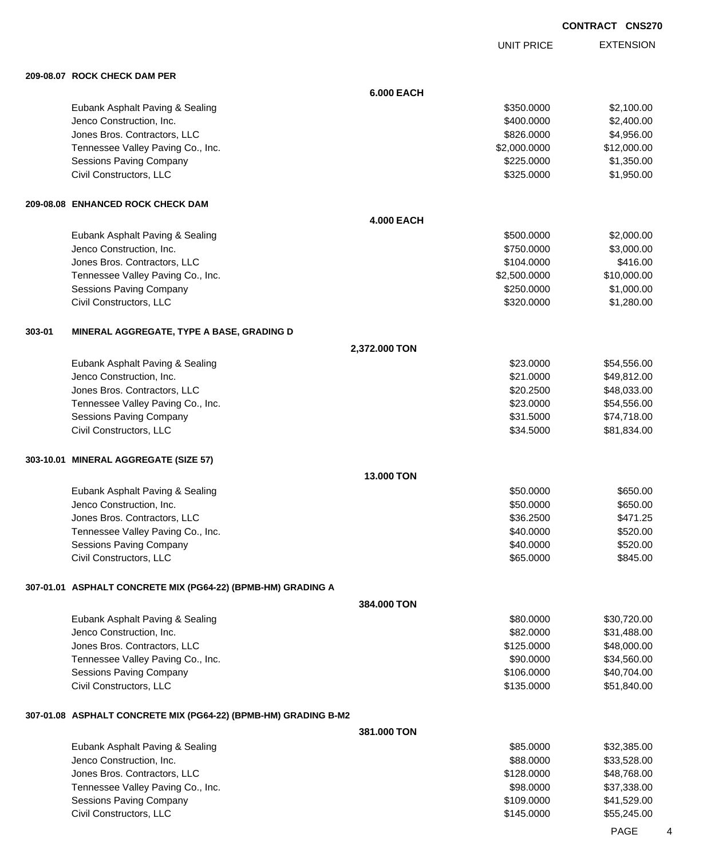UNIT PRICE EXTENSION

**209-08.07 ROCK CHECK DAM PER**

|        | 209-08.07 KOCK CHECK DAM PER                                    |                   |              |             |
|--------|-----------------------------------------------------------------|-------------------|--------------|-------------|
|        |                                                                 | <b>6.000 EACH</b> |              |             |
|        | Eubank Asphalt Paving & Sealing                                 |                   | \$350.0000   | \$2,100.00  |
|        | Jenco Construction, Inc.                                        |                   | \$400.0000   | \$2,400.00  |
|        | Jones Bros. Contractors, LLC                                    |                   | \$826.0000   | \$4,956.00  |
|        | Tennessee Valley Paving Co., Inc.                               |                   | \$2,000.0000 | \$12,000.00 |
|        | <b>Sessions Paving Company</b>                                  |                   | \$225.0000   | \$1,350.00  |
|        | Civil Constructors, LLC                                         |                   | \$325.0000   | \$1,950.00  |
|        | 209-08.08 ENHANCED ROCK CHECK DAM                               |                   |              |             |
|        |                                                                 | <b>4.000 EACH</b> |              |             |
|        | Eubank Asphalt Paving & Sealing                                 |                   | \$500.0000   | \$2,000.00  |
|        | Jenco Construction, Inc.                                        |                   | \$750.0000   | \$3,000.00  |
|        | Jones Bros. Contractors, LLC                                    |                   | \$104.0000   | \$416.00    |
|        | Tennessee Valley Paving Co., Inc.                               |                   | \$2,500.0000 | \$10,000.00 |
|        | <b>Sessions Paving Company</b>                                  |                   | \$250.0000   | \$1,000.00  |
|        | Civil Constructors, LLC                                         |                   | \$320.0000   | \$1,280.00  |
| 303-01 | MINERAL AGGREGATE, TYPE A BASE, GRADING D                       |                   |              |             |
|        |                                                                 | 2,372.000 TON     |              |             |
|        | Eubank Asphalt Paving & Sealing                                 |                   | \$23.0000    | \$54,556.00 |
|        | Jenco Construction, Inc.                                        |                   | \$21.0000    | \$49,812.00 |
|        | Jones Bros. Contractors, LLC                                    |                   | \$20.2500    | \$48,033.00 |
|        | Tennessee Valley Paving Co., Inc.                               |                   | \$23.0000    | \$54,556.00 |
|        | Sessions Paving Company                                         |                   | \$31.5000    | \$74,718.00 |
|        | Civil Constructors, LLC                                         |                   | \$34.5000    | \$81,834.00 |
|        | 303-10.01 MINERAL AGGREGATE (SIZE 57)                           |                   |              |             |
|        |                                                                 | 13.000 TON        |              |             |
|        | Eubank Asphalt Paving & Sealing                                 |                   | \$50.0000    | \$650.00    |
|        | Jenco Construction, Inc.                                        |                   | \$50.0000    | \$650.00    |
|        | Jones Bros. Contractors, LLC                                    |                   | \$36.2500    | \$471.25    |
|        | Tennessee Valley Paving Co., Inc.                               |                   | \$40.0000    | \$520.00    |
|        | Sessions Paving Company                                         |                   | \$40.0000    | \$520.00    |
|        | Civil Constructors, LLC                                         |                   | \$65.0000    | \$845.00    |
|        | 307-01.01 ASPHALT CONCRETE MIX (PG64-22) (BPMB-HM) GRADING A    |                   |              |             |
|        |                                                                 | 384,000 TON       |              |             |
|        | Eubank Asphalt Paving & Sealing                                 |                   | \$80.0000    | \$30,720.00 |
|        | Jenco Construction, Inc.                                        |                   | \$82.0000    | \$31,488.00 |
|        | Jones Bros. Contractors, LLC                                    |                   | \$125.0000   | \$48,000.00 |
|        | Tennessee Valley Paving Co., Inc.                               |                   | \$90.0000    | \$34,560.00 |
|        | Sessions Paving Company                                         |                   | \$106.0000   | \$40,704.00 |
|        | Civil Constructors, LLC                                         |                   | \$135.0000   | \$51,840.00 |
|        | 307-01.08 ASPHALT CONCRETE MIX (PG64-22) (BPMB-HM) GRADING B-M2 |                   |              |             |
|        |                                                                 | 381.000 TON       |              |             |
|        | Eubank Asphalt Paving & Sealing                                 |                   | \$85.0000    | \$32,385.00 |
|        | Jenco Construction, Inc.                                        |                   | \$88.0000    | \$33,528.00 |
|        | Jones Bros. Contractors, LLC                                    |                   | \$128.0000   | \$48,768.00 |
|        | Tennessee Valley Paving Co., Inc.                               |                   | \$98.0000    | \$37,338.00 |
|        | <b>Sessions Paving Company</b>                                  |                   | \$109.0000   | \$41,529.00 |
|        | Civil Constructors, LLC                                         |                   | \$145.0000   | \$55,245.00 |

PAGE 4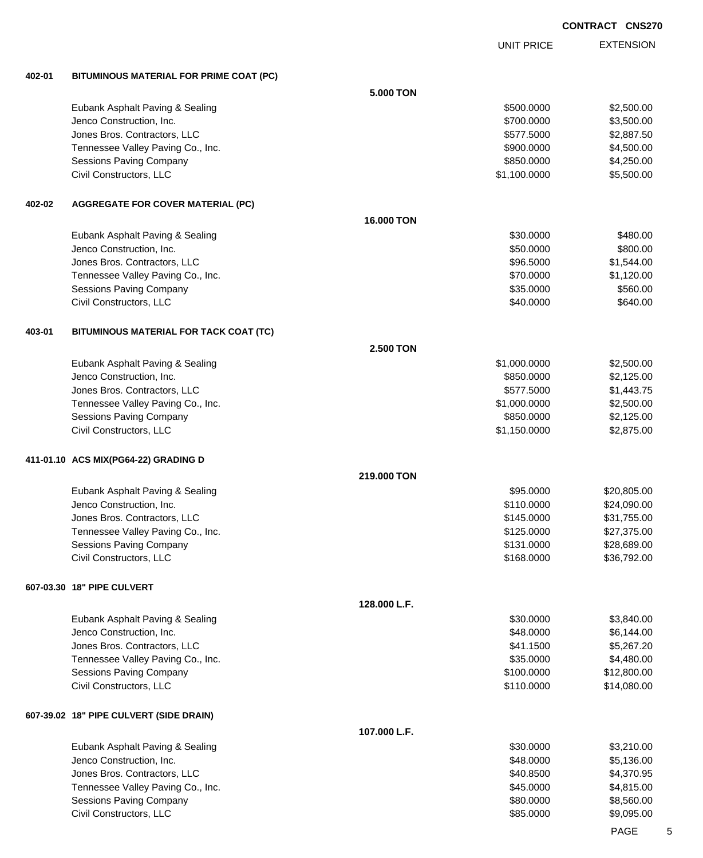EXTENSION UNIT PRICE **402-01 BITUMINOUS MATERIAL FOR PRIME COAT (PC) 5.000 TON** Eubank Asphalt Paving & Sealing \$500.000 \$2,500.000 \$2,500.000 \$2,500.000 \$2,500.00 Jenco Construction, Inc. 66 and the construction, Inc. 66 and the construction, Inc. 66 and the construction, Inc. 66 and the construction, Inc. 66 and the construction, Inc. 66 and the construction, Inc. 66 and the constr Jones Bros. Contractors, LLC \$577.5000 \$2,887.50 Tennessee Valley Paving Co., Inc. 6. The Co. and the Co. of the Contract of the Co. of the State of the State of the State of the State of the State of the State of the State of the State of the State of the State of the S Sessions Paving Company **\$850.000 \$4,250.00** \$4,250.00 Civil Constructors, LLC 6.500.00 \$5,500.00 \$5,500.00 \$5,500.00 \$5,500.00 \$5,500.00 \$5,500.00 \$5,500.00 \$5,500 **402-02 AGGREGATE FOR COVER MATERIAL (PC) 16.000 TON** Eubank Asphalt Paving & Sealing \$30.000 \$480.00 Jenco Construction, Inc. \$50.0000 \$800.00 Jones Bros. Contractors, LLC \$96.5000 \$1,544.00 Tennessee Valley Paving Co., Inc. \$1,120.00 \$1,120.00 Sessions Paving Company \$35.0000 \$560.00 Civil Constructors, LLC 6640.000 \$640.000 \$640.000 \$640.000 \$640.000 \$640.000 \$640.00 **403-01 BITUMINOUS MATERIAL FOR TACK COAT (TC) 2.500 TON** Eubank Asphalt Paving & Sealing \$1,000.0000 \$2,500.000 \$2,500.000 Jenco Construction, Inc. \$850.0000 \$2,125.00 Jones Bros. Contractors, LLC \$577.5000 \$1,443.75 Tennessee Valley Paving Co., Inc. \$1,000.0000 \$2,500.000 \$2,500.00 Sessions Paving Company 6 (1995) 125.00 (1996) 125.000 \$850.0000 \$2,125.00 Civil Constructors, LLC 6. 2012 12:00 12:00 12:00 12:00 12:00 12:00 12:00 12:00 12:00 12:00 12:00 12:00 12:00 **411-01.10 ACS MIX(PG64-22) GRADING D 219.000 TON** Eubank Asphalt Paving & Sealing \$95.000 \$20,805.00 Jenco Construction, Inc. \$110.0000 \$24,090.00 Jones Bros. Contractors, LLC \$145.0000 \$31,755.00 Tennessee Valley Paving Co., Inc. 6. 2012. The state of the state of the state of the state of the state of the state of the state of the state of the state of the state of the state of the state of the state of the state Sessions Paving Company **\$28,689.00** \$28,689.00 Civil Constructors, LLC 68,792.00 **607-03.30 18" PIPE CULVERT 128.000 L.F.** Eubank Asphalt Paving & Sealing \$30.000 \$3,840.00 Jenco Construction, Inc. 66,144.00 Jones Bros. Contractors, LLC 667.20 \$5,267.20 \$41.1500 \$5,267.20 Tennessee Valley Paving Co., Inc. 6. The Co. inc. \$35.0000 \$4,480.00 Sessions Paving Company **\$12,800.00** \$12,800.00 \$12,800.00 Civil Constructors, LLC 611,080.00 **607-39.02 18" PIPE CULVERT (SIDE DRAIN) 107.000 L.F.** Eubank Asphalt Paving & Sealing \$30.000 \$3,210.00 Jenco Construction, Inc. \$48.0000 \$5,136.00 Jones Bros. Contractors, LLC \$40.8500 \$4,370.95 Tennessee Valley Paving Co., Inc. 6. The Co. inc. \$45.0000 \$4,815.00 Sessions Paving Company 6. The second service of the service of the service of the service of the service of the service of the service of the service of the service of the service of the service of the service of the serv

Civil Constructors, LLC 6. The Second Second Second Second Second Second Second Second Second Second Second Second Second Second Second Second Second Second Second Second Second Second Second Second Second Second Second Se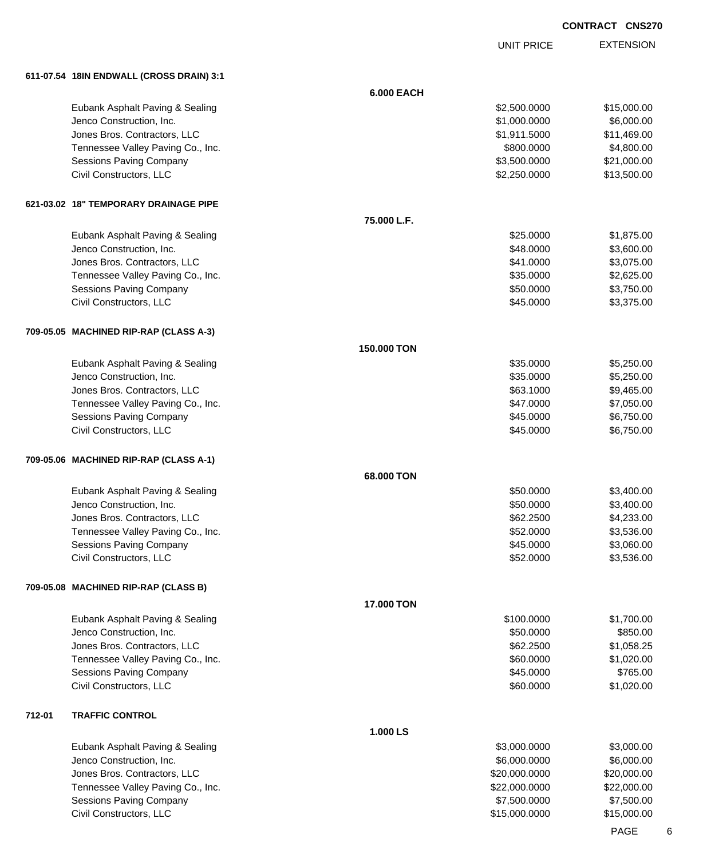UNIT PRICE

EXTENSION

**611-07.54 18IN ENDWALL (CROSS DRAIN) 3:1**

|        | 811-07.34 TOIN ENDWALL (CROSS DRAIN) 3:1 |                   |               |             |
|--------|------------------------------------------|-------------------|---------------|-------------|
|        |                                          | <b>6.000 EACH</b> |               |             |
|        | Eubank Asphalt Paving & Sealing          |                   | \$2,500.0000  | \$15,000.00 |
|        | Jenco Construction, Inc.                 |                   | \$1,000.0000  | \$6,000.00  |
|        | Jones Bros. Contractors, LLC             |                   | \$1,911.5000  | \$11,469.00 |
|        | Tennessee Valley Paving Co., Inc.        |                   | \$800.0000    | \$4,800.00  |
|        | <b>Sessions Paving Company</b>           |                   | \$3,500.0000  | \$21,000.00 |
|        | Civil Constructors, LLC                  |                   | \$2,250.0000  | \$13,500.00 |
|        |                                          |                   |               |             |
|        | 621-03.02 18" TEMPORARY DRAINAGE PIPE    |                   |               |             |
|        |                                          | 75.000 L.F.       |               |             |
|        | Eubank Asphalt Paving & Sealing          |                   | \$25.0000     | \$1,875.00  |
|        | Jenco Construction, Inc.                 |                   | \$48.0000     | \$3,600.00  |
|        | Jones Bros. Contractors, LLC             |                   | \$41.0000     | \$3,075.00  |
|        | Tennessee Valley Paving Co., Inc.        |                   | \$35.0000     | \$2,625.00  |
|        | <b>Sessions Paving Company</b>           |                   | \$50.0000     | \$3,750.00  |
|        | Civil Constructors, LLC                  |                   | \$45.0000     | \$3,375.00  |
|        | 709-05.05 MACHINED RIP-RAP (CLASS A-3)   |                   |               |             |
|        |                                          | 150.000 TON       |               |             |
|        | Eubank Asphalt Paving & Sealing          |                   | \$35.0000     | \$5,250.00  |
|        | Jenco Construction, Inc.                 |                   | \$35.0000     | \$5,250.00  |
|        | Jones Bros. Contractors, LLC             |                   | \$63.1000     | \$9,465.00  |
|        | Tennessee Valley Paving Co., Inc.        |                   | \$47.0000     | \$7,050.00  |
|        | <b>Sessions Paving Company</b>           |                   | \$45.0000     | \$6,750.00  |
|        | Civil Constructors, LLC                  |                   | \$45.0000     | \$6,750.00  |
|        |                                          |                   |               |             |
|        | 709-05.06 MACHINED RIP-RAP (CLASS A-1)   |                   |               |             |
|        |                                          | 68.000 TON        |               |             |
|        | Eubank Asphalt Paving & Sealing          |                   | \$50.0000     | \$3,400.00  |
|        | Jenco Construction, Inc.                 |                   | \$50.0000     | \$3,400.00  |
|        | Jones Bros. Contractors, LLC             |                   | \$62.2500     | \$4,233.00  |
|        | Tennessee Valley Paving Co., Inc.        |                   | \$52.0000     | \$3,536.00  |
|        | Sessions Paving Company                  |                   | \$45.0000     | \$3,060.00  |
|        | Civil Constructors, LLC                  |                   | \$52.0000     | \$3,536.00  |
|        | 709-05.08 MACHINED RIP-RAP (CLASS B)     |                   |               |             |
|        |                                          | <b>17.000 TON</b> |               |             |
|        | Eubank Asphalt Paving & Sealing          |                   | \$100.0000    | \$1,700.00  |
|        | Jenco Construction, Inc.                 |                   | \$50.0000     | \$850.00    |
|        | Jones Bros. Contractors, LLC             |                   | \$62.2500     | \$1,058.25  |
|        | Tennessee Valley Paving Co., Inc.        |                   | \$60.0000     | \$1,020.00  |
|        | <b>Sessions Paving Company</b>           |                   | \$45.0000     | \$765.00    |
|        | Civil Constructors, LLC                  |                   | \$60.0000     | \$1,020.00  |
|        |                                          |                   |               |             |
| 712-01 | <b>TRAFFIC CONTROL</b>                   | 1.000 LS          |               |             |
|        | Eubank Asphalt Paving & Sealing          |                   | \$3,000.0000  | \$3,000.00  |
|        | Jenco Construction, Inc.                 |                   | \$6,000.0000  | \$6,000.00  |
|        |                                          |                   |               |             |
|        | Jones Bros. Contractors, LLC             |                   | \$20,000.0000 | \$20,000.00 |
|        | Tennessee Valley Paving Co., Inc.        |                   | \$22,000.0000 | \$22,000.00 |
|        | Sessions Paving Company                  |                   | \$7,500.0000  | \$7,500.00  |
|        | Civil Constructors, LLC                  |                   | \$15,000.0000 | \$15,000.00 |
|        |                                          |                   |               | <b>DACE</b> |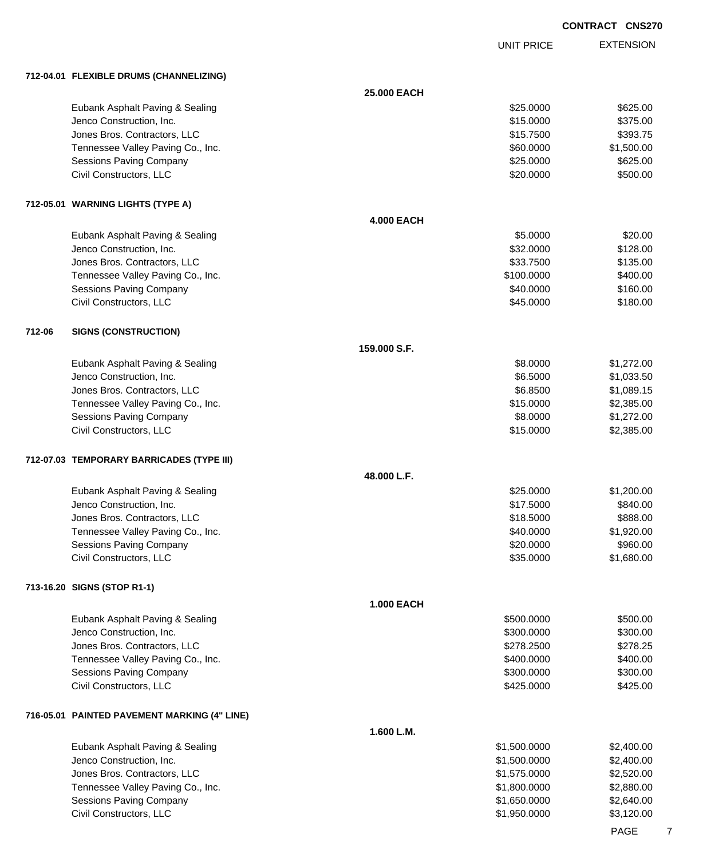UNIT PRICE EXTENSION

**712-04.01 FLEXIBLE DRUMS (CHANNELIZING)**

|        | <b><i>IL COSTO LE LE LA IBLE DROMO (CHANNELLEING)</i></b> |                   |                              |                          |
|--------|-----------------------------------------------------------|-------------------|------------------------------|--------------------------|
|        |                                                           | 25.000 EACH       |                              |                          |
|        | Eubank Asphalt Paving & Sealing                           |                   | \$25.0000                    | \$625.00                 |
|        | Jenco Construction, Inc.                                  |                   | \$15.0000                    | \$375.00                 |
|        | Jones Bros. Contractors, LLC                              |                   | \$15.7500                    | \$393.75                 |
|        | Tennessee Valley Paving Co., Inc.                         |                   | \$60.0000                    | \$1,500.00               |
|        | Sessions Paving Company                                   |                   | \$25.0000                    | \$625.00                 |
|        | Civil Constructors, LLC                                   |                   | \$20.0000                    | \$500.00                 |
|        |                                                           |                   |                              |                          |
|        | 712-05.01 WARNING LIGHTS (TYPE A)                         |                   |                              |                          |
|        |                                                           | <b>4.000 EACH</b> |                              |                          |
|        | Eubank Asphalt Paving & Sealing                           |                   | \$5.0000                     | \$20.00                  |
|        | Jenco Construction, Inc.                                  |                   | \$32.0000                    | \$128.00                 |
|        | Jones Bros. Contractors, LLC                              |                   | \$33.7500                    | \$135.00                 |
|        | Tennessee Valley Paving Co., Inc.                         |                   | \$100.0000                   | \$400.00                 |
|        | Sessions Paving Company                                   |                   | \$40.0000                    | \$160.00                 |
|        | Civil Constructors, LLC                                   |                   | \$45.0000                    | \$180.00                 |
| 712-06 | <b>SIGNS (CONSTRUCTION)</b>                               |                   |                              |                          |
|        |                                                           | 159.000 S.F.      |                              |                          |
|        | Eubank Asphalt Paving & Sealing                           |                   | \$8.0000                     | \$1,272.00               |
|        | Jenco Construction, Inc.                                  |                   | \$6.5000                     | \$1,033.50               |
|        | Jones Bros. Contractors, LLC                              |                   | \$6.8500                     | \$1,089.15               |
|        | Tennessee Valley Paving Co., Inc.                         |                   | \$15.0000                    | \$2,385.00               |
|        | Sessions Paving Company                                   |                   | \$8.0000                     | \$1,272.00               |
|        | Civil Constructors, LLC                                   |                   | \$15.0000                    | \$2,385.00               |
|        |                                                           |                   |                              |                          |
|        | 712-07.03 TEMPORARY BARRICADES (TYPE III)                 |                   |                              |                          |
|        |                                                           | 48.000 L.F.       |                              |                          |
|        | Eubank Asphalt Paving & Sealing                           |                   | \$25.0000                    | \$1,200.00               |
|        | Jenco Construction, Inc.                                  |                   | \$17.5000                    | \$840.00                 |
|        | Jones Bros. Contractors, LLC                              |                   | \$18.5000                    | \$888.00                 |
|        | Tennessee Valley Paving Co., Inc.                         |                   | \$40.0000                    | \$1,920.00               |
|        | Sessions Paving Company                                   |                   | \$20.0000                    | \$960.00                 |
|        | Civil Constructors, LLC                                   |                   | \$35.0000                    | \$1,680.00               |
|        | 713-16.20 SIGNS (STOP R1-1)                               |                   |                              |                          |
|        |                                                           | <b>1.000 EACH</b> |                              |                          |
|        | Eubank Asphalt Paving & Sealing                           |                   | \$500.0000                   | \$500.00                 |
|        | Jenco Construction, Inc.                                  |                   | \$300.0000                   | \$300.00                 |
|        | Jones Bros. Contractors, LLC                              |                   | \$278.2500                   | \$278.25                 |
|        | Tennessee Valley Paving Co., Inc.                         |                   | \$400.0000                   | \$400.00                 |
|        | <b>Sessions Paving Company</b>                            |                   | \$300.0000                   | \$300.00                 |
|        | Civil Constructors, LLC                                   |                   | \$425.0000                   | \$425.00                 |
|        | 716-05.01 PAINTED PAVEMENT MARKING (4" LINE)              |                   |                              |                          |
|        |                                                           | 1.600 L.M.        |                              |                          |
|        | Eubank Asphalt Paving & Sealing                           |                   | \$1,500.0000                 | \$2,400.00               |
|        | Jenco Construction, Inc.                                  |                   | \$1,500.0000                 | \$2,400.00               |
|        | Jones Bros. Contractors, LLC                              |                   | \$1,575.0000                 | \$2,520.00               |
|        |                                                           |                   |                              |                          |
|        |                                                           |                   |                              |                          |
|        | Tennessee Valley Paving Co., Inc.                         |                   | \$1,800.0000                 | \$2,880.00               |
|        | Sessions Paving Company<br>Civil Constructors, LLC        |                   | \$1,650.0000<br>\$1,950.0000 | \$2,640.00<br>\$3,120.00 |

PAGE 7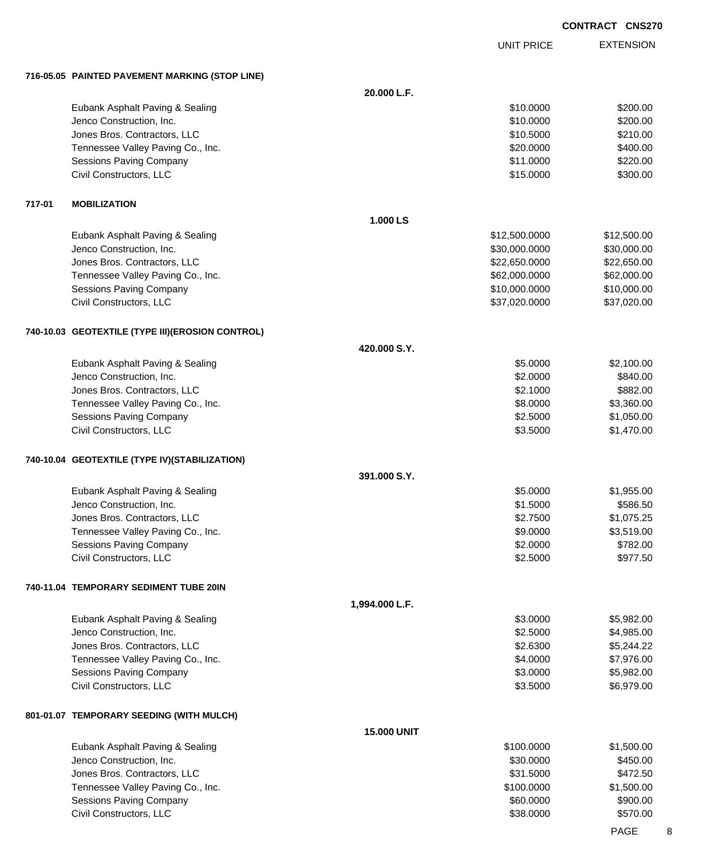UNIT PRICE

EXTENSION

**716-05.05 PAINTED PAVEMENT MARKING (STOP LINE)**

|        | 716-05.05 PAINTED PAVEMENT MARKING (STOP LINE)     |                    |                      |                        |
|--------|----------------------------------------------------|--------------------|----------------------|------------------------|
|        |                                                    | 20.000 L.F.        |                      |                        |
|        | Eubank Asphalt Paving & Sealing                    |                    | \$10.0000            | \$200.00               |
|        | Jenco Construction, Inc.                           |                    | \$10.0000            | \$200.00               |
|        | Jones Bros. Contractors, LLC                       |                    | \$10.5000            | \$210.00               |
|        | Tennessee Valley Paving Co., Inc.                  |                    | \$20.0000            | \$400.00               |
|        | <b>Sessions Paving Company</b>                     |                    | \$11.0000            | \$220.00               |
|        | Civil Constructors, LLC                            |                    | \$15.0000            | \$300.00               |
| 717-01 | <b>MOBILIZATION</b>                                |                    |                      |                        |
|        |                                                    | 1.000 LS           |                      |                        |
|        | Eubank Asphalt Paving & Sealing                    |                    | \$12,500.0000        | \$12,500.00            |
|        | Jenco Construction, Inc.                           |                    | \$30,000.0000        | \$30,000.00            |
|        | Jones Bros. Contractors, LLC                       |                    | \$22,650.0000        | \$22,650.00            |
|        | Tennessee Valley Paving Co., Inc.                  |                    | \$62,000.0000        | \$62,000.00            |
|        | <b>Sessions Paving Company</b>                     |                    | \$10,000.0000        | \$10,000.00            |
|        | Civil Constructors, LLC                            |                    | \$37,020.0000        | \$37,020.00            |
|        | 740-10.03 GEOTEXTILE (TYPE III)(EROSION CONTROL)   |                    |                      |                        |
|        |                                                    | 420.000 S.Y.       |                      |                        |
|        | Eubank Asphalt Paving & Sealing                    |                    | \$5.0000             | \$2,100.00             |
|        | Jenco Construction, Inc.                           |                    | \$2.0000             | \$840.00               |
|        | Jones Bros. Contractors, LLC                       |                    | \$2.1000             | \$882.00               |
|        | Tennessee Valley Paving Co., Inc.                  |                    | \$8.0000             | \$3,360.00             |
|        | <b>Sessions Paving Company</b>                     |                    | \$2.5000             | \$1,050.00             |
|        | Civil Constructors, LLC                            |                    | \$3.5000             | \$1,470.00             |
|        | 740-10.04 GEOTEXTILE (TYPE IV)(STABILIZATION)      |                    |                      |                        |
|        |                                                    | 391.000 S.Y.       |                      |                        |
|        | Eubank Asphalt Paving & Sealing                    |                    | \$5.0000             | \$1,955.00             |
|        | Jenco Construction, Inc.                           |                    | \$1.5000             | \$586.50               |
|        | Jones Bros. Contractors, LLC                       |                    | \$2.7500             | \$1,075.25             |
|        | Tennessee Valley Paving Co., Inc.                  |                    | \$9.0000<br>\$2.0000 | \$3,519.00<br>\$782.00 |
|        | Sessions Paving Company<br>Civil Constructors, LLC |                    | \$2.5000             | \$977.50               |
|        | 740-11.04 TEMPORARY SEDIMENT TUBE 20IN             |                    |                      |                        |
|        |                                                    | 1,994.000 L.F.     |                      |                        |
|        | Eubank Asphalt Paving & Sealing                    |                    | \$3.0000             | \$5,982.00             |
|        | Jenco Construction, Inc.                           |                    | \$2.5000             | \$4,985.00             |
|        | Jones Bros. Contractors, LLC                       |                    | \$2.6300             | \$5,244.22             |
|        | Tennessee Valley Paving Co., Inc.                  |                    | \$4.0000             | \$7,976.00             |
|        | <b>Sessions Paving Company</b>                     |                    | \$3.0000             | \$5,982.00             |
|        | Civil Constructors, LLC                            |                    | \$3.5000             | \$6,979.00             |
|        | 801-01.07 TEMPORARY SEEDING (WITH MULCH)           |                    |                      |                        |
|        |                                                    | <b>15.000 UNIT</b> |                      |                        |
|        | Eubank Asphalt Paving & Sealing                    |                    | \$100.0000           | \$1,500.00             |
|        | Jenco Construction, Inc.                           |                    | \$30.0000            | \$450.00               |
|        | Jones Bros. Contractors, LLC                       |                    | \$31.5000            | \$472.50               |
|        | Tennessee Valley Paving Co., Inc.                  |                    | \$100.0000           | \$1,500.00             |
|        | <b>Sessions Paving Company</b>                     |                    | \$60.0000            | \$900.00               |
|        | Civil Constructors, LLC                            |                    | \$38.0000            | \$570.00               |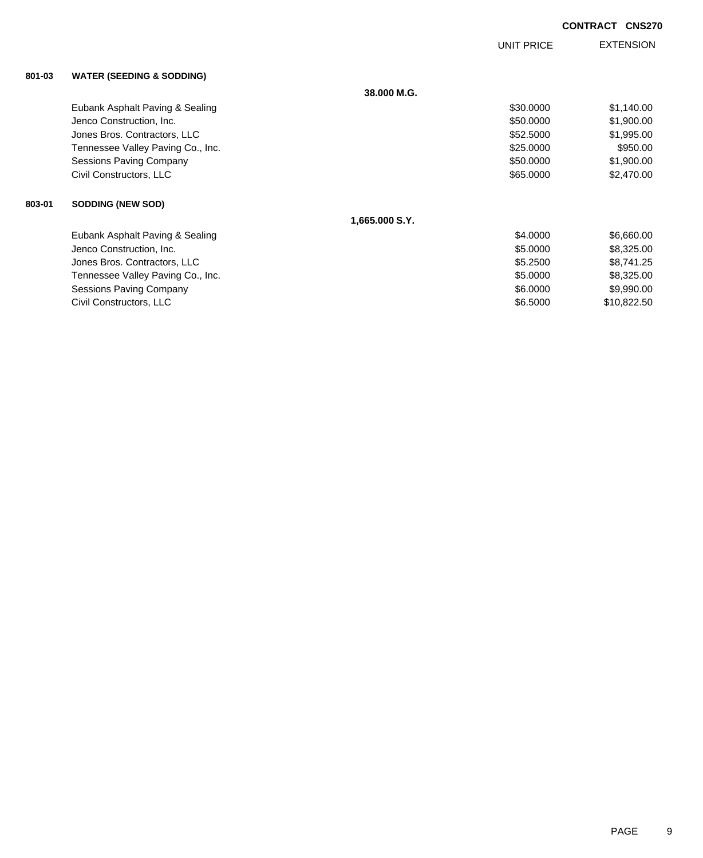UNIT PRICE

EXTENSION

| 801-03 | <b>WATER (SEEDING &amp; SODDING)</b> |  |
|--------|--------------------------------------|--|
|        |                                      |  |

|        | $\ldots$                          |                |           |             |
|--------|-----------------------------------|----------------|-----------|-------------|
|        |                                   | 38,000 M.G.    |           |             |
|        | Eubank Asphalt Paving & Sealing   |                | \$30.0000 | \$1,140.00  |
|        | Jenco Construction, Inc.          |                | \$50,0000 | \$1,900.00  |
|        | Jones Bros. Contractors, LLC      |                | \$52.5000 | \$1,995.00  |
|        | Tennessee Valley Paving Co., Inc. |                | \$25.0000 | \$950.00    |
|        | Sessions Paving Company           |                | \$50.0000 | \$1,900.00  |
|        | Civil Constructors, LLC           |                | \$65.0000 | \$2,470.00  |
| 803-01 | <b>SODDING (NEW SOD)</b>          |                |           |             |
|        |                                   | 1,665.000 S.Y. |           |             |
|        | Eubank Asphalt Paving & Sealing   |                | \$4.0000  | \$6,660.00  |
|        | Jenco Construction, Inc.          |                | \$5.0000  | \$8,325.00  |
|        | Jones Bros. Contractors, LLC      |                | \$5.2500  | \$8,741.25  |
|        | Tennessee Valley Paving Co., Inc. |                | \$5.0000  | \$8,325.00  |
|        | Sessions Paving Company           |                | \$6.0000  | \$9,990.00  |
|        | Civil Constructors, LLC           |                | \$6.5000  | \$10,822.50 |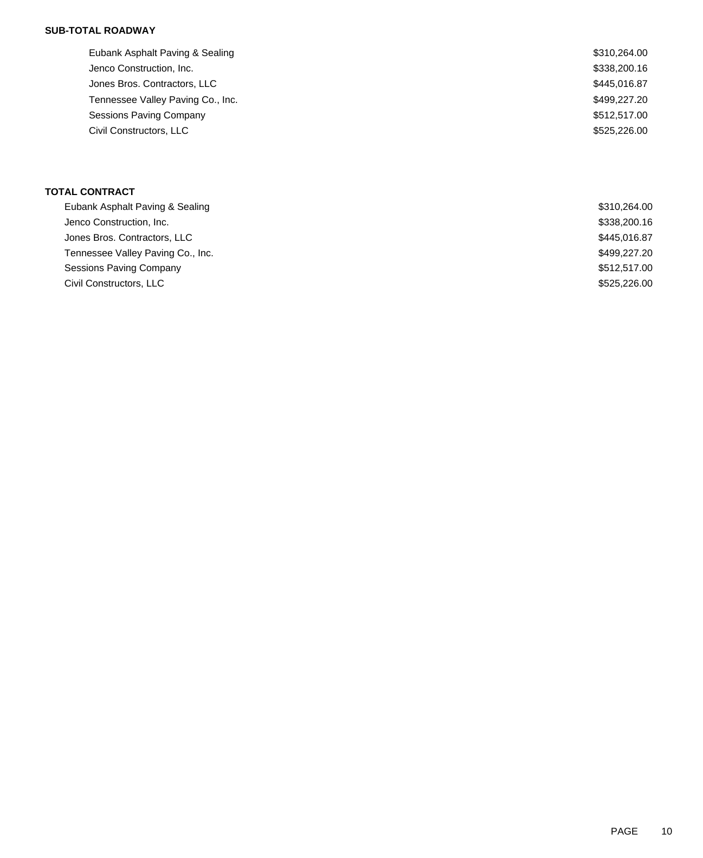### **SUB-TOTAL ROADWAY**

| Eubank Asphalt Paving & Sealing   | \$310,264.00 |
|-----------------------------------|--------------|
| Jenco Construction, Inc.          | \$338,200.16 |
| Jones Bros. Contractors, LLC      | \$445,016.87 |
| Tennessee Valley Paving Co., Inc. | \$499,227.20 |
| Sessions Paving Company           | \$512,517.00 |
| Civil Constructors, LLC           | \$525,226.00 |
|                                   |              |

## **TOTAL CONTRACT**

| Eubank Asphalt Paving & Sealing   | \$310,264.00 |
|-----------------------------------|--------------|
| Jenco Construction, Inc.          | \$338,200.16 |
| Jones Bros. Contractors, LLC      | \$445,016.87 |
| Tennessee Valley Paving Co., Inc. | \$499,227.20 |
| Sessions Paving Company           | \$512,517.00 |
| Civil Constructors, LLC           | \$525,226.00 |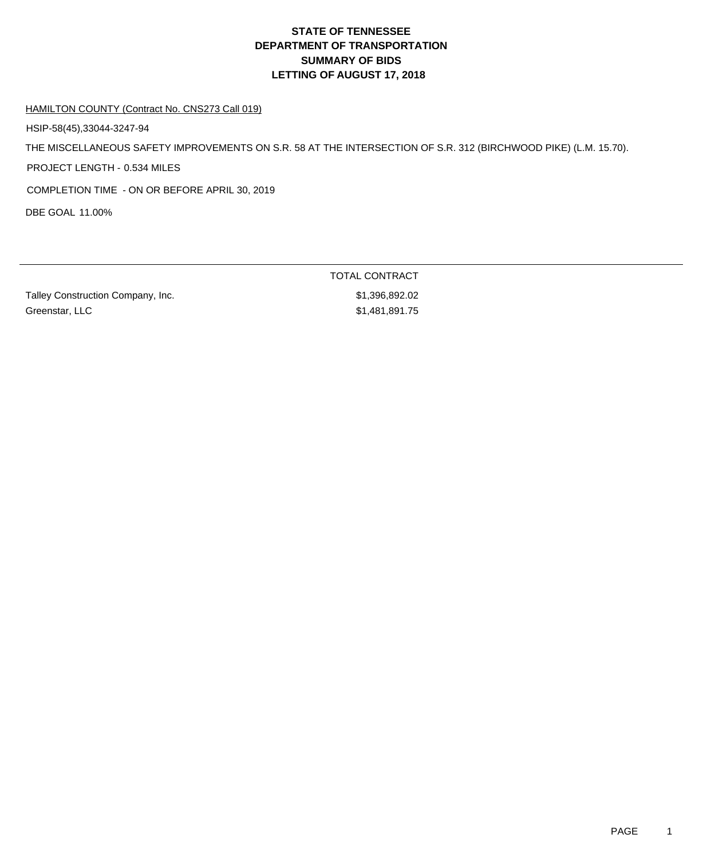# **DEPARTMENT OF TRANSPORTATION SUMMARY OF BIDS LETTING OF AUGUST 17, 2018 STATE OF TENNESSEE**

#### HAMILTON COUNTY (Contract No. CNS273 Call 019)

HSIP-58(45),33044-3247-94

THE MISCELLANEOUS SAFETY IMPROVEMENTS ON S.R. 58 AT THE INTERSECTION OF S.R. 312 (BIRCHWOOD PIKE) (L.M. 15.70).

PROJECT LENGTH - 0.534 MILES

COMPLETION TIME - ON OR BEFORE APRIL 30, 2019

DBE GOAL 11.00%

Talley Construction Company, Inc. 6. The state of the state of the state of the state of the state of the state of the state of the state of the state of the state of the state of the state of the state of the state of the Greenstar, LLC \$1,481,891.75

TOTAL CONTRACT

PAGE 1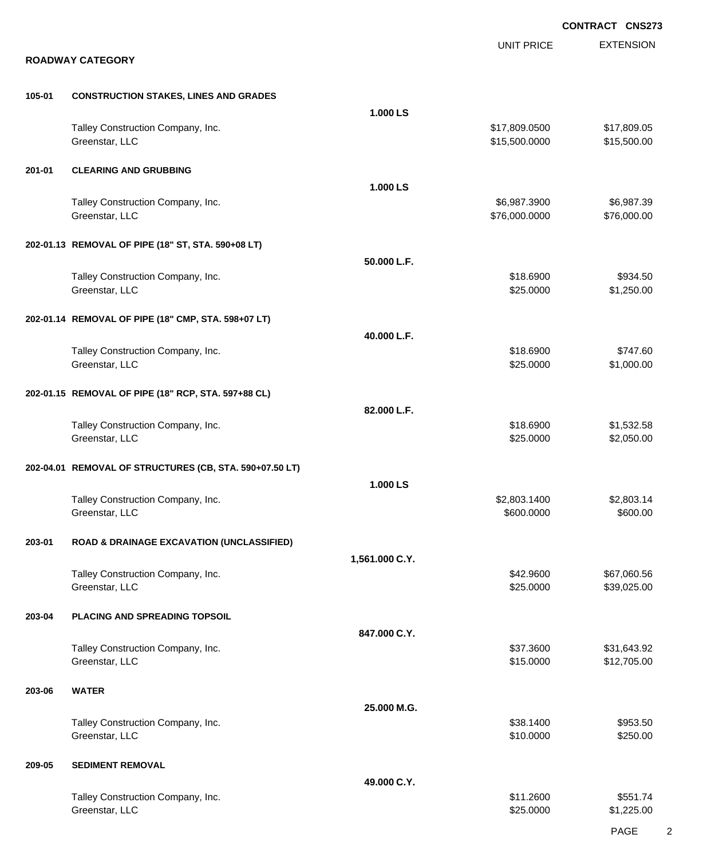|        |                                                         |                | <b>CONTRACT CNS273</b>         |                            |  |
|--------|---------------------------------------------------------|----------------|--------------------------------|----------------------------|--|
|        | <b>ROADWAY CATEGORY</b>                                 |                | <b>UNIT PRICE</b>              | <b>EXTENSION</b>           |  |
| 105-01 | <b>CONSTRUCTION STAKES, LINES AND GRADES</b>            |                |                                |                            |  |
|        |                                                         | 1.000 LS       |                                |                            |  |
|        | Talley Construction Company, Inc.<br>Greenstar, LLC     |                | \$17,809.0500<br>\$15,500.0000 | \$17,809.05<br>\$15,500.00 |  |
| 201-01 | <b>CLEARING AND GRUBBING</b>                            |                |                                |                            |  |
|        |                                                         | 1.000 LS       |                                |                            |  |
|        | Talley Construction Company, Inc.<br>Greenstar, LLC     |                | \$6,987.3900<br>\$76,000.0000  | \$6,987.39<br>\$76,000.00  |  |
|        | 202-01.13 REMOVAL OF PIPE (18" ST, STA. 590+08 LT)      |                |                                |                            |  |
|        |                                                         | 50.000 L.F.    |                                |                            |  |
|        | Talley Construction Company, Inc.<br>Greenstar, LLC     |                | \$18.6900<br>\$25.0000         | \$934.50<br>\$1,250.00     |  |
|        | 202-01.14 REMOVAL OF PIPE (18" CMP, STA. 598+07 LT)     |                |                                |                            |  |
|        | Talley Construction Company, Inc.                       | 40.000 L.F.    | \$18.6900                      | \$747.60                   |  |
|        | Greenstar, LLC                                          |                | \$25.0000                      | \$1,000.00                 |  |
|        | 202-01.15 REMOVAL OF PIPE (18" RCP, STA. 597+88 CL)     | 82.000 L.F.    |                                |                            |  |
|        | Talley Construction Company, Inc.                       |                | \$18.6900                      | \$1,532.58                 |  |
|        | Greenstar, LLC                                          |                | \$25.0000                      | \$2,050.00                 |  |
|        | 202-04.01 REMOVAL OF STRUCTURES (CB, STA. 590+07.50 LT) | 1.000 LS       |                                |                            |  |
|        | Talley Construction Company, Inc.                       |                | \$2,803.1400                   | \$2,803.14                 |  |
|        | Greenstar, LLC                                          |                | \$600.0000                     | \$600.00                   |  |
| 203-01 | <b>ROAD &amp; DRAINAGE EXCAVATION (UNCLASSIFIED)</b>    |                |                                |                            |  |
|        |                                                         | 1,561.000 C.Y. |                                |                            |  |
|        | Talley Construction Company, Inc.<br>Greenstar, LLC     |                | \$42.9600<br>\$25.0000         | \$67,060.56<br>\$39,025.00 |  |
| 203-04 | PLACING AND SPREADING TOPSOIL                           | 847.000 C.Y.   |                                |                            |  |
|        | Talley Construction Company, Inc.                       |                | \$37.3600                      | \$31,643.92                |  |
|        | Greenstar, LLC                                          |                | \$15.0000                      | \$12,705.00                |  |
| 203-06 | <b>WATER</b>                                            | 25.000 M.G.    |                                |                            |  |
|        | Talley Construction Company, Inc.                       |                | \$38.1400                      | \$953.50                   |  |
|        | Greenstar, LLC                                          |                | \$10.0000                      | \$250.00                   |  |
| 209-05 | <b>SEDIMENT REMOVAL</b>                                 | 49.000 C.Y.    |                                |                            |  |
|        | Talley Construction Company, Inc.                       |                | \$11.2600                      | \$551.74                   |  |
|        | Greenstar, LLC                                          |                | \$25.0000                      | \$1,225.00                 |  |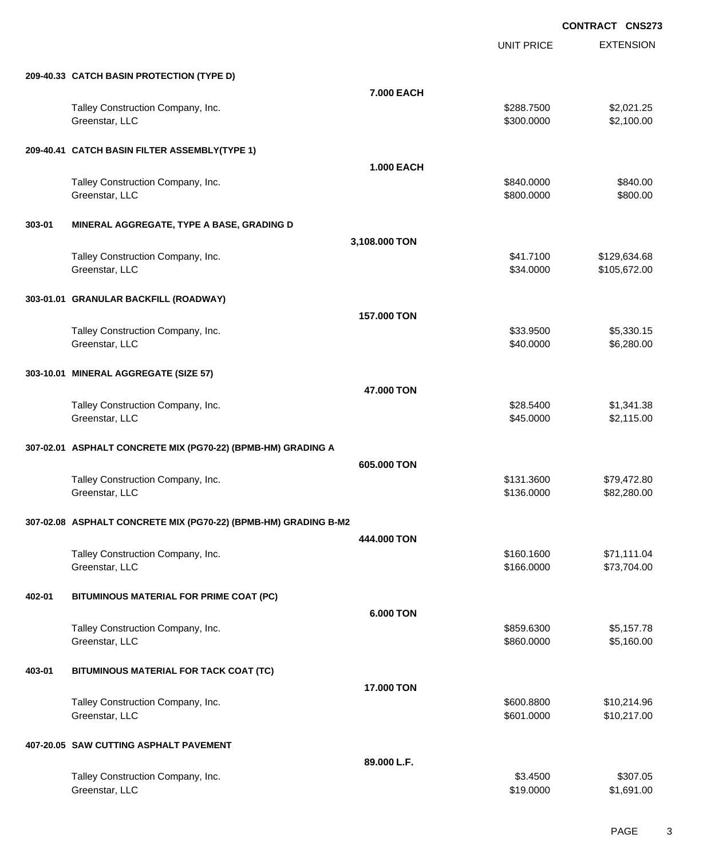|        |                                                                 |                   | UNIT PRICE               | <b>EXTENSION</b>             |
|--------|-----------------------------------------------------------------|-------------------|--------------------------|------------------------------|
|        | 209-40.33 CATCH BASIN PROTECTION (TYPE D)                       |                   |                          |                              |
|        |                                                                 | 7.000 EACH        |                          |                              |
|        | Talley Construction Company, Inc.<br>Greenstar, LLC             |                   | \$288.7500<br>\$300.0000 | \$2,021.25<br>\$2,100.00     |
|        | 209-40.41 CATCH BASIN FILTER ASSEMBLY(TYPE 1)                   |                   |                          |                              |
|        |                                                                 | <b>1.000 EACH</b> |                          |                              |
|        | Talley Construction Company, Inc.<br>Greenstar, LLC             |                   | \$840.0000<br>\$800.0000 | \$840.00<br>\$800.00         |
| 303-01 | MINERAL AGGREGATE, TYPE A BASE, GRADING D                       |                   |                          |                              |
|        |                                                                 | 3,108.000 TON     |                          |                              |
|        | Talley Construction Company, Inc.<br>Greenstar, LLC             |                   | \$41.7100<br>\$34.0000   | \$129,634.68<br>\$105,672.00 |
|        | 303-01.01 GRANULAR BACKFILL (ROADWAY)                           |                   |                          |                              |
|        |                                                                 | 157.000 TON       |                          |                              |
|        | Talley Construction Company, Inc.                               |                   | \$33.9500                | \$5,330.15                   |
|        | Greenstar, LLC                                                  |                   | \$40.0000                | \$6,280.00                   |
|        | 303-10.01 MINERAL AGGREGATE (SIZE 57)                           |                   |                          |                              |
|        |                                                                 | 47,000 TON        |                          |                              |
|        | Talley Construction Company, Inc.<br>Greenstar, LLC             |                   | \$28.5400<br>\$45.0000   | \$1,341.38<br>\$2,115.00     |
|        | 307-02.01 ASPHALT CONCRETE MIX (PG70-22) (BPMB-HM) GRADING A    |                   |                          |                              |
|        |                                                                 | 605.000 TON       |                          |                              |
|        | Talley Construction Company, Inc.<br>Greenstar, LLC             |                   | \$131.3600<br>\$136.0000 | \$79,472.80<br>\$82,280.00   |
|        | 307-02.08 ASPHALT CONCRETE MIX (PG70-22) (BPMB-HM) GRADING B-M2 |                   |                          |                              |
|        |                                                                 | 444.000 TON       |                          |                              |
|        | Talley Construction Company, Inc.<br>Greenstar, LLC             |                   | \$160.1600<br>\$166.0000 | \$71,111.04<br>\$73,704.00   |
| 402-01 | BITUMINOUS MATERIAL FOR PRIME COAT (PC)                         |                   |                          |                              |
|        |                                                                 | 6.000 TON         |                          |                              |
|        | Talley Construction Company, Inc.<br>Greenstar, LLC             |                   | \$859.6300<br>\$860.0000 | \$5,157.78<br>\$5,160.00     |
| 403-01 | BITUMINOUS MATERIAL FOR TACK COAT (TC)                          |                   |                          |                              |
|        |                                                                 | 17.000 TON        |                          |                              |
|        | Talley Construction Company, Inc.<br>Greenstar, LLC             |                   | \$600.8800<br>\$601.0000 | \$10,214.96<br>\$10,217.00   |
|        | 407-20.05 SAW CUTTING ASPHALT PAVEMENT                          |                   |                          |                              |
|        |                                                                 | 89.000 L.F.       |                          |                              |
|        | Talley Construction Company, Inc.<br>Greenstar, LLC             |                   | \$3.4500<br>\$19.0000    | \$307.05<br>\$1,691.00       |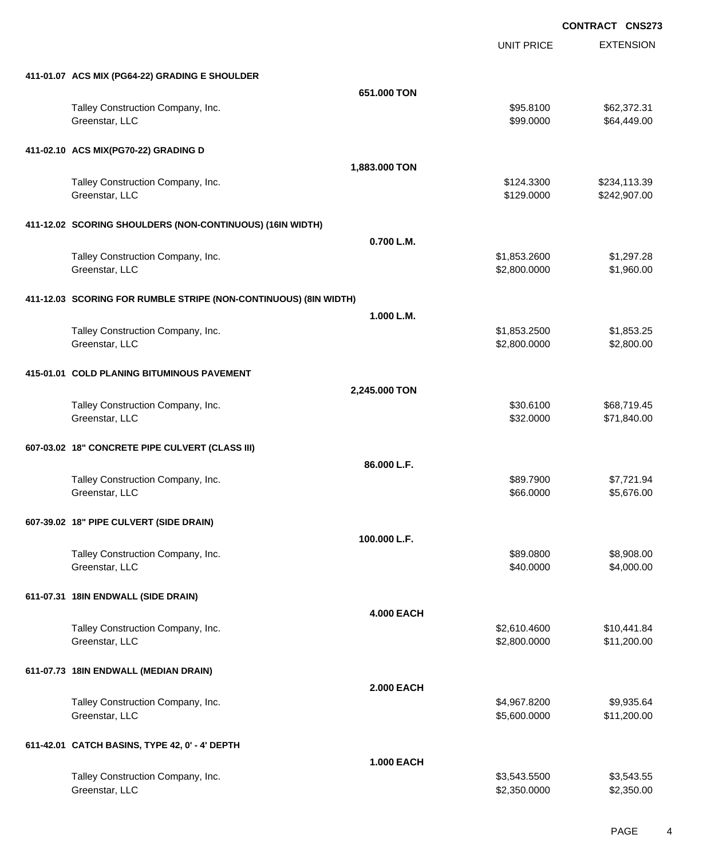UNIT PRICE EXTENSION

| 411-01.07 ACS MIX (PG64-22) GRADING E SHOULDER                   |                   |                              |                            |
|------------------------------------------------------------------|-------------------|------------------------------|----------------------------|
|                                                                  | 651.000 TON       |                              |                            |
| Talley Construction Company, Inc.<br>Greenstar, LLC              |                   | \$95.8100<br>\$99.0000       | \$62,372.31<br>\$64,449.00 |
| 411-02.10 ACS MIX(PG70-22) GRADING D                             |                   |                              |                            |
|                                                                  | 1,883.000 TON     |                              |                            |
| Talley Construction Company, Inc.                                |                   | \$124.3300                   | \$234,113.39               |
| Greenstar, LLC                                                   |                   | \$129.0000                   | \$242,907.00               |
|                                                                  |                   |                              |                            |
| 411-12.02 SCORING SHOULDERS (NON-CONTINUOUS) (16IN WIDTH)        |                   |                              |                            |
|                                                                  | 0.700 L.M.        |                              |                            |
| Talley Construction Company, Inc.                                |                   | \$1,853.2600                 | \$1,297.28                 |
| Greenstar, LLC                                                   |                   | \$2,800.0000                 | \$1,960.00                 |
|                                                                  |                   |                              |                            |
| 411-12.03 SCORING FOR RUMBLE STRIPE (NON-CONTINUOUS) (8IN WIDTH) |                   |                              |                            |
|                                                                  | 1.000 L.M.        |                              |                            |
| Talley Construction Company, Inc.<br>Greenstar, LLC              |                   | \$1,853.2500<br>\$2,800.0000 | \$1,853.25<br>\$2,800.00   |
|                                                                  |                   |                              |                            |
| 415-01.01 COLD PLANING BITUMINOUS PAVEMENT                       |                   |                              |                            |
|                                                                  | 2,245.000 TON     |                              |                            |
| Talley Construction Company, Inc.                                |                   | \$30.6100                    | \$68,719.45                |
| Greenstar, LLC                                                   |                   | \$32.0000                    | \$71,840.00                |
|                                                                  |                   |                              |                            |
| 607-03.02 18" CONCRETE PIPE CULVERT (CLASS III)                  |                   |                              |                            |
|                                                                  | 86.000 L.F.       |                              |                            |
| Talley Construction Company, Inc.                                |                   | \$89.7900                    | \$7,721.94                 |
| Greenstar, LLC                                                   |                   | \$66.0000                    | \$5,676.00                 |
|                                                                  |                   |                              |                            |
| 607-39.02 18" PIPE CULVERT (SIDE DRAIN)                          |                   |                              |                            |
|                                                                  | 100.000 L.F.      |                              |                            |
| Talley Construction Company, Inc.                                |                   | \$89,0800                    | \$8,908.00                 |
| Greenstar, LLC                                                   |                   | \$40.0000                    | \$4,000.00                 |
| 611-07.31 18IN ENDWALL (SIDE DRAIN)                              |                   |                              |                            |
|                                                                  | <b>4.000 EACH</b> |                              |                            |
| Talley Construction Company, Inc.                                |                   | \$2,610.4600                 | \$10,441.84                |
| Greenstar, LLC                                                   |                   | \$2,800.0000                 | \$11,200.00                |
|                                                                  |                   |                              |                            |
| 611-07.73 18IN ENDWALL (MEDIAN DRAIN)                            |                   |                              |                            |
|                                                                  | <b>2.000 EACH</b> |                              |                            |
| Talley Construction Company, Inc.                                |                   | \$4,967.8200                 | \$9,935.64                 |
| Greenstar, LLC                                                   |                   | \$5,600.0000                 | \$11,200.00                |
|                                                                  |                   |                              |                            |
| 611-42.01 CATCH BASINS, TYPE 42, 0' - 4' DEPTH                   |                   |                              |                            |
|                                                                  | <b>1.000 EACH</b> |                              |                            |
| Talley Construction Company, Inc.                                |                   | \$3,543.5500                 | \$3,543.55                 |
| Greenstar, LLC                                                   |                   | \$2,350.0000                 | \$2,350.00                 |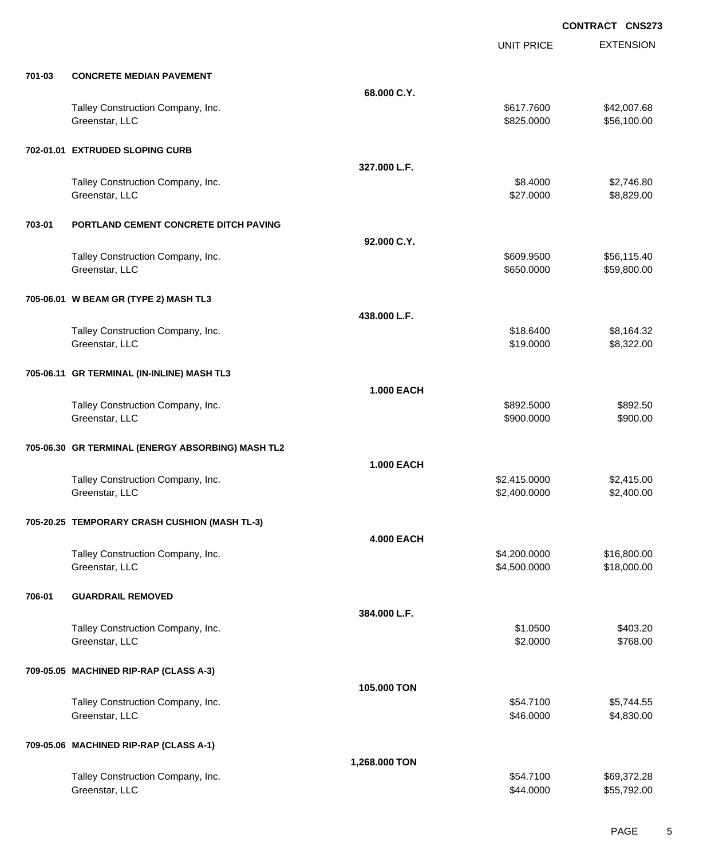|        |                                                     |                   | <b>UNIT PRICE</b>            | <b>EXTENSION</b>           |
|--------|-----------------------------------------------------|-------------------|------------------------------|----------------------------|
| 701-03 | <b>CONCRETE MEDIAN PAVEMENT</b>                     |                   |                              |                            |
|        |                                                     | 68.000 C.Y.       |                              |                            |
|        | Talley Construction Company, Inc.<br>Greenstar, LLC |                   | \$617.7600<br>\$825.0000     | \$42,007.68<br>\$56,100.00 |
|        | 702-01.01 EXTRUDED SLOPING CURB                     |                   |                              |                            |
|        |                                                     | 327.000 L.F.      |                              |                            |
|        | Talley Construction Company, Inc.<br>Greenstar, LLC |                   | \$8.4000<br>\$27.0000        | \$2,746.80<br>\$8,829.00   |
| 703-01 | PORTLAND CEMENT CONCRETE DITCH PAVING               |                   |                              |                            |
|        |                                                     | 92.000 C.Y.       |                              |                            |
|        | Talley Construction Company, Inc.<br>Greenstar, LLC |                   | \$609.9500<br>\$650.0000     | \$56,115.40<br>\$59,800.00 |
|        | 705-06.01 W BEAM GR (TYPE 2) MASH TL3               |                   |                              |                            |
|        |                                                     | 438.000 L.F.      |                              |                            |
|        | Talley Construction Company, Inc.<br>Greenstar, LLC |                   | \$18.6400<br>\$19.0000       | \$8,164.32<br>\$8,322.00   |
|        | 705-06.11 GR TERMINAL (IN-INLINE) MASH TL3          |                   |                              |                            |
|        |                                                     | <b>1.000 EACH</b> |                              |                            |
|        | Talley Construction Company, Inc.<br>Greenstar, LLC |                   | \$892.5000<br>\$900.0000     | \$892.50<br>\$900.00       |
|        | 705-06.30 GR TERMINAL (ENERGY ABSORBING) MASH TL2   |                   |                              |                            |
|        |                                                     | <b>1.000 EACH</b> |                              |                            |
|        | Talley Construction Company, Inc.<br>Greenstar, LLC |                   | \$2,415.0000<br>\$2,400.0000 | \$2,415.00<br>\$2,400.00   |
|        | 705-20.25 TEMPORARY CRASH CUSHION (MASH TL-3)       |                   |                              |                            |
|        |                                                     | <b>4.000 EACH</b> |                              |                            |
|        | Talley Construction Company, Inc.<br>Greenstar, LLC |                   | \$4,200.0000<br>\$4,500.0000 | \$16,800.00<br>\$18,000.00 |
| 706-01 | <b>GUARDRAIL REMOVED</b>                            |                   |                              |                            |
|        |                                                     | 384.000 L.F.      |                              |                            |
|        | Talley Construction Company, Inc.<br>Greenstar, LLC |                   | \$1.0500<br>\$2.0000         | \$403.20<br>\$768.00       |
|        | 709-05.05 MACHINED RIP-RAP (CLASS A-3)              |                   |                              |                            |
|        |                                                     | 105.000 TON       |                              |                            |
|        | Talley Construction Company, Inc.<br>Greenstar, LLC |                   | \$54.7100<br>\$46.0000       | \$5,744.55<br>\$4,830.00   |
|        | 709-05.06 MACHINED RIP-RAP (CLASS A-1)              |                   |                              |                            |
|        |                                                     | 1,268.000 TON     |                              |                            |
|        | Talley Construction Company, Inc.<br>Greenstar, LLC |                   | \$54.7100<br>\$44.0000       | \$69,372.28<br>\$55,792.00 |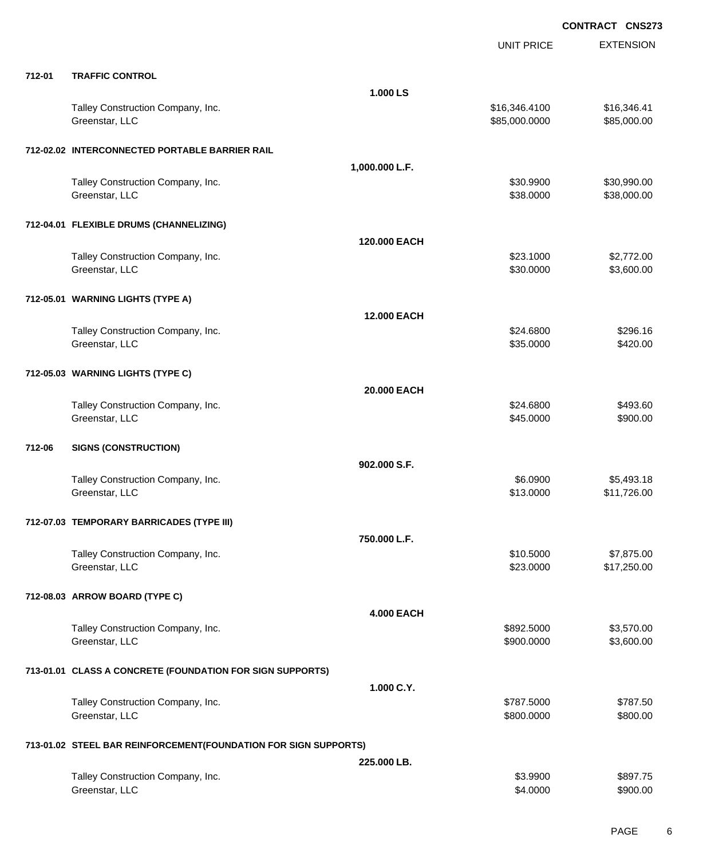|        |                                                                 |                   | <b>UNIT PRICE</b>              | <b>EXTENSION</b>           |
|--------|-----------------------------------------------------------------|-------------------|--------------------------------|----------------------------|
| 712-01 | <b>TRAFFIC CONTROL</b>                                          |                   |                                |                            |
|        |                                                                 | 1.000 LS          |                                |                            |
|        | Talley Construction Company, Inc.<br>Greenstar, LLC             |                   | \$16,346.4100<br>\$85,000.0000 | \$16,346.41<br>\$85,000.00 |
|        | 712-02.02 INTERCONNECTED PORTABLE BARRIER RAIL                  |                   |                                |                            |
|        |                                                                 | 1,000.000 L.F.    |                                |                            |
|        | Talley Construction Company, Inc.<br>Greenstar, LLC             |                   | \$30.9900<br>\$38.0000         | \$30,990.00<br>\$38,000.00 |
|        | 712-04.01 FLEXIBLE DRUMS (CHANNELIZING)                         |                   |                                |                            |
|        |                                                                 | 120.000 EACH      |                                |                            |
|        | Talley Construction Company, Inc.<br>Greenstar, LLC             |                   | \$23.1000<br>\$30.0000         | \$2,772.00<br>\$3,600.00   |
|        | 712-05.01 WARNING LIGHTS (TYPE A)                               |                   |                                |                            |
|        |                                                                 | 12.000 EACH       |                                |                            |
|        | Talley Construction Company, Inc.<br>Greenstar, LLC             |                   | \$24.6800<br>\$35.0000         | \$296.16<br>\$420.00       |
|        | 712-05.03 WARNING LIGHTS (TYPE C)                               |                   |                                |                            |
|        |                                                                 | 20,000 EACH       |                                |                            |
|        | Talley Construction Company, Inc.<br>Greenstar, LLC             |                   | \$24.6800<br>\$45.0000         | \$493.60<br>\$900.00       |
| 712-06 | <b>SIGNS (CONSTRUCTION)</b>                                     |                   |                                |                            |
|        |                                                                 | 902.000 S.F.      |                                |                            |
|        | Talley Construction Company, Inc.<br>Greenstar, LLC             |                   | \$6.0900<br>\$13.0000          | \$5,493.18<br>\$11,726.00  |
|        | 712-07.03 TEMPORARY BARRICADES (TYPE III)                       |                   |                                |                            |
|        |                                                                 | 750.000 L.F.      |                                |                            |
|        | Talley Construction Company, Inc.<br>Greenstar, LLC             |                   | \$10.5000<br>\$23.0000         | \$7,875.00<br>\$17,250.00  |
|        | 712-08.03 ARROW BOARD (TYPE C)                                  |                   |                                |                            |
|        |                                                                 | <b>4.000 EACH</b> |                                |                            |
|        | Talley Construction Company, Inc.<br>Greenstar, LLC             |                   | \$892.5000<br>\$900.0000       | \$3,570.00<br>\$3,600.00   |
|        | 713-01.01 CLASS A CONCRETE (FOUNDATION FOR SIGN SUPPORTS)       |                   |                                |                            |
|        |                                                                 | 1.000 C.Y.        |                                |                            |
|        | Talley Construction Company, Inc.<br>Greenstar, LLC             |                   | \$787.5000<br>\$800.0000       | \$787.50<br>\$800.00       |
|        | 713-01.02 STEEL BAR REINFORCEMENT(FOUNDATION FOR SIGN SUPPORTS) |                   |                                |                            |
|        |                                                                 | 225.000 LB.       |                                |                            |
|        | Talley Construction Company, Inc.<br>Greenstar, LLC             |                   | \$3.9900<br>\$4.0000           | \$897.75<br>\$900.00       |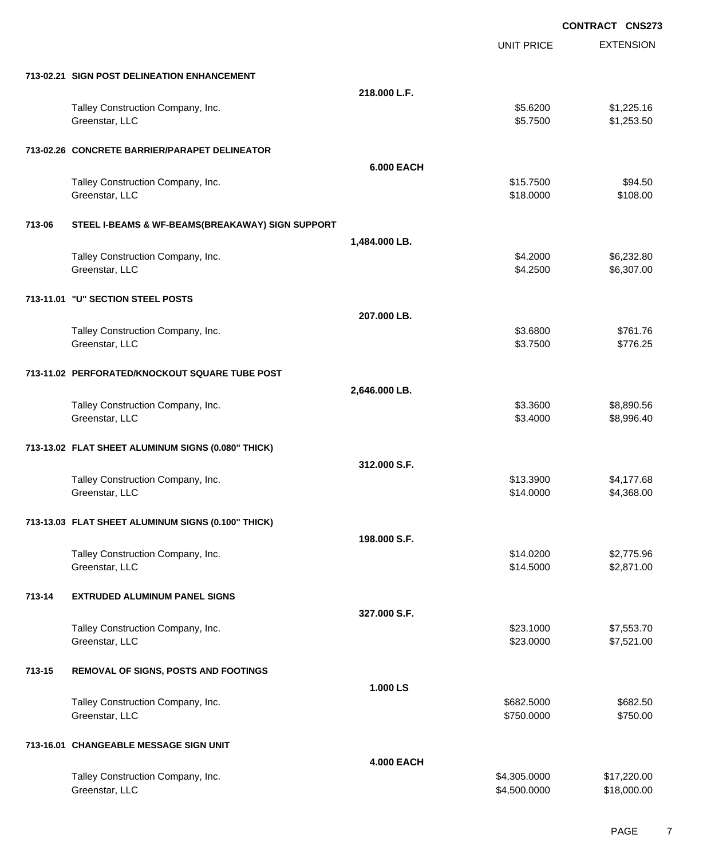|        |                                                    |                   | <b>CONTRACT CNS273</b> |                  |
|--------|----------------------------------------------------|-------------------|------------------------|------------------|
|        |                                                    |                   | <b>UNIT PRICE</b>      | <b>EXTENSION</b> |
|        | 713-02.21 SIGN POST DELINEATION ENHANCEMENT        |                   |                        |                  |
|        |                                                    | 218.000 L.F.      |                        |                  |
|        | Talley Construction Company, Inc.                  |                   | \$5.6200               | \$1,225.16       |
|        | Greenstar, LLC                                     |                   | \$5.7500               | \$1,253.50       |
|        | 713-02.26 CONCRETE BARRIER/PARAPET DELINEATOR      |                   |                        |                  |
|        |                                                    | <b>6.000 EACH</b> |                        |                  |
|        | Talley Construction Company, Inc.                  |                   | \$15.7500              | \$94.50          |
|        | Greenstar, LLC                                     |                   | \$18.0000              | \$108.00         |
| 713-06 | STEEL I-BEAMS & WF-BEAMS(BREAKAWAY) SIGN SUPPORT   |                   |                        |                  |
|        |                                                    | 1,484.000 LB.     |                        |                  |
|        | Talley Construction Company, Inc.                  |                   | \$4.2000               | \$6,232.80       |
|        | Greenstar, LLC                                     |                   | \$4.2500               | \$6,307.00       |
|        | 713-11.01 "U" SECTION STEEL POSTS                  |                   |                        |                  |
|        |                                                    | 207.000 LB.       |                        |                  |
|        | Talley Construction Company, Inc.                  |                   | \$3.6800               | \$761.76         |
|        | Greenstar, LLC                                     |                   | \$3.7500               | \$776.25         |
|        | 713-11.02 PERFORATED/KNOCKOUT SQUARE TUBE POST     |                   |                        |                  |
|        |                                                    | 2,646.000 LB.     |                        |                  |
|        | Talley Construction Company, Inc.                  |                   | \$3.3600               | \$8,890.56       |
|        | Greenstar, LLC                                     |                   | \$3.4000               | \$8,996.40       |
|        | 713-13.02 FLAT SHEET ALUMINUM SIGNS (0.080" THICK) |                   |                        |                  |
|        |                                                    | 312.000 S.F.      |                        |                  |
|        | Talley Construction Company, Inc.                  |                   | \$13.3900              | \$4,177.68       |
|        | Greenstar, LLC                                     |                   | \$14.0000              | \$4,368.00       |
|        | 713-13.03 FLAT SHEET ALUMINUM SIGNS (0.100" THICK) |                   |                        |                  |
|        |                                                    | 198.000 S.F.      |                        |                  |
|        | Talley Construction Company, Inc.                  |                   | \$14.0200              | \$2,775.96       |
|        | Greenstar, LLC                                     |                   | \$14.5000              | \$2,871.00       |
| 713-14 | <b>EXTRUDED ALUMINUM PANEL SIGNS</b>               |                   |                        |                  |
|        |                                                    | 327.000 S.F.      |                        |                  |
|        | Talley Construction Company, Inc.                  |                   | \$23.1000              | \$7,553.70       |
|        | Greenstar, LLC                                     |                   | \$23.0000              | \$7,521.00       |
| 713-15 | <b>REMOVAL OF SIGNS, POSTS AND FOOTINGS</b>        |                   |                        |                  |
|        |                                                    | 1.000 LS          |                        |                  |
|        | Talley Construction Company, Inc.                  |                   | \$682.5000             | \$682.50         |
|        | Greenstar, LLC                                     |                   | \$750.0000             | \$750.00         |
|        | 713-16.01 CHANGEABLE MESSAGE SIGN UNIT             |                   |                        |                  |
|        |                                                    | <b>4.000 EACH</b> |                        |                  |
|        | Talley Construction Company, Inc.                  |                   | \$4,305.0000           | \$17,220.00      |
|        | Greenstar, LLC                                     |                   | \$4,500.0000           | \$18,000.00      |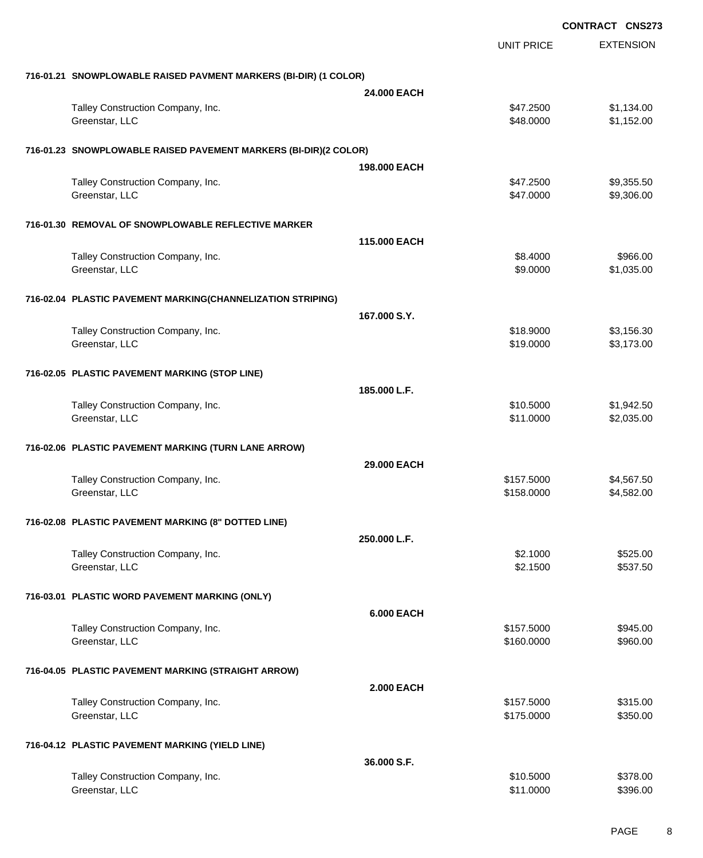|                                                                  |                   |                   | <b>CONTRACT CNS273</b> |
|------------------------------------------------------------------|-------------------|-------------------|------------------------|
|                                                                  |                   | <b>UNIT PRICE</b> | <b>EXTENSION</b>       |
| 716-01.21 SNOWPLOWABLE RAISED PAVMENT MARKERS (BI-DIR) (1 COLOR) |                   |                   |                        |
|                                                                  | 24,000 EACH       |                   |                        |
| Talley Construction Company, Inc.                                |                   | \$47.2500         | \$1,134.00             |
| Greenstar, LLC                                                   |                   | \$48.0000         | \$1,152.00             |
| 716-01.23 SNOWPLOWABLE RAISED PAVEMENT MARKERS (BI-DIR)(2 COLOR) |                   |                   |                        |
|                                                                  | 198,000 EACH      |                   |                        |
| Talley Construction Company, Inc.                                |                   | \$47.2500         | \$9,355.50             |
| Greenstar, LLC                                                   |                   | \$47.0000         | \$9,306.00             |
| 716-01.30 REMOVAL OF SNOWPLOWABLE REFLECTIVE MARKER              |                   |                   |                        |
|                                                                  | 115.000 EACH      |                   |                        |
| Talley Construction Company, Inc.                                |                   | \$8.4000          | \$966.00               |
| Greenstar, LLC                                                   |                   | \$9.0000          | \$1,035.00             |
| 716-02.04 PLASTIC PAVEMENT MARKING(CHANNELIZATION STRIPING)      |                   |                   |                        |
|                                                                  | 167,000 S.Y.      |                   |                        |
| Talley Construction Company, Inc.                                |                   | \$18.9000         | \$3,156.30             |
| Greenstar, LLC                                                   |                   | \$19.0000         | \$3,173.00             |
| 716-02.05 PLASTIC PAVEMENT MARKING (STOP LINE)                   |                   |                   |                        |
|                                                                  | 185.000 L.F.      |                   |                        |
| Talley Construction Company, Inc.                                |                   | \$10.5000         | \$1,942.50             |
| Greenstar, LLC                                                   |                   | \$11.0000         | \$2,035.00             |
| 716-02.06 PLASTIC PAVEMENT MARKING (TURN LANE ARROW)             |                   |                   |                        |
|                                                                  | 29.000 EACH       |                   |                        |
| Talley Construction Company, Inc.                                |                   | \$157.5000        | \$4,567.50             |
| Greenstar, LLC                                                   |                   | \$158.0000        | \$4,582.00             |
| 716-02.08 PLASTIC PAVEMENT MARKING (8" DOTTED LINE)              |                   |                   |                        |
|                                                                  | 250,000 L.F.      |                   |                        |
| Talley Construction Company, Inc.                                |                   | \$2.1000          | \$525.00               |
| Greenstar, LLC                                                   |                   | \$2.1500          | \$537.50               |
| 716-03.01 PLASTIC WORD PAVEMENT MARKING (ONLY)                   |                   |                   |                        |
|                                                                  | <b>6.000 EACH</b> |                   |                        |
| Talley Construction Company, Inc.                                |                   | \$157.5000        | \$945.00               |
| Greenstar, LLC                                                   |                   | \$160.0000        | \$960.00               |
| 716-04.05 PLASTIC PAVEMENT MARKING (STRAIGHT ARROW)              |                   |                   |                        |
|                                                                  | <b>2.000 EACH</b> |                   |                        |
| Talley Construction Company, Inc.                                |                   | \$157.5000        | \$315.00               |
| Greenstar, LLC                                                   |                   | \$175.0000        | \$350.00               |
| 716-04.12 PLASTIC PAVEMENT MARKING (YIELD LINE)                  |                   |                   |                        |
|                                                                  | 36.000 S.F.       |                   |                        |
| Talley Construction Company, Inc.                                |                   | \$10.5000         | \$378.00               |
| Greenstar, LLC                                                   |                   | \$11.0000         | \$396.00               |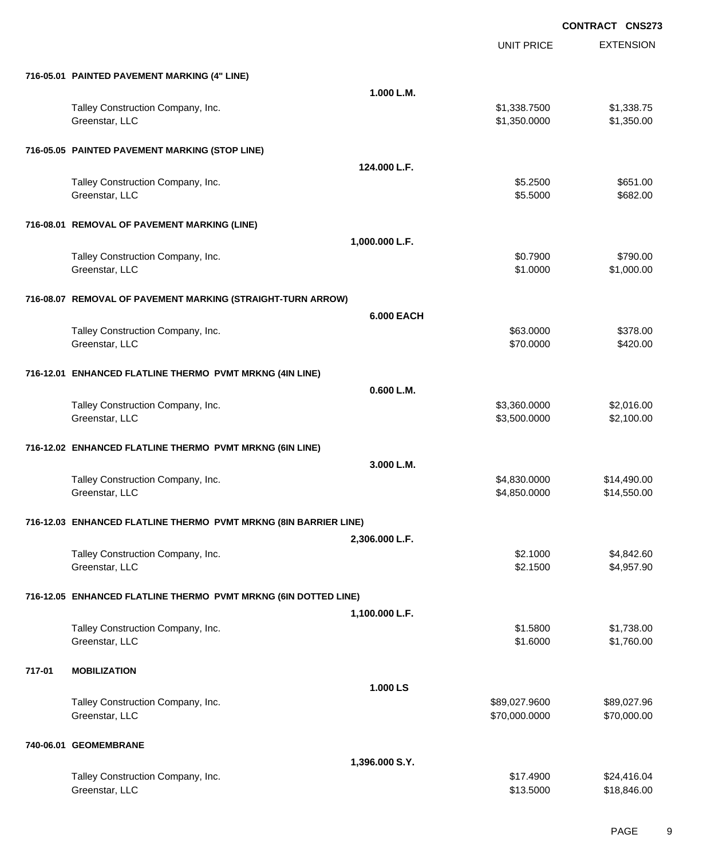|        |                                                                  |                   | <b>UNIT PRICE</b>              | <b>EXTENSION</b>           |
|--------|------------------------------------------------------------------|-------------------|--------------------------------|----------------------------|
|        | 716-05.01 PAINTED PAVEMENT MARKING (4" LINE)                     |                   |                                |                            |
|        |                                                                  | 1.000 L.M.        |                                |                            |
|        | Talley Construction Company, Inc.<br>Greenstar, LLC              |                   | \$1,338.7500<br>\$1,350.0000   | \$1,338.75<br>\$1,350.00   |
|        | 716-05.05 PAINTED PAVEMENT MARKING (STOP LINE)                   |                   |                                |                            |
|        |                                                                  | 124.000 L.F.      |                                |                            |
|        | Talley Construction Company, Inc.<br>Greenstar, LLC              |                   | \$5.2500<br>\$5.5000           | \$651.00<br>\$682.00       |
|        | 716-08.01 REMOVAL OF PAVEMENT MARKING (LINE)                     |                   |                                |                            |
|        |                                                                  | 1,000.000 L.F.    |                                |                            |
|        | Talley Construction Company, Inc.<br>Greenstar, LLC              |                   | \$0.7900<br>\$1.0000           | \$790.00<br>\$1,000.00     |
|        | 716-08.07 REMOVAL OF PAVEMENT MARKING (STRAIGHT-TURN ARROW)      |                   |                                |                            |
|        |                                                                  | <b>6.000 EACH</b> |                                |                            |
|        | Talley Construction Company, Inc.<br>Greenstar, LLC              |                   | \$63.0000<br>\$70.0000         | \$378.00<br>\$420.00       |
|        | 716-12.01 ENHANCED FLATLINE THERMO PVMT MRKNG (4IN LINE)         |                   |                                |                            |
|        |                                                                  | 0.600 L.M.        |                                |                            |
|        | Talley Construction Company, Inc.<br>Greenstar, LLC              |                   | \$3,360.0000<br>\$3,500.0000   | \$2,016.00<br>\$2,100.00   |
|        | 716-12.02 ENHANCED FLATLINE THERMO PVMT MRKNG (6IN LINE)         |                   |                                |                            |
|        |                                                                  | 3.000 L.M.        |                                |                            |
|        | Talley Construction Company, Inc.<br>Greenstar, LLC              |                   | \$4,830.0000<br>\$4,850.0000   | \$14,490.00<br>\$14,550.00 |
|        | 716-12.03 ENHANCED FLATLINE THERMO PVMT MRKNG (8IN BARRIER LINE) |                   |                                |                            |
|        |                                                                  | 2,306.000 L.F.    |                                |                            |
|        | Talley Construction Company, Inc.<br>Greenstar, LLC              |                   | \$2.1000<br>\$2.1500           | \$4,842.60<br>\$4,957.90   |
|        | 716-12.05 ENHANCED FLATLINE THERMO PVMT MRKNG (6IN DOTTED LINE)  |                   |                                |                            |
|        |                                                                  | 1,100.000 L.F.    |                                |                            |
|        | Talley Construction Company, Inc.<br>Greenstar, LLC              |                   | \$1.5800<br>\$1.6000           | \$1,738.00<br>\$1,760.00   |
| 717-01 | <b>MOBILIZATION</b>                                              |                   |                                |                            |
|        |                                                                  | 1.000 LS          |                                |                            |
|        | Talley Construction Company, Inc.<br>Greenstar, LLC              |                   | \$89,027.9600<br>\$70,000.0000 | \$89,027.96<br>\$70,000.00 |
|        | 740-06.01 GEOMEMBRANE                                            |                   |                                |                            |
|        |                                                                  | 1,396.000 S.Y.    |                                |                            |
|        | Talley Construction Company, Inc.<br>Greenstar, LLC              |                   | \$17.4900<br>\$13.5000         | \$24,416.04<br>\$18,846.00 |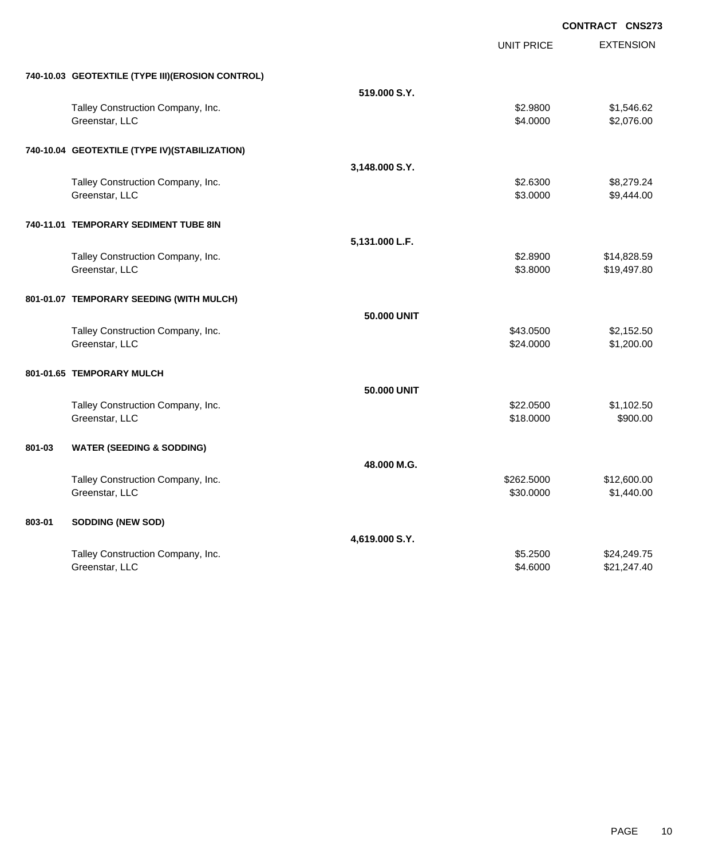|        |                                                  |                | <b>CONTRACT CNS273</b> |                  |
|--------|--------------------------------------------------|----------------|------------------------|------------------|
|        |                                                  |                | <b>UNIT PRICE</b>      | <b>EXTENSION</b> |
|        | 740-10.03 GEOTEXTILE (TYPE III)(EROSION CONTROL) |                |                        |                  |
|        |                                                  | 519,000 S.Y.   |                        |                  |
|        | Talley Construction Company, Inc.                |                | \$2.9800               | \$1,546.62       |
|        | Greenstar, LLC                                   |                | \$4.0000               | \$2,076.00       |
|        | 740-10.04 GEOTEXTILE (TYPE IV)(STABILIZATION)    |                |                        |                  |
|        |                                                  | 3,148.000 S.Y. |                        |                  |
|        | Talley Construction Company, Inc.                |                | \$2.6300               | \$8,279.24       |
|        | Greenstar, LLC                                   |                | \$3.0000               | \$9,444.00       |
|        | 740-11.01 TEMPORARY SEDIMENT TUBE 8IN            |                |                        |                  |
|        |                                                  | 5,131.000 L.F. |                        |                  |
|        | Talley Construction Company, Inc.                |                | \$2.8900               | \$14,828.59      |
|        | Greenstar, LLC                                   |                | \$3.8000               | \$19,497.80      |
|        | 801-01.07 TEMPORARY SEEDING (WITH MULCH)         |                |                        |                  |
|        |                                                  | 50,000 UNIT    |                        |                  |
|        | Talley Construction Company, Inc.                |                | \$43.0500              | \$2,152.50       |
|        | Greenstar, LLC                                   |                | \$24.0000              | \$1,200.00       |
|        | 801-01.65 TEMPORARY MULCH                        |                |                        |                  |
|        |                                                  | 50,000 UNIT    |                        |                  |
|        | Talley Construction Company, Inc.                |                | \$22.0500              | \$1,102.50       |
|        | Greenstar, LLC                                   |                | \$18.0000              | \$900.00         |
| 801-03 | <b>WATER (SEEDING &amp; SODDING)</b>             |                |                        |                  |
|        |                                                  | 48.000 M.G.    |                        |                  |
|        | Talley Construction Company, Inc.                |                | \$262.5000             | \$12,600.00      |
|        | Greenstar, LLC                                   |                | \$30.0000              | \$1,440.00       |
| 803-01 | <b>SODDING (NEW SOD)</b>                         |                |                        |                  |
|        |                                                  | 4,619.000 S.Y. |                        |                  |
|        | Talley Construction Company, Inc.                |                | \$5.2500               | \$24,249.75      |
|        | Greenstar, LLC                                   |                | \$4.6000               | \$21,247.40      |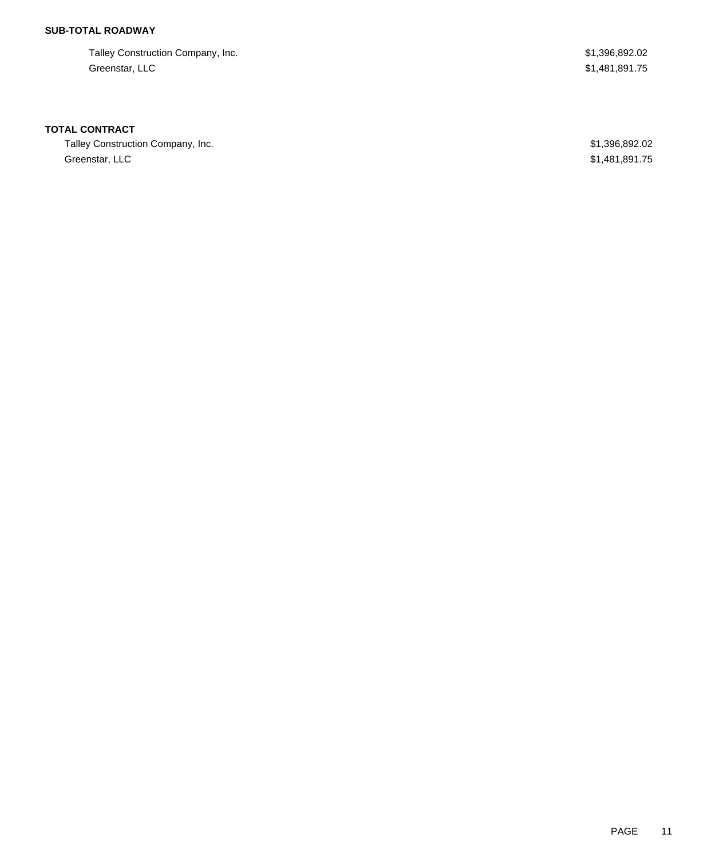### **SUB-TOTAL ROADWAY**

Talley Construction Company, Inc. 6. The state of the state of the state of the state of the state of the state of the state of the state of the state of the state of the state of the state of the state of the state of the Greenstar, LLC \$1,481,891.75

### **TOTAL CONTRACT**

Talley Construction Company, Inc. 6. The state of the state of the state of the state of the state of the state of the state of the state of the state of the state of the state of the state of the state of the state of the Greenstar, LLC \$1,481,891.75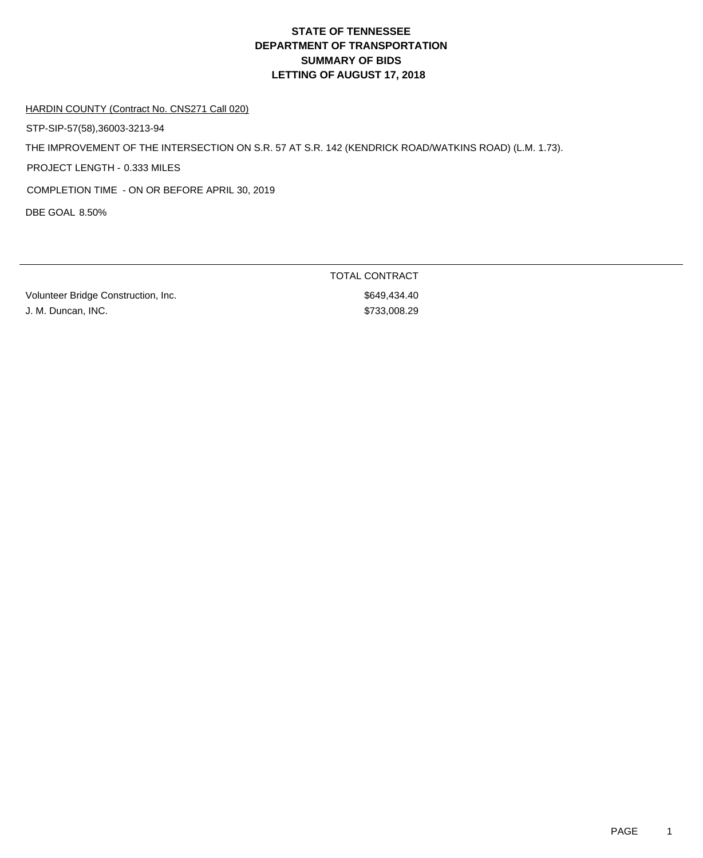# **DEPARTMENT OF TRANSPORTATION SUMMARY OF BIDS LETTING OF AUGUST 17, 2018 STATE OF TENNESSEE**

### HARDIN COUNTY (Contract No. CNS271 Call 020)

STP-SIP-57(58),36003-3213-94

THE IMPROVEMENT OF THE INTERSECTION ON S.R. 57 AT S.R. 142 (KENDRICK ROAD/WATKINS ROAD) (L.M. 1.73).

PROJECT LENGTH - 0.333 MILES

COMPLETION TIME - ON OR BEFORE APRIL 30, 2019

DBE GOAL 8.50%

Volunteer Bridge Construction, Inc. 6649,434.40 J. M. Duncan, INC.  $$733,008.29$ 

TOTAL CONTRACT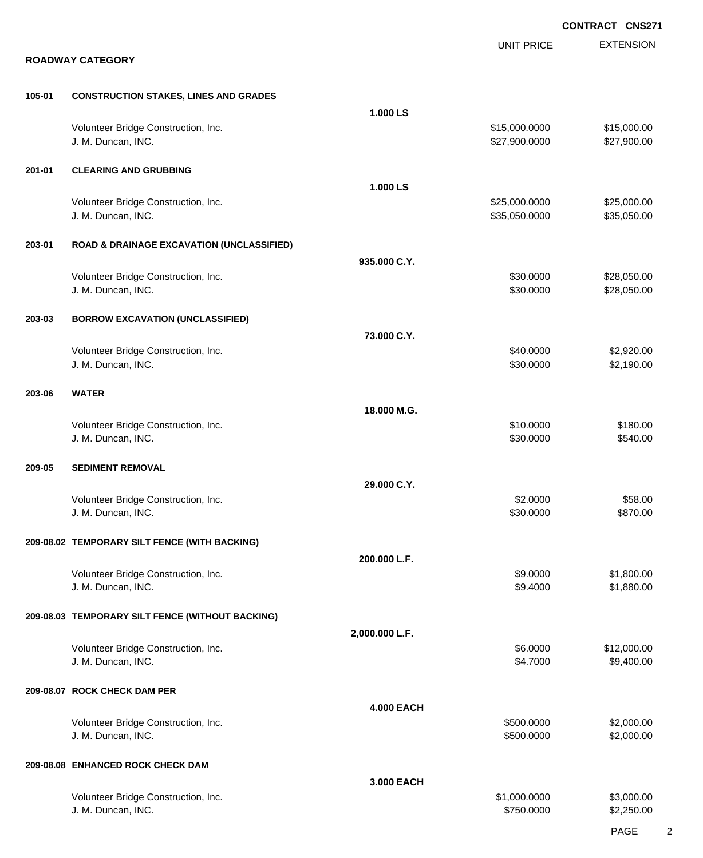|        |                                                           |                   |                                | <b>CONTRACT CNS271</b>     |
|--------|-----------------------------------------------------------|-------------------|--------------------------------|----------------------------|
|        | <b>ROADWAY CATEGORY</b>                                   |                   | <b>UNIT PRICE</b>              | <b>EXTENSION</b>           |
| 105-01 | <b>CONSTRUCTION STAKES, LINES AND GRADES</b>              |                   |                                |                            |
|        | Volunteer Bridge Construction, Inc.<br>J. M. Duncan, INC. | 1.000 LS          | \$15,000.0000<br>\$27,900.0000 | \$15,000.00<br>\$27,900.00 |
| 201-01 | <b>CLEARING AND GRUBBING</b>                              | 1.000 LS          |                                |                            |
|        | Volunteer Bridge Construction, Inc.<br>J. M. Duncan, INC. |                   | \$25,000.0000<br>\$35,050.0000 | \$25,000.00<br>\$35,050.00 |
| 203-01 | <b>ROAD &amp; DRAINAGE EXCAVATION (UNCLASSIFIED)</b>      |                   |                                |                            |
|        | Volunteer Bridge Construction, Inc.<br>J. M. Duncan, INC. | 935.000 C.Y.      | \$30.0000<br>\$30.0000         | \$28,050.00<br>\$28,050.00 |
| 203-03 | <b>BORROW EXCAVATION (UNCLASSIFIED)</b>                   | 73.000 C.Y.       |                                |                            |
|        | Volunteer Bridge Construction, Inc.<br>J. M. Duncan, INC. |                   | \$40.0000<br>\$30.0000         | \$2,920.00<br>\$2,190.00   |
| 203-06 | <b>WATER</b>                                              | 18.000 M.G.       |                                |                            |
|        | Volunteer Bridge Construction, Inc.<br>J. M. Duncan, INC. |                   | \$10.0000<br>\$30.0000         | \$180.00<br>\$540.00       |
| 209-05 | <b>SEDIMENT REMOVAL</b>                                   |                   |                                |                            |
|        | Volunteer Bridge Construction, Inc.<br>J. M. Duncan, INC. | 29.000 C.Y.       | \$2.0000<br>\$30.0000          | \$58.00<br>\$870.00        |
|        | 209-08.02 TEMPORARY SILT FENCE (WITH BACKING)             |                   |                                |                            |
|        | Volunteer Bridge Construction, Inc.<br>J. M. Duncan, INC. | 200.000 L.F.      | \$9.0000<br>\$9.4000           | \$1,800.00<br>\$1,880.00   |
|        | 209-08.03 TEMPORARY SILT FENCE (WITHOUT BACKING)          |                   |                                |                            |
|        | Volunteer Bridge Construction, Inc.<br>J. M. Duncan, INC. | 2,000.000 L.F.    | \$6.0000<br>\$4.7000           | \$12,000.00<br>\$9,400.00  |
|        | 209-08.07 ROCK CHECK DAM PER                              | <b>4.000 EACH</b> |                                |                            |
|        | Volunteer Bridge Construction, Inc.<br>J. M. Duncan, INC. |                   | \$500.0000<br>\$500.0000       | \$2,000.00<br>\$2,000.00   |
|        | 209-08.08 ENHANCED ROCK CHECK DAM                         |                   |                                |                            |
|        | Volunteer Bridge Construction, Inc.<br>J. M. Duncan, INC. | 3.000 EACH        | \$1,000.0000<br>\$750.0000     | \$3,000.00<br>\$2,250.00   |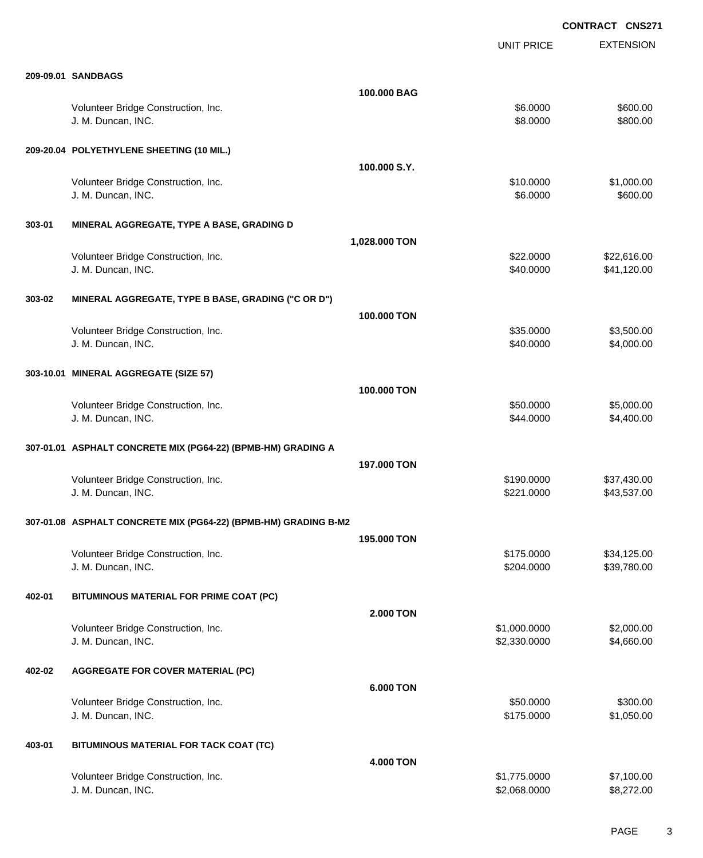|        |                                                                 |                  |                              | <b>CONTRACT CNS2/1</b>     |
|--------|-----------------------------------------------------------------|------------------|------------------------------|----------------------------|
|        |                                                                 |                  | <b>UNIT PRICE</b>            | <b>EXTENSION</b>           |
|        | 209-09.01 SANDBAGS                                              |                  |                              |                            |
|        |                                                                 | 100,000 BAG      |                              |                            |
|        | Volunteer Bridge Construction, Inc.<br>J. M. Duncan, INC.       |                  | \$6.0000<br>\$8.0000         | \$600.00<br>\$800.00       |
|        | 209-20.04 POLYETHYLENE SHEETING (10 MIL.)                       |                  |                              |                            |
|        |                                                                 | 100.000 S.Y.     |                              |                            |
|        | Volunteer Bridge Construction, Inc.<br>J. M. Duncan, INC.       |                  | \$10.0000<br>\$6.0000        | \$1,000.00<br>\$600.00     |
| 303-01 | MINERAL AGGREGATE, TYPE A BASE, GRADING D                       |                  |                              |                            |
|        |                                                                 | 1,028.000 TON    |                              |                            |
|        | Volunteer Bridge Construction, Inc.<br>J. M. Duncan, INC.       |                  | \$22.0000<br>\$40.0000       | \$22,616.00<br>\$41,120.00 |
| 303-02 | MINERAL AGGREGATE, TYPE B BASE, GRADING ("C OR D")              |                  |                              |                            |
|        |                                                                 | 100.000 TON      |                              |                            |
|        |                                                                 |                  | \$35.0000                    | \$3,500.00                 |
|        | Volunteer Bridge Construction, Inc.<br>J. M. Duncan, INC.       |                  | \$40.0000                    | \$4,000.00                 |
|        | 303-10.01 MINERAL AGGREGATE (SIZE 57)                           |                  |                              |                            |
|        |                                                                 | 100.000 TON      |                              |                            |
|        | Volunteer Bridge Construction, Inc.                             |                  | \$50.0000                    | \$5,000.00                 |
|        | J. M. Duncan, INC.                                              |                  | \$44.0000                    | \$4,400.00                 |
|        | 307-01.01 ASPHALT CONCRETE MIX (PG64-22) (BPMB-HM) GRADING A    |                  |                              |                            |
|        |                                                                 | 197.000 TON      |                              |                            |
|        | Volunteer Bridge Construction, Inc.<br>J. M. Duncan, INC.       |                  | \$190.0000<br>\$221.0000     | \$37,430.00<br>\$43,537.00 |
|        | 307-01.08 ASPHALT CONCRETE MIX (PG64-22) (BPMB-HM) GRADING B-M2 |                  |                              |                            |
|        |                                                                 | 195.000 TON      |                              |                            |
|        | Volunteer Bridge Construction, Inc.<br>J. M. Duncan, INC.       |                  | \$175.0000<br>\$204.0000     | \$34,125.00<br>\$39,780.00 |
| 402-01 | BITUMINOUS MATERIAL FOR PRIME COAT (PC)                         |                  |                              |                            |
|        |                                                                 | <b>2.000 TON</b> |                              |                            |
|        | Volunteer Bridge Construction, Inc.<br>J. M. Duncan, INC.       |                  | \$1,000.0000<br>\$2,330.0000 | \$2,000.00<br>\$4,660.00   |
| 402-02 | <b>AGGREGATE FOR COVER MATERIAL (PC)</b>                        |                  |                              |                            |
|        |                                                                 | <b>6.000 TON</b> |                              |                            |
|        | Volunteer Bridge Construction, Inc.                             |                  | \$50.0000                    | \$300.00                   |
|        | J. M. Duncan, INC.                                              |                  | \$175.0000                   | \$1,050.00                 |
| 403-01 | BITUMINOUS MATERIAL FOR TACK COAT (TC)                          |                  |                              |                            |
|        |                                                                 | 4.000 TON        |                              |                            |
|        | Volunteer Bridge Construction, Inc.<br>J. M. Duncan, INC.       |                  | \$1,775.0000<br>\$2,068.0000 | \$7,100.00<br>\$8,272.00   |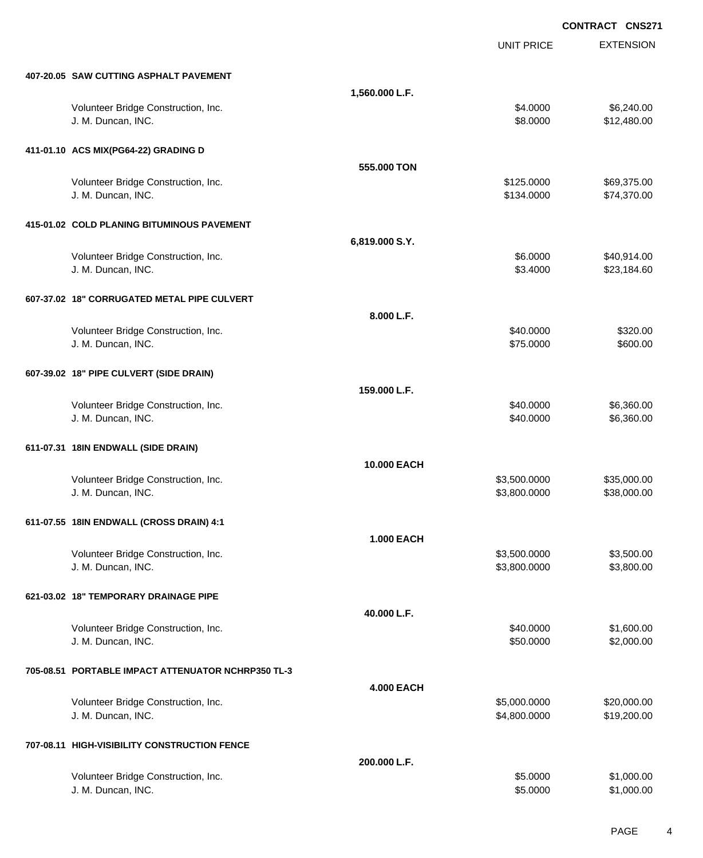|                                                    |                    |                   | <b>CONTRACT CNS271</b> |
|----------------------------------------------------|--------------------|-------------------|------------------------|
|                                                    |                    | <b>UNIT PRICE</b> | <b>EXTENSION</b>       |
| 407-20.05 SAW CUTTING ASPHALT PAVEMENT             |                    |                   |                        |
|                                                    | 1,560.000 L.F.     |                   |                        |
| Volunteer Bridge Construction, Inc.                |                    | \$4.0000          | \$6,240.00             |
| J. M. Duncan, INC.                                 |                    | \$8.0000          | \$12,480.00            |
| 411-01.10 ACS MIX(PG64-22) GRADING D               |                    |                   |                        |
|                                                    | 555.000 TON        |                   |                        |
| Volunteer Bridge Construction, Inc.                |                    | \$125.0000        | \$69,375.00            |
| J. M. Duncan, INC.                                 |                    | \$134.0000        | \$74,370.00            |
| 415-01.02 COLD PLANING BITUMINOUS PAVEMENT         |                    |                   |                        |
|                                                    | 6,819.000 S.Y.     |                   |                        |
| Volunteer Bridge Construction, Inc.                |                    | \$6.0000          | \$40,914.00            |
| J. M. Duncan, INC.                                 |                    | \$3.4000          | \$23,184.60            |
| 607-37.02 18" CORRUGATED METAL PIPE CULVERT        |                    |                   |                        |
|                                                    | 8.000 L.F.         |                   |                        |
| Volunteer Bridge Construction, Inc.                |                    | \$40.0000         | \$320.00               |
| J. M. Duncan, INC.                                 |                    | \$75.0000         | \$600.00               |
| 607-39.02 18" PIPE CULVERT (SIDE DRAIN)            |                    |                   |                        |
|                                                    | 159,000 L.F.       |                   |                        |
| Volunteer Bridge Construction, Inc.                |                    | \$40.0000         | \$6,360.00             |
| J. M. Duncan, INC.                                 |                    | \$40.0000         | \$6,360.00             |
| 611-07.31 18IN ENDWALL (SIDE DRAIN)                |                    |                   |                        |
|                                                    | <b>10.000 EACH</b> |                   |                        |
| Volunteer Bridge Construction, Inc.                |                    | \$3,500.0000      | \$35,000.00            |
| J. M. Duncan, INC.                                 |                    | \$3,800.0000      | \$38,000.00            |
| 611-07.55 18IN ENDWALL (CROSS DRAIN) 4:1           |                    |                   |                        |
|                                                    | <b>1.000 EACH</b>  |                   |                        |
| Volunteer Bridge Construction, Inc.                |                    | \$3,500.0000      | \$3,500.00             |
| J. M. Duncan, INC.                                 |                    | \$3,800.0000      | \$3,800.00             |
| 621-03.02 18" TEMPORARY DRAINAGE PIPE              |                    |                   |                        |
|                                                    | 40.000 L.F.        |                   |                        |
| Volunteer Bridge Construction, Inc.                |                    | \$40.0000         | \$1,600.00             |
| J. M. Duncan, INC.                                 |                    | \$50.0000         | \$2,000.00             |
| 705-08.51 PORTABLE IMPACT ATTENUATOR NCHRP350 TL-3 |                    |                   |                        |
|                                                    | <b>4.000 EACH</b>  |                   |                        |
| Volunteer Bridge Construction, Inc.                |                    | \$5,000.0000      | \$20,000.00            |
| J. M. Duncan, INC.                                 |                    | \$4,800.0000      | \$19,200.00            |
| 707-08.11 HIGH-VISIBILITY CONSTRUCTION FENCE       |                    |                   |                        |
|                                                    | 200.000 L.F.       |                   |                        |
| Volunteer Bridge Construction, Inc.                |                    | \$5.0000          | \$1,000.00             |
| J. M. Duncan, INC.                                 |                    | \$5.0000          | \$1,000.00             |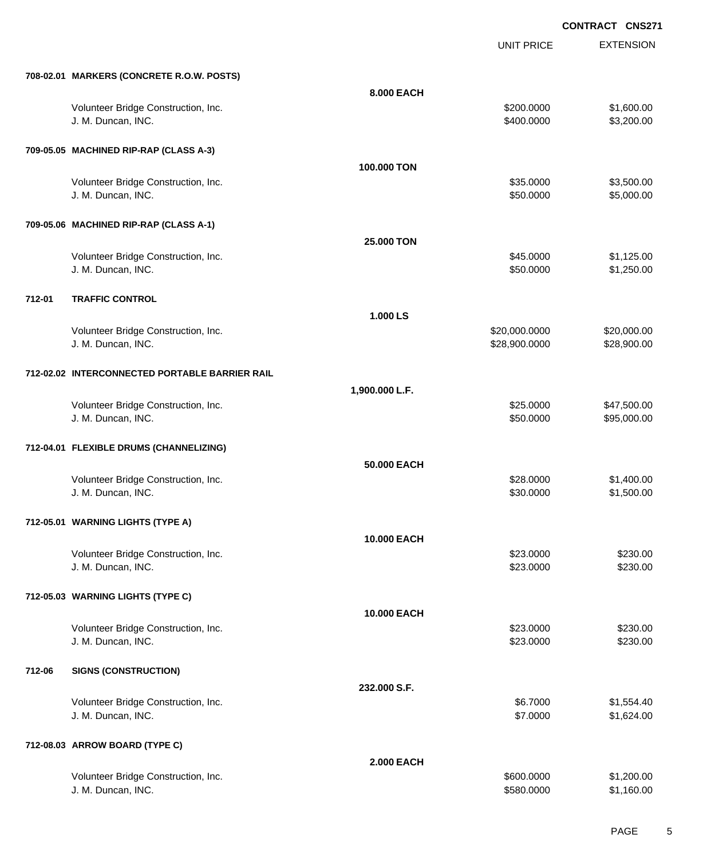UNIT PRICE EXTENSION

|  | 708-02.01 MARKERS (CONCRETE R.O.W. POSTS) |  |
|--|-------------------------------------------|--|
|  |                                           |  |

|        | 708-02.01 MARKERS (CONCRETE R.O.W. POSTS)                 |                   |                                |                            |
|--------|-----------------------------------------------------------|-------------------|--------------------------------|----------------------------|
|        |                                                           | 8.000 EACH        |                                |                            |
|        | Volunteer Bridge Construction, Inc.<br>J. M. Duncan, INC. |                   | \$200.0000<br>\$400.0000       | \$1,600.00<br>\$3,200.00   |
|        | 709-05.05 MACHINED RIP-RAP (CLASS A-3)                    |                   |                                |                            |
|        |                                                           | 100.000 TON       |                                |                            |
|        | Volunteer Bridge Construction, Inc.<br>J. M. Duncan, INC. |                   | \$35.0000<br>\$50.0000         | \$3,500.00<br>\$5,000.00   |
|        | 709-05.06 MACHINED RIP-RAP (CLASS A-1)                    |                   |                                |                            |
|        |                                                           | 25.000 TON        |                                |                            |
|        | Volunteer Bridge Construction, Inc.<br>J. M. Duncan, INC. |                   | \$45.0000<br>\$50.0000         | \$1,125.00<br>\$1,250.00   |
| 712-01 | <b>TRAFFIC CONTROL</b>                                    |                   |                                |                            |
|        |                                                           | 1.000 LS          |                                |                            |
|        | Volunteer Bridge Construction, Inc.<br>J. M. Duncan, INC. |                   | \$20,000.0000<br>\$28,900.0000 | \$20,000.00<br>\$28,900.00 |
|        | 712-02.02 INTERCONNECTED PORTABLE BARRIER RAIL            |                   |                                |                            |
|        |                                                           | 1,900.000 L.F.    |                                |                            |
|        | Volunteer Bridge Construction, Inc.<br>J. M. Duncan, INC. |                   | \$25.0000<br>\$50.0000         | \$47,500.00<br>\$95,000.00 |
|        | 712-04.01 FLEXIBLE DRUMS (CHANNELIZING)                   |                   |                                |                            |
|        |                                                           | 50.000 EACH       |                                |                            |
|        | Volunteer Bridge Construction, Inc.<br>J. M. Duncan, INC. |                   | \$28.0000<br>\$30.0000         | \$1,400.00<br>\$1,500.00   |
|        | 712-05.01 WARNING LIGHTS (TYPE A)                         |                   |                                |                            |
|        | Volunteer Bridge Construction, Inc.                       | 10.000 EACH       | \$23.0000                      | \$230.00                   |
|        | J. M. Duncan, INC.                                        |                   | \$23.0000                      | \$230.00                   |
|        | 712-05.03 WARNING LIGHTS (TYPE C)                         |                   |                                |                            |
|        |                                                           | 10.000 EACH       |                                |                            |
|        | Volunteer Bridge Construction, Inc.<br>J. M. Duncan, INC. |                   | \$23.0000<br>\$23.0000         | \$230.00<br>\$230.00       |
| 712-06 | <b>SIGNS (CONSTRUCTION)</b>                               |                   |                                |                            |
|        |                                                           | 232.000 S.F.      |                                |                            |
|        | Volunteer Bridge Construction, Inc.<br>J. M. Duncan, INC. |                   | \$6.7000<br>\$7.0000           | \$1,554.40<br>\$1,624.00   |
|        | 712-08.03 ARROW BOARD (TYPE C)                            |                   |                                |                            |
|        |                                                           | <b>2.000 EACH</b> |                                |                            |
|        | Volunteer Bridge Construction, Inc.<br>J. M. Duncan, INC. |                   | \$600.0000<br>\$580.0000       | \$1,200.00<br>\$1,160.00   |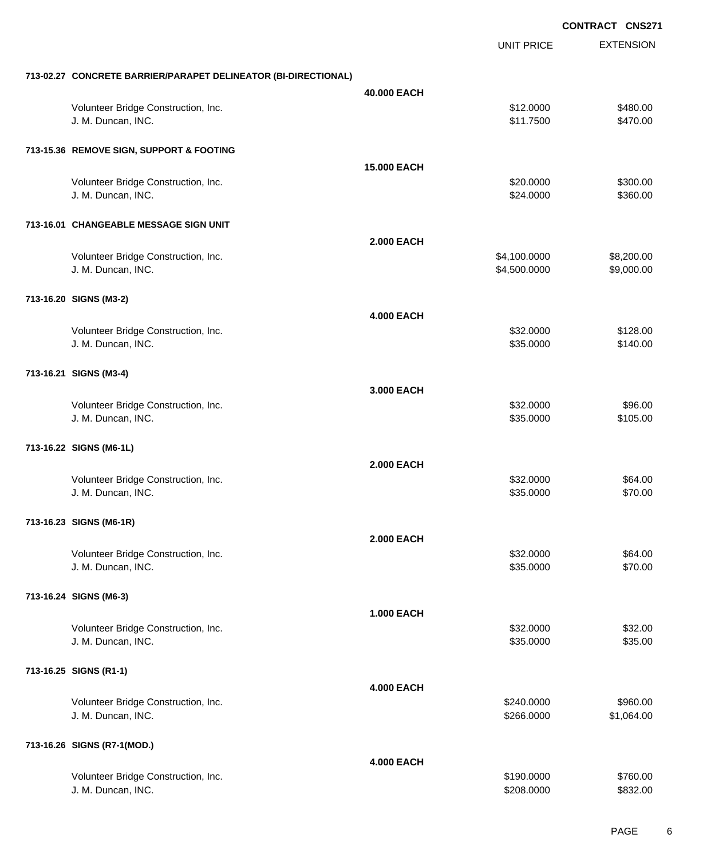|                                                                |                    |                              | <b>CONTRACT CNS271</b>   |
|----------------------------------------------------------------|--------------------|------------------------------|--------------------------|
|                                                                |                    | <b>UNIT PRICE</b>            | <b>EXTENSION</b>         |
| 713-02.27 CONCRETE BARRIER/PARAPET DELINEATOR (BI-DIRECTIONAL) |                    |                              |                          |
|                                                                | 40.000 EACH        |                              |                          |
| Volunteer Bridge Construction, Inc.<br>J. M. Duncan, INC.      |                    | \$12.0000<br>\$11.7500       | \$480.00<br>\$470.00     |
| 713-15.36 REMOVE SIGN, SUPPORT & FOOTING                       |                    |                              |                          |
|                                                                | <b>15.000 EACH</b> |                              |                          |
| Volunteer Bridge Construction, Inc.<br>J. M. Duncan, INC.      |                    | \$20.0000<br>\$24.0000       | \$300.00<br>\$360.00     |
| 713-16.01 CHANGEABLE MESSAGE SIGN UNIT                         |                    |                              |                          |
|                                                                | <b>2.000 EACH</b>  |                              |                          |
| Volunteer Bridge Construction, Inc.<br>J. M. Duncan, INC.      |                    | \$4,100.0000<br>\$4,500.0000 | \$8,200.00<br>\$9,000.00 |
| 713-16.20 SIGNS (M3-2)                                         |                    |                              |                          |
|                                                                | <b>4.000 EACH</b>  |                              |                          |
| Volunteer Bridge Construction, Inc.<br>J. M. Duncan, INC.      |                    | \$32.0000<br>\$35.0000       | \$128.00<br>\$140.00     |
| 713-16.21 SIGNS (M3-4)                                         |                    |                              |                          |
|                                                                | 3.000 EACH         |                              |                          |
| Volunteer Bridge Construction, Inc.<br>J. M. Duncan, INC.      |                    | \$32.0000<br>\$35.0000       | \$96.00<br>\$105.00      |
| 713-16.22 SIGNS (M6-1L)                                        |                    |                              |                          |
|                                                                | <b>2.000 EACH</b>  |                              |                          |
| Volunteer Bridge Construction, Inc.<br>J. M. Duncan, INC.      |                    | \$32.0000<br>\$35.0000       | \$64.00<br>\$70.00       |
| 713-16.23 SIGNS (M6-1R)                                        |                    |                              |                          |
|                                                                | <b>2.000 EACH</b>  |                              |                          |
| Volunteer Bridge Construction, Inc.<br>J. M. Duncan, INC.      |                    | \$32.0000<br>\$35.0000       | \$64.00<br>\$70.00       |
| 713-16.24 SIGNS (M6-3)                                         |                    |                              |                          |
|                                                                | <b>1.000 EACH</b>  |                              |                          |
| Volunteer Bridge Construction, Inc.<br>J. M. Duncan, INC.      |                    | \$32.0000<br>\$35.0000       | \$32.00<br>\$35.00       |
| 713-16.25 SIGNS (R1-1)                                         |                    |                              |                          |
|                                                                | <b>4.000 EACH</b>  |                              |                          |
| Volunteer Bridge Construction, Inc.<br>J. M. Duncan, INC.      |                    | \$240.0000<br>\$266.0000     | \$960.00<br>\$1,064.00   |
| 713-16.26 SIGNS (R7-1(MOD.)                                    |                    |                              |                          |
|                                                                | <b>4.000 EACH</b>  |                              |                          |
| Volunteer Bridge Construction, Inc.<br>J. M. Duncan, INC.      |                    | \$190.0000<br>\$208.0000     | \$760.00<br>\$832.00     |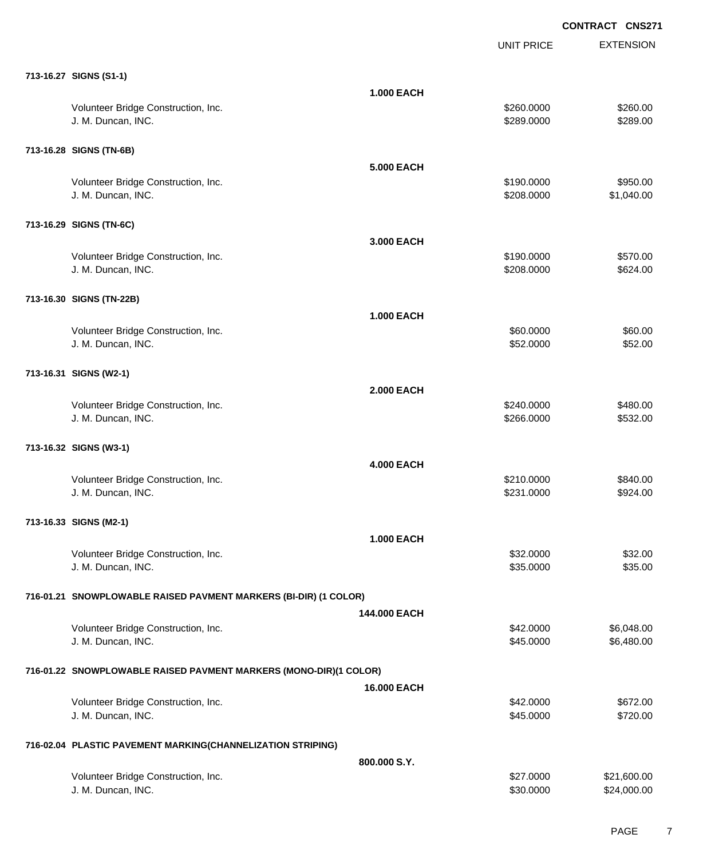|                                                                   |                   | <b>UNIT PRICE</b>        | <b>EXTENSION</b>       |
|-------------------------------------------------------------------|-------------------|--------------------------|------------------------|
| 713-16.27 SIGNS (S1-1)                                            |                   |                          |                        |
|                                                                   | <b>1.000 EACH</b> |                          |                        |
| Volunteer Bridge Construction, Inc.<br>J. M. Duncan, INC.         |                   | \$260.0000<br>\$289.0000 | \$260.00<br>\$289.00   |
| 713-16.28 SIGNS (TN-6B)                                           |                   |                          |                        |
|                                                                   | <b>5.000 EACH</b> |                          |                        |
| Volunteer Bridge Construction, Inc.<br>J. M. Duncan, INC.         |                   | \$190.0000<br>\$208.0000 | \$950.00<br>\$1,040.00 |
| 713-16.29 SIGNS (TN-6C)                                           |                   |                          |                        |
|                                                                   | 3,000 EACH        |                          |                        |
| Volunteer Bridge Construction, Inc.                               |                   | \$190.0000               | \$570.00               |
| J. M. Duncan, INC.                                                |                   | \$208.0000               | \$624.00               |
| 713-16.30 SIGNS (TN-22B)                                          |                   |                          |                        |
|                                                                   | <b>1.000 EACH</b> |                          |                        |
| Volunteer Bridge Construction, Inc.                               |                   | \$60.0000                | \$60.00                |
| J. M. Duncan, INC.                                                |                   | \$52.0000                | \$52.00                |
| 713-16.31 SIGNS (W2-1)                                            |                   |                          |                        |
|                                                                   | <b>2.000 EACH</b> |                          |                        |
| Volunteer Bridge Construction, Inc.                               |                   | \$240.0000               | \$480.00               |
| J. M. Duncan, INC.                                                |                   | \$266.0000               | \$532.00               |
| 713-16.32 SIGNS (W3-1)                                            |                   |                          |                        |
|                                                                   | <b>4.000 EACH</b> |                          |                        |
| Volunteer Bridge Construction, Inc.<br>J. M. Duncan, INC.         |                   | \$210.0000<br>\$231.0000 | \$840.00<br>\$924.00   |
|                                                                   |                   |                          |                        |
| 713-16.33 SIGNS (M2-1)                                            |                   |                          |                        |
|                                                                   | <b>1.000 EACH</b> |                          |                        |
| Volunteer Bridge Construction, Inc.<br>J. M. Duncan, INC.         |                   | \$32.0000<br>\$35.0000   | \$32.00<br>\$35.00     |
|                                                                   |                   |                          |                        |
| 716-01.21 SNOWPLOWABLE RAISED PAVMENT MARKERS (BI-DIR) (1 COLOR)  |                   |                          |                        |
|                                                                   | 144,000 EACH      |                          |                        |
| Volunteer Bridge Construction, Inc.                               |                   | \$42.0000                | \$6,048.00             |
| J. M. Duncan, INC.                                                |                   | \$45.0000                | \$6,480.00             |
| 716-01.22 SNOWPLOWABLE RAISED PAVMENT MARKERS (MONO-DIR)(1 COLOR) |                   |                          |                        |
|                                                                   | 16.000 EACH       |                          |                        |
| Volunteer Bridge Construction, Inc.                               |                   | \$42.0000                | \$672.00               |
| J. M. Duncan, INC.                                                |                   | \$45.0000                | \$720.00               |
| 716-02.04 PLASTIC PAVEMENT MARKING(CHANNELIZATION STRIPING)       |                   |                          |                        |
|                                                                   | 800.000 S.Y.      |                          |                        |
| Volunteer Bridge Construction, Inc.                               |                   | \$27.0000                | \$21,600.00            |
| J. M. Duncan, INC.                                                |                   | \$30.0000                | \$24,000.00            |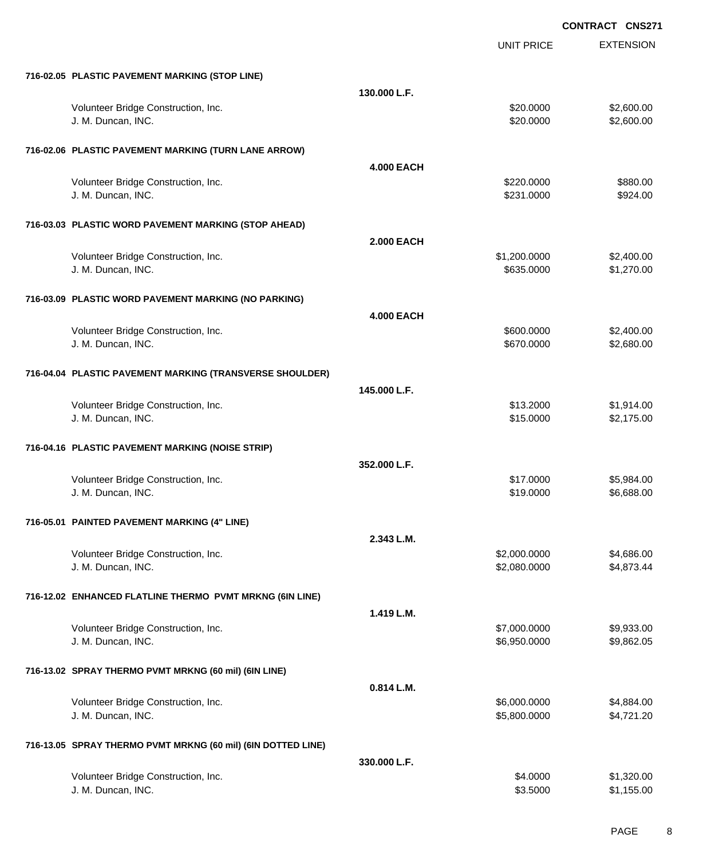|                                                              |                   | <b>UNIT PRICE</b>    | <b>EXTENSION</b>         |
|--------------------------------------------------------------|-------------------|----------------------|--------------------------|
| 716-02.05 PLASTIC PAVEMENT MARKING (STOP LINE)               |                   |                      |                          |
|                                                              | 130.000 L.F.      |                      |                          |
| Volunteer Bridge Construction, Inc.                          |                   | \$20.0000            | \$2,600.00               |
| J. M. Duncan, INC.                                           |                   | \$20.0000            | \$2,600.00               |
|                                                              |                   |                      |                          |
| 716-02.06 PLASTIC PAVEMENT MARKING (TURN LANE ARROW)         |                   |                      |                          |
|                                                              | <b>4.000 EACH</b> |                      |                          |
| Volunteer Bridge Construction, Inc.                          |                   | \$220.0000           | \$880.00                 |
| J. M. Duncan, INC.                                           |                   | \$231.0000           | \$924.00                 |
|                                                              |                   |                      |                          |
| 716-03.03 PLASTIC WORD PAVEMENT MARKING (STOP AHEAD)         |                   |                      |                          |
|                                                              | <b>2.000 EACH</b> |                      |                          |
| Volunteer Bridge Construction, Inc.                          |                   | \$1,200.0000         | \$2,400.00               |
| J. M. Duncan, INC.                                           |                   | \$635.0000           | \$1,270.00               |
|                                                              |                   |                      |                          |
| 716-03.09 PLASTIC WORD PAVEMENT MARKING (NO PARKING)         |                   |                      |                          |
|                                                              | <b>4.000 EACH</b> |                      |                          |
| Volunteer Bridge Construction, Inc.                          |                   | \$600.0000           | \$2,400.00               |
| J. M. Duncan, INC.                                           |                   | \$670.0000           | \$2,680.00               |
|                                                              |                   |                      |                          |
| 716-04.04 PLASTIC PAVEMENT MARKING (TRANSVERSE SHOULDER)     |                   |                      |                          |
|                                                              | 145.000 L.F.      |                      |                          |
| Volunteer Bridge Construction, Inc.                          |                   | \$13.2000            | \$1,914.00               |
| J. M. Duncan, INC.                                           |                   | \$15.0000            | \$2,175.00               |
|                                                              |                   |                      |                          |
| 716-04.16 PLASTIC PAVEMENT MARKING (NOISE STRIP)             |                   |                      |                          |
|                                                              | 352.000 L.F.      |                      |                          |
| Volunteer Bridge Construction, Inc.                          |                   | \$17.0000            | \$5,984.00               |
| J. M. Duncan, INC.                                           |                   | \$19.0000            | \$6,688.00               |
|                                                              |                   |                      |                          |
| 716-05.01 PAINTED PAVEMENT MARKING (4" LINE)                 |                   |                      |                          |
|                                                              | 2.343 L.M.        |                      |                          |
| Volunteer Bridge Construction, Inc.                          |                   | \$2,000.0000         | \$4,686.00               |
| J. M. Duncan, INC.                                           |                   | \$2,080.0000         | \$4,873.44               |
|                                                              |                   |                      |                          |
| 716-12.02 ENHANCED FLATLINE THERMO PVMT MRKNG (6IN LINE)     |                   |                      |                          |
|                                                              | 1.419 L.M.        |                      |                          |
| Volunteer Bridge Construction, Inc.                          |                   | \$7,000.0000         | \$9,933.00               |
| J. M. Duncan, INC.                                           |                   | \$6,950.0000         | \$9,862.05               |
|                                                              |                   |                      |                          |
| 716-13.02 SPRAY THERMO PVMT MRKNG (60 mil) (6IN LINE)        |                   |                      |                          |
|                                                              | 0.814 L.M.        |                      |                          |
| Volunteer Bridge Construction, Inc.                          |                   | \$6,000.0000         | \$4,884.00               |
| J. M. Duncan, INC.                                           |                   | \$5,800.0000         | \$4,721.20               |
|                                                              |                   |                      |                          |
| 716-13.05 SPRAY THERMO PVMT MRKNG (60 mil) (6IN DOTTED LINE) |                   |                      |                          |
|                                                              |                   |                      |                          |
|                                                              | 330.000 L.F.      |                      |                          |
| Volunteer Bridge Construction, Inc.<br>J. M. Duncan, INC.    |                   | \$4.0000<br>\$3.5000 | \$1,320.00<br>\$1,155.00 |
|                                                              |                   |                      |                          |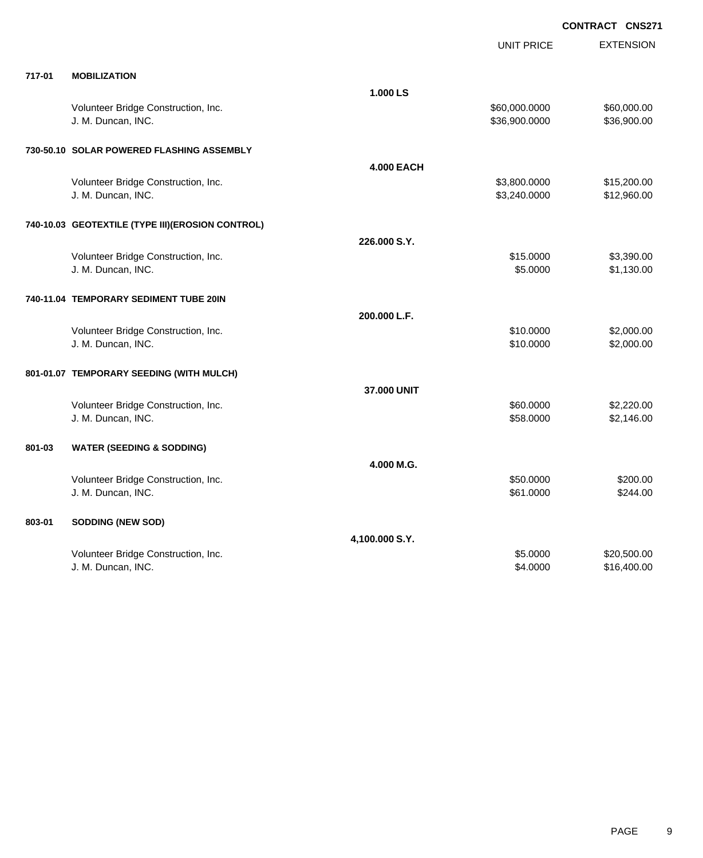| 717-01<br><b>MOBILIZATION</b><br>1.000 LS<br>Volunteer Bridge Construction, Inc.<br>\$60,000.0000<br>\$60,000.00<br>\$36,900.0000<br>\$36,900.00<br>J. M. Duncan, INC.<br>730-50.10 SOLAR POWERED FLASHING ASSEMBLY<br><b>4.000 EACH</b><br>Volunteer Bridge Construction, Inc.<br>\$3,800.0000<br>\$15,200.00<br>J. M. Duncan, INC.<br>\$3,240.0000<br>\$12,960.00<br>740-10.03 GEOTEXTILE (TYPE III) (EROSION CONTROL)<br>226.000 S.Y.<br>\$3,390.00<br>Volunteer Bridge Construction, Inc.<br>\$15.0000<br>\$1,130.00<br>J. M. Duncan, INC.<br>\$5.0000<br>740-11.04 TEMPORARY SEDIMENT TUBE 20IN<br>200.000 L.F.<br>\$2,000.00<br>Volunteer Bridge Construction, Inc.<br>\$10.0000<br>\$10.0000<br>J. M. Duncan, INC.<br>\$2,000.00<br>801-01.07 TEMPORARY SEEDING (WITH MULCH)<br>37.000 UNIT<br>Volunteer Bridge Construction, Inc.<br>\$2,220.00<br>\$60.0000<br>\$58.0000<br>\$2,146.00<br>J. M. Duncan, INC.<br>801-03<br><b>WATER (SEEDING &amp; SODDING)</b><br>4.000 M.G.<br>Volunteer Bridge Construction, Inc.<br>\$50.0000<br>\$200.00<br>\$61.0000<br>\$244.00<br>J. M. Duncan, INC.<br>803-01<br>SODDING (NEW SOD)<br>4,100.000 S.Y.<br>Volunteer Bridge Construction, Inc.<br>\$5,0000<br>\$20,500.00<br>J. M. Duncan, INC.<br>\$4.0000<br>\$16,400.00 |  | UNIT PRICE | <b>EXTENSION</b> |
|--------------------------------------------------------------------------------------------------------------------------------------------------------------------------------------------------------------------------------------------------------------------------------------------------------------------------------------------------------------------------------------------------------------------------------------------------------------------------------------------------------------------------------------------------------------------------------------------------------------------------------------------------------------------------------------------------------------------------------------------------------------------------------------------------------------------------------------------------------------------------------------------------------------------------------------------------------------------------------------------------------------------------------------------------------------------------------------------------------------------------------------------------------------------------------------------------------------------------------------------------------------------------|--|------------|------------------|
|                                                                                                                                                                                                                                                                                                                                                                                                                                                                                                                                                                                                                                                                                                                                                                                                                                                                                                                                                                                                                                                                                                                                                                                                                                                                          |  |            |                  |
|                                                                                                                                                                                                                                                                                                                                                                                                                                                                                                                                                                                                                                                                                                                                                                                                                                                                                                                                                                                                                                                                                                                                                                                                                                                                          |  |            |                  |
|                                                                                                                                                                                                                                                                                                                                                                                                                                                                                                                                                                                                                                                                                                                                                                                                                                                                                                                                                                                                                                                                                                                                                                                                                                                                          |  |            |                  |
|                                                                                                                                                                                                                                                                                                                                                                                                                                                                                                                                                                                                                                                                                                                                                                                                                                                                                                                                                                                                                                                                                                                                                                                                                                                                          |  |            |                  |
|                                                                                                                                                                                                                                                                                                                                                                                                                                                                                                                                                                                                                                                                                                                                                                                                                                                                                                                                                                                                                                                                                                                                                                                                                                                                          |  |            |                  |
|                                                                                                                                                                                                                                                                                                                                                                                                                                                                                                                                                                                                                                                                                                                                                                                                                                                                                                                                                                                                                                                                                                                                                                                                                                                                          |  |            |                  |
|                                                                                                                                                                                                                                                                                                                                                                                                                                                                                                                                                                                                                                                                                                                                                                                                                                                                                                                                                                                                                                                                                                                                                                                                                                                                          |  |            |                  |
|                                                                                                                                                                                                                                                                                                                                                                                                                                                                                                                                                                                                                                                                                                                                                                                                                                                                                                                                                                                                                                                                                                                                                                                                                                                                          |  |            |                  |
|                                                                                                                                                                                                                                                                                                                                                                                                                                                                                                                                                                                                                                                                                                                                                                                                                                                                                                                                                                                                                                                                                                                                                                                                                                                                          |  |            |                  |
|                                                                                                                                                                                                                                                                                                                                                                                                                                                                                                                                                                                                                                                                                                                                                                                                                                                                                                                                                                                                                                                                                                                                                                                                                                                                          |  |            |                  |
|                                                                                                                                                                                                                                                                                                                                                                                                                                                                                                                                                                                                                                                                                                                                                                                                                                                                                                                                                                                                                                                                                                                                                                                                                                                                          |  |            |                  |
|                                                                                                                                                                                                                                                                                                                                                                                                                                                                                                                                                                                                                                                                                                                                                                                                                                                                                                                                                                                                                                                                                                                                                                                                                                                                          |  |            |                  |
|                                                                                                                                                                                                                                                                                                                                                                                                                                                                                                                                                                                                                                                                                                                                                                                                                                                                                                                                                                                                                                                                                                                                                                                                                                                                          |  |            |                  |
|                                                                                                                                                                                                                                                                                                                                                                                                                                                                                                                                                                                                                                                                                                                                                                                                                                                                                                                                                                                                                                                                                                                                                                                                                                                                          |  |            |                  |
|                                                                                                                                                                                                                                                                                                                                                                                                                                                                                                                                                                                                                                                                                                                                                                                                                                                                                                                                                                                                                                                                                                                                                                                                                                                                          |  |            |                  |
|                                                                                                                                                                                                                                                                                                                                                                                                                                                                                                                                                                                                                                                                                                                                                                                                                                                                                                                                                                                                                                                                                                                                                                                                                                                                          |  |            |                  |
|                                                                                                                                                                                                                                                                                                                                                                                                                                                                                                                                                                                                                                                                                                                                                                                                                                                                                                                                                                                                                                                                                                                                                                                                                                                                          |  |            |                  |
|                                                                                                                                                                                                                                                                                                                                                                                                                                                                                                                                                                                                                                                                                                                                                                                                                                                                                                                                                                                                                                                                                                                                                                                                                                                                          |  |            |                  |
|                                                                                                                                                                                                                                                                                                                                                                                                                                                                                                                                                                                                                                                                                                                                                                                                                                                                                                                                                                                                                                                                                                                                                                                                                                                                          |  |            |                  |
|                                                                                                                                                                                                                                                                                                                                                                                                                                                                                                                                                                                                                                                                                                                                                                                                                                                                                                                                                                                                                                                                                                                                                                                                                                                                          |  |            |                  |
|                                                                                                                                                                                                                                                                                                                                                                                                                                                                                                                                                                                                                                                                                                                                                                                                                                                                                                                                                                                                                                                                                                                                                                                                                                                                          |  |            |                  |
|                                                                                                                                                                                                                                                                                                                                                                                                                                                                                                                                                                                                                                                                                                                                                                                                                                                                                                                                                                                                                                                                                                                                                                                                                                                                          |  |            |                  |
|                                                                                                                                                                                                                                                                                                                                                                                                                                                                                                                                                                                                                                                                                                                                                                                                                                                                                                                                                                                                                                                                                                                                                                                                                                                                          |  |            |                  |
|                                                                                                                                                                                                                                                                                                                                                                                                                                                                                                                                                                                                                                                                                                                                                                                                                                                                                                                                                                                                                                                                                                                                                                                                                                                                          |  |            |                  |
|                                                                                                                                                                                                                                                                                                                                                                                                                                                                                                                                                                                                                                                                                                                                                                                                                                                                                                                                                                                                                                                                                                                                                                                                                                                                          |  |            |                  |
|                                                                                                                                                                                                                                                                                                                                                                                                                                                                                                                                                                                                                                                                                                                                                                                                                                                                                                                                                                                                                                                                                                                                                                                                                                                                          |  |            |                  |
|                                                                                                                                                                                                                                                                                                                                                                                                                                                                                                                                                                                                                                                                                                                                                                                                                                                                                                                                                                                                                                                                                                                                                                                                                                                                          |  |            |                  |
|                                                                                                                                                                                                                                                                                                                                                                                                                                                                                                                                                                                                                                                                                                                                                                                                                                                                                                                                                                                                                                                                                                                                                                                                                                                                          |  |            |                  |
|                                                                                                                                                                                                                                                                                                                                                                                                                                                                                                                                                                                                                                                                                                                                                                                                                                                                                                                                                                                                                                                                                                                                                                                                                                                                          |  |            |                  |
|                                                                                                                                                                                                                                                                                                                                                                                                                                                                                                                                                                                                                                                                                                                                                                                                                                                                                                                                                                                                                                                                                                                                                                                                                                                                          |  |            |                  |
|                                                                                                                                                                                                                                                                                                                                                                                                                                                                                                                                                                                                                                                                                                                                                                                                                                                                                                                                                                                                                                                                                                                                                                                                                                                                          |  |            |                  |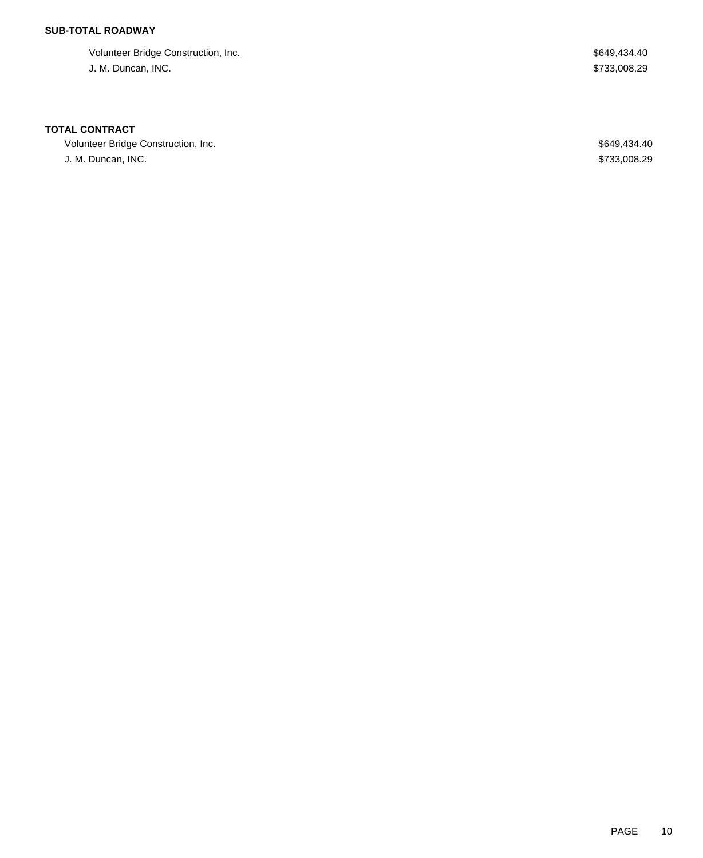## **SUB-TOTAL ROADWAY**

Volunteer Bridge Construction, Inc. **\$649,434.40** Special state of the state of the state of the state of the state of the state of the state of the state of the state of the state of the state of the state of the state of J. M. Duncan, INC. \$733,008.29

### **TOTAL CONTRACT**

Volunteer Bridge Construction, Inc. 6649,434.40 J. M. Duncan, INC. \$733,008.29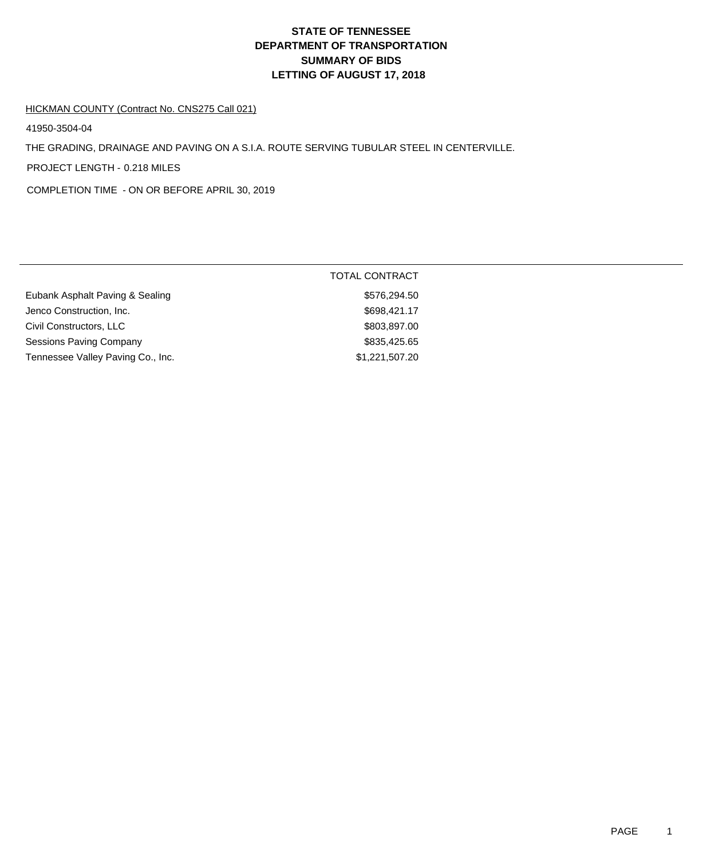# **DEPARTMENT OF TRANSPORTATION SUMMARY OF BIDS LETTING OF AUGUST 17, 2018 STATE OF TENNESSEE**

#### HICKMAN COUNTY (Contract No. CNS275 Call 021)

41950-3504-04

THE GRADING, DRAINAGE AND PAVING ON A S.I.A. ROUTE SERVING TUBULAR STEEL IN CENTERVILLE.

PROJECT LENGTH - 0.218 MILES

COMPLETION TIME - ON OR BEFORE APRIL 30, 2019

|                                   | TOTAL CONTRACT |
|-----------------------------------|----------------|
| Eubank Asphalt Paving & Sealing   | \$576,294.50   |
| Jenco Construction, Inc.          | \$698,421.17   |
| Civil Constructors, LLC           | \$803,897.00   |
| Sessions Paving Company           | \$835,425.65   |
| Tennessee Valley Paving Co., Inc. | \$1,221,507.20 |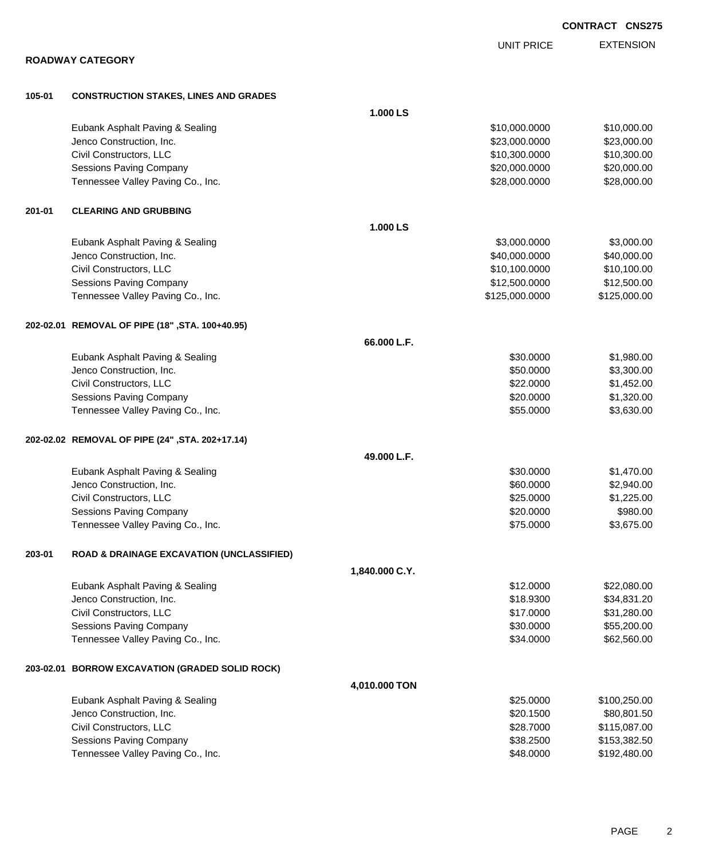|        |                                                      |                |                   | <b>CONTRACT CNS275</b> |
|--------|------------------------------------------------------|----------------|-------------------|------------------------|
|        |                                                      |                | <b>UNIT PRICE</b> | <b>EXTENSION</b>       |
|        | <b>ROADWAY CATEGORY</b>                              |                |                   |                        |
| 105-01 | <b>CONSTRUCTION STAKES, LINES AND GRADES</b>         |                |                   |                        |
|        |                                                      | 1.000 LS       |                   |                        |
|        | Eubank Asphalt Paving & Sealing                      |                | \$10,000.0000     | \$10,000.00            |
|        | Jenco Construction, Inc.                             |                | \$23,000.0000     | \$23,000.00            |
|        | Civil Constructors, LLC                              |                | \$10,300.0000     | \$10,300.00            |
|        | Sessions Paving Company                              |                | \$20,000.0000     | \$20,000.00            |
|        | Tennessee Valley Paving Co., Inc.                    |                | \$28,000.0000     | \$28,000.00            |
| 201-01 | <b>CLEARING AND GRUBBING</b>                         |                |                   |                        |
|        |                                                      | 1.000 LS       |                   |                        |
|        | Eubank Asphalt Paving & Sealing                      |                | \$3,000.0000      | \$3,000.00             |
|        | Jenco Construction, Inc.                             |                | \$40,000.0000     | \$40,000.00            |
|        | Civil Constructors, LLC                              |                | \$10,100.0000     | \$10,100.00            |
|        | <b>Sessions Paving Company</b>                       |                | \$12,500.0000     | \$12,500.00            |
|        | Tennessee Valley Paving Co., Inc.                    |                | \$125,000.0000    | \$125,000.00           |
|        | 202-02.01 REMOVAL OF PIPE (18", STA. 100+40.95)      |                |                   |                        |
|        |                                                      | 66.000 L.F.    |                   |                        |
|        | Eubank Asphalt Paving & Sealing                      |                | \$30.0000         | \$1,980.00             |
|        | Jenco Construction, Inc.                             |                | \$50.0000         | \$3,300.00             |
|        | Civil Constructors, LLC                              |                | \$22.0000         | \$1,452.00             |
|        | Sessions Paving Company                              |                | \$20.0000         | \$1,320.00             |
|        | Tennessee Valley Paving Co., Inc.                    |                | \$55.0000         | \$3,630.00             |
|        | 202-02.02 REMOVAL OF PIPE (24", STA. 202+17.14)      |                |                   |                        |
|        |                                                      | 49.000 L.F.    |                   |                        |
|        | Eubank Asphalt Paving & Sealing                      |                | \$30.0000         | \$1,470.00             |
|        | Jenco Construction, Inc.                             |                | \$60.0000         | \$2,940.00             |
|        | Civil Constructors, LLC                              |                | \$25.0000         | \$1,225.00             |
|        | Sessions Paving Company                              |                | \$20.0000         | \$980.00               |
|        | Tennessee Valley Paving Co., Inc.                    |                | \$75.0000         | \$3,675.00             |
| 203-01 | <b>ROAD &amp; DRAINAGE EXCAVATION (UNCLASSIFIED)</b> |                |                   |                        |
|        |                                                      | 1,840.000 C.Y. |                   |                        |
|        | Eubank Asphalt Paving & Sealing                      |                | \$12.0000         | \$22,080.00            |
|        | Jenco Construction, Inc.                             |                | \$18.9300         | \$34,831.20            |
|        | Civil Constructors, LLC                              |                | \$17.0000         | \$31,280.00            |
|        | Sessions Paving Company                              |                | \$30.0000         | \$55,200.00            |
|        | Tennessee Valley Paving Co., Inc.                    |                | \$34.0000         | \$62,560.00            |
|        | 203-02.01 BORROW EXCAVATION (GRADED SOLID ROCK)      |                |                   |                        |
|        |                                                      | 4,010.000 TON  |                   |                        |
|        | Eubank Asphalt Paving & Sealing                      |                | \$25.0000         | \$100,250.00           |
|        | Jenco Construction, Inc.                             |                | \$20.1500         | \$80,801.50            |
|        | Civil Constructors, LLC                              |                | \$28.7000         | \$115,087.00           |
|        | Sessions Paving Company                              |                | \$38.2500         | \$153,382.50           |
|        | Tennessee Valley Paving Co., Inc.                    |                | \$48.0000         | \$192,480.00           |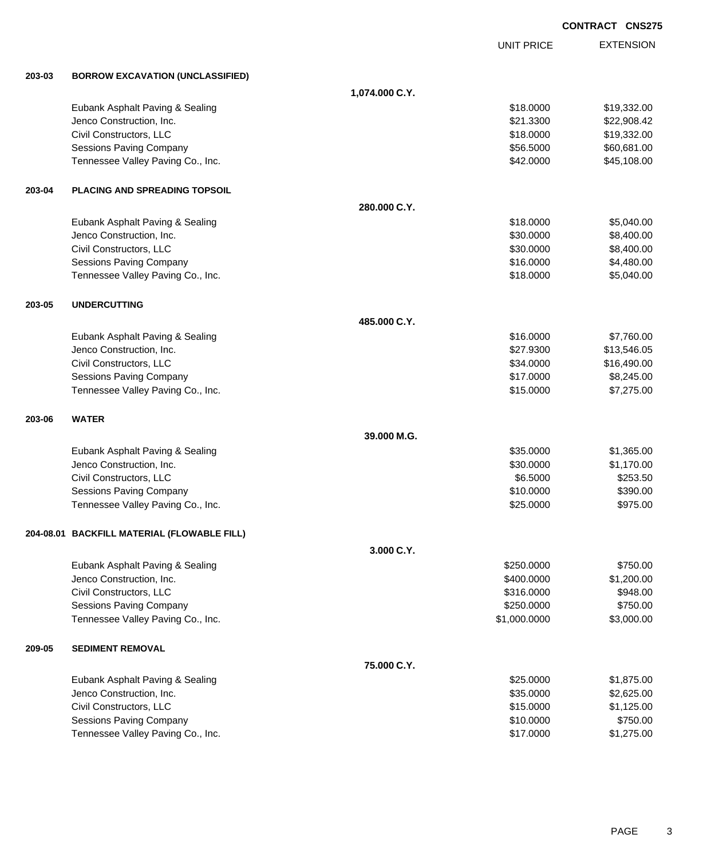|        |                                             |                |                   | <b>CONTRACT CNS275</b> |
|--------|---------------------------------------------|----------------|-------------------|------------------------|
|        |                                             |                | <b>UNIT PRICE</b> | <b>EXTENSION</b>       |
| 203-03 | <b>BORROW EXCAVATION (UNCLASSIFIED)</b>     |                |                   |                        |
|        |                                             | 1,074.000 C.Y. |                   |                        |
|        | Eubank Asphalt Paving & Sealing             |                | \$18.0000         | \$19,332.00            |
|        | Jenco Construction, Inc.                    |                | \$21.3300         | \$22,908.42            |
|        | Civil Constructors, LLC                     |                | \$18.0000         | \$19,332.00            |
|        | <b>Sessions Paving Company</b>              |                | \$56.5000         | \$60,681.00            |
|        | Tennessee Valley Paving Co., Inc.           |                | \$42.0000         | \$45,108.00            |
| 203-04 | PLACING AND SPREADING TOPSOIL               |                |                   |                        |
|        |                                             | 280.000 C.Y.   |                   |                        |
|        | Eubank Asphalt Paving & Sealing             |                | \$18.0000         | \$5,040.00             |
|        | Jenco Construction, Inc.                    |                | \$30.0000         | \$8,400.00             |
|        | Civil Constructors, LLC                     |                | \$30.0000         | \$8,400.00             |
|        | <b>Sessions Paving Company</b>              |                | \$16.0000         | \$4,480.00             |
|        | Tennessee Valley Paving Co., Inc.           |                | \$18.0000         | \$5,040.00             |
| 203-05 | <b>UNDERCUTTING</b>                         |                |                   |                        |
|        |                                             | 485.000 C.Y.   |                   |                        |
|        | Eubank Asphalt Paving & Sealing             |                | \$16.0000         | \$7,760.00             |
|        | Jenco Construction, Inc.                    |                | \$27.9300         | \$13,546.05            |
|        | Civil Constructors, LLC                     |                | \$34.0000         | \$16,490.00            |
|        | <b>Sessions Paving Company</b>              |                | \$17.0000         | \$8,245.00             |
|        | Tennessee Valley Paving Co., Inc.           |                | \$15.0000         | \$7,275.00             |
| 203-06 | <b>WATER</b>                                |                |                   |                        |
|        |                                             | 39.000 M.G.    |                   |                        |
|        | Eubank Asphalt Paving & Sealing             |                | \$35.0000         | \$1,365.00             |
|        | Jenco Construction, Inc.                    |                | \$30.0000         | \$1,170.00             |
|        | Civil Constructors, LLC                     |                | \$6.5000          | \$253.50               |
|        | <b>Sessions Paving Company</b>              |                | \$10.0000         | \$390.00               |
|        | Tennessee Valley Paving Co., Inc.           |                | \$25.0000         | \$975.00               |
|        | 204-08.01 BACKFILL MATERIAL (FLOWABLE FILL) |                |                   |                        |
|        |                                             | 3.000 C.Y.     |                   |                        |
|        | Eubank Asphalt Paving & Sealing             |                | \$250.0000        | \$750.00               |
|        | Jenco Construction, Inc.                    |                | \$400.0000        | \$1,200.00             |
|        | Civil Constructors, LLC                     |                | \$316.0000        | \$948.00               |
|        | <b>Sessions Paving Company</b>              |                | \$250.0000        | \$750.00               |
|        | Tennessee Valley Paving Co., Inc.           |                | \$1,000.0000      | \$3,000.00             |
| 209-05 | <b>SEDIMENT REMOVAL</b>                     |                |                   |                        |
|        |                                             | 75.000 C.Y.    |                   |                        |
|        | Eubank Asphalt Paving & Sealing             |                | \$25.0000         | \$1,875.00             |
|        | Jenco Construction, Inc.                    |                | \$35.0000         | \$2,625.00             |
|        | Civil Constructors, LLC                     |                | \$15.0000         | \$1,125.00             |
|        | <b>Sessions Paving Company</b>              |                | \$10.0000         | \$750.00               |
|        | Tennessee Valley Paving Co., Inc.           |                | \$17.0000         | \$1,275.00             |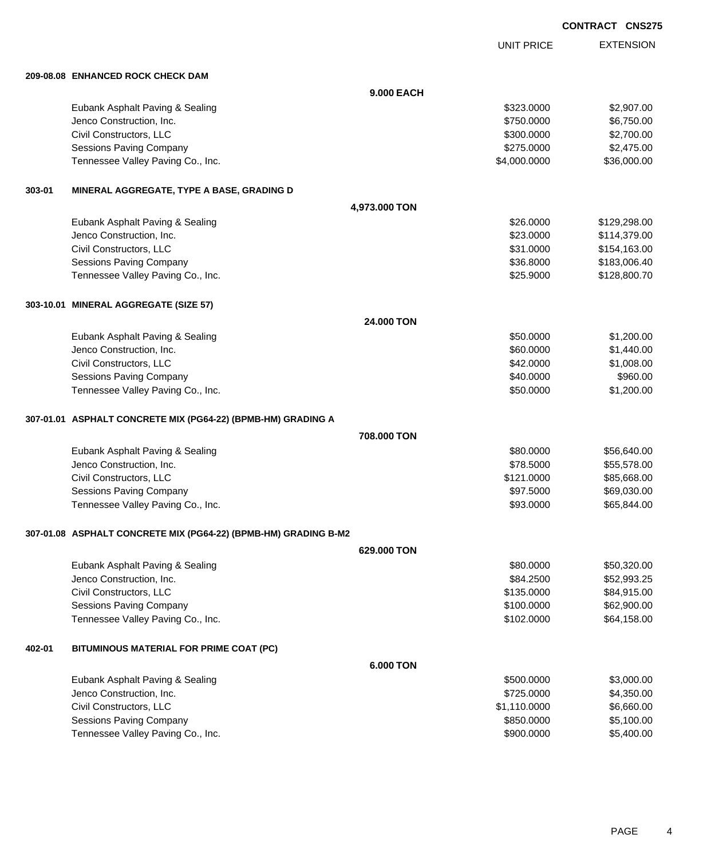UNIT PRICE EXTENSION

**209-08.08 ENHANCED ROCK CHECK DAM**

|        | 209-08.08 ENHANCED ROCK CHECK DAM                               |               |              |              |  |
|--------|-----------------------------------------------------------------|---------------|--------------|--------------|--|
|        |                                                                 | 9,000 EACH    |              |              |  |
|        | Eubank Asphalt Paving & Sealing                                 |               | \$323.0000   | \$2,907.00   |  |
|        | Jenco Construction, Inc.                                        |               | \$750.0000   | \$6,750.00   |  |
|        | Civil Constructors, LLC                                         |               | \$300.0000   | \$2,700.00   |  |
|        | <b>Sessions Paving Company</b>                                  |               | \$275.0000   | \$2,475.00   |  |
|        | Tennessee Valley Paving Co., Inc.                               |               | \$4,000.0000 | \$36,000.00  |  |
| 303-01 | MINERAL AGGREGATE, TYPE A BASE, GRADING D                       |               |              |              |  |
|        |                                                                 | 4,973.000 TON |              |              |  |
|        | Eubank Asphalt Paving & Sealing                                 |               | \$26.0000    | \$129,298.00 |  |
|        | Jenco Construction, Inc.                                        |               | \$23.0000    | \$114,379.00 |  |
|        | Civil Constructors, LLC                                         |               | \$31.0000    | \$154,163.00 |  |
|        | <b>Sessions Paving Company</b>                                  |               | \$36.8000    | \$183,006.40 |  |
|        | Tennessee Valley Paving Co., Inc.                               |               | \$25.9000    | \$128,800.70 |  |
|        | 303-10.01 MINERAL AGGREGATE (SIZE 57)                           |               |              |              |  |
|        |                                                                 | 24,000 TON    |              |              |  |
|        | Eubank Asphalt Paving & Sealing                                 |               | \$50.0000    | \$1,200.00   |  |
|        | Jenco Construction, Inc.                                        |               | \$60.0000    | \$1,440.00   |  |
|        | Civil Constructors, LLC                                         |               | \$42.0000    | \$1,008.00   |  |
|        | <b>Sessions Paving Company</b>                                  |               | \$40.0000    | \$960.00     |  |
|        | Tennessee Valley Paving Co., Inc.                               |               | \$50.0000    | \$1,200.00   |  |
|        | 307-01.01 ASPHALT CONCRETE MIX (PG64-22) (BPMB-HM) GRADING A    |               |              |              |  |
|        |                                                                 | 708.000 TON   |              |              |  |
|        | Eubank Asphalt Paving & Sealing                                 |               | \$80.0000    | \$56,640.00  |  |
|        | Jenco Construction, Inc.                                        |               | \$78.5000    | \$55,578.00  |  |
|        | Civil Constructors, LLC                                         |               | \$121.0000   | \$85,668.00  |  |
|        | <b>Sessions Paving Company</b>                                  |               | \$97.5000    | \$69,030.00  |  |
|        | Tennessee Valley Paving Co., Inc.                               |               | \$93.0000    | \$65,844.00  |  |
|        | 307-01.08 ASPHALT CONCRETE MIX (PG64-22) (BPMB-HM) GRADING B-M2 |               |              |              |  |
|        |                                                                 | 629,000 TON   |              |              |  |
|        | Eubank Asphalt Paving & Sealing                                 |               | \$80.0000    | \$50,320.00  |  |
|        | Jenco Construction, Inc.                                        |               | \$84.2500    | \$52,993.25  |  |
|        | Civil Constructors, LLC                                         |               | \$135.0000   | \$84,915.00  |  |
|        | Sessions Paving Company                                         |               | \$100.0000   | \$62,900.00  |  |
|        | Tennessee Valley Paving Co., Inc.                               |               | \$102.0000   | \$64,158.00  |  |
| 402-01 | BITUMINOUS MATERIAL FOR PRIME COAT (PC)                         |               |              |              |  |
|        |                                                                 | 6.000 TON     |              |              |  |
|        | Eubank Asphalt Paving & Sealing                                 |               | \$500.0000   | \$3,000.00   |  |
|        | Jenco Construction, Inc.                                        |               | \$725.0000   | \$4,350.00   |  |
|        | Civil Constructors, LLC                                         |               | \$1,110.0000 | \$6,660.00   |  |
|        | <b>Sessions Paving Company</b>                                  |               | \$850.0000   | \$5,100.00   |  |
|        | Tennessee Valley Paving Co., Inc.                               |               | \$900.0000   | \$5,400.00   |  |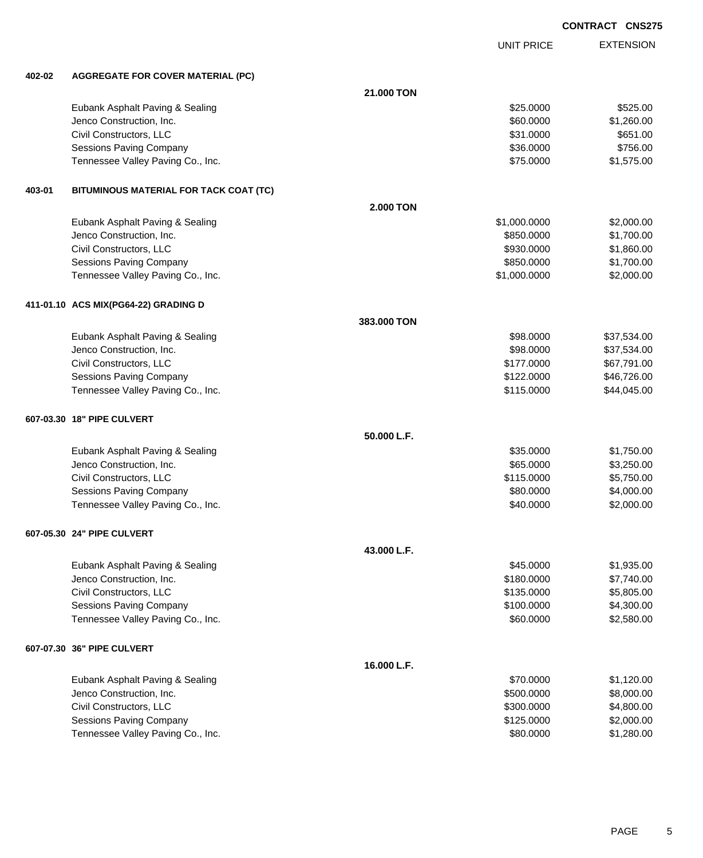UNIT PRICE EXTENSION

**402-02 AGGREGATE FOR COVER MATERIAL (PC)**

| 402-02 | AGGREGATE FOR COVER MATERIAL (PC)      |                  |              |             |
|--------|----------------------------------------|------------------|--------------|-------------|
|        |                                        | 21.000 TON       |              |             |
|        | Eubank Asphalt Paving & Sealing        |                  | \$25.0000    | \$525.00    |
|        | Jenco Construction, Inc.               |                  | \$60.0000    | \$1,260.00  |
|        | Civil Constructors, LLC                |                  | \$31.0000    | \$651.00    |
|        | <b>Sessions Paving Company</b>         |                  | \$36.0000    | \$756.00    |
|        | Tennessee Valley Paving Co., Inc.      |                  | \$75.0000    | \$1,575.00  |
| 403-01 | BITUMINOUS MATERIAL FOR TACK COAT (TC) |                  |              |             |
|        |                                        | <b>2.000 TON</b> |              |             |
|        | Eubank Asphalt Paving & Sealing        |                  | \$1,000.0000 | \$2,000.00  |
|        | Jenco Construction, Inc.               |                  | \$850.0000   | \$1,700.00  |
|        | Civil Constructors, LLC                |                  | \$930.0000   | \$1,860.00  |
|        | Sessions Paving Company                |                  | \$850.0000   | \$1,700.00  |
|        | Tennessee Valley Paving Co., Inc.      |                  | \$1,000.0000 | \$2,000.00  |
|        | 411-01.10   ACS MIX(PG64-22) GRADING D |                  |              |             |
|        |                                        | 383.000 TON      |              |             |
|        | Eubank Asphalt Paving & Sealing        |                  | \$98.0000    | \$37,534.00 |
|        | Jenco Construction, Inc.               |                  | \$98.0000    | \$37,534.00 |
|        | Civil Constructors, LLC                |                  | \$177.0000   | \$67,791.00 |
|        | Sessions Paving Company                |                  | \$122.0000   | \$46,726.00 |
|        | Tennessee Valley Paving Co., Inc.      |                  | \$115.0000   | \$44,045.00 |
|        | 607-03.30 18" PIPE CULVERT             |                  |              |             |
|        |                                        | 50.000 L.F.      |              |             |
|        | Eubank Asphalt Paving & Sealing        |                  | \$35.0000    | \$1,750.00  |
|        | Jenco Construction, Inc.               |                  | \$65.0000    | \$3,250.00  |
|        | Civil Constructors, LLC                |                  | \$115.0000   | \$5,750.00  |
|        | <b>Sessions Paving Company</b>         |                  | \$80.0000    | \$4,000.00  |
|        | Tennessee Valley Paving Co., Inc.      |                  | \$40.0000    | \$2,000.00  |
|        | 607-05.30 24" PIPE CULVERT             |                  |              |             |
|        |                                        | 43.000 L.F.      |              |             |
|        | Eubank Asphalt Paving & Sealing        |                  | \$45.0000    | \$1,935.00  |
|        | Jenco Construction, Inc.               |                  | \$180.0000   | \$7,740.00  |
|        | Civil Constructors, LLC                |                  | \$135.0000   | \$5,805.00  |
|        | Sessions Paving Company                |                  | \$100.0000   | \$4,300.00  |
|        | Tennessee Valley Paving Co., Inc.      |                  | \$60.0000    | \$2,580.00  |
|        | 607-07.30 36" PIPE CULVERT             |                  |              |             |
|        |                                        | 16.000 L.F.      |              |             |
|        | Eubank Asphalt Paving & Sealing        |                  | \$70.0000    | \$1,120.00  |
|        | Jenco Construction, Inc.               |                  | \$500.0000   | \$8,000.00  |
|        | Civil Constructors, LLC                |                  | \$300.0000   | \$4,800.00  |
|        | Sessions Paving Company                |                  | \$125.0000   | \$2,000.00  |
|        | Tennessee Valley Paving Co., Inc.      |                  | \$80.0000    | \$1,280.00  |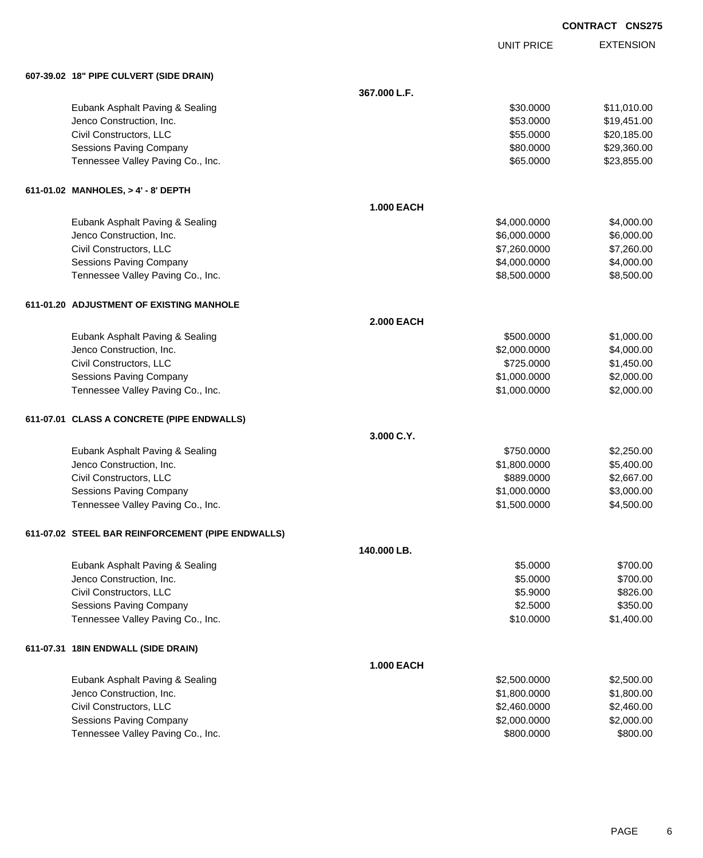|                                                   |                   |                   | <b>CONTRACT CNS275</b> |
|---------------------------------------------------|-------------------|-------------------|------------------------|
|                                                   |                   | <b>UNIT PRICE</b> | <b>EXTENSION</b>       |
| 607-39.02 18" PIPE CULVERT (SIDE DRAIN)           |                   |                   |                        |
|                                                   | 367.000 L.F.      |                   |                        |
| Eubank Asphalt Paving & Sealing                   |                   | \$30.0000         | \$11,010.00            |
| Jenco Construction, Inc.                          |                   | \$53.0000         | \$19,451.00            |
| Civil Constructors, LLC                           |                   | \$55.0000         | \$20,185.00            |
| <b>Sessions Paving Company</b>                    |                   | \$80.0000         | \$29,360.00            |
| Tennessee Valley Paving Co., Inc.                 |                   | \$65.0000         | \$23,855.00            |
| 611-01.02 MANHOLES, > 4' - 8' DEPTH               |                   |                   |                        |
|                                                   | <b>1.000 EACH</b> |                   |                        |
| Eubank Asphalt Paving & Sealing                   |                   | \$4,000.0000      | \$4,000.00             |
| Jenco Construction, Inc.                          |                   | \$6,000.0000      | \$6,000.00             |
| Civil Constructors, LLC                           |                   | \$7,260.0000      | \$7,260.00             |
| <b>Sessions Paving Company</b>                    |                   | \$4,000.0000      | \$4,000.00             |
| Tennessee Valley Paving Co., Inc.                 |                   | \$8,500.0000      | \$8,500.00             |
| 611-01.20 ADJUSTMENT OF EXISTING MANHOLE          |                   |                   |                        |
|                                                   | <b>2.000 EACH</b> |                   |                        |
| Eubank Asphalt Paving & Sealing                   |                   | \$500.0000        | \$1,000.00             |
| Jenco Construction, Inc.                          |                   | \$2,000.0000      | \$4,000.00             |
| Civil Constructors, LLC                           |                   | \$725.0000        | \$1,450.00             |
| <b>Sessions Paving Company</b>                    |                   | \$1,000.0000      | \$2,000.00             |
| Tennessee Valley Paving Co., Inc.                 |                   | \$1,000.0000      | \$2,000.00             |
| 611-07.01 CLASS A CONCRETE (PIPE ENDWALLS)        |                   |                   |                        |
|                                                   | 3.000 C.Y.        |                   |                        |
| Eubank Asphalt Paving & Sealing                   |                   | \$750.0000        | \$2,250.00             |
| Jenco Construction, Inc.                          |                   | \$1,800.0000      | \$5,400.00             |
| Civil Constructors, LLC                           |                   | \$889.0000        | \$2,667.00             |
| <b>Sessions Paving Company</b>                    |                   | \$1,000.0000      | \$3,000.00             |
| Tennessee Valley Paving Co., Inc.                 |                   | \$1,500.0000      | \$4,500.00             |
| 611-07.02 STEEL BAR REINFORCEMENT (PIPE ENDWALLS) |                   |                   |                        |
|                                                   | 140.000 LB.       |                   |                        |
| Eubank Asphalt Paving & Sealing                   |                   | \$5.0000          | \$700.00               |
| Jenco Construction, Inc.                          |                   | \$5.0000          | \$700.00               |
| Civil Constructors, LLC                           |                   | \$5.9000          | \$826.00               |
| <b>Sessions Paving Company</b>                    |                   | \$2.5000          | \$350.00               |
| Tennessee Valley Paving Co., Inc.                 |                   | \$10.0000         | \$1,400.00             |
| 611-07.31 18IN ENDWALL (SIDE DRAIN)               |                   |                   |                        |
|                                                   | 1.000 EACH        |                   |                        |
| Eubank Asphalt Paving & Sealing                   |                   | \$2,500.0000      | \$2,500.00             |
| Jenco Construction, Inc.                          |                   | \$1,800,0000      | \$1,800.00             |

| Eupank Asphalt Paving & Sealing   | ີ ⊅∠.ວ∪∪.∪∪∪ບ | ັ\$∠.ວ∪∪.∪∪ |
|-----------------------------------|---------------|-------------|
| Jenco Construction, Inc.          | \$1,800,0000  | \$1,800,00  |
| Civil Constructors, LLC           | \$2,460,0000  | \$2,460,00  |
| Sessions Paving Company           | \$2,000,0000  | \$2,000.00  |
| Tennessee Valley Paving Co., Inc. | \$800,0000    | \$800.00    |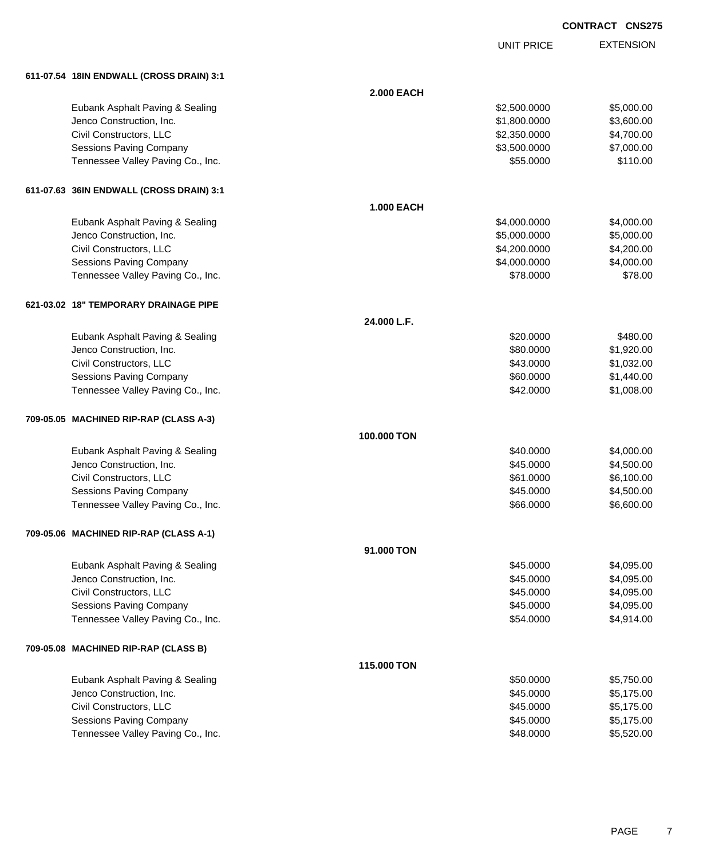| <b>CONTRACT CNS275</b> |  |
|------------------------|--|
|                        |  |

|                                          |                   | <b>UNIT PRICE</b> | <b>EXTENSION</b> |
|------------------------------------------|-------------------|-------------------|------------------|
| 611-07.54 18IN ENDWALL (CROSS DRAIN) 3:1 |                   |                   |                  |
|                                          | <b>2.000 EACH</b> |                   |                  |
|                                          |                   |                   |                  |
| Eubank Asphalt Paving & Sealing          |                   | \$2,500.0000      | \$5,000.00       |
| Jenco Construction, Inc.                 |                   | \$1,800.0000      | \$3,600.00       |
| Civil Constructors, LLC                  |                   | \$2,350.0000      | \$4,700.00       |
| <b>Sessions Paving Company</b>           |                   | \$3,500.0000      | \$7,000.00       |
| Tennessee Valley Paving Co., Inc.        |                   | \$55.0000         | \$110.00         |
| 611-07.63 36IN ENDWALL (CROSS DRAIN) 3:1 |                   |                   |                  |
|                                          | <b>1.000 EACH</b> |                   |                  |
| Eubank Asphalt Paving & Sealing          |                   | \$4,000.0000      | \$4,000.00       |
| Jenco Construction, Inc.                 |                   | \$5,000.0000      | \$5,000.00       |
| Civil Constructors, LLC                  |                   | \$4,200.0000      | \$4,200.00       |
| Sessions Paving Company                  |                   | \$4,000.0000      | \$4,000.00       |
| Tennessee Valley Paving Co., Inc.        |                   | \$78.0000         | \$78.00          |
| 621-03.02 18" TEMPORARY DRAINAGE PIPE    |                   |                   |                  |
|                                          | 24.000 L.F.       |                   |                  |
| Eubank Asphalt Paving & Sealing          |                   | \$20,0000         | \$480.00         |
| Jenco Construction, Inc.                 |                   | \$80.0000         | \$1,920.00       |
| Civil Constructors, LLC                  |                   | \$43.0000         | \$1,032.00       |
| <b>Sessions Paving Company</b>           |                   | \$60.0000         | \$1,440.00       |
|                                          |                   | \$42.0000         | \$1,008.00       |
| Tennessee Valley Paving Co., Inc.        |                   |                   |                  |
| 709-05.05 MACHINED RIP-RAP (CLASS A-3)   |                   |                   |                  |
|                                          | 100.000 TON       |                   |                  |
| Eubank Asphalt Paving & Sealing          |                   | \$40.0000         | \$4,000.00       |
| Jenco Construction, Inc.                 |                   | \$45.0000         | \$4,500.00       |
| Civil Constructors, LLC                  |                   | \$61.0000         | \$6,100.00       |
| <b>Sessions Paving Company</b>           |                   | \$45.0000         | \$4,500.00       |
| Tennessee Valley Paving Co., Inc.        |                   | \$66.0000         | \$6,600.00       |
| 709-05.06 MACHINED RIP-RAP (CLASS A-1)   |                   |                   |                  |
|                                          | 91,000 TON        |                   |                  |
| Eubank Asphalt Paving & Sealing          |                   | \$45,0000         | \$4,095.00       |
| Jenco Construction, Inc.                 |                   | \$45.0000         | \$4,095.00       |
| Civil Constructors, LLC                  |                   | \$45.0000         | \$4,095.00       |
| Sessions Paving Company                  |                   | \$45.0000         | \$4,095.00       |
| Tennessee Valley Paving Co., Inc.        |                   | \$54.0000         | \$4,914.00       |
| 709-05.08 MACHINED RIP-RAP (CLASS B)     |                   |                   |                  |
|                                          | 115,000 TON       |                   |                  |
| Eubank Asphalt Paving & Sealing          |                   | \$50.0000         | \$5,750.00       |
| Jenco Construction, Inc.                 |                   | \$45.0000         | \$5,175.00       |
| Civil Constructors, LLC                  |                   | \$45.0000         | \$5,175.00       |
| Sessions Paving Company                  |                   | \$45.0000         | \$5,175.00       |
| Tennessee Valley Paving Co., Inc.        |                   | \$48.0000         | \$5,520.00       |
|                                          |                   |                   |                  |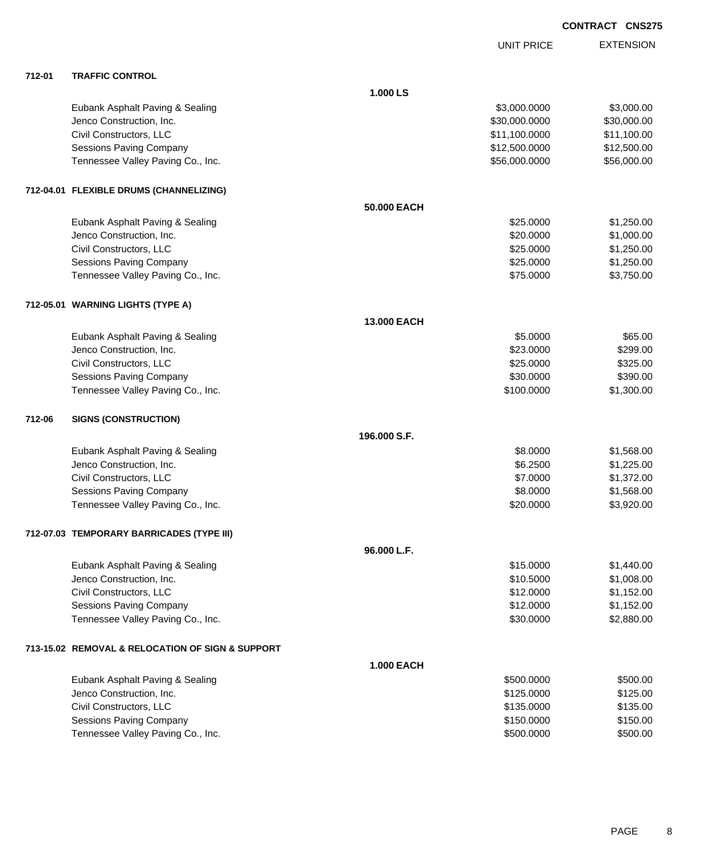|        |                                                  |                    | <b>UNIT PRICE</b> | <b>EXTENSION</b> |
|--------|--------------------------------------------------|--------------------|-------------------|------------------|
| 712-01 | <b>TRAFFIC CONTROL</b>                           |                    |                   |                  |
|        |                                                  | 1.000 LS           |                   |                  |
|        | Eubank Asphalt Paving & Sealing                  |                    | \$3,000.0000      | \$3,000.00       |
|        | Jenco Construction, Inc.                         |                    | \$30,000.0000     | \$30,000.00      |
|        | Civil Constructors, LLC                          |                    | \$11,100.0000     | \$11,100.00      |
|        | Sessions Paving Company                          |                    | \$12,500.0000     | \$12,500.00      |
|        | Tennessee Valley Paving Co., Inc.                |                    | \$56,000.0000     | \$56,000.00      |
|        | 712-04.01 FLEXIBLE DRUMS (CHANNELIZING)          |                    |                   |                  |
|        |                                                  | 50.000 EACH        |                   |                  |
|        | Eubank Asphalt Paving & Sealing                  |                    | \$25.0000         | \$1,250.00       |
|        | Jenco Construction, Inc.                         |                    | \$20.0000         | \$1,000.00       |
|        | Civil Constructors, LLC                          |                    | \$25.0000         | \$1,250.00       |
|        | Sessions Paving Company                          |                    | \$25.0000         | \$1,250.00       |
|        | Tennessee Valley Paving Co., Inc.                |                    | \$75.0000         | \$3,750.00       |
|        | 712-05.01 WARNING LIGHTS (TYPE A)                |                    |                   |                  |
|        |                                                  | <b>13,000 EACH</b> |                   |                  |
|        | Eubank Asphalt Paving & Sealing                  |                    | \$5.0000          | \$65.00          |
|        | Jenco Construction, Inc.                         |                    | \$23.0000         | \$299.00         |
|        | Civil Constructors, LLC                          |                    | \$25.0000         | \$325.00         |
|        | Sessions Paving Company                          |                    | \$30.0000         | \$390.00         |
|        | Tennessee Valley Paving Co., Inc.                |                    | \$100.0000        | \$1,300.00       |
| 712-06 | <b>SIGNS (CONSTRUCTION)</b>                      |                    |                   |                  |
|        |                                                  | 196.000 S.F.       |                   |                  |
|        | Eubank Asphalt Paving & Sealing                  |                    | \$8.0000          | \$1,568.00       |
|        | Jenco Construction, Inc.                         |                    | \$6.2500          | \$1,225.00       |
|        | Civil Constructors, LLC                          |                    | \$7.0000          | \$1,372.00       |
|        | <b>Sessions Paving Company</b>                   |                    | \$8.0000          | \$1,568.00       |
|        | Tennessee Valley Paving Co., Inc.                |                    | \$20.0000         | \$3,920.00       |
|        | 712-07.03 TEMPORARY BARRICADES (TYPE III)        |                    |                   |                  |
|        |                                                  | 96.000 L.F.        |                   |                  |
|        | Eubank Asphalt Paving & Sealing                  |                    | \$15.0000         | \$1,440.00       |
|        | Jenco Construction, Inc.                         |                    | \$10.5000         | \$1,008.00       |
|        | Civil Constructors, LLC                          |                    | \$12.0000         | \$1,152.00       |
|        | <b>Sessions Paving Company</b>                   |                    | \$12.0000         | \$1,152.00       |
|        | Tennessee Valley Paving Co., Inc.                |                    | \$30.0000         | \$2,880.00       |
|        | 713-15.02 REMOVAL & RELOCATION OF SIGN & SUPPORT |                    |                   |                  |
|        |                                                  | <b>1.000 EACH</b>  |                   |                  |
|        | Eubank Asphalt Paving & Sealing                  |                    | \$500.0000        | \$500.00         |
|        | Jenco Construction, Inc.                         |                    | \$125.0000        | \$125.00         |
|        | Civil Constructors, LLC                          |                    | \$135.0000        | \$135.00         |
|        | <b>Sessions Paving Company</b>                   |                    | \$150.0000        | \$150.00         |
|        | Tennessee Valley Paving Co., Inc.                |                    | \$500.0000        | \$500.00         |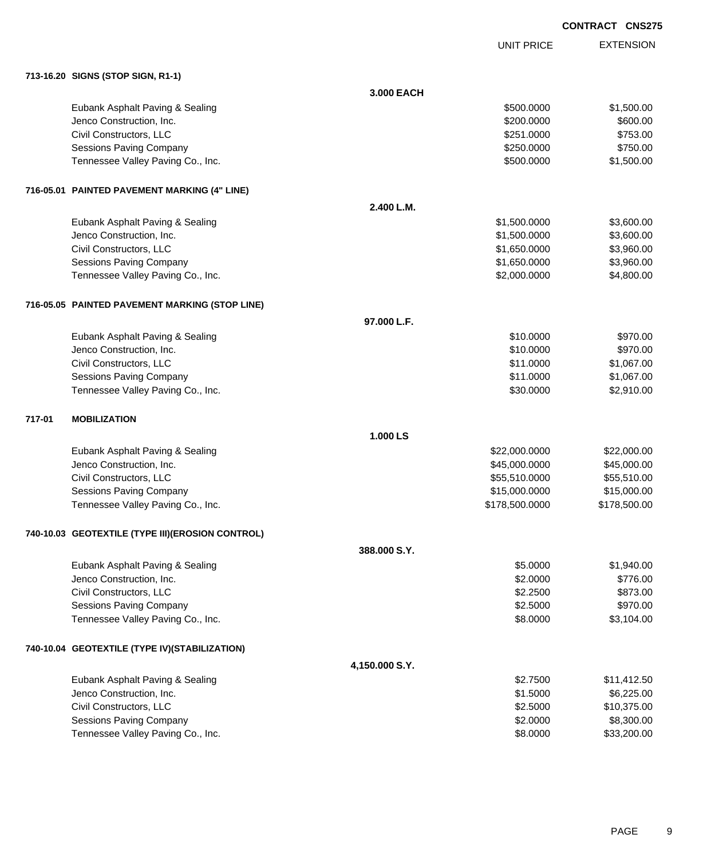UNIT PRICE EXTENSION

|        | 713-16.20 SIGNS (STOP SIGN, R1-1)                 |                |                |              |
|--------|---------------------------------------------------|----------------|----------------|--------------|
|        |                                                   | 3.000 EACH     |                |              |
|        | Eubank Asphalt Paving & Sealing                   |                | \$500.0000     | \$1,500.00   |
|        | Jenco Construction, Inc.                          |                | \$200.0000     | \$600.00     |
|        | Civil Constructors, LLC                           |                | \$251.0000     | \$753.00     |
|        | Sessions Paving Company                           |                | \$250.0000     | \$750.00     |
|        | Tennessee Valley Paving Co., Inc.                 |                | \$500.0000     | \$1,500.00   |
|        |                                                   |                |                |              |
|        | 716-05.01 PAINTED PAVEMENT MARKING (4" LINE)      |                |                |              |
|        |                                                   | 2.400 L.M.     |                |              |
|        | Eubank Asphalt Paving & Sealing                   |                | \$1,500.0000   | \$3,600.00   |
|        | Jenco Construction, Inc.                          |                | \$1,500.0000   | \$3,600.00   |
|        | Civil Constructors, LLC                           |                | \$1,650.0000   | \$3,960.00   |
|        | Sessions Paving Company                           |                | \$1,650.0000   | \$3,960.00   |
|        | Tennessee Valley Paving Co., Inc.                 |                | \$2,000.0000   | \$4,800.00   |
|        | 716-05.05 PAINTED PAVEMENT MARKING (STOP LINE)    |                |                |              |
|        |                                                   | 97.000 L.F.    |                |              |
|        | Eubank Asphalt Paving & Sealing                   |                | \$10.0000      | \$970.00     |
|        | Jenco Construction, Inc.                          |                | \$10.0000      | \$970.00     |
|        | Civil Constructors, LLC                           |                | \$11.0000      | \$1,067.00   |
|        | Sessions Paving Company                           |                | \$11.0000      | \$1,067.00   |
|        | Tennessee Valley Paving Co., Inc.                 |                | \$30.0000      | \$2,910.00   |
| 717-01 | <b>MOBILIZATION</b>                               |                |                |              |
|        |                                                   | 1.000 LS       |                |              |
|        | Eubank Asphalt Paving & Sealing                   |                | \$22,000.0000  | \$22,000.00  |
|        | Jenco Construction, Inc.                          |                | \$45,000.0000  | \$45,000.00  |
|        | Civil Constructors, LLC                           |                | \$55,510.0000  | \$55,510.00  |
|        | Sessions Paving Company                           |                | \$15,000.0000  | \$15,000.00  |
|        | Tennessee Valley Paving Co., Inc.                 |                | \$178,500.0000 | \$178,500.00 |
|        | 740-10.03 GEOTEXTILE (TYPE III) (EROSION CONTROL) |                |                |              |
|        |                                                   | 388,000 S.Y.   |                |              |
|        | Eubank Asphalt Paving & Sealing                   |                | \$5.0000       | \$1,940.00   |
|        | Jenco Construction, Inc.                          |                | \$2.0000       | \$776.00     |
|        | Civil Constructors, LLC                           |                | \$2.2500       | \$873.00     |
|        | Sessions Paving Company                           |                | \$2.5000       | \$970.00     |
|        | Tennessee Valley Paving Co., Inc.                 |                | \$8.0000       | \$3,104.00   |
|        | 740-10.04 GEOTEXTILE (TYPE IV)(STABILIZATION)     |                |                |              |
|        |                                                   | 4,150.000 S.Y. |                |              |
|        | Eubank Asphalt Paving & Sealing                   |                | \$2.7500       | \$11,412.50  |
|        | Jenco Construction, Inc.                          |                | \$1.5000       | \$6,225.00   |
|        | Civil Constructors, LLC                           |                | \$2.5000       | \$10,375.00  |
|        | Sessions Paving Company                           |                | \$2.0000       | \$8,300.00   |
|        | Tennessee Valley Paving Co., Inc.                 |                | \$8.0000       | \$33,200.00  |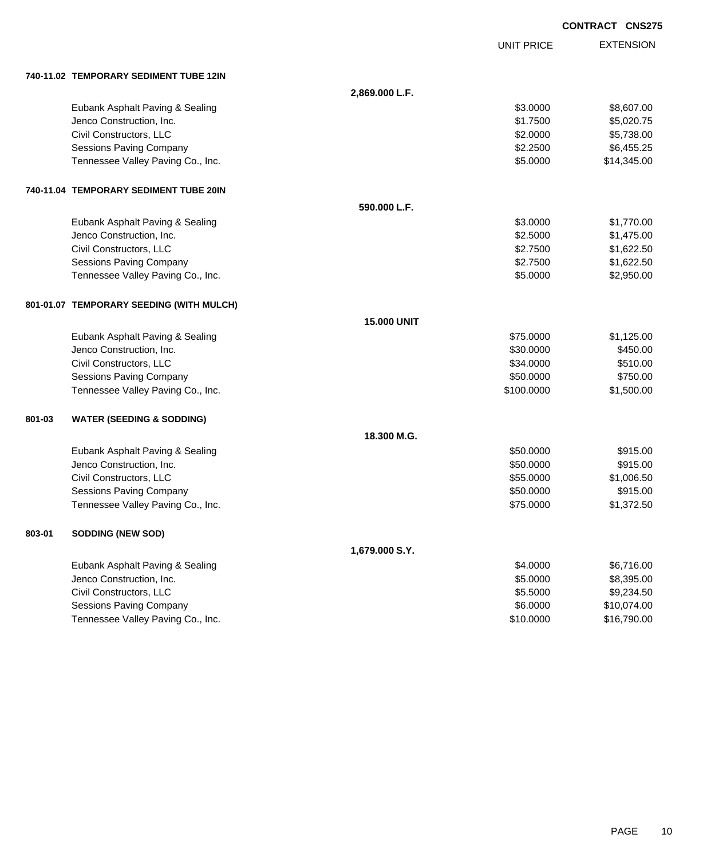|        |                                          |                    |                   | <b>CONTRACT CNS275</b> |
|--------|------------------------------------------|--------------------|-------------------|------------------------|
|        |                                          |                    | <b>UNIT PRICE</b> | <b>EXTENSION</b>       |
|        | 740-11.02 TEMPORARY SEDIMENT TUBE 12IN   |                    |                   |                        |
|        |                                          | 2,869.000 L.F.     |                   |                        |
|        | Eubank Asphalt Paving & Sealing          |                    | \$3.0000          | \$8,607.00             |
|        | Jenco Construction, Inc.                 |                    | \$1.7500          | \$5,020.75             |
|        | Civil Constructors, LLC                  |                    | \$2.0000          | \$5,738.00             |
|        | <b>Sessions Paving Company</b>           |                    | \$2.2500          | \$6,455.25             |
|        | Tennessee Valley Paving Co., Inc.        |                    | \$5.0000          | \$14,345.00            |
|        | 740-11.04 TEMPORARY SEDIMENT TUBE 20IN   |                    |                   |                        |
|        |                                          | 590.000 L.F.       |                   |                        |
|        | Eubank Asphalt Paving & Sealing          |                    | \$3.0000          | \$1,770.00             |
|        | Jenco Construction, Inc.                 |                    | \$2.5000          | \$1,475.00             |
|        | Civil Constructors, LLC                  |                    | \$2.7500          | \$1,622.50             |
|        | <b>Sessions Paving Company</b>           |                    | \$2.7500          | \$1,622.50             |
|        | Tennessee Valley Paving Co., Inc.        |                    | \$5.0000          | \$2,950.00             |
|        | 801-01.07 TEMPORARY SEEDING (WITH MULCH) |                    |                   |                        |
|        |                                          | <b>15.000 UNIT</b> |                   |                        |
|        | Eubank Asphalt Paving & Sealing          |                    | \$75.0000         | \$1,125.00             |
|        | Jenco Construction, Inc.                 |                    | \$30.0000         | \$450.00               |
|        | Civil Constructors, LLC                  |                    | \$34.0000         | \$510.00               |
|        | Sessions Paving Company                  |                    | \$50.0000         | \$750.00               |
|        | Tennessee Valley Paving Co., Inc.        |                    | \$100.0000        | \$1,500.00             |
| 801-03 | <b>WATER (SEEDING &amp; SODDING)</b>     |                    |                   |                        |
|        |                                          | 18.300 M.G.        |                   |                        |
|        | Eubank Asphalt Paving & Sealing          |                    | \$50.0000         | \$915.00               |
|        | Jenco Construction, Inc.                 |                    | \$50.0000         | \$915.00               |
|        | Civil Constructors, LLC                  |                    | \$55.0000         | \$1,006.50             |
|        | Sessions Paving Company                  |                    | \$50.0000         | \$915.00               |
|        | Tennessee Valley Paving Co., Inc.        |                    | \$75.0000         | \$1,372.50             |
| 803-01 | <b>SODDING (NEW SOD)</b>                 |                    |                   |                        |
|        |                                          | 1,679.000 S.Y.     |                   |                        |
|        | Eubank Asphalt Paving & Sealing          |                    | \$4.0000          | \$6,716.00             |
|        | Jenco Construction, Inc.                 |                    | \$5.0000          | \$8,395.00             |
|        | Civil Constructors, LLC                  |                    | \$5.5000          | \$9,234.50             |
|        | <b>Sessions Paving Company</b>           |                    | \$6.0000          | \$10,074.00            |
|        | Tennessee Valley Paving Co., Inc.        |                    | \$10.0000         | \$16,790.00            |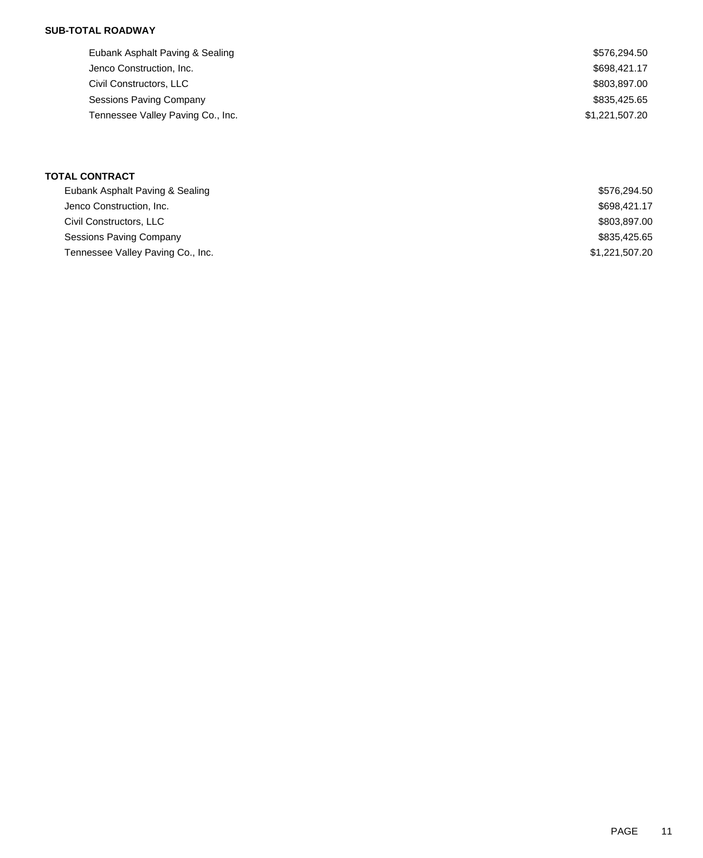### **SUB-TOTAL ROADWAY**

| Eubank Asphalt Paving & Sealing   | \$576,294.50   |
|-----------------------------------|----------------|
| Jenco Construction, Inc.          | \$698,421.17   |
| Civil Constructors, LLC           | \$803,897.00   |
| Sessions Paving Company           | \$835,425.65   |
| Tennessee Valley Paving Co., Inc. | \$1,221,507.20 |
|                                   |                |

### **TOTAL CONTRACT**

| \$576.294.50   |
|----------------|
| \$698,421.17   |
| \$803,897.00   |
| \$835,425.65   |
| \$1,221,507.20 |
|                |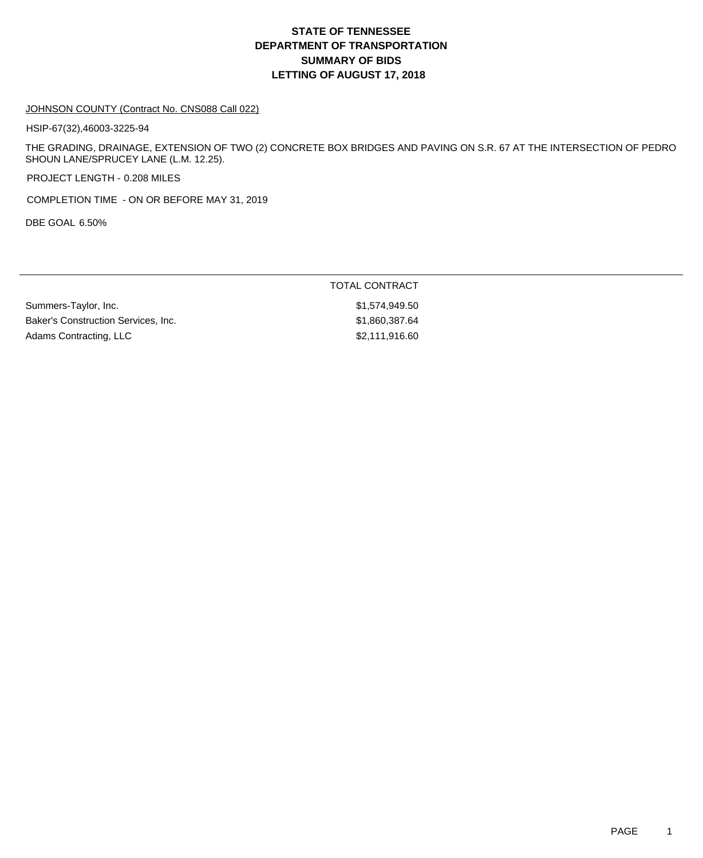## **DEPARTMENT OF TRANSPORTATION SUMMARY OF BIDS LETTING OF AUGUST 17, 2018 STATE OF TENNESSEE**

#### JOHNSON COUNTY (Contract No. CNS088 Call 022)

HSIP-67(32),46003-3225-94

THE GRADING, DRAINAGE, EXTENSION OF TWO (2) CONCRETE BOX BRIDGES AND PAVING ON S.R. 67 AT THE INTERSECTION OF PEDRO SHOUN LANE/SPRUCEY LANE (L.M. 12.25).

PROJECT LENGTH - 0.208 MILES

COMPLETION TIME - ON OR BEFORE MAY 31, 2019

DBE GOAL 6.50%

### TOTAL CONTRACT

Summers-Taylor, Inc.  $$1,574,949.50$ Baker's Construction Services, Inc. 67 (1996) 81,860,387.64 Adams Contracting, LLC \$2,111,916.60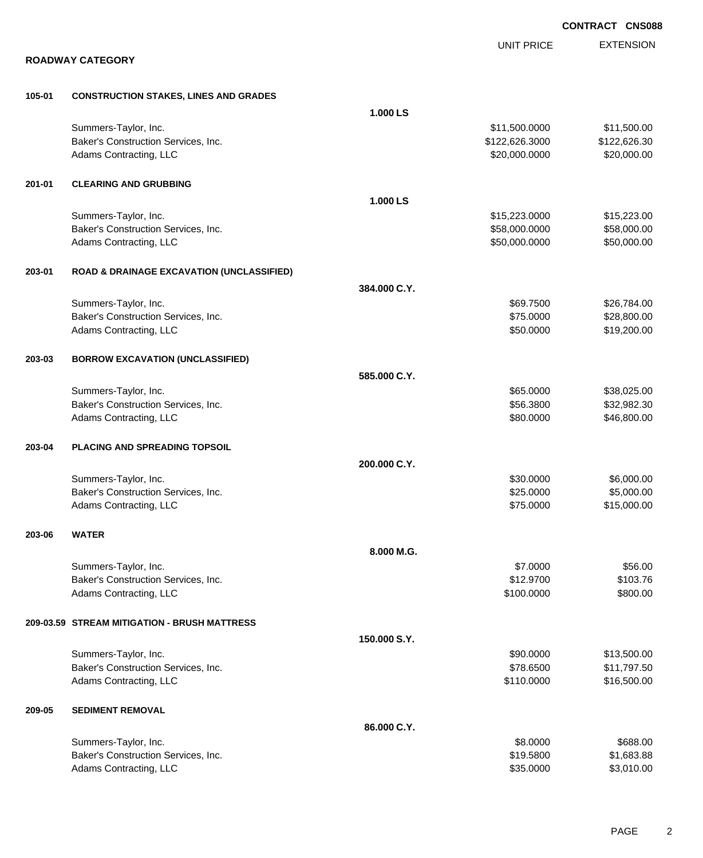|        |                                                      |              |                   | <b>CONTRACT CNS088</b> |
|--------|------------------------------------------------------|--------------|-------------------|------------------------|
|        |                                                      |              | <b>UNIT PRICE</b> | <b>EXTENSION</b>       |
|        | <b>ROADWAY CATEGORY</b>                              |              |                   |                        |
| 105-01 | <b>CONSTRUCTION STAKES, LINES AND GRADES</b>         |              |                   |                        |
|        |                                                      | 1.000 LS     |                   |                        |
|        | Summers-Taylor, Inc.                                 |              | \$11,500.0000     | \$11,500.00            |
|        | Baker's Construction Services, Inc.                  |              | \$122,626.3000    | \$122,626.30           |
|        | Adams Contracting, LLC                               |              | \$20,000.0000     | \$20,000.00            |
| 201-01 | <b>CLEARING AND GRUBBING</b>                         |              |                   |                        |
|        |                                                      | 1.000 LS     |                   |                        |
|        | Summers-Taylor, Inc.                                 |              | \$15,223.0000     | \$15,223.00            |
|        | Baker's Construction Services, Inc.                  |              | \$58,000.0000     | \$58,000.00            |
|        | Adams Contracting, LLC                               |              | \$50,000.0000     | \$50,000.00            |
| 203-01 | <b>ROAD &amp; DRAINAGE EXCAVATION (UNCLASSIFIED)</b> |              |                   |                        |
|        |                                                      | 384.000 C.Y. |                   |                        |
|        | Summers-Taylor, Inc.                                 |              | \$69.7500         | \$26,784.00            |
|        | Baker's Construction Services, Inc.                  |              | \$75.0000         | \$28,800.00            |
|        | Adams Contracting, LLC                               |              | \$50.0000         | \$19,200.00            |
| 203-03 | <b>BORROW EXCAVATION (UNCLASSIFIED)</b>              |              |                   |                        |
|        |                                                      | 585.000 C.Y. |                   |                        |
|        | Summers-Taylor, Inc.                                 |              | \$65.0000         | \$38,025.00            |
|        | Baker's Construction Services, Inc.                  |              | \$56.3800         | \$32,982.30            |
|        | Adams Contracting, LLC                               |              | \$80.0000         | \$46,800.00            |
| 203-04 | <b>PLACING AND SPREADING TOPSOIL</b>                 |              |                   |                        |
|        |                                                      | 200.000 C.Y. |                   |                        |
|        | Summers-Taylor, Inc.                                 |              | \$30.0000         | \$6,000.00             |
|        | Baker's Construction Services, Inc.                  |              | \$25.0000         | \$5,000.00             |
|        | Adams Contracting, LLC                               |              | \$75.0000         | \$15,000.00            |
| 203-06 | <b>WATER</b>                                         |              |                   |                        |
|        |                                                      | 8.000 M.G.   |                   |                        |
|        | Summers-Taylor, Inc.                                 |              | \$7.0000          | \$56.00                |
|        | Baker's Construction Services, Inc.                  |              | \$12.9700         | \$103.76               |
|        | Adams Contracting, LLC                               |              | \$100.0000        | \$800.00               |
|        | 209-03.59 STREAM MITIGATION - BRUSH MATTRESS         |              |                   |                        |
|        |                                                      | 150.000 S.Y. |                   |                        |
|        | Summers-Taylor, Inc.                                 |              | \$90.0000         | \$13,500.00            |
|        | Baker's Construction Services, Inc.                  |              | \$78.6500         | \$11,797.50            |
|        | Adams Contracting, LLC                               |              | \$110.0000        | \$16,500.00            |
| 209-05 | <b>SEDIMENT REMOVAL</b>                              |              |                   |                        |
|        |                                                      | 86.000 C.Y.  |                   |                        |
|        | Summers-Taylor, Inc.                                 |              | \$8.0000          | \$688.00               |
|        | Baker's Construction Services, Inc.                  |              | \$19.5800         | \$1,683.88             |
|        | Adams Contracting, LLC                               |              | \$35.0000         | \$3,010.00             |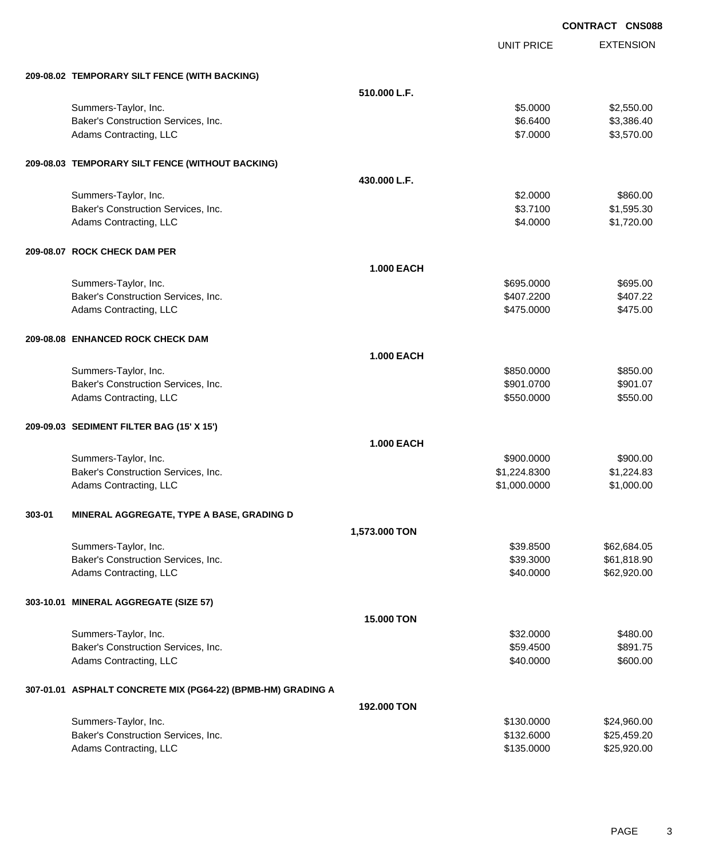|        |                                                              | <b>CONTRACT CNS088</b> |                   |                  |
|--------|--------------------------------------------------------------|------------------------|-------------------|------------------|
|        |                                                              |                        | <b>UNIT PRICE</b> | <b>EXTENSION</b> |
|        | 209-08.02 TEMPORARY SILT FENCE (WITH BACKING)                |                        |                   |                  |
|        |                                                              | 510.000 L.F.           |                   |                  |
|        | Summers-Taylor, Inc.                                         |                        | \$5.0000          | \$2,550.00       |
|        | Baker's Construction Services, Inc.                          |                        | \$6.6400          | \$3,386.40       |
|        | Adams Contracting, LLC                                       |                        | \$7.0000          | \$3,570.00       |
|        | 209-08.03 TEMPORARY SILT FENCE (WITHOUT BACKING)             |                        |                   |                  |
|        |                                                              | 430,000 L.F.           |                   |                  |
|        | Summers-Taylor, Inc.                                         |                        | \$2.0000          | \$860.00         |
|        | Baker's Construction Services, Inc.                          |                        | \$3.7100          | \$1,595.30       |
|        | Adams Contracting, LLC                                       |                        | \$4.0000          | \$1,720.00       |
|        | 209-08.07 ROCK CHECK DAM PER                                 |                        |                   |                  |
|        |                                                              | <b>1.000 EACH</b>      |                   |                  |
|        | Summers-Taylor, Inc.                                         |                        | \$695.0000        | \$695.00         |
|        | Baker's Construction Services, Inc.                          |                        | \$407.2200        | \$407.22         |
|        | Adams Contracting, LLC                                       |                        | \$475.0000        | \$475.00         |
|        | 209-08.08 ENHANCED ROCK CHECK DAM                            |                        |                   |                  |
|        |                                                              | <b>1.000 EACH</b>      |                   |                  |
|        | Summers-Taylor, Inc.                                         |                        | \$850.0000        | \$850.00         |
|        | Baker's Construction Services, Inc.                          |                        | \$901.0700        | \$901.07         |
|        | Adams Contracting, LLC                                       |                        | \$550.0000        | \$550.00         |
|        | 209-09.03 SEDIMENT FILTER BAG (15' X 15')                    |                        |                   |                  |
|        |                                                              | <b>1.000 EACH</b>      |                   |                  |
|        | Summers-Taylor, Inc.                                         |                        | \$900.0000        | \$900.00         |
|        | Baker's Construction Services, Inc.                          |                        | \$1,224.8300      | \$1,224.83       |
|        | Adams Contracting, LLC                                       |                        | \$1,000.0000      | \$1,000.00       |
| 303-01 | MINERAL AGGREGATE, TYPE A BASE, GRADING D                    |                        |                   |                  |
|        |                                                              | 1,573.000 TON          |                   |                  |
|        | Summers-Taylor, Inc.                                         |                        | \$39.8500         | \$62,684.05      |
|        | Baker's Construction Services, Inc.                          |                        | \$39.3000         | \$61,818.90      |
|        | Adams Contracting, LLC                                       |                        | \$40.0000         | \$62,920.00      |
|        | 303-10.01 MINERAL AGGREGATE (SIZE 57)                        |                        |                   |                  |
|        |                                                              | 15.000 TON             |                   |                  |
|        | Summers-Taylor, Inc.                                         |                        | \$32.0000         | \$480.00         |
|        | Baker's Construction Services, Inc.                          |                        | \$59.4500         | \$891.75         |
|        | Adams Contracting, LLC                                       |                        | \$40.0000         | \$600.00         |
|        | 307-01.01 ASPHALT CONCRETE MIX (PG64-22) (BPMB-HM) GRADING A |                        |                   |                  |
|        |                                                              | 192.000 TON            |                   |                  |
|        | Summers-Taylor, Inc.                                         |                        | \$130.0000        | \$24,960.00      |
|        | Baker's Construction Services, Inc.                          |                        | \$132.6000        | \$25,459.20      |
|        | Adams Contracting, LLC                                       |                        | \$135.0000        | \$25,920.00      |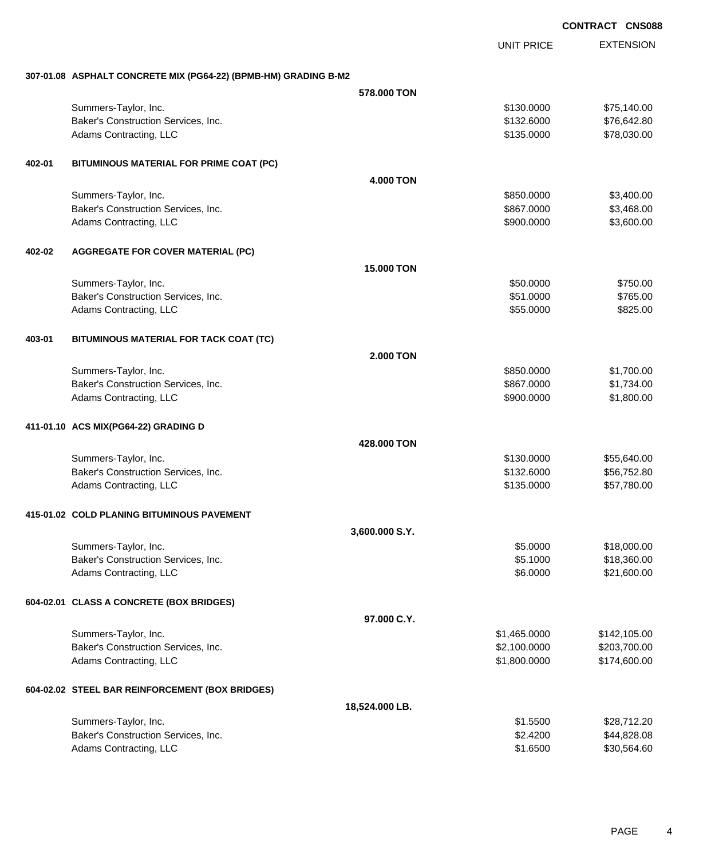|        |                                                                 |                  |                   | <b>CONTRACT CNS088</b> |
|--------|-----------------------------------------------------------------|------------------|-------------------|------------------------|
|        |                                                                 |                  | <b>UNIT PRICE</b> | <b>EXTENSION</b>       |
|        | 307-01.08 ASPHALT CONCRETE MIX (PG64-22) (BPMB-HM) GRADING B-M2 |                  |                   |                        |
|        |                                                                 | 578.000 TON      |                   |                        |
|        | Summers-Taylor, Inc.                                            |                  | \$130.0000        | \$75,140.00            |
|        | Baker's Construction Services, Inc.                             |                  | \$132.6000        | \$76,642.80            |
|        | Adams Contracting, LLC                                          |                  | \$135.0000        | \$78,030.00            |
| 402-01 | BITUMINOUS MATERIAL FOR PRIME COAT (PC)                         |                  |                   |                        |
|        |                                                                 | <b>4.000 TON</b> |                   |                        |
|        | Summers-Taylor, Inc.                                            |                  | \$850.0000        | \$3,400.00             |
|        | Baker's Construction Services, Inc.                             |                  | \$867.0000        | \$3,468.00             |
|        | Adams Contracting, LLC                                          |                  | \$900.0000        | \$3,600.00             |
| 402-02 | <b>AGGREGATE FOR COVER MATERIAL (PC)</b>                        |                  |                   |                        |
|        |                                                                 | 15.000 TON       |                   |                        |
|        | Summers-Taylor, Inc.                                            |                  | \$50.0000         | \$750.00               |
|        | Baker's Construction Services, Inc.                             |                  | \$51.0000         | \$765.00               |
|        | Adams Contracting, LLC                                          |                  | \$55.0000         | \$825.00               |
| 403-01 | BITUMINOUS MATERIAL FOR TACK COAT (TC)                          |                  |                   |                        |
|        |                                                                 | <b>2.000 TON</b> |                   |                        |
|        | Summers-Taylor, Inc.                                            |                  | \$850.0000        | \$1,700.00             |
|        | Baker's Construction Services, Inc.                             |                  | \$867.0000        | \$1,734.00             |
|        | Adams Contracting, LLC                                          |                  | \$900.0000        | \$1,800.00             |
|        | 411-01.10 ACS MIX(PG64-22) GRADING D                            |                  |                   |                        |
|        |                                                                 | 428.000 TON      |                   |                        |
|        | Summers-Taylor, Inc.                                            |                  | \$130.0000        | \$55,640.00            |
|        | Baker's Construction Services, Inc.                             |                  | \$132.6000        | \$56,752.80            |
|        | Adams Contracting, LLC                                          |                  | \$135.0000        | \$57,780.00            |
|        | 415-01.02 COLD PLANING BITUMINOUS PAVEMENT                      |                  |                   |                        |
|        |                                                                 | 3,600.000 S.Y.   |                   |                        |
|        | Summers-Taylor, Inc.                                            |                  | \$5.0000          | \$18,000.00            |
|        | Baker's Construction Services, Inc.                             |                  | \$5.1000          | \$18,360.00            |
|        | Adams Contracting, LLC                                          |                  | \$6.0000          | \$21,600.00            |
|        | 604-02.01 CLASS A CONCRETE (BOX BRIDGES)                        |                  |                   |                        |
|        |                                                                 | 97.000 C.Y.      |                   |                        |
|        | Summers-Taylor, Inc.                                            |                  | \$1,465.0000      | \$142,105.00           |
|        | Baker's Construction Services, Inc.                             |                  | \$2,100.0000      | \$203,700.00           |
|        | Adams Contracting, LLC                                          |                  | \$1,800.0000      | \$174,600.00           |
|        | 604-02.02 STEEL BAR REINFORCEMENT (BOX BRIDGES)                 |                  |                   |                        |
|        |                                                                 | 18,524.000 LB.   |                   |                        |
|        | Summers-Taylor, Inc.                                            |                  | \$1.5500          | \$28,712.20            |
|        | Baker's Construction Services, Inc.                             |                  | \$2.4200          | \$44,828.08            |
|        | Adams Contracting, LLC                                          |                  | \$1.6500          | \$30,564.60            |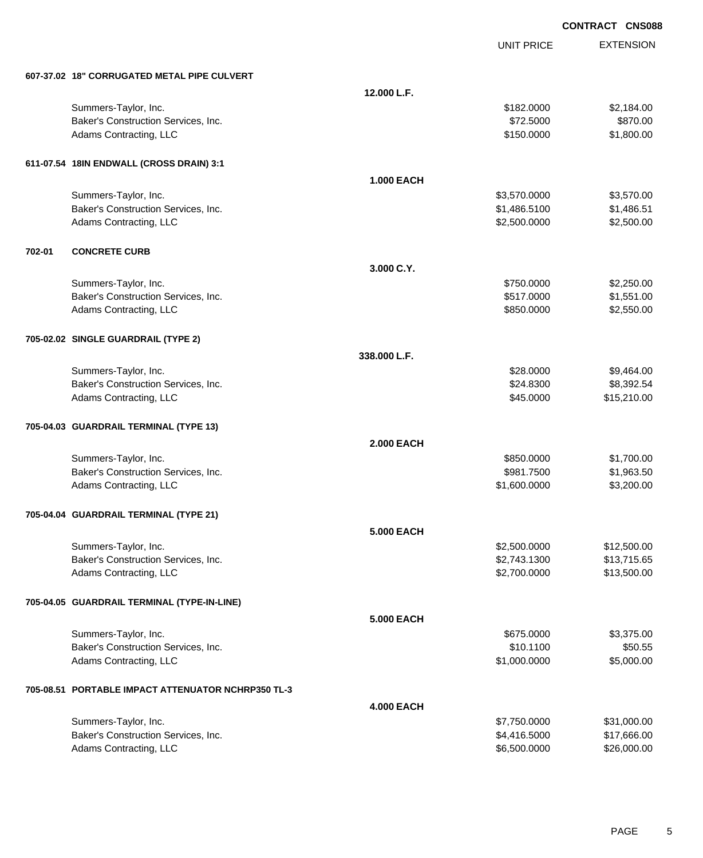UNIT PRICE

EXTENSION

| 607-37.02 18" CORRUGATED METAL PIPE CULVERT |  |  |  |
|---------------------------------------------|--|--|--|
|                                             |  |  |  |

|        | 607-37.02 18" CORRUGATED METAL PIPE CULVERT        |                   |              |             |
|--------|----------------------------------------------------|-------------------|--------------|-------------|
|        |                                                    | 12.000 L.F.       |              |             |
|        | Summers-Taylor, Inc.                               |                   | \$182.0000   | \$2,184.00  |
|        | Baker's Construction Services, Inc.                |                   | \$72.5000    | \$870.00    |
|        | Adams Contracting, LLC                             |                   | \$150.0000   | \$1,800.00  |
|        |                                                    |                   |              |             |
|        | 611-07.54 18IN ENDWALL (CROSS DRAIN) 3:1           |                   |              |             |
|        |                                                    | <b>1.000 EACH</b> |              |             |
|        | Summers-Taylor, Inc.                               |                   | \$3,570.0000 | \$3,570.00  |
|        | Baker's Construction Services, Inc.                |                   | \$1,486.5100 | \$1,486.51  |
|        | Adams Contracting, LLC                             |                   | \$2,500.0000 | \$2,500.00  |
| 702-01 | <b>CONCRETE CURB</b>                               |                   |              |             |
|        |                                                    | 3.000 C.Y.        |              |             |
|        | Summers-Taylor, Inc.                               |                   | \$750.0000   | \$2,250.00  |
|        | Baker's Construction Services, Inc.                |                   | \$517.0000   | \$1,551.00  |
|        | Adams Contracting, LLC                             |                   | \$850.0000   | \$2,550.00  |
|        | 705-02.02 SINGLE GUARDRAIL (TYPE 2)                |                   |              |             |
|        |                                                    | 338.000 L.F.      |              |             |
|        | Summers-Taylor, Inc.                               |                   | \$28.0000    | \$9,464.00  |
|        | Baker's Construction Services, Inc.                |                   | \$24.8300    | \$8,392.54  |
|        | Adams Contracting, LLC                             |                   | \$45.0000    | \$15,210.00 |
|        |                                                    |                   |              |             |
|        | 705-04.03 GUARDRAIL TERMINAL (TYPE 13)             |                   |              |             |
|        |                                                    | <b>2.000 EACH</b> |              |             |
|        | Summers-Taylor, Inc.                               |                   | \$850.0000   | \$1,700.00  |
|        | Baker's Construction Services, Inc.                |                   | \$981.7500   | \$1,963.50  |
|        | Adams Contracting, LLC                             |                   | \$1,600.0000 | \$3,200.00  |
|        | 705-04.04 GUARDRAIL TERMINAL (TYPE 21)             |                   |              |             |
|        |                                                    | <b>5.000 EACH</b> |              |             |
|        | Summers-Taylor, Inc.                               |                   | \$2,500.0000 | \$12,500.00 |
|        | Baker's Construction Services, Inc.                |                   | \$2,743.1300 | \$13,715.65 |
|        | Adams Contracting, LLC                             |                   | \$2,700.0000 | \$13,500.00 |
|        | 705-04.05 GUARDRAIL TERMINAL (TYPE-IN-LINE)        |                   |              |             |
|        |                                                    | <b>5.000 EACH</b> |              |             |
|        | Summers-Taylor, Inc.                               |                   | \$675.0000   | \$3,375.00  |
|        | Baker's Construction Services, Inc.                |                   | \$10.1100    | \$50.55     |
|        | Adams Contracting, LLC                             |                   | \$1,000.0000 | \$5,000.00  |
|        | 705-08.51 PORTABLE IMPACT ATTENUATOR NCHRP350 TL-3 |                   |              |             |
|        |                                                    | <b>4.000 EACH</b> |              |             |
|        | Summers-Taylor, Inc.                               |                   | \$7,750.0000 | \$31,000.00 |
|        | Baker's Construction Services, Inc.                |                   | \$4,416.5000 | \$17,666.00 |
|        | Adams Contracting, LLC                             |                   | \$6,500.0000 | \$26,000.00 |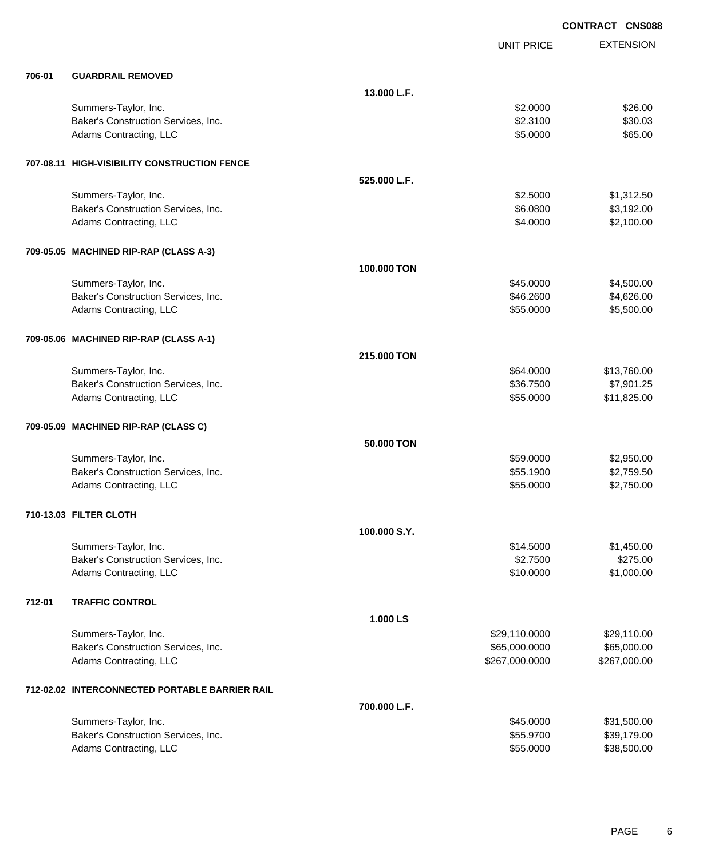|        |                                                |              |                   | <b>CONTRACT CNS088</b> |
|--------|------------------------------------------------|--------------|-------------------|------------------------|
|        |                                                |              | <b>UNIT PRICE</b> | <b>EXTENSION</b>       |
| 706-01 | <b>GUARDRAIL REMOVED</b>                       |              |                   |                        |
|        |                                                | 13.000 L.F.  |                   |                        |
|        | Summers-Taylor, Inc.                           |              | \$2.0000          | \$26.00                |
|        | Baker's Construction Services, Inc.            |              | \$2.3100          | \$30.03                |
|        | Adams Contracting, LLC                         |              | \$5.0000          | \$65.00                |
|        | 707-08.11 HIGH-VISIBILITY CONSTRUCTION FENCE   |              |                   |                        |
|        |                                                | 525.000 L.F. |                   |                        |
|        | Summers-Taylor, Inc.                           |              | \$2.5000          | \$1,312.50             |
|        | Baker's Construction Services, Inc.            |              | \$6.0800          | \$3,192.00             |
|        | Adams Contracting, LLC                         |              | \$4.0000          | \$2,100.00             |
|        | 709-05.05 MACHINED RIP-RAP (CLASS A-3)         |              |                   |                        |
|        |                                                | 100,000 TON  |                   |                        |
|        | Summers-Taylor, Inc.                           |              | \$45.0000         | \$4,500.00             |
|        | Baker's Construction Services, Inc.            |              | \$46.2600         | \$4,626.00             |
|        | Adams Contracting, LLC                         |              | \$55.0000         | \$5,500.00             |
|        | 709-05.06 MACHINED RIP-RAP (CLASS A-1)         |              |                   |                        |
|        |                                                | 215.000 TON  |                   |                        |
|        | Summers-Taylor, Inc.                           |              | \$64.0000         | \$13,760.00            |
|        | Baker's Construction Services, Inc.            |              | \$36.7500         | \$7,901.25             |
|        | Adams Contracting, LLC                         |              | \$55.0000         | \$11,825.00            |
|        | 709-05.09 MACHINED RIP-RAP (CLASS C)           |              |                   |                        |
|        |                                                | 50.000 TON   |                   |                        |
|        | Summers-Taylor, Inc.                           |              | \$59.0000         | \$2,950.00             |
|        | Baker's Construction Services, Inc.            |              | \$55.1900         | \$2,759.50             |
|        | Adams Contracting, LLC                         |              | \$55.0000         | \$2,750.00             |
|        | 710-13.03 FILTER CLOTH                         |              |                   |                        |
|        |                                                | 100.000 S.Y. |                   |                        |
|        | Summers-Taylor, Inc.                           |              | \$14.5000         | \$1,450.00             |
|        | Baker's Construction Services, Inc.            |              | \$2.7500          | \$275.00               |
|        | Adams Contracting, LLC                         |              | \$10.0000         | \$1,000.00             |
| 712-01 | <b>TRAFFIC CONTROL</b>                         |              |                   |                        |
|        |                                                | 1.000 LS     |                   |                        |
|        | Summers-Taylor, Inc.                           |              | \$29,110.0000     | \$29,110.00            |
|        | Baker's Construction Services, Inc.            |              | \$65,000.0000     | \$65,000.00            |
|        | Adams Contracting, LLC                         |              | \$267,000.0000    | \$267,000.00           |
|        | 712-02.02 INTERCONNECTED PORTABLE BARRIER RAIL |              |                   |                        |
|        |                                                | 700.000 L.F. |                   |                        |
|        | Summers-Taylor, Inc.                           |              | \$45.0000         | \$31,500.00            |
|        | Baker's Construction Services, Inc.            |              | \$55.9700         | \$39,179.00            |
|        | Adams Contracting, LLC                         |              | \$55.0000         | \$38,500.00            |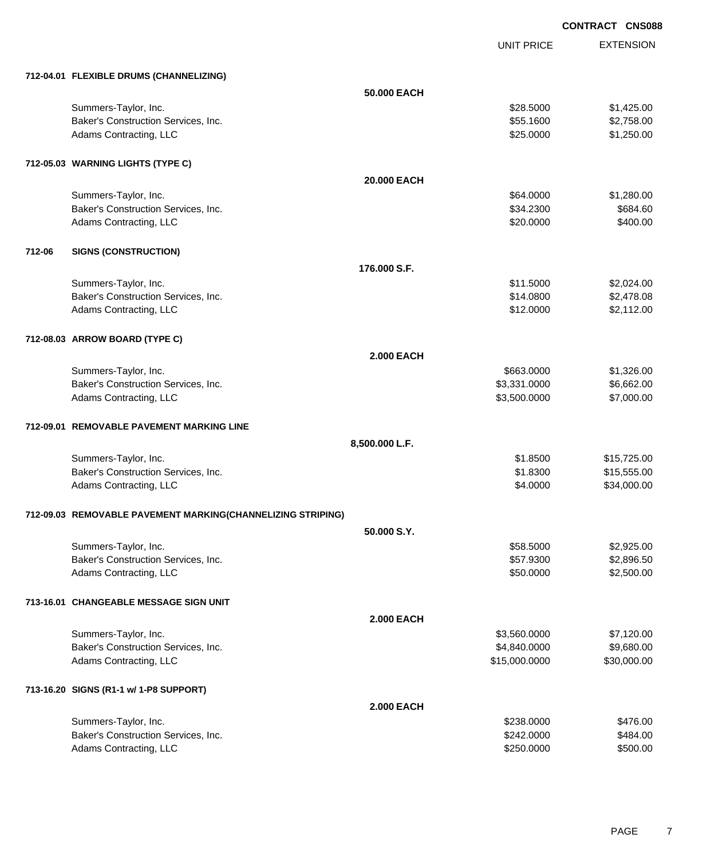UNIT PRICE EXTENSION

|        | 712-04.01 FLEXIBLE DRUMS (CHANNELIZING)                     |                   |               |                      |
|--------|-------------------------------------------------------------|-------------------|---------------|----------------------|
|        |                                                             | 50.000 EACH       |               |                      |
|        | Summers-Taylor, Inc.                                        |                   | \$28.5000     | \$1,425.00           |
|        | Baker's Construction Services, Inc.                         |                   | \$55.1600     | \$2,758.00           |
|        | Adams Contracting, LLC                                      |                   | \$25.0000     | \$1,250.00           |
|        | 712-05.03 WARNING LIGHTS (TYPE C)                           |                   |               |                      |
|        |                                                             | 20.000 EACH       |               |                      |
|        | Summers-Taylor, Inc.                                        |                   | \$64.0000     | \$1,280.00           |
|        | Baker's Construction Services, Inc.                         |                   | \$34.2300     | \$684.60<br>\$400.00 |
|        | Adams Contracting, LLC                                      |                   | \$20.0000     |                      |
| 712-06 | <b>SIGNS (CONSTRUCTION)</b>                                 |                   |               |                      |
|        |                                                             | 176,000 S.F.      |               |                      |
|        | Summers-Taylor, Inc.                                        |                   | \$11.5000     | \$2,024.00           |
|        | Baker's Construction Services, Inc.                         |                   | \$14.0800     | \$2,478.08           |
|        | Adams Contracting, LLC                                      |                   | \$12.0000     | \$2,112.00           |
|        | 712-08.03 ARROW BOARD (TYPE C)                              |                   |               |                      |
|        |                                                             | <b>2.000 EACH</b> |               |                      |
|        | Summers-Taylor, Inc.                                        |                   | \$663.0000    | \$1,326.00           |
|        | Baker's Construction Services, Inc.                         |                   | \$3,331.0000  | \$6,662.00           |
|        | Adams Contracting, LLC                                      |                   | \$3,500.0000  | \$7,000.00           |
|        | 712-09.01 REMOVABLE PAVEMENT MARKING LINE                   |                   |               |                      |
|        |                                                             | 8,500.000 L.F.    |               |                      |
|        | Summers-Taylor, Inc.                                        |                   | \$1.8500      | \$15,725.00          |
|        | Baker's Construction Services, Inc.                         |                   | \$1.8300      | \$15,555.00          |
|        | Adams Contracting, LLC                                      |                   | \$4.0000      | \$34,000.00          |
|        | 712-09.03 REMOVABLE PAVEMENT MARKING(CHANNELIZING STRIPING) |                   |               |                      |
|        |                                                             | 50.000 S.Y.       |               |                      |
|        | Summers-Taylor, Inc.                                        |                   | \$58.5000     | \$2,925.00           |
|        | Baker's Construction Services, Inc.                         |                   | \$57.9300     | \$2,896.50           |
|        | Adams Contracting, LLC                                      |                   | \$50.0000     | \$2,500.00           |
|        | 713-16.01 CHANGEABLE MESSAGE SIGN UNIT                      |                   |               |                      |
|        |                                                             | <b>2.000 EACH</b> |               |                      |
|        | Summers-Taylor, Inc.                                        |                   | \$3,560.0000  | \$7,120.00           |
|        | Baker's Construction Services, Inc.                         |                   | \$4,840.0000  | \$9,680.00           |
|        | Adams Contracting, LLC                                      |                   | \$15,000.0000 | \$30,000.00          |
|        | 713-16.20 SIGNS (R1-1 w/ 1-P8 SUPPORT)                      |                   |               |                      |
|        |                                                             | <b>2.000 EACH</b> |               |                      |
|        | Summers-Taylor, Inc.                                        |                   | \$238.0000    | \$476.00             |
|        | Baker's Construction Services, Inc.                         |                   | \$242.0000    | \$484.00             |
|        | Adams Contracting, LLC                                      |                   | \$250.0000    | \$500.00             |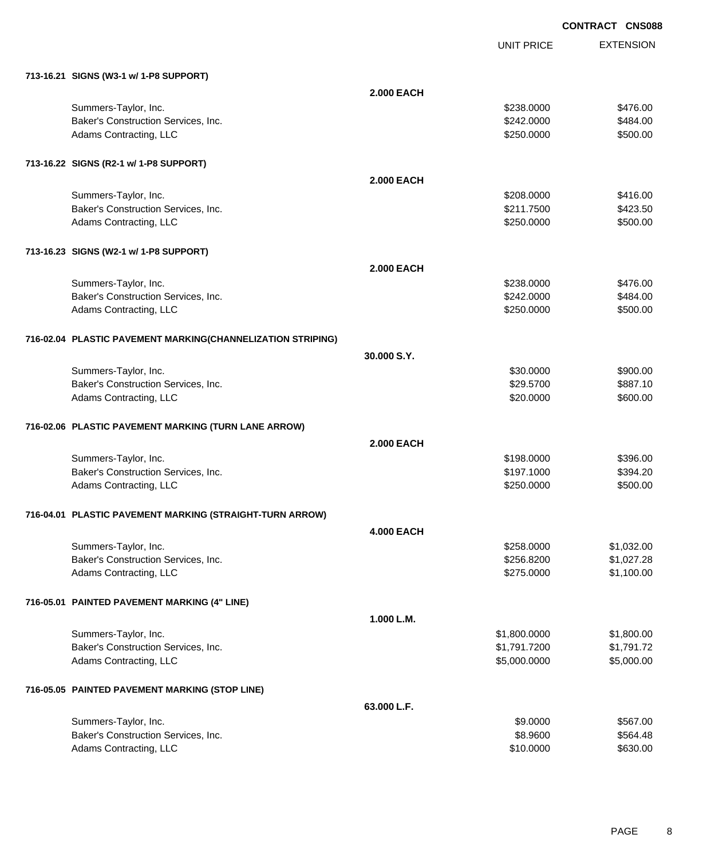UNIT PRICE

EXTENSION

| 713-16.21 SIGNS (W3-1 w/ 1-P8 SUPPORT)                      |                   |              |                          |
|-------------------------------------------------------------|-------------------|--------------|--------------------------|
|                                                             | <b>2.000 EACH</b> |              |                          |
| Summers-Taylor, Inc.                                        |                   | \$238,0000   | \$476.00                 |
| Baker's Construction Services, Inc.                         |                   | \$242.0000   | \$484.00                 |
| Adams Contracting, LLC                                      |                   | \$250.0000   | \$500.00                 |
|                                                             |                   |              |                          |
| 713-16.22 SIGNS (R2-1 w/ 1-P8 SUPPORT)                      |                   |              |                          |
|                                                             | <b>2.000 EACH</b> |              |                          |
| Summers-Taylor, Inc.                                        |                   | \$208,0000   | \$416.00                 |
| Baker's Construction Services, Inc.                         |                   | \$211.7500   | \$423.50                 |
| Adams Contracting, LLC                                      |                   | \$250.0000   | \$500.00                 |
|                                                             |                   |              |                          |
| 713-16.23 SIGNS (W2-1 w/ 1-P8 SUPPORT)                      |                   |              |                          |
|                                                             | <b>2.000 EACH</b> |              |                          |
| Summers-Taylor, Inc.                                        |                   | \$238.0000   | \$476.00                 |
| Baker's Construction Services, Inc.                         |                   | \$242.0000   | \$484.00                 |
| Adams Contracting, LLC                                      |                   | \$250.0000   | \$500.00                 |
|                                                             |                   |              |                          |
| 716-02.04 PLASTIC PAVEMENT MARKING(CHANNELIZATION STRIPING) |                   |              |                          |
|                                                             | 30.000 S.Y.       |              |                          |
| Summers-Taylor, Inc.                                        |                   | \$30.0000    | \$900.00                 |
| Baker's Construction Services, Inc.                         |                   | \$29.5700    | \$887.10                 |
| Adams Contracting, LLC                                      |                   | \$20.0000    | \$600.00                 |
|                                                             |                   |              |                          |
| 716-02.06 PLASTIC PAVEMENT MARKING (TURN LANE ARROW)        |                   |              |                          |
|                                                             | <b>2.000 EACH</b> |              |                          |
| Summers-Taylor, Inc.                                        |                   | \$198.0000   | \$396.00                 |
| Baker's Construction Services, Inc.                         |                   | \$197.1000   | \$394.20                 |
| Adams Contracting, LLC                                      |                   | \$250.0000   | \$500.00                 |
|                                                             |                   |              |                          |
| 716-04.01 PLASTIC PAVEMENT MARKING (STRAIGHT-TURN ARROW)    |                   |              |                          |
|                                                             | <b>4.000 EACH</b> |              |                          |
| Summers-Taylor, Inc.                                        |                   | \$258.0000   | \$1,032.00               |
| Baker's Construction Services, Inc.                         |                   | \$256.8200   | \$1,027.28<br>\$1,100.00 |
| Adams Contracting, LLC                                      |                   | \$275.0000   |                          |
| 716-05.01 PAINTED PAVEMENT MARKING (4" LINE)                |                   |              |                          |
|                                                             | 1.000 L.M.        |              |                          |
| Summers-Taylor, Inc.                                        |                   | \$1,800.0000 | \$1,800.00               |
| Baker's Construction Services, Inc.                         |                   | \$1,791.7200 | \$1,791.72               |
| Adams Contracting, LLC                                      |                   | \$5,000.0000 | \$5,000.00               |
|                                                             |                   |              |                          |
| 716-05.05 PAINTED PAVEMENT MARKING (STOP LINE)              |                   |              |                          |
|                                                             | 63.000 L.F.       |              |                          |
|                                                             |                   |              |                          |
| Summers-Taylor, Inc.                                        |                   | \$9.0000     | \$567.00                 |
| Baker's Construction Services, Inc.                         |                   | \$8.9600     | \$564.48                 |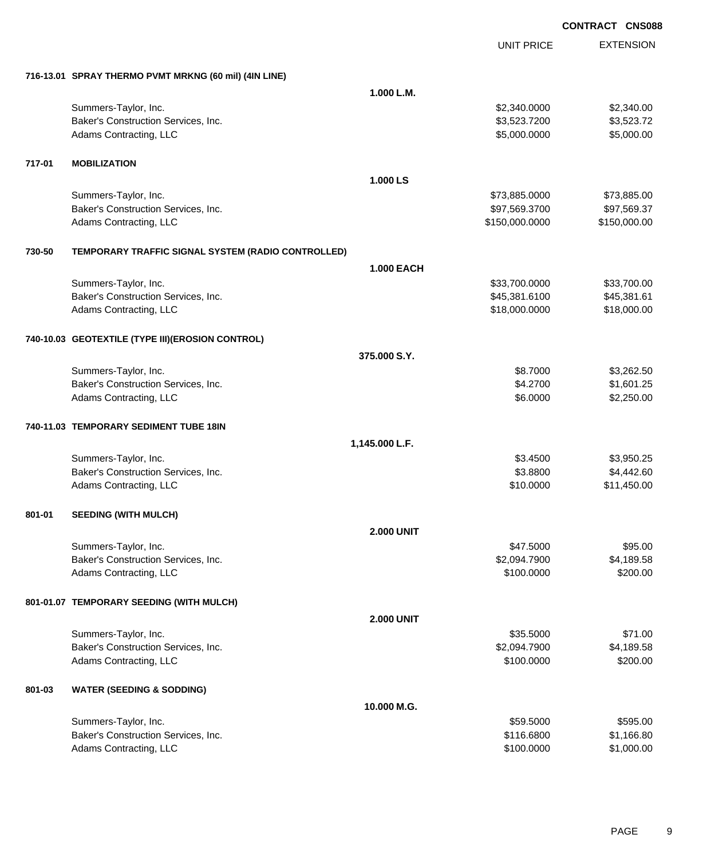|        |                                                       |                   | <b>UNIT PRICE</b> | <b>EXTENSION</b> |
|--------|-------------------------------------------------------|-------------------|-------------------|------------------|
|        | 716-13.01 SPRAY THERMO PVMT MRKNG (60 mil) (4IN LINE) |                   |                   |                  |
|        |                                                       | 1.000 L.M.        |                   |                  |
|        | Summers-Taylor, Inc.                                  |                   | \$2,340.0000      | \$2,340.00       |
|        | Baker's Construction Services, Inc.                   |                   | \$3,523.7200      | \$3,523.72       |
|        | Adams Contracting, LLC                                |                   | \$5,000.0000      | \$5,000.00       |
| 717-01 | <b>MOBILIZATION</b>                                   |                   |                   |                  |
|        |                                                       | 1.000 LS          |                   |                  |
|        | Summers-Taylor, Inc.                                  |                   | \$73,885.0000     | \$73,885.00      |
|        | Baker's Construction Services, Inc.                   |                   | \$97,569.3700     | \$97,569.37      |
|        | Adams Contracting, LLC                                |                   | \$150,000.0000    | \$150,000.00     |
| 730-50 | TEMPORARY TRAFFIC SIGNAL SYSTEM (RADIO CONTROLLED)    |                   |                   |                  |
|        |                                                       | <b>1.000 EACH</b> |                   |                  |
|        | Summers-Taylor, Inc.                                  |                   | \$33,700.0000     | \$33,700.00      |
|        | Baker's Construction Services, Inc.                   |                   | \$45,381.6100     | \$45,381.61      |
|        | Adams Contracting, LLC                                |                   | \$18,000.0000     | \$18,000.00      |
|        | 740-10.03 GEOTEXTILE (TYPE III) (EROSION CONTROL)     |                   |                   |                  |
|        |                                                       | 375.000 S.Y.      |                   |                  |
|        | Summers-Taylor, Inc.                                  |                   | \$8.7000          | \$3,262.50       |
|        | Baker's Construction Services, Inc.                   |                   | \$4.2700          | \$1,601.25       |
|        | Adams Contracting, LLC                                |                   | \$6.0000          | \$2,250.00       |
|        | 740-11.03 TEMPORARY SEDIMENT TUBE 18IN                |                   |                   |                  |
|        |                                                       | 1,145.000 L.F.    |                   |                  |
|        | Summers-Taylor, Inc.                                  |                   | \$3.4500          | \$3,950.25       |
|        | Baker's Construction Services, Inc.                   |                   | \$3.8800          | \$4,442.60       |
|        | Adams Contracting, LLC                                |                   | \$10.0000         | \$11,450.00      |
| 801-01 | <b>SEEDING (WITH MULCH)</b>                           |                   |                   |                  |
|        |                                                       | <b>2.000 UNIT</b> |                   |                  |
|        | Summers-Taylor, Inc.                                  |                   | \$47.5000         | \$95.00          |
|        | Baker's Construction Services, Inc.                   |                   | \$2,094.7900      | \$4,189.58       |
|        | Adams Contracting, LLC                                |                   | \$100.0000        | \$200.00         |
|        | 801-01.07 TEMPORARY SEEDING (WITH MULCH)              |                   |                   |                  |
|        |                                                       | <b>2.000 UNIT</b> |                   |                  |
|        | Summers-Taylor, Inc.                                  |                   | \$35.5000         | \$71.00          |
|        | Baker's Construction Services, Inc.                   |                   | \$2,094.7900      | \$4,189.58       |
|        | Adams Contracting, LLC                                |                   | \$100.0000        | \$200.00         |
| 801-03 | <b>WATER (SEEDING &amp; SODDING)</b>                  |                   |                   |                  |
|        |                                                       | 10.000 M.G.       |                   |                  |
|        | Summers-Taylor, Inc.                                  |                   | \$59.5000         | \$595.00         |
|        | Baker's Construction Services, Inc.                   |                   | \$116.6800        | \$1,166.80       |
|        | Adams Contracting, LLC                                |                   | \$100.0000        | \$1,000.00       |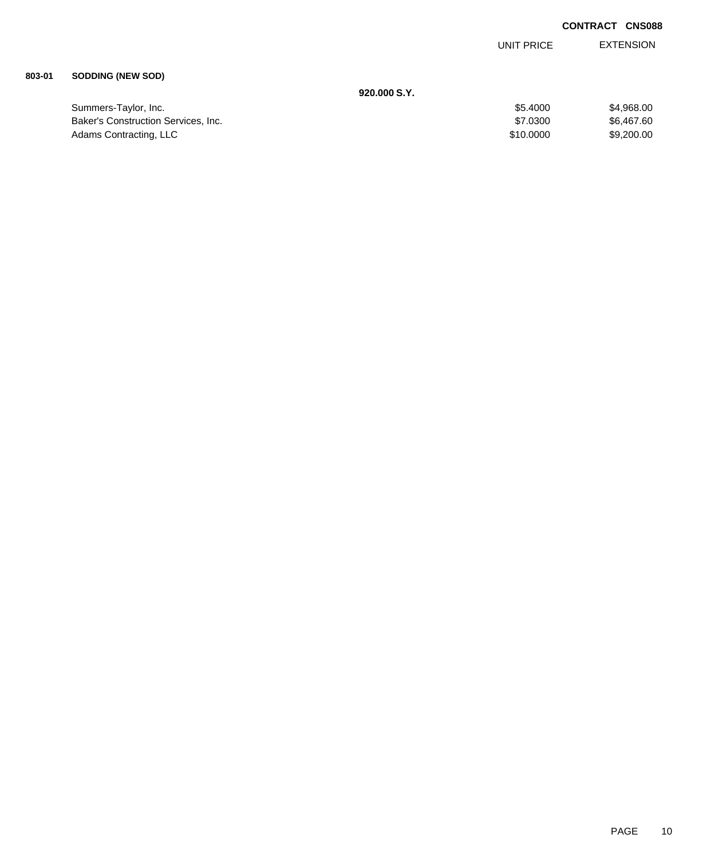EXTENSION UNIT PRICE

### **803-01 SODDING (NEW SOD)**

|                                     | 920.000 S.Y. |            |
|-------------------------------------|--------------|------------|
| Summers-Taylor, Inc.                | \$5,4000     | \$4,968.00 |
| Baker's Construction Services, Inc. | \$7,0300     | \$6,467.60 |
| Adams Contracting, LLC              | \$10,0000    | \$9,200.00 |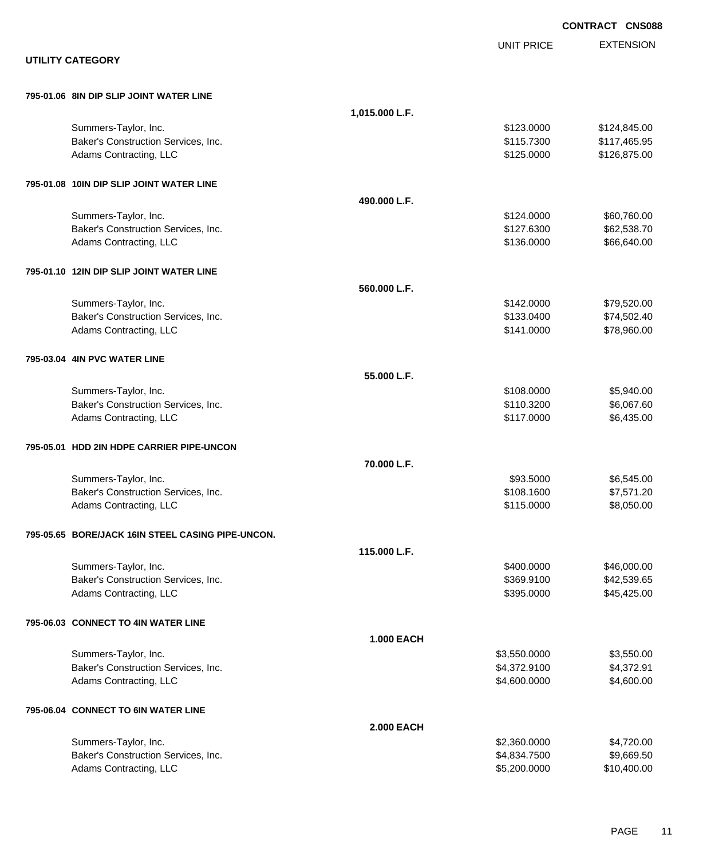|                                                   |                   | <b>CONTRACT CNS088</b> |
|---------------------------------------------------|-------------------|------------------------|
|                                                   | <b>UNIT PRICE</b> | <b>EXTENSION</b>       |
| <b>UTILITY CATEGORY</b>                           |                   |                        |
| 795-01.06 8IN DIP SLIP JOINT WATER LINE           |                   |                        |
|                                                   | 1,015.000 L.F.    |                        |
| Summers-Taylor, Inc.                              | \$123.0000        | \$124,845.00           |
| Baker's Construction Services, Inc.               | \$115.7300        | \$117,465.95           |
| Adams Contracting, LLC                            | \$125.0000        | \$126,875.00           |
| 795-01.08 10IN DIP SLIP JOINT WATER LINE          |                   |                        |
|                                                   | 490.000 L.F.      |                        |
| Summers-Taylor, Inc.                              | \$124.0000        | \$60,760.00            |
| Baker's Construction Services, Inc.               | \$127.6300        | \$62,538.70            |
| Adams Contracting, LLC                            | \$136.0000        | \$66,640.00            |
| 795-01.10 12IN DIP SLIP JOINT WATER LINE          |                   |                        |
|                                                   | 560.000 L.F.      |                        |
| Summers-Taylor, Inc.                              | \$142.0000        | \$79,520.00            |
| Baker's Construction Services, Inc.               | \$133.0400        | \$74,502.40            |
| Adams Contracting, LLC                            | \$141.0000        | \$78,960.00            |
| 795-03.04 4IN PVC WATER LINE                      |                   |                        |
|                                                   | 55.000 L.F.       |                        |
| Summers-Taylor, Inc.                              | \$108.0000        | \$5,940.00             |
| Baker's Construction Services, Inc.               | \$110.3200        | \$6,067.60             |
| Adams Contracting, LLC                            | \$117.0000        | \$6,435.00             |
| 795-05.01 HDD 2IN HDPE CARRIER PIPE-UNCON         |                   |                        |
|                                                   | 70.000 L.F.       |                        |
| Summers-Taylor, Inc.                              | \$93,5000         | \$6,545.00             |
| Baker's Construction Services, Inc.               | \$108.1600        | \$7,571.20             |
| Adams Contracting, LLC                            | \$115.0000        | \$8,050.00             |
| 795-05.65 BORE/JACK 16IN STEEL CASING PIPE-UNCON. |                   |                        |
|                                                   | 115.000 L.F.      |                        |
| Summers-Taylor, Inc.                              | \$400.0000        | \$46,000.00            |
| Baker's Construction Services, Inc.               | \$369.9100        | \$42,539.65            |
| Adams Contracting, LLC                            | \$395.0000        | \$45,425.00            |
| 795-06.03 CONNECT TO 4IN WATER LINE               |                   |                        |
|                                                   | <b>1.000 EACH</b> |                        |
| Summers-Taylor, Inc.                              | \$3,550.0000      | \$3,550.00             |
| Baker's Construction Services, Inc.               | \$4,372.9100      | \$4,372.91             |
| Adams Contracting, LLC                            | \$4,600.0000      | \$4,600.00             |
| 795-06.04 CONNECT TO 6IN WATER LINE               |                   |                        |
|                                                   | <b>2.000 EACH</b> |                        |
| Summers-Taylor, Inc.                              | \$2,360.0000      | \$4,720.00             |
| Baker's Construction Services, Inc.               | \$4,834.7500      | \$9,669.50             |
| Adams Contracting, LLC                            | \$5,200.0000      | \$10,400.00            |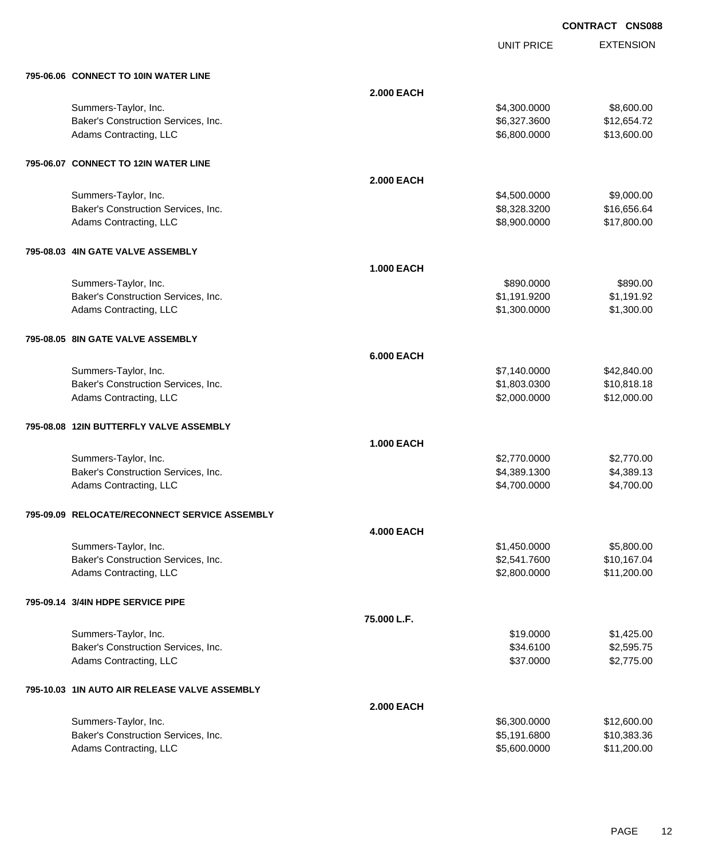UNIT PRICE

| 795-06.06 CONNECT TO 10IN WATER LINE |  |  |
|--------------------------------------|--|--|
|                                      |  |  |

| 795-06.06 CONNECT TO 10IN WATER LINE          |                   |              |             |
|-----------------------------------------------|-------------------|--------------|-------------|
|                                               | <b>2.000 EACH</b> |              |             |
| Summers-Taylor, Inc.                          |                   | \$4,300.0000 | \$8,600.00  |
| Baker's Construction Services, Inc.           |                   | \$6,327.3600 | \$12,654.72 |
| Adams Contracting, LLC                        |                   | \$6,800.0000 | \$13,600.00 |
|                                               |                   |              |             |
| 795-06.07 CONNECT TO 12IN WATER LINE          |                   |              |             |
|                                               | <b>2.000 EACH</b> |              |             |
| Summers-Taylor, Inc.                          |                   | \$4,500.0000 | \$9,000.00  |
| Baker's Construction Services, Inc.           |                   | \$8,328.3200 | \$16,656.64 |
| Adams Contracting, LLC                        |                   | \$8,900.0000 | \$17,800.00 |
| 795-08.03 4IN GATE VALVE ASSEMBLY             |                   |              |             |
|                                               | <b>1.000 EACH</b> |              |             |
| Summers-Taylor, Inc.                          |                   | \$890.0000   | \$890.00    |
| Baker's Construction Services, Inc.           |                   | \$1,191.9200 | \$1,191.92  |
| Adams Contracting, LLC                        |                   | \$1,300.0000 | \$1,300.00  |
| 795-08.05 8IN GATE VALVE ASSEMBLY             |                   |              |             |
|                                               | <b>6.000 EACH</b> |              |             |
| Summers-Taylor, Inc.                          |                   | \$7,140.0000 | \$42,840.00 |
| Baker's Construction Services, Inc.           |                   | \$1,803.0300 | \$10,818.18 |
| Adams Contracting, LLC                        |                   | \$2,000.0000 | \$12,000.00 |
| 795-08.08 12IN BUTTERFLY VALVE ASSEMBLY       |                   |              |             |
|                                               | <b>1.000 EACH</b> |              |             |
| Summers-Taylor, Inc.                          |                   | \$2,770.0000 | \$2,770.00  |
| Baker's Construction Services, Inc.           |                   | \$4,389.1300 | \$4,389.13  |
| Adams Contracting, LLC                        |                   | \$4,700.0000 | \$4,700.00  |
| 795-09.09 RELOCATE/RECONNECT SERVICE ASSEMBLY |                   |              |             |
|                                               | <b>4.000 EACH</b> |              |             |
| Summers-Taylor, Inc.                          |                   | \$1,450.0000 | \$5,800.00  |
| Baker's Construction Services, Inc.           |                   | \$2,541.7600 | \$10,167.04 |
| Adams Contracting, LLC                        |                   | \$2,800.0000 | \$11,200.00 |
| 795-09.14 3/4IN HDPE SERVICE PIPE             |                   |              |             |
|                                               | 75.000 L.F.       |              |             |
| Summers-Taylor, Inc.                          |                   | \$19.0000    | \$1,425.00  |
| Baker's Construction Services, Inc.           |                   | \$34.6100    | \$2,595.75  |
| Adams Contracting, LLC                        |                   | \$37.0000    | \$2,775.00  |
| 795-10.03 1IN AUTO AIR RELEASE VALVE ASSEMBLY |                   |              |             |
|                                               | <b>2.000 EACH</b> |              |             |
| Summers-Taylor, Inc.                          |                   | \$6,300.0000 | \$12,600.00 |
| Baker's Construction Services, Inc.           |                   | \$5,191.6800 | \$10,383.36 |
| Adams Contracting, LLC                        |                   | \$5,600.0000 | \$11,200.00 |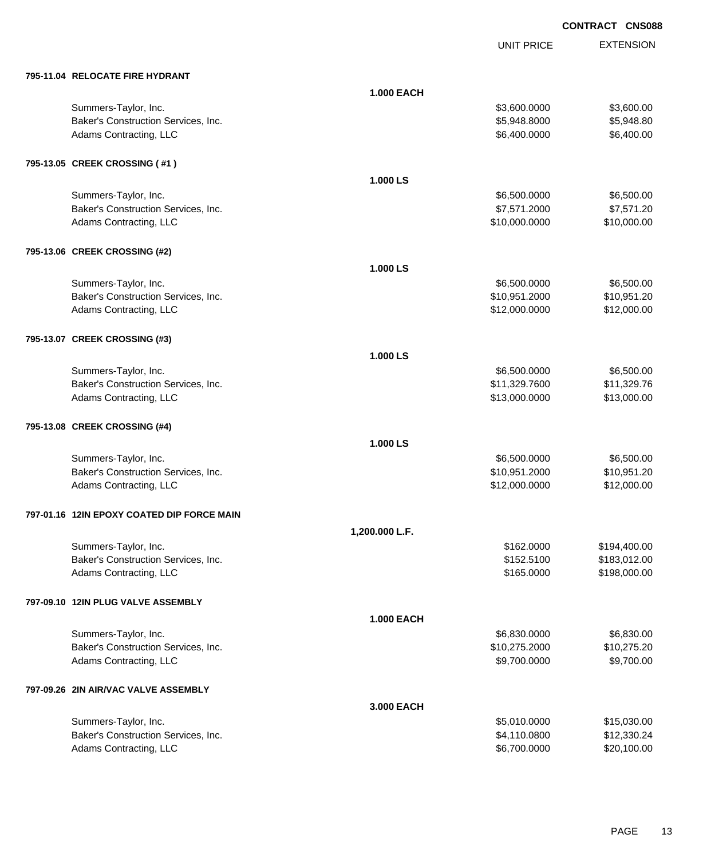UNIT PRICE

| 795-11.04 RELOCATE FIRE HYDRANT                             |                   |                               |                           |
|-------------------------------------------------------------|-------------------|-------------------------------|---------------------------|
|                                                             | <b>1.000 EACH</b> |                               |                           |
| Summers-Taylor, Inc.                                        |                   | \$3,600.0000                  | \$3,600.00                |
| Baker's Construction Services, Inc.                         |                   | \$5,948.8000                  | \$5,948.80                |
| Adams Contracting, LLC                                      |                   | \$6,400.0000                  | \$6,400.00                |
|                                                             |                   |                               |                           |
| 795-13.05 CREEK CROSSING (#1)                               |                   |                               |                           |
|                                                             | 1.000 LS          |                               |                           |
| Summers-Taylor, Inc.                                        |                   | \$6,500.0000                  | \$6,500.00                |
| Baker's Construction Services, Inc.                         |                   | \$7,571.2000                  | \$7,571.20                |
| Adams Contracting, LLC                                      |                   | \$10,000.0000                 | \$10,000.00               |
| 795-13.06 CREEK CROSSING (#2)                               |                   |                               |                           |
|                                                             | 1.000 LS          |                               |                           |
| Summers-Taylor, Inc.                                        |                   |                               | \$6,500.00                |
| Baker's Construction Services, Inc.                         |                   | \$6,500.0000<br>\$10,951.2000 | \$10,951.20               |
|                                                             |                   | \$12,000.0000                 | \$12,000.00               |
| Adams Contracting, LLC                                      |                   |                               |                           |
| 795-13.07 CREEK CROSSING (#3)                               |                   |                               |                           |
|                                                             | 1.000 LS          |                               |                           |
| Summers-Taylor, Inc.                                        |                   | \$6,500.0000                  | \$6,500.00                |
| Baker's Construction Services, Inc.                         |                   | \$11,329.7600                 | \$11,329.76               |
| Adams Contracting, LLC                                      |                   | \$13,000.0000                 | \$13,000.00               |
|                                                             |                   |                               |                           |
| 795-13.08 CREEK CROSSING (#4)                               |                   |                               |                           |
|                                                             | 1.000 LS          |                               |                           |
| Summers-Taylor, Inc.                                        |                   | \$6,500.0000                  | \$6,500.00                |
| Baker's Construction Services, Inc.                         |                   | \$10,951.2000                 | \$10,951.20               |
| Adams Contracting, LLC                                      |                   | \$12,000.0000                 | \$12,000.00               |
| 797-01.16 12IN EPOXY COATED DIP FORCE MAIN                  |                   |                               |                           |
|                                                             | 1,200.000 L.F.    |                               |                           |
| Summers-Taylor, Inc.                                        |                   | \$162.0000                    | \$194,400.00              |
| Baker's Construction Services, Inc.                         |                   | \$152.5100                    | \$183,012.00              |
| Adams Contracting, LLC                                      |                   | \$165.0000                    | \$198,000.00              |
| 797-09.10 12IN PLUG VALVE ASSEMBLY                          |                   |                               |                           |
|                                                             | <b>1.000 EACH</b> |                               |                           |
|                                                             |                   |                               |                           |
| Summers-Taylor, Inc.<br>Baker's Construction Services, Inc. |                   | \$6,830.0000<br>\$10,275.2000 | \$6,830.00<br>\$10,275.20 |
| Adams Contracting, LLC                                      |                   | \$9,700.0000                  | \$9,700.00                |
|                                                             |                   |                               |                           |
| 797-09.26 2IN AIR/VAC VALVE ASSEMBLY                        |                   |                               |                           |
|                                                             | 3.000 EACH        |                               |                           |
| Summers-Taylor, Inc.                                        |                   | \$5,010.0000                  | \$15,030.00               |
| Baker's Construction Services, Inc.                         |                   | \$4,110.0800                  | \$12,330.24               |
| Adams Contracting, LLC                                      |                   | \$6,700.0000                  | \$20,100.00               |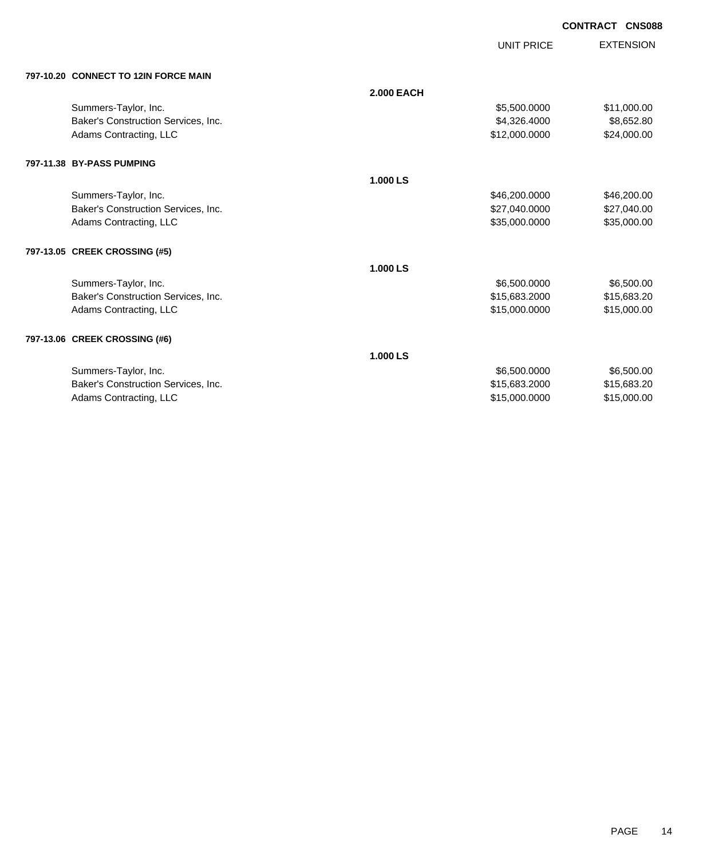UNIT PRICE

| 797-10.20 CONNECT TO 12IN FORCE MAIN |  |
|--------------------------------------|--|

| 797-10.20 CONNECT TO 12IN FORCE MAIN |                   |               |             |
|--------------------------------------|-------------------|---------------|-------------|
|                                      | <b>2.000 EACH</b> |               |             |
| Summers-Taylor, Inc.                 |                   | \$5,500.0000  | \$11,000.00 |
| Baker's Construction Services, Inc.  |                   | \$4,326.4000  | \$8,652.80  |
| Adams Contracting, LLC               |                   | \$12,000.0000 | \$24,000.00 |
| 797-11.38 BY-PASS PUMPING            |                   |               |             |
|                                      | 1.000 LS          |               |             |
| Summers-Taylor, Inc.                 |                   | \$46,200.0000 | \$46,200.00 |
| Baker's Construction Services, Inc.  |                   | \$27,040.0000 | \$27,040.00 |
| Adams Contracting, LLC               |                   | \$35,000.0000 | \$35,000.00 |
| 797-13.05 CREEK CROSSING (#5)        |                   |               |             |
|                                      | 1.000 LS          |               |             |
| Summers-Taylor, Inc.                 |                   | \$6,500.0000  | \$6,500.00  |
| Baker's Construction Services, Inc.  |                   | \$15,683.2000 | \$15,683.20 |
| Adams Contracting, LLC               |                   | \$15,000.0000 | \$15,000.00 |
| 797-13.06 CREEK CROSSING (#6)        |                   |               |             |
|                                      | 1.000 LS          |               |             |
| Summers-Taylor, Inc.                 |                   | \$6,500.0000  | \$6,500.00  |
| Baker's Construction Services, Inc.  |                   | \$15,683.2000 | \$15,683.20 |
| Adams Contracting, LLC               |                   | \$15,000.0000 | \$15,000.00 |
|                                      |                   |               |             |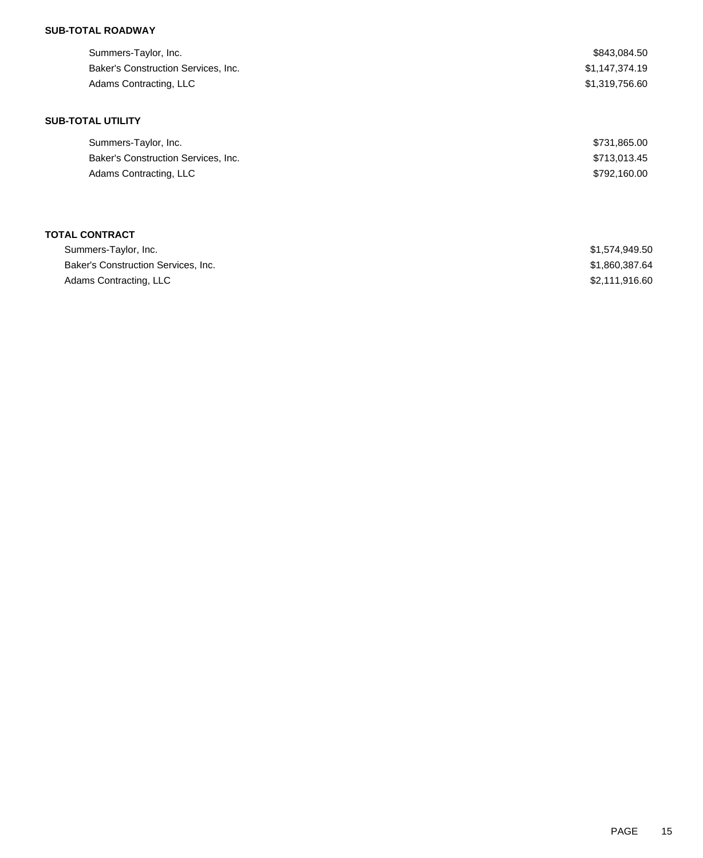## **SUB-TOTAL ROADWAY**

| Summers-Taylor, Inc.                | \$843,084.50   |
|-------------------------------------|----------------|
| Baker's Construction Services, Inc. | \$1,147,374.19 |
| Adams Contracting, LLC              | \$1,319,756.60 |
|                                     |                |
| <b>SUB-TOTAL UTILITY</b>            |                |
| Summers-Taylor, Inc.                | \$731,865.00   |
| Baker's Construction Services, Inc. | \$713,013.45   |
| Adams Contracting, LLC              | \$792,160.00   |
|                                     |                |
|                                     |                |

## **TOTAL CONTRACT**

| Summers-Taylor, Inc.                | \$1,574,949.50 |
|-------------------------------------|----------------|
| Baker's Construction Services, Inc. | \$1,860,387.64 |
| Adams Contracting, LLC              | \$2,111,916,60 |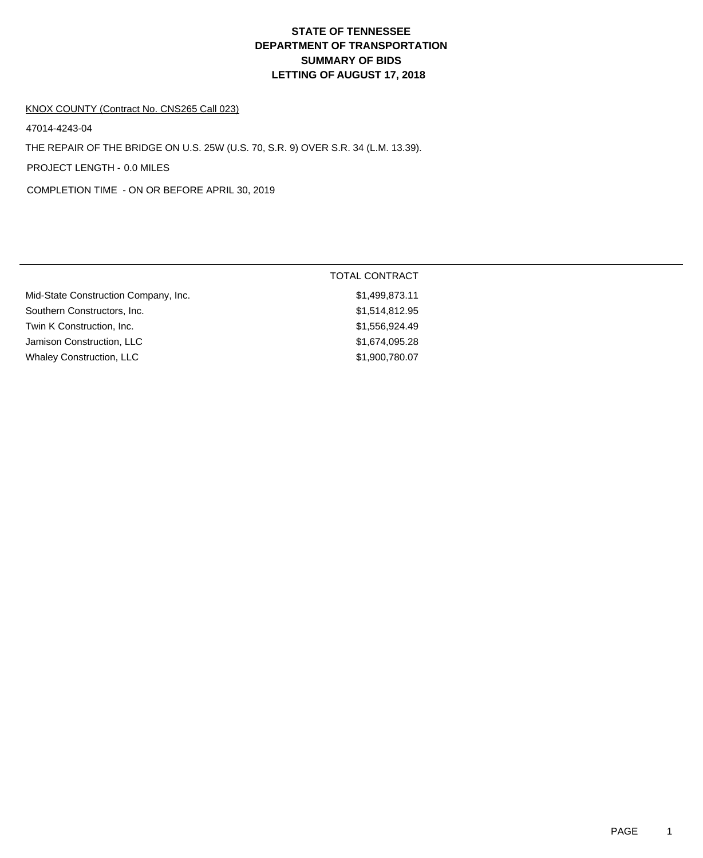# **DEPARTMENT OF TRANSPORTATION SUMMARY OF BIDS LETTING OF AUGUST 17, 2018 STATE OF TENNESSEE**

#### KNOX COUNTY (Contract No. CNS265 Call 023)

47014-4243-04

THE REPAIR OF THE BRIDGE ON U.S. 25W (U.S. 70, S.R. 9) OVER S.R. 34 (L.M. 13.39).

PROJECT LENGTH - 0.0 MILES

COMPLETION TIME - ON OR BEFORE APRIL 30, 2019

|                                      | <b>TOTAL CONTRACT</b> |
|--------------------------------------|-----------------------|
| Mid-State Construction Company, Inc. | \$1,499,873.11        |
| Southern Constructors, Inc.          | \$1,514,812.95        |
| Twin K Construction, Inc.            | \$1,556,924.49        |
| Jamison Construction, LLC            | \$1,674,095.28        |
| <b>Whaley Construction, LLC</b>      | \$1,900,780.07        |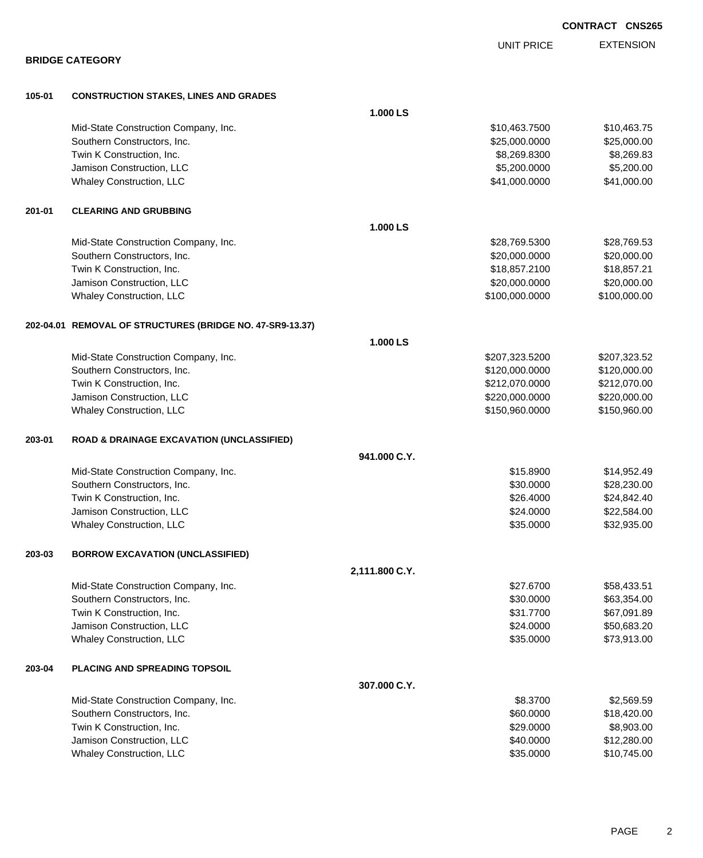|        |                                                           |                |                   | <b>CONTRACT CNS265</b> |
|--------|-----------------------------------------------------------|----------------|-------------------|------------------------|
|        |                                                           |                | <b>UNIT PRICE</b> | <b>EXTENSION</b>       |
|        | <b>BRIDGE CATEGORY</b>                                    |                |                   |                        |
| 105-01 | <b>CONSTRUCTION STAKES, LINES AND GRADES</b>              |                |                   |                        |
|        |                                                           | 1.000 LS       |                   |                        |
|        | Mid-State Construction Company, Inc.                      |                | \$10,463.7500     | \$10,463.75            |
|        | Southern Constructors, Inc.                               |                | \$25,000.0000     | \$25,000.00            |
|        | Twin K Construction, Inc.                                 |                | \$8,269.8300      | \$8,269.83             |
|        | Jamison Construction, LLC                                 |                | \$5,200.0000      | \$5,200.00             |
|        | Whaley Construction, LLC                                  |                | \$41,000.0000     | \$41,000.00            |
| 201-01 | <b>CLEARING AND GRUBBING</b>                              |                |                   |                        |
|        |                                                           | 1.000 LS       |                   |                        |
|        | Mid-State Construction Company, Inc.                      |                | \$28,769.5300     | \$28,769.53            |
|        | Southern Constructors, Inc.                               |                | \$20,000.0000     | \$20,000.00            |
|        | Twin K Construction, Inc.                                 |                | \$18,857.2100     | \$18,857.21            |
|        | Jamison Construction, LLC                                 |                | \$20,000.0000     | \$20,000.00            |
|        | Whaley Construction, LLC                                  |                | \$100,000.0000    | \$100,000.00           |
|        | 202-04.01 REMOVAL OF STRUCTURES (BRIDGE NO. 47-SR9-13.37) |                |                   |                        |
|        |                                                           | 1.000 LS       |                   |                        |
|        | Mid-State Construction Company, Inc.                      |                | \$207,323.5200    | \$207,323.52           |
|        | Southern Constructors, Inc.                               |                | \$120,000.0000    | \$120,000.00           |
|        | Twin K Construction, Inc.                                 |                | \$212,070.0000    | \$212,070.00           |
|        | Jamison Construction, LLC                                 |                | \$220,000.0000    | \$220,000.00           |
|        | Whaley Construction, LLC                                  |                | \$150,960.0000    | \$150,960.00           |
| 203-01 | <b>ROAD &amp; DRAINAGE EXCAVATION (UNCLASSIFIED)</b>      |                |                   |                        |
|        |                                                           | 941.000 C.Y.   |                   |                        |
|        | Mid-State Construction Company, Inc.                      |                | \$15,8900         | \$14,952.49            |
|        | Southern Constructors, Inc.                               |                | \$30.0000         | \$28,230.00            |
|        | Twin K Construction, Inc.                                 |                | \$26.4000         | \$24,842.40            |
|        | Jamison Construction, LLC                                 |                | \$24.0000         | \$22,584.00            |
|        | Whaley Construction, LLC                                  |                | \$35.0000         | \$32,935.00            |
| 203-03 | <b>BORROW EXCAVATION (UNCLASSIFIED)</b>                   |                |                   |                        |
|        |                                                           | 2,111.800 C.Y. |                   |                        |
|        | Mid-State Construction Company, Inc.                      |                | \$27.6700         | \$58,433.51            |
|        | Southern Constructors, Inc.                               |                | \$30.0000         | \$63,354.00            |
|        | Twin K Construction, Inc.                                 |                | \$31.7700         | \$67,091.89            |
|        | Jamison Construction, LLC                                 |                | \$24.0000         | \$50,683.20            |
|        | Whaley Construction, LLC                                  |                | \$35.0000         | \$73,913.00            |
| 203-04 | <b>PLACING AND SPREADING TOPSOIL</b>                      |                |                   |                        |
|        |                                                           | 307.000 C.Y.   |                   |                        |
|        | Mid-State Construction Company, Inc.                      |                | \$8.3700          | \$2,569.59             |
|        | Southern Constructors, Inc.                               |                | \$60.0000         | \$18,420.00            |
|        | Twin K Construction, Inc.                                 |                | \$29.0000         | \$8,903.00             |
|        | Jamison Construction, LLC                                 |                | \$40.0000         | \$12,280.00            |
|        | Whaley Construction, LLC                                  |                | \$35.0000         | \$10,745.00            |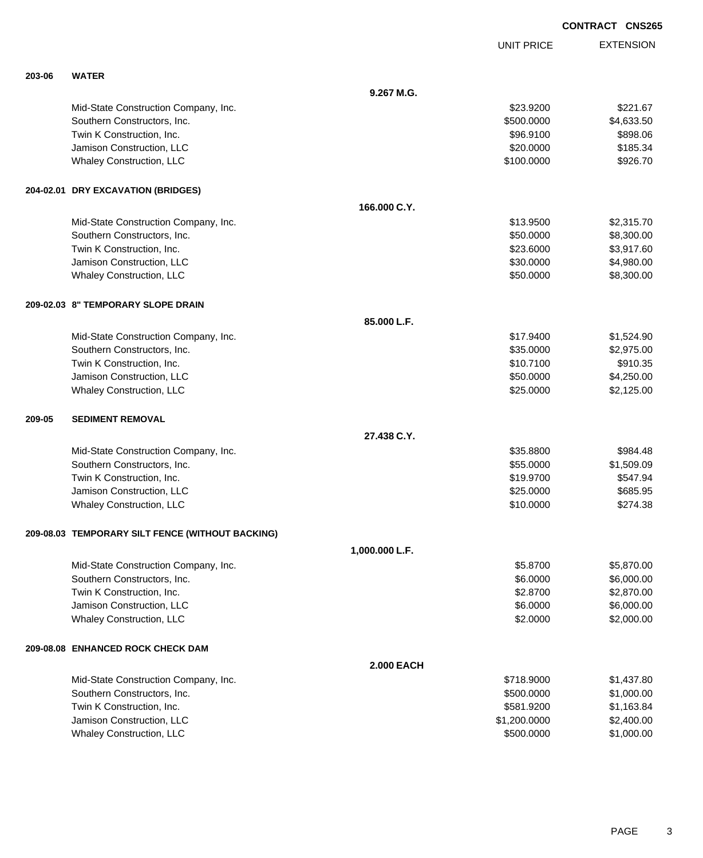UNIT PRICE

| 203-06 | <b>WATER</b>                                     |                   |              |            |
|--------|--------------------------------------------------|-------------------|--------------|------------|
|        |                                                  | 9.267 M.G.        |              |            |
|        | Mid-State Construction Company, Inc.             |                   | \$23.9200    | \$221.67   |
|        | Southern Constructors, Inc.                      |                   | \$500.0000   | \$4,633.50 |
|        | Twin K Construction, Inc.                        |                   | \$96.9100    | \$898.06   |
|        | Jamison Construction, LLC                        |                   | \$20.0000    | \$185.34   |
|        | Whaley Construction, LLC                         |                   | \$100.0000   | \$926.70   |
|        | 204-02.01 DRY EXCAVATION (BRIDGES)               |                   |              |            |
|        |                                                  | 166.000 C.Y.      |              |            |
|        | Mid-State Construction Company, Inc.             |                   | \$13.9500    | \$2,315.70 |
|        | Southern Constructors, Inc.                      |                   | \$50.0000    | \$8,300.00 |
|        | Twin K Construction, Inc.                        |                   | \$23.6000    | \$3,917.60 |
|        | Jamison Construction, LLC                        |                   | \$30.0000    | \$4,980.00 |
|        | Whaley Construction, LLC                         |                   | \$50.0000    | \$8,300.00 |
|        | 209-02.03 8" TEMPORARY SLOPE DRAIN               |                   |              |            |
|        |                                                  | 85.000 L.F.       |              |            |
|        | Mid-State Construction Company, Inc.             |                   | \$17.9400    | \$1,524.90 |
|        | Southern Constructors, Inc.                      |                   | \$35.0000    | \$2,975.00 |
|        | Twin K Construction, Inc.                        |                   | \$10.7100    | \$910.35   |
|        | Jamison Construction, LLC                        |                   | \$50.0000    | \$4,250.00 |
|        | Whaley Construction, LLC                         |                   | \$25.0000    | \$2,125.00 |
| 209-05 | <b>SEDIMENT REMOVAL</b>                          |                   |              |            |
|        |                                                  | 27.438 C.Y.       |              |            |
|        | Mid-State Construction Company, Inc.             |                   | \$35.8800    | \$984.48   |
|        | Southern Constructors, Inc.                      |                   | \$55.0000    | \$1,509.09 |
|        | Twin K Construction, Inc.                        |                   | \$19.9700    | \$547.94   |
|        | Jamison Construction, LLC                        |                   | \$25.0000    | \$685.95   |
|        | Whaley Construction, LLC                         |                   | \$10.0000    | \$274.38   |
|        | 209-08.03 TEMPORARY SILT FENCE (WITHOUT BACKING) |                   |              |            |
|        |                                                  | 1,000.000 L.F.    |              |            |
|        | Mid-State Construction Company, Inc.             |                   | \$5.8700     | \$5,870.00 |
|        | Southern Constructors, Inc.                      |                   | \$6.0000     | \$6,000.00 |
|        | Twin K Construction, Inc.                        |                   | \$2.8700     | \$2,870.00 |
|        | Jamison Construction, LLC                        |                   | \$6.0000     | \$6,000.00 |
|        | <b>Whaley Construction, LLC</b>                  |                   | \$2.0000     | \$2,000.00 |
|        | 209-08.08 ENHANCED ROCK CHECK DAM                |                   |              |            |
|        |                                                  | <b>2.000 EACH</b> |              |            |
|        | Mid-State Construction Company, Inc.             |                   | \$718.9000   | \$1,437.80 |
|        | Southern Constructors, Inc.                      |                   | \$500.0000   | \$1,000.00 |
|        | Twin K Construction, Inc.                        |                   | \$581.9200   | \$1,163.84 |
|        | Jamison Construction, LLC                        |                   | \$1,200.0000 | \$2,400.00 |
|        | <b>Whaley Construction, LLC</b>                  |                   | \$500.0000   | \$1,000.00 |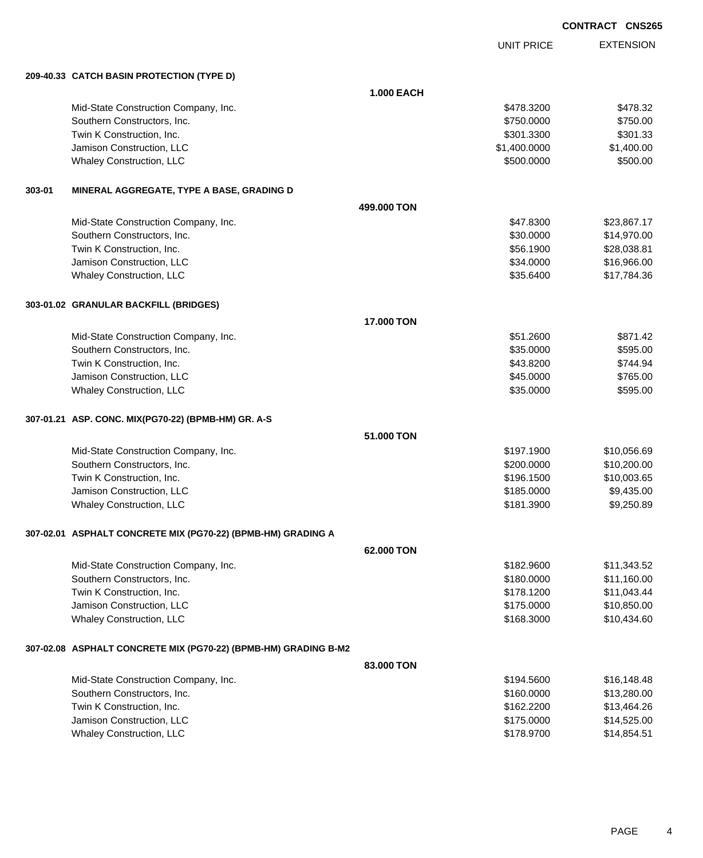UNIT PRICE EXTENSION

**209-40.33 CATCH BASIN PROTECTION (TYPE D)**

|        | 209-40.33 CATCH BASIN PROTECTION (TYPE D)                       |                   |              |             |
|--------|-----------------------------------------------------------------|-------------------|--------------|-------------|
|        |                                                                 | <b>1.000 EACH</b> |              |             |
|        | Mid-State Construction Company, Inc.                            |                   | \$478.3200   | \$478.32    |
|        | Southern Constructors, Inc.                                     |                   | \$750.0000   | \$750.00    |
|        | Twin K Construction, Inc.                                       |                   | \$301.3300   | \$301.33    |
|        | Jamison Construction, LLC                                       |                   | \$1,400.0000 | \$1,400.00  |
|        | Whaley Construction, LLC                                        |                   | \$500.0000   | \$500.00    |
| 303-01 | MINERAL AGGREGATE, TYPE A BASE, GRADING D                       |                   |              |             |
|        |                                                                 | 499,000 TON       |              |             |
|        | Mid-State Construction Company, Inc.                            |                   | \$47.8300    | \$23,867.17 |
|        | Southern Constructors, Inc.                                     |                   | \$30.0000    | \$14,970.00 |
|        | Twin K Construction, Inc.                                       |                   | \$56.1900    | \$28,038.81 |
|        | Jamison Construction, LLC                                       |                   | \$34.0000    | \$16,966.00 |
|        | Whaley Construction, LLC                                        |                   | \$35.6400    | \$17,784.36 |
|        | 303-01.02 GRANULAR BACKFILL (BRIDGES)                           |                   |              |             |
|        |                                                                 | 17.000 TON        |              |             |
|        | Mid-State Construction Company, Inc.                            |                   | \$51.2600    | \$871.42    |
|        | Southern Constructors, Inc.                                     |                   | \$35.0000    | \$595.00    |
|        | Twin K Construction, Inc.                                       |                   | \$43.8200    | \$744.94    |
|        | Jamison Construction, LLC                                       |                   | \$45.0000    | \$765.00    |
|        | Whaley Construction, LLC                                        |                   | \$35.0000    | \$595.00    |
|        | 307-01.21 ASP. CONC. MIX(PG70-22) (BPMB-HM) GR. A-S             |                   |              |             |
|        |                                                                 | 51.000 TON        |              |             |
|        | Mid-State Construction Company, Inc.                            |                   | \$197.1900   | \$10,056.69 |
|        | Southern Constructors, Inc.                                     |                   | \$200.0000   | \$10,200.00 |
|        | Twin K Construction, Inc.                                       |                   | \$196.1500   | \$10,003.65 |
|        | Jamison Construction, LLC                                       |                   | \$185.0000   | \$9,435.00  |
|        | Whaley Construction, LLC                                        |                   | \$181.3900   | \$9,250.89  |
|        | 307-02.01 ASPHALT CONCRETE MIX (PG70-22) (BPMB-HM) GRADING A    |                   |              |             |
|        |                                                                 | 62.000 TON        |              |             |
|        | Mid-State Construction Company, Inc.                            |                   | \$182.9600   | \$11,343.52 |
|        | Southern Constructors, Inc.                                     |                   | \$180.0000   | \$11,160.00 |
|        | Twin K Construction, Inc.                                       |                   | \$178.1200   | \$11,043.44 |
|        | Jamison Construction, LLC                                       |                   | \$175.0000   | \$10,850.00 |
|        | Whaley Construction, LLC                                        |                   | \$168.3000   | \$10,434.60 |
|        | 307-02.08 ASPHALT CONCRETE MIX (PG70-22) (BPMB-HM) GRADING B-M2 |                   |              |             |
|        |                                                                 | 83,000 TON        |              |             |
|        | Mid-State Construction Company, Inc.                            |                   | \$194.5600   | \$16,148.48 |
|        | Southern Constructors, Inc.                                     |                   | \$160.0000   | \$13,280.00 |
|        | Twin K Construction, Inc.                                       |                   | \$162.2200   | \$13,464.26 |
|        | Jamison Construction, LLC                                       |                   | \$175.0000   | \$14,525.00 |
|        | Whaley Construction, LLC                                        |                   | \$178.9700   | \$14,854.51 |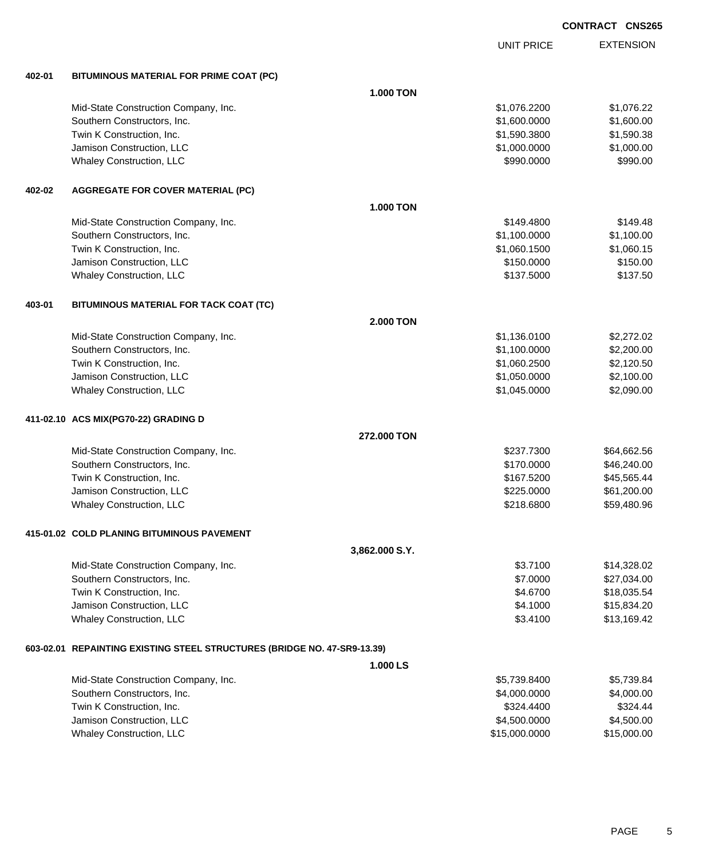|        |                                                                          |                  | <b>UNIT PRICE</b> | <b>EXTENSION</b> |
|--------|--------------------------------------------------------------------------|------------------|-------------------|------------------|
| 402-01 | BITUMINOUS MATERIAL FOR PRIME COAT (PC)                                  |                  |                   |                  |
|        |                                                                          | 1.000 TON        |                   |                  |
|        | Mid-State Construction Company, Inc.                                     |                  | \$1,076.2200      | \$1,076.22       |
|        | Southern Constructors, Inc.                                              |                  | \$1,600.0000      | \$1,600.00       |
|        | Twin K Construction, Inc.                                                |                  | \$1,590.3800      | \$1,590.38       |
|        | Jamison Construction, LLC                                                |                  | \$1,000.0000      | \$1,000.00       |
|        | Whaley Construction, LLC                                                 |                  | \$990.0000        | \$990.00         |
| 402-02 | <b>AGGREGATE FOR COVER MATERIAL (PC)</b>                                 |                  |                   |                  |
|        |                                                                          | 1.000 TON        |                   |                  |
|        | Mid-State Construction Company, Inc.                                     |                  | \$149.4800        | \$149.48         |
|        | Southern Constructors, Inc.                                              |                  | \$1,100.0000      | \$1,100.00       |
|        | Twin K Construction, Inc.                                                |                  | \$1,060.1500      | \$1,060.15       |
|        | Jamison Construction, LLC                                                |                  | \$150.0000        | \$150.00         |
|        | Whaley Construction, LLC                                                 |                  | \$137.5000        | \$137.50         |
| 403-01 | BITUMINOUS MATERIAL FOR TACK COAT (TC)                                   |                  |                   |                  |
|        |                                                                          | <b>2.000 TON</b> |                   |                  |
|        | Mid-State Construction Company, Inc.                                     |                  | \$1,136.0100      | \$2,272.02       |
|        | Southern Constructors, Inc.                                              |                  | \$1,100.0000      | \$2,200.00       |
|        | Twin K Construction, Inc.                                                |                  | \$1,060.2500      | \$2,120.50       |
|        | Jamison Construction, LLC                                                |                  | \$1,050.0000      | \$2,100.00       |
|        | Whaley Construction, LLC                                                 |                  | \$1,045.0000      | \$2,090.00       |
|        | 411-02.10 ACS MIX(PG70-22) GRADING D                                     |                  |                   |                  |
|        |                                                                          | 272,000 TON      |                   |                  |
|        | Mid-State Construction Company, Inc.                                     |                  | \$237.7300        | \$64,662.56      |
|        | Southern Constructors, Inc.                                              |                  | \$170.0000        | \$46,240.00      |
|        | Twin K Construction, Inc.                                                |                  | \$167.5200        | \$45,565.44      |
|        | Jamison Construction, LLC                                                |                  | \$225.0000        | \$61,200.00      |
|        | Whaley Construction, LLC                                                 |                  | \$218,6800        | \$59,480.96      |
|        | 415-01.02 COLD PLANING BITUMINOUS PAVEMENT                               |                  |                   |                  |
|        |                                                                          | 3,862.000 S.Y.   |                   |                  |
|        | Mid-State Construction Company, Inc.                                     |                  | \$3.7100          | \$14,328.02      |
|        | Southern Constructors, Inc.                                              |                  | \$7.0000          | \$27,034.00      |
|        | Twin K Construction, Inc.                                                |                  | \$4.6700          | \$18,035.54      |
|        | Jamison Construction, LLC                                                |                  | \$4.1000          | \$15,834.20      |
|        | Whaley Construction, LLC                                                 |                  | \$3.4100          | \$13,169.42      |
|        | 603-02.01 REPAINTING EXISTING STEEL STRUCTURES (BRIDGE NO. 47-SR9-13.39) |                  |                   |                  |
|        |                                                                          | 1.000 LS         |                   |                  |
|        | Mid-State Construction Company, Inc.                                     |                  | \$5,739.8400      | \$5,739.84       |
|        | Southern Constructors, Inc.                                              |                  | \$4,000.0000      | \$4,000.00       |
|        | Twin K Construction, Inc.                                                |                  | \$324.4400        | \$324.44         |
|        | Jamison Construction, LLC                                                |                  | \$4,500.0000      | \$4,500.00       |
|        | Whaley Construction, LLC                                                 |                  | \$15,000.0000     | \$15,000.00      |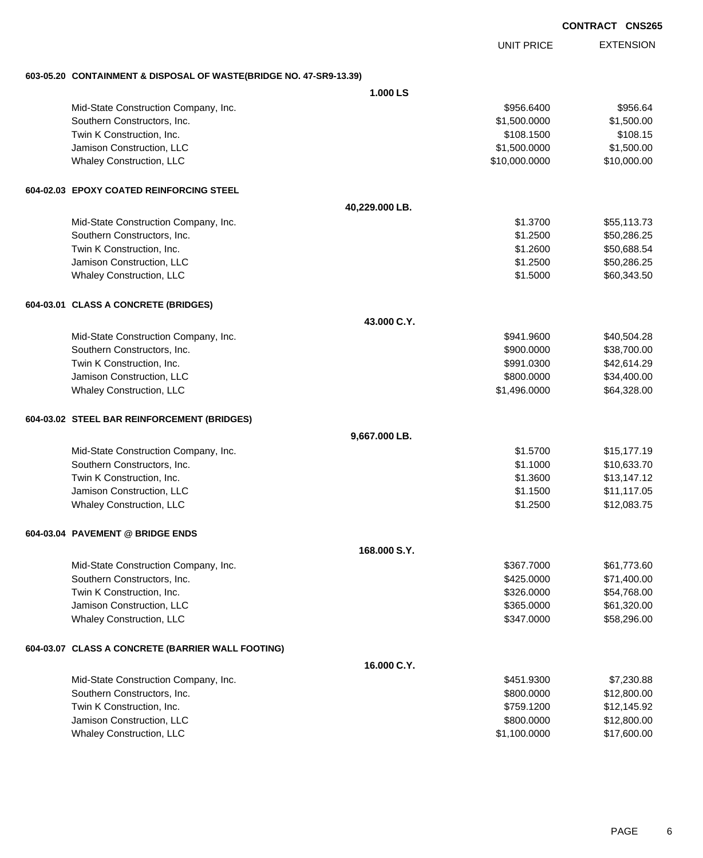EXTENSION UNIT PRICE

#### **603-05.20 CONTAINMENT & DISPOSAL OF WASTE(BRIDGE NO. 47-SR9-13.39)**

|                                                   | 1.000 LS       |               |             |
|---------------------------------------------------|----------------|---------------|-------------|
| Mid-State Construction Company, Inc.              |                | \$956.6400    | \$956.64    |
| Southern Constructors, Inc.                       |                | \$1,500.0000  | \$1,500.00  |
| Twin K Construction, Inc.                         |                | \$108.1500    | \$108.15    |
| Jamison Construction, LLC                         |                | \$1,500.0000  | \$1,500.00  |
| Whaley Construction, LLC                          |                | \$10,000.0000 | \$10,000.00 |
| 604-02.03 EPOXY COATED REINFORCING STEEL          |                |               |             |
|                                                   | 40,229.000 LB. |               |             |
| Mid-State Construction Company, Inc.              |                | \$1.3700      | \$55,113.73 |
| Southern Constructors, Inc.                       |                | \$1.2500      | \$50,286.25 |
| Twin K Construction, Inc.                         |                | \$1.2600      | \$50,688.54 |
| Jamison Construction, LLC                         |                | \$1.2500      | \$50,286.25 |
| Whaley Construction, LLC                          |                | \$1.5000      | \$60,343.50 |
| 604-03.01 CLASS A CONCRETE (BRIDGES)              |                |               |             |
|                                                   | 43.000 C.Y.    |               |             |
| Mid-State Construction Company, Inc.              |                | \$941.9600    | \$40,504.28 |
| Southern Constructors, Inc.                       |                | \$900.0000    | \$38,700.00 |
| Twin K Construction, Inc.                         |                | \$991.0300    | \$42,614.29 |
| Jamison Construction, LLC                         |                | \$800.0000    | \$34,400.00 |
| Whaley Construction, LLC                          |                | \$1,496.0000  | \$64,328.00 |
| 604-03.02 STEEL BAR REINFORCEMENT (BRIDGES)       |                |               |             |
|                                                   | 9,667.000 LB.  |               |             |
| Mid-State Construction Company, Inc.              |                | \$1.5700      | \$15,177.19 |
| Southern Constructors, Inc.                       |                | \$1.1000      | \$10,633.70 |
| Twin K Construction, Inc.                         |                | \$1.3600      | \$13,147.12 |
| Jamison Construction, LLC                         |                | \$1.1500      | \$11,117.05 |
| Whaley Construction, LLC                          |                | \$1.2500      | \$12,083.75 |
| 604-03.04 PAVEMENT @ BRIDGE ENDS                  |                |               |             |
|                                                   | 168,000 S.Y.   |               |             |
| Mid-State Construction Company, Inc.              |                | \$367.7000    | \$61,773.60 |
| Southern Constructors, Inc.                       |                | \$425.0000    | \$71,400.00 |
| Twin K Construction, Inc.                         |                | \$326.0000    | \$54,768.00 |
| Jamison Construction, LLC                         |                | \$365.0000    | \$61,320.00 |
| Whaley Construction, LLC                          |                | \$347.0000    | \$58,296.00 |
| 604-03.07 CLASS A CONCRETE (BARRIER WALL FOOTING) |                |               |             |
|                                                   | 16.000 C.Y.    |               |             |
| Mid-State Construction Company, Inc.              |                | \$451.9300    | \$7,230.88  |
| Southern Constructors, Inc.                       |                | \$800.0000    | \$12,800.00 |
| Twin K Construction, Inc.                         |                | \$759.1200    | \$12,145.92 |
| Jamison Construction, LLC                         |                | \$800.0000    | \$12,800.00 |
| Whaley Construction, LLC                          |                | \$1,100.0000  | \$17,600.00 |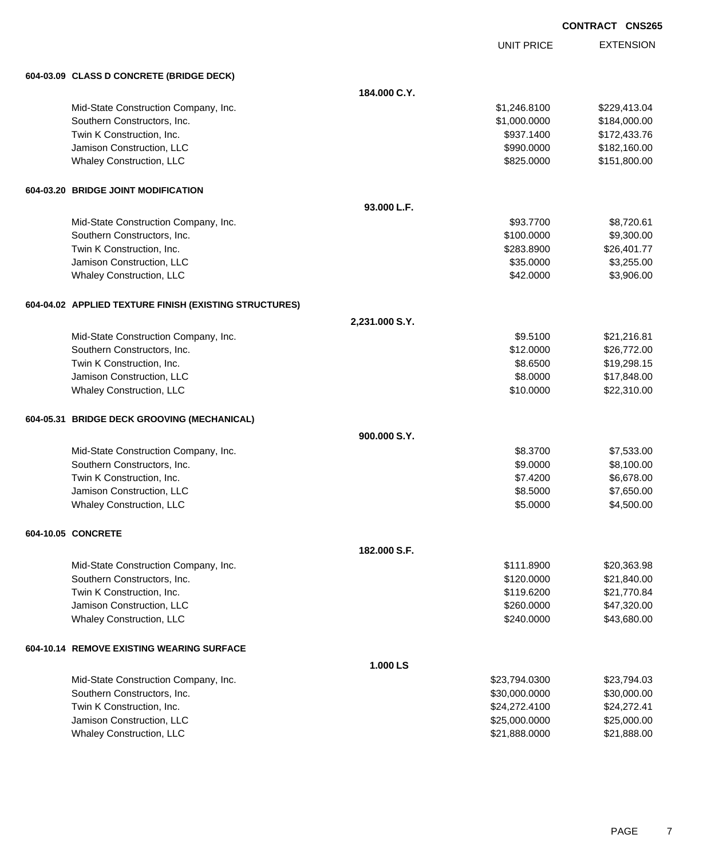UNIT PRICE EXTENSION

| 604-03.09 CLASS D CONCRETE (BRIDGE DECK)               |                |               |              |
|--------------------------------------------------------|----------------|---------------|--------------|
|                                                        | 184.000 C.Y.   |               |              |
| Mid-State Construction Company, Inc.                   |                | \$1,246.8100  | \$229,413.04 |
| Southern Constructors, Inc.                            |                | \$1,000.0000  | \$184,000.00 |
| Twin K Construction, Inc.                              |                | \$937.1400    | \$172,433.76 |
| Jamison Construction, LLC                              |                | \$990.0000    | \$182,160.00 |
| Whaley Construction, LLC                               |                | \$825.0000    | \$151,800.00 |
| 604-03.20 BRIDGE JOINT MODIFICATION                    |                |               |              |
|                                                        | 93.000 L.F.    |               |              |
| Mid-State Construction Company, Inc.                   |                | \$93.7700     | \$8,720.61   |
| Southern Constructors, Inc.                            |                | \$100.0000    | \$9,300.00   |
| Twin K Construction, Inc.                              |                | \$283.8900    | \$26,401.77  |
| Jamison Construction, LLC                              |                | \$35.0000     | \$3,255.00   |
| Whaley Construction, LLC                               |                | \$42.0000     | \$3,906.00   |
| 604-04.02 APPLIED TEXTURE FINISH (EXISTING STRUCTURES) |                |               |              |
|                                                        | 2,231.000 S.Y. |               |              |
| Mid-State Construction Company, Inc.                   |                | \$9.5100      | \$21,216.81  |
| Southern Constructors, Inc.                            |                | \$12.0000     | \$26,772.00  |
| Twin K Construction, Inc.                              |                | \$8,6500      | \$19,298.15  |
| Jamison Construction, LLC                              |                | \$8.0000      | \$17,848.00  |
| Whaley Construction, LLC                               |                | \$10.0000     | \$22,310.00  |
| 604-05.31 BRIDGE DECK GROOVING (MECHANICAL)            |                |               |              |
|                                                        | 900.000 S.Y.   |               |              |
| Mid-State Construction Company, Inc.                   |                | \$8.3700      | \$7,533.00   |
| Southern Constructors, Inc.                            |                | \$9.0000      | \$8,100.00   |
| Twin K Construction, Inc.                              |                | \$7.4200      | \$6,678.00   |
| Jamison Construction, LLC                              |                | \$8,5000      | \$7,650.00   |
| Whaley Construction, LLC                               |                | \$5.0000      | \$4,500.00   |
| 604-10.05 CONCRETE                                     |                |               |              |
|                                                        | 182.000 S.F.   |               |              |
| Mid-State Construction Company, Inc.                   |                | \$111.8900    | \$20,363.98  |
| Southern Constructors, Inc.                            |                | \$120.0000    | \$21,840.00  |
| Twin K Construction, Inc.                              |                | \$119.6200    | \$21,770.84  |
| Jamison Construction, LLC                              |                | \$260.0000    | \$47,320.00  |
| <b>Whaley Construction, LLC</b>                        |                | \$240.0000    | \$43,680.00  |
| 604-10.14 REMOVE EXISTING WEARING SURFACE              |                |               |              |
|                                                        | 1.000 LS       |               |              |
| Mid-State Construction Company, Inc.                   |                | \$23,794.0300 | \$23,794.03  |
| Southern Constructors, Inc.                            |                | \$30,000.0000 | \$30,000.00  |
| Twin K Construction, Inc.                              |                | \$24,272.4100 | \$24,272.41  |
| Jamison Construction, LLC                              |                | \$25,000.0000 | \$25,000.00  |
| Whaley Construction, LLC                               |                | \$21,888.0000 | \$21,888.00  |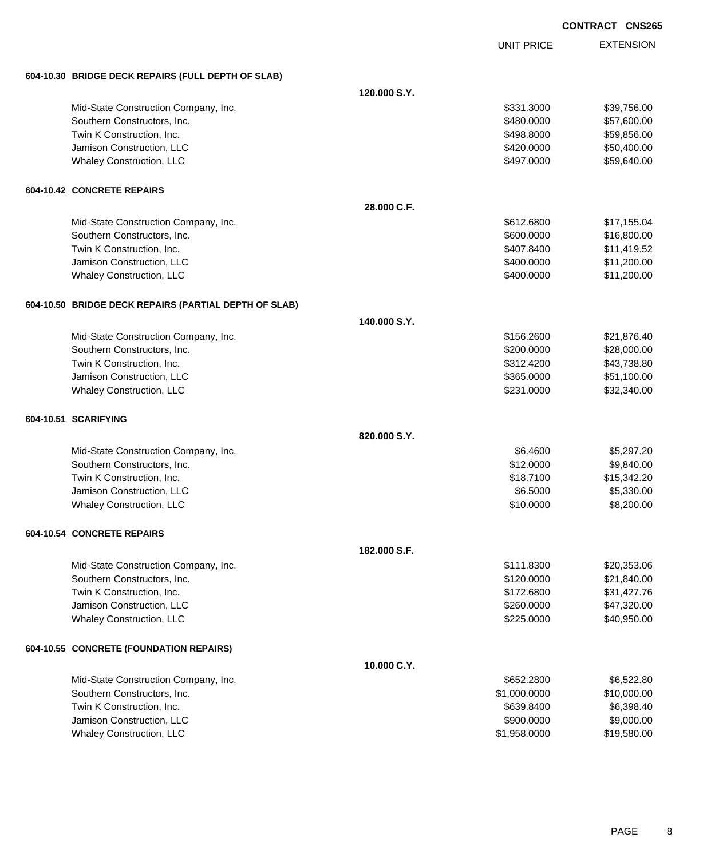UNIT PRICE

| 604-10.30 BRIDGE DECK REPAIRS (FULL DEPTH OF SLAB)    |              |              |             |
|-------------------------------------------------------|--------------|--------------|-------------|
|                                                       | 120.000 S.Y. |              |             |
| Mid-State Construction Company, Inc.                  |              | \$331.3000   | \$39,756.00 |
| Southern Constructors, Inc.                           |              | \$480.0000   | \$57,600.00 |
| Twin K Construction, Inc.                             |              | \$498.8000   | \$59,856.00 |
| Jamison Construction, LLC                             |              | \$420.0000   | \$50,400.00 |
| Whaley Construction, LLC                              |              | \$497.0000   | \$59,640.00 |
| 604-10.42 CONCRETE REPAIRS                            |              |              |             |
|                                                       | 28.000 C.F.  |              |             |
| Mid-State Construction Company, Inc.                  |              | \$612.6800   | \$17,155.04 |
| Southern Constructors, Inc.                           |              | \$600.0000   | \$16,800.00 |
| Twin K Construction, Inc.                             |              | \$407.8400   | \$11,419.52 |
| Jamison Construction, LLC                             |              | \$400.0000   | \$11,200.00 |
| <b>Whaley Construction, LLC</b>                       |              | \$400.0000   | \$11,200.00 |
| 604-10.50 BRIDGE DECK REPAIRS (PARTIAL DEPTH OF SLAB) |              |              |             |
|                                                       | 140.000 S.Y. |              |             |
| Mid-State Construction Company, Inc.                  |              | \$156.2600   | \$21,876.40 |
| Southern Constructors, Inc.                           |              | \$200.0000   | \$28,000.00 |
| Twin K Construction, Inc.                             |              | \$312.4200   | \$43,738.80 |
| Jamison Construction, LLC                             |              | \$365.0000   | \$51,100.00 |
| <b>Whaley Construction, LLC</b>                       |              | \$231.0000   | \$32,340.00 |
| 604-10.51 SCARIFYING                                  |              |              |             |
|                                                       | 820,000 S.Y. |              |             |
| Mid-State Construction Company, Inc.                  |              | \$6.4600     | \$5,297.20  |
| Southern Constructors, Inc.                           |              | \$12.0000    | \$9,840.00  |
| Twin K Construction, Inc.                             |              | \$18.7100    | \$15,342.20 |
| Jamison Construction, LLC                             |              | \$6.5000     | \$5,330.00  |
| Whaley Construction, LLC                              |              | \$10.0000    | \$8,200.00  |
| 604-10.54 CONCRETE REPAIRS                            |              |              |             |
|                                                       | 182,000 S.F. |              |             |
| Mid-State Construction Company, Inc.                  |              | \$111.8300   | \$20,353.06 |
| Southern Constructors, Inc.                           |              | \$120.0000   | \$21,840.00 |
| Twin K Construction, Inc.                             |              | \$172.6800   | \$31,427.76 |
| Jamison Construction, LLC                             |              | \$260.0000   | \$47,320.00 |
| Whaley Construction, LLC                              |              | \$225.0000   | \$40,950.00 |
| 604-10.55 CONCRETE (FOUNDATION REPAIRS)               |              |              |             |
|                                                       | 10.000 C.Y.  |              |             |
| Mid-State Construction Company, Inc.                  |              | \$652.2800   | \$6,522.80  |
| Southern Constructors, Inc.                           |              | \$1,000.0000 | \$10,000.00 |
| Twin K Construction, Inc.                             |              | \$639.8400   | \$6,398.40  |
| Jamison Construction, LLC                             |              | \$900.0000   | \$9,000.00  |
| <b>Whaley Construction, LLC</b>                       |              | \$1,958.0000 | \$19,580.00 |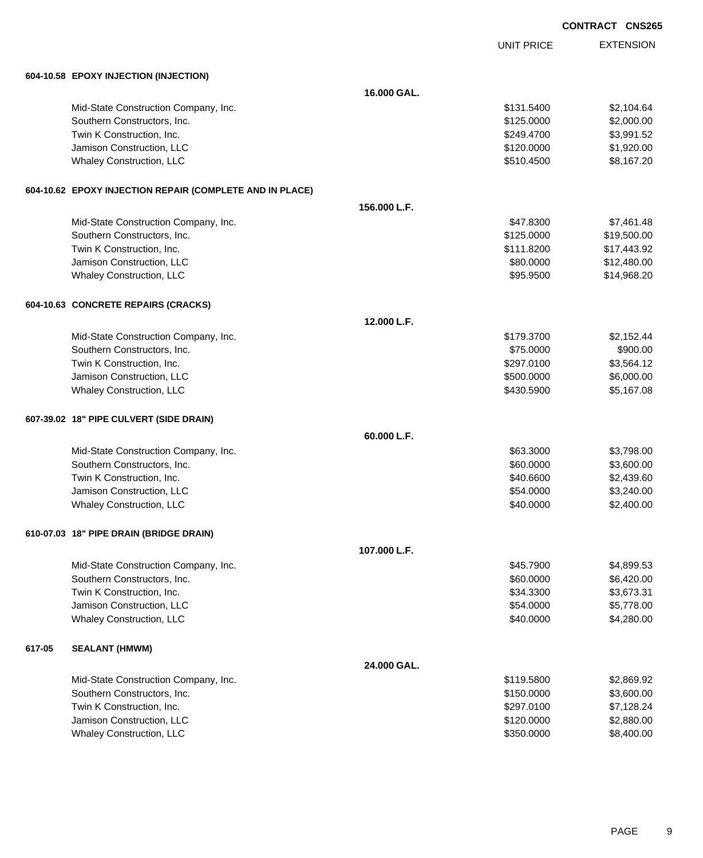UNIT PRICE

|        | 604-10.58 EPOXY INJECTION (INJECTION)                    |              |            |             |
|--------|----------------------------------------------------------|--------------|------------|-------------|
|        |                                                          | 16.000 GAL.  |            |             |
|        | Mid-State Construction Company, Inc.                     |              | \$131.5400 | \$2,104.64  |
|        | Southern Constructors, Inc.                              |              | \$125.0000 | \$2,000.00  |
|        | Twin K Construction, Inc.                                |              | \$249.4700 | \$3,991.52  |
|        | Jamison Construction, LLC                                |              | \$120.0000 | \$1,920.00  |
|        | Whaley Construction, LLC                                 |              | \$510.4500 | \$8,167.20  |
|        | 604-10.62 EPOXY INJECTION REPAIR (COMPLETE AND IN PLACE) |              |            |             |
|        |                                                          | 156,000 L.F. |            |             |
|        | Mid-State Construction Company, Inc.                     |              | \$47.8300  | \$7,461.48  |
|        | Southern Constructors, Inc.                              |              | \$125.0000 | \$19,500.00 |
|        | Twin K Construction, Inc.                                |              | \$111.8200 | \$17,443.92 |
|        | Jamison Construction, LLC                                |              | \$80.0000  | \$12,480.00 |
|        | Whaley Construction, LLC                                 |              | \$95.9500  | \$14,968.20 |
|        | 604-10.63 CONCRETE REPAIRS (CRACKS)                      |              |            |             |
|        |                                                          | 12.000 L.F.  |            |             |
|        | Mid-State Construction Company, Inc.                     |              | \$179.3700 | \$2,152.44  |
|        | Southern Constructors, Inc.                              |              | \$75.0000  | \$900.00    |
|        | Twin K Construction, Inc.                                |              | \$297.0100 | \$3,564.12  |
|        | Jamison Construction, LLC                                |              | \$500.0000 | \$6,000.00  |
|        | <b>Whaley Construction, LLC</b>                          |              | \$430.5900 | \$5,167.08  |
|        | 607-39.02 18" PIPE CULVERT (SIDE DRAIN)                  |              |            |             |
|        |                                                          | 60.000 L.F.  |            |             |
|        | Mid-State Construction Company, Inc.                     |              | \$63.3000  | \$3,798.00  |
|        | Southern Constructors, Inc.                              |              | \$60.0000  | \$3,600.00  |
|        | Twin K Construction, Inc.                                |              | \$40.6600  | \$2,439.60  |
|        | Jamison Construction, LLC                                |              | \$54.0000  | \$3,240.00  |
|        | Whaley Construction, LLC                                 |              | \$40.0000  | \$2,400.00  |
|        | 610-07.03 18" PIPE DRAIN (BRIDGE DRAIN)                  |              |            |             |
|        |                                                          | 107.000 L.F. |            |             |
|        | Mid-State Construction Company, Inc.                     |              | \$45.7900  | \$4,899.53  |
|        | Southern Constructors, Inc.                              |              | \$60.0000  | \$6,420.00  |
|        | Twin K Construction, Inc.                                |              | \$34.3300  | \$3,673.31  |
|        | Jamison Construction, LLC                                |              | \$54.0000  | \$5,778.00  |
|        | Whaley Construction, LLC                                 |              | \$40.0000  | \$4,280.00  |
| 617-05 | <b>SEALANT (HMWM)</b>                                    |              |            |             |
|        |                                                          | 24.000 GAL.  |            |             |
|        | Mid-State Construction Company, Inc.                     |              | \$119.5800 | \$2,869.92  |
|        | Southern Constructors, Inc.                              |              | \$150.0000 | \$3,600.00  |
|        | Twin K Construction, Inc.                                |              | \$297.0100 | \$7,128.24  |
|        | Jamison Construction, LLC                                |              | \$120.0000 | \$2,880.00  |
|        | <b>Whaley Construction, LLC</b>                          |              | \$350.0000 | \$8,400.00  |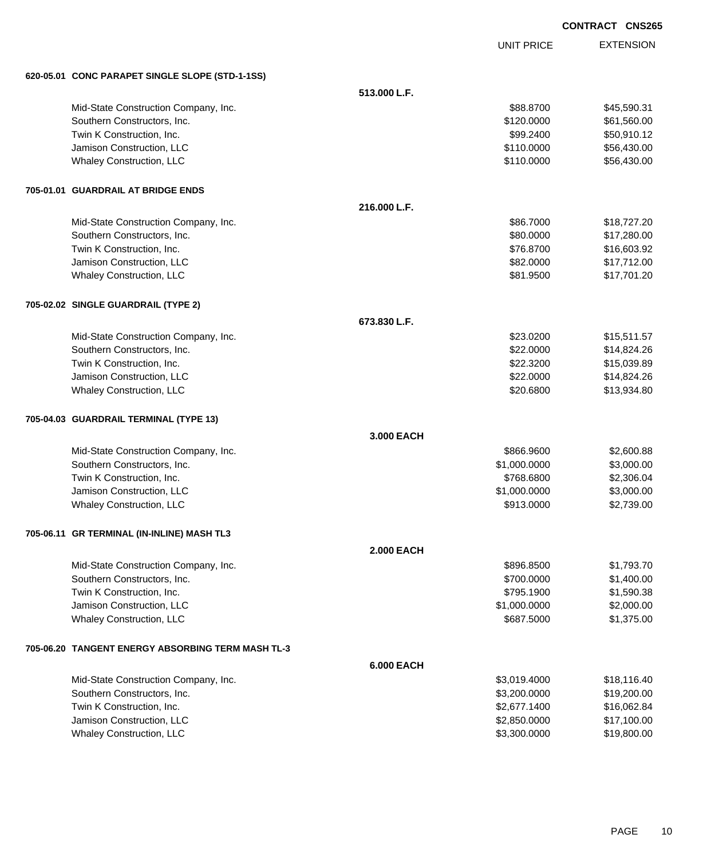UNIT PRICE

| 620-05.01 CONC PARAPET SINGLE SLOPE (STD-1-1SS)     |                   |              |             |
|-----------------------------------------------------|-------------------|--------------|-------------|
|                                                     | 513.000 L.F.      |              |             |
| Mid-State Construction Company, Inc.                |                   | \$88.8700    | \$45,590.31 |
| Southern Constructors, Inc.                         |                   | \$120.0000   | \$61,560.00 |
| Twin K Construction, Inc.                           |                   | \$99.2400    | \$50,910.12 |
| Jamison Construction, LLC                           |                   | \$110.0000   | \$56,430.00 |
| Whaley Construction, LLC                            |                   | \$110.0000   | \$56,430.00 |
| 705-01.01 GUARDRAIL AT BRIDGE ENDS                  |                   |              |             |
|                                                     | 216.000 L.F.      |              |             |
| Mid-State Construction Company, Inc.                |                   | \$86.7000    | \$18,727.20 |
| Southern Constructors, Inc.                         |                   | \$80.0000    | \$17,280.00 |
| Twin K Construction, Inc.                           |                   | \$76.8700    | \$16,603.92 |
| Jamison Construction, LLC                           |                   | \$82.0000    | \$17,712.00 |
| <b>Whaley Construction, LLC</b>                     |                   | \$81.9500    | \$17,701.20 |
| 705-02.02 SINGLE GUARDRAIL (TYPE 2)                 |                   |              |             |
|                                                     | 673.830 L.F.      |              |             |
| Mid-State Construction Company, Inc.                |                   | \$23.0200    | \$15,511.57 |
| Southern Constructors, Inc.                         |                   | \$22.0000    | \$14,824.26 |
| Twin K Construction, Inc.                           |                   | \$22.3200    | \$15,039.89 |
| Jamison Construction, LLC                           |                   | \$22.0000    | \$14,824.26 |
| <b>Whaley Construction, LLC</b>                     |                   | \$20.6800    | \$13,934.80 |
| 705-04.03 GUARDRAIL TERMINAL (TYPE 13)              |                   |              |             |
|                                                     | 3.000 EACH        |              |             |
| Mid-State Construction Company, Inc.                |                   | \$866.9600   | \$2,600.88  |
| Southern Constructors, Inc.                         |                   | \$1,000.0000 | \$3,000.00  |
| Twin K Construction, Inc.                           |                   | \$768.6800   | \$2,306.04  |
| Jamison Construction, LLC                           |                   | \$1,000.0000 | \$3,000.00  |
| Whaley Construction, LLC                            |                   | \$913.0000   | \$2,739.00  |
| 705-06.11 GR TERMINAL (IN-INLINE) MASH TL3          |                   |              |             |
|                                                     | <b>2.000 EACH</b> |              |             |
| Mid-State Construction Company, Inc.                |                   | \$896.8500   | \$1,793.70  |
| Southern Constructors, Inc.                         |                   | \$700.0000   | \$1,400.00  |
| Twin K Construction, Inc.                           |                   | \$795.1900   | \$1,590.38  |
| Jamison Construction, LLC                           |                   | \$1,000.0000 | \$2,000.00  |
| Whaley Construction, LLC                            |                   | \$687.5000   | \$1,375.00  |
| 705-06.20   TANGENT ENERGY ABSORBING TERM MASH TL-3 |                   |              |             |
|                                                     | <b>6.000 EACH</b> |              |             |
| Mid-State Construction Company, Inc.                |                   | \$3,019.4000 | \$18,116.40 |
| Southern Constructors, Inc.                         |                   | \$3,200.0000 | \$19,200.00 |
| Twin K Construction, Inc.                           |                   | \$2,677.1400 | \$16,062.84 |
| Jamison Construction, LLC                           |                   | \$2,850.0000 | \$17,100.00 |
| Whaley Construction, LLC                            |                   | \$3,300.0000 | \$19,800.00 |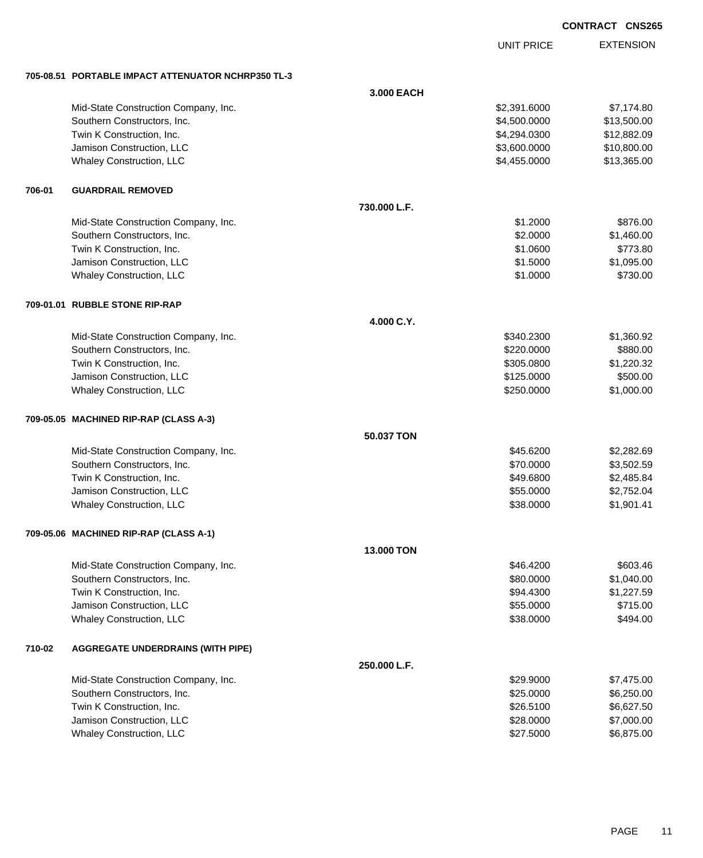| <b>CONTRACT CNS265</b> |  |
|------------------------|--|
|                        |  |

UNIT PRICE

EXTENSION

**705-08.51 PORTABLE IMPACT ATTENUATOR NCHRP350 TL-3**

|        | 705-08.51 PORTABLE IMPACT ATTENUATOR NCHRP350 IL-3 |                   |              |             |
|--------|----------------------------------------------------|-------------------|--------------|-------------|
|        |                                                    | 3.000 EACH        |              |             |
|        | Mid-State Construction Company, Inc.               |                   | \$2,391.6000 | \$7,174.80  |
|        | Southern Constructors, Inc.                        |                   | \$4,500.0000 | \$13,500.00 |
|        | Twin K Construction, Inc.                          |                   | \$4,294.0300 | \$12,882.09 |
|        | Jamison Construction, LLC                          |                   | \$3,600.0000 | \$10,800.00 |
|        | Whaley Construction, LLC                           |                   | \$4,455.0000 | \$13,365.00 |
| 706-01 | <b>GUARDRAIL REMOVED</b>                           |                   |              |             |
|        |                                                    | 730.000 L.F.      |              |             |
|        | Mid-State Construction Company, Inc.               |                   | \$1.2000     | \$876.00    |
|        | Southern Constructors, Inc.                        |                   | \$2.0000     | \$1,460.00  |
|        | Twin K Construction, Inc.                          |                   | \$1.0600     | \$773.80    |
|        | Jamison Construction, LLC                          |                   | \$1.5000     | \$1,095.00  |
|        | Whaley Construction, LLC                           |                   | \$1.0000     | \$730.00    |
|        | 709-01.01 RUBBLE STONE RIP-RAP                     |                   |              |             |
|        |                                                    | 4.000 C.Y.        |              |             |
|        | Mid-State Construction Company, Inc.               |                   | \$340.2300   | \$1,360.92  |
|        | Southern Constructors, Inc.                        |                   | \$220.0000   | \$880.00    |
|        | Twin K Construction, Inc.                          |                   | \$305.0800   | \$1,220.32  |
|        | Jamison Construction, LLC                          |                   | \$125.0000   | \$500.00    |
|        | Whaley Construction, LLC                           |                   | \$250.0000   | \$1,000.00  |
|        | 709-05.05 MACHINED RIP-RAP (CLASS A-3)             |                   |              |             |
|        |                                                    | 50.037 TON        |              |             |
|        | Mid-State Construction Company, Inc.               |                   | \$45.6200    | \$2,282.69  |
|        | Southern Constructors, Inc.                        |                   | \$70.0000    | \$3,502.59  |
|        | Twin K Construction, Inc.                          |                   | \$49.6800    | \$2,485.84  |
|        | Jamison Construction, LLC                          |                   | \$55.0000    | \$2,752.04  |
|        | Whaley Construction, LLC                           |                   | \$38.0000    | \$1,901.41  |
|        | 709-05.06 MACHINED RIP-RAP (CLASS A-1)             |                   |              |             |
|        |                                                    | <b>13,000 TON</b> |              |             |
|        | Mid-State Construction Company, Inc.               |                   | \$46.4200    | \$603.46    |
|        | Southern Constructors, Inc.                        |                   | \$80.0000    | \$1,040.00  |
|        | Twin K Construction, Inc.                          |                   | \$94.4300    | \$1,227.59  |
|        | Jamison Construction, LLC                          |                   | \$55.0000    | \$715.00    |
|        | Whaley Construction, LLC                           |                   | \$38.0000    | \$494.00    |
| 710-02 | <b>AGGREGATE UNDERDRAINS (WITH PIPE)</b>           |                   |              |             |
|        |                                                    | 250.000 L.F.      |              |             |
|        | Mid-State Construction Company, Inc.               |                   | \$29.9000    | \$7,475.00  |
|        | Southern Constructors, Inc.                        |                   | \$25.0000    | \$6,250.00  |
|        | Twin K Construction, Inc.                          |                   | \$26.5100    | \$6,627.50  |
|        | Jamison Construction, LLC                          |                   | \$28.0000    | \$7,000.00  |
|        | Whaley Construction, LLC                           |                   | \$27.5000    | \$6,875.00  |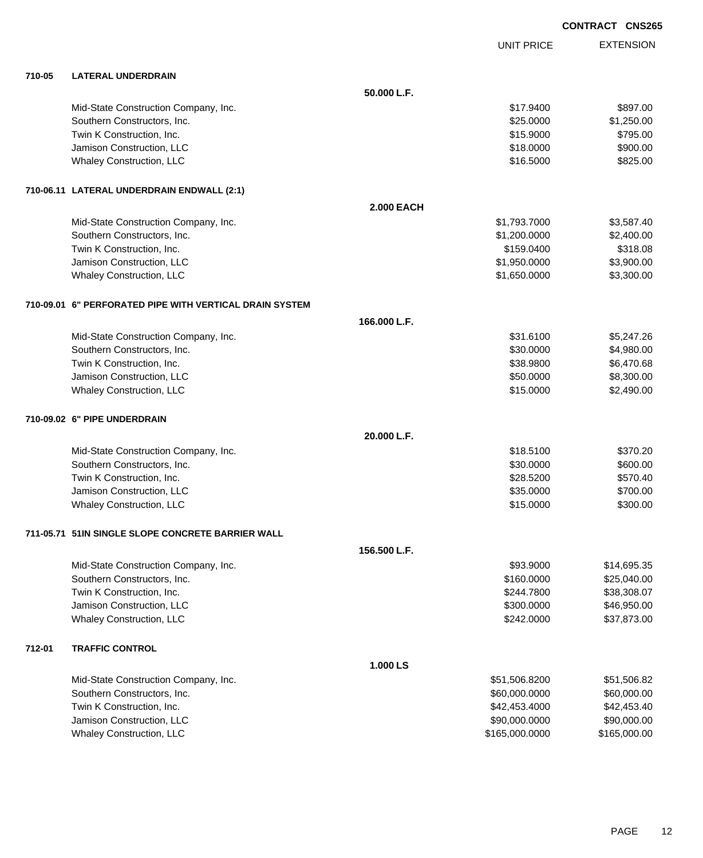UNIT PRICE

| 710-05 | <b>LATERAL UNDERDRAIN</b>                               |                   |               |             |
|--------|---------------------------------------------------------|-------------------|---------------|-------------|
|        |                                                         | 50.000 L.F.       |               |             |
|        | Mid-State Construction Company, Inc.                    |                   | \$17.9400     | \$897.00    |
|        | Southern Constructors, Inc.                             |                   | \$25.0000     | \$1,250.00  |
|        | Twin K Construction, Inc.                               |                   | \$15.9000     | \$795.00    |
|        | Jamison Construction, LLC                               |                   | \$18.0000     | \$900.00    |
|        | Whaley Construction, LLC                                |                   | \$16.5000     | \$825.00    |
|        | 710-06.11 LATERAL UNDERDRAIN ENDWALL (2:1)              |                   |               |             |
|        |                                                         | <b>2.000 EACH</b> |               |             |
|        | Mid-State Construction Company, Inc.                    |                   | \$1,793.7000  | \$3,587.40  |
|        | Southern Constructors, Inc.                             |                   | \$1,200.0000  | \$2,400.00  |
|        | Twin K Construction, Inc.                               |                   | \$159.0400    | \$318.08    |
|        | Jamison Construction, LLC                               |                   | \$1,950.0000  | \$3,900.00  |
|        | Whaley Construction, LLC                                |                   | \$1,650.0000  | \$3,300.00  |
|        | 710-09.01 6" PERFORATED PIPE WITH VERTICAL DRAIN SYSTEM |                   |               |             |
|        |                                                         | 166.000 L.F.      |               |             |
|        | Mid-State Construction Company, Inc.                    |                   | \$31.6100     | \$5,247.26  |
|        | Southern Constructors, Inc.                             |                   | \$30.0000     | \$4,980.00  |
|        | Twin K Construction, Inc.                               |                   | \$38.9800     | \$6,470.68  |
|        | Jamison Construction, LLC                               |                   | \$50.0000     | \$8,300.00  |
|        | Whaley Construction, LLC                                |                   | \$15.0000     | \$2,490.00  |
|        | 710-09.02 6" PIPE UNDERDRAIN                            |                   |               |             |
|        |                                                         | 20.000 L.F.       |               |             |
|        | Mid-State Construction Company, Inc.                    |                   | \$18.5100     | \$370.20    |
|        | Southern Constructors, Inc.                             |                   | \$30.0000     | \$600.00    |
|        | Twin K Construction, Inc.                               |                   | \$28.5200     | \$570.40    |
|        | Jamison Construction, LLC                               |                   | \$35.0000     | \$700.00    |
|        | Whaley Construction, LLC                                |                   | \$15.0000     | \$300.00    |
|        | 711-05.71 51IN SINGLE SLOPE CONCRETE BARRIER WALL       |                   |               |             |
|        |                                                         | 156.500 L.F.      |               |             |
|        | Mid-State Construction Company, Inc.                    |                   | \$93.9000     | \$14,695.35 |
|        | Southern Constructors, Inc.                             |                   | \$160.0000    | \$25,040.00 |
|        | Twin K Construction, Inc.                               |                   | \$244.7800    | \$38,308.07 |
|        | Jamison Construction, LLC                               |                   | \$300.0000    | \$46,950.00 |
|        | Whaley Construction, LLC                                |                   | \$242.0000    | \$37,873.00 |
| 712-01 | <b>TRAFFIC CONTROL</b>                                  |                   |               |             |
|        |                                                         | 1.000 LS          |               |             |
|        | Mid-State Construction Company, Inc.                    |                   | \$51,506,8200 | \$51.506.82 |

| Mid-State Construction Company, Inc. | \$51,506.8200  | \$51,506.82  |
|--------------------------------------|----------------|--------------|
| Southern Constructors, Inc.          | \$60,000.0000  | \$60,000.00  |
| Twin K Construction, Inc.            | \$42,453.4000  | \$42,453,40  |
| Jamison Construction, LLC            | \$90,000,0000  | \$90,000.00  |
| Whaley Construction, LLC             | \$165,000.0000 | \$165,000.00 |
|                                      |                |              |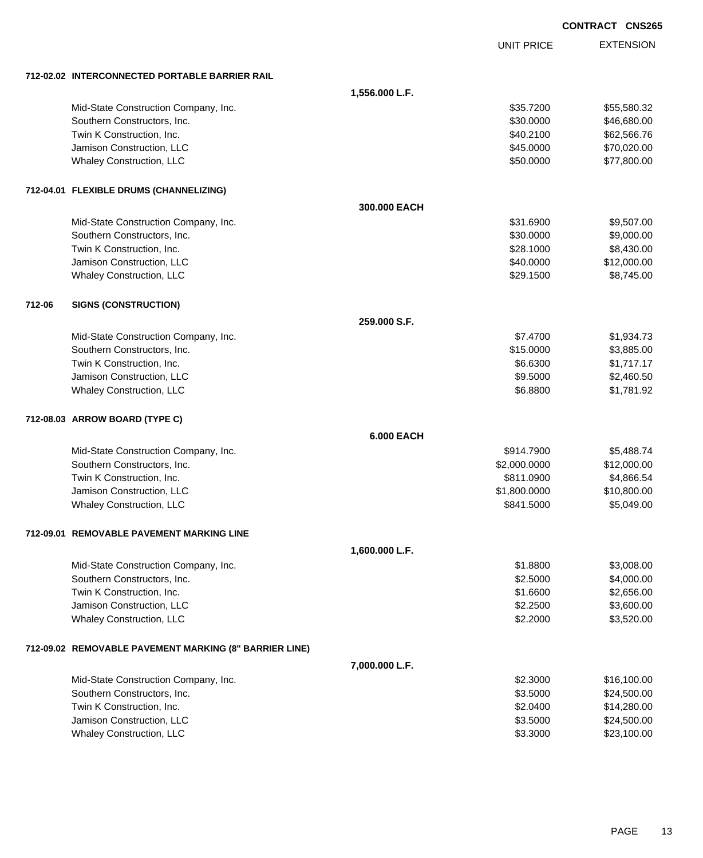EXTENSION **CONTRACT CNS265** UNIT PRICE **712-02.02 INTERCONNECTED PORTABLE BARRIER RAIL 1,556.000 L.F.** Mid-State Construction Company, Inc. 6. The Construction Company, Inc. 6. The Construction Company, Inc. 6. The Construction Company, Inc. 6. The Construction Company, Inc. 6. The Construction Company, Inc. 6. The Construc Southern Constructors, Inc. 6. The Constructors of the Constructors, Inc. 6. The Constructors, Inc. 6. The Constructors of the Constructors of the Constructors of the Constructors of the Constructors of the Constructors of Twin K Construction, Inc. 662,566.76 and the state of the state of the state of the state of the state of the state of the state of the state of the state of the state of the state of the state of the state of the state of Jamison Construction, LLC \$45.0000 \$70,020.00 Whaley Construction, LLC **\$50.000** \$77,800.00 **712-04.01 FLEXIBLE DRUMS (CHANNELIZING) 300.000 EACH** Mid-State Construction Company, Inc. 6. The Construction Company, Inc. 6. The Construction Company, Inc. 6. The Construction Company, Inc. 6. The Construction Company, Inc. 6. The Construction Company, Inc. 6. The Construc Southern Constructors, Inc. 6. The Constructors, Inc. 6. The Constructors, Inc. 6. The Constructors, Inc. 6. The Constructors of the Constructors, Inc. 6. The Constructors of the Constructors, Inc. 6. The Constructors of t Twin K Construction, Inc. 6. The Construction of the Construction, Inc. 6. The Construction, Inc. 6. The Construction of the Construction of the Construction of the Construction of the Construction of the Construction of t Jamison Construction, LLC 60000 \$12,000.00 Whaley Construction, LLC  $$29.1500$   $$8,745.00$ **712-06 SIGNS (CONSTRUCTION) 259.000 S.F.** Mid-State Construction Company, Inc. 6. 1934.73 Southern Constructors, Inc. 6. The Southern Constructors, Inc. 6. The Southern Constructors, Inc. 6. The Southern Constructors, Inc. 6. The Southern Constructors, Inc. 6. The Southern Constructors, Inc. 6. The Southern Con Twin K Construction, Inc. 6. The Construction of the Construction, Inc. 6.6300 \$1,717.17 Jamison Construction, LLC 6000 \$2,460.50 Whaley Construction, LLC **6.8800 \$1,781.92** \$6.8800 \$1,781.92 **712-08.03 ARROW BOARD (TYPE C) 6.000 EACH** Mid-State Construction Company, Inc. 6. The Construction Company, Inc. 6. The Construction Company, Inc. 6. The Construction Company, Inc. 6. The Construction Company, Inc. 6. The Construction Company, Inc. 6. The Construc Southern Constructors, Inc. 6. 2000.000 \$12,000.000 \$12,000.000 \$12,000.000 \$12,000.00 Twin K Construction, Inc. 6811.0900 \$4,866.54 Jamison Construction, LLC \$1,800.0000 \$10,800.00 Whaley Construction, LLC **\$841.5000** \$5,049.00 **712-09.01 REMOVABLE PAVEMENT MARKING LINE 1,600.000 L.F.** Mid-State Construction Company, Inc. 6. The Construction Company, Inc. 6. The Construction Company, Inc. 6. The Construction Company, Inc. 6. The Construction Company, Inc. 6. The Construction Company, Inc. 6. The Construc Southern Constructors, Inc. 6. The Constructors of the Constructors, Inc. 6. The Constructors, Inc. 6. Section 1 Twin K Construction, Inc. 6. 2008 1.6600 \$2,656.00 Jamison Construction, LLC 63,600.00 Whaley Construction, LLC 63,520.00 \$3,520.00 \$3,520.00 \$3,520.00 \$3,520.00 **712-09.02 REMOVABLE PAVEMENT MARKING (8" BARRIER LINE) 7,000.000 L.F.** Mid-State Construction Company, Inc. 6. 2.3000 \$16,100.00 Southern Constructors, Inc. 624,500.00 \$24,500.00 \$24,500.00 \$24,500.00 \$24,500.00 Twin K Construction, Inc. 6. The Construction of the Construction, Inc. 6. The Construction, Inc. 6. The Construction of the Construction of the Construction of the Construction of the Construction of the Construction of t

Jamison Construction, LLC \$3.5000 \$24,500.00 Whaley Construction, LLC 623,100.00 \$23,100.00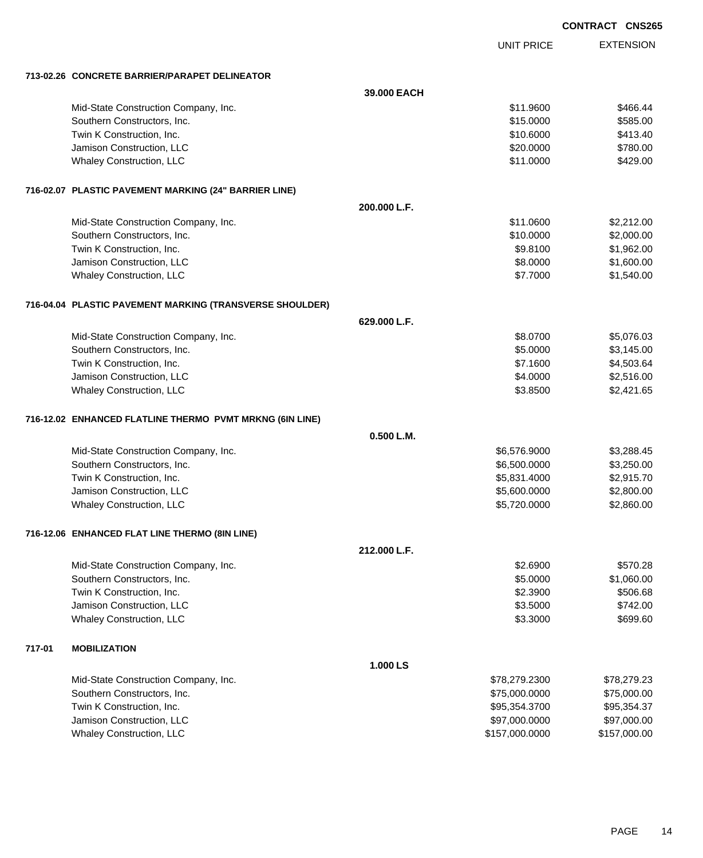UNIT PRICE EXTENSION

**713-02.26 CONCRETE BARRIER/PARAPET DELINEATOR**

|        | 713-02.26 CONCRETE BARRIER/PARAPET DELINEATOR            |              |                |              |
|--------|----------------------------------------------------------|--------------|----------------|--------------|
|        |                                                          | 39.000 EACH  |                |              |
|        | Mid-State Construction Company, Inc.                     |              | \$11.9600      | \$466.44     |
|        | Southern Constructors, Inc.                              |              | \$15.0000      | \$585.00     |
|        | Twin K Construction, Inc.                                |              | \$10.6000      | \$413.40     |
|        | Jamison Construction, LLC                                |              | \$20.0000      | \$780.00     |
|        | Whaley Construction, LLC                                 |              | \$11.0000      | \$429.00     |
|        | 716-02.07 PLASTIC PAVEMENT MARKING (24" BARRIER LINE)    |              |                |              |
|        |                                                          | 200.000 L.F. |                |              |
|        | Mid-State Construction Company, Inc.                     |              | \$11.0600      | \$2,212.00   |
|        | Southern Constructors, Inc.                              |              | \$10.0000      | \$2,000.00   |
|        | Twin K Construction, Inc.                                |              | \$9.8100       | \$1,962.00   |
|        | Jamison Construction, LLC                                |              | \$8.0000       | \$1,600.00   |
|        | Whaley Construction, LLC                                 |              | \$7.7000       | \$1,540.00   |
|        | 716-04.04 PLASTIC PAVEMENT MARKING (TRANSVERSE SHOULDER) |              |                |              |
|        |                                                          | 629.000 L.F. |                |              |
|        | Mid-State Construction Company, Inc.                     |              | \$8.0700       | \$5,076.03   |
|        | Southern Constructors, Inc.                              |              | \$5.0000       | \$3,145.00   |
|        | Twin K Construction, Inc.                                |              | \$7.1600       | \$4,503.64   |
|        | Jamison Construction, LLC                                |              | \$4.0000       | \$2,516.00   |
|        | Whaley Construction, LLC                                 |              | \$3.8500       | \$2,421.65   |
|        | 716-12.02 ENHANCED FLATLINE THERMO PVMT MRKNG (6IN LINE) |              |                |              |
|        |                                                          | 0.500 L.M.   |                |              |
|        | Mid-State Construction Company, Inc.                     |              | \$6,576.9000   | \$3,288.45   |
|        | Southern Constructors, Inc.                              |              | \$6,500.0000   | \$3,250.00   |
|        | Twin K Construction, Inc.                                |              | \$5,831.4000   | \$2,915.70   |
|        | Jamison Construction, LLC                                |              | \$5,600.0000   | \$2,800.00   |
|        | Whaley Construction, LLC                                 |              | \$5,720.0000   | \$2,860.00   |
|        | 716-12.06 ENHANCED FLAT LINE THERMO (8IN LINE)           |              |                |              |
|        |                                                          | 212.000 L.F. |                |              |
|        | Mid-State Construction Company, Inc.                     |              | \$2.6900       | \$570.28     |
|        | Southern Constructors, Inc.                              |              | \$5.0000       | \$1,060.00   |
|        | Twin K Construction, Inc.                                |              | \$2.3900       | \$506.68     |
|        | Jamison Construction, LLC                                |              | \$3.5000       | \$742.00     |
|        | Whaley Construction, LLC                                 |              | \$3.3000       | \$699.60     |
| 717-01 | <b>MOBILIZATION</b>                                      |              |                |              |
|        |                                                          | 1.000 LS     |                |              |
|        | Mid-State Construction Company, Inc.                     |              | \$78,279.2300  | \$78,279.23  |
|        | Southern Constructors, Inc.                              |              | \$75,000.0000  | \$75,000.00  |
|        | Twin K Construction, Inc.                                |              | \$95,354.3700  | \$95,354.37  |
|        | Jamison Construction, LLC                                |              | \$97,000.0000  | \$97,000.00  |
|        | Whaley Construction, LLC                                 |              | \$157,000.0000 | \$157,000.00 |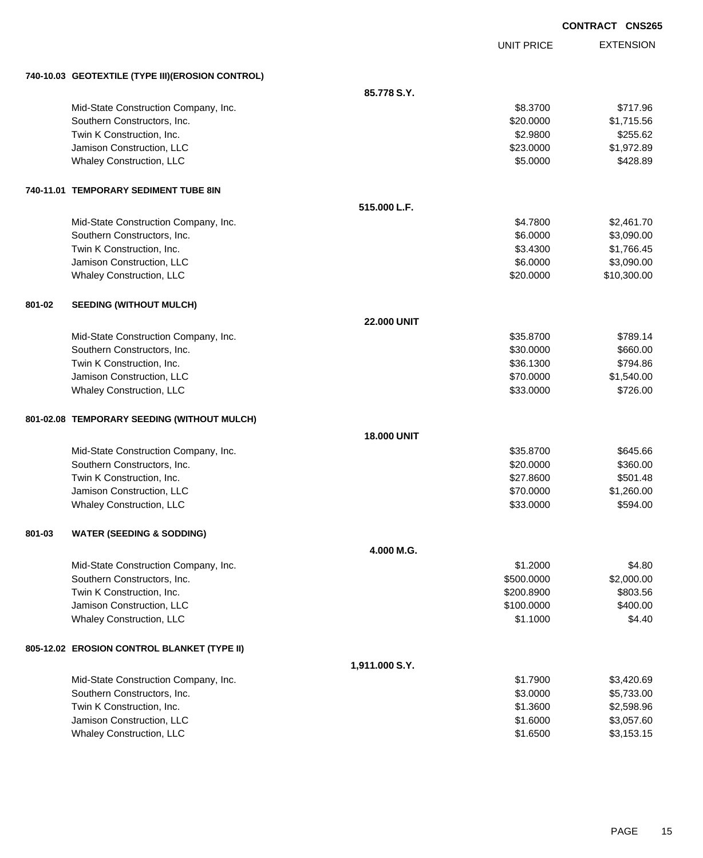|        |                                                   |                    |                   | <b>CONTRACT CNS265</b> |
|--------|---------------------------------------------------|--------------------|-------------------|------------------------|
|        |                                                   |                    | <b>UNIT PRICE</b> | <b>EXTENSION</b>       |
|        | 740-10.03 GEOTEXTILE (TYPE III) (EROSION CONTROL) |                    |                   |                        |
|        |                                                   | 85.778 S.Y.        |                   |                        |
|        | Mid-State Construction Company, Inc.              |                    | \$8.3700          | \$717.96               |
|        | Southern Constructors, Inc.                       |                    | \$20.0000         | \$1,715.56             |
|        | Twin K Construction, Inc.                         |                    | \$2.9800          | \$255.62               |
|        | Jamison Construction, LLC                         |                    | \$23.0000         | \$1,972.89             |
|        | Whaley Construction, LLC                          |                    | \$5.0000          | \$428.89               |
|        | 740-11.01 TEMPORARY SEDIMENT TUBE 8IN             |                    |                   |                        |
|        |                                                   | 515.000 L.F.       |                   |                        |
|        | Mid-State Construction Company, Inc.              |                    | \$4.7800          | \$2,461.70             |
|        | Southern Constructors, Inc.                       |                    | \$6.0000          | \$3,090.00             |
|        | Twin K Construction, Inc.                         |                    | \$3.4300          | \$1,766.45             |
|        | Jamison Construction, LLC                         |                    | \$6.0000          | \$3,090.00             |
|        | Whaley Construction, LLC                          |                    | \$20.0000         | \$10,300.00            |
| 801-02 | <b>SEEDING (WITHOUT MULCH)</b>                    |                    |                   |                        |
|        |                                                   | <b>22,000 UNIT</b> |                   |                        |
|        | Mid-State Construction Company, Inc.              |                    | \$35.8700         | \$789.14               |
|        | Southern Constructors, Inc.                       |                    | \$30.0000         | \$660.00               |
|        | Twin K Construction, Inc.                         |                    | \$36.1300         | \$794.86               |
|        | Jamison Construction, LLC                         |                    | \$70.0000         | \$1,540.00             |
|        | Whaley Construction, LLC                          |                    | \$33.0000         | \$726.00               |
|        | 801-02.08 TEMPORARY SEEDING (WITHOUT MULCH)       |                    |                   |                        |
|        |                                                   | <b>18.000 UNIT</b> |                   |                        |
|        | Mid-State Construction Company, Inc.              |                    | \$35.8700         | \$645.66               |
|        | Southern Constructors, Inc.                       |                    | \$20.0000         | \$360.00               |
|        | Twin K Construction, Inc.                         |                    | \$27.8600         | \$501.48               |
|        | Jamison Construction, LLC                         |                    | \$70.0000         | \$1,260.00             |
|        | Whaley Construction, LLC                          |                    | \$33.0000         | \$594.00               |
| 801-03 | <b>WATER (SEEDING &amp; SODDING)</b>              |                    |                   |                        |
|        |                                                   | 4.000 M.G.         |                   |                        |
|        | Mid-State Construction Company, Inc.              |                    | \$1.2000          | \$4.80                 |
|        | Southern Constructors, Inc.                       |                    | \$500.0000        | \$2,000.00             |
|        | Twin K Construction, Inc.                         |                    | \$200.8900        | \$803.56               |
|        | Jamison Construction, LLC                         |                    | \$100.0000        | \$400.00               |
|        | Whaley Construction, LLC                          |                    | \$1.1000          | \$4.40                 |
|        | 805-12.02 EROSION CONTROL BLANKET (TYPE II)       |                    |                   |                        |
|        |                                                   | 1,911.000 S.Y.     |                   |                        |
|        | Mid-State Construction Company, Inc.              |                    | \$1.7900          | \$3,420.69             |
|        | Southern Constructors, Inc.                       |                    | \$3.0000          | \$5,733.00             |
|        | Twin K Construction, Inc.                         |                    | \$1.3600          | \$2,598.96             |
|        | Jamison Construction, LLC                         |                    | \$1.6000          | \$3,057.60             |
|        | Whaley Construction, LLC                          |                    | \$1.6500          | \$3,153.15             |
|        |                                                   |                    |                   |                        |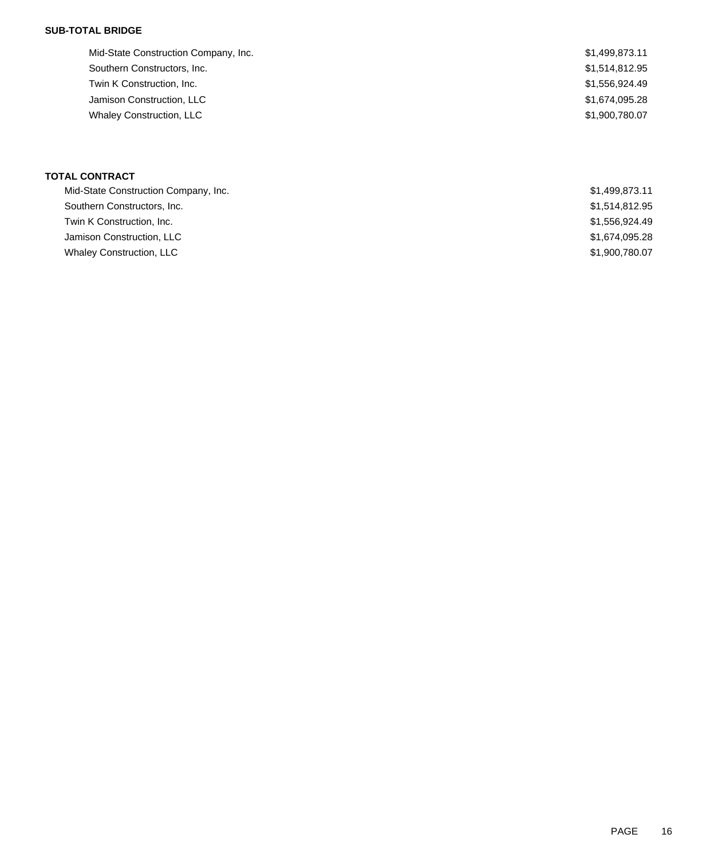### **SUB-TOTAL BRIDGE**

| Mid-State Construction Company, Inc. | \$1,499,873.11 |
|--------------------------------------|----------------|
| Southern Constructors, Inc.          | \$1,514,812.95 |
| Twin K Construction, Inc.            | \$1,556,924.49 |
| Jamison Construction, LLC            | \$1,674,095.28 |
| <b>Whaley Construction, LLC</b>      | \$1,900,780.07 |
|                                      |                |

## **TOTAL CONTRACT**

| Mid-State Construction Company, Inc. | \$1,499,873.11 |
|--------------------------------------|----------------|
| Southern Constructors, Inc.          | \$1,514,812.95 |
| Twin K Construction, Inc.            | \$1,556,924.49 |
| Jamison Construction, LLC            | \$1,674,095.28 |
| <b>Whaley Construction, LLC</b>      | \$1,900,780,07 |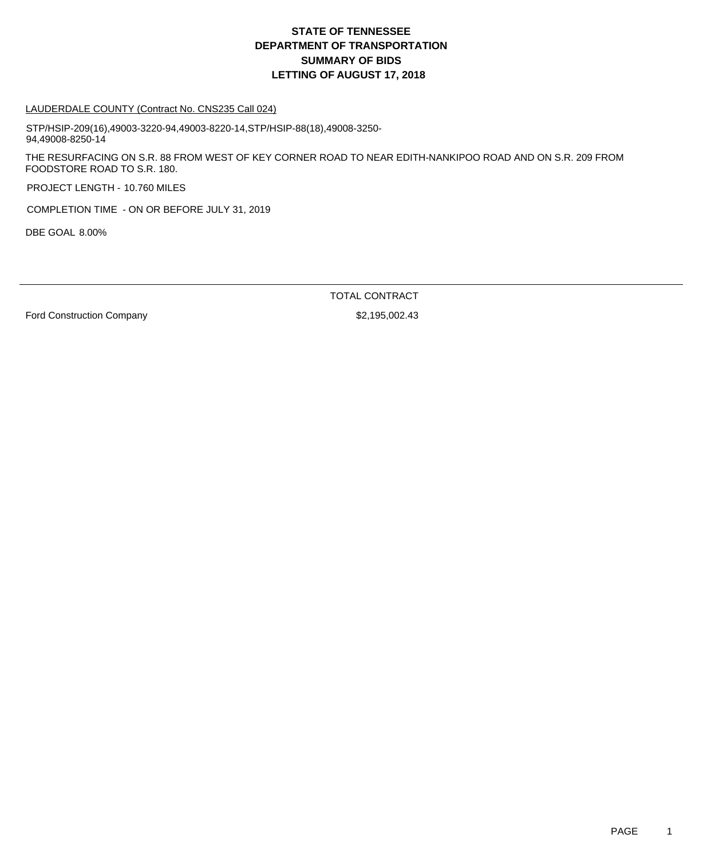## **DEPARTMENT OF TRANSPORTATION SUMMARY OF BIDS LETTING OF AUGUST 17, 2018 STATE OF TENNESSEE**

#### LAUDERDALE COUNTY (Contract No. CNS235 Call 024)

STP/HSIP-209(16),49003-3220-94,49003-8220-14,STP/HSIP-88(18),49008-3250- 94,49008-8250-14

THE RESURFACING ON S.R. 88 FROM WEST OF KEY CORNER ROAD TO NEAR EDITH-NANKIPOO ROAD AND ON S.R. 209 FROM FOODSTORE ROAD TO S.R. 180.

PROJECT LENGTH - 10.760 MILES

COMPLETION TIME - ON OR BEFORE JULY 31, 2019

DBE GOAL 8.00%

TOTAL CONTRACT

Ford Construction Company  $$2,195,002.43$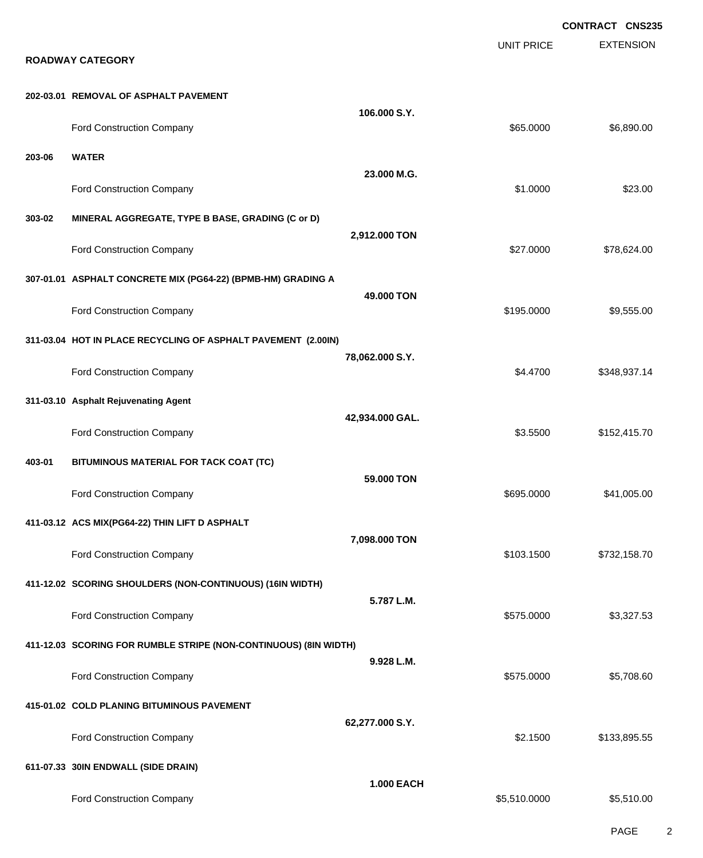**EXTENSION CONTRACT CNS235** UNIT PRICE **ROADWAY CATEGORY 202-03.01 REMOVAL OF ASPHALT PAVEMENT 106.000 S.Y.** Ford Construction Company 66,890.00 \$6,890.00 **203-06 WATER 23.000 M.G.** Ford Construction Company 623.00 **303-02 MINERAL AGGREGATE, TYPE B BASE, GRADING (C or D) 2,912.000 TON** Ford Construction Company 627.000 \$78,624.00 **307-01.01 ASPHALT CONCRETE MIX (PG64-22) (BPMB-HM) GRADING A 49.000 TON** Ford Construction Company 69,555.00 \$9,555.00 \$9,555.00 \$9,555.00 **311-03.04 HOT IN PLACE RECYCLING OF ASPHALT PAVEMENT (2.00IN) 78,062.000 S.Y.** Ford Construction Company 6348,937.14 **311-03.10 Asphalt Rejuvenating Agent 42,934.000 GAL.** Ford Construction Company **6152,415.70** \$152,415.70 **403-01 BITUMINOUS MATERIAL FOR TACK COAT (TC) 59.000 TON** Ford Construction Company 6995.000 \$41,005.00 **411-03.12 ACS MIX(PG64-22) THIN LIFT D ASPHALT 7,098.000 TON** Ford Construction Company 632,158.70 **411-12.02 SCORING SHOULDERS (NON-CONTINUOUS) (16IN WIDTH) 5.787 L.M.** Ford Construction Company 63,327.53 **411-12.03 SCORING FOR RUMBLE STRIPE (NON-CONTINUOUS) (8IN WIDTH) 9.928 L.M.** Ford Construction Company 6575.0000 \$5,708.60 **415-01.02 COLD PLANING BITUMINOUS PAVEMENT 62,277.000 S.Y.** Ford Construction Company **62.1500** \$133,895.55 **611-07.33 30IN ENDWALL (SIDE DRAIN) 1.000 EACH** Ford Construction Company 65,510.000 \$5,510.000 \$5,510.000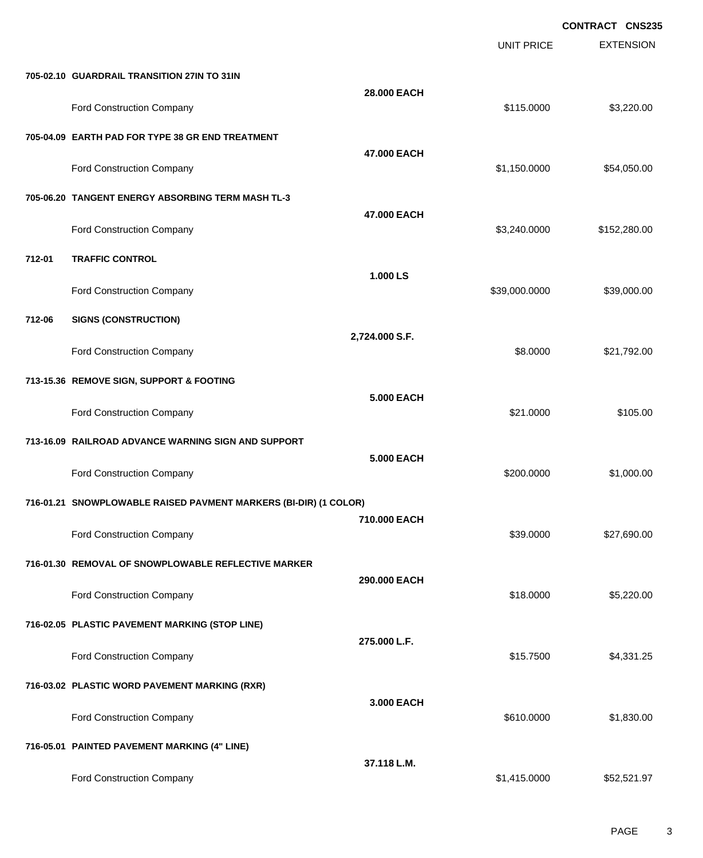|        |                                                                  |                   |                   | <b>CONTRACT CNS235</b> |
|--------|------------------------------------------------------------------|-------------------|-------------------|------------------------|
|        |                                                                  |                   | <b>UNIT PRICE</b> | <b>EXTENSION</b>       |
|        | 705-02.10 GUARDRAIL TRANSITION 27IN TO 31IN                      |                   |                   |                        |
|        | Ford Construction Company                                        | 28.000 EACH       | \$115.0000        | \$3,220.00             |
|        | 705-04.09 EARTH PAD FOR TYPE 38 GR END TREATMENT                 |                   |                   |                        |
|        | Ford Construction Company                                        | 47.000 EACH       | \$1,150.0000      | \$54,050.00            |
|        | 705-06.20 TANGENT ENERGY ABSORBING TERM MASH TL-3                |                   |                   |                        |
|        | Ford Construction Company                                        | 47.000 EACH       | \$3,240.0000      | \$152,280.00           |
| 712-01 | <b>TRAFFIC CONTROL</b>                                           |                   |                   |                        |
|        | Ford Construction Company                                        | 1.000 LS          | \$39,000.0000     | \$39,000.00            |
| 712-06 | <b>SIGNS (CONSTRUCTION)</b>                                      |                   |                   |                        |
|        | Ford Construction Company                                        | 2,724.000 S.F.    | \$8.0000          | \$21,792.00            |
|        | 713-15.36 REMOVE SIGN, SUPPORT & FOOTING                         |                   |                   |                        |
|        | Ford Construction Company                                        | <b>5.000 EACH</b> | \$21.0000         | \$105.00               |
|        | 713-16.09 RAILROAD ADVANCE WARNING SIGN AND SUPPORT              |                   |                   |                        |
|        | Ford Construction Company                                        | <b>5.000 EACH</b> | \$200.0000        | \$1,000.00             |
|        | 716-01.21 SNOWPLOWABLE RAISED PAVMENT MARKERS (BI-DIR) (1 COLOR) |                   |                   |                        |
|        | <b>Ford Construction Company</b>                                 | 710.000 EACH      | \$39.0000         | \$27,690.00            |
|        | 716-01.30 REMOVAL OF SNOWPLOWABLE REFLECTIVE MARKER              |                   |                   |                        |
|        | Ford Construction Company                                        | 290.000 EACH      | \$18.0000         | \$5,220.00             |
|        | 716-02.05 PLASTIC PAVEMENT MARKING (STOP LINE)                   |                   |                   |                        |
|        | Ford Construction Company                                        | 275.000 L.F.      | \$15.7500         | \$4,331.25             |
|        | 716-03.02 PLASTIC WORD PAVEMENT MARKING (RXR)                    |                   |                   |                        |
|        | Ford Construction Company                                        | 3.000 EACH        | \$610.0000        | \$1,830.00             |
|        | 716-05.01 PAINTED PAVEMENT MARKING (4" LINE)                     |                   |                   |                        |
|        | Ford Construction Company                                        | 37.118 L.M.       | \$1,415.0000      | \$52,521.97            |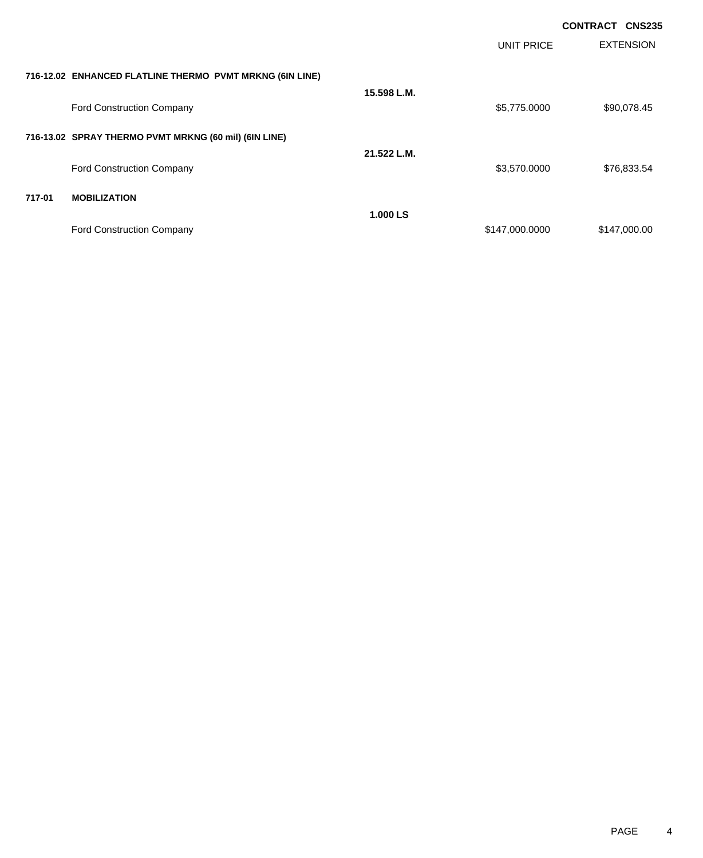|        |                                                          |             |                   | <b>CONTRACT CNS235</b> |
|--------|----------------------------------------------------------|-------------|-------------------|------------------------|
|        |                                                          |             | <b>UNIT PRICE</b> | <b>EXTENSION</b>       |
|        | 716-12.02 ENHANCED FLATLINE THERMO PVMT MRKNG (6IN LINE) |             |                   |                        |
|        |                                                          | 15.598 L.M. |                   |                        |
|        | <b>Ford Construction Company</b>                         |             | \$5,775.0000      | \$90,078.45            |
|        | 716-13.02 SPRAY THERMO PVMT MRKNG (60 mil) (6IN LINE)    |             |                   |                        |
|        |                                                          | 21.522 L.M. |                   |                        |
|        | Ford Construction Company                                |             | \$3,570.0000      | \$76,833.54            |
| 717-01 | <b>MOBILIZATION</b>                                      |             |                   |                        |
|        |                                                          | 1.000 LS    |                   |                        |
|        | <b>Ford Construction Company</b>                         |             | \$147,000.0000    | \$147,000.00           |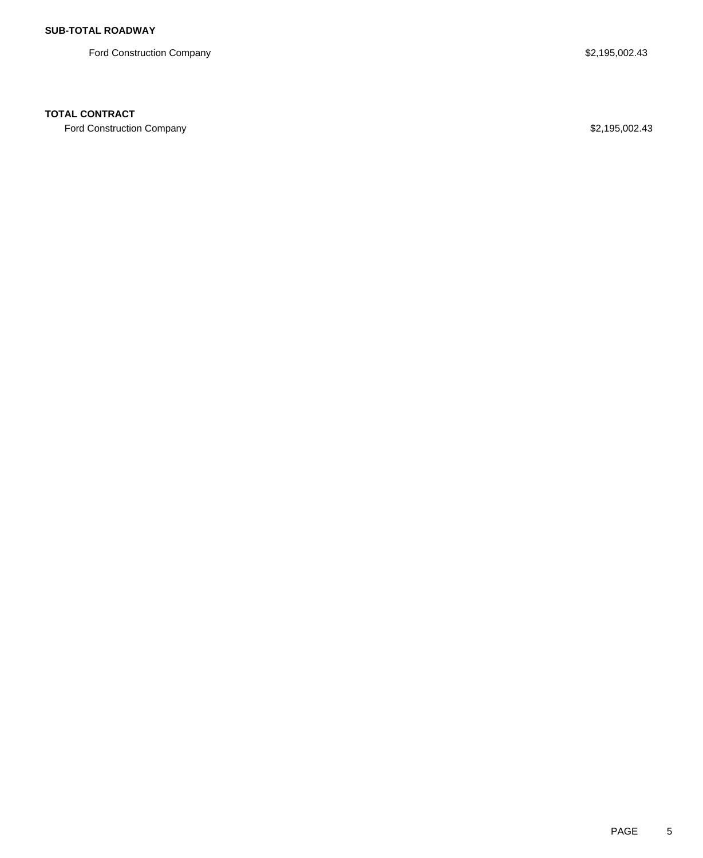Ford Construction Company **\$2,195,002.43** 

## **TOTAL CONTRACT**

Ford Construction Company **\$2,195,002.43**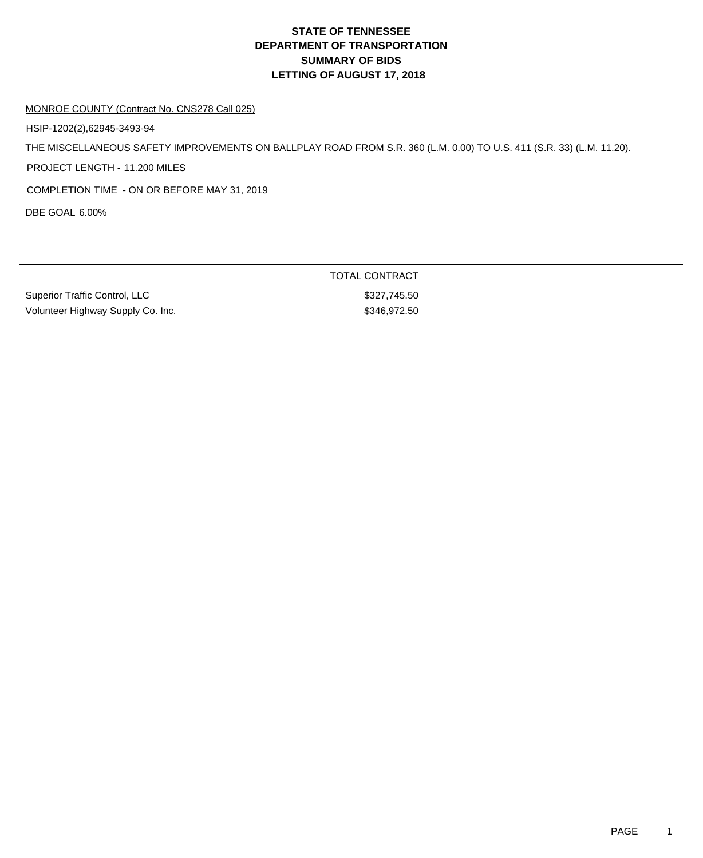# **DEPARTMENT OF TRANSPORTATION SUMMARY OF BIDS LETTING OF AUGUST 17, 2018 STATE OF TENNESSEE**

#### MONROE COUNTY (Contract No. CNS278 Call 025)

HSIP-1202(2),62945-3493-94

THE MISCELLANEOUS SAFETY IMPROVEMENTS ON BALLPLAY ROAD FROM S.R. 360 (L.M. 0.00) TO U.S. 411 (S.R. 33) (L.M. 11.20).

PROJECT LENGTH - 11.200 MILES

COMPLETION TIME - ON OR BEFORE MAY 31, 2019

DBE GOAL 6.00%

Superior Traffic Control, LLC \$327,745.50 Volunteer Highway Supply Co. Inc. 6. \$346,972.50

TOTAL CONTRACT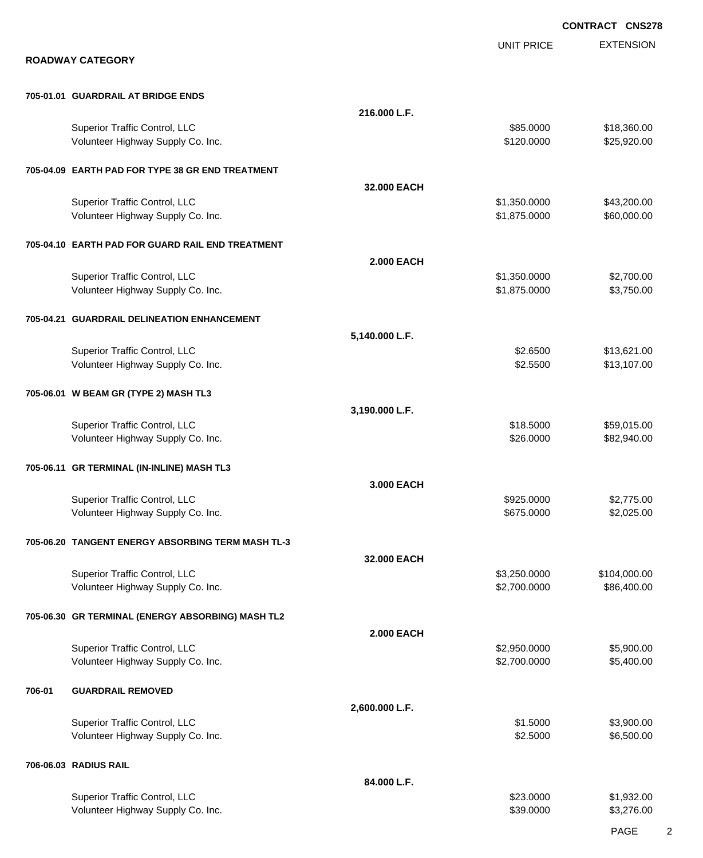|        |                                                                    |                   |                              | <b>CONTRACT CNS278</b>     |
|--------|--------------------------------------------------------------------|-------------------|------------------------------|----------------------------|
|        | <b>ROADWAY CATEGORY</b>                                            |                   | <b>UNIT PRICE</b>            | <b>EXTENSION</b>           |
|        | 705-01.01 GUARDRAIL AT BRIDGE ENDS                                 |                   |                              |                            |
|        |                                                                    | 216.000 L.F.      |                              |                            |
|        | Superior Traffic Control, LLC<br>Volunteer Highway Supply Co. Inc. |                   | \$85.0000<br>\$120.0000      | \$18,360.00<br>\$25,920.00 |
|        | 705-04.09 EARTH PAD FOR TYPE 38 GR END TREATMENT                   |                   |                              |                            |
|        |                                                                    | 32.000 EACH       |                              |                            |
|        | Superior Traffic Control, LLC<br>Volunteer Highway Supply Co. Inc. |                   | \$1,350.0000<br>\$1,875.0000 | \$43,200.00<br>\$60,000.00 |
|        | 705-04.10 EARTH PAD FOR GUARD RAIL END TREATMENT                   |                   |                              |                            |
|        |                                                                    | <b>2.000 EACH</b> |                              |                            |
|        | Superior Traffic Control, LLC<br>Volunteer Highway Supply Co. Inc. |                   | \$1,350.0000<br>\$1,875.0000 | \$2,700.00<br>\$3,750.00   |
|        | 705-04.21 GUARDRAIL DELINEATION ENHANCEMENT                        |                   |                              |                            |
|        |                                                                    | 5,140.000 L.F.    |                              |                            |
|        | Superior Traffic Control, LLC<br>Volunteer Highway Supply Co. Inc. |                   | \$2.6500<br>\$2.5500         | \$13,621.00<br>\$13,107.00 |
|        | 705-06.01 W BEAM GR (TYPE 2) MASH TL3                              |                   |                              |                            |
|        | Superior Traffic Control, LLC                                      | 3,190.000 L.F.    | \$18.5000                    | \$59,015.00                |
|        | Volunteer Highway Supply Co. Inc.                                  |                   | \$26.0000                    | \$82,940.00                |
|        | 705-06.11 GR TERMINAL (IN-INLINE) MASH TL3                         |                   |                              |                            |
|        | Superior Traffic Control, LLC                                      | 3.000 EACH        | \$925,0000                   | \$2,775.00                 |
|        | Volunteer Highway Supply Co. Inc.                                  |                   | \$675.0000                   | \$2,025.00                 |
|        | 705-06.20 TANGENT ENERGY ABSORBING TERM MASH TL-3                  |                   |                              |                            |
|        | Superior Traffic Control, LLC                                      | 32.000 EACH       | \$3,250.0000                 | \$104,000.00               |
|        | Volunteer Highway Supply Co. Inc.                                  |                   | \$2,700.0000                 | \$86,400.00                |
|        | 705-06.30 GR TERMINAL (ENERGY ABSORBING) MASH TL2                  | <b>2.000 EACH</b> |                              |                            |
|        | Superior Traffic Control, LLC                                      |                   | \$2,950.0000                 | \$5,900.00                 |
|        | Volunteer Highway Supply Co. Inc.                                  |                   | \$2,700.0000                 | \$5,400.00                 |
| 706-01 | <b>GUARDRAIL REMOVED</b>                                           |                   |                              |                            |
|        | Superior Traffic Control, LLC                                      | 2,600.000 L.F.    | \$1.5000                     | \$3,900.00                 |
|        | Volunteer Highway Supply Co. Inc.                                  |                   | \$2.5000                     | \$6,500.00                 |
|        | 706-06.03 RADIUS RAIL                                              |                   |                              |                            |
|        | Superior Traffic Control, LLC                                      | 84.000 L.F.       | \$23.0000                    | \$1,932.00                 |
|        | Volunteer Highway Supply Co. Inc.                                  |                   | \$39.0000                    | \$3,276.00                 |

PAGE 2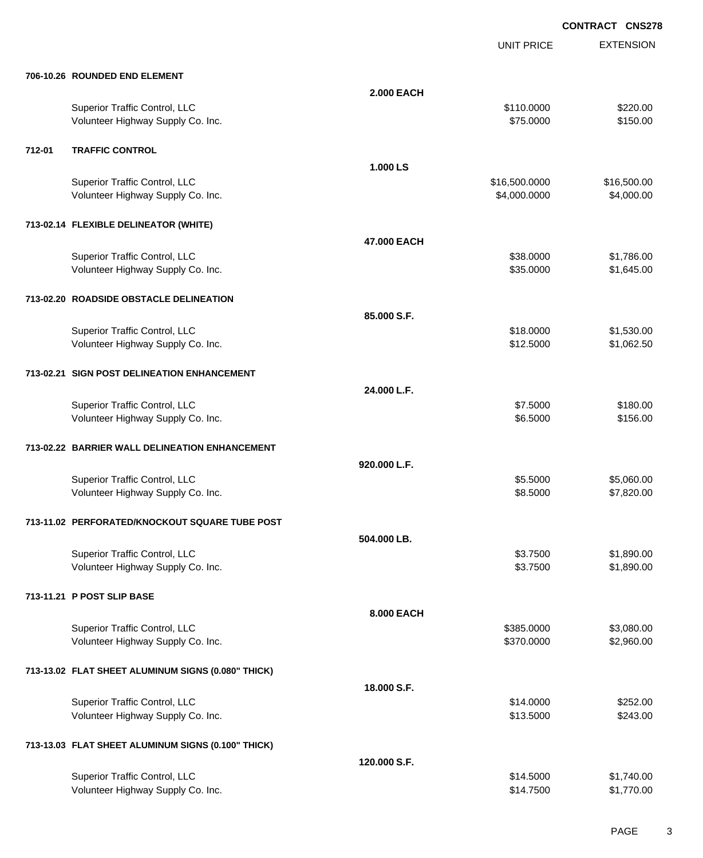UNIT PRICE EXTENSION

| 706-10.26 ROUNDED END ELEMENT |  |
|-------------------------------|--|

|        | 706-10.26 ROUNDED END ELEMENT                                      |                   |                          |                          |
|--------|--------------------------------------------------------------------|-------------------|--------------------------|--------------------------|
|        |                                                                    | <b>2.000 EACH</b> |                          |                          |
|        | Superior Traffic Control, LLC                                      |                   | \$110.0000               | \$220.00                 |
|        | Volunteer Highway Supply Co. Inc.                                  |                   | \$75.0000                | \$150.00                 |
| 712-01 | <b>TRAFFIC CONTROL</b>                                             |                   |                          |                          |
|        |                                                                    | 1.000 LS          |                          |                          |
|        | Superior Traffic Control, LLC                                      |                   | \$16,500.0000            | \$16,500.00              |
|        | Volunteer Highway Supply Co. Inc.                                  |                   | \$4,000.0000             | \$4,000.00               |
|        | 713-02.14 FLEXIBLE DELINEATOR (WHITE)                              |                   |                          |                          |
|        |                                                                    | 47.000 EACH       |                          |                          |
|        | Superior Traffic Control, LLC                                      |                   | \$38.0000                | \$1,786.00               |
|        | Volunteer Highway Supply Co. Inc.                                  |                   | \$35.0000                | \$1,645.00               |
|        | 713-02.20 ROADSIDE OBSTACLE DELINEATION                            |                   |                          |                          |
|        |                                                                    | 85.000 S.F.       |                          |                          |
|        | Superior Traffic Control, LLC                                      |                   | \$18.0000                | \$1,530.00               |
|        | Volunteer Highway Supply Co. Inc.                                  |                   | \$12.5000                | \$1,062.50               |
|        | 713-02.21 SIGN POST DELINEATION ENHANCEMENT                        |                   |                          |                          |
|        |                                                                    | 24.000 L.F.       |                          |                          |
|        | Superior Traffic Control, LLC                                      |                   | \$7.5000                 | \$180.00                 |
|        | Volunteer Highway Supply Co. Inc.                                  |                   | \$6.5000                 | \$156.00                 |
|        | 713-02.22 BARRIER WALL DELINEATION ENHANCEMENT                     |                   |                          |                          |
|        |                                                                    | 920.000 L.F.      |                          |                          |
|        | Superior Traffic Control, LLC                                      |                   | \$5.5000                 | \$5,060.00               |
|        | Volunteer Highway Supply Co. Inc.                                  |                   | \$8.5000                 | \$7,820.00               |
|        | 713-11.02 PERFORATED/KNOCKOUT SQUARE TUBE POST                     |                   |                          |                          |
|        |                                                                    | 504.000 LB.       |                          |                          |
|        | Superior Traffic Control, LLC                                      |                   | \$3.7500                 | \$1,890.00               |
|        | Volunteer Highway Supply Co. Inc.                                  |                   | \$3.7500                 | \$1,890.00               |
|        | 713-11.21 P POST SLIP BASE                                         |                   |                          |                          |
|        |                                                                    | 8.000 EACH        |                          |                          |
|        |                                                                    |                   |                          |                          |
|        | Superior Traffic Control, LLC<br>Volunteer Highway Supply Co. Inc. |                   | \$385.0000<br>\$370.0000 | \$3,080.00<br>\$2,960.00 |
|        |                                                                    |                   |                          |                          |
|        | 713-13.02 FLAT SHEET ALUMINUM SIGNS (0.080" THICK)                 |                   |                          |                          |
|        |                                                                    | 18.000 S.F.       |                          |                          |
|        | Superior Traffic Control, LLC                                      |                   | \$14.0000                | \$252.00                 |
|        | Volunteer Highway Supply Co. Inc.                                  |                   | \$13.5000                | \$243.00                 |
|        | 713-13.03 FLAT SHEET ALUMINUM SIGNS (0.100" THICK)                 |                   |                          |                          |
|        |                                                                    | 120.000 S.F.      |                          |                          |
|        | Superior Traffic Control, LLC                                      |                   | \$14.5000                | \$1,740.00               |
|        | Volunteer Highway Supply Co. Inc.                                  |                   | \$14.7500                | \$1,770.00               |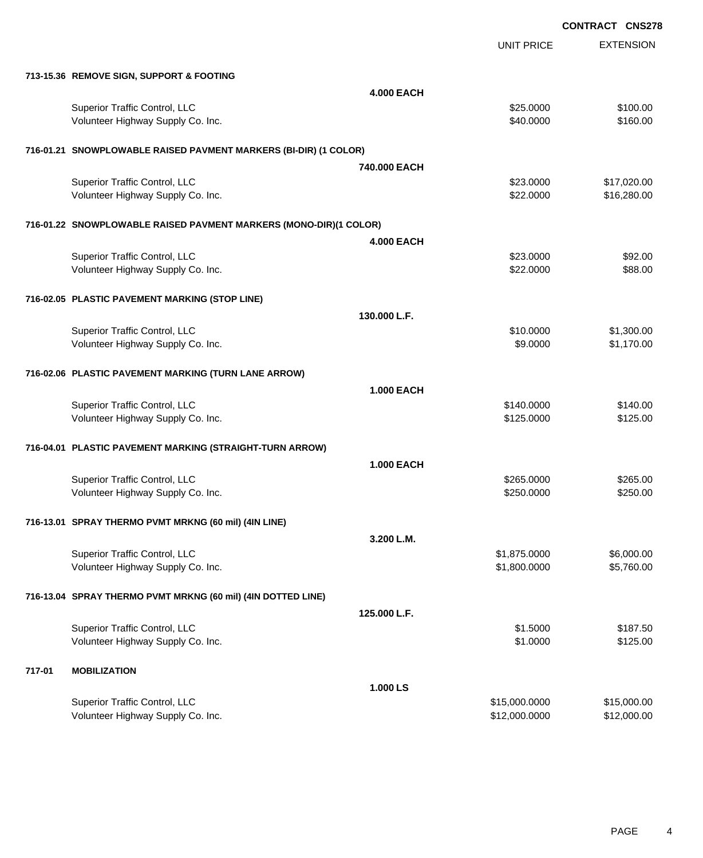EXTENSION **CONTRACT CNS278** UNIT PRICE **713-15.36 REMOVE SIGN, SUPPORT & FOOTING 4.000 EACH** Superior Traffic Control, LLC 6100.00 \$100.00 Volunteer Highway Supply Co. Inc. **\$10.000** \$160.00 **716-01.21 SNOWPLOWABLE RAISED PAVMENT MARKERS (BI-DIR) (1 COLOR) 740.000 EACH** Superior Traffic Control, LLC 6 and the state of the state of the state of the state of the state of the state of the state of the state of the state of the state of the state of the state of the state of the state of the Volunteer Highway Supply Co. Inc. 6. The Contract of Contract Contract Contract Contract Contract Contract Contract Contract Contract Contract Contract Contract Contract Contract Contract Contract Contract Contract Contrac **716-01.22 SNOWPLOWABLE RAISED PAVMENT MARKERS (MONO-DIR)(1 COLOR) 4.000 EACH** Superior Traffic Control, LLC 632.000 \$92.00 Volunteer Highway Supply Co. Inc. **\$22.0000** \$88.00 **716-02.05 PLASTIC PAVEMENT MARKING (STOP LINE) 130.000 L.F.** Superior Traffic Control, LLC 6 and the state of the state of the state of the state of the state of the state of the state of the state of the state of the state of the state of the state of the state of the state of the Volunteer Highway Supply Co. Inc. 6. The Contract of Contract Contract Contract Contract Contract Contract Contract Contract Contract Contract Contract Contract Contract Contract Contract Contract Contract Contract Contrac **716-02.06 PLASTIC PAVEMENT MARKING (TURN LANE ARROW) 1.000 EACH** Superior Traffic Control, LLC 6140.000 \$140.000 \$140.000 \$140.000 Volunteer Highway Supply Co. Inc. 63125.000 \$125.000 \$125.000 \$125.000 **716-04.01 PLASTIC PAVEMENT MARKING (STRAIGHT-TURN ARROW) 1.000 EACH** Superior Traffic Control, LLC 63265.000 \$265.000 \$265.000 \$265.000 Volunteer Highway Supply Co. Inc. 6250.000 \$250.000 \$250.000 \$250.000 \$250.000 **716-13.01 SPRAY THERMO PVMT MRKNG (60 mil) (4IN LINE) 3.200 L.M.** Superior Traffic Control, LLC 6,000.00 Volunteer Highway Supply Co. Inc. \$1,800.0000 \$5,760.00 **716-13.04 SPRAY THERMO PVMT MRKNG (60 mil) (4IN DOTTED LINE) 125.000 L.F.** Superior Traffic Control, LLC 6187.50 Volunteer Highway Supply Co. Inc. 6125.00 \$125.00 **717-01 MOBILIZATION 1.000 LS** Superior Traffic Control, LLC 6. 2012 12:00:000 \$15,000.000 \$15,000.000 \$15,000.000 \$15,000.00

Volunteer Highway Supply Co. Inc. **\$12,000.000 \$12,000.000 \$12,000.000** \$12,000.000

PAGE 4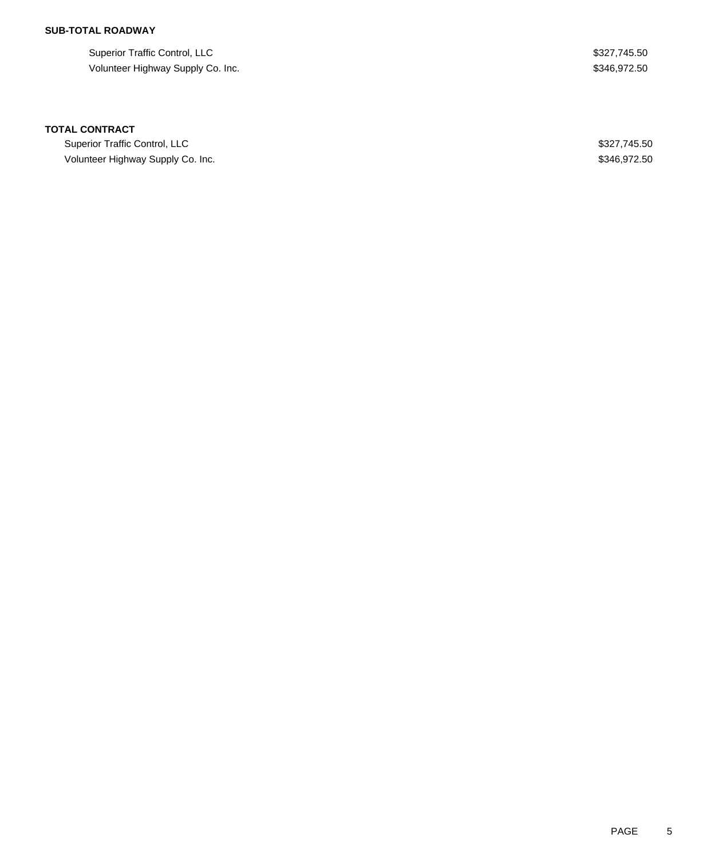## **SUB-TOTAL ROADWAY**

Superior Traffic Control, LLC \$327,745.50 Volunteer Highway Supply Co. Inc. 6. 2012 19:346,972.50

### **TOTAL CONTRACT**

Superior Traffic Control, LLC **\$327,745.50** Volunteer Highway Supply Co. Inc. 6. The Contract of the Contract of the Contract of the Contract of the Contract of the Contract of the Contract of the Contract of the Contract of the Contract of the Contract of the Contr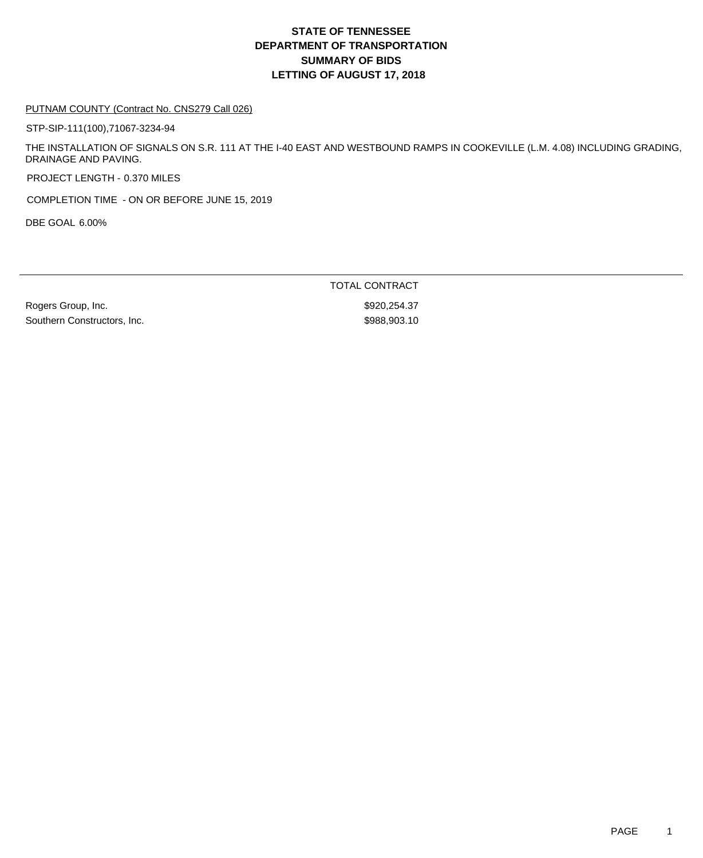## **DEPARTMENT OF TRANSPORTATION SUMMARY OF BIDS LETTING OF AUGUST 17, 2018 STATE OF TENNESSEE**

#### PUTNAM COUNTY (Contract No. CNS279 Call 026)

STP-SIP-111(100),71067-3234-94

THE INSTALLATION OF SIGNALS ON S.R. 111 AT THE I-40 EAST AND WESTBOUND RAMPS IN COOKEVILLE (L.M. 4.08) INCLUDING GRADING, DRAINAGE AND PAVING.

PROJECT LENGTH - 0.370 MILES

COMPLETION TIME - ON OR BEFORE JUNE 15, 2019

DBE GOAL 6.00%

Rogers Group, Inc. 6. 2008. The Second Second Second Second Second Second Second Second Second Second Second S Southern Constructors, Inc. 6. The Southern Constructors, Inc. 6. The Southern Constructors, Inc.

TOTAL CONTRACT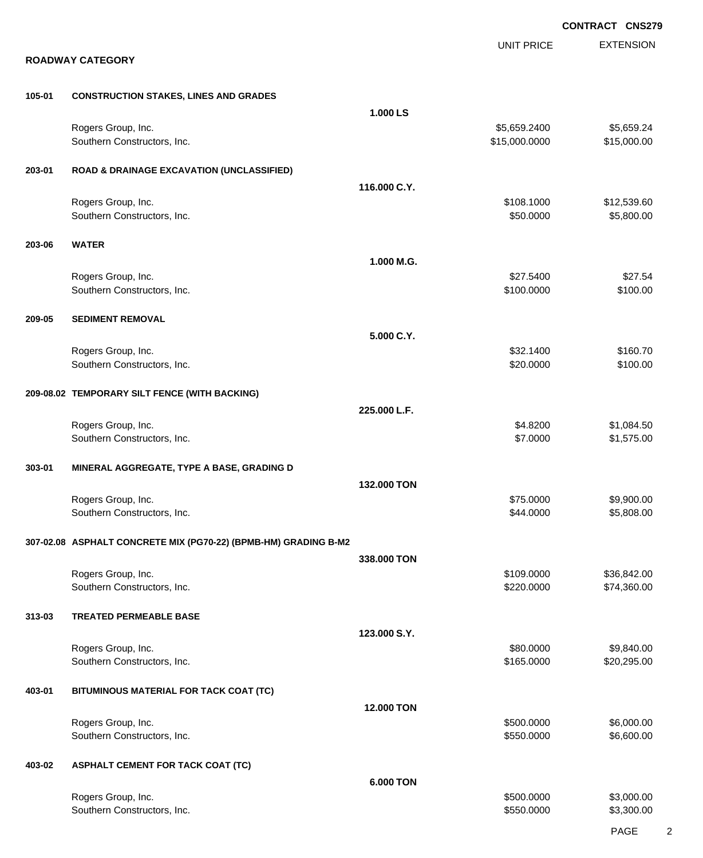|        |                                                                 |                  | <b>CONTRACT CNS279</b>        |                            |
|--------|-----------------------------------------------------------------|------------------|-------------------------------|----------------------------|
|        | <b>ROADWAY CATEGORY</b>                                         |                  | <b>UNIT PRICE</b>             | <b>EXTENSION</b>           |
| 105-01 | <b>CONSTRUCTION STAKES, LINES AND GRADES</b>                    |                  |                               |                            |
|        |                                                                 | 1.000 LS         |                               |                            |
|        | Rogers Group, Inc.<br>Southern Constructors, Inc.               |                  | \$5,659.2400<br>\$15,000.0000 | \$5,659.24<br>\$15,000.00  |
| 203-01 | <b>ROAD &amp; DRAINAGE EXCAVATION (UNCLASSIFIED)</b>            |                  |                               |                            |
|        |                                                                 | 116.000 C.Y.     |                               |                            |
|        | Rogers Group, Inc.<br>Southern Constructors, Inc.               |                  | \$108.1000<br>\$50.0000       | \$12,539.60<br>\$5,800.00  |
| 203-06 | <b>WATER</b>                                                    |                  |                               |                            |
|        |                                                                 | 1.000 M.G.       |                               |                            |
|        | Rogers Group, Inc.<br>Southern Constructors, Inc.               |                  | \$27.5400<br>\$100.0000       | \$27.54<br>\$100.00        |
| 209-05 | <b>SEDIMENT REMOVAL</b>                                         |                  |                               |                            |
|        |                                                                 | 5.000 C.Y.       |                               |                            |
|        | Rogers Group, Inc.<br>Southern Constructors, Inc.               |                  | \$32.1400<br>\$20.0000        | \$160.70<br>\$100.00       |
|        | 209-08.02 TEMPORARY SILT FENCE (WITH BACKING)                   |                  |                               |                            |
|        |                                                                 | 225.000 L.F.     |                               |                            |
|        | Rogers Group, Inc.<br>Southern Constructors, Inc.               |                  | \$4.8200<br>\$7.0000          | \$1,084.50<br>\$1,575.00   |
| 303-01 | MINERAL AGGREGATE, TYPE A BASE, GRADING D                       |                  |                               |                            |
|        | Rogers Group, Inc.                                              | 132.000 TON      | \$75,0000                     | \$9,900.00                 |
|        | Southern Constructors, Inc.                                     |                  | \$44.0000                     | \$5,808.00                 |
|        | 307-02.08 ASPHALT CONCRETE MIX (PG70-22) (BPMB-HM) GRADING B-M2 |                  |                               |                            |
|        |                                                                 | 338.000 TON      | \$109.0000                    |                            |
|        | Rogers Group, Inc.<br>Southern Constructors, Inc.               |                  | \$220.0000                    | \$36,842.00<br>\$74,360.00 |
| 313-03 | <b>TREATED PERMEABLE BASE</b>                                   |                  |                               |                            |
|        | Rogers Group, Inc.                                              | 123.000 S.Y.     | \$80.0000                     | \$9,840.00                 |
|        | Southern Constructors, Inc.                                     |                  | \$165.0000                    | \$20,295.00                |
| 403-01 | BITUMINOUS MATERIAL FOR TACK COAT (TC)                          |                  |                               |                            |
|        |                                                                 | 12.000 TON       |                               |                            |
|        | Rogers Group, Inc.<br>Southern Constructors, Inc.               |                  | \$500.0000<br>\$550.0000      | \$6,000.00<br>\$6,600.00   |
| 403-02 | <b>ASPHALT CEMENT FOR TACK COAT (TC)</b>                        |                  |                               |                            |
|        |                                                                 | <b>6.000 TON</b> |                               |                            |
|        | Rogers Group, Inc.<br>Southern Constructors, Inc.               |                  | \$500.0000<br>\$550.0000      | \$3,000.00<br>\$3,300.00   |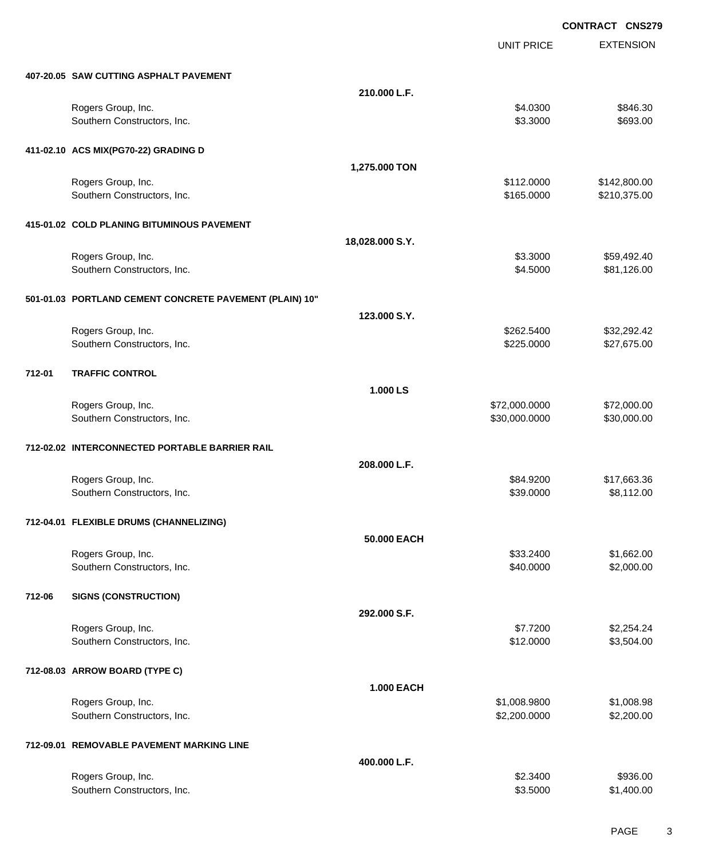EXTENSION **CONTRACT CNS279** UNIT PRICE **407-20.05 SAW CUTTING ASPHALT PAVEMENT 210.000 L.F.** Rogers Group, Inc. \$846.30 \$8546.30 \$84.0300 \$846.30 Southern Constructors, Inc. 6693.00 \$693.00 \$693.00 \$693.00 **411-02.10 ACS MIX(PG70-22) GRADING D 1,275.000 TON** Rogers Group, Inc. 6. 2010. The State of the State of the State of the State of State of State of State of State of State of State of State of State of State of State of State of State of State of State of State of State o Southern Constructors, Inc. 6. The Constructors, Inc. 6. The Constructors, Inc. 6. The Constructors, Inc. 6. The Constructors of the Constructors, Inc. 6. The Constructors, Inc. 6. The Constructors, Inc. 6. The Constructor **415-01.02 COLD PLANING BITUMINOUS PAVEMENT 18,028.000 S.Y.** Rogers Group, Inc. \$59,492.40 Southern Constructors, Inc. 681,126.00 \$81,126.00 \$81,126.00 **501-01.03 PORTLAND CEMENT CONCRETE PAVEMENT (PLAIN) 10" 123.000 S.Y.** Rogers Group, Inc. \$32,292.42 \$262.5400 \$32,292.42 Southern Constructors, Inc. 6. The Southern Constructors, Inc. 6225.0000 \$27,675.00 **712-01 TRAFFIC CONTROL 1.000 LS** Rogers Group, Inc. \$72,000.000 \$72,000.000 \$72,000.000 \$72,000.000 \$72,000.000 \$72,000.00 Southern Constructors, Inc. 6. The Constructors of the Constructors, Inc. 6. The Constructors, Inc. 6. The Constructors of the Constructors of the Constructors of the Constructors of the Constructors of the Constructors of **712-02.02 INTERCONNECTED PORTABLE BARRIER RAIL 208.000 L.F.** Rogers Group, Inc. \$84.9200 \$17,663.36 Southern Constructors, Inc. 6. The Southern Constructors, Inc. 6. The Southern Constructors, Inc. 6. The Southern Constructors, Inc. 6. The Southern Constructors, Inc. 6. The Southern Constructors, Inc. 6. The Southern Con **712-04.01 FLEXIBLE DRUMS (CHANNELIZING) 50.000 EACH** Rogers Group, Inc. \$33.2400 \$1,662.00 \$1,662.00 \$1,662.00 \$1,662.00 \$1,662.00 \$1,662.00 \$1,662.00 \$1,662.00 \$1,662.00 Southern Constructors, Inc. 6. The Constructors of the Constructors, Inc. 6. The Constructors, Inc. 6. The Constructors of the Constructors of the Constructors, Inc. 6. The Constructors of the Constructors, Inc. 6. The Con **712-06 SIGNS (CONSTRUCTION) 292.000 S.F.** Rogers Group, Inc. \$2,254.24 \$2,254.24 \$2,254.24 \$1,2500 \$2,254.24 Southern Constructors, Inc. 6. The Southern Constructors, Inc. 6. The Southern Constructors, Inc. 6. The Southern Constructors, Inc. 6. The Southern Constructors, Inc. 6. The Southern Constructors, Inc. 6. The Southern Con **712-08.03 ARROW BOARD (TYPE C) 1.000 EACH** Rogers Group, Inc. \$1,008.9800 \$1,008.9800 \$1,008.9800 \$1,008.9800 \$1,008.9800 \$1,008.98 Southern Constructors, Inc. 6. The Constructors of the Constructors, Inc. 6. The Constructors, Inc. 6. S2,200.000 \$2,200.000 \$2,200.00 **712-09.01 REMOVABLE PAVEMENT MARKING LINE 400.000 L.F.** Rogers Group, Inc. \$936.00 \$936.00 \$936.00 \$936.00 \$936.00 \$936.00 \$936.00 \$936.00 \$936.00 \$936.00 \$936.00 \$936 Southern Constructors, Inc. 6. The Southern Constructors, Inc. 6. The Southern Constructors, Inc. 6. The Southern Constructors, Inc. 6. The Southern Constructors, Inc. 6. The Southern Constructors, Inc. 6. The Southern Con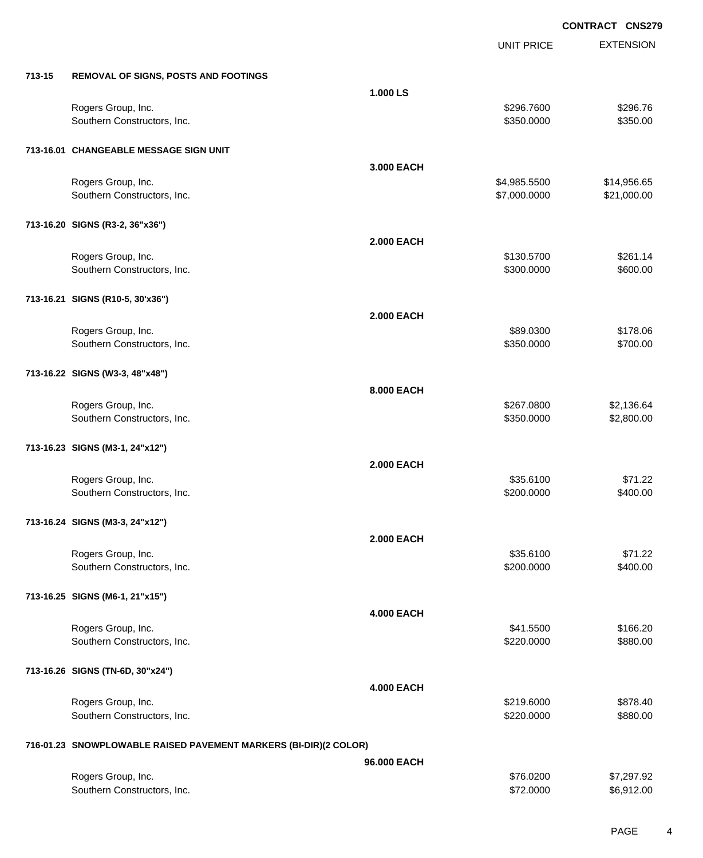|        |                                                                  |                   | UNIT PRICE   | <b>EXTENSION</b> |
|--------|------------------------------------------------------------------|-------------------|--------------|------------------|
| 713-15 | <b>REMOVAL OF SIGNS, POSTS AND FOOTINGS</b>                      |                   |              |                  |
|        |                                                                  | 1.000 LS          |              |                  |
|        | Rogers Group, Inc.                                               |                   | \$296.7600   | \$296.76         |
|        | Southern Constructors, Inc.                                      |                   | \$350.0000   | \$350.00         |
|        | 713-16.01 CHANGEABLE MESSAGE SIGN UNIT                           |                   |              |                  |
|        |                                                                  | 3.000 EACH        |              |                  |
|        | Rogers Group, Inc.                                               |                   | \$4,985.5500 | \$14,956.65      |
|        | Southern Constructors, Inc.                                      |                   | \$7,000.0000 | \$21,000.00      |
|        | 713-16.20 SIGNS (R3-2, 36"x36")                                  |                   |              |                  |
|        |                                                                  | <b>2.000 EACH</b> |              |                  |
|        | Rogers Group, Inc.                                               |                   | \$130.5700   | \$261.14         |
|        | Southern Constructors, Inc.                                      |                   | \$300.0000   | \$600.00         |
|        | 713-16.21 SIGNS (R10-5, 30'x36")                                 |                   |              |                  |
|        |                                                                  | <b>2.000 EACH</b> |              |                  |
|        | Rogers Group, Inc.                                               |                   | \$89.0300    | \$178.06         |
|        | Southern Constructors, Inc.                                      |                   | \$350.0000   | \$700.00         |
|        | 713-16.22 SIGNS (W3-3, 48"x48")                                  |                   |              |                  |
|        |                                                                  | 8.000 EACH        |              |                  |
|        | Rogers Group, Inc.                                               |                   | \$267.0800   | \$2,136.64       |
|        | Southern Constructors, Inc.                                      |                   | \$350.0000   | \$2,800.00       |
|        | 713-16.23 SIGNS (M3-1, 24"x12")                                  |                   |              |                  |
|        |                                                                  | <b>2.000 EACH</b> |              |                  |
|        | Rogers Group, Inc.                                               |                   | \$35.6100    | \$71.22          |
|        | Southern Constructors, Inc.                                      |                   | \$200.0000   | \$400.00         |
|        | 713-16.24 SIGNS (M3-3, 24"x12")                                  |                   |              |                  |
|        |                                                                  | <b>2.000 EACH</b> |              |                  |
|        | Rogers Group, Inc.                                               |                   | \$35.6100    | \$71.22          |
|        | Southern Constructors, Inc.                                      |                   | \$200.0000   | \$400.00         |
|        | 713-16.25 SIGNS (M6-1, 21"x15")                                  |                   |              |                  |
|        |                                                                  | <b>4.000 EACH</b> |              |                  |
|        | Rogers Group, Inc.                                               |                   | \$41.5500    | \$166.20         |
|        | Southern Constructors, Inc.                                      |                   | \$220.0000   | \$880.00         |
|        | 713-16.26 SIGNS (TN-6D, 30"x24")                                 |                   |              |                  |
|        |                                                                  | <b>4.000 EACH</b> |              |                  |
|        | Rogers Group, Inc.                                               |                   | \$219.6000   | \$878.40         |
|        | Southern Constructors, Inc.                                      |                   | \$220.0000   | \$880.00         |
|        | 716-01.23 SNOWPLOWABLE RAISED PAVEMENT MARKERS (BI-DIR)(2 COLOR) |                   |              |                  |
|        |                                                                  | 96.000 EACH       |              |                  |
|        | Rogers Group, Inc.                                               |                   | \$76.0200    | \$7,297.92       |
|        | Southern Constructors, Inc.                                      |                   | \$72.0000    | \$6,912.00       |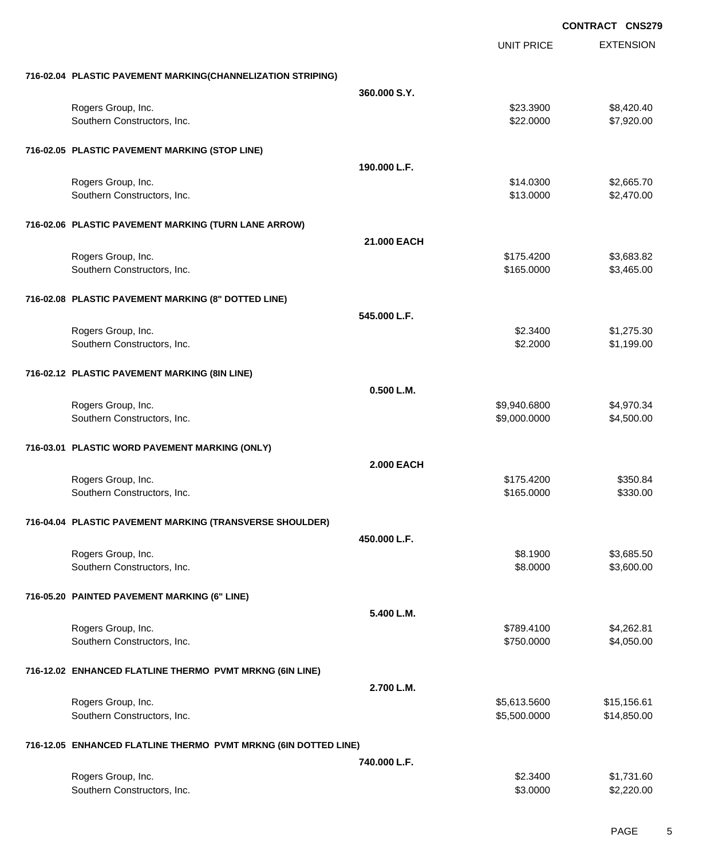**EXTENSION CONTRACT CNS279** UNIT PRICE **716-02.04 PLASTIC PAVEMENT MARKING(CHANNELIZATION STRIPING) 360.000 S.Y.** Rogers Group, Inc. \$23.3900 \$8,420.40 Southern Constructors, Inc. 6. The Constructors of the Constructors, Inc. 6. The Constructors, Inc. 6. The Constructors of the Constructors of the Constructors of the Constructors of the Constructors of the Constructors of **716-02.05 PLASTIC PAVEMENT MARKING (STOP LINE) 190.000 L.F.** Rogers Group, Inc. \$14.0300 \$2,665.70 Southern Constructors, Inc. 6. The Southern Constructors, Inc. 6. The Southern Constructors, Inc. 6. The Southern Constructors, Inc. 6. The Southern Constructors, Inc. 6. The Southern Constructors, Inc. 6. The Southern Con **716-02.06 PLASTIC PAVEMENT MARKING (TURN LANE ARROW) 21.000 EACH** Rogers Group, Inc. \$175.4200 \$3,683.82 Southern Constructors, Inc. 6. The Constructors of the Constructors, Inc. 6. The Constructors, Inc. 6. Sample 3,465.000 \$3,465.000 \$3,465.000 \$3,465.00 **716-02.08 PLASTIC PAVEMENT MARKING (8" DOTTED LINE) 545.000 L.F.** Rogers Group, Inc. \$1,275.30 Southern Constructors, Inc. 6. 2000 \$1,199.00 \$1,199.00 \$1,199.00 \$1,199.00 \$1,199.00 \$1,199.00 \$1,199.00 \$1,199.00 \$1,199.00 \$1,199.00 \$1,199.00 \$1,199.00 \$1,199.00 \$1,199.00 \$1,199.00 \$1,199.00 \$1,199.00 \$1,199.00 \$1,199 **716-02.12 PLASTIC PAVEMENT MARKING (8IN LINE) 0.500 L.M.** Rogers Group, Inc. \$9,940.6800 \$4,970.34 Southern Constructors, Inc. 6. The Constructors of the Constructors, Inc. 6. The Constructors, Inc. 6. The Constructors of the Constructors of the Constructors of the Constructors of the Constructors of the Constructors of **716-03.01 PLASTIC WORD PAVEMENT MARKING (ONLY) 2.000 EACH** Rogers Group, Inc. \$175.4200 \$350.84 Southern Constructors, Inc. 6330.00 \$330.00 \$330.00 \$330.00 **716-04.04 PLASTIC PAVEMENT MARKING (TRANSVERSE SHOULDER) 450.000 L.F.** Rogers Group, Inc. \$8.1900 \$3,685.50 Southern Constructors, Inc. 6. The Constructors, Inc. 6. The Constructors, Inc. 6. The Constructors, Inc. 6. Sa **716-05.20 PAINTED PAVEMENT MARKING (6" LINE) 5.400 L.M.** Rogers Group, Inc. \$1,262.81 \$1,262.81 \$1,262.81 \$789.4100 \$4,262.81 Southern Constructors, Inc. 66 and the state of the state of the state of the state of the state of the state of the state of the state of the state of the state of the state of the state of the state of the state of the s

#### **716-12.02 ENHANCED FLATLINE THERMO PVMT MRKNG (6IN LINE)**

|                                                                 | 2.700 L.M. |              |             |
|-----------------------------------------------------------------|------------|--------------|-------------|
| Rogers Group, Inc.                                              |            | \$5,613.5600 | \$15,156.61 |
| Southern Constructors, Inc.                                     |            | \$5.500.0000 | \$14,850.00 |
| 716-12.05 ENHANCED FLATLINE THERMO PVMT MRKNG (6IN DOTTED LINE) |            |              |             |

|                             | 740.000 L.F. |            |
|-----------------------------|--------------|------------|
| Rogers Group, Inc.          | \$2,3400     | \$1,731.60 |
| Southern Constructors, Inc. | \$3,0000     | \$2,220.00 |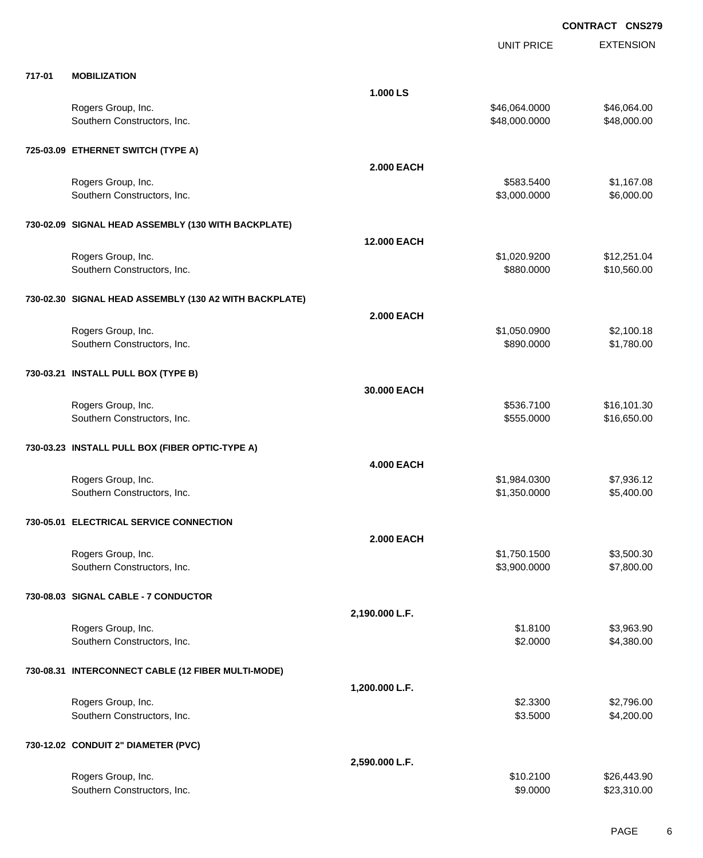|        |                                                        |                    | <b>UNIT PRICE</b> | <b>EXTENSION</b> |
|--------|--------------------------------------------------------|--------------------|-------------------|------------------|
| 717-01 | <b>MOBILIZATION</b>                                    |                    |                   |                  |
|        |                                                        | 1.000 LS           |                   |                  |
|        | Rogers Group, Inc.                                     |                    | \$46,064.0000     | \$46,064.00      |
|        | Southern Constructors, Inc.                            |                    | \$48,000.0000     | \$48,000.00      |
|        | 725-03.09 ETHERNET SWITCH (TYPE A)                     |                    |                   |                  |
|        |                                                        | <b>2.000 EACH</b>  |                   |                  |
|        | Rogers Group, Inc.                                     |                    | \$583.5400        | \$1,167.08       |
|        | Southern Constructors, Inc.                            |                    | \$3,000.0000      | \$6,000.00       |
|        | 730-02.09 SIGNAL HEAD ASSEMBLY (130 WITH BACKPLATE)    |                    |                   |                  |
|        |                                                        | <b>12.000 EACH</b> |                   |                  |
|        | Rogers Group, Inc.                                     |                    | \$1,020.9200      | \$12,251.04      |
|        | Southern Constructors, Inc.                            |                    | \$880.0000        | \$10,560.00      |
|        | 730-02.30 SIGNAL HEAD ASSEMBLY (130 A2 WITH BACKPLATE) |                    |                   |                  |
|        |                                                        | <b>2.000 EACH</b>  |                   |                  |
|        | Rogers Group, Inc.                                     |                    | \$1,050.0900      | \$2,100.18       |
|        | Southern Constructors, Inc.                            |                    | \$890.0000        | \$1,780.00       |
|        | 730-03.21 INSTALL PULL BOX (TYPE B)                    |                    |                   |                  |
|        |                                                        | 30.000 EACH        |                   |                  |
|        | Rogers Group, Inc.                                     |                    | \$536.7100        | \$16,101.30      |
|        | Southern Constructors, Inc.                            |                    | \$555.0000        | \$16,650.00      |
|        | 730-03.23 INSTALL PULL BOX (FIBER OPTIC-TYPE A)        |                    |                   |                  |
|        |                                                        | <b>4.000 EACH</b>  |                   |                  |
|        | Rogers Group, Inc.                                     |                    | \$1,984.0300      | \$7,936.12       |
|        | Southern Constructors, Inc.                            |                    | \$1,350.0000      | \$5,400.00       |
|        | 730-05.01 ELECTRICAL SERVICE CONNECTION                |                    |                   |                  |
|        |                                                        | <b>2.000 EACH</b>  |                   |                  |
|        | Rogers Group, Inc.                                     |                    | \$1,750.1500      | \$3,500.30       |
|        | Southern Constructors, Inc.                            |                    | \$3,900.0000      | \$7,800.00       |
|        | 730-08.03 SIGNAL CABLE - 7 CONDUCTOR                   |                    |                   |                  |
|        |                                                        | 2,190.000 L.F.     |                   |                  |
|        | Rogers Group, Inc.                                     |                    | \$1.8100          | \$3,963.90       |
|        | Southern Constructors, Inc.                            |                    | \$2.0000          | \$4,380.00       |
|        | 730-08.31 INTERCONNECT CABLE (12 FIBER MULTI-MODE)     |                    |                   |                  |
|        |                                                        | 1,200.000 L.F.     |                   |                  |
|        | Rogers Group, Inc.                                     |                    | \$2.3300          | \$2,796.00       |
|        | Southern Constructors, Inc.                            |                    | \$3.5000          | \$4,200.00       |
|        | 730-12.02 CONDUIT 2" DIAMETER (PVC)                    |                    |                   |                  |
|        |                                                        | 2,590.000 L.F.     |                   |                  |
|        | Rogers Group, Inc.                                     |                    | \$10.2100         | \$26,443.90      |
|        | Southern Constructors, Inc.                            |                    | \$9.0000          | \$23,310.00      |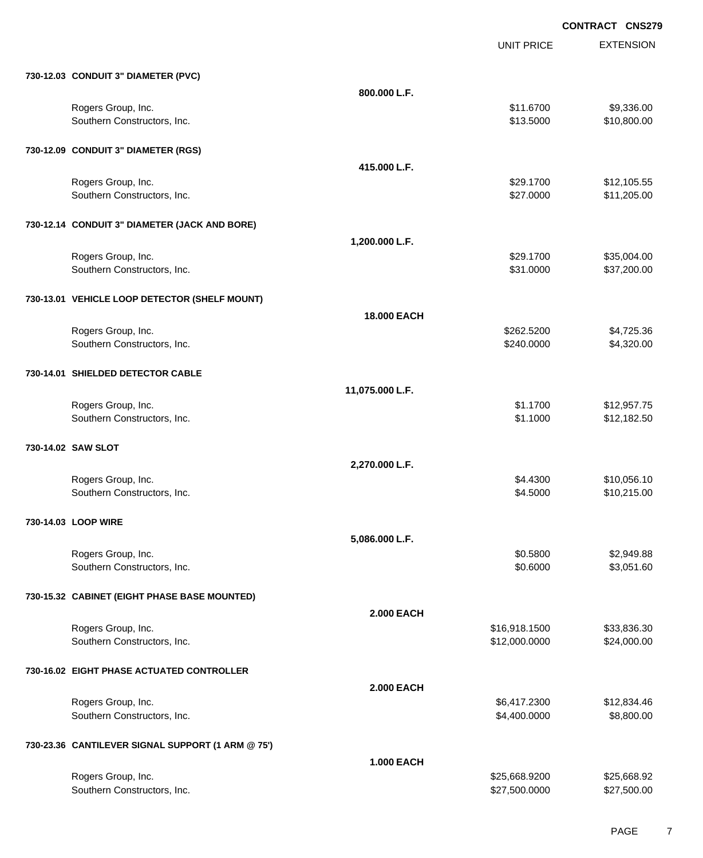UNIT PRICE EXTENSION

| 730-12.03 CONDUIT 3" DIAMETER (PVC)               |                    |                                |                            |
|---------------------------------------------------|--------------------|--------------------------------|----------------------------|
|                                                   | 800.000 L.F.       |                                |                            |
| Rogers Group, Inc.                                |                    | \$11.6700                      | \$9,336.00                 |
| Southern Constructors, Inc.                       |                    | \$13.5000                      | \$10,800.00                |
| 730-12.09 CONDUIT 3" DIAMETER (RGS)               |                    |                                |                            |
|                                                   | 415,000 L.F.       |                                |                            |
| Rogers Group, Inc.                                |                    | \$29.1700                      | \$12,105.55                |
| Southern Constructors, Inc.                       |                    | \$27.0000                      | \$11,205.00                |
| 730-12.14 CONDUIT 3" DIAMETER (JACK AND BORE)     |                    |                                |                            |
|                                                   | 1,200.000 L.F.     |                                |                            |
| Rogers Group, Inc.                                |                    | \$29.1700                      | \$35,004.00                |
| Southern Constructors, Inc.                       |                    | \$31.0000                      | \$37,200.00                |
| 730-13.01 VEHICLE LOOP DETECTOR (SHELF MOUNT)     |                    |                                |                            |
|                                                   | <b>18.000 EACH</b> |                                |                            |
| Rogers Group, Inc.                                |                    | \$262.5200                     | \$4,725.36                 |
| Southern Constructors, Inc.                       |                    | \$240.0000                     | \$4,320.00                 |
| 730-14.01 SHIELDED DETECTOR CABLE                 |                    |                                |                            |
|                                                   | 11,075.000 L.F.    |                                |                            |
| Rogers Group, Inc.                                |                    | \$1.1700                       | \$12,957.75                |
| Southern Constructors, Inc.                       |                    | \$1.1000                       | \$12,182.50                |
| 730-14.02 SAW SLOT                                |                    |                                |                            |
|                                                   | 2,270.000 L.F.     |                                |                            |
| Rogers Group, Inc.                                |                    | \$4.4300                       | \$10,056.10                |
| Southern Constructors, Inc.                       |                    | \$4.5000                       | \$10,215.00                |
| 730-14.03 LOOP WIRE                               |                    |                                |                            |
|                                                   | 5,086.000 L.F.     |                                |                            |
| Rogers Group, Inc.                                |                    | \$0.5800                       | \$2,949.88                 |
| Southern Constructors, Inc.                       |                    |                                |                            |
|                                                   |                    | \$0.6000                       | \$3,051.60                 |
| 730-15.32 CABINET (EIGHT PHASE BASE MOUNTED)      |                    |                                |                            |
|                                                   | <b>2.000 EACH</b>  |                                |                            |
| Rogers Group, Inc.                                |                    | \$16,918.1500                  | \$33,836.30                |
| Southern Constructors, Inc.                       |                    | \$12,000.0000                  | \$24,000.00                |
| 730-16.02 EIGHT PHASE ACTUATED CONTROLLER         |                    |                                |                            |
|                                                   | <b>2.000 EACH</b>  |                                |                            |
| Rogers Group, Inc.                                |                    | \$6,417.2300                   | \$12,834.46                |
| Southern Constructors, Inc.                       |                    | \$4,400.0000                   | \$8,800.00                 |
| 730-23.36 CANTILEVER SIGNAL SUPPORT (1 ARM @ 75') |                    |                                |                            |
|                                                   | <b>1.000 EACH</b>  |                                |                            |
| Rogers Group, Inc.<br>Southern Constructors, Inc. |                    | \$25,668.9200<br>\$27,500.0000 | \$25,668.92<br>\$27,500.00 |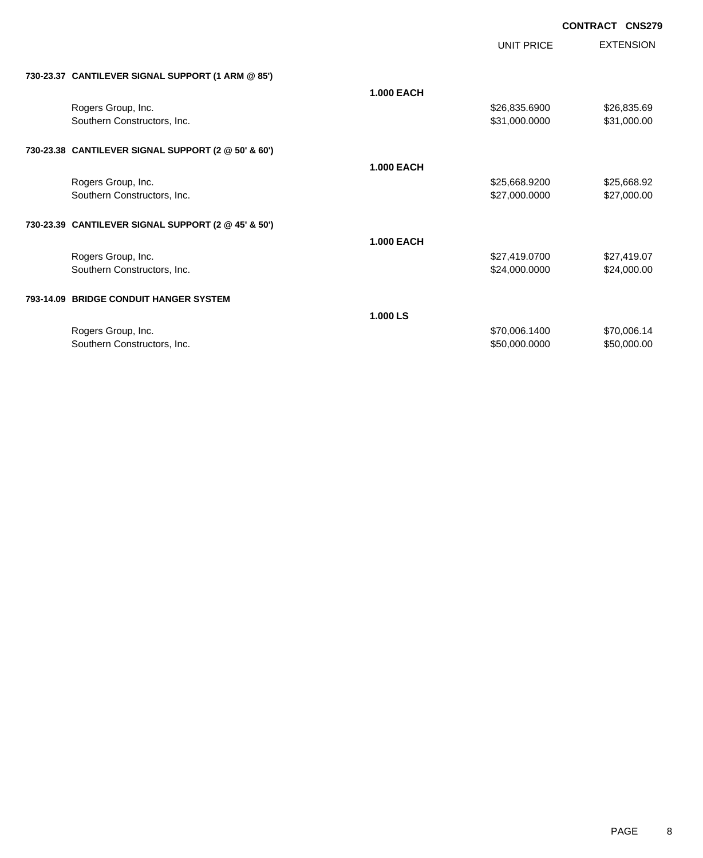|                                                     |                   | <b>UNIT PRICE</b> | <b>EXTENSION</b> |
|-----------------------------------------------------|-------------------|-------------------|------------------|
| 730-23.37 CANTILEVER SIGNAL SUPPORT (1 ARM @ 85')   |                   |                   |                  |
|                                                     | <b>1.000 EACH</b> |                   |                  |
| Rogers Group, Inc.                                  |                   | \$26,835.6900     | \$26,835.69      |
| Southern Constructors, Inc.                         |                   | \$31,000.0000     | \$31,000.00      |
| 730-23.38 CANTILEVER SIGNAL SUPPORT (2 @ 50' & 60') |                   |                   |                  |
|                                                     | <b>1.000 EACH</b> |                   |                  |
| Rogers Group, Inc.                                  |                   | \$25,668.9200     | \$25,668.92      |
| Southern Constructors, Inc.                         |                   | \$27,000.0000     | \$27,000.00      |
| 730-23.39 CANTILEVER SIGNAL SUPPORT (2 @ 45' & 50') |                   |                   |                  |
|                                                     | <b>1.000 EACH</b> |                   |                  |
| Rogers Group, Inc.                                  |                   | \$27,419.0700     | \$27,419.07      |
| Southern Constructors, Inc.                         |                   | \$24,000.0000     | \$24,000.00      |
| 793-14.09 BRIDGE CONDUIT HANGER SYSTEM              |                   |                   |                  |
|                                                     | 1.000 LS          |                   |                  |
| Rogers Group, Inc.                                  |                   | \$70,006.1400     | \$70,006.14      |
| Southern Constructors, Inc.                         |                   | \$50,000.0000     | \$50,000.00      |
|                                                     |                   |                   |                  |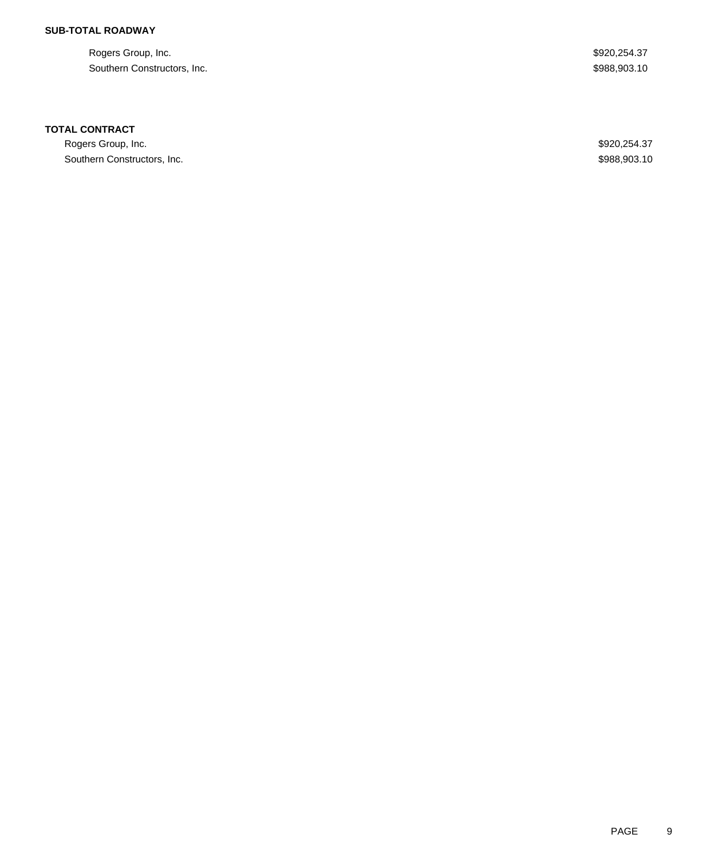## **SUB-TOTAL ROADWAY**

Rogers Group, Inc. \$920,254.37 Southern Constructors, Inc. 6. The Southern Constructors, Inc. 6. The Superior of the Superior of the Superior Superior Superior Superior Superior Superior Superior Superior Superior Superior Superior Superior Superior Sup

### **TOTAL CONTRACT**

Rogers Group, Inc. \$920,254.37 Southern Constructors, Inc. 6. The Southern Constructors, Inc. 6. The Southern Constructors, Inc. 6. The Southern Constructors, Inc.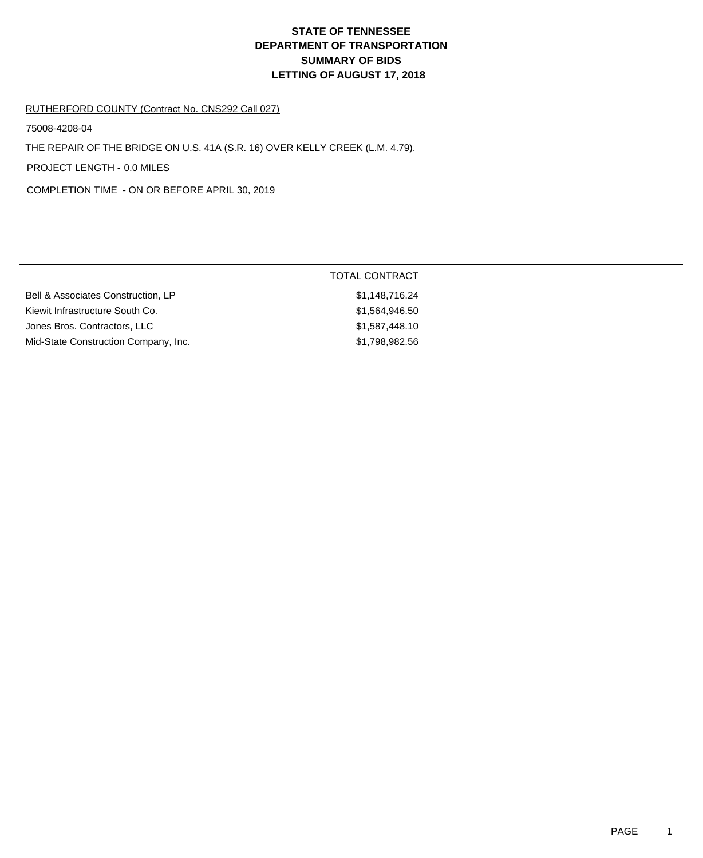# **DEPARTMENT OF TRANSPORTATION SUMMARY OF BIDS LETTING OF AUGUST 17, 2018 STATE OF TENNESSEE**

#### RUTHERFORD COUNTY (Contract No. CNS292 Call 027)

75008-4208-04

THE REPAIR OF THE BRIDGE ON U.S. 41A (S.R. 16) OVER KELLY CREEK (L.M. 4.79).

PROJECT LENGTH - 0.0 MILES

COMPLETION TIME - ON OR BEFORE APRIL 30, 2019

|                                      | TOTAL CONTRACT |
|--------------------------------------|----------------|
| Bell & Associates Construction, LP   | \$1,148,716.24 |
| Kiewit Infrastructure South Co.      | \$1,564,946.50 |
| Jones Bros. Contractors, LLC         | \$1,587,448,10 |
| Mid-State Construction Company, Inc. | \$1,798,982.56 |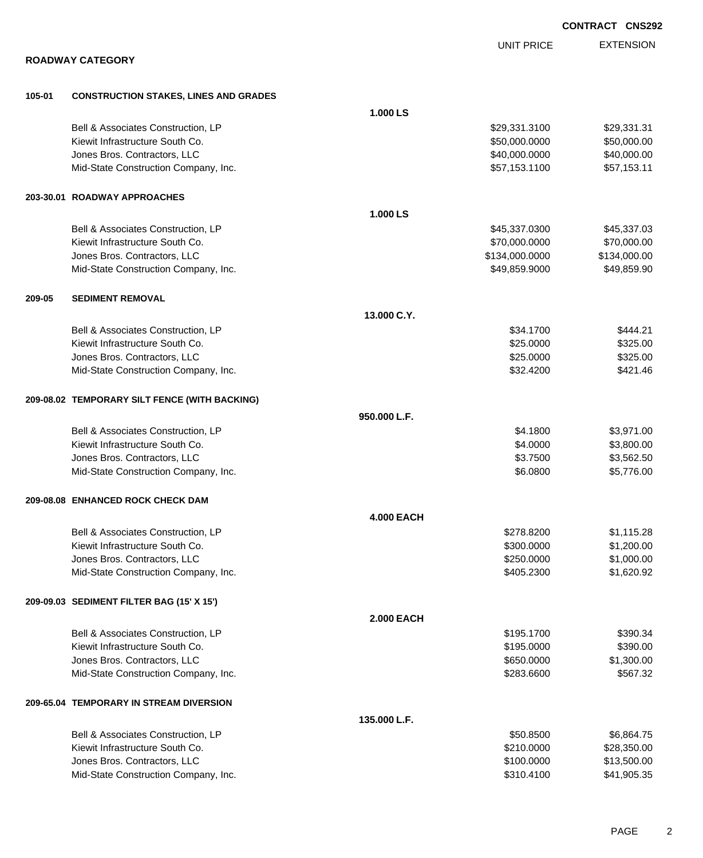|        |                                               |                   |                   | <b>CONTRACT CNS292</b> |
|--------|-----------------------------------------------|-------------------|-------------------|------------------------|
|        |                                               |                   | <b>UNIT PRICE</b> | <b>EXTENSION</b>       |
|        | <b>ROADWAY CATEGORY</b>                       |                   |                   |                        |
| 105-01 | <b>CONSTRUCTION STAKES, LINES AND GRADES</b>  |                   |                   |                        |
|        |                                               | 1.000 LS          |                   |                        |
|        | Bell & Associates Construction, LP            |                   | \$29,331.3100     | \$29,331.31            |
|        | Kiewit Infrastructure South Co.               |                   | \$50,000.0000     | \$50,000.00            |
|        | Jones Bros. Contractors, LLC                  |                   | \$40,000.0000     | \$40,000.00            |
|        | Mid-State Construction Company, Inc.          |                   | \$57,153.1100     | \$57,153.11            |
|        | 203-30.01 ROADWAY APPROACHES                  |                   |                   |                        |
|        |                                               | 1.000 LS          |                   |                        |
|        | Bell & Associates Construction, LP            |                   | \$45,337.0300     | \$45,337.03            |
|        | Kiewit Infrastructure South Co.               |                   | \$70,000.0000     | \$70,000.00            |
|        | Jones Bros. Contractors, LLC                  |                   | \$134,000.0000    | \$134,000.00           |
|        | Mid-State Construction Company, Inc.          |                   | \$49,859.9000     | \$49,859.90            |
| 209-05 | <b>SEDIMENT REMOVAL</b>                       |                   |                   |                        |
|        |                                               | 13.000 C.Y.       |                   |                        |
|        | Bell & Associates Construction, LP            |                   | \$34.1700         | \$444.21               |
|        | Kiewit Infrastructure South Co.               |                   | \$25.0000         | \$325.00               |
|        | Jones Bros. Contractors, LLC                  |                   | \$25.0000         | \$325.00               |
|        | Mid-State Construction Company, Inc.          |                   | \$32.4200         | \$421.46               |
|        | 209-08.02 TEMPORARY SILT FENCE (WITH BACKING) |                   |                   |                        |
|        |                                               | 950,000 L.F.      |                   |                        |
|        | Bell & Associates Construction, LP            |                   | \$4.1800          | \$3,971.00             |
|        | Kiewit Infrastructure South Co.               |                   | \$4.0000          | \$3,800.00             |
|        | Jones Bros. Contractors, LLC                  |                   | \$3.7500          | \$3,562.50             |
|        | Mid-State Construction Company, Inc.          |                   | \$6,0800          | \$5,776.00             |
|        | 209-08.08 ENHANCED ROCK CHECK DAM             |                   |                   |                        |
|        |                                               | <b>4.000 EACH</b> |                   |                        |
|        | Bell & Associates Construction, LP            |                   | \$278.8200        | \$1,115.28             |
|        | Kiewit Infrastructure South Co.               |                   | \$300.0000        | \$1,200.00             |
|        | Jones Bros. Contractors, LLC                  |                   | \$250.0000        | \$1,000.00             |
|        | Mid-State Construction Company, Inc.          |                   | \$405.2300        | \$1,620.92             |
|        | 209-09.03 SEDIMENT FILTER BAG (15' X 15')     |                   |                   |                        |
|        |                                               | <b>2.000 EACH</b> |                   |                        |
|        | Bell & Associates Construction, LP            |                   | \$195.1700        | \$390.34               |
|        | Kiewit Infrastructure South Co.               |                   | \$195.0000        | \$390.00               |
|        | Jones Bros. Contractors, LLC                  |                   | \$650.0000        | \$1,300.00             |
|        | Mid-State Construction Company, Inc.          |                   | \$283.6600        | \$567.32               |
|        | 209-65.04 TEMPORARY IN STREAM DIVERSION       |                   |                   |                        |
|        |                                               | 135.000 L.F.      |                   |                        |
|        | Bell & Associates Construction, LP            |                   | \$50.8500         | \$6,864.75             |
|        | Kiewit Infrastructure South Co.               |                   | \$210.0000        | \$28,350.00            |
|        | Jones Bros. Contractors, LLC                  |                   | \$100.0000        | \$13,500.00            |
|        | Mid-State Construction Company, Inc.          |                   | \$310.4100        | \$41,905.35            |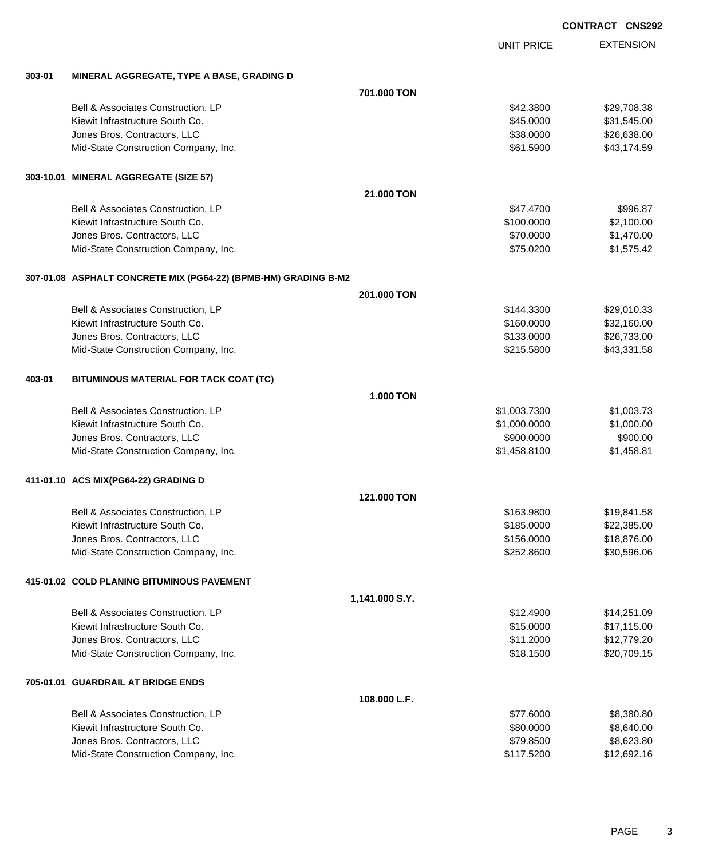EXTENSION UNIT PRICE **303-01 MINERAL AGGREGATE, TYPE A BASE, GRADING D 701.000 TON** Bell & Associates Construction, LP 629, 108 and 200 and 200 and 200 and 329, 200 and 329, 708.38 Kiewit Infrastructure South Co. **\$45.000 \$31,545.00** \$31,545.00 Jones Bros. Contractors, LLC 6.638.000 \$26,638.000 \$26,638.000 \$26,638.000 \$26,638.00 Mid-State Construction Company, Inc.  $$61.5900$  \$43,174.59 **303-10.01 MINERAL AGGREGATE (SIZE 57) 21.000 TON** Bell & Associates Construction, LP 6996.87 Kiewit Infrastructure South Co. **6. 100.000 \$2,100.000 \$2,100.000** \$2,100.00 Jones Bros. Contractors, LLC 6. 2012 12:00:000 \$1,470.00 Mid-State Construction Company, Inc.  $$75.0200$  \$1,575.42 **307-01.08 ASPHALT CONCRETE MIX (PG64-22) (BPMB-HM) GRADING B-M2 201.000 TON** Bell & Associates Construction, LP 629,010.33 Kiewit Infrastructure South Co. **\$32,160.000** \$32,160.000 \$32,160.000 Jones Bros. Contractors, LLC 6. 2009 626,733.00 \$26,733.000 \$26,733.000 Mid-State Construction Company, Inc. 6. The Construction Company, Inc. 643,331.58 **403-01 BITUMINOUS MATERIAL FOR TACK COAT (TC) 1.000 TON** Bell & Associates Construction, LP 6. The State of the State of State of State of State of State of State of St Kiewit Infrastructure South Co. **\$1,000.000 \$1,000.000 \$1,000.000** \$1,000.000 Jones Bros. Contractors, LLC \$900.0000 \$900.00 Mid-State Construction Company, Inc. 6. The Construction Company, Inc. 6. The Construction Company, Inc. 6. The Construction Company, Inc. 6. The Construction Company, Inc. 6. The Construction Company, Inc. 6. The Construc **411-01.10 ACS MIX(PG64-22) GRADING D 121.000 TON** Bell & Associates Construction, LP **\$19,841.58** \$163.9800 \$163.9800 \$19,841.58 Kiewit Infrastructure South Co. **\$22,385.000** \$22,385.00 Jones Bros. Contractors, LLC \$156.0000 \$18,876.00 Mid-State Construction Company, Inc. 6. The Construction Company, Inc. 6. The Construction Company, Inc. 6. The Construction Company, Inc. 6. The Construction Company, Inc. 6. The Construction Company, Inc. 6. The Construc **415-01.02 COLD PLANING BITUMINOUS PAVEMENT**

**1,141.000 S.Y.** Bell & Associates Construction, LP **\$12.4900** \$14,251.09 Kiewit Infrastructure South Co. **\$17,115.00** \$17,115.00 Jones Bros. Contractors, LLC \$11.2000 \$12,779.20 Mid-State Construction Company, Inc.  $$318.1500$  \$20,709.15 **705-01.01 GUARDRAIL AT BRIDGE ENDS**

| Bell & Associates Construction. LP   | \$77,6000  | \$8,380.80  |
|--------------------------------------|------------|-------------|
| Kiewit Infrastructure South Co.      | \$80,0000  | \$8.640.00  |
| Jones Bros. Contractors, LLC         | \$79.8500  | \$8,623,80  |
| Mid-State Construction Company, Inc. | \$117.5200 | \$12,692.16 |
|                                      |            |             |

**108.000 L.F.**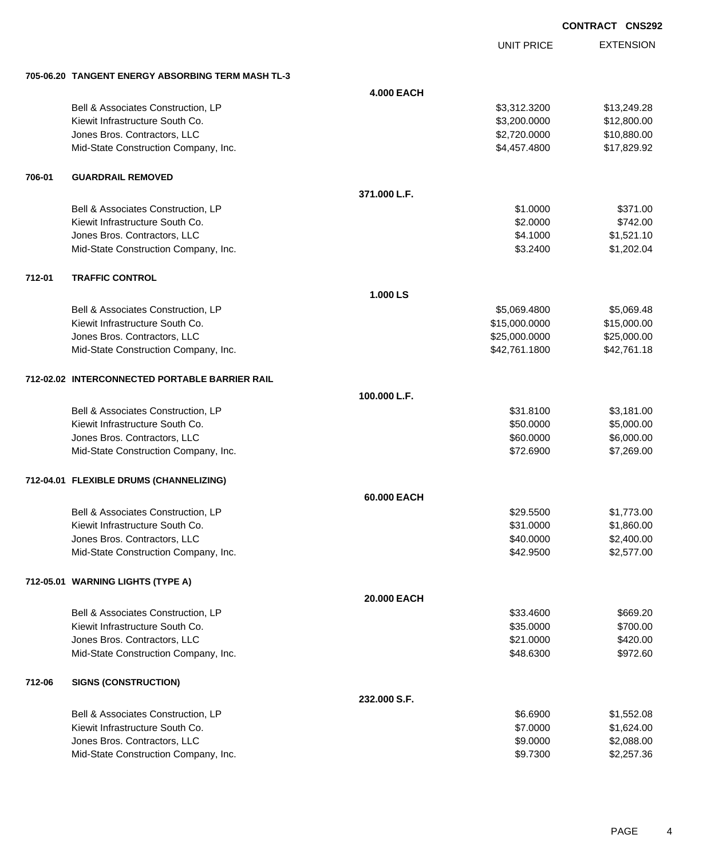| <b>CONTRACT CNS292</b> |  |
|------------------------|--|
|                        |  |

UNIT PRICE

EXTENSION

|        | 705-06.20 TANGENT ENERGY ABSORBING TERM MASH TL-3 |                   |               |             |  |
|--------|---------------------------------------------------|-------------------|---------------|-------------|--|
|        |                                                   | <b>4.000 EACH</b> |               |             |  |
|        | Bell & Associates Construction, LP                |                   | \$3,312.3200  | \$13,249.28 |  |
|        | Kiewit Infrastructure South Co.                   |                   | \$3,200.0000  | \$12,800.00 |  |
|        | Jones Bros. Contractors, LLC                      |                   | \$2,720.0000  | \$10,880.00 |  |
|        | Mid-State Construction Company, Inc.              |                   | \$4,457.4800  | \$17,829.92 |  |
| 706-01 | <b>GUARDRAIL REMOVED</b>                          |                   |               |             |  |
|        |                                                   | 371.000 L.F.      |               |             |  |
|        | Bell & Associates Construction, LP                |                   | \$1.0000      | \$371.00    |  |
|        | Kiewit Infrastructure South Co.                   |                   | \$2.0000      | \$742.00    |  |
|        | Jones Bros. Contractors, LLC                      |                   | \$4.1000      | \$1,521.10  |  |
|        | Mid-State Construction Company, Inc.              |                   | \$3.2400      | \$1,202.04  |  |
| 712-01 | <b>TRAFFIC CONTROL</b>                            |                   |               |             |  |
|        |                                                   | 1.000 LS          |               |             |  |
|        | Bell & Associates Construction, LP                |                   | \$5,069.4800  | \$5,069.48  |  |
|        | Kiewit Infrastructure South Co.                   |                   | \$15,000.0000 | \$15,000.00 |  |
|        | Jones Bros. Contractors, LLC                      |                   | \$25,000.0000 | \$25,000.00 |  |
|        | Mid-State Construction Company, Inc.              |                   | \$42,761.1800 | \$42,761.18 |  |
|        | 712-02.02 INTERCONNECTED PORTABLE BARRIER RAIL    |                   |               |             |  |
|        |                                                   | 100.000 L.F.      |               |             |  |
|        | Bell & Associates Construction, LP                |                   | \$31.8100     | \$3,181.00  |  |
|        | Kiewit Infrastructure South Co.                   |                   | \$50.0000     | \$5,000.00  |  |
|        | Jones Bros. Contractors, LLC                      |                   | \$60.0000     | \$6,000.00  |  |
|        | Mid-State Construction Company, Inc.              |                   | \$72.6900     | \$7,269.00  |  |
|        | 712-04.01 FLEXIBLE DRUMS (CHANNELIZING)           |                   |               |             |  |
|        |                                                   | 60.000 EACH       |               |             |  |
|        | Bell & Associates Construction, LP                |                   | \$29.5500     | \$1,773.00  |  |
|        | Kiewit Infrastructure South Co.                   |                   | \$31.0000     | \$1,860.00  |  |
|        | Jones Bros. Contractors, LLC                      |                   | \$40.0000     | \$2,400.00  |  |
|        | Mid-State Construction Company, Inc.              |                   | \$42.9500     | \$2,577.00  |  |
|        | 712-05.01 WARNING LIGHTS (TYPE A)                 |                   |               |             |  |
|        |                                                   | 20.000 EACH       |               |             |  |
|        | Bell & Associates Construction, LP                |                   | \$33.4600     | \$669.20    |  |
|        | Kiewit Infrastructure South Co.                   |                   | \$35.0000     | \$700.00    |  |
|        | Jones Bros. Contractors, LLC                      |                   | \$21.0000     | \$420.00    |  |
|        | Mid-State Construction Company, Inc.              |                   | \$48.6300     | \$972.60    |  |
| 712-06 | <b>SIGNS (CONSTRUCTION)</b>                       |                   |               |             |  |
|        |                                                   | 232.000 S.F.      |               |             |  |
|        | Bell & Associates Construction, LP                |                   | \$6.6900      | \$1,552.08  |  |
|        | Kiewit Infrastructure South Co.                   |                   | \$7.0000      | \$1,624.00  |  |
|        | Jones Bros. Contractors, LLC                      |                   | \$9.0000      | \$2,088.00  |  |
|        | Mid-State Construction Company, Inc.              |                   | \$9.7300      | \$2,257.36  |  |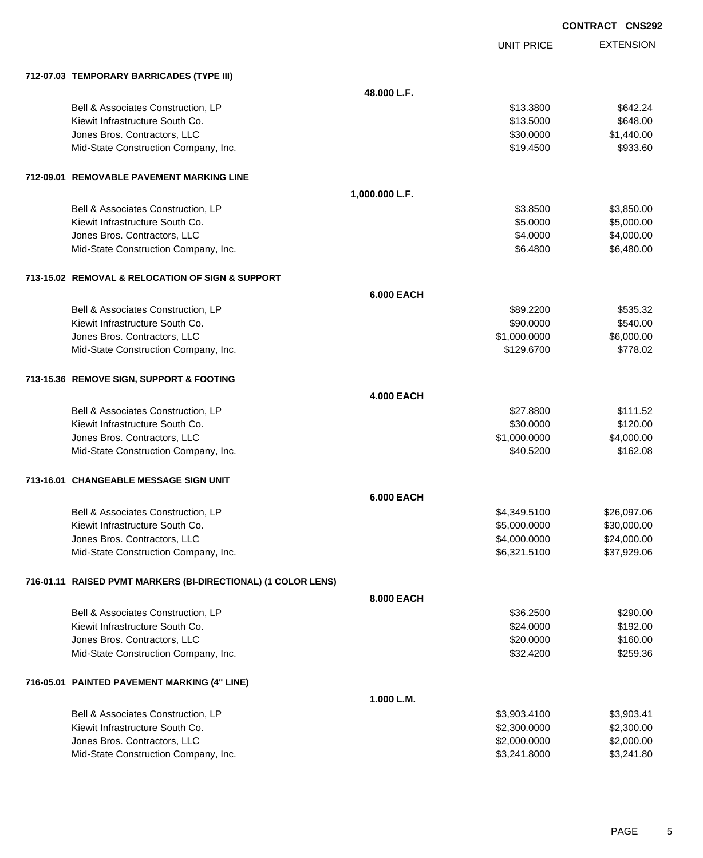UNIT PRICE EXTENSION

|  | 712-07.03 TEMPORARY BARRICADES (TYPE III) |  |
|--|-------------------------------------------|--|
|  |                                           |  |

|  | 712-07.03 TEMPORARY BARRICADES (TYPE III)                     |                   |              |             |
|--|---------------------------------------------------------------|-------------------|--------------|-------------|
|  |                                                               | 48.000 L.F.       |              |             |
|  | Bell & Associates Construction, LP                            |                   | \$13.3800    | \$642.24    |
|  | Kiewit Infrastructure South Co.                               |                   | \$13.5000    | \$648.00    |
|  | Jones Bros. Contractors, LLC                                  |                   | \$30.0000    | \$1,440.00  |
|  | Mid-State Construction Company, Inc.                          |                   | \$19.4500    | \$933.60    |
|  | 712-09.01 REMOVABLE PAVEMENT MARKING LINE                     |                   |              |             |
|  |                                                               | 1,000.000 L.F.    |              |             |
|  | Bell & Associates Construction, LP                            |                   | \$3.8500     | \$3,850.00  |
|  | Kiewit Infrastructure South Co.                               |                   | \$5.0000     | \$5,000.00  |
|  | Jones Bros. Contractors, LLC                                  |                   | \$4.0000     | \$4,000.00  |
|  | Mid-State Construction Company, Inc.                          |                   | \$6.4800     | \$6,480.00  |
|  | 713-15.02 REMOVAL & RELOCATION OF SIGN & SUPPORT              |                   |              |             |
|  |                                                               | <b>6.000 EACH</b> |              |             |
|  | Bell & Associates Construction, LP                            |                   | \$89.2200    | \$535.32    |
|  | Kiewit Infrastructure South Co.                               |                   | \$90.0000    | \$540.00    |
|  | Jones Bros. Contractors, LLC                                  |                   | \$1,000.0000 | \$6,000.00  |
|  | Mid-State Construction Company, Inc.                          |                   | \$129.6700   | \$778.02    |
|  | 713-15.36 REMOVE SIGN, SUPPORT & FOOTING                      |                   |              |             |
|  | <b>4.000 EACH</b>                                             |                   |              |             |
|  | Bell & Associates Construction, LP                            |                   | \$27.8800    | \$111.52    |
|  | Kiewit Infrastructure South Co.                               |                   | \$30.0000    | \$120.00    |
|  | Jones Bros. Contractors, LLC                                  |                   | \$1,000.0000 | \$4,000.00  |
|  | Mid-State Construction Company, Inc.                          |                   | \$40.5200    | \$162.08    |
|  | 713-16.01 CHANGEABLE MESSAGE SIGN UNIT                        |                   |              |             |
|  |                                                               | <b>6.000 EACH</b> |              |             |
|  | Bell & Associates Construction, LP                            |                   | \$4,349.5100 | \$26,097.06 |
|  | Kiewit Infrastructure South Co.                               |                   | \$5,000.0000 | \$30,000.00 |
|  | Jones Bros. Contractors, LLC                                  |                   | \$4,000.0000 | \$24,000.00 |
|  | Mid-State Construction Company, Inc.                          |                   | \$6,321.5100 | \$37,929.06 |
|  | 716-01.11 RAISED PVMT MARKERS (BI-DIRECTIONAL) (1 COLOR LENS) |                   |              |             |
|  |                                                               | 8.000 EACH        |              |             |
|  | Bell & Associates Construction, LP                            |                   | \$36.2500    | \$290.00    |
|  | Kiewit Infrastructure South Co.                               |                   | \$24.0000    | \$192.00    |
|  | Jones Bros. Contractors, LLC                                  |                   | \$20.0000    | \$160.00    |
|  | Mid-State Construction Company, Inc.                          |                   | \$32.4200    | \$259.36    |
|  | 716-05.01 PAINTED PAVEMENT MARKING (4" LINE)                  |                   |              |             |
|  |                                                               | 1.000 L.M.        |              |             |
|  | Bell & Associates Construction, LP                            |                   | \$3,903.4100 | \$3,903.41  |
|  | Kiewit Infrastructure South Co.                               |                   | \$2,300.0000 | \$2,300.00  |
|  | Jones Bros. Contractors, LLC                                  |                   | \$2,000.0000 | \$2,000.00  |
|  | Mid-State Construction Company, Inc.                          |                   | \$3,241.8000 | \$3,241.80  |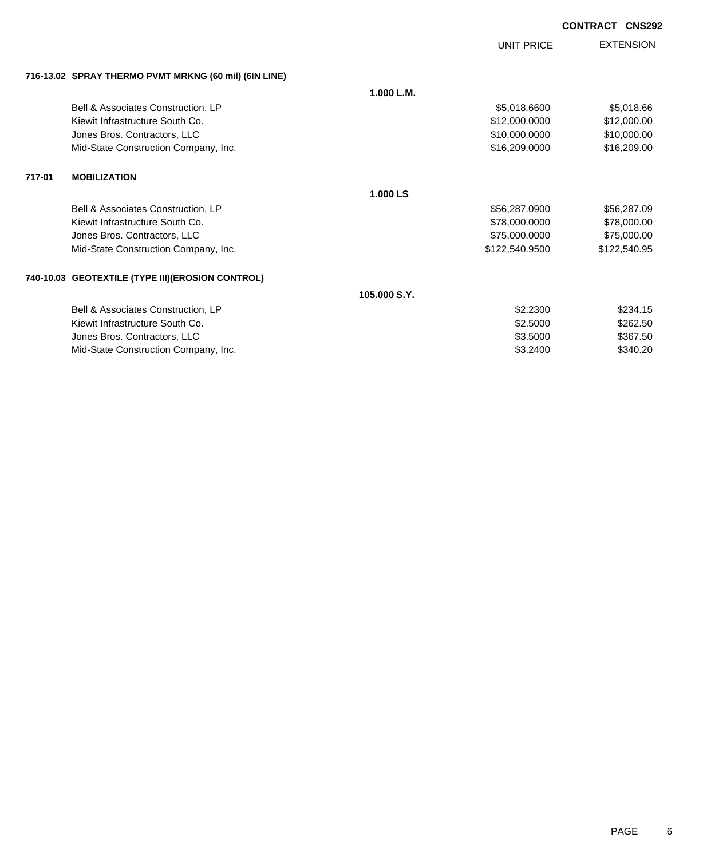UNIT PRICE

EXTENSION

| 716-13.02 SPRAY THERMO PVMT MRKNG (60 mil) (6IN LINE) |  |  |
|-------------------------------------------------------|--|--|

|                                                  | 1.000 L.M.   |                |              |
|--------------------------------------------------|--------------|----------------|--------------|
| Bell & Associates Construction, LP               |              | \$5,018.6600   | \$5,018.66   |
| Kiewit Infrastructure South Co.                  |              | \$12,000.0000  | \$12,000.00  |
| Jones Bros. Contractors, LLC                     |              | \$10,000.0000  | \$10,000.00  |
| Mid-State Construction Company, Inc.             |              | \$16,209.0000  | \$16,209.00  |
| <b>MOBILIZATION</b>                              |              |                |              |
|                                                  | 1.000 LS     |                |              |
| Bell & Associates Construction, LP               |              | \$56,287.0900  | \$56,287.09  |
| Kiewit Infrastructure South Co.                  |              | \$78,000.0000  | \$78,000.00  |
| Jones Bros. Contractors, LLC                     |              | \$75,000.0000  | \$75,000.00  |
| Mid-State Construction Company, Inc.             |              | \$122,540.9500 | \$122,540.95 |
| 740-10.03 GEOTEXTILE (TYPE III)(EROSION CONTROL) |              |                |              |
|                                                  | 105,000 S.Y. |                |              |
| Bell & Associates Construction, LP               |              | \$2.2300       | \$234.15     |
| Kiewit Infrastructure South Co.                  |              | \$2.5000       | \$262.50     |
| Jones Bros. Contractors, LLC                     |              | \$3.5000       | \$367.50     |
| Mid-State Construction Company, Inc.             |              | \$3.2400       | \$340.20     |
|                                                  |              |                |              |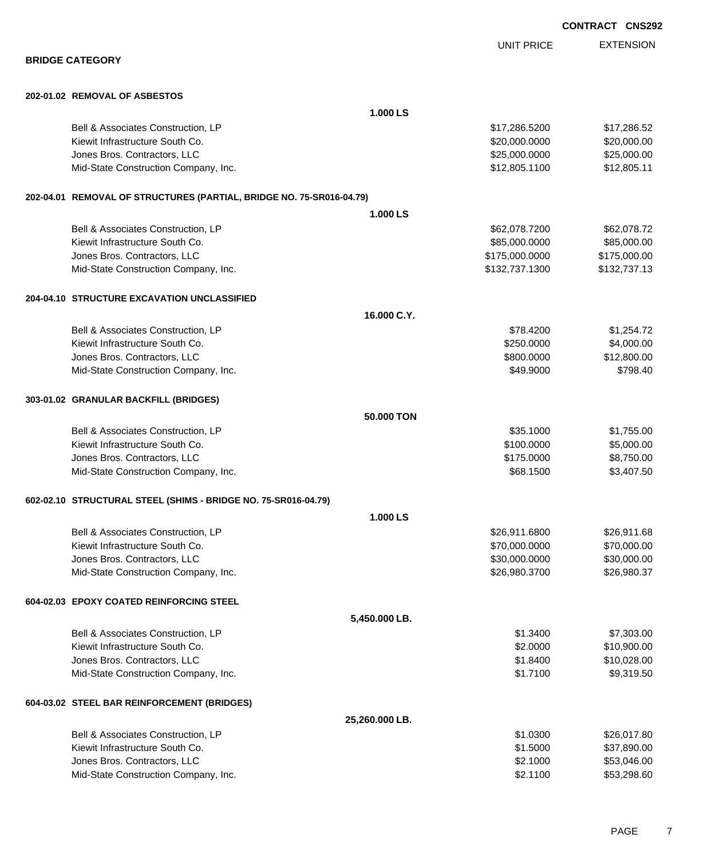| <b>BRIDGE CATEGORY</b>                                               |                | <b>UNIT PRICE</b> | <b>EXTENSION</b> |
|----------------------------------------------------------------------|----------------|-------------------|------------------|
|                                                                      |                |                   |                  |
| 202-01.02 REMOVAL OF ASBESTOS                                        |                |                   |                  |
|                                                                      | 1.000 LS       |                   |                  |
| Bell & Associates Construction, LP                                   |                | \$17,286.5200     | \$17,286.52      |
| Kiewit Infrastructure South Co.                                      |                | \$20,000.0000     | \$20,000.00      |
| Jones Bros. Contractors, LLC                                         |                | \$25,000.0000     | \$25,000.00      |
| Mid-State Construction Company, Inc.                                 |                | \$12,805.1100     | \$12,805.11      |
| 202-04.01 REMOVAL OF STRUCTURES (PARTIAL, BRIDGE NO. 75-SR016-04.79) |                |                   |                  |
|                                                                      | 1.000 LS       |                   |                  |
| Bell & Associates Construction, LP                                   |                | \$62,078.7200     | \$62,078.72      |
| Kiewit Infrastructure South Co.                                      |                | \$85,000.0000     | \$85,000.00      |
| Jones Bros. Contractors, LLC                                         |                | \$175,000.0000    | \$175,000.00     |
| Mid-State Construction Company, Inc.                                 |                | \$132,737.1300    | \$132,737.13     |
| 204-04.10 STRUCTURE EXCAVATION UNCLASSIFIED                          |                |                   |                  |
|                                                                      | 16.000 C.Y.    |                   |                  |
| Bell & Associates Construction, LP                                   |                | \$78.4200         | \$1,254.72       |
| Kiewit Infrastructure South Co.                                      |                | \$250.0000        | \$4,000.00       |
| Jones Bros. Contractors, LLC                                         |                | \$800.0000        | \$12,800.00      |
| Mid-State Construction Company, Inc.                                 |                | \$49.9000         | \$798.40         |
| 303-01.02 GRANULAR BACKFILL (BRIDGES)                                |                |                   |                  |
|                                                                      | 50.000 TON     |                   |                  |
| Bell & Associates Construction, LP                                   |                | \$35.1000         | \$1,755.00       |
| Kiewit Infrastructure South Co.                                      |                | \$100.0000        | \$5,000.00       |
| Jones Bros. Contractors, LLC                                         |                | \$175.0000        | \$8,750.00       |
| Mid-State Construction Company, Inc.                                 |                | \$68.1500         | \$3,407.50       |
| 602-02.10 STRUCTURAL STEEL (SHIMS - BRIDGE NO. 75-SR016-04.79)       |                |                   |                  |
|                                                                      | 1.000 LS       |                   |                  |
| Bell & Associates Construction, LP                                   |                | \$26,911.6800     | \$26,911.68      |
| Kiewit Infrastructure South Co.                                      |                | \$70,000.0000     | \$70,000.00      |
| Jones Bros. Contractors, LLC                                         |                | \$30,000.0000     | \$30,000.00      |
| Mid-State Construction Company, Inc.                                 |                | \$26,980.3700     | \$26,980.37      |
| 604-02.03 EPOXY COATED REINFORCING STEEL                             |                |                   |                  |
|                                                                      | 5,450.000 LB.  |                   |                  |
| Bell & Associates Construction, LP                                   |                | \$1.3400          | \$7,303.00       |
| Kiewit Infrastructure South Co.                                      |                | \$2.0000          | \$10,900.00      |
| Jones Bros. Contractors, LLC                                         |                | \$1.8400          | \$10,028.00      |
| Mid-State Construction Company, Inc.                                 |                | \$1.7100          | \$9,319.50       |
| 604-03.02 STEEL BAR REINFORCEMENT (BRIDGES)                          |                |                   |                  |
|                                                                      | 25,260.000 LB. |                   |                  |
| Bell & Associates Construction, LP                                   |                | \$1.0300          | \$26,017.80      |
| Kiewit Infrastructure South Co.                                      |                | \$1.5000          | \$37,890.00      |
| Jones Bros. Contractors, LLC                                         |                | \$2.1000          | \$53,046.00      |
| Mid-State Construction Company, Inc.                                 |                | \$2.1100          | \$53,298.60      |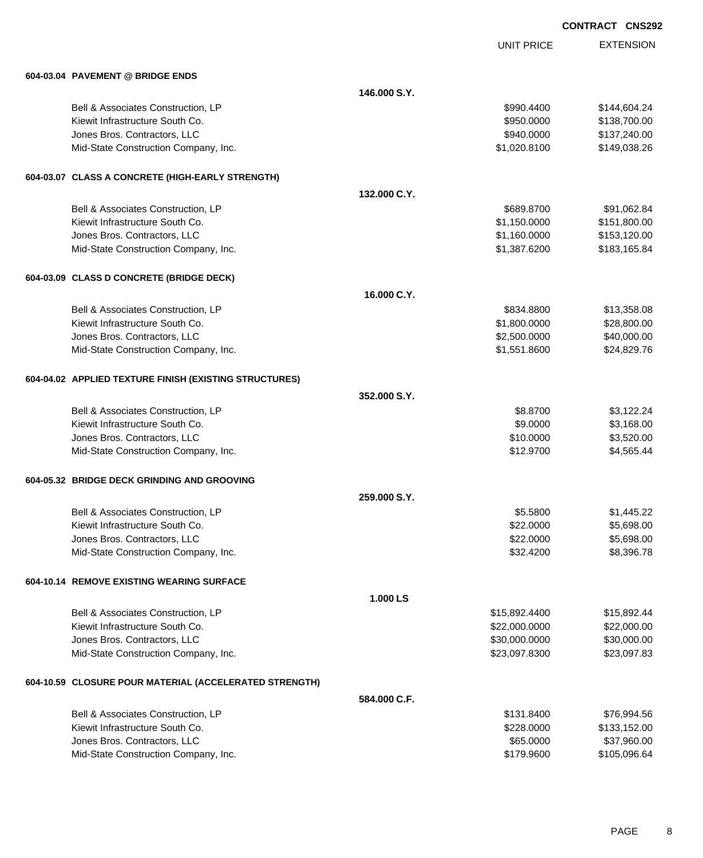|                                                        |              |                   | <b>CONTRACT CNS292</b> |                  |
|--------------------------------------------------------|--------------|-------------------|------------------------|------------------|
|                                                        |              | <b>UNIT PRICE</b> |                        | <b>EXTENSION</b> |
| 604-03.04 PAVEMENT @ BRIDGE ENDS                       |              |                   |                        |                  |
|                                                        | 146,000 S.Y. |                   |                        |                  |
| Bell & Associates Construction, LP                     |              | \$990.4400        |                        | \$144,604.24     |
| Kiewit Infrastructure South Co.                        |              | \$950.0000        |                        | \$138,700.00     |
| Jones Bros. Contractors, LLC                           |              | \$940.0000        |                        | \$137,240.00     |
| Mid-State Construction Company, Inc.                   |              | \$1,020.8100      |                        | \$149,038.26     |
| 604-03.07 CLASS A CONCRETE (HIGH-EARLY STRENGTH)       |              |                   |                        |                  |
|                                                        | 132,000 C.Y. |                   |                        |                  |
| Bell & Associates Construction, LP                     |              | \$689.8700        |                        | \$91,062.84      |
| Kiewit Infrastructure South Co.                        |              | \$1,150.0000      |                        | \$151,800.00     |
| Jones Bros. Contractors, LLC                           |              | \$1,160.0000      |                        | \$153,120.00     |
| Mid-State Construction Company, Inc.                   |              | \$1,387.6200      |                        | \$183,165.84     |
| 604-03.09 CLASS D CONCRETE (BRIDGE DECK)               |              |                   |                        |                  |
|                                                        | 16.000 C.Y.  |                   |                        |                  |
| Bell & Associates Construction, LP                     |              | \$834.8800        |                        | \$13,358.08      |
| Kiewit Infrastructure South Co.                        |              | \$1,800.0000      |                        | \$28,800.00      |
| Jones Bros. Contractors, LLC                           |              | \$2,500.0000      |                        | \$40,000.00      |
| Mid-State Construction Company, Inc.                   |              | \$1,551.8600      |                        | \$24,829.76      |
| 604-04.02 APPLIED TEXTURE FINISH (EXISTING STRUCTURES) |              |                   |                        |                  |
|                                                        | 352,000 S.Y. |                   |                        |                  |
| Bell & Associates Construction, LP                     |              | \$8.8700          |                        | \$3,122.24       |
| Kiewit Infrastructure South Co.                        |              | \$9.0000          |                        | \$3,168.00       |
| Jones Bros. Contractors, LLC                           |              | \$10.0000         |                        | \$3,520.00       |
| Mid-State Construction Company, Inc.                   |              | \$12.9700         |                        | \$4,565.44       |
| 604-05.32 BRIDGE DECK GRINDING AND GROOVING            |              |                   |                        |                  |
|                                                        | 259,000 S.Y. |                   |                        |                  |
| Bell & Associates Construction, LP                     |              | \$5.5800          |                        | \$1,445.22       |
| Kiewit Infrastructure South Co.                        |              | \$22.0000         |                        | \$5,698.00       |
| Jones Bros. Contractors, LLC                           |              | \$22.0000         |                        | \$5,698.00       |
| Mid-State Construction Company, Inc.                   |              | \$32.4200         |                        | \$8,396.78       |
| 604-10.14 REMOVE EXISTING WEARING SURFACE              |              |                   |                        |                  |
|                                                        | 1.000 LS     |                   |                        |                  |
| Bell & Associates Construction, LP                     |              | \$15,892.4400     |                        | \$15,892.44      |
| Kiewit Infrastructure South Co.                        |              | \$22,000.0000     |                        | \$22,000.00      |
| Jones Bros. Contractors, LLC                           |              | \$30,000.0000     |                        | \$30,000.00      |
| Mid-State Construction Company, Inc.                   |              | \$23,097.8300     |                        | \$23,097.83      |
| 604-10.59 CLOSURE POUR MATERIAL (ACCELERATED STRENGTH) |              |                   |                        |                  |

| 584.000 C.F.                         |            |              |
|--------------------------------------|------------|--------------|
| Bell & Associates Construction, LP   | \$131.8400 | \$76.994.56  |
| Kiewit Infrastructure South Co.      | \$228,0000 | \$133,152,00 |
| Jones Bros. Contractors, LLC         | \$65,0000  | \$37.960.00  |
| Mid-State Construction Company, Inc. | \$179,9600 | \$105.096.64 |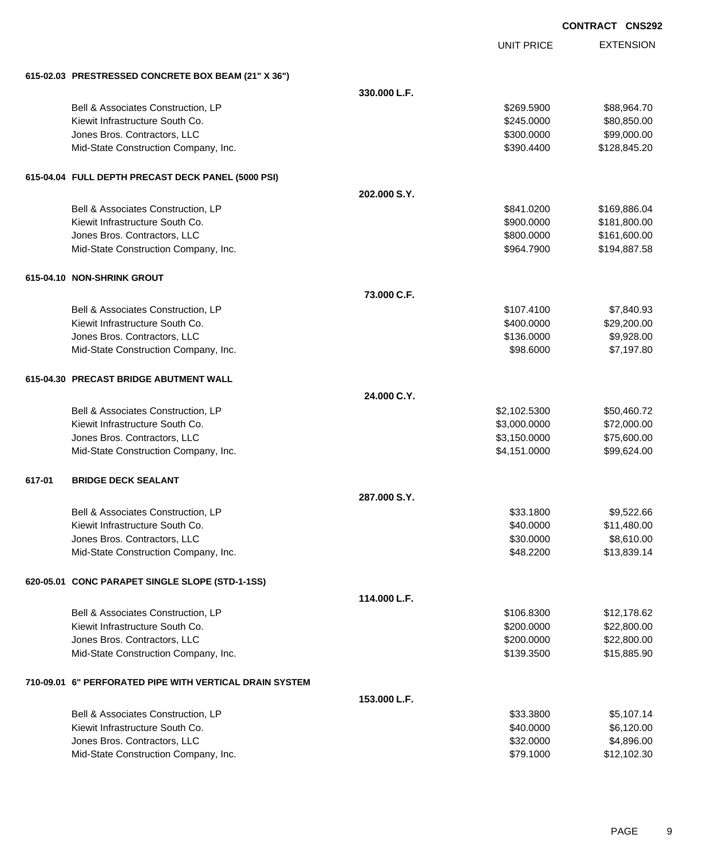| <b>CONTRACT</b> | <b>CNS292</b> |
|-----------------|---------------|
|                 |               |

EXTENSION

|        |                                                     |              |                   | <b>CONTRACT CNS2</b> |
|--------|-----------------------------------------------------|--------------|-------------------|----------------------|
|        |                                                     |              | <b>UNIT PRICE</b> | <b>EXTENSION</b>     |
|        | 615-02.03 PRESTRESSED CONCRETE BOX BEAM (21" X 36") |              |                   |                      |
|        |                                                     | 330.000 L.F. |                   |                      |
|        | Bell & Associates Construction, LP                  |              | \$269.5900        | \$88,964.70          |
|        | Kiewit Infrastructure South Co.                     |              | \$245.0000        | \$80,850.00          |
|        | Jones Bros. Contractors, LLC                        |              | \$300.0000        | \$99,000.00          |
|        | Mid-State Construction Company, Inc.                |              | \$390.4400        | \$128,845.20         |
|        | 615-04.04 FULL DEPTH PRECAST DECK PANEL (5000 PSI)  |              |                   |                      |
|        |                                                     | 202.000 S.Y. |                   |                      |
|        | Bell & Associates Construction, LP                  |              | \$841.0200        | \$169,886.04         |
|        | Kiewit Infrastructure South Co.                     |              | \$900.0000        | \$181,800.00         |
|        | Jones Bros. Contractors, LLC                        |              | \$800.0000        | \$161,600.00         |
|        | Mid-State Construction Company, Inc.                |              | \$964.7900        | \$194,887.58         |
|        | 615-04.10 NON-SHRINK GROUT                          |              |                   |                      |
|        |                                                     | 73.000 C.F.  |                   |                      |
|        | Bell & Associates Construction, LP                  |              | \$107.4100        | \$7,840.93           |
|        | Kiewit Infrastructure South Co.                     |              | \$400.0000        | \$29,200.00          |
|        | Jones Bros. Contractors, LLC                        |              | \$136.0000        | \$9,928.00           |
|        | Mid-State Construction Company, Inc.                |              | \$98.6000         | \$7,197.80           |
|        | 615-04.30 PRECAST BRIDGE ABUTMENT WALL              |              |                   |                      |
|        |                                                     | 24.000 C.Y.  |                   |                      |
|        | Bell & Associates Construction, LP                  |              | \$2,102.5300      | \$50,460.72          |
|        | Kiewit Infrastructure South Co.                     |              | \$3,000.0000      | \$72,000.00          |
|        | Jones Bros. Contractors, LLC                        |              | \$3,150.0000      | \$75,600.00          |
|        | Mid-State Construction Company, Inc.                |              | \$4,151.0000      | \$99,624.00          |
| 617-01 | <b>BRIDGE DECK SEALANT</b>                          |              |                   |                      |
|        |                                                     | 287,000 S.Y. |                   |                      |
|        | Bell & Associates Construction, LP                  |              | \$33.1800         | \$9,522.66           |
|        | Kiewit Infrastructure South Co.                     |              | \$40.0000         | \$11,480.00          |
|        | Jones Bros. Contractors, LLC                        |              | \$30.0000         | \$8,610.00           |
|        | Mid-State Construction Company, Inc.                |              | \$48.2200         | \$13,839.14          |
|        | 620-05.01 CONC PARAPET SINGLE SLOPE (STD-1-1SS)     |              |                   |                      |
|        |                                                     | 114.000 L.F. |                   |                      |
|        | Bell & Associates Construction, LP                  |              | \$106.8300        | \$12,178.62          |
|        | Kiewit Infrastructure South Co.                     |              | \$200.0000        | \$22,800.00          |
|        | Jones Bros. Contractors, LLC                        |              | \$200.0000        | \$22,800.00          |
|        | Mid-State Construction Company, Inc.                |              | \$139.3500        | \$15,885.90          |
|        |                                                     |              |                   |                      |

## **710-09.01 6" PERFORATED PIPE WITH VERTICAL DRAIN SYSTEM**

| 153.000 L.F.                         |           |             |
|--------------------------------------|-----------|-------------|
| Bell & Associates Construction, LP   | \$33,3800 | \$5.107.14  |
| Kiewit Infrastructure South Co.      | \$40,0000 | \$6.120.00  |
| Jones Bros. Contractors, LLC         | \$32,0000 | \$4.896.00  |
| Mid-State Construction Company, Inc. | \$79.1000 | \$12,102.30 |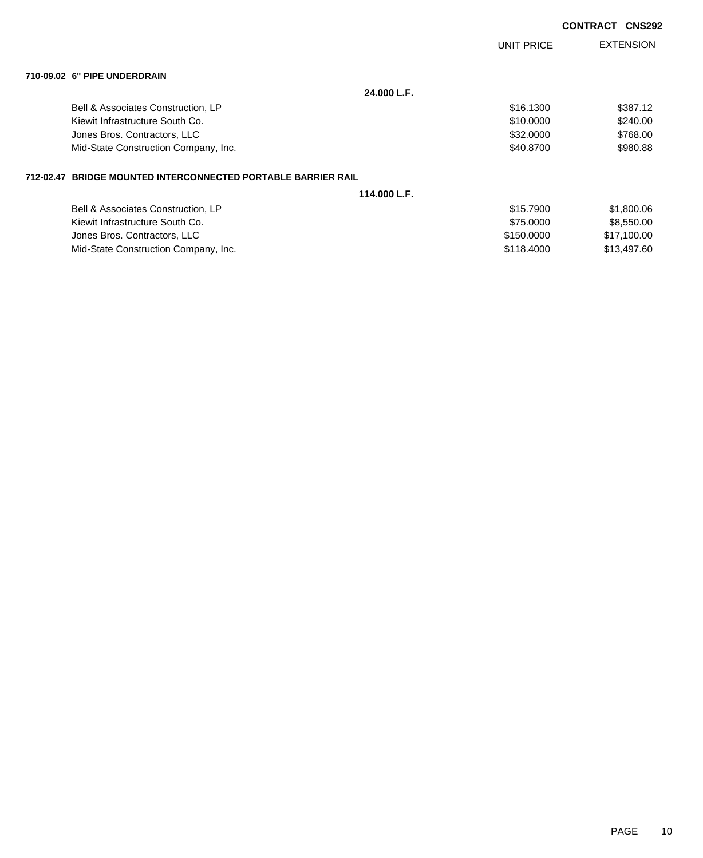|           |                                                            |              |                   | <b>CONTRACT</b><br><b>CNS292</b> |
|-----------|------------------------------------------------------------|--------------|-------------------|----------------------------------|
|           |                                                            |              | <b>UNIT PRICE</b> | <b>EXTENSION</b>                 |
|           | 710-09.02 6" PIPE UNDERDRAIN                               |              |                   |                                  |
|           |                                                            | 24.000 L.F.  |                   |                                  |
|           | Bell & Associates Construction, LP                         |              | \$16.1300         | \$387.12                         |
|           | Kiewit Infrastructure South Co.                            |              | \$10.0000         | \$240.00                         |
|           | Jones Bros. Contractors, LLC                               |              | \$32,0000         | \$768.00                         |
|           | Mid-State Construction Company, Inc.                       |              | \$40.8700         | \$980.88                         |
| 712-02.47 | <b>BRIDGE MOUNTED INTERCONNECTED PORTABLE BARRIER RAIL</b> |              |                   |                                  |
|           |                                                            | 114.000 L.F. |                   |                                  |
|           | Bell & Associates Construction, LP                         |              | \$15.7900         | \$1,800.06                       |
|           | Kiewit Infrastructure South Co.                            |              | \$75,0000         | \$8,550.00                       |

Jones Bros. Contractors, LLC \$150.0000 \$17,100.00 Mid-State Construction Company, Inc. 600 and the state of the state State Construction Company, Inc.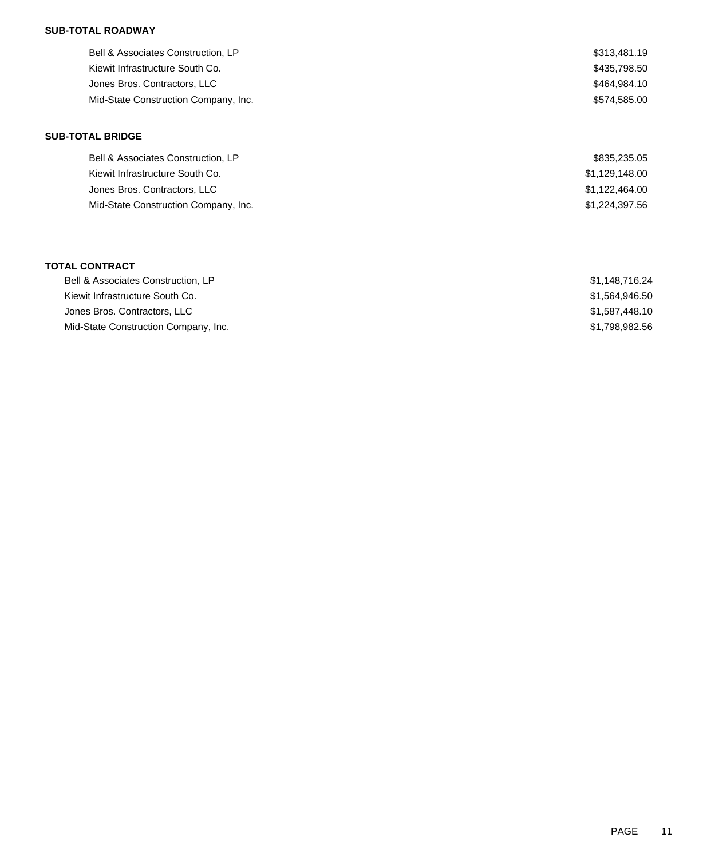## **SUB-TOTAL ROADWAY**

| Bell & Associates Construction, LP   | \$313,481.19 |
|--------------------------------------|--------------|
| Kiewit Infrastructure South Co.      | \$435,798,50 |
| Jones Bros. Contractors, LLC         | \$464,984.10 |
| Mid-State Construction Company, Inc. | \$574.585.00 |

### **SUB-TOTAL BRIDGE**

| \$835,235.05   |
|----------------|
| \$1,129,148.00 |
| \$1,122,464.00 |
| \$1,224,397.56 |
|                |

#### **TOTAL CONTRACT**

| Bell & Associates Construction, LP   | \$1.148.716.24 |
|--------------------------------------|----------------|
| Kiewit Infrastructure South Co.      | \$1.564.946.50 |
| Jones Bros. Contractors, LLC         | \$1.587.448.10 |
| Mid-State Construction Company, Inc. | \$1,798,982.56 |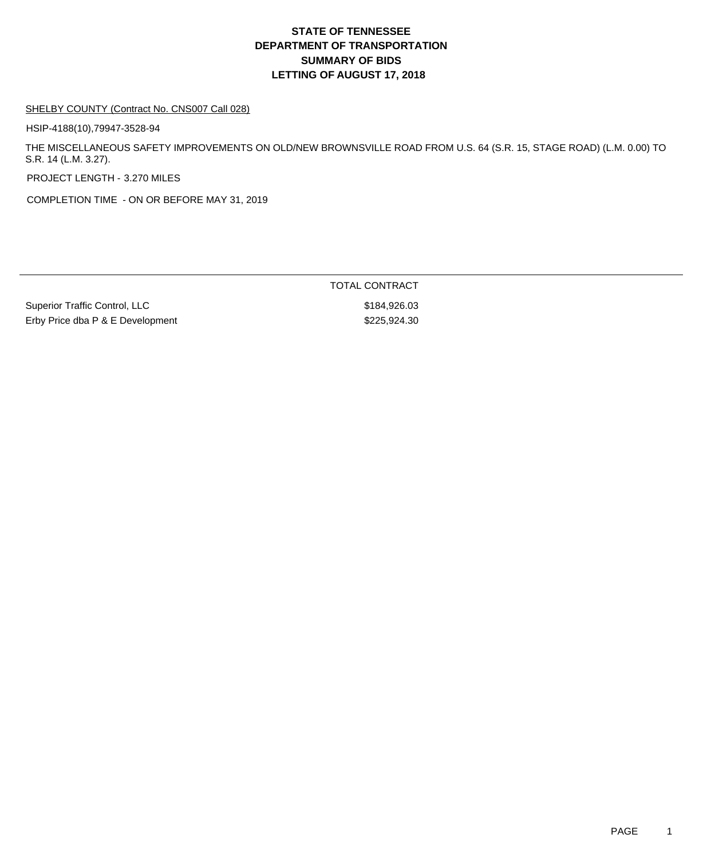# **DEPARTMENT OF TRANSPORTATION SUMMARY OF BIDS LETTING OF AUGUST 17, 2018 STATE OF TENNESSEE**

#### SHELBY COUNTY (Contract No. CNS007 Call 028)

HSIP-4188(10),79947-3528-94

THE MISCELLANEOUS SAFETY IMPROVEMENTS ON OLD/NEW BROWNSVILLE ROAD FROM U.S. 64 (S.R. 15, STAGE ROAD) (L.M. 0.00) TO S.R. 14 (L.M. 3.27).

PROJECT LENGTH - 3.270 MILES

COMPLETION TIME - ON OR BEFORE MAY 31, 2019

Superior Traffic Control, LLC \$184,926.03 Erby Price dba P & E Development \$225,924.30

TOTAL CONTRACT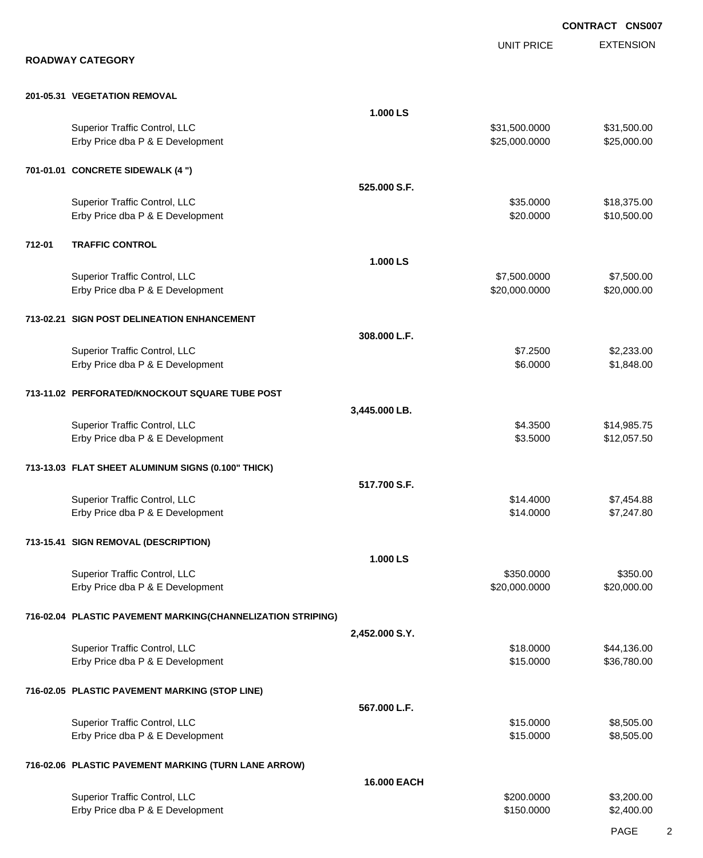|        | <b>ROADWAY CATEGORY</b>                                           |                | <b>UNIT PRICE</b>              | <b>EXTENSION</b>           |
|--------|-------------------------------------------------------------------|----------------|--------------------------------|----------------------------|
|        |                                                                   |                |                                |                            |
|        | 201-05.31 VEGETATION REMOVAL                                      |                |                                |                            |
|        |                                                                   | 1.000 LS       |                                |                            |
|        | Superior Traffic Control, LLC<br>Erby Price dba P & E Development |                | \$31,500.0000<br>\$25,000.0000 | \$31,500.00<br>\$25,000.00 |
|        | 701-01.01 CONCRETE SIDEWALK (4 ")                                 |                |                                |                            |
|        |                                                                   | 525.000 S.F.   |                                |                            |
|        | Superior Traffic Control, LLC<br>Erby Price dba P & E Development |                | \$35.0000<br>\$20.0000         | \$18,375.00<br>\$10,500.00 |
| 712-01 | <b>TRAFFIC CONTROL</b>                                            |                |                                |                            |
|        |                                                                   | 1.000 LS       |                                |                            |
|        |                                                                   |                |                                |                            |
|        | Superior Traffic Control, LLC<br>Erby Price dba P & E Development |                | \$7,500.0000<br>\$20,000.0000  | \$7,500.00<br>\$20,000.00  |
|        | 713-02.21 SIGN POST DELINEATION ENHANCEMENT                       |                |                                |                            |
|        |                                                                   | 308.000 L.F.   |                                |                            |
|        | Superior Traffic Control, LLC                                     |                | \$7.2500                       | \$2,233.00                 |
|        | Erby Price dba P & E Development                                  |                | \$6.0000                       | \$1,848.00                 |
|        | 713-11.02 PERFORATED/KNOCKOUT SQUARE TUBE POST                    |                |                                |                            |
|        |                                                                   | 3,445.000 LB.  |                                |                            |
|        | Superior Traffic Control, LLC<br>Erby Price dba P & E Development |                | \$4.3500<br>\$3.5000           | \$14,985.75<br>\$12,057.50 |
|        | 713-13.03 FLAT SHEET ALUMINUM SIGNS (0.100" THICK)                |                |                                |                            |
|        |                                                                   | 517.700 S.F.   |                                |                            |
|        | Superior Traffic Control, LLC                                     |                | \$14,4000                      | \$7,454.88                 |
|        | Erby Price dba P & E Development                                  |                | \$14.0000                      | \$7,247.80                 |
|        | 713-15.41 SIGN REMOVAL (DESCRIPTION)                              |                |                                |                            |
|        |                                                                   | 1.000 LS       |                                |                            |
|        | Superior Traffic Control, LLC                                     |                | \$350.0000                     | \$350.00                   |
|        | Erby Price dba P & E Development                                  |                | \$20,000.0000                  | \$20,000.00                |
|        | 716-02.04 PLASTIC PAVEMENT MARKING(CHANNELIZATION STRIPING)       | 2,452.000 S.Y. |                                |                            |
|        | Superior Traffic Control, LLC                                     |                | \$18.0000                      | \$44,136.00                |
|        | Erby Price dba P & E Development                                  |                | \$15.0000                      | \$36,780.00                |
|        | 716-02.05 PLASTIC PAVEMENT MARKING (STOP LINE)                    |                |                                |                            |
|        |                                                                   | 567.000 L.F.   |                                |                            |
|        | Superior Traffic Control, LLC                                     |                | \$15.0000                      | \$8,505.00                 |
|        | Erby Price dba P & E Development                                  |                | \$15.0000                      | \$8,505.00                 |
|        | 716-02.06 PLASTIC PAVEMENT MARKING (TURN LANE ARROW)              |                |                                |                            |
|        |                                                                   | 16.000 EACH    |                                |                            |
|        | Superior Traffic Control, LLC                                     |                | \$200.0000<br>\$150.0000       | \$3,200.00                 |
|        | Erby Price dba P & E Development                                  |                |                                | \$2,400.00                 |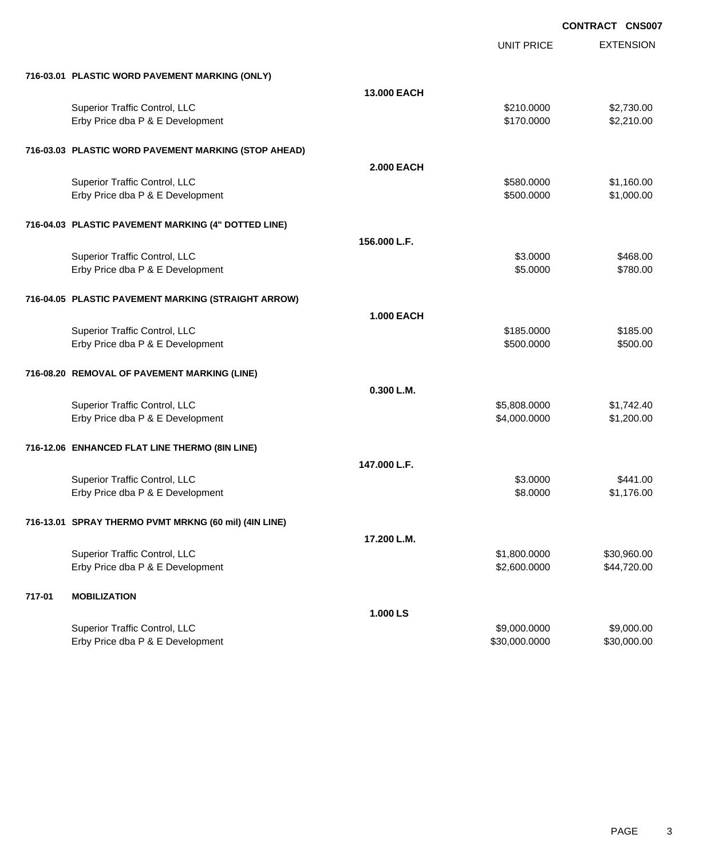**EXTENSION CONTRACT CNS007** UNIT PRICE **716-03.01 PLASTIC WORD PAVEMENT MARKING (ONLY) 13.000 EACH** Superior Traffic Control, LLC 62,730.00 Erby Price dba P & E Development **\$170.0000** \$2,210.00 **716-03.03 PLASTIC WORD PAVEMENT MARKING (STOP AHEAD) 2.000 EACH** Superior Traffic Control, LLC 6 and the state of the state of the state of the state of the state of the state of the state of the state of the state of the state of the state of the state of the state of the state of the Erby Price dba P & E Development **\$500.0000 \$1,000.00** \$1,000.00 **716-04.03 PLASTIC PAVEMENT MARKING (4" DOTTED LINE) 156.000 L.F.** Superior Traffic Control, LLC \$468.00 Erby Price dba P & E Development  $$5.0000$  \$780.00 **716-04.05 PLASTIC PAVEMENT MARKING (STRAIGHT ARROW) 1.000 EACH** Superior Traffic Control, LLC 6185.000 \$185.000 \$185.000 \$185.000 Erby Price dba P & E Development  $$500.000$  \$500.000 \$500.000 **716-08.20 REMOVAL OF PAVEMENT MARKING (LINE) 0.300 L.M.** Superior Traffic Control, LLC \$5,808.0000 \$1,742.40 Erby Price dba P & E Development **\$4,000.0000** \$1,200.000 \$1,200.000 **716-12.06 ENHANCED FLAT LINE THERMO (8IN LINE) 147.000 L.F.** Superior Traffic Control, LLC 6441.00 Erby Price dba P & E Development **\$8.0000** \$1,176.00 **716-13.01 SPRAY THERMO PVMT MRKNG (60 mil) (4IN LINE) 17.200 L.M.** Superior Traffic Control, LLC 6.0000 \$30,960.00 Erby Price dba P & E Development **\$2,600.0000 \$44,720.00** \$44,720.00 **717-01 MOBILIZATION 1.000 LS** Superior Traffic Control, LLC 6. The state of the state of the state of the state of the state of the state of the state of the state of the state of the state of the state of the state of the state of the state of the sta Erby Price dba P & E Development **\$30,000.000 \$30,000.000** \$30,000.000 \$30,000.000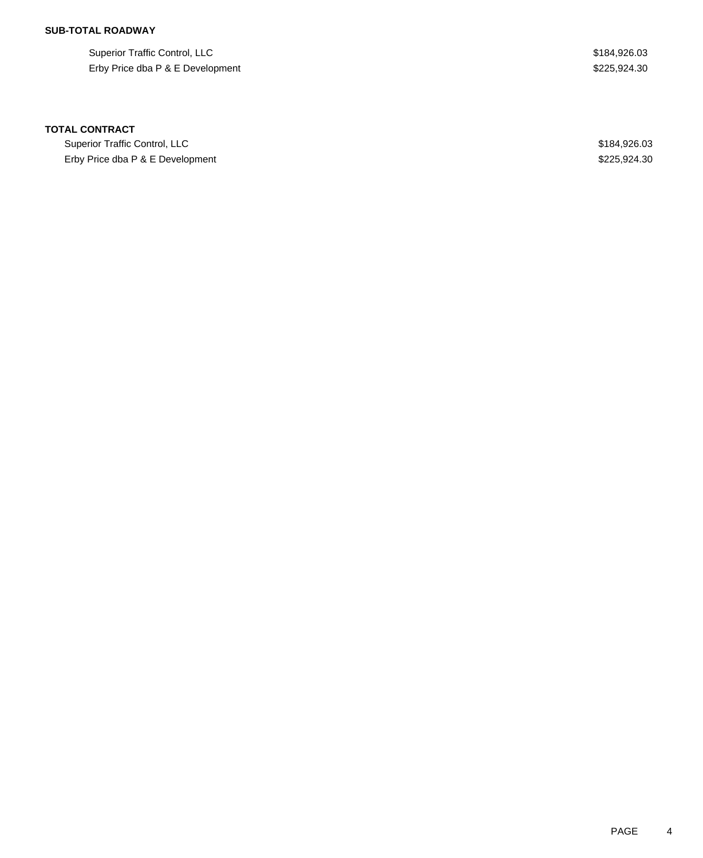## **SUB-TOTAL ROADWAY**

Superior Traffic Control, LLC \$184,926.03 Erby Price dba P & E Development \$225,924.30

### **TOTAL CONTRACT**

Superior Traffic Control, LLC **\$184,926.03** Erby Price dba P & E Development \$225,924.30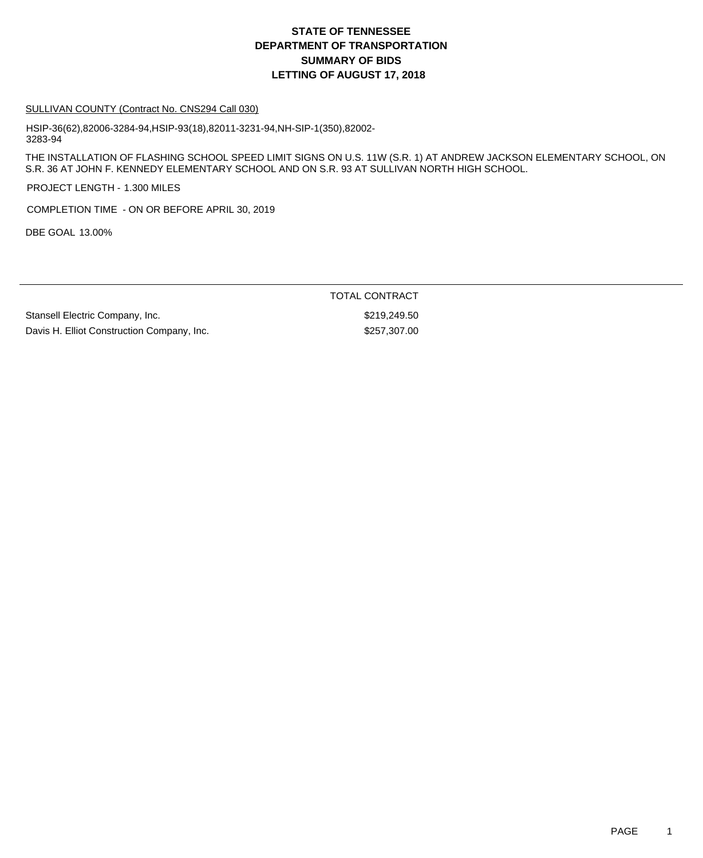# **DEPARTMENT OF TRANSPORTATION SUMMARY OF BIDS LETTING OF AUGUST 17, 2018 STATE OF TENNESSEE**

#### SULLIVAN COUNTY (Contract No. CNS294 Call 030)

HSIP-36(62),82006-3284-94,HSIP-93(18),82011-3231-94,NH-SIP-1(350),82002- 3283-94

THE INSTALLATION OF FLASHING SCHOOL SPEED LIMIT SIGNS ON U.S. 11W (S.R. 1) AT ANDREW JACKSON ELEMENTARY SCHOOL, ON S.R. 36 AT JOHN F. KENNEDY ELEMENTARY SCHOOL AND ON S.R. 93 AT SULLIVAN NORTH HIGH SCHOOL.

PROJECT LENGTH - 1.300 MILES

COMPLETION TIME - ON OR BEFORE APRIL 30, 2019

DBE GOAL 13.00%

TOTAL CONTRACT

Stansell Electric Company, Inc.  $$219,249.50$ Davis H. Elliot Construction Company, Inc. 63257,307.00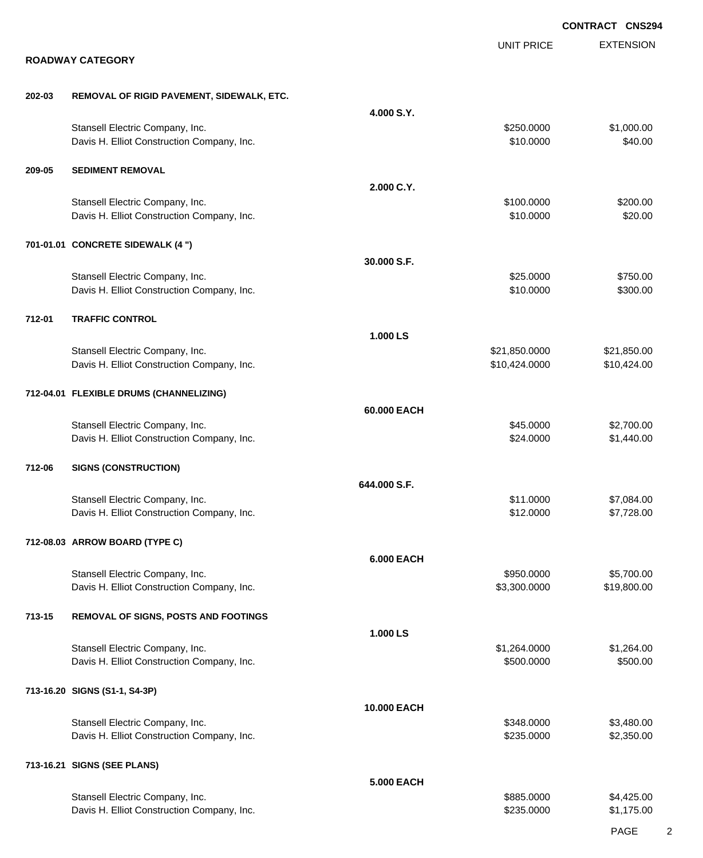|        |                                                                               |                   |                                | <b>CONTRACT CNS294</b>     |
|--------|-------------------------------------------------------------------------------|-------------------|--------------------------------|----------------------------|
|        | <b>ROADWAY CATEGORY</b>                                                       |                   | <b>UNIT PRICE</b>              | <b>EXTENSION</b>           |
|        |                                                                               |                   |                                |                            |
| 202-03 | REMOVAL OF RIGID PAVEMENT, SIDEWALK, ETC.                                     |                   |                                |                            |
|        | Stansell Electric Company, Inc.<br>Davis H. Elliot Construction Company, Inc. | 4.000 S.Y.        | \$250.0000<br>\$10.0000        | \$1,000.00<br>\$40.00      |
| 209-05 | <b>SEDIMENT REMOVAL</b>                                                       |                   |                                |                            |
|        |                                                                               | 2.000 C.Y.        |                                |                            |
|        | Stansell Electric Company, Inc.<br>Davis H. Elliot Construction Company, Inc. |                   | \$100.0000<br>\$10.0000        | \$200.00<br>\$20.00        |
|        | 701-01.01 CONCRETE SIDEWALK (4 ")                                             |                   |                                |                            |
|        |                                                                               | 30.000 S.F.       |                                |                            |
|        | Stansell Electric Company, Inc.<br>Davis H. Elliot Construction Company, Inc. |                   | \$25.0000<br>\$10.0000         | \$750.00<br>\$300.00       |
| 712-01 | <b>TRAFFIC CONTROL</b>                                                        |                   |                                |                            |
|        |                                                                               | 1.000 LS          |                                |                            |
|        | Stansell Electric Company, Inc.<br>Davis H. Elliot Construction Company, Inc. |                   | \$21,850.0000<br>\$10,424.0000 | \$21,850.00<br>\$10,424.00 |
|        | 712-04.01 FLEXIBLE DRUMS (CHANNELIZING)                                       |                   |                                |                            |
|        | Stansell Electric Company, Inc.                                               | 60.000 EACH       | \$45.0000                      | \$2,700.00                 |
|        | Davis H. Elliot Construction Company, Inc.                                    |                   | \$24.0000                      | \$1,440.00                 |
| 712-06 | <b>SIGNS (CONSTRUCTION)</b>                                                   |                   |                                |                            |
|        | Stansell Electric Company, Inc.                                               | 644,000 S.F.      | \$11.0000                      |                            |
|        | Davis H. Elliot Construction Company, Inc.                                    |                   | \$12.0000                      | \$7,084.00<br>\$7,728.00   |
|        | 712-08.03 ARROW BOARD (TYPE C)                                                |                   |                                |                            |
|        |                                                                               | <b>6.000 EACH</b> |                                |                            |
|        | Stansell Electric Company, Inc.<br>Davis H. Elliot Construction Company, Inc. |                   | \$950.0000<br>\$3,300.0000     | \$5,700.00<br>\$19,800.00  |
| 713-15 | REMOVAL OF SIGNS, POSTS AND FOOTINGS                                          |                   |                                |                            |
|        | Stansell Electric Company, Inc.                                               | 1.000 LS          | \$1,264.0000                   | \$1,264.00                 |
|        | Davis H. Elliot Construction Company, Inc.                                    |                   | \$500.0000                     | \$500.00                   |
|        | 713-16.20 SIGNS (S1-1, S4-3P)                                                 |                   |                                |                            |
|        |                                                                               | 10.000 EACH       |                                |                            |
|        | Stansell Electric Company, Inc.<br>Davis H. Elliot Construction Company, Inc. |                   | \$348.0000<br>\$235.0000       | \$3,480.00<br>\$2,350.00   |
|        | 713-16.21 SIGNS (SEE PLANS)                                                   |                   |                                |                            |
|        |                                                                               | <b>5.000 EACH</b> | \$885.0000                     | \$4,425.00                 |
|        | Stansell Electric Company, Inc.<br>Davis H. Elliot Construction Company, Inc. |                   | \$235.0000                     | \$1,175.00                 |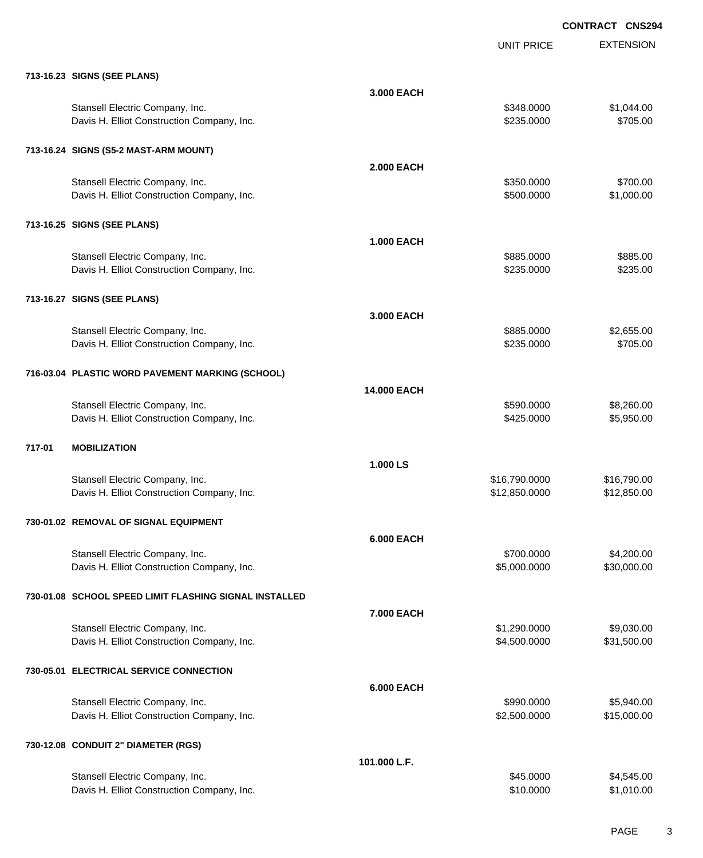|        |                                                        |                   |                   | <b>CONTRACT CNSZS</b> |
|--------|--------------------------------------------------------|-------------------|-------------------|-----------------------|
|        |                                                        |                   | <b>UNIT PRICE</b> | <b>EXTENSION</b>      |
|        | 713-16.23 SIGNS (SEE PLANS)                            |                   |                   |                       |
|        |                                                        | 3.000 EACH        |                   |                       |
|        | Stansell Electric Company, Inc.                        |                   | \$348.0000        | \$1,044.00            |
|        | Davis H. Elliot Construction Company, Inc.             |                   | \$235.0000        | \$705.00              |
|        | 713-16.24 SIGNS (S5-2 MAST-ARM MOUNT)                  |                   |                   |                       |
|        |                                                        | <b>2.000 EACH</b> |                   |                       |
|        | Stansell Electric Company, Inc.                        |                   | \$350.0000        | \$700.00              |
|        | Davis H. Elliot Construction Company, Inc.             |                   | \$500.0000        | \$1,000.00            |
|        | 713-16.25 SIGNS (SEE PLANS)                            |                   |                   |                       |
|        |                                                        | <b>1.000 EACH</b> |                   |                       |
|        | Stansell Electric Company, Inc.                        |                   | \$885.0000        | \$885.00              |
|        | Davis H. Elliot Construction Company, Inc.             |                   | \$235.0000        | \$235.00              |
|        | 713-16.27 SIGNS (SEE PLANS)                            |                   |                   |                       |
|        |                                                        | 3.000 EACH        |                   |                       |
|        | Stansell Electric Company, Inc.                        |                   | \$885.0000        | \$2,655.00            |
|        | Davis H. Elliot Construction Company, Inc.             |                   | \$235.0000        | \$705.00              |
|        | 716-03.04 PLASTIC WORD PAVEMENT MARKING (SCHOOL)       |                   |                   |                       |
|        |                                                        | 14.000 EACH       |                   |                       |
|        | Stansell Electric Company, Inc.                        |                   | \$590.0000        | \$8,260.00            |
|        | Davis H. Elliot Construction Company, Inc.             |                   | \$425.0000        | \$5,950.00            |
| 717-01 | <b>MOBILIZATION</b>                                    |                   |                   |                       |
|        |                                                        | 1.000 LS          |                   |                       |
|        | Stansell Electric Company, Inc.                        |                   | \$16,790.0000     | \$16,790.00           |
|        | Davis H. Elliot Construction Company, Inc.             |                   | \$12,850.0000     | \$12,850.00           |
|        | 730-01.02 REMOVAL OF SIGNAL EQUIPMENT                  |                   |                   |                       |
|        |                                                        | <b>6.000 EACH</b> |                   |                       |
|        | Stansell Electric Company, Inc.                        |                   | \$700.0000        | \$4,200.00            |
|        | Davis H. Elliot Construction Company, Inc.             |                   | \$5,000.0000      | \$30,000.00           |
|        | 730-01.08 SCHOOL SPEED LIMIT FLASHING SIGNAL INSTALLED |                   |                   |                       |
|        |                                                        | 7.000 EACH        |                   |                       |
|        | Stansell Electric Company, Inc.                        |                   | \$1,290.0000      | \$9,030.00            |
|        | Davis H. Elliot Construction Company, Inc.             |                   | \$4,500.0000      | \$31,500.00           |
|        | 730-05.01 ELECTRICAL SERVICE CONNECTION                |                   |                   |                       |
|        |                                                        | <b>6.000 EACH</b> |                   |                       |
|        | Stansell Electric Company, Inc.                        |                   | \$990.0000        | \$5,940.00            |
|        | Davis H. Elliot Construction Company, Inc.             |                   | \$2,500.0000      | \$15,000.00           |
|        | 730-12.08 CONDUIT 2" DIAMETER (RGS)                    |                   |                   |                       |
|        |                                                        | 101.000 L.F.      |                   |                       |
|        | Stansell Electric Company, Inc.                        |                   | \$45.0000         | \$4,545.00            |
|        | Davis H. Elliot Construction Company, Inc.             |                   | \$10.0000         | \$1,010.00            |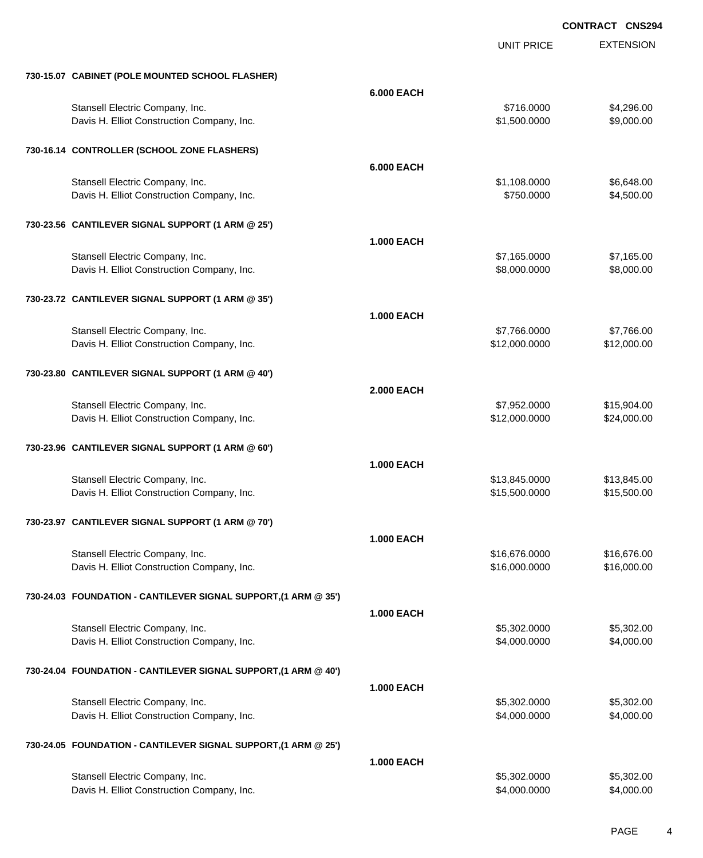UNIT PRICE EXTENSION

| 730-15.07 CABINET (POLE MOUNTED SCHOOL FLASHER)                 |                   |               |             |
|-----------------------------------------------------------------|-------------------|---------------|-------------|
|                                                                 | <b>6.000 EACH</b> |               |             |
| Stansell Electric Company, Inc.                                 |                   | \$716.0000    | \$4,296.00  |
| Davis H. Elliot Construction Company, Inc.                      |                   | \$1,500.0000  | \$9,000.00  |
|                                                                 |                   |               |             |
| 730-16.14 CONTROLLER (SCHOOL ZONE FLASHERS)                     |                   |               |             |
|                                                                 | <b>6.000 EACH</b> |               |             |
| Stansell Electric Company, Inc.                                 |                   | \$1,108.0000  | \$6,648.00  |
| Davis H. Elliot Construction Company, Inc.                      |                   | \$750.0000    | \$4,500.00  |
|                                                                 |                   |               |             |
| 730-23.56 CANTILEVER SIGNAL SUPPORT (1 ARM @ 25')               |                   |               |             |
|                                                                 |                   |               |             |
|                                                                 | <b>1.000 EACH</b> |               |             |
| Stansell Electric Company, Inc.                                 |                   | \$7,165.0000  | \$7,165.00  |
| Davis H. Elliot Construction Company, Inc.                      |                   | \$8,000.0000  | \$8,000.00  |
|                                                                 |                   |               |             |
| 730-23.72 CANTILEVER SIGNAL SUPPORT (1 ARM @ 35')               |                   |               |             |
|                                                                 | <b>1.000 EACH</b> |               |             |
| Stansell Electric Company, Inc.                                 |                   | \$7,766.0000  | \$7,766.00  |
| Davis H. Elliot Construction Company, Inc.                      |                   | \$12,000.0000 | \$12,000.00 |
|                                                                 |                   |               |             |
| 730-23.80 CANTILEVER SIGNAL SUPPORT (1 ARM @ 40')               |                   |               |             |
|                                                                 | <b>2.000 EACH</b> |               |             |
| Stansell Electric Company, Inc.                                 |                   | \$7,952.0000  | \$15,904.00 |
| Davis H. Elliot Construction Company, Inc.                      |                   | \$12,000.0000 | \$24,000.00 |
|                                                                 |                   |               |             |
| 730-23.96 CANTILEVER SIGNAL SUPPORT (1 ARM @ 60')               |                   |               |             |
|                                                                 |                   |               |             |
|                                                                 | <b>1.000 EACH</b> |               |             |
| Stansell Electric Company, Inc.                                 |                   | \$13,845.0000 | \$13,845.00 |
| Davis H. Elliot Construction Company, Inc.                      |                   | \$15,500.0000 | \$15,500.00 |
|                                                                 |                   |               |             |
| 730-23.97 CANTILEVER SIGNAL SUPPORT (1 ARM @ 70')               |                   |               |             |
|                                                                 | <b>1.000 EACH</b> |               |             |
| Stansell Electric Company, Inc.                                 |                   | \$16,676.0000 | \$16,676.00 |
| Davis H. Elliot Construction Company, Inc.                      |                   | \$16,000.0000 | \$16,000.00 |
|                                                                 |                   |               |             |
| 730-24.03 FOUNDATION - CANTILEVER SIGNAL SUPPORT, (1 ARM @ 35') |                   |               |             |
|                                                                 | <b>1.000 EACH</b> |               |             |
| Stansell Electric Company, Inc.                                 |                   | \$5,302.0000  | \$5,302.00  |
| Davis H. Elliot Construction Company, Inc.                      |                   | \$4,000.0000  | \$4,000.00  |
|                                                                 |                   |               |             |
| 730-24.04 FOUNDATION - CANTILEVER SIGNAL SUPPORT, (1 ARM @ 40') |                   |               |             |
|                                                                 | <b>1.000 EACH</b> |               |             |
| Stansell Electric Company, Inc.                                 |                   | \$5,302.0000  | \$5,302.00  |
| Davis H. Elliot Construction Company, Inc.                      |                   | \$4,000.0000  | \$4,000.00  |
|                                                                 |                   |               |             |
| 730-24.05 FOUNDATION - CANTILEVER SIGNAL SUPPORT, (1 ARM @ 25') |                   |               |             |
|                                                                 |                   |               |             |
|                                                                 | <b>1.000 EACH</b> |               |             |
| Stansell Electric Company, Inc.                                 |                   | \$5,302.0000  | \$5,302.00  |
| Davis H. Elliot Construction Company, Inc.                      |                   | \$4,000.0000  | \$4,000.00  |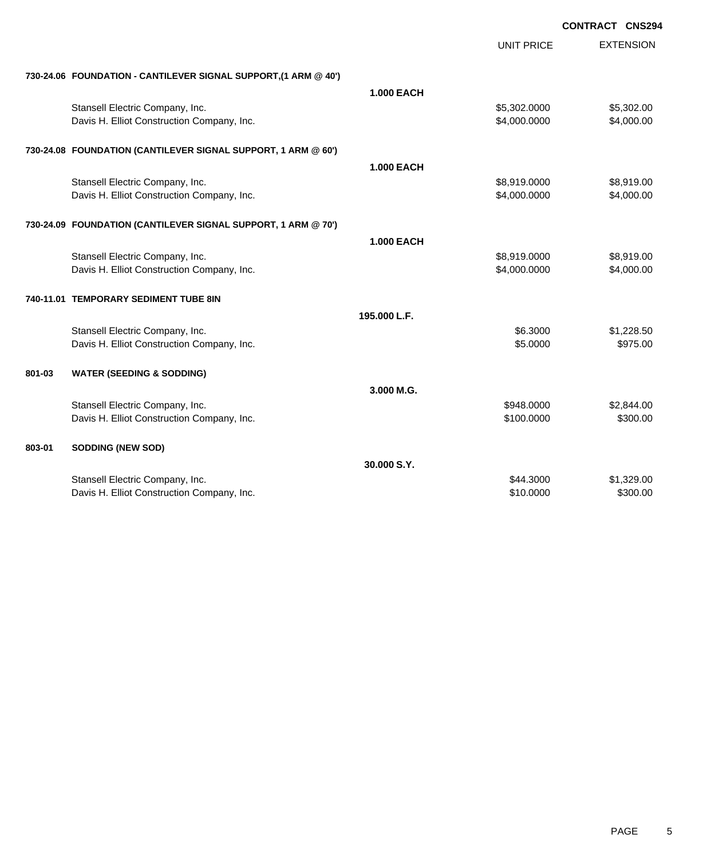| <b>CONTRACT CNS294</b> |  |
|------------------------|--|
|                        |  |

|        |                                                                 |                   | <b>UNIT PRICE</b> | <b>EXTENSION</b> |
|--------|-----------------------------------------------------------------|-------------------|-------------------|------------------|
|        | 730-24.06 FOUNDATION - CANTILEVER SIGNAL SUPPORT, (1 ARM @ 40') |                   |                   |                  |
|        |                                                                 | <b>1.000 EACH</b> |                   |                  |
|        | Stansell Electric Company, Inc.                                 |                   | \$5,302.0000      | \$5,302.00       |
|        | Davis H. Elliot Construction Company, Inc.                      |                   | \$4,000.0000      | \$4,000.00       |
|        | 730-24.08 FOUNDATION (CANTILEVER SIGNAL SUPPORT, 1 ARM @ 60')   |                   |                   |                  |
|        |                                                                 | <b>1.000 EACH</b> |                   |                  |
|        | Stansell Electric Company, Inc.                                 |                   | \$8,919.0000      | \$8,919.00       |
|        | Davis H. Elliot Construction Company, Inc.                      |                   | \$4,000.0000      | \$4,000.00       |
|        | 730-24.09 FOUNDATION (CANTILEVER SIGNAL SUPPORT, 1 ARM @ 70')   |                   |                   |                  |
|        |                                                                 | <b>1.000 EACH</b> |                   |                  |
|        | Stansell Electric Company, Inc.                                 |                   | \$8,919.0000      | \$8,919.00       |
|        | Davis H. Elliot Construction Company, Inc.                      |                   | \$4,000.0000      | \$4,000.00       |
|        | 740-11.01 TEMPORARY SEDIMENT TUBE 8IN                           |                   |                   |                  |
|        |                                                                 | 195.000 L.F.      |                   |                  |
|        | Stansell Electric Company, Inc.                                 |                   | \$6.3000          | \$1,228.50       |
|        | Davis H. Elliot Construction Company, Inc.                      |                   | \$5,0000          | \$975.00         |
| 801-03 | <b>WATER (SEEDING &amp; SODDING)</b>                            |                   |                   |                  |
|        |                                                                 | 3.000 M.G.        |                   |                  |
|        | Stansell Electric Company, Inc.                                 |                   | \$948.0000        | \$2,844.00       |
|        | Davis H. Elliot Construction Company, Inc.                      |                   | \$100.0000        | \$300.00         |
| 803-01 | <b>SODDING (NEW SOD)</b>                                        |                   |                   |                  |
|        |                                                                 | 30.000 S.Y.       |                   |                  |
|        | Stansell Electric Company, Inc.                                 |                   | \$44.3000         | \$1,329.00       |
|        | Davis H. Elliot Construction Company, Inc.                      |                   | \$10.0000         | \$300.00         |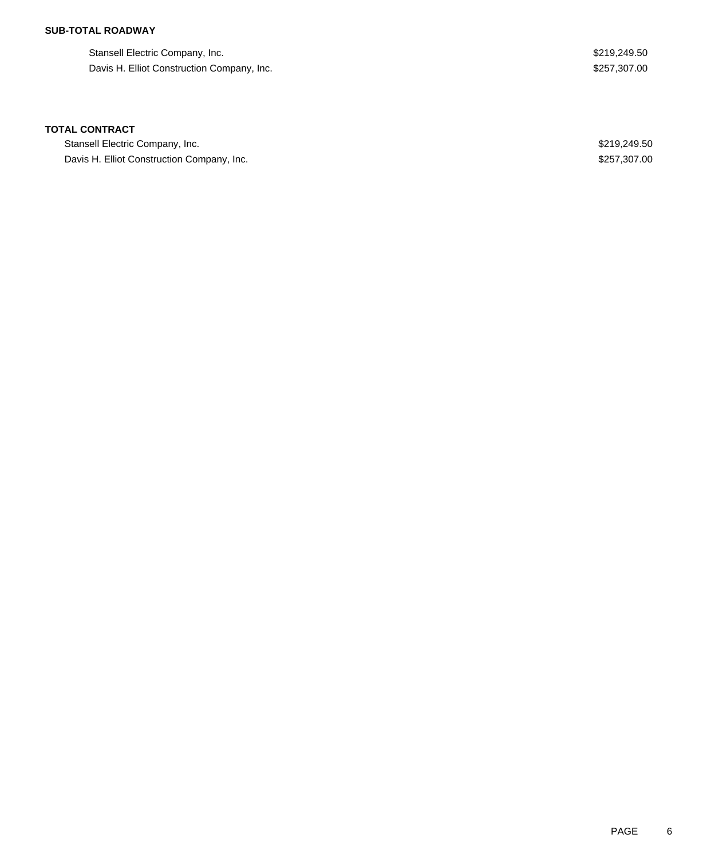## **SUB-TOTAL ROADWAY**

Stansell Electric Company, Inc. 6. The Stansell Electric Company, Inc. 6. The Stansell Electric Company, Inc. Davis H. Elliot Construction Company, Inc. 6. 257, 207.00

### **TOTAL CONTRACT**

Stansell Electric Company, Inc. 6. The Stansell Electric Company, Inc. 6. The Stansell Electric Company, Inc. Davis H. Elliot Construction Company, Inc. 6. 2007 19:30 19:30 19:30 19:30 19:30 19:30 19:30 19:30 19:30 19:30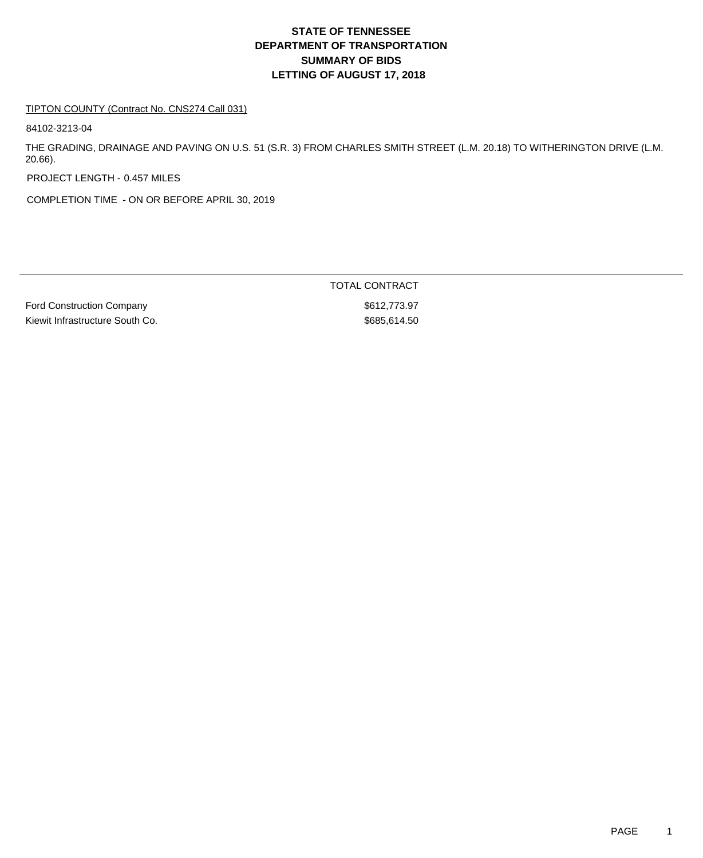# **DEPARTMENT OF TRANSPORTATION SUMMARY OF BIDS LETTING OF AUGUST 17, 2018 STATE OF TENNESSEE**

#### TIPTON COUNTY (Contract No. CNS274 Call 031)

84102-3213-04

THE GRADING, DRAINAGE AND PAVING ON U.S. 51 (S.R. 3) FROM CHARLES SMITH STREET (L.M. 20.18) TO WITHERINGTON DRIVE (L.M. 20.66).

PROJECT LENGTH - 0.457 MILES

COMPLETION TIME - ON OR BEFORE APRIL 30, 2019

Ford Construction Company **Example 2012** 3612,773.97 Kiewit Infrastructure South Co. \$685,614.50

TOTAL CONTRACT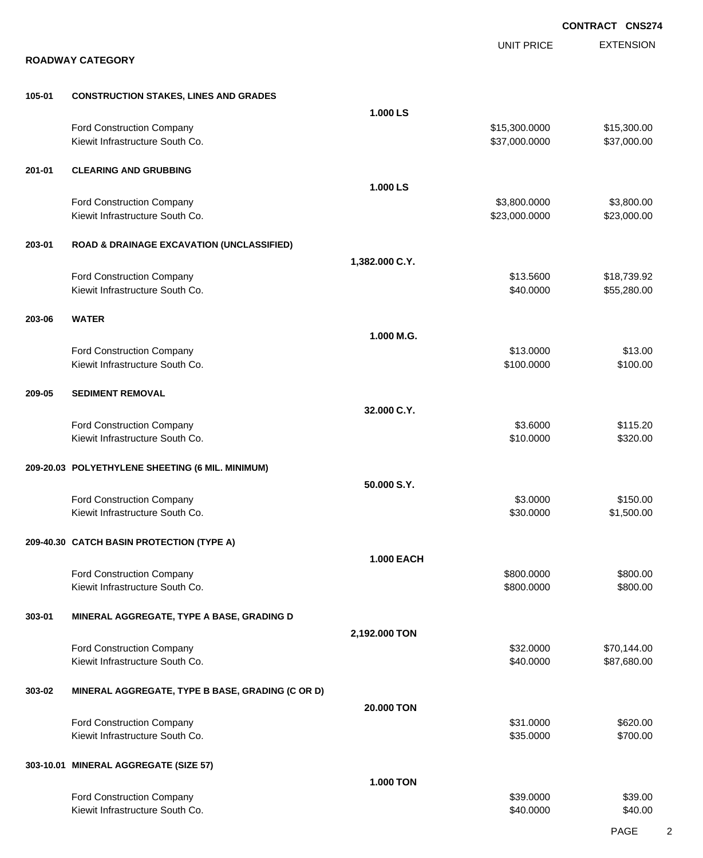|        |                                                              | <b>CONTRACT CNS274</b> |                                |                            |
|--------|--------------------------------------------------------------|------------------------|--------------------------------|----------------------------|
|        | <b>ROADWAY CATEGORY</b>                                      |                        | <b>UNIT PRICE</b>              | <b>EXTENSION</b>           |
|        |                                                              |                        |                                |                            |
| 105-01 | <b>CONSTRUCTION STAKES, LINES AND GRADES</b>                 |                        |                                |                            |
|        |                                                              | 1.000 LS               |                                |                            |
|        | Ford Construction Company<br>Kiewit Infrastructure South Co. |                        | \$15,300.0000<br>\$37,000.0000 | \$15,300.00<br>\$37,000.00 |
| 201-01 | <b>CLEARING AND GRUBBING</b>                                 |                        |                                |                            |
|        |                                                              | 1.000 LS               |                                |                            |
|        | Ford Construction Company<br>Kiewit Infrastructure South Co. |                        | \$3,800.0000<br>\$23,000.0000  | \$3,800.00<br>\$23,000.00  |
| 203-01 | <b>ROAD &amp; DRAINAGE EXCAVATION (UNCLASSIFIED)</b>         |                        |                                |                            |
|        |                                                              | 1,382.000 C.Y.         |                                |                            |
|        | Ford Construction Company<br>Kiewit Infrastructure South Co. |                        | \$13.5600<br>\$40.0000         | \$18,739.92<br>\$55,280.00 |
| 203-06 | <b>WATER</b>                                                 |                        |                                |                            |
|        |                                                              | 1.000 M.G.             |                                |                            |
|        | Ford Construction Company                                    |                        | \$13.0000                      | \$13.00                    |
|        | Kiewit Infrastructure South Co.                              |                        | \$100.0000                     | \$100.00                   |
| 209-05 | <b>SEDIMENT REMOVAL</b>                                      |                        |                                |                            |
|        |                                                              | 32.000 C.Y.            |                                |                            |
|        | Ford Construction Company<br>Kiewit Infrastructure South Co. |                        | \$3.6000<br>\$10.0000          | \$115.20<br>\$320.00       |
|        | 209-20.03 POLYETHYLENE SHEETING (6 MIL. MINIMUM)             |                        |                                |                            |
|        |                                                              | 50.000 S.Y.            |                                |                            |
|        | Ford Construction Company                                    |                        | \$3.0000                       | \$150.00                   |
|        | Kiewit Infrastructure South Co.                              |                        | \$30.0000                      | \$1,500.00                 |
|        | 209-40.30 CATCH BASIN PROTECTION (TYPE A)                    |                        |                                |                            |
|        |                                                              | <b>1.000 EACH</b>      |                                |                            |
|        | Ford Construction Company                                    |                        | \$800.0000                     | \$800.00                   |
|        | Kiewit Infrastructure South Co.                              |                        | \$800.0000                     | \$800.00                   |
| 303-01 | MINERAL AGGREGATE, TYPE A BASE, GRADING D                    |                        |                                |                            |
|        |                                                              | 2,192.000 TON          |                                |                            |
|        | Ford Construction Company                                    |                        | \$32.0000                      | \$70,144.00                |
|        | Kiewit Infrastructure South Co.                              |                        | \$40.0000                      | \$87,680.00                |
| 303-02 | MINERAL AGGREGATE, TYPE B BASE, GRADING (C OR D)             |                        |                                |                            |
|        |                                                              | 20.000 TON             |                                |                            |
|        | Ford Construction Company<br>Kiewit Infrastructure South Co. |                        | \$31.0000<br>\$35.0000         | \$620.00<br>\$700.00       |
|        | 303-10.01 MINERAL AGGREGATE (SIZE 57)                        |                        |                                |                            |
|        |                                                              | <b>1.000 TON</b>       |                                |                            |
|        | <b>Ford Construction Company</b>                             |                        | \$39.0000                      | \$39.00                    |
|        | Kiewit Infrastructure South Co.                              |                        | \$40.0000                      | \$40.00                    |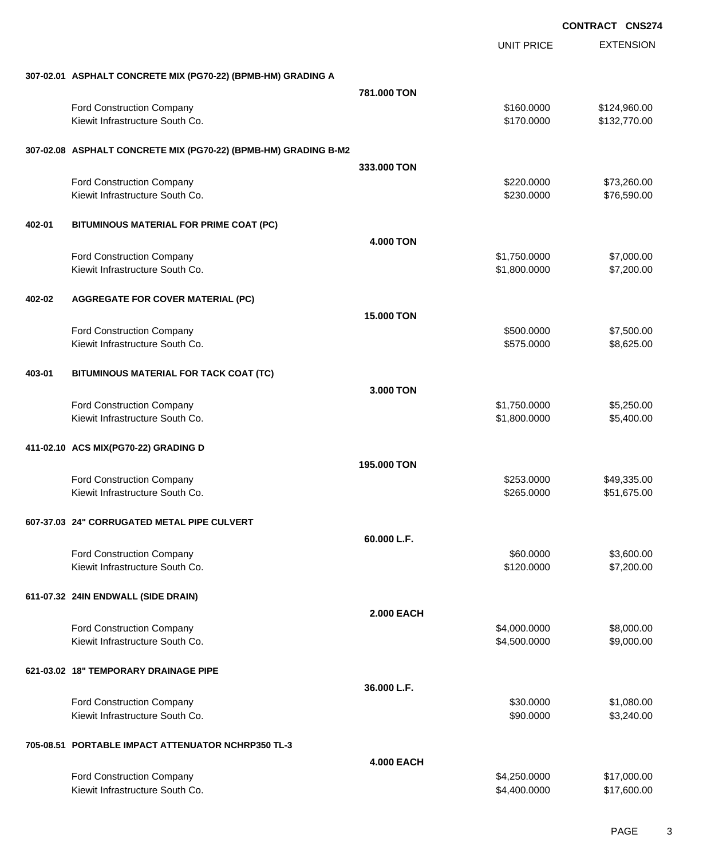|        |                                                                 |                   | <b>UNIT PRICE</b> | <b>EXTENSION</b> |
|--------|-----------------------------------------------------------------|-------------------|-------------------|------------------|
|        | 307-02.01 ASPHALT CONCRETE MIX (PG70-22) (BPMB-HM) GRADING A    |                   |                   |                  |
|        |                                                                 | 781,000 TON       |                   |                  |
|        | Ford Construction Company                                       |                   | \$160.0000        | \$124,960.00     |
|        | Kiewit Infrastructure South Co.                                 |                   | \$170.0000        | \$132,770.00     |
|        | 307-02.08 ASPHALT CONCRETE MIX (PG70-22) (BPMB-HM) GRADING B-M2 |                   |                   |                  |
|        |                                                                 | 333.000 TON       |                   |                  |
|        | Ford Construction Company                                       |                   | \$220.0000        | \$73,260.00      |
|        | Kiewit Infrastructure South Co.                                 |                   | \$230.0000        | \$76,590.00      |
| 402-01 | BITUMINOUS MATERIAL FOR PRIME COAT (PC)                         |                   |                   |                  |
|        |                                                                 | <b>4.000 TON</b>  |                   |                  |
|        | Ford Construction Company                                       |                   | \$1,750.0000      | \$7,000.00       |
|        | Kiewit Infrastructure South Co.                                 |                   | \$1,800.0000      | \$7,200.00       |
| 402-02 | <b>AGGREGATE FOR COVER MATERIAL (PC)</b>                        |                   |                   |                  |
|        |                                                                 | 15.000 TON        |                   |                  |
|        | Ford Construction Company                                       |                   | \$500.0000        | \$7,500.00       |
|        | Kiewit Infrastructure South Co.                                 |                   | \$575.0000        | \$8,625.00       |
| 403-01 | BITUMINOUS MATERIAL FOR TACK COAT (TC)                          |                   |                   |                  |
|        |                                                                 | 3.000 TON         |                   |                  |
|        | <b>Ford Construction Company</b>                                |                   | \$1,750.0000      | \$5,250.00       |
|        | Kiewit Infrastructure South Co.                                 |                   | \$1,800.0000      | \$5,400.00       |
|        | 411-02.10 ACS MIX(PG70-22) GRADING D                            |                   |                   |                  |
|        |                                                                 | 195,000 TON       |                   |                  |
|        | <b>Ford Construction Company</b>                                |                   | \$253.0000        | \$49,335.00      |
|        | Kiewit Infrastructure South Co.                                 |                   | \$265.0000        | \$51,675.00      |
|        | 607-37.03 24" CORRUGATED METAL PIPE CULVERT                     |                   |                   |                  |
|        |                                                                 | 60.000 L.F.       |                   |                  |
|        | <b>Ford Construction Company</b>                                |                   | \$60.0000         | \$3,600.00       |
|        | Kiewit Infrastructure South Co.                                 |                   | \$120.0000        | \$7,200.00       |
|        | 611-07.32 24IN ENDWALL (SIDE DRAIN)                             |                   |                   |                  |
|        |                                                                 | <b>2.000 EACH</b> |                   |                  |
|        | Ford Construction Company                                       |                   | \$4,000.0000      | \$8,000.00       |
|        | Kiewit Infrastructure South Co.                                 |                   | \$4,500.0000      | \$9,000.00       |
|        | 621-03.02 18" TEMPORARY DRAINAGE PIPE                           |                   |                   |                  |
|        |                                                                 | 36.000 L.F.       |                   |                  |
|        | Ford Construction Company                                       |                   | \$30.0000         | \$1,080.00       |
|        | Kiewit Infrastructure South Co.                                 |                   | \$90.0000         | \$3,240.00       |
|        |                                                                 |                   |                   |                  |

# **705-08.51 PORTABLE IMPACT ATTENUATOR NCHRP350 TL-3**

|                                  | <b>4.000 EACH</b> |             |
|----------------------------------|-------------------|-------------|
| <b>Ford Construction Company</b> | \$4,250,0000      | \$17,000.00 |
| Kiewit Infrastructure South Co.  | \$4,400,0000      | \$17,600.00 |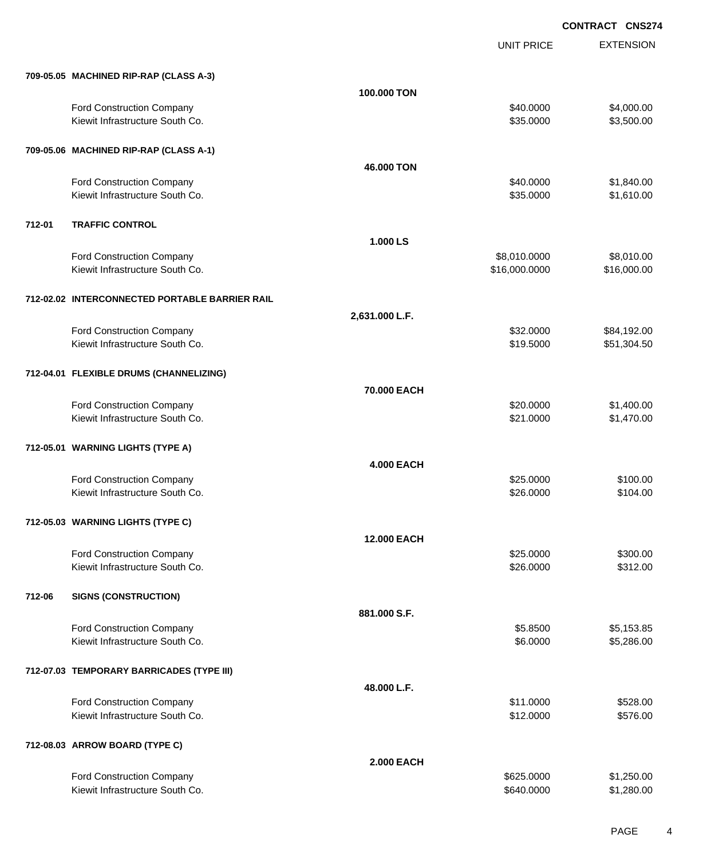|        |                                                |                    | <b>UNIT PRICE</b> | <b>EXTENSION</b> |
|--------|------------------------------------------------|--------------------|-------------------|------------------|
|        | 709-05.05 MACHINED RIP-RAP (CLASS A-3)         |                    |                   |                  |
|        |                                                | <b>100,000 TON</b> |                   |                  |
|        | Ford Construction Company                      |                    | \$40.0000         | \$4,000.00       |
|        | Kiewit Infrastructure South Co.                |                    | \$35.0000         | \$3,500.00       |
|        | 709-05.06 MACHINED RIP-RAP (CLASS A-1)         |                    |                   |                  |
|        |                                                | 46,000 TON         |                   |                  |
|        | Ford Construction Company                      |                    | \$40.0000         | \$1,840.00       |
|        | Kiewit Infrastructure South Co.                |                    | \$35.0000         | \$1,610.00       |
| 712-01 | <b>TRAFFIC CONTROL</b>                         |                    |                   |                  |
|        |                                                | 1.000 LS           |                   |                  |
|        | Ford Construction Company                      |                    | \$8,010.0000      | \$8,010.00       |
|        | Kiewit Infrastructure South Co.                |                    | \$16,000.0000     | \$16,000.00      |
|        | 712-02.02 INTERCONNECTED PORTABLE BARRIER RAIL |                    |                   |                  |
|        |                                                | 2,631.000 L.F.     |                   |                  |
|        | Ford Construction Company                      |                    | \$32.0000         | \$84,192.00      |
|        | Kiewit Infrastructure South Co.                |                    | \$19.5000         | \$51,304.50      |
|        | 712-04.01 FLEXIBLE DRUMS (CHANNELIZING)        |                    |                   |                  |
|        |                                                | 70,000 EACH        |                   |                  |
|        | Ford Construction Company                      |                    | \$20.0000         | \$1,400.00       |
|        | Kiewit Infrastructure South Co.                |                    | \$21.0000         | \$1,470.00       |
|        | 712-05.01 WARNING LIGHTS (TYPE A)              |                    |                   |                  |
|        |                                                | <b>4.000 EACH</b>  |                   |                  |
|        | Ford Construction Company                      |                    | \$25.0000         | \$100.00         |
|        | Kiewit Infrastructure South Co.                |                    | \$26.0000         | \$104.00         |
|        | 712-05.03 WARNING LIGHTS (TYPE C)              |                    |                   |                  |
|        |                                                | <b>12.000 EACH</b> |                   |                  |
|        | Ford Construction Company                      |                    | \$25.0000         | \$300.00         |
|        | Kiewit Infrastructure South Co.                |                    | \$26.0000         | \$312.00         |
| 712-06 | <b>SIGNS (CONSTRUCTION)</b>                    |                    |                   |                  |
|        |                                                | 881.000 S.F.       |                   |                  |
|        | Ford Construction Company                      |                    | \$5.8500          | \$5,153.85       |
|        | Kiewit Infrastructure South Co.                |                    | \$6.0000          | \$5,286.00       |
|        | 712-07.03 TEMPORARY BARRICADES (TYPE III)      |                    |                   |                  |
|        |                                                | 48.000 L.F.        |                   |                  |
|        | Ford Construction Company                      |                    | \$11.0000         | \$528.00         |
|        | Kiewit Infrastructure South Co.                |                    | \$12.0000         | \$576.00         |
|        | 712-08.03 ARROW BOARD (TYPE C)                 |                    |                   |                  |
|        |                                                | <b>2.000 EACH</b>  |                   |                  |
|        | Ford Construction Company                      |                    | \$625.0000        | \$1,250.00       |
|        | Kiewit Infrastructure South Co.                |                    | \$640.0000        | \$1,280.00       |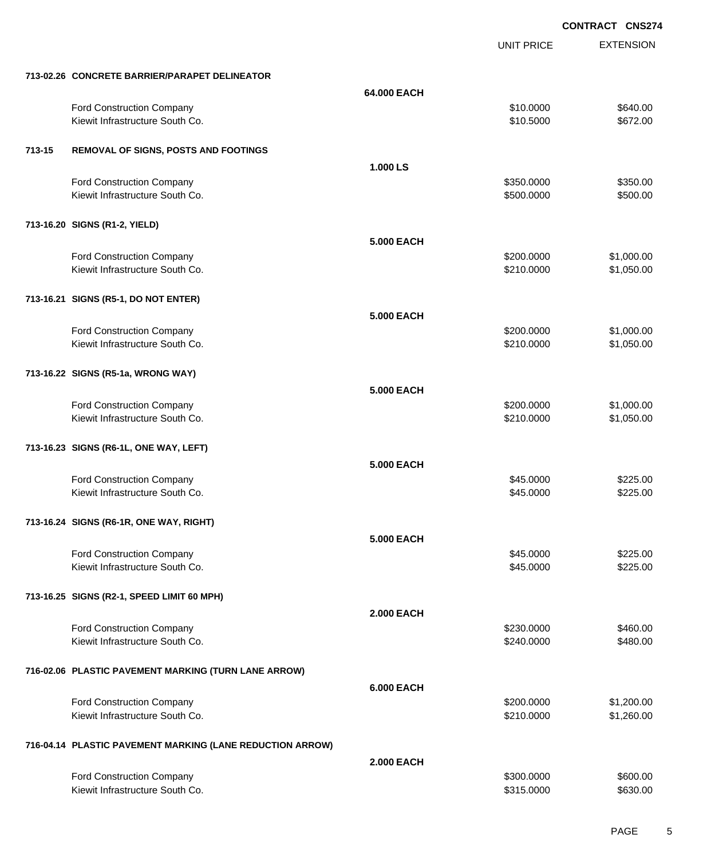UNIT PRICE EXTENSION

|        | 713-02.26 CONCRETE BARRIER/PARAPET DELINEATOR                |                   |                          |                      |
|--------|--------------------------------------------------------------|-------------------|--------------------------|----------------------|
|        |                                                              | 64.000 EACH       |                          |                      |
|        | Ford Construction Company                                    |                   | \$10.0000                | \$640.00             |
|        | Kiewit Infrastructure South Co.                              |                   | \$10.5000                | \$672.00             |
|        |                                                              |                   |                          |                      |
| 713-15 | REMOVAL OF SIGNS, POSTS AND FOOTINGS                         |                   |                          |                      |
|        |                                                              | 1.000 LS          |                          |                      |
|        | Ford Construction Company                                    |                   | \$350.0000               | \$350.00             |
|        | Kiewit Infrastructure South Co.                              |                   | \$500.0000               | \$500.00             |
|        |                                                              |                   |                          |                      |
|        | 713-16.20 SIGNS (R1-2, YIELD)                                |                   |                          |                      |
|        |                                                              | <b>5.000 EACH</b> |                          |                      |
|        |                                                              |                   |                          |                      |
|        | Ford Construction Company<br>Kiewit Infrastructure South Co. |                   | \$200.0000               | \$1,000.00           |
|        |                                                              |                   | \$210.0000               | \$1,050.00           |
|        |                                                              |                   |                          |                      |
|        | 713-16.21 SIGNS (R5-1, DO NOT ENTER)                         |                   |                          |                      |
|        |                                                              | <b>5.000 EACH</b> |                          |                      |
|        | Ford Construction Company                                    |                   | \$200.0000               | \$1,000.00           |
|        | Kiewit Infrastructure South Co.                              |                   | \$210.0000               | \$1,050.00           |
|        |                                                              |                   |                          |                      |
|        | 713-16.22 SIGNS (R5-1a, WRONG WAY)                           |                   |                          |                      |
|        |                                                              | <b>5.000 EACH</b> |                          |                      |
|        | Ford Construction Company                                    |                   | \$200.0000               | \$1,000.00           |
|        | Kiewit Infrastructure South Co.                              |                   | \$210.0000               | \$1,050.00           |
|        |                                                              |                   |                          |                      |
|        | 713-16.23 SIGNS (R6-1L, ONE WAY, LEFT)                       |                   |                          |                      |
|        |                                                              | 5.000 EACH        |                          |                      |
|        | Ford Construction Company                                    |                   | \$45.0000                | \$225.00             |
|        | Kiewit Infrastructure South Co.                              |                   | \$45.0000                | \$225.00             |
|        |                                                              |                   |                          |                      |
|        | 713-16.24 SIGNS (R6-1R, ONE WAY, RIGHT)                      |                   |                          |                      |
|        |                                                              | 5.000 EACH        |                          |                      |
|        | Ford Construction Company                                    |                   | \$45.0000                | \$225.00             |
|        | Kiewit Infrastructure South Co.                              |                   | \$45.0000                | \$225.00             |
|        |                                                              |                   |                          |                      |
|        | 713-16.25 SIGNS (R2-1, SPEED LIMIT 60 MPH)                   |                   |                          |                      |
|        |                                                              | <b>2.000 EACH</b> |                          |                      |
|        |                                                              |                   |                          |                      |
|        | Ford Construction Company<br>Kiewit Infrastructure South Co. |                   | \$230.0000<br>\$240.0000 | \$460.00<br>\$480.00 |
|        |                                                              |                   |                          |                      |
|        |                                                              |                   |                          |                      |
|        | 716-02.06 PLASTIC PAVEMENT MARKING (TURN LANE ARROW)         |                   |                          |                      |
|        |                                                              | <b>6.000 EACH</b> |                          |                      |
|        | Ford Construction Company                                    |                   | \$200.0000               | \$1,200.00           |
|        | Kiewit Infrastructure South Co.                              |                   | \$210.0000               | \$1,260.00           |
|        |                                                              |                   |                          |                      |
|        | 716-04.14 PLASTIC PAVEMENT MARKING (LANE REDUCTION ARROW)    |                   |                          |                      |
|        |                                                              | <b>2.000 EACH</b> |                          |                      |
|        | Ford Construction Company                                    |                   | \$300.0000               | \$600.00             |
|        | Kiewit Infrastructure South Co.                              |                   | \$315.0000               | \$630.00             |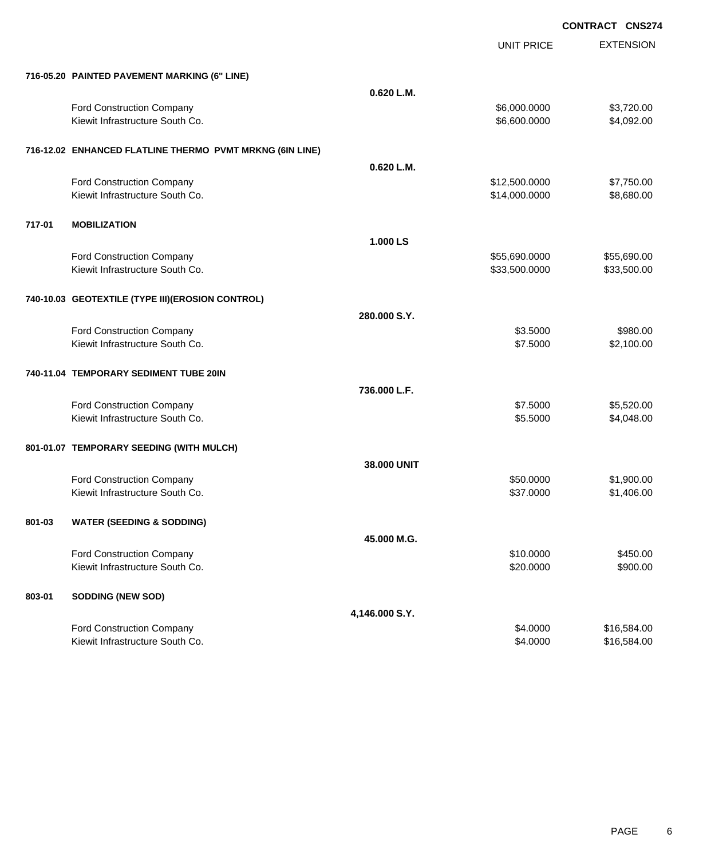UNIT PRICE

EXTENSION

| 716-05.20 PAINTED PAVEMENT MARKING (6" LINE). |  |
|-----------------------------------------------|--|
|                                               |  |

|        | 716-05.20 PAINTED PAVEMENT MARKING (6" LINE)                 |                |                        |                          |
|--------|--------------------------------------------------------------|----------------|------------------------|--------------------------|
|        |                                                              | 0.620 L.M.     |                        |                          |
|        | Ford Construction Company                                    |                | \$6,000.0000           | \$3,720.00               |
|        | Kiewit Infrastructure South Co.                              |                | \$6,600.0000           | \$4,092.00               |
|        |                                                              |                |                        |                          |
|        | 716-12.02 ENHANCED FLATLINE THERMO PVMT MRKNG (6IN LINE)     |                |                        |                          |
|        |                                                              | 0.620 L.M.     |                        |                          |
|        | Ford Construction Company                                    |                | \$12,500.0000          | \$7,750.00               |
|        | Kiewit Infrastructure South Co.                              |                | \$14,000.0000          | \$8,680.00               |
|        |                                                              |                |                        |                          |
| 717-01 | <b>MOBILIZATION</b>                                          |                |                        |                          |
|        |                                                              | 1.000 LS       |                        |                          |
|        | Ford Construction Company                                    |                | \$55,690.0000          | \$55,690.00              |
|        | Kiewit Infrastructure South Co.                              |                | \$33,500.0000          | \$33,500.00              |
|        |                                                              |                |                        |                          |
|        | 740-10.03 GEOTEXTILE (TYPE III)(EROSION CONTROL)             |                |                        |                          |
|        |                                                              | 280.000 S.Y.   |                        |                          |
|        | <b>Ford Construction Company</b>                             |                | \$3.5000               | \$980.00                 |
|        | Kiewit Infrastructure South Co.                              |                | \$7.5000               | \$2,100.00               |
|        |                                                              |                |                        |                          |
|        | 740-11.04 TEMPORARY SEDIMENT TUBE 20IN                       |                |                        |                          |
|        |                                                              | 736,000 L.F.   |                        |                          |
|        | Ford Construction Company                                    |                | \$7.5000               | \$5,520.00               |
|        | Kiewit Infrastructure South Co.                              |                | \$5.5000               | \$4,048.00               |
|        |                                                              |                |                        |                          |
|        | 801-01.07 TEMPORARY SEEDING (WITH MULCH)                     |                |                        |                          |
|        |                                                              | 38.000 UNIT    |                        |                          |
|        | Ford Construction Company<br>Kiewit Infrastructure South Co. |                | \$50.0000<br>\$37.0000 | \$1,900.00<br>\$1,406.00 |
|        |                                                              |                |                        |                          |
| 801-03 | <b>WATER (SEEDING &amp; SODDING)</b>                         |                |                        |                          |
|        |                                                              | 45.000 M.G.    |                        |                          |
|        | <b>Ford Construction Company</b>                             |                | \$10,0000              | \$450.00                 |
|        | Kiewit Infrastructure South Co.                              |                | \$20.0000              | \$900.00                 |
|        |                                                              |                |                        |                          |
| 803-01 | SODDING (NEW SOD)                                            |                |                        |                          |
|        |                                                              | 4,146.000 S.Y. |                        |                          |
|        | Ford Construction Company                                    |                | \$4.0000               | \$16,584.00              |
|        | Kiewit Infrastructure South Co.                              |                | \$4.0000               | \$16,584.00              |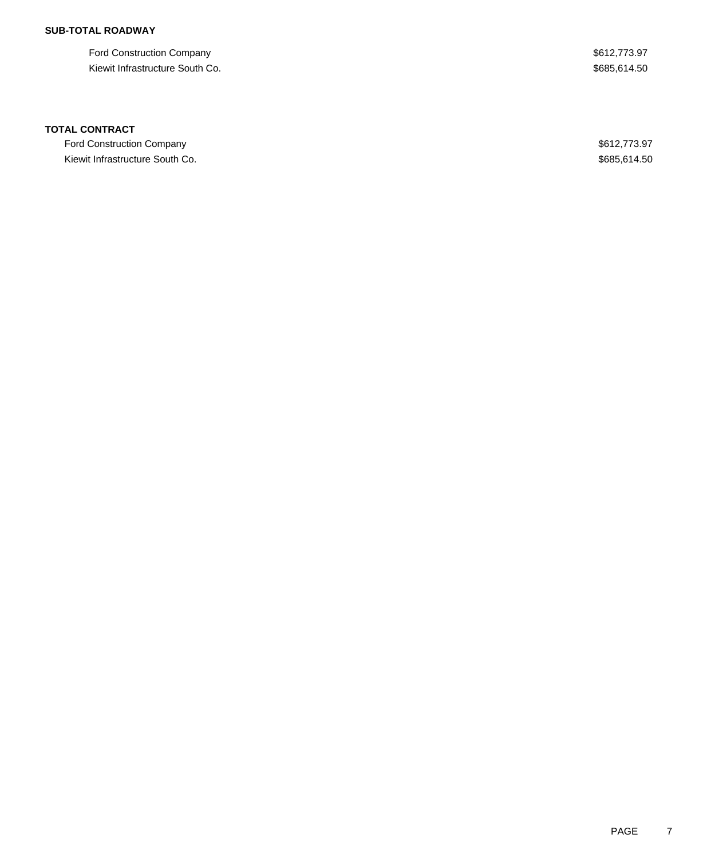## **SUB-TOTAL ROADWAY**

Ford Construction Company  $$612,773.97$ Kiewit Infrastructure South Co. 635,614.50

### **TOTAL CONTRACT**

Ford Construction Company  $$612,773.97$ Kiewit Infrastructure South Co. **\$685,614.50** Specific states and the set of the set of the set of the set of the set of the set of the set of the set of the set of the set of the set of the set of the set of the set of th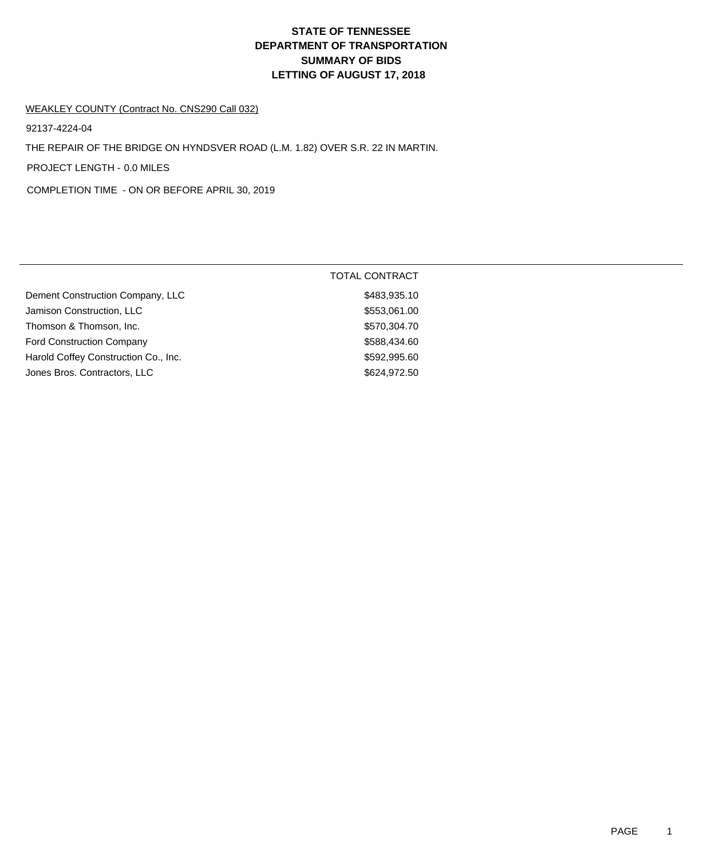# **DEPARTMENT OF TRANSPORTATION SUMMARY OF BIDS LETTING OF AUGUST 17, 2018 STATE OF TENNESSEE**

#### WEAKLEY COUNTY (Contract No. CNS290 Call 032)

92137-4224-04

THE REPAIR OF THE BRIDGE ON HYNDSVER ROAD (L.M. 1.82) OVER S.R. 22 IN MARTIN.

PROJECT LENGTH - 0.0 MILES

COMPLETION TIME - ON OR BEFORE APRIL 30, 2019

|                                      | <b>TOTAL CONTRACT</b> |
|--------------------------------------|-----------------------|
| Dement Construction Company, LLC     | \$483,935.10          |
| Jamison Construction, LLC            | \$553,061.00          |
| Thomson & Thomson, Inc.              | \$570,304.70          |
| <b>Ford Construction Company</b>     | \$588,434.60          |
| Harold Coffey Construction Co., Inc. | \$592,995.60          |
| Jones Bros. Contractors, LLC         | \$624,972.50          |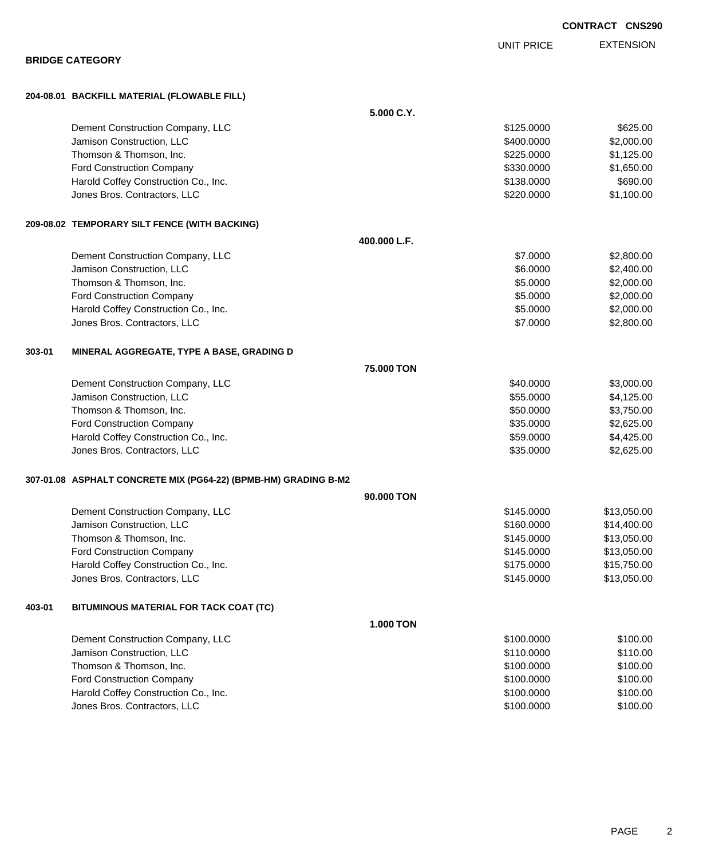|        | <b>BRIDGE CATEGORY</b>                                          |                  | <b>UNIT PRICE</b> | <b>EXTENSION</b> |
|--------|-----------------------------------------------------------------|------------------|-------------------|------------------|
|        |                                                                 |                  |                   |                  |
|        | 204-08.01 BACKFILL MATERIAL (FLOWABLE FILL)                     |                  |                   |                  |
|        |                                                                 | 5.000 C.Y.       |                   |                  |
|        | Dement Construction Company, LLC                                |                  | \$125.0000        | \$625.00         |
|        | Jamison Construction, LLC                                       |                  | \$400.0000        | \$2,000.00       |
|        | Thomson & Thomson, Inc.                                         |                  | \$225.0000        | \$1,125.00       |
|        | Ford Construction Company                                       |                  | \$330,0000        | \$1,650.00       |
|        | Harold Coffey Construction Co., Inc.                            |                  | \$138.0000        | \$690.00         |
|        | Jones Bros. Contractors, LLC                                    |                  | \$220.0000        | \$1,100.00       |
|        | 209-08.02 TEMPORARY SILT FENCE (WITH BACKING)                   |                  |                   |                  |
|        |                                                                 | 400.000 L.F.     |                   |                  |
|        | Dement Construction Company, LLC                                |                  | \$7.0000          | \$2,800.00       |
|        | Jamison Construction, LLC                                       |                  | \$6.0000          | \$2,400.00       |
|        | Thomson & Thomson, Inc.                                         |                  | \$5.0000          | \$2,000.00       |
|        | Ford Construction Company                                       |                  | \$5.0000          | \$2,000.00       |
|        | Harold Coffey Construction Co., Inc.                            |                  | \$5.0000          | \$2,000.00       |
|        | Jones Bros. Contractors, LLC                                    |                  | \$7.0000          | \$2,800.00       |
| 303-01 | MINERAL AGGREGATE, TYPE A BASE, GRADING D                       |                  |                   |                  |
|        |                                                                 | 75.000 TON       |                   |                  |
|        | Dement Construction Company, LLC                                |                  | \$40.0000         | \$3,000.00       |
|        | Jamison Construction, LLC                                       |                  | \$55.0000         | \$4,125.00       |
|        | Thomson & Thomson, Inc.                                         |                  | \$50.0000         | \$3,750.00       |
|        | Ford Construction Company                                       |                  | \$35.0000         | \$2,625.00       |
|        | Harold Coffey Construction Co., Inc.                            |                  | \$59.0000         | \$4,425.00       |
|        | Jones Bros. Contractors, LLC                                    |                  | \$35.0000         | \$2,625.00       |
|        | 307-01.08 ASPHALT CONCRETE MIX (PG64-22) (BPMB-HM) GRADING B-M2 |                  |                   |                  |
|        |                                                                 | 90.000 TON       |                   |                  |
|        | Dement Construction Company, LLC                                |                  | \$145.0000        | \$13,050.00      |
|        | Jamison Construction, LLC                                       |                  | \$160.0000        | \$14,400.00      |
|        | Thomson & Thomson, Inc.                                         |                  | \$145.0000        | \$13,050.00      |
|        | Ford Construction Company                                       |                  | \$145.0000        | \$13,050.00      |
|        | Harold Coffey Construction Co., Inc.                            |                  | \$175.0000        | \$15,750.00      |
|        | Jones Bros. Contractors, LLC                                    |                  | \$145.0000        | \$13,050.00      |
| 403-01 | BITUMINOUS MATERIAL FOR TACK COAT (TC)                          |                  |                   |                  |
|        |                                                                 | <b>1.000 TON</b> |                   |                  |
|        | Dement Construction Company, LLC                                |                  | \$100.0000        | \$100.00         |
|        | Jamison Construction, LLC                                       |                  | \$110.0000        | \$110.00         |
|        | Thomson & Thomson, Inc.                                         |                  | \$100.0000        | \$100.00         |
|        | Ford Construction Company                                       |                  | \$100.0000        | \$100.00         |
|        | Harold Coffey Construction Co., Inc.                            |                  | \$100.0000        | \$100.00         |
|        | Jones Bros. Contractors, LLC                                    |                  | \$100.0000        | \$100.00         |
|        |                                                                 |                  |                   |                  |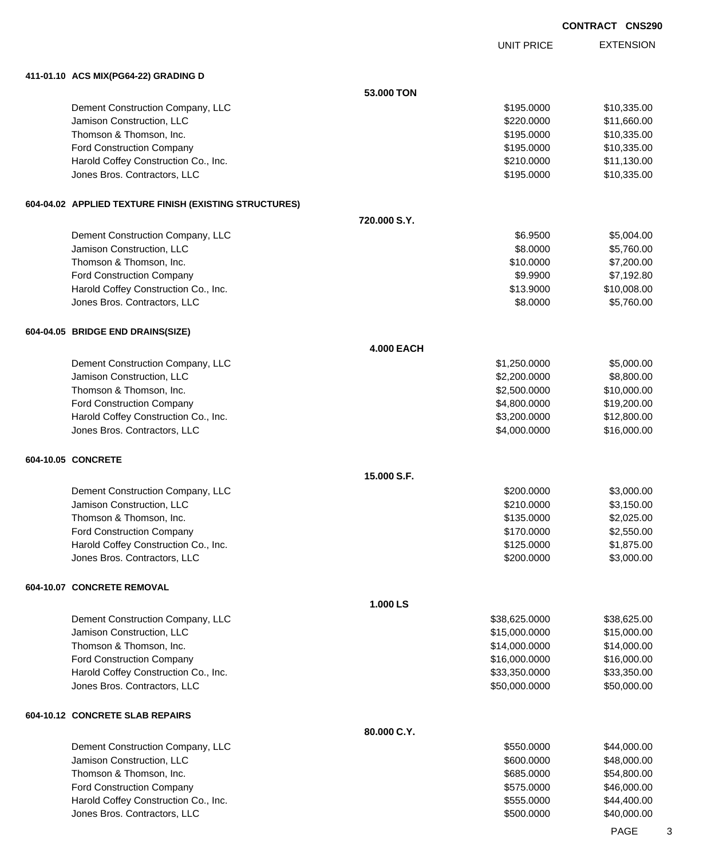UNIT PRICE EXTENSION

**411-01.10 ACS MIX(PG64-22) GRADING D**

|  | 411-01.10   ACS MIX(PG64-22) GRADING D                               |                              |                            |
|--|----------------------------------------------------------------------|------------------------------|----------------------------|
|  |                                                                      | 53.000 TON                   |                            |
|  | Dement Construction Company, LLC                                     | \$195.0000                   | \$10,335.00                |
|  | Jamison Construction, LLC                                            | \$220.0000                   | \$11,660.00                |
|  | Thomson & Thomson, Inc.                                              | \$195.0000                   | \$10,335.00                |
|  | Ford Construction Company                                            | \$195.0000                   | \$10,335.00                |
|  | Harold Coffey Construction Co., Inc.                                 | \$210.0000                   | \$11,130.00                |
|  | Jones Bros. Contractors, LLC                                         | \$195.0000                   | \$10,335.00                |
|  | 604-04.02 APPLIED TEXTURE FINISH (EXISTING STRUCTURES)               |                              |                            |
|  |                                                                      | 720.000 S.Y.                 |                            |
|  | Dement Construction Company, LLC                                     | \$6.9500                     | \$5,004.00                 |
|  | Jamison Construction, LLC                                            | \$8.0000                     | \$5,760.00                 |
|  | Thomson & Thomson, Inc.                                              | \$10.0000                    | \$7,200.00                 |
|  | Ford Construction Company                                            | \$9.9900                     | \$7,192.80                 |
|  | Harold Coffey Construction Co., Inc.                                 | \$13.9000                    | \$10,008.00                |
|  | Jones Bros. Contractors, LLC                                         | \$8.0000                     | \$5,760.00                 |
|  | 604-04.05 BRIDGE END DRAINS(SIZE)                                    |                              |                            |
|  |                                                                      | <b>4.000 EACH</b>            |                            |
|  | Dement Construction Company, LLC                                     | \$1,250.0000                 | \$5,000.00                 |
|  | Jamison Construction, LLC                                            | \$2,200.0000                 | \$8,800.00                 |
|  | Thomson & Thomson, Inc.                                              | \$2,500.0000                 | \$10,000.00                |
|  | Ford Construction Company                                            | \$4,800.0000                 | \$19,200.00                |
|  | Harold Coffey Construction Co., Inc.<br>Jones Bros. Contractors, LLC | \$3,200.0000<br>\$4,000.0000 | \$12,800.00<br>\$16,000.00 |
|  |                                                                      |                              |                            |
|  | 604-10.05 CONCRETE                                                   |                              |                            |
|  |                                                                      | 15.000 S.F.                  |                            |
|  | Dement Construction Company, LLC                                     | \$200.0000                   | \$3,000.00                 |
|  | Jamison Construction, LLC                                            | \$210.0000                   | \$3,150.00                 |
|  | Thomson & Thomson, Inc.                                              | \$135.0000                   | \$2,025.00                 |
|  | Ford Construction Company                                            | \$170.0000                   | \$2,550.00                 |
|  | Harold Coffey Construction Co., Inc.                                 | \$125.0000                   | \$1,875.00                 |
|  | Jones Bros. Contractors, LLC                                         | \$200.0000                   | \$3,000.00                 |
|  | 604-10.07 CONCRETE REMOVAL                                           |                              |                            |
|  |                                                                      | 1.000 LS                     |                            |
|  | Dement Construction Company, LLC                                     | \$38,625.0000                | \$38,625.00                |
|  | Jamison Construction, LLC                                            | \$15,000.0000                | \$15,000.00                |
|  | Thomson & Thomson, Inc.                                              | \$14,000.0000                | \$14,000.00                |
|  | Ford Construction Company                                            | \$16,000.0000                | \$16,000.00                |
|  | Harold Coffey Construction Co., Inc.                                 | \$33,350.0000                | \$33,350.00                |
|  | Jones Bros. Contractors, LLC                                         | \$50,000.0000                | \$50,000.00                |
|  | 604-10.12 CONCRETE SLAB REPAIRS                                      |                              |                            |
|  |                                                                      | 80.000 C.Y.                  |                            |
|  | Dement Construction Company, LLC                                     | \$550.0000                   | \$44,000.00                |
|  | Jamison Construction, LLC                                            | \$600.0000                   | \$48,000.00                |
|  | Thomson & Thomson, Inc.                                              | \$685.0000                   | \$54,800.00                |
|  | Ford Construction Company                                            | \$575.0000                   | \$46,000.00                |
|  | Harold Coffey Construction Co., Inc.                                 | \$555.0000                   | \$44,400.00                |
|  | Jones Bros. Contractors, LLC                                         | \$500.0000                   | \$40,000.00                |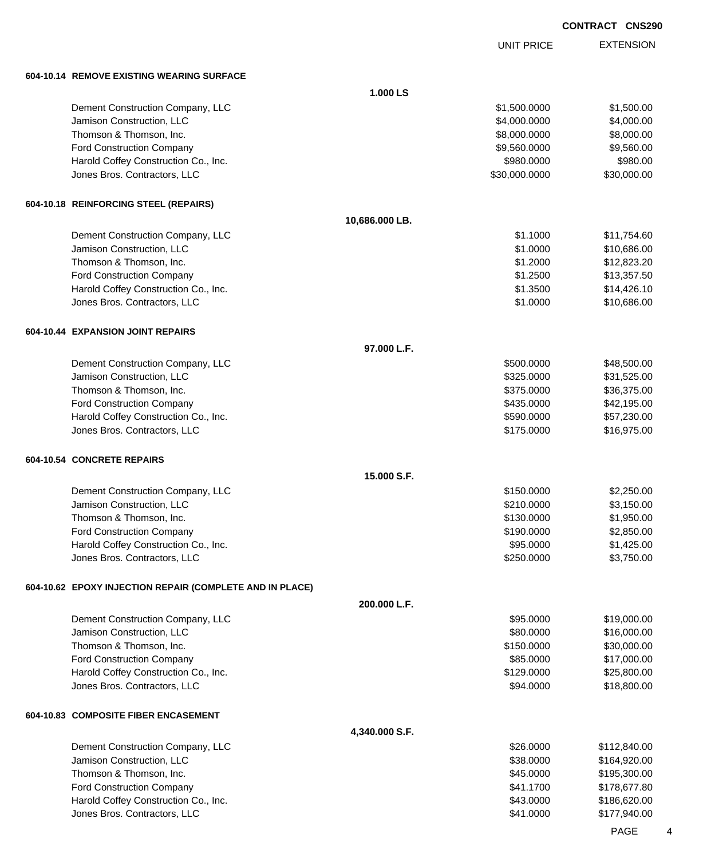UNIT PRICE

EXTENSION

**604-10.14 REMOVE EXISTING WEARING SURFACE**

| 604-10.14   REMOVE EXISTING WEARING SURFACE              |                |               |              |
|----------------------------------------------------------|----------------|---------------|--------------|
|                                                          | 1.000 LS       |               |              |
| Dement Construction Company, LLC                         |                | \$1,500.0000  | \$1,500.00   |
| Jamison Construction, LLC                                |                | \$4,000.0000  | \$4,000.00   |
| Thomson & Thomson, Inc.                                  |                | \$8,000.0000  | \$8,000.00   |
| Ford Construction Company                                |                | \$9,560.0000  | \$9,560.00   |
| Harold Coffey Construction Co., Inc.                     |                | \$980.0000    | \$980.00     |
| Jones Bros. Contractors, LLC                             |                | \$30,000.0000 | \$30,000.00  |
| 604-10.18 REINFORCING STEEL (REPAIRS)                    |                |               |              |
|                                                          | 10,686.000 LB. |               |              |
| Dement Construction Company, LLC                         |                | \$1.1000      | \$11,754.60  |
| Jamison Construction, LLC                                |                | \$1.0000      | \$10,686.00  |
| Thomson & Thomson, Inc.                                  |                | \$1.2000      | \$12,823.20  |
| <b>Ford Construction Company</b>                         |                | \$1.2500      | \$13,357.50  |
| Harold Coffey Construction Co., Inc.                     |                | \$1.3500      | \$14,426.10  |
| Jones Bros. Contractors, LLC                             |                | \$1.0000      | \$10,686.00  |
| 604-10.44 EXPANSION JOINT REPAIRS                        |                |               |              |
|                                                          | 97.000 L.F.    |               |              |
| Dement Construction Company, LLC                         |                | \$500.0000    | \$48,500.00  |
| Jamison Construction, LLC                                |                | \$325.0000    | \$31,525.00  |
| Thomson & Thomson, Inc.                                  |                | \$375.0000    | \$36,375.00  |
| <b>Ford Construction Company</b>                         |                | \$435.0000    | \$42,195.00  |
| Harold Coffey Construction Co., Inc.                     |                | \$590.0000    | \$57,230.00  |
| Jones Bros. Contractors, LLC                             |                | \$175.0000    | \$16,975.00  |
| 604-10.54 CONCRETE REPAIRS                               |                |               |              |
|                                                          | 15.000 S.F.    |               |              |
| Dement Construction Company, LLC                         |                | \$150.0000    | \$2,250.00   |
| Jamison Construction, LLC                                |                | \$210.0000    | \$3,150.00   |
| Thomson & Thomson, Inc.                                  |                | \$130.0000    | \$1,950.00   |
| <b>Ford Construction Company</b>                         |                | \$190.0000    | \$2,850.00   |
| Harold Coffey Construction Co., Inc.                     |                | \$95.0000     | \$1,425.00   |
| Jones Bros. Contractors, LLC                             |                | \$250.0000    | \$3,750.00   |
| 604-10.62 EPOXY INJECTION REPAIR (COMPLETE AND IN PLACE) |                |               |              |
|                                                          | 200.000 L.F.   |               |              |
| Dement Construction Company, LLC                         |                | \$95.0000     | \$19,000.00  |
| Jamison Construction, LLC                                |                | \$80.0000     | \$16,000.00  |
| Thomson & Thomson, Inc.                                  |                | \$150.0000    | \$30,000.00  |
| <b>Ford Construction Company</b>                         |                | \$85.0000     | \$17,000.00  |
| Harold Coffey Construction Co., Inc.                     |                | \$129.0000    | \$25,800.00  |
| Jones Bros. Contractors, LLC                             |                | \$94.0000     | \$18,800.00  |
| 604-10.83  COMPOSITE FIBER ENCASEMENT                    |                |               |              |
|                                                          | 4,340.000 S.F. |               |              |
| Dement Construction Company, LLC                         |                | \$26.0000     | \$112,840.00 |
| Jamison Construction, LLC                                |                | \$38.0000     | \$164,920.00 |
| Thomson & Thomson, Inc.                                  |                | \$45.0000     | \$195,300.00 |
| <b>Ford Construction Company</b>                         |                | \$41.1700     | \$178,677.80 |
| Harold Coffey Construction Co., Inc.                     |                | \$43.0000     | \$186,620.00 |
| Jones Bros. Contractors, LLC                             |                | \$41.0000     | \$177,940.00 |

PAGE 4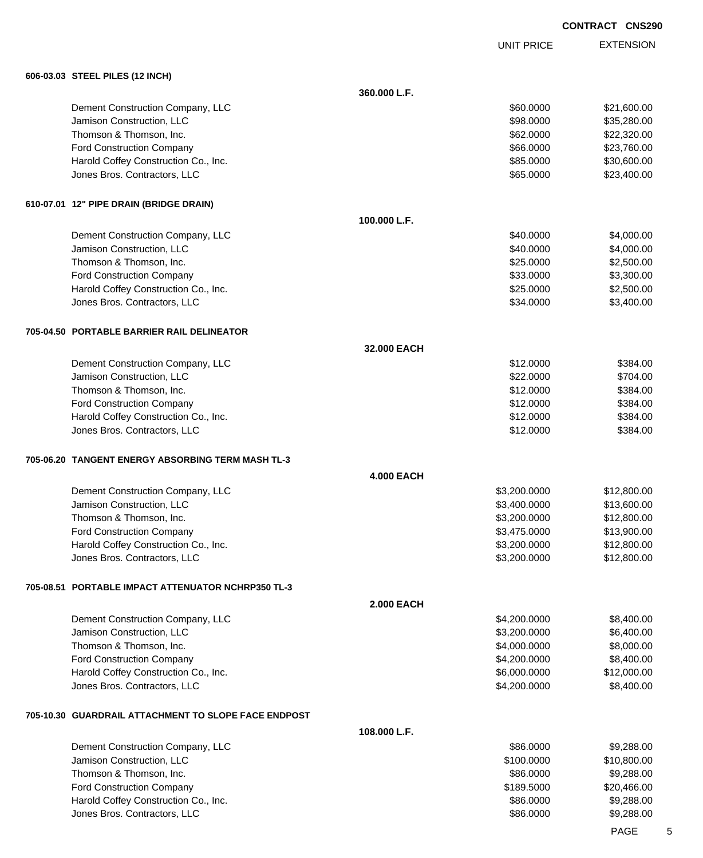UNIT PRICE EXTENSION

| 606-03.03 STEEL PILES (12 INCH)                      |                   |              |             |
|------------------------------------------------------|-------------------|--------------|-------------|
|                                                      | 360.000 L.F.      |              |             |
| Dement Construction Company, LLC                     |                   | \$60.0000    | \$21,600.00 |
| Jamison Construction, LLC                            |                   | \$98.0000    | \$35,280.00 |
| Thomson & Thomson, Inc.                              |                   | \$62.0000    | \$22,320.00 |
| <b>Ford Construction Company</b>                     |                   | \$66.0000    | \$23,760.00 |
| Harold Coffey Construction Co., Inc.                 |                   | \$85.0000    | \$30,600.00 |
| Jones Bros. Contractors, LLC                         |                   | \$65.0000    | \$23,400.00 |
| 610-07.01 12" PIPE DRAIN (BRIDGE DRAIN)              |                   |              |             |
|                                                      | 100.000 L.F.      |              |             |
| Dement Construction Company, LLC                     |                   | \$40.0000    | \$4,000.00  |
| Jamison Construction, LLC                            |                   | \$40.0000    | \$4,000.00  |
| Thomson & Thomson, Inc.                              |                   | \$25.0000    | \$2,500.00  |
| <b>Ford Construction Company</b>                     |                   | \$33.0000    | \$3,300.00  |
| Harold Coffey Construction Co., Inc.                 |                   | \$25.0000    | \$2,500.00  |
| Jones Bros. Contractors, LLC                         |                   | \$34.0000    | \$3,400.00  |
| 705-04.50 PORTABLE BARRIER RAIL DELINEATOR           |                   |              |             |
|                                                      | 32.000 EACH       |              |             |
| Dement Construction Company, LLC                     |                   | \$12.0000    | \$384.00    |
| Jamison Construction, LLC                            |                   | \$22.0000    | \$704.00    |
| Thomson & Thomson, Inc.                              |                   | \$12.0000    | \$384.00    |
| <b>Ford Construction Company</b>                     |                   | \$12.0000    | \$384.00    |
| Harold Coffey Construction Co., Inc.                 |                   | \$12.0000    | \$384.00    |
| Jones Bros. Contractors, LLC                         |                   | \$12.0000    | \$384.00    |
| 705-06.20 TANGENT ENERGY ABSORBING TERM MASH TL-3    |                   |              |             |
|                                                      | <b>4.000 EACH</b> |              |             |
| Dement Construction Company, LLC                     |                   | \$3,200.0000 | \$12,800.00 |
| Jamison Construction, LLC                            |                   | \$3,400.0000 | \$13,600.00 |
| Thomson & Thomson, Inc.                              |                   | \$3,200.0000 | \$12,800.00 |
| <b>Ford Construction Company</b>                     |                   | \$3,475.0000 | \$13,900.00 |
| Harold Coffey Construction Co., Inc.                 |                   | \$3,200.0000 | \$12,800.00 |
| Jones Bros. Contractors, LLC                         |                   | \$3,200.0000 | \$12,800.00 |
| 705-08.51 PORTABLE IMPACT ATTENUATOR NCHRP350 TL-3   |                   |              |             |
|                                                      | <b>2.000 EACH</b> |              |             |
| Dement Construction Company, LLC                     |                   | \$4,200.0000 | \$8,400.00  |
| Jamison Construction, LLC                            |                   | \$3,200.0000 | \$6,400.00  |
| Thomson & Thomson, Inc.                              |                   | \$4,000.0000 | \$8,000.00  |
| <b>Ford Construction Company</b>                     |                   | \$4,200.0000 | \$8,400.00  |
| Harold Coffey Construction Co., Inc.                 |                   | \$6,000.0000 | \$12,000.00 |
| Jones Bros. Contractors, LLC                         |                   | \$4,200.0000 | \$8,400.00  |
| 705-10.30 GUARDRAIL ATTACHMENT TO SLOPE FACE ENDPOST |                   |              |             |
|                                                      | 108.000 L.F.      |              |             |
| Dement Construction Company, LLC                     |                   | \$86.0000    | \$9,288.00  |
| Jamison Construction, LLC                            |                   | \$100.0000   | \$10,800.00 |
| Thomson & Thomson, Inc.                              |                   | \$86.0000    | \$9,288.00  |
| <b>Ford Construction Company</b>                     |                   | \$189.5000   | \$20,466.00 |
| Harold Coffey Construction Co., Inc.                 |                   | \$86.0000    | \$9,288.00  |
| Jones Bros. Contractors, LLC                         |                   | \$86.0000    | \$9,288.00  |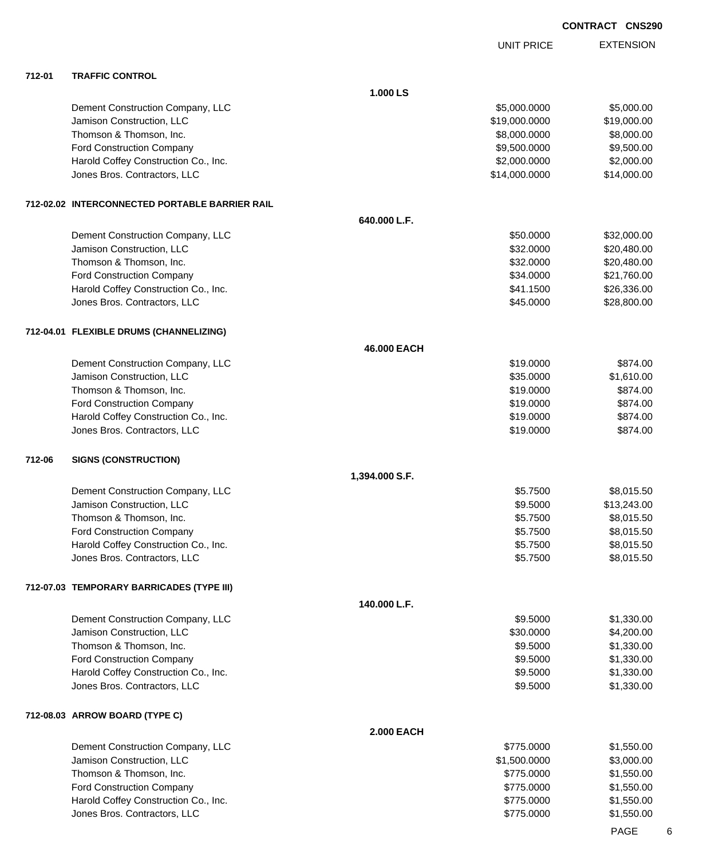|        |                                                |                   | <b>UNIT PRICE</b> | <b>EXTENSION</b> |
|--------|------------------------------------------------|-------------------|-------------------|------------------|
| 712-01 | <b>TRAFFIC CONTROL</b>                         |                   |                   |                  |
|        |                                                | 1.000 LS          |                   |                  |
|        | Dement Construction Company, LLC               |                   | \$5,000.0000      | \$5,000.00       |
|        | Jamison Construction, LLC                      |                   | \$19,000.0000     | \$19,000.00      |
|        | Thomson & Thomson, Inc.                        |                   | \$8,000.0000      | \$8,000.00       |
|        | Ford Construction Company                      |                   | \$9,500.0000      | \$9,500.00       |
|        | Harold Coffey Construction Co., Inc.           |                   | \$2,000.0000      | \$2,000.00       |
|        | Jones Bros. Contractors, LLC                   |                   | \$14,000.0000     | \$14,000.00      |
|        | 712-02.02 INTERCONNECTED PORTABLE BARRIER RAIL |                   |                   |                  |
|        |                                                | 640.000 L.F.      |                   |                  |
|        | Dement Construction Company, LLC               |                   | \$50.0000         | \$32,000.00      |
|        | Jamison Construction, LLC                      |                   | \$32.0000         | \$20,480.00      |
|        | Thomson & Thomson, Inc.                        |                   | \$32.0000         | \$20,480.00      |
|        | Ford Construction Company                      |                   | \$34.0000         | \$21,760.00      |
|        | Harold Coffey Construction Co., Inc.           |                   | \$41.1500         | \$26,336.00      |
|        | Jones Bros. Contractors, LLC                   |                   | \$45.0000         | \$28,800.00      |
|        | 712-04.01 FLEXIBLE DRUMS (CHANNELIZING)        |                   |                   |                  |
|        |                                                | 46.000 EACH       |                   |                  |
|        | Dement Construction Company, LLC               |                   | \$19.0000         | \$874.00         |
|        | Jamison Construction, LLC                      |                   | \$35.0000         | \$1,610.00       |
|        | Thomson & Thomson, Inc.                        |                   | \$19.0000         | \$874.00         |
|        | Ford Construction Company                      |                   | \$19.0000         | \$874.00         |
|        | Harold Coffey Construction Co., Inc.           |                   | \$19.0000         | \$874.00         |
|        | Jones Bros. Contractors, LLC                   |                   | \$19.0000         | \$874.00         |
| 712-06 | <b>SIGNS (CONSTRUCTION)</b>                    |                   |                   |                  |
|        |                                                | 1,394.000 S.F.    |                   |                  |
|        | Dement Construction Company, LLC               |                   | \$5.7500          | \$8,015.50       |
|        | Jamison Construction, LLC                      |                   | \$9.5000          | \$13,243.00      |
|        | Thomson & Thomson, Inc.                        |                   | \$5.7500          | \$8,015.50       |
|        | <b>Ford Construction Company</b>               |                   | \$5.7500          | \$8,015.50       |
|        | Harold Coffey Construction Co., Inc.           |                   | \$5.7500          | \$8,015.50       |
|        | Jones Bros. Contractors, LLC                   |                   | \$5.7500          | \$8,015.50       |
|        | 712-07.03 TEMPORARY BARRICADES (TYPE III)      |                   |                   |                  |
|        |                                                | 140.000 L.F.      |                   |                  |
|        | Dement Construction Company, LLC               |                   | \$9.5000          | \$1,330.00       |
|        | Jamison Construction, LLC                      |                   | \$30.0000         | \$4,200.00       |
|        | Thomson & Thomson, Inc.                        |                   | \$9.5000          | \$1,330.00       |
|        | <b>Ford Construction Company</b>               |                   | \$9.5000          | \$1,330.00       |
|        | Harold Coffey Construction Co., Inc.           |                   | \$9.5000          | \$1,330.00       |
|        | Jones Bros. Contractors, LLC                   |                   | \$9.5000          | \$1,330.00       |
|        | 712-08.03 ARROW BOARD (TYPE C)                 |                   |                   |                  |
|        |                                                | <b>2.000 EACH</b> |                   |                  |
|        | Dement Construction Company, LLC               |                   | \$775.0000        | \$1,550.00       |
|        | Jamison Construction, LLC                      |                   | \$1,500.0000      | \$3,000.00       |
|        | Thomson & Thomson, Inc.                        |                   | \$775.0000        | \$1,550.00       |
|        | Ford Construction Company                      |                   | \$775.0000        | \$1,550.00       |
|        | Harold Coffey Construction Co., Inc.           |                   | \$775.0000        | \$1,550.00       |
|        | Jones Bros. Contractors, LLC                   |                   | \$775.0000        | \$1,550.00       |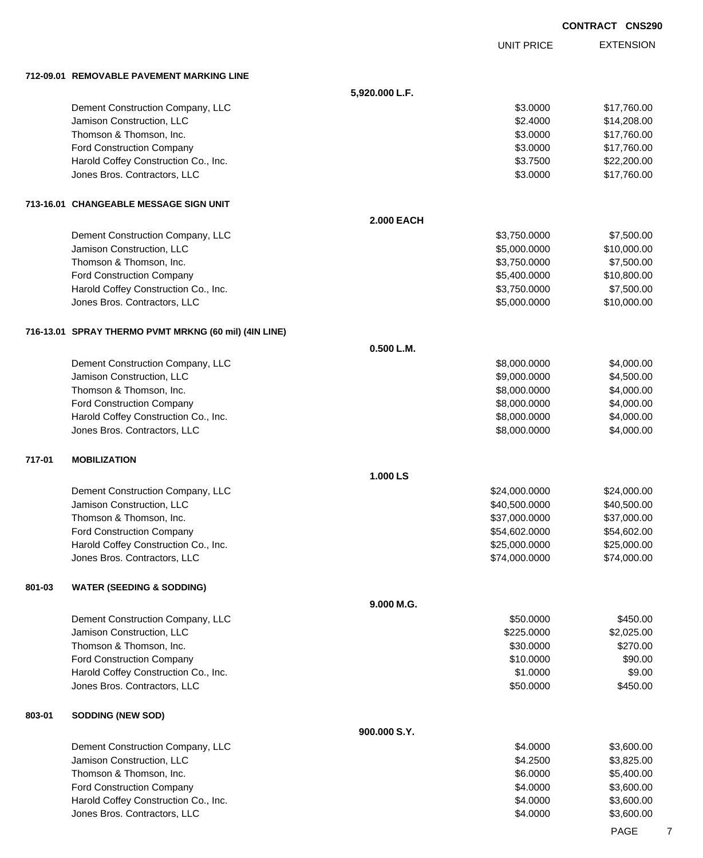|        |                                                                      |                   |                              | <b>CONTRACT CNS290</b>    |
|--------|----------------------------------------------------------------------|-------------------|------------------------------|---------------------------|
|        |                                                                      |                   | <b>UNIT PRICE</b>            | <b>EXTENSION</b>          |
|        | 712-09.01 REMOVABLE PAVEMENT MARKING LINE                            |                   |                              |                           |
|        |                                                                      | 5,920.000 L.F.    |                              |                           |
|        | Dement Construction Company, LLC                                     |                   | \$3.0000                     | \$17,760.00               |
|        | Jamison Construction, LLC                                            |                   | \$2.4000                     | \$14,208.00               |
|        | Thomson & Thomson, Inc.                                              |                   | \$3.0000                     | \$17,760.00               |
|        | <b>Ford Construction Company</b>                                     |                   | \$3.0000                     | \$17,760.00               |
|        | Harold Coffey Construction Co., Inc.                                 |                   | \$3.7500                     | \$22,200.00               |
|        | Jones Bros. Contractors, LLC                                         |                   | \$3.0000                     | \$17,760.00               |
|        | 713-16.01 CHANGEABLE MESSAGE SIGN UNIT                               |                   |                              |                           |
|        |                                                                      | <b>2.000 EACH</b> |                              |                           |
|        | Dement Construction Company, LLC                                     |                   | \$3,750.0000                 | \$7,500.00                |
|        | Jamison Construction, LLC                                            |                   | \$5,000.0000                 | \$10,000.00               |
|        | Thomson & Thomson, Inc.                                              |                   | \$3,750.0000                 | \$7,500.00                |
|        | <b>Ford Construction Company</b>                                     |                   | \$5,400.0000                 | \$10,800.00               |
|        | Harold Coffey Construction Co., Inc.<br>Jones Bros. Contractors, LLC |                   | \$3,750.0000<br>\$5,000.0000 | \$7,500.00<br>\$10,000.00 |
|        |                                                                      |                   |                              |                           |
|        | 716-13.01 SPRAY THERMO PVMT MRKNG (60 mil) (4IN LINE)                |                   |                              |                           |
|        |                                                                      | 0.500 L.M.        |                              |                           |
|        | Dement Construction Company, LLC                                     |                   | \$8,000.0000                 | \$4,000.00                |
|        | Jamison Construction, LLC                                            |                   | \$9,000.0000                 | \$4,500.00                |
|        | Thomson & Thomson, Inc.                                              |                   | \$8,000.0000                 | \$4,000.00                |
|        | Ford Construction Company                                            |                   | \$8,000.0000                 | \$4,000.00                |
|        | Harold Coffey Construction Co., Inc.<br>Jones Bros. Contractors, LLC |                   | \$8,000.0000<br>\$8,000.0000 | \$4,000.00<br>\$4,000.00  |
|        |                                                                      |                   |                              |                           |
| 717-01 | <b>MOBILIZATION</b>                                                  | 1.000 LS          |                              |                           |
|        | Dement Construction Company, LLC                                     |                   | \$24,000.0000                | \$24,000.00               |
|        | Jamison Construction, LLC                                            |                   | \$40,500.0000                | \$40,500.00               |
|        | Thomson & Thomson, Inc.                                              |                   | \$37,000.0000                | \$37,000.00               |
|        | <b>Ford Construction Company</b>                                     |                   | \$54,602.0000                | \$54,602.00               |
|        | Harold Coffey Construction Co., Inc.                                 |                   | \$25,000.0000                | \$25,000.00               |
|        | Jones Bros. Contractors, LLC                                         |                   | \$74,000.0000                | \$74,000.00               |
| 801-03 | <b>WATER (SEEDING &amp; SODDING)</b>                                 |                   |                              |                           |
|        |                                                                      | 9.000 M.G.        |                              |                           |
|        | Dement Construction Company, LLC                                     |                   | \$50.0000                    | \$450.00                  |
|        | Jamison Construction, LLC                                            |                   | \$225.0000                   | \$2,025.00                |
|        | Thomson & Thomson, Inc.                                              |                   | \$30.0000                    | \$270.00                  |
|        | Ford Construction Company                                            |                   | \$10.0000                    | \$90.00                   |
|        | Harold Coffey Construction Co., Inc.                                 |                   | \$1.0000                     | \$9.00                    |
|        | Jones Bros. Contractors, LLC                                         |                   | \$50.0000                    | \$450.00                  |
| 803-01 | <b>SODDING (NEW SOD)</b>                                             |                   |                              |                           |
|        |                                                                      | 900.000 S.Y.      |                              |                           |
|        | Dement Construction Company, LLC                                     |                   | \$4.0000                     | \$3,600.00                |
|        | Jamison Construction, LLC                                            |                   | \$4.2500                     | \$3,825.00                |
|        | Thomson & Thomson, Inc.                                              |                   | \$6.0000                     | \$5,400.00                |
|        | <b>Ford Construction Company</b>                                     |                   | \$4.0000                     | \$3,600.00                |
|        | Harold Coffey Construction Co., Inc.                                 |                   | \$4.0000                     | \$3,600.00                |
|        | Jones Bros. Contractors, LLC                                         |                   | \$4.0000                     | \$3,600.00                |

PAGE 7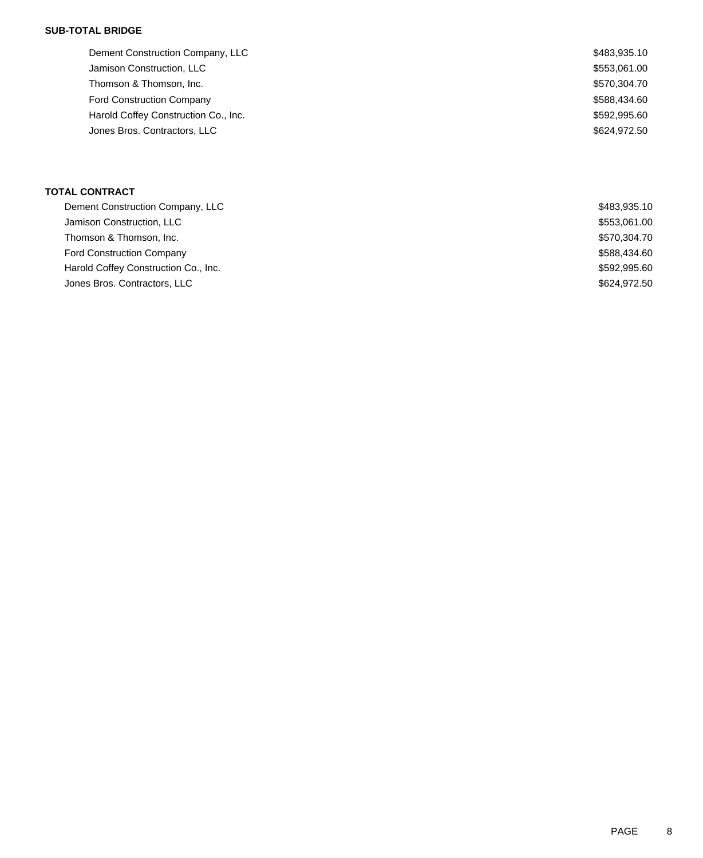### **SUB-TOTAL BRIDGE**

| \$483,935.10 |
|--------------|
| \$553,061.00 |
| \$570,304.70 |
| \$588,434.60 |
| \$592,995.60 |
| \$624,972.50 |
|              |

## **TOTAL CONTRACT**

| \$483,935.10 |
|--------------|
| \$553,061.00 |
| \$570,304.70 |
| \$588,434.60 |
| \$592,995.60 |
| \$624,972.50 |
|              |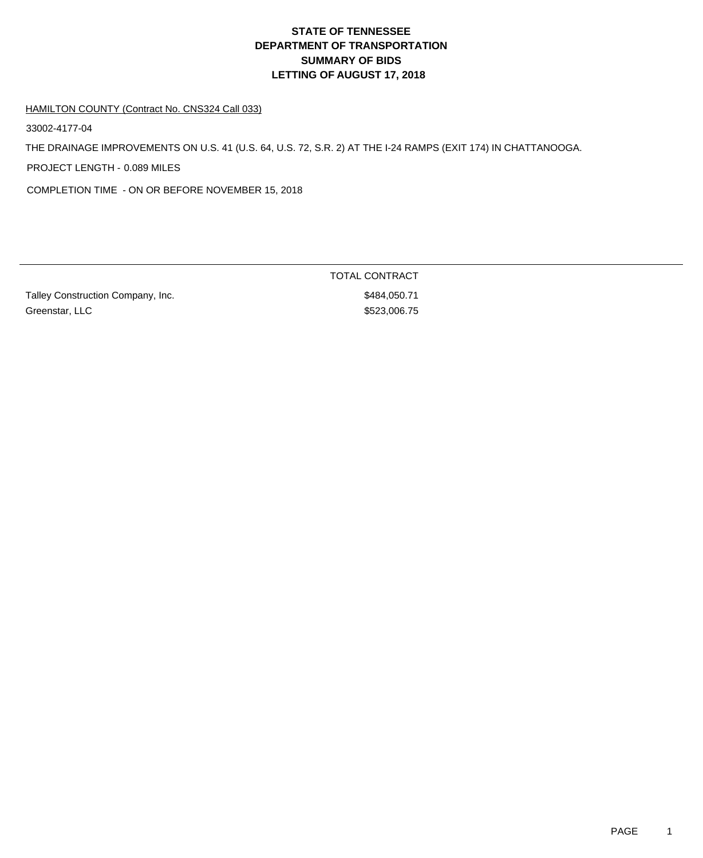# **DEPARTMENT OF TRANSPORTATION SUMMARY OF BIDS LETTING OF AUGUST 17, 2018 STATE OF TENNESSEE**

#### HAMILTON COUNTY (Contract No. CNS324 Call 033)

33002-4177-04

THE DRAINAGE IMPROVEMENTS ON U.S. 41 (U.S. 64, U.S. 72, S.R. 2) AT THE I-24 RAMPS (EXIT 174) IN CHATTANOOGA.

PROJECT LENGTH - 0.089 MILES

COMPLETION TIME - ON OR BEFORE NOVEMBER 15, 2018

Talley Construction Company, Inc. 6. The state of the state of the state of the state state state state state state state state state state state state state state state state state state state state state state state stat Greenstar, LLC \$523,006.75

TOTAL CONTRACT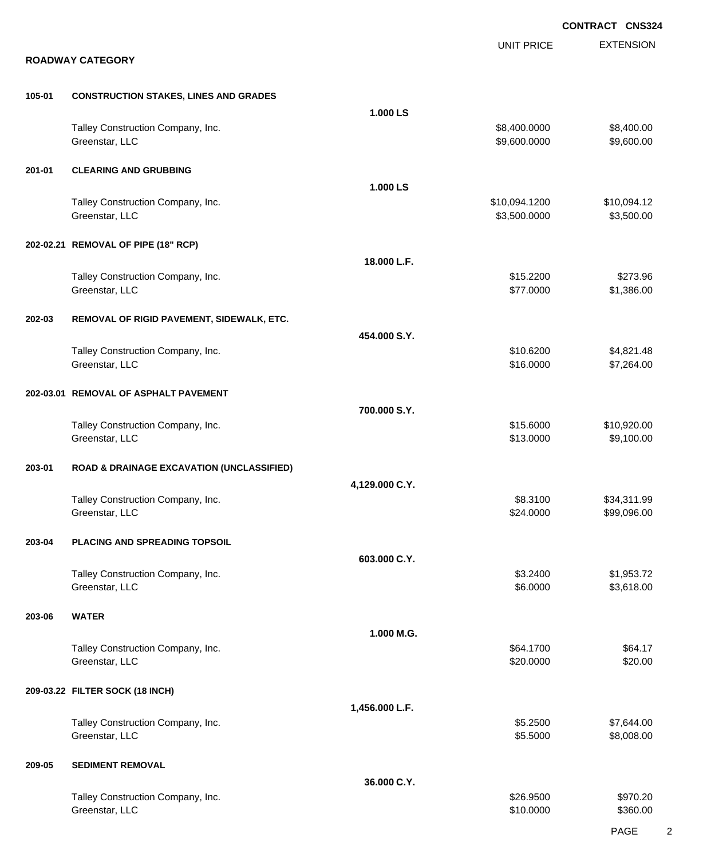|        |                                                      |                |                               | <b>CONTRACT CNS324</b>    |
|--------|------------------------------------------------------|----------------|-------------------------------|---------------------------|
|        | <b>ROADWAY CATEGORY</b>                              |                | <b>UNIT PRICE</b>             | <b>EXTENSION</b>          |
| 105-01 | <b>CONSTRUCTION STAKES, LINES AND GRADES</b>         |                |                               |                           |
|        |                                                      | 1.000 LS       |                               |                           |
|        | Talley Construction Company, Inc.<br>Greenstar, LLC  |                | \$8,400.0000<br>\$9,600.0000  | \$8,400.00<br>\$9,600.00  |
| 201-01 | <b>CLEARING AND GRUBBING</b>                         |                |                               |                           |
|        | Talley Construction Company, Inc.<br>Greenstar, LLC  | 1.000 LS       | \$10,094.1200<br>\$3,500.0000 | \$10,094.12<br>\$3,500.00 |
|        | 202-02.21 REMOVAL OF PIPE (18" RCP)                  |                |                               |                           |
|        |                                                      | 18.000 L.F.    |                               |                           |
|        | Talley Construction Company, Inc.<br>Greenstar, LLC  |                | \$15.2200<br>\$77.0000        | \$273.96<br>\$1,386.00    |
| 202-03 | REMOVAL OF RIGID PAVEMENT, SIDEWALK, ETC.            |                |                               |                           |
|        |                                                      | 454.000 S.Y.   |                               |                           |
|        | Talley Construction Company, Inc.<br>Greenstar, LLC  |                | \$10.6200<br>\$16.0000        | \$4,821.48<br>\$7,264.00  |
|        | 202-03.01 REMOVAL OF ASPHALT PAVEMENT                | 700.000 S.Y.   |                               |                           |
|        | Talley Construction Company, Inc.                    |                | \$15.6000                     | \$10,920.00               |
|        | Greenstar, LLC                                       |                | \$13.0000                     | \$9,100.00                |
| 203-01 | <b>ROAD &amp; DRAINAGE EXCAVATION (UNCLASSIFIED)</b> | 4,129.000 C.Y. |                               |                           |
|        | Talley Construction Company, Inc.                    |                | \$8.3100                      | \$34,311.99               |
|        | Greenstar, LLC                                       |                | \$24.0000                     | \$99,096.00               |
| 203-04 | PLACING AND SPREADING TOPSOIL                        | 603.000 C.Y.   |                               |                           |
|        | Talley Construction Company, Inc.                    |                | \$3.2400                      | \$1,953.72                |
|        | Greenstar, LLC                                       |                | \$6.0000                      | \$3,618.00                |
| 203-06 | <b>WATER</b>                                         | 1.000 M.G.     |                               |                           |
|        | Talley Construction Company, Inc.                    |                | \$64.1700                     | \$64.17                   |
|        | Greenstar, LLC                                       |                | \$20.0000                     | \$20.00                   |
|        | 209-03.22 FILTER SOCK (18 INCH)                      | 1,456.000 L.F. |                               |                           |
|        | Talley Construction Company, Inc.                    |                | \$5.2500                      | \$7,644.00                |
|        | Greenstar, LLC                                       |                | \$5.5000                      | \$8,008.00                |
| 209-05 | <b>SEDIMENT REMOVAL</b>                              | 36.000 C.Y.    |                               |                           |
|        | Talley Construction Company, Inc.                    |                | \$26.9500                     | \$970.20                  |
|        | Greenstar, LLC                                       |                | \$10.0000                     | \$360.00                  |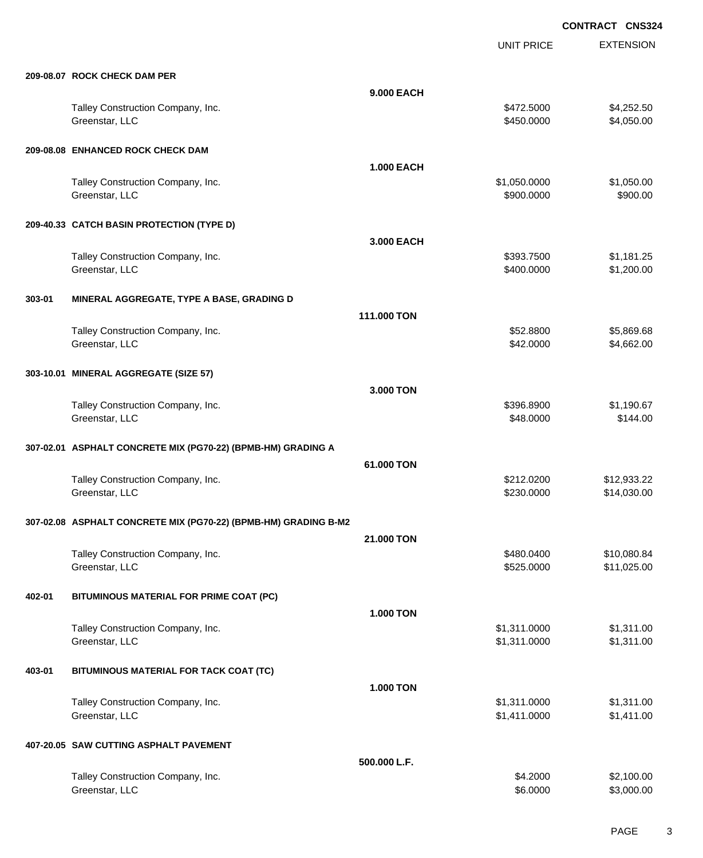UNIT PRICE

EXTENSION

|        | 209-08.07 ROCK CHECK DAM PER                                    |                   |                              |                            |
|--------|-----------------------------------------------------------------|-------------------|------------------------------|----------------------------|
|        |                                                                 | 9,000 EACH        |                              |                            |
|        | Talley Construction Company, Inc.<br>Greenstar, LLC             |                   | \$472.5000<br>\$450.0000     | \$4,252.50<br>\$4,050.00   |
|        | 209-08.08 ENHANCED ROCK CHECK DAM                               |                   |                              |                            |
|        |                                                                 | <b>1.000 EACH</b> |                              |                            |
|        | Talley Construction Company, Inc.<br>Greenstar, LLC             |                   | \$1,050.0000<br>\$900.0000   | \$1,050.00<br>\$900.00     |
|        | 209-40.33 CATCH BASIN PROTECTION (TYPE D)                       |                   |                              |                            |
|        |                                                                 | 3,000 EACH        |                              |                            |
|        | Talley Construction Company, Inc.<br>Greenstar, LLC             |                   | \$393.7500<br>\$400.0000     | \$1,181.25<br>\$1,200.00   |
| 303-01 | MINERAL AGGREGATE, TYPE A BASE, GRADING D                       |                   |                              |                            |
|        |                                                                 | 111.000 TON       |                              |                            |
|        | Talley Construction Company, Inc.<br>Greenstar, LLC             |                   | \$52.8800<br>\$42.0000       | \$5,869.68<br>\$4,662.00   |
|        | 303-10.01 MINERAL AGGREGATE (SIZE 57)                           |                   |                              |                            |
|        |                                                                 | 3.000 TON         |                              |                            |
|        | Talley Construction Company, Inc.<br>Greenstar, LLC             |                   | \$396.8900<br>\$48.0000      | \$1,190.67<br>\$144.00     |
|        | 307-02.01 ASPHALT CONCRETE MIX (PG70-22) (BPMB-HM) GRADING A    |                   |                              |                            |
|        |                                                                 | 61.000 TON        |                              |                            |
|        | Talley Construction Company, Inc.<br>Greenstar, LLC             |                   | \$212.0200<br>\$230.0000     | \$12,933.22<br>\$14,030.00 |
|        | 307-02.08 ASPHALT CONCRETE MIX (PG70-22) (BPMB-HM) GRADING B-M2 |                   |                              |                            |
|        |                                                                 | 21,000 TON        |                              |                            |
|        | Talley Construction Company, Inc.<br>Greenstar, LLC             |                   | \$480.0400<br>\$525.0000     | \$10,080.84<br>\$11,025.00 |
| 402-01 | BITUMINOUS MATERIAL FOR PRIME COAT (PC)                         |                   |                              |                            |
|        |                                                                 | <b>1.000 TON</b>  |                              |                            |
|        | Talley Construction Company, Inc.<br>Greenstar, LLC             |                   | \$1,311.0000<br>\$1,311.0000 | \$1,311.00<br>\$1,311.00   |
| 403-01 | BITUMINOUS MATERIAL FOR TACK COAT (TC)                          |                   |                              |                            |
|        |                                                                 | <b>1.000 TON</b>  |                              |                            |
|        | Talley Construction Company, Inc.<br>Greenstar, LLC             |                   | \$1,311.0000<br>\$1,411.0000 | \$1,311.00<br>\$1,411.00   |
|        | 407-20.05 SAW CUTTING ASPHALT PAVEMENT                          |                   |                              |                            |
|        |                                                                 | 500.000 L.F.      |                              |                            |
|        | Talley Construction Company, Inc.<br>Greenstar, LLC             |                   | \$4.2000<br>\$6.0000         | \$2,100.00<br>\$3,000.00   |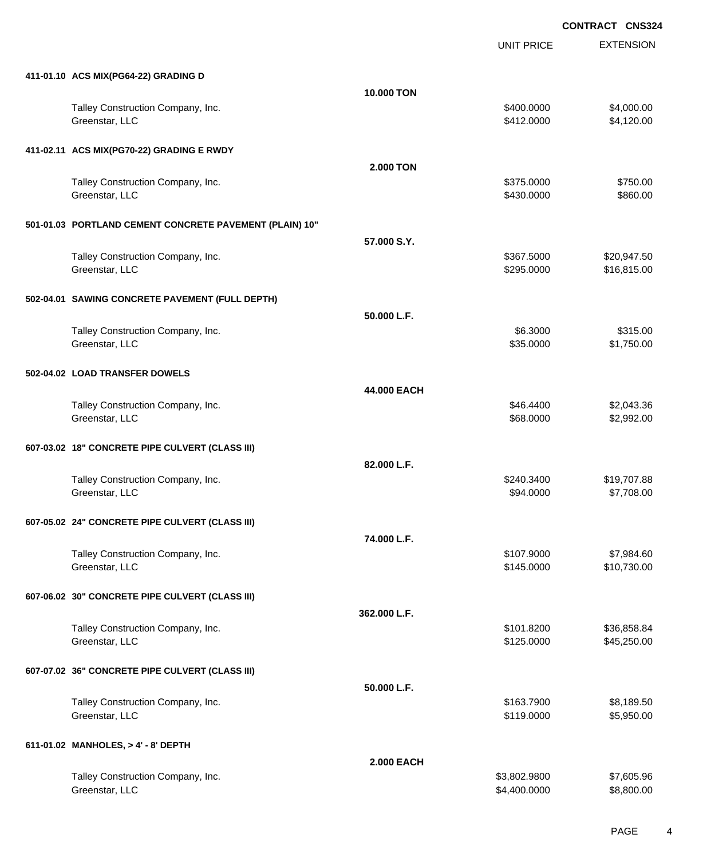UNIT PRICE EXTENSION

| 411-01.10 ACS MIX(PG64-22) GRADING D                    |                   |                         |                           |
|---------------------------------------------------------|-------------------|-------------------------|---------------------------|
|                                                         | 10.000 TON        |                         |                           |
| Talley Construction Company, Inc.                       |                   | \$400.0000              | \$4,000.00                |
| Greenstar, LLC                                          |                   | \$412.0000              | \$4,120.00                |
|                                                         |                   |                         |                           |
| 411-02.11 ACS MIX(PG70-22) GRADING E RWDY               |                   |                         |                           |
| Talley Construction Company, Inc.                       | <b>2.000 TON</b>  | \$375.0000              | \$750.00                  |
| Greenstar, LLC                                          |                   | \$430.0000              | \$860.00                  |
|                                                         |                   |                         |                           |
| 501-01.03 PORTLAND CEMENT CONCRETE PAVEMENT (PLAIN) 10" |                   |                         |                           |
|                                                         | 57.000 S.Y.       |                         |                           |
| Talley Construction Company, Inc.                       |                   | \$367.5000              | \$20,947.50               |
| Greenstar, LLC                                          |                   | \$295.0000              | \$16,815.00               |
|                                                         |                   |                         |                           |
| 502-04.01 SAWING CONCRETE PAVEMENT (FULL DEPTH)         |                   |                         |                           |
| Talley Construction Company, Inc.                       | 50.000 L.F.       | \$6.3000                | \$315.00                  |
| Greenstar, LLC                                          |                   | \$35.0000               | \$1,750.00                |
|                                                         |                   |                         |                           |
| 502-04.02 LOAD TRANSFER DOWELS                          |                   |                         |                           |
|                                                         | 44.000 EACH       |                         |                           |
| Talley Construction Company, Inc.                       |                   | \$46.4400               | \$2,043.36                |
| Greenstar, LLC                                          |                   | \$68.0000               | \$2,992.00                |
|                                                         |                   |                         |                           |
| 607-03.02 18" CONCRETE PIPE CULVERT (CLASS III)         |                   |                         |                           |
|                                                         | 82.000 L.F.       |                         |                           |
| Talley Construction Company, Inc.<br>Greenstar, LLC     |                   | \$240.3400<br>\$94.0000 | \$19,707.88<br>\$7,708.00 |
|                                                         |                   |                         |                           |
| 607-05.02 24" CONCRETE PIPE CULVERT (CLASS III)         |                   |                         |                           |
|                                                         | 74.000 L.F.       |                         |                           |
| Talley Construction Company, Inc.                       |                   | \$107.9000              | \$7,984.60                |
| Greenstar, LLC                                          |                   | \$145.0000              | \$10,730.00               |
|                                                         |                   |                         |                           |
| 607-06.02 30" CONCRETE PIPE CULVERT (CLASS III)         |                   |                         |                           |
|                                                         | 362.000 L.F.      |                         |                           |
| Talley Construction Company, Inc.                       |                   | \$101.8200              | \$36,858.84               |
| Greenstar, LLC                                          |                   | \$125.0000              | \$45,250.00               |
| 607-07.02 36" CONCRETE PIPE CULVERT (CLASS III)         |                   |                         |                           |
|                                                         | 50.000 L.F.       |                         |                           |
| Talley Construction Company, Inc.                       |                   | \$163.7900              | \$8,189.50                |
| Greenstar, LLC                                          |                   | \$119.0000              | \$5,950.00                |
|                                                         |                   |                         |                           |
| 611-01.02 MANHOLES, > 4' - 8' DEPTH                     |                   |                         |                           |
|                                                         | <b>2.000 EACH</b> |                         |                           |
| Talley Construction Company, Inc.                       |                   | \$3,802.9800            | \$7,605.96                |
| Greenstar, LLC                                          |                   | \$4,400.0000            | \$8,800.00                |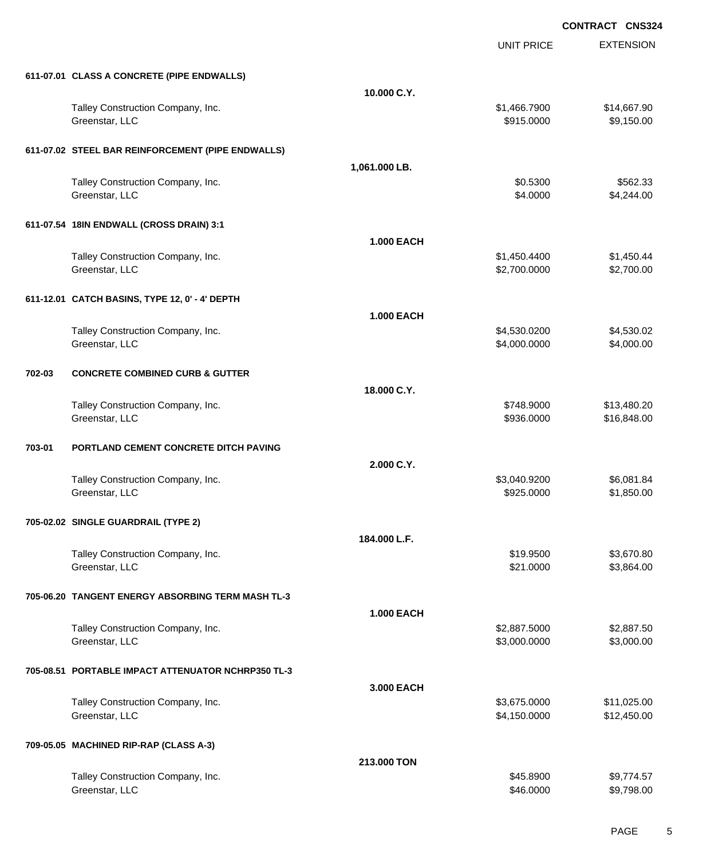|        |                                                     |                   | <b>UNIT PRICE</b>            | <b>EXTENSION</b>           |
|--------|-----------------------------------------------------|-------------------|------------------------------|----------------------------|
|        | 611-07.01 CLASS A CONCRETE (PIPE ENDWALLS)          |                   |                              |                            |
|        |                                                     | 10.000 C.Y.       |                              |                            |
|        | Talley Construction Company, Inc.<br>Greenstar, LLC |                   | \$1,466.7900<br>\$915.0000   | \$14,667.90<br>\$9,150.00  |
|        | 611-07.02 STEEL BAR REINFORCEMENT (PIPE ENDWALLS)   |                   |                              |                            |
|        |                                                     | 1,061.000 LB.     |                              |                            |
|        | Talley Construction Company, Inc.<br>Greenstar, LLC |                   | \$0.5300<br>\$4.0000         | \$562.33<br>\$4,244.00     |
|        | 611-07.54 18IN ENDWALL (CROSS DRAIN) 3:1            |                   |                              |                            |
|        |                                                     | <b>1.000 EACH</b> |                              |                            |
|        | Talley Construction Company, Inc.<br>Greenstar, LLC |                   | \$1,450.4400<br>\$2,700.0000 | \$1,450.44<br>\$2,700.00   |
|        | 611-12.01 CATCH BASINS, TYPE 12, 0' - 4' DEPTH      |                   |                              |                            |
|        |                                                     | <b>1.000 EACH</b> |                              |                            |
|        | Talley Construction Company, Inc.<br>Greenstar, LLC |                   | \$4,530.0200<br>\$4,000.0000 | \$4,530.02<br>\$4,000.00   |
| 702-03 | <b>CONCRETE COMBINED CURB &amp; GUTTER</b>          |                   |                              |                            |
|        |                                                     | 18.000 C.Y.       |                              |                            |
|        | Talley Construction Company, Inc.<br>Greenstar, LLC |                   | \$748.9000<br>\$936.0000     | \$13,480.20<br>\$16,848.00 |
| 703-01 | PORTLAND CEMENT CONCRETE DITCH PAVING               |                   |                              |                            |
|        |                                                     | 2.000 C.Y.        |                              |                            |
|        | Talley Construction Company, Inc.<br>Greenstar, LLC |                   | \$3,040.9200<br>\$925.0000   | \$6,081.84<br>\$1,850.00   |
|        | 705-02.02 SINGLE GUARDRAIL (TYPE 2)                 |                   |                              |                            |
|        |                                                     | 184.000 L.F.      |                              |                            |
|        | Talley Construction Company, Inc.<br>Greenstar, LLC |                   | \$19.9500<br>\$21.0000       | \$3,670.80<br>\$3,864.00   |
|        | 705-06.20 TANGENT ENERGY ABSORBING TERM MASH TL-3   |                   |                              |                            |
|        |                                                     | <b>1.000 EACH</b> |                              |                            |
|        | Talley Construction Company, Inc.<br>Greenstar, LLC |                   | \$2,887.5000<br>\$3,000.0000 | \$2,887.50<br>\$3,000.00   |
|        | 705-08.51 PORTABLE IMPACT ATTENUATOR NCHRP350 TL-3  |                   |                              |                            |
|        |                                                     | 3.000 EACH        |                              |                            |
|        | Talley Construction Company, Inc.<br>Greenstar, LLC |                   | \$3,675.0000<br>\$4,150.0000 | \$11,025.00<br>\$12,450.00 |
|        | 709-05.05 MACHINED RIP-RAP (CLASS A-3)              |                   |                              |                            |
|        |                                                     | 213.000 TON       |                              |                            |
|        | Talley Construction Company, Inc.<br>Greenstar, LLC |                   | \$45.8900<br>\$46.0000       | \$9,774.57<br>\$9,798.00   |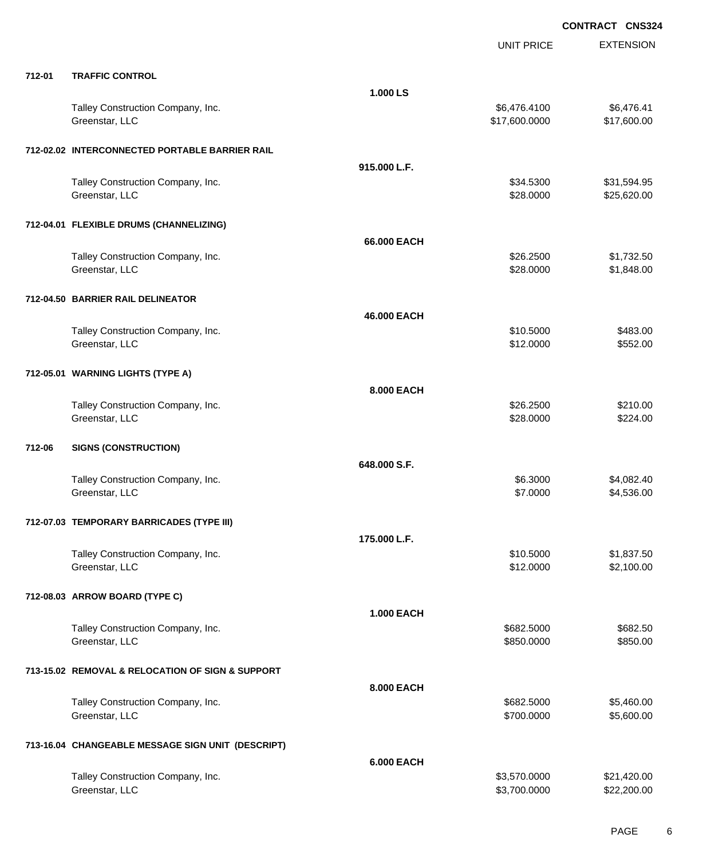|        |                                                     |                   | <b>UNIT PRICE</b>             | <b>EXTENSION</b>           |
|--------|-----------------------------------------------------|-------------------|-------------------------------|----------------------------|
| 712-01 | <b>TRAFFIC CONTROL</b>                              |                   |                               |                            |
|        |                                                     | 1.000 LS          |                               |                            |
|        | Talley Construction Company, Inc.<br>Greenstar, LLC |                   | \$6,476.4100<br>\$17,600.0000 | \$6,476.41<br>\$17,600.00  |
|        | 712-02.02 INTERCONNECTED PORTABLE BARRIER RAIL      |                   |                               |                            |
|        |                                                     | 915,000 L.F.      |                               |                            |
|        | Talley Construction Company, Inc.<br>Greenstar, LLC |                   | \$34.5300<br>\$28.0000        | \$31,594.95<br>\$25,620.00 |
|        | 712-04.01 FLEXIBLE DRUMS (CHANNELIZING)             |                   |                               |                            |
|        |                                                     | 66.000 EACH       |                               |                            |
|        | Talley Construction Company, Inc.<br>Greenstar, LLC |                   | \$26.2500<br>\$28.0000        | \$1,732.50<br>\$1,848.00   |
|        | 712-04.50 BARRIER RAIL DELINEATOR                   |                   |                               |                            |
|        |                                                     | 46.000 EACH       |                               |                            |
|        | Talley Construction Company, Inc.                   |                   | \$10.5000                     | \$483.00                   |
|        | Greenstar, LLC                                      |                   | \$12.0000                     | \$552.00                   |
|        | 712-05.01 WARNING LIGHTS (TYPE A)                   |                   |                               |                            |
|        |                                                     | <b>8.000 EACH</b> |                               |                            |
|        | Talley Construction Company, Inc.<br>Greenstar, LLC |                   | \$26.2500<br>\$28.0000        | \$210.00<br>\$224.00       |
| 712-06 | <b>SIGNS (CONSTRUCTION)</b>                         |                   |                               |                            |
|        |                                                     | 648.000 S.F.      |                               |                            |
|        | Talley Construction Company, Inc.<br>Greenstar, LLC |                   | \$6.3000<br>\$7.0000          | \$4,082.40<br>\$4,536.00   |
|        | 712-07.03 TEMPORARY BARRICADES (TYPE III)           |                   |                               |                            |
|        |                                                     | 175.000 L.F.      |                               |                            |
|        | Talley Construction Company, Inc.<br>Greenstar, LLC |                   | \$10.5000<br>\$12.0000        | \$1,837.50<br>\$2,100.00   |
|        | 712-08.03 ARROW BOARD (TYPE C)                      |                   |                               |                            |
|        |                                                     | <b>1.000 EACH</b> |                               |                            |
|        | Talley Construction Company, Inc.<br>Greenstar, LLC |                   | \$682.5000<br>\$850.0000      | \$682.50<br>\$850.00       |
|        | 713-15.02 REMOVAL & RELOCATION OF SIGN & SUPPORT    |                   |                               |                            |
|        |                                                     | 8.000 EACH        |                               |                            |
|        | Talley Construction Company, Inc.<br>Greenstar, LLC |                   | \$682.5000<br>\$700.0000      | \$5,460.00<br>\$5,600.00   |
|        | 713-16.04 CHANGEABLE MESSAGE SIGN UNIT (DESCRIPT)   |                   |                               |                            |
|        |                                                     | 6.000 EACH        |                               |                            |
|        | Talley Construction Company, Inc.<br>Greenstar, LLC |                   | \$3,570.0000<br>\$3,700.0000  | \$21,420.00<br>\$22,200.00 |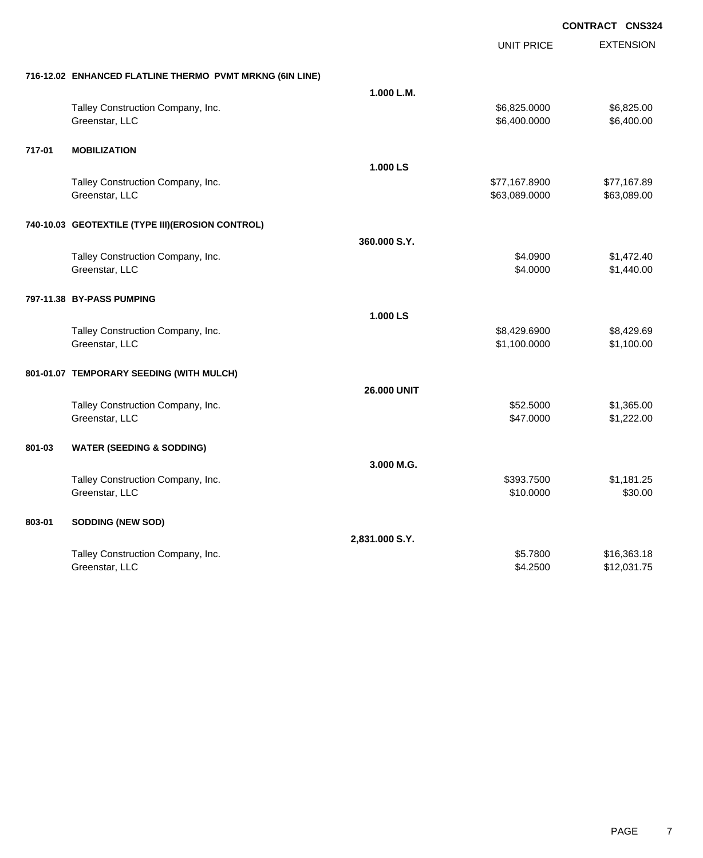|        |                                                          |                    | <b>UNIT PRICE</b> | <b>EXTENSION</b> |
|--------|----------------------------------------------------------|--------------------|-------------------|------------------|
|        | 716-12.02 ENHANCED FLATLINE THERMO PVMT MRKNG (6IN LINE) |                    |                   |                  |
|        |                                                          | 1.000 L.M.         |                   |                  |
|        | Talley Construction Company, Inc.                        |                    | \$6,825.0000      | \$6,825.00       |
|        | Greenstar, LLC                                           |                    | \$6,400.0000      | \$6,400.00       |
| 717-01 | <b>MOBILIZATION</b>                                      |                    |                   |                  |
|        |                                                          | 1.000 LS           |                   |                  |
|        | Talley Construction Company, Inc.                        |                    | \$77,167.8900     | \$77,167.89      |
|        | Greenstar, LLC                                           |                    | \$63,089.0000     | \$63,089.00      |
|        | 740-10.03 GEOTEXTILE (TYPE III) (EROSION CONTROL)        |                    |                   |                  |
|        |                                                          | 360.000 S.Y.       |                   |                  |
|        | Talley Construction Company, Inc.                        |                    | \$4.0900          | \$1,472.40       |
|        | Greenstar, LLC                                           |                    | \$4.0000          | \$1,440.00       |
|        | 797-11.38 BY-PASS PUMPING                                |                    |                   |                  |
|        |                                                          | 1.000 LS           |                   |                  |
|        | Talley Construction Company, Inc.                        |                    | \$8,429.6900      | \$8,429.69       |
|        | Greenstar, LLC                                           |                    | \$1,100.0000      | \$1,100.00       |
|        | 801-01.07 TEMPORARY SEEDING (WITH MULCH)                 |                    |                   |                  |
|        |                                                          | <b>26.000 UNIT</b> |                   |                  |
|        | Talley Construction Company, Inc.                        |                    | \$52.5000         | \$1,365.00       |
|        | Greenstar, LLC                                           |                    | \$47.0000         | \$1,222.00       |
| 801-03 | <b>WATER (SEEDING &amp; SODDING)</b>                     |                    |                   |                  |
|        |                                                          | 3.000 M.G.         |                   |                  |
|        | Talley Construction Company, Inc.                        |                    | \$393.7500        | \$1,181.25       |
|        | Greenstar, LLC                                           |                    | \$10.0000         | \$30.00          |
| 803-01 | <b>SODDING (NEW SOD)</b>                                 |                    |                   |                  |
|        |                                                          | 2,831.000 S.Y.     |                   |                  |
|        | Talley Construction Company, Inc.                        |                    | \$5.7800          | \$16,363.18      |
|        | Greenstar, LLC                                           |                    | \$4.2500          | \$12,031.75      |